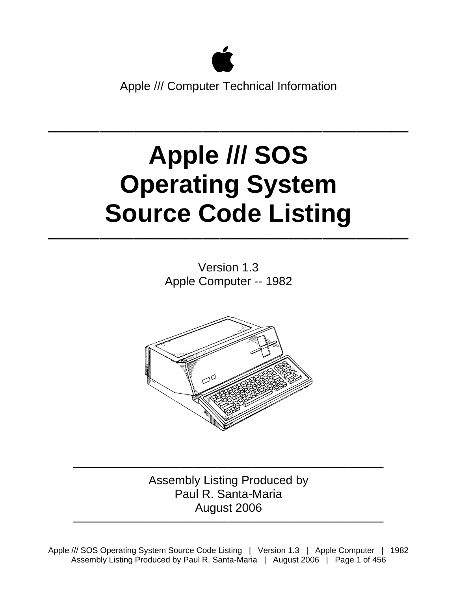

## $\mathcal{L}=\{1,2,3,4\}$  , where  $\mathcal{L}=\{1,2,3,4\}$  , where  $\mathcal{L}=\{1,2,3,4\}$ **Apple /// SOS Operating System Source Code Listing**

Version 1.3 Apple Computer -- 1982

 $\mathcal{L}=\{1,2,3,4\}$  , we can consider the constraint of  $\mathcal{L}=\{1,2,3,4\}$ 



—————————————————————————— Assembly Listing Produced by Paul R. Santa-Maria August 2006

——————————————————————————

Apple /// SOS Operating System Source Code Listing | Version 1.3 | Apple Computer | 1982 Assembly Listing Produced by Paul R. Santa-Maria | August 2006 | Page 1 of 456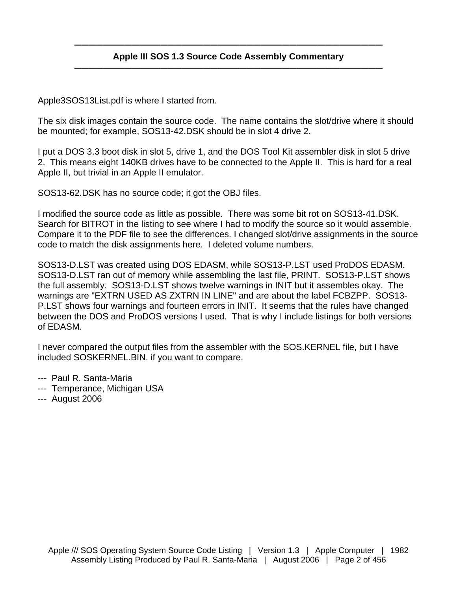## ——————————————————————————————————————————— **Apple III SOS 1.3 Source Code Assembly Commentary** ———————————————————————————————————————————

Apple3SOS13List.pdf is where I started from.

The six disk images contain the source code. The name contains the slot/drive where it should be mounted; for example, SOS13-42.DSK should be in slot 4 drive 2.

I put a DOS 3.3 boot disk in slot 5, drive 1, and the DOS Tool Kit assembler disk in slot 5 drive 2. This means eight 140KB drives have to be connected to the Apple II. This is hard for a real Apple II, but trivial in an Apple II emulator.

SOS13-62.DSK has no source code; it got the OBJ files.

I modified the source code as little as possible. There was some bit rot on SOS13-41.DSK. Search for BITROT in the listing to see where I had to modify the source so it would assemble. Compare it to the PDF file to see the differences. I changed slot/drive assignments in the source code to match the disk assignments here. I deleted volume numbers.

SOS13-D.LST was created using DOS EDASM, while SOS13-P.LST used ProDOS EDASM. SOS13-D.LST ran out of memory while assembling the last file, PRINT. SOS13-P.LST shows the full assembly. SOS13-D.LST shows twelve warnings in INIT but it assembles okay. The warnings are "EXTRN USED AS ZXTRN IN LINE" and are about the label FCBZPP. SOS13- P.LST shows four warnings and fourteen errors in INIT. It seems that the rules have changed between the DOS and ProDOS versions I used. That is why I include listings for both versions of EDASM.

I never compared the output files from the assembler with the SOS.KERNEL file, but I have included SOSKERNEL.BIN. if you want to compare.

- --- Paul R. Santa-Maria
- --- Temperance, Michigan USA
- --- August 2006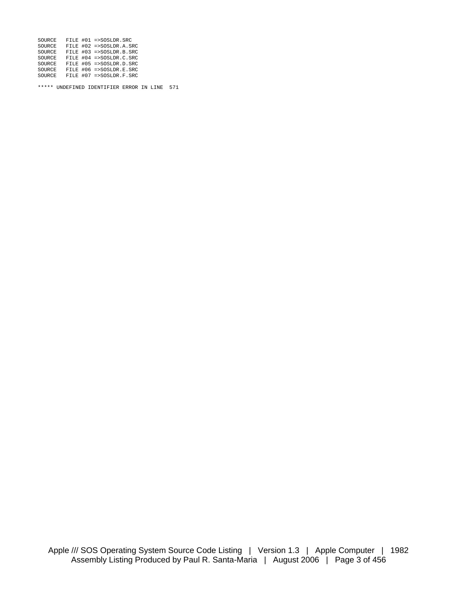| SOURCE |  | FILE #01 =>SOSLDR.SRC     |
|--------|--|---------------------------|
| SOURCE |  | FILE #02 =>SOSLDR.A.SRC   |
| SOURCE |  | FILE #03 =>SOSLDR.B.SRC   |
| SOURCE |  | FILE #04 =>SOSLDR.C.SRC   |
| SOURCE |  | FILE $#05$ =>SOSLDR.D.SRC |
| SOURCE |  | FILE #06 =>SOSLDR.E.SRC   |
| SOURCE |  | FILE $#07$ =>SOSLDR.F.SRC |

\*\*\*\*\* UNDEFINED IDENTIFIER ERROR IN LINE 571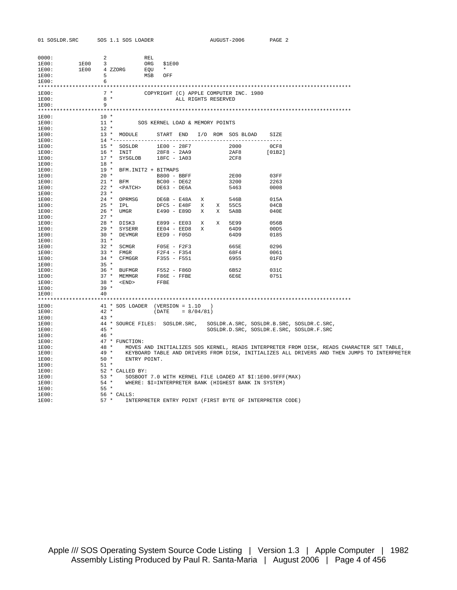|                | 01 SOSLDR.SRC        |                  |        | SOS 1.1 SOS LOADER                                                                                                                                                                                                                |     |                                              |               | AUGUST-2006                                                                                                       | PAGE 2       |                                                                                             |
|----------------|----------------------|------------------|--------|-----------------------------------------------------------------------------------------------------------------------------------------------------------------------------------------------------------------------------------|-----|----------------------------------------------|---------------|-------------------------------------------------------------------------------------------------------------------|--------------|---------------------------------------------------------------------------------------------|
|                |                      |                  |        |                                                                                                                                                                                                                                   |     |                                              |               |                                                                                                                   |              |                                                                                             |
| 0000:          |                      | $\overline{2}$   |        |                                                                                                                                                                                                                                   | REL |                                              |               |                                                                                                                   |              |                                                                                             |
| 1E00:          |                      | 1E00 3           |        |                                                                                                                                                                                                                                   |     | \$1E00                                       |               |                                                                                                                   |              |                                                                                             |
|                | 1E00:                |                  |        |                                                                                                                                                                                                                                   |     |                                              |               |                                                                                                                   |              |                                                                                             |
| 1E00:<br>1E00: |                      |                  |        | CONGLES A STERN CORRECT STERN CORRECT STERN SEQUIT A STERN STERN STERN STERN STERN SERIES SERIES SERIES SERIES<br>STERN STERN STERN STERN STERN STERN STERN SERIES SERIES SERIES SERIES SERIES SERIES SERIES SERIES SERIES SERIES |     |                                              |               |                                                                                                                   |              |                                                                                             |
|                |                      |                  |        |                                                                                                                                                                                                                                   |     |                                              |               |                                                                                                                   |              |                                                                                             |
| 1E00:          |                      |                  |        |                                                                                                                                                                                                                                   |     |                                              |               | 7 * COPYRIGHT (C) APPLE COMPUTER INC. 1980                                                                        |              |                                                                                             |
| 1E00:          |                      |                  | $8 *$  |                                                                                                                                                                                                                                   |     | ALL RIGHTS RESERVED                          |               |                                                                                                                   |              |                                                                                             |
|                | 1E00:                | 9                |        |                                                                                                                                                                                                                                   |     |                                              |               |                                                                                                                   |              |                                                                                             |
|                |                      |                  |        |                                                                                                                                                                                                                                   |     |                                              |               |                                                                                                                   |              |                                                                                             |
| 1E00:          | $1E00$ :             | $10 *$<br>$11 *$ |        |                                                                                                                                                                                                                                   |     | SOS KERNEL LOAD & MEMORY POINTS              |               |                                                                                                                   |              |                                                                                             |
|                | $1E00$ :             | $12$ *           |        |                                                                                                                                                                                                                                   |     |                                              |               |                                                                                                                   |              |                                                                                             |
|                | $1E00$ :             |                  |        |                                                                                                                                                                                                                                   |     |                                              |               | 13 * MODULE START END I/O ROM SOS BLOAD SIZE                                                                      |              |                                                                                             |
| 1E00:          |                      |                  |        |                                                                                                                                                                                                                                   |     |                                              |               |                                                                                                                   |              |                                                                                             |
| 1E00:          |                      |                  |        | 15 * SOSLDR                                                                                                                                                                                                                       |     |                                              |               | 1E00 - 28F7 2000                                                                                                  | 0CF8         |                                                                                             |
| 1E00:          |                      |                  |        | $16 *$ INIT                                                                                                                                                                                                                       |     | 28F8 - 2AA9                                  |               | 2AF8                                                                                                              | [01B2]       |                                                                                             |
|                | $1E00$ :<br>$1E00$ : | $18 *$           |        |                                                                                                                                                                                                                                   |     | 17 * SYSGLOB 18FC - 1A03                     |               | 2CF8                                                                                                              |              |                                                                                             |
| 1E00:          |                      |                  |        |                                                                                                                                                                                                                                   |     | 19 * BFM.INIT2 + BITMAPS                     |               |                                                                                                                   |              |                                                                                             |
| 1E00:          |                      | $20 *$           |        |                                                                                                                                                                                                                                   |     | B800 - BBFF                                  |               | <b>2E00</b>                                                                                                       | 03FF         |                                                                                             |
| 1E00:          |                      |                  |        | 21 * BFM                                                                                                                                                                                                                          |     | BC00 - DE62                                  |               | 3200                                                                                                              | 2263         |                                                                                             |
| 1E00:          |                      |                  |        | 22 * <patch></patch>                                                                                                                                                                                                              |     | DE63 - DE6A                                  |               | 5463                                                                                                              | 0008         |                                                                                             |
|                | $1E00$ :             |                  | $23 *$ |                                                                                                                                                                                                                                   |     |                                              |               |                                                                                                                   |              |                                                                                             |
| 1E00:          |                      |                  |        |                                                                                                                                                                                                                                   |     | $24 * OPRMSG$ $DE6B - E48A$ X                |               | 546B                                                                                                              | 015A         |                                                                                             |
| 1E00:<br>1E00: |                      |                  |        | 25 * IPL<br>26 * UMGR                                                                                                                                                                                                             |     | DFC5 - E48F X X 55C5<br>E490 - E89D X X 5A8B |               |                                                                                                                   | 04CB<br>040E |                                                                                             |
| 1E00:          |                      |                  | $27 *$ |                                                                                                                                                                                                                                   |     |                                              |               |                                                                                                                   |              |                                                                                             |
|                | 1E00:                |                  |        | 28 * DISK3                                                                                                                                                                                                                        |     | E899 - EE03 X X 5E99                         |               |                                                                                                                   | 056B         |                                                                                             |
| 1E00:          |                      |                  |        | 29 * SYSERR                                                                                                                                                                                                                       |     | $EEO4 - EED8 X$                              |               | 64D9                                                                                                              | 00D5         |                                                                                             |
| 1E00:          |                      |                  |        | 30 * DEVMGR                                                                                                                                                                                                                       |     | $EED9 - F05D$                                |               | 64D9                                                                                                              | 0185         |                                                                                             |
| 1E00:          |                      |                  | $31 *$ |                                                                                                                                                                                                                                   |     |                                              |               | 665E                                                                                                              | 0296         |                                                                                             |
| 1E00:          | $1E00$ :             |                  |        | 32 * SCMGR<br>33 * FMGR                                                                                                                                                                                                           |     | $F05E - F2F3$<br>F2F4 - F354                 |               | 68F4                                                                                                              | 0061         |                                                                                             |
| 1E00:          |                      |                  |        |                                                                                                                                                                                                                                   |     | 34 * CFMGGR F355 - F551                      |               | 6955                                                                                                              | 01FD         |                                                                                             |
| 1E00:          |                      | $35 *$           |        |                                                                                                                                                                                                                                   |     |                                              |               |                                                                                                                   |              |                                                                                             |
| 1E00:          |                      |                  |        | 36 * BUFMGR                                                                                                                                                                                                                       |     | F552 - F86D                                  |               | 6B52                                                                                                              | 031C         |                                                                                             |
| 1E00:          |                      |                  |        | 37 * MEMMGR                                                                                                                                                                                                                       |     | $F86E - FFBE$                                |               | 6E6E                                                                                                              | 0751         |                                                                                             |
| 1E00:          |                      |                  |        | 38 * <end></end>                                                                                                                                                                                                                  |     | FFBE                                         |               |                                                                                                                   |              |                                                                                             |
| 1E00:<br>1E00: |                      | -40              | $39*$  |                                                                                                                                                                                                                                   |     |                                              |               |                                                                                                                   |              |                                                                                             |
|                |                      |                  |        |                                                                                                                                                                                                                                   |     |                                              |               |                                                                                                                   |              |                                                                                             |
| $1E00$ :       |                      |                  |        |                                                                                                                                                                                                                                   |     | 41 * SOS LOADER (VERSION = 1.10              | $\rightarrow$ |                                                                                                                   |              |                                                                                             |
|                | 1E00:                |                  | $42 *$ |                                                                                                                                                                                                                                   |     | $(DATE = 8/04/81)$                           |               |                                                                                                                   |              |                                                                                             |
|                | $1E00$ :             | $43*$            |        |                                                                                                                                                                                                                                   |     |                                              |               |                                                                                                                   |              |                                                                                             |
| 1E00:          |                      |                  |        |                                                                                                                                                                                                                                   |     | 44 * SOURCE FILES: SOSLDR.SRC,               |               |                                                                                                                   |              | SOSLDR.A.SRC, SOSLDR.B.SRC, SOSLDR.C.SRC,                                                   |
| 1E00:<br>1E00: |                      | $45 *$           | $46*$  |                                                                                                                                                                                                                                   |     |                                              |               |                                                                                                                   |              | SOSLDR.D.SRC, SOSLDR.E.SRC, SOSLDR.F.SRC                                                    |
|                | 1E00:                |                  |        | 47 * FUNCTION:                                                                                                                                                                                                                    |     |                                              |               |                                                                                                                   |              |                                                                                             |
| 1E00:          |                      |                  | $48*$  |                                                                                                                                                                                                                                   |     |                                              |               |                                                                                                                   |              | MOVES AND INITIALIZES SOS KERNEL, READS INTERPRETER FROM DISK, READS CHARACTER SET TABLE,   |
| 1E00:          |                      |                  | $49*$  |                                                                                                                                                                                                                                   |     |                                              |               |                                                                                                                   |              | KEYBOARD TABLE AND DRIVERS FROM DISK, INITIALIZES ALL DRIVERS AND THEN JUMPS TO INTERPRETER |
| 1E00:          |                      |                  | $50*$  | ENTRY POINT.                                                                                                                                                                                                                      |     |                                              |               |                                                                                                                   |              |                                                                                             |
| 1E00:          |                      |                  | $51 *$ |                                                                                                                                                                                                                                   |     |                                              |               |                                                                                                                   |              |                                                                                             |
| 1E00:          |                      | $53 *$           |        | 52 * CALLED BY:                                                                                                                                                                                                                   |     |                                              |               |                                                                                                                   |              |                                                                                             |
| 1E00:<br>1E00: |                      |                  | $54 *$ |                                                                                                                                                                                                                                   |     |                                              |               | SOSBOOT 7.0 WITH KERNEL FILE LOADED AT \$I:1E00.9FFF(MAX)<br>WHERE: \$I=INTERPRETER BANK (HIGHEST BANK IN SYSTEM) |              |                                                                                             |
| 1E00:          |                      |                  | $55*$  |                                                                                                                                                                                                                                   |     |                                              |               |                                                                                                                   |              |                                                                                             |
| 1E00:          |                      |                  |        | 56 * CALLS:                                                                                                                                                                                                                       |     |                                              |               |                                                                                                                   |              |                                                                                             |
| 1E00:          |                      |                  |        |                                                                                                                                                                                                                                   |     |                                              |               | 57 * INTERPRETER ENTRY POINT (FIRST BYTE OF INTERPRETER CODE)                                                     |              |                                                                                             |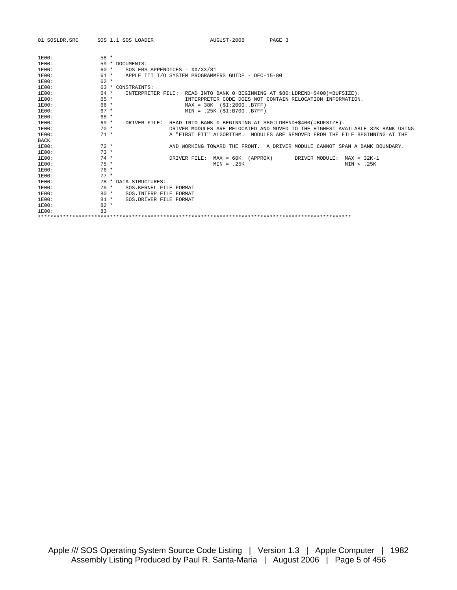| 01 SOSLDR.SRC | AUGUST-2006<br>SOS 1.1 SOS LOADER<br>PAGE 3                                             |
|---------------|-----------------------------------------------------------------------------------------|
| 1E00:         | $58 *$                                                                                  |
| 1E00:         | 59 * DOCUMENTS:                                                                         |
| 1E00:         | $60 *$<br>SOS ERS APPENDICES - XX/XX/81                                                 |
| 1E00:         | $61 *$<br>APPLE III I/O SYSTEM PROGRAMMERS GUIDE - DEC-15-80                            |
| 1E00:         | $62 *$                                                                                  |
| 1E00:         | 63 * CONSTRAINTS:                                                                       |
| 1E00:         | $64 *$<br>INTERPRETER FILE: READ INTO BANK 0 BEGINNING AT \$80:LDREND+\$400(=BUFSIZE).  |
| 1E00:         | $65 *$<br>INTERPRETER CODE DOES NOT CONTAIN RELOCATION INFORMATION.                     |
| 1E00:         | 66 *<br>$MAX = 38K (SI:2000B7FF)$                                                       |
| 1E00:         | $67 *$<br>$MIN = .25K (SI:B700. .B7FF)$                                                 |
| 1E00:         | 68 *                                                                                    |
| 1E00:         | 69 *<br>READ INTO BANK 0 BEGINNING AT \$80:LDREND+\$400(=BUFSIZE).<br>DRIVER FILE:      |
| 1E00:         | $70*$<br>DRIVER MODULES ARE RELOCATED AND MOVED TO THE HIGHEST AVAILABLE 32K BANK USING |
| 1E00:         | $71 *$<br>A "FIRST FIT" ALGORITHM. MODULES ARE REMOVED FROM THE FILE BEGINNING AT THE   |
| <b>BACK</b>   |                                                                                         |
| 1E00:         | $72 *$<br>AND WORKING TOWARD THE FRONT. A DRIVER MODULE CANNOT SPAN A BANK BOUNDARY.    |
| 1E00:         | $73 *$                                                                                  |
| 1E00:         | $74 *$<br>$MAX = 60K (APPROX)$<br>DRIVER FILE:<br>DRIVER MODULE:<br>$MAX = 32K-1$       |
| 1E00:         | $75 *$<br>$MIN = .25K$<br>MIN < .25K                                                    |
| 1E00:         | $76*$                                                                                   |
| 1E00:         | $77 *$                                                                                  |
| 1E00:         | 78 * DATA STRUCTURES:                                                                   |
| 1E00:         | $79*$<br>SOS KERNEL FILE FORMAT                                                         |
| 1E00:         | $80 *$<br>SOS. INTERP FILE FORMAT                                                       |
| $1E00$ :      | $81 *$<br>SOS.DRIVER FILE FORMAT                                                        |
| 1E00:         | $82 *$                                                                                  |
| 1E00:         | 83                                                                                      |
|               |                                                                                         |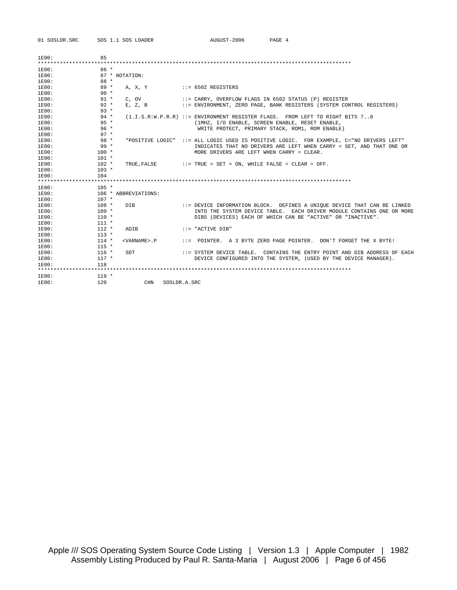01 SOSLDR.SRC SOS 1.1 SOS LOADER AUGUST-2006 PAGE 4

| 1E00:          | 85                 |                       |                  |                                                                              |
|----------------|--------------------|-----------------------|------------------|------------------------------------------------------------------------------|
| 1E00:          | $86*$              |                       |                  |                                                                              |
| 1E00:          |                    | 87 * NOTATION:        |                  |                                                                              |
| 1E00:          | $88 *$             |                       |                  |                                                                              |
| 1E00:          | $89*$              | A. X. Y               |                  | $::= 6502$ REGISTERS                                                         |
| 1E00:          | $90 *$             |                       |                  |                                                                              |
| 1E00:          | $91 *$             | C. OV                 |                  | ::= CARRY, OVERFLOW FLAGS IN 6502 STATUS (P) REGISTER                        |
| 1E00:          | $92 *$             | $E$ , $Z$ , $B$       |                  | ::= ENVIRONMENT, ZERO PAGE, BANK REGISTERS (SYSTEM CONTROL REGISTERS)        |
| 1E00:          | $93 *$             |                       |                  |                                                                              |
| 1E00:          | $94 *$             |                       |                  | (1.I.S.R:W.P.R.R) ::= ENVIRONMENT REGISTER FLAGS. FROM LEFT TO RIGHT BITS 70 |
| 1E00:          | $95 *$             |                       |                  | (1MHZ, I/O ENABLE, SCREEN ENABLE, RESET ENABLE,                              |
| 1E00:          | $96*$              |                       |                  | WRITE PROTECT, PRIMARY STACK, ROM1, ROM ENABLE)                              |
| 1E00:          | $97 *$             |                       |                  |                                                                              |
| 1E00:          | $98*$              |                       | "POSITIVE LOGIC" | ::= ALL LOGIC USED IS POSITIVE LOGIC. FOR EXAMPLE, C="NO DRIVERS LEFT"       |
| 1E00:          | $99 *$             |                       |                  | INDICATES THAT NO DRIVERS ARE LEFT WHEN CARRY = SET, AND THAT ONE OR         |
| 1E00:          | $100 *$            |                       |                  | MORE DRIVERS ARE LEFT WHEN CARRY = CLEAR.                                    |
| 1E00:          | $101 *$            |                       |                  |                                                                              |
| 1E00:          | $102 *$            | TRUE, FALSE           |                  | $: :=$ TRUE = SET = ON, WHILE FALSE = CLEAR = OFF.                           |
| 1E00:          | $103 *$            |                       |                  |                                                                              |
| 1E00:          | 104                |                       |                  |                                                                              |
|                |                    |                       |                  |                                                                              |
| 1E00:          | $105 *$            |                       |                  |                                                                              |
| 1E00:          |                    | 106 * ABBREVIATIONS:  |                  |                                                                              |
| 1E00:          | $107 *$            |                       |                  |                                                                              |
| 1E00:          | $108 *$            | <b>DTB</b>            |                  | ::= DEVICE INFORMATION BLOCK. DEFINES A UNIOUE DEVICE THAT CAN BE LINKED     |
| 1E00:          | $109 *$            |                       |                  | INTO THE SYSTEM DEVICE TABLE. EACH DRIVER MODULE CONTAINS ONE OR MORE        |
| 1E00:          | $110 *$            |                       |                  | DIBS (DEVICES) EACH OF WHICH CAN BE "ACTIVE" OR "INACTIVE".                  |
| 1E00:          | $111 *$            |                       |                  |                                                                              |
| 1E00:<br>1E00: | $112 *$<br>$113 *$ | ADIB                  |                  | $: := "ACTIVE DIB"$                                                          |
|                |                    |                       |                  |                                                                              |
| 1E00:<br>1E00: | $114 *$<br>$115 *$ | <varname>.P</varname> |                  | $\cdot$ : = POINTER, A 3 BYTE ZERO PAGE POINTER, DON'T FORGET THE X BYTE!    |
| 1E00:          | $116 *$            | SDT                   |                  | ::= SYSTEM DEVICE TABLE. CONTAINS THE ENTRY POINT AND DIB ADDRESS OF EACH    |
| 1E00:          | $117 *$            |                       |                  | DEVICE CONFIGURED INTO THE SYSTEM, (USED BY THE DEVICE MANAGER).             |
| 1E00:          | 118                |                       |                  |                                                                              |
|                |                    |                       |                  |                                                                              |
| 1E00:          | $119 *$            |                       |                  |                                                                              |
| 1E00:          | 120                |                       | <b>CHN</b>       | SOSLDR.A.SRC                                                                 |
|                |                    |                       |                  |                                                                              |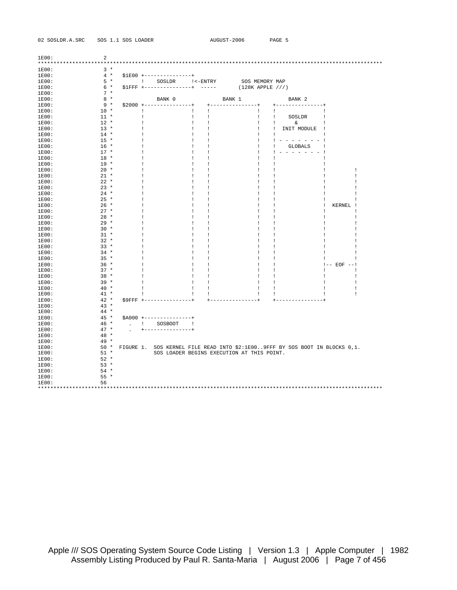| 02 SOSLDR.A.SRC |  | SOS 1.1 SOS LOADE |
|-----------------|--|-------------------|
|                 |  |                   |

| 1E00: | 2      |                        |                                     |                                            |                                 |                                                                             |                          |   |
|-------|--------|------------------------|-------------------------------------|--------------------------------------------|---------------------------------|-----------------------------------------------------------------------------|--------------------------|---|
|       |        |                        |                                     |                                            |                                 |                                                                             |                          |   |
| 1E00: | $3*$   |                        |                                     |                                            |                                 |                                                                             |                          |   |
| 1E00: | $4 *$  |                        | $$1E00$ +---------------+           |                                            |                                 |                                                                             |                          |   |
| 1E00: | $5 *$  |                        | ! SOSLDR !<-ENTRY SOS MEMORY MAP    |                                            |                                 |                                                                             |                          |   |
| 1E00: | $6*$   |                        | $S1FFF$ +---------------+ -----     |                                            | $(128K$ APPLE $//')$            |                                                                             |                          |   |
| 1E00: | $7 *$  |                        |                                     |                                            |                                 |                                                                             |                          |   |
| 1E00: | $8*$   |                        | BANK 0                              |                                            | BANK 1                          | BANK <sub>2</sub>                                                           |                          |   |
| 1E00: | $9*$   |                        | $$2000$ +---------------+           |                                            | $+ - - - - - - - - - - - - - +$ | +---------------+                                                           |                          |   |
| 1E00: | $10 *$ | -1                     |                                     | Τ.<br>÷                                    | Τ.                              | ÷                                                                           |                          |   |
| 1E00: | $11 *$ |                        |                                     | $\mathbf{I}$<br>1                          | T.                              | $\mathbf{I}$<br>SOSLDR                                                      |                          |   |
| 1E00: | $12 *$ |                        |                                     | ÷<br>÷                                     | ÷                               | ÷<br>&                                                                      | -1                       |   |
| 1E00: | $13 *$ |                        |                                     | $\pm$<br>Ţ                                 | T                               | INIT MODULE<br>Ι.                                                           | $\overline{\phantom{a}}$ |   |
| 1E00: | $14 *$ |                        |                                     | $\mathbf{I}$<br>Ţ                          |                                 | I.                                                                          | -1                       |   |
| 1E00: | $15 *$ |                        |                                     | ÷<br>Ţ                                     | 1                               | Ţ<br>$- - - - - - - 1$                                                      |                          |   |
| 1E00: | $16 *$ |                        |                                     | ÷<br>1                                     | 1                               | GLOBALS                                                                     |                          |   |
| 1E00: | $17 *$ |                        |                                     | Ι.<br>÷                                    | 1                               |                                                                             |                          |   |
| 1E00: | $18 *$ |                        |                                     | ÷<br>Ţ                                     |                                 |                                                                             |                          |   |
| 1E00: | $19 *$ |                        |                                     | $\mathbf{I}$<br>1                          | Ţ                               |                                                                             |                          |   |
| 1E00: | $20 *$ |                        |                                     | $\mathbf{I}$<br>1                          | T                               | 1                                                                           |                          | 1 |
| 1E00: | $21 *$ |                        |                                     | Ţ<br>$\mathbf{I}$                          | Ι.                              |                                                                             |                          | T |
| 1E00: | $22 *$ |                        |                                     | Ţ<br>÷                                     | Ţ                               |                                                                             |                          | Ţ |
| 1E00: | $23 *$ |                        |                                     | ÷<br>1                                     |                                 |                                                                             |                          | 1 |
| 1E00: | $24 *$ |                        |                                     | ÷<br>1                                     | Ţ                               |                                                                             |                          | Ţ |
| 1E00: | $25 *$ |                        |                                     | $\mathbf{I}$<br>1                          | T                               |                                                                             | -                        | 1 |
| 1E00: | $26 *$ |                        |                                     | 1<br>-1                                    | T                               |                                                                             | KERNEL<br>Ţ<br>- 1       |   |
| 1E00: | $27 *$ |                        |                                     | ÷<br>1                                     | Ţ                               |                                                                             | Ţ                        | Ţ |
| 1E00: | $28 *$ |                        |                                     | $\mathbf{I}$<br>1                          | T                               | 1                                                                           | -                        | T |
|       | $29 *$ |                        |                                     | -1<br>1                                    |                                 |                                                                             |                          | Ţ |
| 1E00: |        |                        |                                     | 1                                          |                                 |                                                                             |                          | Ţ |
| 1E00: | $30 *$ |                        |                                     | $\mathbf{I}$                               | 1                               |                                                                             |                          |   |
| 1E00: | $31 *$ |                        |                                     | $\cdot$<br>Ţ                               |                                 |                                                                             |                          | 1 |
| 1E00: | $32 *$ |                        |                                     | $\mathbf{I}$<br>1                          | 1                               |                                                                             |                          | Ţ |
| 1E00: | $33 *$ | -1                     |                                     | $\mathbf{I}$<br>1                          | T                               | -1                                                                          |                          | Ţ |
| 1E00: | $34 *$ |                        |                                     | $\mathbf{I}$<br>÷                          | 1                               |                                                                             |                          | T |
| 1E00: | $35 *$ |                        |                                     | ÷                                          |                                 |                                                                             |                          |   |
| 1E00: | $36 *$ |                        |                                     | -1<br>1                                    | Ţ                               |                                                                             | $! -- EOF -- !$          |   |
| 1E00: | $37 *$ |                        |                                     | $\mathbf{I}$<br>1                          | 1                               |                                                                             |                          | Ţ |
| 1E00: | $38 *$ |                        |                                     | ÷<br>1                                     | -1                              | 1                                                                           |                          | Ţ |
| 1E00: | $39 *$ |                        |                                     | Ι.<br>÷                                    | ÷                               | 1                                                                           |                          | Ţ |
| 1E00: | $40*$  |                        |                                     | $\pm$<br>1                                 | Τ.                              |                                                                             |                          | T |
| 1E00: | $41 *$ |                        |                                     | $\pm$<br>$\mathbf{I}$                      | $\perp$                         |                                                                             |                          | T |
| 1E00: | $42 *$ |                        | $S9FFF + - - - - - - - - - - - - +$ | $+ - - - - - -$                            | $- - - - - - +$                 |                                                                             |                          |   |
| 1E00: | $43 *$ |                        |                                     |                                            |                                 |                                                                             |                          |   |
| 1E00: | $44 *$ |                        |                                     |                                            |                                 |                                                                             |                          |   |
| 1E00: | $45 *$ |                        | $$A000$ +---------------+           |                                            |                                 |                                                                             |                          |   |
| 1E00: | $46*$  | and the first property | SOSBOOT !                           |                                            |                                 |                                                                             |                          |   |
| 1E00: | $47 *$ |                        | -----------------                   |                                            |                                 |                                                                             |                          |   |
| 1E00: | $48 *$ |                        |                                     |                                            |                                 |                                                                             |                          |   |
| 1E00: | $49 *$ |                        |                                     |                                            |                                 |                                                                             |                          |   |
| 1E00: | $50 *$ |                        |                                     |                                            |                                 | FIGURE 1. SOS KERNEL FILE READ INTO \$2:1E009FFF BY SOS BOOT IN BLOCKS 0,1. |                          |   |
| 1E00: | $51 *$ |                        |                                     | SOS LOADER BEGINS EXECUTION AT THIS POINT. |                                 |                                                                             |                          |   |
| 1E00: | $52 *$ |                        |                                     |                                            |                                 |                                                                             |                          |   |
| 1E00: | $53 *$ |                        |                                     |                                            |                                 |                                                                             |                          |   |
| 1E00: | $54 *$ |                        |                                     |                                            |                                 |                                                                             |                          |   |
| 1E00: | $55*$  |                        |                                     |                                            |                                 |                                                                             |                          |   |
| 1E00: | 56     |                        |                                     |                                            |                                 |                                                                             |                          |   |
|       |        |                        |                                     |                                            |                                 |                                                                             |                          |   |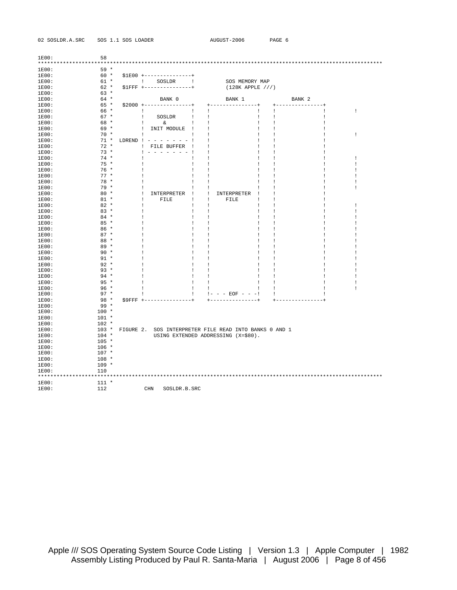02 SOSLDR.A.SRC SOS 1.1 SOS LOADER AUGUST-2006 PAGE 6

| 1E00:<br>***** | 58      |               |                                  |                                              |        |                   |   |
|----------------|---------|---------------|----------------------------------|----------------------------------------------|--------|-------------------|---|
| 1E00:          | $59 *$  |               |                                  |                                              |        |                   |   |
| 1E00:          | $60 *$  |               | \$1E00 +----------------+        |                                              |        |                   |   |
| 1E00:          | $61 *$  |               | $\sim$ $-1$<br>Τ.<br>SOSLDR      | SOS MEMORY MAP                               |        |                   |   |
| 1E00:          | $62 *$  |               | $$1$ FFF +---------------+       | (128K APPLE / // )                           |        |                   |   |
| 1E00:          | $63 *$  |               |                                  |                                              |        |                   |   |
| 1E00:          | 64 *    |               | BANK 0                           | BANK 1                                       |        | BANK <sub>2</sub> |   |
| 1E00:          | 65 *    |               | $$2000$ +---------------+        | ----------                                   |        |                   |   |
| 1E00:          | 66 *    |               | Ţ<br>1                           | 1                                            | Ţ      |                   | Ţ |
| 1E00:          | $67 *$  |               | Ţ<br>SOSLDR<br>-1                | 1                                            | Ţ      |                   |   |
| 1E00:          | 68 *    |               | ÷<br>&.<br>$\mathbf{I}$          | 1                                            | Ţ<br>- |                   |   |
| 1E00:          | $69 *$  |               | INIT MODULE<br>÷<br>$\mathbf{I}$ | Ţ                                            | T      |                   |   |
| 1E00:          | $70*$   |               | 1                                |                                              |        |                   | 1 |
| 1E00:          | $71 *$  | LDREND !      | $\mathbf{I}$                     |                                              | Ţ      |                   |   |
| 1E00:          | $72 *$  |               | FILE BUFFER<br>$\mathbf{I}$<br>1 |                                              | 1      |                   |   |
| 1E00:          | $73 *$  |               |                                  |                                              | 1      |                   |   |
| 1E00:          | $74 *$  |               | 1                                |                                              | 1      |                   | 1 |
| 1E00:          | $75 *$  |               | 1<br>1                           |                                              | ı      |                   | ı |
| 1E00:          | $76 *$  |               | Ţ<br>1                           | I                                            | Ţ      |                   |   |
| 1E00:          | $77 *$  |               | 1                                |                                              | Ţ      |                   |   |
| 1E00:          | $78 *$  |               | -1                               |                                              | 1      |                   | ı |
| 1E00:          | 79 *    |               | -1<br>1                          | 1                                            | J.     |                   | Ţ |
| 1E00:          | $80 *$  |               | T<br>INTERPRETER<br>$\perp$      | INTERPRETER<br>1                             | ı      |                   |   |
| 1E00:          | $81 *$  |               | FILE<br>T<br>I                   | FILE<br>1                                    | Ţ      |                   |   |
| 1E00:          | $82 *$  |               | 1<br>J                           | 1                                            | Ţ      |                   | 1 |
| 1E00:          | $83 *$  |               | 1<br>1                           | 1                                            | 1      |                   | ı |
| 1E00:          | $84 *$  |               | 1<br>J                           | 1                                            | Ţ      |                   | ı |
| 1E00:          | $85 *$  |               | 1                                |                                              | ı      |                   |   |
| 1E00:          | $86 *$  |               | I                                |                                              | Ţ      |                   |   |
| 1E00:          | $87 *$  |               |                                  |                                              |        |                   |   |
| 1E00:          | $88 *$  |               | 1                                |                                              | 1      |                   |   |
| 1E00:          | $89 *$  |               | 1                                | 1                                            | Ţ      |                   |   |
| 1E00:          | $90 *$  |               | 1                                |                                              |        |                   |   |
| 1E00:          | $91 *$  |               | I                                |                                              |        |                   |   |
| 1E00:          | $92 *$  |               | Ţ                                |                                              |        |                   |   |
| 1E00:          | $93 *$  |               | 1                                | 1                                            | Ţ      |                   |   |
| 1E00:          | $94 *$  |               | 1                                | 1                                            | Ţ      |                   |   |
| 1E00:          | $95 *$  |               | 1                                |                                              | т      |                   |   |
| 1E00:          | $96 *$  |               | 1                                |                                              |        |                   | Ţ |
| 1E00:          | $97 *$  |               | Ţ                                | $! - - - EOF - - -!$                         |        |                   |   |
| 1E00:          | $98 *$  | $S9$ FFF $+-$ |                                  |                                              |        |                   |   |
| 1E00:          | $99*$   |               |                                  |                                              |        |                   |   |
| 1E00:          | $100 *$ |               |                                  |                                              |        |                   |   |
| 1E00:          | $101 *$ |               |                                  |                                              |        |                   |   |
| 1E00:          | $102 *$ |               |                                  |                                              |        |                   |   |
| 1E00:          | $103 *$ | FIGURE 2.     |                                  | SOS INTERPRETER FILE READ INTO BANKS 0 AND 1 |        |                   |   |
| 1E00:          | $104 *$ |               |                                  | USING EXTENDED ADDRESSING (X=\$80).          |        |                   |   |
| 1E00:          | $105 *$ |               |                                  |                                              |        |                   |   |
| 1E00:          | $106 *$ |               |                                  |                                              |        |                   |   |
| 1E00:          | $107 *$ |               |                                  |                                              |        |                   |   |
| 1E00:          | $108 *$ |               |                                  |                                              |        |                   |   |
| 1E00:          | $109 *$ |               |                                  |                                              |        |                   |   |
| 1E00:          | 110     |               |                                  |                                              |        |                   |   |
| *****          | ****    |               |                                  |                                              |        |                   |   |
| 1E00:          | $111 *$ |               |                                  |                                              |        |                   |   |
| 1E00:          | 112     |               | $\rm CHN$<br>SOSLDR.B.SRC        |                                              |        |                   |   |
|                |         |               |                                  |                                              |        |                   |   |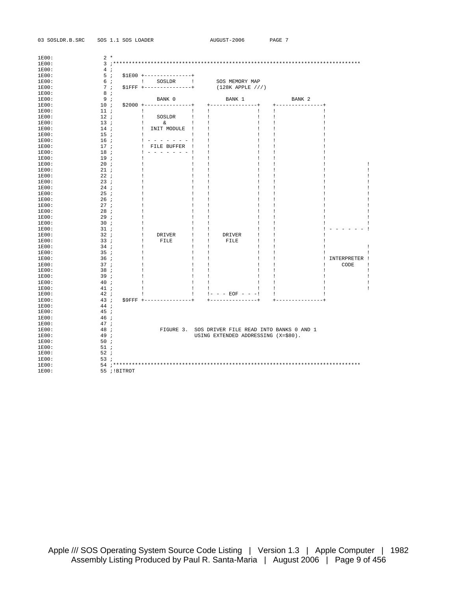| 03 SOSLDR.B.SRC |                 | SOS 1.1 SOS LOADER |                                                                                                        | AUGUST-2006                                                                                                                                                                                                                                                                                                         | PAGE 7            |                   |  |
|-----------------|-----------------|--------------------|--------------------------------------------------------------------------------------------------------|---------------------------------------------------------------------------------------------------------------------------------------------------------------------------------------------------------------------------------------------------------------------------------------------------------------------|-------------------|-------------------|--|
| 1E00:           | $2 *$           |                    |                                                                                                        |                                                                                                                                                                                                                                                                                                                     |                   |                   |  |
| 1E00:           |                 |                    |                                                                                                        |                                                                                                                                                                                                                                                                                                                     |                   |                   |  |
| 1E00:           | 4;              |                    |                                                                                                        |                                                                                                                                                                                                                                                                                                                     |                   |                   |  |
|                 | 5i              |                    |                                                                                                        |                                                                                                                                                                                                                                                                                                                     |                   |                   |  |
| 1E00:<br>1E00:  | 6i              |                    | $$1E00$ +---------------+                                                                              | ! SOSLDR ! SOS MEMORY MAP                                                                                                                                                                                                                                                                                           |                   |                   |  |
|                 |                 |                    |                                                                                                        |                                                                                                                                                                                                                                                                                                                     |                   |                   |  |
| 1E00:           |                 |                    |                                                                                                        | 7 : $$1FFF +----------+$ (128K APPLE ///)                                                                                                                                                                                                                                                                           |                   |                   |  |
| 1E00:           | 8 <sub>i</sub>  |                    |                                                                                                        |                                                                                                                                                                                                                                                                                                                     |                   |                   |  |
| 1E00:           | 9:              |                    | BANK 0                                                                                                 | BANK 1                                                                                                                                                                                                                                                                                                              | BANK <sub>2</sub> |                   |  |
| 1E00:           | 10i             |                    |                                                                                                        |                                                                                                                                                                                                                                                                                                                     | +---------------+ |                   |  |
| 1E00:           | 11i             | and the London     | and the control of the state                                                                           | $\sim$ 1.000<br>$\sim$ 1.000 $\sim$                                                                                                                                                                                                                                                                                 | $\mathbf{1}$      | -1                |  |
| 1E00:           | 12i             |                    | $\blacksquare$ SOSLDR $\blacksquare$ $\blacksquare$                                                    | $\mathbf{I}$                                                                                                                                                                                                                                                                                                        | $\perp$           | $\mathbf{I}$      |  |
| 1E00:           | 13i             |                    | $\mathbf{1}$<br>$\delta$ and $\delta$ and $\delta$ and $\delta$ and $\delta$ and $\delta$ and $\delta$ | $\sim$ 1 $\sim$ 1 $\sim$<br>$\mathbf{1}$                                                                                                                                                                                                                                                                            | $\mathbf{I}$      | $\perp$           |  |
| 1E00:           | 14 ;            |                    | ! INIT MODULE ! !                                                                                      | $\mathbf{I}$                                                                                                                                                                                                                                                                                                        | $\perp$           | -1                |  |
| 1E00:           | 15 <sub>i</sub> | $\mathbf{1}$       | and the first products.                                                                                | $\mathbf{I}$<br>$\mathbf{I}$                                                                                                                                                                                                                                                                                        | Ι.                |                   |  |
| 1E00:           | 16 ;            |                    | $1 - - - - - - - 1$                                                                                    | $\mathbf{1}$                                                                                                                                                                                                                                                                                                        | $\mathbf{I}$      |                   |  |
| 1E00:           | 17 ;            |                    | ! FILE BUFFER ! !                                                                                      | $\mathbf{I}$                                                                                                                                                                                                                                                                                                        | -1                | ÷                 |  |
| 1E00:           | 18;             |                    | $1 - 1 - 1 - 1 - 1$                                                                                    | $\mathbf{1}$                                                                                                                                                                                                                                                                                                        | $\mathbf{I}$      |                   |  |
| 1E00:           | 19i             | $\mathbf{I}$       | $\sim 1$                                                                                               | $\mathbf{1}$<br>$\mathbf{L}$                                                                                                                                                                                                                                                                                        | 1                 |                   |  |
| 1E00:           | 20 i            | - 1                | $\sim$ 1.000                                                                                           | $\sim$ 1<br>- 11                                                                                                                                                                                                                                                                                                    | $\mathbf{I}$      | 1                 |  |
| 1E00:           | $21$ ;          | $\mathbf{I}$       | $\sim$ 1.000                                                                                           | $\mathbf{I}$<br>$\pm$                                                                                                                                                                                                                                                                                               | $\mathbf{I}$      | 1                 |  |
| 1E00:           | 22i             | ÷                  | $\sim 1$                                                                                               | Τ.<br>$\mathbf{I}$                                                                                                                                                                                                                                                                                                  | $\mathbf{I}$      | T                 |  |
| 1E00:           | 23:             | Τ.                 | $\sim$ 1.000                                                                                           | Ι.<br>- 1                                                                                                                                                                                                                                                                                                           | $\mathbf{I}$      | 1                 |  |
| 1E00:           | 24:             | ÷                  | $\mathbf{1}$                                                                                           | $\perp$<br>$\mathbf{I}$                                                                                                                                                                                                                                                                                             | $\mathbf{I}$      | 1                 |  |
| 1E00:           | $25$ ;          | ÷                  | $\mathbf{1}$                                                                                           | $\perp$<br>$\pm$                                                                                                                                                                                                                                                                                                    | -1                | T                 |  |
| 1E00:           | 26 i            | Τ.                 | $\sim$ 1.000                                                                                           | $\pm$<br>- 1                                                                                                                                                                                                                                                                                                        | $\mathbf{I}$      | T                 |  |
| 1E00:           | 27i             | $\pm$              | $\mathbf{1}$                                                                                           | Τ.<br>$\mathbf{I}$                                                                                                                                                                                                                                                                                                  | $\perp$           | -1<br>-           |  |
| 1E00:           | 28i             | ÷                  | $\mathbf{1}$                                                                                           | $\mathbf{I}$<br>$\mathbf{I}$                                                                                                                                                                                                                                                                                        | -1                | 1                 |  |
| 1E00:           | 29 i            | ÷                  | $\sim 1$                                                                                               | $\blacksquare$<br>$\mathbf{I}$                                                                                                                                                                                                                                                                                      | $\mathbf{I}$      | 1                 |  |
| 1E00:           | 30 <sub>i</sub> | $\mathbf{I}$       | $\sim$ 1.000                                                                                           | Ι.<br>$\pm$                                                                                                                                                                                                                                                                                                         | $\mathbf{I}$      | Ι.                |  |
| 1E00:           | 31:             | $\mathbf{I}$       | $\sim$ 1.000                                                                                           | $\mathbf{I}$<br>$\perp$                                                                                                                                                                                                                                                                                             | $\mathbf{I}$      | $- - - - 1$       |  |
| 1E00:           | 32i             | 4                  | DRIVER ! !                                                                                             | DRIVER<br>$\mathbf{1}$                                                                                                                                                                                                                                                                                              | -1                | $\mathbf{I}$      |  |
| 1E00:           | 33i             | $\mathbf{I}$       | $\begin{tabular}{lllllll} \bf{FILE} & & & & 1 & \\ \end{tabular}$                                      | FILE<br>$\mathbf{1}$                                                                                                                                                                                                                                                                                                | -1                |                   |  |
| 1E00:           | 34 <i>i</i>     | $\pm$              | $\sim$ 1.000                                                                                           | $\mathbf{1}$<br>$\mathbf{1}$                                                                                                                                                                                                                                                                                        | $\perp$           | -1                |  |
| 1E00:           | 35 <sub>i</sub> | Τ.                 | $\mathbf{1}$                                                                                           | $\mathbf{1}$<br>$\mathbf{1}$                                                                                                                                                                                                                                                                                        | $\mathbf{I}$      | Ι.<br>$\perp$     |  |
| 1E00:           | 36 <sub>i</sub> | Τ.                 | $\sim$ 1.000                                                                                           | $\sim$ 1.000<br>$\mathbf{1}$                                                                                                                                                                                                                                                                                        | $\mathbf{1}$      | ! INTERPRETER !   |  |
| 1E00:           | 37 <sub>i</sub> | ÷                  | $\sim 1$                                                                                               | $\mathbf{1}$<br>$\sim$                                                                                                                                                                                                                                                                                              | $\mathbf{I}$      | Τ.<br>CODE<br>- 1 |  |
| 1E00:           | 38 <sub>i</sub> | ÷                  | $\mathbf{1}$                                                                                           | $\sim$ 1.<br>$\mathbf{1}$                                                                                                                                                                                                                                                                                           | $\mathbf{I}$      | Ţ<br>÷            |  |
| 1E00:           | 39 ;            | - 1                | $\sim$ 1.000                                                                                           | $\mathbf{1}$<br>$\mathbf{1}$                                                                                                                                                                                                                                                                                        | $\mathbf{I}$      | Ι.<br>$\perp$     |  |
| 1E00:           | 40 <i>i</i>     | - 1                | $\sim$ 1 $\sim$ 1                                                                                      | $\frac{1}{2}$ $\frac{1}{2}$                                                                                                                                                                                                                                                                                         |                   | Ι.<br>-1          |  |
| 1E00:           | 41i             | $\mathbf{1}$       | $-1$                                                                                                   | $\sim$ 1.000<br>$\mathbf{1}$                                                                                                                                                                                                                                                                                        | $\sim 1$          | T<br>Ι.           |  |
| 1E00:           | 42i             |                    | $-1$                                                                                                   | $\frac{1}{2}$ $\frac{1}{2}$ $\frac{1}{2}$ $\frac{1}{2}$ $\frac{1}{2}$ $\frac{1}{2}$ $\frac{1}{2}$ $\frac{1}{2}$ $\frac{1}{2}$ $\frac{1}{2}$ $\frac{1}{2}$ $\frac{1}{2}$ $\frac{1}{2}$ $\frac{1}{2}$ $\frac{1}{2}$ $\frac{1}{2}$ $\frac{1}{2}$ $\frac{1}{2}$ $\frac{1}{2}$ $\frac{1}{2}$ $\frac{1}{2}$ $\frac{1}{2}$ |                   | -1                |  |
| 1E00:           | 43;             |                    |                                                                                                        |                                                                                                                                                                                                                                                                                                                     |                   |                   |  |
| 1E00:           | 44;             |                    |                                                                                                        |                                                                                                                                                                                                                                                                                                                     |                   |                   |  |
| 1E00:           | 45:             |                    |                                                                                                        |                                                                                                                                                                                                                                                                                                                     |                   |                   |  |
| 1E00:           | 46;             |                    |                                                                                                        |                                                                                                                                                                                                                                                                                                                     |                   |                   |  |
| 1E00:           | 47;             |                    |                                                                                                        |                                                                                                                                                                                                                                                                                                                     |                   |                   |  |
| 1E00:           | 48;             |                    |                                                                                                        | FIGURE 3. SOS DRIVER FILE READ INTO BANKS 0 AND 1                                                                                                                                                                                                                                                                   |                   |                   |  |
| 1E00:           | 49;             |                    |                                                                                                        | USING EXTENDED ADDRESSING (X=\$80).                                                                                                                                                                                                                                                                                 |                   |                   |  |
| 1E00:           | 50i             |                    |                                                                                                        |                                                                                                                                                                                                                                                                                                                     |                   |                   |  |
| 1E00:           | 51:             |                    |                                                                                                        |                                                                                                                                                                                                                                                                                                                     |                   |                   |  |
| 1E00:           | 52i             |                    |                                                                                                        |                                                                                                                                                                                                                                                                                                                     |                   |                   |  |
|                 |                 |                    |                                                                                                        |                                                                                                                                                                                                                                                                                                                     |                   |                   |  |
| 1E00:           | 53 <i>i</i>     |                    |                                                                                                        |                                                                                                                                                                                                                                                                                                                     |                   |                   |  |
| 1E00:<br>1E00:  |                 |                    |                                                                                                        |                                                                                                                                                                                                                                                                                                                     |                   |                   |  |
|                 |                 | 55 ; !BITROT       |                                                                                                        |                                                                                                                                                                                                                                                                                                                     |                   |                   |  |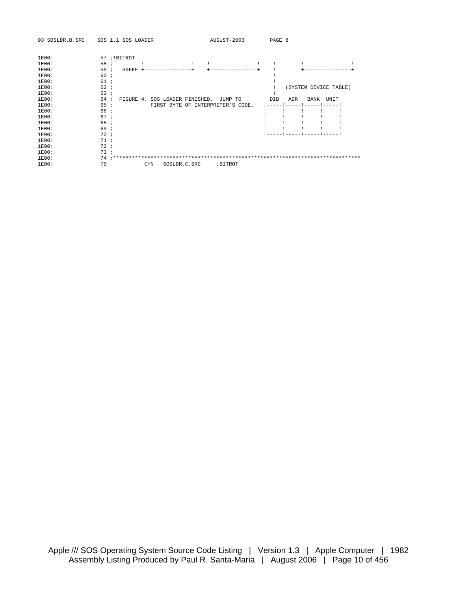| 03 SOSLDR.B.SRC | AUGUST-2006<br>SOS 1.1 SOS LOADER                 | PAGE 8                     |
|-----------------|---------------------------------------------------|----------------------------|
| 1E00:           | 57 ; !BITROT                                      |                            |
| 1E00:           | 58 ;                                              |                            |
| 1E00:           | 59;<br>\$9FFF                                     |                            |
| 1E00:           | 60 i                                              |                            |
| 1E00:           | 61i                                               |                            |
| 1E00:           | 62i                                               | (SYSTEM DEVICE TABLE)      |
| 1E00:           | 63:                                               |                            |
| 1E00:           | 64 i<br>FIGURE 4. SOS LOADER FINISHED.<br>JUMP TO | DIB<br>ADR<br>BANK<br>UNIT |
| 1E00:           | 65 i<br>FIRST BYTE OF INTERPRETER'S CODE.         |                            |
| 1E00:           | 66 i                                              |                            |
| 1E00:           | 67i                                               |                            |
| 1E00:           | 68;                                               |                            |
| 1E00:           | 69 i                                              |                            |
| 1E00:           | 70i                                               |                            |
| 1E00:           | 71:                                               |                            |
| 1E00:           | 72i                                               |                            |
| 1E00:           | 73i                                               |                            |
| 1E00:           |                                                   |                            |
| 75<br>1E00:     | <b>CHN</b><br>; BITROT<br>SOSLDR.C.SRC            |                            |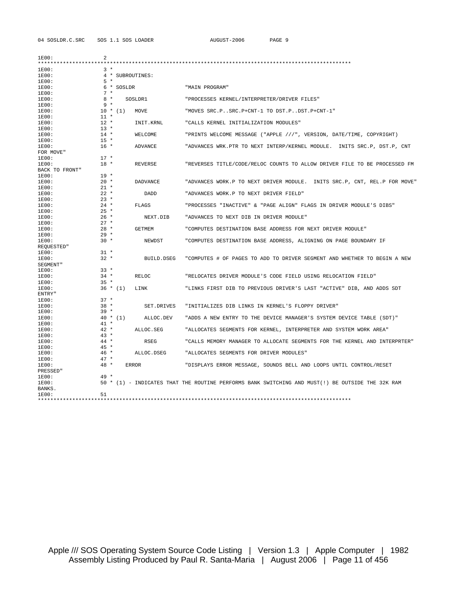04 SOSLDR.C.SRC SOS 1.1 SOS LOADER AUGUST-2006 PAGE 9

| 1E00:<br>$* * * * * *$<br>******* | $\overline{a}$ |            |                  |                                                                                                  |
|-----------------------------------|----------------|------------|------------------|--------------------------------------------------------------------------------------------------|
| 1E00:                             | $3 *$          |            |                  |                                                                                                  |
| 1E00:                             |                |            | 4 * SUBROUTINES: |                                                                                                  |
| 1E00:                             | $5*$           |            |                  |                                                                                                  |
| 1E00:                             |                | 6 * SOSLDR |                  | "MAIN PROGRAM"                                                                                   |
| 1E00:                             | $7 *$          |            |                  |                                                                                                  |
| 1E00:                             | $8 *$          |            | SOSLDR1          | "PROCESSES KERNEL/INTERPRETER/DRIVER FILES"                                                      |
| 1E00:                             | $9 *$          |            |                  |                                                                                                  |
| 1E00:                             |                | $10 * (1)$ | MOVE             | "MOVES SRC.PSRC.P+CNT-1 TO DST.PDST.P+CNT-1"                                                     |
| 1E00:                             | $11 *$         |            |                  |                                                                                                  |
| 1E00:                             | $12 *$         |            | INIT.KRNL        | "CALLS KERNEL INITIALIZATION MODULES"                                                            |
| 1E00:                             | $13 *$         |            |                  |                                                                                                  |
| 1E00:                             | $14 *$         |            | WELCOME          | "PRINTS WELCOME MESSAGE ("APPLE ///", VERSION, DATE/TIME, COPYRIGHT)                             |
| 1E00:                             | $15 *$         |            |                  |                                                                                                  |
| 1E00:                             | $16 *$         |            | <b>ADVANCE</b>   | "ADVANCES WRK.PTR TO NEXT INTERP/KERNEL MODULE. INITS SRC.P, DST.P, CNT                          |
| FOR MOVE"                         |                |            |                  |                                                                                                  |
| 1E00:                             | $17 *$         |            |                  |                                                                                                  |
| 1E00:                             | $18 *$         |            | <b>REVERSE</b>   | "REVERSES TITLE/CODE/RELOC COUNTS TO ALLOW DRIVER FILE TO BE PROCESSED FM                        |
| BACK TO FRONT"                    |                |            |                  |                                                                                                  |
| 1E00:                             | $19 *$         |            |                  |                                                                                                  |
| 1E00:                             | $20 *$         |            | <b>DADVANCE</b>  | "ADVANCES WORK.P TO NEXT DRIVER MODULE. INITS SRC.P, CNT, REL.P FOR MOVE"                        |
| 1E00:                             | $21 *$         |            |                  |                                                                                                  |
| 1E00:                             | $22 *$         |            | <b>DADD</b>      | "ADVANCES WORK.P TO NEXT DRIVER FIELD"                                                           |
| 1E00:                             | $23 *$         |            |                  |                                                                                                  |
| 1E00:                             | $24 *$         |            | FLAGS            | "PROCESSES "INACTIVE" & "PAGE ALIGN" FLAGS IN DRIVER MODULE'S DIBS"                              |
| 1E00:                             | $25 *$         |            |                  |                                                                                                  |
| 1E00:                             | $26 *$         |            | NEXT.DIB         | "ADVANCES TO NEXT DIB IN DRIVER MODULE"                                                          |
| 1E00:                             | $27 *$         |            |                  |                                                                                                  |
| 1E00:                             | $28 *$         |            | <b>GETMEM</b>    | "COMPUTES DESTINATION BASE ADDRESS FOR NEXT DRIVER MODULE"                                       |
| 1E00:                             | $29 *$         |            |                  |                                                                                                  |
| 1E00:                             | $30 *$         |            | NEWDST           | "COMPUTES DESTINATION BASE ADDRESS, ALIGNING ON PAGE BOUNDARY IF                                 |
| REQUESTED"                        |                |            |                  |                                                                                                  |
| 1E00:                             | $31 *$         |            |                  |                                                                                                  |
| 1E00:                             | $32 *$         |            | BUILD.DSEG       | "COMPUTES # OF PAGES TO ADD TO DRIVER SEGMENT AND WHETHER TO BEGIN A NEW                         |
| SEGMENT"                          |                |            |                  |                                                                                                  |
| 1E00:                             | $33 *$         |            |                  |                                                                                                  |
| 1E00:                             | $34 *$         |            | RELOC            | "RELOCATES DRIVER MODULE'S CODE FIELD USING RELOCATION FIELD"                                    |
| 1E00:                             | $35 *$         |            |                  |                                                                                                  |
| 1E00:                             |                | $36 * (1)$ | LINK             | "LINKS FIRST DIB TO PREVIOUS DRIVER'S LAST "ACTIVE" DIB, AND ADDS SDT                            |
| ENTRY"                            |                |            |                  |                                                                                                  |
| 1E00:                             | $37 *$         |            |                  |                                                                                                  |
| 1E00:                             | $38 *$         |            | SET.DRIVES       | "INITIALIZES DIB LINKS IN KERNEL'S FLOPPY DRIVER"                                                |
| 1E00:                             | $39 *$         |            |                  |                                                                                                  |
| 1E00:                             |                | $40 * (1)$ | ALLOC.DEV        | "ADDS A NEW ENTRY TO THE DEVICE MANAGER'S SYSTEM DEVICE TABLE (SDT)"                             |
| 1E00:                             | $41 *$         |            |                  |                                                                                                  |
| 1E00:                             | $42 *$         |            | ALLOC.SEG        | "ALLOCATES SEGMENTS FOR KERNEL, INTERPRETER AND SYSTEM WORK AREA"                                |
| 1E00:                             | $43 *$         |            |                  |                                                                                                  |
| 1E00:                             | $44 *$         |            | RSEG             | "CALLS MEMORY MANAGER TO ALLOCATE SEGMENTS FOR THE KERNEL AND INTERPRTER"                        |
| 1E00:                             | $45 *$         |            |                  |                                                                                                  |
| 1E00:                             | $46 *$         |            | ALLOC.DSEG       | "ALLOCATES SEGMENTS FOR DRIVER MODULES"                                                          |
| 1E00:                             | $47 *$         |            |                  |                                                                                                  |
| 1E00:                             | $48 *$         |            | <b>ERROR</b>     | "DISPLAYS ERROR MESSAGE, SOUNDS BELL AND LOOPS UNTIL CONTROL/RESET                               |
| PRESSED"                          |                |            |                  |                                                                                                  |
| 1E00:                             | $49 *$         |            |                  |                                                                                                  |
| 1E00:                             |                |            |                  | 50 * (1) - INDICATES THAT THE ROUTINE PERFORMS BANK SWITCHING AND MUST(!) BE OUTSIDE THE 32K RAM |
| BANKS.                            | 51             |            |                  |                                                                                                  |
| 1E00:                             |                |            |                  |                                                                                                  |
|                                   |                |            |                  |                                                                                                  |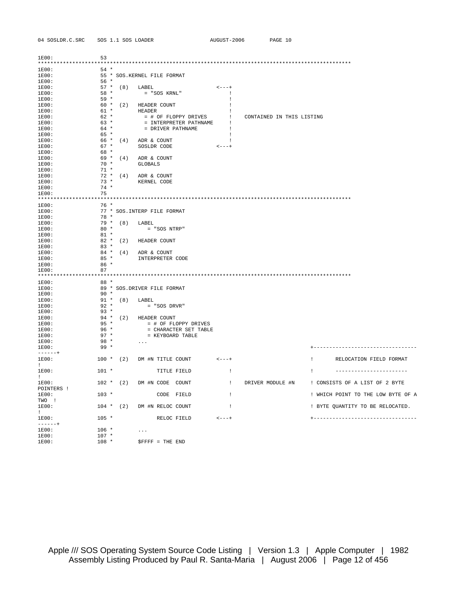| 04 SOSLDR.C.SRC<br>SOS 1.1 SOS LOAD |  |  |  |
|-------------------------------------|--|--|--|
|-------------------------------------|--|--|--|

ADER

| 1E00:                                                                                                                                                                                                                                | 53               |        |                                                  |                    |                           |                                               |
|--------------------------------------------------------------------------------------------------------------------------------------------------------------------------------------------------------------------------------------|------------------|--------|--------------------------------------------------|--------------------|---------------------------|-----------------------------------------------|
| 1E00:                                                                                                                                                                                                                                | $54*$            |        |                                                  |                    |                           |                                               |
| 1E00:                                                                                                                                                                                                                                |                  |        | 55 * SOS. KERNEL FILE FORMAT                     |                    |                           |                                               |
| 1E00:                                                                                                                                                                                                                                | $56*$            |        |                                                  |                    |                           |                                               |
| 1E00:                                                                                                                                                                                                                                |                  |        | 57 * (8) LABEL                                   | $\lt$ - - - +      |                           |                                               |
|                                                                                                                                                                                                                                      | $58 *$           |        |                                                  | $\mathbf{1}$       |                           |                                               |
| 1E00:                                                                                                                                                                                                                                | 59 *             |        | = "SOS KRNL"                                     | $\mathbf{I}$       |                           |                                               |
| 1E00:                                                                                                                                                                                                                                |                  |        |                                                  |                    |                           |                                               |
| 1E00:                                                                                                                                                                                                                                |                  |        | 60 * (2) HEADER COUNT                            | $\perp$            |                           |                                               |
| 1E00:                                                                                                                                                                                                                                | $61 *$           |        | HEADER                                           | $\mathbf{I}$       |                           |                                               |
| 1E00:                                                                                                                                                                                                                                | $62 *$<br>$63 *$ |        | = # OF FLOPPY DRIVES !<br>= INTERPRETER PATHNAME | $\sim1$            | CONTAINED IN THIS LISTING |                                               |
| 1E00:                                                                                                                                                                                                                                |                  |        |                                                  | $\overline{1}$     |                           |                                               |
| 1E00:                                                                                                                                                                                                                                | 64 *             |        | = DRIVER PATHNAME                                |                    |                           |                                               |
| 1E00:                                                                                                                                                                                                                                | 65 *             |        |                                                  |                    |                           |                                               |
| 1E00:                                                                                                                                                                                                                                |                  |        | $66 * (4)$ ADR & COUNT                           |                    |                           |                                               |
| 1E00:                                                                                                                                                                                                                                | $67 *$           |        | SOSLDR CODE                                      | $<---+$            |                           |                                               |
| 1E00:                                                                                                                                                                                                                                | 68 *             |        |                                                  |                    |                           |                                               |
| 1E00:                                                                                                                                                                                                                                |                  |        | $69 * (4)$ ADR & COUNT                           |                    |                           |                                               |
| 1E00:                                                                                                                                                                                                                                | $70*$            |        | GLOBALS                                          |                    |                           |                                               |
| 1E00:                                                                                                                                                                                                                                | $71 *$           |        |                                                  |                    |                           |                                               |
| 1E00:                                                                                                                                                                                                                                |                  |        | $72 * (4)$ ADR & COUNT                           |                    |                           |                                               |
| 1E00:                                                                                                                                                                                                                                |                  | $73$ * | KERNEL CODE                                      |                    |                           |                                               |
| 1E00:                                                                                                                                                                                                                                | $74 *$           |        |                                                  |                    |                           |                                               |
| 1E00:                                                                                                                                                                                                                                | 75               |        |                                                  |                    |                           |                                               |
|                                                                                                                                                                                                                                      |                  |        |                                                  |                    |                           |                                               |
| 1E00:                                                                                                                                                                                                                                | $76*$            |        |                                                  |                    |                           |                                               |
| 1E00:                                                                                                                                                                                                                                |                  |        | 77 * SOS. INTERP FILE FORMAT                     |                    |                           |                                               |
| 1E00:                                                                                                                                                                                                                                | 78 *             |        |                                                  |                    |                           |                                               |
| 1E00:                                                                                                                                                                                                                                |                  |        | 79 * (8) LABEL                                   |                    |                           |                                               |
| 1E00:                                                                                                                                                                                                                                | $80*$            |        | $=$ "SOS NTRP"                                   |                    |                           |                                               |
| 1E00:                                                                                                                                                                                                                                | $81$ *           |        |                                                  |                    |                           |                                               |
| 1E00:                                                                                                                                                                                                                                |                  |        | 82 * (2) HEADER COUNT                            |                    |                           |                                               |
| 1E00:                                                                                                                                                                                                                                | $83 *$           |        |                                                  |                    |                           |                                               |
| 1E00:                                                                                                                                                                                                                                |                  |        | $84 * (4)$ ADR & COUNT                           |                    |                           |                                               |
| 1E00:                                                                                                                                                                                                                                | $85 *$           |        | INTERPRETER CODE                                 |                    |                           |                                               |
| 1E00:                                                                                                                                                                                                                                | $86*$            |        |                                                  |                    |                           |                                               |
| 1E00:                                                                                                                                                                                                                                | 87               |        |                                                  |                    |                           |                                               |
|                                                                                                                                                                                                                                      |                  |        |                                                  |                    |                           |                                               |
| 1E00:                                                                                                                                                                                                                                | 88 *             |        |                                                  |                    |                           |                                               |
| 1E00:                                                                                                                                                                                                                                |                  |        | 89 * SOS.DRIVER FILE FORMAT                      |                    |                           |                                               |
| 1E00:                                                                                                                                                                                                                                | $90 *$           |        |                                                  |                    |                           |                                               |
| 1E00:                                                                                                                                                                                                                                |                  |        | 91 * (8) LABEL                                   |                    |                           |                                               |
| 1E00:                                                                                                                                                                                                                                | $92 *$           |        | $= "SOS DRVR"$                                   |                    |                           |                                               |
| 1E00:                                                                                                                                                                                                                                | $93 *$           |        |                                                  |                    |                           |                                               |
| 1E00:                                                                                                                                                                                                                                |                  |        | 94 * (2) HEADER COUNT                            |                    |                           |                                               |
| 1E00:                                                                                                                                                                                                                                | $95 *$           |        | = # OF FLOPPY DRIVES                             |                    |                           |                                               |
| 1E00:                                                                                                                                                                                                                                | $96 *$           |        | = CHARACTER SET TABLE                            |                    |                           |                                               |
| 1E00:                                                                                                                                                                                                                                | $97 *$           |        | = KEYBOARD TABLE                                 |                    |                           |                                               |
| 1E00:                                                                                                                                                                                                                                | $98*$            |        | $\cdots$                                         |                    |                           |                                               |
| 1E00:                                                                                                                                                                                                                                | $99 *$           |        |                                                  |                    |                           | +--------------------------------             |
| $- - - - - - +$                                                                                                                                                                                                                      |                  |        |                                                  |                    |                           |                                               |
| 1E00:                                                                                                                                                                                                                                |                  |        | 100 * (2) DM #N TITLE COUNT                      | $    +$            |                           | RELOCATION FIELD FORMAT<br><b>The Company</b> |
| $\mathbf{1}$                                                                                                                                                                                                                         |                  |        |                                                  |                    |                           |                                               |
| 1E00:                                                                                                                                                                                                                                | $101 *$          |        | TITLE FIELD                                      | $\mathbf{I}$       |                           | $\mathbf{I}$<br>-----------------------       |
| <b>The Contract of the Contract of the Contract of the Contract of the Contract of the Contract of the Contract of the Contract of the Contract of the Contract of the Contract of the Contract of the Contract of the Contract </b> |                  |        |                                                  |                    |                           |                                               |
| 1E00:                                                                                                                                                                                                                                |                  |        | 102 * (2) DM #N CODE COUNT                       | $\blacksquare$     | DRIVER MODULE #N          | ! CONSISTS OF A LIST OF 2 BYTE                |
| POINTERS !                                                                                                                                                                                                                           |                  |        |                                                  |                    |                           |                                               |
| 1E00:                                                                                                                                                                                                                                | $103 *$          |        | CODE FIELD                                       | $\mathbf{I}$       |                           | ! WHICH POINT TO THE LOW BYTE OF A            |
| TWO !                                                                                                                                                                                                                                |                  |        |                                                  |                    |                           |                                               |
| 1E00:                                                                                                                                                                                                                                |                  |        | 104 * (2) DM #N RELOC COUNT                      | $\perp$            |                           | ! BYTE QUANTITY TO BE RELOCATED.              |
| $\mathbf{1}$                                                                                                                                                                                                                         |                  |        |                                                  |                    |                           |                                               |
| 1E00:                                                                                                                                                                                                                                | $105 *$          |        | RELOC FIELD                                      | $\leftarrow$ $  +$ |                           | +---------------------------------            |
| $----++$                                                                                                                                                                                                                             |                  |        |                                                  |                    |                           |                                               |
| 1E00:                                                                                                                                                                                                                                | $106 *$          |        | $\sim$ $\sim$ $\sim$                             |                    |                           |                                               |
| 1E00:                                                                                                                                                                                                                                | $107 *$          |        |                                                  |                    |                           |                                               |
| 1E00:                                                                                                                                                                                                                                | $108 *$          |        | $S$ FFFF = THE END                               |                    |                           |                                               |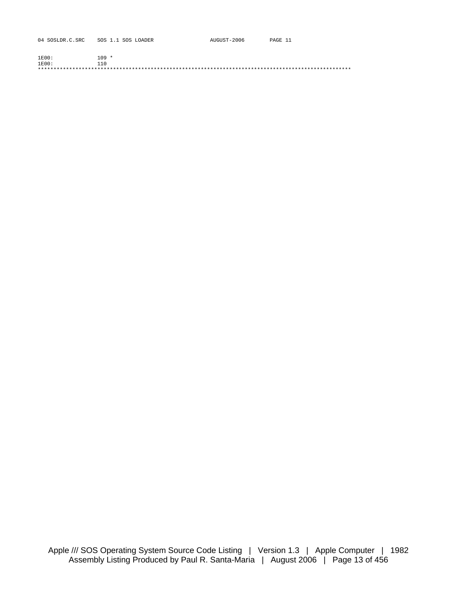| 04 SOSLDR.C.SRC | SOS 1.1 SOS LOADER | AUGUST-2006 | PAGE 11 |
|-----------------|--------------------|-------------|---------|
|                 |                    |             |         |
| 1E00:           | $109 *$            |             |         |
| $1E00$ :        | 110                |             |         |
|                 |                    |             |         |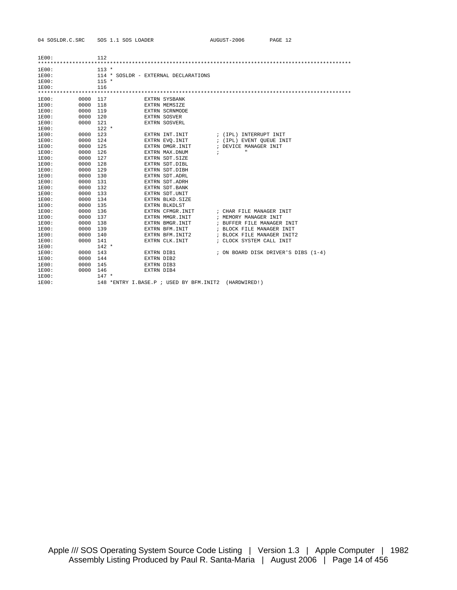| 04 SOSLDR.C.SRC | SOS 1.1 SOS LOADER |
|-----------------|--------------------|
|-----------------|--------------------|

| $1E00$ : |      | 112     |                                         |                                     |
|----------|------|---------|-----------------------------------------|-------------------------------------|
|          |      |         |                                         |                                     |
| 1E00:    |      | $113 *$ |                                         |                                     |
| 1E00:    |      |         | 114 * SOSLDR - EXTERNAL DECLARATIONS    |                                     |
| 1E00:    |      | $115 *$ |                                         |                                     |
| 1E00:    |      | 116     |                                         |                                     |
|          |      |         |                                         |                                     |
| 1E00:    | 0000 | 117     | EXTRN SYSBANK                           |                                     |
| 1E00:    | 0000 | 118     | EXTRN MEMSIZE                           |                                     |
| 1E00:    | 0000 | 119     | EXTRN SCRNMODE                          |                                     |
| 1E00:    | 0000 | 120     | <b>EXTRN SOSVER</b>                     |                                     |
| 1E00:    | 0000 | 121     | EXTRN SOSVERL                           |                                     |
| 1E00:    |      | $122 *$ |                                         |                                     |
| 1E00:    | 0000 | 123     | EXTRN INT. INIT                         | ; (IPL) INTERRUPT INIT              |
| 1E00:    | 0000 | 124     | EXTRN EVO. INIT                         | ; (IPL) EVENT OUEUE INIT            |
| 1E00:    | 0000 | 125     | EXTRN DMGR.INIT                         | ; DEVICE MANAGER INIT               |
| 1E00:    | 0000 | 126     | EXTRN MAX.DNUM                          | $\mathbf{H}$<br>$\ddot{i}$          |
| 1E00:    | 0000 | 127     | EXTRN SDT. SIZE                         |                                     |
| 1E00:    | 0000 | 128     | EXTRN SDT.DIBL                          |                                     |
| 1E00:    | 0000 | 129     | EXTRN SDT.DIBH                          |                                     |
| 1E00:    | 0000 | 130     | EXTRN SDT.ADRL                          |                                     |
| 1E00:    | 0000 | 131     | EXTRN SDT.ADRH                          |                                     |
| 1E00:    | 0000 | 132     | EXTRN SDT. BANK                         |                                     |
| 1E00:    | 0000 | 133     | EXTRN SDT.UNIT                          |                                     |
| 1E00:    | 0000 | 134     | EXTRN BLKD. SIZE                        |                                     |
| 1E00:    | 0000 | 135     | EXTRN BLKDLST                           |                                     |
| 1E00:    | 0000 | 136     | EXTRN CFMGR. INIT                       | ; CHAR FILE MANAGER INIT            |
| 1E00:    | 0000 | 137     | EXTRN MMGR. INIT                        | ; MEMORY MANAGER INIT               |
| 1E00:    | 0000 | 138     | EXTRN BMGR.INIT                         | ; BUFFER FILE MANAGER INIT          |
| 1E00:    | 0000 | 139     | EXTRN BFM. INIT                         | ; BLOCK FILE MANAGER INIT           |
| 1E00:    | 0000 | 140     | EXTRN BFM. INIT2                        | ; BLOCK FILE MANAGER INIT2          |
| 1E00:    | 0000 | 141     | EXTRN CLK. INIT                         | ; CLOCK SYSTEM CALL INIT            |
| 1E00:    |      | $142 *$ |                                         |                                     |
| 1E00:    | 0000 | 143     | <b>EXTRN DIB1</b>                       | ; ON BOARD DISK DRIVER'S DIBS (1-4) |
| 1E00:    | 0000 | 144     | EXTRN DIB2                              |                                     |
| 1E00:    | 0000 | 145     | EXTRN DIB3                              |                                     |
| 1E00:    | 0000 | 146     | EXTRN DIB4                              |                                     |
| 1E00:    |      | $147 *$ |                                         |                                     |
| 1E00:    |      |         | 148 *ENTRY I.BASE.P ; USED BY BFM.INIT2 | (HARDWIRED!)                        |

AUGUST-2006 PAGE 12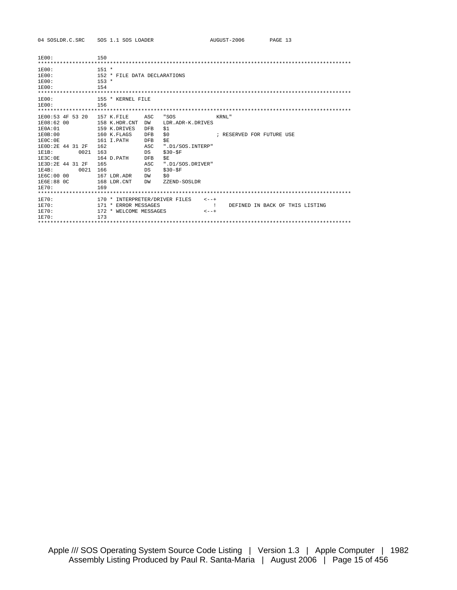04 SOSLDR.C.SRC SOS 1.1 SOS LOADER

| 1E00:             | 150                            |            |                  |                                       |
|-------------------|--------------------------------|------------|------------------|---------------------------------------|
|                   |                                |            |                  |                                       |
| 1E00:             | $151 *$                        |            |                  |                                       |
| 1E00:             | 152 * FILE DATA DECLARATIONS   |            |                  |                                       |
| 1E00:             | $153 *$                        |            |                  |                                       |
| 1E00:             | 154                            |            |                  |                                       |
|                   |                                |            |                  |                                       |
| 1E00:             | 155 * KERNEL FILE              |            |                  |                                       |
| 1E00:             | 156                            |            |                  |                                       |
|                   |                                |            |                  |                                       |
| 1E00:53 4F 53 20  | 157 K.FILE                     | ASC        | "SOS             | KRNI."                                |
| 1E08:62 00        | 158 K.HDR.CNT                  | DW         | LDR.ADR-K.DRIVES |                                       |
| 1E0A:01           | 159 K.DRIVES                   | <b>DFB</b> | \$1              |                                       |
| 1E0B:00           | 160 K.FLAGS                    | <b>DFB</b> | \$0              | ; RESERVED FOR FUTURE USE             |
| 1E0C:0E           | 161 I.PATH                     | <b>DFB</b> | \$Ε              |                                       |
| 1E0D:2E 44 31 2F  | 162                            | ASC        | ".D1/SOS.INTERP" |                                       |
| 1E1B:<br>0021     | 163                            | DS         | $$30-$F$         |                                       |
| 1E3C:0E           | 164 D.PATH                     | <b>DFB</b> | ŚΕ.              |                                       |
| 1E3D: 2E 44 31 2F | 165                            | ASC        | ".D1/SOS.DRIVER" |                                       |
| 0021<br>1E4B:     | 166                            | DS         | $$30-$F$         |                                       |
| 1E6C:00 00        | 167 LDR.ADR                    | DW         | \$0              |                                       |
| 1E6E:88 OC        | 168 LDR.CNT                    | DW         | ZZEND-SOSLDR     |                                       |
| 1E70:             | 169                            |            |                  |                                       |
|                   |                                |            |                  |                                       |
| 1E70:             | 170 * INTERPRETER/DRIVER FILES |            | $\leftarrow - +$ |                                       |
| 1E70:             | 171 * ERROR MESSAGES           |            |                  | DEFINED IN BACK OF THIS LISTING<br>Ι. |
| 1E70:             | 172 * WELCOME MESSAGES         |            | $\lt$ - - +      |                                       |
| 1E70:             | 173                            |            |                  |                                       |
|                   |                                |            |                  |                                       |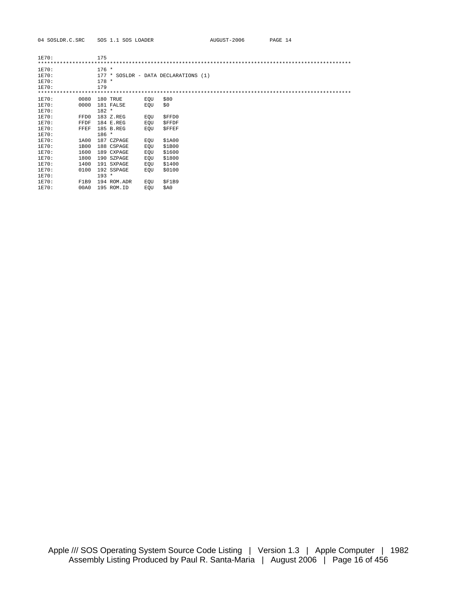| 1E70: |      | 175     |             |     |                                      |  |
|-------|------|---------|-------------|-----|--------------------------------------|--|
|       |      |         |             |     |                                      |  |
| 1E70: |      | $176 *$ |             |     |                                      |  |
| 1E70: |      |         |             |     | 177 * SOSLDR - DATA DECLARATIONS (1) |  |
| 1E70: |      | $178 *$ |             |     |                                      |  |
| 1E70: |      | 179     |             |     |                                      |  |
|       |      |         |             |     |                                      |  |
| 1E70: | 0080 |         | 180 TRUE    | EQU | \$80                                 |  |
| 1E70: | 0000 |         | 181 FALSE   | EOU | \$0                                  |  |
| 1E70: |      | $182 *$ |             |     |                                      |  |
| 1E70: | FFD0 |         | 183 Z.REG   | EQU | \$FFD0                               |  |
| 1E70: | FFDF |         | 184 E.REG   | EQU | <b>\$FFDF</b>                        |  |
| 1E70: | FFEF |         | 185 B.REG   | EOU | <b>SFFEF</b>                         |  |
| 1E70: |      | $186 *$ |             |     |                                      |  |
| 1E70: | 1A00 |         | 187 CZPAGE  | EQU | \$1A00                               |  |
| 1E70: | 1B00 |         | 188 CSPAGE  | EOU | \$1B00                               |  |
| 1E70: | 1600 |         | 189 CXPAGE  | EQU | \$1600                               |  |
| 1E70: | 1800 |         | 190 SZPAGE  | EQU | \$1800                               |  |
| 1E70: | 1400 |         | 191 SXPAGE  | EQU | \$1400                               |  |
| 1E70: | 0100 |         | 192 SSPAGE  | EOU | \$0100                               |  |
| 1E70: |      | $193 *$ |             |     |                                      |  |
| 1E70: | F1B9 |         | 194 ROM.ADR | EQU | SF1B9                                |  |
| 1E70: | 00A0 |         | 195 ROM.ID  | EOU | \$A0                                 |  |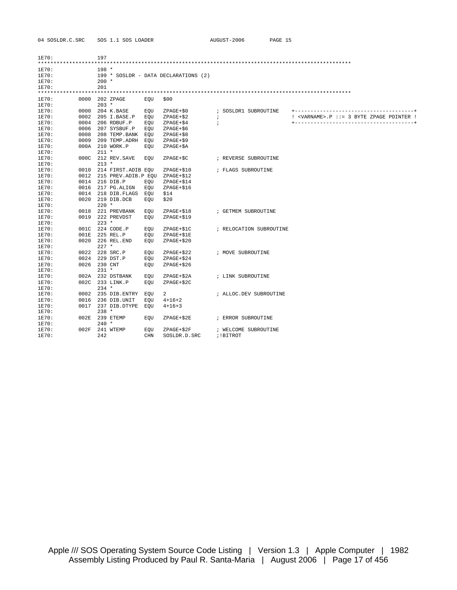04 SOSLDR.C.SRC SOS 1.1 SOS LOADER

| 1E70: |      | 197     |                          |            |                                      |                         |                                                    |
|-------|------|---------|--------------------------|------------|--------------------------------------|-------------------------|----------------------------------------------------|
|       |      |         |                          |            |                                      |                         |                                                    |
| 1E70: |      | $198 *$ |                          |            |                                      |                         |                                                    |
| 1E70: |      |         |                          |            | 199 * SOSLDR - DATA DECLARATIONS (2) |                         |                                                    |
| 1E70: |      | $200 *$ |                          |            |                                      |                         |                                                    |
| 1E70: |      | 201     |                          |            |                                      |                         |                                                    |
|       |      |         |                          |            |                                      |                         |                                                    |
| 1E70: |      |         | 0000 202 ZPAGE           | EOU        | \$00                                 |                         |                                                    |
| 1E70: |      | $203 *$ |                          |            |                                      |                         |                                                    |
| 1E70: | 0000 |         | 204 K.BASE               | EQU        | $ZPAGE+$0$                           | ; SOSLDR1 SUBROUTINE    |                                                    |
| 1E70: | 0002 |         | 205 I.BASE.P             | EOU        | $ZPAGE+$2$                           | $\ddot{ }$              | ! <varname>.P ::= 3 BYTE ZPAGE POINTER !</varname> |
| 1E70: | 0004 |         | 206 RDBUF.P              | EOU        | ZPAGE+\$4                            | $\ddot{i}$              |                                                    |
| 1E70: | 0006 |         | 207 SYSBUF.P             | EOU        | $ZPAGE+56$                           |                         |                                                    |
| 1E70: | 0008 |         | 208 TEMP.BANK            | EOU        | $ZPAGE+58$                           |                         |                                                    |
| 1E70: | 0009 |         | 209 TEMP.ADRH            | EOU        | $ZPAGE+$9$                           |                         |                                                    |
| 1E70: | 000A |         | 210 WORK.P               | EOU        | $ZPAGE+SA$                           |                         |                                                    |
| 1E70: |      | $211 *$ |                          |            |                                      |                         |                                                    |
| 1E70: | 000C |         | 212 REV.SAVE             | EOU        | ZPAGE+\$C                            | ; REVERSE SUBROUTINE    |                                                    |
| 1E70: |      | $213 *$ |                          |            |                                      |                         |                                                    |
| 1E70: |      |         | 0010 214 FIRST. ADIB EOU |            | ZPAGE+\$10                           | ; FLAGS SUBROUTINE      |                                                    |
| 1E70: | 0012 |         | 215 PREV.ADIB.P EQU      |            | $ZPAGE + $12$                        |                         |                                                    |
| 1E70: | 0014 |         | 216 DIB.P                | EOU        | $ZPAGE+$14$                          |                         |                                                    |
| 1E70: | 0016 |         | 217 PG.ALIGN             | EOU        | $ZPAGE+$16$                          |                         |                                                    |
| 1E70: | 0014 |         | 218 DIB.FLAGS            | EOU        | \$14                                 |                         |                                                    |
| 1E70: | 0020 |         | 219 DIB.DCB              | EOU        | \$20                                 |                         |                                                    |
| 1E70: |      | $220$ * |                          |            |                                      |                         |                                                    |
| 1E70: | 0018 |         | 221 PREVBANK             | EOU        | $ZPAGE + $18$                        | ; GETMEM SUBROUTINE     |                                                    |
| 1E70: | 0019 |         | 222 PREVDST              | EOU        | ZPAGE+\$19                           |                         |                                                    |
| 1E70: |      | $223 *$ |                          |            |                                      |                         |                                                    |
| 1E70: | 001C |         | 224 CODE.P               | EOU        | ZPAGE+\$1C                           | ; RELOCATION SUBROUTINE |                                                    |
| 1E70: | 001E |         | 225 REL.P                | EOU        | ZPAGE+\$1E                           |                         |                                                    |
| 1E70: | 0020 |         | 226 REL.END              | EOU        | $ZPAGE+$20$                          |                         |                                                    |
| 1E70: |      | $227$ * |                          |            |                                      |                         |                                                    |
| 1E70: | 0022 |         | 228 SRC.P                | EOU        | $ZPAGE+$22$                          | ; MOVE SUBROUTINE       |                                                    |
| 1E70: | 0024 |         | 229 DST.P                | EOU        | $ZPAGE+$24$                          |                         |                                                    |
| 1E70: | 0026 | 230 CNT |                          | EOU        | $ZPAGE+$26$                          |                         |                                                    |
| 1E70: |      | $231 *$ |                          |            |                                      |                         |                                                    |
| 1E70: |      |         | 002A 232 DSTBANK         | EOU        | $ZPAGE+$2A$                          | ; LINK SUBROUTINE       |                                                    |
| 1E70: | 002C |         | 233 LINK.P               | EOU        | $ZPAGE+$2C$                          |                         |                                                    |
| 1E70: |      | $234 *$ |                          |            |                                      |                         |                                                    |
| 1E70: |      |         | 0002 235 DIB.ENTRY       | EOU        | 2                                    | ; ALLOC.DEV SUBROUTINE  |                                                    |
| 1E70: | 0016 |         | 236 DIB.UNIT             | EOU        | $4 + 16 + 2$                         |                         |                                                    |
| 1E70: | 0017 |         | 237 DIB.DTYPE            | EOU        | $4 + 16 + 3$                         |                         |                                                    |
| 1E70: |      | $238 *$ |                          |            |                                      |                         |                                                    |
| 1E70: | 002E |         | 239 ETEMP                | EOU        | ZPAGE+\$2E                           | ; ERROR SUBROUTINE      |                                                    |
| 1E70: |      | $240 *$ |                          |            |                                      |                         |                                                    |
| 1E70: | 002F |         | 241 WTEMP                | EOU        | $ZPAGE+$2F$                          | ; WELCOME SUBROUTINE    |                                                    |
| 1E70: |      | 242     |                          | <b>CHN</b> | SOSLDR.D.SRC                         | ;!BITROT                |                                                    |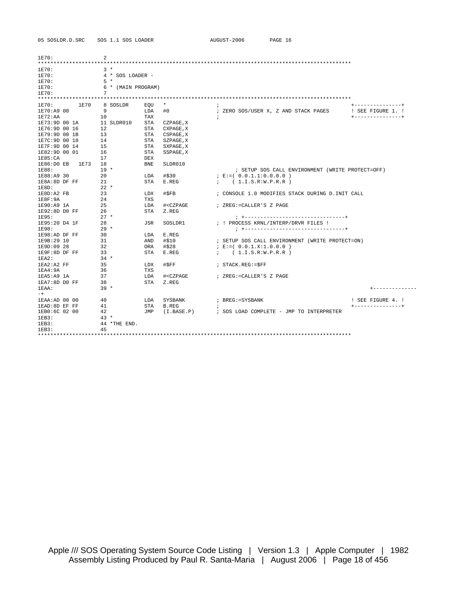| 05 SOSLDR.D.SRC                 | SOS 1.1 SOS LOADER |                                                                                      | AUGUST-2006              | PAGE 16                                                 |                   |
|---------------------------------|--------------------|--------------------------------------------------------------------------------------|--------------------------|---------------------------------------------------------|-------------------|
|                                 |                    |                                                                                      |                          |                                                         |                   |
|                                 |                    |                                                                                      |                          |                                                         |                   |
| 1E70:                           | 2                  |                                                                                      |                          |                                                         |                   |
| ******************************* |                    |                                                                                      |                          |                                                         |                   |
| 1E70:                           | $3*$               |                                                                                      |                          |                                                         |                   |
| 1E70:                           | $4 * SOS LOADER -$ |                                                                                      |                          |                                                         |                   |
| 1E70:                           | $5 *$              |                                                                                      |                          |                                                         |                   |
| 1E70:                           | 6 * (MAIN PROGRAM) |                                                                                      |                          |                                                         |                   |
| 1E70:                           | 7                  |                                                                                      |                          |                                                         |                   |
|                                 |                    |                                                                                      |                          |                                                         |                   |
| 1E70<br>1E70:                   | 8 SOSLDR           | $\star$<br>EOU                                                                       |                          |                                                         | +---------------+ |
| 1E70:A9 00                      | 9                  | LDA<br>#0                                                                            |                          | ; ZERO SOS/USER X, Z AND STACK PAGES                    | ! SEE FIGURE 1. ! |
| 1E72:AA                         | 10                 | TAX                                                                                  | $\cdot$                  |                                                         | +---------------+ |
| 1E73:9D 00 1A                   | 11 SLDR010         | STA CZPAGE, X                                                                        |                          |                                                         |                   |
| 1E76:9D 00 16                   | 12                 | STA CXPAGE, X                                                                        |                          |                                                         |                   |
| 1E79:9D 00 1B                   | 13                 | STA CSPAGE, X                                                                        |                          |                                                         |                   |
| 1E7C:9D 00 18                   | 14                 | STA SZPAGE, X                                                                        |                          |                                                         |                   |
| 1E7F:9D 00 14                   | 15                 | STA<br>SXPAGE, X                                                                     |                          |                                                         |                   |
| 1E82:9D 00 01                   | 16                 | STA<br>SSPAGE, X                                                                     |                          |                                                         |                   |
| 1E85:CA                         | 17                 | <b>DEX</b>                                                                           |                          |                                                         |                   |
| $1E86:DDE$ B<br>1E73            | 18                 | <b>BNE</b><br>SLDR010                                                                |                          |                                                         |                   |
| 1E88:                           | $19 *$             |                                                                                      |                          | ; SETUP SOS CALL ENVIRONMENT (WRITE PROTECT=OFF)        |                   |
| 1E88:A9 30                      | 20                 | LDA<br>#\$30                                                                         | $E := (0.0.1.1:0.0.0.0)$ |                                                         |                   |
| 1E8A:8D DF FF                   | 21                 | STA<br>E.REG                                                                         | ; (1.I.S.R:W.P.R.R)      |                                                         |                   |
| $1EBD$ :                        | $22 *$             |                                                                                      |                          |                                                         |                   |
| 1E8D:A2 FB                      | 23                 | #\$FB<br>LDX                                                                         |                          | ; CONSOLE 1.0 MODIFIES STACK DURING D. INIT CALL        |                   |
| 1E8F:9A                         | 24                 | <b>TXS</b>                                                                           |                          |                                                         |                   |
| 1E90:A9 1A                      | 25                 | LDA<br># <czpage< td=""><td>; ZREG:=CALLER'S Z PAGE</td><td></td><td></td></czpage<> | ; ZREG:=CALLER'S Z PAGE  |                                                         |                   |
| 1E92:8D D0 FF                   | 26                 | STA<br>Z.REG                                                                         |                          |                                                         |                   |
| 1E95:                           | $27 *$             |                                                                                      |                          | ; +-----------------------------------                  |                   |
| 1E95:20 D4 1F                   | 28<br>$29 *$       | JSR<br>SOSLDR1                                                                       |                          | ; ! PROCESS KRNL/INTERP/DRVR FILES !                    |                   |
| 1E98:                           | 30                 | E.REG                                                                                |                          |                                                         |                   |
| 1E98:AD DF FF                   |                    | LDA                                                                                  |                          |                                                         |                   |
| 1E9B:29 10                      | 31                 | #\$10<br>AND                                                                         |                          | ; SETUP SOS CALL ENVIRONMENT (WRITE PROTECT=ON)         |                   |
| 1E9D:09 28                      | 32                 | ORA<br>#\$28                                                                         | $E := (0.0.1.X:1.0.0.0)$ |                                                         |                   |
| 1E9F:8D DF FF                   | 33<br>$34 *$       | STA<br>E.REG                                                                         | ; (1.I.S.R:W.P.R.R)      |                                                         |                   |
| lEA2:                           | 35                 |                                                                                      |                          |                                                         |                   |
| $1EA2:A2$ FF                    | 36                 | #\$FF<br>LDX                                                                         | $:$ STACK.REG: = $SFF$   |                                                         |                   |
| lEA4:9A                         | 37                 | TXS                                                                                  |                          |                                                         |                   |
| 1EA5:A9 1A                      |                    | LDA<br># <czpage< td=""><td>; ZREG:=CALLER'S Z PAGE</td><td></td><td></td></czpage<> | ; ZREG:=CALLER'S Z PAGE  |                                                         |                   |
| 1EA7:8D DO FF                   | 38<br>$39 *$       | STA<br>Z.REG                                                                         |                          |                                                         |                   |
| $1EAA$ :                        |                    |                                                                                      |                          |                                                         | ---------         |
| $-+$<br>1EAA: AD 00 00          | 40                 | LDA<br>SYSBANK                                                                       | ; BREG:=SYSBANK          |                                                         | ! SEE FIGURE 4. ! |
| 1EAD: 8D EF FF                  | 41                 | B.REG<br>STA                                                                         | $\cdot$                  |                                                         | +---------------+ |
| 1EB0:6C 02 00                   | 42                 |                                                                                      |                          | JMP (I.BASE.P) : SOS LOAD COMPLETE - JMP TO INTERPRETER |                   |
| 1EB3:                           | $43 *$             |                                                                                      |                          |                                                         |                   |
| 1EB3:                           | 44 *THE END.       |                                                                                      |                          |                                                         |                   |
| lEB3:                           | 45                 |                                                                                      |                          |                                                         |                   |
|                                 |                    |                                                                                      |                          |                                                         |                   |
|                                 |                    |                                                                                      |                          |                                                         |                   |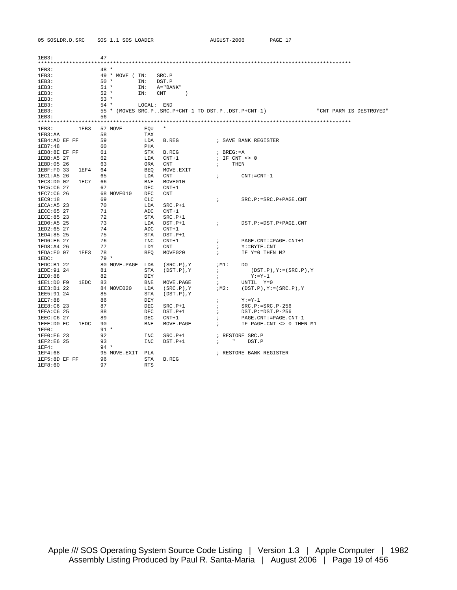| 1EB3:         |      | 47     |                 |            |                                                   |                      |                |                                  |                         |  |
|---------------|------|--------|-----------------|------------|---------------------------------------------------|----------------------|----------------|----------------------------------|-------------------------|--|
|               |      |        |                 |            |                                                   |                      |                |                                  |                         |  |
| 1EB3:         |      | $48 *$ |                 |            |                                                   |                      |                |                                  |                         |  |
| lEB3:         |      |        | 49 * MOVE ( IN: |            | SRC.P                                             |                      |                |                                  |                         |  |
| lEB3:         |      | $50 *$ |                 | IN:        | DST.P                                             |                      |                |                                  |                         |  |
| lEB3:         |      | $51 *$ |                 | IN:        | A="BANK"                                          |                      |                |                                  |                         |  |
| lEB3:         |      | $52 *$ |                 | IN:        | <b>CNT</b><br>$\rightarrow$                       |                      |                |                                  |                         |  |
| lEB3:         |      | $53 *$ |                 |            |                                                   |                      |                |                                  |                         |  |
| lEB3:         |      | $54 *$ |                 | LOCAL:     | END                                               |                      |                |                                  |                         |  |
| lEB3:         |      |        |                 |            | 55 * (MOVES SRC.PSRC.P+CNT-1 TO DST.PDST.P+CNT-1) |                      |                |                                  | "CNT PARM IS DESTROYED" |  |
| lEB3:         |      | 56     |                 |            |                                                   |                      |                |                                  |                         |  |
|               |      |        |                 |            |                                                   |                      |                |                                  |                         |  |
| 1EB3:         | 1EB3 |        | 57 MOVE         | EQU        | $^\star$                                          |                      |                |                                  |                         |  |
| lEB3:AA       |      | 58     |                 | TAX        |                                                   |                      |                |                                  |                         |  |
| 1EB4:AD EF FF |      | 59     |                 | LDA        | <b>B.REG</b>                                      |                      |                | ; SAVE BANK REGISTER             |                         |  |
| 1EB7:48       |      | 60     |                 | PHA        |                                                   |                      |                |                                  |                         |  |
| 1EB8:8E EF FF |      | 61     |                 | <b>STX</b> | <b>B.REG</b>                                      |                      | $I$ BREG: $=A$ |                                  |                         |  |
| 1EBB: A5 27   |      | 62     |                 | LDA        | $CNT+1$                                           |                      |                | ; IF $CNT \iff 0$                |                         |  |
| 1EBD:05 26    |      | 63     |                 | <b>ORA</b> | CNT                                               | $\ddot{i}$           |                | THEN                             |                         |  |
| 1EBF:F0 33    | 1EF4 | 64     |                 | <b>BEO</b> | MOVE.EXIT                                         |                      |                |                                  |                         |  |
| 1EC1:A5 26    |      | 65     |                 | LDA        | <b>CNT</b>                                        | $\ddot{i}$           |                | $CNT: -CNT-1$                    |                         |  |
| 1EC3:D0 02    | 1EC7 | 66     |                 | <b>BNE</b> | MOVE010                                           |                      |                |                                  |                         |  |
| 1EC5:C6 27    |      | 67     |                 | <b>DEC</b> | $CNT+1$                                           |                      |                |                                  |                         |  |
| 1EC7:C6 26    |      |        | 68 MOVE010      | <b>DEC</b> | <b>CNT</b>                                        |                      |                |                                  |                         |  |
| 1EC9:18       |      | 69     |                 | <b>CLC</b> |                                                   | $\ddot{i}$           |                | $SRC.P:=SRC.P+PAGE.CNT$          |                         |  |
| lECA: A5 23   |      | 70     |                 | LDA        | $SRC.P+1$                                         |                      |                |                                  |                         |  |
| 1ECC: 65 27   |      | 71     |                 | ADC        | $CNT+1$                                           |                      |                |                                  |                         |  |
| 1ECE:85 23    |      | 72     |                 | <b>STA</b> | $SRC.P+1$                                         |                      |                |                                  |                         |  |
| 1ED0:A5 25    |      | 73     |                 | LDA        | $DST.P+1$                                         | $\ddot{i}$           |                | DST.P:=DST.P+PAGE.CNT            |                         |  |
| 1ED2:65 27    |      | 74     |                 | ADC        | $CNT+1$                                           |                      |                |                                  |                         |  |
| 1ED4:85 25    |      | 75     |                 | <b>STA</b> | $DST.P+1$                                         |                      |                |                                  |                         |  |
| 1ED6:E6 27    |      | 76     |                 | INC        | $CNT+1$                                           | $\ddot{i}$           |                | PAGE.CNT: = PAGE.CNT+1           |                         |  |
| 1ED8:A4 26    |      | 77     |                 | LDY        | <b>CNT</b>                                        | $\ddot{i}$           |                | $Y := BYTE$ . CNT                |                         |  |
| 1EDA:FO 07    | 1EE3 | 78     |                 | <b>BEO</b> | MOVE020                                           | $\ddot{i}$           |                | IF Y=0 THEN M2                   |                         |  |
| 1EDC:         |      | $79 *$ |                 |            |                                                   |                      |                |                                  |                         |  |
| 1EDC: B1 22   |      |        | 80 MOVE.PAGE    | LDA        | $(SRC.P)$ , Y                                     |                      | ;M1:           | DO.                              |                         |  |
| 1EDE: 91 24   |      | 81     |                 | <b>STA</b> | $(DST.P)$ , $Y$                                   | $\ddot{i}$           |                | $(DST.P)$ , $Y := (SRC.P)$ , $Y$ |                         |  |
| 1EE0:88       |      | 82     |                 | DEY        |                                                   | $\ddot{ }$           |                | $Y: = Y - 1$                     |                         |  |
| 1EE1:DO F9    | 1EDC | 83     |                 | <b>BNE</b> | MOVE.PAGE                                         | $\ddot{i}$           |                | UNTIL Y=0                        |                         |  |
| 1EE3:B1 22    |      |        | 84 MOVE020      | LDA        | $(SRC.P)$ , Y                                     |                      | ;м2:           | $(DST.P)$ , $Y := (SRC.P)$ , $Y$ |                         |  |
| 1EE5:91 24    |      | 85     |                 | <b>STA</b> | $(DST.P)$ , $Y$                                   |                      |                |                                  |                         |  |
| 1EE7:88       |      | 86     |                 | <b>DEY</b> |                                                   | $\ddot{i}$           |                | $Y: =Y-1$                        |                         |  |
| 1EE8:C6 23    |      | 87     |                 | <b>DEC</b> | $SRC.P+1$                                         | $\ddot{\phantom{0}}$ |                | $SRC.P:=SRC.P-256$               |                         |  |
| 1EEA: C6 25   |      | 88     |                 | $\rm DEC$  | $DST.P+1$                                         | $\ddot{ }$           |                | $DST.P:=DST.P-256$               |                         |  |
| 1EEC:CG 27    |      | 89     |                 | <b>DEC</b> | $CNT+1$                                           | $\ddot{i}$           |                | PAGE.CNT: = PAGE.CNT-1           |                         |  |
| 1EEE:D0 EC    | 1EDC | 90     |                 | <b>BNE</b> | MOVE.PAGE                                         | $\ddot{i}$           |                | IF PAGE. CNT <> 0 THEN M1        |                         |  |
| 1EF0:         |      | $91 *$ |                 |            |                                                   |                      |                |                                  |                         |  |
| 1EF0:E6 23    |      | 92     |                 | INC        | $SRC.P+1$                                         |                      |                | ; RESTORE SRC.P                  |                         |  |
| 1EF2:E6 25    |      | 93     |                 | INC        | $DST.P+1$                                         | $\ddot{ }$           | $\mathbf{u}$   | DST.P                            |                         |  |
| 1EF4:         |      | $94 *$ |                 |            |                                                   |                      |                |                                  |                         |  |
| 1EF4:68       |      |        | 95 MOVE.EXIT    | PLA        |                                                   |                      |                | ; RESTORE BANK REGISTER          |                         |  |
| 1EF5:8D EF FF |      | 96     |                 | <b>STA</b> | B.REG                                             |                      |                |                                  |                         |  |
| 1EF8:60       |      | 97     |                 | <b>RTS</b> |                                                   |                      |                |                                  |                         |  |
|               |      |        |                 |            |                                                   |                      |                |                                  |                         |  |

05 SOSLDR.D.SRC SOS 1.1 SOS LOADER AUGUST-2006 PAGE 17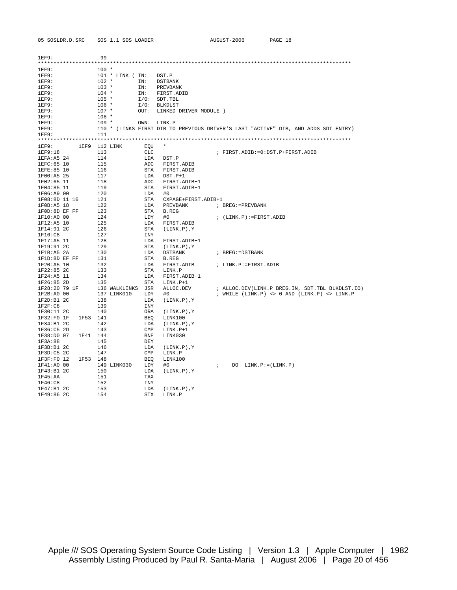| 1FF9:                 |  | 99              |                       |            |                             |              |                                                                                    |  |  |  |  |  |  |  |
|-----------------------|--|-----------------|-----------------------|------------|-----------------------------|--------------|------------------------------------------------------------------------------------|--|--|--|--|--|--|--|
| 1EF9:                 |  | $100 *$         |                       |            |                             |              |                                                                                    |  |  |  |  |  |  |  |
| 1EF9:                 |  |                 | 101 * LINK (IN: DST.P |            |                             |              |                                                                                    |  |  |  |  |  |  |  |
| 1EF9:                 |  | $102 *$         |                       |            | IN: DSTBANK                 |              |                                                                                    |  |  |  |  |  |  |  |
| 1EF9:                 |  | $103 *$         |                       | IN:        | PREVBANK                    |              |                                                                                    |  |  |  |  |  |  |  |
| 1EF9:                 |  | $104 *$         |                       |            | IN: FIRST. ADIB             |              |                                                                                    |  |  |  |  |  |  |  |
| 1EF9:                 |  | $105 *$         |                       |            | $I/O:$ SDT. TBL             |              |                                                                                    |  |  |  |  |  |  |  |
| 1EF9:                 |  | $106 *$         |                       |            | I/O: BLKDLST                |              |                                                                                    |  |  |  |  |  |  |  |
| 1EF9:                 |  | $107 *$         |                       |            | OUT: LINKED DRIVER MODULE ) |              |                                                                                    |  |  |  |  |  |  |  |
| 1EF9:                 |  | $108 *$         |                       |            |                             |              |                                                                                    |  |  |  |  |  |  |  |
| 1EF9:                 |  | $109 *$         |                       |            | OWN: LINK.P                 |              |                                                                                    |  |  |  |  |  |  |  |
| 1EF9:                 |  |                 |                       |            |                             |              | 110 * (LINKS FIRST DIB TO PREVIOUS DRIVER'S LAST "ACTIVE" DIB, AND ADDS SDT ENTRY) |  |  |  |  |  |  |  |
| 1EF9:                 |  | 111             |                       |            |                             |              |                                                                                    |  |  |  |  |  |  |  |
|                       |  |                 |                       |            |                             |              |                                                                                    |  |  |  |  |  |  |  |
| 1EF9:                 |  | 1EF9 112 LINK   |                       | EQU        |                             |              |                                                                                    |  |  |  |  |  |  |  |
| 1EF9:18               |  | 113             |                       | CLC        |                             |              | ; FIRST.ADIB:=0:DST.P+FIRST.ADIB                                                   |  |  |  |  |  |  |  |
| 1EFA: A5 24           |  | 114             |                       | LDA        | DST.P                       |              |                                                                                    |  |  |  |  |  |  |  |
| 1EFC: 65 10           |  | 115             |                       | ADC        | FIRST.ADIB                  |              |                                                                                    |  |  |  |  |  |  |  |
| 1EFE:85 10            |  | 116             |                       | STA        | FIRST.ADIB                  |              |                                                                                    |  |  |  |  |  |  |  |
| 1F00:A5 25            |  | 117             |                       | LDA        | DST.P+1                     |              |                                                                                    |  |  |  |  |  |  |  |
| 1F02:65 11            |  | 118             |                       | ADC        | FIRST.ADIB+1                |              |                                                                                    |  |  |  |  |  |  |  |
| 1F04:85 11            |  | 119             |                       | STA        | FIRST.ADIB+1                |              |                                                                                    |  |  |  |  |  |  |  |
| 1F06:A9 00            |  | 120             |                       | LDA        | #0                          |              |                                                                                    |  |  |  |  |  |  |  |
| 1F08:8D 11 16         |  | 121             |                       | STA        | CXPAGE+FIRST.ADIB+1         |              |                                                                                    |  |  |  |  |  |  |  |
| 1F0B:A5 18            |  | 122             |                       | LDA        | PREVBANK                    |              | ; BREG:=PREVBANK                                                                   |  |  |  |  |  |  |  |
| 1F0D:8D EF FF         |  | 123             |                       | STA        | B.REG                       |              |                                                                                    |  |  |  |  |  |  |  |
| 1F10:A0 00            |  | 124             |                       | LDY        | #0                          |              | ; (LINK.P):=FIRST.ADIB                                                             |  |  |  |  |  |  |  |
| 1F12:A5 10            |  | 125             |                       | LDA        | FIRST. ADIB                 |              |                                                                                    |  |  |  |  |  |  |  |
| 1F14:91 2C            |  | 126             |                       | STA        | (LINK.P),Y                  |              |                                                                                    |  |  |  |  |  |  |  |
| 1F16:CB               |  | 127             |                       | INY        |                             |              |                                                                                    |  |  |  |  |  |  |  |
| 1F17:A5 11            |  | 128             |                       | LDA        | FIRST.ADIB+1                |              |                                                                                    |  |  |  |  |  |  |  |
| 1F19:91 2C            |  | 129             |                       | STA        | (LINK.P),Y                  |              |                                                                                    |  |  |  |  |  |  |  |
| lF1B:A5 2A            |  | 130             |                       | LDA        | DSTBANK                     |              | ; BREG:=DSTBANK                                                                    |  |  |  |  |  |  |  |
| 1F1D:8D EF FF         |  | 131             |                       | STA        | B.REG                       |              |                                                                                    |  |  |  |  |  |  |  |
| 1F20:A5 10            |  | 132             |                       | LDA        | FIRST.ADIB                  |              | ; LINK.P:=FIRST.ADIB                                                               |  |  |  |  |  |  |  |
| 1F22:85 2C            |  | 133             |                       | STA        | LINK.P                      |              |                                                                                    |  |  |  |  |  |  |  |
| 1F24:A5 11            |  | 134             |                       | LDA        | FIRST.ADIB+1                |              |                                                                                    |  |  |  |  |  |  |  |
| $1F26:85$ 2D          |  | 135             |                       | STA        | LINK.P+1                    |              |                                                                                    |  |  |  |  |  |  |  |
| 1F28:20 79 1F         |  |                 | 136 WALKLINKS JSR     |            | ALLOC.DEV                   |              | ; ALLOC.DEV(LINK.P BREG.IN, SDT.TBL BLKDLST.IO)                                    |  |  |  |  |  |  |  |
| 1F2B:A0 00            |  |                 | 137 LINK010           | LDY        | #0                          |              | ; WHILE $(LINK.P) \iff 0 AND (LINK.P) \iff LINK.P$                                 |  |  |  |  |  |  |  |
| lF2D:B1 2C            |  | 138             |                       | LDA        | (LINK.P), Y                 |              |                                                                                    |  |  |  |  |  |  |  |
| 1F2F:CB               |  | 139             |                       | INY        |                             |              |                                                                                    |  |  |  |  |  |  |  |
| 1F30:11 2C            |  | 140             |                       | ORA        | (LINK.P),Y                  |              |                                                                                    |  |  |  |  |  |  |  |
| 1F32:F0 1F            |  | 1F53 141        |                       | BEO        | LINK100                     |              |                                                                                    |  |  |  |  |  |  |  |
| 1F34:B12C             |  | 142             |                       | LDA        | (LINK.P),Y                  |              |                                                                                    |  |  |  |  |  |  |  |
| 1F36:C5 2D            |  | 143             |                       | CMP        | LINK.P+1                    |              |                                                                                    |  |  |  |  |  |  |  |
| 1F38:D0 07<br>1F3A:88 |  | 1F41 144<br>145 |                       | BNE<br>DEY | LINK030                     |              |                                                                                    |  |  |  |  |  |  |  |
| lF3B:B12C             |  | 146             |                       | LDA        | (LINK.P),Y                  |              |                                                                                    |  |  |  |  |  |  |  |
| lF3D: C5 2C           |  | 147             |                       | CMP        | LINK.P                      |              |                                                                                    |  |  |  |  |  |  |  |
| 1F3F:F0 12            |  | 1F53 148        |                       | BEO        | LINK100                     |              |                                                                                    |  |  |  |  |  |  |  |
| 1F41:A0 00            |  |                 | 149 LINK030           | LDY        | #0                          | $\mathbf{r}$ | $DO$ $LINK.P := (LINK.P)$                                                          |  |  |  |  |  |  |  |
| 1F43:B1 2C            |  | 150             |                       | LDA        | (LINK.P),Y                  |              |                                                                                    |  |  |  |  |  |  |  |
| 1F45:AA               |  | 151             |                       | TAX        |                             |              |                                                                                    |  |  |  |  |  |  |  |
| 1F46:CB               |  | 152             |                       | INY        |                             |              |                                                                                    |  |  |  |  |  |  |  |
| 1F47:B12C             |  | 153             |                       | LDA        | $(LINK.P)$ , Y              |              |                                                                                    |  |  |  |  |  |  |  |
| 1F49:86 2C            |  | 154             |                       | STX        | LINK.P                      |              |                                                                                    |  |  |  |  |  |  |  |

05 SOSLDR.D.SRC SOS 1.1 SOS LOADER

AUGUST-2006 PAGE 18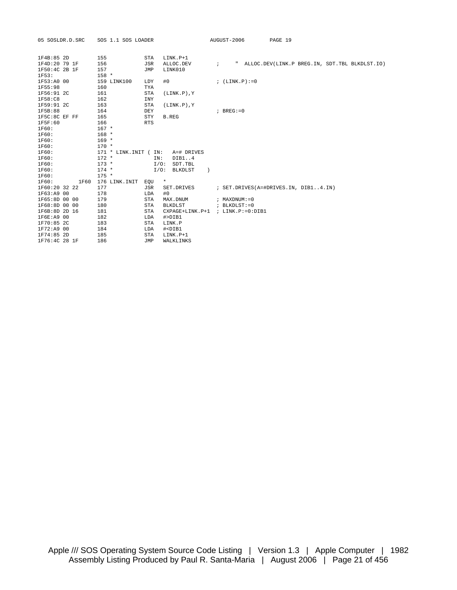| 05 SOSLDR.D.SRC | SOS 1.1 SOS LOADER  |                                         | AUGUST-2006<br>PAGE 19                           |
|-----------------|---------------------|-----------------------------------------|--------------------------------------------------|
| 1F4B:85 2D      | 155                 | STA<br>$LINK.P+1$                       |                                                  |
| 1F4D:20 79 1F   | 156                 | JSR<br>ALLOC.DEV                        | ; "ALLOC.DEV(LINK.P BREG.IN, SDT.TBL BLKDLST.IO) |
| 1F50:4C 2B 1F   | 157                 | LINK010<br>JMP                          |                                                  |
| 1F53:           | $158 *$             |                                         |                                                  |
| 1F53:A0 00      | 159 LINK100         | LDY<br>#0                               | ; $(LINK.P) := 0$                                |
| 1F55:98         | 160                 | TYA                                     |                                                  |
| 1F56:91 2C      | 161                 | <b>STA</b><br>$(LINK.P)$ , $Y$          |                                                  |
| 1F58:C8         | 162                 | <b>INY</b>                              |                                                  |
| 1F59:91 2C      | 163                 | <b>STA</b><br>$(LINK.P)$ , $Y$          |                                                  |
| 1F5B:88         | 164                 | DEY                                     | $;$ BREG: = 0                                    |
| 1F5C:8C EF FF   | 165                 | <b>STY</b><br>B.REG                     |                                                  |
| 1F5F:60         | 166                 | <b>RTS</b>                              |                                                  |
| 1F60:           | $167 *$             |                                         |                                                  |
| 1F60:           | $168 *$             |                                         |                                                  |
| 1F60:           | $169 *$             |                                         |                                                  |
| 1F60:           | $170 *$             |                                         |                                                  |
| 1F60:           | $171 * LINK. INT$ ( | IN:<br>A=# DRIVES                       |                                                  |
| 1F60:           | $172 *$             | DIB1.14<br>TN:                          |                                                  |
| 1F60:           | $173 *$             | $I/O$ :<br>SDT.TBL                      |                                                  |
| 1F60:           | $174 *$             | I/O: BLKDLST                            | $\rightarrow$                                    |
| 1F60:           | $175 *$             |                                         |                                                  |
| 1F60:<br>1F60   | 176 LINK.INIT EOU   | $\star$                                 |                                                  |
| 1F60:20 32 22   | 177                 | JSR<br>SET.DRIVES                       | ; SET.DRIVES(A=#DRIVES.IN, DIB14.IN)             |
| 1F63:A9 00      | 178                 | #0<br>LDA                               |                                                  |
| 1F65:8D 00 00   | 179                 | <b>STA</b><br>MAX.DNUM                  | $:$ MAXDNUM $: = 0$                              |
| 1F68:8D 00 00   | 180                 | <b>STA</b><br>BLKDLST                   | ; BLKDLST:=0                                     |
| 1F6B:8D 2D 16   | 181                 | <b>STA</b>                              | CXPAGE+LINK.P+1 ; LINK.P:=0:DIB1                 |
| 1F6E:A9 00      | 182                 | LDA<br>#>DIB1                           |                                                  |
| 1F70:85 2C      | 183                 | <b>STA</b><br>LINK.P                    |                                                  |
| 1F72:A9 00      | 184                 | LDA<br># <dib1< td=""><td></td></dib1<> |                                                  |
| 1F74:85 2D      | 185                 | LINK.P+1<br><b>STA</b>                  |                                                  |
| 1F76:4C 28 1F   | 186                 | WALKLINKS<br>JMP                        |                                                  |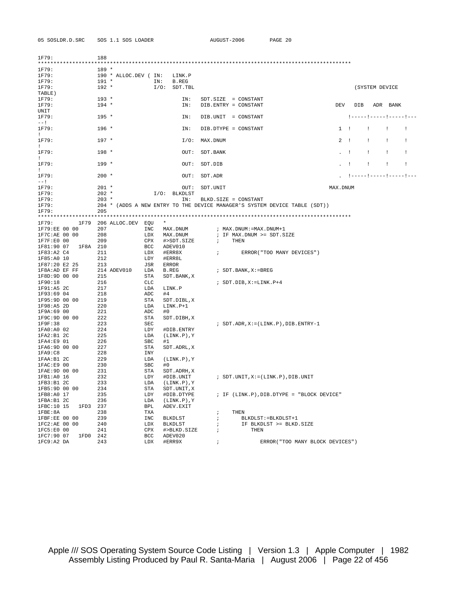05 SOSLDR.D.SRC SOS 1.1 SOS LOADER AUGUST-2006 PAGE 20

| 1F79:<br>***************** | 188                   |            |                  |                                                                            |             |                           |                |              |    |
|----------------------------|-----------------------|------------|------------------|----------------------------------------------------------------------------|-------------|---------------------------|----------------|--------------|----|
| 1F79:                      | $189 *$               |            |                  |                                                                            |             |                           |                |              |    |
| 1F79:                      | 190 * ALLOC.DEV ( IN: |            | LINK.P           |                                                                            |             |                           |                |              |    |
| 1F79:                      | $191 *$               | IN:        | <b>B.REG</b>     |                                                                            |             |                           |                |              |    |
| 1F79:                      | $192 *$               | $I/O$ :    | SDT.TBL          |                                                                            |             |                           | (SYSTEM DEVICE |              |    |
| TABLE)                     |                       |            |                  |                                                                            |             |                           |                |              |    |
| 1F79:                      | $193 *$               |            | IN:              | $SDT.SIZE = CONSTANT$                                                      |             |                           |                |              |    |
| 1F79:                      | $194 *$               |            | IN:              | DIB. ENTRY = CONSTANT                                                      | DEV         | DIB                       |                | ADR BANK     |    |
| UNIT                       |                       |            |                  |                                                                            |             |                           |                |              |    |
| 1F79:                      | $195 *$               |            | IN:              | DIB.UNIT = CONSTANT                                                        |             | !----- !----- !----- !--- |                |              |    |
| $---1$                     |                       |            |                  |                                                                            |             |                           |                |              |    |
| 1F79:                      | $196 *$               |            | IN:              | DIB.DTYPE = CONSTANT                                                       | $1 \quad 1$ |                           | $\mathbf{I}$   | $\mathbf{I}$ | ÷  |
| $\mathbf{L}$               |                       |            |                  |                                                                            |             |                           |                |              |    |
| 1F79:                      | $197 *$               |            | $I/O$ :          | MAX.DNUM                                                                   | 2           | $\mathbf{I}$              | $\perp$        | $\mathbf{I}$ | Ι. |
| $\mathbf{I}$               |                       |            |                  |                                                                            |             |                           |                |              |    |
| 1F79:                      | $198 *$               |            | OUT:             | SDT. BANK                                                                  |             | - 1                       | ÷              | ÷            | -1 |
| $\pm$                      |                       |            |                  |                                                                            |             |                           |                |              |    |
| 1F79:                      | $199 *$               |            | OUT:             | SDT.DIB                                                                    |             | $\mathbf{I}$              | $\cdot$        | $\mathbf{I}$ | ÷  |
| $\mathbf{I}$               |                       |            |                  |                                                                            |             |                           |                |              |    |
| 1F79:                      | $200 *$               |            | OUT:             | SDT.ADR                                                                    |             |                           |                |              |    |
| $--1$                      |                       |            |                  |                                                                            |             |                           |                |              |    |
| 1F79:                      | $201 *$               |            | OUT:             | SDT.UNIT                                                                   | MAX.DNUM    |                           |                |              |    |
| 1F79:                      | $202 *$               |            | $I/O:$ BLKDLST   |                                                                            |             |                           |                |              |    |
| 1F79:                      | $203 *$               |            | IN:              | BLKD. SIZE = CONSTANT                                                      |             |                           |                |              |    |
| 1F79:                      |                       |            |                  | 204 * (ADDS A NEW ENTRY TO THE DEVICE MANAGER'S SYSTEM DEVICE TABLE (SDT)) |             |                           |                |              |    |
| 1F79:                      | 205                   |            |                  |                                                                            |             |                           |                |              |    |
|                            |                       |            |                  |                                                                            |             |                           |                |              |    |
| 1F79:<br>1F79              | 206 ALLOC.DEV EQU     |            | $\star$          |                                                                            |             |                           |                |              |    |
| 1F79:EE 00 00              | 207                   | INC        | MAX.DNUM         | ; MAX.DNUM: = MAX.DNUM+1                                                   |             |                           |                |              |    |
| 1F7C:AE 00 00              | 208                   | LDX        | MAX.DNUM         | ; IF MAX.DNUM >= SDT.SIZE                                                  |             |                           |                |              |    |
| 1F7F:E0 00                 | 209                   | CPX        | #>SDT.SIZE       | THEN<br>$\ddot{i}$                                                         |             |                           |                |              |    |
| 1F81:90 07<br>1F8A 210     |                       | <b>BCC</b> | ADEV010          |                                                                            |             |                           |                |              |    |
| 1F83:A2 C4                 | 211                   | LDX        | #ERR8X           | $\ddot{i}$<br>ERROR ("TOO MANY DEVICES")                                   |             |                           |                |              |    |
| 1F85:A0 10                 | 212                   | LDY        | #ERR8L           |                                                                            |             |                           |                |              |    |
| 1F87:20 E2 25              | 213                   | JSR        | <b>ERROR</b>     |                                                                            |             |                           |                |              |    |
| 1F8A:AD EF FF              | 214 ADEV010           | LDA        | B.REG            | ; SDT.BANK, X: = BREG                                                      |             |                           |                |              |    |
| 1F8D:9D 00 00              | 215                   | STA        | SDT. BANK, X     |                                                                            |             |                           |                |              |    |
| 1F90:18                    | 216                   | CLC        |                  | $:$ SDT.DIB, $X := LINK.P+4$                                               |             |                           |                |              |    |
| 1F91:A5 2C                 | 217                   | LDA        | LINK.P           |                                                                            |             |                           |                |              |    |
| 1F93:69 04                 | 218                   | ADC        | #4               |                                                                            |             |                           |                |              |    |
| 1F95:9D 00 00              | 219                   | STA        | SDT.DIBL, X      |                                                                            |             |                           |                |              |    |
| 1F98:A5 2D                 | 220                   | LDA        | LINK.P+1         |                                                                            |             |                           |                |              |    |
| 1F9A:69 00                 | 221                   | ADC        | #0               |                                                                            |             |                           |                |              |    |
| 1F9C:9D 00 00              | 222                   | STA        | SDT.DIBH, X      |                                                                            |             |                           |                |              |    |
| 1F9F:38                    | 223                   | <b>SEC</b> |                  | $:$ SDT. ADR, $X := (LINK.P)$ , DIB. ENTRY-1                               |             |                           |                |              |    |
| 1FA0:A0 02                 | 224                   | LDY        | #DIB.ENTRY       |                                                                            |             |                           |                |              |    |
| lFA2:B1 2C                 | 225                   | LDA        | $(LINK.P)$ , $Y$ |                                                                            |             |                           |                |              |    |
| 1FA4:E901                  | 226                   | <b>SBC</b> | #1               |                                                                            |             |                           |                |              |    |
| 1FA6:9D 00 00              | 227                   | STA        | SDT.ADRL, X      |                                                                            |             |                           |                |              |    |
| 1FA9:C8                    | 228                   | INY        |                  |                                                                            |             |                           |                |              |    |
| 1FAA:B1 2C                 | 229                   | LDA        | $(LINK.P)$ , Y   |                                                                            |             |                           |                |              |    |
| lFAC: E9 00                | 230                   | <b>SBC</b> | #0               |                                                                            |             |                           |                |              |    |
| 1FAE: 9D 00 00             | 231                   | STA        | SDT. ADRH, X     |                                                                            |             |                           |                |              |    |
| 1FB1:A0 16                 | 232                   | LDY        | #DIB.UNIT        | ; $SDT.UNIT,X:= (LINK.P)$ , $DIB.UNIT$                                     |             |                           |                |              |    |
| lFB3:B12C                  | 233                   | LDA        | (LINK.P),Y       |                                                                            |             |                           |                |              |    |
| 1FB5:9D 00 00              | 234                   | STA        | SDT.UNIT, X      |                                                                            |             |                           |                |              |    |
| 1FB8:A0 17                 | 235                   | LDY        | #DIB.DTYPE       | ; IF (LINK.P), DIB. DTYPE = "BLOCK DEVICE"                                 |             |                           |                |              |    |
| lFBA:B1 2C                 | 236                   | LDA        | (LINK.P),Y       |                                                                            |             |                           |                |              |    |
| 1FBC:10 15<br>1FD3 237     |                       | BPL        | ADEV.EXIT        |                                                                            |             |                           |                |              |    |
| $1$ FBE:8A                 | 238                   | TXA        |                  | THEN<br>$\ddot{i}$                                                         |             |                           |                |              |    |
| 1FBF:EE 00 00              | 239                   |            | INC BLKDLST      | $\ddot{i}$<br>BLKDLST:=BLKDLST+1                                           |             |                           |                |              |    |
| 1FC2:AE 00 00              | 240                   | LDX        | BLKDLST          | IF BLKDLST >= BLKD. SIZE<br>$\ddot{i}$                                     |             |                           |                |              |    |
| 1FC5:E0 00                 | 241                   | CPX        | #>BLKD.SIZE      | THEN<br>$\ddot{i}$                                                         |             |                           |                |              |    |
| 1FC7:90 07<br>1FD0 242     |                       | BCC        | ADEV020          |                                                                            |             |                           |                |              |    |
| 1FC9:A2 DA                 | 243                   | LDX        | #ERR9X           | ERROR("TOO MANY BLOCK DEVICES")<br>$\ddot{i}$                              |             |                           |                |              |    |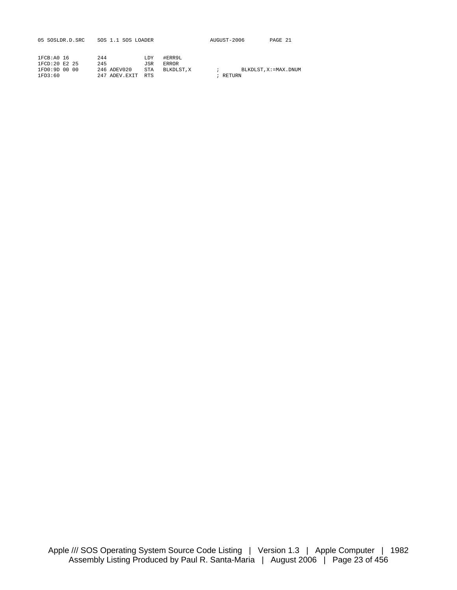| 05 SOSLDR.D.SRC | SOS 1.1 SOS LOADER |            |           | AUGUST-2006 | PAGE 21                 |
|-----------------|--------------------|------------|-----------|-------------|-------------------------|
| 1FCB: A0 16     | 244                | LDY        | #ERR9L    |             |                         |
| 1FCD:20 E2 25   | 245                | JSR        | ERROR     |             |                         |
| 1FD0:9D 00 00   | 246 ADEV020        | STA        | BLKDLST.X |             | BLKDLST, X: = MAX, DNUM |
| 1FD3:60         | 247 ADEV.EXIT      | <b>RTS</b> |           | RETURN      |                         |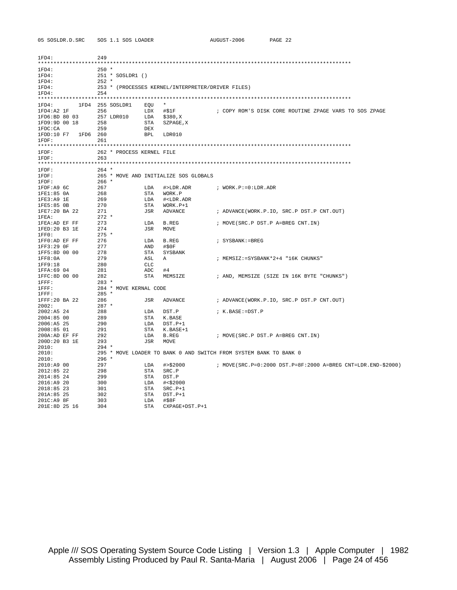| 1FD4:                    | 249                       |            |                                                   |                                                                   |
|--------------------------|---------------------------|------------|---------------------------------------------------|-------------------------------------------------------------------|
| 1FD4:                    | 250 *                     |            |                                                   |                                                                   |
| 1FD4:                    | 251 * SOSLDR1 ()          |            |                                                   |                                                                   |
| 1FD4:                    | $252$ *                   |            |                                                   |                                                                   |
| 1FD4:                    |                           |            | 253 * (PROCESSES KERNEL/INTERPRETER/DRIVER FILES) |                                                                   |
| 1FD4:                    | 254                       |            |                                                   |                                                                   |
|                          |                           |            |                                                   |                                                                   |
| $1FD4: 1FD4 255 SOSLDR1$ |                           | EOU        | $\star$                                           |                                                                   |
| $1FD4:A2 IF$ 256         |                           | LDX #\$1F  |                                                   | ; COPY ROM'S DISK CORE ROUTINE ZPAGE VARS TO SOS ZPAGE            |
| 1FD6:BD 80 03            | 257 LDR010                | LDA        | \$380,X                                           |                                                                   |
| 1FD9:9D 00 18            | 258                       | STA        | SZPAGE, X                                         |                                                                   |
| 1FDC:CA                  | 259                       | DEX        |                                                   |                                                                   |
| 1FDD:10 F7 1FD6 260      |                           |            | BPL LDR010                                        |                                                                   |
| $1$ $FDF:$               | 261                       |            |                                                   |                                                                   |
|                          |                           |            |                                                   |                                                                   |
| $1$ $FDF:$               | 262 * PROCESS KERNEL FILE |            |                                                   |                                                                   |
| $1$ $FDF:$               | 263                       |            |                                                   |                                                                   |
|                          |                           |            |                                                   |                                                                   |
| $1$ $FDF:$               | $264$ *                   |            |                                                   |                                                                   |
| $1$ $FDF:$               |                           |            | 265 * MOVE AND INITIALIZE SOS GLOBALS             |                                                                   |
| $1$ FDF:                 | 266 *                     |            |                                                   |                                                                   |
| 1FDF:A9 6C               | 267                       | LDA        | #>LDR.ADR                                         | ; WORK.P:=0:LDR.ADR                                               |
| 1FE1:85 0A               | 268                       | STA        | WORK.P                                            |                                                                   |
| 1FE3: A9 1E              | 269                       | LDA        | # <ldr.adr< td=""><td></td></ldr.adr<>            |                                                                   |
| 1FE5:85 OB               | 270                       | STA        | WORK.P+1                                          |                                                                   |
| 1FE7:20 BA 22            | 271                       | JSR        | ADVANCE                                           | ; ADVANCE(WORK.P.IO, SRC.P DST.P CNT.OUT)                         |
| 1FEA:                    | $272 *$                   |            |                                                   |                                                                   |
| 1FEA:AD EF FF            | 273                       | LDA        | B.REG                                             | ; MOVE(SRC.P DST.P A=BREG CNT.IN)                                 |
| 1FED:20 B3 1E            | 274                       | JSR        | MOVE                                              |                                                                   |
| 1FF0:                    | $275$ *                   |            |                                                   |                                                                   |
| 1FF0:AD EF FF            | 276                       | T DA       | B.REG                                             | ; SYSBANK:=BREG                                                   |
| 1FF3:29 OF               | 277                       | AND        | #\$0F                                             |                                                                   |
| 1FF5:8D 00 00            | 278                       | STA        | SYSBANK                                           |                                                                   |
| 1FF8:0A                  | 279                       | ASL        | A                                                 | ; MEMSIZ: = SYSBANK*2+4 "16K CHUNKS"                              |
| 1FF9:18                  | 280                       | <b>CLC</b> |                                                   |                                                                   |
| 1FFA:69 04               | 281                       | ADC        | #4                                                |                                                                   |
| 1FFC:8D 00 00            | 282                       | STA        | MEMSIZE                                           | ; AND, MEMSIZE (SIZE IN 16K BYTE "CHUNKS")                        |
| $1$ $FFF:$               | $283*$                    |            |                                                   |                                                                   |
| $1$ $F$ $F$ $\colon$     | 284 * MOVE KERNAL CODE    |            |                                                   |                                                                   |
| $1$ $\rm{FFF}$ :         | 285 *                     |            |                                                   |                                                                   |
| 1FFF:20 BA 22            | 286                       | JSR        | ADVANCE                                           | ; ADVANCE(WORK.P.IO, SRC.P DST.P CNT.OUT)                         |
| 2002:                    | $287$ *                   |            |                                                   |                                                                   |
| 2002:A5 24               | 288                       | LDA        | DST.P                                             | ; K.BASE:=DST.P                                                   |
| 2004:85 00               | 289                       | STA        | K.BASE                                            |                                                                   |
| 2006:A5 25               | 290                       | LDA        | $DST.P+1$                                         |                                                                   |
| 2008:85 01               | 291                       | STA        | K.BASE+1                                          |                                                                   |
| 200A:AD EF FF            | 292                       | LDA        | B.REG                                             | ; MOVE(SRC.P DST.P A=BREG CNT.IN)                                 |
| 200D:20 B3 1E            | 293                       | JSR        | MOVE                                              |                                                                   |
| 2010:                    | 294 *                     |            |                                                   |                                                                   |
| 2010:                    |                           |            |                                                   | 295 * MOVE LOADER TO BANK 0 AND SWITCH FROM SYSTEM BANK TO BANK 0 |
| 2010:                    | $296 *$                   |            |                                                   |                                                                   |
| 2010: A900               | 297                       | T.DA       | # > \$2000                                        | ; MOVE(SRC.P=0:2000 DST.P=8F:2000 A=BREG CNT=LDR.END-\$2000)      |
| $2012:85$ 22             | 298                       | STA        | SRC.P                                             |                                                                   |
| 2014:85 24               | 299                       | STA        | DST.P                                             |                                                                   |
| 2016: A920               | 300                       | LDA        | #<\$2000                                          |                                                                   |
| 2018:85 23               | 301                       | STA        | SRC.P+1                                           |                                                                   |
| 201A:85 25               | 302                       | STA        | DST.P+1                                           |                                                                   |
| 201C:A9 8F               | 303                       | LDA        | #\$8F                                             |                                                                   |
| 201E:8D 25 16            | 304                       | STA        | CXPAGE+DST.P+1                                    |                                                                   |

AUGUST-2006 PAGE 22

05 SOSLDR.D.SRC SOS 1.1 SOS LOADER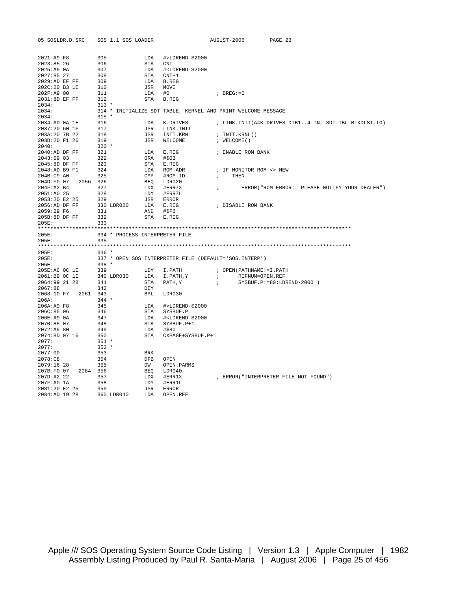| 05 SOSLDR.D.SRC                      | SOS 1.1 SOS LOADER             |                   |                                                                          | AUGUST-2006   |                            | PAGE 23                                              |
|--------------------------------------|--------------------------------|-------------------|--------------------------------------------------------------------------|---------------|----------------------------|------------------------------------------------------|
|                                      |                                |                   |                                                                          |               |                            |                                                      |
| 2021:A9 F8                           | 305                            | LDA               | #>LDREND-\$2000                                                          |               |                            |                                                      |
| 2023:85 26                           | 306                            | STA CNT           |                                                                          |               |                            |                                                      |
| $2025:A9$ $0A$                       | 307                            |                   | LDA # <ldrend-\$2000< td=""><td></td><td></td><td></td></ldrend-\$2000<> |               |                            |                                                      |
| 2027:85 27                           | 308                            | STA CNT+1         |                                                                          |               |                            |                                                      |
| 2029:AD EF FF                        | 309                            | LDA B.REG         |                                                                          |               |                            |                                                      |
| 202C:20 B3 1E                        | 310                            | JSR MOVE          |                                                                          |               |                            |                                                      |
| 202F:A9 00                           | 311                            | LDA               | #0                                                                       | $;$ BREG:=0   |                            |                                                      |
| 2031:8D EF FF                        | 312                            | STA B.REG         |                                                                          |               |                            |                                                      |
| 2034:                                | $313 *$                        |                   |                                                                          |               |                            |                                                      |
| 2034:                                |                                |                   | 314 * INITIALIZE SDT TABLE, KERNEL AND PRINT WELCOME MESSAGE             |               |                            |                                                      |
| 2034:                                | $315 *$                        |                   |                                                                          |               |                            |                                                      |
| 2034:AD 0A 1E                        | 316                            |                   | LDA K.DRIVES                                                             |               |                            | ; LINK.INIT(A=K.DRIVES DIB14.IN, SDT.TBL BLKDLST.IO) |
| 2037:20 60 1F                        | 317                            |                   | JSR LINK. INIT                                                           |               |                            |                                                      |
| 203A:20 7B 22                        | 318                            |                   | JSR INIT.KRNL                                                            | ; INIT.KRNL() |                            |                                                      |
| 203D:20 F1 26                        | 319                            |                   | JSR WELCOME                                                              | ; WELCOME()   |                            |                                                      |
| 2040:                                | $320 *$                        |                   |                                                                          |               |                            |                                                      |
| $2040$ : AD DF FF                    | 321                            | LDA E.REG         |                                                                          |               | ; ENABLE ROM BANK          |                                                      |
| 2043:09 03                           | 322                            | ORA #\$03         |                                                                          |               |                            |                                                      |
| 2045:8D DF FF                        | 323                            | STA E.REG         |                                                                          |               |                            |                                                      |
| 2048:AD B9 F1                        | 324                            |                   | LDA ROM.ADR                                                              |               | ; IF MONITOR ROM <> NEW    |                                                      |
| 204B:C9 A0                           | 325                            |                   | CMP #ROM.ID                                                              | $\ddot{i}$    | THEN                       |                                                      |
| 204D:F0 07 2056 326                  |                                |                   | BEQ LDR020                                                               |               |                            |                                                      |
| 204F:A2 B4                           | 327                            | LDX #ERR7X        |                                                                          | $\mathcal{V}$ |                            | ERROR("ROM ERROR: PLEASE NOTIFY YOUR DEALER")        |
| 2051:A0 25                           | 328                            | LDY #ERR7L        |                                                                          |               |                            |                                                      |
| 2053:20 E2 25                        | 329                            | JSR ERROR         |                                                                          |               |                            |                                                      |
| 2056:AD DF FF                        | 330 LDR020                     | LDA E.REG         |                                                                          |               | ; DISABLE ROM BANK         |                                                      |
| 2059:29 F6                           | 331                            | AND #\$F6         |                                                                          |               |                            |                                                      |
| 205B:8D DF FF                        | 332                            | STA E.REG         |                                                                          |               |                            |                                                      |
| 205E:                                | 333                            |                   |                                                                          |               |                            |                                                      |
|                                      |                                |                   |                                                                          |               |                            |                                                      |
| 205E:                                | 334 * PROCESS INTERPRETER FILE |                   |                                                                          |               |                            |                                                      |
| 205E:                                | 335                            |                   |                                                                          |               |                            |                                                      |
|                                      |                                |                   |                                                                          |               |                            |                                                      |
| 205E:                                | $336 *$                        |                   |                                                                          |               |                            |                                                      |
| 205E:                                |                                |                   | 337 * OPEN SOS INTERPRETER FILE (DEFAULT='SOS.INTERP')                   |               |                            |                                                      |
| 205E:                                | $338 *$                        |                   |                                                                          |               |                            |                                                      |
| 205E:AC OC 1E                        | 339                            |                   | LDY I.PATH                                                               |               | ; OPEN (PATHNAME: = I.PATH |                                                      |
| 2061:B9 OC 1E                        | 340 LDR030                     |                   | LDA I.PATH, Y                                                            | $\mathcal{F}$ | REFNUM=OPEN.REF            |                                                      |
| 2064:99 21 28                        | 341                            |                   | STA PATH, Y                                                              | $\mathbf{r}$  |                            | $SYSBUF.P:=80:LDREND-2000)$                          |
| 2067:88                              | 342                            | DEY               |                                                                          |               |                            |                                                      |
| 2068:10 F7 2061 343                  |                                | BPL LDR030        |                                                                          |               |                            |                                                      |
| 206A:                                | $344$ *                        |                   |                                                                          |               |                            |                                                      |
| 206A:A9 F8                           | 345                            |                   | LDA #>LDREND-\$2000                                                      |               |                            |                                                      |
| 206C:85 06                           | 346                            |                   | STA SYSBUF.P                                                             |               |                            |                                                      |
| 206E:A9 0A                           | 347                            |                   | LDA # <ldrend-\$2000< td=""><td></td><td></td><td></td></ldrend-\$2000<> |               |                            |                                                      |
| 2070:85 07                           | 348                            |                   | STA SYSBUF.P+1                                                           |               |                            |                                                      |
| 2072:A9 80                           | 349                            | LDA #\$80         |                                                                          |               |                            |                                                      |
| 2074:8D 07 16                        | 350                            |                   | STA CXPAGE+SYSBUF.P+1                                                    |               |                            |                                                      |
| 2077:                                | $351 *$                        |                   |                                                                          |               |                            |                                                      |
| 2077:                                | $352 *$                        |                   |                                                                          |               |                            |                                                      |
| 2077:00                              | 353                            | BRK               |                                                                          |               |                            |                                                      |
| 2078:C8                              | 354                            | DFB OPEN          |                                                                          |               |                            |                                                      |
|                                      |                                | DW                |                                                                          |               |                            |                                                      |
| 2079:16 28<br>207B:F0 07<br>2084 356 | 355                            |                   | OPEN.PARMS                                                               |               |                            |                                                      |
| 207D:A2 22                           | 357                            | BEQ LDR040        |                                                                          |               |                            |                                                      |
| 207F:A0 1A                           | 358                            | LDX #ERR1X<br>LDY | #ERR1L                                                                   |               |                            | ; ERROR("INTERPRETER FILE NOT FOUND")                |
|                                      |                                |                   |                                                                          |               |                            |                                                      |
| 2081:20 E2 25<br>2084:AD 19 28       | 359<br>360 LDR040              | JSR ERROR<br>LDA  | OPEN.REF                                                                 |               |                            |                                                      |
|                                      |                                |                   |                                                                          |               |                            |                                                      |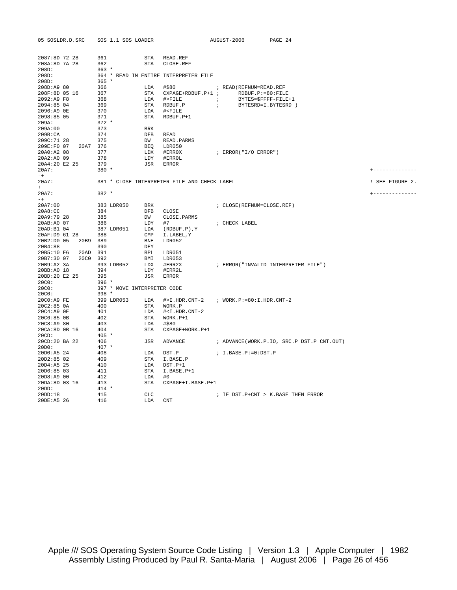| 05 SOSLDR.D.SRC                                | SOS 1.1 SOS LOADER          |                   |                                                                                        | AUGUST-2006                   |                                      | PAGE 24 |                                           |                 |
|------------------------------------------------|-----------------------------|-------------------|----------------------------------------------------------------------------------------|-------------------------------|--------------------------------------|---------|-------------------------------------------|-----------------|
| 2087:8D 72 28<br>208A:8D 7A 28<br>208D:        | 361<br>362<br>$363 *$       |                   | STA READ.REF<br>STA CLOSE.REF                                                          |                               |                                      |         |                                           |                 |
| 208D:<br>208D:                                 | 365 *                       |                   | 364 * READ IN ENTIRE INTERPRETER FILE                                                  |                               |                                      |         |                                           |                 |
| 208D:A9 80<br>208F:8D 05 16                    | 366<br>367                  |                   | LDA #\$80<br>STA CXPAGE+RDBUF.P+1 ; RDBUF.P:=80:FILE                                   |                               | ; READ (REFNUM=READ.REF              |         |                                           |                 |
| 2092:A9 F8                                     | 368                         |                   | LDA #>FILE <i>;</i>                                                                    |                               | BYTES=\$FFFF-FILE+1                  |         |                                           |                 |
| 2094:85 04                                     | 369                         |                   | STA RDBUF.P                                                                            | $\mathcal{L}$ , $\mathcal{L}$ | BYTESRD=I.BYTESRD )                  |         |                                           |                 |
| 2096:A9 OE                                     | 370                         |                   | LDA # <file< td=""><td></td><td></td><td></td><td></td><td></td></file<>               |                               |                                      |         |                                           |                 |
| 2098:85 05                                     | 371                         | STA               | RDBUF.P+1                                                                              |                               |                                      |         |                                           |                 |
| 209A:                                          | $372 *$                     |                   |                                                                                        |                               |                                      |         |                                           |                 |
| 209A:00<br>209B:CA                             | 373<br>374                  | <b>BRK</b><br>DFB | READ                                                                                   |                               |                                      |         |                                           |                 |
| 209C:71 28                                     | 375                         | DW                | READ.PARMS                                                                             |                               |                                      |         |                                           |                 |
| 209E:F0 07 20A7 376                            |                             |                   | BEO LDR050                                                                             |                               |                                      |         |                                           |                 |
| 20A0:A2 08                                     | 377                         |                   | LDX #ERR0X                                                                             |                               | ; ERROR("I/O ERROR")                 |         |                                           |                 |
| ZUAZ:A0 09<br>20A4:20 E2 25                    | 378                         | LDY               | #ERROL                                                                                 |                               |                                      |         |                                           |                 |
|                                                | 379                         | JSR               | ERROR                                                                                  |                               |                                      |         |                                           |                 |
| 20A7:                                          | $380 *$                     |                   |                                                                                        |                               |                                      |         |                                           | +-------------- |
| $-+$<br>20A7:<br>$\mathbf{I}$ and $\mathbf{I}$ |                             |                   | 381 * CLOSE INTERPRETER FILE AND CHECK LABEL                                           |                               |                                      |         |                                           | ! SEE FIGURE 2. |
| 20A7:<br>$-+$                                  | $382 *$                     |                   |                                                                                        |                               |                                      |         |                                           | +-------------- |
| 20A7:00                                        | 383 LDR050                  | BRK               |                                                                                        |                               | ; CLOSE (REFNUM=CLOSE.REF)           |         |                                           |                 |
| 20A8:CC                                        | 384                         |                   | DFB CLOSE                                                                              |                               |                                      |         |                                           |                 |
| 20A9:79 28                                     | 385                         |                   | DW CLOSE. PARMS                                                                        |                               |                                      |         |                                           |                 |
| 20AB:A0 07                                     | 386                         |                   | $LDY$ #7                                                                               |                               | ; CHECK LABEL                        |         |                                           |                 |
| 20AD:B104<br>20AF:D9 61 28                     | 387 LDR051<br>388           |                   | LDA (RDBUF.P), Y<br>CMP I.LABEL, Y                                                     |                               |                                      |         |                                           |                 |
| 20B2:D0 05<br>20B9 389                         |                             | BNE               | LDR052                                                                                 |                               |                                      |         |                                           |                 |
| 20B4:88                                        | 390                         | DEY               |                                                                                        |                               |                                      |         |                                           |                 |
| 20B5:10 F6<br>20AD 391                         |                             |                   | BPL LDR051                                                                             |                               |                                      |         |                                           |                 |
| 20B7:30 07<br>20C0 392                         |                             | BMI               | LDR053                                                                                 |                               |                                      |         |                                           |                 |
| 20B9:A2 3A                                     | 393 LDR052                  |                   | LDX #ERR2X                                                                             |                               | ; ERROR("INVALID INTERPRETER FILE")  |         |                                           |                 |
| 20BB:A0 18                                     | 394                         | LDY               | #ERR2L                                                                                 |                               |                                      |         |                                           |                 |
| 20BD:20 E2 25<br>20C0:                         | 395<br>$396 *$              | JSR               | <b>ERROR</b>                                                                           |                               |                                      |         |                                           |                 |
| 20C0:                                          | 397 * MOVE INTERPRETER CODE |                   |                                                                                        |                               |                                      |         |                                           |                 |
| 20C0:                                          | $398 *$                     |                   |                                                                                        |                               |                                      |         |                                           |                 |
| 20C0:A9 FE                                     | 399 LDR053                  |                   | LDA #>I.HDR.CNT-2 ; WORK.P:=80:I.HDR.CNT-2                                             |                               |                                      |         |                                           |                 |
| $20C2:85$ $0A$                                 | 400                         |                   | STA WORK.P                                                                             |                               |                                      |         |                                           |                 |
| 20C4:A9 OE                                     | 401                         |                   | LDA # <i.hdr.cnt-2< td=""><td></td><td></td><td></td><td></td><td></td></i.hdr.cnt-2<> |                               |                                      |         |                                           |                 |
| 20C6:85 OB                                     | 402                         |                   | STA WORK.P+1                                                                           |                               |                                      |         |                                           |                 |
| 20C8:A9 80<br>20CA:8D 0B 16                    | 403<br>404                  | LDA               | #\$80<br>STA CXPAGE+WORK.P+1                                                           |                               |                                      |         |                                           |                 |
| 20CD:                                          | $405 *$                     |                   |                                                                                        |                               |                                      |         |                                           |                 |
| 20CD:20 BA 22                                  | 406                         | JSR               | ADVANCE                                                                                |                               |                                      |         | ; ADVANCE(WORK.P.IO, SRC.P DST.P CNT.OUT) |                 |
| 20D0:                                          | $407 *$                     |                   |                                                                                        |                               |                                      |         |                                           |                 |
| 20D0:A5 24                                     | 408                         | LDA               | DST.P                                                                                  |                               | ; I.BASE.P:=0:DST.P                  |         |                                           |                 |
| 20D2:85 02                                     | 409                         | STA               | I.BASE.P                                                                               |                               |                                      |         |                                           |                 |
| 20D4:A5 25                                     | 410                         | LDA               | DST.P+1                                                                                |                               |                                      |         |                                           |                 |
| 20D6:85 03                                     | 411                         | STA               | I.BASE.P+1                                                                             |                               |                                      |         |                                           |                 |
| 20D8:A9 00<br>20DA:8D 03 16                    | 412<br>413                  | LDA<br>STA        | #0<br>CXPAGE+I.BASE.P+1                                                                |                               |                                      |         |                                           |                 |
| 20DD:                                          | $414 *$                     |                   |                                                                                        |                               |                                      |         |                                           |                 |
| 20DD:18                                        | 415                         | CLC               |                                                                                        |                               | ; IF DST. P+CNT > K. BASE THEN ERROR |         |                                           |                 |
| 20DE:A5 26                                     | 416                         | LDA               | <b>CNT</b>                                                                             |                               |                                      |         |                                           |                 |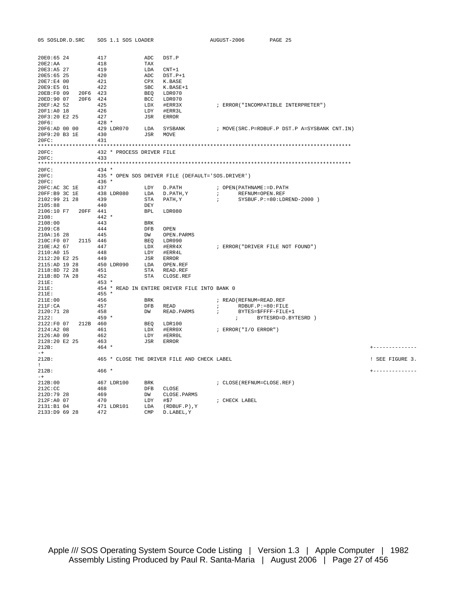| 05 SOSLDR.D.SRC                       | SOS 1.1 SOS LOADER        |                                                   | AUGUST-2006<br>PAGE 25                                                                                                                                                                                                                                                                          |                 |
|---------------------------------------|---------------------------|---------------------------------------------------|-------------------------------------------------------------------------------------------------------------------------------------------------------------------------------------------------------------------------------------------------------------------------------------------------|-----------------|
| 20E0:65 24                            | 417                       | ADC DST.P                                         |                                                                                                                                                                                                                                                                                                 |                 |
| $20E2$ : AA                           | 418                       | TAX                                               |                                                                                                                                                                                                                                                                                                 |                 |
| 20E3:A5 27                            | 419                       | LDA CNT+1                                         |                                                                                                                                                                                                                                                                                                 |                 |
| 20E5:65 25                            | 420                       |                                                   |                                                                                                                                                                                                                                                                                                 |                 |
| 20E7:E4 00                            | 421                       | ADC DST.P+1<br>CPX K.BASE                         |                                                                                                                                                                                                                                                                                                 |                 |
| $20E9: E5 01$ 422                     |                           | SBC K.BASE+1<br>BEQ LDR070<br>BCC LDR070          |                                                                                                                                                                                                                                                                                                 |                 |
| 20EB:F0 09 20F6 423                   |                           |                                                   |                                                                                                                                                                                                                                                                                                 |                 |
| 20ED:90 07 20F6 424                   |                           |                                                   |                                                                                                                                                                                                                                                                                                 |                 |
| 20EF:A2 52 425                        |                           | LDX #ERR3X                                        | ; ERROR ("INCOMPATIBLE INTERPRETER")                                                                                                                                                                                                                                                            |                 |
| 20F1:A0 18                            | 426                       | LDY #ERR3L                                        |                                                                                                                                                                                                                                                                                                 |                 |
| 20F3:20 E2 25 427                     | 428 *                     | JSR ERROR                                         |                                                                                                                                                                                                                                                                                                 |                 |
| 20F6:                                 |                           |                                                   | $20 F6: \text{AD} \quad 00 \quad 00 \qquad \qquad 429 \quad \text{LDR070} \qquad \qquad \text{LDA} \qquad \text{SYSBANK} \qquad \qquad \text{7} \quad \text{MOVE}(\text{SRC}. \text{P} = \text{RDBUF}. \text{P} \quad \text{DST}. \text{P} \quad \text{A=SYSBANK} \quad \text{CNT}. \text{IN})$ |                 |
| 20F9:20 B3 1E                         | 430                       | JSR MOVE                                          |                                                                                                                                                                                                                                                                                                 |                 |
| 20FC:                                 | 431                       |                                                   |                                                                                                                                                                                                                                                                                                 |                 |
|                                       |                           |                                                   |                                                                                                                                                                                                                                                                                                 |                 |
| 20FC:                                 | 432 * PROCESS DRIVER FILE |                                                   |                                                                                                                                                                                                                                                                                                 |                 |
| 20FC: 433                             |                           |                                                   |                                                                                                                                                                                                                                                                                                 |                 |
|                                       |                           |                                                   |                                                                                                                                                                                                                                                                                                 |                 |
| 20FC:                                 | $434$ *                   |                                                   |                                                                                                                                                                                                                                                                                                 |                 |
| 20FC:                                 |                           | 435 * OPEN SOS DRIVER FILE (DEFAULT='SOS.DRIVER') |                                                                                                                                                                                                                                                                                                 |                 |
| 20FC:                                 | $436 *$                   |                                                   |                                                                                                                                                                                                                                                                                                 |                 |
|                                       |                           |                                                   | ; OPEN(PATHNAME:=D.PATH                                                                                                                                                                                                                                                                         |                 |
|                                       |                           | $STA$ $PATH, Y$ ;                                 | $\mathcal{L} = \mathcal{L}$<br>REFNUM=OPEN.REF                                                                                                                                                                                                                                                  |                 |
| $2102:99$ 21 28                       | 439                       |                                                   | $SYSBUF.P:=80:LDREND-2000)$                                                                                                                                                                                                                                                                     |                 |
| 2105:88<br>2106:10 F7 20FF 441        | 440                       | DEY<br>BPL LDR080                                 |                                                                                                                                                                                                                                                                                                 |                 |
| 2108:                                 | $442 *$                   |                                                   |                                                                                                                                                                                                                                                                                                 |                 |
| 2108:00                               | 443                       | <b>BRK</b>                                        |                                                                                                                                                                                                                                                                                                 |                 |
| 2109:C8                               | 444                       | DFB OPEN                                          |                                                                                                                                                                                                                                                                                                 |                 |
| $2109 \cdot C8$ 444<br>210A:16 28 445 |                           | DW OPEN.PARMS                                     |                                                                                                                                                                                                                                                                                                 |                 |
| 210C:F0 07 2115 446                   |                           | BEQ LDR090                                        |                                                                                                                                                                                                                                                                                                 |                 |
| 210E:A2 67 447                        |                           | LDX #ERR4X                                        | ; ERROR("DRIVER FILE NOT FOUND")                                                                                                                                                                                                                                                                |                 |
|                                       |                           |                                                   |                                                                                                                                                                                                                                                                                                 |                 |
|                                       |                           |                                                   |                                                                                                                                                                                                                                                                                                 |                 |
|                                       |                           |                                                   |                                                                                                                                                                                                                                                                                                 |                 |
|                                       |                           |                                                   |                                                                                                                                                                                                                                                                                                 |                 |
|                                       |                           | STA CLOSE.REF                                     |                                                                                                                                                                                                                                                                                                 |                 |
| 211E:                                 | $453 *$                   |                                                   |                                                                                                                                                                                                                                                                                                 |                 |
| 211E:<br>211E:                        | $455 *$                   | 454 * READ IN ENTIRE DRIVER FILE INTO BANK 0      |                                                                                                                                                                                                                                                                                                 |                 |
| 211E:00                               | 456                       |                                                   | ; READ (REFNUM=READ.REF                                                                                                                                                                                                                                                                         |                 |
| $211F$ : CA                           | 457                       | BRK<br>DFB READ                                   | RDBUF.P:=80:FILE<br>$\mathcal{F}$ and $\mathcal{F}$                                                                                                                                                                                                                                             |                 |
| 2120:71 28                            | 458                       | DW READ. PARMS                                    | BYTES=\$FFFF-FILE+1<br>$\mathcal{L} = \mathcal{L}$                                                                                                                                                                                                                                              |                 |
| 2122:                                 | $459*$                    |                                                   | ; BYTESRD=D.BYTESRD )                                                                                                                                                                                                                                                                           |                 |
| 2122:F0 07 212B 460                   |                           | BEQ LDR100<br>LDX #ERR0X                          |                                                                                                                                                                                                                                                                                                 |                 |
| 2124:A2 08 461<br>2126:A0 09 462      |                           |                                                   | ; ERROR("I/O ERROR")                                                                                                                                                                                                                                                                            |                 |
|                                       |                           | LDY #ERROL                                        |                                                                                                                                                                                                                                                                                                 |                 |
| 2128:20 E2 25 463                     |                           | JSR ERROR                                         |                                                                                                                                                                                                                                                                                                 |                 |
| 212B:                                 | $464 *$                   |                                                   |                                                                                                                                                                                                                                                                                                 | +-------------- |
| $-+$<br>212B:                         |                           | 465 * CLOSE THE DRIVER FILE AND CHECK LABEL       |                                                                                                                                                                                                                                                                                                 | ! SEE FIGURE 3. |
| $1 -$                                 |                           |                                                   |                                                                                                                                                                                                                                                                                                 |                 |
| 212B:                                 | 466 *                     |                                                   |                                                                                                                                                                                                                                                                                                 | +-------------- |
| $-+$                                  |                           |                                                   |                                                                                                                                                                                                                                                                                                 |                 |
| 212B:00                               | 467 LDR100 BRK            |                                                   | ; CLOSE (REFNUM=CLOSE.REF)                                                                                                                                                                                                                                                                      |                 |
| 212C:CC                               | 468                       | DFB CLOSE                                         |                                                                                                                                                                                                                                                                                                 |                 |
| 212D:79 28                            | 469                       | DW CLOSE.PARMS                                    |                                                                                                                                                                                                                                                                                                 |                 |
| 212F:A0 07                            | 470                       | $LDY$ #\$7                                        | ; CHECK LABEL                                                                                                                                                                                                                                                                                   |                 |
| 2131:B104<br>2133:D9 69 28            | 472                       | 471 LDR101 LDA (RDBUF.P), Y<br>CMP D.LABEL, Y     |                                                                                                                                                                                                                                                                                                 |                 |
|                                       |                           |                                                   |                                                                                                                                                                                                                                                                                                 |                 |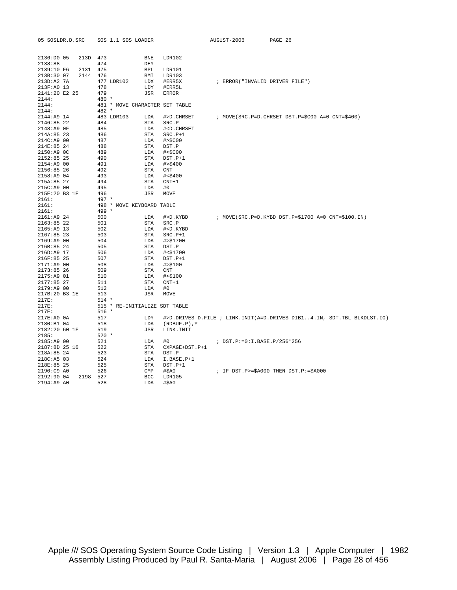| 05 SOSLDR.D.SRC                                                                                                                                                                                                                | SOS 1.1 SOS LOADER                                                                                                                                                                                                                                                                     |                                                                                                                                                                                                                                   | AUGUST-2006                    | PAGE 26                                                                |
|--------------------------------------------------------------------------------------------------------------------------------------------------------------------------------------------------------------------------------|----------------------------------------------------------------------------------------------------------------------------------------------------------------------------------------------------------------------------------------------------------------------------------------|-----------------------------------------------------------------------------------------------------------------------------------------------------------------------------------------------------------------------------------|--------------------------------|------------------------------------------------------------------------|
| 213D 473<br>2136:DD005<br>2138:88<br>2131<br>2139:10 F6<br>213B:30 07<br>2144<br>$213D:A2$ 7A<br>213F:A0 13<br>2141:20 E2 25                                                                                                   | BNE<br>474<br>DEY<br>475<br>BPL<br>476<br>BMI<br>477 LDR102<br>LDX<br>478<br>LDY<br>479<br><b>JSR</b>                                                                                                                                                                                  | LDR102<br>LDR101<br>LDR103<br>#ERR5X<br>#ERR5L<br><b>ERROR</b>                                                                                                                                                                    | ; ERROR("INVALID DRIVER FILE") |                                                                        |
| 2144:<br>2144:<br>2144:                                                                                                                                                                                                        | $480 *$<br>481 * MOVE CHARACTER SET TABLE<br>$482 *$                                                                                                                                                                                                                                   |                                                                                                                                                                                                                                   |                                |                                                                        |
| 2144:A9 14<br>2146:85 22<br>2148:A9 OF<br>214A:85 23<br>214C:A9 00<br>214E:85 24<br>2150:A9 OC<br>2152:85 25<br>2154:A9 00<br>2156:85 26<br>2158:A9 04<br>215A:85 27<br>215C:A9 00<br>215E:20 B3 1E<br>2161:<br>2161:<br>2161: | 483 LDR103<br>LDA<br>484<br>STA<br>485<br>LDA<br>486<br>STA<br>487<br>LDA<br>488<br>STA<br>489<br>LDA<br>490<br><b>STA</b><br>491<br>LDA<br>492<br><b>STA</b><br>493<br>LDA<br>494<br><b>STA</b><br>495<br>LDA<br>496<br><b>JSR</b><br>$497 *$<br>498 * MOVE KEYBOARD TABLE<br>$499 *$ | #>D.CHRSET<br>SRC.P<br># <d.chrset<br><math>SRC.P+1</math><br/>#&gt;\$C00<br/>DST.P<br/># &lt; \$C00<br/>DST.P+1<br/># &gt; \$400<br/>CNT<br/># &lt; \$400<br/><math>CNT+1</math><br/>#0<br/>MOVE</d.chrset<br>                   |                                | ; MOVE(SRC.P=D.CHRSET DST.P=\$C00 A=0 CNT=\$400)                       |
| 2161: A924<br>2163:85 22<br>$2165:AA9$ 13<br>$2167:85$ 23<br>2169: A900<br>216B:85 24<br>216D:A9 17<br>216F:85 25<br>2171:A9 00<br>2173:85 26<br>2175:A9 01<br>2177:85 27<br>2179:A9 00<br>217B:20 B3 1E<br>217E:<br>217E:     | 500<br>LDA<br>501<br>STA<br>502<br>LDA<br>503<br>STA<br>504<br>LDA<br>505<br>STA<br>506<br>LDA<br>507<br>STA<br>508<br>LDA<br>509<br>STA<br>510<br>LDA<br>511<br>STA<br>512<br>LDA<br>513<br>JSR<br>$514 *$<br>515 * RE-INITIALIZE SDT TABLE                                           | #>D.KYBD<br>SRC.P<br># <d.kybd<br><math>SRC.P+1</math><br/># &gt; \$1700<br/>DST.P<br/># &lt; \$1700<br/><math>DST.P+1</math><br/># &gt; \$100<br/><b>CNT</b><br/># &lt; \$100<br/><math>CNT+1</math><br/>#0<br/>MOVE</d.kybd<br> |                                | ; MOVE(SRC.P=D.KYBD DST.P=\$1700 A=0 CNT=\$100.IN)                     |
| 217E:<br>217E: AO 0A<br>2180:B1 04<br>2182:20 60 1F<br>2185:                                                                                                                                                                   | $516 *$<br>517<br>LDY<br>518<br>LDA<br>519<br>JSR<br>$520 *$                                                                                                                                                                                                                           | $(RDBUF.P)$ , $Y$<br>LINK. INIT                                                                                                                                                                                                   |                                | #>D.DRIVES-D.FILE ; LINK.INIT(A=D.DRIVES DIB14.IN, SDT.TBL BLKDLST.IO) |
| 2185:A9 00<br>2187:8D 25 16<br>218A:85 24<br>218C:A5 03<br>218E:85 25                                                                                                                                                          | 521<br>LDA<br>522<br>STA<br>523<br>STA<br>524<br>LDA<br>525<br>STA                                                                                                                                                                                                                     | #0<br>CXPAGE+DST.P+1<br>DST.P<br>I.BASE.P+1<br>$DST.P+1$                                                                                                                                                                          | ; DST.P:=0:I.BASE.P/256*256    |                                                                        |
| 2190:C9 A0<br>2198 527<br>2192:90 04<br>2194:A9 A0                                                                                                                                                                             | 526<br>CMP<br>BCC<br>528<br>LDA                                                                                                                                                                                                                                                        | #\$A0<br>LDR105<br>$#$ $5A0$                                                                                                                                                                                                      |                                | ; IF DST.P>=\$A000 THEN DST.P:=\$A000                                  |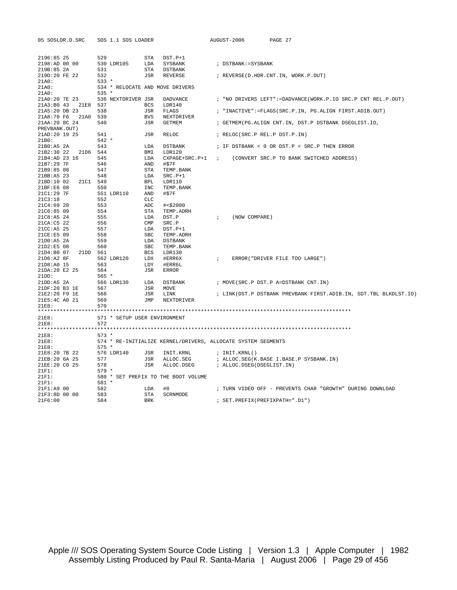| 05 SOSLDR.D.SRC                                                        |                | SOS 1.1 SOS LOADER           |            |                                                              |               | AUGUST-2006               | PAGE 27                                                          |
|------------------------------------------------------------------------|----------------|------------------------------|------------|--------------------------------------------------------------|---------------|---------------------------|------------------------------------------------------------------|
| 2196:85 25                                                             | 529            |                              | STA        | DST.P+1                                                      |               |                           |                                                                  |
| 2198:AD 00 00                                                          | 530 LDR105     |                              |            | LDA SYSBANK                                                  |               | ; DSTBANK: = SYSBANK      |                                                                  |
| 219B:85 2A                                                             | 531            |                              |            | STA DSTBANK                                                  |               |                           |                                                                  |
| 219D:20 FE 22<br>21A0:                                                 | 532<br>$533 *$ |                              |            | JSR REVERSE                                                  |               |                           | ; REVERSE(D.HDR.CNT.IN, WORK.P.OUT)                              |
| 21A0:                                                                  |                |                              |            | 534 * RELOCATE AND MOVE DRIVERS                              |               |                           |                                                                  |
| 21A0:                                                                  | $535 *$        |                              |            |                                                              |               |                           |                                                                  |
| 21A0:20 7E 23 536 NEXTDRIVER JSR DADVANCE                              |                |                              |            |                                                              |               |                           | ; "NO DRIVERS LEFT":=DADVANCE(WORK.P.IO SRC.P CNT REL.P.OUT)     |
| 21A3:B0 43 21E8 537                                                    |                |                              | BCS        | LDR140                                                       |               |                           |                                                                  |
| 21A5:20 DB 23                                                          | 538            |                              | JSR        | FLAGS                                                        |               |                           | ; "INACTIVE":=FLAGS(SRC.P.IN, PG.ALIGN FIRST.ADIB.OUT)           |
| 21A8:70 F6 21A0 539                                                    |                |                              | BVS        | NEXTDRIVER                                                   |               |                           |                                                                  |
| 21AA:20 8C 24                                                          | 540            |                              | JSR        | GETMEM                                                       |               |                           | ; GETMEM(PG.ALIGN CNT.IN, DST.P DSTBANK DSEGLIST.IO,             |
| PREVBANK.OUT)<br>21AD:20 19 25                                         | 541            |                              | JSR        | RELOC                                                        |               |                           |                                                                  |
| 21B0:                                                                  | $542 *$        |                              |            |                                                              |               |                           | ; RELOC(SRC.P REL.P DST.P.IN)                                    |
| 21B0:A5 2A                                                             | 543            |                              | LDA        | DSTBANK                                                      |               |                           | ; IF DSTBANK < 0 OR DST.P < SRC.P THEN ERROR                     |
| 21B2:30 22 21D6 544                                                    |                |                              | BMI        | LDR120                                                       |               |                           |                                                                  |
| 21B4:AD 23 16                                                          | 545            |                              | LDA        |                                                              |               |                           | CXPAGE+SRC.P+1 ; (CONVERT SRC.P TO BANK SWITCHED ADDRESS)        |
| 21B7:29 7F                                                             | 546            |                              | AND        | #\$7F                                                        |               |                           |                                                                  |
| 21B9:85 08                                                             | 547            |                              | STA        | TEMP.BANK                                                    |               |                           |                                                                  |
| 21BB:A5 23                                                             | 548            |                              | LDA        | $SRC.P+1$                                                    |               |                           |                                                                  |
| 21BD:10 02 21C1 549                                                    |                |                              | BPL        | LDR110                                                       |               |                           |                                                                  |
| 21BF:E6 08                                                             | 550            |                              | INC        | TEMP.BANK                                                    |               |                           |                                                                  |
| 21C1:29 7F                                                             |                | 551 LDR110                   | AND        | #\$7F                                                        |               |                           |                                                                  |
| 21C3:18                                                                | 552            |                              | <b>CLC</b> |                                                              |               |                           |                                                                  |
| 21C4:6920                                                              | 553            |                              | ADC        | #<\$2000                                                     |               |                           |                                                                  |
| 21C6:85 09                                                             | 554            |                              | STA        | TEMP.ADRH                                                    |               |                           |                                                                  |
| 21C8:A5 24                                                             | 555            |                              | LDA        | DST.P                                                        | $\mathcal{L}$ | (NOW COMPARE)             |                                                                  |
| 21CA: C5 22                                                            | 556            |                              | CMP        | SRC.P                                                        |               |                           |                                                                  |
| $21CC:AB$ 25                                                           | 557            |                              | LDA        | DST.P+1                                                      |               |                           |                                                                  |
| 21CE: E5 09                                                            | 558            |                              | SBC        | TEMP.ADRH                                                    |               |                           |                                                                  |
| 21D0:AB 2A<br>$21D2:EB$ 08                                             | 559<br>560     |                              | LDA<br>SBC | DSTBANK<br>TEMP. BANK                                        |               |                           |                                                                  |
| 21D4:B0 07 21DD 561                                                    |                |                              | BCS        | LDR130                                                       |               |                           |                                                                  |
| 21D6:A2 8F                                                             | 562 LDR120     |                              | LDX        | #ERR6X                                                       | $\mathcal{L}$ |                           | ERROR ("DRIVER FILE TOO LARGE")                                  |
| 21D8:A0 15                                                             | 563            |                              | LDY        | #ERR6L                                                       |               |                           |                                                                  |
| 21DA:20 E2 25                                                          | 564            |                              |            | JSR ERROR                                                    |               |                           |                                                                  |
| 21DD:                                                                  | $565 *$        |                              |            |                                                              |               |                           |                                                                  |
| 21DD: A5 2A<br>21DD: A5 2A 566<br>21DF: 20 B3 1E 567<br>3100 P9 1E 568 |                |                              |            | 566 LDR130 LDA DSTBANK                                       |               |                           | ; MOVE(SRC.P DST.P A=DSTBANK CNT.IN)                             |
|                                                                        |                |                              | JSR        | MOVE                                                         |               |                           |                                                                  |
|                                                                        |                |                              | JSR        | LINK                                                         |               |                           | ; LINK(DST.P DSTBANK PREVBANK FIRST.ADIB.IN, SDT.TBL BLKDLST.IO) |
| 21E5:4C A0 21                                                          | 569            |                              | JMP        | NEXTDRIVER                                                   |               |                           |                                                                  |
| 21E8:                                                                  | 570            |                              |            |                                                              |               |                           |                                                                  |
|                                                                        |                |                              |            |                                                              |               |                           |                                                                  |
| 21E8:                                                                  |                | 571 * SETUP USER ENVIRONMENT |            |                                                              |               |                           |                                                                  |
| 21E8:                                                                  | 572            |                              |            |                                                              |               |                           |                                                                  |
| 21E8:                                                                  | $573 *$        |                              |            |                                                              |               |                           |                                                                  |
| 21E8:                                                                  |                |                              |            | 574 * RE-INITIALIZE KERNEL/DRIVERS, ALLOCATE SYSTEM SEGMENTS |               |                           |                                                                  |
| 21E8:                                                                  | $575 *$        |                              |            |                                                              |               |                           |                                                                  |
| 21E8:20 7B 22                                                          | 576 LDR140     |                              |            | JSR INIT.KRNL                                                |               | ; INIT.KRNL()             |                                                                  |
| 21EB:20 6A 25                                                          | 577            |                              | JSR        | ALLOC.SEG                                                    |               |                           | ; ALLOC.SEG(K.BASE I.BASE.P SYSBANK.IN)                          |
| 21EE:20 CO 25                                                          | 578            |                              | JSR        | ALLOC.DSEG                                                   |               | ; ALLOC.DSEG(DSEGLIST.IN) |                                                                  |
| 21F1:                                                                  | $579 *$        |                              |            |                                                              |               |                           |                                                                  |
| 21F1:                                                                  |                |                              |            | 580 * SET PREFIX TO THE BOOT VOLUME                          |               |                           |                                                                  |
| 21F1:                                                                  | 581 *          |                              |            |                                                              |               |                           |                                                                  |
| 21F1:A9 00                                                             | 582            |                              | LDA        | #0                                                           |               |                           | ; TURN VIDEO OFF - PREVENTS CHAR "GROWTH" DURING DOWNLOAD        |
| 21F3:8D 00 00                                                          | 583            |                              | STA        | SCRNMODE                                                     |               |                           |                                                                  |
| 21F6:00                                                                | 584            |                              | <b>BRK</b> |                                                              |               |                           | ; SET.PREFIX(PREFIXPATH=".D1")                                   |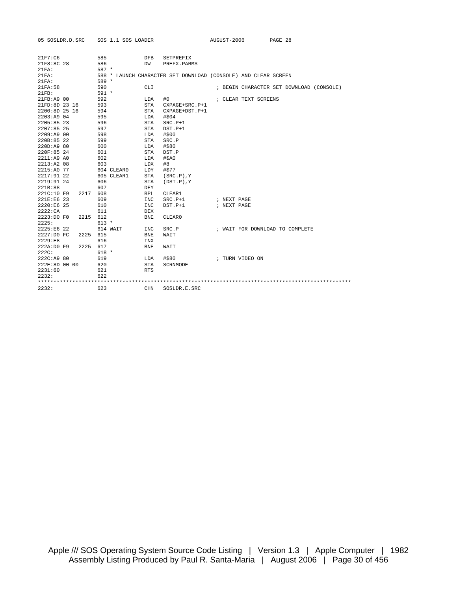| 05 SOSLDR.D.SRC               | SOS 1.1 SOS LOADER |                               | AUGUST-2006                                                    | PAGE 28                                  |
|-------------------------------|--------------------|-------------------------------|----------------------------------------------------------------|------------------------------------------|
|                               |                    |                               |                                                                |                                          |
| 21F7:C6                       | 585                | <b>DFB</b><br>SETPREFIX       |                                                                |                                          |
| 21F8:8C 28                    | 586                | DW<br>PREFX.PARMS             |                                                                |                                          |
| 21FA:                         | $587 *$            |                               |                                                                |                                          |
| 21FA:                         |                    |                               | 588 * LAUNCH CHARACTER SET DOWNLOAD (CONSOLE) AND CLEAR SCREEN |                                          |
| 21FA:                         | 589 *              |                               |                                                                |                                          |
| 21FA:58                       | 590                | <b>CLI</b>                    |                                                                | ; BEGIN CHARACTER SET DOWNLOAD (CONSOLE) |
| 21FR:                         | $591 *$            |                               |                                                                |                                          |
| 21FB:A9 00                    | 592                | LDA<br>#0                     | ; CLEAR TEXT SCREENS                                           |                                          |
| 21FD:8D 23 16                 | 593                | STA<br>$CXPAGE+SRC.P+1$       |                                                                |                                          |
| 2200:8D 25 16                 | 594                | STA<br>CXPAGE+DST.P+1         |                                                                |                                          |
| 2203:A9 04                    | 595                | #\$04<br>LDA                  |                                                                |                                          |
| $2205:85$ 23                  | 596                | STA<br>$SRC.P+1$              |                                                                |                                          |
| 2207:85 25                    | 597                | $DST.P+1$<br>STA              |                                                                |                                          |
| 2209:A9 00                    | 598                | #\$00<br>LDA                  |                                                                |                                          |
| 220B:85 22                    | 599                | SRC.P<br>STA                  |                                                                |                                          |
| 220D:A9 80                    | 600                | #\$80<br>LDA                  |                                                                |                                          |
| 220F:85 24                    | 601                | <b>STA</b><br>DST.P           |                                                                |                                          |
| 2211:A9 A0                    | 602                | $#$ $5A0$<br>LDA              |                                                                |                                          |
| 2213:A208                     | 603                | LDX<br>#8                     |                                                                |                                          |
| 2215:A0 77                    | 604 CLEAR0         | #\$77<br>LDY                  |                                                                |                                          |
| 2217:91 22                    | 605 CLEAR1         | STA<br>$(SRC.P)$ , $Y$        |                                                                |                                          |
| 2219:91 24                    | 606                | <b>STA</b><br>$(DST.P)$ , $Y$ |                                                                |                                          |
| 221B:88                       | 607                | DEY                           |                                                                |                                          |
| 221C:10 F9<br>2217            | 608                | <b>BPL</b><br>CLEAR1          |                                                                |                                          |
| 221E:E6 23                    | 609                | <b>INC</b><br>$SRC.P+1$       | ; NEXT PAGE                                                    |                                          |
| 2220:E6 25                    | 610                | <b>INC</b><br>$DST.P+1$       | ; NEXT PAGE                                                    |                                          |
| 2222:CA                       | 611                | <b>DEX</b>                    |                                                                |                                          |
| 2223:D0 F0<br>2215            | 612                | CLEAR0<br><b>BNE</b>          |                                                                |                                          |
| 2225:                         | $613 *$            |                               |                                                                |                                          |
| 2225:E6 22                    | 614 WAIT           | INC<br>SRC.P                  | ; WAIT FOR DOWNLOAD TO COMPLETE                                |                                          |
| 2227:D0 FC<br>2225            | 615                | <b>BNE</b><br>WAIT            |                                                                |                                          |
| 2229 : E8                     | 616                | INX                           |                                                                |                                          |
| 2225<br>222A:D0 F9            | 617                | <b>BNE</b><br>WAIT            |                                                                |                                          |
| 222C:                         | $618 *$            |                               |                                                                |                                          |
| 222C:A9 80                    | 619                | #\$80<br>LDA                  | ; TURN VIDEO ON                                                |                                          |
| 222E:8D 00 00                 | 620                | STA<br>SCRNMODE               |                                                                |                                          |
| 2231:60                       | 621                | <b>RTS</b>                    |                                                                |                                          |
| 2232:                         | 622                |                               |                                                                |                                          |
| ***************************** |                    |                               |                                                                |                                          |
| 2232:                         | 623                | <b>CHN</b><br>SOSLDR.E.SRC    |                                                                |                                          |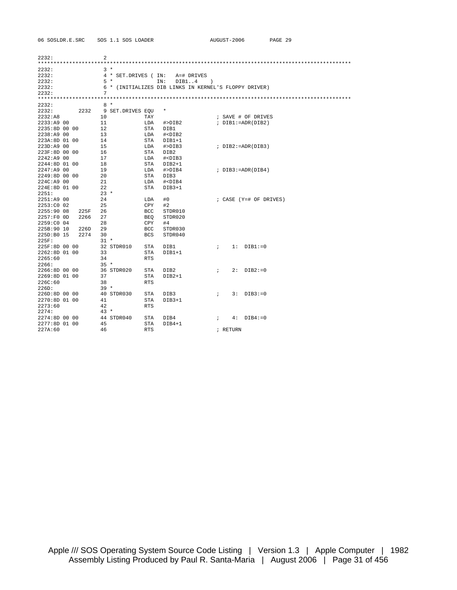2232: 2 \*\*\*\*\*\*\*\*\*\*\*\*\*\*\*\*\*\*\*\*\*\*\*\*\*\*\*\*\*\*\*\*\*\*\*\*\*\*\*\*\*\*\*\*\*\*\*\*\*\*\*\*\*\*\*\*\*\*\*\*\*\*\*\*\*\*\*\*\*\*\*\*\*\*\*\*\*\*\*\*\*\*\*\*\*\*\*\*\*\*\*\*\*\*\*\*\*\*\*\*  $\begin{array}{lllllllll} 2232:&&&&3\atop2232:&&&&4\atop2&\times&\text{SET.DRIVES} &(\text{IN:} &\text{A=# DRIVES}\\ & & &4\atop2&\times&\text{SET.DRIVES} &(\text{IN:} &\text{DIB1..4}) \end{array}$ 2232: 4 \* SET.DRIVES ( IN: A=# DRIVES 2232: 5 \* IN: DIB1..4 ) 2232: 6 \* (INITIALIZES DIB LINKS IN KERNEL'S FLOPPY DRIVER) 2232: 7 \*\*\*\*\*\*\*\*\*\*\*\*\*\*\*\*\*\*\*\*\*\*\*\*\*\*\*\*\*\*\*\*\*\*\*\*\*\*\*\*\*\*\*\*\*\*\*\*\*\*\*\*\*\*\*\*\*\*\*\*\*\*\*\*\*\*\*\*\*\*\*\*\*\*\*\*\*\*\*\*\*\*\*\*\*\*\*\*\*\*\*\*\*\*\*\*\*\*\*\* 2232: 8 \* 2232: 2232 9 SET.DRIVES EQU \* 2232:A8 10 TAY ; SAVE # OF DRIVES 2233:A9 00 11 LDA #>DIB2 ; DIB1:=ADR(DIB2) 2235:8D 00 00 12 STA DIB1 2238:A9 00 13 LDA #<DIB2 223A:8D 01 00 14 STA DIB1+1 223D:A9 00 15 LDA #>DIB3 ; DIB2:=ADR(DIB3) 223F:8D 00 00 16 STA DIB2 2242:A9 00 17 LDA #<DIB3 2244:8D 01 00 18 STA DIB2+1 2247:A9 00 19 LDA #>DIB4 ; DIB3:=ADR(DIB4) 2249:8D 00 00 20 STA DIB3 224C:A9 00 21 LDA #<DIB4 224E:8D 01 00 22 STA DIB3+1 2251: 23 \* 2251:A9 00 24 LDA #0 ; CASE (Y=# OF DRIVES) 2253:C0 02 25 CPY #2 2255:90 08 225F 26 BCC STDR010 2257:F0 0D 2266 27 BEQ STDR020 2259:C0 04 28 CPY #4 225B:90 10 226D 29 BCC STDR030 225D:B0 15 2274 30 BCS STDR040 225F: 31 \* 225F:8D 00 00 32 STDR010 STA DIB1 ; 1: DIB1:=0 2262:8D 01 00 33 STA DIB1+1 2265:60 34 RTS 2266: 35 \* 2266:8D 00 00 36 STDR020 STA DIB2 ; 2: DIB2:=0 2269:8D 01 00 37 STA DIB2+1 226C:60 38 RTS 226D: 39 \* 226D:8D 00 00 40 STDR030 STA DIB3 ; 3: DIB3:=0 2270:8D 01 00 41 STA DIB3+1 2273:60 42 RTS 2274: 43 \* 2274:8D 00 00 44 STDR040 STA DIB4 ; 4: DIB4:=0 2277:8D 01 00 45 STA DIB4+1 227A:60 46 RTS ; RETURN

06 SOSLDR.E.SRC SOS 1.1 SOS LOADER AUGUST-2006 PAGE 29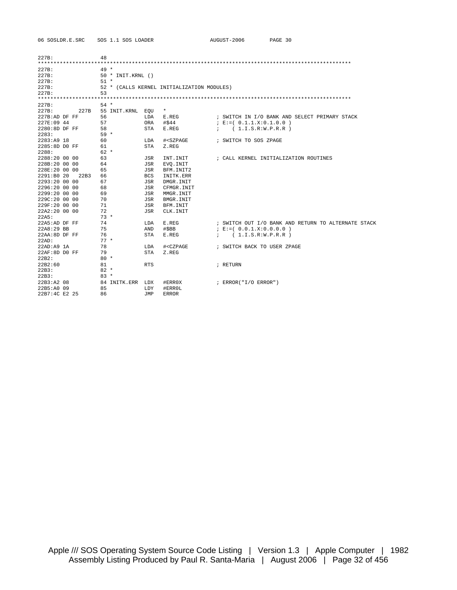| 227B:         |      | 48     |                   |            |                                                                          |               |                                                     |
|---------------|------|--------|-------------------|------------|--------------------------------------------------------------------------|---------------|-----------------------------------------------------|
|               |      |        |                   |            |                                                                          |               |                                                     |
| 227B:         |      | $49*$  |                   |            |                                                                          |               |                                                     |
| 227B:         |      |        | 50 * INIT.KRNL () |            |                                                                          |               |                                                     |
| 227B:         |      | $51 *$ |                   |            |                                                                          |               |                                                     |
| 227B:         |      |        |                   |            | 52 * (CALLS KERNEL INITIALIZATION MODULES)                               |               |                                                     |
| 227B:         |      | 53     |                   |            |                                                                          |               |                                                     |
|               |      |        |                   |            |                                                                          |               |                                                     |
| 227B:         |      | $54 *$ |                   |            |                                                                          |               |                                                     |
| 227B:         | 227B |        | 55 INIT.KRNL EQU  |            | $\star$                                                                  |               |                                                     |
| 227B:AD DF FF |      | 56     |                   | LDA        | E.REG                                                                    |               | ; SWITCH IN I/O BANK AND SELECT PRIMARY STACK       |
| 227E:09 44    |      | 57     |                   | ORA        | #\$44                                                                    |               | ; E:=( $0.1.1.X:0.1.0.0$ )                          |
| 2280:8D DF FF |      | 58     |                   | <b>STA</b> | E.REG                                                                    |               | ; (1.I.S.R.W.P.R.R)                                 |
| 2283:         |      | $59 *$ |                   |            |                                                                          |               |                                                     |
| 2283:A9 18    |      | 60     |                   | LDA        | # <szpage< td=""><td></td><td>; SWITCH TO SOS ZPAGE</td></szpage<>       |               | ; SWITCH TO SOS ZPAGE                               |
| 2285:8D DO FF |      | 61     |                   | <b>STA</b> | Z.REG                                                                    |               |                                                     |
| 2288:         |      | $62 *$ |                   |            |                                                                          |               |                                                     |
| 2288:20 00 00 |      | 63     |                   | JSR        | INT. INIT                                                                |               | ; CALL KERNEL INITIALIZATION ROUTINES               |
| 228B:20 00 00 |      | 64     |                   | JSR        | EVO. INIT                                                                |               |                                                     |
| 228E:20 00 00 |      | 65     |                   | JSR        | BFM. INIT2                                                               |               |                                                     |
| 2291:B0 20    | 22B3 | 66     |                   | <b>BCS</b> | INITK.ERR                                                                |               |                                                     |
| 2293:20 00 00 |      | 67     |                   | JSR        | DMGR. INIT                                                               |               |                                                     |
| 2296:20 00 00 |      | 68     |                   | <b>JSR</b> | CFMGR. INIT                                                              |               |                                                     |
| 2299:20 00 00 |      | 69     |                   | JSR        | MMGR.INIT                                                                |               |                                                     |
| 229C:20 00 00 |      | 70     |                   | JSR        | BMGR. INIT                                                               |               |                                                     |
| 229F:20 00 00 |      | 71     |                   | JSR        | BFM. INIT                                                                |               |                                                     |
| 22A2:20 00 00 |      | 72     |                   | JSR        | CLK. INIT                                                                |               |                                                     |
| 22A5:         |      | $73 *$ |                   |            |                                                                          |               |                                                     |
| 22A5:AD DF FF |      | 74     |                   | LDA        | E.REG                                                                    |               | ; SWITCH OUT I/O BANK AND RETURN TO ALTERNATE STACK |
| 22A8:29 BB    |      | 75     |                   | AND        | #\$BB                                                                    |               | $E := (0.0.1.X:0.0.0.0)$                            |
| 22AA:8D DF FF |      | 76     |                   | STA        | E.REG                                                                    | $\mathcal{L}$ | (1.I.S.R:W.P.R.R)                                   |
| 22AD:         |      | $77 *$ |                   |            |                                                                          |               |                                                     |
| 22AD:A9 1A    |      | 78     |                   | LDA        | # <czpage< td=""><td></td><td>; SWITCH BACK TO USER ZPAGE</td></czpage<> |               | ; SWITCH BACK TO USER ZPAGE                         |
| 22AF:8D DO FF |      | 79     |                   | STA        | Z.REG                                                                    |               |                                                     |
| 22B2:         |      | $80 *$ |                   |            |                                                                          |               |                                                     |
| 22B2:60       |      | 81     |                   | <b>RTS</b> |                                                                          |               | ; RETURN                                            |
| 22B3:         |      | $82 *$ |                   |            |                                                                          |               |                                                     |
| 22B3:         |      | $83 *$ |                   |            |                                                                          |               |                                                     |
| 22B3:AA208    |      |        | 84 INITK.ERR      | LDX        | #ERR0X                                                                   |               | ; ERROR("I/O ERROR")                                |
| 22B5:A0 09    |      | 85     |                   | LDY        | #ERROL                                                                   |               |                                                     |
| 22B7:4C E2 25 |      | 86     |                   | TMP.       | <b>ERROR</b>                                                             |               |                                                     |

06 SOSLDR.E.SRC SOS 1.1 SOS LOADER AUGUST-2006 PAGE 30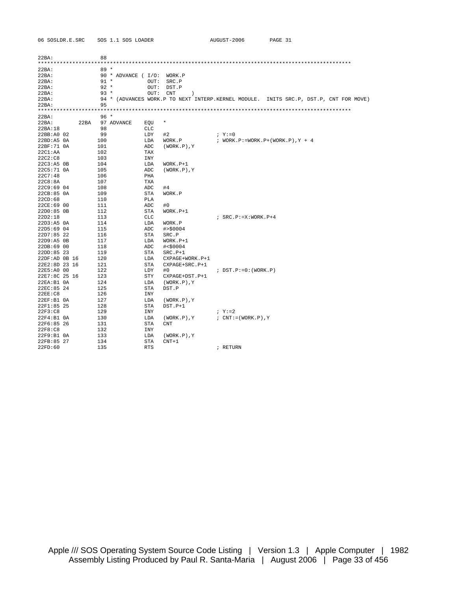| 06 SOSLDR.E.SRC |        | SOS 1.1 SOS LOADER         |                            | AUGUST-2006                        | PAGE 31                                                                               |  |
|-----------------|--------|----------------------------|----------------------------|------------------------------------|---------------------------------------------------------------------------------------|--|
|                 |        |                            |                            |                                    |                                                                                       |  |
| 22BA:           | 88     |                            |                            |                                    |                                                                                       |  |
|                 |        |                            |                            |                                    |                                                                                       |  |
| 22BA:           | $89 *$ |                            |                            |                                    |                                                                                       |  |
| 22BA:           |        | 90 * ADVANCE ( I/O: WORK.P |                            |                                    |                                                                                       |  |
| 22BA:           | $91 *$ | OUT:                       | SRC.P                      |                                    |                                                                                       |  |
| 22BA:           | $92 *$ | OUT:                       | DST.P                      |                                    |                                                                                       |  |
| 22BA:           | $93 *$ | OUT:                       | $\rm CNT$<br>$\mathcal{E}$ |                                    |                                                                                       |  |
| 22BA:           |        |                            |                            |                                    | 94 * (ADVANCES WORK.P TO NEXT INTERP.KERNEL MODULE. INITS SRC.P, DST.P, CNT FOR MOVE) |  |
| 22BA:           | 95     |                            |                            |                                    |                                                                                       |  |
|                 |        |                            |                            |                                    |                                                                                       |  |
| 22BA:           | $96*$  |                            |                            |                                    |                                                                                       |  |
| 22BA:<br>22BA   |        | 97 ADVANCE<br>EQU          | $\ast$                     |                                    |                                                                                       |  |
| 22BA:18         | 98     | <b>CLC</b>                 |                            |                                    |                                                                                       |  |
| 22BB:A0 02      | 99     | LDY                        | #2                         | $; Y := 0$                         |                                                                                       |  |
| $22BD:AB$ $0A$  | 100    | LDA                        | WORK.P                     | ; WORK.P:=WORK.P+(WORK.P), $Y + 4$ |                                                                                       |  |
| 22BF:71 0A      | 101    | ADC                        | $(WORK.P)$ , $Y$           |                                    |                                                                                       |  |
| 22CI:AA         | 102    | TAX                        |                            |                                    |                                                                                       |  |
| 22C2:C8         | 103    | <b>INY</b>                 |                            |                                    |                                                                                       |  |
| 22C3:A5 0B      | 104    | LDA                        | $WORK.P+1$                 |                                    |                                                                                       |  |
| 22C5:71 0A      | 105    | ADC                        | $(WORK.P)$ , $Y$           |                                    |                                                                                       |  |
| 22C7:48         | 106    | PHA                        |                            |                                    |                                                                                       |  |
| 22C8:8A         | 107    | TXA                        |                            |                                    |                                                                                       |  |
| 22C9:69 04      | 108    | ADC                        | #4                         |                                    |                                                                                       |  |
| 22CB:85 0A      | 109    | STA                        | WORK.P                     |                                    |                                                                                       |  |
| 22CD:68         | 110    | PLA                        |                            |                                    |                                                                                       |  |
| 22CE:69 00      | 111    | ADC                        | #0                         |                                    |                                                                                       |  |
| 22D0:85 0B      | 112    | STA                        | $WORK.P+1$                 |                                    |                                                                                       |  |
| 22D2:18         | 113    | CLC                        |                            | $:$ SRC.P:=X:WORK.P+4              |                                                                                       |  |
| 22D3:B50A       | 114    | LDA                        | WORK.P                     |                                    |                                                                                       |  |
| $22D5:69$ 04    | 115    | ADC                        | # > \$0004                 |                                    |                                                                                       |  |
| $22D7:85$ 22    | 116    | STA                        | SRC.P                      |                                    |                                                                                       |  |
| 22D9:A5 0B      | 117    | LDA                        | $WORK.P+1$                 |                                    |                                                                                       |  |
| 22DB:6900       | 118    | ADC                        | # < \$0004                 |                                    |                                                                                       |  |
| 22DD:85 23      | 119    | <b>STA</b>                 | $SRC.P+1$                  |                                    |                                                                                       |  |
| 22DF:AD 0B 16   | 120    | LDA                        | CXPAGE+WORK.P+1            |                                    |                                                                                       |  |
| 22E2:8D 23 16   | 121    | STA                        | CXPAGE+SRC.P+1             |                                    |                                                                                       |  |
| 22E5:A0 00      | 122    | LDY                        | #0                         | $:$ DST.P:=0:(WORK.P)              |                                                                                       |  |
| 22E7:8C 25 16   | 123    | <b>STY</b>                 | CXPAGE+DST.P+1             |                                    |                                                                                       |  |
| 22EA:B1 0A      | 124    | LDA                        | $(WORK.P)$ , $Y$           |                                    |                                                                                       |  |
| 22EC:85 24      | 125    | STA                        | DST.P                      |                                    |                                                                                       |  |
| 22EE:CB         | 126    | INY                        |                            |                                    |                                                                                       |  |
| 22EF:B1 0A      | 127    | LDA                        | $(WORK.P)$ , $Y$           |                                    |                                                                                       |  |
| 22F1:85 25      | 128    | STA                        | $DST.P+1$                  |                                    |                                                                                       |  |
| 22F3:C8         | 129    | INY                        |                            | $; \mathbf{Y} := 2$                |                                                                                       |  |
| 22F4:B1 0A      | 130    | LDA                        | $(WORK.P)$ , $Y$           | $: CNT := (WORK.P)$ , Y            |                                                                                       |  |
| 22F6:85 26      | 131    | STA                        | <b>CNT</b>                 |                                    |                                                                                       |  |
| 22F8:C8         | 132    | INY                        |                            |                                    |                                                                                       |  |
| 22F9:B10A       | 133    | LDA                        | $(WORK.P)$ , $Y$           |                                    |                                                                                       |  |
| 22FB:85 27      | 134    | STA                        | $CNT+1$                    |                                    |                                                                                       |  |
| 22FD:60         | 135    | <b>RTS</b>                 |                            | ; RETURN                           |                                                                                       |  |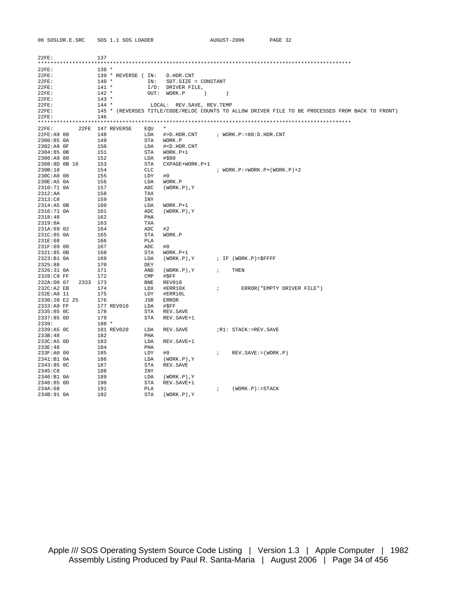| 06 SOSLDR.E.SRC             | SOS 1.1 SOS LOADER            |            |                                                              | AUGUST-2006                   |                                           | PAGE 32                                                                                          |
|-----------------------------|-------------------------------|------------|--------------------------------------------------------------|-------------------------------|-------------------------------------------|--------------------------------------------------------------------------------------------------|
|                             |                               |            |                                                              |                               |                                           |                                                                                                  |
| 22FE:                       | 137                           |            |                                                              |                               |                                           |                                                                                                  |
|                             |                               |            |                                                              |                               |                                           |                                                                                                  |
| 22FE:                       | $138 *$                       |            |                                                              |                               |                                           |                                                                                                  |
| 22FE:                       | 139 * REVERSE ( IN: D.HDR.CNT |            |                                                              |                               |                                           |                                                                                                  |
| 22FE:                       | $140 *$                       |            | IN: SDT.SIZE = CONSTANT                                      |                               |                                           |                                                                                                  |
| 22FE:                       | $141 *$                       |            | I/O: DRIVER FILE,                                            |                               |                                           |                                                                                                  |
| 22FE:                       | $142 *$                       |            | OUT: WORK.P<br>$\qquad \qquad$ ) )                           |                               |                                           |                                                                                                  |
| 22FE:                       | $143 *$                       |            |                                                              |                               |                                           |                                                                                                  |
| 22FE:                       | $144$ *                       |            | LOCAL: REV. SAVE, REV. TEMP                                  |                               |                                           |                                                                                                  |
| 22FE:                       |                               |            |                                                              |                               |                                           | 145 * (REVERSES TITLE/CODE/RELOC COUNTS TO ALLOW DRIVER FILE TO BE PROCESSED FROM BACK TO FRONT) |
| 22FE:                       | 146                           |            |                                                              |                               |                                           |                                                                                                  |
|                             |                               |            |                                                              |                               |                                           |                                                                                                  |
| 22FE:                       | 22FE 147 REVERSE              | EQU        |                                                              |                               |                                           |                                                                                                  |
| 22FE:A9 00                  | 148                           | LDA        | $\#$ >D.HDR.CNT $\qquad$ ; WORK.P:=80:D.HDR.CNT              |                               |                                           |                                                                                                  |
| 2300:85 OA                  | 149                           |            | STA WORK.P                                                   |                               |                                           |                                                                                                  |
| 2302:A9 OF                  | 150                           | LDA        | # <d.hdr.cnt< td=""><td></td><td></td><td></td></d.hdr.cnt<> |                               |                                           |                                                                                                  |
| 2304:85 OB                  | 151                           | STA        | WORK.P+1                                                     |                               |                                           |                                                                                                  |
| 2306:A9 80                  | 152                           | LDA        | #\$80                                                        |                               |                                           |                                                                                                  |
| 2308:8D 0B 16               | 153                           | STA        | CXPAGE+WORK.P+1                                              |                               |                                           |                                                                                                  |
| 230B:18                     | 154                           | CLC        |                                                              |                               | $:$ WORK. $P := WORK$ . $P + (WORK)P + 2$ |                                                                                                  |
| 230C:A0 00                  | 155                           | LDY        | #0                                                           |                               |                                           |                                                                                                  |
| 230E:A5 0A                  | 156                           | LDA        | WORK.P                                                       |                               |                                           |                                                                                                  |
| 2310:71 0A                  | 157                           | ADC        | (WORK.P), Y                                                  |                               |                                           |                                                                                                  |
| 2312:AA                     | 158                           | TAX        |                                                              |                               |                                           |                                                                                                  |
| 2313:C8                     | 159                           | INY        |                                                              |                               |                                           |                                                                                                  |
| 2314:A5 OB                  | 160                           | LDA        | WORK.P+1                                                     |                               |                                           |                                                                                                  |
| 2316:71 OA                  | 161                           | ADC        | $(WORK.P)$ , Y                                               |                               |                                           |                                                                                                  |
| 2318:48                     | 162                           | PHA        |                                                              |                               |                                           |                                                                                                  |
| 2319:8A                     | 163                           | TXA        |                                                              |                               |                                           |                                                                                                  |
| 231A:69 02                  | 164                           | ADC        | #2                                                           |                               |                                           |                                                                                                  |
| 231C:85 0A                  | 165                           | STA        | WORK.P                                                       |                               |                                           |                                                                                                  |
| 231E:68                     | 166                           | PLA        |                                                              |                               |                                           |                                                                                                  |
| 231F:69 00                  | 167                           | ADC        | #0                                                           |                               |                                           |                                                                                                  |
| 2321:85 OB                  | 168                           | STA        | WORK.P+1                                                     |                               |                                           |                                                                                                  |
| 2323:B1 0A                  | 169                           | LDA        | (WORK.P), Y                                                  |                               | ; IF (WORK.P)=\$FFFF                      |                                                                                                  |
| 2325:88                     | 170                           | DEY        |                                                              |                               |                                           |                                                                                                  |
| 2326:31 OA                  | 171                           | AND        | (WORK.P),Y                                                   | $\mathcal{L}$ , $\mathcal{L}$ | THEN                                      |                                                                                                  |
| 2328:C9 FF                  | 172                           | CMP        | #SFF                                                         |                               |                                           |                                                                                                  |
| 232A:D0 07<br>2333 173      |                               | BNE        | REV010                                                       |                               |                                           |                                                                                                  |
| 232C:A2 EB                  | 174                           | LDX<br>LDY | #ERR10X                                                      |                               |                                           | ; ERROR ("EMPTY DRIVER FILE")                                                                    |
| 232E:A0 11                  | 175                           |            | #ERR10L                                                      |                               |                                           |                                                                                                  |
| 2330:20 E2 25<br>2333:A9 FF | 176<br>177 REV010             | JSR<br>LDA | ERROR<br>#SFF                                                |                               |                                           |                                                                                                  |
| 2335:85 OC                  | 178                           | STA        | REV. SAVE                                                    |                               |                                           |                                                                                                  |
| 2337:85 OD                  | 179                           | STA        | REV. SAVE+1                                                  |                               |                                           |                                                                                                  |
| 2339:                       | 180 *                         |            |                                                              |                               |                                           |                                                                                                  |
| 2339:A5 OC                  | 181 REV020                    | LDA        | REV. SAVE                                                    |                               | ;R1: STACK:=REV.SAVE                      |                                                                                                  |
| 233B:48                     | 182                           | PHA        |                                                              |                               |                                           |                                                                                                  |
| 233C:A5 OD                  | 183                           | LDA        | REV. SAVE+1                                                  |                               |                                           |                                                                                                  |
| 233E:48                     | 184                           | PHA        |                                                              |                               |                                           |                                                                                                  |
| 233F:A0 00                  | 185                           | LDY        | #0                                                           |                               | $EV.SAVE := (WORK.P)$                     |                                                                                                  |
| 2341:B1 0A                  | 186                           | LDA        | (WORK.P), Y                                                  |                               |                                           |                                                                                                  |
| 2343:85 OC                  | 187                           | STA        | REV. SAVE                                                    |                               |                                           |                                                                                                  |
| 2345:C8                     | 188                           | INY        |                                                              |                               |                                           |                                                                                                  |
| 2346:B1 0A                  | 189                           | LDA        | $(WORK.P)$ , $Y$                                             |                               |                                           |                                                                                                  |
| 2348:85 OD                  | 190                           | STA        | REV. SAVE+1                                                  |                               |                                           |                                                                                                  |
| 234A:68                     | 191                           | PLA        |                                                              | $\mathbf{r}$                  | $(WORK.P):=STACK$                         |                                                                                                  |
| 234B:910A                   | 192                           |            | STA (WORK.P).Y                                               |                               |                                           |                                                                                                  |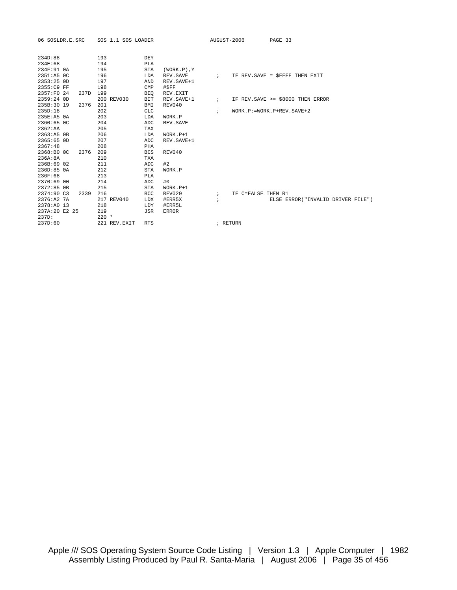| 06 SOSLDR.E.SRC    | SOS 1.1 SOS LOADER |            |                  | AUGUST-2006  |                    | PAGE 33                            |
|--------------------|--------------------|------------|------------------|--------------|--------------------|------------------------------------|
| 234D:88            | 193                | <b>DEY</b> |                  |              |                    |                                    |
| 234E:68            | 194                | PLA        |                  |              |                    |                                    |
| 234F:91 0A         | 195                | <b>STA</b> | $(WORK.P)$ , $Y$ |              |                    |                                    |
| 2351:A5 OC         | 196                | LDA        | REV. SAVE        |              |                    | ; IF REV. SAVE = \$FFFF THEN EXIT  |
| 2353:25 OD         | 197                | AND        | REV. SAVE+1      |              |                    |                                    |
| 2355:C9 FF         | 198                | CMP        | #\$FF            |              |                    |                                    |
| 2357:F0 24<br>237D | 199                | <b>BEQ</b> | REV.EXIT         |              |                    |                                    |
| 2359:24 OD         | 200 REV030         | BIT        | REV. SAVE+1      | $\mathbf{i}$ |                    | IF REV. SAVE >= \$8000 THEN ERROR  |
| 235B:30 19<br>2376 | 201                | BMI        | REV040           |              |                    |                                    |
| 235D:18            | 202                | <b>CLC</b> |                  | $\ddot{i}$   |                    | $WORK.P:=WORK.P+REV.SAVE+2$        |
| 235E:A5 0A         | 203                | LDA        | WORK.P           |              |                    |                                    |
| 2360:65 OC         | 204                | ADC        | REV. SAVE        |              |                    |                                    |
| 2362:AA            | 205                | TAX        |                  |              |                    |                                    |
| 2363:A5 OB         | 206                | LDA        | $WORK.P+1$       |              |                    |                                    |
| 2365:65 OD         | 207                | ADC        | REV. SAVE+1      |              |                    |                                    |
| 2367:48            | 208                | PHA        |                  |              |                    |                                    |
| 2368:B0 OC<br>2376 | 209                | <b>BCS</b> | REV040           |              |                    |                                    |
| 236A:8A            | 210                | <b>TXA</b> |                  |              |                    |                                    |
| 236B:69 02         | 211                | ADC        | #2               |              |                    |                                    |
| 236D:85 0A         | 212                | <b>STA</b> | WORK.P           |              |                    |                                    |
| 236F:68            | 213                | <b>PLA</b> |                  |              |                    |                                    |
| 2370:69 00         | 214                | ADC        | #0               |              |                    |                                    |
| 2372:85 OB         | 215                | <b>STA</b> | $WORK.P+1$       |              |                    |                                    |
| 2374:90 C3<br>2339 | 216                | BCC        | REV020           | $\ddot{i}$   | IF C=FALSE THEN R1 |                                    |
| 2376:A2 7A         | 217 REV040         | LDX        | #ERR5X           | $\mathbf{r}$ |                    | ELSE ERROR ("INVALID DRIVER FILE") |
| 2378:A0 13         | 218                | LDY        | #ERR5L           |              |                    |                                    |
| 237A:20 E2 25      | 219                | <b>JSR</b> | <b>ERROR</b>     |              |                    |                                    |
| 237D:              | $220$ *            |            |                  |              |                    |                                    |
| 237D:60            | 221 REV. EXIT      | <b>RTS</b> |                  |              | ; RETURN           |                                    |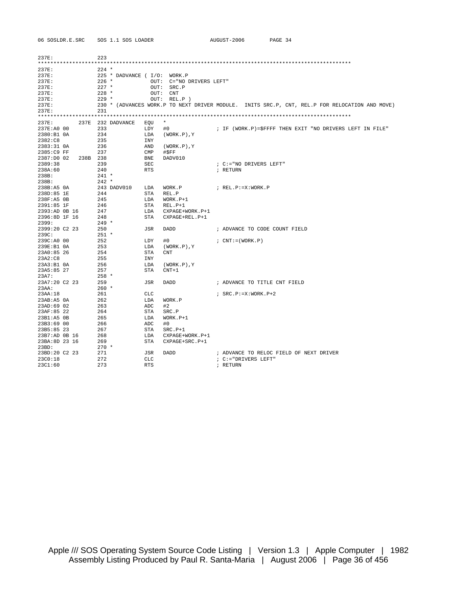| 06 SOSLDR.E.SRC     | SOS 1.1 SOS LOADER |                              | AUGUST-2006<br>PAGE 34                                                                         |
|---------------------|--------------------|------------------------------|------------------------------------------------------------------------------------------------|
|                     |                    |                              |                                                                                                |
| 237E:               | 223                |                              |                                                                                                |
|                     |                    |                              |                                                                                                |
| 237E:               | $224$ *            |                              |                                                                                                |
| 237E:               |                    | 225 * DADVANCE ( I/O: WORK.P |                                                                                                |
| 237E:               | 226 *              | OUT: C="NO DRIVERS LEFT"     |                                                                                                |
| 237E:               | $227$ *            | OUT: SRC.P                   |                                                                                                |
| 237E:               | $228$ *            | OUT: CNT                     |                                                                                                |
| 237E:               | $229$ *            | OUT: REL.P )                 |                                                                                                |
| 237E:               |                    |                              | 230 * (ADVANCES WORK.P TO NEXT DRIVER MODULE. INITS SRC.P, CNT, REL.P FOR RELOCATION AND MOVE) |
| 237E:               | 231                |                              |                                                                                                |
|                     |                    |                              |                                                                                                |
| 237E:               | 237E 232 DADVANCE  | $\star$<br>EOU               |                                                                                                |
| 237E:A0 00          | 233                | LDY<br>#0                    | ; IF (WORK.P)=\$FFFF THEN EXIT "NO DRIVERS LEFT IN FILE"                                       |
| 2380:B1 0A          | 234                | $(WORK.P)$ , $Y$<br>LDA      |                                                                                                |
| 2382:C8             | 235                | INY                          |                                                                                                |
| 2383:31 OA          | 236                | AND<br>(WORK.P),Y            |                                                                                                |
| 2385:C9 FF          | 237                | $\mathsf{CMP}$<br>#SFF       |                                                                                                |
| 2387:D0 02 238B 238 |                    | BNE<br>DADV010               |                                                                                                |
| 2389:38             | 239                | SEC                          | : C:="NO DRIVERS LEFT"                                                                         |
| 238A:60             | 240                | <b>RTS</b>                   | ; RETURN                                                                                       |
| 238B:               | $241 *$            |                              |                                                                                                |
| 238B:               | $242 *$            |                              |                                                                                                |
| 238B:A5 0A          | 243 DADV010        | LDA<br>WORK.P                | ; REL.P:=X:WORK.P                                                                              |
| 238D:85 1E          | 244                | STA<br>REL.P                 |                                                                                                |
| 238F:A5 0B          | 245                | LDA<br>WORK.P+1              |                                                                                                |
| 2391:85 1F          | 246                | STA<br>REL.P+1               |                                                                                                |
| 2393:AD 0B 16       | 247                | LDA<br>CXPAGE+WORK.P+1       |                                                                                                |
| 2396:8D 1F 16       | 248                | STA<br>CXPAGE+REL.P+1        |                                                                                                |
| 2399:               | $249$ *            |                              |                                                                                                |
| 2399:20 C2 23       | 250                | JSR<br>DADD                  | ; ADVANCE TO CODE COUNT FIELD                                                                  |
| 239C:               | $251$ *            |                              |                                                                                                |
| 239C:AD 00          | 252                | LDY<br>#0                    | $: CNT := (WORK, P)$                                                                           |
| 239E:B1 0A          | 253                | LDA<br>$(WORK.P)$ , $Y$      |                                                                                                |
| 23A0:85 26          | 254                | STA<br>CNT                   |                                                                                                |
| 23A2:C8             | 255                | INY                          |                                                                                                |
| 23A3:B1 0A          | 256                | LDA<br>(WORK.P), Y           |                                                                                                |
| 23A5:85 27          | 257                | STA<br>$CNT+1$               |                                                                                                |
| 23A7:               | $258$ *            |                              |                                                                                                |
| 23A7:20 C2 23       | 259                | JSR<br>DADD                  | ; ADVANCE TO TITLE CNT FIELD                                                                   |
| 23AA:               | $260 *$            |                              |                                                                                                |
| 23AA:18             | 261                | CLC                          | $:$ SRC.P:=X:WORK.P+2                                                                          |
| 23AB:AB0A           | 262                | LDA<br>WORK.P                |                                                                                                |
| 23AD:69 02          | 263                | ADC<br>#2                    |                                                                                                |
| 23AF:85 22          | 264                | STA<br>SRC.P                 |                                                                                                |
| 23B1:A5 0B          | 265                | LDA<br>$WORK.P+1$            |                                                                                                |
| 23B3:69 00          | 266                | ADC<br>#0                    |                                                                                                |
| 23B5:85 23          | 267                | STA<br>$SRC.P+1$             |                                                                                                |
| 23B7:AD 0B 16       | 268                | LDA<br>CXPAGE+WORK.P+1       |                                                                                                |
| 23BA:8D 23 16       | 269                | STA<br>$CXPAGE+SRC.P+1$      |                                                                                                |
| 23BD:               | $270 *$            |                              |                                                                                                |
| 23BD:20 C2 23       | 271                | JSR<br>DADD                  | ; ADVANCE TO RELOC FIELD OF NEXT DRIVER                                                        |
| 23C0:18             | 272                | CLC                          | ; C:="DRIVERS LEFT"                                                                            |
| 23C1:60             | 273                | <b>RTS</b>                   | ; RETURN                                                                                       |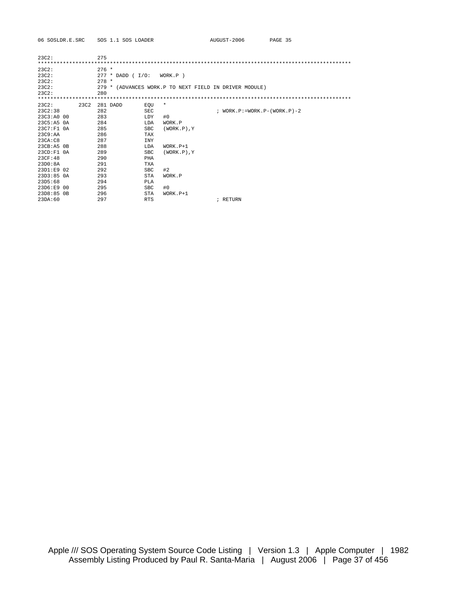| 23C2:          |      | 275     |                    |             |                   |                                                        |
|----------------|------|---------|--------------------|-------------|-------------------|--------------------------------------------------------|
| 23C2:          |      | $276 *$ |                    |             |                   |                                                        |
| 23C2:          |      |         | $277 * DADD (I/O:$ |             | WORK.P)           |                                                        |
| 23C2:          |      | $278 *$ |                    |             |                   |                                                        |
| 23C2:          |      |         |                    |             |                   | 279 * (ADVANCES WORK.P TO NEXT FIELD IN DRIVER MODULE) |
| 23C2:          |      | 280     |                    |             |                   |                                                        |
|                |      |         |                    |             |                   |                                                        |
| 23C2:          | 23C2 |         | 281 DADD           | EOU         | $\star$           |                                                        |
| 23C2:38        |      | 282     |                    | SEC         |                   | $:$ WORK. $P := WORK$ . $P - (WORK) - 2$               |
| 23C3:A0 00     |      | 283     |                    | <b>LDY</b>  | #0                |                                                        |
| 23C5:A5 0A     |      | 284     |                    | <b>T.DA</b> | WORK.P            |                                                        |
| $23C7:FI$ $0A$ |      | 285     |                    | <b>SBC</b>  | $(WORK, P)$ , Y   |                                                        |
| 23C9:AA        |      | 286     |                    | <b>TAX</b>  |                   |                                                        |
| 23CA:CB        |      | 287     |                    | INY         |                   |                                                        |
| 23CB:A5 0B     |      | 288     |                    | LDA         | $WORK.P+1$        |                                                        |
| 23CD: F1 0A    |      | 289     |                    | <b>SBC</b>  | $(WORK, P)$ , $Y$ |                                                        |
| 23CF:48        |      | 290     |                    | PHA         |                   |                                                        |
| 23D0:8A        |      | 291     |                    | <b>TXA</b>  |                   |                                                        |
| 23D1:E9 02     |      | 292     |                    | <b>SBC</b>  | #2                |                                                        |
| 23D3:85.0A     |      | 293     |                    | <b>STA</b>  | WORK.P            |                                                        |
| 23D5:68        |      | 294     |                    | PLA         |                   |                                                        |
| $23D6:FB$ 00   |      | 295     |                    | <b>SBC</b>  | #0                |                                                        |
| 23D8:850B      |      | 296     |                    | <b>STA</b>  | $WORK.P+1$        |                                                        |
| 23DA:60        |      | 297     |                    | <b>RTS</b>  |                   | ; RETURN                                               |

06 SOSLDR.E.SRC SOS 1.1 SOS LOADER AUGUST-2006 PAGE 35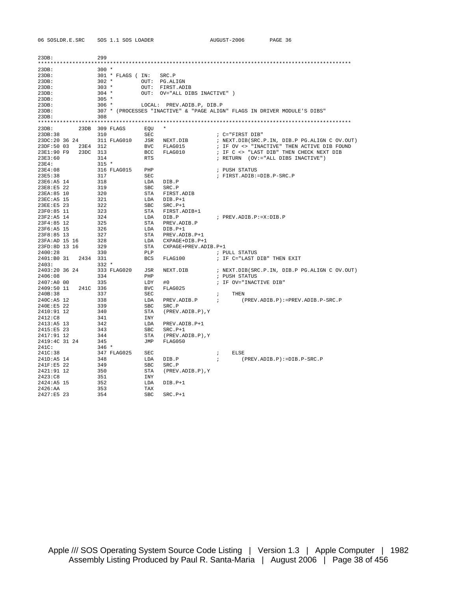| 23DB:                    |      | 299            |                   |                          |                           |                 |                                                                           |
|--------------------------|------|----------------|-------------------|--------------------------|---------------------------|-----------------|---------------------------------------------------------------------------|
| 23DB:                    |      | $300 *$        |                   |                          |                           |                 |                                                                           |
| 23DB:                    |      |                | 301 * FLAGS ( IN: |                          | SRC.P                     |                 |                                                                           |
| 23DB:                    |      | $302 *$        |                   |                          | OUT: PG.ALIGN             |                 |                                                                           |
| 23DB:                    |      | $303 *$        |                   | OUT:                     | FIRST.ADIB                |                 |                                                                           |
| 23DB:                    |      | $304 *$        |                   | OUT:                     | OV="ALL DIBS INACTIVE")   |                 |                                                                           |
| 23DB:                    |      | $305 *$        |                   |                          |                           |                 |                                                                           |
| 23DB:                    |      | $306 *$        |                   |                          | LOCAL: PREV.ADIB.P, DIB.P |                 |                                                                           |
| 23DB:                    |      |                |                   |                          |                           |                 | 307 * (PROCESSES "INACTIVE" & "PAGE ALIGN" FLAGS IN DRIVER MODULE'S DIBS" |
| 23DB:                    |      | 308            |                   |                          |                           |                 |                                                                           |
|                          |      |                |                   |                          |                           |                 |                                                                           |
| 23DB:                    | 23DB |                | 309 FLAGS         | EOU                      | $^\star$                  |                 |                                                                           |
| 23DB:38                  |      | 310            |                   | <b>SEC</b>               |                           |                 | ; C="FIRST DIB"                                                           |
| 23DC:20 36 24            |      |                | 311 FLAG010       | JSR                      | NEXT.DIB                  |                 | ; NEXT.DIB(SRC.P.IN, DIB.P PG.ALIGN C OV.OUT)                             |
| 23DF:50 03               | 23E4 | 312            |                   | <b>BVC</b>               | FLAG015                   |                 | ; IF OV <> "INACTIVE" THEN ACTIVE DIB FOUND                               |
| 23E1:90 F9               | 23DC | 313            |                   | BCC                      | FLAG010                   |                 | ; IF C <> "LAST DIB" THEN CHECK NEXT DIB                                  |
| 23E3:60<br>23E4:         |      | 314<br>$315 *$ |                   | <b>RTS</b>               |                           |                 | ; RETURN (OV:="ALL DIBS INACTIVE")                                        |
| 23E4:08                  |      |                | 316 FLAG015       | PHP                      |                           |                 | ; PUSH STATUS                                                             |
| 23E5:38                  |      | 317            |                   | <b>SEC</b>               |                           |                 | ; FIRST.ADIB:=DIB.P-SRC.P                                                 |
| 23E6:A5 14               |      | 318            |                   | LDA                      | DIB.P                     |                 |                                                                           |
| 23E8:E5 22               |      | 319            |                   | <b>SBC</b>               | SRC.P                     |                 |                                                                           |
| 23EA:85 10               |      | 320            |                   | STA                      | FIRST.ADIB                |                 |                                                                           |
| 23EC: A5 15              |      | 321            |                   | LDA                      | $DIB.P+1$                 |                 |                                                                           |
| 23EE:E5 23               |      | 322            |                   | <b>SBC</b>               | $SRC.P+1$                 |                 |                                                                           |
| 23F0:85 11               |      | 323            |                   | STA                      | FIRST.ADIB+1              |                 |                                                                           |
| 23F2:A5 14               |      | 324            |                   | <b>T.DA</b>              | DIB.P                     |                 | ; PREV.ADIB.P:=X:DIB.P                                                    |
| 23F4:85 12               |      | 325            |                   | STA                      | PREV.ADIB.P               |                 |                                                                           |
| 23F6:A5 15               |      | 326            |                   | LDA                      | $DIB.P+1$                 |                 |                                                                           |
| 23F8:85 13               |      | 327            |                   | STA                      | PREV.ADIB.P+1             |                 |                                                                           |
| 23FA: AD 15 16           |      | 328            |                   | LDA                      | CXPAGE+DIB.P+1            |                 |                                                                           |
| 23FD:8D 13 16            |      | 329            |                   | STA                      | CXPAGE+PREV.ADIB.P+1      |                 |                                                                           |
| 2400:28                  |      | 330            |                   | PLP                      |                           |                 | ; PULL STATUS                                                             |
| 2401:B0 31               | 2434 | 331            |                   | <b>BCS</b>               | FLAG100                   |                 | ; IF C="LAST DIB" THEN EXIT                                               |
| 2403:                    |      | $332 *$        |                   |                          |                           |                 |                                                                           |
| 2403:20 36 24<br>2406:08 |      | 334            | 333 FLAG020       | JSR                      | NEXT.DIB                  |                 | ; NEXT.DIB(SRC.P.IN, DIB.P PG.ALIGN C OV.OUT)                             |
|                          |      |                |                   | PHP                      |                           |                 | ; PUSH STATUS                                                             |
| 2407:A0 00               |      | 335            |                   | LDY                      | #0                        |                 | ; IF OV="INACTIVE DIB"                                                    |
| 2409:50 11<br>240B:38    | 241C | 336<br>337     |                   | <b>BVC</b><br><b>SEC</b> | FLAG025                   |                 | THEN                                                                      |
| 240C:A5 12               |      | 338            |                   | LDA                      | PREV.ADIB.P               | ÷<br>$\ddot{i}$ | $(PREV.DIB.P):=PREV.DIB.P-SRC.P$                                          |
| 240E:E5 22               |      | 339            |                   | <b>SBC</b>               | SRC.P                     |                 |                                                                           |
| 2410:91 12               |      | 340            |                   | <b>STA</b>               | (PREV.ADIB.P), Y          |                 |                                                                           |
| 2412:C8                  |      | 341            |                   | INY                      |                           |                 |                                                                           |
| 2413:AB 13               |      | 342            |                   | LDA                      | PREV.ADIB.P+1             |                 |                                                                           |
| 2415:E5 23               |      | 343            |                   | SBC                      | $SRC.P+1$                 |                 |                                                                           |
| 2417:91 12               |      | 344            |                   | STA                      | $(PREV.DIB.P)$ , Y        |                 |                                                                           |
| 2419:4C 31 24            |      | 345            |                   | JMP                      | FLAG050                   |                 |                                                                           |
| 241C:                    |      | $346 *$        |                   |                          |                           |                 |                                                                           |
| 241C:38                  |      |                | 347 FLAG025       | <b>SEC</b>               |                           | ÷               | <b>ELSE</b>                                                               |
| 241D:A5 14               |      | 348            |                   | LDA                      | DIB.P                     | $\ddot{i}$      | $(PREV.DIB.P):=DIB.P-SRC.P$                                               |
| 241F:E5 22               |      | 349            |                   | SBC                      | SRC.P                     |                 |                                                                           |
| 2421:91 12               |      | 350            |                   | STA                      | $(PREV.DIB.P)$ , Y        |                 |                                                                           |
| 2423:C8                  |      | 351            |                   | INY                      |                           |                 |                                                                           |
| 2424:AB 15               |      | 352            |                   | LDA                      | DIB.P+1                   |                 |                                                                           |
| 2426:AA                  |      | 353            |                   | TAX                      |                           |                 |                                                                           |
| 2427:E5 23               |      | 354            |                   | <b>SBC</b>               | $SRC.P+1$                 |                 |                                                                           |

06 SOSLDR.E.SRC SOS 1.1 SOS LOADER AUGUST-2006 PAGE 36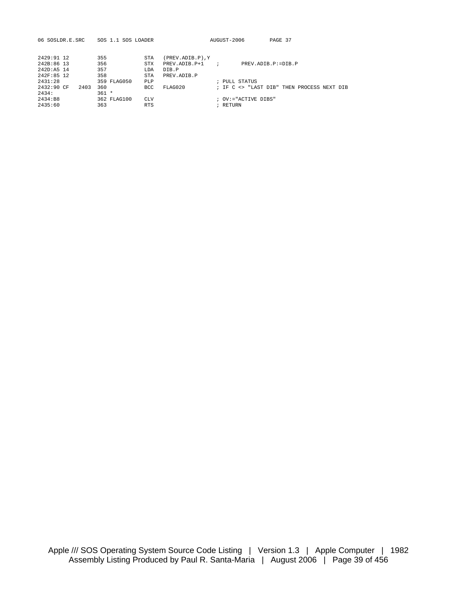| 06 SOSLDR.E.SRC    | SOS 1.1 SOS LOADER | AUGUST-2006<br>PAGE 37                                |
|--------------------|--------------------|-------------------------------------------------------|
| 2429:91 12         | 355<br>STA         | (PREV.ADIB.P), Y                                      |
| 242B:86 13         | 356<br><b>STX</b>  | PREV. ADIB. P+1 ;<br>PREV. ADTB. P: = DTB. P          |
| $242D:AS$ 14       | 357<br>LDA         | DTB.P                                                 |
| 242F:85 12         | 358<br>STA         | PREV. ADTB. P                                         |
| 2431:28            | 359 FLAG050<br>PLP | ; PULL STATUS                                         |
| 2432:90 CF<br>2403 | 360<br><b>BCC</b>  | FLAG020<br>; IF C <> "LAST DIB" THEN PROCESS NEXT DIB |
| 2434:              | $361 *$            |                                                       |
| 2434:B8            | 362 FLAG100<br>CLV | $:$ OV:="ACTIVE DIRS"                                 |
| 2435:60            | 363<br><b>RTS</b>  | ; RETURN                                              |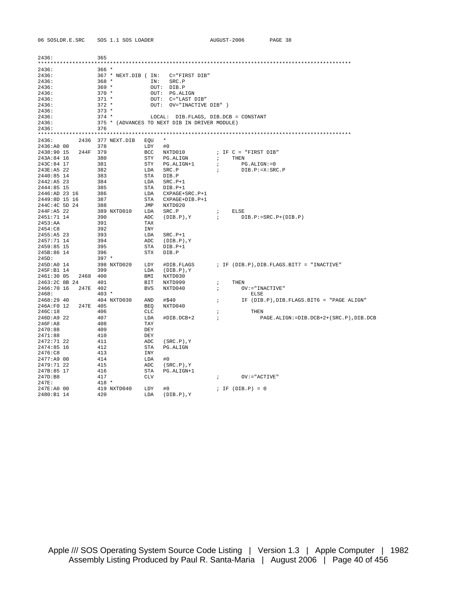| 06 SOSLDR.E.SRC          | SOS 1.1 SOS LOADER                            |                                      | AUGUST-2006                                        | PAGE 38                                     |
|--------------------------|-----------------------------------------------|--------------------------------------|----------------------------------------------------|---------------------------------------------|
|                          | 365                                           |                                      |                                                    |                                             |
| 2436:                    |                                               |                                      |                                                    |                                             |
| 2436:                    | $366*$                                        |                                      |                                                    |                                             |
| 2436:                    | 367 * NEXT.DIB ( IN: C="FIRST DIB"            |                                      |                                                    |                                             |
| 2436:                    | $368 *$                                       | IN: SRC.P                            |                                                    |                                             |
| 2436:                    | $369 *$                                       | OUT: DIB.P                           |                                                    |                                             |
| 2436:                    | $370 *$                                       | OUT: PG.ALIGN                        |                                                    |                                             |
| 2436:                    | $371 *$                                       | OUT: C="LAST DIB"                    |                                                    |                                             |
| 2436:                    | $372$ *                                       | OUT: OV="INACTIVE DIB" )             |                                                    |                                             |
| 2436:                    | $373 *$                                       |                                      |                                                    |                                             |
| 2436:                    | $374$ *                                       |                                      | LOCAL: DIB.FLAGS, DIB.DCB = CONSTANT               |                                             |
| 2436:                    | 375 * (ADVANCES TO NEXT DIB IN DRIVER MODULE) |                                      |                                                    |                                             |
| 2436:                    | 376                                           |                                      |                                                    |                                             |
|                          |                                               |                                      |                                                    |                                             |
| 2436: 2436 377 NEXT.DIB  | EQU                                           | $\star$                              |                                                    |                                             |
| 2436:A0 00               | 378<br>LDY                                    | #0                                   |                                                    |                                             |
| 2438:90 15 244F 379      | BCC                                           | NXTD010                              | ; IF C = "FIRST DIB"                               |                                             |
| 243A:84 16               | 380<br>STY                                    | PG.ALIGN                             | THEN<br>$\mathbf{r}$                               |                                             |
| 243C:84 17               | 381                                           | STY PG.ALIGN+1                       | $\mathcal{L}$<br>$PG$ . $ALIGN := 0$               |                                             |
| 243E:A5 22               | 382<br>LDA                                    | SRC.P                                | $\mathcal{L}$<br>DIB.P:=X:SRC.P                    |                                             |
| 2440:85 14<br>2442:A5 23 | STA<br>383                                    | DIB.P                                |                                                    |                                             |
| 2444:85 15               | 384<br>LDA                                    | $SRC.P+1$                            |                                                    |                                             |
| 2446:AD 23 16            | 385<br>STA                                    | DIB.P+1                              |                                                    |                                             |
| 2449:8D 15 16            | 386<br>387<br>STA                             | LDA CXPAGE+SRC.P+1<br>CXPAGE+DIB.P+1 |                                                    |                                             |
| 244C:4C 5D 24            | 388<br>JMP                                    | NXTD020                              |                                                    |                                             |
| 244F:A5 22               | 389 NXTD010 LDA                               | SRC.P                                | ; ELSE                                             |                                             |
| 2451:71 14               | 390<br>ADC                                    | $(DIB.P)$ , $Y$                      | $\mathcal{V}$ $\qquad \qquad$ DIB.P:=SRC.P+(DIB.P) |                                             |
| 2453:AA                  | 391<br>TAX                                    |                                      |                                                    |                                             |
| 2454:C8                  | 392<br>INY                                    |                                      |                                                    |                                             |
| 2455:AB 23               | 393<br>LDA                                    | $SRC.P+1$                            |                                                    |                                             |
| 2457:71 14               | 394<br>ADC                                    | $(DIB.P)$ , $Y$                      |                                                    |                                             |
| 2459:85 15               | 395<br>STA                                    | DIB.P+1                              |                                                    |                                             |
| 245B:86 14               | 396<br>STX                                    | DIB.P                                |                                                    |                                             |
| 245D:                    | $397 *$                                       |                                      |                                                    |                                             |
| 245D:A0 14               | 398 NXTD020 LDY                               | #DIB.FLAGS                           |                                                    | ; IF (DIB.P), DIB. FLAGS. BIT7 = "INACTIVE" |
| 245F:B1 14               | 399<br>LDA                                    | (DIB.P),Y                            |                                                    |                                             |
| 2461:30 05<br>2468 400   | BMI                                           | NXTD030                              |                                                    |                                             |
| 2463:2C 8B 24 401        | BIT                                           | NXTD999                              | THEN<br>$\ddot{i}$                                 |                                             |
| 2466:70 16 247E 402      | BVS                                           | NXTD040                              | $OV := "INACTIVE"$<br>$\ddot{i}$                   |                                             |
| 2468:                    | $403 *$                                       |                                      | ELSE                                               |                                             |
| 2468:29 40               | 404 NXTD030<br>AND                            | #\$40                                | $\ddot{i}$                                         | IF (DIB.P), DIB.FLAGS.BIT6 = "PAGE ALIGN"   |
| 246A:F0 12<br>247E 405   | BEQ                                           | NXTD040                              |                                                    |                                             |
| 246C:18                  | 406<br>CLC                                    |                                      | THEN<br>$\ddot{i}$                                 |                                             |
| 246D:A9 22               | 407<br>LDA                                    | #DIB.DCB+2                           | $\overline{\phantom{a}}$                           | PAGE.ALIGN:=DIB.DCB+2+(SRC.P),DIB.DCB       |
| $246F$ : A8              | 408<br>TAY                                    |                                      |                                                    |                                             |
| 2470:88                  | 409<br>DEY                                    |                                      |                                                    |                                             |
| 2471:88<br>2472:71 22    | 410<br>DEY<br>ADC<br>411                      | $(SRC.P)$ , $Y$                      |                                                    |                                             |
| 2474:85 16               | 412<br>STA                                    | PG.ALIGN                             |                                                    |                                             |
| 2476:C8                  | 413<br>INY                                    |                                      |                                                    |                                             |
| 2477:A9 00               | 414<br>LDA                                    | #0                                   |                                                    |                                             |
| 2479:71 22               | ADC<br>415                                    | $(SRC.P)$ , $Y$                      |                                                    |                                             |
| 247B:85 17               | 416<br>STA                                    | PG.ALIGN+1                           |                                                    |                                             |
| 247D:B8                  | 417<br>CLV                                    |                                      | $\mathcal{L}$<br>$OV := "ACTIVE"$                  |                                             |
| 247E:                    | $418 *$                                       |                                      |                                                    |                                             |
| 247E:A0 00               | 419 NXTD040<br>LDY                            | #0                                   | ; IF $(DIB.P) = 0$                                 |                                             |
| 2480:B1 14               | 420<br>LDA                                    | $(DIB.P)$ , $Y$                      |                                                    |                                             |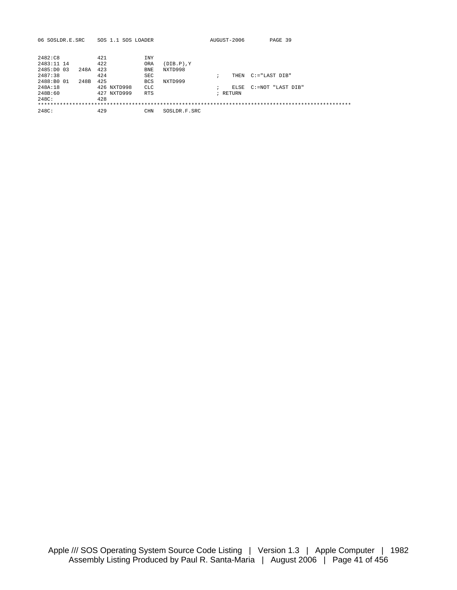| 06 SOSLDR.E.SRC |      |     | SOS 1.1 SOS LOADER |            |                 | AUGUST-2006 | PAGE 39                |
|-----------------|------|-----|--------------------|------------|-----------------|-------------|------------------------|
|                 |      |     |                    |            |                 |             |                        |
| 2482:C8         |      | 421 |                    | <b>INY</b> |                 |             |                        |
| 2483:11 14      |      | 422 |                    | ORA        | $(DIB.P)$ , $Y$ |             |                        |
| 2485:DO 03      | 248A | 423 |                    | <b>BNE</b> | NXTD998         |             |                        |
| 2487:38         |      | 424 |                    | <b>SEC</b> |                 |             | THEN C:="LAST DIB"     |
| 2488:B0 01      | 248B | 425 |                    | <b>BCS</b> | NXTD999         |             |                        |
| 248A:18         |      |     | 426 NXTD998        | <b>CLC</b> |                 |             | ELSE C:=NOT "LAST DIB" |
| 248B:60         |      |     | 427 NXTD999        | <b>RTS</b> |                 | ; RETURN    |                        |
| 248C:           |      | 428 |                    |            |                 |             |                        |
|                 |      |     |                    |            |                 |             |                        |
| 248C:           |      | 429 |                    | CHN.       | SOSLDR.F.SRC    |             |                        |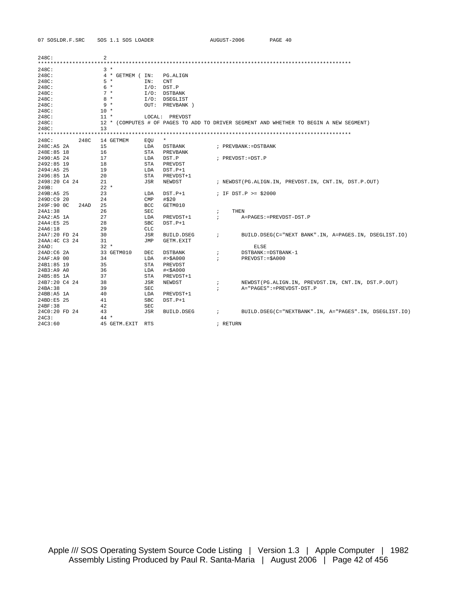| 07 SOSLDR.F.SRC    | SOS 1.1 SOS LOADER      |                               | AUGUST-2006            | PAGE 40                                                                                |
|--------------------|-------------------------|-------------------------------|------------------------|----------------------------------------------------------------------------------------|
|                    |                         |                               |                        |                                                                                        |
| 248C:              | $\overline{a}$          |                               |                        |                                                                                        |
| **********         | ******                  |                               |                        |                                                                                        |
| 248C:              | $3*$                    |                               |                        |                                                                                        |
| 248C:<br>248C:     | 4 * GETMEM (IN:<br>$5*$ | PG.ALIGN<br>IN:<br><b>CNT</b> |                        |                                                                                        |
| 248C:              | 6 *                     | $I/O:$ DST.P                  |                        |                                                                                        |
| 248C:              | $7 *$                   | I/O: DSTBANK                  |                        |                                                                                        |
| 248C:              | $8*$                    | I/O: DSEGLIST                 |                        |                                                                                        |
| 248C:              | $9 *$                   | OUT: PREVBANK )               |                        |                                                                                        |
| 248C:              | $10 *$                  |                               |                        |                                                                                        |
| 248C:              | $11 *$                  | LOCAL: PREVDST                |                        |                                                                                        |
| 248C:              |                         |                               |                        | 12 * (COMPUTES # OF PAGES TO ADD TO DRIVER SEGMENT AND WHETHER TO BEGIN A NEW SEGMENT) |
| 248C:              | 13                      |                               |                        |                                                                                        |
|                    |                         |                               |                        |                                                                                        |
| 248C:<br>248C      | 14 GETMEM               | $\star$<br>EOU                |                        |                                                                                        |
| 248C:A5 2A         | 15                      | LDA<br><b>DSTBANK</b>         | ; PREVBANK: = DSTBANK  |                                                                                        |
| 248E:85 18         | 16                      | STA<br>PREVBANK               |                        |                                                                                        |
| 2490:A5 24         | 17                      | DST.P<br>LDA                  | ; PREVDST:=DST.P       |                                                                                        |
| 2492:85 19         | 18                      | STA<br>PREVDST                |                        |                                                                                        |
| 2494:A5 25         | 19                      | LDA<br>$DST.P+1$              |                        |                                                                                        |
| 2496:85 1A         | 20                      | STA<br>PREVDST+1              |                        |                                                                                        |
| 2498:20 C4 24      | 21                      | JSR<br>NEWDST                 |                        | ; NEWDST (PG.ALIGN.IN, PREVDST.IN, CNT.IN, DST.P.OUT)                                  |
| 249B:              | $22 *$                  |                               |                        |                                                                                        |
| 249B:A5 25         | 23                      | LDA<br>$DST.P+1$              | ; IF $DST.P > = $2000$ |                                                                                        |
| 249D:C9 20         | 24                      | $\text{CMP}$<br>#\$20         |                        |                                                                                        |
| 249F:90 0C<br>24AD | 25                      | BCC<br>GETM010                |                        |                                                                                        |
| 24A1:38            | 26                      | <b>SEC</b>                    | THEN<br>$\ddot{i}$     |                                                                                        |
| 24A2:A5 1A         | 27                      | LDA<br>PREVDST+1              | $\ddot{i}$             | A=PAGES: =PREVDST-DST.P                                                                |
| 24A4:E5 25         | 28                      | <b>SBC</b><br>$DST.P+1$       |                        |                                                                                        |
| 24A6:18            | 29                      | CLC                           |                        |                                                                                        |
| 24A7:20 FD 24      | 30                      | JSR<br>BUILD.DSEG             | $\ddot{i}$             | BUILD.DSEG(C="NEXT BANK".IN, A=PAGES.IN, DSEGLIST.IO)                                  |
| 24AA: 4C C3 24     | 31                      | JMP<br>GETM.EXIT              |                        |                                                                                        |
| 24AD:              | $32 *$                  |                               |                        | <b>ELSE</b>                                                                            |
| 24AD:CG 2A         | 33 GETM010              | DEC<br><b>DSTBANK</b>         | $\ddot{i}$             | DSTBANK: = DSTBANK-1                                                                   |
| 24AF:A9 00         | 34                      | LDA<br># > \$A000             | $\ddot{i}$             | PREVDST: = \$A000                                                                      |
| 24B1:85 19         | 35                      | STA<br>PREVDST                |                        |                                                                                        |
| 24B3:A9 A0         | 36                      | LDA<br>$#<$ \$A000            |                        |                                                                                        |
| 24B5:85 1A         | 37                      | <b>STA</b><br>PREVDST+1       |                        |                                                                                        |
| 24B7:20 C4 24      | 38                      | JSR<br>NEWDST                 | $\ddot{ }$             | NEWDST(PG.ALIGN.IN, PREVDST.IN, CNT.IN, DST.P.OUT)                                     |
| 24BA:38            | 39                      | <b>SEC</b>                    | $\ddot{i}$             | A="PAGES":=PREVDST-DST.P                                                               |
| 24BB:A5 1A         | 40                      | LDA<br>PREVDST+1              |                        |                                                                                        |
| 24BD:E5 25         | 41                      | <b>SBC</b><br>DST.P+1         |                        |                                                                                        |
| 24BF:38            | 42                      | <b>SEC</b>                    |                        |                                                                                        |
| 24C0:20 FD 24      | 43                      | JSR<br>BUILD.DSEG             | $\ddot{i}$             | BUILD. DSEG(C="NEXTBANK". IN, A="PAGES". IN, DSEGLIST. IO)                             |
| 24C3:              | $44 *$                  |                               |                        |                                                                                        |
| 24C3:60            | 45 GETM.EXIT            | <b>RTS</b>                    | ; RETURN               |                                                                                        |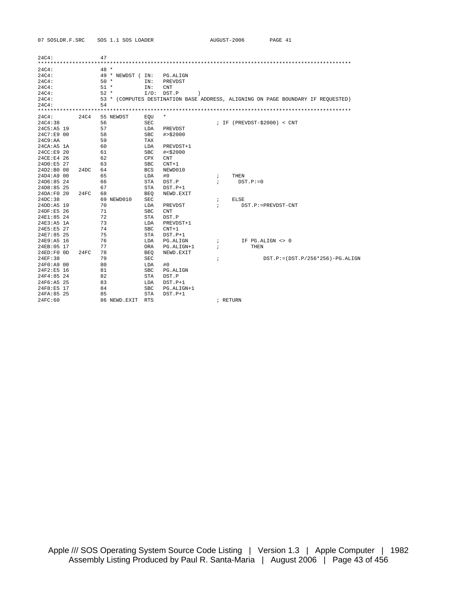| 07 SOSLDR.F.SRC |      |        | SOS 1.1 SOS LOADER |            |                    |            | AUGUST-2006 | PAGE 41                                                                          |                                      |
|-----------------|------|--------|--------------------|------------|--------------------|------------|-------------|----------------------------------------------------------------------------------|--------------------------------------|
| 24C4:           |      | 47     |                    |            |                    |            |             |                                                                                  |                                      |
|                 |      |        |                    |            |                    |            |             |                                                                                  |                                      |
| 24C4:           |      | $48 *$ |                    |            |                    |            |             |                                                                                  |                                      |
| 24C4:           |      |        | 49 * NEWDST (IN:   |            | PG.ALIGN           |            |             |                                                                                  |                                      |
| 24C4:           |      | $50*$  |                    | IN:        | PREVDST            |            |             |                                                                                  |                                      |
| 24C4:           |      | $51 *$ |                    | IN:        | <b>CNT</b>         |            |             |                                                                                  |                                      |
| 24C4:           |      | $52 *$ |                    |            | $I/O:$ DST.P<br>-1 |            |             |                                                                                  |                                      |
| 24C4:           |      |        |                    |            |                    |            |             | 53 * (COMPUTES DESTINATION BASE ADDRESS, ALIGNING ON PAGE BOUNDARY IF REQUESTED) |                                      |
| 24C4:           |      | 54     |                    |            |                    |            |             |                                                                                  |                                      |
|                 |      |        |                    |            |                    |            |             |                                                                                  |                                      |
| 24C4:           | 24C4 |        | 55 NEWDST          | EOU        | $\star$            |            |             |                                                                                  |                                      |
| 24C4:38         |      | 56     |                    | <b>SEC</b> |                    |            |             | ; IF $(PREVDST - $2000) < CNT$                                                   |                                      |
| 24C5:A5 19      |      | 57     |                    | LDA        | PREVDST            |            |             |                                                                                  |                                      |
| 24C7:E9 00      |      | 58     |                    | <b>SBC</b> | # > \$2000         |            |             |                                                                                  |                                      |
| 24C9:AA         |      | 59     |                    | TAX        |                    |            |             |                                                                                  |                                      |
| $24CA:AB$ 1A    |      | 60     |                    | LDA        | PREVDST+1          |            |             |                                                                                  |                                      |
| 24CC:E9 20      |      | 61     |                    | <b>SBC</b> | # < \$2000         |            |             |                                                                                  |                                      |
| 24CE:E4 26      |      | 62     |                    | CPX        | <b>CNT</b>         |            |             |                                                                                  |                                      |
| 24D0:E5 27      |      | 63     |                    | <b>SBC</b> | $CNT+1$            |            |             |                                                                                  |                                      |
| $24D2:BO$ 08    | 24DC | 64     |                    | <b>BCS</b> | NEWD010            |            |             |                                                                                  |                                      |
| 24D4: A9 00     |      | 65     |                    | LDA        | #0                 | $\ddot{i}$ | THEN        |                                                                                  |                                      |
| 24D6:85 24      |      | 66     |                    | <b>STA</b> | DST.P              | $\ddot{i}$ | $DST.P:=0$  |                                                                                  |                                      |
| $24D8:85$ 25    |      | 67     |                    | <b>STA</b> | $DST.P+1$          |            |             |                                                                                  |                                      |
| 24DA:F0 20      | 24FC | 68     |                    | BEO        | NEWD.EXIT          |            |             |                                                                                  |                                      |
| 24DC:38         |      |        | 69 NEWD010         | SEC        |                    | $\ddot{ }$ | ELSE        |                                                                                  |                                      |
| 24DD:A5 19      |      | 70     |                    | LDA        | PREVDST            | $\ddot{i}$ |             | DST.P:=PREVDST-CNT                                                               |                                      |
| 24DF:E5 26      |      | 71     |                    | <b>SBC</b> | <b>CNT</b>         |            |             |                                                                                  |                                      |
| 24E1:85 24      |      | 72     |                    | <b>STA</b> | DST.P              |            |             |                                                                                  |                                      |
| 24E3:A5 1A      |      | 73     |                    | LDA        | PREVDST+1          |            |             |                                                                                  |                                      |
| 24E5:E5 27      |      | 74     |                    | <b>SBC</b> | $CNT+1$            |            |             |                                                                                  |                                      |
| 24E7:85 25      |      | 75     |                    | <b>STA</b> | $DST.P+1$          |            |             |                                                                                  |                                      |
| 24E9:A5 16      |      | 76     |                    | LDA        | PG.ALIGN           | $\ddot{i}$ |             | IF PG.ALIGN <> 0                                                                 |                                      |
| 24EB:05 17      |      | 77     |                    | ORA        | PG.ALIGN+1         | $\ddot{i}$ |             | THEN                                                                             |                                      |
| $24ED:FO$ OD    | 24FC | 78     |                    | <b>BEO</b> | NEWD.EXIT          |            |             |                                                                                  |                                      |
| 24EF:38         |      | 79     |                    | SEC        |                    | $\ddot{i}$ |             |                                                                                  | $DST.P:= (DST.P/256*256) - PG.ALIGN$ |
| 24F0:A9 00      |      | 80     |                    | LDA        | #0                 |            |             |                                                                                  |                                      |
| $24F2:ES$ 16    |      | 81     |                    | <b>SBC</b> | PG.ALIGN           |            |             |                                                                                  |                                      |
| 24F4:85 24      |      | 82     |                    | <b>STA</b> | DST.P              |            |             |                                                                                  |                                      |
| 24F6:A5 25      |      | 83     |                    | LDA        | $DST.P+1$          |            |             |                                                                                  |                                      |
| 24F8:E5 17      |      | 84     |                    | <b>SBC</b> | PG.ALIGN+1         |            |             |                                                                                  |                                      |
| 24FA:85 25      |      | 85     |                    | STA        | $DST.P+1$          |            |             |                                                                                  |                                      |
| 24FC:60         |      |        | 86 NEWD.EXIT       | <b>RTS</b> |                    |            | ; RETURN    |                                                                                  |                                      |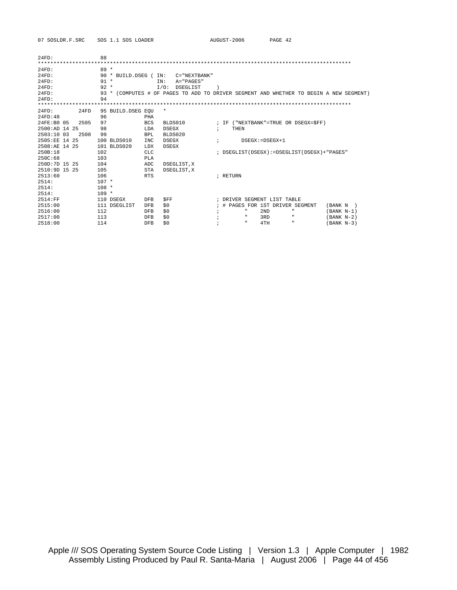07 SOSLDR.F.SRC SOS 1.1 SOS LOADER AUGUST-2006 PAGE 42

| $24FD$ :        |      | 88      |                                                                                   |            |                |                  |   |          |      |              |     |                             |              |                                            |              |  |
|-----------------|------|---------|-----------------------------------------------------------------------------------|------------|----------------|------------------|---|----------|------|--------------|-----|-----------------------------|--------------|--------------------------------------------|--------------|--|
|                 |      |         |                                                                                   |            |                |                  |   |          |      |              |     |                             |              |                                            |              |  |
| $24FD$ :        |      | $89 *$  |                                                                                   |            |                |                  |   |          |      |              |     |                             |              |                                            |              |  |
| $24FD$ :        |      |         | 90 * BUILD.DSEG (                                                                 |            | IN:            | $C = "NEXTBANK"$ |   |          |      |              |     |                             |              |                                            |              |  |
| $24FD$ :        |      | $91 *$  |                                                                                   |            | TN:            | $A = "PAGES"$    |   |          |      |              |     |                             |              |                                            |              |  |
| $24FD$ :        |      | $92 *$  |                                                                                   |            | $T/O$ :        | DSEGLIST         |   |          |      |              |     |                             |              |                                            |              |  |
| $24FD$ :        |      | $93 *$  | (COMPUTES # OF PAGES TO ADD TO DRIVER SEGMENT AND WHETHER TO BEGIN A NEW SEGMENT) |            |                |                  |   |          |      |              |     |                             |              |                                            |              |  |
| $24FD$ :        |      | 94      |                                                                                   |            |                |                  |   |          |      |              |     |                             |              |                                            |              |  |
|                 |      |         |                                                                                   |            |                |                  |   |          |      |              |     |                             |              |                                            |              |  |
| 24FD:           | 24FD |         | 95 BUILD. DSEG EOU                                                                |            | $\ast$         |                  |   |          |      |              |     |                             |              |                                            |              |  |
| 24FD:48         |      | 96      |                                                                                   | PHA        |                |                  |   |          |      |              |     |                             |              |                                            |              |  |
| 24FE:B0 05      | 2505 | 97      |                                                                                   | <b>BCS</b> | BLDS010        |                  |   |          |      |              |     |                             |              | ; IF ("NEXTBANK"=TRUE OR DSEGX=SFF)        |              |  |
| $2500:AD$ 14 25 |      | 98      |                                                                                   | LDA        | DSEGX          |                  | : |          | THEN |              |     |                             |              |                                            |              |  |
| 2503:10 03      | 2508 | 99      |                                                                                   | <b>BPL</b> | <b>BLDS020</b> |                  |   |          |      |              |     |                             |              |                                            |              |  |
| 2505:EE 14 25   |      |         | 100 BLDS010                                                                       | <b>INC</b> | <b>DSEGX</b>   |                  |   |          |      |              |     | $DSEGX := DSEGX + 1$        |              |                                            |              |  |
| 2508:AE 14 25   |      |         | 101 BLDS020                                                                       | LDX        | <b>DSEGX</b>   |                  |   |          |      |              |     |                             |              |                                            |              |  |
| 250B:18         |      | 102     |                                                                                   | <b>CLC</b> |                |                  |   |          |      |              |     |                             |              | ; DSEGLIST(DSEGX):=DSEGLIST(DSEGX)+"PAGES" |              |  |
| 250C:68         |      | 103     |                                                                                   | <b>PLA</b> |                |                  |   |          |      |              |     |                             |              |                                            |              |  |
| 250D:7D 15 25   |      | 104     |                                                                                   | ADC        |                | DSEGLIST, X      |   |          |      |              |     |                             |              |                                            |              |  |
| $2510:9D$ 15 25 |      | 105     |                                                                                   | <b>STA</b> |                | DSEGLIST, X      |   |          |      |              |     |                             |              |                                            |              |  |
| 2513:60         |      | 106     |                                                                                   | <b>RTS</b> |                |                  |   | ; RETURN |      |              |     |                             |              |                                            |              |  |
| 2514:           |      | $107 *$ |                                                                                   |            |                |                  |   |          |      |              |     |                             |              |                                            |              |  |
| 2514:           |      | $108 *$ |                                                                                   |            |                |                  |   |          |      |              |     |                             |              |                                            |              |  |
| 2514:           |      | $109 *$ |                                                                                   |            |                |                  |   |          |      |              |     |                             |              |                                            |              |  |
| 2514:FF         |      |         | 110 DSEGX                                                                         | <b>DFB</b> | <b>SFF</b>     |                  |   |          |      |              |     | ; DRIVER SEGMENT LIST TABLE |              |                                            |              |  |
| 2515:00         |      |         | 111 DSEGLIST                                                                      | <b>DFB</b> | \$0            |                  |   |          |      |              |     |                             |              | # PAGES FOR 1ST DRIVER SEGMENT             | (BANK N      |  |
| 2516:00         |      | 112     |                                                                                   | <b>DFB</b> | \$0            |                  |   |          |      |              | 2ND |                             | $\mathbf{u}$ |                                            | $(BANK N-1)$ |  |
| 2517:00         |      | 113     |                                                                                   | <b>DFB</b> | \$0            |                  |   |          |      | $\mathbf{u}$ | 3RD |                             | $\mathbf{u}$ |                                            | $(BANK N-2)$ |  |
| 2518:00         |      | 114     |                                                                                   | <b>DFB</b> | \$0            |                  |   |          |      |              | 4TH |                             | $\mathbf{u}$ |                                            | $(BANK N-3)$ |  |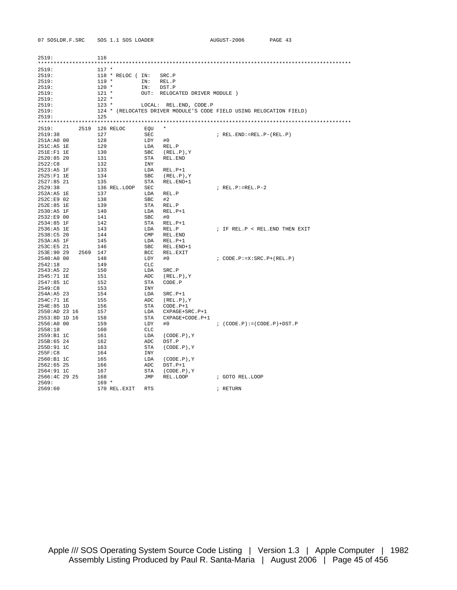| 07 SOSLDR.F.SRC    | SOS 1.1 SOS LOADER |              |                                                                     | AUGUST-2006                      | PAGE 43 |
|--------------------|--------------------|--------------|---------------------------------------------------------------------|----------------------------------|---------|
|                    |                    |              |                                                                     |                                  |         |
| 2519:              | 116                |              |                                                                     |                                  |         |
|                    |                    |              |                                                                     |                                  |         |
| 2519:              | $117 *$            |              |                                                                     |                                  |         |
| 2519:              | 118 * RELOC (IN:   |              | SRC.P                                                               |                                  |         |
| 2519:              | $119 *$            | IN:          | REL.P                                                               |                                  |         |
| 2519:              | $120 *$            | IN:          | DST.P                                                               |                                  |         |
| 2519:              | $121 *$            | OUT:         | RELOCATED DRIVER MODULE )                                           |                                  |         |
| 2519:              | $122 *$            |              |                                                                     |                                  |         |
| 2519:              | $123 *$            |              | LOCAL: REL.END, CODE.P                                              |                                  |         |
| 2519:<br>2519:     | 125                |              | 124 * (RELOCATES DRIVER MODULE'S CODE FIELD USING RELOCATION FIELD) |                                  |         |
|                    |                    |              |                                                                     |                                  |         |
| 2519:              | 2519 126 RELOC     | EQU          | $\star$                                                             |                                  |         |
| 2519:38            | 127                | SEC          |                                                                     | $; REL. END := REL.P-(REL.P)$    |         |
| 251A:A0 00         | 128                | LDY          | #0                                                                  |                                  |         |
| 251C:A5 1E         | 129                | LDA          | REL.P                                                               |                                  |         |
| 251E:F1 1E         | 130                | SBC          | $(REL.P)$ , Y                                                       |                                  |         |
| 2520:8520          | 131                | STA          | REL.END                                                             |                                  |         |
| 2522:C8            | 132                | INY          |                                                                     |                                  |         |
| $2523:AB$ 1F       | 133                | LDA          | $REL.P+1$                                                           |                                  |         |
| 2525:F1 1E         | 134                | SBC          | $(REL.P)$ , Y                                                       |                                  |         |
| 2527:85 21         | 135                | STA          | REL.END+1                                                           |                                  |         |
| 2529:38            | 136 REL.LOOP       | SEC          |                                                                     | $; REL.P:=REL.P-2$               |         |
| 252A: A5 1E        | 137                | LDA          | REL.P                                                               |                                  |         |
| 252C:E9 02         | 138                | <b>SBC</b>   | #2                                                                  |                                  |         |
| 252E:85 1E         | 139                | STA          | REL.P                                                               |                                  |         |
| 2530:A5 1F         | 140                | LDA          | $REL.P+1$                                                           |                                  |         |
| 2532:E9 00         | 141                | <b>SBC</b>   | #0                                                                  |                                  |         |
| 2534:85 1F         | 142                | STA          | $REL.P+1$                                                           |                                  |         |
| 2536:A5 1E         | 143                | LDA          | REL.P                                                               | ; IF REL.P < REL. END THEN EXIT  |         |
| 2538:C5 20         | 144                | $\text{CMP}$ | REL.END                                                             |                                  |         |
| 253A:A5 1F         | 145                | LDA          | $REL.P+1$                                                           |                                  |         |
| 253C:E5 21         | 146                | SBC          | REL.END+1                                                           |                                  |         |
| 253E:90 29<br>2569 | 147                | BCC          | REL.EXIT                                                            |                                  |         |
| 2540:A0 00         | 148                | LDY          | #0                                                                  | $: CODE.P:=X:SRC.P+(REL.P)$      |         |
| 2542:18            | 149                | <b>CLC</b>   |                                                                     |                                  |         |
| 2543:AB 22         | 150                | LDA          | SRC.P                                                               |                                  |         |
| 2545:71 1E         | 151                | ADC          | $(REL.P)$ , Y                                                       |                                  |         |
| 2547:85 1C         | 152                | STA          | CODE.P                                                              |                                  |         |
| 2549:C8            | 153                | <b>INY</b>   |                                                                     |                                  |         |
| $254A: A5$ 23      | 154                | LDA          | $SRC.P+1$                                                           |                                  |         |
| 254C: 71 1E        | 155                | ADC          | $(REL.P)$ , Y                                                       |                                  |         |
| 254E:85 1D         | 156                | STA          | $CODE.P+1$                                                          |                                  |         |
| 2550:AD 23 16      | 157                | LDA          | $CXPAGE+SRC.P+1$                                                    |                                  |         |
| 2553:8D 1D 16      | 158                | STA          | CXPAGE+CODE.P+1                                                     |                                  |         |
| 2556:A0 00         | 159                | LDY          | #0                                                                  | $: (CODE.P) := (CODE.P) + DST.P$ |         |
| 2558:18            | 160                | CLC          |                                                                     |                                  |         |
| 2559:B1 1C         | 161                | LDA          | $(CODE.P)$ , $Y$                                                    |                                  |         |
| 255B:65 24         | 162                | ADC          | DST.P                                                               |                                  |         |
| 255D:91 1C         | 163                | STA          | $(CODE.P)$ , $Y$                                                    |                                  |         |
| 255F:CB            | 164                | INY          |                                                                     |                                  |         |
| 2560:B1 1C         | 165                | LDA          | $(CODE.P)$ , $Y$                                                    |                                  |         |
| 2562:6525          | 166                | ADC          | $DST.P+1$                                                           |                                  |         |
| 2564:91 1C         | 167                | STA          | $(CODE.P)$ , $Y$                                                    |                                  |         |
| 2566:4C 29 25      | 168                | JMP          | REL.LOOP                                                            | ; GOTO REL.LOOP                  |         |
| 2569:              | $169 *$            |              |                                                                     |                                  |         |
| 2569:60            | 170 REL.EXIT       | <b>RTS</b>   |                                                                     | ; RETURN                         |         |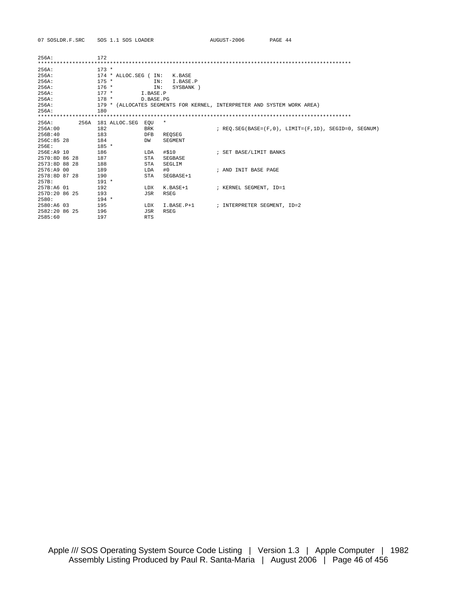| 07 SOSLDR.F.SRC | SOS 1.1 SOS LOADER                                                      | AUGUST-2006                 | PAGE 44                                                         |
|-----------------|-------------------------------------------------------------------------|-----------------------------|-----------------------------------------------------------------|
|                 |                                                                         |                             |                                                                 |
| 256A:           | 172                                                                     |                             |                                                                 |
|                 |                                                                         |                             |                                                                 |
| 256A:           | $173 *$                                                                 |                             |                                                                 |
| 256A:           | $174 * ALLOC. SEG$ (<br>IN:<br>K.BASE                                   |                             |                                                                 |
| 256A:           | $175 *$<br>TN:<br>I.BASE.P                                              |                             |                                                                 |
| 256A:           | $176 *$<br>SYSBANK )<br>IN:                                             |                             |                                                                 |
| 256A:           | $177 *$<br>I.BASE.P                                                     |                             |                                                                 |
| 256A:           | $178 *$<br>D.BASE.PG                                                    |                             |                                                                 |
| 256A:           | 179 * (ALLOCATES SEGMENTS FOR KERNEL, INTERPRETER AND SYSTEM WORK AREA) |                             |                                                                 |
| 256A:           | 180                                                                     |                             |                                                                 |
|                 |                                                                         |                             |                                                                 |
| 256A:           | 256A 181 ALLOC.SEG<br>*<br>EOU                                          |                             |                                                                 |
| 256A:00         | 182<br><b>BRK</b>                                                       |                             | ; REO. SEG(BASE= $(F, 0)$ , LIMIT= $(F, 1D)$ , SEGID=0, SEGNUM) |
| 256B:40         | 183<br><b>DFB</b><br><b>REOSEG</b>                                      |                             |                                                                 |
| 256C:85 28      | 184<br>SEGMENT<br>DW                                                    |                             |                                                                 |
| 256E:           | $185 *$                                                                 |                             |                                                                 |
| 256E:A9 10      | 186<br>#\$10<br>LDA                                                     | ; SET BASE/LIMIT BANKS      |                                                                 |
| 2570:8D 86 28   | 187<br>STA<br>SEGBASE                                                   |                             |                                                                 |
| 2573:8D 88 28   | 188<br>STA<br>SEGLIM                                                    |                             |                                                                 |
| 2576:A9 00      | 189<br>#0<br>LDA                                                        | ; AND INIT BASE PAGE        |                                                                 |
| 2578:8D 87 28   | 190<br><b>STA</b><br>SEGBASE+1                                          |                             |                                                                 |
| 257B:           | $191 *$                                                                 |                             |                                                                 |
| 257B:A6 01      | 192<br>K.BASE+1<br>LDX                                                  | ; KERNEL SEGMENT, ID=1      |                                                                 |
| 257D:20 86 25   | 193<br>JSR<br><b>RSEG</b>                                               |                             |                                                                 |
| 2580:           | $194 *$                                                                 |                             |                                                                 |
| 2580:A6 03      | 195<br>$I.BASE.P+1$<br>LDX                                              | ; INTERPRETER SEGMENT, ID=2 |                                                                 |
| 2582:20 86 25   | 196<br>JSR<br><b>RSEG</b>                                               |                             |                                                                 |
| 2585:60         | 197<br><b>RTS</b>                                                       |                             |                                                                 |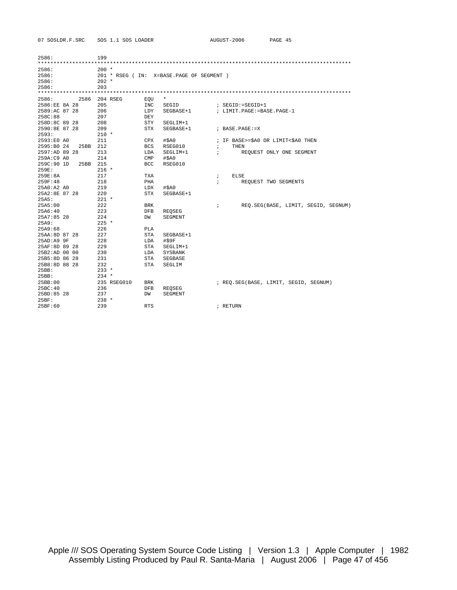| 07 SOSLDR.F.SRC<br>SOS 1.1 SOS LOADE |
|--------------------------------------|
|--------------------------------------|

| )S LOADER |  |
|-----------|--|
|           |  |

| 2586:         |      | 199            |             |            |                                          |                          |                                       |
|---------------|------|----------------|-------------|------------|------------------------------------------|--------------------------|---------------------------------------|
|               |      |                |             |            |                                          |                          |                                       |
| 2586:         |      | $200 *$        |             |            |                                          |                          |                                       |
| 2586:         |      |                |             |            | 201 * RSEG (IN: X=BASE.PAGE OF SEGMENT ) |                          |                                       |
| 2586:         |      | $202 *$        |             |            |                                          |                          |                                       |
| 2586:         |      | 203            |             |            |                                          |                          |                                       |
|               |      |                |             |            |                                          |                          |                                       |
| 2586:         | 2586 |                | 204 RSEG    | EQU        | $^\star$                                 |                          |                                       |
| 2586:EE 8A 28 |      | 205            |             | INC        | SEGID                                    |                          | $:$ SEGID: = SEGID+1                  |
| 2589:AC 87 28 |      | 206            |             | LDY        | SEGBASE+1                                |                          | ; LIMIT. PAGE: = BASE. PAGE-1         |
| 258C:88       |      | 207            |             | <b>DEY</b> |                                          |                          |                                       |
| 258D:8C 89 28 |      | 208            |             | STY        | SEGLIM+1                                 |                          |                                       |
| 2590:8E 87 28 |      | 209            |             | STX        | SEGBASE+1                                |                          | ; BASE. PAGE: = X                     |
| 2593:         |      | $210 *$        |             |            |                                          |                          |                                       |
| 2593:E0 A0    |      | 211            |             | CPX        | $#$ $5A0$                                |                          | ; IF BASE>=\$A0 OR LIMIT<\$A0 THEN    |
| 2595:B0 24    | 25BB | 212            |             | <b>BCS</b> | RSEG010                                  | $\ddot{ }$               | <b>THEN</b>                           |
| 2597:AD 89 28 |      | 213            |             | LDA        | SEGLIM+1                                 | $\ddot{i}$               | REQUEST ONLY ONE SEGMENT              |
| 259A: C9 A0   |      | 214            |             | <b>CMP</b> | #\$A0                                    |                          |                                       |
| 259C:90 1D    | 25BB | 215            |             | <b>BCC</b> | RSEG010                                  |                          |                                       |
| 259E:         |      | $216 *$        |             |            |                                          |                          |                                       |
| 259E:8A       |      | 217            |             | TXA        |                                          |                          | ELSE                                  |
| 259F:48       |      | 218            |             | PHA        |                                          | $\ddot{i}$<br>$\ddot{i}$ |                                       |
| 25A0:A2A0     |      | 219            |             | LDX        |                                          |                          | REQUEST TWO SEGMENTS                  |
| 25A2:8E 87 28 |      | 220            |             | <b>STX</b> | #\$A0<br>SEGBASE+1                       |                          |                                       |
| 25A5:         |      | $221$ *        |             |            |                                          |                          |                                       |
|               |      | 222            |             |            |                                          |                          |                                       |
| 25A5:00       |      |                |             | BRK        |                                          | $\ddot{i}$               | REO.SEG(BASE, LIMIT, SEGID, SEGNUM)   |
| 25A6:40       |      | 223            |             | <b>DFB</b> | <b>REOSEG</b>                            |                          |                                       |
| $25A7:85$ 28  |      | 224<br>$225 *$ |             | DW         | SEGMENT                                  |                          |                                       |
| 25A9:         |      |                |             |            |                                          |                          |                                       |
| 25A9:68       |      | 226            |             | PLA        |                                          |                          |                                       |
| 25AA:8D 87 28 |      | 227            |             | <b>STA</b> | SEGBASE+1                                |                          |                                       |
| 25AD: A99F    |      | 228            |             | LDA        | #\$9F                                    |                          |                                       |
| 25AF:8D 89 28 |      | 229            |             | STA        | SEGLIM+1                                 |                          |                                       |
| 25B2:AD 00 00 |      | 230            |             | LDA        | <b>SYSBANK</b>                           |                          |                                       |
| 25B5:8D 86 28 |      | 231            |             | STA        | SEGBASE                                  |                          |                                       |
| 25B8:8D 88 28 |      | 232            |             | STA        | SEGLIM                                   |                          |                                       |
| 25BB:         |      | $233 *$        |             |            |                                          |                          |                                       |
| 25BB:         |      | $234 *$        |             |            |                                          |                          |                                       |
| 25BB:00       |      |                | 235 RSEG010 | <b>BRK</b> |                                          |                          | ; REQ.SEG(BASE, LIMIT, SEGID, SEGNUM) |
| 25BC:40       |      | 236            |             | <b>DFB</b> | REQSEG                                   |                          |                                       |
| 25BD:85 28    |      | 237            |             | DW         | SEGMENT                                  |                          |                                       |
| 25BF:         |      | $238 *$        |             |            |                                          |                          |                                       |
| 25BF:60       |      | 239            |             | <b>RTS</b> |                                          |                          | ; RETURN                              |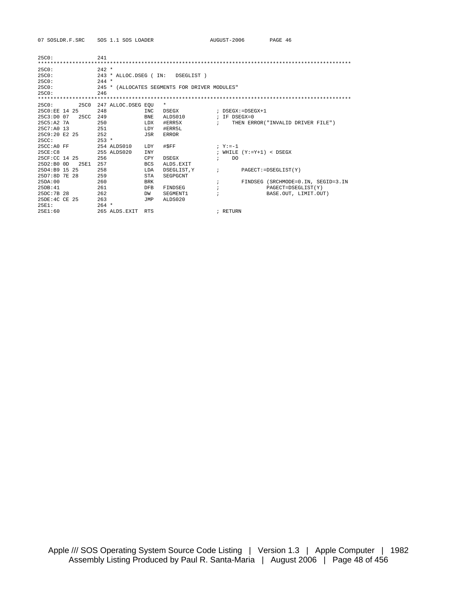| 25C0:              | 2.41                  |                                               |              |               |                      |                                    |  |  |  |  |
|--------------------|-----------------------|-----------------------------------------------|--------------|---------------|----------------------|------------------------------------|--|--|--|--|
| 25C0:              | $242 *$               |                                               |              |               |                      |                                    |  |  |  |  |
| 25C0:              | 243 * ALLOC.DSEG (IN: |                                               | DSEGLIST )   |               |                      |                                    |  |  |  |  |
| 25C0:              | $244 *$               |                                               |              |               |                      |                                    |  |  |  |  |
| 25C0:              |                       | 245 * (ALLOCATES SEGMENTS FOR DRIVER MODULES" |              |               |                      |                                    |  |  |  |  |
| 25C0:              | 246                   |                                               |              |               |                      |                                    |  |  |  |  |
|                    |                       |                                               |              |               |                      |                                    |  |  |  |  |
| 25C0:<br>25C0      | 247 ALLOC.DSEG EOU    |                                               | $^\star$     |               |                      |                                    |  |  |  |  |
| 25C0:EE 14 25      | 248                   | INC                                           | DSEGX        |               |                      | ; DSEGX:=DSEGX+1                   |  |  |  |  |
| 25C3:DD007<br>25CC | 249                   | <b>BNE</b>                                    | ALDS010      |               | $I$ TF DSEGX=0       |                                    |  |  |  |  |
| 25C5:A2 7A         | 250                   | LDX                                           | #ERR5X       |               | $\mathcal{L}$        | THEN ERROR("INVALID DRIVER FILE")  |  |  |  |  |
| $25C7:AD$ 13       | 251                   | <b>LDY</b>                                    | #ERR5L       |               |                      |                                    |  |  |  |  |
| 25C9:20E225        | 252                   | JSR                                           | <b>ERROR</b> |               |                      |                                    |  |  |  |  |
| 25CC:              | $253 *$               |                                               |              |               |                      |                                    |  |  |  |  |
| $25CC:AD$ FF       | 254 ALDS010           | LDY                                           | #\$FF        |               | $; \mathbf{Y} := -1$ |                                    |  |  |  |  |
| 25CE:CB            | 255 ALDS020           | <b>INY</b>                                    |              |               |                      | ; WHILE $(Y:=Y+1) <$ DSEGX         |  |  |  |  |
| 25CF:CC 14 25      | 256                   | CPY                                           | DSEGX        | $\ddot{i}$    | DO                   |                                    |  |  |  |  |
| 25D2:B00D<br>25E1  | 257                   | <b>BCS</b>                                    | ALDS.EXIT    |               |                      |                                    |  |  |  |  |
| 25D4:B9 15 25      | 258                   | LDA                                           | DSEGLIST.Y   | $\mathcal{F}$ |                      | PAGECT: = DSEGLIST (Y)             |  |  |  |  |
| 25D7:8D 7E 28      | 259                   | <b>STA</b>                                    | SEGPGCNT     |               |                      |                                    |  |  |  |  |
| 25DA:00            | 260                   | <b>BRK</b>                                    |              |               |                      | FINDSEG (SRCHMODE=0.IN, SEGID=3.IN |  |  |  |  |
| 25DR:41            | 261                   | <b>DFB</b>                                    | FINDSEG      |               |                      | PAGECT=DSEGLIST(Y)                 |  |  |  |  |
| 25DC: 7B 28        | 262                   | DW                                            | SEGMENT1     |               |                      | BASE.OUT, LIMIT.OUT)               |  |  |  |  |
| 25DE:4C CE 25      | 263                   | <b>JMP</b>                                    | ALDS020      |               |                      |                                    |  |  |  |  |
| 25F1:              | $264$ *               |                                               |              |               |                      |                                    |  |  |  |  |
| 25F1:60            | 265 ALDS.EXIT         | <b>RTS</b>                                    |              |               | ; RETURN             |                                    |  |  |  |  |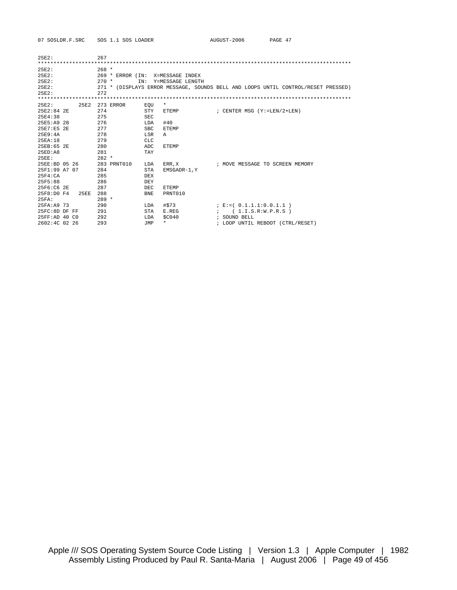| 25E2:          |      | 267     |                  |            |                  |                                                                                   |
|----------------|------|---------|------------------|------------|------------------|-----------------------------------------------------------------------------------|
|                |      |         |                  |            |                  |                                                                                   |
| 25E2:          |      | $268 *$ |                  |            |                  |                                                                                   |
| 25E2:          |      |         | 269 * ERROR (IN: |            | X=MESSAGE INDEX  |                                                                                   |
| 25E2:          |      | $270 *$ | TN:              |            | Y=MESSAGE LENGTH |                                                                                   |
| 25E2:          |      |         |                  |            |                  | 271 * (DISPLAYS ERROR MESSAGE, SOUNDS BELL AND LOOPS UNTIL CONTROL/RESET PRESSED) |
| 25F2:          |      | 2.72    |                  |            |                  |                                                                                   |
|                |      |         |                  |            |                  |                                                                                   |
| 25E2:          | 25E2 |         | 273 ERROR        | EOU        | $\star$          |                                                                                   |
| $25E2:84$ 2E   |      | 274     |                  | STY        | ETEMP            | ; CENTER MSG (Y:=LEN/2+LEN)                                                       |
| 25E4:38        |      | 275     |                  | <b>SEC</b> |                  |                                                                                   |
| 25E5:A9 28     |      | 276     |                  | LDA        | #40              |                                                                                   |
| 25E7:E5 2E     |      | 277     |                  | <b>SBC</b> | <b>ETEMP</b>     |                                                                                   |
| 25F9:4A        |      | 278     |                  | LSR        | Α                |                                                                                   |
| 25EA:18        |      | 279     |                  | <b>CLC</b> |                  |                                                                                   |
| 25EB:65 2E     |      | 280     |                  | ADC        | <b>ETEMP</b>     |                                                                                   |
| 25ED:AB        |      | 281     |                  | <b>TAY</b> |                  |                                                                                   |
| 25EE:          |      | $282 *$ |                  |            |                  |                                                                                   |
| 25EE:BD 05 26  |      |         | 283 PRNT010      | LDA        | ERR, X           | ; MOVE MESSAGE TO SCREEN MEMORY                                                   |
| 25F1:99 A7 07  |      | 284     |                  | STA        | EMSGADR-1, Y     |                                                                                   |
| 25F4:CA        |      | 285     |                  | DEX        |                  |                                                                                   |
| 25F5:88        |      | 286     |                  | DEY        |                  |                                                                                   |
| 25F6:C6 2E     |      | 287     |                  | DEC        | <b>ETEMP</b>     |                                                                                   |
| 25F8:DDF4      | 25EE | 288     |                  | <b>BNE</b> | PRNT010          |                                                                                   |
| 25FA:          |      | $289 *$ |                  |            |                  |                                                                                   |
| 25FA: A9 73    |      | 290     |                  | LDA        | #\$73            | ; $E := (0.1.1.1:0.0.1.1)$                                                        |
| 25FC:8D DF FF  |      | 291     |                  | <b>STA</b> | E.REG            | ; (1.I.S.R: W.P.R.S)                                                              |
| 25FF: AD 40 CO |      | 292     |                  | LDA        | \$C040           | ; SOUND BELL                                                                      |
| 2602:4C 02 26  |      | 293     |                  | JMP        | $\star$          | ; LOOP UNTIL REBOOT (CTRL/RESET)                                                  |

07 SOSLDR.F.SRC SOS 1.1 SOS LOADER

AUGUST-2006 PAGE 47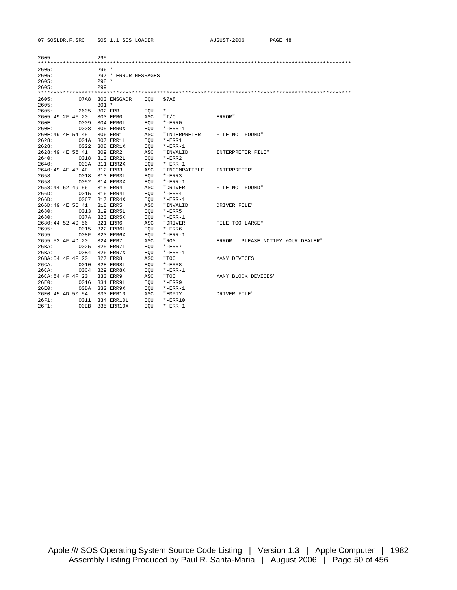| 2605:              |      | 295     |                      |      |               |                                   |
|--------------------|------|---------|----------------------|------|---------------|-----------------------------------|
|                    |      |         |                      |      |               |                                   |
| 2605:              |      | $296 *$ |                      |      |               |                                   |
| 2605:              |      |         | 297 * ERROR MESSAGES |      |               |                                   |
| 2605:              |      | $298 *$ |                      |      |               |                                   |
| 2605:              |      | 299     |                      |      |               |                                   |
|                    |      |         |                      |      |               |                                   |
| 2605:              | 07A8 |         | 300 EMSGADR          | EOU  | \$7A8         |                                   |
| 2605:              |      | $301 *$ |                      |      |               |                                   |
| 2605:              | 2605 |         | 302 ERR              | EOU  | $\star$       |                                   |
| 2605:49 2F 4F 20   |      |         | 303 ERR0             | ASC  | "I/O          | ERROR"                            |
| 260E:              | 0009 |         | 304 ERROL            | EOU  | $*$ -ERR $0$  |                                   |
| 260E:              | 0008 |         | 305 ERR0X            | EOU  | $*$ -ERR-1    |                                   |
| 260E:49 4E 54 45   |      |         | 306 ERR1             | ASC. | "INTERPRETER  | FILE NOT FOUND"                   |
| 2628:              | 001A |         | 307 ERR1L            | EOU  | $*$ -ERR $1$  |                                   |
| 2628:              | 0022 |         | 308 ERR1X            | EOU  | $*$ -ERR-1    |                                   |
| 2628:49 4E 56 41   |      |         | 309 ERR2             | ASC  | "INVALID      | INTERPRETER FILE"                 |
| 2640:              | 0018 |         | 310 ERR2L            | EOU  | $*$ -ERR $2$  |                                   |
| 2640:              | 003A |         | 311 ERR2X            | EOU  | $*$ -ERR-1    |                                   |
| 2640:49 4E 43 4F   |      |         | 312 ERR3             | ASC  | "INCOMPATIBLE | INTERPRETER"                      |
| 2658:              | 0018 |         | 313 ERR3L            | EOU  | $*$ -ERR3     |                                   |
| 2658:              | 0052 |         | 314 ERR3X            | EOU  | $*$ -ERR-1    |                                   |
| 2658:44 52 49 56   |      |         | 315 ERR4             | ASC  | "DRIVER       | FILE NOT FOUND"                   |
| 266D:              | 0015 |         | 316 ERR4L            | EOU  | $*$ -ERR4     |                                   |
| 266D:              | 0067 |         | 317 ERR4X            | EOU  | $*$ -ERR-1    |                                   |
| 266D:49 4E 56 41   |      |         | 318 ERR5             | ASC  | "INVALID      | DRIVER FILE"                      |
| 2680:              | 0013 |         | 319 ERR5L            | EOU  | $*$ -ERR5     |                                   |
| 2680:              | 007A |         | 320 ERR5X            | EOU  | $*$ -ERR-1    |                                   |
| 2680:44 52 49 56   |      |         | 321 ERR6             | ASC  | "DRIVER       | FILE TOO LARGE"                   |
| 2695:              | 0015 |         | 322 ERR6L            | EOU  | $*$ -ERR $6$  |                                   |
| 2695:              | 008F |         | 323 ERR6X            | EOU  | $*$ -ERR-1    |                                   |
| $2695:52$ 4F 4D 20 |      |         | 324 ERR7             | ASC  | "ROM          | ERROR: PLEASE NOTIFY YOUR DEALER" |
| 26BA:              | 0025 |         | 325 ERR7L            | EOU  | $*$ -ERR $7$  |                                   |
| 26BA:              | 00B4 |         | 326 ERR7X            | EOU  | $*$ -ERR-1    |                                   |
| 26BA:54 4F 4F 20   |      |         | 327 ERR8             | ASC. | "TOO          | MANY DEVICES"                     |
| 26CA:              | 0010 |         | 328 ERR8L            | EOU  | $*$ -ERR $8$  |                                   |
| 26CA:              | 00C4 |         | 329 ERR8X            | EOU  | $*$ -ERR-1    |                                   |
| 26CA:54 4F 4F 20   |      |         | 330 ERR9             | ASC  | "TOO          | MANY BLOCK DEVICES"               |
| 26E0:              | 0016 |         | 331 ERR9L            | EOU  | $*$ -ERR $9$  |                                   |
| 26E0:              | 00DA |         | 332 ERR9X            | EOU  | $*$ -ERR-1    |                                   |
| 26E0:45 4D 50 54   |      |         | 333 ERR10            | ASC  | "EMPTY        | DRIVER FILE"                      |
| 26F1:              | 0011 |         | 334 ERR10L           | EOU  | $* - ERR10$   |                                   |
| 26F1:              | 00EB |         | 335 ERR10X           | EOU  | $*$ -ERR-1    |                                   |
|                    |      |         |                      |      |               |                                   |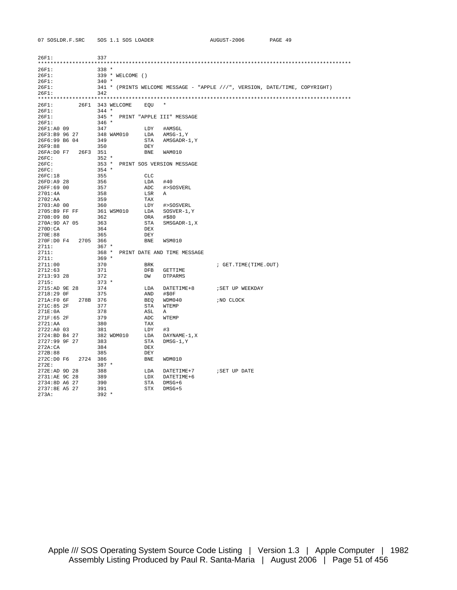26F1: 337 \*\*\*\*\*\*\*\*\*\*\*\*\*\*\*\*\*\*\*\*\*\*\*\*\*\*\*\*\*\*\*\*\*\*\*\*\*\*\*\*\*\*\*\*\*\*\*\*\*\*\*\*\*\*\*\*\*\*\*\*\*\*\*\*\*\*\*\*\*\*\*\*\*\*\*\*\*\*\*\*\*\*\*\*\*\*\*\*\*\*\*\*\*\*\*\*\*\*\*\* 26F1: 338 \* 26F1: 339 \* WELCOME () 26F1: 340 \* 26F1: 341 \* (PRINTS WELCOME MESSAGE - "APPLE ///", VERSION, DATE/TIME, COPYRIGHT) 26F1: 342 \*\*\*\*\*\*\*\*\*\*\*\*\*\*\*\*\*\*\*\*\*\*\*\*\*\*\*\*\*\*\*\*\*\*\*\*\*\*\*\*\*\*\*\*\*\*\*\*\*\*\*\*\*\*\*\*\*\*\*\*\*\*\*\*\*\*\*\*\*\*\*\*\*\*\*\*\*\*\*\*\*\*\*\*\*\*\*\*\*\*\*\*\*\*\*\*\*\*\*\* 26F1: 26F1 343 WELCOME EQU \* 26F1:<br>26F1: 345 \* PRINT "APPLE III" MESSAGE 26F1: 345 \* PRINT "APPLE III" MESSAGE 26F1: 346 \* 26F1:A0 09 347 LDY #AMSGL 26F3:B9 96 27 348 WAM010 LDA AMSG-1,Y 26F6:99 B6 04 349 STA AMSGADR-1,Y 26F9:88 350 DEY 26FA:D0 F7 26F3 351 BNE WAM010 26FC: 26FC: 353 \*  $26FC:$  353 \* PRINT SOS VERSION MESSAGE<br> $26FC:$  354 \* 26FC: 354 \*<br>
26FC:18 355 26FC:18 355 CLC 26FD:A9 28 356 LDA #40 26FF:69 00 357 ADC #>SOSVERL 2701:4A 358 LSR A<br>2702:aa 359 Tax 2702:AA 359 TAX 2703:A0 00 360 LDY #>SOSVERL 2705:B9 FF FF 361 WSM010 LDA SOSVER-1,Y 2708:09 80 362 ORA #\$80 270A:9D A7 05 363 STA SMSGADR-1,X 270D:CA 364 DEX 270E:88 365 DEY 270F:D0 F4 2705 366 BNE WSM010 2711: 367 \* 2711: 368 \* PRINT DATE AND TIME MESSAGE 2711:  $369$  \* 2711: 369 \* 2711:00 370 BRK ; GET.TIME(TIME.OUT) 2712:63 371 DFB GETTIME 2713:93 28 372 DW DTPARMS 2715: 373 \* 2715:AD 9E 28 374 LDA DATETIME+8 ;SET UP WEEKDAY 2715: AD 9E 28 374<br>2718:29 0F 375  $271A:FO 6F 278B 376$   $BEQ WDM040$  ;NO CLOCK  $271C:85 2F 377$   $STA WTRMP$ 271C:85 2F 377<br>271E:0A 378 271E:0A 378 ASL A 271F:65 2F 379 ADC WTEMP 2721:AA 380 TAX 2722:A0 03 381 LDY #3 2724:BD B4 27 382 WDM010 LDA DAYNAME-1,X 2727:99 9F 27 383 STA DMSG-1,Y 272A:CA 384 DEX<br>272B:88 385 DEY 272B:88 385 DEY  $272C:DD F6 2724 386$ <br> $272E: 387 *$ 272E: 387 \* 272E:AD 9D 28 388 LDA DATETIME+7 ;SET UP DATE 2731:AE 9C 28 389 LDX DATETIME+6 2734:8D A6 27 390 STA DMSG+6 2737:8E A5 27 391 STX DMSG+5 273A: 392 \*

07 SOSLDR.F.SRC SOS 1.1 SOS LOADER AUGUST-2006 PAGE 49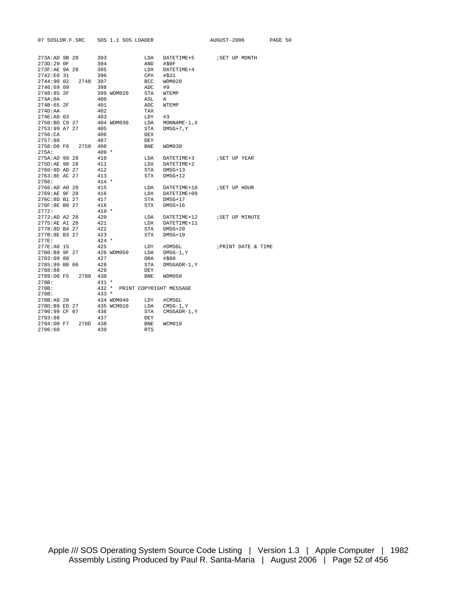| 07 SOSLDR.F.SRC                                                                   | SOS 1.1 SOS LOADER              |                                        |                                                     | AUGUST-2006         | PAGE 50 |
|-----------------------------------------------------------------------------------|---------------------------------|----------------------------------------|-----------------------------------------------------|---------------------|---------|
| 273A: AD 9B 28<br>273D:29 OF<br>273F:AE 9A 28<br>2742:E0 31<br>2744:90 02<br>2748 | 393<br>394<br>395<br>396<br>397 | LDA<br>AND<br>LDX<br><b>CPX</b><br>BCC | DATETIME+5<br>#50F<br>DATETIME+4<br>#\$31<br>WDM020 | SET UP MONTH        |         |
| 2746:69 09                                                                        | 398                             | ADC                                    | #9                                                  |                     |         |
| 2748:85 2F                                                                        | 399 WDM020                      | STA                                    | WTEMP                                               |                     |         |
| 274A:0A                                                                           | 400                             | ASL                                    | Α                                                   |                     |         |
| 274B:65 2F                                                                        | 401                             | ADC                                    | WTEMP                                               |                     |         |
| 274D:AA                                                                           | 402                             | TAX                                    |                                                     |                     |         |
| 274E:A0 03                                                                        | 403                             | LDY                                    | #3                                                  |                     |         |
| 2750:BD C9 27                                                                     | 404 WDM030                      | LDA                                    | $MONNAME-1, X$                                      |                     |         |
| 2753:99 A7 27                                                                     | 405                             | STA                                    | $DMSG+7, Y$                                         |                     |         |
| 2756:CA                                                                           | 406                             | <b>DEX</b>                             |                                                     |                     |         |
| 2757:88                                                                           | 407                             | DEY                                    |                                                     |                     |         |
| 2758:D0 F6<br>2750                                                                | 408                             | <b>BNE</b>                             | <b>WDM030</b>                                       |                     |         |
| 275A:                                                                             | $409 *$                         |                                        |                                                     |                     |         |
| 275A: AD 99 28                                                                    | 410                             | LDA                                    | DATETIME+3                                          | ; SET UP YEAR       |         |
| 275D:AE 98 28                                                                     | 411                             | LDX                                    | DATETIME+2                                          |                     |         |
| 2760:8D AD 27                                                                     | 412                             | STA                                    | $DMSG+13$                                           |                     |         |
| 2763:8E AC 27                                                                     | 413                             | STX                                    | $DMSG+12$                                           |                     |         |
| 2766:                                                                             | $414 *$                         |                                        |                                                     |                     |         |
| 2766:AD A0 28                                                                     | 415                             | LDA                                    | DATETIME+10                                         | ; SET UP HOUR       |         |
| 2769:AE 9F 28                                                                     | 416                             | LDX                                    | DATETIME+09                                         |                     |         |
| 276C:8D B1 27                                                                     | 417                             | STA                                    | $DNSG+17$                                           |                     |         |
| 276F:8E B0 27                                                                     | 418                             | STX                                    | $DMSG+16$                                           |                     |         |
| 2772:                                                                             | $419 *$<br>420                  |                                        |                                                     |                     |         |
| 2772:AD A2 28<br>2775:AE A1 28                                                    | 421                             | LDA<br>LDX                             | DATETIME+12<br>DATETIME+11                          | ; SET UP MINUTE     |         |
| 2778:8D B4 27                                                                     | 422                             | STA                                    | $DMSG+20$                                           |                     |         |
| 277B:8E B3 27                                                                     | 423                             | STX                                    | $DNSG+19$                                           |                     |         |
| 277E:                                                                             | $424 *$                         |                                        |                                                     |                     |         |
| 277E:A0 15                                                                        | 425                             | LDY                                    | #DMSGL                                              | ; PRINT DATE & TIME |         |
| 2780:B9 9F 27                                                                     | 426 WDM050                      | LDA                                    | $DMSG-1, Y$                                         |                     |         |
| 2783:09 80                                                                        | 427                             | ORA                                    | #\$80                                               |                     |         |
| 2785:99 B0 06                                                                     | 428                             | STA                                    | DMSGADR-1, Y                                        |                     |         |
| 2788:88                                                                           | 429                             | <b>DEY</b>                             |                                                     |                     |         |
| 2789:D0 F5<br>2780                                                                | 430                             | BNE                                    | WDM050                                              |                     |         |
| 278B:                                                                             | $431 *$                         |                                        |                                                     |                     |         |
| 278B:                                                                             | $432 *$                         |                                        | PRINT COPYRIGHT MESSAGE                             |                     |         |
| 278B:                                                                             | $433 *$                         |                                        |                                                     |                     |         |
| 278B:A0 28                                                                        | 434 WDM040                      | LDY                                    | #CMSGL                                              |                     |         |
| 278D:B9 ED 27                                                                     | 435 WCM010                      | LDA                                    | $CMS-1, Y$                                          |                     |         |
| 2790:99 CF 07                                                                     | 436                             | STA                                    | CMSGADR-1, Y                                        |                     |         |
| 2793:88                                                                           | 437                             | DEY                                    |                                                     |                     |         |
| 2794:D0 F7<br>278D                                                                | 438                             | <b>BNE</b>                             | WCM010                                              |                     |         |
| 2796:60                                                                           | 439                             | <b>RTS</b>                             |                                                     |                     |         |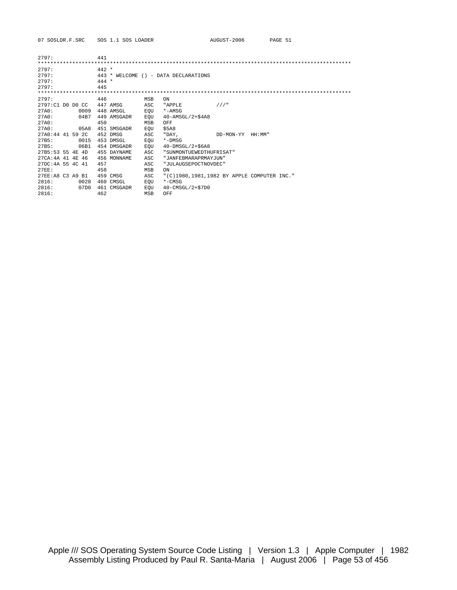|                    | 441     |                                                                                                                                                                                                      |                                                                                                |                                                                                                                                                                               |                                            |
|--------------------|---------|------------------------------------------------------------------------------------------------------------------------------------------------------------------------------------------------------|------------------------------------------------------------------------------------------------|-------------------------------------------------------------------------------------------------------------------------------------------------------------------------------|--------------------------------------------|
|                    |         |                                                                                                                                                                                                      |                                                                                                |                                                                                                                                                                               |                                            |
|                    | $442 *$ |                                                                                                                                                                                                      |                                                                                                |                                                                                                                                                                               |                                            |
|                    | $443 *$ |                                                                                                                                                                                                      |                                                                                                |                                                                                                                                                                               |                                            |
|                    | $444 *$ |                                                                                                                                                                                                      |                                                                                                |                                                                                                                                                                               |                                            |
|                    | 445     |                                                                                                                                                                                                      |                                                                                                |                                                                                                                                                                               |                                            |
|                    |         |                                                                                                                                                                                                      |                                                                                                |                                                                                                                                                                               |                                            |
|                    | 446     | ON                                                                                                                                                                                                   |                                                                                                |                                                                                                                                                                               |                                            |
| 2797:C1 D0 D0 CC   |         | "APPLE                                                                                                                                                                                               | 111"                                                                                           |                                                                                                                                                                               |                                            |
| 0009               |         | $*$ – AMSG                                                                                                                                                                                           |                                                                                                |                                                                                                                                                                               |                                            |
| 04B7               |         |                                                                                                                                                                                                      |                                                                                                |                                                                                                                                                                               |                                            |
|                    | 450     | OFF                                                                                                                                                                                                  |                                                                                                |                                                                                                                                                                               |                                            |
| 05A8               |         | \$5A8                                                                                                                                                                                                |                                                                                                |                                                                                                                                                                               |                                            |
| $27A0:44$ 41 59 2C |         | "DAY,                                                                                                                                                                                                | DD-MON-YY                                                                                      | HH: MM"                                                                                                                                                                       |                                            |
| 0015               |         | $*$ -DMSG                                                                                                                                                                                            |                                                                                                |                                                                                                                                                                               |                                            |
| 06B1               |         |                                                                                                                                                                                                      |                                                                                                |                                                                                                                                                                               |                                            |
| 27B5:53 55 4E 4D   |         |                                                                                                                                                                                                      |                                                                                                |                                                                                                                                                                               |                                            |
| 27CA: 4A 41 4E 46  |         |                                                                                                                                                                                                      |                                                                                                |                                                                                                                                                                               |                                            |
| 27DC: 4A 55 4C 41  | 457     |                                                                                                                                                                                                      |                                                                                                |                                                                                                                                                                               |                                            |
|                    | 458     | ON                                                                                                                                                                                                   |                                                                                                |                                                                                                                                                                               |                                            |
| 27EE:A8 C3 A9 B1   |         |                                                                                                                                                                                                      |                                                                                                |                                                                                                                                                                               |                                            |
| 0028               |         | $*$ – CMSG                                                                                                                                                                                           |                                                                                                |                                                                                                                                                                               |                                            |
| 07D0               |         |                                                                                                                                                                                                      |                                                                                                |                                                                                                                                                                               |                                            |
|                    | 462     | OFF                                                                                                                                                                                                  |                                                                                                |                                                                                                                                                                               |                                            |
|                    |         | <b>MSB</b><br>447 AMSG<br>448 AMSGL<br>449 AMSGADR<br>451 SMSGADR<br>452 DMSG<br>ASC<br>453 DMSGL<br>454 DMSGADR<br>455 DAYNAME<br>456 MONNAME<br>459 CMSG<br>460 CMSGL<br>461 CMSGADR<br><b>MSB</b> | ASC<br>EQU<br>EOU<br>MSB<br>EOU<br>EOU<br>EOU<br>ASC<br>ASC<br>ASC<br>MSB<br>ASC<br>EOU<br>EOU | WELCOME () - DATA DECLARATIONS<br>$40$ -AMSGL/2+ $$4A8$<br>$40$ -DMSGL/2+\$6A8<br>"SUNMONTUEWEDTHUFRISAT"<br>"JANFEBMARAPRMAYJUN"<br>"JULAUGSEPOCTNOVDEC"<br>40-CMSGL/2+\$7D0 | "(C)1980,1981,1982 BY APPLE COMPUTER INC." |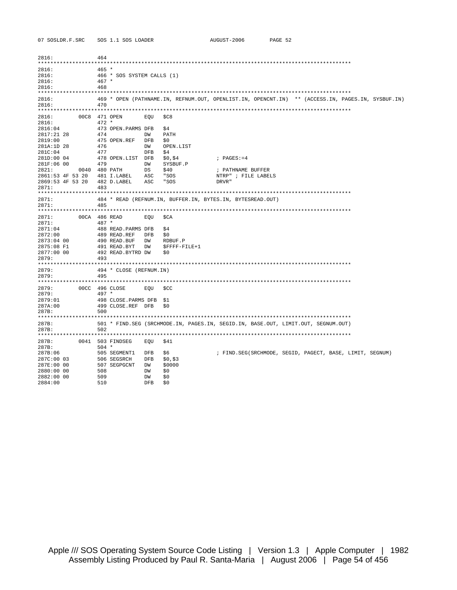| 2816:                 |               | 464        |                            |           |                  |                                                                                   |                                                                                                   |  |
|-----------------------|---------------|------------|----------------------------|-----------|------------------|-----------------------------------------------------------------------------------|---------------------------------------------------------------------------------------------------|--|
| 2816:                 |               | $465 *$    |                            |           |                  |                                                                                   |                                                                                                   |  |
| 2816:                 |               |            | 466 * SOS SYSTEM CALLS (1) |           |                  |                                                                                   |                                                                                                   |  |
| 2816:                 |               | $467 *$    |                            |           |                  |                                                                                   |                                                                                                   |  |
| 2816:                 |               | 468        |                            |           |                  |                                                                                   |                                                                                                   |  |
|                       |               |            |                            |           |                  |                                                                                   |                                                                                                   |  |
| 2816:                 |               |            |                            |           |                  |                                                                                   | 469 * OPEN (PATHNAME.IN, REFNUM.OUT, OPENLIST.IN, OPENCNT.IN) ** (ACCESS.IN, PAGES.IN, SYSBUF.IN) |  |
| 2816:                 |               | 470        |                            |           |                  |                                                                                   |                                                                                                   |  |
| 2816:                 | 00C8 471 OPEN |            |                            | EOU       | SC8              |                                                                                   |                                                                                                   |  |
| 2816:                 |               | $472 *$    |                            |           |                  |                                                                                   |                                                                                                   |  |
| 2816:04               |               |            | 473 OPEN.PARMS DFB         |           | \$4              |                                                                                   |                                                                                                   |  |
| 2817:21 28            |               | 474        |                            | DW        | PATH             |                                                                                   |                                                                                                   |  |
| 2819:00               |               |            | 475 OPEN.REF               | DFB       | SO.              |                                                                                   |                                                                                                   |  |
| 281A:1D 28<br>281C:04 |               | 476<br>477 |                            | DW<br>DFB | OPEN.LIST<br>\$4 |                                                                                   |                                                                                                   |  |
| 281D:00 04            |               |            | 478 OPEN.LIST DFB          |           | \$0,\$4          | $;$ PAGES $:= 4$                                                                  |                                                                                                   |  |
| 281F:06 00            |               | 479        |                            | DW        | SYSBUF.P         |                                                                                   |                                                                                                   |  |
| 2821:                 | 0040 480 PATH |            |                            | DS        | \$40             | ; PATHNAME BUFFER                                                                 |                                                                                                   |  |
| 2861:53 4F 53 20      |               |            | 481 I.LABEL                | ASC       | " SOS            | NTRP" ; FILE LABELS                                                               |                                                                                                   |  |
| 2869:53 4F 53 20      |               |            | 482 D.LABEL                | ASC       | " SOS            | DRVR "                                                                            |                                                                                                   |  |
| 2871:                 |               | 483        |                            |           |                  |                                                                                   |                                                                                                   |  |
|                       |               |            |                            |           |                  |                                                                                   |                                                                                                   |  |
| 2871:                 |               |            |                            |           |                  | 484 * READ (REFNUM.IN, BUFFER.IN, BYTES.IN, BYTESREAD.OUT)                        |                                                                                                   |  |
| 2871:                 |               | 485        |                            |           |                  |                                                                                   |                                                                                                   |  |
| 2871:                 | 00CA 486 READ |            |                            | EOU       | SCA              |                                                                                   |                                                                                                   |  |
| 2871:                 |               | $487 *$    |                            |           |                  |                                                                                   |                                                                                                   |  |
| 2871:04               |               |            | 488 READ. PARMS DFB        |           | \$4              |                                                                                   |                                                                                                   |  |
| 2872:00               |               |            | 489 READ.REF               | DFB       | \$0              |                                                                                   |                                                                                                   |  |
| 2873:04 00            |               |            | 490 READ.BUF               | DW        | RDBUF.P          |                                                                                   |                                                                                                   |  |
| 2875:08 F1            |               |            | 491 READ.BYT               | DW        | SFFFF-FILE+1     |                                                                                   |                                                                                                   |  |
| 2877:00 00            |               |            | 492 READ.BYTRD DW          |           | S0               |                                                                                   |                                                                                                   |  |
| 2879:                 |               | 493        |                            |           |                  |                                                                                   |                                                                                                   |  |
| 2879:                 |               |            | 494 * CLOSE (REFNUM.IN)    |           |                  |                                                                                   |                                                                                                   |  |
| 2879:                 |               | 495        |                            |           |                  |                                                                                   |                                                                                                   |  |
|                       |               |            |                            |           |                  |                                                                                   |                                                                                                   |  |
| 2879:<br>2879:        |               | 497 *      | 00CC 496 CLOSE             | EOU       | \$CC             |                                                                                   |                                                                                                   |  |
| 2879:01               |               |            | 498 CLOSE. PARMS DFB \$1   |           |                  |                                                                                   |                                                                                                   |  |
| 287A:00               |               |            | 499 CLOSE.REF DFB          |           | SO.              |                                                                                   |                                                                                                   |  |
| 287B:                 |               | 500        |                            |           |                  |                                                                                   |                                                                                                   |  |
|                       |               |            |                            |           |                  |                                                                                   |                                                                                                   |  |
| 287B:                 |               |            |                            |           |                  | 501 * FIND.SEG (SRCHMODE.IN, PAGES.IN, SEGID.IN, BASE.OUT, LIMIT.OUT, SEGNUM.OUT) |                                                                                                   |  |
| 287B:                 |               | 502        |                            |           |                  |                                                                                   |                                                                                                   |  |
|                       |               |            |                            |           |                  |                                                                                   |                                                                                                   |  |
| 287B:<br>287B:        |               | $504 *$    | 0041 503 FINDSEG           | EOU       | \$41             |                                                                                   |                                                                                                   |  |
| 287B:06               |               |            | 505 SEGMENT1               | DFB       | \$6              |                                                                                   | ; FIND.SEG(SRCHMODE, SEGID, PAGECT, BASE, LIMIT, SEGNUM)                                          |  |
| 287C:00 03            |               |            | 506 SEGSRCH                | DFB       | \$0,\$3          |                                                                                   |                                                                                                   |  |
| 287E:00 00            |               |            | 507 SEGPGCNT               | DW        | \$0000           |                                                                                   |                                                                                                   |  |
| 2880:00 00            |               | 508        |                            | DW        | \$0              |                                                                                   |                                                                                                   |  |
| 2882:00 00            |               | 509        |                            | DW        | \$0              |                                                                                   |                                                                                                   |  |
| 2884:00               |               | 510        |                            | DFB       | \$0              |                                                                                   |                                                                                                   |  |
|                       |               |            |                            |           |                  |                                                                                   |                                                                                                   |  |

AUGUST-2006 PAGE 52

07 SOSLDR.F.SRC SOS 1.1 SOS LOADER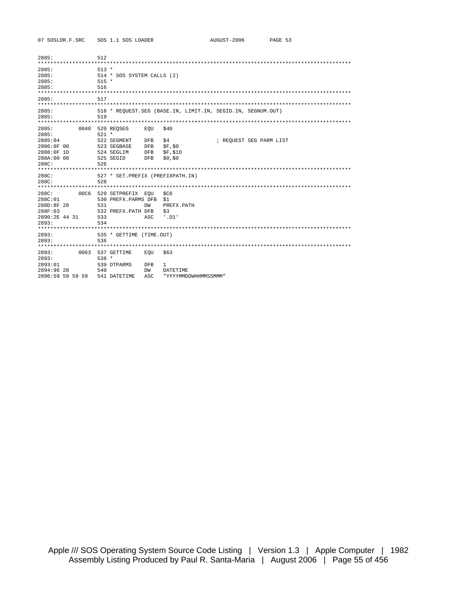07 SOSLDR.F.SRC SOS 1.1 SOS LOADER

| 2885:<br>$513 *$<br>2885:<br>514 * SOS SYSTEM CALLS (2)<br>2885:<br>$515 *$<br>2885:<br>516<br>2885:<br>517<br>2885:<br>518 * REQUEST.SEG (BASE.IN, LIMIT.IN, SEGID.IN, SEGNUM.OUT)<br>2885:<br>519<br>2885:<br>0040<br>520 REOSEG<br>\$40<br>EOU<br>$521 *$<br>2885:<br>2885:04<br>522 SEGMENT<br><b>DFB</b><br>\$4<br>; REOUEST SEG PARM LIST<br>2886:0F 00<br>523 SEGBASE<br><b>DFB</b><br>SF, SO<br>2888:0F 1D<br>\$F, \$1D<br>524 SEGLIM<br><b>DFB</b><br>288A:00 00<br>525 SEGID<br>\$0, \$0<br><b>DFB</b><br>288C:<br>526<br>288C:<br>527 * SET.PREFIX (PREFIXPATH.IN)<br>288C:<br>528 |
|-----------------------------------------------------------------------------------------------------------------------------------------------------------------------------------------------------------------------------------------------------------------------------------------------------------------------------------------------------------------------------------------------------------------------------------------------------------------------------------------------------------------------------------------------------------------------------------------------|
|                                                                                                                                                                                                                                                                                                                                                                                                                                                                                                                                                                                               |
|                                                                                                                                                                                                                                                                                                                                                                                                                                                                                                                                                                                               |
|                                                                                                                                                                                                                                                                                                                                                                                                                                                                                                                                                                                               |
|                                                                                                                                                                                                                                                                                                                                                                                                                                                                                                                                                                                               |
|                                                                                                                                                                                                                                                                                                                                                                                                                                                                                                                                                                                               |
|                                                                                                                                                                                                                                                                                                                                                                                                                                                                                                                                                                                               |
| 288C:<br>00C6<br>529 SETPREFIX EOU<br>SC6<br>288C:01<br>530 PREFX.PARMS DFB<br>\$1<br>288D:8F 28<br>531<br>DW<br>PREFX.PATH<br>288F:03<br>532 PREFX.PATH DFB<br>\$3<br>2890:2E 44 31<br>533<br>ASC<br>$'$ . D $1'$<br>2893:<br>534                                                                                                                                                                                                                                                                                                                                                            |
| 2893:<br>535 * GETTIME (TIME.OUT)<br>2893:<br>536                                                                                                                                                                                                                                                                                                                                                                                                                                                                                                                                             |
|                                                                                                                                                                                                                                                                                                                                                                                                                                                                                                                                                                                               |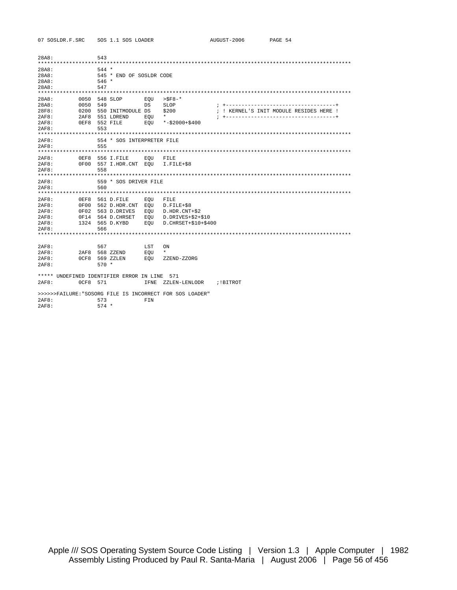07 SOSLDR.F.SRC SOS 1.1 SOS LOADER

| 28A8:                                              |                                                      | 543                                                                                            |                          |                                                                                   |                                                      |
|----------------------------------------------------|------------------------------------------------------|------------------------------------------------------------------------------------------------|--------------------------|-----------------------------------------------------------------------------------|------------------------------------------------------|
| 28A8:<br>28A8:<br>28A8:<br>28A8:                   |                                                      | $544 *$<br>545 * END OF SOSLDR CODE<br>$546 *$<br>547                                          |                          |                                                                                   |                                                      |
| 28A8:<br>28A8:<br>28F8:<br>2AF8:<br>2AF8:<br>2AF8: | 0050<br>0050<br>0200<br>2AF8                         | 548 SLOP<br>549<br>550 INITMODULE DS<br>551 LDREND<br>OEF8 552 FILE<br>553                     | EOU<br>DS<br>EOU<br>EOU  | $>$ SF8 $-$ *<br>SLOP<br>\$200<br>$\star$<br>$* - $2000 + $400$                   | $: + - -$<br>; ! KERNEL'S INIT MODULE RESIDES HERE ! |
| 2AF8:<br>2AF8:                                     |                                                      | 554 * SOS INTERPRETER FILE<br>555                                                              |                          |                                                                                   |                                                      |
| 2AF8:<br>2AF8:<br>2AF8:                            | $0$ EF8                                              | 556 I.FILE<br>0F00 557 I.HDR.CNT EOU<br>558                                                    | EOU                      | FILE<br>$I.FILE+ $8$                                                              |                                                      |
| 2AF8:<br>2AF8:                                     |                                                      | 559 * SOS DRIVER FILE<br>560                                                                   |                          |                                                                                   |                                                      |
| 2AF8:<br>2AF8:<br>2AF8:<br>2AF8:<br>2AF8:<br>2AF8: | 0EF8<br>0F00<br>0F02                                 | 561 D.FILE<br>562 D.HDR.CNT EOU<br>563 D.DRIVES<br>OF14 564 D.CHRSET<br>1324 565 D.KYBD<br>566 | EOU<br>EOU<br>EOU<br>EOU | FILE<br>$D.FILE+$8$<br>D.HDR.CNT+\$2<br>D.DRIVES+\$2+\$10<br>D. CHRSET+\$10+\$400 |                                                      |
| 2AF8:<br>2AF8:<br>2AF8:<br>2AF8:                   | 2AF8<br>0CF8                                         | 567<br>568 ZZEND<br>569 ZZLEN<br>$570 *$                                                       | LST<br>EOU<br>EOU        | ON<br>$\star$<br>ZZEND-ZZORG                                                      |                                                      |
| 2AF8:                                              | ***** UNDEFINED IDENTIFIER ERROR IN LINE<br>0CF8 571 |                                                                                                | IFNE                     | 571<br>ZZLEN-LENLODR                                                              | ;!BITROT                                             |
| 2AF8:<br>2AF8:                                     |                                                      | 573<br>$574 *$                                                                                 | FIN                      | >>>>>>FAILURE: "SOSORG FILE IS INCORRECT FOR SOS LOADER"                          |                                                      |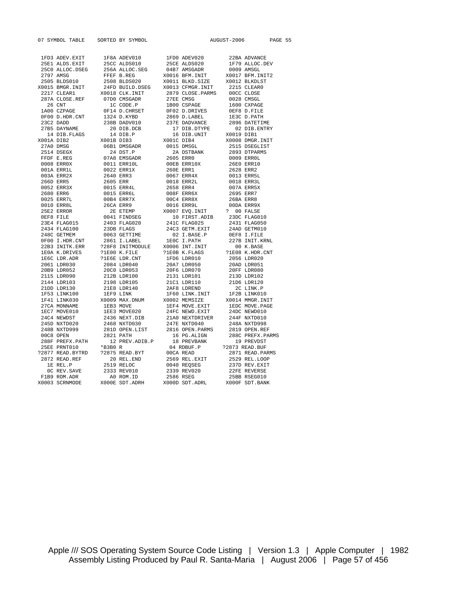| 07 SYMBOL TABLE SORTED BY SYMBOL |  |  | AUGUST-2006 | PAGE 55<br>07 SYMMOL TARLX SORTHO NY SYMMOL 2001<br>1973 ANDRE MARK 1972 AND 1970 ANDRE 2002 22414 AND 2003 22414 AND 2002 2242<br>2351 AND 2003 2366 AND 2003 2366 AND 2002 2366 AND 2002 2366 AND 2003 2366 AND 2002 2366 AND 2002 2366 AN |
|----------------------------------|--|--|-------------|----------------------------------------------------------------------------------------------------------------------------------------------------------------------------------------------------------------------------------------------|
|                                  |  |  |             |                                                                                                                                                                                                                                              |
|                                  |  |  |             |                                                                                                                                                                                                                                              |
|                                  |  |  |             |                                                                                                                                                                                                                                              |
|                                  |  |  |             |                                                                                                                                                                                                                                              |
|                                  |  |  |             |                                                                                                                                                                                                                                              |
|                                  |  |  |             |                                                                                                                                                                                                                                              |
|                                  |  |  |             |                                                                                                                                                                                                                                              |
|                                  |  |  |             |                                                                                                                                                                                                                                              |
|                                  |  |  |             |                                                                                                                                                                                                                                              |
|                                  |  |  |             |                                                                                                                                                                                                                                              |
|                                  |  |  |             |                                                                                                                                                                                                                                              |
|                                  |  |  |             |                                                                                                                                                                                                                                              |
|                                  |  |  |             |                                                                                                                                                                                                                                              |
|                                  |  |  |             |                                                                                                                                                                                                                                              |
|                                  |  |  |             |                                                                                                                                                                                                                                              |
|                                  |  |  |             |                                                                                                                                                                                                                                              |
|                                  |  |  |             |                                                                                                                                                                                                                                              |
|                                  |  |  |             |                                                                                                                                                                                                                                              |
|                                  |  |  |             |                                                                                                                                                                                                                                              |
|                                  |  |  |             |                                                                                                                                                                                                                                              |
|                                  |  |  |             |                                                                                                                                                                                                                                              |
|                                  |  |  |             |                                                                                                                                                                                                                                              |
|                                  |  |  |             |                                                                                                                                                                                                                                              |
|                                  |  |  |             |                                                                                                                                                                                                                                              |
|                                  |  |  |             |                                                                                                                                                                                                                                              |
|                                  |  |  |             |                                                                                                                                                                                                                                              |
|                                  |  |  |             |                                                                                                                                                                                                                                              |
|                                  |  |  |             |                                                                                                                                                                                                                                              |
|                                  |  |  |             |                                                                                                                                                                                                                                              |
|                                  |  |  |             |                                                                                                                                                                                                                                              |
|                                  |  |  |             |                                                                                                                                                                                                                                              |
|                                  |  |  |             |                                                                                                                                                                                                                                              |
|                                  |  |  |             |                                                                                                                                                                                                                                              |
|                                  |  |  |             |                                                                                                                                                                                                                                              |
|                                  |  |  |             |                                                                                                                                                                                                                                              |
|                                  |  |  |             |                                                                                                                                                                                                                                              |
|                                  |  |  |             |                                                                                                                                                                                                                                              |
|                                  |  |  |             |                                                                                                                                                                                                                                              |
|                                  |  |  |             |                                                                                                                                                                                                                                              |
|                                  |  |  |             |                                                                                                                                                                                                                                              |
|                                  |  |  |             |                                                                                                                                                                                                                                              |
|                                  |  |  |             |                                                                                                                                                                                                                                              |
|                                  |  |  |             |                                                                                                                                                                                                                                              |
|                                  |  |  |             |                                                                                                                                                                                                                                              |
|                                  |  |  |             |                                                                                                                                                                                                                                              |
|                                  |  |  |             |                                                                                                                                                                                                                                              |
|                                  |  |  |             |                                                                                                                                                                                                                                              |
|                                  |  |  |             |                                                                                                                                                                                                                                              |
|                                  |  |  |             |                                                                                                                                                                                                                                              |
|                                  |  |  |             |                                                                                                                                                                                                                                              |
|                                  |  |  |             |                                                                                                                                                                                                                                              |
|                                  |  |  |             |                                                                                                                                                                                                                                              |
|                                  |  |  |             |                                                                                                                                                                                                                                              |
|                                  |  |  |             |                                                                                                                                                                                                                                              |
|                                  |  |  |             |                                                                                                                                                                                                                                              |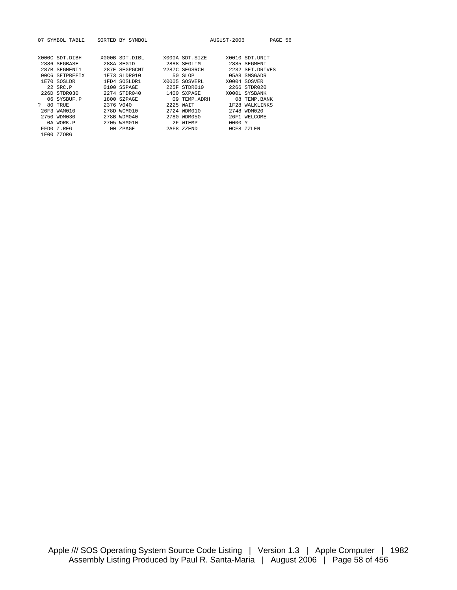|              | 07 SYMBOL TABLE                                             | SORTED BY SYMBOL |               | AUGUST-2006 | PAGE 56         |  |
|--------------|-------------------------------------------------------------|------------------|---------------|-------------|-----------------|--|
|              |                                                             |                  |               |             |                 |  |
|              |                                                             |                  |               |             |                 |  |
|              | X000C SDT.DIBH X000B SDT.DIBL X000A SDT.SIZE X0010 SDT.UNIT |                  |               |             |                 |  |
|              | 2886 SEGBASE                                                | 288A SEGID       | 2888 SEGLIM   |             | 2885 SEGMENT    |  |
|              | 287B SEGMENT1                                               | 287E SEGPGCNT    | ?287C SEGSRCH |             | 2232 SET.DRIVES |  |
|              | 00C6 SETPREFIX                                              | 1E73 SLDR010     | 50 SLOP       |             | 05A8 SMSGADR    |  |
|              | 1E70 SOSLDR                                                 | 1FD4 SOSLDR1     | X0005 SOSVERL |             | X0004 SOSVER    |  |
|              | 22 SRC.P                                                    | $0100$ SSPAGE    | 225F STDR010  |             | 2266 STDR020    |  |
|              | 226D STDR030                                                | 2274 STDR040     | 1400 SXPAGE   |             | X0001 SYSBANK   |  |
|              | 06 SYSBUF.P                                                 | 1800 SZPAGE      | 09 TEMP ADRH  |             | 08 TEMP. BANK   |  |
| $\mathbf{P}$ | 80 TRUE                                                     | 2376 V040        | 2225 WAIT     |             | 1F28 WALKLINKS  |  |
|              | 26F3 WAM010                                                 | 278D WCM010      | 2724 WDM010   |             | 2748 WDM020     |  |
|              | 2750 WDM030                                                 | 278B WDM040      | 2780 WDM050   |             | 26F1 WELCOME    |  |
|              | 0A WORK.P                                                   | 2705 WSM010      | 2F WTEMP      | 0000 Y      |                 |  |
|              | FFD0 Z.REG                                                  | 00 ZPAGE         | 2AF8 ZZEND    |             | OCF8 ZZLEN      |  |
|              | 1E00 ZZORG                                                  |                  |               |             |                 |  |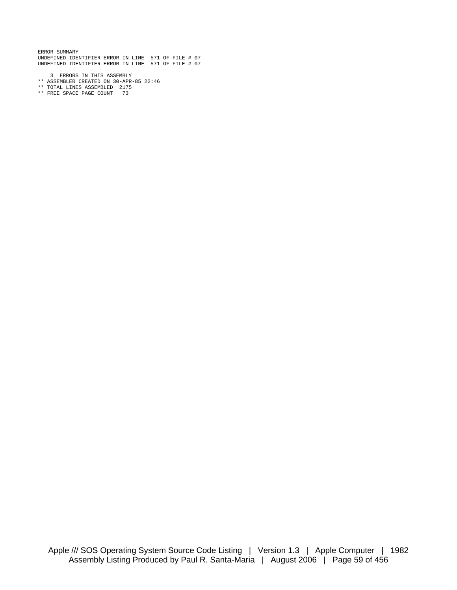ERROR SUMMARY UNDEFINED IDENTIFIER ERROR IN LINE 571 OF FILE # 07 UNDEFINED IDENTIFIER ERROR IN LINE 571 OF FILE # 07

- 3 ERRORS IN THIS ASSEMBLY
- \*\* ASSEMBLER CREATED ON 30-APR-85 22:46
- \*\* TOTAL LINES ASSEMBLED 2175
- \*\* FREE SPACE PAGE COUNT 73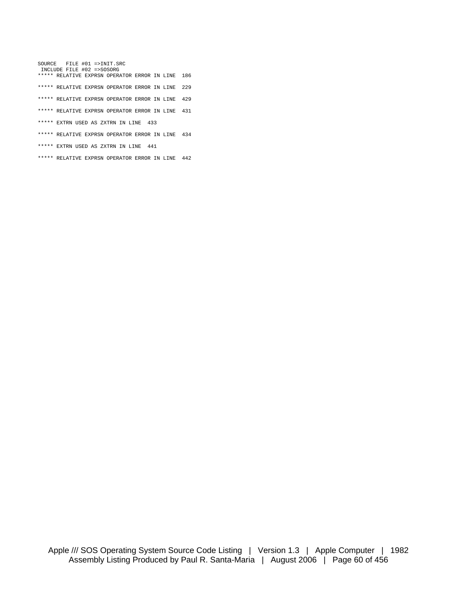SOURCE FILE #01 =>INIT.SRC INCLUDE FILE #02 =>SOSORG \*\*\*\*\* RELATIVE EXPRSN OPERATOR ERROR IN LINE 186 \*\*\*\*\* RELATIVE EXPRSN OPERATOR ERROR IN LINE 229 \*\*\*\*\* RELATIVE EXPRSN OPERATOR ERROR IN LINE 429 \*\*\*\*\* RELATIVE EXPRSN OPERATOR ERROR IN LINE 431 \*\*\*\*\* EXTRN USED AS ZXTRN IN LINE 433 \*\*\*\*\* RELATIVE EXPRSN OPERATOR ERROR IN LINE 434 \*\*\*\*\* EXTRN USED AS ZXTRN IN LINE 441

\*\*\*\*\* RELATIVE EXPRSN OPERATOR ERROR IN LINE 442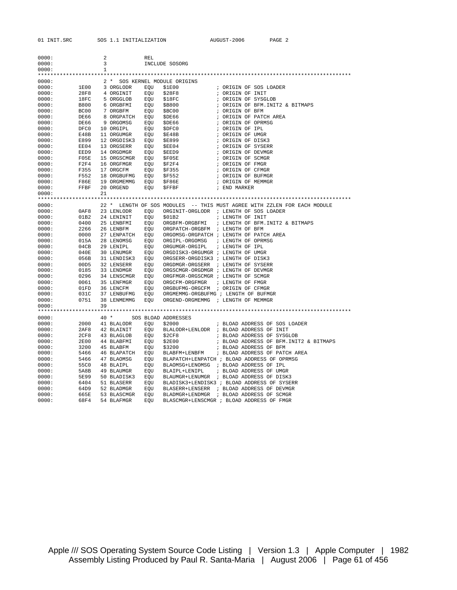| 0000:          |              | 2  |                           |            |                                      |                                                                          |
|----------------|--------------|----|---------------------------|------------|--------------------------------------|--------------------------------------------------------------------------|
| 0000:          |              | 3  |                           | REL        | INCLUDE SOSORG                       |                                                                          |
| 0000:          |              | 1  |                           |            |                                      |                                                                          |
|                |              |    |                           |            |                                      |                                                                          |
| 0000:          |              |    |                           |            | 2 * SOS KERNEL MODULE ORIGINS        |                                                                          |
| 0000:          | 1E00         |    | 3 ORGLODR                 | EOU        | \$1E00                               | ; ORIGIN OF SOS LOADER                                                   |
| 0000:          | 28F8         |    | 4 ORGINIT                 | EOU        | \$28F8                               | ; ORIGIN OF INIT                                                         |
| 0000:          | 18FC         |    | 5 ORGGLOB                 | EQU        | \$18FC                               | ; ORIGIN OF SYSGLOB                                                      |
| 0000:          | B800         |    | 6 ORGBFMI                 | EQU        | \$B800                               | ; ORIGIN OF BFM. INIT2 & BITMAPS                                         |
| 0000:          | BC00         |    | 7 ORGBFM                  | EQU        | \$BC00                               | ; ORIGIN OF BFM                                                          |
| 0000:          | DE66         |    | 8 ORGPATCH                | EOU        | \$DE66                               | ; ORIGIN OF PATCH AREA                                                   |
| 0000:          | DE66         |    | 9 ORGOMSG                 | EQU        | \$DE66                               | ; ORIGIN OF OPRMSG                                                       |
| 0000:          | DFC0         |    | 10 ORGIPL                 | EOU        | \$DFC0                               | ; ORIGIN OF IPL                                                          |
| 0000:          | E48B         |    | 11 ORGUMGR                | EOU        | \$E48B                               | ; ORIGIN OF UMGR                                                         |
| 0000:          | E899         |    | 12 ORGDISK3               | EOU        | \$E899                               | ; ORIGIN OF DISK3                                                        |
| 0000:          | EE04         |    | 13 ORGSERR                | EOU        | \$EE04                               | ; ORIGIN OF SYSERR                                                       |
| 0000:          | EED9         |    | 14 ORGDMGR                | EOU        | \$EED9                               | ; ORIGIN OF DEVMGR                                                       |
| 0000:          | F05E         |    | 15 ORGSCMGR               | EOU        | SF05E                                | ; ORIGIN OF SCMGR                                                        |
| 0000:          | F2F4         |    | 16 ORGFMGR                | EOU        | \$F2F4                               | ; ORIGIN OF FMGR                                                         |
| 0000:          | F355         |    | 17 ORGCFM                 | EOU        | \$F355                               | ; ORIGIN OF CFMGR                                                        |
| 0000:          | F552         |    | 18 ORGBUFMG EOU           |            | \$F552                               | ; ORIGIN OF BUFMGR                                                       |
| 0000:          | F86E         |    | 19 ORGMEMMG               | EQU        | \$F86E                               | ; ORIGIN OF MEMMGR                                                       |
| 0000:          | FFBF         |    | 20 ORGEND                 | EQU        | \$FFBF                               | ; END MARKER                                                             |
| 0000:          |              | 21 |                           |            |                                      |                                                                          |
|                |              |    |                           |            |                                      |                                                                          |
| 0000:          |              |    |                           |            |                                      | 22 * LENGTH OF SOS MODULES -- THIS MUST AGREE WITH ZZLEN FOR EACH MODULE |
| 0000:          | 0AF8         |    | 23 LENLODR                | EOU        |                                      | ORGINIT-ORGLODR ; LENGTH OF SOS LOADER                                   |
| 0000:          | 01B2         |    | 24 LENINIT                | EQU        | \$01B2                               | ; LENGTH OF INIT                                                         |
| 0000:          | 0400<br>2266 |    | 25 LENBFMI                | EOU        | ORGBFM-ORGBFMI                       | ; LENGTH OF BFM. INIT2 & BITMAPS                                         |
| 0000:<br>0000: | 0000         |    | 26 LENBFM                 | EQU<br>EOU | ORGPATCH-ORGBFM ; LENGTH OF BFM      |                                                                          |
| 0000:          | 015A         |    | 27 LENPATCH<br>28 LENOMSG | EOU        | ORGIPL-ORGOMSG                       | ORGOMSG-ORGPATCH ; LENGTH OF PATCH AREA<br>; LENGTH OF OPRMSG            |
| 0000:          | 04CB         |    | 29 LENIPL                 | EOU        | ORGUMGR-ORGIPL                       | ; LENGTH OF IPL                                                          |
| 0000:          | 040E         |    | 30 LENUMGR                | EQU        | ORGDISK3-ORGUMGR ; LENGTH OF UMGR    |                                                                          |
| 0000:          | 056B         |    | 31 LENDISK3               | EOU        | ORGSERR-ORGDISK3 ; LENGTH OF DISK3   |                                                                          |
| 0000:          | 00D5         |    | 32 LENSERR                | EQU        | ORGDMGR-ORGSERR ; LENGTH OF SYSERR   |                                                                          |
| 0000:          | 0185         |    | 33 LENDMGR                | EQU        | ORGSCMGR-ORGDMGR ; LENGTH OF DEVMGR  |                                                                          |
| 0000:          | 0296         |    | 34 LENSCMGR               | EQU        | ORGFMGR-ORGSCMGR ; LENGTH OF SCMGR   |                                                                          |
| 0000:          | 0061         |    | 35 LENFMGR                | EQU        | ORGCFM-ORGFMGR                       | ; LENGTH OF FMGR                                                         |
| 0000:          | 01FD         |    | 36 LENCFM EQU             |            | ORGBUFMG-ORGCFM ; ORIGIN OF CFMGR    |                                                                          |
| 0000:          | 031C         |    | 37 LENBUFMG               | EQU        | ORGMEMMG-ORGBUFMG ; LENGTH OF BUFMGR |                                                                          |
| 0000:          | 0751         |    | 38 LENMEMMG               | EQU        | ORGEND-ORGMEMMG ; LENGTH OF MEMMGR   |                                                                          |
| 0000:          |              | 39 |                           |            |                                      |                                                                          |
|                |              |    |                           |            |                                      |                                                                          |
| 0000:          |              |    | $40*$                     |            | SOS BLOAD ADDRESSES                  |                                                                          |
| 0000:          | 2000         |    | 41 BLALODR                | EOU        | \$2000                               | ; BLOAD ADDRESS OF SOS LOADER                                            |
| 0000:          | 2AF8         |    | 42 BLAINIT                | EOU        |                                      | BLALODR+LENLODR ; BLOAD ADDRESS OF INIT                                  |
| 0000:          | 2CF8         |    | 43 BLAGLOB                | EOU        | \$2CF8                               | ; BLOAD ADDRESS OF SYSGLOB                                               |
| 0000:          | 2E00         |    | 44 BLABFMI                | EOU        | \$2E00                               | ; BLOAD ADDRESS OF BFM. INIT2 & BITMAPS                                  |
| 0000:          | 3200         |    | 45 BLABFM                 | EQU        | \$3200                               | ; BLOAD ADDRESS OF BFM                                                   |
| 0000:          | 5466         |    | 46 ВLAPATCH               | EQU        | BLABFM+LENBFM                        | ; BLOAD ADDRESS OF PATCH AREA                                            |
| 0000:          | 5466         |    | 47 BLAOMSG                | EQU        |                                      | BLAPATCH+LENPATCH ; BLOAD ADDRESS OF OPRMSG                              |
| 0000:          | 55C0         |    | 48 BLAIPL                 | EQU        |                                      | BLAOMSG+LENOMSG ; BLOAD ADDRESS OF IPL                                   |
| 0000:          | 5A8B         |    | 49 BLAUMGR                | EQU        | BLAIPL+LENIPL                        | ; BLOAD ADDRESS OF UMGR                                                  |
| 0000:          | 5E99         |    | 50 BLADISK3               | EQU        |                                      | BLAUMGR+LENUMGR ; BLOAD ADDRESS OF DISK3                                 |
| 0000:          | 6404         |    | 51 BLASERR                | EQU        |                                      | BLADISK3+LENDISK3 ; BLOAD ADDRESS OF SYSERR                              |
| 0000:          | 64D9         |    | 52 BLADMGR                | EQU        |                                      | BLASERR+LENSERR ; BLOAD ADDRESS OF DEVMGR                                |
| 0000:          | 665E         |    | 53 BLASCMGR               | EQU        |                                      | BLADMGR+LENDMGR ; BLOAD ADDRESS OF SCMGR                                 |
| 0000:          | 68F4         |    | 54 BLAFMGR                | <b>EOU</b> |                                      | BLASCMGR+LENSCMGR ; BLOAD ADDRESS OF FMGR                                |

Apple /// SOS Operating System Source Code Listing | Version 1.3 | Apple Computer | 1982 Assembly Listing Produced by Paul R. Santa-Maria | August 2006 | Page 61 of 456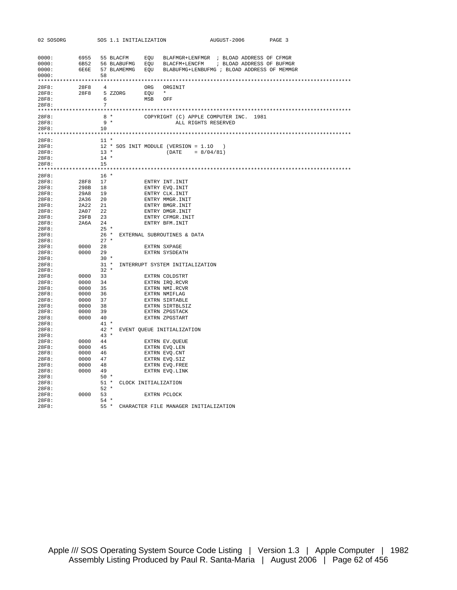| 02 SOSORG |         |             | SOS 1.1 INITIALIZATION |                                                                        | AUGUST-2006         | PAGE 3 |
|-----------|---------|-------------|------------------------|------------------------------------------------------------------------|---------------------|--------|
|           |         |             |                        |                                                                        |                     |        |
|           |         |             |                        |                                                                        |                     |        |
| 0000:     |         |             |                        |                                                                        |                     |        |
| 0000:     |         |             |                        | 6B52 56 BLABUFMG EQU BLACFM+LENCFM ; BLOAD ADDRESS OF BUFMGR           |                     |        |
| 0000:     |         |             |                        | 6E6E 57 BLAMEMMG EQU BLABUFMG+LENBUFMG ; BLOAD ADDRESS OF MEMMGR       |                     |        |
| 0000:     |         | 58          |                        |                                                                        |                     |        |
|           |         |             |                        |                                                                        |                     |        |
| 28F8:     |         |             | 28F8 4                 | ORG ORGINIT                                                            |                     |        |
| 28F8:     |         |             | 28F8 5 ZZORG EQU       | $\star$                                                                |                     |        |
| 28F8:     |         |             | $6\degree$             | MSB OFF                                                                |                     |        |
| 28F8:     |         | $7^{\circ}$ |                        |                                                                        |                     |        |
|           |         |             |                        |                                                                        |                     |        |
| 28F8:     |         |             |                        | 8 * COPYRIGHT (C) APPLE COMPUTER INC. 1981                             |                     |        |
| 28F8:     |         | $9 *$       |                        |                                                                        | ALL RIGHTS RESERVED |        |
| 28F8:     |         | 10          |                        |                                                                        |                     |        |
|           |         |             |                        |                                                                        |                     |        |
| 28F8:     |         | $11 *$      |                        |                                                                        |                     |        |
| 28F8:     |         |             |                        | 12 * SOS INIT MODULE (VERSION = 1.10)                                  |                     |        |
| 28F8:     |         |             |                        | $13 *$ (DATE = 8/04/81)                                                |                     |        |
| 28F8:     |         | $14$ *      |                        |                                                                        |                     |        |
| 28F8:     |         | 15          |                        |                                                                        |                     |        |
|           |         |             |                        |                                                                        |                     |        |
| 28F8:     |         | $16$ *      |                        |                                                                        |                     |        |
| 28F8:     | 28F8 17 |             |                        | ENTRY INT.INIT                                                         |                     |        |
| 28F8:     | 298B 18 |             |                        | ENTRY EVQ.INIT<br>ENTRY CLK.INIT<br>ENTRY MMGR.INIT<br>ENTRY BMGR.INIT |                     |        |
| 28F8:     | 29A8 19 |             |                        |                                                                        |                     |        |
| 28F8:     | 2A36 20 |             |                        |                                                                        |                     |        |
| 28F8:     | 2A22 21 |             |                        |                                                                        |                     |        |
| 28F8:     | 2A07 22 |             |                        |                                                                        |                     |        |
| 28F8:     | 29FB 23 |             |                        | ENTRY DMGR.INIT<br>ENTRY CFMGR.INIT<br>ENTRY BFM.INIT                  |                     |        |
| 28F8:     | 2A6A 24 |             |                        |                                                                        |                     |        |
| 28F8:     |         | $25 *$      |                        |                                                                        |                     |        |
| 28F8:     |         |             |                        | 26 * EXTERNAL SUBROUTINES & DATA                                       |                     |        |
| 28F8:     |         | $27 *$      |                        |                                                                        |                     |        |
| 28F8:     | 0000 28 |             |                        | EXTRN SXPAGE                                                           |                     |        |
| 28F8:     | 0000 29 |             |                        | EXTRN SYSDEATH                                                         |                     |        |
| 28F8:     |         | $30 *$      |                        |                                                                        |                     |        |
| 28F8:     |         |             |                        | 31 * INTERRUPT SYSTEM INITIALIZATION                                   |                     |        |
| 28F8:     |         | $32 *$      |                        |                                                                        |                     |        |
| 28F8:     | 0000 33 |             |                        | EXTRN COLDSTRT                                                         |                     |        |
| 28F8:     | 0000 34 |             |                        | EXTRN IRQ.RCVR                                                         |                     |        |
| 28F8:     | 0000 35 |             |                        | EXTRN NMI.RCVR                                                         |                     |        |
| 28F8:     | 0000 36 |             |                        | EXTRN NMIFLAG                                                          |                     |        |
| 28F8:     | 0000 37 |             |                        | EXTRN SIRTABLE                                                         |                     |        |
| 28F8:     | 0000 38 |             |                        | EXTRN SIRTBLSIZ                                                        |                     |        |
| 28F8:     | 0000 39 |             |                        | EXTRN ZPGSTACK                                                         |                     |        |
| 28F8:     | 0000 40 |             |                        | EXTRN ZPGSTART                                                         |                     |        |
| 28F8:     |         | $41$ *      |                        |                                                                        |                     |        |
| 28F8:     |         |             |                        | 42 * EVENT QUEUE INITIALIZATION                                        |                     |        |
| 28F8:     |         | $43 *$      |                        |                                                                        |                     |        |
| 28F8:     | 0000 44 |             |                        | EXTRN EV.QUEUE                                                         |                     |        |
| 28F8:     | 0000 45 |             |                        | EXTRN EVQ.LEN                                                          |                     |        |
| 28F8:     | 0000 46 |             |                        | EXTRN EVQ.CNT                                                          |                     |        |
| 28F8:     | 0000 47 |             |                        | EXTRN EVQ.SIZ                                                          |                     |        |
| 28F8:     | 0000 48 |             |                        | EXTRN EVQ.FREE                                                         |                     |        |
| 28F8:     | 0000 49 |             |                        | EXTRN EVO.LINK                                                         |                     |        |
| 28F8:     |         | $50*$       |                        |                                                                        |                     |        |
| 28F8:     |         |             |                        | 51 * CLOCK INITIALIZATION                                              |                     |        |
| 28F8:     |         | $52 *$      |                        |                                                                        |                     |        |
| 28F8:     | 0000 53 |             |                        | EXTRN PCLOCK                                                           |                     |        |
| 28F8:     |         |             | $54 *$                 |                                                                        |                     |        |
| 28F8:     |         |             |                        | 55 * CHARACTER FILE MANAGER INITIALIZATION                             |                     |        |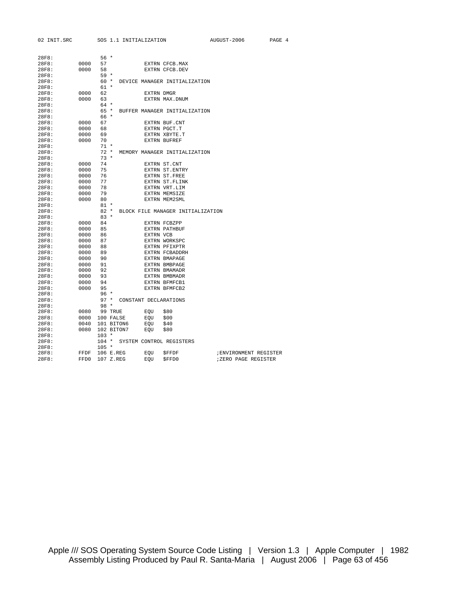| 02 INIT.SRC |      |                | SOS 1.1 INITIALIZATION         |            |                                    | AUGUST-2006            | PAGE 4 |  |
|-------------|------|----------------|--------------------------------|------------|------------------------------------|------------------------|--------|--|
|             |      |                |                                |            |                                    |                        |        |  |
| 28F8:       |      | $56*$          |                                |            |                                    |                        |        |  |
| 28F8:       | 0000 | 57             |                                |            | EXTRN CFCB.MAX                     |                        |        |  |
| 28F8:       | 0000 | 58             |                                |            | EXTRN CFCB.DEV                     |                        |        |  |
| 28F8:       |      | 59 *           |                                |            |                                    |                        |        |  |
| 28F8:       |      |                |                                |            | 60 * DEVICE MANAGER INITIALIZATION |                        |        |  |
| 28F8:       |      | 61 *           |                                |            |                                    |                        |        |  |
| 28F8:       | 0000 | 62             |                                | EXTRN DMGR |                                    |                        |        |  |
| 28F8:       | 0000 | 63             |                                |            |                                    |                        |        |  |
| 28F8:       |      | 64 *           |                                |            | EXTRN MAX.DNUM                     |                        |        |  |
| 28F8:       |      |                |                                |            | 65 * BUFFER MANAGER INITIALIZATION |                        |        |  |
| 28F8:       |      | 66 *           |                                |            |                                    |                        |        |  |
| 28F8:       | 0000 | 67             |                                |            | EXTRN BUF.CNT                      |                        |        |  |
| 28F8:       | 0000 | 68             |                                |            | EXTRN PGCT.T                       |                        |        |  |
| 28F8:       | 0000 | 69             |                                |            | EXTRN XBYTE.T                      |                        |        |  |
| 28F8:       | 0000 | 70             |                                |            | <b>EXTRN BUFREF</b>                |                        |        |  |
| 28F8:       |      | $71 *$         |                                |            |                                    |                        |        |  |
| 28F8:       |      | $72 *$         |                                |            | MEMORY MANAGER INITIALIZATION      |                        |        |  |
| 28F8:       |      | $73 *$         |                                |            |                                    |                        |        |  |
| 28F8:       | 0000 | 74             |                                |            | EXTRN ST.CNT                       |                        |        |  |
| 28F8:       | 0000 | 75             |                                |            | EXTRN ST. ENTRY                    |                        |        |  |
| 28F8:       | 0000 | 76             |                                |            | EXTRN ST.FREE                      |                        |        |  |
| 28F8:       | 0000 | 77             |                                |            | EXTRN ST.FLINK                     |                        |        |  |
| 28F8:       | 0000 | 78             |                                |            | EXTRN VRT.LIM                      |                        |        |  |
| 28F8:       | 0000 | 79             |                                |            | EXTRN MEMSIZE                      |                        |        |  |
| 28F8:       | 0000 | 80             |                                |            | EXTRN MEM2SML                      |                        |        |  |
| 28F8:       |      | $81 *$         |                                |            |                                    |                        |        |  |
| 28F8:       |      | $82 *$         |                                |            | BLOCK FILE MANAGER INITIALIZATION  |                        |        |  |
| 28F8:       |      | $83 *$         |                                |            |                                    |                        |        |  |
| 28F8:       | 0000 | 84             |                                |            | EXTRN FCBZPP                       |                        |        |  |
| 28F8:       | 0000 | 85             |                                |            | <b>EXTRN PATHBUF</b>               |                        |        |  |
| 28F8:       | 0000 | 86             |                                | EXTRN VCB  |                                    |                        |        |  |
| 28F8:       | 0000 | 87             |                                |            | EXTRN WORKSPC                      |                        |        |  |
| 28F8:       | 0000 | 88             |                                |            | EXTRN PFIXPTR                      |                        |        |  |
| 28F8:       | 0000 | 89             |                                |            | EXTRN FCBADDRH                     |                        |        |  |
| 28F8:       | 0000 | 90             |                                |            | <b>EXTRN BMAPAGE</b>               |                        |        |  |
| 28F8:       | 0000 | 91             |                                |            | EXTRN BMBPAGE                      |                        |        |  |
| 28F8:       | 0000 | 92             |                                |            | EXTRN BMAMADR                      |                        |        |  |
| 28F8:       | 0000 | 93             |                                |            | <b>EXTRN BMBMADR</b>               |                        |        |  |
| 28F8:       | 0000 | 94             |                                |            | EXTRN BFMFCB1                      |                        |        |  |
| 28F8:       | 0000 | 95             |                                |            | EXTRN BFMFCB2                      |                        |        |  |
| 28F8:       |      | $96*$          |                                |            |                                    |                        |        |  |
| 28F8:       |      |                | 97 * CONSTANT DECLARATIONS     |            |                                    |                        |        |  |
| 28F8:       |      | $98 *$         |                                |            |                                    |                        |        |  |
| 28F8:       | 0080 | 99 TRUE        |                                | EQU \$80   |                                    |                        |        |  |
| 28F8:       |      | 0000 100 FALSE |                                | EQU        | \$00                               |                        |        |  |
| 28F8:       | 0040 | 101 BITON6     |                                | EQU        | \$40                               |                        |        |  |
| 28F8:       | 0080 | 102 BITON7     |                                | EOU        | \$80                               |                        |        |  |
| 28F8:       |      | $103 *$        |                                |            |                                    |                        |        |  |
| 28F8:       |      |                | 104 * SYSTEM CONTROL REGISTERS |            |                                    |                        |        |  |
| 28F8:       |      | $105 *$        |                                |            |                                    |                        |        |  |
| 28F8:       | FFDF | 106 E.REG      |                                | EQU        | \$FFDF                             | ; ENVIRONMENT REGISTER |        |  |
| 28F8:       | FFD0 | 107 Z.REG      |                                | EQU        | \$FFD0                             | ;ZERO PAGE REGISTER    |        |  |
|             |      |                |                                |            |                                    |                        |        |  |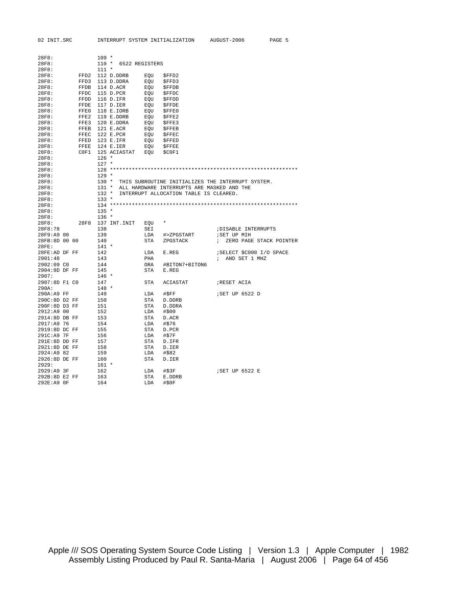| 28F8:         |      | $109 *$ |              |                      |                                            |                                                   |
|---------------|------|---------|--------------|----------------------|--------------------------------------------|---------------------------------------------------|
| 28F8:         |      |         |              | 110 * 6522 REGISTERS |                                            |                                                   |
| 28F8:         |      | $111 *$ |              |                      |                                            |                                                   |
| 28F8:         | FFD2 |         | 112 D.DDRB   | EOU                  | \$FFD2                                     |                                                   |
| 28F8:         | FFD3 |         | 113 D.DDRA   | EQU                  | \$FFD3                                     |                                                   |
| 28F8:         | FFDB |         | 114 D.ACR    | EQU                  | \$FFDB                                     |                                                   |
| 28F8:         | FFDC |         | 115 D.PCR    | EQU                  | <b>SFFDC</b>                               |                                                   |
| 28F8:         | FFDD |         | 116 D.IFR    | EOU                  | \$FFDD                                     |                                                   |
| 28F8:         | FFDE |         | 117 D.IER    | EOU                  | <b>SFFDE</b>                               |                                                   |
| 28F8:         | FFE0 |         | 118 E.IORB   | EQU                  | \$FFE0                                     |                                                   |
| 28F8:         | FFE2 |         | 119 E.DDRB   | EOU                  | <b>SFFE2</b>                               |                                                   |
| 28F8:         | FFE3 |         | 120 E.DDRA   | EQU                  | SFFE3                                      |                                                   |
| 28F8:         | FFEB |         | 121 E.ACR    | EQU                  | <b>SFFEB</b>                               |                                                   |
| 28F8:         | FFEC |         | 122 E.PCR    | EQU                  | <b>SFFEC</b>                               |                                                   |
| 28F8:         | FFED |         | 123 E.IFR    | EOU                  | <b>SFFED</b>                               |                                                   |
| 28F8:         | FFEE |         | 124 E.IER    | EQU                  | <b>SFFEE</b>                               |                                                   |
| 28F8:         | C0F1 |         | 125 ACIASTAT | EQU                  | \$C0F1                                     |                                                   |
| 28F8:         |      | $126 *$ |              |                      |                                            |                                                   |
| 28F8:         |      | $127 *$ |              |                      |                                            |                                                   |
| 28F8:         |      |         |              |                      |                                            |                                                   |
| 28F8:         |      | $129 *$ |              |                      |                                            |                                                   |
| 28F8:         |      | $130 *$ |              |                      |                                            | THIS SUBROUTINE INITIALIZES THE INTERRUPT SYSTEM. |
| 28F8:         |      | $131 *$ |              |                      | ALL HARDWARE INTERRUPTS ARE MASKED AND THE |                                                   |
| 28F8:         |      | 132 *   |              |                      | INTERRUPT ALLOCATION TABLE IS CLEARED.     |                                                   |
|               |      | $133 *$ |              |                      |                                            |                                                   |
| 28F8:         |      |         |              |                      |                                            |                                                   |
| 28F8:         |      | $135 *$ |              |                      |                                            |                                                   |
| 28F8:         |      | $136 *$ |              |                      |                                            |                                                   |
| 28F8:         |      |         |              |                      | $\ast$                                     |                                                   |
| 28F8:         | 28F8 | 138     | 137 INT.INIT | EQU                  |                                            |                                                   |
| 28F8:78       |      |         |              | SEI                  |                                            | ; DISABLE INTERRUPTS                              |
| 28F9:A9 00    |      | 139     |              | LDA                  | #>ZPGSTART                                 | ; SET UP MIH                                      |
| 28FB:8D 00 00 |      | 140     |              | STA                  | ZPGSTACK                                   | ZERO PAGE STACK POINTER<br>$\ddot{ }$             |
| 28FE:         |      | $141 *$ |              |                      |                                            |                                                   |
| 28FE:AD DF FF |      | 142     |              | LDA                  | E.REG                                      | SELECT \$C000 I/O SPACE                           |
| 2901:48       |      | 143     |              | PHA                  |                                            | AND SET 1 MHZ                                     |
| 2902:09 CO    |      | 144     |              | ORA                  | #BITON7+BITON6                             |                                                   |
| 2904:8D DF FF |      | 145     |              | STA                  | E.REG                                      |                                                   |
| 2907:         |      | $146 *$ |              |                      |                                            |                                                   |
| 2907:8D F1 C0 |      | 147     |              | STA                  | ACIASTAT                                   | ; RESET ACIA                                      |
| 290A:         |      | $148 *$ |              |                      |                                            |                                                   |
| 290A:A9 FF    |      | 149     |              | LDA                  | #\$FF                                      | ;SET UP 6522 D                                    |
| 290C:8D D2 FF |      | 150     |              | STA                  | D.DDRB                                     |                                                   |
| 290F:8D D3 FF |      | 151     |              | STA                  | D.DDRA                                     |                                                   |
| 2912: A900    |      | 152     |              | LDA                  | #\$00                                      |                                                   |
| 2914:8D DB FF |      | 153     |              | STA                  | D.ACR                                      |                                                   |
| 2917:A9 76    |      | 154     |              | LDA                  | #\$76                                      |                                                   |
| 2919:8D DC FF |      | 155     |              | STA                  | D.PCR                                      |                                                   |
| 291C:A9 7F    |      | 156     |              | LDA                  | #\$7F                                      |                                                   |
| 291E:8D DD FF |      | 157     |              | STA                  | D.IFR                                      |                                                   |
| 2921:8D DE FF |      | 158     |              | STA                  | D.IER                                      |                                                   |
| 2924:A9 82    |      | 159     |              | LDA                  | #\$82                                      |                                                   |
| 2926:8D DE FF |      | 160     |              | STA                  | D.IER                                      |                                                   |
| 2929:         |      | $161 *$ |              |                      |                                            |                                                   |
| 2929:A9 3F    |      | 162     |              | LDA                  | #\$3F                                      | <b>;SET UP 6522 E</b>                             |
| 292B:8D E2 FF |      | 163     |              | STA                  | E.DDRB                                     |                                                   |

292E:A9 0F 164 LDA #\$0F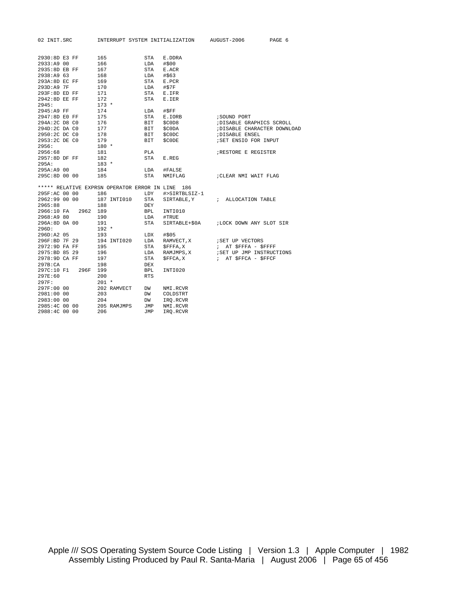02 INIT.SRC INTERRUPT SYSTEM INITIALIZATION AUGUST-2006 PAGE 6

| 2930:8D E3 FF |          | 165     |             | STA        | E.DDRA                                           |                                       |
|---------------|----------|---------|-------------|------------|--------------------------------------------------|---------------------------------------|
| 2933:A9 00    |          | 166     |             | LDA        | #\$00                                            |                                       |
| 2935:8D EB FF |          | 167     |             | STA        | E.ACR                                            |                                       |
| 2938:A9 63    |          | 168     |             | LDA        | #\$63                                            |                                       |
| 293A:8D EC FF |          | 169     |             | STA        | E.PCR                                            |                                       |
| 293D:A9 7F    |          | 170     |             | LDA        | #\$7F                                            |                                       |
| 293F:8D ED FF |          | 171     |             | STA        | E.IFR                                            |                                       |
| 2942:8D EE FF |          | 172     |             | STA        | E.IER                                            |                                       |
| 2945:         |          | $173 *$ |             |            |                                                  |                                       |
| 2945:A9 FF    |          | 174     |             | LDA        | #SFF                                             |                                       |
| 2947:8D E0 FF |          | 175     |             | STA        | E.IORB                                           | ; SOUND PORT                          |
| 294A:2C D8 C0 |          | 176     |             | BIT        | \$COD8                                           | ; DISABLE GRAPHICS SCROLL             |
| 294D:2C DA CO |          | 177     |             | BIT        | \$C0DA                                           | ; DISABLE CHARACTER DOWNLOAD          |
| 2950:2C DC CO |          | 178     |             | BIT        | \$C0DC                                           | ; DISABLE ENSEL                       |
| 2953:2C DE CO |          | 179     |             | <b>BIT</b> | \$CODE                                           | ; SET ENSIO FOR INPUT                 |
| 2956:         |          | $180 *$ |             |            |                                                  |                                       |
| 2956:68       |          | 181     |             | PLA        |                                                  | RESTORE E REGISTER                    |
| 2957:8D DF FF |          | 182     |             | STA        | E.REG                                            |                                       |
| 295A:         |          | $183 *$ |             |            |                                                  |                                       |
| 295A:A9 00    |          | 184     |             | LDA        | #FALSE                                           |                                       |
| 295C:8D 00 00 |          | 185     |             | STA        | NMIFLAG                                          | CLEAR NMI WAIT FLAG                   |
|               |          |         |             |            | ***** RELATIVE EXPRSN OPERATOR ERROR IN LINE 186 |                                       |
| 295F:AC 00 00 |          | 186     |             | LDY        | #>SIRTBLSIZ-1                                    |                                       |
| 2962:99 00 00 |          |         | 187 INTI010 | STA        |                                                  | SIRTABLE, Y : ALLOCATION TABLE        |
| 2965:88       |          | 188     |             | DEY        |                                                  |                                       |
| 2966:10 FA    | 2962 189 |         |             | <b>BPL</b> | INTI010                                          |                                       |
| 2968:A9 80    |          | 190     |             | LDA        | #TRUE                                            |                                       |
| 296A:8D 0A 00 |          | 191     |             | STA        |                                                  | SIRTABLE+\$0A :LOCK DOWN ANY SLOT SIR |
| 296D:         |          | $192 *$ |             |            |                                                  |                                       |
| 296D:A2 05    |          | 193     |             | LDX        | #\$05                                            |                                       |
| 296F:BD 7F 29 |          |         | 194 INTI020 |            | LDA RAMVECT, X                                   | ; SET UP VECTORS                      |
| 2972:9D FA FF |          | 195     |             |            | STA \$FFFA, X                                    | ; AT \$FFFA - \$FFFF                  |
| 2975:BD 85 29 |          | 196     |             | LDA        |                                                  | RAMJMPS, X : SET UP JMP INSTRUCTIONS  |
| 2978:9D CA FF |          | 197     |             | STA        | \$FFCA, X                                        | ; AT \$FFCA - \$FFCF                  |
| 297B:CA       |          | 198     |             | <b>DEX</b> |                                                  |                                       |
| 297C:10 F1    | 296F     | 199     |             | <b>BPL</b> | INTI020                                          |                                       |
| 297E:60       |          | 200     |             | <b>RTS</b> |                                                  |                                       |
| 297F:         |          | $201 *$ |             |            |                                                  |                                       |
| 297F:00 00    |          |         | 202 RAMVECT | DW         | NMI.RCVR                                         |                                       |
| 2981:00 00    |          | 203     |             | DW         | COLDSTRT                                         |                                       |
| 2983:00 00    |          | 204     |             | DW         | IRO.RCVR                                         |                                       |
| 2985:4C 00 00 |          |         | 205 RAMJMPS | JMP        | NMI.RCVR                                         |                                       |
| 2988:4C 00 00 |          | 206     |             | <b>JMP</b> | IRO.RCVR                                         |                                       |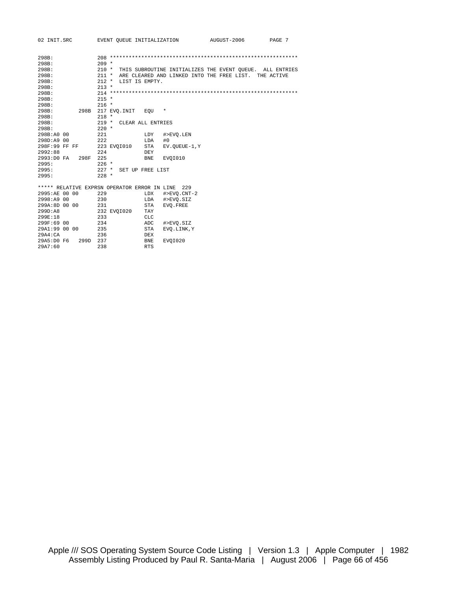| 02 INIT.SRC                                  | EVENT OUEUE INITIALIZATION   |                           | AUGUST-2006                                              | PAGE 7 |
|----------------------------------------------|------------------------------|---------------------------|----------------------------------------------------------|--------|
|                                              |                              |                           |                                                          |        |
| 298B:                                        |                              |                           |                                                          |        |
| 298B:                                        | $209 *$                      |                           |                                                          |        |
| 298B:                                        | $210 *$                      |                           | THIS SUBROUTINE INITIALIZES THE EVENT QUEUE. ALL ENTRIES |        |
| 298B:                                        | $211 *$                      |                           | ARE CLEARED AND LINKED INTO THE FREE LIST. THE ACTIVE    |        |
| 298B:                                        | $212 *$<br>LIST IS EMPTY.    |                           |                                                          |        |
| 298B:                                        | $213 *$                      |                           |                                                          |        |
| 298B:                                        |                              |                           |                                                          |        |
| 298B:                                        | $215 *$                      |                           |                                                          |        |
| 298B:                                        | $216 *$                      |                           |                                                          |        |
| 298B<br>298B:                                | 217 EVO.INIT                 | $^\star$<br>EOU           |                                                          |        |
| 298B:                                        | $218 *$                      |                           |                                                          |        |
| 298B:                                        | $219 *$<br>CLEAR ALL ENTRIES |                           |                                                          |        |
| 298B:                                        | $220 *$                      |                           |                                                          |        |
| 298B:A0 00                                   | 2.21                         | LDY<br>#>EVO.LEN          |                                                          |        |
| 298D:A9 00                                   | 222                          | LDA<br>#0                 |                                                          |        |
| 298F:99 FF FF                                | 223 EVOI010                  | STA<br>EV.OUEUE-1, Y      |                                                          |        |
| 2992:88                                      | 224                          | DEY                       |                                                          |        |
| 2993:D0 FA<br>298F                           | 225                          | <b>BNE</b><br>EVOI010     |                                                          |        |
| 2995:                                        | $226$ *                      |                           |                                                          |        |
| 2995:                                        | $227$ *<br>SET UP FREE LIST  |                           |                                                          |        |
| 2995:                                        | $228 *$                      |                           |                                                          |        |
| ***** RELATIVE EXPRSN OPERATOR ERROR IN LINE |                              | 229                       |                                                          |        |
| 2995:AE 00 00                                | 229                          | LDX<br>#>EVO.CNT-2        |                                                          |        |
| 2998:A9 00                                   | 230                          | LDA<br>#>EVO.SIZ          |                                                          |        |
| 299A:8D 00 00                                | 231                          | STA<br>EVO. FREE          |                                                          |        |
| 299D:AB                                      | 232 EVOI020                  | TAY                       |                                                          |        |
| 299F:18                                      | 233                          | <b>CLC</b>                |                                                          |        |
| 299F:69 00                                   | 234                          | ADC<br>#>EVO.SIZ          |                                                          |        |
| 29A1:99 00 00                                | 235                          | <b>STA</b><br>EVO.LINK, Y |                                                          |        |
| 29A4:CA                                      | 236                          | <b>DEX</b>                |                                                          |        |
| 29A5:D0 F6<br>299D                           | 237                          | <b>BNE</b><br>EVOI020     |                                                          |        |
| 29A7:60                                      | 238                          | <b>RTS</b>                |                                                          |        |
|                                              |                              |                           |                                                          |        |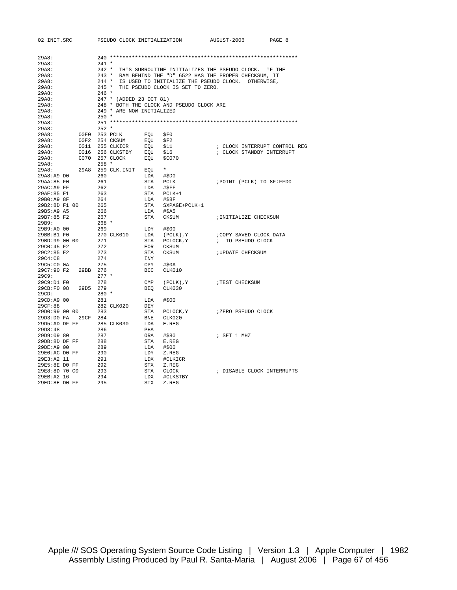| 02 INIT.SRC    | PSEUDO CLOCK INITIALIZATION |            |                                           | AUGUST-2006                                                | PAGE 8                        |
|----------------|-----------------------------|------------|-------------------------------------------|------------------------------------------------------------|-------------------------------|
|                |                             |            |                                           |                                                            |                               |
| 29A8:<br>29A8: | $241 *$                     |            |                                           |                                                            |                               |
| 29A8:          |                             |            |                                           | 242 * THIS SUBROUTINE INITIALIZES THE PSEUDO CLOCK. IF THE |                               |
| 29A8:          |                             |            |                                           | 243 * RAM BEHIND THE "D" 6522 HAS THE PROPER CHECKSUM, IT  |                               |
| 29A8:          |                             |            |                                           | 244 * IS USED TO INITIALIZE THE PSEUDO CLOCK. OTHERWISE,   |                               |
| 29A8:          |                             |            | 245 * THE PSEUDO CLOCK IS SET TO ZERO.    |                                                            |                               |
| 29A8:          | $246$ *                     |            |                                           |                                                            |                               |
| 29A8:          | 247 * (ADDED 23 OCT 81)     |            |                                           |                                                            |                               |
| 29A8:          |                             |            | 248 * BOTH THE CLOCK AND PSEUDO CLOCK ARE |                                                            |                               |
| 29A8:          | 249 * ARE NOW INITIALIZED   |            |                                           |                                                            |                               |
| 29A8:          | $250 *$                     |            |                                           |                                                            |                               |
| 29A8:          |                             |            |                                           |                                                            |                               |
| 29A8:          | $252 *$                     |            |                                           |                                                            |                               |
| 29A8:          | 00F0 253 PCLK               | EOU        | \$F0                                      |                                                            |                               |
| 29A8:          | 00F2 254 CKSUM              | EOU        | SFA2                                      |                                                            |                               |
| 29A8:          | 0011 255 CLKICR             | EQU        | \$11                                      |                                                            | ; CLOCK INTERRUPT CONTROL REG |
| 29A8:          | 0016 256 CLKSTBY            | EOU        | \$16                                      | ; CLOCK STANDBY INTERRUPT                                  |                               |
| 29AB:          | C070 257 CLOCK              | EOU        | \$C070                                    |                                                            |                               |
| 29A8:          | $258 *$                     |            |                                           |                                                            |                               |
| 29A8:          | 29A8 259 CLK.INIT           | EQU        | $^\star$                                  |                                                            |                               |
| 29A8:A9 D0     | 260                         | LDA        | #SDO                                      |                                                            |                               |
| 29AA:85 F0     | 261                         | STA        | PCLK                                      | ; POINT (PCLK) TO 8F: FFD0                                 |                               |
| 29AC:A9 FF     | 262                         | LDA        | $\#$ \$FF                                 |                                                            |                               |
| 29AE:85 F1     | 263                         | STA        | PCLK+1                                    |                                                            |                               |
| 29B0:A9 8F     | 264                         | LDA        | #\$8F                                     |                                                            |                               |
| 29B2:8D F1 00  | 265                         | STA        | SXPAGE+PCLK+1                             |                                                            |                               |
| 29B5:A9 A5     | 266                         | LDA        | #\$A5                                     |                                                            |                               |
| 29B7:85 F2     | 267                         | STA        | CKSUM                                     | ; INITIALIZE CHECKSUM                                      |                               |
| 29B9:          | $268 *$                     |            |                                           |                                                            |                               |
| 29B9:A0 00     | 269                         | LDY        | #\$00                                     |                                                            |                               |
| 29BB:B1 F0     | 270 CLK010                  | LDA        | (PCLK), Y                                 | ; COPY SAVED CLOCK DATA                                    |                               |
| 29BD:99 00 00  | 271                         | STA        | PCLOCK, Y                                 | ; TO PSEUDO CLOCK                                          |                               |
| 29CO:45 F2     | 272                         | EOR        | CKSUM                                     |                                                            |                               |
| 29C2:85 F2     | 273                         | STA        | CKSUM                                     | <b>; UPDATE CHECKSUM</b>                                   |                               |
| 29C4:C8        | 274                         | INY        |                                           |                                                            |                               |
| $29C5:CO$ $0A$ | 275                         | CPY        | #\$0A                                     |                                                            |                               |
| 29C7:90 F2     | 29BB 276                    | BCC        | CLK010                                    |                                                            |                               |
| 29C9:          | $277 *$                     |            |                                           |                                                            |                               |
| 29C9:D1 F0     | 278                         | CMP        | (PCLK), Y                                 | ; TEST CHECKSUM                                            |                               |
| 29CB:F0 08     | 29D5 279                    | BEO        | CLK030                                    |                                                            |                               |
| 29CD:          | $280 *$                     |            |                                           |                                                            |                               |
| 29CD:A9 00     | 281                         | LDA        | #\$00                                     |                                                            |                               |
| 29CF:88        | 282 CLK020                  | DEY        |                                           |                                                            |                               |
| 29D0:99 00 00  | 283                         | STA        | PCLOCK, Y                                 | ;ZERO PSEUDO CLOCK                                         |                               |
| 29D3:D0 FA     | 29CF 284                    | BNE        | CLK020                                    |                                                            |                               |
| 29D5:AD DF FF  | 285 CLK030                  | LDA        | E.REG                                     |                                                            |                               |
| 29D8:48        | 286                         | PHA        |                                           |                                                            |                               |
| 29D9:09 80     | 287                         | ORA        | #\$80                                     | ; SET 1 MHZ                                                |                               |
| 29DB:8D DF FF  | 288                         | STA        | E.REG                                     |                                                            |                               |
| 29DE:A9 00     | 289                         | LDA        | #\$00                                     |                                                            |                               |
| 29E0:AC DO FF  | 290                         | LDY        | Z.REG                                     |                                                            |                               |
| 29E3:A2 11     | 291                         | LDX        | #CLKICR                                   |                                                            |                               |
| 29E5:8E DO FF  | 292                         | STX        | Z.REG                                     |                                                            |                               |
| 29E8:8D 70 C0  | 293                         | STA        | CLOCK                                     | ; DISABLE CLOCK INTERRUPTS                                 |                               |
| 29EB:A2 16     | 294                         | LDX        | #CLKSTBY                                  |                                                            |                               |
| 29ED:8E DO FF  | 295                         | <b>STX</b> | Z.REG                                     |                                                            |                               |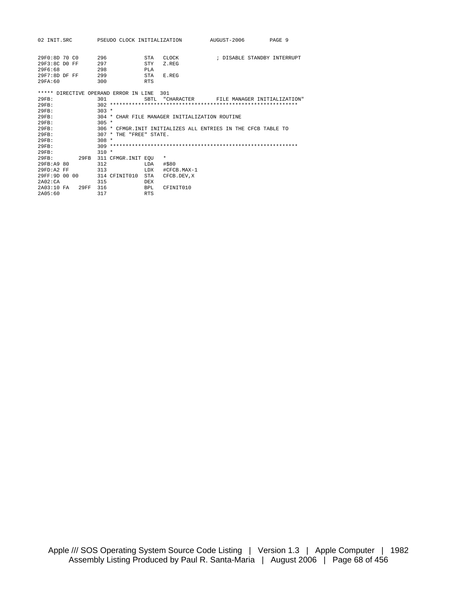| 02 INIT.SRC                           |      |         | PSEUDO CLOCK INITIALIZATION |            |                                                | AUGUST-2006                                                   | PAGE 9                       |
|---------------------------------------|------|---------|-----------------------------|------------|------------------------------------------------|---------------------------------------------------------------|------------------------------|
| 29F0:8D70C0                           |      | 296     |                             | <b>STA</b> | CLOCK                                          |                                                               | ; DISABLE STANDBY INTERRUPT  |
| $29F3:8C$ DO FF                       |      | 297     |                             | <b>STY</b> | Z.REG                                          |                                                               |                              |
| 29F6:68                               |      | 298     |                             | PT.A       |                                                |                                                               |                              |
| $29F7:8DDF$ FF                        |      | 299     |                             | <b>STA</b> | E.REG                                          |                                                               |                              |
| 29FA:60                               |      | 300     |                             | <b>RTS</b> |                                                |                                                               |                              |
| ***** DIRECTIVE OPERAND ERROR IN LINE |      |         |                             |            | 301                                            |                                                               |                              |
| 29FB:                                 |      | 301     |                             |            | SBTL "CHARACTER                                |                                                               | FILE MANAGER INITIALIZATION" |
| 29FB:                                 |      |         |                             |            |                                                |                                                               |                              |
| 29FB:                                 |      | $303 *$ |                             |            |                                                |                                                               |                              |
| 29FB:                                 |      |         |                             |            | 304 * CHAR FILE MANAGER INITIALIZATION ROUTINE |                                                               |                              |
| 29FB:                                 |      | $305 *$ |                             |            |                                                |                                                               |                              |
| 29FB:                                 |      |         |                             |            |                                                | 306 * CEMGR INIT INITIALIZES ALL ENTRIES IN THE CECB TABLE TO |                              |
| 29FB:                                 |      |         | $307 * THE 'FRER' STATE.$   |            |                                                |                                                               |                              |
| 29FB:                                 |      | $308 *$ |                             |            |                                                |                                                               |                              |
| 29FB:                                 |      |         |                             |            |                                                |                                                               |                              |
| 29FB:                                 |      | $310 *$ |                             |            |                                                |                                                               |                              |
| 29FB:                                 | 29FB |         | 311 CFMGR. INIT EQU         |            | $^\star$                                       |                                                               |                              |
| 29FB:A9 80                            |      | 312     |                             | LDA        | #\$80                                          |                                                               |                              |
| $29FD: A2$ FF                         |      | 313     |                             | LDX        | #CFCB.MAX-1                                    |                                                               |                              |
| 29FF:9D 00 00                         |      |         | 314 CFINIT010               | <b>STA</b> | CFCB.DEV.X                                     |                                                               |                              |
| 2A02:CA                               |      | 315     |                             | <b>DEX</b> |                                                |                                                               |                              |
| 2A03:10FA                             | 29FF | 316     |                             | BPL        | CFINIT010                                      |                                                               |                              |
| 2A05:60                               |      | 317     |                             | <b>RTS</b> |                                                |                                                               |                              |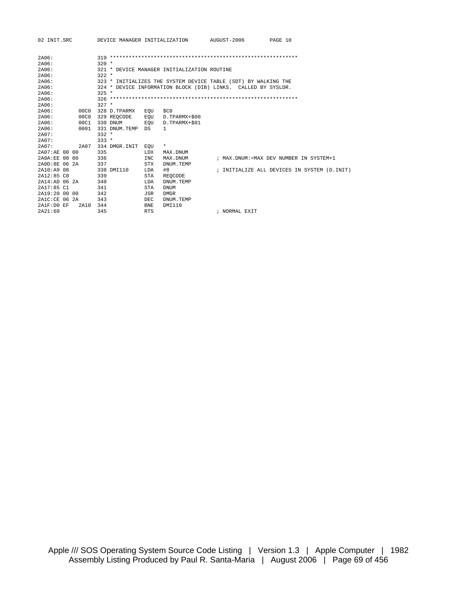| 02 INIT.SRC        |                  |            | DEVICE MANAGER INITIALIZATION               | AUGUST-2006                                                    | PAGE 10                                      |  |
|--------------------|------------------|------------|---------------------------------------------|----------------------------------------------------------------|----------------------------------------------|--|
| 2A06:              |                  |            |                                             |                                                                |                                              |  |
| 2A06:              | $320 *$          |            |                                             |                                                                |                                              |  |
| 2A06:              |                  |            | 321 * DEVICE MANAGER INITIALIZATION ROUTINE |                                                                |                                              |  |
| 2A06:              | $322 *$          |            |                                             |                                                                |                                              |  |
| 2A06:              |                  |            |                                             | 323 * INITIALIZES THE SYSTEM DEVICE TABLE (SDT) BY WALKING THE |                                              |  |
| 2A06:              |                  |            |                                             | 324 * DEVICE INFORMATION BLOCK (DIB) LINKS. CALLED BY SYSLDR.  |                                              |  |
| 2A06:              | $325 *$          |            |                                             |                                                                |                                              |  |
| 2A06:              |                  |            |                                             |                                                                |                                              |  |
| 2A06:              | $327 *$          |            |                                             |                                                                |                                              |  |
| 2A06:<br>00C0      | 328 D.TPARMX     | EOU        | \$CO                                        |                                                                |                                              |  |
| 2A06:<br>00C0      | 329 REOCODE      | EOU        | D.TPARMX+\$00                               |                                                                |                                              |  |
| 2A06:<br>00C1      | 330 DNUM         | EOU        | D.TPARMX+\$01                               |                                                                |                                              |  |
| 2A06:<br>0001      | 331 DNUM TEMP DS |            | $\mathbf{1}$                                |                                                                |                                              |  |
| 2A07:              | $332 *$          |            |                                             |                                                                |                                              |  |
| 2A07:              | $333 *$          |            |                                             |                                                                |                                              |  |
| 2A07:<br>2A07      | 334 DMGR.INIT    | EOU        | $\star$                                     |                                                                |                                              |  |
| 2A07:AE 00 00      | 335              | LDX        | MAX.DNUM                                    |                                                                |                                              |  |
| 2AOA:EF.00.00      | 336              | <b>INC</b> | MAX.DNUM                                    |                                                                | ; MAX.DNUM:=MAX DEV NUMBER IN SYSTEM+1       |  |
| 2A0D:8E 06 2A      | 337              | STX        | DNUM.TEMP                                   |                                                                |                                              |  |
| 2A10: A908         | 338 DMT110       | LDA        | #8                                          |                                                                | ; INITIALIZE ALL DEVICES IN SYSTEM (D. INIT) |  |
| 2A12:85C0          | 339              | STA        | REOCODE                                     |                                                                |                                              |  |
| 2A14:AD062A        | 340              | LDA        | DNUM.TEMP                                   |                                                                |                                              |  |
| 2A17:85 C1         | 341              | <b>STA</b> | <b>DNUM</b>                                 |                                                                |                                              |  |
| 2A19:20 00 00      | 342              | JSR        | <b>DMGR</b>                                 |                                                                |                                              |  |
| 2A1C:CE 06 2A      | 343              | DEC        | DNUM.TEMP                                   |                                                                |                                              |  |
| 2A1F:D0 EF<br>2A10 | 344              | <b>BNE</b> | DMI110                                      |                                                                |                                              |  |
| 2A21:60            | 345              | <b>RTS</b> |                                             | ; NORMAL EXIT                                                  |                                              |  |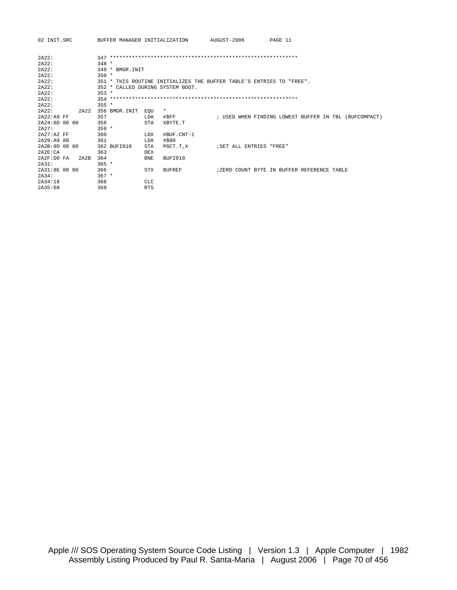| 02 INIT.SRC       | BUFFER MANAGER INITIALIZATION    |                                                                      | AUGUST-2006             | PAGE 11                                               |
|-------------------|----------------------------------|----------------------------------------------------------------------|-------------------------|-------------------------------------------------------|
| 2A22:             |                                  |                                                                      |                         |                                                       |
| 2A22:             | $348 *$                          |                                                                      |                         |                                                       |
| 2A22:             | 349 * BMGR. INIT                 |                                                                      |                         |                                                       |
| 2A22:             | $350 *$                          |                                                                      |                         |                                                       |
| 2A22:             |                                  | 351 * THIS ROUTINE INITIALIZES THE BUFFER TABLE'S ENTRIES TO "FREE". |                         |                                                       |
| 2A22:             | 352 * CALLED DURING SYSTEM BOOT. |                                                                      |                         |                                                       |
| 2A22:             | $353 *$                          |                                                                      |                         |                                                       |
| 2A22:             |                                  |                                                                      |                         |                                                       |
| 2A22:             | $355 *$                          |                                                                      |                         |                                                       |
| 2A22:<br>2A22     | 356 BMGR.INIT                    | $^\star$<br>EOU                                                      |                         |                                                       |
| 2A22:A9 FF        | 357                              | #\$FF<br>LDA                                                         |                         | ; USED WHEN FINDING LOWEST BUFFER IN TBL (BUFCOMPACT) |
| 2A24:8D 00 00     | 358                              | <b>STA</b><br>XBYTE.T                                                |                         |                                                       |
| 2A27:             | $359 *$                          |                                                                      |                         |                                                       |
| $2A27:A2$ FF      | 360                              | <b>LDX</b><br>#BUF.CNT-1                                             |                         |                                                       |
| 2A29:A9 80        | 361                              | #\$80<br>LDA                                                         |                         |                                                       |
| 2A2B:9D 00 00     | 362 BUFI010                      | STA<br>PGCT.T.X                                                      | SET ALL ENTRIES "FREE"; |                                                       |
| 2A2E:CA           | 363                              | <b>DEX</b>                                                           |                         |                                                       |
| 2A2F:DOFA<br>2A2B | 364                              | BUFI010<br><b>BNE</b>                                                |                         |                                                       |
| 2A31:             | $365 *$                          |                                                                      |                         |                                                       |
| 2A31:8E0000       | 366                              | <b>STX</b><br><b>BUFREF</b>                                          |                         | ; ZERO COUNT BYTE IN BUFFER REFERENCE TABLE           |
| 2A34:             | $367 *$                          |                                                                      |                         |                                                       |
| 2A34:18           | 368                              | <b>CLC</b>                                                           |                         |                                                       |
| 2A35:60           | 369                              | <b>RTS</b>                                                           |                         |                                                       |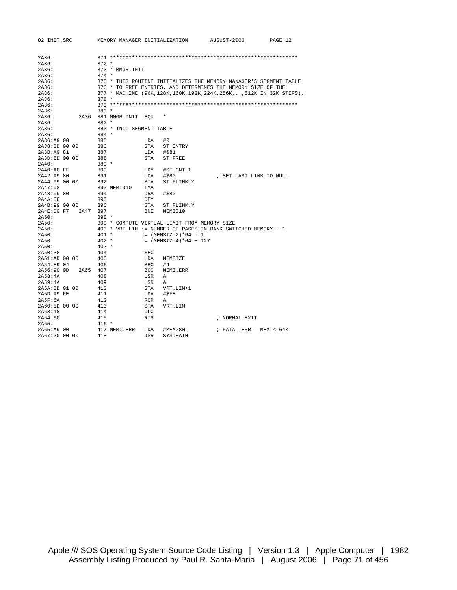| 02 INIT.SRC        | MEMORY MANAGER INITIALIZATION |                                              | AUGUST-2006                                                             | PAGE 12 |
|--------------------|-------------------------------|----------------------------------------------|-------------------------------------------------------------------------|---------|
|                    |                               |                                              |                                                                         |         |
| 2A36:              |                               |                                              |                                                                         |         |
| 2A36:              | $372 *$                       |                                              |                                                                         |         |
| 2A36:              | 373 * MMGR.INIT               |                                              |                                                                         |         |
| 2A36:              | $374 *$                       |                                              |                                                                         |         |
| 2A36:              |                               |                                              | 375 * THIS ROUTINE INITIALIZES THE MEMORY MANAGER'S SEGMENT TABLE       |         |
| 2A36:              |                               |                                              | 376 * TO FREE ENTRIES, AND DETERMINES THE MEMORY SIZE OF THE            |         |
| 2A36:              |                               |                                              | 377 * MACHINE (96K, 128K, 160K, 192K, 224K, 256K, , 512K IN 32K STEPS). |         |
| 2A36:              | $378 *$                       |                                              |                                                                         |         |
| 2A36:              |                               |                                              |                                                                         |         |
| 2A36:              | $380 *$                       |                                              |                                                                         |         |
| 2A36:<br>2A36      | 381 MMGR.INIT EOU             |                                              |                                                                         |         |
| 2A36:              | $382 *$                       |                                              |                                                                         |         |
| 2A36:              | 383 * INIT SEGMENT TABLE      |                                              |                                                                         |         |
| 2A36:              | $384 *$                       |                                              |                                                                         |         |
| 2A36:A9 00         | 385                           | LDA<br>#0                                    |                                                                         |         |
| 2A38:8D 00 00      | 386                           | STA<br>ST.ENTRY                              |                                                                         |         |
| 2A3B:A9 81         | 387                           | LDA<br>#\$81                                 |                                                                         |         |
| 2A3D:8D 00 00      | 388                           | STA<br>ST.FREE                               |                                                                         |         |
| 2A40:              | $389 *$                       |                                              |                                                                         |         |
| 2A40:A0 FF         | 390                           | #ST.CNT-1<br>LDY                             |                                                                         |         |
| 2A42:A9 80         | 391                           | LDA<br>#\$80                                 | ; SET LAST LINK TO NULL                                                 |         |
| 2A44:99 00 00      | 392                           | STA<br>ST.FLINK, Y                           |                                                                         |         |
| 2A47:98            | 393 MEMI010                   | TYA                                          |                                                                         |         |
| 2A48:09 80         | 394                           | #\$80<br>ORA                                 |                                                                         |         |
| 2A4A:88            | 395                           | DEY                                          |                                                                         |         |
| 2A4B:99 00 00      | 396                           | STA<br>ST. FLINK, Y                          |                                                                         |         |
| 2A4E:DO F7<br>2A47 | 397                           | <b>BNE</b><br>MEMI010                        |                                                                         |         |
| 2A50:              | $398 *$                       |                                              |                                                                         |         |
| 2A50:              |                               | 399 * COMPUTE VIRTUAL LIMIT FROM MEMORY SIZE |                                                                         |         |
| 2A50:              |                               |                                              | 400 * VRT.LIM := NUMBER OF PAGES IN BANK SWITCHED MEMORY - 1            |         |
| 2A50:              | $401 *$                       | $:=$ (MEMSIZ-2)*64 - 1                       |                                                                         |         |
| 2A50:              | $402 *$                       | $:=$ (MEMSIZ-4)*64 + 127                     |                                                                         |         |
| 2A50:              | $403 *$                       |                                              |                                                                         |         |
| 2A50:38            | 404                           | SEC                                          |                                                                         |         |
| 2A51:AD 00 00      | 405                           | LDA<br>MEMSIZE                               |                                                                         |         |
| 2A54:E904          | 406                           | <b>SBC</b><br>#4                             |                                                                         |         |
| 2A56:90 OD<br>2A65 | 407                           | <b>BCC</b><br>MEMI.ERR                       |                                                                         |         |
| 2A58:4A            | 408                           | LSR<br>Α                                     |                                                                         |         |
| 2A59:4A            | 409                           | LSR<br>A                                     |                                                                         |         |
| 2A5A:8D 01 00      | 410                           | STA<br>VRT.LIM+1                             |                                                                         |         |
| 2A5D:A9 FE         | 411                           | LDA<br>#\$FE                                 |                                                                         |         |
| 2A5F:6A            | 412                           | <b>ROR</b><br>Α                              |                                                                         |         |
| 2A60:8D 00 00      | 413                           | STA<br>VRT.LIM                               |                                                                         |         |
| 2A63:18            | 414                           | <b>CLC</b>                                   |                                                                         |         |
| 2A64:60            | 415                           | <b>RTS</b>                                   | ; NORMAL EXIT                                                           |         |
| 2A65:              | $416 *$                       |                                              |                                                                         |         |
| 2A65:A9 00         | 417 MEMI.ERR                  | #MEM2SML<br>LDA                              | ; FATAL ERR - MEM < $64K$                                               |         |
| 2A67:20 00 00      | 418                           | JSR<br>SYSDEATH                              |                                                                         |         |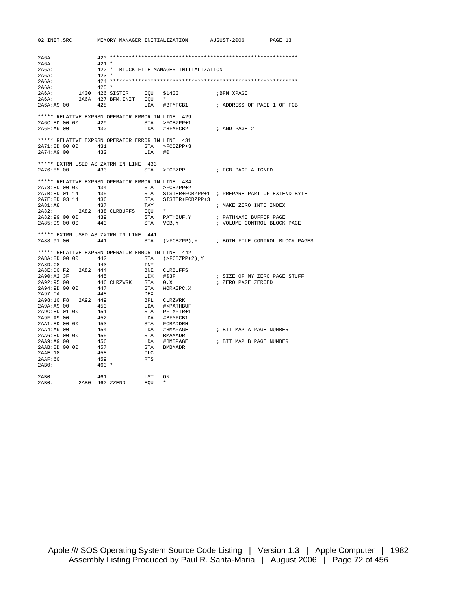| 2A6A:                                                                               |                         |           |                                            |                                                                         |
|-------------------------------------------------------------------------------------|-------------------------|-----------|--------------------------------------------|-------------------------------------------------------------------------|
| 2A6A:                                                                               | $421 *$                 |           |                                            |                                                                         |
| 2A6A:                                                                               |                         |           | 422 * BLOCK FILE MANAGER INITIALIZATION    |                                                                         |
| 2A6A:                                                                               | $423 *$                 |           |                                            |                                                                         |
| 2A6A:                                                                               |                         |           |                                            |                                                                         |
| 2A6A:                                                                               | $425 *$                 |           |                                            |                                                                         |
| 2A6A:                                                                               | 1400 426 SISTER EOU     |           | \$1400                                     | ; BFM XPAGE                                                             |
| 2A6A:                                                                               | 2A6A 427 BFM.INIT EQU * |           |                                            |                                                                         |
| 2A6A:A9 00                                                                          | 428                     |           |                                            | LDA #BFMFCB1 : ADDRESS OF PAGE 1 OF FCB                                 |
|                                                                                     |                         |           |                                            |                                                                         |
| ***** RELATIVE EXPRSN OPERATOR ERROR IN LINE 429<br>2A6C:8D 00 00 429 STA >FCBZPP+1 |                         |           |                                            |                                                                         |
|                                                                                     |                         |           |                                            |                                                                         |
| 2A6F:A9 00                                                                          | 430                     |           | LDA #BFMFCB2                               | ; AND PAGE 2                                                            |
| ***** RELATIVE EXPRSN OPERATOR ERROR IN LINE 431                                    |                         |           |                                            |                                                                         |
| 2A71:8D 00 00 431                                                                   |                         |           | $STA \rightarrow FCBZPP+3$                 |                                                                         |
| 2A74: A9 00                                                                         | 432                     | LDA       | #0                                         |                                                                         |
| ***** EXTRN USED AS ZXTRN IN LINE 433                                               |                         |           |                                            |                                                                         |
| 433<br>2A76:85 00                                                                   |                         |           |                                            | $STA \qquad >FCBZPP \qquad \qquad ; \quad FCB \quad PAGE \quad ALIGNED$ |
| ***** RELATIVE EXPRSN OPERATOR ERROR IN LINE 434                                    |                         |           |                                            |                                                                         |
| 2A78:8D 00 00 434 STA >FCBZPP+2                                                     |                         |           |                                            |                                                                         |
| 2A7B:8D 01 14                                                                       | 435                     |           |                                            | STA SISTER+FCBZPP+1 ; PREPARE PART OF EXTEND BYTE                       |
| 2A7E:8D 03 14                                                                       | 436                     |           | STA SISTER+FCBZPP+3                        |                                                                         |
| 2A81:A8                                                                             | 437                     | TAY       |                                            | ; MAKE ZERO INTO INDEX                                                  |
| 2A82:                                                                               | 2A82 438 CLRBUFFS EQU * |           |                                            |                                                                         |
| 2A82:99 00 00 439                                                                   |                         |           |                                            | STA PATHBUF, Y : PATHNAME BUFFER PAGE                                   |
| 2A85:99 00 00 440                                                                   |                         |           | STA VCB, Y                                 | ; VOLUME CONTROL BLOCK PAGE                                             |
| ***** EXTRN USED AS ZXTRN IN LINE 441                                               |                         |           |                                            |                                                                         |
| 2A88:91 00 441                                                                      |                         |           |                                            | STA (>FCBZPP), Y : BOTH FILE CONTROL BLOCK PAGES                        |
| ***** RELATIVE EXPRSN OPERATOR ERROR IN LINE 442                                    |                         |           |                                            |                                                                         |
| 2A8A:8D 00 00 442 STA (>FCBZPP+2), Y                                                |                         |           |                                            |                                                                         |
| 2A8D:CB                                                                             | 443                     | INY       |                                            |                                                                         |
| 2A8E:D0 F2 2A82 444                                                                 |                         |           | BNE CLRBUFFS                               |                                                                         |
| 2A90:A2 3F                                                                          | -445                    | LDX #\$3F |                                            | ; SIZE OF MY ZERO PAGE STUFF                                            |
| 2A92:95 00                                                                          | 446 CLRZWRK STA 0,X     |           |                                            | ; ZERO PAGE ZEROED                                                      |
| 2A94:9D 00 00                                                                       | 447                     |           | STA WORKSPC,X                              |                                                                         |
|                                                                                     |                         |           |                                            |                                                                         |
| 2A97:CA<br>2A98:10 F8                                                               | 448                     | DEX       | BPL CLRZWRK                                |                                                                         |
|                                                                                     | 2A92 449                |           |                                            |                                                                         |
| 2A9A: A9 00                                                                         | 450                     |           | LDA # <pathbuf< td=""><td></td></pathbuf<> |                                                                         |
| 2A9C:8D 01 00                                                                       | 451                     |           | STA PFIXPTR+1                              |                                                                         |
| 2A9F:A9 00                                                                          | 452                     |           | LDA #BFMFCB1                               |                                                                         |
| 2AA1:8D 00 00                                                                       | 453                     |           | STA FCBADDRH                               |                                                                         |
| 2AA4:A9 00                                                                          | 454                     |           | LDA #BMAPAGE                               | ; BIT MAP A PAGE NUMBER                                                 |
| 2AA6:8D 00 00                                                                       | 455                     |           | STA BMAMADR                                |                                                                         |
| 2AA9:B900                                                                           | 456                     |           |                                            | LDA #BMBPAGE : BIT MAP B PAGE NUMBER                                    |
| 2AAB:8D 00 00                                                                       | 457                     | STA       | BMBMADR                                    |                                                                         |
| 2AAE:18                                                                             | 458                     | CLC       |                                            |                                                                         |
| 2AAF:60                                                                             | 459                     | RTS       |                                            |                                                                         |
| 2AB0:                                                                               | $460*$                  |           |                                            |                                                                         |
| 2AB0:                                                                               | 461                     | LST       | ON                                         |                                                                         |

2AB0: 2AB0 462 ZZEND EQU \*

02 INIT.SRC MEMORY MANAGER INITIALIZATION AUGUST-2006 PAGE 13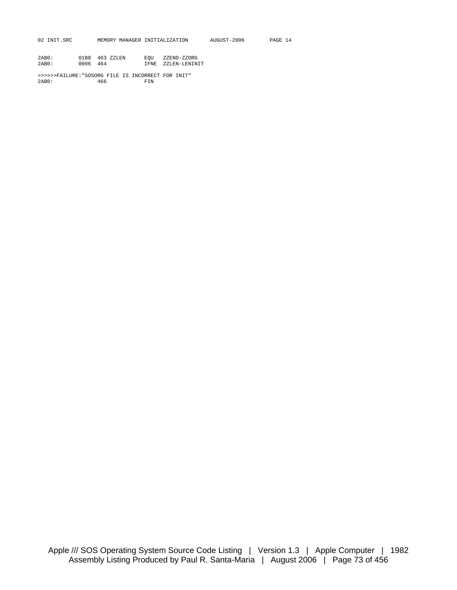| AUGUST-2006<br>02 INIT.SRC<br>MEMORY MANAGER INITIALIZATION<br>PAGE 14 |  |
|------------------------------------------------------------------------|--|
|------------------------------------------------------------------------|--|

| 2AB0: |          | 01B8 463 ZZLEN | EOU | ZZEND-ZZORG        |
|-------|----------|----------------|-----|--------------------|
| 2AB0: | 0006 464 |                |     | IFNE ZZLEN-LENINIT |

>>>>>>FAILURE:"SOSORG FILE IS INCORRECT FOR INIT"  $2AB0:$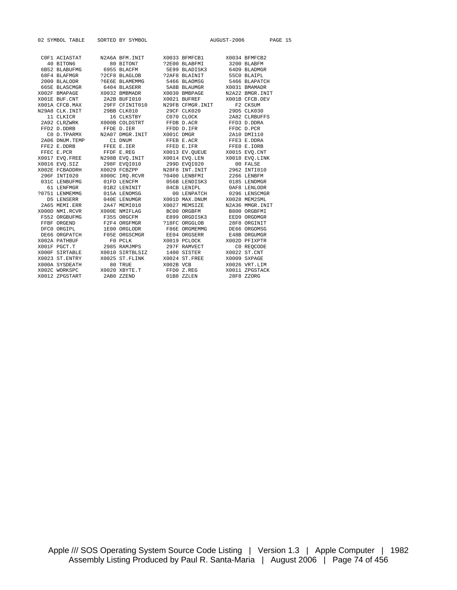| 02 SYMBOL TABLE SORTED BY SYMBOL |                                                                                                                                                                                                                                                                                                                                                                                                              |            | AUGUST-2006 | PAGE 15        |
|----------------------------------|--------------------------------------------------------------------------------------------------------------------------------------------------------------------------------------------------------------------------------------------------------------------------------------------------------------------------------------------------------------------------------------------------------------|------------|-------------|----------------|
| 40 BITON6                        | COF1 ACIASTAT M2A6A BFM.INIT X0033 BFMFCB1 X0034 BFMFCB2<br>80 BITON7 ?2E00 BLABFMI 3200 BLABFM                                                                                                                                                                                                                                                                                                              |            |             |                |
|                                  |                                                                                                                                                                                                                                                                                                                                                                                                              |            |             |                |
|                                  |                                                                                                                                                                                                                                                                                                                                                                                                              |            |             |                |
|                                  |                                                                                                                                                                                                                                                                                                                                                                                                              |            |             |                |
|                                  |                                                                                                                                                                                                                                                                                                                                                                                                              |            |             |                |
|                                  |                                                                                                                                                                                                                                                                                                                                                                                                              |            |             |                |
|                                  |                                                                                                                                                                                                                                                                                                                                                                                                              |            |             |                |
|                                  |                                                                                                                                                                                                                                                                                                                                                                                                              |            |             |                |
|                                  |                                                                                                                                                                                                                                                                                                                                                                                                              |            |             |                |
|                                  |                                                                                                                                                                                                                                                                                                                                                                                                              |            |             |                |
|                                  | 2740 CDM<br>11 CLKICR 16 CLKSTBY COTO CLOCK<br>2A92 CLRZWRK 2000B COLDSTRT FFDB D.ACR                                                                                                                                                                                                                                                                                                                        |            |             | FFD3 D.DDRA    |
|                                  | $\begin{tabular}{lcccc} FFD2 D.DDRB & FFDE D.IER & FFDD D.IFR & FFDC D.PCR \\ C0 D.TPARMX & N2A07 DMGR. INT & X001C DMGR & 2A10 DMI110 \\ 2A06 DNUM.TEMP & C1 DNUM & FFEB E.ACR & FFED D.IFR & FFDC D.PCR \\ FFEZ & E. DDRB & FFEE E.IER & FFED E.IFR & FFED E.ICRB & FFED.ICRB & FFED.ICRB & FFED.ICRB & FFED.ICRB & FFED.ICRB & FFED.ICRB & FFED.ICRB & FFED.ICRB & FFED.ICRB & FFED.ICRB &$               |            |             |                |
|                                  |                                                                                                                                                                                                                                                                                                                                                                                                              |            |             |                |
|                                  |                                                                                                                                                                                                                                                                                                                                                                                                              |            |             |                |
|                                  |                                                                                                                                                                                                                                                                                                                                                                                                              |            |             |                |
|                                  |                                                                                                                                                                                                                                                                                                                                                                                                              |            |             |                |
|                                  |                                                                                                                                                                                                                                                                                                                                                                                                              |            |             |                |
|                                  |                                                                                                                                                                                                                                                                                                                                                                                                              |            |             |                |
|                                  |                                                                                                                                                                                                                                                                                                                                                                                                              |            |             |                |
|                                  |                                                                                                                                                                                                                                                                                                                                                                                                              |            |             |                |
|                                  |                                                                                                                                                                                                                                                                                                                                                                                                              |            |             |                |
|                                  |                                                                                                                                                                                                                                                                                                                                                                                                              |            |             |                |
|                                  |                                                                                                                                                                                                                                                                                                                                                                                                              |            |             |                |
|                                  |                                                                                                                                                                                                                                                                                                                                                                                                              |            |             |                |
|                                  |                                                                                                                                                                                                                                                                                                                                                                                                              |            |             |                |
|                                  |                                                                                                                                                                                                                                                                                                                                                                                                              |            |             |                |
|                                  |                                                                                                                                                                                                                                                                                                                                                                                                              |            |             |                |
|                                  |                                                                                                                                                                                                                                                                                                                                                                                                              |            |             |                |
|                                  |                                                                                                                                                                                                                                                                                                                                                                                                              |            |             | DE66 ORGOMSG   |
|                                  |                                                                                                                                                                                                                                                                                                                                                                                                              |            |             | E48B ORGUMGR   |
|                                  |                                                                                                                                                                                                                                                                                                                                                                                                              |            |             | X002D PFIXPTR  |
|                                  |                                                                                                                                                                                                                                                                                                                                                                                                              |            |             | CO REOCODE     |
|                                  | $\begin{tabular}{lcccc} \texttt{FFBF} & \texttt{CKGHD} & \texttt{F2F4 UKGFMGK} & \texttt{71F'C ORGGDOB} & \texttt{2} \\ \texttt{DFG ORGFDL} & \texttt{IEO ORGODR} & \texttt{F86E ORGEMMG} & \texttt{F86E ORGEMMG} & \texttt{F86E ORGEMMG} & \texttt{E} \\ \texttt{DE6G ORGPTCH} & \texttt{F0SE ORGSCMGR} & \texttt{EEO1 Q ORGSERR} & \texttt{E} \\ \texttt{X002A PATHBUF} & \texttt{F0 PCLK} & \texttt{X001$ |            |             | X0022 ST.CNT   |
|                                  |                                                                                                                                                                                                                                                                                                                                                                                                              |            |             | X0009 SXPAGE   |
|                                  |                                                                                                                                                                                                                                                                                                                                                                                                              |            |             | X0026 VRT.LIM  |
|                                  |                                                                                                                                                                                                                                                                                                                                                                                                              |            |             | X0011 ZPGSTACK |
| X0012 ZPGSTART                   | 2AB0 ZZEND                                                                                                                                                                                                                                                                                                                                                                                                   | 01B8 ZZLEN |             | 28F8 ZZORG     |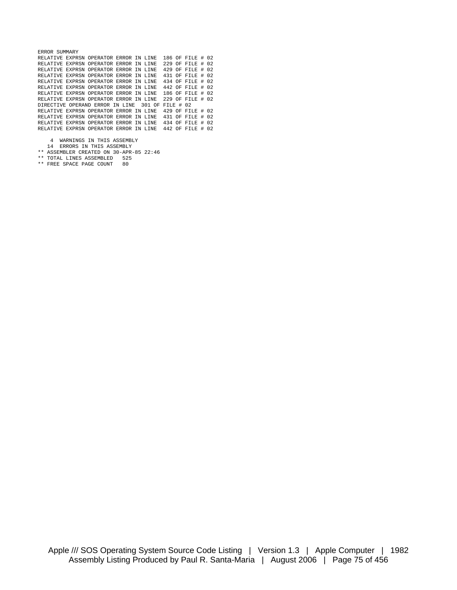| ERROR SUMMARY |                                        |  |              |                    |      |
|---------------|----------------------------------------|--|--------------|--------------------|------|
|               | RELATIVE EXPRSN OPERATOR ERROR IN LINE |  |              | 186 OF FILE # 02   |      |
|               | RELATIVE EXPRSN OPERATOR ERROR IN LINE |  |              | 229 OF FILE #      | - 02 |
|               | RELATIVE EXPRSN OPERATOR ERROR IN LINE |  |              | 429 OF FILE #      | 02   |
|               | RELATIVE EXPRSN OPERATOR ERROR IN LINE |  |              | 431 OF FILE # 02   |      |
|               | RELATIVE EXPRSN OPERATOR ERROR IN LINE |  |              | 434 OF FILE # 02   |      |
|               | RELATIVE EXPRSN OPERATOR ERROR IN LINE |  |              | 442 OF FILE # 02   |      |
|               | RELATIVE EXPRSN OPERATOR ERROR IN LINE |  |              | 186 OF FILE #      | 02   |
|               | RELATIVE EXPRSN OPERATOR ERROR IN LINE |  |              | $229$ OF FILE # 02 |      |
|               | DIRECTIVE OPERAND ERROR IN LINE 301 OF |  | FILE $\#$ 02 |                    |      |
|               | RELATIVE EXPRSN OPERATOR ERROR IN LINE |  |              | 429 OF FILE # 02   |      |
|               | RELATIVE EXPRSN OPERATOR ERROR IN LINE |  |              | 431 OF FILE # 02   |      |
|               | RELATIVE EXPRSN OPERATOR ERROR IN LINE |  |              | 434 OF FILE #      | -02  |
|               | RELATIVE EXPRSN OPERATOR ERROR IN LINE |  |              | 442 OF FILE #      | -02  |
|               |                                        |  |              |                    |      |

- 4 WARNINGS IN THIS ASSEMBLY 14 ERRORS IN THIS ASSEMBLY
- \*\* ASSEMBLER CREATED ON 30-APR-85 22:46
- \*\* TOTAL LINES ASSEMBLED 525 \*\* FREE SPACE PAGE COUNT 80
-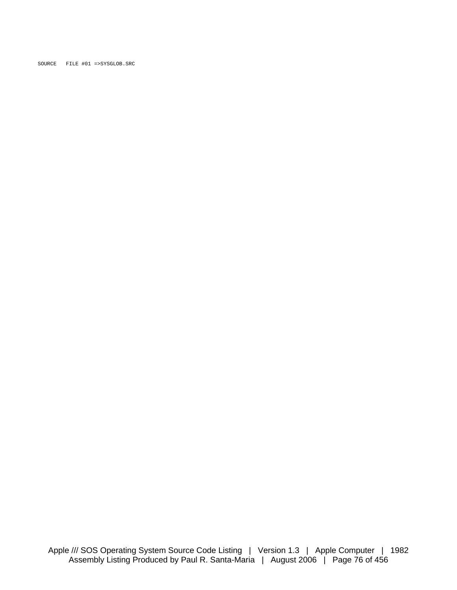SOURCE FILE #01 =>SYSGLOB.SRC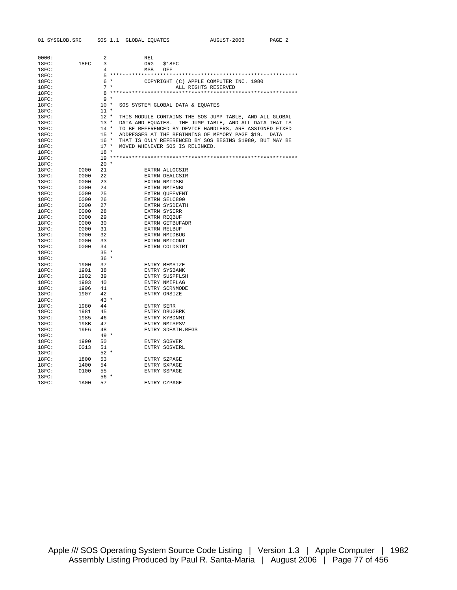| 0000: |              | 2           | REL                                                           |
|-------|--------------|-------------|---------------------------------------------------------------|
| 18FC: | 18FC         | 3           | ORG<br>\$18FC                                                 |
| 18FC: |              | $4^{\circ}$ | MSB OFF                                                       |
| 18FC: |              |             |                                                               |
| 18FC: |              |             | $6 *$<br>COPYRIGHT (C) APPLE COMPUTER INC. 1980               |
| 18FC: |              | $7 *$       | ALL RIGHTS RESERVED                                           |
| 18FC: |              |             |                                                               |
| 18FC: |              | 9 *         |                                                               |
| 18FC: |              |             | 10 * SOS SYSTEM GLOBAL DATA & EQUATES                         |
| 18FC: |              | $11$ *      |                                                               |
| 18FC: |              |             | 12 * THIS MODULE CONTAINS THE SOS JUMP TABLE, AND ALL GLOBAL  |
| 18FC: |              |             | 13 * DATA AND EQUATES. THE JUMP TABLE, AND ALL DATA THAT IS   |
| 18FC: |              |             | 14 * TO BE REFERENCED BY DEVICE HANDLERS, ARE ASSIGNED FIXED  |
| 18FC: |              |             | 15 * ADDRESSES AT THE BEGINNING OF MEMORY PAGE \$19. DATA     |
| 18FC: |              |             | 16 * THAT IS ONLY REFERENCED BY SOS BEGINS \$1980, BUT MAY BE |
| 18FC: |              |             | 17 * MOVED WHENEVER SOS IS RELINKED.                          |
| 18FC: |              | $18 *$      |                                                               |
| 18FC: |              |             |                                                               |
| 18FC: |              | $20 *$      |                                                               |
| 18FC: | 0000         | 21          | EXTRN ALLOCSIR                                                |
| 18FC: | 0000         | 22          | EXTRN DEALCSIR                                                |
| 18FC: | 0000         | 23          | EXTRN NMIDSBL                                                 |
| 18FC: | 0000         | 24          | EXTRN NMIENBL                                                 |
| 18FC: | 0000         | 25          | EXTRN QUEEVENT                                                |
| 18FC: | 0000         | 26          | EXTRN SELC800                                                 |
| 18FC: | 0000         | 27          | EXTRN SYSDEATH                                                |
| 18FC: | 0000         | 28          | EXTRN SYSERR                                                  |
| 18FC: | 0000         | 29          | EXTRN REQBUF                                                  |
| 18FC: | 0000         | 30          | EXTRN GETBUFADR                                               |
| 18FC: | 0000 31      |             | EXTRN RELBUF                                                  |
| 18FC: | 0000         | 32          | EXTRN NMIDBUG                                                 |
| 18FC: | 0000 33      |             | EXTRN NMICONT                                                 |
| 18FC: | 0000         | 34          | EXTRN COLDSTRT                                                |
| 18FC: |              | $35 *$      |                                                               |
| 18FC: |              | $36*$       |                                                               |
| 18FC: | 1900         | 37          | ENTRY MEMSIZE                                                 |
| 18FC: | 1901         | 38          | ENTRY SYSBANK                                                 |
| 18FC: | 1902         | 39          | ENTRY SUSPFLSH                                                |
| 18FC: | 1903         | 40          | ENTRY NMIFLAG                                                 |
| 18FC: | 1906         | 41          | ENTRY SCRNMODE                                                |
| 18FC: | 1907         | 42          | ENTRY GRSIZE                                                  |
| 18FC: |              | $43 *$      |                                                               |
| 18FC: | 1980         | 44          | ENTRY SERR                                                    |
|       |              |             |                                                               |
| 18FC: | 1981<br>1985 | 45<br>- 46  | ENTRY DBUGBRK                                                 |
| 18FC: |              |             | ENTRY KYBDNMI                                                 |
| 18FC: | 198B         | 47          | ENTRY NMISPSV                                                 |
| 18FC: | 19F6         | 48          | ENTRY SDEATH.REGS                                             |
| 18FC: |              | $49 *$      |                                                               |
| 18FC: | 1990         | 50          | ENTRY SOSVER                                                  |
| 18FC: | 0013         | 51          | ENTRY SOSVERL                                                 |
| 18FC: |              | $52*$       |                                                               |
| 18FC: | 1800         | 53          | ENTRY SZPAGE                                                  |
| 18FC: | 1400         | 54          | ENTRY SXPAGE                                                  |
| 18FC: | 0100         | 55          | ENTRY SSPAGE                                                  |
| 18FC: |              | $56*$       |                                                               |
| 18FC: | 1A00         | 57          | ENTRY CZPAGE                                                  |
|       |              |             |                                                               |

Apple /// SOS Operating System Source Code Listing | Version 1.3 | Apple Computer | 1982 Assembly Listing Produced by Paul R. Santa-Maria | August 2006 | Page 77 of 456

## 01 SYSGLOB.SRC SOS 1.1 GLOBAL EQUATES AUGUST-2006 PAGE 2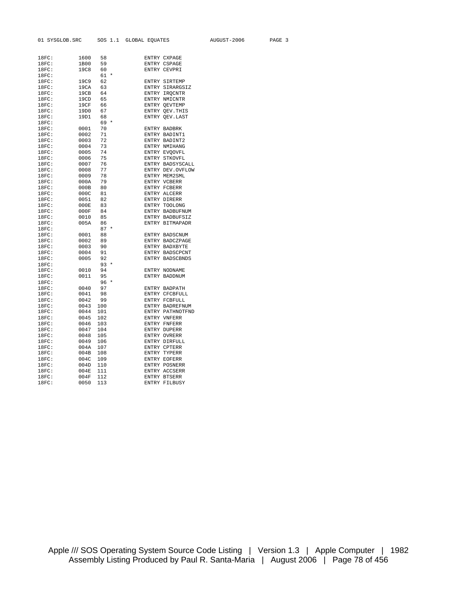| 18FC: | 1600        | 58       |         |       | ENTRY CXPAGE     |
|-------|-------------|----------|---------|-------|------------------|
| 18FC: | 1B00        | 59       |         |       | ENTRY CSPAGE     |
| 18FC: | <b>19C8</b> | 60       |         |       | ENTRY CEVPRI     |
|       |             |          | $\ast$  |       |                  |
| 18FC: |             | 61<br>62 |         |       |                  |
| 18FC: | 19C9        |          |         |       | ENTRY SIRTEMP    |
| 18FC: | 19CA        | 63       |         |       | ENTRY SIRARGSIZ  |
| 18FC: | 19CB        | 64       |         |       | ENTRY IRQCNTR    |
| 18FC: | 19CD        | 65       |         |       | ENTRY NMICNTR    |
| 18FC: | 19CF        | 66       |         |       | ENTRY QEVTEMP    |
| 18FC: | 19D0        | 67       |         | ENTRY | OEV. THIS        |
| 18FC: | 19D1        | 68       | $\star$ |       | ENTRY OEV.LAST   |
| 18FC: |             | 69       |         |       |                  |
| 18FC: | 0001        | 70       |         |       | ENTRY BADBRK     |
| 18FC: | 0002        | 71       |         |       | ENTRY BADINT1    |
| 18FC: | 0003        | 72       |         |       | ENTRY BADINT2    |
| 18FC: | 0004        | 73       |         |       | ENTRY NMIHANG    |
| 18FC: | 0005        | 74       |         |       | ENTRY EVOOVFL    |
| 18FC: | 0006        | 75       |         |       | ENTRY STKOVFL    |
| 18FC: | 0007        | 76       |         |       | ENTRY BADSYSCALL |
| 18FC: | 0008        | 77       |         |       | ENTRY DEV.OVFLOW |
| 18FC: | 0009        | 78       |         |       | ENTRY MEM2SML    |
| 18FC: | 000A        | 79       |         |       | ENTRY VCBERR     |
| 18FC: | 000B        | 80       |         |       | ENTRY FCBERR     |
| 18FC: | 000C        | 81       |         |       | ENTRY ALCERR     |
| 18FC: | 0051        | 82       |         |       | ENTRY DIRERR     |
| 18FC: | 000E        | 83       |         |       | ENTRY TOOLONG    |
| 18FC: | 000F        | 84       |         |       | ENTRY BADBUFNUM  |
| 18FC: | 0010        | 85       |         |       | ENTRY BADBUFSIZ  |
| 18FC: | 005A        | 86       |         |       | ENTRY BITMAPADR  |
| 18FC: |             | 87       |         |       |                  |
| 18FC: | 0001        | 88       |         |       | ENTRY BADSCNUM   |
| 18FC: | 0002        | 89       |         |       | ENTRY BADCZPAGE  |
| 18FC: | 0003        | 90       |         |       | ENTRY BADXBYTE   |
| 18FC: | 0004        | 91       |         |       | ENTRY BADSCPCNT  |
| 18FC: | 0005        | 92       |         |       | ENTRY BADSCBNDS  |
| 18FC: |             | 93       | $\star$ |       |                  |
| 18FC: | 0010        | 94       |         |       | ENTRY NODNAME    |
| 18FC: | 0011        | 95       |         |       | ENTRY BADDNUM    |
| 18FC: |             | 96       | $\star$ |       |                  |
| 18FC: | 0040        | 97       |         |       | ENTRY BADPATH    |
| 18FC: | 0041        | 98       |         |       | ENTRY CFCBFULL   |
| 18FC: | 0042        | 99       |         |       | ENTRY FCBFULL    |
| 18FC: | 0043        | 100      |         |       | ENTRY BADREFNUM  |
| 18FC: | 0044        | 101      |         |       | ENTRY PATHNOTFND |
| 18FC: | 0045        | 102      |         |       | ENTRY VNFERR     |
| 18FC: | 0046        | 103      |         |       | ENTRY FNFERR     |
| 18FC: | 0047        | 104      |         |       | ENTRY DUPERR     |
| 18FC: | 0048        | 105      |         |       | ENTRY OVRERR     |
| 18FC: | 0049        | 106      |         |       | ENTRY DIRFULL    |
| 18FC: | 004A        | 107      |         | ENTRY | CPTERR           |
| 18FC: | 004B        | 108      |         | ENTRY | TYPERR           |
| 18FC: | 004C        | 109      |         |       | ENTRY EOFERR     |
| 18FC: | 004D        | 110      |         | ENTRY | POSNERR          |
| 18FC: | 004E        | 111      |         |       | ENTRY ACCSERR    |
| 18FC: | 004F        | 112      |         |       | ENTRY BTSERR     |
| 18FC: | 0050        | 113      |         | ENTRY | FILBUSY          |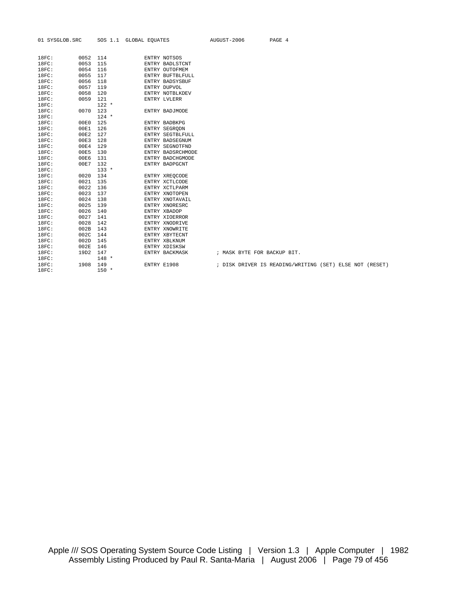| 18FC: | 0052 | 114     | ENTRY NOTSOS      |                             |                                                         |  |  |
|-------|------|---------|-------------------|-----------------------------|---------------------------------------------------------|--|--|
| 18FC: | 0053 | 115     | ENTRY BADLSTCNT   |                             |                                                         |  |  |
| 18FC: | 0054 | 116     | ENTRY OUTOFMEM    |                             |                                                         |  |  |
| 18FC: | 0055 | 117     | ENTRY BUFTBLFULL  |                             |                                                         |  |  |
| 18FC: | 0056 | 118     | ENTRY BADSYSBUF   |                             |                                                         |  |  |
| 18FC: | 0057 | 119     | ENTRY DUPVOL      |                             |                                                         |  |  |
| 18FC: | 0058 | 120     | ENTRY NOTBLKDEV   |                             |                                                         |  |  |
| 18FC: | 0059 | 121     | ENTRY LVLERR      |                             |                                                         |  |  |
| 18FC: |      | $122 *$ |                   |                             |                                                         |  |  |
| 18FC: | 0070 | 123     | ENTRY BADJMODE    |                             |                                                         |  |  |
| 18FC: |      | $124 *$ |                   |                             |                                                         |  |  |
| 18FC: | 00E0 | 125     | ENTRY BADBKPG     |                             |                                                         |  |  |
| 18FC: | 00E1 | 126     | ENTRY SEGRODN     |                             |                                                         |  |  |
| 18FC: | 00E2 | 127     | ENTRY SEGTBLFULL  |                             |                                                         |  |  |
| 18FC: | 00E3 | 128     | ENTRY BADSEGNUM   |                             |                                                         |  |  |
| 18FC: | 00E4 | 129     | ENTRY SEGNOTFND   |                             |                                                         |  |  |
| 18FC: | 00E5 | 130     | ENTRY BADSRCHMODE |                             |                                                         |  |  |
| 18FC: | 00E6 | 131     | ENTRY BADCHGMODE  |                             |                                                         |  |  |
| 18FC: | 00E7 | 132     | ENTRY BADPGCNT    |                             |                                                         |  |  |
| 18FC: |      | $133 *$ |                   |                             |                                                         |  |  |
| 18FC: | 0020 | 134     | ENTRY XREQCODE    |                             |                                                         |  |  |
| 18FC: | 0021 | 135     | ENTRY XCTLCODE    |                             |                                                         |  |  |
| 18FC: | 0022 | 136     | ENTRY XCTLPARM    |                             |                                                         |  |  |
| 18FC: | 0023 | 137     | ENTRY XNOTOPEN    |                             |                                                         |  |  |
| 18FC: | 0024 | 138     | ENTRY XNOTAVAIL   |                             |                                                         |  |  |
| 18FC: | 0025 | 139     | ENTRY XNORESRC    |                             |                                                         |  |  |
| 18FC: | 0026 | 140     | ENTRY XBADOP      |                             |                                                         |  |  |
| 18FC: | 0027 | 141     | ENTRY XIOERROR    |                             |                                                         |  |  |
| 18FC: | 0028 | 142     | ENTRY XNODRIVE    |                             |                                                         |  |  |
| 18FC: | 002B | 143     | ENTRY XNOWRITE    |                             |                                                         |  |  |
| 18FC: | 002C | 144     | ENTRY XBYTECNT    |                             |                                                         |  |  |
| 18FC: | 002D | 145     | ENTRY XBLKNUM     |                             |                                                         |  |  |
| 18FC: | 002E | 146     | ENTRY XDISKSW     |                             |                                                         |  |  |
| 18FC: | 19D2 | 147     | ENTRY BACKMASK    | ; MASK BYTE FOR BACKUP BIT. |                                                         |  |  |
| 18FC: |      | $148 *$ |                   |                             |                                                         |  |  |
| 18FC: | 1908 | 149     | ENTRY E1908       |                             | ; DISK DRIVER IS READING/WRITING (SET) ELSE NOT (RESET) |  |  |
| 18FC: |      | $150 *$ |                   |                             |                                                         |  |  |

01 SYSGLOB.SRC SOS 1.1 GLOBAL EQUATES AUGUST-2006 PAGE 4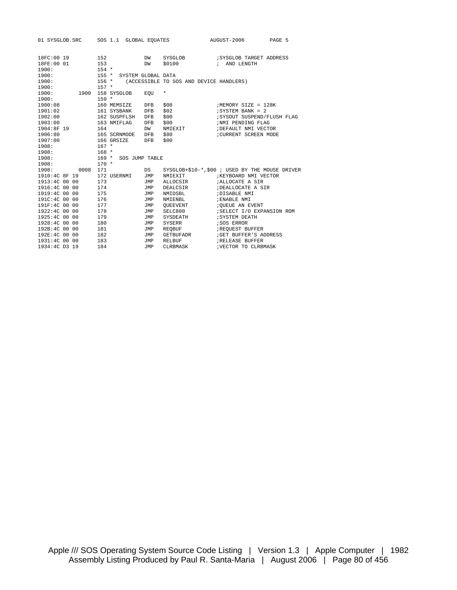| 01 SYSGLOB.SRC      |      |                |              | SOS 1.1 GLOBAL EQUATES   |                                         | AUGUST-2006                                     | PAGE 5 |  |
|---------------------|------|----------------|--------------|--------------------------|-----------------------------------------|-------------------------------------------------|--------|--|
|                     |      |                |              |                          |                                         |                                                 |        |  |
| 18FC:00 19          |      | 152            |              | DW                       | SYSGLOB                                 | SYSGLOB TARGET ADDRESS                          |        |  |
| 18FE:00 01<br>1900: |      | 153<br>$154 *$ |              | DW                       | \$0100                                  | ; AND LENGTH                                    |        |  |
|                     |      |                |              |                          |                                         |                                                 |        |  |
| 1900:<br>1900:      |      |                | $156 *$      | 155 * SYSTEM GLOBAL DATA | (ACCESSIBLE TO SOS AND DEVICE HANDLERS) |                                                 |        |  |
| 1900:               |      | $157 *$        |              |                          |                                         |                                                 |        |  |
| 1900:               | 1900 |                | 158 SYSGLOB  |                          | $^{\star}$                              |                                                 |        |  |
| 1900:               |      | $159 *$        |              | EOU                      |                                         |                                                 |        |  |
| 1900:08             |      |                | 160 MEMSIZE  | DFB                      | \$08                                    | ; MEMORY SIZE = 128K                            |        |  |
| 1901:02             |      |                | 161 SYSBANK  | <b>DFB</b>               | \$02                                    | $i$ SYSTEM BANK = 2                             |        |  |
| 1902:00             |      |                | 162 SUSPFLSH | <b>DFB</b>               | \$00                                    | ; SYSOUT SUSPEND/FLUSH FLAG                     |        |  |
| 1903:00             |      |                | 163 NMIFLAG  | DFB                      | \$00                                    | ;NMI PENDING FLAG                               |        |  |
| 1904:8F 19          |      | 164            |              | DW                       | NMIEXIT                                 | ; DEFAULT NMI VECTOR                            |        |  |
| 1906:80             |      |                | 165 SCRNMODE | <b>DFB</b>               | \$80                                    | ; CURRENT SCREEN MODE                           |        |  |
| 1907:00             |      |                | 166 GRSIZE   | <b>DFB</b>               | \$00                                    |                                                 |        |  |
| 1908:               |      | $167 *$        |              |                          |                                         |                                                 |        |  |
| 1908:               |      | $168 *$        |              |                          |                                         |                                                 |        |  |
| 1908:               |      | $169 *$        |              | SOS JUMP TABLE           |                                         |                                                 |        |  |
| 1908:               |      | $170 *$        |              |                          |                                         |                                                 |        |  |
| 1908:               | 0008 | 171            |              | DS                       |                                         | SYSGLOB+\$10-*, \$00 ; USED BY THE MOUSE DRIVER |        |  |
| 1910:4C 8F 19       |      |                | 172 USERNMI  | JMP                      | NMIEXIT                                 | ; KEYBOARD NMI VECTOR                           |        |  |
| 1913:4C 00 00       |      | 173            |              | JMP                      | ALLOCSIR                                | ; ALLOCATE A SIR                                |        |  |
| 1916:4C 00 00       |      | 174            |              | JMP                      | DEALCSIR                                | ; DEALLOCATE A SIR                              |        |  |
| 1919:4C 00 00       |      | 175            |              | JMP                      | NMIDSBL                                 | ; DISABLE NMI                                   |        |  |
| 191C:4C 00 00       |      | 176            |              | <b>JMP</b>               | NMIENBL                                 | ; ENABLE NMI                                    |        |  |
| 191F:4C 00 00       |      | 177            |              | <b>JMP</b>               | <b>OUEEVENT</b>                         | ¿QUEUE AN EVENT                                 |        |  |
| 1922:4C 00 00       |      | 178            |              | JMP                      | SELC800                                 | ; SELECT I/O EXPANSION ROM                      |        |  |
| 1925:4C 00 00       |      | 179            |              | JMP                      | SYSDEATH                                | <b>; SYSTEM DEATH</b>                           |        |  |
| 1928:4C 00 00       |      | 180            |              | JMP                      | SYSERR                                  | ; SOS ERROR                                     |        |  |
| 192B:4C 00 00       |      | 181            |              | <b>JMP</b>               | REQBUF                                  | <b>; REQUEST BUFFER</b>                         |        |  |
| 192E:4C 00 00       |      | 182            |              | <b>JMP</b>               | GETBUFADR                               | <b>; GET BUFFER'S ADDRESS</b>                   |        |  |
| 1931:4C 00 00       |      | 183            |              | <b>JMP</b>               | RELBUF                                  | <b>; RELEASE BUFFER</b>                         |        |  |
| 1934:4C D3 19       |      | 184            |              | <b>JMP</b>               | CLRBMASK                                | ; VECTOR TO CLRBMASK                            |        |  |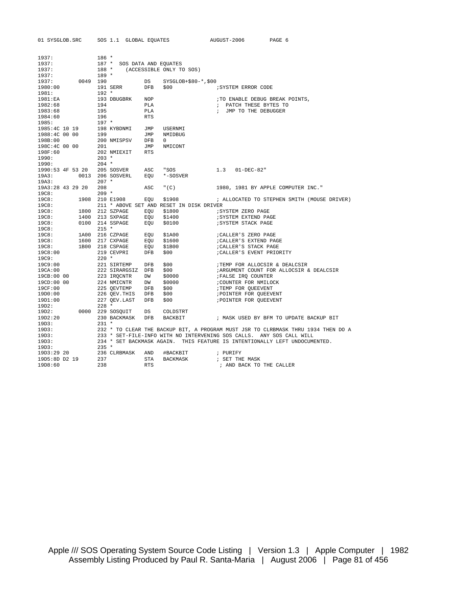| $186 *$<br>1937:<br>187 * SOS DATA AND EQUATES<br>188 * (ACCESSIBLE ONLY TO SOS)<br>1937:<br>$189 *$<br>1937:<br>0049 190<br>$SYSGLOB+$80-*, $00$<br>DS<br>1980:00<br>191 SERR<br>DFB<br>\$00<br>; SYSTEM ERROR CODE<br>$192 *$<br>1981:<br>1981:EA<br>193 DBUGBRK<br>NOP<br>TO ENABLE DEBUG BREAK POINTS,<br>1982:68<br>194<br>PLA<br>; PATCH THESE BYTES TO<br>1983:68<br>195<br>PLA<br>; JMP TO THE DEBUGGER<br>1984:60<br>196<br><b>RTS</b><br>$197 *$<br>1985:4C 10 19<br>198 KYBDNMI<br>USERNMI<br>JMP<br>199<br>JMP<br>NMIDBUG<br>200 NMISPSV<br>DFB<br>198B:00<br>$\mathbf{0}$<br>201<br>JMP<br>NMICONT<br>202 NMIEXIT<br>198F:60<br><b>RTS</b><br>$203 *$<br>$204$ *<br>205 SOSVER ASC<br>1990:53 4F 53 20<br>" SOS<br>1.3<br>$01 - DEC - 82"$<br>0013 206 SOSVERL<br>EQU<br>*-SOSVER<br>19A3:<br>$207$ *<br>19A3:<br>19A3:28 43 29 20<br>208<br>ASC<br>" $(C)$<br>1980, 1981 BY APPLE COMPUTER INC."<br>$209 *$<br>1908 210 E1908<br>\$1908<br>EQU<br>; ALLOCATED TO STEPHEN SMITH (MOUSE DRIVER)<br>211 * ABOVE SET AND RESET IN DISK DRIVER<br>1800 212 SZPAGE<br>EQU<br>\$1800<br>; SYSTEM ZERO PAGE<br>1400<br>19C8:<br>213 SXPAGE<br>EQU<br>\$1400<br>; SYSTEM EXTEND PAGE<br>0100 214 SSPAGE<br>\$0100<br>; SYSTEM STACK PAGE<br>EQU<br>19C8:<br>$215$ *<br>19C8:<br>1A00 216 CZPAGE<br>EQU<br>\$1A00<br>; CALLER'S ZERO PAGE<br>217 CXPAGE<br>19C8:<br>1600<br>EQU<br>\$1600<br>; CALLER'S EXTEND PAGE<br>19C8:<br>1B00 218 CSPAGE<br>EQU<br>\$1B00<br>: CALLER'S STACK PAGE<br>19C8:00<br>219 CEVPRI<br>DFB<br>\$00<br>; CALLER'S EVENT PRIORITY<br>$220 *$<br>19C9:<br>19C9:00<br>\$00<br>; TEMP FOR ALLOCSIR & DEALCSIR<br>221 SIRTEMP<br>DFB<br>19CA:00<br>222 SIRARGSIZ DFB<br>\$00<br>; ARGUMENT COUNT FOR ALLOCSIR & DEALCSIR<br>19CB:00 00<br>223 IRQCNTR<br>DW<br>\$0000<br>FALSE IRQ COUNTER<br>19CD:00 00<br>224 NMICNTR<br>\$0000<br>; COUNTER FOR NMILOCK<br>DW<br>225 QEVTEMP DFB<br>19CF:00<br>\$00<br>; TEMP FOR QUEEVENT<br>226 QEV. THIS DFB<br>19D0:00<br>\$00<br>POINTER FOR QUEEVENT<br>19D1:00<br>227 QEV.LAST<br>\$00<br>FOINTER FOR QUEEVENT<br>DFB<br>$228 *$<br>19D2:<br>0000 229 SOSQUIT<br>DS<br>COLDSTRT<br>19D2:<br>19D2:20<br>230 BACKMASK<br>DFB<br>BACKBIT<br>; MASK USED BY BFM TO UPDATE BACKUP BIT<br>19D3:<br>$231 *$<br>19D3:<br>232 * TO CLEAR THE BACKUP BIT, A PROGRAM MUST JSR TO CLRBMASK THRU 1934 THEN DO A<br>19D3:<br>233 * SET-FILE-INFO WITH NO INTERVENING SOS CALLS. ANY SOS CALL WILL<br>19D3:<br>234 * SET BACKMASK AGAIN. THIS FEATURE IS INTENTIONALLY LEFT UNDOCUMENTED.<br>$235$ *<br>19D3:<br>19D3:29 20<br>236 CLRBMASK<br>#BACKBIT<br>AND<br>; PURIFY<br>237<br>STA<br>BACKMASK<br>; SET THE MASK<br>238<br><b>RTS</b><br>; AND BACK TO THE CALLER | 01 SYSGLOB.SRC | SOS 1.1 GLOBAL EQUATES |  | AUGUST-2006<br>PAGE 6 |
|---------------------------------------------------------------------------------------------------------------------------------------------------------------------------------------------------------------------------------------------------------------------------------------------------------------------------------------------------------------------------------------------------------------------------------------------------------------------------------------------------------------------------------------------------------------------------------------------------------------------------------------------------------------------------------------------------------------------------------------------------------------------------------------------------------------------------------------------------------------------------------------------------------------------------------------------------------------------------------------------------------------------------------------------------------------------------------------------------------------------------------------------------------------------------------------------------------------------------------------------------------------------------------------------------------------------------------------------------------------------------------------------------------------------------------------------------------------------------------------------------------------------------------------------------------------------------------------------------------------------------------------------------------------------------------------------------------------------------------------------------------------------------------------------------------------------------------------------------------------------------------------------------------------------------------------------------------------------------------------------------------------------------------------------------------------------------------------------------------------------------------------------------------------------------------------------------------------------------------------------------------------------------------------------------------------------------------------------------------------------------------------------------------------------------------------------------------------------------------------------------------------------------------------------------------------------------------------------------------------------------------------------------------------------------------------------------------------------------------|----------------|------------------------|--|-----------------------|
|                                                                                                                                                                                                                                                                                                                                                                                                                                                                                                                                                                                                                                                                                                                                                                                                                                                                                                                                                                                                                                                                                                                                                                                                                                                                                                                                                                                                                                                                                                                                                                                                                                                                                                                                                                                                                                                                                                                                                                                                                                                                                                                                                                                                                                                                                                                                                                                                                                                                                                                                                                                                                                                                                                                                 | 1937:          |                        |  |                       |
|                                                                                                                                                                                                                                                                                                                                                                                                                                                                                                                                                                                                                                                                                                                                                                                                                                                                                                                                                                                                                                                                                                                                                                                                                                                                                                                                                                                                                                                                                                                                                                                                                                                                                                                                                                                                                                                                                                                                                                                                                                                                                                                                                                                                                                                                                                                                                                                                                                                                                                                                                                                                                                                                                                                                 |                |                        |  |                       |
|                                                                                                                                                                                                                                                                                                                                                                                                                                                                                                                                                                                                                                                                                                                                                                                                                                                                                                                                                                                                                                                                                                                                                                                                                                                                                                                                                                                                                                                                                                                                                                                                                                                                                                                                                                                                                                                                                                                                                                                                                                                                                                                                                                                                                                                                                                                                                                                                                                                                                                                                                                                                                                                                                                                                 | 1937:          |                        |  |                       |
|                                                                                                                                                                                                                                                                                                                                                                                                                                                                                                                                                                                                                                                                                                                                                                                                                                                                                                                                                                                                                                                                                                                                                                                                                                                                                                                                                                                                                                                                                                                                                                                                                                                                                                                                                                                                                                                                                                                                                                                                                                                                                                                                                                                                                                                                                                                                                                                                                                                                                                                                                                                                                                                                                                                                 |                |                        |  |                       |
|                                                                                                                                                                                                                                                                                                                                                                                                                                                                                                                                                                                                                                                                                                                                                                                                                                                                                                                                                                                                                                                                                                                                                                                                                                                                                                                                                                                                                                                                                                                                                                                                                                                                                                                                                                                                                                                                                                                                                                                                                                                                                                                                                                                                                                                                                                                                                                                                                                                                                                                                                                                                                                                                                                                                 |                |                        |  |                       |
|                                                                                                                                                                                                                                                                                                                                                                                                                                                                                                                                                                                                                                                                                                                                                                                                                                                                                                                                                                                                                                                                                                                                                                                                                                                                                                                                                                                                                                                                                                                                                                                                                                                                                                                                                                                                                                                                                                                                                                                                                                                                                                                                                                                                                                                                                                                                                                                                                                                                                                                                                                                                                                                                                                                                 |                |                        |  |                       |
|                                                                                                                                                                                                                                                                                                                                                                                                                                                                                                                                                                                                                                                                                                                                                                                                                                                                                                                                                                                                                                                                                                                                                                                                                                                                                                                                                                                                                                                                                                                                                                                                                                                                                                                                                                                                                                                                                                                                                                                                                                                                                                                                                                                                                                                                                                                                                                                                                                                                                                                                                                                                                                                                                                                                 |                |                        |  |                       |
|                                                                                                                                                                                                                                                                                                                                                                                                                                                                                                                                                                                                                                                                                                                                                                                                                                                                                                                                                                                                                                                                                                                                                                                                                                                                                                                                                                                                                                                                                                                                                                                                                                                                                                                                                                                                                                                                                                                                                                                                                                                                                                                                                                                                                                                                                                                                                                                                                                                                                                                                                                                                                                                                                                                                 |                |                        |  |                       |
|                                                                                                                                                                                                                                                                                                                                                                                                                                                                                                                                                                                                                                                                                                                                                                                                                                                                                                                                                                                                                                                                                                                                                                                                                                                                                                                                                                                                                                                                                                                                                                                                                                                                                                                                                                                                                                                                                                                                                                                                                                                                                                                                                                                                                                                                                                                                                                                                                                                                                                                                                                                                                                                                                                                                 |                |                        |  |                       |
|                                                                                                                                                                                                                                                                                                                                                                                                                                                                                                                                                                                                                                                                                                                                                                                                                                                                                                                                                                                                                                                                                                                                                                                                                                                                                                                                                                                                                                                                                                                                                                                                                                                                                                                                                                                                                                                                                                                                                                                                                                                                                                                                                                                                                                                                                                                                                                                                                                                                                                                                                                                                                                                                                                                                 |                |                        |  |                       |
|                                                                                                                                                                                                                                                                                                                                                                                                                                                                                                                                                                                                                                                                                                                                                                                                                                                                                                                                                                                                                                                                                                                                                                                                                                                                                                                                                                                                                                                                                                                                                                                                                                                                                                                                                                                                                                                                                                                                                                                                                                                                                                                                                                                                                                                                                                                                                                                                                                                                                                                                                                                                                                                                                                                                 |                |                        |  |                       |
|                                                                                                                                                                                                                                                                                                                                                                                                                                                                                                                                                                                                                                                                                                                                                                                                                                                                                                                                                                                                                                                                                                                                                                                                                                                                                                                                                                                                                                                                                                                                                                                                                                                                                                                                                                                                                                                                                                                                                                                                                                                                                                                                                                                                                                                                                                                                                                                                                                                                                                                                                                                                                                                                                                                                 | 1985:          |                        |  |                       |
|                                                                                                                                                                                                                                                                                                                                                                                                                                                                                                                                                                                                                                                                                                                                                                                                                                                                                                                                                                                                                                                                                                                                                                                                                                                                                                                                                                                                                                                                                                                                                                                                                                                                                                                                                                                                                                                                                                                                                                                                                                                                                                                                                                                                                                                                                                                                                                                                                                                                                                                                                                                                                                                                                                                                 |                |                        |  |                       |
|                                                                                                                                                                                                                                                                                                                                                                                                                                                                                                                                                                                                                                                                                                                                                                                                                                                                                                                                                                                                                                                                                                                                                                                                                                                                                                                                                                                                                                                                                                                                                                                                                                                                                                                                                                                                                                                                                                                                                                                                                                                                                                                                                                                                                                                                                                                                                                                                                                                                                                                                                                                                                                                                                                                                 | 1988:4C 00 00  |                        |  |                       |
|                                                                                                                                                                                                                                                                                                                                                                                                                                                                                                                                                                                                                                                                                                                                                                                                                                                                                                                                                                                                                                                                                                                                                                                                                                                                                                                                                                                                                                                                                                                                                                                                                                                                                                                                                                                                                                                                                                                                                                                                                                                                                                                                                                                                                                                                                                                                                                                                                                                                                                                                                                                                                                                                                                                                 |                |                        |  |                       |
|                                                                                                                                                                                                                                                                                                                                                                                                                                                                                                                                                                                                                                                                                                                                                                                                                                                                                                                                                                                                                                                                                                                                                                                                                                                                                                                                                                                                                                                                                                                                                                                                                                                                                                                                                                                                                                                                                                                                                                                                                                                                                                                                                                                                                                                                                                                                                                                                                                                                                                                                                                                                                                                                                                                                 | 198C:4C 00 00  |                        |  |                       |
|                                                                                                                                                                                                                                                                                                                                                                                                                                                                                                                                                                                                                                                                                                                                                                                                                                                                                                                                                                                                                                                                                                                                                                                                                                                                                                                                                                                                                                                                                                                                                                                                                                                                                                                                                                                                                                                                                                                                                                                                                                                                                                                                                                                                                                                                                                                                                                                                                                                                                                                                                                                                                                                                                                                                 |                |                        |  |                       |
|                                                                                                                                                                                                                                                                                                                                                                                                                                                                                                                                                                                                                                                                                                                                                                                                                                                                                                                                                                                                                                                                                                                                                                                                                                                                                                                                                                                                                                                                                                                                                                                                                                                                                                                                                                                                                                                                                                                                                                                                                                                                                                                                                                                                                                                                                                                                                                                                                                                                                                                                                                                                                                                                                                                                 | 1990:          |                        |  |                       |
|                                                                                                                                                                                                                                                                                                                                                                                                                                                                                                                                                                                                                                                                                                                                                                                                                                                                                                                                                                                                                                                                                                                                                                                                                                                                                                                                                                                                                                                                                                                                                                                                                                                                                                                                                                                                                                                                                                                                                                                                                                                                                                                                                                                                                                                                                                                                                                                                                                                                                                                                                                                                                                                                                                                                 | 1990:          |                        |  |                       |
|                                                                                                                                                                                                                                                                                                                                                                                                                                                                                                                                                                                                                                                                                                                                                                                                                                                                                                                                                                                                                                                                                                                                                                                                                                                                                                                                                                                                                                                                                                                                                                                                                                                                                                                                                                                                                                                                                                                                                                                                                                                                                                                                                                                                                                                                                                                                                                                                                                                                                                                                                                                                                                                                                                                                 |                |                        |  |                       |
|                                                                                                                                                                                                                                                                                                                                                                                                                                                                                                                                                                                                                                                                                                                                                                                                                                                                                                                                                                                                                                                                                                                                                                                                                                                                                                                                                                                                                                                                                                                                                                                                                                                                                                                                                                                                                                                                                                                                                                                                                                                                                                                                                                                                                                                                                                                                                                                                                                                                                                                                                                                                                                                                                                                                 |                |                        |  |                       |
|                                                                                                                                                                                                                                                                                                                                                                                                                                                                                                                                                                                                                                                                                                                                                                                                                                                                                                                                                                                                                                                                                                                                                                                                                                                                                                                                                                                                                                                                                                                                                                                                                                                                                                                                                                                                                                                                                                                                                                                                                                                                                                                                                                                                                                                                                                                                                                                                                                                                                                                                                                                                                                                                                                                                 |                |                        |  |                       |
|                                                                                                                                                                                                                                                                                                                                                                                                                                                                                                                                                                                                                                                                                                                                                                                                                                                                                                                                                                                                                                                                                                                                                                                                                                                                                                                                                                                                                                                                                                                                                                                                                                                                                                                                                                                                                                                                                                                                                                                                                                                                                                                                                                                                                                                                                                                                                                                                                                                                                                                                                                                                                                                                                                                                 |                |                        |  |                       |
|                                                                                                                                                                                                                                                                                                                                                                                                                                                                                                                                                                                                                                                                                                                                                                                                                                                                                                                                                                                                                                                                                                                                                                                                                                                                                                                                                                                                                                                                                                                                                                                                                                                                                                                                                                                                                                                                                                                                                                                                                                                                                                                                                                                                                                                                                                                                                                                                                                                                                                                                                                                                                                                                                                                                 | 19C8:          |                        |  |                       |
|                                                                                                                                                                                                                                                                                                                                                                                                                                                                                                                                                                                                                                                                                                                                                                                                                                                                                                                                                                                                                                                                                                                                                                                                                                                                                                                                                                                                                                                                                                                                                                                                                                                                                                                                                                                                                                                                                                                                                                                                                                                                                                                                                                                                                                                                                                                                                                                                                                                                                                                                                                                                                                                                                                                                 | 19C8:          |                        |  |                       |
|                                                                                                                                                                                                                                                                                                                                                                                                                                                                                                                                                                                                                                                                                                                                                                                                                                                                                                                                                                                                                                                                                                                                                                                                                                                                                                                                                                                                                                                                                                                                                                                                                                                                                                                                                                                                                                                                                                                                                                                                                                                                                                                                                                                                                                                                                                                                                                                                                                                                                                                                                                                                                                                                                                                                 | 19C8:          |                        |  |                       |
|                                                                                                                                                                                                                                                                                                                                                                                                                                                                                                                                                                                                                                                                                                                                                                                                                                                                                                                                                                                                                                                                                                                                                                                                                                                                                                                                                                                                                                                                                                                                                                                                                                                                                                                                                                                                                                                                                                                                                                                                                                                                                                                                                                                                                                                                                                                                                                                                                                                                                                                                                                                                                                                                                                                                 | 19C8:          |                        |  |                       |
|                                                                                                                                                                                                                                                                                                                                                                                                                                                                                                                                                                                                                                                                                                                                                                                                                                                                                                                                                                                                                                                                                                                                                                                                                                                                                                                                                                                                                                                                                                                                                                                                                                                                                                                                                                                                                                                                                                                                                                                                                                                                                                                                                                                                                                                                                                                                                                                                                                                                                                                                                                                                                                                                                                                                 |                |                        |  |                       |
|                                                                                                                                                                                                                                                                                                                                                                                                                                                                                                                                                                                                                                                                                                                                                                                                                                                                                                                                                                                                                                                                                                                                                                                                                                                                                                                                                                                                                                                                                                                                                                                                                                                                                                                                                                                                                                                                                                                                                                                                                                                                                                                                                                                                                                                                                                                                                                                                                                                                                                                                                                                                                                                                                                                                 | 19C8:          |                        |  |                       |
|                                                                                                                                                                                                                                                                                                                                                                                                                                                                                                                                                                                                                                                                                                                                                                                                                                                                                                                                                                                                                                                                                                                                                                                                                                                                                                                                                                                                                                                                                                                                                                                                                                                                                                                                                                                                                                                                                                                                                                                                                                                                                                                                                                                                                                                                                                                                                                                                                                                                                                                                                                                                                                                                                                                                 |                |                        |  |                       |
|                                                                                                                                                                                                                                                                                                                                                                                                                                                                                                                                                                                                                                                                                                                                                                                                                                                                                                                                                                                                                                                                                                                                                                                                                                                                                                                                                                                                                                                                                                                                                                                                                                                                                                                                                                                                                                                                                                                                                                                                                                                                                                                                                                                                                                                                                                                                                                                                                                                                                                                                                                                                                                                                                                                                 |                |                        |  |                       |
|                                                                                                                                                                                                                                                                                                                                                                                                                                                                                                                                                                                                                                                                                                                                                                                                                                                                                                                                                                                                                                                                                                                                                                                                                                                                                                                                                                                                                                                                                                                                                                                                                                                                                                                                                                                                                                                                                                                                                                                                                                                                                                                                                                                                                                                                                                                                                                                                                                                                                                                                                                                                                                                                                                                                 |                |                        |  |                       |
|                                                                                                                                                                                                                                                                                                                                                                                                                                                                                                                                                                                                                                                                                                                                                                                                                                                                                                                                                                                                                                                                                                                                                                                                                                                                                                                                                                                                                                                                                                                                                                                                                                                                                                                                                                                                                                                                                                                                                                                                                                                                                                                                                                                                                                                                                                                                                                                                                                                                                                                                                                                                                                                                                                                                 |                |                        |  |                       |
|                                                                                                                                                                                                                                                                                                                                                                                                                                                                                                                                                                                                                                                                                                                                                                                                                                                                                                                                                                                                                                                                                                                                                                                                                                                                                                                                                                                                                                                                                                                                                                                                                                                                                                                                                                                                                                                                                                                                                                                                                                                                                                                                                                                                                                                                                                                                                                                                                                                                                                                                                                                                                                                                                                                                 |                |                        |  |                       |
|                                                                                                                                                                                                                                                                                                                                                                                                                                                                                                                                                                                                                                                                                                                                                                                                                                                                                                                                                                                                                                                                                                                                                                                                                                                                                                                                                                                                                                                                                                                                                                                                                                                                                                                                                                                                                                                                                                                                                                                                                                                                                                                                                                                                                                                                                                                                                                                                                                                                                                                                                                                                                                                                                                                                 |                |                        |  |                       |
|                                                                                                                                                                                                                                                                                                                                                                                                                                                                                                                                                                                                                                                                                                                                                                                                                                                                                                                                                                                                                                                                                                                                                                                                                                                                                                                                                                                                                                                                                                                                                                                                                                                                                                                                                                                                                                                                                                                                                                                                                                                                                                                                                                                                                                                                                                                                                                                                                                                                                                                                                                                                                                                                                                                                 |                |                        |  |                       |
|                                                                                                                                                                                                                                                                                                                                                                                                                                                                                                                                                                                                                                                                                                                                                                                                                                                                                                                                                                                                                                                                                                                                                                                                                                                                                                                                                                                                                                                                                                                                                                                                                                                                                                                                                                                                                                                                                                                                                                                                                                                                                                                                                                                                                                                                                                                                                                                                                                                                                                                                                                                                                                                                                                                                 |                |                        |  |                       |
|                                                                                                                                                                                                                                                                                                                                                                                                                                                                                                                                                                                                                                                                                                                                                                                                                                                                                                                                                                                                                                                                                                                                                                                                                                                                                                                                                                                                                                                                                                                                                                                                                                                                                                                                                                                                                                                                                                                                                                                                                                                                                                                                                                                                                                                                                                                                                                                                                                                                                                                                                                                                                                                                                                                                 |                |                        |  |                       |
|                                                                                                                                                                                                                                                                                                                                                                                                                                                                                                                                                                                                                                                                                                                                                                                                                                                                                                                                                                                                                                                                                                                                                                                                                                                                                                                                                                                                                                                                                                                                                                                                                                                                                                                                                                                                                                                                                                                                                                                                                                                                                                                                                                                                                                                                                                                                                                                                                                                                                                                                                                                                                                                                                                                                 |                |                        |  |                       |
|                                                                                                                                                                                                                                                                                                                                                                                                                                                                                                                                                                                                                                                                                                                                                                                                                                                                                                                                                                                                                                                                                                                                                                                                                                                                                                                                                                                                                                                                                                                                                                                                                                                                                                                                                                                                                                                                                                                                                                                                                                                                                                                                                                                                                                                                                                                                                                                                                                                                                                                                                                                                                                                                                                                                 |                |                        |  |                       |
|                                                                                                                                                                                                                                                                                                                                                                                                                                                                                                                                                                                                                                                                                                                                                                                                                                                                                                                                                                                                                                                                                                                                                                                                                                                                                                                                                                                                                                                                                                                                                                                                                                                                                                                                                                                                                                                                                                                                                                                                                                                                                                                                                                                                                                                                                                                                                                                                                                                                                                                                                                                                                                                                                                                                 |                |                        |  |                       |
|                                                                                                                                                                                                                                                                                                                                                                                                                                                                                                                                                                                                                                                                                                                                                                                                                                                                                                                                                                                                                                                                                                                                                                                                                                                                                                                                                                                                                                                                                                                                                                                                                                                                                                                                                                                                                                                                                                                                                                                                                                                                                                                                                                                                                                                                                                                                                                                                                                                                                                                                                                                                                                                                                                                                 |                |                        |  |                       |
|                                                                                                                                                                                                                                                                                                                                                                                                                                                                                                                                                                                                                                                                                                                                                                                                                                                                                                                                                                                                                                                                                                                                                                                                                                                                                                                                                                                                                                                                                                                                                                                                                                                                                                                                                                                                                                                                                                                                                                                                                                                                                                                                                                                                                                                                                                                                                                                                                                                                                                                                                                                                                                                                                                                                 |                |                        |  |                       |
|                                                                                                                                                                                                                                                                                                                                                                                                                                                                                                                                                                                                                                                                                                                                                                                                                                                                                                                                                                                                                                                                                                                                                                                                                                                                                                                                                                                                                                                                                                                                                                                                                                                                                                                                                                                                                                                                                                                                                                                                                                                                                                                                                                                                                                                                                                                                                                                                                                                                                                                                                                                                                                                                                                                                 |                |                        |  |                       |
|                                                                                                                                                                                                                                                                                                                                                                                                                                                                                                                                                                                                                                                                                                                                                                                                                                                                                                                                                                                                                                                                                                                                                                                                                                                                                                                                                                                                                                                                                                                                                                                                                                                                                                                                                                                                                                                                                                                                                                                                                                                                                                                                                                                                                                                                                                                                                                                                                                                                                                                                                                                                                                                                                                                                 |                |                        |  |                       |
|                                                                                                                                                                                                                                                                                                                                                                                                                                                                                                                                                                                                                                                                                                                                                                                                                                                                                                                                                                                                                                                                                                                                                                                                                                                                                                                                                                                                                                                                                                                                                                                                                                                                                                                                                                                                                                                                                                                                                                                                                                                                                                                                                                                                                                                                                                                                                                                                                                                                                                                                                                                                                                                                                                                                 |                |                        |  |                       |
|                                                                                                                                                                                                                                                                                                                                                                                                                                                                                                                                                                                                                                                                                                                                                                                                                                                                                                                                                                                                                                                                                                                                                                                                                                                                                                                                                                                                                                                                                                                                                                                                                                                                                                                                                                                                                                                                                                                                                                                                                                                                                                                                                                                                                                                                                                                                                                                                                                                                                                                                                                                                                                                                                                                                 |                |                        |  |                       |
|                                                                                                                                                                                                                                                                                                                                                                                                                                                                                                                                                                                                                                                                                                                                                                                                                                                                                                                                                                                                                                                                                                                                                                                                                                                                                                                                                                                                                                                                                                                                                                                                                                                                                                                                                                                                                                                                                                                                                                                                                                                                                                                                                                                                                                                                                                                                                                                                                                                                                                                                                                                                                                                                                                                                 |                |                        |  |                       |
|                                                                                                                                                                                                                                                                                                                                                                                                                                                                                                                                                                                                                                                                                                                                                                                                                                                                                                                                                                                                                                                                                                                                                                                                                                                                                                                                                                                                                                                                                                                                                                                                                                                                                                                                                                                                                                                                                                                                                                                                                                                                                                                                                                                                                                                                                                                                                                                                                                                                                                                                                                                                                                                                                                                                 |                |                        |  |                       |
|                                                                                                                                                                                                                                                                                                                                                                                                                                                                                                                                                                                                                                                                                                                                                                                                                                                                                                                                                                                                                                                                                                                                                                                                                                                                                                                                                                                                                                                                                                                                                                                                                                                                                                                                                                                                                                                                                                                                                                                                                                                                                                                                                                                                                                                                                                                                                                                                                                                                                                                                                                                                                                                                                                                                 |                |                        |  |                       |
|                                                                                                                                                                                                                                                                                                                                                                                                                                                                                                                                                                                                                                                                                                                                                                                                                                                                                                                                                                                                                                                                                                                                                                                                                                                                                                                                                                                                                                                                                                                                                                                                                                                                                                                                                                                                                                                                                                                                                                                                                                                                                                                                                                                                                                                                                                                                                                                                                                                                                                                                                                                                                                                                                                                                 | 19D5:8D D2 19  |                        |  |                       |
|                                                                                                                                                                                                                                                                                                                                                                                                                                                                                                                                                                                                                                                                                                                                                                                                                                                                                                                                                                                                                                                                                                                                                                                                                                                                                                                                                                                                                                                                                                                                                                                                                                                                                                                                                                                                                                                                                                                                                                                                                                                                                                                                                                                                                                                                                                                                                                                                                                                                                                                                                                                                                                                                                                                                 | 19D8:60        |                        |  |                       |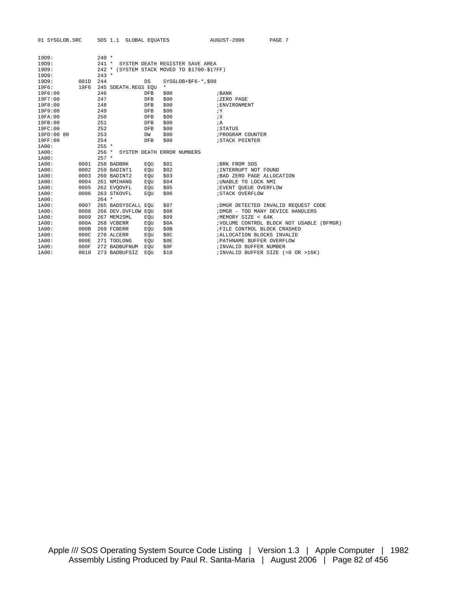| 01 SYSGLOB.SRC |          | SOS 1.1 GLOBAL EQUATES                      |                    |                      | AUGUST-2006                        | PAGE 7                                    |
|----------------|----------|---------------------------------------------|--------------------|----------------------|------------------------------------|-------------------------------------------|
| 19D9:          |          | $240 *$                                     |                    |                      |                                    |                                           |
| 19D9:          |          | 241 * SYSTEM DEATH REGISTER SAVE AREA       |                    |                      |                                    |                                           |
| 19D9:          |          | 242 * (SYSTEM STACK MOVED TO \$1700-\$17FF) |                    |                      |                                    |                                           |
| 19D9:          |          | $243 *$                                     |                    |                      |                                    |                                           |
| 19D9:          | 001D 244 |                                             | DS                 | $SYSGLOB+SP6-*, $00$ |                                    |                                           |
| 19F6:          | 19F6     | 245 SDEATH.REGS EQU                         | $\star$            |                      |                                    |                                           |
| 19F6:00        |          | 246                                         | DFB<br>\$00        |                      | ; BANK                             |                                           |
| 19F7:00        |          | 247                                         | \$00<br>DFB        |                      | ;ZERO PAGE                         |                                           |
| 19F8:00        |          | 248                                         | \$00<br>DFB        |                      | ; ENVIRONMENT                      |                                           |
| 19F9:00        |          | 249                                         | \$00<br>DFB        |                      | iY                                 |                                           |
| 19FA:00        |          | 250                                         | \$00<br><b>DFB</b> |                      | iX                                 |                                           |
| 19FB:00        |          | 251                                         | \$00<br>DFB        |                      | ; A                                |                                           |
| 19FC:00        |          | 252                                         | \$00<br><b>DFB</b> |                      | ; STATUS                           |                                           |
| 19FD:00 00     |          | 253                                         | \$00<br>DW         |                      | ; PROGRAM COUNTER                  |                                           |
| 19FF:00        |          | 254                                         | <b>DFB</b><br>\$00 |                      | ; STACK POINTER                    |                                           |
| 1A00:          |          | $255 *$                                     |                    |                      |                                    |                                           |
| 1A00:          |          | 256 * SYSTEM DEATH ERROR NUMBERS            |                    |                      |                                    |                                           |
| 1A00:          |          | $257 *$                                     |                    |                      |                                    |                                           |
| 1A00:          | 0001     | 258 BADBRK                                  | \$01<br>EOU        |                      | ; BRK FROM SOS                     |                                           |
| 1A00:          | 0002     | 259 BADINT1                                 | \$02<br>EOU        |                      | ; INTERRUPT NOT FOUND              |                                           |
| 1A00:          | 0003     | 260 BADINT2                                 | \$03<br>EOU        |                      | ; BAD ZERO PAGE ALLOCATION         |                                           |
| 1A00:          | 0004     | 261 NMIHANG                                 | \$04<br>EOU        |                      | ; UNABLE TO LOCK NMI               |                                           |
| 1A00:          | 0005     | 262 EVQOVFL                                 | \$05<br>EOU        |                      | ; EVENT QUEUE OVERFLOW             |                                           |
| 1A00:          | 0006     | 263 STKOVFL                                 | \$06<br>EOU        |                      | ; STACK OVERFLOW                   |                                           |
| 1A00:          |          | $264$ *                                     |                    |                      |                                    |                                           |
| 1A00:          | 0007     | 265 BADSYSCALL EQU                          | \$07               |                      |                                    | ; DMGR DETECTED INVALID REQUEST CODE      |
| 1A00:          | 0008     | 266 DEV.OVFLOW EOU                          | \$08               |                      | ; DMGR - TOO MANY DEVICE HANDLERS  |                                           |
| 1A00:          | 0009     | 267 MEM2SML                                 | \$09<br>EOU        |                      | /MEMORY SIZE < 64K                 |                                           |
| 1A00:          | 000A     | 268 VCBERR                                  | \$0A<br>EOU        |                      |                                    | ; VOLUME CONTROL BLOCK NOT USABLE (BFMGR) |
| 1A00:          | 000B     | 269 FCBERR                                  | \$0B<br>EOU        |                      | ; FILE CONTROL BLOCK CRASHED       |                                           |
| 1A00:          | 000C     | 270 ALCERR                                  | \$0C<br>EOU        |                      | ; ALLOCATION BLOCKS INVALID        |                                           |
| 1A00:          | 000E     | 271 TOOLONG                                 | \$0E<br>EOU        |                      | ; PATHNAME BUFFER OVERFLOW         |                                           |
| 1A00:          | 000F     | 272 BADBUFNUM                               | \$0F<br>EOU        |                      | ; INVALID BUFFER NUMBER            |                                           |
| 1A00:          | 0010     | 273 BADBUFSIZ                               | \$10<br>EOU        |                      | ; INVALID BUFFER SIZE (=0 OR >16K) |                                           |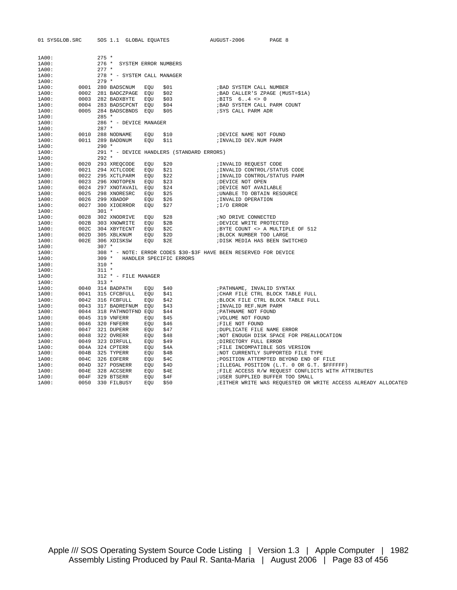| 01 SYSGLOB.SRC |      |         | SOS 1.1 GLOBAL EQUATES                  |            |                                           | AUGUST-2006                                                       | PAGE 8                                                         |
|----------------|------|---------|-----------------------------------------|------------|-------------------------------------------|-------------------------------------------------------------------|----------------------------------------------------------------|
| 1A00:          |      | $275 *$ |                                         |            |                                           |                                                                   |                                                                |
| 1A00:          |      | $276$ * | SYSTEM ERROR NUMBERS                    |            |                                           |                                                                   |                                                                |
| 1A00:          |      | $277 *$ |                                         |            |                                           |                                                                   |                                                                |
| 1A00:          |      |         | 278 * - SYSTEM CALL MANAGER             |            |                                           |                                                                   |                                                                |
| 1A00:          |      | $279 *$ |                                         |            |                                           |                                                                   |                                                                |
| 1A00:          |      |         | 0001 280 BADSCNUM                       | EQU        | \$01                                      | ; BAD SYSTEM CALL NUMBER                                          |                                                                |
| 1A00:          |      |         | 0002 281 BADCZPAGE EQU                  |            | \$02                                      | ; BAD CALLER'S ZPAGE (MUST=\$1A)                                  |                                                                |
| 1A00:          |      |         | 0003 282 BADXBYTE                       | EOU        | \$03                                      | $i$ BITS $64$ <> 0                                                |                                                                |
| 1A00:          |      |         | 0004 283 BADSCPCNT EQU                  |            | \$04                                      | ; BAD SYSTEM CALL PARM COUNT                                      |                                                                |
| 1A00:          |      |         | 0005 284 BADSCBNDS EQU                  |            | \$05                                      | ; SYS CALL PARM ADR                                               |                                                                |
| 1A00:          |      | $285 *$ |                                         |            |                                           |                                                                   |                                                                |
| 1A00:          |      |         | 286 * - DEVICE MANAGER                  |            |                                           |                                                                   |                                                                |
| 1A00:          |      | $287 *$ |                                         |            |                                           |                                                                   |                                                                |
| 1A00:          |      |         | 0010 288 NODNAME                        | EOU        | \$10                                      | ; DEVICE NAME NOT FOUND                                           |                                                                |
| 1A00:          |      |         | 0011 289 BADDNUM                        | EOU        | \$11                                      | ; INVALID DEV.NUM PARM                                            |                                                                |
| 1A00:          |      | $290 *$ |                                         |            |                                           |                                                                   |                                                                |
| 1A00:          |      |         |                                         |            | 291 * - DEVICE HANDLERS (STANDARD ERRORS) |                                                                   |                                                                |
| 1A00:          |      | $292 *$ |                                         |            |                                           |                                                                   |                                                                |
| 1A00:          |      |         | 0020 293 XREOCODE                       | EOU        | \$20                                      | ; INVALID REQUEST CODE                                            |                                                                |
| 1A00:          |      |         | 0021 294 XCTLCODE                       | EQU        | \$21                                      | ; INVALID CONTROL/STATUS CODE                                     |                                                                |
| 1A00:          |      |         | 0022 295 XCTLPARM                       | EOU        | \$22                                      | ; INVALID CONTROL/STATUS PARM                                     |                                                                |
| 1A00:<br>1A00: |      |         | 0023 296 XNOTOPEN<br>0024 297 XNOTAVAIL | EQU<br>EQU | \$23<br>\$24                              | ; DEVICE NOT OPEN<br>; DEVICE NOT AVAILABLE                       |                                                                |
| 1A00:          |      |         | 0025 298 XNORESRC                       | EQU        | \$25                                      | ; UNABLE TO OBTAIN RESOURCE                                       |                                                                |
| 1A00:          | 0026 |         | 299 XBADOP                              | EQU        | \$26                                      | ; INVALID OPERATION                                               |                                                                |
| 1A00:          |      |         | 0027 300 XIOERROR                       | EQU        | \$27                                      | <i>II/O ERROR</i>                                                 |                                                                |
| 1A00:          |      | $301 *$ |                                         |            |                                           |                                                                   |                                                                |
| 1A00:          |      |         | 0028 302 XNODRIVE                       | EOU        | \$28                                      | ; NO DRIVE CONNECTED                                              |                                                                |
| 1A00:          |      |         | 002B 303 XNOWRITE                       | EOU        | \$2B                                      | ; DEVICE WRITE PROTECTED                                          |                                                                |
| 1A00:          | 002C |         | 304 XBYTECNT                            | EOU        | \$2C                                      |                                                                   | ; BYTE COUNT <> A MULTIPLE OF 512                              |
| 1A00:          |      |         | 002D 305 XBLKNUM                        | EOU        | \$2D                                      | ; BLOCK NUMBER TOO LARGE                                          |                                                                |
| 1A00:          |      |         | 002E 306 XDISKSW                        | EOU        | \$2E                                      | ; DISK MEDIA HAS BEEN SWITCHED                                    |                                                                |
| 1A00:          |      | $307 *$ |                                         |            |                                           |                                                                   |                                                                |
| 1A00:          |      |         |                                         |            |                                           | 308 * - NOTE: ERROR CODES \$30-\$3F HAVE BEEN RESERVED FOR DEVICE |                                                                |
| 1A00:          |      | $309 *$ |                                         |            | HANDLER SPECIFIC ERRORS                   |                                                                   |                                                                |
| 1A00:          |      | $310 *$ |                                         |            |                                           |                                                                   |                                                                |
| 1A00:          |      | $311 *$ |                                         |            |                                           |                                                                   |                                                                |
| 1A00:          |      |         | 312 * - FILE MANAGER                    |            |                                           |                                                                   |                                                                |
| 1A00:          |      | $313 *$ |                                         |            |                                           |                                                                   |                                                                |
| 1A00:          |      |         | 0040 314 BADPATH                        | EOU        | \$40                                      | ; PATHNAME, INVALID SYNTAX                                        |                                                                |
| 1A00:          |      |         | 0041 315 CFCBFULL                       | EOU        | \$41                                      |                                                                   | ; CHAR FILE CTRL BLOCK TABLE FULL                              |
| 1A00:          |      |         | 0042 316 FCBFULL                        | EOU        | \$42                                      |                                                                   | ; BLOCK FILE CTRL BLOCK TABLE FULL                             |
| 1A00:          | 0044 |         | 0043 317 BADREFNUM EQU                  |            | \$43                                      | ; INVALID REF. NUM PARM<br>; PATHNAME NOT FOUND                   |                                                                |
| 1A00:<br>1A00: | 0045 |         | 318 PATHNOTFND EQU<br>319 VNFERR        | EOU        | \$44<br>\$45                              | ; VOLUME NOT FOUND                                                |                                                                |
| 1A00:          |      |         | 0046 320 FNFERR                         | EOU        | \$46                                      | FILE NOT FOUND                                                    |                                                                |
| 1A00:          | 0047 |         | 321 DUPERR                              | EOU        | \$47                                      | ; DUPLICATE FILE NAME ERROR                                       |                                                                |
| 1A00:          |      |         | 0048 322 OVRERR                         | EOU        | \$48                                      |                                                                   | ; NOT ENOUGH DISK SPACE FOR PREALLOCATION                      |
| 1A00:          |      |         | 0049 323 DIRFULL                        | EOU        | \$49                                      | ; DIRECTORY FULL ERROR                                            |                                                                |
| 1A00:          |      |         | 004A 324 CPTERR                         | EOU        | \$4A                                      | ; FILE INCOMPATIBLE SOS VERSION                                   |                                                                |
| 1A00:          |      |         | 004B 325 TYPERR                         | EOU        | \$4B                                      |                                                                   | ; NOT CURRENTLY SUPPORTED FILE TYPE                            |
| 1A00:          |      |         | 004C 326 EOFERR                         | EQU        | \$4C                                      |                                                                   | ; POSITION ATTEMPTED BEYOND END OF FILE                        |
| 1A00:          |      |         | 004D 327 POSNERR                        | EQU        | \$4D                                      |                                                                   | ; ILLEGAL POSITION (L.T. 0 OR G.T. \$FFFFFF)                   |
| 1A00:          | 004E |         | 328 ACCSERR                             | EQU        | \$4E                                      |                                                                   | ; FILE ACCESS R/W REQUEST CONFLICTS WITH ATTRIBUTES            |
| 1A00:          | 004F |         | 329 BTSERR                              | EOU        | \$4F                                      | ; USER SUPPLIED BUFFER TOO SMALL                                  |                                                                |
| 1A00:          | 0050 |         | 330 FILBUSY                             | EOU        | \$50                                      |                                                                   | ; EITHER WRITE WAS REQUESTED OR WRITE ACCESS ALREADY ALLOCATED |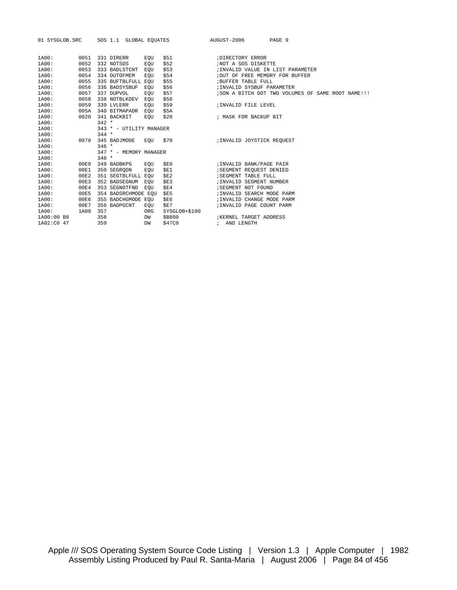|            |      |                            |     | 01 SYSGLOB.SRC SOS 1.1 GLOBAL EQUATES AUGUST-2006 |                                   | PAGE 9                                              |
|------------|------|----------------------------|-----|---------------------------------------------------|-----------------------------------|-----------------------------------------------------|
|            |      |                            |     |                                                   |                                   |                                                     |
| 1A00:      | 0051 | 331 DIRERR                 | EOU | \$51                                              | ; DIRECTORY ERROR                 |                                                     |
| 1A00:      | 0052 | 332 NOTSOS                 | EQU | \$52                                              | ; NOT A SOS DISKETTE              |                                                     |
| 1A00:      | 0053 | 333 BADLSTCNT EQU          |     | \$53                                              | ; INVALID VALUE IN LIST PARAMETER |                                                     |
| 1A00:      | 0054 | 334 OUTOFMEM               | EOU | \$54                                              | ; OUT OF FREE MEMORY FOR BUFFER   |                                                     |
| 1A00:      | 0055 | 335 BUFTBLFULL EQU         |     | \$55                                              | ; BUFFER TABLE FULL               |                                                     |
| 1A00:      | 0056 | 336 BADSYSBUF EOU          |     | \$56                                              | ; INVALID SYSBUF PARAMETER        |                                                     |
| 1A00:      | 0057 | 337 DUPVOL                 | EOU | \$57                                              |                                   | ; SON A BITCH GOT TWO VOLUMES OF SAME ROOT NAME !!! |
| 1A00:      | 0058 | 338 NOTBLKDEV EQU          |     | \$58                                              |                                   |                                                     |
| 1A00:      | 0059 | 339 LVLERR                 | EOU | \$59                                              | ; INVALID FILE LEVEL              |                                                     |
| 1A00:      | 005A | 340 BITMAPADR EOU          |     | \$5A                                              |                                   |                                                     |
| 1A00:      | 0020 | 341 BACKBIT                | EOU | \$20                                              | ; MASK FOR BACKUP BIT             |                                                     |
| 1A00:      |      | $342 *$                    |     |                                                   |                                   |                                                     |
| 1A00:      |      | 343 * - UTILITY MANAGER    |     |                                                   |                                   |                                                     |
| 1A00:      |      | $344 *$                    |     |                                                   |                                   |                                                     |
| 1A00:      |      | 0070 345 BADJMODE EQU \$70 |     |                                                   | ;INVALID JOYSTICK REQUEST         |                                                     |
| 1A00:      |      | $346 *$                    |     |                                                   |                                   |                                                     |
| 1A00:      |      | 347 * - MEMORY MANAGER     |     |                                                   |                                   |                                                     |
| 1A00:      |      | $348 *$                    |     |                                                   |                                   |                                                     |
| 1A00:      |      | 00E0 349 BADBKPG EQU       |     | SE0                                               | ;INVALID BANK/PAGE PAIR           |                                                     |
| 1A00:      | 00E1 | 350 SEGRODN                | EOU | \$E1                                              | SEGMENT REQUEST DENIED            |                                                     |
| 1A00:      | 00E2 | 351 SEGTBLFULL EOU         |     | \$E2                                              | SEGMENT TABLE FULL                |                                                     |
| 1A00:      | 00E3 | 352 BADSEGNUM EQU          |     | SE3                                               | ; INVALID SEGMENT NUMBER          |                                                     |
| 1A00:      | 00E4 | 353 SEGNOTFND EQU          |     | \$E4                                              | ; SEGMENT NOT FOUND               |                                                     |
| 1A00:      | 00E5 | 354 BADSRCHMODE EQU \$E5   |     |                                                   | ; INVALID SEARCH MODE PARM        |                                                     |
| 1A00:      | 00E6 | 355 BADCHGMODE EOU         |     | SE6                                               | ; INVALID CHANGE MODE PARM        |                                                     |
| 1A00:      | 00E7 | 356 BADPGCNT               | EOU | SE7                                               | ; INVALID PAGE COUNT PARM         |                                                     |
| 1A00:      | 1A00 | 357                        | ORG | SYSGLOB+\$100                                     |                                   |                                                     |
| 1A00:00 B8 |      | 358                        | DW  | \$B800                                            | KERNEL TARGET ADDRESS             |                                                     |
| 1A02:C0 47 |      | 359                        | DW  | \$47C0                                            | ; AND LENGTH                      |                                                     |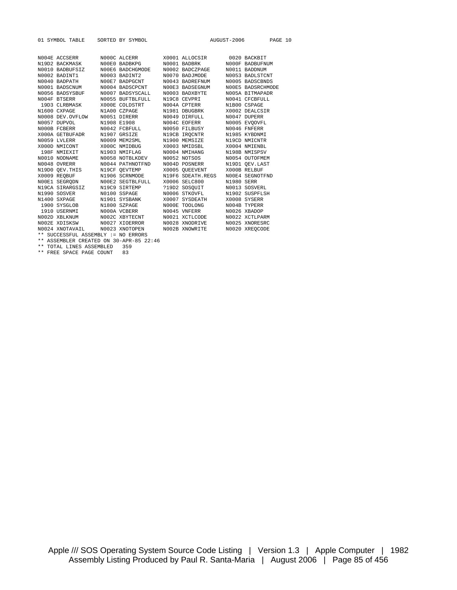|              | 01 SYMBOL TABLE SORTED BY SYMBOL    |                                                                                                                                                                                                           |                   |                              | AUGUST-2006 PAGE 10 |  |
|--------------|-------------------------------------|-----------------------------------------------------------------------------------------------------------------------------------------------------------------------------------------------------------|-------------------|------------------------------|---------------------|--|
|              |                                     |                                                                                                                                                                                                           |                   |                              |                     |  |
|              |                                     | NO04E ACCSERR MOOOC ALCERR X0001 ALLOCSIR 0020 BACKBIT                                                                                                                                                    |                   |                              |                     |  |
|              |                                     | N19D2 BACKMASK N00E0 BADBKPG                                                                                                                                                                              |                   | N0001 BADBRK N000F BADBUFNUM |                     |  |
|              |                                     | N0010 BADBUFSIZ N00E6 BADCHGMODE                                                                                                                                                                          | N0002 BADCZPAGE   |                              | N0011 BADDNUM       |  |
|              |                                     | $N0002 \quad \text{BADINT1} \qquad N0003 \quad \text{BADINT2} \qquad N0001 \quad \text{BADINT1} \qquad N0003 \quad \text{BADINT2} \qquad N0001 \quad \text{BADSGNUM} \qquad N0004 \quad \text{BADSCPCNT}$ | N0070 BADJMODE    |                              | N0053 BADLSTCNT     |  |
|              |                                     |                                                                                                                                                                                                           | N0043 BADREFNUM   |                              | N0005 BADSCBNDS     |  |
|              |                                     |                                                                                                                                                                                                           | NOOE3 BADSEGNUM   |                              | NOOE5 BADSRCHMODE   |  |
|              |                                     | N0056 BADSYSBUF N0007 BADSYSCALL                                                                                                                                                                          | N0003 BADXBYTE    |                              | N005A BITMAPADR     |  |
| NO04F BTSERR |                                     | N0055 BUFTBLFULL                                                                                                                                                                                          | N19C8 CEVPRI      |                              | N0041 CFCBFULL      |  |
|              |                                     | 19D3 CLRBMASK X000E COLDSTRT                                                                                                                                                                              | N004A CPTERR      |                              | N1B00 CSPAGE        |  |
|              |                                     | NI600 CXPAGE NIAO0 CZPAGE NI981 DBUGBRK X0002 DEALCSI<br>NO008 DEV.OVFLOW NO051 DIRERR NO049 DIRFULL NO047 DUPERR<br>NO057 DUPVOL N1908 E1908 NO04C EOFERR NO065 EVQOVFI                                  |                   |                              | X0002 DEALCSIR      |  |
|              |                                     |                                                                                                                                                                                                           |                   |                              |                     |  |
|              |                                     |                                                                                                                                                                                                           |                   |                              | N0005 EVOOVFL       |  |
|              |                                     | NOOOB FCBERR NOO42 FCBFULL                                                                                                                                                                                | N0050 FILBUSY     |                              | N0046 FNFERR        |  |
|              |                                     | X000A GETBUFADR N1907 GRSIZE                                                                                                                                                                              | N19CB IROCNTR     |                              | N1985 KYBDNMI       |  |
|              | N0059 LVLERR                        | N0009 MEM2SML                                                                                                                                                                                             | N1900 MEMSIZE     |                              | N19CD NMICNTR       |  |
|              |                                     |                                                                                                                                                                                                           |                   |                              | X0004 NMIENBL       |  |
|              |                                     | $\begin{tabular}{lcccc} X000D MMCONT & X000C MMDBUG & X0003 MMDSBL \\ 198F MMEXIT & N1903 MMFLAG & N0004 MMHANG \\ NO010 NODNAME & N0058 NOFBLKDEV & N0052 NOTSOS \\ \end{tabular}$                       |                   |                              | N198B NMISPSV       |  |
|              |                                     |                                                                                                                                                                                                           |                   |                              | N0054 OUTOFMEM      |  |
|              |                                     | NO048 OVRERR MO044 PATHNOTFND NO04D POSNERR N19D1 QEV.LAST                                                                                                                                                |                   |                              |                     |  |
|              |                                     | N19D0 QEV.THIS N19CF QEVTEMP X0005 QUEEVENT X000B RELBUF                                                                                                                                                  |                   |                              |                     |  |
|              |                                     | X0009 REOBUF N1906 SCRNMODE                                                                                                                                                                               | N19F6 SDEATH.REGS |                              | NO0E4 SEGNOTFND     |  |
|              |                                     | NOOEL SEGRODN NOOEL SEGTELFULL XOOOE SELC800 N1980 SERR<br>N19CA STRARGSIZ N19C9 SIRTEMP ?19D2 SOSQUIT NOOIL SOSVERL<br>N1990 SOSVER NOOIO SSPAGE NOOOE STKOVFL N1902 SUSPFLSF                            |                   |                              |                     |  |
|              |                                     |                                                                                                                                                                                                           |                   |                              |                     |  |
|              |                                     |                                                                                                                                                                                                           |                   | N0006 STKOVFL N1902 SUSPFLSH |                     |  |
|              |                                     | N1400 SXPAGE N1901 SYSBANK                                                                                                                                                                                | X0007 SYSDEATH    |                              | X0008 SYSERR        |  |
|              |                                     | 1900 SYSGLOB N1800 SZPAGE                                                                                                                                                                                 | NOOOE TOOLONG     |                              | NO04B TYPERR        |  |
|              |                                     | 1910 USERNMI NOOOA VCBERR                                                                                                                                                                                 | N0045 VNFERR      |                              | N0026 XBADOP        |  |
|              |                                     |                                                                                                                                                                                                           |                   |                              | N0022 XCTLPARM      |  |
|              |                                     |                                                                                                                                                                                                           |                   |                              | N0025 XNORESRC      |  |
|              |                                     |                                                                                                                                                                                                           |                   |                              | N0020 XREOCODE      |  |
|              | ** SUCCESSFUL ASSEMBLY := NO ERRORS | .                                                                                                                                                                                                         |                   |                              |                     |  |

\*\* ASSEMBLER CREATED ON 30-APR-85 22:46 \*\* TOTAL LINES ASSEMBLED 359

\*\* FREE SPACE PAGE COUNT 83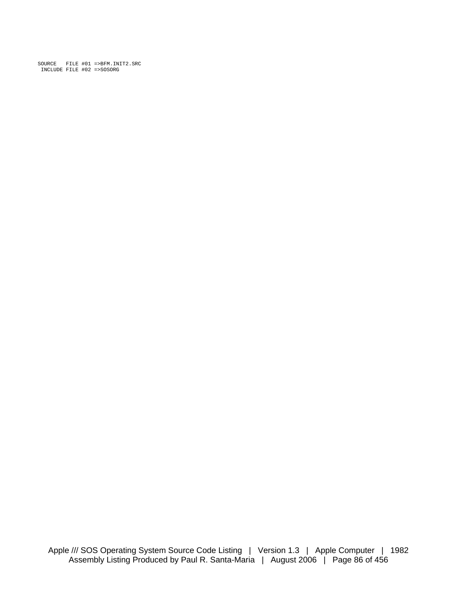SOURCE FILE #01 =>BFM.INIT2.SRC INCLUDE FILE #02 =>SOSORG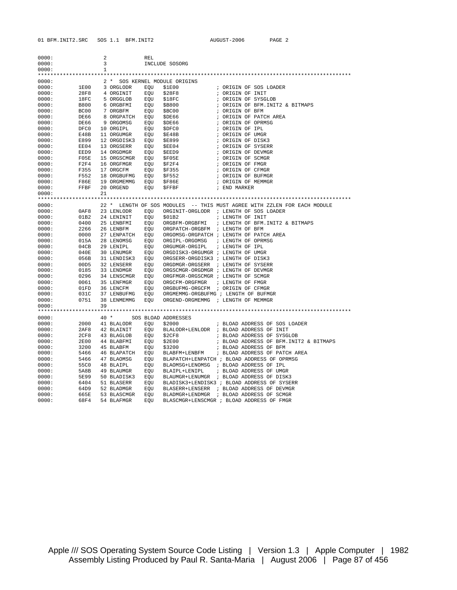| 0000:          |              | 2            |                         | <b>REL</b> |                                      |                                                                          |
|----------------|--------------|--------------|-------------------------|------------|--------------------------------------|--------------------------------------------------------------------------|
| 0000:          |              | 3            |                         |            | INCLUDE SOSORG                       |                                                                          |
| 0000:          |              | $\mathbf{1}$ |                         |            |                                      |                                                                          |
|                |              |              |                         |            |                                      |                                                                          |
| 0000:          |              |              |                         |            | 2 * SOS KERNEL MODULE ORIGINS        |                                                                          |
| 0000:          | 1E00         |              | 3 ORGLODR               | EQU        | \$1E00                               | ; ORIGIN OF SOS LOADER                                                   |
| 0000:          | 28F8         |              | 4 ORGINIT               | EOU        | \$28F8                               | ; ORIGIN OF INIT                                                         |
| 0000:          | 18FC         |              | 5 ORGGLOB               | EQU        | \$18FC                               | ; ORIGIN OF SYSGLOB                                                      |
| 0000:          | B800         |              | 6 ORGBFMI               | EQU        | \$B800                               | ; ORIGIN OF BFM. INIT2 & BITMAPS                                         |
| 0000:          | BC00         |              | 7 ORGBFM                | EQU        | \$BC00                               | ; ORIGIN OF BFM                                                          |
| 0000:          | DE66         |              | 8 ORGPATCH EQU          |            | \$DE66                               | ; ORIGIN OF PATCH AREA                                                   |
| 0000:          | DE66         |              | 9 ORGOMSG               | EQU        | \$DE66                               | ; ORIGIN OF OPRMSG                                                       |
| 0000:          | DFC0         |              | 10 ORGIPL               | EQU        | \$DFC0                               | ; ORIGIN OF IPL                                                          |
| 0000:          | E48B         |              | 11 ORGUMGR              | EQU        | \$E48B                               | ; ORIGIN OF UMGR                                                         |
| 0000:          | E899         |              | 12 ORGDISK3             | EQU        | <b>\$E899</b>                        | ; ORIGIN OF DISK3                                                        |
| 0000:          | EE04         |              | 13 ORGSERR              | EQU        | \$EE04                               | ; ORIGIN OF SYSERR                                                       |
| 0000:          | EED9         |              | 14 ORGDMGR              | EQU        | \$EED9                               | ; ORIGIN OF DEVMGR                                                       |
| 0000:          | FOSE         |              | 15 ORGSCMGR             | EQU        | SF05E                                | ; ORIGIN OF SCMGR                                                        |
| 0000:          | F2F4         |              | 16 ORGFMGR              | EQU        | \$F2F4                               | ; ORIGIN OF FMGR                                                         |
| 0000:          | F355         |              | 17 ORGCFM               | EQU        | \$F355                               | ; ORIGIN OF CFMGR                                                        |
| 0000:          | F552         |              | 18 ORGBUFMG             | EQU        | \$F552                               | ; ORIGIN OF BUFMGR                                                       |
| 0000:          | F86E         |              | 19 ORGMEMMG             | EQU        | \$F86E                               | ; ORIGIN OF MEMMGR                                                       |
| 0000:          | FFBF         |              | 20 ORGEND               | EQU        | <b>SFFBF</b>                         | ; END MARKER                                                             |
| 0000:          |              | 21           |                         |            |                                      |                                                                          |
|                |              |              |                         |            |                                      |                                                                          |
| 0000:          |              |              |                         |            |                                      | 22 * LENGTH OF SOS MODULES -- THIS MUST AGREE WITH ZZLEN FOR EACH MODULE |
| 0000:          | 0AF8         |              | 23 LENLODR              | EQU        |                                      | ORGINIT-ORGLODR ; LENGTH OF SOS LOADER                                   |
| 0000:          | 01B2         |              | 24 LENINIT              | EQU        | \$01B2                               | ; LENGTH OF INIT                                                         |
| 0000:          | 0400         |              | 25 LENBFMI              | EQU        | ORGBFM-ORGBFMI                       | ; LENGTH OF BFM. INIT2 & BITMAPS                                         |
| 0000:          | 2266         |              | 26 LENBFM               | EQU        | ORGPATCH-ORGBFM ; LENGTH OF BFM      |                                                                          |
| 0000:          | 0000         |              | 27 LENPATCH             | EQU        |                                      | ORGOMSG-ORGPATCH ; LENGTH OF PATCH AREA                                  |
| 0000:          | 015A         |              | 28 LENOMSG              | EOU        | ORGIPL-ORGOMSG                       | ; LENGTH OF OPRMSG                                                       |
| 0000:          | 04CB         |              | 29 LENIPL               | EQU        | ORGUMGR-ORGIPL                       | ; LENGTH OF IPL                                                          |
| 0000:          | 040E         |              | 30 LENUMGR              | EOU        | ORGDISK3-ORGUMGR ; LENGTH OF UMGR    |                                                                          |
| 0000:          | 056B         |              | 31 LENDISK3             | EOU        | ORGSERR-ORGDISK3 ; LENGTH OF DISK3   |                                                                          |
| 0000:          | 00D5         |              | 32 LENSERR              | EOU        | ORGDMGR-ORGSERR ; LENGTH OF SYSERR   |                                                                          |
| 0000:          | 0185         |              | 33 LENDMGR              | EQU        | ORGSCMGR-ORGDMGR ; LENGTH OF DEVMGR  |                                                                          |
| 0000:          | 0296         |              | 34 LENSCMGR             | EQU        | ORGFMGR-ORGSCMGR ; LENGTH OF SCMGR   |                                                                          |
| 0000:          | 0061         |              | 35 LENFMGR              | EQU        | ORGCFM-ORGFMGR                       | ; LENGTH OF FMGR                                                         |
| 0000:          | 01FD         |              | 36 LENCFM               | EOU        | ORGBUFMG-ORGCFM ; ORIGIN OF CFMGR    |                                                                          |
| 0000:          | 031C         |              | 37 LENBUFMG             | EQU        | ORGMEMMG-ORGBUFMG ; LENGTH OF BUFMGR |                                                                          |
| 0000:          | 0751         |              | 38 LENMEMMG             | EOU        | ORGEND-ORGMEMMG ; LENGTH OF MEMMGR   |                                                                          |
| 0000:          |              | 39           |                         |            |                                      |                                                                          |
|                |              |              |                         |            |                                      |                                                                          |
| 0000:          |              |              | $40*$                   |            | SOS BLOAD ADDRESSES                  |                                                                          |
| 0000:          | 2000         |              | 41 BLALODR EQU          |            | \$2000                               | ; BLOAD ADDRESS OF SOS LOADER                                            |
| 0000:<br>0000: | 2AF8<br>2CF8 |              | 42 BLAINIT              | EQU        |                                      | BLALODR+LENLODR ; BLOAD ADDRESS OF INIT<br>; BLOAD ADDRESS OF SYSGLOB    |
|                |              |              | 43 BLAGLOB              | EQU        | \$2CF8                               |                                                                          |
| 0000:<br>0000: | 2E00<br>3200 |              | 44 BLABFMI<br>45 BLABFM | EQU<br>EQU | \$2E00<br>\$3200                     | ; BLOAD ADDRESS OF BFM. INIT2 & BITMAPS<br>; BLOAD ADDRESS OF BFM        |
| 0000:          | 5466         |              | 46 ВLAPATCH             | EQU        | BLABFM+LENBFM                        | ; BLOAD ADDRESS OF PATCH AREA                                            |
| 0000:          | 5466         |              | 47 BLAOMSG              | EQU        |                                      | BLAPATCH+LENPATCH ; BLOAD ADDRESS OF OPRMSG                              |
| 0000:          | 55C0         |              | 48 BLAIPL               | EQU        |                                      | BLAOMSG+LENOMSG ; BLOAD ADDRESS OF IPL                                   |
| 0000:          | 5A8B         |              | 49 BLAUMGR              | EQU        | BLAIPL+LENIPL                        | ; BLOAD ADDRESS OF UMGR                                                  |
| 0000:          | 5E99         |              | 50 BLADISK3             | EQU        |                                      | BLAUMGR+LENUMGR ; BLOAD ADDRESS OF DISK3                                 |
| 0000:          | 6404         |              | 51 BLASERR              | EQU        |                                      | BLADISK3+LENDISK3 ; BLOAD ADDRESS OF SYSERR                              |
| 0000:          | 64D9         |              | 52 BLADMGR              | EQU        |                                      | BLASERR+LENSERR ; BLOAD ADDRESS OF DEVMGR                                |
| 0000:          | 665E         |              | 53 BLASCMGR             | EQU        |                                      | BLADMGR+LENDMGR ; BLOAD ADDRESS OF SCMGR                                 |
| 0000:          | 68F4         |              | 54 BLAFMGR              | EOU        |                                      | BLASCMGR+LENSCMGR ; BLOAD ADDRESS OF FMGR                                |
|                |              |              |                         |            |                                      |                                                                          |

Apple /// SOS Operating System Source Code Listing | Version 1.3 | Apple Computer | 1982 Assembly Listing Produced by Paul R. Santa-Maria | August 2006 | Page 87 of 456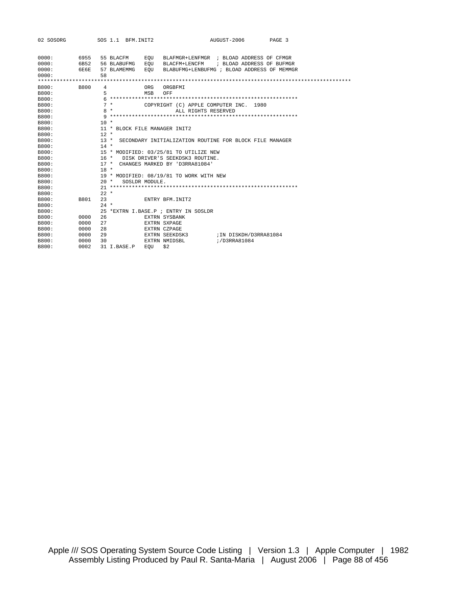| 02 SOSORG                                                                                          | SOS 1.1 BFM. INIT2                                                 | AUGUST-2006<br>PAGE 3                                                                                                                     |
|----------------------------------------------------------------------------------------------------|--------------------------------------------------------------------|-------------------------------------------------------------------------------------------------------------------------------------------|
| 0000:<br>6955<br>0000:<br>6B52<br>0000:<br>6E6E<br>0000:                                           | 55 BLACFM<br>EOU<br>56 BLABUFMG<br>EOU<br>EOU<br>57 BLAMEMMG<br>58 | BLAFMGR+LENFMGR ; BLOAD ADDRESS OF CFMGR<br>BLACFM+LENCFM ; BLOAD ADDRESS OF BUFMGR<br>BLABUFMG+LENBUFMG ; BLOAD ADDRESS OF MEMMGR        |
| B800:<br><b>B800</b><br>B800:<br>B800:<br>B800:<br>B800:                                           | 4<br>ORG<br>5<br><b>MSB</b><br>$7*$<br>$8 *$                       | ORGBFMT<br>OFF<br>COPYRIGHT (C) APPLE COMPUTER INC. 1980<br>ALL RIGHTS RESERVED                                                           |
| B800:<br>B800:<br>B800:<br>B800:                                                                   | $10 *$<br>11 * BLOCK FILE MANAGER INIT2<br>$12 *$                  |                                                                                                                                           |
| B800:<br>B800:<br>B800:<br>B800:<br>B800:                                                          | $13 *$<br>$14 *$<br>17 * CHANGES MARKED BY 'D3RRA81084'            | SECONDARY INITIALIZATION ROUTINE FOR BLOCK FILE MANAGER<br>15 * MODIFIED: 03/25/81 TO UTILIZE NEW<br>16 * DISK DRIVER'S SEEKDSK3 ROUTINE. |
| B800:<br>B800:<br>B800:<br>B800:                                                                   | $18 *$<br>$20 *$<br>SOSLDR MODULE.                                 | 19 * MODIFIED: 08/19/81 TO WORK WITH NEW                                                                                                  |
| B800:<br>B800:<br>B801<br>B800:<br>B800:                                                           | $22 *$<br>23<br>$24 *$<br>25 *EXTRN I BASE P ; ENTRY IN SOSLDR     | <b>ENTRY BEM INIT2</b>                                                                                                                    |
| B800:<br>0000<br>0000<br>B800:<br>0000<br>B800:<br>B800:<br>0000<br>0000<br>B800:<br>0002<br>B800: | 26<br>27<br>2.8<br>29<br>30<br>31 I.BASE.P<br>EOU                  | EXTRN SYSBANK<br>EXTRN SXPAGE<br>EXTRN CZPAGE<br>EXTRN SEEKDSK3<br>IN DISKDH/D3RRA81084<br>;/D3RRA81084<br>EXTRN NMIDSBL<br>\$2           |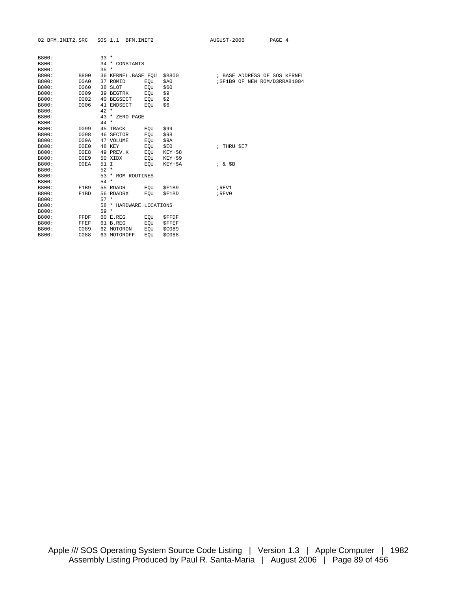| 02 BFM. INIT2.SRC |             |        | SOS 1.1 BFM. INIT2      |            |              | AUGUST-2006 | PAGE 4                         |  |
|-------------------|-------------|--------|-------------------------|------------|--------------|-------------|--------------------------------|--|
|                   |             |        |                         |            |              |             |                                |  |
| B800:             |             | $33 *$ |                         |            |              |             |                                |  |
| B800:             |             |        | 34 * CONSTANTS          |            |              |             |                                |  |
| B800:             |             | $35 *$ |                         |            |              |             |                                |  |
| B800:             | <b>B800</b> |        | 36 KERNEL.BASE EQU      |            | \$B800       |             | ; BASE ADDRESS OF SOS KERNEL   |  |
| B800:             | 00A0        |        | 37 ROMID                | EQU        | \$A0         |             | ; \$F1B9 OF NEW ROM/D3RRA81084 |  |
| B800:             | 0060        |        | 38 SLOT                 | EQU        | \$60         |             |                                |  |
| B800:             | 0009        |        | 39 BEGTRK               | EOU        | \$9          |             |                                |  |
| B800:             | 0002        |        | 40 BEGSECT              | EOU        | \$2          |             |                                |  |
| B800:             | 0006        |        | 41 ENDSECT              | EOU        | \$6          |             |                                |  |
| B800:             |             | $42 *$ |                         |            |              |             |                                |  |
| B800:             |             |        | 43 * ZERO PAGE          |            |              |             |                                |  |
| B800:             |             | 44 *   |                         |            |              |             |                                |  |
| B800:             | 0099        |        | 45 TRACK                | EOU        | \$99         |             |                                |  |
| B800:             | 0098        |        | 46 SECTOR               | EQU        | \$98         |             |                                |  |
| B800:             | 009A        |        | 47 VOLUME               | EQU        | \$9A         |             |                                |  |
| B800:             | 00E0        |        | 48 KEY                  | EOU        | \$E0         | ; THRU \$E7 |                                |  |
| B800:             | 00E8        |        | 49 PREV.K               | EQU        | $KEY+58$     |             |                                |  |
| B800:             | 00E9        |        | 50 XIDX                 | EQU        | $KEY+59$     |             |                                |  |
| B800:             | 00EA        | 51 I   |                         | EOU        | KEY+\$A      | $; \&$ $$B$ |                                |  |
| B800:             |             | $52 *$ |                         |            |              |             |                                |  |
| B800:             |             |        | 53 * ROM ROUTINES       |            |              |             |                                |  |
| B800:             |             | $54 *$ |                         |            |              |             |                                |  |
| B800:             | F1B9        |        | 55 RDADR                | EOU        | \$F1B9       | ; REV1      |                                |  |
| B800:             | F1BD        |        | 56 RDADRX               | EOU        | \$F1BD       | ; REV0      |                                |  |
| B800:             |             | $57 *$ |                         |            |              |             |                                |  |
| B800:             |             |        | 58 * HARDWARE LOCATIONS |            |              |             |                                |  |
| B800:             |             | $59 *$ |                         |            |              |             |                                |  |
| B800:             | FFDF        |        | 60 E.REG                | EOU        | <b>SFFDF</b> |             |                                |  |
| B800:             | FFEF        |        | 61 B.REG                | EQU        | <b>SFFEF</b> |             |                                |  |
| B800:             | C089        |        | 62 MOTORON              | EQU        | \$C089       |             |                                |  |
| B800:             | C088        |        | 63 MOTOROFF             | <b>EOU</b> | \$C088       |             |                                |  |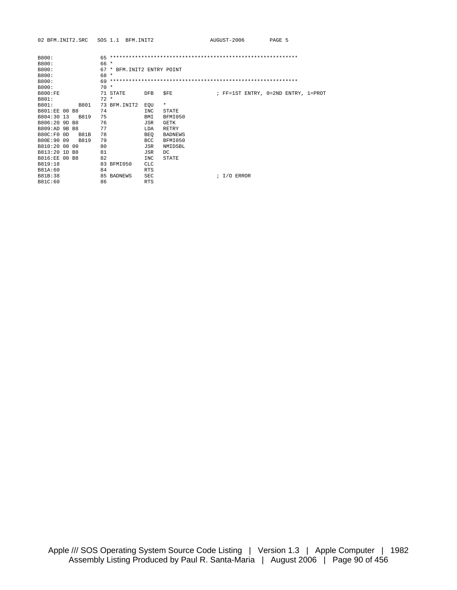| B800:          |      | 65     |               |                        |              |  |  |             |  |                                     |  |  |
|----------------|------|--------|---------------|------------------------|--------------|--|--|-------------|--|-------------------------------------|--|--|
| B800:          |      | 66 *   |               |                        |              |  |  |             |  |                                     |  |  |
| B800:          |      | 67     | $\star$       | BFM. INIT2 ENTRY POINT |              |  |  |             |  |                                     |  |  |
| B800:          |      | $68 *$ |               |                        |              |  |  |             |  |                                     |  |  |
| B800:          |      | 69     |               |                        |              |  |  |             |  |                                     |  |  |
| B800:          |      | $70*$  |               |                        |              |  |  |             |  |                                     |  |  |
| <b>B800:FE</b> |      |        | 71 STATE      | <b>DFB</b>             | <b>SFE</b>   |  |  |             |  | ; FF=1ST ENTRY, 0=2ND ENTRY, 1=PROT |  |  |
| B801:          |      | $72 *$ |               |                        |              |  |  |             |  |                                     |  |  |
| B801:          | B801 |        | 73 BFM. INIT2 | EOU                    | $\star$      |  |  |             |  |                                     |  |  |
| B801:EE 00 B8  |      | 74     |               | INC                    | STATE        |  |  |             |  |                                     |  |  |
| B804:30 13     | B819 | 75     |               | BMI                    | BFMI050      |  |  |             |  |                                     |  |  |
| B806:20 9D B8  |      | 76     |               | JSR                    | <b>GETK</b>  |  |  |             |  |                                     |  |  |
| B809:AD 9B B8  |      | 77     |               | LDA                    | <b>RETRY</b> |  |  |             |  |                                     |  |  |
| B80C:F0 OD     | B81B | 78     |               | <b>BEO</b>             | BADNEWS      |  |  |             |  |                                     |  |  |
| B80E:90 09     | B819 | 79     |               | <b>BCC</b>             | BFMI050      |  |  |             |  |                                     |  |  |
| B810:20 00 00  |      | 80     |               | JSR                    | NMIDSBL      |  |  |             |  |                                     |  |  |
| B813:20 1D B8  |      | 81     |               | JSR                    | DC.          |  |  |             |  |                                     |  |  |
| B816:EE 00 B8  |      | 82     |               | INC                    | <b>STATE</b> |  |  |             |  |                                     |  |  |
| B819:18        |      |        | 83 BFMI050    | <b>CLC</b>             |              |  |  |             |  |                                     |  |  |
| B81A:60        |      | 84     |               | <b>RTS</b>             |              |  |  |             |  |                                     |  |  |
| B81B:38        |      |        | 85 BADNEWS    | <b>SEC</b>             |              |  |  | $I/O$ ERROR |  |                                     |  |  |
| B81C:60        |      | 86     |               | <b>RTS</b>             |              |  |  |             |  |                                     |  |  |
|                |      |        |               |                        |              |  |  |             |  |                                     |  |  |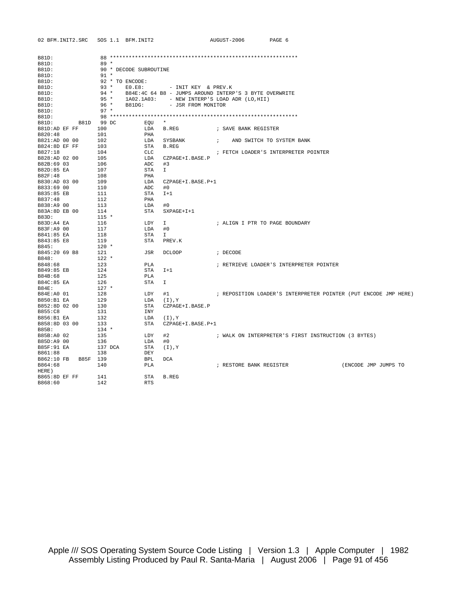| 02 BFM. INIT2.SRC      | SOS 1.1 BFM. INIT2     |                                                        | AUGUST-2006                    | PAGE 6                                              |                                                                 |
|------------------------|------------------------|--------------------------------------------------------|--------------------------------|-----------------------------------------------------|-----------------------------------------------------------------|
| B81D:                  |                        |                                                        |                                |                                                     |                                                                 |
| B81D:                  | $89 *$                 |                                                        |                                |                                                     |                                                                 |
| B81D:                  | 90 * DECODE SUBROUTINE |                                                        |                                |                                                     |                                                                 |
| B81D:                  | $91 *$                 |                                                        |                                |                                                     |                                                                 |
| B81D:                  | 92 * TO ENCODE:        |                                                        |                                |                                                     |                                                                 |
| B81D:                  | $93 *$<br>EO.E8:       | - INIT KEY & PREV.K                                    |                                |                                                     |                                                                 |
| B81D:                  | $94 *$                 | B84E:4C 64 B8 - JUMPS AROUND INTERP'S 3 BYTE OVERWRITE |                                |                                                     |                                                                 |
| B81D:                  | $95 *$                 | 1A02.1A03: - NEW INTERP'S LOAD ADR (LO, HII)           |                                |                                                     |                                                                 |
| B81D:                  | $96 *$<br>B81DG:       | - JSR FROM MONITOR                                     |                                |                                                     |                                                                 |
| B81D:                  | $97 *$                 |                                                        |                                |                                                     |                                                                 |
| B81D:                  |                        |                                                        |                                |                                                     |                                                                 |
| B81D 99 DC<br>B81D:    | EQU                    | $\star$                                                |                                |                                                     |                                                                 |
| B81D:AD EF FF          | 100<br>LDA             | B.REG                                                  | ; SAVE BANK REGISTER           |                                                     |                                                                 |
| B820:48                | 101<br>PHA             |                                                        |                                |                                                     |                                                                 |
| B821:AD 00 00          | 102                    | LDA SYSBANK<br>$\mathbf{r}$                            |                                | AND SWITCH TO SYSTEM BANK                           |                                                                 |
| B824:8D EF FF          | 103                    | STA B.REG                                              |                                |                                                     |                                                                 |
| B827:18                | 104<br>CLC             |                                                        |                                | ; FETCH LOADER'S INTERPRETER POINTER                |                                                                 |
| B828:AD 02 00          | 105                    | LDA CZPAGE+I.BASE.P                                    |                                |                                                     |                                                                 |
| B82B:69 03             | 106<br>ADC             | #3                                                     |                                |                                                     |                                                                 |
| B82D:85 EA             | STA<br>107             | $\mathbb{I}$                                           |                                |                                                     |                                                                 |
| B82F:48                | 108<br>PHA             |                                                        |                                |                                                     |                                                                 |
| B830:AD 03 00          | 109<br>LDA             | CZPAGE+I.BASE.P+1                                      |                                |                                                     |                                                                 |
| B833:69 00             | 110<br>ADC             | #0                                                     |                                |                                                     |                                                                 |
| B835:85 EB             | 111<br>STA             | $I+1$                                                  |                                |                                                     |                                                                 |
| B837:48                | 112<br>PHA             |                                                        |                                |                                                     |                                                                 |
| B838:A9 00             | 113<br>LDA             | #0                                                     |                                |                                                     |                                                                 |
| B83A:8D EB 00          | STA<br>114             | $SXPAGE+I+1$                                           |                                |                                                     |                                                                 |
| B83D:                  | $115 *$                |                                                        |                                |                                                     |                                                                 |
| B83D:A4 EA             | 116<br>LDY             | Ι.                                                     | ; ALIGN I PTR TO PAGE BOUNDARY |                                                     |                                                                 |
| B83F:A9 00             | 117<br>LDA             | #0                                                     |                                |                                                     |                                                                 |
| B841:85 EA             | 118<br>STA             | $\mathbf{I}$                                           |                                |                                                     |                                                                 |
| B843:85 E8             | 119<br>STA             | PREV.K                                                 |                                |                                                     |                                                                 |
| B845:                  | $120 *$                |                                                        |                                |                                                     |                                                                 |
| B845:20 69 B8          | 121<br>JSR             | DCLOOP                                                 | ; DECODE                       |                                                     |                                                                 |
| B848:                  | $122 *$                |                                                        |                                |                                                     |                                                                 |
| B848:68                | 123<br>PLA             |                                                        |                                | ; RETRIEVE LOADER'S INTERPRETER POINTER             |                                                                 |
| B849:85 EB             | 124<br>STA             | $I+1$                                                  |                                |                                                     |                                                                 |
| B84B:68                | 125<br>PLA             |                                                        |                                |                                                     |                                                                 |
| B84C:85 EA             | 126<br>STA             | $\mathbf{I}$                                           |                                |                                                     |                                                                 |
| B84E:                  | $127$ *                |                                                        |                                |                                                     |                                                                 |
| B84E:A0 01             | 128<br>LDY             | #1                                                     |                                |                                                     | ; REPOSITION LOADER'S INTERPRETER POINTER (PUT ENCODE JMP HERE) |
| B850:B1 EA             | 129<br>LDA             | (Y, (I))                                               |                                |                                                     |                                                                 |
| B852:8D 02 00          | 130<br>STA             | CZPAGE+I.BASE.P                                        |                                |                                                     |                                                                 |
| B855:C8                | 131<br>INY             |                                                        |                                |                                                     |                                                                 |
| B856:B1 EA             | 132                    | LDA (I), Y                                             |                                |                                                     |                                                                 |
| B858:8D 03 00          | 133<br>STA             | CZPAGE+I.BASE.P+1                                      |                                |                                                     |                                                                 |
| B85B:                  | $134 *$                |                                                        |                                |                                                     |                                                                 |
| B85B:A0 02             | 135<br>LDY             | #2                                                     |                                | ; WALK ON INTERPRETER'S FIRST INSTRUCTION (3 BYTES) |                                                                 |
| B85D:A9 00             | 136<br>LDA             | #0                                                     |                                |                                                     |                                                                 |
| B85F:91 EA             | 137 DCA<br>STA         | (T), Y                                                 |                                |                                                     |                                                                 |
| B861:88                | 138<br>DEY             |                                                        |                                |                                                     |                                                                 |
| B862:10 FB<br>B85F 139 | BPL                    | <b>DCA</b>                                             |                                |                                                     |                                                                 |
| B864:68                | 140<br>PLA             |                                                        | ; RESTORE BANK REGISTER        |                                                     | (ENCODE JMP JUMPS TO                                            |
| HERE)                  |                        |                                                        |                                |                                                     |                                                                 |
| B865:8D EF FF          | <b>STA</b><br>141      | B.REG                                                  |                                |                                                     |                                                                 |
| B868:60                | 142<br><b>RTS</b>      |                                                        |                                |                                                     |                                                                 |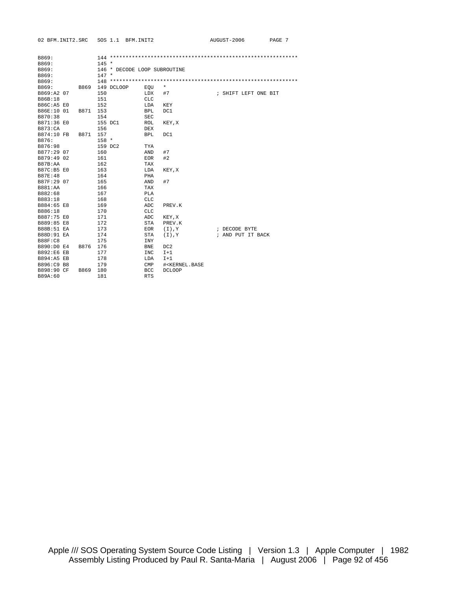| B869:          |      |         |                              |            |                                                                  |  |                      |  |
|----------------|------|---------|------------------------------|------------|------------------------------------------------------------------|--|----------------------|--|
| B869:          |      | $145 *$ |                              |            |                                                                  |  |                      |  |
| B869:          |      |         | 146 * DECODE LOOP SUBROUTINE |            |                                                                  |  |                      |  |
| B869:          |      | $147 *$ |                              |            |                                                                  |  |                      |  |
| B869:          |      |         |                              |            |                                                                  |  |                      |  |
| B869:          | B869 |         | 149 DCLOOP                   | EOU        | $^\star$                                                         |  |                      |  |
| B869:A2 07     |      | 150     |                              | LDX        | #7                                                               |  | ; SHIFT LEFT ONE BIT |  |
| B86B:18        |      | 151     |                              | <b>CLC</b> |                                                                  |  |                      |  |
| B86C:A5 E0     |      | 152     |                              | LDA        | KEY                                                              |  |                      |  |
| B86E:10 01     | B871 | 153     |                              | <b>BPL</b> | DC1                                                              |  |                      |  |
| B870:38        |      | 154     |                              | <b>SEC</b> |                                                                  |  |                      |  |
| B871:36 E0     |      | 155 DC1 |                              | ROL        | KEY, X                                                           |  |                      |  |
| <b>B873:CA</b> |      | 156     |                              | <b>DEX</b> |                                                                  |  |                      |  |
| B874:10 FB     | B871 | 157     |                              | <b>BPL</b> | DC1                                                              |  |                      |  |
| B876:          |      | $158 *$ |                              |            |                                                                  |  |                      |  |
| B876:98        |      | 159 DC2 |                              | TYA        |                                                                  |  |                      |  |
| B877:29 07     |      | 160     |                              | AND        | #7                                                               |  |                      |  |
| B879:49 02     |      | 161     |                              | <b>EOR</b> | #2                                                               |  |                      |  |
| B87B:AA        |      | 162     |                              | TAX        |                                                                  |  |                      |  |
| B87C:B5 E0     |      | 163     |                              | LDA        | KEY, X                                                           |  |                      |  |
| <b>B87E:48</b> |      | 164     |                              | PHA        |                                                                  |  |                      |  |
| B87F:29 07     |      | 165     |                              | AND        | #7                                                               |  |                      |  |
| <b>B881:AA</b> |      | 166     |                              | TAX        |                                                                  |  |                      |  |
| B882:68        |      | 167     |                              | PLA        |                                                                  |  |                      |  |
| B883:18        |      | 168     |                              | <b>CLC</b> |                                                                  |  |                      |  |
| B884:65 E8     |      | 169     |                              | ADC        | PREV.K                                                           |  |                      |  |
| B886:18        |      | 170     |                              | <b>CLC</b> |                                                                  |  |                      |  |
| B887:75 E0     |      | 171     |                              | ADC        | KEY, X                                                           |  |                      |  |
| B889:85 E8     |      | 172     |                              | STA        | PREV.K                                                           |  |                      |  |
| B88B:51 EA     |      | 173     |                              | <b>EOR</b> | (Y, (I))                                                         |  | ; DECODE BYTE        |  |
| B88D:91 EA     |      | 174     |                              | STA        | (T), Y                                                           |  | ; AND PUT IT BACK    |  |
| <b>B88F:C8</b> |      | 175     |                              | <b>INY</b> |                                                                  |  |                      |  |
| B890:D0 E4     | B876 | 176     |                              | <b>BNE</b> | DC2                                                              |  |                      |  |
| B892:E6 EB     |      | 177     |                              | <b>INC</b> | $I+1$                                                            |  |                      |  |
| B894:A5 EB     |      | 178     |                              | LDA        | $I+1$                                                            |  |                      |  |
| B896:C9 B8     |      | 179     |                              | CMP        | # <kernel.base< td=""><td></td><td></td><td></td></kernel.base<> |  |                      |  |
| B898:90 CF     | B869 | 180     |                              | <b>BCC</b> | <b>DCLOOP</b>                                                    |  |                      |  |
| B89A:60        |      | 181     |                              | <b>RTS</b> |                                                                  |  |                      |  |
|                |      |         |                              |            |                                                                  |  |                      |  |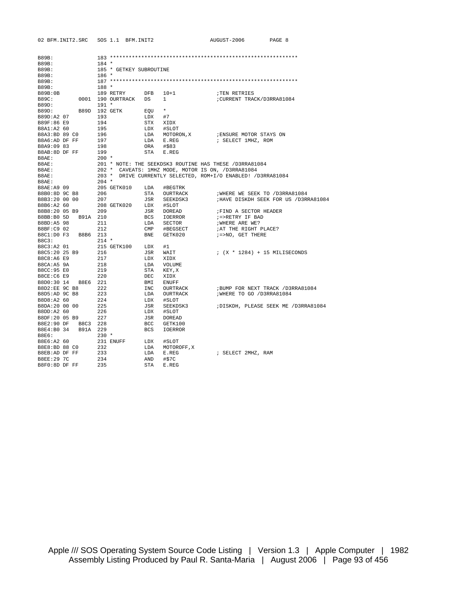B8F0:8D DF FF 235 STA E.REG

| B89B:               |                     |            |                         |           |                            |                                                                                                                                                                                       |
|---------------------|---------------------|------------|-------------------------|-----------|----------------------------|---------------------------------------------------------------------------------------------------------------------------------------------------------------------------------------|
| B89B:               |                     | $184 *$    |                         |           |                            |                                                                                                                                                                                       |
| B89B:               |                     |            | 185 * GETKEY SUBROUTINE |           |                            |                                                                                                                                                                                       |
| B89B:               |                     | $186*$     |                         |           |                            |                                                                                                                                                                                       |
| B89B:               |                     |            |                         |           |                            |                                                                                                                                                                                       |
| B89B:               |                     | $188 *$    |                         |           |                            |                                                                                                                                                                                       |
| B89B:0B             |                     |            | 189 RETRY DFB           |           | $10+1$                     | TEN RETRIES                                                                                                                                                                           |
| <b>B89C:</b>        |                     |            | 0001 190 OURTRACK DS    |           | $\mathbf{1}$               | CURRENT TRACK/D3RRA81084                                                                                                                                                              |
| B89D:               |                     | $191 *$    |                         |           |                            |                                                                                                                                                                                       |
| B89D:               |                     |            | B89D 192 GETK           | EQU *     |                            |                                                                                                                                                                                       |
| B89D:A2 07          |                     | 193        |                         |           |                            |                                                                                                                                                                                       |
|                     |                     |            |                         | $LDX$ #7  |                            |                                                                                                                                                                                       |
| B89F:86 E9          |                     | 194        |                         | STX XIDX  |                            |                                                                                                                                                                                       |
| B8A1:A2 60          |                     | 195        |                         |           | LDX #SLOT                  |                                                                                                                                                                                       |
| B8A3:BD 89 CO       |                     | 196<br>197 |                         |           | LDA MOTORON,X<br>LDA E.REG | ; ENSURE MOTOR STAYS ON                                                                                                                                                               |
| B8A6:AD DF FF       |                     |            |                         |           |                            | ; SELECT 1MHZ, ROM                                                                                                                                                                    |
| B8A9:09 83          |                     | 198        |                         | ORA #\$83 |                            |                                                                                                                                                                                       |
| B8AB:8D DF FF       |                     | 199        |                         |           | STA E.REG                  |                                                                                                                                                                                       |
| B8AE:               |                     | 200 *      |                         |           |                            |                                                                                                                                                                                       |
| B8AE:               |                     |            |                         |           |                            |                                                                                                                                                                                       |
| B8AE:               |                     |            |                         |           |                            |                                                                                                                                                                                       |
| B8AE:               |                     |            |                         |           |                            | 201 * NOTE: THE SEEKDSK3 ROUTINE HAS THESE /D3RRA81084<br>202 * CAVEATS: 1MHZ MODE, MOTOR IS ON, /D3RRA81084<br>203 * DRIVE CURRENTLY SELECTED, ROM+I/O ENABLED! /D3RRA81084<br>204 * |
| B8AE:               |                     |            |                         |           |                            |                                                                                                                                                                                       |
| B8AE:A9 09          |                     |            |                         |           |                            |                                                                                                                                                                                       |
| B8B0:8D 9C B8       |                     |            |                         |           | STA OURTRACK               | WHERE WE SEEK TO /D3RRA81084                                                                                                                                                          |
| B8B3:20 00 00       |                     |            |                         |           | JSR SEEKDSK3               | HAVE DISKDH SEEK FOR US /D3RRA81084                                                                                                                                                   |
| B8B6:A2 60          |                     |            |                         |           |                            |                                                                                                                                                                                       |
| B8B8:20 05 B9 209   |                     |            |                         |           | JSR DOREAD                 | FIND A SECTOR HEADER                                                                                                                                                                  |
| B8BB:B0 5D B91A 210 |                     |            |                         |           | BCS IOERROR                | ;=>RETRY IF BAD                                                                                                                                                                       |
| B8BD:A5 98          |                     | 211        |                         |           | LDA SECTOR                 | WHERE ARE WE?                                                                                                                                                                         |
| B8BF:C9 02          |                     | 212        |                         |           | CMP #BEGSECT               | ; AT THE RIGHT PLACE?                                                                                                                                                                 |
| B8C1:D0 F3 B8B6 213 |                     |            |                         |           | BNE GETK020                | ;=>NO, GET THERE                                                                                                                                                                      |
| B8C3:               |                     | $214$ *    |                         |           |                            |                                                                                                                                                                                       |
| B8C3:A2 01          |                     |            | 215 GETK100 LDX #1      |           |                            |                                                                                                                                                                                       |
| B8C5:20 25 B9       |                     |            |                         |           | JSR WAIT                   | ; $(X * 1284) + 15$ MILISECONDS                                                                                                                                                       |
| B8C8:A6 E9          |                     | 216<br>217 |                         |           |                            |                                                                                                                                                                                       |
|                     |                     |            |                         | LDX XIDX  |                            |                                                                                                                                                                                       |
| B8CA:A5 9A          |                     | 218<br>219 |                         |           | LDA VOLUME                 |                                                                                                                                                                                       |
| B8CC:95 E0          |                     |            |                         |           | STA KEY, X                 |                                                                                                                                                                                       |
| B8CE:C6 E9          |                     | 220        |                         | DEC       | XIDX                       |                                                                                                                                                                                       |
| B8D0:30 14 B8E6 221 |                     |            |                         | BMI       | <b>ENUFF</b>               |                                                                                                                                                                                       |
| B8D2:EE 9C B8       |                     | 222        |                         | INC       | OURTRACK                   | ; BUMP FOR NEXT TRACK / D3RRA81084                                                                                                                                                    |
| B8D5:AD 9C B8       |                     | 223        |                         | LDA       | OURTRACK                   | ; WHERE TO GO / D3RRA81084                                                                                                                                                            |
| B8D8:A2 60          |                     | 224        |                         | LDX       | #SLOT                      |                                                                                                                                                                                       |
| B8DA:20 00 00       |                     | 225        |                         | JSR       | SEEKDSK3                   | ; DISKDH, PLEASE SEEK ME / D3RRA81084                                                                                                                                                 |
| B8DD:A2 60          |                     | 226        |                         | LDX       | #SLOT                      |                                                                                                                                                                                       |
|                     | B8DF:20 05 B9 227   |            |                         | JSR       | DOREAD                     |                                                                                                                                                                                       |
|                     | B8E2:90 DF B8C3 228 |            |                         | BCC       | GETK100                    |                                                                                                                                                                                       |
|                     | B8E4:B0 34 B91A 229 |            |                         | BCS       | <b>IOERROR</b>             |                                                                                                                                                                                       |
| B8E6:               |                     | $230 *$    |                         |           |                            |                                                                                                                                                                                       |
| B8E6:A2 60          |                     |            | 231 ENUFF               | LDX #SLOT |                            |                                                                                                                                                                                       |
| B8E8:BD 88 C0       |                     | 232        |                         | LDA       | MOTOROFF, X                |                                                                                                                                                                                       |
| B8EB:AD DF FF       |                     | 233        |                         | LDA       | E.REG                      | ; SELECT 2MHZ, RAM                                                                                                                                                                    |
| B8EE:29 7C          |                     | 234        |                         | AND       | #\$7C                      |                                                                                                                                                                                       |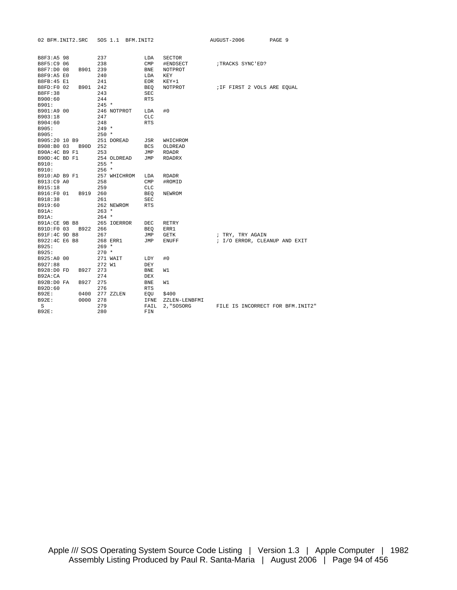| 02 BFM. INIT2.SRC      |      |                    |              | SOS 1.1 BFM. INIT2 |                |               | AUGUST-2006 |                             | PAGE 9 |                                   |
|------------------------|------|--------------------|--------------|--------------------|----------------|---------------|-------------|-----------------------------|--------|-----------------------------------|
|                        |      |                    |              |                    |                |               |             |                             |        |                                   |
| B8F3:A5 98             |      | 237                |              |                    | LDA            | <b>SECTOR</b> |             |                             |        |                                   |
| B8F5:C9 06             |      | 238                |              |                    | CMP            | #ENDSECT      |             | ;TRACKS SYNC'ED?            |        |                                   |
| B8F7:D0 08             | B901 | 239                |              |                    | BNE            | NOTPROT       |             |                             |        |                                   |
| B8F9:A5 E0             |      | 240                |              |                    | LDA            | KEY           |             |                             |        |                                   |
| B8FB: 45 E1            |      | 241                |              |                    | EOR            | KEY+1         |             |                             |        |                                   |
| B8FD:F0 02             | B901 | 242                |              |                    | <b>BEO</b>     | NOTPROT       |             | ; IF FIRST 2 VOLS ARE EQUAL |        |                                   |
| <b>B8FF:38</b>         |      | 243                |              |                    | SEC            |               |             |                             |        |                                   |
| B900:60                |      | 244                |              |                    | <b>RTS</b>     |               |             |                             |        |                                   |
| B901:                  |      | $245 *$            |              |                    |                |               |             |                             |        |                                   |
| B901:A9 00             |      |                    | 246 NOTPROT  |                    | LDA            | #0            |             |                             |        |                                   |
| B903:18                |      | 247                |              |                    | <b>CLC</b>     |               |             |                             |        |                                   |
| B904:60                |      | 248                |              |                    | <b>RTS</b>     |               |             |                             |        |                                   |
| B905:                  |      | $249 *$            |              |                    |                |               |             |                             |        |                                   |
| B905:                  |      | $250 *$            |              |                    |                |               |             |                             |        |                                   |
| B905:20 10 B9          |      |                    | 251 DOREAD   |                    | JSR            | WHICHROM      |             |                             |        |                                   |
| B908:B0 03 B90D 252    |      |                    |              |                    | BCS            | OLDREAD       |             |                             |        |                                   |
| B90A:4C B9 F1          |      | 253                |              |                    | JMP            | <b>RDADR</b>  |             |                             |        |                                   |
| B90D:4C BD F1          |      |                    | 254 OLDREAD  |                    | JMP            | RDADRX        |             |                             |        |                                   |
| B910:                  |      | $255 *$            |              |                    |                |               |             |                             |        |                                   |
| B910:                  |      | $256$ *            |              |                    |                |               |             |                             |        |                                   |
| B910:AD B9 F1          |      |                    | 257 WHICHROM |                    | LDA            | <b>RDADR</b>  |             |                             |        |                                   |
| B913:C9 A0             |      | 258                |              |                    | $\texttt{CMP}$ | #ROMID        |             |                             |        |                                   |
| B915:18                |      | 259                |              |                    | CLC            |               |             |                             |        |                                   |
| B916:F0 01             | B919 | 260                |              |                    | BEO            | NEWROM        |             |                             |        |                                   |
| B918:38                |      | 261                |              |                    | <b>SEC</b>     |               |             |                             |        |                                   |
| B919:60                |      |                    | 262 NEWROM   |                    | <b>RTS</b>     |               |             |                             |        |                                   |
| B91A:                  |      | $263 *$<br>$264$ * |              |                    |                |               |             |                             |        |                                   |
| B91A:<br>B91A:CE 9B B8 |      |                    | 265 IOERROR  |                    |                | RETRY         |             |                             |        |                                   |
| B91D:F0 03             | B922 | 266                |              |                    | DEC<br>BEO     | ERR1          |             |                             |        |                                   |
| B91F:4C 9D B8          |      | 267                |              |                    | JMP            | GETK          |             | ; TRY, TRY AGAIN            |        |                                   |
| B922:4C E6 B8          |      |                    | 268 ERR1     |                    | JMP            | <b>ENUFF</b>  |             |                             |        | ; I/O ERROR, CLEANUP AND EXIT     |
| B925:                  |      | $269 *$            |              |                    |                |               |             |                             |        |                                   |
| B925:                  |      | $270 *$            |              |                    |                |               |             |                             |        |                                   |
| B925:A0 00             |      |                    | 271 WAIT     |                    | LDY            | #0            |             |                             |        |                                   |
| B927:88                |      | 272 Wl             |              |                    | DEY            |               |             |                             |        |                                   |
| B928:D0 FD             | B927 | 273                |              |                    | <b>BNE</b>     | W1            |             |                             |        |                                   |
| B92A:CA                |      | 274                |              |                    | DEX            |               |             |                             |        |                                   |
| B92B:D0 FA             | B927 | 275                |              |                    | <b>BNE</b>     | W1            |             |                             |        |                                   |
| B92D:60                |      | 276                |              |                    | <b>RTS</b>     |               |             |                             |        |                                   |
| B92E:                  | 0400 |                    | 277 ZZLEN    |                    | EOU            | \$400         |             |                             |        |                                   |
| B92E:                  | 0000 | 278                |              |                    | IFNE           | ZZLEN-LENBFMI |             |                             |        |                                   |
| S                      |      | 279                |              |                    | FAIL           | 2, "SOSORG    |             |                             |        | FILE IS INCORRECT FOR BFM. INIT2" |
| <b>B92E:</b>           |      | 280                |              |                    | FIN            |               |             |                             |        |                                   |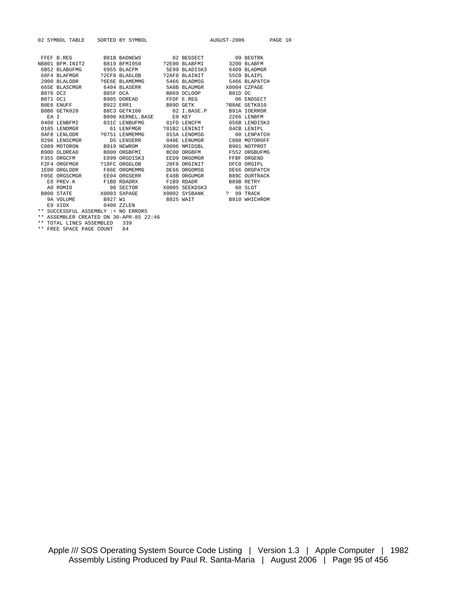|           | 02 SYMBOL TABLE SORTED BY SYMBOL    |                                                                                                                                                                                                                                     |  | AUGUST-2006 PAGE 10     |               |  |
|-----------|-------------------------------------|-------------------------------------------------------------------------------------------------------------------------------------------------------------------------------------------------------------------------------------|--|-------------------------|---------------|--|
|           |                                     |                                                                                                                                                                                                                                     |  |                         |               |  |
|           |                                     | FFEF B.REG B81B BADNEWS 02 BEGSECT 09 BEGTRK                                                                                                                                                                                        |  |                         |               |  |
|           |                                     | NB801 BFM.INIT2 B819 BFM1050 ?2E00 BLABFMI 3200 BLABFM                                                                                                                                                                              |  |                         |               |  |
|           |                                     | 6B52 BLABUFMG 6955 BLACFM 5E99 BLADISK3 64D9 BLADMGR                                                                                                                                                                                |  |                         |               |  |
|           |                                     |                                                                                                                                                                                                                                     |  |                         | 55CO BLAIPL   |  |
|           |                                     |                                                                                                                                                                                                                                     |  |                         | 5466 BLAPATCH |  |
|           |                                     | 665E BLASCMGR 6404 BLASERR 5A8B BLAUMGR X0004 CZPAGE                                                                                                                                                                                |  |                         |               |  |
|           |                                     | B876 DC2 B85F DCA B869 DCLOOP B81D DC                                                                                                                                                                                               |  |                         |               |  |
|           |                                     | ${\tt B871~DCl} \qquad \qquad {\tt B905~DOREAD} \qquad \qquad {\tt FFDF~E.REG} \qquad \qquad {\tt 06~ENDSECTION} \\ {\tt B871~DCH} \qquad \qquad {\tt B972~ER1} \qquad \qquad {\tt B89D~GETK} \qquad \qquad {\tt 2B8AE~GETK010} \\$ |  |                         |               |  |
|           |                                     |                                                                                                                                                                                                                                     |  |                         |               |  |
|           |                                     | B8B6 GETK020 B8C3 GETK100 02 I.BASE.P B91A IOERROR                                                                                                                                                                                  |  |                         |               |  |
|           |                                     | EA I B800 KERNEL.BASE E0 KEY 3266 LENBFM                                                                                                                                                                                            |  |                         |               |  |
|           |                                     | 0400 LENBFMI 031C LENBUFMG 01FD LENCFM 056B LENDISK3                                                                                                                                                                                |  |                         |               |  |
|           |                                     | 0185 LENDMGR 61 LENFMGR 301B2 LENINIT 04CB LENIPL                                                                                                                                                                                   |  |                         |               |  |
|           |                                     | 0AF8 LENLODR 20751 LENMEMMG 015A LENOMSG                                                                                                                                                                                            |  |                         | 00 LENPATCH   |  |
|           |                                     | 0296 LENSCMGR             D5 LENSERR           040E LENUMGR           C088 MOTOROFF                                                                                                                                                 |  |                         |               |  |
|           |                                     | C089 MOTORON B919 NEWROM X0006 NMIDSBL                                                                                                                                                                                              |  |                         | B901 NOTPROT  |  |
|           |                                     | B90D OLDREAD B800 ORGBFMI BC00 ORGBFM F552 ORGBUFMG                                                                                                                                                                                 |  |                         |               |  |
|           |                                     | F355 ORGCFM E899 ORGDISK3 EED9 ORGDMGR                                                                                                                                                                                              |  |                         | FFBF ORGEND   |  |
|           |                                     |                                                                                                                                                                                                                                     |  |                         | DFC0 ORGIPL   |  |
|           |                                     | 1E00 ORGLODR F86E ORGMEMMG DE66 ORGOMSG                                                                                                                                                                                             |  |                         | DE66 ORGPATCH |  |
|           |                                     |                                                                                                                                                                                                                                     |  |                         |               |  |
|           |                                     | E8 PREV.K            F1BD RDADRX             F1B9 RDADR              B89B RETRY                                                                                                                                                     |  |                         |               |  |
| A0 ROMID  |                                     | 98 SECTOR X0005 SEEKDSK3 60 SLOT                                                                                                                                                                                                    |  |                         |               |  |
|           |                                     | B800 STATE 799 TRACK 70003 SXPAGE 760002 SYSBANK 7 99 TRACK                                                                                                                                                                         |  |                         |               |  |
| 9A VOLUME | B927 W1                             |                                                                                                                                                                                                                                     |  | B925 WAIT B910 WHICHROM |               |  |
| E9 XIDX   |                                     | 0400 ZZLEN                                                                                                                                                                                                                          |  |                         |               |  |
|           | ** SUCCESSFUL ASSEMBLY := NO ERRORS |                                                                                                                                                                                                                                     |  |                         |               |  |

\*\* ASSEMBLER CREATED ON 30-APR-85 22:46

\*\* TOTAL LINES ASSEMBLED 339 \*\* FREE SPACE PAGE COUNT 84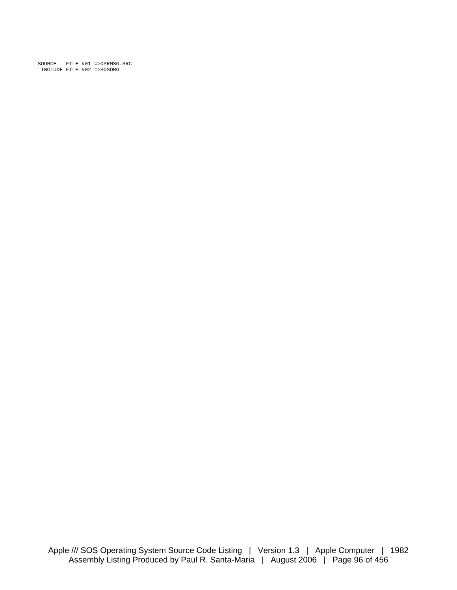SOURCE FILE #01 =>OPRMSG.SRC INCLUDE FILE #02 =>SOSORG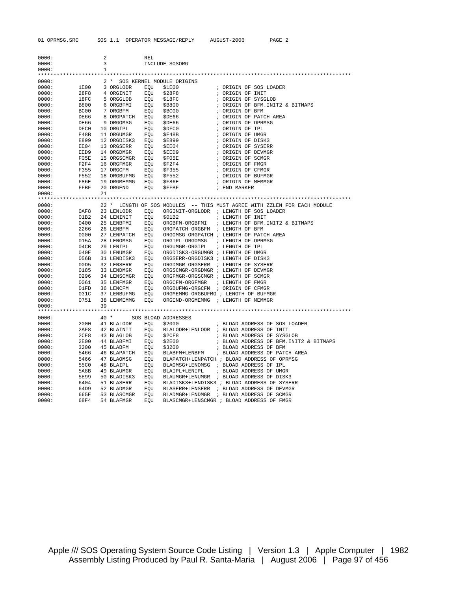| 0000: |      | 2  |                          | REL |                                      |                                                                          |
|-------|------|----|--------------------------|-----|--------------------------------------|--------------------------------------------------------------------------|
| 0000: |      | 3  |                          |     | INCLUDE SOSORG                       |                                                                          |
| 0000: |      | 1  |                          |     |                                      |                                                                          |
|       |      |    |                          |     |                                      |                                                                          |
| 0000: |      |    |                          |     | 2 * SOS KERNEL MODULE ORIGINS        |                                                                          |
| 0000: |      |    | 1E00 3 ORGLODR           | EOU | \$1E00                               | ; ORIGIN OF SOS LOADER                                                   |
| 0000: |      |    | 28F8 4 ORGINIT           |     | EQU \$28F8                           | ; ORIGIN OF INIT                                                         |
| 0000: | 18FC |    | 5 ORGGLOB EQU            |     | \$18FC                               | ; ORIGIN OF SYSGLOB                                                      |
| 0000: | B800 |    | 6 ORGBFMI                |     | EOU \$B800                           | ; ORIGIN OF BFM.INIT2 & BITMAPS                                          |
| 0000: | BC00 |    | 7 ORGBFM                 | EQU | \$BC00                               | ; ORIGIN OF BFM                                                          |
| 0000: | DE66 |    | 8 ORGPATCH EQU           |     | \$DE66                               | ; ORIGIN OF PATCH AREA                                                   |
| 0000: | DE66 |    | 9 ORGOMSG                | EQU | \$DE66                               | ; ORIGIN OF OPRMSG                                                       |
| 0000: | DFC0 |    | 10 ORGIPL                | EQU | \$DFC0                               | ; ORIGIN OF IPL                                                          |
| 0000: | E48B |    | 11 ORGUMGR EQU           |     | \$E48B                               | ; ORIGIN OF UMGR                                                         |
| 0000: | E899 |    | 12 ORGDISK3 EQU          |     | <b>\$E899</b>                        | ; ORIGIN OF DISK3                                                        |
| 0000: | EE04 |    | 13 ORGSERR EQU           |     | \$EE04                               | ; ORIGIN OF SYSERR                                                       |
| 0000: | EED9 |    | 14 ORGDMGR EQU \$EED9    |     |                                      | ; ORIGIN OF DEVMGR                                                       |
| 0000: | F05E |    | 15 ORGSCMGR EQU \$F05E   |     |                                      | ; ORIGIN OF SCMGR                                                        |
| 0000: | F2F4 |    | 16 ORGFMGR               |     | EQU \$F2F4                           | ; ORIGIN OF FMGR                                                         |
| 0000: | F355 |    | 17 ORGCFM                |     | EQU \$F355                           | ; ORIGIN OF CFMGR                                                        |
| 0000: | F552 |    | 18 ORGBUFMG EQU \$F552   |     |                                      | ; ORIGIN OF BUFMGR                                                       |
| 0000: | F86E |    | 19 ORGMEMMG EQU \$F86E   |     |                                      | ; ORIGIN OF MEMMGR                                                       |
| 0000: | FFBF |    | 20 ORGEND EQU            |     | $$$ ${\tt FFBF}$                     | ; END MARKER                                                             |
| 0000: |      | 21 |                          |     |                                      |                                                                          |
|       |      |    |                          |     |                                      |                                                                          |
| 0000: |      |    |                          |     |                                      | 22 * LENGTH OF SOS MODULES -- THIS MUST AGREE WITH ZZLEN FOR EACH MODULE |
| 0000: | 0AF8 |    | 23 LENLODR               | EQU |                                      | ORGINIT-ORGLODR ; LENGTH OF SOS LOADER                                   |
| 0000: | 01B2 |    | 24 LENINIT               | EQU | \$01B2                               | ; LENGTH OF INIT                                                         |
| 0000: | 0400 |    | 25 LENBFMI               | EOU |                                      | ORGBFM-ORGBFMI ; LENGTH OF BFM. INIT2 & BITMAPS                          |
| 0000: | 2266 |    | 26 LENBFM                | EQU | ORGPATCH-ORGBFM ; LENGTH OF BFM      |                                                                          |
| 0000: | 0000 |    | 27 LENPATCH EQU          |     |                                      | ORGOMSG-ORGPATCH ; LENGTH OF PATCH AREA                                  |
| 0000: | 015A |    | 28 LENOMSG               | EQU | ORGIPL-ORGOMSG ; LENGTH OF OPRMSG    |                                                                          |
| 0000: | 04CB |    | 29 LENIPL                |     | EQU ORGUMGR-ORGIPL ; LENGTH OF IPL   |                                                                          |
| 0000: | 040E |    | 30 LENUMGR EQU           |     | ORGDISK3-ORGUMGR ; LENGTH OF UMGR    |                                                                          |
| 0000: | 056B |    | 31 LENDISK3 EQU          |     | ORGSERR-ORGDISK3 ; LENGTH OF DISK3   |                                                                          |
| 0000: | 00D5 |    | 32 LENSERR EQU           |     | ORGDMGR-ORGSERR ; LENGTH OF SYSERR   |                                                                          |
| 0000: | 0185 |    | 33 LENDMGR EQU           |     | ORGSCMGR-ORGDMGR ; LENGTH OF DEVMGR  |                                                                          |
| 0000: | 0296 |    | 34 LENSCMGR              | EQU | ORGFMGR-ORGSCMGR ; LENGTH OF SCMGR   |                                                                          |
| 0000: | 0061 |    | 35 LENFMGR               | EQU | ORGCFM-ORGFMGR                       | ; LENGTH OF FMGR                                                         |
| 0000: | 01FD |    | 36 LENCFM EQU            |     | ORGBUFMG-ORGCFM ; ORIGIN OF CFMGR    |                                                                          |
| 0000: | 031C |    | 37 LENBUFMG EQU          |     | ORGMEMMG-ORGBUFMG ; LENGTH OF BUFMGR |                                                                          |
| 0000: | 0751 |    | 38 LENMEMMG EOU          |     | ORGEND-ORGMEMMG ; LENGTH OF MEMMGR   |                                                                          |
| 0000: |      | 39 |                          |     |                                      |                                                                          |
|       |      |    |                          |     |                                      |                                                                          |
| 0000: |      |    | 40 * SOS BLOAD ADDRESSES |     |                                      |                                                                          |
| 0000: | 2000 |    | 41 BLALODR EOU           |     | \$2000                               | ; BLOAD ADDRESS OF SOS LOADER                                            |
| 0000: | 2AF8 |    | 42 BLAINIT               |     |                                      | EQU BLALODR+LENLODR ; BLOAD ADDRESS OF INIT                              |
| 0000: | 2CF8 |    | 43 BLAGLOB               | EQU | \$2CF8                               | ; BLOAD ADDRESS OF SYSGLOB                                               |
| 0000: | 2E00 |    | 44 BLABFMI               |     | EQU \$2E00                           | ; BLOAD ADDRESS OF BFM.INIT2 & BITMAPS                                   |
| 0000: | 3200 |    | 45 BLABFM                | EQU | \$3200                               | ; BLOAD ADDRESS OF BFM                                                   |
| 0000: | 5466 |    |                          |     |                                      | 46 BLAPATCH EQU BLABFM+LENBFM ; BLOAD ADDRESS OF PATCH AREA              |
| 0000: | 5466 |    | 47 BLAOMSG               | EQU |                                      | BLAPATCH+LENPATCH ; BLOAD ADDRESS OF OPRMSG                              |
| 0000: | 55C0 |    | 48 BLAIPL                |     |                                      | EQU BLAOMSG+LENOMSG ; BLOAD ADDRESS OF IPL                               |
| 0000: | 5A8B |    |                          |     | 49 BLAUMGR EQU BLAIPL+LENIPL         | ; BLOAD ADDRESS OF UMGR                                                  |
| 0000: | 5E99 |    |                          |     |                                      | 50 BLADISK3 EQU BLAUMGR+LENUMGR ; BLOAD ADDRESS OF DISK3                 |
| 0000: | 6404 |    | 51 BLASERR               |     |                                      | EQU BLADISK3+LENDISK3 ; BLOAD ADDRESS OF SYSERR                          |
| 0000: | 64D9 |    | 52 BLADMGR               |     |                                      | EQU BLASERR+LENSERR ; BLOAD ADDRESS OF DEVMGR                            |
| 0000: | 665E |    | 53 BLASCMGR              | EQU |                                      | BLADMGR+LENDMGR ; BLOAD ADDRESS OF SCMGR                                 |
| 0000: | 68F4 |    | 54 BLAFMGR               | EOU |                                      | BLASCMGR+LENSCMGR ; BLOAD ADDRESS OF FMGR                                |

Apple /// SOS Operating System Source Code Listing | Version 1.3 | Apple Computer | 1982 Assembly Listing Produced by Paul R. Santa-Maria | August 2006 | Page 97 of 456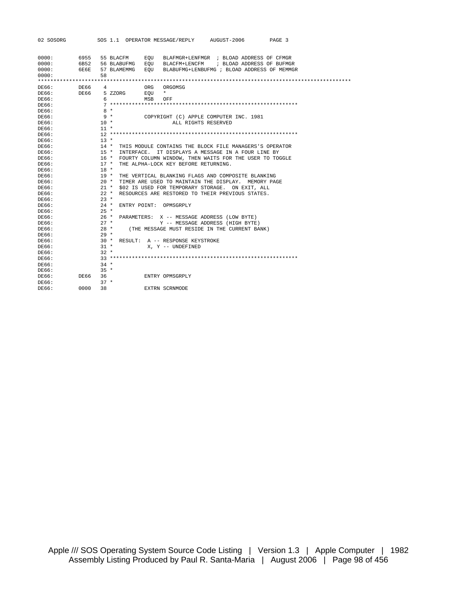| 02 SOSORG |      |        |             | SOS 1.1 OPERATOR MESSAGE/REPLY AUGUST-2006<br>PAGE 3       |
|-----------|------|--------|-------------|------------------------------------------------------------|
|           |      |        |             |                                                            |
| 0000:     | 6955 |        | 55 BLACFM   | EOU<br>BLAFMGR+LENFMGR ; BLOAD ADDRESS OF CFMGR            |
| 0000:     | 6B52 |        |             | 56 BLABUFMG EOU<br>BLACFM+LENCFM ; BLOAD ADDRESS OF BUFMGR |
| 0000:     | 6E6E |        | 57 BLAMEMMG | EOU<br>BLABUFMG+LENBUFMG ; BLOAD ADDRESS OF MEMMGR         |
| 0000:     |      | 58     |             |                                                            |
|           |      |        |             |                                                            |
| DE66:     | DE66 | 4      |             | ORG<br>ORGOMSG                                             |
| DE66:     | DE66 |        | 5 ZZORG     | $\star$<br>EOU                                             |
| DE66:     |      | 6      |             | MSB<br>OFF                                                 |
| DE66:     |      |        |             |                                                            |
| DE66:     |      |        | $8 *$       |                                                            |
| DE66:     |      |        | 9 *         | COPYRIGHT (C) APPLE COMPUTER INC. 1981                     |
| DE66:     |      | $10 *$ |             | ALL RIGHTS RESERVED                                        |
| DE66:     |      | $11 *$ |             |                                                            |
| DE66:     |      |        |             |                                                            |
| DE66:     |      | $13 *$ |             |                                                            |
| DE66:     |      |        | $14$ *      | THIS MODULE CONTAINS THE BLOCK FILE MANAGERS'S OPERATOR    |
| DE66:     |      | $15 *$ |             | INTERFACE. IT DISPLAYS A MESSAGE IN A FOUR LINE BY         |
| DE66:     |      |        | 16 *        | FOURTY COLUMN WINDOW, THEN WAITS FOR THE USER TO TOGGLE    |
| DE66:     |      |        | $17 *$      | THE ALPHA-LOCK KEY BEFORE RETURNING.                       |
| DE66:     |      | $18 *$ |             |                                                            |
| DE66:     |      | $19*$  |             | THE VERTICAL BLANKING FLAGS AND COMPOSITE BLANKING         |
| DE66:     |      |        | $20 *$      | TIMER ARE USED TO MAINTAIN THE DISPLAY. MEMORY PAGE        |
| DE66:     |      |        | $21 *$      | \$02 IS USED FOR TEMPORARY STORAGE. ON EXIT, ALL           |
| DE66:     |      |        | $22 *$      | RESOURCES ARE RESTORED TO THEIR PREVIOUS STATES.           |
| DE66:     |      | $23 *$ |             |                                                            |
| DE66:     |      |        | $24$ *      | ENTRY POINT: OPMSGRPLY                                     |
| DE66:     |      | $25 *$ |             |                                                            |
| DE66:     |      |        | $26 *$      | PARAMETERS: X -- MESSAGE ADDRESS (LOW BYTE)                |
| DE66:     |      | $27 *$ |             | Y -- MESSAGE ADDRESS (HIGH BYTE)                           |
| DE66:     |      |        | $28 *$      | (THE MESSAGE MUST RESIDE IN THE CURRENT BANK)              |
| DE66:     |      | $29 *$ |             |                                                            |
| DE66:     |      |        | $30 *$      | RESULT: A -- RESPONSE KEYSTROKE                            |
| DE66:     |      | $31 *$ |             | X, Y -- UNDEFINED                                          |
| DE66:     |      | $32 *$ |             |                                                            |
| DE66:     |      |        |             |                                                            |
| DE66:     |      | $34 *$ |             |                                                            |
| DE66:     |      | $35 *$ |             |                                                            |
| DE66:     | DE66 | 36     |             | ENTRY OPMSGRPLY                                            |
| DE66:     |      | $37 *$ |             |                                                            |
| DE66:     | 0000 | 38     |             | EXTRN SCRNMODE                                             |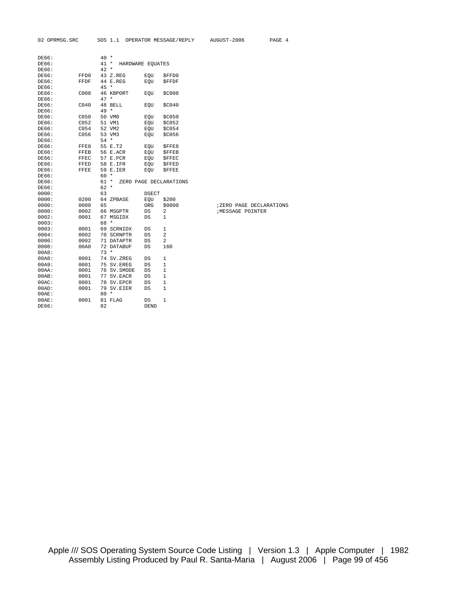| DE66:    |      | $40 *$       |                  |                         |                         |
|----------|------|--------------|------------------|-------------------------|-------------------------|
| DE66:    |      | 41 *         | HARDWARE EQUATES |                         |                         |
| DE66:    |      | $42 *$       |                  |                         |                         |
| DE66:    | FFD0 | 43 Z.REG     | EQU              | \$FFD0                  |                         |
| DE66:    | FFDF | 44 E.REG     | EOU              | <b>SFFDF</b>            |                         |
| DE66:    |      | 45 *         |                  |                         |                         |
| DE66:    | C008 | 46 KBPORT    | EQU              | \$C008                  |                         |
| DE66:    |      | $47 *$       |                  |                         |                         |
| DE66:    | CO40 | 48 BELL      | EQU              | \$C040                  |                         |
| DE66:    |      | $49 *$       |                  |                         |                         |
| DE66:    | C050 | 50 VM0       | EOU              | \$C050                  |                         |
| DE66:    | C052 | 51 VM1       | EQU              | \$C052                  |                         |
| DE66:    | C054 | 52 VM2       | EQU              | \$C054                  |                         |
| DE66:    | C056 | 53 VM3       | EOU              | \$C056                  |                         |
| DE66:    |      | $54 *$       |                  |                         |                         |
| DE66:    | FFE8 | 55 E.T2      | EQU              | <b>SFFE8</b>            |                         |
| DE66:    | FFEB | 56 E.ACR     | EQU              | <b>\$FFEB</b>           |                         |
| DE66:    | FFEC | 57 E.PCR     | EOU              | <b>SFFEC</b>            |                         |
| DE66:    | FFED | 58 E.IFR     | EQU              | \$FFED                  |                         |
| DE66:    | FFEE | 59 E.IER     | EQU              | <b>SFFEE</b>            |                         |
| DE66:    |      | 60 *         |                  |                         |                         |
| DE66:    |      | $61 *$       |                  | ZERO PAGE DECLARATIONS  |                         |
| DE66:    |      | $62 *$       |                  |                         |                         |
| 0000:    |      | 63           | DSECT            |                         |                         |
| 0000:    | 0200 | 64 ZPBASE    | EQU              | \$200                   |                         |
| 0000:    | 0000 | 65           | ORG              | \$0000                  | ;ZERO PAGE DECLARATIONS |
| 0000:    | 0002 | 66 MSGPTR    | DS               | 2                       | <b>;MESSAGE POINTER</b> |
| 0002:    | 0001 | 67 MSGIDX    | DS               | 1                       |                         |
| 0003:    |      | 68 *         |                  |                         |                         |
| 0003:    | 0001 | 69 SCRNIDX   | DS               | 1                       |                         |
| 0004:    | 0002 | 70 SCRNPTR   | DS               | $\overline{\mathbf{c}}$ |                         |
| 0006:    | 0002 | 71 DATAPTR   | DS               | $\overline{a}$          |                         |
| 0008:    | 00A0 | 72 DATABUF   | DS               | 160                     |                         |
| 00A8:    |      | $73 *$       |                  |                         |                         |
| 00A8:    | 0001 | 74 SV.ZREG   | DS               | 1                       |                         |
| 00A9:    | 0001 | 75 SV.EREG   | DS               | $\mathbf{1}$            |                         |
| $00AA$ : | 0001 | 76 SV. SMODE | DS               | 1                       |                         |
| 00AB:    | 0001 | 77 SV.EACR   | DS               | 1                       |                         |
| $00AC$ : | 0001 | 78 SV.EPCR   | DS               | 1                       |                         |
| 00AD:    | 0001 | 79 SV.EIER   | DS               | 1                       |                         |
| 00AE:    |      | $80 *$       |                  |                         |                         |
| 00AE:    | 0001 | 81 FLAG      | DS               | 1                       |                         |
| DE66:    |      | 82           | <b>DEND</b>      |                         |                         |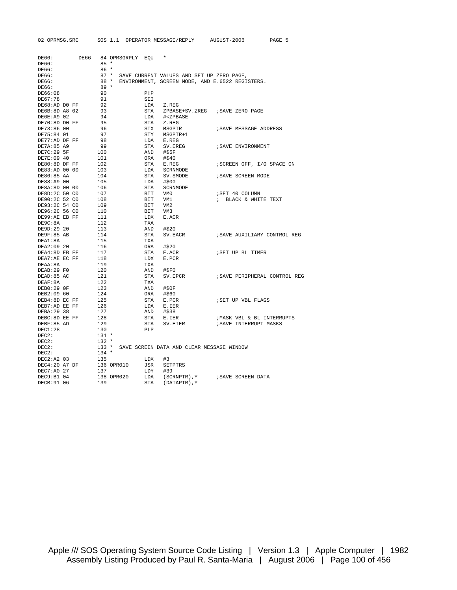| 02 OPRMSG.SRC  |                  | SOS 1.1 OPERATOR MESSAGE/REPLY AUGUST-2006  | PAGE 5                                          |
|----------------|------------------|---------------------------------------------|-------------------------------------------------|
|                |                  |                                             |                                                 |
| DE66:<br>DE66  | 84 OPMSGRPLY EOU | $\star$                                     |                                                 |
| DE66:          | $85 *$           |                                             |                                                 |
| DE66:          | $86*$            |                                             |                                                 |
| DE66:          | $87 *$           | SAVE CURRENT VALUES AND SET UP ZERO PAGE,   |                                                 |
| DE66:          | 88 *             |                                             | ENVIRONMENT, SCREEN MODE, AND E.6522 REGISTERS. |
| DE66:          | $89 *$           |                                             |                                                 |
| DE66:08        | 90               | PHP                                         |                                                 |
| DE67:78        | 91               | SEI                                         |                                                 |
| DE68:AD DO FF  | 92               | LDA<br>Z.REG                                |                                                 |
| DE6B:8D A8 02  | 93               | STA                                         | ZPBASE+SV.ZREG ; SAVE ZERO PAGE                 |
| DE6E:A9 02     | 94               | LDA<br># <zpbase< td=""><td></td></zpbase<> |                                                 |
| DE70:8D DO FF  | 95               | STA<br>Z.REG                                |                                                 |
| DE73:86 00     | 96               | STX<br>MSGPTR                               | ; SAVE MESSAGE ADDRESS                          |
| DE75:84 01     | 97               | STY<br>MSGPTR+1                             |                                                 |
| DE77:AD DF FF  | 98               | LDA<br>E.REG                                |                                                 |
| DE7A:85 A9     | 99               | STA<br>SV.EREG                              | ; SAVE ENVIRONMENT                              |
| DE7C: 29 5F    | 100              | AND<br>#\$5F                                |                                                 |
| DE7E:09 40     | 101              | ORA<br>#\$40                                |                                                 |
| DE80:8D DF FF  | 102              | STA<br>E.REG                                | ; SCREEN OFF, I/O SPACE ON                      |
| DE83:AD 00 00  | 103              | LDA<br>SCRNMODE                             |                                                 |
| DE86:85 AA     | 104              | STA                                         |                                                 |
| DE88:A9 00     |                  | SV.SMODE<br>#\$00                           | ; SAVE SCREEN MODE                              |
|                | 105              | LDA                                         |                                                 |
| DE8A:8D 00 00  | 106              | STA<br>SCRNMODE                             |                                                 |
| DE8D:2C 50 CO  | 107              | BIT<br>VM0                                  | ; SET 40 COLUMN                                 |
| DE90:2C 52 CO  | 108              | BIT<br>VM1                                  | ; BLACK & WHITE TEXT                            |
| DE93:2C 54 CO  | 109              | BIT<br>VM <sub>2</sub>                      |                                                 |
| DE96:2C 56 CO  | 110              | BIT<br>VM3                                  |                                                 |
| DE99:AE EB FF  | 111              | E.ACR<br>LDX                                |                                                 |
| DE9C:8A        | 112              | TXA                                         |                                                 |
| DE9D:29 20     | 113              | AND<br>#\$20                                |                                                 |
| DE9F:85 AB     | 114              | STA<br>SV.EACR                              | ; SAVE AUXILIARY CONTROL REG                    |
| DEA1:8A        | 115              | TXA                                         |                                                 |
| DEA2:09 20     | 116              | ORA<br>#\$20                                |                                                 |
| DEA4:8D EB FF  | 117              | STA<br>E.ACR                                | ; SET UP BL TIMER                               |
| DEA7:AE EC FF  | 118              | LDX<br>E.PCR                                |                                                 |
| DEAA: 8A       | 119              | TXA                                         |                                                 |
| DEAB:29 FO     | 120              | AND<br>#SPO                                 |                                                 |
| DEAD: 85 AC    | 121              | STA<br>SV.EPCR                              | ; SAVE PERIPHERAL CONTROL REG                   |
| DEAF: 8A       | 122              | TXA                                         |                                                 |
| DEB0:29 OF     | 123              | #\$0F<br>AND                                |                                                 |
| DEB2:09 60     | 124              | ORA<br>#\$60                                |                                                 |
| DEB4:8D EC FF  | 125              | STA<br>E.PCR                                | ; SET UP VBL FLAGS                              |
| DEB7:AD EE FF  | 126              | LDA<br>E.IER                                |                                                 |
| DEBA: 29 38    | 127              | #\$38<br>AND                                |                                                 |
| DEBC: 8D EE FF | 128              | STA<br>E.IER                                | ; MASK VBL & BL INTERRUPTS                      |
| DEBF:85 AD     | 129              | STA<br>SV.EIER                              | ; SAVE INTERRUPT MASKS                          |
| DEC1:28        | 130              | PLP                                         |                                                 |
| DEC2:          | $131 *$          |                                             |                                                 |
| DEC2:          | $132 *$          |                                             |                                                 |
| DEC2:          | $133 *$          | SAVE SCREEN DATA AND CLEAR MESSAGE WINDOW   |                                                 |
| DEC2:          | $134 *$          |                                             |                                                 |
| DEC2:A2 03     | 135              | LDX<br>#3                                   |                                                 |
| DEC4:20 A7 DF  | 136 OPR010       | JSR<br><b>SETPTRS</b>                       |                                                 |
| DEC7:A0 27     | 137              | LDY<br>#39                                  |                                                 |
| DEC9:B1 04     | 138 OPR020       | LDA<br>(SCRNPTR), Y                         | ; SAVE SCREEN DATA                              |
| DECB: 91 06    | 139              | <b>STA</b><br>(DATAPTR), Y                  |                                                 |
|                |                  |                                             |                                                 |

Apple /// SOS Operating System Source Code Listing | Version 1.3 | Apple Computer | 1982 Assembly Listing Produced by Paul R. Santa-Maria | August 2006 | Page 100 of 456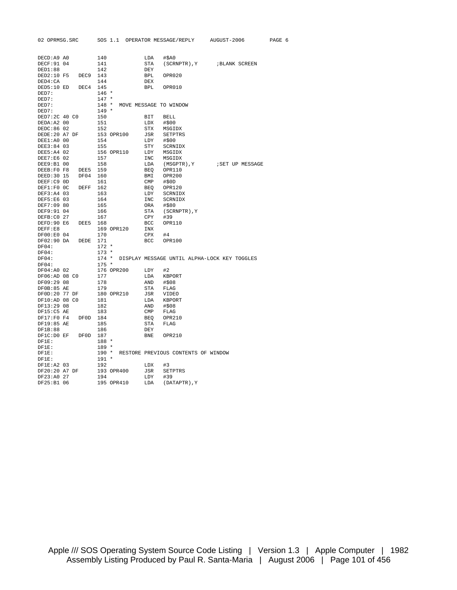| 02 OPRMSG.SRC       |          |         |            |              |                                           | SOS 1.1 OPERATOR MESSAGE/REPLY AUGUST-2006         | PAGE 6 |  |
|---------------------|----------|---------|------------|--------------|-------------------------------------------|----------------------------------------------------|--------|--|
|                     |          |         |            |              |                                           |                                                    |        |  |
| DECD:A9 A0          |          | 140     |            | LDA          | #\$A0                                     |                                                    |        |  |
| DECF: 91 04         |          | 141     |            | STA          |                                           | (SCRNPTR), Y ; BLANK SCREEN                        |        |  |
| DED1:88             |          | 142     |            | DEY          |                                           |                                                    |        |  |
| DED2:10 F5 DEC9 143 |          |         |            | BPL          | OPR020                                    |                                                    |        |  |
| DED4:CA             |          | 144     |            | DEX          |                                           |                                                    |        |  |
| DED5:10 ED DEC4 145 |          |         |            | <b>BPL</b>   | OPR010                                    |                                                    |        |  |
| DED7:               |          | $146 *$ |            |              |                                           |                                                    |        |  |
| DED7:               |          | $147 *$ |            |              |                                           |                                                    |        |  |
| DED7:               |          |         |            |              | 148 * MOVE MESSAGE TO WINDOW              |                                                    |        |  |
| DED7:               |          | $149 *$ |            |              |                                           |                                                    |        |  |
| DED7:2C 40 CO       |          | 150     |            | BIT          | BELL                                      |                                                    |        |  |
| DEDA: A2 00         |          | 151     |            | LDX          | #\$00                                     |                                                    |        |  |
| DEDC:86 02          |          | 152     |            | STX          | MSGIDX                                    |                                                    |        |  |
| DEDE:20 A7 DF       |          |         | 153 OPR100 | JSR          | SETPTRS                                   |                                                    |        |  |
| DEE1:A0 00          |          | 154     |            | LDY          | #\$00                                     |                                                    |        |  |
| DEE3:84 03          |          | 155     |            | STY          | SCRNIDX                                   |                                                    |        |  |
| DEE5:A4 02          |          |         | 156 OPR110 | LDY          | MSGIDX                                    |                                                    |        |  |
| DEE7:E6 02          |          | 157     |            |              | INC MSGIDX                                |                                                    |        |  |
| DEE9:B1 00          |          | 158     |            | LDA          |                                           | (MSGPTR), Y : SET UP MESSAGE                       |        |  |
| DEEB:F0 F8          | DEE5 159 |         |            |              | BEQ OPR110                                |                                                    |        |  |
| DEED: 30 15         | DF04 160 |         |            |              | BMI OPR200                                |                                                    |        |  |
| DEEF:C9 OD          |          | 161     |            | $\text{CMP}$ | #\$0D                                     |                                                    |        |  |
| DEF1:F0 OC DEFF 162 |          |         |            | BEQ          | OPR120                                    |                                                    |        |  |
| DEF3:A4 03          |          | 163     |            | LDY          | SCRNIDX                                   |                                                    |        |  |
| DEF5:E6 03          |          | 164     |            | INC          | SCRNIDX                                   |                                                    |        |  |
| DEF7:09 80          |          | 165     |            | ORA          | #\$80                                     |                                                    |        |  |
| DEF9:91 04          |          | 166     |            | STA          | (SCRNPTR), Y                              |                                                    |        |  |
| DEFB:C0 27          |          | 167     |            | CPY          | #39                                       |                                                    |        |  |
| DEFD:90 E6          | DEE5 168 |         |            | BCC          | OPR110                                    |                                                    |        |  |
| DEF: E8             |          |         | 169 OPR120 | INX          |                                           |                                                    |        |  |
| DF00:E0 04          |          | 170     |            | CPX          | #4                                        |                                                    |        |  |
| DF02:90 DA DEDE 171 |          |         |            | <b>BCC</b>   | OPR100                                    |                                                    |        |  |
| DF04:               |          | $172 *$ |            |              |                                           |                                                    |        |  |
| DF04:               |          | $173 *$ |            |              |                                           |                                                    |        |  |
| DF04:               |          |         |            |              |                                           | 174 * DISPLAY MESSAGE UNTIL ALPHA-LOCK KEY TOGGLES |        |  |
| DF04:               |          | $175 *$ |            |              |                                           |                                                    |        |  |
| DF04:A0 02          |          |         | 176 OPR200 | LDY          | #2                                        |                                                    |        |  |
| DF06:AD 08 C0       |          | 177     |            |              | LDA KBPORT                                |                                                    |        |  |
| DF09:29 08          |          | 178     |            |              | AND #\$08                                 |                                                    |        |  |
| DF0B:85 AE          |          | 179     |            |              | STA FLAG                                  |                                                    |        |  |
| DF0D:20 77 DF       |          |         | 180 OPR210 |              | JSR VIDEO                                 |                                                    |        |  |
| DF10:AD 08 CO       |          | 181     |            |              | LDA KBPORT                                |                                                    |        |  |
| DF13:29 08          |          | 182     |            | AND          | #\$08                                     |                                                    |        |  |
| DF15:C5 AE          |          | 183     |            |              | CMP FLAG                                  |                                                    |        |  |
| DF17:FOF4           | DF0D 184 |         |            | BEO          | OPR210                                    |                                                    |        |  |
| DF19:85 AE          |          | 185     |            | STA          | FLAG                                      |                                                    |        |  |
| DF1B:88             |          | 186     |            | DEY          |                                           |                                                    |        |  |
| DF1C:D0 EF          | DF0D     | 187     |            | BNE          | OPR210                                    |                                                    |        |  |
| DF1E:               |          | 188 *   |            |              |                                           |                                                    |        |  |
| DF1E:               |          | $189 *$ |            |              |                                           |                                                    |        |  |
| DF1E:               |          |         |            |              | 190 * RESTORE PREVIOUS CONTENTS OF WINDOW |                                                    |        |  |
| DF1E:               |          | 191 *   |            |              |                                           |                                                    |        |  |
| DF1E:A2 03          |          | 192     |            | LDX          | #3                                        |                                                    |        |  |
| DF20:20 A7 DF       |          |         | 193 OPR400 | JSR          | <b>SETPTRS</b>                            |                                                    |        |  |
| DF23:A0 27          |          | 194     |            | LDY          | #39                                       |                                                    |        |  |
| DF25:B1 06          |          |         | 195 OPR410 | LDA          | (DATAPTR), Y                              |                                                    |        |  |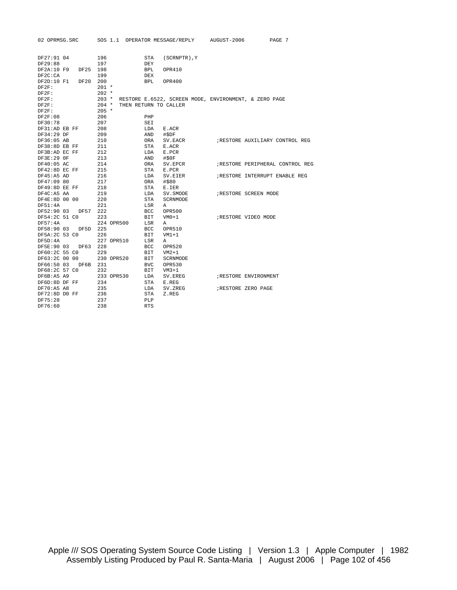| 02 OPRMSG.SRC          |            | SOS 1.1 OPERATOR MESSAGE/REPLY AUGUST-2006            | PAGE 7                          |
|------------------------|------------|-------------------------------------------------------|---------------------------------|
|                        |            |                                                       |                                 |
| DF27:91 04             | 196        | STA<br>(SCRNPTR), Y                                   |                                 |
| DF29:88                | 197        | DEY                                                   |                                 |
| DF2A:10 F9<br>DF25 198 |            | <b>BPL</b><br>OPR410                                  |                                 |
| DF2C:CA                | 199        | <b>DEX</b>                                            |                                 |
| DF2D:10 F1<br>DF20     | 200        | BPL<br>OPR400                                         |                                 |
| DF2F:                  | $201 *$    |                                                       |                                 |
| DF2F:                  | $202 *$    |                                                       |                                 |
| DF2F:                  | $203 *$    | RESTORE E.6522, SCREEN MODE, ENVIRONMENT, & ZERO PAGE |                                 |
| DF2F:                  | $204$ *    | THEN RETURN TO CALLER                                 |                                 |
| DF2F:                  | $205$ *    |                                                       |                                 |
| DF2F:08                | 206        | PHP                                                   |                                 |
| DF30:78                | 207        | SEI                                                   |                                 |
| DF31:AD EB FF          | 208        | LDA<br>E.ACR                                          |                                 |
| DF34:29 DF             | 209        | AND<br>#\$DF                                          |                                 |
| DF36:05 AB             | 210        | ORA<br>SV.EACR                                        | RESTORE AUXILIARY CONTROL REG   |
| DF38:8D EB FF          | 211        | STA<br>E.ACR                                          |                                 |
| DF3B:AD EC FF          | 212        | E.PCR<br>LDA                                          |                                 |
| DF3E:29 OF             | 213        | AND<br>#\$0F                                          |                                 |
| DF40:05 AC             | 214        | ORA<br>SV.EPCR                                        | ;RESTORE PERIPHERAL CONTROL REG |
| DF42:8D EC FF          | 215        | STA<br>E.PCR                                          |                                 |
| DF45:ABAD              | 216        | LDA<br>SV.EIER                                        | RESTORE INTERRUPT ENABLE REG    |
| DF47:09 80             | 217        | ORA<br>#\$80                                          |                                 |
| DF49:8D EE FF          | 218        | STA<br>E.IER                                          |                                 |
| DF4C:A5 AA             | 219        | LDA<br>SV.SMODE                                       | ; RESTORE SCREEN MODE           |
| DF4E:8D 00 00          | 220        | STA<br>SCRNMODE                                       |                                 |
| DF51:4A                | 221        | LSR<br>Α                                              |                                 |
| DF52:90 03 DF57        | 222        | BCC<br>OPR500                                         |                                 |
| DF54:2C 51 CO          | 223        | BIT<br>$VM0+1$                                        | RESTORE VIDEO MODE              |
| DF57:4A                | 224 OPR500 | LSR<br>Α                                              |                                 |
| DF58:90 03<br>DF5D     | 225        | BCC<br>OPR510                                         |                                 |
| DF5A:2C 53 CO          | 226        | BIT<br>VM1+1                                          |                                 |
| DF5D:4A                | 227 OPR510 | LSR<br>Α                                              |                                 |
| DF5E:90 03<br>DF63     | 228        | BCC<br>OPR520                                         |                                 |
| DF60:2C 55 CO          | 229        | BIT<br>$VM2+1$                                        |                                 |
| DF63:2C 00 00          | 230 OPR520 | BIT<br>SCRNMODE                                       |                                 |
| DF66:50 03<br>DF6B     | 231        | <b>BVC</b><br><b>OPR530</b>                           |                                 |
| DF68:2C 57 CO          | 232        | BIT<br>$VM3+1$                                        |                                 |
| DF6B: A5 A9            | 233 OPR530 | LDA<br>SV.EREG                                        | RESTORE ENVIRONMENT             |
| DF6D:8D DF FF          | 234        | STA<br>E.REG                                          |                                 |
| DF70:A5 A8             | 235        | LDA<br>SV.ZREG                                        | ; RESTORE ZERO PAGE             |
| DF72:8D D0 FF          | 236        | STA<br>Z.REG                                          |                                 |
| DF75:28                | 237        | PLP                                                   |                                 |
| DF76:60                | 238        | <b>RTS</b>                                            |                                 |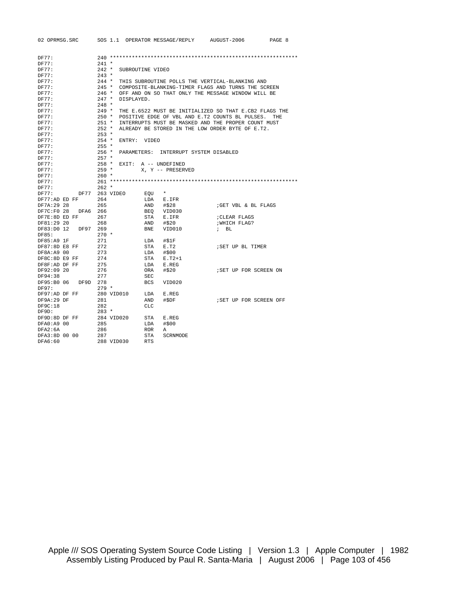|       | 02 OPRMSG.SRC |          |                    |                  |            | SOS 1.1 OPERATOR MESSAGE/REPLY | AUGUST-2006                                            | PAGE 8     |
|-------|---------------|----------|--------------------|------------------|------------|--------------------------------|--------------------------------------------------------|------------|
|       |               |          |                    |                  |            |                                |                                                        |            |
| DF77: |               |          |                    |                  |            |                                |                                                        |            |
| DF77: |               |          | $241 *$            |                  |            |                                |                                                        |            |
| DF77: |               |          | $242 *$            | SUBROUTINE VIDEO |            |                                |                                                        |            |
| DF77: |               |          | $243 *$            |                  |            |                                |                                                        |            |
| DF77: |               |          | $244$ *            |                  |            |                                | THIS SUBROUTINE POLLS THE VERTICAL-BLANKING AND        |            |
|       |               |          | $245$ *            |                  |            |                                |                                                        |            |
| DF77: |               |          |                    |                  |            |                                | COMPOSITE-BLANKING-TIMER FLAGS AND TURNS THE SCREEN    |            |
| DF77: |               |          | $246 *$<br>$247 *$ |                  |            |                                | OFF AND ON SO THAT ONLY THE MESSAGE WINDOW WILL BE     |            |
| DF77: |               |          |                    | DISPLAYED.       |            |                                |                                                        |            |
| DF77: |               |          | $248 *$            |                  |            |                                |                                                        |            |
| DF77: |               |          | $249 *$            |                  |            |                                | THE E.6522 MUST BE INITIALIZED SO THAT E.CB2 FLAGS THE |            |
| DF77: |               |          | $250 *$            |                  |            |                                | POSITIVE EDGE OF VBL AND E.T2 COUNTS BL PULSES.        | <b>THE</b> |
| DF77: |               |          | $251 *$            |                  |            |                                | INTERRUPTS MUST BE MASKED AND THE PROPER COUNT MUST    |            |
| DF77: |               |          | $252 *$            |                  |            |                                | ALREADY BE STORED IN THE LOW ORDER BYTE OF E.T2.       |            |
| DF77: |               |          | $253 *$            |                  |            |                                |                                                        |            |
| DF77: |               |          | $254$ *            | ENTRY: VIDEO     |            |                                |                                                        |            |
| DF77: |               |          | $255 *$            |                  |            |                                |                                                        |            |
| DF77: |               |          | $256$ *            | PARAMETERS:      |            | INTERRUPT SYSTEM DISABLED      |                                                        |            |
| DF77: |               |          | $257 *$            |                  |            |                                |                                                        |            |
| DF77: |               |          | $258 *$            |                  |            | EXIT: A -- UNDEFINED           |                                                        |            |
| DF77: |               |          | $259 *$            |                  |            | X. Y -- PRESERVED              |                                                        |            |
| DF77: |               |          | $260 *$            |                  |            |                                |                                                        |            |
| DF77: |               |          |                    |                  |            |                                |                                                        |            |
| DF77: |               |          | $262 *$            |                  |            |                                |                                                        |            |
| DF77: |               | DF77     | 263 VIDEO          |                  | EOU        | $\star$                        |                                                        |            |
|       | DF77:AD ED FF |          | 264                |                  | LDA        | E.IFR                          |                                                        |            |
|       | DF7A: 29 28   |          | 265                |                  | AND        | #\$28                          | GET VBL & BL FLAGS                                     |            |
|       | DF7C:F0 28    | DFA6 266 |                    |                  | BEO        | VID030                         |                                                        |            |
|       | DF7E:8D ED FF |          | 267                |                  | STA        | E.IFR                          | ; CLEAR FLAGS                                          |            |
|       | DF81:29 20    |          | 268                |                  | AND        | #\$20                          | WHICH FLAG?                                            |            |
|       | DF83:D0 12    | DF97     | 269                |                  | <b>BNE</b> | VID010                         | $\frac{1}{2}$ BL                                       |            |
| DF85: |               |          | $270 *$            |                  |            |                                |                                                        |            |
|       | DF85:A9 1F    |          | 271                |                  | LDA        | #\$1F                          |                                                        |            |
|       | DF87:8D E8 FF |          | 272                |                  | STA        | E.T2                           | ; SET UP BL TIMER                                      |            |
|       | DF8A:A9 00    |          | 273                |                  | LDA        | #\$00                          |                                                        |            |
|       | DF8C:8D E9 FF |          | 274                |                  | STA        | E.T2+1                         |                                                        |            |
|       | DF8F:AD DF FF |          | 275                |                  | LDA        | E.REG                          |                                                        |            |
|       | DF92:09 20    |          | 276                |                  | ORA        | #\$20                          | ; SET UP FOR SCREEN ON                                 |            |
|       | DF94:38       |          | 277                |                  | <b>SEC</b> |                                |                                                        |            |
|       | DF95:B0 06    | DF9D 278 |                    |                  | <b>BCS</b> | VID020                         |                                                        |            |
| DF97: |               |          | $279 *$            |                  |            |                                |                                                        |            |
|       | DF97:AD DF FF |          | 280 VID010         |                  | LDA        | E.REG                          |                                                        |            |
|       | DF9A: 29 DF   |          | 281                |                  | AND        | #\$DF                          | ; SET UP FOR SCREEN OFF                                |            |
|       | DF9C:18       |          | 282                |                  | <b>CLC</b> |                                |                                                        |            |
| DF9D: |               |          | $283 *$            |                  |            |                                |                                                        |            |
|       | DF9D:8D DF FF |          | 284 VID020         |                  | STA        | E.REG                          |                                                        |            |
|       | DFA0:A9 00    |          | 285                |                  | LDA        | #\$00                          |                                                        |            |
|       | DFA2:6A       |          | 286                |                  | <b>ROR</b> | Α                              |                                                        |            |
|       | DFA3:8D 00 00 |          | 287                |                  | STA        | SCRNMODE                       |                                                        |            |
|       | DFA6:60       |          |                    | 288 VID030       | <b>RTS</b> |                                |                                                        |            |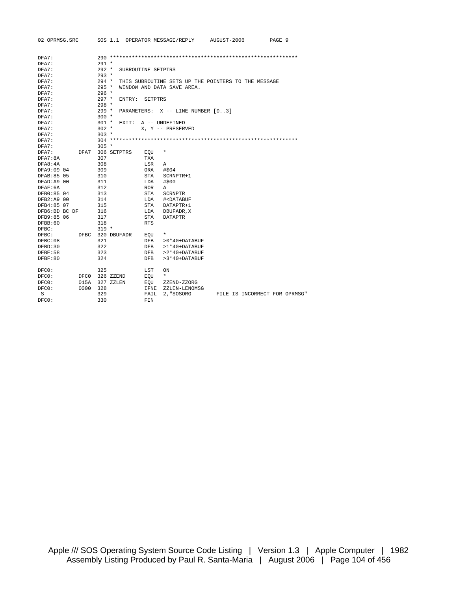| DFA7:<br>$291 *$<br>DFA7:<br>DFA7:<br>$292 *$<br>SUBROUTINE SETPTRS<br>$293 *$<br>DFA7:<br>$294$ *<br>DFA7:<br>THIS SUBROUTINE SETS UP THE POINTERS TO THE MESSAGE<br>DFA7:<br>$295 *$<br>WINDOW AND DATA SAVE AREA.<br>DFA7:<br>$296 *$<br>$297 *$<br>DFA7:<br>ENTRY:<br>SETPTRS<br>$298 *$<br>DFA7:<br>$299 *$<br>DFA7:<br>PARAMETERS: X -- LINE NUMBER [03]<br>$300 *$<br>DFA7:<br>$301 *$<br>DFA7:<br>EXIT: A -- UNDEFINED<br>$302 *$<br>DFA7:<br>X, Y -- PRESERVED<br>DFA7:<br>$303 *$<br>DFA7:<br>DFA7:<br>$305 *$<br>DFA7:<br>DFA7 306 SETPTRS<br>$^\star$<br>EOU<br>307<br>DFA7:8A<br>TXA<br>308<br>DFA8:4A<br>LSR<br>Α<br>DFA9:09 04<br>309<br><b>ORA</b><br>#\$04<br>DFAB: 85 05<br>310<br>STA<br>SCRNPTR+1<br>DFAD: A9 00<br>311<br>#\$00<br>LDA<br>DFAF:6A<br>312<br>ROR.<br>Α<br>DFB0:85 04<br>313<br>STA<br><b>SCRNPTR</b><br>DFB2:A9 00<br>314<br>LDA<br># <databuf<br>DFB4:85 07<br/>315<br/>STA<br/>DATAPTR+1<br/>DFB6:BD BC DF<br/>316<br/>LDA<br/>DBUFADR, X<br/>DFB9:85 06<br/>317<br/><b>DATAPTR</b><br/>STA<br/>DFBB:60<br/><b>RTS</b><br/>318<br/><math>319 *</math><br/>DFBC:<br/>320 DBUFADR<br/>DFBC:<br/><math>^\star</math><br/>DFBC<br/>EOU<br/>321<br/>DFBC:08<br/><b>DFB</b><br/><math>&gt;0*40+</math>DATABUF<br/>322<br/>DFBD:30<br/>DFB<br/>&gt;1*40+DATABUF<br/>DFBE:58<br/>323<br/><math>&gt;2*40+</math>DATABUF<br/>DFB<br/>DFBF:80<br/>324<br/><b>DFB</b><br/><math>&gt;3*40+</math>DATABUF<br/>325<br/>DFC0:<br/>LST<br/>ON<br/><math>\star</math><br/>DFC0:<br/>DFC0 326 ZZEND<br/>EQU<br/>015A<br/>327 ZZLEN<br/>DFCO:<br/>EOU<br/>ZZEND-ZZORG<br/>328<br/>DFC0:<br/>0000<br/>IFNE<br/>ZZLEN-LENOMSG</databuf<br> | 02 OPRMSG.SRC |  | SOS 1.1 OPERATOR MESSAGE/REPLY | AUGUST-2006 | PAGE 9 |
|------------------------------------------------------------------------------------------------------------------------------------------------------------------------------------------------------------------------------------------------------------------------------------------------------------------------------------------------------------------------------------------------------------------------------------------------------------------------------------------------------------------------------------------------------------------------------------------------------------------------------------------------------------------------------------------------------------------------------------------------------------------------------------------------------------------------------------------------------------------------------------------------------------------------------------------------------------------------------------------------------------------------------------------------------------------------------------------------------------------------------------------------------------------------------------------------------------------------------------------------------------------------------------------------------------------------------------------------------------------------------------------------------------------------------------------------------------------------------------------------------------------------------------------------------------------------------------------------------------------------------------------------------------|---------------|--|--------------------------------|-------------|--------|
|                                                                                                                                                                                                                                                                                                                                                                                                                                                                                                                                                                                                                                                                                                                                                                                                                                                                                                                                                                                                                                                                                                                                                                                                                                                                                                                                                                                                                                                                                                                                                                                                                                                            |               |  |                                |             |        |
|                                                                                                                                                                                                                                                                                                                                                                                                                                                                                                                                                                                                                                                                                                                                                                                                                                                                                                                                                                                                                                                                                                                                                                                                                                                                                                                                                                                                                                                                                                                                                                                                                                                            |               |  |                                |             |        |
|                                                                                                                                                                                                                                                                                                                                                                                                                                                                                                                                                                                                                                                                                                                                                                                                                                                                                                                                                                                                                                                                                                                                                                                                                                                                                                                                                                                                                                                                                                                                                                                                                                                            |               |  |                                |             |        |
|                                                                                                                                                                                                                                                                                                                                                                                                                                                                                                                                                                                                                                                                                                                                                                                                                                                                                                                                                                                                                                                                                                                                                                                                                                                                                                                                                                                                                                                                                                                                                                                                                                                            |               |  |                                |             |        |
|                                                                                                                                                                                                                                                                                                                                                                                                                                                                                                                                                                                                                                                                                                                                                                                                                                                                                                                                                                                                                                                                                                                                                                                                                                                                                                                                                                                                                                                                                                                                                                                                                                                            |               |  |                                |             |        |
|                                                                                                                                                                                                                                                                                                                                                                                                                                                                                                                                                                                                                                                                                                                                                                                                                                                                                                                                                                                                                                                                                                                                                                                                                                                                                                                                                                                                                                                                                                                                                                                                                                                            |               |  |                                |             |        |
|                                                                                                                                                                                                                                                                                                                                                                                                                                                                                                                                                                                                                                                                                                                                                                                                                                                                                                                                                                                                                                                                                                                                                                                                                                                                                                                                                                                                                                                                                                                                                                                                                                                            |               |  |                                |             |        |
|                                                                                                                                                                                                                                                                                                                                                                                                                                                                                                                                                                                                                                                                                                                                                                                                                                                                                                                                                                                                                                                                                                                                                                                                                                                                                                                                                                                                                                                                                                                                                                                                                                                            |               |  |                                |             |        |
|                                                                                                                                                                                                                                                                                                                                                                                                                                                                                                                                                                                                                                                                                                                                                                                                                                                                                                                                                                                                                                                                                                                                                                                                                                                                                                                                                                                                                                                                                                                                                                                                                                                            |               |  |                                |             |        |
|                                                                                                                                                                                                                                                                                                                                                                                                                                                                                                                                                                                                                                                                                                                                                                                                                                                                                                                                                                                                                                                                                                                                                                                                                                                                                                                                                                                                                                                                                                                                                                                                                                                            |               |  |                                |             |        |
|                                                                                                                                                                                                                                                                                                                                                                                                                                                                                                                                                                                                                                                                                                                                                                                                                                                                                                                                                                                                                                                                                                                                                                                                                                                                                                                                                                                                                                                                                                                                                                                                                                                            |               |  |                                |             |        |
|                                                                                                                                                                                                                                                                                                                                                                                                                                                                                                                                                                                                                                                                                                                                                                                                                                                                                                                                                                                                                                                                                                                                                                                                                                                                                                                                                                                                                                                                                                                                                                                                                                                            |               |  |                                |             |        |
|                                                                                                                                                                                                                                                                                                                                                                                                                                                                                                                                                                                                                                                                                                                                                                                                                                                                                                                                                                                                                                                                                                                                                                                                                                                                                                                                                                                                                                                                                                                                                                                                                                                            |               |  |                                |             |        |
|                                                                                                                                                                                                                                                                                                                                                                                                                                                                                                                                                                                                                                                                                                                                                                                                                                                                                                                                                                                                                                                                                                                                                                                                                                                                                                                                                                                                                                                                                                                                                                                                                                                            |               |  |                                |             |        |
|                                                                                                                                                                                                                                                                                                                                                                                                                                                                                                                                                                                                                                                                                                                                                                                                                                                                                                                                                                                                                                                                                                                                                                                                                                                                                                                                                                                                                                                                                                                                                                                                                                                            |               |  |                                |             |        |
|                                                                                                                                                                                                                                                                                                                                                                                                                                                                                                                                                                                                                                                                                                                                                                                                                                                                                                                                                                                                                                                                                                                                                                                                                                                                                                                                                                                                                                                                                                                                                                                                                                                            |               |  |                                |             |        |
|                                                                                                                                                                                                                                                                                                                                                                                                                                                                                                                                                                                                                                                                                                                                                                                                                                                                                                                                                                                                                                                                                                                                                                                                                                                                                                                                                                                                                                                                                                                                                                                                                                                            |               |  |                                |             |        |
|                                                                                                                                                                                                                                                                                                                                                                                                                                                                                                                                                                                                                                                                                                                                                                                                                                                                                                                                                                                                                                                                                                                                                                                                                                                                                                                                                                                                                                                                                                                                                                                                                                                            |               |  |                                |             |        |
|                                                                                                                                                                                                                                                                                                                                                                                                                                                                                                                                                                                                                                                                                                                                                                                                                                                                                                                                                                                                                                                                                                                                                                                                                                                                                                                                                                                                                                                                                                                                                                                                                                                            |               |  |                                |             |        |
|                                                                                                                                                                                                                                                                                                                                                                                                                                                                                                                                                                                                                                                                                                                                                                                                                                                                                                                                                                                                                                                                                                                                                                                                                                                                                                                                                                                                                                                                                                                                                                                                                                                            |               |  |                                |             |        |
|                                                                                                                                                                                                                                                                                                                                                                                                                                                                                                                                                                                                                                                                                                                                                                                                                                                                                                                                                                                                                                                                                                                                                                                                                                                                                                                                                                                                                                                                                                                                                                                                                                                            |               |  |                                |             |        |
|                                                                                                                                                                                                                                                                                                                                                                                                                                                                                                                                                                                                                                                                                                                                                                                                                                                                                                                                                                                                                                                                                                                                                                                                                                                                                                                                                                                                                                                                                                                                                                                                                                                            |               |  |                                |             |        |
|                                                                                                                                                                                                                                                                                                                                                                                                                                                                                                                                                                                                                                                                                                                                                                                                                                                                                                                                                                                                                                                                                                                                                                                                                                                                                                                                                                                                                                                                                                                                                                                                                                                            |               |  |                                |             |        |
|                                                                                                                                                                                                                                                                                                                                                                                                                                                                                                                                                                                                                                                                                                                                                                                                                                                                                                                                                                                                                                                                                                                                                                                                                                                                                                                                                                                                                                                                                                                                                                                                                                                            |               |  |                                |             |        |
|                                                                                                                                                                                                                                                                                                                                                                                                                                                                                                                                                                                                                                                                                                                                                                                                                                                                                                                                                                                                                                                                                                                                                                                                                                                                                                                                                                                                                                                                                                                                                                                                                                                            |               |  |                                |             |        |
|                                                                                                                                                                                                                                                                                                                                                                                                                                                                                                                                                                                                                                                                                                                                                                                                                                                                                                                                                                                                                                                                                                                                                                                                                                                                                                                                                                                                                                                                                                                                                                                                                                                            |               |  |                                |             |        |
|                                                                                                                                                                                                                                                                                                                                                                                                                                                                                                                                                                                                                                                                                                                                                                                                                                                                                                                                                                                                                                                                                                                                                                                                                                                                                                                                                                                                                                                                                                                                                                                                                                                            |               |  |                                |             |        |
|                                                                                                                                                                                                                                                                                                                                                                                                                                                                                                                                                                                                                                                                                                                                                                                                                                                                                                                                                                                                                                                                                                                                                                                                                                                                                                                                                                                                                                                                                                                                                                                                                                                            |               |  |                                |             |        |
|                                                                                                                                                                                                                                                                                                                                                                                                                                                                                                                                                                                                                                                                                                                                                                                                                                                                                                                                                                                                                                                                                                                                                                                                                                                                                                                                                                                                                                                                                                                                                                                                                                                            |               |  |                                |             |        |
|                                                                                                                                                                                                                                                                                                                                                                                                                                                                                                                                                                                                                                                                                                                                                                                                                                                                                                                                                                                                                                                                                                                                                                                                                                                                                                                                                                                                                                                                                                                                                                                                                                                            |               |  |                                |             |        |
|                                                                                                                                                                                                                                                                                                                                                                                                                                                                                                                                                                                                                                                                                                                                                                                                                                                                                                                                                                                                                                                                                                                                                                                                                                                                                                                                                                                                                                                                                                                                                                                                                                                            |               |  |                                |             |        |
|                                                                                                                                                                                                                                                                                                                                                                                                                                                                                                                                                                                                                                                                                                                                                                                                                                                                                                                                                                                                                                                                                                                                                                                                                                                                                                                                                                                                                                                                                                                                                                                                                                                            |               |  |                                |             |        |
|                                                                                                                                                                                                                                                                                                                                                                                                                                                                                                                                                                                                                                                                                                                                                                                                                                                                                                                                                                                                                                                                                                                                                                                                                                                                                                                                                                                                                                                                                                                                                                                                                                                            |               |  |                                |             |        |
|                                                                                                                                                                                                                                                                                                                                                                                                                                                                                                                                                                                                                                                                                                                                                                                                                                                                                                                                                                                                                                                                                                                                                                                                                                                                                                                                                                                                                                                                                                                                                                                                                                                            |               |  |                                |             |        |
|                                                                                                                                                                                                                                                                                                                                                                                                                                                                                                                                                                                                                                                                                                                                                                                                                                                                                                                                                                                                                                                                                                                                                                                                                                                                                                                                                                                                                                                                                                                                                                                                                                                            |               |  |                                |             |        |
|                                                                                                                                                                                                                                                                                                                                                                                                                                                                                                                                                                                                                                                                                                                                                                                                                                                                                                                                                                                                                                                                                                                                                                                                                                                                                                                                                                                                                                                                                                                                                                                                                                                            |               |  |                                |             |        |
|                                                                                                                                                                                                                                                                                                                                                                                                                                                                                                                                                                                                                                                                                                                                                                                                                                                                                                                                                                                                                                                                                                                                                                                                                                                                                                                                                                                                                                                                                                                                                                                                                                                            |               |  |                                |             |        |
|                                                                                                                                                                                                                                                                                                                                                                                                                                                                                                                                                                                                                                                                                                                                                                                                                                                                                                                                                                                                                                                                                                                                                                                                                                                                                                                                                                                                                                                                                                                                                                                                                                                            |               |  |                                |             |        |
|                                                                                                                                                                                                                                                                                                                                                                                                                                                                                                                                                                                                                                                                                                                                                                                                                                                                                                                                                                                                                                                                                                                                                                                                                                                                                                                                                                                                                                                                                                                                                                                                                                                            |               |  |                                |             |        |
|                                                                                                                                                                                                                                                                                                                                                                                                                                                                                                                                                                                                                                                                                                                                                                                                                                                                                                                                                                                                                                                                                                                                                                                                                                                                                                                                                                                                                                                                                                                                                                                                                                                            |               |  |                                |             |        |
| 329<br>S<br>2, "SOSORG<br>FILE IS INCORRECT FOR OPRMSG"<br>FAIL                                                                                                                                                                                                                                                                                                                                                                                                                                                                                                                                                                                                                                                                                                                                                                                                                                                                                                                                                                                                                                                                                                                                                                                                                                                                                                                                                                                                                                                                                                                                                                                            |               |  |                                |             |        |
| 330<br>DFCO:<br>FIN                                                                                                                                                                                                                                                                                                                                                                                                                                                                                                                                                                                                                                                                                                                                                                                                                                                                                                                                                                                                                                                                                                                                                                                                                                                                                                                                                                                                                                                                                                                                                                                                                                        |               |  |                                |             |        |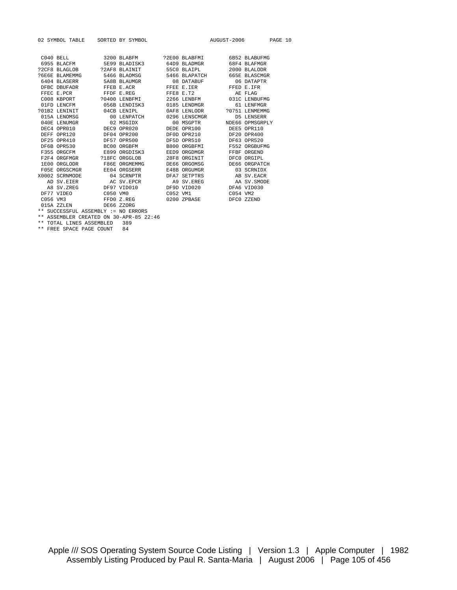|              | 02 SYMBOL TABLE SORTED BY SYMBOL    |                                         |  |                                                                                                                                                                                                                                                                                                       | AUGUST-2006 PAGE 10 |
|--------------|-------------------------------------|-----------------------------------------|--|-------------------------------------------------------------------------------------------------------------------------------------------------------------------------------------------------------------------------------------------------------------------------------------------------------|---------------------|
|              |                                     |                                         |  |                                                                                                                                                                                                                                                                                                       |                     |
|              |                                     |                                         |  | C040 BELL 3200 BLABFM ?2E00 BLABFMI 6B52 BLABUFMG                                                                                                                                                                                                                                                     |                     |
|              |                                     |                                         |  | 6955 BLACFM 5E99 BLADISK3 64D9 BLADMGR 68F4 BLAFMGR                                                                                                                                                                                                                                                   |                     |
|              |                                     |                                         |  |                                                                                                                                                                                                                                                                                                       |                     |
|              |                                     |                                         |  | ?6E6E BLAMEMMG 5466 BLAOMSG 5466 BLAPATCH 665E BLASCMGR                                                                                                                                                                                                                                               |                     |
|              |                                     |                                         |  | 6404 BLASERR 5A8B BLAUMGR 6404 DATABUF 6404 BLASERR                                                                                                                                                                                                                                                   |                     |
|              |                                     |                                         |  | DFBC DBUFADR FFEB E.ACR FFEE E.IER FFED E.IFR                                                                                                                                                                                                                                                         |                     |
|              |                                     |                                         |  |                                                                                                                                                                                                                                                                                                       |                     |
|              |                                     |                                         |  |                                                                                                                                                                                                                                                                                                       |                     |
|              |                                     | 01FD LENCFM 656B LENDISK3 0185 LENDMGR  |  |                                                                                                                                                                                                                                                                                                       | 61 LENFMGR          |
|              |                                     |                                         |  |                                                                                                                                                                                                                                                                                                       |                     |
| 015A LENOMSG |                                     |                                         |  | 00 LENPATCH 0296 LENSCMGR D5 LENSERR                                                                                                                                                                                                                                                                  |                     |
|              |                                     |                                         |  | $\begin{tabular}{lcccc} 040E & LENUMGR & 02 MSGIDX & 00 MSGPTR & NDE66 OPMSGRPLY \\ DEC4 OPR010 & DEC9 OPR020 & DEDE OPR100 & DEE5 OPR110 \end{tabular}$                                                                                                                                              |                     |
|              |                                     |                                         |  |                                                                                                                                                                                                                                                                                                       |                     |
|              |                                     |                                         |  | DEFF OPR120 DF04 OPR200 DF0D OPR210 DF20 OPR400                                                                                                                                                                                                                                                       |                     |
|              |                                     |                                         |  | DF25 OPR410 DF57 OPR500 DF5D OPR510 DF63 OPR520                                                                                                                                                                                                                                                       |                     |
|              |                                     |                                         |  | DF6B OPR530 BC00 ORGBFM B800 ORGBFMI F552 ORGBUFMG                                                                                                                                                                                                                                                    |                     |
|              |                                     |                                         |  | F355 ORGCFM E899 ORGDISK3 EED9 ORGDMGR FFBF ORGEND                                                                                                                                                                                                                                                    |                     |
|              |                                     |                                         |  |                                                                                                                                                                                                                                                                                                       |                     |
|              |                                     |                                         |  | 1E00 ORGLODR F86E ORGMEMMG DE66 ORGOMSG DE66 ORGPATCH                                                                                                                                                                                                                                                 |                     |
|              |                                     | F05E ORGSCMGR EE04 ORGSERR E48B ORGUMGR |  |                                                                                                                                                                                                                                                                                                       | 03 SCRNIDX          |
|              |                                     |                                         |  | $\verb X0002 SCRNMODE 204 SCRNPTR 30002 SCRNNODE 404 SCRNPTR 50002 SCRNNQDE 504 SCRNPTR 50002 SCRNNQDE 50002 SCRNNQDE 50002~SCRNNQDE 50002~SCRNNQDE 50002~SCRNNQDE 50002~SCRNNQDE 50002~SCRNNQDE 50002~SCRNNQDE 50002~SCRNNQDE 50002~SCRNNQDE 50002~SCRNNQDE 50002~SCRNNQDE 50002~SCRNNQDE 50002~SCR$ |                     |
|              |                                     |                                         |  |                                                                                                                                                                                                                                                                                                       |                     |
|              |                                     |                                         |  | A8 SV.ZREG DF97 VID010 DF9D VID020 DFA6 VID030                                                                                                                                                                                                                                                        |                     |
|              |                                     |                                         |  |                                                                                                                                                                                                                                                                                                       |                     |
| C056 VM3     |                                     |                                         |  | FFD0 Z.REG 0200 ZPBASE DFC0 ZZEND                                                                                                                                                                                                                                                                     |                     |
|              | 015A ZZLEN DE66 ZZORG               |                                         |  |                                                                                                                                                                                                                                                                                                       |                     |
|              | ** SUCCESSFUL ASSEMBLY := NO ERRORS |                                         |  |                                                                                                                                                                                                                                                                                                       |                     |

\*\* ASSEMBLER CREATED ON 30-APR-85 22:46

\*\* TOTAL LINES ASSEMBLED 389 \*\* FREE SPACE PAGE COUNT 84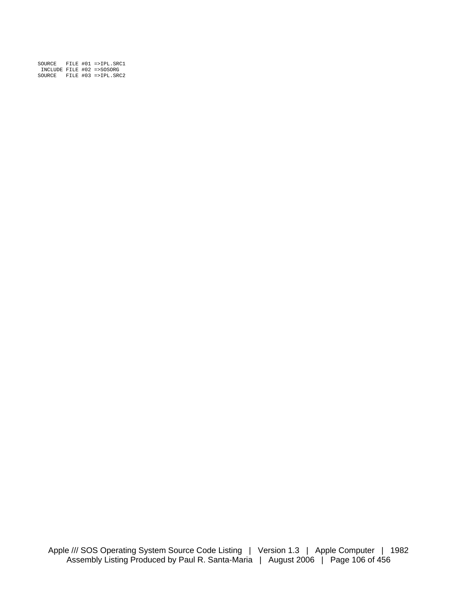| SOURCE |  | FILE $#01$ =>IPL. SRC1    |
|--------|--|---------------------------|
|        |  | INCLUDE FILE #02 =>SOSORG |
| SOURCE |  | FILE #03 =>IPL.SRC2       |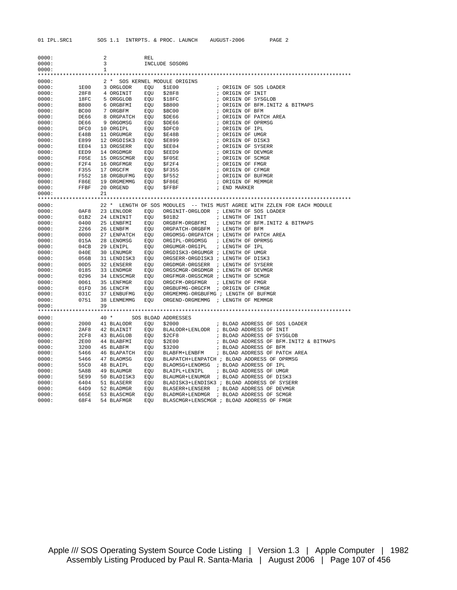| 0000:          |              | $\overline{a}$          |                                                                                        | REL |                                                      |                                                                                |
|----------------|--------------|-------------------------|----------------------------------------------------------------------------------------|-----|------------------------------------------------------|--------------------------------------------------------------------------------|
| 0000:          |              | $\overline{\mathbf{3}}$ |                                                                                        |     | INCLUDE SOSORG                                       |                                                                                |
| 0000:          |              | 1                       |                                                                                        |     |                                                      |                                                                                |
| 0000:          |              |                         |                                                                                        |     | 2 * SOS KERNEL MODULE ORIGINS                        |                                                                                |
| 0000:          |              |                         |                                                                                        |     |                                                      | ; ORIGIN OF SOS LOADER                                                         |
| 0000:          |              |                         | 1E00 3 ORGLODR EQU \$1E00<br>28F8 4 ORGINIT EQU \$28F8<br>18FC 5 ORGGLOB EQU \$18FC    |     |                                                      | ; ORIGIN OF INIT                                                               |
| 0000:          |              |                         |                                                                                        |     |                                                      | ; ORIGIN OF SYSGLOB                                                            |
| 0000:          |              |                         |                                                                                        |     |                                                      | ; ORIGIN OF BFM.INIT2 & BITMAPS                                                |
| 0000:          |              |                         | B800 6 ORGBFMI EQU \$B800<br>BC00 7 ORGBFM EQU \$BC00                                  |     |                                                      | ; ORIGIN OF BFM                                                                |
| 0000:          |              |                         |                                                                                        |     |                                                      | ; ORIGIN OF PATCH AREA                                                         |
| 0000:          | DE66<br>DE66 |                         | 8 ORGPATCH   EQU   \$DE66<br>9 ORGOMSG    EQU   \$DE66                                 |     |                                                      | ; ORIGIN OF OPRMSG                                                             |
| 0000:          | DFC0         |                         | 10 ORGIPL                                                                              |     | EQU \$DFC0                                           | ; ORIGIN OF IPL                                                                |
| 0000:          | E48B         |                         | 11 ORGUMGR EQU \$E48B                                                                  |     |                                                      | ; ORIGIN OF UMGR                                                               |
| 0000:          | E899         |                         | 12 ORGDISK3 EQU \$E899<br>13 ORGSERR EQU \$EE04                                        |     |                                                      | ; ORIGIN OF DISK3                                                              |
| 0000:          | EE04         |                         |                                                                                        |     |                                                      | ; ORIGIN OF SYSERR                                                             |
| 0000:          | EED9         |                         | 14 ORGDMGR                                                                             |     | EQU \$EED9                                           | ; ORIGIN OF DEVMGR                                                             |
| 0000:          |              |                         | F05E 15 ORGSCMGR EQU \$F05E<br>F2F4 16 ORGFMGR EQU \$F2F4<br>F355 17 ORGCFM EQU \$F355 |     |                                                      | ; ORIGIN OF SCMGR                                                              |
| 0000:          |              |                         |                                                                                        |     |                                                      | ; ORIGIN OF FMGR                                                               |
| 0000:          |              |                         |                                                                                        |     |                                                      | ; ORIGIN OF CFMGR                                                              |
| 0000:          |              |                         | F552 18 ORGBUFMG EQU \$F552                                                            |     |                                                      | ; ORIGIN OF BUFMGR                                                             |
| 0000:          |              |                         | F86E 19 ORGMEMMG EQU \$F86E                                                            |     |                                                      | ; ORIGIN OF MEMMGR                                                             |
| 0000:          | FFBF         |                         | 20 ORGEND EOU \$FFBF                                                                   |     |                                                      | ; END MARKER                                                                   |
| 0000:          |              | 21                      |                                                                                        |     |                                                      |                                                                                |
| 0000:          |              |                         |                                                                                        |     |                                                      | 22 * LENGTH OF SOS MODULES -- THIS MUST AGREE WITH ZZLEN FOR EACH MODULE       |
| 0000:          |              |                         |                                                                                        |     |                                                      |                                                                                |
| 0000:          |              |                         | 01B2 24 LENINIT EQU \$01B2                                                             |     |                                                      | 0AF8 23 LENLODR EQU ORGINIT-ORGLODR ; LENGTH OF SOS LOADER<br>; LENGTH OF INIT |
| 0000:          |              |                         |                                                                                        |     |                                                      | 0400 25 LENBFMI EQU ORGBFM-ORGBFMI ; LENGTH OF BFM. INIT2 & BITMAPS            |
| 0000:          | 2266         |                         |                                                                                        |     | 26 LENBFM EQU ORGPATCH-ORGBFM ; LENGTH OF BFM        |                                                                                |
| 0000:          | 0000         |                         |                                                                                        |     |                                                      | 27 LENPATCH EQU ORGOMSG-ORGPATCH; LENGTH OF PATCH AREA                         |
| 0000:          | 015A         |                         |                                                                                        |     | 28 LENOMSG EQU ORGIPL-ORGOMSG ; LENGTH OF OPRMSG     |                                                                                |
| 0000:          | 04CB         |                         | 29 LENIPL                                                                              |     | EQU ORGUMGR-ORGIPL ; LENGTH OF IPL                   |                                                                                |
| 0000:          | 040E         |                         |                                                                                        |     | 30 LENUMGR EQU ORGDISK3-ORGUMGR ; LENGTH OF UMGR     |                                                                                |
| 0000:          | 056B         |                         |                                                                                        |     | 31 LENDISK3 EQU ORGSERR-ORGDISK3; LENGTH OF DISK3    |                                                                                |
| 0000:          | 00D5         |                         | 32 LENSERR                                                                             |     | EQU ORGDMGR-ORGSERR ; LENGTH OF SYSERR               |                                                                                |
| 0000:          | 0185         |                         | 33 LENDMGR                                                                             |     | EQU ORGSCMGR-ORGDMGR ; LENGTH OF DEVMGR              |                                                                                |
| 0000:          | 0296         |                         |                                                                                        |     | 34 LENSCMGR EQU ORGFMGR-ORGSCMGR ; LENGTH OF SCMGR   |                                                                                |
| 0000:          | 0061         |                         | 35 LENFMGR                                                                             |     |                                                      |                                                                                |
| 0000:          | 01FD         |                         |                                                                                        |     |                                                      |                                                                                |
| 0000:          | 031C         |                         |                                                                                        |     | 37 LENBUFMG EQU ORGMEMMG-ORGBUFMG ; LENGTH OF BUFMGR |                                                                                |
| 0000:          | 0751         |                         | 38 LENMEMMG                                                                            |     | EQU ORGEND-ORGMEMMG ; LENGTH OF MEMMGR               |                                                                                |
| 0000:          |              | 39                      |                                                                                        |     |                                                      |                                                                                |
|                |              |                         |                                                                                        |     |                                                      |                                                                                |
| 0000:          |              |                         | $40*$                                                                                  |     | SOS BLOAD ADDRESSES                                  |                                                                                |
| 0000:          |              |                         |                                                                                        |     |                                                      | 2000 41 BLALODR EQU \$2000 6 7 BLOAD ADDRESS OF SOS LOADER                     |
| 0000:          |              |                         |                                                                                        |     | 43 BLAGLOB EQU \$2CF8                                | 2AF8 42 BLAINIT EQU BLALODR+LENLODR ; BLOAD ADDRESS OF INIT                    |
| 0000:<br>0000: | 2CF8<br>2E00 |                         |                                                                                        |     |                                                      | ; BLOAD ADDRESS OF SYSGLOB                                                     |
| 0000:          | 3200         |                         | 44 BLABFMI EQU \$2E00                                                                  |     | 45 BLABFM EQU \$3200                                 | ; BLOAD ADDRESS OF BFM.INIT2 & BITMAPS<br>; BLOAD ADDRESS OF BFM               |
| 0000:          | 5466         |                         |                                                                                        |     |                                                      | 46 BLAPATCH EQU BLABFM+LENBFM ; BLOAD ADDRESS OF PATCH AREA                    |
| 0000:          | 5466         |                         |                                                                                        |     |                                                      | 47 BLAOMSG EQU BLAPATCH+LENPATCH ; BLOAD ADDRESS OF OPRMSG                     |
| 0000:          | 55C0         |                         | 48 BLAIPL                                                                              |     |                                                      | EQU BLAOMSG+LENOMSG ; BLOAD ADDRESS OF IPL                                     |
| 0000:          | 5A8B         |                         | 49 BLAUMGR                                                                             |     | EQU BLAIPL+LENIPL                                    | ; BLOAD ADDRESS OF UMGR                                                        |
| 0000:          | 5E99         |                         |                                                                                        |     |                                                      | 50 BLADISK3 EQU BLAUMGR+LENUMGR ; BLOAD ADDRESS OF DISK3                       |
| 0000:          | 6404         |                         | 51 BLASERR                                                                             |     |                                                      | EQU BLADISK3+LENDISK3 ; BLOAD ADDRESS OF SYSERR                                |
| 0000:          |              |                         |                                                                                        |     |                                                      | 64D9 52 BLADMGR EQU BLASERR+LENSERR ; BLOAD ADDRESS OF DEVMGR                  |
| 0000:          | 665E         |                         | 53 BLASCMGR                                                                            | EQU |                                                      | BLADMGR+LENDMGR ; BLOAD ADDRESS OF SCMGR                                       |
| 0000:          | 68F4         |                         | 54 BLAFMGR                                                                             | EOU |                                                      | BLASCMGR+LENSCMGR ; BLOAD ADDRESS OF FMGR                                      |

01 IPL.SRC1 SOS 1.1 INTRPTS. & PROC. LAUNCH AUGUST-2006 PAGE 2

Apple /// SOS Operating System Source Code Listing | Version 1.3 | Apple Computer | 1982 Assembly Listing Produced by Paul R. Santa-Maria | August 2006 | Page 107 of 456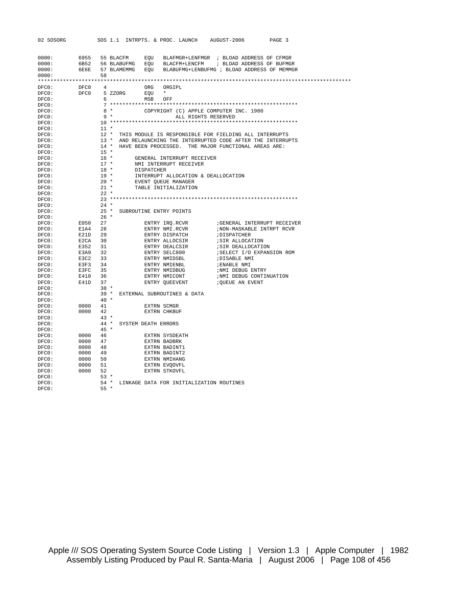| 02 SOSORG      |                               |                  |                |     |                                | SOS 1.1 INTRPTS. & PROC. LAUNCH AUGUST-2006                              |                                                             | PAGE 3                                                           |  |
|----------------|-------------------------------|------------------|----------------|-----|--------------------------------|--------------------------------------------------------------------------|-------------------------------------------------------------|------------------------------------------------------------------|--|
|                |                               |                  |                |     |                                |                                                                          |                                                             |                                                                  |  |
| 0000:          |                               |                  |                |     |                                |                                                                          |                                                             | 6955 55 BLACFM EQU BLAFMGR+LENFMGR ; BLOAD ADDRESS OF CFMGR      |  |
| 0000:          |                               |                  |                |     |                                |                                                                          |                                                             | 6B52 56 BLABUFMG EQU BLACFM+LENCFM ; BLOAD ADDRESS OF BUFMGR     |  |
| 0000:          |                               |                  |                |     |                                |                                                                          |                                                             | 6E6E 57 BLAMEMMG EOU BLABUFMG+LENBUFMG ; BLOAD ADDRESS OF MEMMGR |  |
| 0000:          |                               | 58               |                |     |                                |                                                                          |                                                             |                                                                  |  |
|                |                               |                  |                |     |                                |                                                                          |                                                             |                                                                  |  |
| DFC0:          | DFC0                          | 4                |                | ORG | ORGIPL                         |                                                                          |                                                             |                                                                  |  |
| DFC0:          | DFC0 5 ZZORG                  |                  |                |     | EOU *                          |                                                                          |                                                             |                                                                  |  |
| DFCO:<br>DFCO: |                               |                  | $6\overline{}$ |     | MSB OFF                        |                                                                          |                                                             |                                                                  |  |
| DFC0:          |                               |                  | $8 *$          |     |                                |                                                                          | COPYRIGHT (C) APPLE COMPUTER INC. 1980                      |                                                                  |  |
| DFCO:          |                               |                  | $9 *$          |     |                                | ALL RIGHTS RESERVED                                                      |                                                             |                                                                  |  |
| DFCO:          |                               |                  |                |     |                                |                                                                          |                                                             |                                                                  |  |
| DFCO:          |                               | $11 *$           |                |     |                                |                                                                          |                                                             |                                                                  |  |
| DFCO:          |                               |                  |                |     |                                |                                                                          | 12 * THIS MODULE IS RESPONSIBLE FOR FIELDING ALL INTERRUPTS |                                                                  |  |
| DFCO:          |                               |                  |                |     |                                |                                                                          |                                                             | 13 * AND RELAUNCHING THE INTERRUPTED CODE AFTER THE INTERRUPTS   |  |
| DFCO:          |                               |                  |                |     |                                |                                                                          | 14 * HAVE BEEN PROCESSED. THE MAJOR FUNCTIONAL AREAS ARE:   |                                                                  |  |
| DFC0:<br>DFC0: |                               | $15 *$<br>$16$ * |                |     |                                |                                                                          |                                                             |                                                                  |  |
| DFCO:          |                               | $17$ *           |                |     |                                | GENERAL INTERRUPT RECEIVER<br>NMI INTERRUPT RECEIVER                     |                                                             |                                                                  |  |
| DFC0:          |                               | $18$ *           |                |     |                                |                                                                          |                                                             |                                                                  |  |
| DFC0:          |                               | $19 *$           |                |     |                                |                                                                          |                                                             |                                                                  |  |
| DFC0:          |                               | $20$ *           |                |     |                                | DISPATCHER<br>INTERRUPT ALLOCATION & DEALLOCATION<br>EVENT QUEUE MANAGER |                                                             |                                                                  |  |
| DFCO:          |                               | $21$ *           |                |     |                                | TABLE INITIALIZATION                                                     |                                                             |                                                                  |  |
| DFCO:          |                               | $22 *$           |                |     |                                |                                                                          |                                                             |                                                                  |  |
| DFC0:          |                               |                  |                |     |                                |                                                                          |                                                             |                                                                  |  |
| DFC0:          |                               | $24 *$           |                |     |                                |                                                                          |                                                             |                                                                  |  |
| DFCO:<br>DFC0: |                               | $26 *$           |                |     | 25 * SUBROUTINE ENTRY POINTS   |                                                                          |                                                             |                                                                  |  |
| DFC0:          | E050 27                       |                  |                |     |                                |                                                                          |                                                             |                                                                  |  |
| DFCO:          | E1A4 28                       |                  |                |     | ENTRY NMI.RCVR                 |                                                                          |                                                             | ; NON-MASKABLE INTRPT RCVR                                       |  |
| DFC0:          | E21D 29                       |                  |                |     | ENTRY DISPATCH                 |                                                                          | ; DISPATCHER                                                |                                                                  |  |
| DFC0:          |                               |                  |                |     | ENTRY ALLOCSIR                 |                                                                          | ;SIR ALLOCATION                                             |                                                                  |  |
| DFC0:          | E2CA 30<br>E352 31<br>E3A9 32 |                  |                |     | ENTRY DEALCSIR                 |                                                                          | ; SIR DEALLOCATION                                          |                                                                  |  |
| DFCO:          |                               |                  |                |     | ENTRY SELC800                  |                                                                          |                                                             | ; SELECT I/O EXPANSION ROM                                       |  |
| DFCO:<br>DFCO: | E3C2 33<br>E3F3 34            |                  |                |     | ENTRY NMIDSBL                  |                                                                          | ;DISABLE NMI                                                |                                                                  |  |
| DFCO:          | E3FC 35                       |                  |                |     | ENTRY NMIENBL                  |                                                                          | ; ENABLE NMI<br>; NMI DEBUG ENTRY                           |                                                                  |  |
| DFCO:          | E410 36                       |                  |                |     | ENTRY NMIDBUG<br>ENTRY NMICONT |                                                                          | ; NMI DEBUG CONTINUATION                                    |                                                                  |  |
| DFC0:          | E41D 37                       |                  |                |     |                                | ENTRY OUEEVENT                                                           | ¿QUEUE AN EVENT                                             |                                                                  |  |
| DFC0:          |                               | $38 *$           |                |     |                                |                                                                          |                                                             |                                                                  |  |
| DFCO:          |                               |                  |                |     |                                | 39 * EXTERNAL SUBROUTINES & DATA                                         |                                                             |                                                                  |  |
| DFCO:          |                               | $40*$            |                |     |                                |                                                                          |                                                             |                                                                  |  |
| DFC0:          | 0000 41                       |                  |                |     | EXTRN SCMGR                    |                                                                          |                                                             |                                                                  |  |
| DFC0:<br>DFC0: | 0000                          | 42<br>$43 *$     |                |     | <b>EXTRN CHKBUF</b>            |                                                                          |                                                             |                                                                  |  |
| DFCO:          |                               |                  |                |     | 44 * SYSTEM DEATH ERRORS       |                                                                          |                                                             |                                                                  |  |
| DFCO:          |                               | $45 *$           |                |     |                                |                                                                          |                                                             |                                                                  |  |
| DFCO:          | 0000 46                       |                  |                |     | EXTRN SYSDEATH                 |                                                                          |                                                             |                                                                  |  |
| DFCO:          | 0000 47                       |                  |                |     | EXTRN BADBRK                   |                                                                          |                                                             |                                                                  |  |
| DFC0:          | 0000 48                       |                  |                |     | EXTRN BADINT1                  |                                                                          |                                                             |                                                                  |  |
| DFC0:          | 0000 49                       |                  |                |     | EXTRN BADINT2                  |                                                                          |                                                             |                                                                  |  |
| DFCO:          | 0000 50                       |                  |                |     | EXTRN NMIHANG                  |                                                                          |                                                             |                                                                  |  |
| DFC0:          | 0000 51<br>0000 52            |                  |                |     | EXTRN EVQOVFL<br>EXTRN STKOVFL |                                                                          |                                                             |                                                                  |  |
| DFC0:<br>DFCO: |                               | $53 *$           |                |     |                                |                                                                          |                                                             |                                                                  |  |
| DFC0:          |                               |                  |                |     |                                | 54 * LINKAGE DATA FOR INITIALIZATION ROUTINES                            |                                                             |                                                                  |  |
| DFCO:          |                               | $55 *$           |                |     |                                |                                                                          |                                                             |                                                                  |  |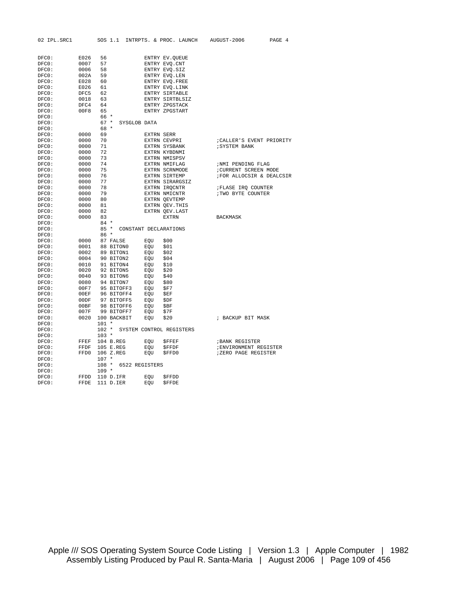| 02 IPL.SRC1    |         | SOS 1.1                    |                   | INTRPTS. & PROC. LAUNCH  | AUGUST-2006               | PAGE 4 |
|----------------|---------|----------------------------|-------------------|--------------------------|---------------------------|--------|
|                |         |                            |                   |                          |                           |        |
|                |         |                            |                   |                          |                           |        |
| DFCO:          | E026    | 56                         |                   | ENTRY EV.QUEUE           |                           |        |
| DFC0:          | 0007    | 57                         |                   | ENTRY EVQ. CNT           |                           |        |
| DFC0:          | 0006    | 58                         |                   | ENTRY EVQ. SIZ           |                           |        |
| DFC0:          | 002A    | 59                         |                   | ENTRY EVQ.LEN            |                           |        |
| DFC0:          | E028 60 |                            |                   | ENTRY EVQ. FREE          |                           |        |
| DFC0:          | E026 61 |                            |                   | ENTRY EVQ.LINK           |                           |        |
| DFC0:          | DFC5 62 |                            |                   | ENTRY SIRTABLE           |                           |        |
| DFC0:          | 0018 63 |                            |                   | ENTRY SIRTBLSIZ          |                           |        |
| DFC0:          | DFC4    | 64                         |                   | ENTRY ZPGSTACK           |                           |        |
| DFC0:          | 00F8    | 65                         |                   | ENTRY ZPGSTART           |                           |        |
| DFCO:          |         | 66 *                       |                   |                          |                           |        |
| DFC0:          |         | $67 *$<br>SYSGLOB DATA     |                   |                          |                           |        |
| DFC0:          |         | 68 *                       |                   |                          |                           |        |
| DFC0:          | 0000    | 69                         | <b>EXTRN SERR</b> |                          |                           |        |
| DFC0:          | 0000    | 70                         |                   | EXTRN CEVPRI             | ; CALLER'S EVENT PRIORITY |        |
| DFC0:          | 0000    | 71                         |                   | EXTRN SYSBANK            | <b>; SYSTEM BANK</b>      |        |
| DFCO:          | 0000    | 72                         |                   | EXTRN KYBDNMI            |                           |        |
| DFC0:          | 0000    | 73                         |                   | <b>EXTRN NMISPSV</b>     |                           |        |
| DFC0:          | 0000    | 74                         |                   | EXTRN NMIFLAG            | ;NMI PENDING FLAG         |        |
| DFC0:          | 0000    | 75                         |                   | EXTRN SCRNMODE           | ; CURRENT SCREEN MODE     |        |
| DFC0:          | 0000    | 76                         |                   | EXTRN SIRTEMP            | ; FOR ALLOCSIR & DEALCSIR |        |
| DFC0:          | 0000    | 77                         |                   | EXTRN SIRARGSIZ          |                           |        |
| DFC0:          | 0000    | 78                         |                   | EXTRN IRQCNTR            | ; FLASE IRQ COUNTER       |        |
| DFC0:          | 0000    | 79                         |                   | EXTRN NMICNTR            | ; TWO BYTE COUNTER        |        |
| DFC0:          | 0000    | 80                         |                   | EXTRN QEVTEMP            |                           |        |
| DFC0:          | 0000    | 81<br>82                   |                   | EXTRN QEV.THIS           |                           |        |
| DFCO:          | 0000    | 83                         |                   | EXTRN OEV.LAST           |                           |        |
| DFCO:          | 0000    | $84 *$                     |                   | <b>EXTRN</b>             | <b>BACKMASK</b>           |        |
| DFC0:<br>DFC0: |         | 85 * CONSTANT DECLARATIONS |                   |                          |                           |        |
| DFC0:          |         | $86*$                      |                   |                          |                           |        |
| DFC0:          | 0000    | 87 FALSE                   | EOU               | \$00                     |                           |        |
| DFC0:          | 0001    | 88 BITON0                  | EQU               | \$01                     |                           |        |
| DFC0:          | 0002    | 89 BITON1                  | EOU               | \$02                     |                           |        |
| DFC0:          |         | 0004 90 BITON2             | EQU               | \$04                     |                           |        |
| DFC0:          |         | 0010 91 BITON4             | EOU               | \$10                     |                           |        |
| DFC0:          |         | 0020 92 BITON5             | EQU               | \$20                     |                           |        |
| DFC0:          |         | 0040 93 BITON6             | EQU               | \$40                     |                           |        |
| DFC0:          |         | 0080 94 BITON7             | EQU               | \$80                     |                           |        |
| DFC0:          |         | 00F7 95 BITOFF3            | EQU               | \$F7                     |                           |        |
| DFC0:          |         | 00EF 96 BITOFF4            | EQU \$EF          |                          |                           |        |
| DFC0:          |         | 00DF 97 BITOFF5            | EQU               | \$DF                     |                           |        |
| DFC0:          |         | 00BF 98 BITOFF6            | EQU               | \$BF                     |                           |        |
| DFC0:          |         | 007F 99 BITOFF7            | EQU               | \$7F                     |                           |        |
| DFC0:          |         | 0020 100 BACKBIT           | EQU               | \$20                     | ; BACKUP BIT MASK         |        |
| DFC0:          |         | $101 *$                    |                   |                          |                           |        |
| DFC0:          |         | $102 *$                    |                   | SYSTEM CONTROL REGISTERS |                           |        |
| DFC0:          |         | $103 *$                    |                   |                          |                           |        |
| DFCO:          | FFEF    | 104 B.REG                  | EQU               | SFFEF                    | <b>BANK REGISTER</b>      |        |
| DFC0:          | FFDF    | 105 E.REG                  | EQU               | \$FFDF                   | ; ENVIRONMENT REGISTER    |        |
| DFC0:          | FFD0    | 106 Z.REG                  | EOU               | \$FFD0                   | ;ZERO PAGE REGISTER       |        |
| DFC0:          |         | $107 *$                    |                   |                          |                           |        |
| DFC0:          |         | 108 * 6522 REGISTERS       |                   |                          |                           |        |
| DFC0:          |         | $109 *$                    |                   |                          |                           |        |
| DFC0:          | FFDD    | 110 D.IFR                  | EOU               | <b>SFFDD</b>             |                           |        |
| DFC0:          | FFDE    | 111 D.IER                  | EOU               | <b>SFFDE</b>             |                           |        |

Apple /// SOS Operating System Source Code Listing | Version 1.3 | Apple Computer | 1982 Assembly Listing Produced by Paul R. Santa-Maria | August 2006 | Page 109 of 456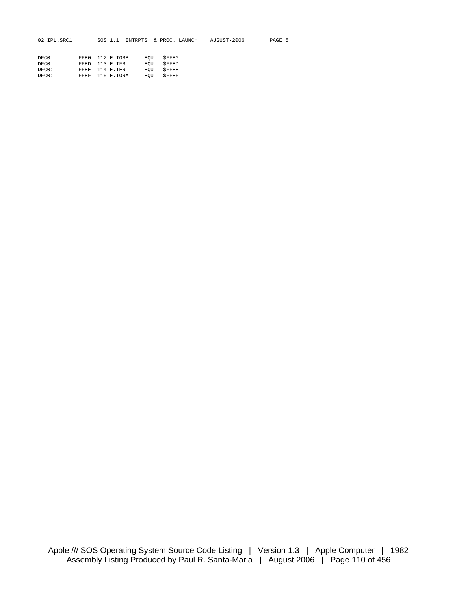| 02 IPL.SRC1 |      | SOS 1.1    | INTRPTS, & PROC, LAUNCH |              | AUGUST-2006 | PAGE 5 |
|-------------|------|------------|-------------------------|--------------|-------------|--------|
|             |      |            |                         |              |             |        |
| DFC0:       | FFFO | 112 E.IORB | EOU                     | <b>SFFE0</b> |             |        |
| DFCO:       | FFED | 113 E.IFR  | EOU                     | SFFED        |             |        |
| DFC0:       | FFEE | 114 E.IER  | EOU                     | SFFEE        |             |        |
| DFC0:       | FFEF | 115 E.IORA | EOU                     | SFFEF        |             |        |
|             |      |            |                         |              |             |        |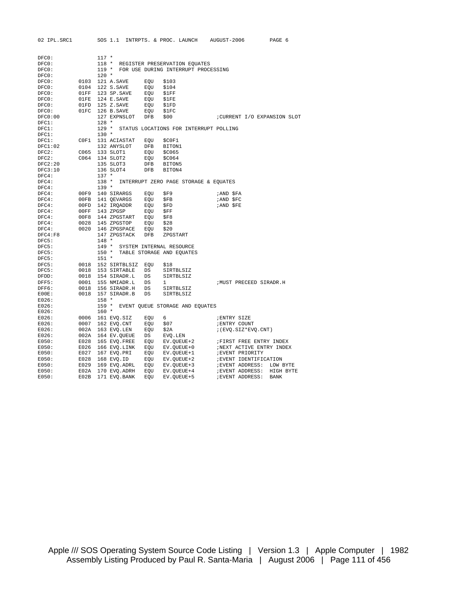| DFC0:<br>$117 *$<br>$118 *$<br>DFC0:<br>REGISTER PRESERVATION EQUATES<br>FOR USE DURING INTERRUPT PROCESSING<br>DFC0:<br>$119 *$<br>$120 *$<br>DFCO:<br>121 A.SAVE<br>EOU<br>\$103<br>DFCO:<br>0103<br>DFCO:<br>0104<br>122 S.SAVE<br>EOU<br>\$104<br>123 SP.SAVE<br>DFC0:<br>01FF<br>EQU<br>\$1FF<br>DFC0:<br>01FE<br>124 E.SAVE<br>EQU<br>\$1FE<br>01FD<br>125 Z.SAVE<br>EQU<br>DFC0:<br>\$1FD<br>01FC<br>DFCO:<br>126 B.SAVE<br>EQU<br>\$1FC<br>127 EXPNSLOT<br>DFB<br>\$00<br>DFCO:00<br>; CURRENT I/O EXPANSION SLOT<br>$128 *$<br>DFC1:<br>$129 *$<br>DFC1:<br>STATUS LOCATIONS FOR INTERRUPT POLLING<br>$130 *$<br>DFC1:<br>DFC1:<br>C0F1<br>131 ACIASTAT<br>EOU<br>\$C0F1<br>DFC1:02<br>132 ANYSLOT<br>DFB<br>BITON1<br>DFC2:<br>C065<br>133 SLOT1<br>EQU<br>\$C065<br>C064 134 SLOT2<br>DFC2:<br>EOU<br>\$C064<br>135 SLOT3<br>DFC2:20<br>DFB<br>BITON5<br>DFC3:10<br>136 SLOT4<br><b>DFB</b><br>BITON4<br>$137 *$<br>DFC4:<br>$138 *$<br>INTERRUPT ZERO PAGE STORAGE & EQUATES<br>DFC4:<br>$139 *$<br>DFC4:<br>DFC4:<br>00F9 140 SIRARGS<br>EQU<br>\$F9<br>;AND SFA<br>00FB 141 OEVARGS<br>DFC4:<br>EOU<br>SFB<br>;AND \$FC<br>DFC4:<br>00FD<br>142 IRQADDR<br>EQU<br>\$FD<br><i>IAND SFE</i><br>143 ZPGSP<br>DFC4:<br>00FF<br>EQU<br>\$FF<br>00F8<br>144 ZPGSTART<br>EQU<br>\$F8<br>DFC4:<br>0028<br>145 ZPGSTOP<br>DFC4:<br>EQU<br>\$28<br>0020 146 ZPGSPACE<br>EQU<br>\$20<br>DFC4:<br>DFC4: F8<br>147 ZPGSTACK<br>DFB<br>ZPGSTART<br>$148 *$<br>DFC5:<br>DFC5:<br>149 *<br>SYSTEM INTERNAL RESOURCE<br>$150 *$<br>DFC5:<br>TABLE STORAGE AND EQUATES<br>$151 *$<br>DFC5:<br>DFC5:<br>0018<br>152 SIRTBLSIZ<br>EOU<br>\$18<br>153 SIRTABLE<br>DFC5:<br>0018<br>DS<br>SIRTBLSIZ<br>0018<br>154 SIRADR.L<br>DS<br>SIRTBLSIZ<br>DFDD:<br>0001<br>155 NMIADR.L<br>DFF5:<br>DS<br>1<br><b>MUST PRECEED SIRADR.H</b><br>DFF6:<br>0018<br>156 SIRADR.H<br><b>DS</b><br>SIRTBLSIZ<br>157 SIRADR.B<br>SIRTBLSIZ<br>EOOE:<br>0018<br>DS<br>$158 *$<br>E026:<br>E026:<br>$159 *$<br>EVENT QUEUE STORAGE AND EQUATES<br>$160 *$<br>E026:<br>E026:<br>0006<br>161 EVQ.SIZ<br>EOU<br>6<br><b>; ENTRY SIZE</b><br>E026:<br>0007<br>162 EVQ.CNT<br>\$07<br>; ENTRY COUNT<br>EQU<br>E026:<br>002A<br>163 EVQ.LEN<br>EQU<br>\$2A<br>$: (EVQ.SIZ*EVQ.CNT))$<br>002A<br>164 EV.QUEUE<br>E026:<br>DS<br>EVQ.LEN<br>E050:<br>E028<br>165 EVQ.FREE<br>EQU<br>EV.QUEUE+2<br><b>FIRST FREE ENTRY INDEX</b> |
|------------------------------------------------------------------------------------------------------------------------------------------------------------------------------------------------------------------------------------------------------------------------------------------------------------------------------------------------------------------------------------------------------------------------------------------------------------------------------------------------------------------------------------------------------------------------------------------------------------------------------------------------------------------------------------------------------------------------------------------------------------------------------------------------------------------------------------------------------------------------------------------------------------------------------------------------------------------------------------------------------------------------------------------------------------------------------------------------------------------------------------------------------------------------------------------------------------------------------------------------------------------------------------------------------------------------------------------------------------------------------------------------------------------------------------------------------------------------------------------------------------------------------------------------------------------------------------------------------------------------------------------------------------------------------------------------------------------------------------------------------------------------------------------------------------------------------------------------------------------------------------------------------------------------------------------------------------------------------------------------------------------------------------------------------------------------------------------------------------------------------------------------------------------------------------------------------------------------------------------------------------------------------------------------------------------------------------------------------------------------------------------------|
|                                                                                                                                                                                                                                                                                                                                                                                                                                                                                                                                                                                                                                                                                                                                                                                                                                                                                                                                                                                                                                                                                                                                                                                                                                                                                                                                                                                                                                                                                                                                                                                                                                                                                                                                                                                                                                                                                                                                                                                                                                                                                                                                                                                                                                                                                                                                                                                                |
|                                                                                                                                                                                                                                                                                                                                                                                                                                                                                                                                                                                                                                                                                                                                                                                                                                                                                                                                                                                                                                                                                                                                                                                                                                                                                                                                                                                                                                                                                                                                                                                                                                                                                                                                                                                                                                                                                                                                                                                                                                                                                                                                                                                                                                                                                                                                                                                                |
|                                                                                                                                                                                                                                                                                                                                                                                                                                                                                                                                                                                                                                                                                                                                                                                                                                                                                                                                                                                                                                                                                                                                                                                                                                                                                                                                                                                                                                                                                                                                                                                                                                                                                                                                                                                                                                                                                                                                                                                                                                                                                                                                                                                                                                                                                                                                                                                                |
|                                                                                                                                                                                                                                                                                                                                                                                                                                                                                                                                                                                                                                                                                                                                                                                                                                                                                                                                                                                                                                                                                                                                                                                                                                                                                                                                                                                                                                                                                                                                                                                                                                                                                                                                                                                                                                                                                                                                                                                                                                                                                                                                                                                                                                                                                                                                                                                                |
|                                                                                                                                                                                                                                                                                                                                                                                                                                                                                                                                                                                                                                                                                                                                                                                                                                                                                                                                                                                                                                                                                                                                                                                                                                                                                                                                                                                                                                                                                                                                                                                                                                                                                                                                                                                                                                                                                                                                                                                                                                                                                                                                                                                                                                                                                                                                                                                                |
|                                                                                                                                                                                                                                                                                                                                                                                                                                                                                                                                                                                                                                                                                                                                                                                                                                                                                                                                                                                                                                                                                                                                                                                                                                                                                                                                                                                                                                                                                                                                                                                                                                                                                                                                                                                                                                                                                                                                                                                                                                                                                                                                                                                                                                                                                                                                                                                                |
|                                                                                                                                                                                                                                                                                                                                                                                                                                                                                                                                                                                                                                                                                                                                                                                                                                                                                                                                                                                                                                                                                                                                                                                                                                                                                                                                                                                                                                                                                                                                                                                                                                                                                                                                                                                                                                                                                                                                                                                                                                                                                                                                                                                                                                                                                                                                                                                                |
|                                                                                                                                                                                                                                                                                                                                                                                                                                                                                                                                                                                                                                                                                                                                                                                                                                                                                                                                                                                                                                                                                                                                                                                                                                                                                                                                                                                                                                                                                                                                                                                                                                                                                                                                                                                                                                                                                                                                                                                                                                                                                                                                                                                                                                                                                                                                                                                                |
|                                                                                                                                                                                                                                                                                                                                                                                                                                                                                                                                                                                                                                                                                                                                                                                                                                                                                                                                                                                                                                                                                                                                                                                                                                                                                                                                                                                                                                                                                                                                                                                                                                                                                                                                                                                                                                                                                                                                                                                                                                                                                                                                                                                                                                                                                                                                                                                                |
|                                                                                                                                                                                                                                                                                                                                                                                                                                                                                                                                                                                                                                                                                                                                                                                                                                                                                                                                                                                                                                                                                                                                                                                                                                                                                                                                                                                                                                                                                                                                                                                                                                                                                                                                                                                                                                                                                                                                                                                                                                                                                                                                                                                                                                                                                                                                                                                                |
|                                                                                                                                                                                                                                                                                                                                                                                                                                                                                                                                                                                                                                                                                                                                                                                                                                                                                                                                                                                                                                                                                                                                                                                                                                                                                                                                                                                                                                                                                                                                                                                                                                                                                                                                                                                                                                                                                                                                                                                                                                                                                                                                                                                                                                                                                                                                                                                                |
|                                                                                                                                                                                                                                                                                                                                                                                                                                                                                                                                                                                                                                                                                                                                                                                                                                                                                                                                                                                                                                                                                                                                                                                                                                                                                                                                                                                                                                                                                                                                                                                                                                                                                                                                                                                                                                                                                                                                                                                                                                                                                                                                                                                                                                                                                                                                                                                                |
|                                                                                                                                                                                                                                                                                                                                                                                                                                                                                                                                                                                                                                                                                                                                                                                                                                                                                                                                                                                                                                                                                                                                                                                                                                                                                                                                                                                                                                                                                                                                                                                                                                                                                                                                                                                                                                                                                                                                                                                                                                                                                                                                                                                                                                                                                                                                                                                                |
|                                                                                                                                                                                                                                                                                                                                                                                                                                                                                                                                                                                                                                                                                                                                                                                                                                                                                                                                                                                                                                                                                                                                                                                                                                                                                                                                                                                                                                                                                                                                                                                                                                                                                                                                                                                                                                                                                                                                                                                                                                                                                                                                                                                                                                                                                                                                                                                                |
|                                                                                                                                                                                                                                                                                                                                                                                                                                                                                                                                                                                                                                                                                                                                                                                                                                                                                                                                                                                                                                                                                                                                                                                                                                                                                                                                                                                                                                                                                                                                                                                                                                                                                                                                                                                                                                                                                                                                                                                                                                                                                                                                                                                                                                                                                                                                                                                                |
|                                                                                                                                                                                                                                                                                                                                                                                                                                                                                                                                                                                                                                                                                                                                                                                                                                                                                                                                                                                                                                                                                                                                                                                                                                                                                                                                                                                                                                                                                                                                                                                                                                                                                                                                                                                                                                                                                                                                                                                                                                                                                                                                                                                                                                                                                                                                                                                                |
|                                                                                                                                                                                                                                                                                                                                                                                                                                                                                                                                                                                                                                                                                                                                                                                                                                                                                                                                                                                                                                                                                                                                                                                                                                                                                                                                                                                                                                                                                                                                                                                                                                                                                                                                                                                                                                                                                                                                                                                                                                                                                                                                                                                                                                                                                                                                                                                                |
|                                                                                                                                                                                                                                                                                                                                                                                                                                                                                                                                                                                                                                                                                                                                                                                                                                                                                                                                                                                                                                                                                                                                                                                                                                                                                                                                                                                                                                                                                                                                                                                                                                                                                                                                                                                                                                                                                                                                                                                                                                                                                                                                                                                                                                                                                                                                                                                                |
|                                                                                                                                                                                                                                                                                                                                                                                                                                                                                                                                                                                                                                                                                                                                                                                                                                                                                                                                                                                                                                                                                                                                                                                                                                                                                                                                                                                                                                                                                                                                                                                                                                                                                                                                                                                                                                                                                                                                                                                                                                                                                                                                                                                                                                                                                                                                                                                                |
|                                                                                                                                                                                                                                                                                                                                                                                                                                                                                                                                                                                                                                                                                                                                                                                                                                                                                                                                                                                                                                                                                                                                                                                                                                                                                                                                                                                                                                                                                                                                                                                                                                                                                                                                                                                                                                                                                                                                                                                                                                                                                                                                                                                                                                                                                                                                                                                                |
|                                                                                                                                                                                                                                                                                                                                                                                                                                                                                                                                                                                                                                                                                                                                                                                                                                                                                                                                                                                                                                                                                                                                                                                                                                                                                                                                                                                                                                                                                                                                                                                                                                                                                                                                                                                                                                                                                                                                                                                                                                                                                                                                                                                                                                                                                                                                                                                                |
|                                                                                                                                                                                                                                                                                                                                                                                                                                                                                                                                                                                                                                                                                                                                                                                                                                                                                                                                                                                                                                                                                                                                                                                                                                                                                                                                                                                                                                                                                                                                                                                                                                                                                                                                                                                                                                                                                                                                                                                                                                                                                                                                                                                                                                                                                                                                                                                                |
|                                                                                                                                                                                                                                                                                                                                                                                                                                                                                                                                                                                                                                                                                                                                                                                                                                                                                                                                                                                                                                                                                                                                                                                                                                                                                                                                                                                                                                                                                                                                                                                                                                                                                                                                                                                                                                                                                                                                                                                                                                                                                                                                                                                                                                                                                                                                                                                                |
|                                                                                                                                                                                                                                                                                                                                                                                                                                                                                                                                                                                                                                                                                                                                                                                                                                                                                                                                                                                                                                                                                                                                                                                                                                                                                                                                                                                                                                                                                                                                                                                                                                                                                                                                                                                                                                                                                                                                                                                                                                                                                                                                                                                                                                                                                                                                                                                                |
|                                                                                                                                                                                                                                                                                                                                                                                                                                                                                                                                                                                                                                                                                                                                                                                                                                                                                                                                                                                                                                                                                                                                                                                                                                                                                                                                                                                                                                                                                                                                                                                                                                                                                                                                                                                                                                                                                                                                                                                                                                                                                                                                                                                                                                                                                                                                                                                                |
|                                                                                                                                                                                                                                                                                                                                                                                                                                                                                                                                                                                                                                                                                                                                                                                                                                                                                                                                                                                                                                                                                                                                                                                                                                                                                                                                                                                                                                                                                                                                                                                                                                                                                                                                                                                                                                                                                                                                                                                                                                                                                                                                                                                                                                                                                                                                                                                                |
|                                                                                                                                                                                                                                                                                                                                                                                                                                                                                                                                                                                                                                                                                                                                                                                                                                                                                                                                                                                                                                                                                                                                                                                                                                                                                                                                                                                                                                                                                                                                                                                                                                                                                                                                                                                                                                                                                                                                                                                                                                                                                                                                                                                                                                                                                                                                                                                                |
|                                                                                                                                                                                                                                                                                                                                                                                                                                                                                                                                                                                                                                                                                                                                                                                                                                                                                                                                                                                                                                                                                                                                                                                                                                                                                                                                                                                                                                                                                                                                                                                                                                                                                                                                                                                                                                                                                                                                                                                                                                                                                                                                                                                                                                                                                                                                                                                                |
|                                                                                                                                                                                                                                                                                                                                                                                                                                                                                                                                                                                                                                                                                                                                                                                                                                                                                                                                                                                                                                                                                                                                                                                                                                                                                                                                                                                                                                                                                                                                                                                                                                                                                                                                                                                                                                                                                                                                                                                                                                                                                                                                                                                                                                                                                                                                                                                                |
|                                                                                                                                                                                                                                                                                                                                                                                                                                                                                                                                                                                                                                                                                                                                                                                                                                                                                                                                                                                                                                                                                                                                                                                                                                                                                                                                                                                                                                                                                                                                                                                                                                                                                                                                                                                                                                                                                                                                                                                                                                                                                                                                                                                                                                                                                                                                                                                                |
|                                                                                                                                                                                                                                                                                                                                                                                                                                                                                                                                                                                                                                                                                                                                                                                                                                                                                                                                                                                                                                                                                                                                                                                                                                                                                                                                                                                                                                                                                                                                                                                                                                                                                                                                                                                                                                                                                                                                                                                                                                                                                                                                                                                                                                                                                                                                                                                                |
|                                                                                                                                                                                                                                                                                                                                                                                                                                                                                                                                                                                                                                                                                                                                                                                                                                                                                                                                                                                                                                                                                                                                                                                                                                                                                                                                                                                                                                                                                                                                                                                                                                                                                                                                                                                                                                                                                                                                                                                                                                                                                                                                                                                                                                                                                                                                                                                                |
|                                                                                                                                                                                                                                                                                                                                                                                                                                                                                                                                                                                                                                                                                                                                                                                                                                                                                                                                                                                                                                                                                                                                                                                                                                                                                                                                                                                                                                                                                                                                                                                                                                                                                                                                                                                                                                                                                                                                                                                                                                                                                                                                                                                                                                                                                                                                                                                                |
|                                                                                                                                                                                                                                                                                                                                                                                                                                                                                                                                                                                                                                                                                                                                                                                                                                                                                                                                                                                                                                                                                                                                                                                                                                                                                                                                                                                                                                                                                                                                                                                                                                                                                                                                                                                                                                                                                                                                                                                                                                                                                                                                                                                                                                                                                                                                                                                                |
|                                                                                                                                                                                                                                                                                                                                                                                                                                                                                                                                                                                                                                                                                                                                                                                                                                                                                                                                                                                                                                                                                                                                                                                                                                                                                                                                                                                                                                                                                                                                                                                                                                                                                                                                                                                                                                                                                                                                                                                                                                                                                                                                                                                                                                                                                                                                                                                                |
|                                                                                                                                                                                                                                                                                                                                                                                                                                                                                                                                                                                                                                                                                                                                                                                                                                                                                                                                                                                                                                                                                                                                                                                                                                                                                                                                                                                                                                                                                                                                                                                                                                                                                                                                                                                                                                                                                                                                                                                                                                                                                                                                                                                                                                                                                                                                                                                                |
|                                                                                                                                                                                                                                                                                                                                                                                                                                                                                                                                                                                                                                                                                                                                                                                                                                                                                                                                                                                                                                                                                                                                                                                                                                                                                                                                                                                                                                                                                                                                                                                                                                                                                                                                                                                                                                                                                                                                                                                                                                                                                                                                                                                                                                                                                                                                                                                                |
|                                                                                                                                                                                                                                                                                                                                                                                                                                                                                                                                                                                                                                                                                                                                                                                                                                                                                                                                                                                                                                                                                                                                                                                                                                                                                                                                                                                                                                                                                                                                                                                                                                                                                                                                                                                                                                                                                                                                                                                                                                                                                                                                                                                                                                                                                                                                                                                                |
|                                                                                                                                                                                                                                                                                                                                                                                                                                                                                                                                                                                                                                                                                                                                                                                                                                                                                                                                                                                                                                                                                                                                                                                                                                                                                                                                                                                                                                                                                                                                                                                                                                                                                                                                                                                                                                                                                                                                                                                                                                                                                                                                                                                                                                                                                                                                                                                                |
|                                                                                                                                                                                                                                                                                                                                                                                                                                                                                                                                                                                                                                                                                                                                                                                                                                                                                                                                                                                                                                                                                                                                                                                                                                                                                                                                                                                                                                                                                                                                                                                                                                                                                                                                                                                                                                                                                                                                                                                                                                                                                                                                                                                                                                                                                                                                                                                                |
|                                                                                                                                                                                                                                                                                                                                                                                                                                                                                                                                                                                                                                                                                                                                                                                                                                                                                                                                                                                                                                                                                                                                                                                                                                                                                                                                                                                                                                                                                                                                                                                                                                                                                                                                                                                                                                                                                                                                                                                                                                                                                                                                                                                                                                                                                                                                                                                                |
|                                                                                                                                                                                                                                                                                                                                                                                                                                                                                                                                                                                                                                                                                                                                                                                                                                                                                                                                                                                                                                                                                                                                                                                                                                                                                                                                                                                                                                                                                                                                                                                                                                                                                                                                                                                                                                                                                                                                                                                                                                                                                                                                                                                                                                                                                                                                                                                                |
|                                                                                                                                                                                                                                                                                                                                                                                                                                                                                                                                                                                                                                                                                                                                                                                                                                                                                                                                                                                                                                                                                                                                                                                                                                                                                                                                                                                                                                                                                                                                                                                                                                                                                                                                                                                                                                                                                                                                                                                                                                                                                                                                                                                                                                                                                                                                                                                                |
|                                                                                                                                                                                                                                                                                                                                                                                                                                                                                                                                                                                                                                                                                                                                                                                                                                                                                                                                                                                                                                                                                                                                                                                                                                                                                                                                                                                                                                                                                                                                                                                                                                                                                                                                                                                                                                                                                                                                                                                                                                                                                                                                                                                                                                                                                                                                                                                                |
|                                                                                                                                                                                                                                                                                                                                                                                                                                                                                                                                                                                                                                                                                                                                                                                                                                                                                                                                                                                                                                                                                                                                                                                                                                                                                                                                                                                                                                                                                                                                                                                                                                                                                                                                                                                                                                                                                                                                                                                                                                                                                                                                                                                                                                                                                                                                                                                                |
|                                                                                                                                                                                                                                                                                                                                                                                                                                                                                                                                                                                                                                                                                                                                                                                                                                                                                                                                                                                                                                                                                                                                                                                                                                                                                                                                                                                                                                                                                                                                                                                                                                                                                                                                                                                                                                                                                                                                                                                                                                                                                                                                                                                                                                                                                                                                                                                                |
|                                                                                                                                                                                                                                                                                                                                                                                                                                                                                                                                                                                                                                                                                                                                                                                                                                                                                                                                                                                                                                                                                                                                                                                                                                                                                                                                                                                                                                                                                                                                                                                                                                                                                                                                                                                                                                                                                                                                                                                                                                                                                                                                                                                                                                                                                                                                                                                                |
|                                                                                                                                                                                                                                                                                                                                                                                                                                                                                                                                                                                                                                                                                                                                                                                                                                                                                                                                                                                                                                                                                                                                                                                                                                                                                                                                                                                                                                                                                                                                                                                                                                                                                                                                                                                                                                                                                                                                                                                                                                                                                                                                                                                                                                                                                                                                                                                                |
|                                                                                                                                                                                                                                                                                                                                                                                                                                                                                                                                                                                                                                                                                                                                                                                                                                                                                                                                                                                                                                                                                                                                                                                                                                                                                                                                                                                                                                                                                                                                                                                                                                                                                                                                                                                                                                                                                                                                                                                                                                                                                                                                                                                                                                                                                                                                                                                                |
| E050:<br>E026<br>166 EVQ.LINK<br>EOU<br>EV.QUEUE+0<br>; NEXT ACTIVE ENTRY INDEX                                                                                                                                                                                                                                                                                                                                                                                                                                                                                                                                                                                                                                                                                                                                                                                                                                                                                                                                                                                                                                                                                                                                                                                                                                                                                                                                                                                                                                                                                                                                                                                                                                                                                                                                                                                                                                                                                                                                                                                                                                                                                                                                                                                                                                                                                                                |
| E027<br>167 EVQ.PRI<br><b><i>EVENT PRIORITY</i></b><br>E050:<br>EQU<br>EV.QUEUE+1                                                                                                                                                                                                                                                                                                                                                                                                                                                                                                                                                                                                                                                                                                                                                                                                                                                                                                                                                                                                                                                                                                                                                                                                                                                                                                                                                                                                                                                                                                                                                                                                                                                                                                                                                                                                                                                                                                                                                                                                                                                                                                                                                                                                                                                                                                              |
| ; EVENT IDENTIFICATION<br>E050:<br>E028<br>168 EVQ.ID<br>EQU<br>EV.QUEUE+2                                                                                                                                                                                                                                                                                                                                                                                                                                                                                                                                                                                                                                                                                                                                                                                                                                                                                                                                                                                                                                                                                                                                                                                                                                                                                                                                                                                                                                                                                                                                                                                                                                                                                                                                                                                                                                                                                                                                                                                                                                                                                                                                                                                                                                                                                                                     |
| E050:<br>E029<br>169 EVQ.ADRL<br>EQU<br>; EVENT ADDRESS:<br>LOW BYTE                                                                                                                                                                                                                                                                                                                                                                                                                                                                                                                                                                                                                                                                                                                                                                                                                                                                                                                                                                                                                                                                                                                                                                                                                                                                                                                                                                                                                                                                                                                                                                                                                                                                                                                                                                                                                                                                                                                                                                                                                                                                                                                                                                                                                                                                                                                           |
| EV.QUEUE+3<br>E050:<br>170 EVQ.ADRH<br>; EVENT ADDRESS:<br>E02A<br>EQU<br>EV.QUEUE+4<br>HIGH BYTE                                                                                                                                                                                                                                                                                                                                                                                                                                                                                                                                                                                                                                                                                                                                                                                                                                                                                                                                                                                                                                                                                                                                                                                                                                                                                                                                                                                                                                                                                                                                                                                                                                                                                                                                                                                                                                                                                                                                                                                                                                                                                                                                                                                                                                                                                              |
| 171 EVQ. BANK<br>; EVENT ADDRESS:<br>E050:<br>E02B<br>EOU<br>EV.QUEUE+5<br><b>BANK</b>                                                                                                                                                                                                                                                                                                                                                                                                                                                                                                                                                                                                                                                                                                                                                                                                                                                                                                                                                                                                                                                                                                                                                                                                                                                                                                                                                                                                                                                                                                                                                                                                                                                                                                                                                                                                                                                                                                                                                                                                                                                                                                                                                                                                                                                                                                         |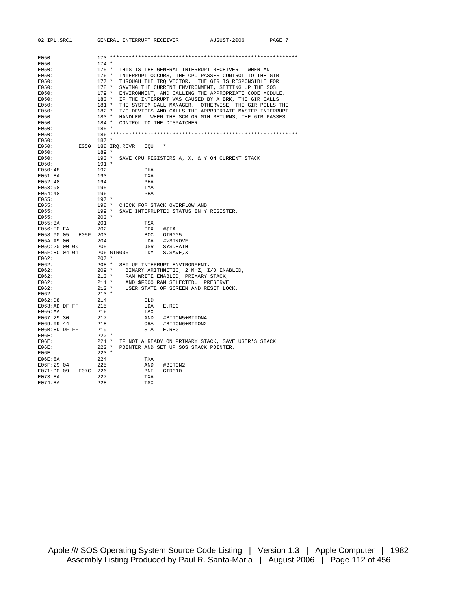| 02 IPL.SRC1            | GENERAL INTERRUPT RECEIVER                                   |                                       | AUGUST-2006                                                                                               | PAGE 7 |
|------------------------|--------------------------------------------------------------|---------------------------------------|-----------------------------------------------------------------------------------------------------------|--------|
|                        |                                                              |                                       |                                                                                                           |        |
| E050:                  |                                                              |                                       |                                                                                                           |        |
| E050:                  | $174 *$                                                      |                                       |                                                                                                           |        |
| E050:                  | $175 *$                                                      |                                       | THIS IS THE GENERAL INTERRUPT RECEIVER. WHEN AN                                                           |        |
| E050:<br>E050:         | 176 *<br>$177 *$                                             |                                       | INTERRUPT OCCURS, THE CPU PASSES CONTROL TO THE GIR<br>THROUGH THE IRQ VECTOR. THE GIR IS RESPONSIBLE FOR |        |
| E050:                  | $178 *$                                                      |                                       | SAVING THE CURRENT ENVIRONMENT, SETTING UP THE SOS                                                        |        |
| E050:                  | $179 *$                                                      |                                       | ENVIRONMENT, AND CALLING THE APPROPRIATE CODE MODULE.                                                     |        |
| E050:                  | 180 * IF THE INTERRUPT WAS CAUSED BY A BRK, THE GIR CALLS    |                                       |                                                                                                           |        |
| E050:                  | 181 * THE SYSTEM CALL MANAGER. OTHERWISE, THE GIR POLLS THE  |                                       |                                                                                                           |        |
| E050:                  | 182 * I/O DEVICES AND CALLS THE APPROPRIATE MASTER INTERRUPT |                                       |                                                                                                           |        |
| E050:                  | 183 * HANDLER. WHEN THE SCM OR MIH RETURNS, THE GIR PASSES   |                                       |                                                                                                           |        |
| E050:                  | 184 * CONTROL TO THE DISPATCHER.                             |                                       |                                                                                                           |        |
| E050:                  | $185 *$                                                      |                                       |                                                                                                           |        |
| E050:                  |                                                              |                                       |                                                                                                           |        |
| E050:                  | $187 *$                                                      |                                       |                                                                                                           |        |
| E050:                  | E050 188 IRQ.RCVR<br>EOU *                                   |                                       |                                                                                                           |        |
| E050:                  | $189 *$                                                      |                                       |                                                                                                           |        |
| E050:                  | 190 * SAVE CPU REGISTERS A, X, & Y ON CURRENT STACK          |                                       |                                                                                                           |        |
| E050:                  | $191 *$                                                      |                                       |                                                                                                           |        |
| E050:48                | 192<br>PHA                                                   |                                       |                                                                                                           |        |
| E051:8A                | 193<br>TXA                                                   |                                       |                                                                                                           |        |
| E052:48                | 194<br>PHA                                                   |                                       |                                                                                                           |        |
| E053:98                | 195<br>TYA                                                   |                                       |                                                                                                           |        |
| E054:48                | 196<br>PHA                                                   |                                       |                                                                                                           |        |
| E055:                  | 197 *                                                        |                                       |                                                                                                           |        |
| E055:                  | 198 * CHECK FOR STACK OVERFLOW AND                           |                                       |                                                                                                           |        |
| E055:                  | 199 * SAVE INTERRUPTED STATUS IN Y REGISTER.                 |                                       |                                                                                                           |        |
| E055:                  | $200 *$                                                      |                                       |                                                                                                           |        |
| $E055$ : BA            | 201<br>TSX                                                   |                                       |                                                                                                           |        |
| E056:E0 FA             | 202<br>CPX                                                   | #\$FA                                 |                                                                                                           |        |
| E05F 203<br>E058:90 05 |                                                              | BCC GIR005                            |                                                                                                           |        |
| E05A: A9 00            | 204                                                          | LDA #>STKOVFL                         |                                                                                                           |        |
| E05C:20 00 00          | 205                                                          | JSR SYSDEATH                          |                                                                                                           |        |
| E05F:BC 04 01          | 206 GIR005                                                   | LDY S. SAVE, X                        |                                                                                                           |        |
| E062:                  | $207$ *                                                      |                                       |                                                                                                           |        |
| E062:                  | 208 * SET UP INTERRUPT ENVIRONMENT:                          |                                       |                                                                                                           |        |
| E062:                  |                                                              |                                       |                                                                                                           |        |
| E062:                  |                                                              |                                       |                                                                                                           |        |
| E062:                  | $212 *$                                                      |                                       |                                                                                                           |        |
| E062:<br>E062:         | $213 *$                                                      | USER STATE OF SCREEN AND RESET LOCK.  |                                                                                                           |        |
| E062:D8                | 214<br><b>CLD</b>                                            |                                       |                                                                                                           |        |
| E063:AD DF FF          | 215<br>LDA                                                   | E.REG                                 |                                                                                                           |        |
| $E066$ : AA            | 216<br>TAX                                                   |                                       |                                                                                                           |        |
| E067:29 30             | 217                                                          | AND #BITON5+BITON4                    |                                                                                                           |        |
| E069:09 44             | 218                                                          | ORA #BITON6+BITON2                    |                                                                                                           |        |
| E06B:8D DF FF          | STA<br>219                                                   | E.REG                                 |                                                                                                           |        |
| EOGE:                  | $220$ *                                                      |                                       |                                                                                                           |        |
| EOGE:                  | $221$ *                                                      |                                       | IF NOT ALREADY ON PRIMARY STACK, SAVE USER'S STACK                                                        |        |
| EO6E:                  | $222$ *                                                      | POINTER AND SET UP SOS STACK POINTER. |                                                                                                           |        |
| EO6E:                  | $223$ *                                                      |                                       |                                                                                                           |        |
| EO6E:8A                | 224<br>TXA                                                   |                                       |                                                                                                           |        |
| E06F:29 04             | 225<br>AND                                                   | #BITON2                               |                                                                                                           |        |
| E07C 226<br>E071:D0 09 | BNE                                                          | GIR010                                |                                                                                                           |        |
| E073:8A                | 227<br>TXA                                                   |                                       |                                                                                                           |        |
| E074:BA                | 228<br><b>TSX</b>                                            |                                       |                                                                                                           |        |

Apple /// SOS Operating System Source Code Listing | Version 1.3 | Apple Computer | 1982 Assembly Listing Produced by Paul R. Santa-Maria | August 2006 | Page 112 of 456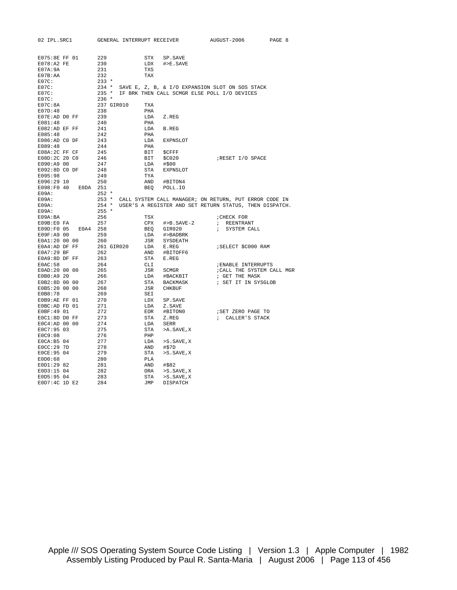| 02 IPL.SRC1     |          |            | GENERAL INTERRUPT RECEIVER |            |                                              | AUGUST-2006                                                  | PAGE 8 |
|-----------------|----------|------------|----------------------------|------------|----------------------------------------------|--------------------------------------------------------------|--------|
|                 |          |            |                            |            |                                              |                                                              |        |
|                 |          |            |                            |            |                                              |                                                              |        |
| E075:8E FF 01   |          | 229        |                            | STX        | SP.SAVE                                      |                                                              |        |
| $E078:A2$ FE    |          | 230        |                            | LDX        | $#$ > E. SAVE                                |                                                              |        |
| E07A:9A         |          | 231        |                            | TXS        |                                              |                                                              |        |
| E07B:AA         |          | 232        |                            | TAX        |                                              |                                                              |        |
| $E07C$ :        |          | $233 *$    |                            |            |                                              |                                                              |        |
| $E07C$ :        |          | $234$ *    |                            |            |                                              | SAVE E, Z, B, & I/O EXPANSION SLOT ON SOS STACK              |        |
| $E07C$ :        |          | $235 *$    |                            |            | IF BRK THEN CALL SCMGR ELSE POLL I/O DEVICES |                                                              |        |
| $E07C$ :        |          | $236 *$    |                            |            |                                              |                                                              |        |
| EO7C:8A         |          | 237 GIR010 |                            | TXA        |                                              |                                                              |        |
| E07D:48         |          | 238        |                            | PHA        |                                              |                                                              |        |
| E07E:AD DO FF   |          | 239        |                            | LDA        | Z.REG                                        |                                                              |        |
| E081:48         |          | 240        |                            | PHA        |                                              |                                                              |        |
| E082:AD EF FF   |          | 241        |                            | LDA        | B.REG                                        |                                                              |        |
| E085:48         |          | 242        |                            | PHA        |                                              |                                                              |        |
| E086:AD CO DF   |          | 243        |                            | LDA        | EXPNSLOT                                     |                                                              |        |
| E089:48         |          | 244        |                            | PHA        |                                              |                                                              |        |
| E08A:2C FF CF   |          | 245        |                            | BIT        | \$CFFF                                       |                                                              |        |
| E08D:2C 20 C0   |          | 246        |                            | BIT        | \$C020                                       | RESET I/O SPACE                                              |        |
| E090:A9 00      |          | 247        |                            | LDA        | #\$00                                        |                                                              |        |
| E092:8D CO DF   |          | 248        |                            | STA        | <b>EXPNSLOT</b>                              |                                                              |        |
| E095:98         |          | 249        |                            | TYA        |                                              |                                                              |        |
| E096:29 10      |          | 250        |                            | AND        | #BITON4                                      |                                                              |        |
| E098:F0 40      | E0DA 251 |            |                            | BEQ        | POLL.IO                                      |                                                              |        |
| $E09A$ :        |          | $252 *$    |                            |            |                                              |                                                              |        |
| $E09A$ :        |          |            |                            |            |                                              | 253 * CALL SYSTEM CALL MANAGER; ON RETURN, PUT ERROR CODE IN |        |
| E09A:           |          | $254$ *    |                            |            |                                              | USER'S A REGISTER AND SET RETURN STATUS, THEN DISPATCH.      |        |
| $E09A$ :        |          | $255 *$    |                            |            |                                              |                                                              |        |
| E09A:BA         |          | 256        |                            | TSX        |                                              | ; CHECK FOR                                                  |        |
| E09B:E0FA       |          | 257        |                            | CPX        | #>B.SAVE-2                                   | ; REENTRANT                                                  |        |
| E09D:F0 05      | E0A4     | 258        |                            | <b>BEO</b> | GIR020                                       | $\ddot{i}$<br>SYSTEM CALL                                    |        |
| E09F:A9 00      |          | 259        |                            | LDA        | #>BADBRK                                     |                                                              |        |
| E0A1:20 00 00   |          | 260        |                            | JSR        | SYSDEATH                                     |                                                              |        |
| E0A4:AD DF FF   |          | 261 GIR020 |                            | LDA        | E.REG                                        | ; SELECT \$C000 RAM                                          |        |
| E0A7:29 BF      |          | 262        |                            | AND        | #BITOFF6                                     |                                                              |        |
| E0A9:8D DF FF   |          | 263        |                            | STA        | E.REG                                        |                                                              |        |
| EOAC:58         |          | 264        |                            | CLI        |                                              | <b><i>; ENABLE INTERRUPTS</i></b>                            |        |
| E0AD:20 00 00   |          | 265        |                            | JSR        | SCMGR                                        | ; CALL THE SYSTEM CALL MGR                                   |        |
| E0B0:A9 20      |          | 266        |                            | LDA        | #BACKBIT                                     | ; GET THE MASK                                               |        |
| E0B2:8D 00 00   |          | 267        |                            | STA        | BACKMASK                                     | ; SET IT IN SYSGLOB                                          |        |
| E0B5:20 00 00   |          | 268        |                            | JSR        | CHKBUF                                       |                                                              |        |
| E0B8:78         |          | 269        |                            | SEI        |                                              |                                                              |        |
| EOB9:AE FF 01   |          | 270        |                            | LDX        | SP.SAVE                                      |                                                              |        |
| EOBC:AD FD 01   |          | 271        |                            | LDA        | Z.SAVE                                       |                                                              |        |
| E0BF: 49 01     |          | 272        |                            | EOR        | #BITON0                                      | ; SET ZERO PAGE TO                                           |        |
| EOC1:8D DO FF   |          | 273        |                            | STA        | Z.REG                                        | ; CALLER'S STACK                                             |        |
| $EOC4:AD$ 00 00 |          | 274        |                            | LDA        | SERR                                         |                                                              |        |
| E0C7:95 03      |          | 275        |                            | STA        | >A.SAVE, X                                   |                                                              |        |
| EOC9:08         |          | 276        |                            | PHP        |                                              |                                                              |        |
| E0CA: B5 04     |          | 277        |                            | LDA        | >S.SAVE,X                                    |                                                              |        |
|                 |          | 278        |                            | AND        |                                              |                                                              |        |
| E0CC: 29 7D     |          |            |                            |            | #\$7D                                        |                                                              |        |
| E0CE: 95 04     |          | 279        |                            | STA        | >S.SAVE,X                                    |                                                              |        |
| EDD:68          |          | 280        |                            | PLA        |                                              |                                                              |        |
| E0D1:29 82      |          | 281        |                            | AND        | #\$82                                        |                                                              |        |
| E0D3:15 04      |          | 282        |                            | ORA        | $>S$ . SAVE, X                               |                                                              |        |
| E0D5:95 04      |          | 283        |                            | STA        | $>$ S. SAVE, X                               |                                                              |        |
| E0D7:4C 1D E2   |          | 284        |                            | JMP        | <b>DISPATCH</b>                              |                                                              |        |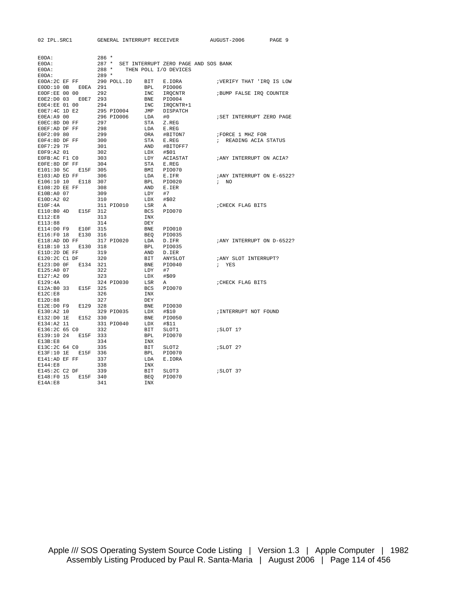02 IPL.SRC1 GENERAL INTERRUPT RECEIVER AUGUST-2006 PAGE 9

| $EODA$ :                    |      | $286 *$ |             |                   |                                      |                            |
|-----------------------------|------|---------|-------------|-------------------|--------------------------------------|----------------------------|
| E0DA:                       |      | $287$ * |             |                   | SET INTERRUPT ZERO PAGE AND SOS BANK |                            |
| E0DA:                       |      | $288 *$ |             |                   | THEN POLL I/O DEVICES                |                            |
| $EODA$ :                    |      | $289 *$ |             |                   |                                      |                            |
| EODA: 2C EF FF              |      |         | 290 POLL.IO | BIT               | E.IORA                               | ; VERIFY THAT 'IRQ IS LOW  |
| $EODD:10$ $0B$              | EOEA | 291     |             | <b>BPL</b>        | PI0006                               |                            |
| EODF:EE 00 00               |      | 292     |             | <b>INC</b>        | <b>IROCNTR</b>                       |                            |
|                             |      | 293     |             |                   |                                      | ; BUMP FALSE IRQ COUNTER   |
| E0E2:D0 03                  | E0E7 |         |             | <b>BNE</b>        | PI0004                               |                            |
| E0E4:EE 01 00               |      | 294     |             | INC               | IRQCNTR+1                            |                            |
| E0E7:4C 1D E2               |      |         | 295 PIO004  | JMP               | DISPATCH                             |                            |
| E0EA: A9 00                 |      |         | 296 PIO006  | LDA               | #0                                   | ; SET INTERRUPT ZERO PAGE  |
| EOEC: 8D DO FF              |      | 297     |             | <b>STA</b>        | Z.REG                                |                            |
| EOEF:AD DF FF               |      | 298     |             | LDA               | E.REG                                |                            |
| E0F2:09 80                  |      | 299     |             | ORA               | #BITON7                              | FORCE 1 MHZ FOR            |
| E0F4:8D DF FF               |      | 300     |             | STA               | E.REG                                | ; READING ACIA STATUS      |
| E0F7:29 7F                  |      | 301     |             | AND               | #BITOFF7                             |                            |
| E0F9:A2 01                  |      | 302     |             | LDX               | #\$01                                |                            |
| EOFB:AC F1 CO               |      | 303     |             | LDY               | ACIASTAT                             | ; ANY INTERRUPT ON ACIA?   |
| EOFE:8D DF FF               |      | 304     |             | <b>STA</b>        | E.REG                                |                            |
| E101:30 5C                  | E15F | 305     |             | BMI               | <b>PIO070</b>                        |                            |
| E103:AD ED FF               |      | 306     |             | LDA               | E.IFR                                | ; ANY INTERRUPT ON E-6522? |
| E106:10 10                  | E118 | 307     |             | <b>BPL</b>        | PI0020                               | $\mathfrak{z}$ NO          |
| E108:2D EE FF               |      | 308     |             | AND               | E.IER                                |                            |
| E10B:A0 07                  |      | 309     |             | LDY               | #7                                   |                            |
| E10D:A2 02                  |      | 310     |             | LDX               | #\$02                                |                            |
| E10F:4A                     |      |         | 311 PIO010  | LSR               | Α                                    | ; CHECK FLAG BITS          |
| E110:B0 4D                  | E15F | 312     |             | <b>BCS</b>        | <b>PIO070</b>                        |                            |
| E112:E8                     |      | 313     |             | INX               |                                      |                            |
| E113:88                     |      | 314     |             | <b>DEY</b>        |                                      |                            |
| E114:D0 F9                  | E10F | 315     |             | <b>BNE</b>        | <b>PIO010</b>                        |                            |
| E116:F0 18                  | E130 | 316     |             | <b>BEO</b>        | PI0035                               |                            |
|                             |      |         |             |                   |                                      |                            |
| E118:AD DD FF<br>E11B:10 13 | E130 | 318     | 317 PIO020  | LDA<br><b>BPL</b> | D.IFR<br>PI0035                      | ; ANY INTERRUPT ON D-6522? |
|                             |      |         |             |                   |                                      |                            |
| E11D:2D DE FF               |      | 319     |             | AND               | D.IER                                |                            |
| E120:2C C1 DF               |      | 320     |             | <b>BIT</b>        | ANYSLOT                              | ; ANY SLOT INTERRUPT?      |
| E123:D0 OF                  | E134 | 321     |             | <b>BNE</b>        | PI0040                               | ; YES                      |
| E125:A0 07                  |      | 322     |             | LDY               | #7                                   |                            |
| E127:A2 09                  |      | 323     |             | LDX               | #\$09                                |                            |
| E129:4A                     |      |         | 324 PIO030  | LSR               | Α                                    | ; CHECK FLAG BITS          |
| E12A: B0 33                 | E15F | 325     |             | <b>BCS</b>        | <b>PIO070</b>                        |                            |
| E12C:EB                     |      | 326     |             | INX               |                                      |                            |
| E12D:88                     |      | 327     |             | <b>DEY</b>        |                                      |                            |
| E12E:DO F9                  | E129 | 328     |             | BNE               | <b>PIO030</b>                        |                            |
| E130:A2 10                  |      |         | 329 PIO035  | LDX               | #\$10                                | ; INTERRUPT NOT FOUND      |
| E132:D0 1E                  | E152 | 330     |             | BNE               | <b>PIO050</b>                        |                            |
| E134:A2 11                  |      |         | 331 PIO040  | LDX               | #\$11                                |                            |
| E136:2C 65 CO               |      | 332     |             | <b>BIT</b>        | SLOT1                                | ; SLOT 1?                  |
| E139:10 24                  | E15F | 333     |             | <b>BPL</b>        | PI0070                               |                            |
| E13B:E8                     |      | 334     |             | INX               |                                      |                            |
| E13C:2C 64 CO               |      | 335     |             | BIT               | SLOT2                                | ; SLOT 2?                  |
| E13F:10 1E                  | E15F | 336     |             | <b>BPL</b>        | <b>PIO070</b>                        |                            |
| E141:AD EF FF               |      | 337     |             | LDA               | E.IORA                               |                            |
| E144:E8                     |      | 338     |             | INX               |                                      |                            |
| E145:2C C2 DF               |      | 339     |             | BIT               | SLOT3                                | ; SLOT 3?                  |
| E148:F0 15                  | E15F | 340     |             | BEO               | <b>PIO070</b>                        |                            |
| E14A:E8                     |      | 341     |             | INX               |                                      |                            |
|                             |      |         |             |                   |                                      |                            |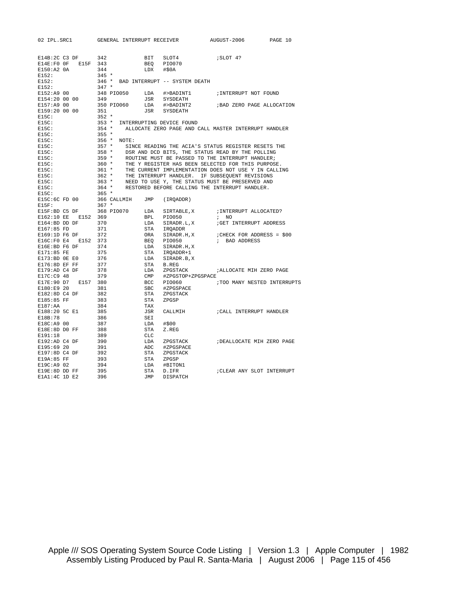| 02 IPL.SRC1       |      | GENERAL INTERRUPT RECEIVER |            |                                                      | AUGUST-2006                    | PAGE 10 |
|-------------------|------|----------------------------|------------|------------------------------------------------------|--------------------------------|---------|
|                   |      |                            |            |                                                      |                                |         |
| E14B:2C C3 DF     |      | 342                        | BIT        | SLOT4                                                | SLOT 4?                        |         |
| E14E:FOOF         |      | E15F 343                   | <b>BEO</b> | <b>PIO070</b>                                        |                                |         |
| E150:A2 0A        |      | 344                        | LDX        | #50A                                                 |                                |         |
| E152:             |      | $345 *$                    |            |                                                      |                                |         |
| E152:             |      | $346 *$                    |            | BAD INTERRUPT -- SYSTEM DEATH                        |                                |         |
| E152:             |      | $347 *$                    |            |                                                      |                                |         |
| E152:A9 00        |      | 348 PIO050                 | LDA        | #>BADINT1                                            | ; INTERRUPT NOT FOUND          |         |
| E154:20 00 00     |      | 349                        | JSR        | SYSDEATH                                             |                                |         |
| E157:A9 00        |      | 350 PIO060                 | LDA        | #>BADINT2                                            | ; BAD ZERO PAGE ALLOCATION     |         |
| E159:20 00 00     |      | 351                        | JSR        | SYSDEATH                                             |                                |         |
| E15C:             |      | $352 *$                    |            |                                                      |                                |         |
| $E15C$ :          |      | $353 *$                    |            | INTERRUPTING DEVICE FOUND                            |                                |         |
| E15C:             |      | $354 *$                    |            | ALLOCATE ZERO PAGE AND CALL MASTER INTERRUPT HANDLER |                                |         |
| E15C:             |      | $355 *$                    |            |                                                      |                                |         |
| E15C:             |      | $356$ *<br>NOTE:           |            |                                                      |                                |         |
| E15C:             |      | $357 *$                    |            | SINCE READING THE ACIA'S STATUS REGISTER RESETS THE  |                                |         |
| E15C:             |      | $358 *$                    |            | DSR AND DCD BITS, THE STATUS READ BY THE POLLING     |                                |         |
| E15C:             |      | $359 *$                    |            | ROUTINE MUST BE PASSED TO THE INTERRUPT HANDLER;     |                                |         |
| E15C:             |      | $360 *$                    |            | THE Y REGISTER HAS BEEN SELECTED FOR THIS PURPOSE.   |                                |         |
| E15C:             |      | $361 *$                    |            | THE CURRENT IMPLEMENTATION DOES NOT USE Y IN CALLING |                                |         |
| E15C:             |      | $362 *$                    |            | THE INTERRUPT HANDLER. IF SUBSEQUENT REVISIONS       |                                |         |
| E15C:             |      | $363 *$                    |            | NEED TO USE Y, THE STATUS MUST BE PRESERVED AND      |                                |         |
| E15C:             |      | $364$ *                    |            | RESTORED BEFORE CALLING THE INTERRUPT HANDLER.       |                                |         |
| E15C:             |      | $365 *$                    |            |                                                      |                                |         |
| E15C:6C FD 00     |      | 366 CALLMIH                | JMP        | (IRQADDR)                                            |                                |         |
| $E15F$ :          |      | $367 *$                    |            |                                                      |                                |         |
| E15F:BD C5 DF     |      | 368 PIO070                 | LDA        | SIRTABLE, X                                          | ; INTERRUPT ALLOCATED?         |         |
| E162:10 EE        | E152 | 369                        | <b>BPL</b> | <b>PIO050</b>                                        | $\mathcal{L}$<br>NO            |         |
| E164:BD DD DF     |      | 370                        | LDA        | SIRADR.L,X                                           | GET INTERRUPT ADDRESS          |         |
| E167:85 FD        |      | 371                        | STA        | IROADDR                                              |                                |         |
| E169:1D F6 DF     |      | 372                        | ORA        | SIRADR.H, X                                          | $\mu$ CHECK FOR ADDRESS = \$00 |         |
| E16C:FO E4        | E152 | 373                        | BEO        | <b>PIO050</b>                                        | ; BAD ADDRESS                  |         |
| E16E:BD F6 DF     |      | 374                        | LDA        | SIRADR.H, X                                          |                                |         |
| E171:85 FE        |      | 375                        | STA        | IRQADDR+1                                            |                                |         |
| E173:BD OE E0     |      | 376                        | LDA        | SIRADR.B,X                                           |                                |         |
| E176:8D EF FF     |      | 377                        | STA        | B.REG                                                |                                |         |
| E179:AD C4 DF     |      | 378                        | LDA        | ZPGSTACK                                             | ; ALLOCATE MIH ZERO PAGE       |         |
| E17C:C9 48        |      | 379                        | CMP        | #ZPGSTOP+ZPGSPACE                                    |                                |         |
| E17E:90 D7        |      | E157 380                   | BCC        | PI0060                                               | ; TOO MANY NESTED INTERRUPTS   |         |
| E180:E9 20        |      | 381                        | <b>SBC</b> | #ZPGSPACE                                            |                                |         |
| E182:8D C4 DF     |      | 382                        | STA        | ZPGSTACK                                             |                                |         |
| E185:85 FF        |      | 383                        | <b>STA</b> | ZPGSP                                                |                                |         |
| E187:AA           |      | 384                        | TAX        |                                                      |                                |         |
| E188:20 5C E1     |      | 385                        | JSR        | CALLMIH                                              | CALL INTERRUPT HANDLER         |         |
| E18B:78           |      | 386                        | SEI        |                                                      |                                |         |
| E18C:A9 00        |      | 387                        | LDA        | #\$00                                                |                                |         |
| E18E:8D DO FF     |      | 388                        | STA        | Z.REG                                                |                                |         |
| E191:18           |      | 389                        | <b>CLC</b> |                                                      |                                |         |
| E192:AD C4 DF     |      | 390                        | LDA        | ZPGSTACK                                             | ; DEALLOCATE MIH ZERO PAGE     |         |
| E195:69 20        |      | 391                        | ADC        | #ZPGSPACE                                            |                                |         |
| E197:8D C4 DF     |      | 392                        | STA        | ZPGSTACK                                             |                                |         |
| E19A:85 FF        |      | 393                        | STA        | ZPGSP                                                |                                |         |
| E19C:A9 02        |      | 394                        | LDA        | #BITON1                                              |                                |         |
| E19E:8D DD FF     |      | 395                        | <b>STA</b> | D.IFR                                                | ; CLEAR ANY SLOT INTERRUPT     |         |
| $E1A1:4C$ 1D $E2$ |      | 396                        | <b>JMP</b> | <b>DISPATCH</b>                                      |                                |         |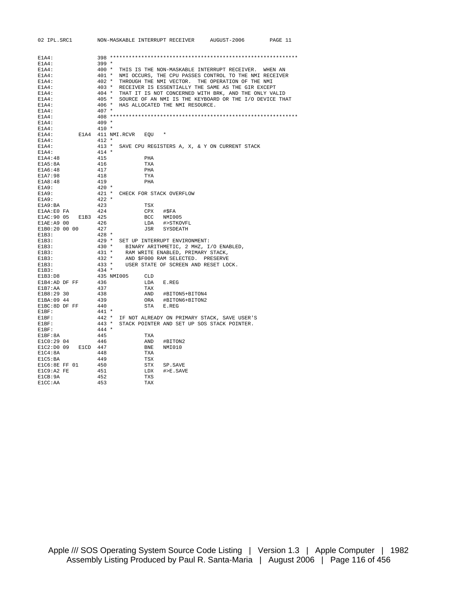| 02 IPL.SRC1                        | NON-MASKABLE INTERRUPT RECEIVER AUGUST-2006<br>PAGE 11                             |
|------------------------------------|------------------------------------------------------------------------------------|
|                                    |                                                                                    |
| $E1A4$ :                           |                                                                                    |
| E1A4:                              | $399 *$                                                                            |
| E1A4:                              | 400 * THIS IS THE NON-MASKABLE INTERRUPT RECEIVER. WHEN AN                         |
| $E1A4$ :                           | 401 * NMI OCCURS, THE CPU PASSES CONTROL TO THE NMI RECEIVER                       |
| E1A4:                              | 402 * THROUGH THE NMI VECTOR. THE OPERATION OF THE NMI                             |
| E1A4:                              | 403 * RECEIVER IS ESSENTIALLY THE SAME AS THE GIR EXCEPT                           |
| $E1A4$ :                           | 404 * THAT IT IS NOT CONCERNED WITH BRK, AND THE ONLY VALID                        |
| E1A4:                              | 405 * SOURCE OF AN NMI IS THE KEYBOARD OR THE I/O DEVICE THAT                      |
| E1A4:                              | 406 * HAS ALLOCATED THE NMI RESOURCE.                                              |
| E1A4:                              | $407 *$                                                                            |
| E1A4:                              |                                                                                    |
| $E1A4$ :                           | $409 *$                                                                            |
| E1A4:                              | $410 *$                                                                            |
| $E1A4$ :                           | E1A4 411 NMI.RCVR EQU *                                                            |
| $E1A4$ :                           | $412 *$                                                                            |
| E1A4:                              | 413 * SAVE CPU REGISTERS A, X, & Y ON CURRENT STACK                                |
| E1A4:                              | $414$ *                                                                            |
| E1A4:48                            | 415<br>PHA                                                                         |
| E1A5:8A                            | 416<br>TXA                                                                         |
| E1A6:48                            | 417<br>PHA                                                                         |
| E1A7:98                            | 418<br>TYA                                                                         |
| E1A8:48                            | 419<br>PHA                                                                         |
| E1A9:                              | $420 *$                                                                            |
| E1A9:                              | 421 * CHECK FOR STACK OVERFLOW                                                     |
| E1A9:                              | $422 *$<br>423                                                                     |
| E1A9:BA                            | TSX<br>424                                                                         |
| E1AA:E0 FA                         | CPX #\$FA                                                                          |
| E1AC: 90 05 E1B3 425<br>E1AE:A9 00 | BCC NMI005<br>426<br>LDA #>STKOVFL                                                 |
| E1B0:20 00 00 427                  | JSR SYSDEATH                                                                       |
| E1B3:                              | $428 *$                                                                            |
| E1B3:                              | 429 * SET UP INTERRUPT ENVIRONMENT:                                                |
| E1B3:                              | 430 * BINARY ARITHMETIC, 2 MHZ, I/O ENABLED,                                       |
| E1B3:                              | 431 * RAM WRITE ENABLED, PRIMARY STACK,<br>432 * AND \$F000 RAM SELECTED. PRESERVE |
| E1B3:                              |                                                                                    |
| E1B3:                              | $433 *$<br>USER STATE OF SCREEN AND RESET LOCK.                                    |
| E1B3:                              | 434 *                                                                              |
| E1B3:D8                            | 435 NMI005 CLD                                                                     |
| E1B4:AD DF FF                      | 436<br>LDA E.REG                                                                   |
| E1B7:AA                            | 437<br>TAX                                                                         |
| E1B8:29 30                         | AND #BITON5+BITON4<br>438                                                          |
| E1BA:09 44                         | 439<br>ORA #BITON6+BITON2                                                          |
| E1BC:8D DF FF                      | 440<br>STA E.REG                                                                   |
| E1BF:                              | 441 *                                                                              |
| E1BF:                              | 442 * IF NOT ALREADY ON PRIMARY STACK, SAVE USER'S                                 |
| E1BF:                              | 443 * STACK POINTER AND SET UP SOS STACK POINTER.                                  |
| $E1BF$ :                           | $444*$                                                                             |
| E1BF:8A                            | 445<br>TXA                                                                         |
| E1C0:29 04                         | 446<br>AND #BITON2                                                                 |
| E1C2:D0 09 E1CD 447                | BNE<br>NMI010                                                                      |
| E1C4:8A                            | 448<br>TXA                                                                         |
| E1C5:BA                            | 449<br>TSX                                                                         |
| E1C6:8E FF 01                      | 450<br>STX SP.SAVE                                                                 |
| E1C9:A2 FE                         | 451<br>LDX #>E.SAVE                                                                |
| E1CB:9A                            | 452<br>TXS                                                                         |
| E1CC:AA                            | 453<br>TAX                                                                         |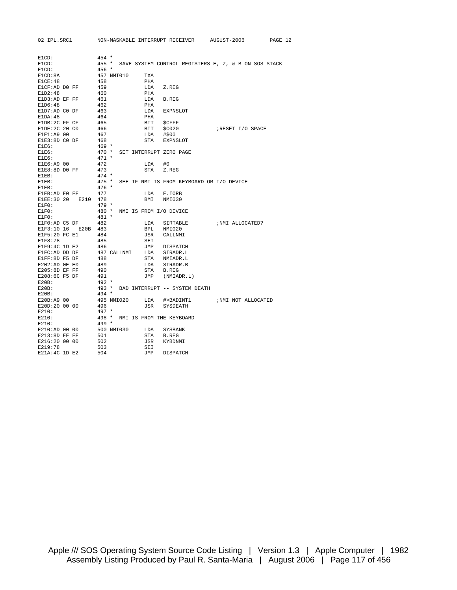| 02 IPL.SRC1        | NON-MASKABLE INTERRUPT RECEIVER AUGUST-2006 |                                           | PAGE 12                                              |
|--------------------|---------------------------------------------|-------------------------------------------|------------------------------------------------------|
|                    |                                             |                                           |                                                      |
|                    |                                             |                                           |                                                      |
| E1CD:              | $454 *$                                     |                                           |                                                      |
| E1CD:              | $455 *$                                     |                                           | SAVE SYSTEM CONTROL REGISTERS E, Z, & B ON SOS STACK |
| E1CD:              | $456 *$                                     |                                           |                                                      |
| E1CD:8A            | 457 NMI010<br>TXA                           |                                           |                                                      |
| E1CE:48            | 458<br>PHA                                  |                                           |                                                      |
| ElCF:AD DO FF      | 459<br>LDA                                  | Z.REG                                     |                                                      |
| E1D2:48            | 460<br>PHA                                  |                                           |                                                      |
| E1D3:AD EF FF      | 461<br>LDA                                  | <b>B.REG</b>                              |                                                      |
| E1D6:48            | 462<br>PHA                                  |                                           |                                                      |
| E1D7:AD CO DF      | 463<br>LDA                                  | <b>EXPNSLOT</b>                           |                                                      |
| E1DA: 48           | 464<br>PHA                                  |                                           |                                                      |
| E1DB:2C FF CF      | 465<br>BIT                                  | \$CFFF                                    |                                                      |
| E1DE:2C 20 C0      | 466<br>BIT                                  | \$C020                                    | RESET I/O SPACE                                      |
| E1E1:A9 00         | 467<br>LDA                                  | #\$00                                     |                                                      |
| E1E3:8D CO DF      | 468<br><b>STA</b>                           | <b>EXPNSLOT</b>                           |                                                      |
| E1E6:              | $469 *$                                     |                                           |                                                      |
|                    |                                             |                                           |                                                      |
| E1E6:              | 470 *<br>SET INTERRUPT ZERO PAGE            |                                           |                                                      |
| E1E6:              | $471 *$                                     |                                           |                                                      |
| E1E6:A9 00         | 472<br>LDA                                  | #0                                        |                                                      |
| E1E8:8D DO FF      | 473<br>STA                                  | Z.REG                                     |                                                      |
| E1EB:              | $474 *$                                     |                                           |                                                      |
| $E1EB$ :           | $475 *$                                     | SEE IF NMI IS FROM KEYBOARD OR I/O DEVICE |                                                      |
| $E1EB$ :           | $476 *$                                     |                                           |                                                      |
| E1EB:AD E0 FF      | 477<br>LDA                                  | E.IORB                                    |                                                      |
| E1EE:30 20<br>E210 | 478<br>BMI                                  | NMI030                                    |                                                      |
| $E1F0$ :           | $479 *$                                     |                                           |                                                      |
| $E1F0$ :           | 480 * NMI IS FROM I/O DEVICE                |                                           |                                                      |
| $E1F0$ :           | $481 *$                                     |                                           |                                                      |
| ElFO:AD C5 DF      | 482<br>LDA                                  | SIRTABLE                                  | ;NMI ALLOCATED?                                      |
| E1F3:10 16 E20B    | 483<br>BPL                                  | NMI020                                    |                                                      |
| E1F5:20 FC E1      | 484<br>JSR                                  | CALLNMI                                   |                                                      |
| E1F8:78            | 485<br>SEI                                  |                                           |                                                      |
| E1F9:4C 1D E2      | 486<br>JMP                                  | DISPATCH                                  |                                                      |
| E1FC:AD DD DF      | 487 CALLNMI<br>LDA                          | SIRADR.L                                  |                                                      |
| E1FF:8D F5 DF      | 488<br>STA                                  | NMIADR.L                                  |                                                      |
| E202:AD 0E E0      | 489<br>LDA                                  | SIRADR.B                                  |                                                      |
| $E205:8DEF$ FF     | 490<br>STA                                  | B.REG                                     |                                                      |
| E208:6C F5 DF      | 491<br>JMP                                  | (NMIADR.L)                                |                                                      |
| $E20B$ :           | $492 *$                                     |                                           |                                                      |
| $E20B$ :           | 493 * BAD INTERRUPT -- SYSTEM DEATH         |                                           |                                                      |
| $E20B$ :           | $494 *$                                     |                                           |                                                      |
| E20B:A9 00         | 495 NMI020<br>LDA                           | #>BADINT1                                 | ; NMI NOT ALLOCATED                                  |
| E20D:20 00 00      | 496<br>JSR                                  | SYSDEATH                                  |                                                      |
| E210:              | $497 *$                                     |                                           |                                                      |
| E210:              | 498 * NMI IS FROM THE KEYBOARD              |                                           |                                                      |
| E210:              | $499 *$                                     |                                           |                                                      |
| E210:AD 00 00      | 500 NMI030<br>LDA                           | SYSBANK                                   |                                                      |
| E213:8D EF FF      | 501<br>STA                                  |                                           |                                                      |
|                    |                                             | B.REG                                     |                                                      |
| E216:20 00 00      | 502<br>JSR                                  | KYBDNMI                                   |                                                      |
| E219:78            | 503<br>SEI                                  |                                           |                                                      |
| E21A: 4C 1D E2     | 504<br>JMP                                  | <b>DISPATCH</b>                           |                                                      |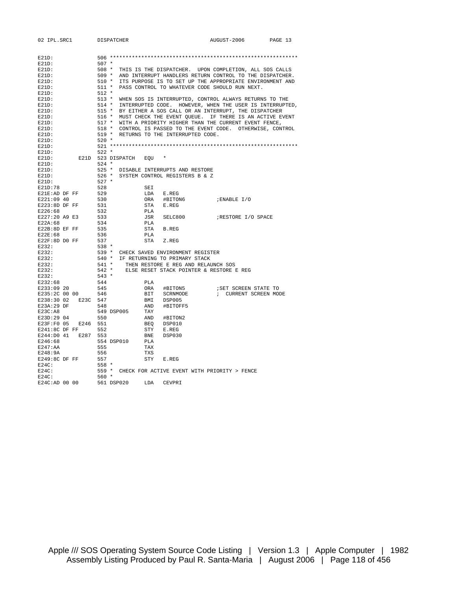| 02 IPL.SRC1         |          |              | DISPATCHER                                                                    |            |                                     | AUGUST-2006                                                    | PAGE 13 |
|---------------------|----------|--------------|-------------------------------------------------------------------------------|------------|-------------------------------------|----------------------------------------------------------------|---------|
| $E21D$ :            |          |              |                                                                               |            |                                     |                                                                |         |
| $E21D$ :            |          | $507 *$      |                                                                               |            |                                     |                                                                |         |
| $E21D$ :            |          | 508 *        |                                                                               |            |                                     | THIS IS THE DISPATCHER. UPON COMPLETION, ALL SOS CALLS         |         |
| $E21D$ :            |          | 509 *        |                                                                               |            |                                     | AND INTERRUPT HANDLERS RETURN CONTROL TO THE DISPATCHER.       |         |
| $E21D$ :            |          |              |                                                                               |            |                                     | 510 * ITS PURPOSE IS TO SET UP THE APPROPRIATE ENVIRONMENT AND |         |
| E21D:               |          |              |                                                                               |            |                                     | 511 * PASS CONTROL TO WHATEVER CODE SHOULD RUN NEXT.           |         |
| $E21D$ :            |          | 512 *        |                                                                               |            |                                     |                                                                |         |
| $E21D$ :            |          |              |                                                                               |            |                                     | 513 * WHEN SOS IS INTERRUPTED, CONTROL ALWAYS RETURNS TO THE   |         |
| $E21D$ :            |          |              |                                                                               |            |                                     | 514 * INTERRUPTED CODE. HOWEVER, WHEN THE USER IS INTERRUPTED, |         |
| $E21D$ :            |          |              |                                                                               |            |                                     | 515 * BY EITHER A SOS CALL OR AN INTERRUPT, THE DISPATCHER     |         |
| $E21D$ :            |          |              |                                                                               |            |                                     | 516 * MUST CHECK THE EVENT QUEUE. IF THERE IS AN ACTIVE EVENT  |         |
| $E21D$ :            |          |              |                                                                               |            |                                     | 517 * WITH A PRIORITY HIGHER THAN THE CURRENT EVENT FENCE,     |         |
| $E21D$ :            |          |              |                                                                               |            |                                     | 518 * CONTROL IS PASSED TO THE EVENT CODE. OTHERWISE, CONTROL  |         |
| $E21D$ :            |          |              | 519 * RETURNS TO THE INTERRUPTED CODE.                                        |            |                                     |                                                                |         |
| $E21D$ :            |          | 520 *        |                                                                               |            |                                     |                                                                |         |
| $E21D$ :            |          |              |                                                                               |            |                                     | $521***$                                                       |         |
| $E21D$ :            |          | $522 *$      |                                                                               |            |                                     |                                                                |         |
| $E21D$ :            |          |              | E21D 523 DISPATCH                                                             | EQU        |                                     |                                                                |         |
| $E21D$ :            |          | $524$ *      |                                                                               |            |                                     |                                                                |         |
| $E21D$ :            |          |              | 525 * DISABLE INTERRUPTS AND RESTORE                                          |            |                                     |                                                                |         |
| $E21D$ :            |          |              | 526 * SYSTEM CONTROL REGISTERS B & Z                                          |            |                                     |                                                                |         |
| $E21D$ :            |          | $527 *$      |                                                                               |            |                                     |                                                                |         |
| E21D:78             |          | 528          |                                                                               | SEI        |                                     |                                                                |         |
| E21E:AD DF FF       |          | 529          |                                                                               | LDA        | E.REG                               |                                                                |         |
| E221:09 40          |          | 530          |                                                                               | ORA        | #BITON6                             | ; ENABLE I/O                                                   |         |
| E223:8D DF FF       |          | 531          |                                                                               | STA        | E.REG                               |                                                                |         |
| E226:68             |          | 532          |                                                                               | PLA        |                                     |                                                                |         |
| E227:20 A9 E3       |          | 533          |                                                                               | JSR        | SELC800                             | RESTORE I/O SPACE                                              |         |
| E22A:68             |          | 534          |                                                                               | PLA        |                                     |                                                                |         |
| E22B:8D EF FF       |          | 535          |                                                                               | STA        | B.REG                               |                                                                |         |
| E22E:68             |          | 536          |                                                                               | PLA        |                                     |                                                                |         |
| $E22F:8D$ DO FF     |          | 537<br>538 * |                                                                               | STA        | Z.REG                               |                                                                |         |
| E232:               |          |              |                                                                               |            |                                     |                                                                |         |
| E232:<br>E232:      |          |              | 539 * CHECK SAVED ENVIRONMENT REGISTER<br>540 * IF RETURNING TO PRIMARY STACK |            |                                     |                                                                |         |
| E232:               |          | 541 *        |                                                                               |            | THEN RESTORE E REG AND RELAUNCH SOS |                                                                |         |
| E232:               |          |              |                                                                               |            |                                     | 542 * ELSE RESET STACK POINTER & RESTORE E REG                 |         |
| E232:               |          | 543 *        |                                                                               |            |                                     |                                                                |         |
| E232:68             |          | 544          |                                                                               | PLA        |                                     |                                                                |         |
| E233:09 20          |          | 545          |                                                                               | ORA        | #BITON5                             | ; SET SCREEN STATE TO                                          |         |
| E235:2C 00 00       |          | 546          |                                                                               | BIT        | SCRNMODE                            | ; CURRENT SCREEN MODE                                          |         |
| E238:30 02          | E23C 547 |              |                                                                               |            | BMI DSP005                          |                                                                |         |
| E23A:29 DF          |          | 548          |                                                                               | AND        | #BITOFF5                            |                                                                |         |
| E23C:AB             |          |              | 549 DSP005                                                                    | TAY        |                                     |                                                                |         |
| E23D:29 04          |          | 550          |                                                                               | AND        | #BITON2                             |                                                                |         |
| E23F:F0 05          | E246     | 551          |                                                                               | BEO        | DSP010                              |                                                                |         |
| E241:8C DF FF       |          | 552          |                                                                               | STY        | E.REG                               |                                                                |         |
| E244:D0 41 E287 553 |          |              |                                                                               | BNE        | DSP030                              |                                                                |         |
| E246:68             |          |              | 554 DSP010                                                                    | PLA        |                                     |                                                                |         |
| E247:AA             |          | 555          |                                                                               | TAX        |                                     |                                                                |         |
| E248:9A             |          | 556          |                                                                               | <b>TXS</b> |                                     |                                                                |         |
| E249:8C DF FF       |          | 557          |                                                                               | STY        | E.REG                               |                                                                |         |
| $E24C$ :            |          | $558 *$      |                                                                               |            |                                     |                                                                |         |
| $E24C$ :            |          |              |                                                                               |            |                                     | 559 * CHECK FOR ACTIVE EVENT WITH PRIORITY > FENCE             |         |
| $E24C$ :            |          | $560 *$      |                                                                               |            |                                     |                                                                |         |
| E24C:AD 00 00       |          |              | 561 DSP020                                                                    | LDA        | CEVPRI                              |                                                                |         |

Apple /// SOS Operating System Source Code Listing | Version 1.3 | Apple Computer | 1982 Assembly Listing Produced by Paul R. Santa-Maria | August 2006 | Page 118 of 456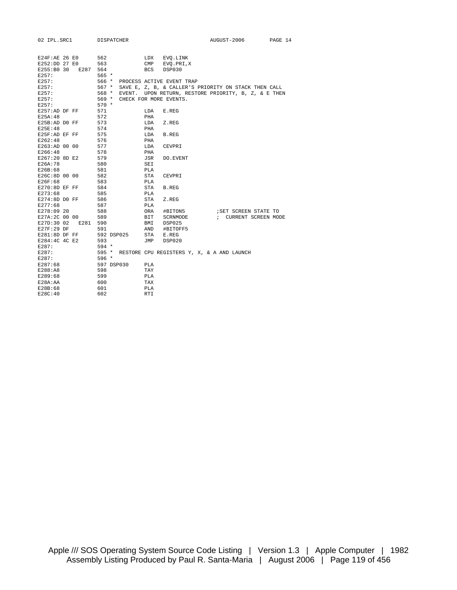| 02 IPL.SRC1      |               | DISPATCHER |            |                                            | AUGUST-2006                                          | PAGE 14 |
|------------------|---------------|------------|------------|--------------------------------------------|------------------------------------------------------|---------|
| $E24F$ :AE 26 E0 |               | 562        |            | LDX EVQ.LINK                               |                                                      |         |
|                  | E252:DD 27 E0 | 563        |            | CMP EVQ. PRI, X                            |                                                      |         |
| E255:B0 30       | E287 564      |            | BCS        | DSP030                                     |                                                      |         |
| E257:            |               | $565 *$    |            |                                            |                                                      |         |
| E257:            |               | 566 *      |            | PROCESS ACTIVE EVENT TRAP                  |                                                      |         |
| E257:            |               | $567 *$    |            |                                            | SAVE E, Z, B, & CALLER'S PRIORITY ON STACK THEN CALL |         |
| E257:            |               | $568 *$    |            |                                            | EVENT. UPON RETURN, RESTORE PRIORITY, B, Z, & E THEN |         |
| E257:            |               | $569 *$    |            | CHECK FOR MORE EVENTS.                     |                                                      |         |
| E257:            |               | $570 *$    |            |                                            |                                                      |         |
| E257:AD DF FF    |               | 571        | LDA        | E.REG                                      |                                                      |         |
| E25A: 48         |               | 572        | PHA        |                                            |                                                      |         |
| E25B:AD DO FF    |               | 573        | LDA        | Z.REG                                      |                                                      |         |
| E25E:48          |               | 574        | PHA        |                                            |                                                      |         |
| E25F:AD EF FF    |               | 575        |            | LDA B.REG                                  |                                                      |         |
| E262:48          |               | 576        | PHA        |                                            |                                                      |         |
| E263:AD 00 00    |               | 577        | LDA        | CEVPRI                                     |                                                      |         |
| E266:48          |               | 578        | PHA        |                                            |                                                      |         |
| E267:20 8D E2    |               | 579        | JSR        | DO.EVENT                                   |                                                      |         |
| E26A:78          |               | 580        | SEI        |                                            |                                                      |         |
| E26B:68          |               | 581        | PLA        |                                            |                                                      |         |
| E26C:8D 00 00    |               | 582        | STA        | CEVPRI                                     |                                                      |         |
| E26F:68          |               | 583        | PLA        |                                            |                                                      |         |
| E270:8D EF FF    |               | 584        | STA        | <b>B.REG</b>                               |                                                      |         |
| E273:68          |               | 585        | PLA        |                                            |                                                      |         |
| $E274:8D$ DO FF  |               | 586        | STA        | Z.REG                                      |                                                      |         |
| E277:68          |               | 587        | PLA        |                                            |                                                      |         |
| E278:09 20       |               | 588        |            | ORA #BITON5                                | ; SET SCREEN STATE TO                                |         |
| E27A:2C 00 00    |               | 589        |            | BIT SCRNMODE                               | ; CURRENT SCREEN MODE                                |         |
| E27D:30 02       | E281          | 590        |            | BMI DSP025                                 |                                                      |         |
| E27F:29 DF       |               | 591        |            | AND #BITOFF5                               |                                                      |         |
| E281:8D DF FF    |               | 592 DSP025 |            | STA E.REG                                  |                                                      |         |
| E284:4C 4C E2    |               | 593        | JMP        | DSP020                                     |                                                      |         |
| E287:            |               | 594 *      |            |                                            |                                                      |         |
| E287:            |               | $595 *$    |            | RESTORE CPU REGISTERS Y, X, & A AND LAUNCH |                                                      |         |
| E287:            |               | 596 *      |            |                                            |                                                      |         |
| E287:68          |               | 597 DSP030 | PLA        |                                            |                                                      |         |
| E288:AB          |               | 598        | TAY        |                                            |                                                      |         |
| E289:68          |               | 599        | PLA        |                                            |                                                      |         |
| E28A: AA         |               | 600        | TAX        |                                            |                                                      |         |
| E28B:68          |               | 601<br>602 | <b>PLA</b> |                                            |                                                      |         |
| E28C:40          |               |            | <b>RTI</b> |                                            |                                                      |         |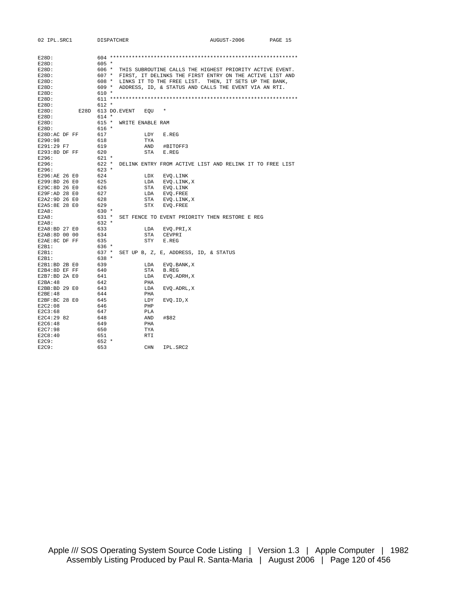| 02 IPL.SRC1   | DISPATCHER |                            |                                       | AUGUST-2006                                                    | PAGE 15 |
|---------------|------------|----------------------------|---------------------------------------|----------------------------------------------------------------|---------|
|               |            |                            |                                       |                                                                |         |
|               |            |                            |                                       |                                                                |         |
| $E28D$ :      |            |                            |                                       |                                                                |         |
| $E28D$ :      | $605 *$    |                            |                                       |                                                                |         |
| E28D:         |            |                            |                                       | 606 * THIS SUBROUTINE CALLS THE HIGHEST PRIORITY ACTIVE EVENT. |         |
| $E28D$ :      | 607 *      |                            |                                       | FIRST, IT DELINKS THE FIRST ENTRY ON THE ACTIVE LIST AND       |         |
| $E28D$ :      |            |                            |                                       | 608 * LINKS IT TO THE FREE LIST. THEN, IT SETS UP THE BANK,    |         |
| E28D:         | 609 *      |                            |                                       | ADDRESS, ID, & STATUS AND CALLS THE EVENT VIA AN RTI.          |         |
| $E28D$ :      | $610 *$    |                            |                                       |                                                                |         |
| $E28D$ :      |            |                            |                                       |                                                                |         |
| $E28D$ :      | $612 *$    |                            |                                       |                                                                |         |
| $E28D$ :      |            | E28D 613 DO.EVENT<br>EQU * |                                       |                                                                |         |
| E28D:         | $614 *$    |                            |                                       |                                                                |         |
| $E28D$ :      |            | 615 * WRITE ENABLE RAM     |                                       |                                                                |         |
| $E28D$ :      | $616 *$    |                            |                                       |                                                                |         |
| E28D:AC DF FF | 617        | LDY                        | E.REG                                 |                                                                |         |
| E290:98       | 618        | TYA                        |                                       |                                                                |         |
| E291:29 F7    | 619        |                            | AND #BITOFF3                          |                                                                |         |
| E293:8D DF FF | 620        | STA                        | E.REG                                 |                                                                |         |
| E296:         | $621 *$    |                            |                                       |                                                                |         |
| E296:         |            |                            |                                       | 622 * DELINK ENTRY FROM ACTIVE LIST AND RELINK IT TO FREE LIST |         |
| E296:         | $623 *$    |                            |                                       |                                                                |         |
| E296:AE 26 E0 | 624        | LDX                        | EVQ.LINK                              |                                                                |         |
| E299:BD 26 E0 | 625        | LDA                        | EVQ.LINK,X                            |                                                                |         |
| E29C:8D 26 E0 | 626        |                            | STA EVQ.LINK                          |                                                                |         |
| E29F:AD 28 E0 | 627        |                            | LDA EVQ.FREE                          |                                                                |         |
| E2A2:9D 26 E0 | 628        | STA                        | EVQ.LINK,X                            |                                                                |         |
| E2A5:8E 28 E0 | 629        | STX                        | EVQ. FREE                             |                                                                |         |
| E2A8:         | $630 *$    |                            |                                       |                                                                |         |
| E2A8:         | 631 *      |                            |                                       | SET FENCE TO EVENT PRIORITY THEN RESTORE E REG                 |         |
| E2A8:         | $632 *$    |                            |                                       |                                                                |         |
| E2A8:BD 27 E0 | 633        | LDA                        | EVQ.PRI,X                             |                                                                |         |
| E2AB:8D 00 00 | 634        | STA                        | CEVPRI                                |                                                                |         |
| E2AE:8C DF FF | 635        | STY                        | E.REG                                 |                                                                |         |
| $E2B1$ :      | 636 *      |                            |                                       |                                                                |         |
| $E2B1$ :      | 637 *      |                            | SET UP B, Z, E, ADDRESS, ID, & STATUS |                                                                |         |
| $E2B1$ :      | 638 *      |                            |                                       |                                                                |         |
| E2B1:BD 2B E0 | 639        | LDA                        | EVQ.BANK,X                            |                                                                |         |
| E2B4:8D EF FF | 640        | STA                        | B.REG                                 |                                                                |         |
| E2B7:BD 2A E0 | 641        | LDA                        | EVQ.ADRH,X                            |                                                                |         |
| E2BA:48       | 642        | PHA                        |                                       |                                                                |         |
| E2BB:BD 29 E0 | 643        | LDA                        | EVQ.ADRL,X                            |                                                                |         |
| E2BE:48       | 644        | PHA                        |                                       |                                                                |         |
| E2BF:BC 28 E0 | 645        | LDY                        | EVO.ID, X                             |                                                                |         |
| E2C2:08       | 646        | PHP                        |                                       |                                                                |         |
| E2C3:68       | 647        | PLA                        |                                       |                                                                |         |
| E2C4:29 82    | 648        | AND                        | #\$82                                 |                                                                |         |
| E2C6:48       | 649        | PHA                        |                                       |                                                                |         |
| E2C7:98       | 650        |                            |                                       |                                                                |         |
| E2C8:40       | 651        | TYA                        |                                       |                                                                |         |
|               |            | <b>RTI</b>                 |                                       |                                                                |         |
| E2C9:         | $652 *$    |                            |                                       |                                                                |         |
| E2C9:         | 653        | <b>CHN</b>                 | IPL.SRC2                              |                                                                |         |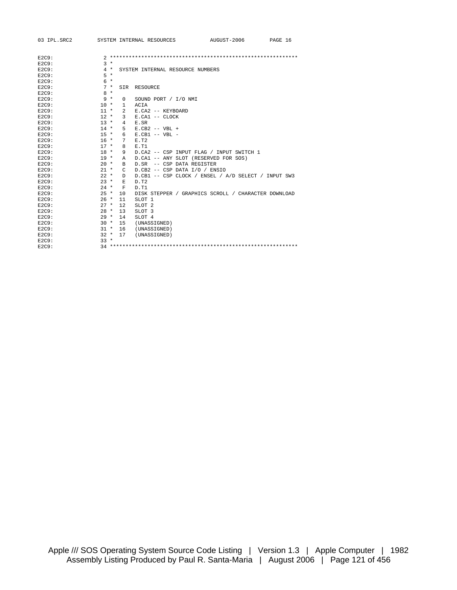| 03 IPL.SRC2 |        |                 | SYSTEM INTERNAL RESOURCES                           | AUGUST-2006 | PAGE 16 |
|-------------|--------|-----------------|-----------------------------------------------------|-------------|---------|
|             |        |                 |                                                     |             |         |
| E2C9:       |        |                 |                                                     |             |         |
| $E2C9$ :    | $3 *$  |                 |                                                     |             |         |
| $E2C9$ :    | $4 *$  |                 | SYSTEM INTERNAL RESOURCE NUMBERS                    |             |         |
| $E2C9$ :    | $5*$   |                 |                                                     |             |         |
| $E2C9$ :    | $6*$   |                 |                                                     |             |         |
| $E2C9$ :    | $7 *$  | SIR             | RESOURCE                                            |             |         |
| $E2C9$ :    | $8 *$  |                 |                                                     |             |         |
| E2C9:       | $9 *$  | 0               | SOUND PORT / I/O NMI                                |             |         |
| $E2C9$ :    | $10 *$ | $\mathbf{1}$    | ACTA                                                |             |         |
| E2C9:       | $11 *$ | $\overline{2}$  | E.CA2 -- KEYBOARD                                   |             |         |
| $E2C9$ :    | $12 *$ | 3               | E.CA1 -- CLOCK                                      |             |         |
| E2C9:       | $13 *$ | $4\overline{ }$ | E.SR                                                |             |         |
| $E2C9$ :    | $14 *$ | 5               | $E.CB2$ -- VBL +                                    |             |         |
| $E2C9$ :    | $15 *$ | 6               | $E.CB1 -- VBL --$                                   |             |         |
| $E2C9$ :    | $16 *$ | 7               | F. T2                                               |             |         |
| $E2C9$ :    | $17 *$ | 8               | E.T1                                                |             |         |
| $E2C9$ :    | $18 *$ | 9               | D.CA2 -- CSP INPUT FLAG / INPUT SWITCH 1            |             |         |
| $E2C9$ :    | $19 *$ | Α               | D.CA1 -- ANY SLOT (RESERVED FOR SOS)                |             |         |
| E2C9:       | $20 *$ | в               | D.SR -- CSP DATA REGISTER                           |             |         |
| $E2C9$ :    | $21 *$ | C.              | D.CB2 -- CSP DATA I/O / ENSIO                       |             |         |
| $E2C9$ :    | $22 *$ | D               | D.CB1 -- CSP CLOCK / ENSEL / A/D SELECT / INPUT SW3 |             |         |
| E2C9:       | $23 *$ | E               | D.T2                                                |             |         |
| E2C9:       | $24 *$ | $\mathbf F$     | D.T1                                                |             |         |
| $E2C9$ :    | $25 *$ | 10              | DISK STEPPER / GRAPHICS SCROLL / CHARACTER DOWNLOAD |             |         |
| $E2C9$ :    | $26 *$ | 11              | SLOT <sub>1</sub>                                   |             |         |
| E2C9:       | $27 *$ | 12              | SLOT <sub>2</sub>                                   |             |         |
| E2C9:       | $28 *$ | 13              | SLOT <sub>3</sub>                                   |             |         |
| E2C9:       | $29 *$ | 14              | SLOT 4                                              |             |         |
| E2C9:       | $30 *$ | 15              | (UNASSIGNED)                                        |             |         |
| E2C9:       | $31 *$ | 16              | (UNASSIGNED)                                        |             |         |
| E2C9:       | $32 *$ | 17              | (UNASSIGNED)                                        |             |         |
| $E2C9$ :    | $33 *$ |                 |                                                     |             |         |
| E2C9:       |        |                 |                                                     |             |         |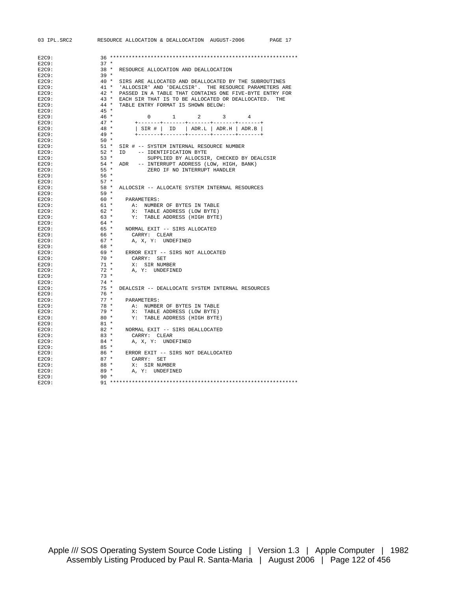| 03 IPL.SRC2    | RESOURCE ALLOCATION & DEALLOCATION AUGUST-2006<br>PAGE 17         |
|----------------|-------------------------------------------------------------------|
|                |                                                                   |
| E2C9:          |                                                                   |
| E2C9:          | $37 *$                                                            |
| E2C9:          | $38 *$<br>RESOURCE ALLOCATION AND DEALLOCATION                    |
| E2C9:          | $39 *$                                                            |
| E2C9:          | SIRS ARE ALLOCATED AND DEALLOCATED BY THE SUBROUTINES<br>40 *     |
| E2C9:          | $41$ *<br>'ALLOCSIR' AND 'DEALCSIR'. THE RESOURCE PARAMETERS ARE  |
| E2C9:          | $42$ *<br>PASSED IN A TABLE THAT CONTAINS ONE FIVE-BYTE ENTRY FOR |
| E2C9:          | $43 *$<br>EACH SIR THAT IS TO BE ALLOCATED OR DEALLOCATED. THE    |
| E2C9:          | TABLE ENTRY FORMAT IS SHOWN BELOW:<br>$44$ *                      |
| E2C9:          | $45 *$                                                            |
| E2C9:          | $46 *$<br>2<br>3<br><sup>n</sup><br>$\mathbf{1}$                  |
| E2C9:          | $47 *$                                                            |
| E2C9:          | $ $ SIR #   ID   ADR.L   ADR.H   ADR.B  <br>$48 *$                |
| E2C9:          | $49 *$<br>+-------+-------+-------+-------+-----+-                |
| E2C9:          | $50*$                                                             |
| E2C9:          | $51 *$<br>SIR # -- SYSTEM INTERNAL RESOURCE NUMBER                |
| E2C9:          | $52 *$<br>ID -- IDENTIFICATION BYTE                               |
| E2C9:          | $53 *$<br>SUPPLIED BY ALLOCSIR, CHECKED BY DEALCSIR               |
| E2C9:          | $54 *$<br>ADR -- INTERRUPT ADDRESS (LOW, HIGH, BANK)              |
| E2C9:          | $55 *$<br>ZERO IF NO INTERRUPT HANDLER                            |
| E2C9:          | $56*$                                                             |
| E2C9:          | $57 *$                                                            |
| E2C9:          | $58 *$<br>ALLOCSIR -- ALLOCATE SYSTEM INTERNAL RESOURCES          |
| E2C9:          | $59 *$                                                            |
| E2C9:          | 60 *<br>PARAMETERS:                                               |
| E2C9:          | $61 *$<br>A: NUMBER OF BYTES IN TABLE                             |
| E2C9:          | $62 *$<br>X: TABLE ADDRESS (LOW BYTE)                             |
| E2C9:          | $63 *$<br>Y: TABLE ADDRESS (HIGH BYTE)                            |
| E2C9:          | 64 *                                                              |
| E2C9:          | 65 * NORMAL EXIT -- SIRS ALLOCATED                                |
| E2C9:          | 66 *<br>CARRY: CLEAR                                              |
| E2C9:          | $67 *$<br>A, X, Y: UNDEFINED                                      |
| E2C9:          | 68 *                                                              |
| E2C9:          | 69 * ERROR EXIT -- SIRS NOT ALLOCATED                             |
| E2C9:          | 70 *<br>CARRY: SET                                                |
| E2C9:          | $71 *$<br>X: SIR NUMBER                                           |
| E2C9:          | $72*$<br>A, Y: UNDEFINED<br>$73 *$                                |
| E2C9:          | $74 *$                                                            |
| E2C9:<br>E2C9: | $75 *$<br>DEALCSIR -- DEALLOCATE SYSTEM INTERNAL RESOURCES        |
| E2C9:          | $76*$                                                             |
| E2C9:          | $77 *$<br>PARAMETERS:                                             |
| E2C9:          | 78 *<br>A: NUMBER OF BYTES IN TABLE                               |
| E2C9:          | 79 *<br>X: TABLE ADDRESS (LOW BYTE)                               |
| E2C9:          | $80*$<br>Y: TABLE ADDRESS (HIGH BYTE)                             |
| E2C9:          | $81$ *                                                            |
| E2C9:          | $82 *$<br>NORMAL EXIT -- SIRS DEALLOCATED                         |
| E2C9:          | $83 *$<br>CARRY: CLEAR                                            |
| E2C9:          | $84 *$<br>A, X, Y: UNDEFINED                                      |
| E2C9:          | 85 *                                                              |
| E2C9:          | $86*$<br>ERROR EXIT -- SIRS NOT DEALLOCATED                       |
| E2C9:          | $87 *$<br>CARRY: SET                                              |
| E2C9:          | $88*$<br>X: SIR NUMBER                                            |
| E2C9:          | 89 *<br>A, Y: UNDEFINED                                           |
| E2C9:          | 90 *                                                              |
| E2C9:          |                                                                   |
|                |                                                                   |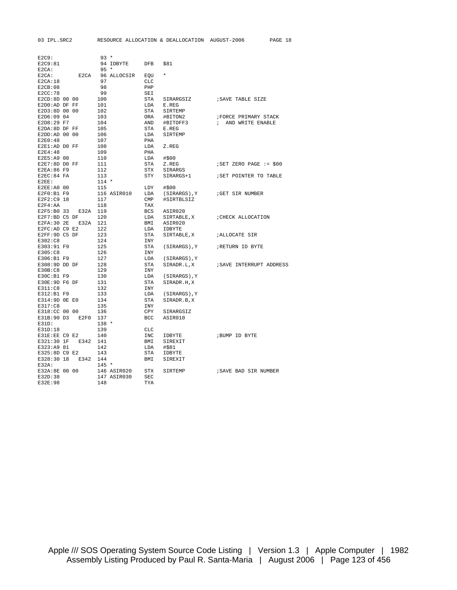| E2C9:                 |      | $93 *$     |             |                   |                   |                           |
|-----------------------|------|------------|-------------|-------------------|-------------------|---------------------------|
| E2C9:81               |      |            | 94 IDBYTE   | <b>DFB</b>        | \$81              |                           |
| E2CA:                 |      | $95 *$     |             |                   |                   |                           |
| $E2CA$ :              | E2CA |            | 96 ALLOCSIR | EOU               | $\star$           |                           |
| E2CA:18               |      | 97         |             | CLC               |                   |                           |
| E2CB:08               |      | 98         |             | PHP               |                   |                           |
| E2CC:78               |      | 99         |             | SEI               |                   |                           |
| E2CD:8D 00 00         |      | 100        |             | STA               | SIRARGSIZ         | ; SAVE TABLE SIZE         |
| E2D0:AD DF FF         |      | 101        |             | LDA               | E.REG             |                           |
| E2D3:8D 00 00         |      | 102        |             | STA               | SIRTEMP           |                           |
| E2D6:09 04            |      | 103        |             | ORA               | #BITON2           | FORCE PRIMARY STACK       |
| E2D8:29 F7            |      | 104        |             | AND               | #BITOFF3          | ; AND WRITE ENABLE        |
| E2DA:8D DF FF         |      | 105        |             | <b>STA</b>        | E.REG             |                           |
| E2DD:AD 00 00         |      | 106        |             | LDA               | SIRTEMP           |                           |
| E2E0:48               |      | 107        |             | PHA               |                   |                           |
| E2E1:AD DO FF         |      | 108        |             | LDA               | Z.REG             |                           |
| E2E4:48               |      | 109        |             | PHA               |                   |                           |
| E2E5:A9 00            |      | 110        |             | LDA               | #\$00             |                           |
| E2E7:8D DO FF         |      | 111        |             | STA               | Z.REG             | $i$ SET ZERO PAGE := \$00 |
| E2EA:86 F9            |      | 112        |             | <b>STX</b>        | SIRARGS           |                           |
| E2EC:84 FA            |      | 113        |             | STY               | SIRARGS+1         | ; SET POINTER TO TABLE    |
| $E2EE$ :              |      | $114 *$    |             |                   |                   |                           |
| E2EE: A0 00           |      | 115        |             | LDY               | #\$00             |                           |
| E2F0:B1 F9            |      |            | 116 ASIR010 | LDA               | (SIRARGS), Y      | GET SIR NUMBER            |
| E2F2:C9 18            |      | 117        |             | CMP               | #SIRTBLSIZ        |                           |
| E2F4:AA               |      | 118        |             | TAX               |                   |                           |
| E2F5:B0 33            | E32A | 119        |             | <b>BCS</b>        | ASIR020           |                           |
| E2F7:BD C5 DF         |      | 120        |             |                   |                   |                           |
| E2FA: 30 2E           | E32A | 121        |             | LDA               | SIRTABLE, X       | ; CHECK ALLOCATION        |
| E2FC:AD C9 E2         |      | 122        |             | BMI<br>LDA        | ASIR020<br>IDBYTE |                           |
| E2FF:9D C5 DF         |      | 123        |             | STA               | SIRTABLE, X       | ;ALLOCATE SIR             |
|                       |      |            |             |                   |                   |                           |
| E302:C8<br>E303:91 F9 |      | 124<br>125 |             | INY<br><b>STA</b> | (SIRARGS), Y      | RETURN ID BYTE            |
| E305:C8               |      |            |             |                   |                   |                           |
|                       |      | 126        |             | INY               |                   |                           |
| E306:B1 F9            |      | 127        |             | LDA               | (SIRARGS), Y      |                           |
| E308:9D DD DF         |      | 128        |             | <b>STA</b>        | SIRADR.L,X        | ; SAVE INTERRUPT ADDRESS  |
| E30B:CB               |      | 129        |             | INY               |                   |                           |
| E30C:B1 F9            |      | 130        |             | LDA               | (SIRARGS), Y      |                           |
| E30E:9D F6 DF         |      | 131        |             | <b>STA</b>        | SIRADR.H, X       |                           |
| E311:C8               |      | 132        |             | INY               |                   |                           |
| E312:B1 F9            |      | 133        |             | LDA               | (SIRARGS), Y      |                           |
| E314:9D OE EO         |      | 134        |             | <b>STA</b>        | SIRADR.B,X        |                           |
| E317:C8               |      | 135        |             | INY               |                   |                           |
| E318:CC 00 00         |      | 136        |             | CPY               | SIRARGSIZ         |                           |
| E31B:90 D3            | E2F0 | 137        |             | <b>BCC</b>        | ASIR010           |                           |
| E31D:                 |      | $138 *$    |             |                   |                   |                           |
| E31D:18               |      | 139        |             | <b>CLC</b>        |                   |                           |
| E31E:EE C9 E2         |      | 140        |             | INC               | IDBYTE            | ;BUMP ID BYTE             |
| E321:30 1F            | E342 | 141        |             | BMI               | SIREXIT           |                           |
| E323:A9 81            |      | 142        |             | LDA               | #\$81             |                           |
| E325:8D C9 E2         |      | 143        |             | STA               | IDBYTE            |                           |
| E328:30 18            | E342 | 144        |             | BMI               | SIREXIT           |                           |
| $E32A$ :              |      | $145 *$    |             |                   |                   |                           |
| E32A:8E 00 00         |      |            | 146 ASIR020 | <b>STX</b>        | SIRTEMP           | ; SAVE BAD SIR NUMBER     |
| E32D:38               |      |            | 147 ASIR030 | <b>SEC</b>        |                   |                           |

E32E:98 148 TYA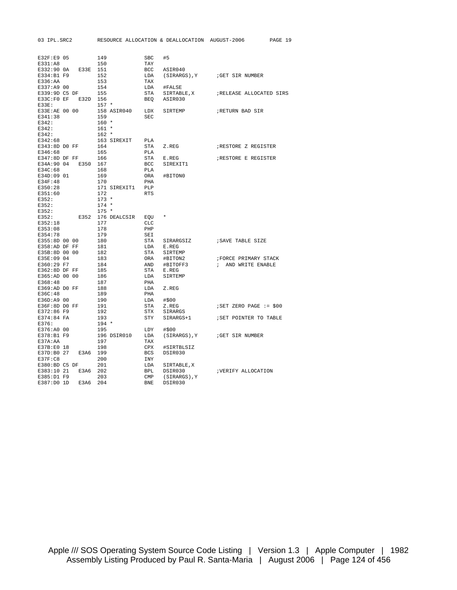| E32F:E9 05                  |      | 149        |              | SBC        | #5           |                             |
|-----------------------------|------|------------|--------------|------------|--------------|-----------------------------|
| E331:A8                     |      | 150        |              | TAY        |              |                             |
| E332:90 0A                  | E33E | 151        |              | BCC        | ASIR040      |                             |
| E334:B1 F9                  |      | 152        |              | LDA        | (SIRARGS), Y | GET SIR NUMBER              |
| E336:AA                     |      | 153        |              | TAX        |              |                             |
| E337:A9 00                  |      | 154        |              | LDA        | #FALSE       |                             |
| E339:9D C5 DF<br>E33C:FO EF | E32D | 155<br>156 |              | STA        | SIRTABLE, X  | ; RELEASE ALLOCATED SIRS    |
| <b>E33E:</b>                |      | $157 *$    |              | BEO        | ASIR030      |                             |
| E33E:AE 00 00               |      |            | 158 ASIR040  | LDX        | SIRTEMP      | ;RETURN BAD SIR             |
| E341:38                     |      | 159        |              | <b>SEC</b> |              |                             |
| E342:                       |      | $160 *$    |              |            |              |                             |
| E342:                       |      | $161 *$    |              |            |              |                             |
| E342:                       |      | $162 *$    |              |            |              |                             |
| E342:68                     |      |            | 163 SIREXIT  | <b>PLA</b> |              |                             |
| E343:8D DO FF               |      | 164        |              | STA        | Z.REG        | RESTORE Z REGISTER          |
| E346:68                     |      | 165        |              | PLA        |              |                             |
| E347:8D DF FF               |      | 166        |              | STA        | E.REG        | <b>; RESTORE E REGISTER</b> |
| E34A:90 04                  | E350 | 167        |              | BCC        | SIREXIT1     |                             |
| E34C:68                     |      | 168        |              | PLA        |              |                             |
| E34D:09 01                  |      | 169        |              | ORA        | #BITON0      |                             |
| E34F:48                     |      | 170        |              | PHA        |              |                             |
| E350:28                     |      |            | 171 SIREXIT1 | PLP        |              |                             |
| E351:60                     |      | 172        |              | <b>RTS</b> |              |                             |
| E352:                       |      | $173 *$    |              |            |              |                             |
| E352:                       |      | $174 *$    |              |            |              |                             |
| E352:                       |      | $175 *$    |              |            |              |                             |
| E352:                       | E352 |            | 176 DEALCSIR | EOU        |              |                             |
| E352:18                     |      | 177        |              | CLC        |              |                             |
| E353:08                     |      | 178        |              | PHP        |              |                             |
| E354:78                     |      | 179        |              | SEI        |              |                             |
| E355:8D 00 00               |      | 180        |              | <b>STA</b> | SIRARGSIZ    | SAVE TABLE SIZE             |
| E358:AD DF FF               |      | 181        |              | LDA        | E.REG        |                             |
| E35B:8D 00 00               |      | 182        |              | STA        | SIRTEMP      |                             |
| E35E:09 04                  |      | 183        |              | ORA        | #BITON2      | FORCE PRIMARY STACK         |
| E360:29 F7                  |      | 184        |              | AND        | #BITOFF3     | ; AND WRITE ENABLE          |
| E362:8D DF FF               |      | 185        |              | STA        | E.REG        |                             |
| E365:AD 00 00               |      | 186        |              | LDA        | SIRTEMP      |                             |
| E368:48                     |      | 187        |              | PHA        |              |                             |
| E369:AD D0 FF               |      | 188        |              | LDA        | Z.REG        |                             |
| E36C:48                     |      | 189        |              | PHA        |              |                             |
| E36D:A9 00                  |      | 190        |              | LDA        | #\$00        |                             |
| $E36F:8D$ DO FF             |      | 191        |              | <b>STA</b> | Z.REG        | $55ET$ ZERO PAGE $:= $00$   |
| E372:86 F9                  |      | 192        |              | STX        | SIRARGS      |                             |
| E374:84 FA                  |      | 193        |              | STY        | SIRARGS+1    | ; SET POINTER TO TABLE      |
| E376:                       |      | $194 *$    |              |            |              |                             |
| E376:A0 00                  |      | 195        |              | LDY        | #\$00        |                             |
| E378:B1 F9                  |      |            | 196 DSIR010  | LDA        | (SIRARGS), Y | GET SIR NUMBER              |
| E37A:AA                     |      | 197        |              | TAX        |              |                             |
| E37B:E0 18                  |      | 198        |              | CPX        | #SIRTBLSIZ   |                             |
| E37D:B0 27                  | E3A6 | 199        |              | <b>BCS</b> | DSIR030      |                             |
| E37F:C8                     |      | 200        |              | INY        |              |                             |
| E380:BD C5 DF               |      | 201        |              | LDA        | SIRTABLE, X  |                             |
| E383:10 21                  | E3A6 | 202        |              | <b>BPL</b> | DSIR030      | ; VERIFY ALLOCATION         |
| E385:D1 F9                  |      | 203        |              | <b>CMP</b> | (SIRARGS), Y |                             |
| E387:D0 1D                  | E3A6 | 204        |              | <b>BNE</b> | DSIR030      |                             |

03 IPL.SRC2 RESOURCE ALLOCATION & DEALLOCATION AUGUST-2006 PAGE 19

Apple /// SOS Operating System Source Code Listing | Version 1.3 | Apple Computer | 1982 Assembly Listing Produced by Paul R. Santa-Maria | August 2006 | Page 124 of 456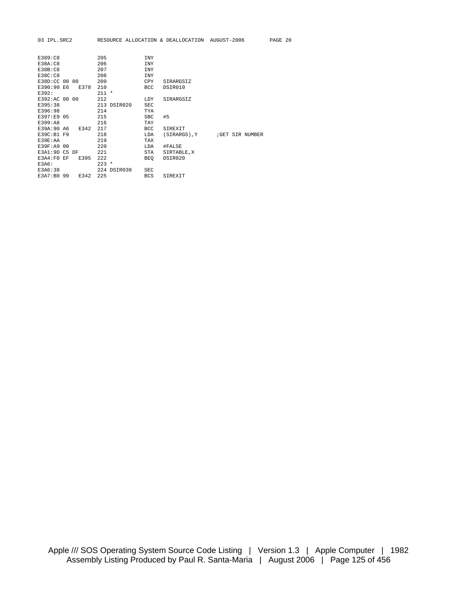| 03 IPL.SRC2 |  | RESOURCE ALLOCATION & DEALLOCATION AUGUST-2006 | PAGE 20 |  |
|-------------|--|------------------------------------------------|---------|--|
|             |  |                                                |         |  |

| E389:C8<br>E38A:CB<br>E38B:CB<br>E38C:C8 |      | 205<br>206<br>207<br>208 |             | <b>INY</b><br><b>INY</b><br><b>INY</b><br><b>INY</b> |             |  |                |
|------------------------------------------|------|--------------------------|-------------|------------------------------------------------------|-------------|--|----------------|
| E38D:CC 00 00                            |      | 209                      |             | CPY                                                  | SIRARGSIZ   |  |                |
| E390:90 E6                               | E378 | 210                      |             | <b>BCC</b>                                           | DSIR010     |  |                |
| E392:                                    |      | $211 *$                  |             |                                                      |             |  |                |
| E392:AC 00 00                            |      | 212                      |             | LDY                                                  | SIRARGSIZ   |  |                |
| E395:38                                  |      |                          | 213 DSIR020 | <b>SEC</b>                                           |             |  |                |
| E396:98                                  |      | 214                      |             | TYA                                                  |             |  |                |
| E397:E9 05                               |      | 215                      |             | <b>SBC</b>                                           | #5          |  |                |
| E399:A8                                  |      | 216                      |             | TAY                                                  |             |  |                |
| E39A:90 A6                               | E342 | 217                      |             | <b>BCC</b>                                           | SIREXIT     |  |                |
| E39C:B1 F9                               |      | 218                      |             | LDA                                                  | (SIRARGS).Y |  | GET SIR NUMBER |
| E39E:AA                                  |      | 219                      |             | TAX                                                  |             |  |                |
| E39F:A9 00                               |      | 220                      |             | LDA                                                  | #FALSE      |  |                |
| E3A1:9D C5 DF                            |      | 221                      |             | STA                                                  | SIRTABLE, X |  |                |
| F3A4:FO F                                | E395 | 222                      |             | BEO                                                  | DSIR020     |  |                |
| E3A6:                                    |      | $223 *$                  |             |                                                      |             |  |                |
| E3A6:38                                  |      |                          | 224 DSIR030 | <b>SEC</b>                                           |             |  |                |
| E3A7:B0 99                               | E342 | 225                      |             | <b>BCS</b>                                           | SIREXIT     |  |                |
|                                          |      |                          |             |                                                      |             |  |                |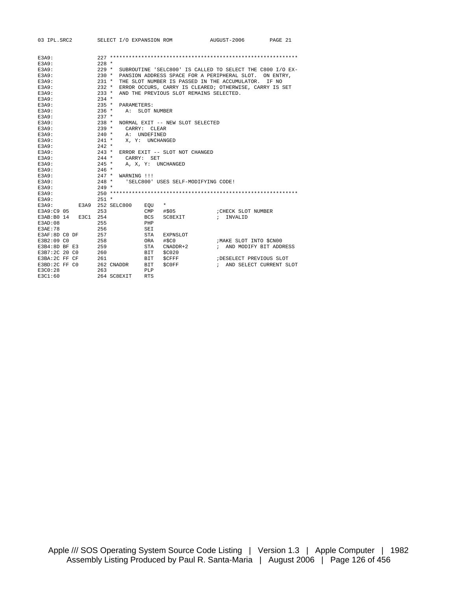| 03 IPL.SRC2         |  |          | SELECT I/O EXPANSION ROM |                 |                                                           | AUGUST-2006               | PAGE 21 |
|---------------------|--|----------|--------------------------|-----------------|-----------------------------------------------------------|---------------------------|---------|
|                     |  |          |                          |                 |                                                           |                           |         |
| E3A9:               |  |          |                          |                 |                                                           |                           |         |
| E3A9:               |  | $2.28$ * |                          |                 |                                                           |                           |         |
| E3A9:               |  | $229 *$  |                          |                 | SUBROUTINE 'SELC800' IS CALLED TO SELECT THE C800 I/O EX- |                           |         |
| E3A9:               |  | $230 *$  |                          |                 | PANSION ADDRESS SPACE FOR A PERIPHERAL SLOT. ON ENTRY,    |                           |         |
| E3A9:               |  | $231 *$  |                          |                 | THE SLOT NUMBER IS PASSED IN THE ACCUMULATOR.             |                           | IF NO   |
| E3A9:               |  | $232 *$  |                          |                 | ERROR OCCURS, CARRY IS CLEARED; OTHERWISE, CARRY IS SET   |                           |         |
| E3A9:               |  | $233 *$  |                          |                 | AND THE PREVIOUS SLOT REMAINS SELECTED.                   |                           |         |
| E3A9:               |  | $234$ *  |                          |                 |                                                           |                           |         |
| E3A9:               |  | $235 *$  | PARAMETERS:              |                 |                                                           |                           |         |
| E3A9:               |  | $236 *$  |                          | A: SLOT NUMBER  |                                                           |                           |         |
| <b>E3A9:</b>        |  | $237 *$  |                          |                 |                                                           |                           |         |
| E3A9:               |  | $238 *$  |                          |                 | NORMAL EXIT -- NEW SLOT SELECTED                          |                           |         |
| E3A9:               |  | $239 *$  |                          | CARRY: CLEAR    |                                                           |                           |         |
| E3A9:               |  | $240 *$  |                          | A: UNDEFINED    |                                                           |                           |         |
| E3A9:               |  | $241 *$  |                          | X, Y: UNCHANGED |                                                           |                           |         |
| E3A9:               |  | $242 *$  |                          |                 |                                                           |                           |         |
| E3A9:               |  | $243$ *  |                          |                 | ERROR EXIT -- SLOT NOT CHANGED                            |                           |         |
| E3A9:               |  | $244$ *  | CARRY: SET               |                 |                                                           |                           |         |
| E3A9:               |  | $245$ *  |                          |                 | A, X, Y: UNCHANGED                                        |                           |         |
| E3A9:               |  | $246 *$  |                          |                 |                                                           |                           |         |
| E3A9:               |  | $247 *$  | WARNING !!!              |                 |                                                           |                           |         |
| E3A9:               |  | $248$ *  |                          |                 | 'SELC800' USES SELF-MODIFYING CODE!                       |                           |         |
| E3A9:               |  | $249 *$  |                          |                 |                                                           |                           |         |
| E3A9:               |  |          |                          |                 |                                                           |                           |         |
| E3A9:               |  | $251 *$  |                          |                 |                                                           |                           |         |
| E3A9:               |  |          | E3A9 252 SELC800         | EOU             | $\star$                                                   |                           |         |
| E3A9:C9 05          |  | 253      |                          |                 | CMP #\$05                                                 | CHECK SLOT NUMBER         |         |
| E3AB:B0 14 E3C1 254 |  |          |                          | <b>BCS</b>      | SC8EXIT                                                   | ; INVALID                 |         |
| E3AD:08             |  | 255      |                          | PHP             |                                                           |                           |         |
| E3AE:78             |  | 256      |                          | SEI             |                                                           |                           |         |
| E3AF:8D CO DF       |  | 257      |                          | <b>STA</b>      | EXPNSLOT                                                  |                           |         |
| E3B2:09 CO          |  | 258      |                          | ORA             | #\$C0                                                     | ; MAKE SLOT INTO \$CN00   |         |
| E3B4:8DBF E3        |  | 259      |                          | STA             | CNADDR+2                                                  | ; AND MODIFY BIT ADDRESS  |         |
| E3B7:2C 20 C0       |  | 260      |                          | BIT             | \$C020                                                    |                           |         |
| E3BA: 2C FF CF      |  | 261      |                          | BIT             | <b>SCFFF</b>                                              | DESELECT PREVIOUS SLOT    |         |
| E3BD:2C FF C0       |  |          | 262 CNADDR               | BIT             | SCOFF 5                                                   | ; AND SELECT CURRENT SLOT |         |
| E3C0:28             |  | 263      |                          | PLP             |                                                           |                           |         |
| E3C1:60             |  |          | 264 SC8EXIT              | <b>RTS</b>      |                                                           |                           |         |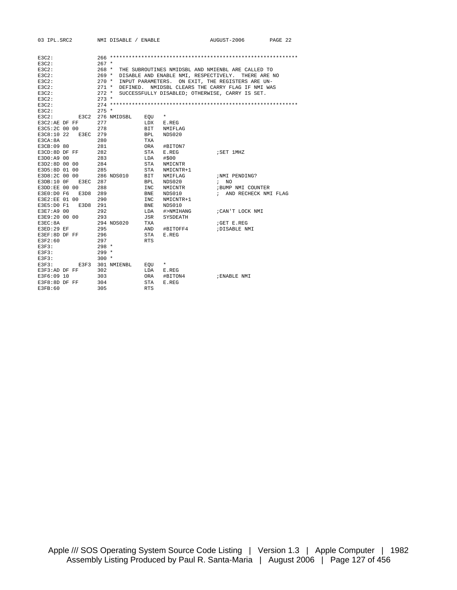| 03 IPL.SRC2   |                     | NMI DISABLE / ENABLE |                                                 | AUGUST-2006                                        | PAGE 22 |
|---------------|---------------------|----------------------|-------------------------------------------------|----------------------------------------------------|---------|
|               |                     |                      |                                                 |                                                    |         |
| $E3C2$ :      |                     |                      |                                                 |                                                    |         |
| E3C2:         | $267 *$             |                      |                                                 |                                                    |         |
| E3C2:         | $268$ *             |                      |                                                 |                                                    |         |
|               |                     |                      |                                                 | THE SUBROUTINES NMIDSBL AND NMIENBL ARE CALLED TO  |         |
| E3C2:         | $269$ *             |                      |                                                 | DISABLE AND ENABLE NMI, RESPECTIVELY. THERE ARE NO |         |
| $E3C2$ :      | $270 *$             |                      |                                                 | INPUT PARAMETERS. ON EXIT, THE REGISTERS ARE UN-   |         |
| $E3C2$ :      | $271$ *             |                      |                                                 | DEFINED. NMIDSBL CLEARS THE CARRY FLAG IF NMI WAS  |         |
| $E3C2$ :      | $272$ *             |                      | SUCCESSFULLY DISABLED; OTHERWISE, CARRY IS SET. |                                                    |         |
| $E3C2$ :      | $273$ *             |                      |                                                 |                                                    |         |
| $E3C2$ :      |                     |                      |                                                 |                                                    |         |
| $E3C2$ :      | $275 *$             |                      |                                                 |                                                    |         |
| $E3C2$ :      | 276 NMIDSBL<br>E3C2 | EOU                  | *                                               |                                                    |         |
| E3C2:AE DF FF | 277                 | LDX                  | E.REG                                           |                                                    |         |
| E3C5:2C 00 00 | 278                 | BIT                  | NMIFLAG                                         |                                                    |         |
| E3C8:10 22    | E3EC 279            | <b>BPL</b>           | NDS020                                          |                                                    |         |
| E3CA:8A       | 280                 | TXA                  |                                                 |                                                    |         |
| E3CB:09 80    | 281                 | ORA                  | #BITON7                                         |                                                    |         |
| E3CD:8D DF FF | 282                 | STA                  | E.REG                                           | ; SET 1MHZ                                         |         |
| E3D0:A9 00    | 283                 | LDA                  | #\$00                                           |                                                    |         |
| E3D2:8D 00 00 | 284                 | STA                  | NMICNTR                                         |                                                    |         |
| E3D5:8D 01 00 | 285                 | STA                  | NMICNTR+1                                       |                                                    |         |
| E3D8:2C 00 00 | 286 NDS010          | <b>BIT</b>           | NMIFLAG                                         | ;NMI PENDING?                                      |         |
| E3DB:10 OF    | E3EC 287            | <b>BPL</b>           | NDS020                                          | NO.<br>$\mathbf{r}$                                |         |
| E3DD:EE 00 00 | 288                 | <b>INC</b>           | NMICNTR                                         | ; BUMP NMI COUNTER                                 |         |
| E3E0:D0 F6    | E3D8<br>289         | BNE                  | NDS010                                          | ; AND RECHECK NMI FLAG                             |         |
| E3E2:EE 01 00 | 290                 | <b>INC</b>           | NMICNTR+1                                       |                                                    |         |
| E3E5:D0 F1    | E3D8<br>291         | BNE                  | NDS010                                          |                                                    |         |
| E3E7:A9 00    | 292                 | LDA                  | #>NMIHANG                                       | ; CAN'T LOCK NMI                                   |         |
| E3E9:20 00 00 | 293                 | JSR                  | SYSDEATH                                        |                                                    |         |
| E3EC:8A       | 294 NDS020          | TXA                  |                                                 | GET E.REG                                          |         |
| E3ED:29 EF    | 295                 | AND                  | #BITOFF4                                        | ; DISABLE NMI                                      |         |
| E3EF:8D DF FF | 296                 | STA                  | E.REG                                           |                                                    |         |
| F3F2:60       | 297                 | RTS.                 |                                                 |                                                    |         |
| E3F3:         | $298 *$             |                      |                                                 |                                                    |         |
| E3F3:         | $299*$              |                      |                                                 |                                                    |         |
| E3F3:         | $300 *$             |                      |                                                 |                                                    |         |
| E3F3:         | 301 NMIENBL         |                      | $\star$                                         |                                                    |         |
| E3F3:AD DF FF | E3F3<br>302         | EOU<br>LDA           |                                                 |                                                    |         |
|               |                     |                      | E.REG                                           |                                                    |         |
| E3F6:09 10    | 303                 | ORA                  | #BITON4                                         | ; ENABLE NMI                                       |         |
| E3F8:8D DF FF | 304                 | STA                  | E.REG                                           |                                                    |         |
| E3FB:60       | 305                 | <b>RTS</b>           |                                                 |                                                    |         |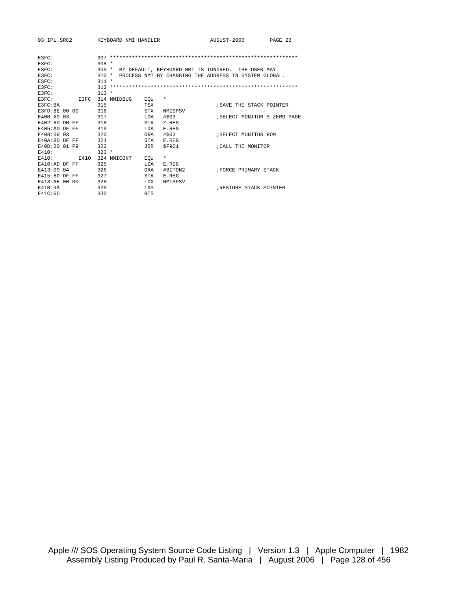| 03 TPL.SRC2    | KEYBOARD NMI HANDLER |                      | AUGUST-2006                                           | PAGE 23 |
|----------------|----------------------|----------------------|-------------------------------------------------------|---------|
| E3FC:          |                      |                      |                                                       |         |
| E3FC:          | $308 *$              |                      |                                                       |         |
| E3FC:          | $309 *$              |                      | BY DEFAULT, KEYBOARD NMI IS IGNORED. THE USER MAY     |         |
| F.3FC:         | $310 *$              |                      | PROCESS NMI BY CHANGING THE ADDRESS IN SYSTEM GLOBAL. |         |
| E3FC:          | $311 *$              |                      |                                                       |         |
| E3FC:          |                      |                      |                                                       |         |
| E3FC:          | $313 *$              |                      |                                                       |         |
| E3FC:<br>E3FC  | 314 NMIDBUG          | $^\star$<br>EOU      |                                                       |         |
| E3FC:BA        | 315                  | TSX                  | ; SAVE THE STACK POINTER                              |         |
| E3FD:8E 00 00  | 316                  | STX<br>NMISPSV       |                                                       |         |
| E400:A9 03     | 317                  | #\$03<br>LDA         | ; SELECT MONITOR'S ZERO PAGE                          |         |
| E402:8D D0 FF  | 318                  | STA<br>Z.REG         |                                                       |         |
| $F405:ADDF$ FF | 319                  | <b>T.DA</b><br>E.REG |                                                       |         |
| E408:09 03     | 320                  | #503<br>ORA          | ; SELECT MONITOR ROM                                  |         |
| E40A:8D DF FF  | 321                  | STA<br>E.REG         |                                                       |         |
| E40D:20 01 F9  | 322                  | <b>SF901</b><br>JSR  | :CALL THE MONITOR                                     |         |
| E410:          | $323 *$              |                      |                                                       |         |
| E410:<br>E410  | 324 NMICONT          | $\star$<br>EOU       |                                                       |         |
| $E410:ADDF$ FF | 325                  | LDA<br>E.REG         |                                                       |         |
| E413:09 04     | 326                  | #BITON2<br>ORA       | FORCE PRIMARY STACK                                   |         |
| $F415:8DDF$ FF | 327                  | STA<br>E.REG         |                                                       |         |
| E418:AE 00 00  | 328                  | LDX<br>NMISPSV       |                                                       |         |
| F41B:9A        | 329                  | <b>TXS</b>           | <b>IRESTORE STACK POINTER</b>                         |         |
| F41C:60        | 330                  | <b>RTS</b>           |                                                       |         |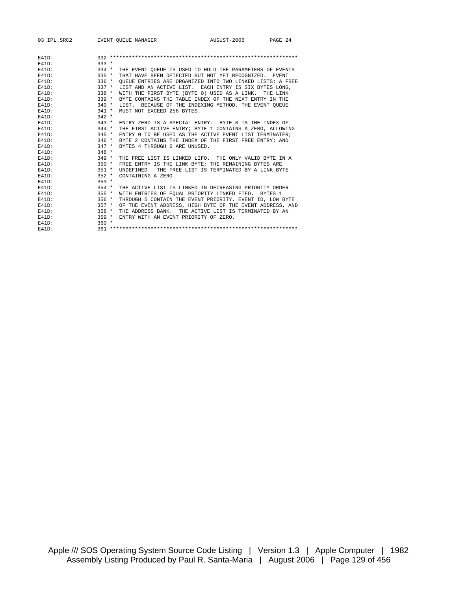| 03 IPL.SRC2 EVENT OUEUE MANAGER |         |                                                           | AUGUST-2006 PAGE 24 |  |
|---------------------------------|---------|-----------------------------------------------------------|---------------------|--|
| $F41D$ :                        |         |                                                           |                     |  |
| $E41D$ :                        | $333 *$ |                                                           |                     |  |
| $E41D$ :                        | $334 *$ | THE EVENT OUEUE IS USED TO HOLD THE PARAMETERS OF EVENTS  |                     |  |
| $E41D$ :                        | $335 *$ | THAT HAVE BEEN DETECTED BUT NOT YET RECOGNIZED. EVENT     |                     |  |
| $E41D$ :                        | $336 *$ | OUEUE ENTRIES ARE ORGANIZED INTO TWO LINKED LISTS; A FREE |                     |  |
| $F41D$ :                        | $337 *$ | LIST AND AN ACTIVE LIST. EACH ENTRY IS SIX BYTES LONG.    |                     |  |
| $338 *$<br>$F41D$ :             |         | WITH THE FIRST BYTE (BYTE 0) USED AS A LINK. THE LINK     |                     |  |
| $F41D$ :                        | $339 *$ | BYTE CONTAINS THE TABLE INDEX OF THE NEXT ENTRY IN THE    |                     |  |
| $E41D$ :                        | $340 *$ | LIST. BECAUSE OF THE INDEXING METHOD, THE EVENT OUEUE     |                     |  |
| $F41D$ :                        | $341 *$ | MUST NOT EXCEED 256 BYTES.                                |                     |  |
| $F41D$ :                        | $342 *$ |                                                           |                     |  |
| $E41D$ :                        | $343 *$ | ENTRY ZERO IS A SPECIAL ENTRY. BYTE 0 IS THE INDEX OF     |                     |  |
| $E41D$ :                        | $344 *$ | THE FIRST ACTIVE ENTRY; BYTE 1 CONTAINS A ZERO, ALLOWING  |                     |  |
| $F41D$ :                        | $345 *$ | ENTRY 0 TO BE USED AS THE ACTIVE EVENT LIST TERMINATER;   |                     |  |
| $E41D$ :<br>$346 *$             |         | BYTE 2 CONTAINS THE INDEX OF THE FIRST FREE ENTRY; AND    |                     |  |
| $E41D$ :                        | $347 *$ | BYTES 4 THROUGH 6 ARE UNUSED.                             |                     |  |
| $E41D$ :                        | $348 *$ |                                                           |                     |  |
| $F41D$ :                        | $349 *$ | THE FREE LIST IS LINKED LIFO. THE ONLY VALID BYTE IN A    |                     |  |
| $F41D$ :                        | $350 *$ | FREE ENTRY IS THE LINK BYTE; THE REMAINING BYTES ARE      |                     |  |
| $E41D$ :                        | $351 *$ | UNDEFINED. THE FREE LIST IS TERMINATED BY A LINK BYTE     |                     |  |
| $F41D$ :                        | $352 *$ | CONTAINING A ZERO.                                        |                     |  |
| $F41D$ :                        | $353 *$ |                                                           |                     |  |
| $E41D$ :                        | $354 *$ | THE ACTIVE LIST IS LINKED IN DECREASING PRIORITY ORDER    |                     |  |
| $F41D$ :<br>$355*$              |         | WITH ENTRIES OF EQUAL PRIORITY LINKED FIFO. BYTES 1       |                     |  |
| $F41D$ :                        | $356 *$ | THROUGH 5 CONTAIN THE EVENT PRIORITY, EVENT ID, LOW BYTE  |                     |  |
| $E41D$ :                        | $357 *$ | OF THE EVENT ADDRESS, HIGH BYTE OF THE EVENT ADDRESS, AND |                     |  |
| $E41D$ :                        | 358 *   | THE ADDRESS BANK. THE ACTIVE LIST IS TERMINATED BY AN     |                     |  |
| $E41D$ :                        | $359 *$ | ENTRY WITH AN EVENT PRIORITY OF ZERO.                     |                     |  |
| $E41D$ :                        | $360 *$ |                                                           |                     |  |
| $F41D$ :                        |         |                                                           |                     |  |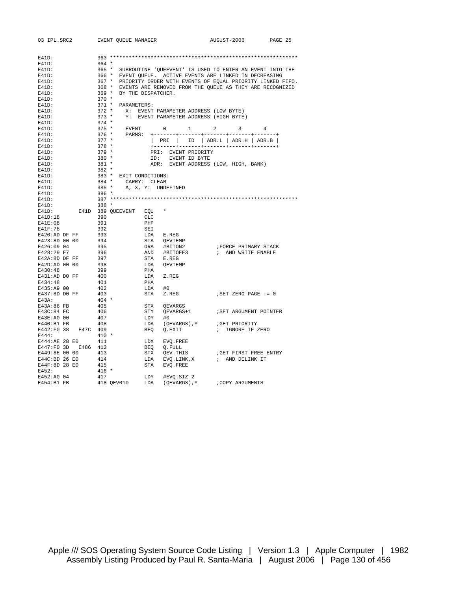| 03 IPL.SRC2 EVENT QUEUE MANAGER   |                |                          |                  |                                                                                                                                                                           | AUGUST-2006 PAGE 25  |  |
|-----------------------------------|----------------|--------------------------|------------------|---------------------------------------------------------------------------------------------------------------------------------------------------------------------------|----------------------|--|
|                                   |                |                          |                  |                                                                                                                                                                           |                      |  |
| E41D:                             |                |                          |                  |                                                                                                                                                                           |                      |  |
| $E41D$ :                          | $364$ *        |                          |                  |                                                                                                                                                                           |                      |  |
| $E41D$ :                          |                |                          |                  | 365 * SUBROUTINE 'QUEEVENT' IS USED TO ENTER AN EVENT INTO THE                                                                                                            |                      |  |
| $E41D$ :                          |                |                          |                  | 366 * EVENT QUEUE. ACTIVE EVENTS ARE LINKED IN DECREASING                                                                                                                 |                      |  |
| E41D:                             |                |                          |                  | 367 * PRIORITY ORDER WITH EVENTS OF EQUAL PRIORITY LINKED FIFO.                                                                                                           |                      |  |
| $E41D$ :                          |                |                          |                  | 368 * EVENTS ARE REMOVED FROM THE QUEUE AS THEY ARE RECOGNIZED                                                                                                            |                      |  |
| $E41D$ :                          |                | 369 * BY THE DISPATCHER. |                  |                                                                                                                                                                           |                      |  |
| $E41D$ :                          | $370 *$        |                          |                  |                                                                                                                                                                           |                      |  |
| $E41D$ :                          |                | 371 * PARAMETERS:        |                  |                                                                                                                                                                           |                      |  |
| $E41D$ :                          |                |                          |                  | 372 * X: EVENT PARAMETER ADDRESS (LOW BYTE)<br>373 * Y: EVENT PARAMETER ADDRESS (HIGH BYTE)                                                                               |                      |  |
| $E41D$ :                          |                |                          |                  |                                                                                                                                                                           |                      |  |
| E41D:                             | $374$ *        |                          |                  |                                                                                                                                                                           |                      |  |
| $E41D$ :                          |                |                          |                  |                                                                                                                                                                           |                      |  |
| $E41D$ :                          |                |                          |                  | $\begin{tabular}{ccccc} 375 & * & & \text{EVENT} & 0 & 1 & 2 & 3 & 4 \\ 376 & * & & \text{PARMS:} & +-----++-----++-----++-----++----++----++----++------+ \end{tabular}$ |                      |  |
| $E41D$ :                          | $377 *$        |                          |                  | PRI   ID   ADR.L   ADR.H   ADR.B                                                                                                                                          |                      |  |
| $E41D$ :                          | $378 *$        |                          |                  |                                                                                                                                                                           |                      |  |
| $E41D$ :                          | $379$ *        |                          |                  | PRI: EVENT PRIORITY                                                                                                                                                       |                      |  |
| E41D:                             | $380 *$        |                          |                  | ID: EVENT ID BYTE                                                                                                                                                         |                      |  |
| $E41D$ :                          | 381 *          |                          |                  | ADR: EVENT ADDRESS (LOW, HIGH, BANK)                                                                                                                                      |                      |  |
| $E41D$ :                          | $382 *$        |                          |                  |                                                                                                                                                                           |                      |  |
| $E41D$ :                          |                | 383 * EXIT CONDITIONS:   |                  |                                                                                                                                                                           |                      |  |
| $E41D$ :                          |                | 384 * $CARRY: CLEAR$     |                  |                                                                                                                                                                           |                      |  |
| $E41D$ :                          | $385$ *        |                          |                  | A, X, Y: UNDEFINED                                                                                                                                                        |                      |  |
| $E41D$ :                          | $386 *$        |                          |                  |                                                                                                                                                                           |                      |  |
| $E41D$ :                          |                |                          |                  |                                                                                                                                                                           |                      |  |
| $E41D$ :                          | $388*$         |                          |                  |                                                                                                                                                                           |                      |  |
| $E41D$ :                          |                | E41D 389 QUEEVENT EQU *  |                  |                                                                                                                                                                           |                      |  |
| E41D:18                           | 390            |                          | CLC              |                                                                                                                                                                           |                      |  |
| E41E:08                           | 391            |                          | PHP              |                                                                                                                                                                           |                      |  |
| E41F:78                           | 392            |                          | SEI              |                                                                                                                                                                           |                      |  |
| E420:AD DF FF                     | 393            |                          | LDA E.REG        |                                                                                                                                                                           |                      |  |
| E423:8D 00 00                     |                |                          |                  |                                                                                                                                                                           |                      |  |
| E426:09 04                        | 394<br>395     |                          |                  |                                                                                                                                                                           | FORCE PRIMARY STACK  |  |
| E428:29 F7                        | 396            |                          |                  |                                                                                                                                                                           | ; AND WRITE ENABLE   |  |
|                                   |                |                          |                  |                                                                                                                                                                           |                      |  |
|                                   |                |                          |                  | TA QEVTEMP<br>ORA #BITON2<br>AND #BITOFF3<br>STA E.REG<br>LDA QEVTEMP                                                                                                     |                      |  |
|                                   |                |                          | PHA              |                                                                                                                                                                           |                      |  |
| E431:AD DO FF 400                 |                |                          |                  |                                                                                                                                                                           |                      |  |
|                                   | 401            |                          | LDA Z.REG<br>PHA |                                                                                                                                                                           |                      |  |
| E434:48                           |                |                          |                  |                                                                                                                                                                           |                      |  |
| E435:A9 00<br>$E437:8D$ DO FF 403 | 402            |                          | $LDA$ #0         |                                                                                                                                                                           |                      |  |
|                                   |                |                          |                  | STA Z.REG                                                                                                                                                                 | ; SET ZERO PAGE := 0 |  |
| E43A:                             | 404 *          |                          |                  |                                                                                                                                                                           |                      |  |
| E43A:86 FB                        | 405            |                          |                  | STX QEVARGS                                                                                                                                                               |                      |  |
| E43C:84 FC                        | 406            |                          |                  |                                                                                                                                                                           |                      |  |
| E43E:A0 00                        | 407            |                          | LDY              | #0                                                                                                                                                                        |                      |  |
| E440:B1 FB                        | 408            |                          |                  | LDA (QEVARGS), Y : GET PRIORITY<br>BEQ Q.EXIT : IGNORE IF Z                                                                                                               |                      |  |
| E442:F0 38 E47C 409               |                |                          |                  |                                                                                                                                                                           | ; IGNORE IF ZERO     |  |
| E444:                             | $410 *$        |                          |                  |                                                                                                                                                                           |                      |  |
| E444:AE 28 E0 411                 |                |                          |                  | LDX EVQ.FREE                                                                                                                                                              |                      |  |
| E447:F0 3D E486 412               |                |                          |                  | BEQ Q.FULL                                                                                                                                                                |                      |  |
| E449:8E 00 00 413                 |                |                          |                  | STX QEV.THIS                                                                                                                                                              | GET FIRST FREE ENTRY |  |
| $E44C$ :BD 26 E0                  | $414$<br>$415$ |                          |                  | LDA EVQ.LINK, X : AND DELINK IT                                                                                                                                           |                      |  |
| E44F:8D 28 E0                     |                |                          |                  | STA EVO.FREE                                                                                                                                                              |                      |  |
| E452:                             | $416$ *        |                          |                  |                                                                                                                                                                           |                      |  |
| E452:A0 04                        | 417            |                          |                  |                                                                                                                                                                           |                      |  |
| E454:B1 FB                        |                |                          |                  | (QEVARGS), Y                                                                                                                                                              | ; COPY ARGUMENTS     |  |

Apple /// SOS Operating System Source Code Listing | Version 1.3 | Apple Computer | 1982 Assembly Listing Produced by Paul R. Santa-Maria | August 2006 | Page 130 of 456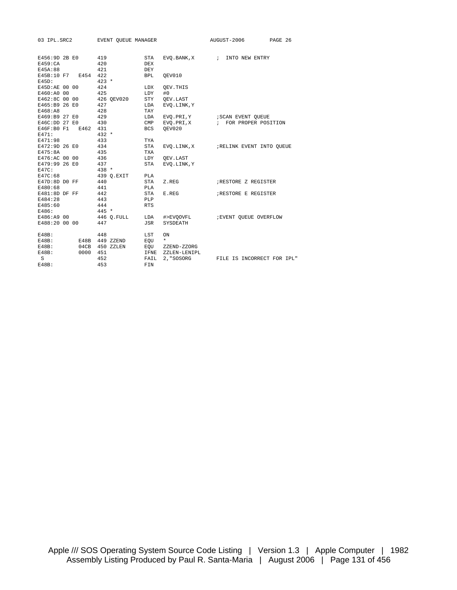| 03 IPL.SRC2         | EVENT OUEUE MANAGER            |              |                   | AUGUST-2006                           | PAGE 26 |
|---------------------|--------------------------------|--------------|-------------------|---------------------------------------|---------|
|                     |                                |              |                   |                                       |         |
| E456:9D 2B E0 419   |                                | STA          |                   | EVO.BANK, X ; INTO NEW ENTRY          |         |
| E459:CA             | 420                            | DEX          |                   |                                       |         |
| E45A:88             | 421                            | DEY          |                   |                                       |         |
| E45B:10 F7 E454 422 |                                | <b>BPL</b>   | OEV010            |                                       |         |
| $E45D$ :            | $423 *$                        |              |                   |                                       |         |
| E45D:AE 00 00       | 424                            | LDX          | OEV. THIS         |                                       |         |
| E460:A0 00          | 425                            | LDY          | #0                |                                       |         |
| E462:8C 00 00       | 426 OEV020                     | STY          | OEV.LAST          |                                       |         |
| E465:B9 26 E0       | 427                            | LDA          | EVO.LINK, Y       |                                       |         |
| E468:A8             | 428                            | TAY          |                   |                                       |         |
| E469:B9 27 E0       | 429                            | LDA          | EVO.PRI,Y         | SCAN EVENT QUEUE                      |         |
| E46C:DD 27 E0       | 430                            | $\text{CMP}$ | EVQ.PRI,X         | ; FOR PROPER POSITION                 |         |
| E46F:B0 F1 E462 431 |                                | BCS          | OEV020            |                                       |         |
| E471:               | $432 *$                        |              |                   |                                       |         |
| E471:98             | 433                            | TYA          |                   |                                       |         |
| E472:9D 26 E0 434   |                                | STA          |                   | EVQ.LINK, X ; RELINK EVENT INTO QUEUE |         |
| E475:8A             | 435                            | TXA          |                   |                                       |         |
| E476:AC 00 00 436   |                                |              | LDY OEV.LAST      |                                       |         |
| E479:99 26 E0       | 437                            | STA          | EVO.LINK, Y       |                                       |         |
| $E47C$ :            | $438 *$                        |              |                   |                                       |         |
| E47C:68             | 439 Q.EXIT                     | PLA          |                   |                                       |         |
| E47D:8D DO FF       | 440                            | STA          | Z.REG             | RESTORE Z REGISTER                    |         |
| E480:68             | 441                            | PLA          |                   |                                       |         |
| $E481:8D$ DF FF     | 442                            | STA          | E.REG             | <b>; RESTORE E REGISTER</b>           |         |
| E484:28             | 443                            | PLP          |                   |                                       |         |
| E485:60             | 444                            | <b>RTS</b>   |                   |                                       |         |
| E486:               | $445 *$                        |              |                   |                                       |         |
| E486:A9 00          | 446 Q.FULL LDA                 |              |                   | #>EVOOVFL : EVENT OUEUE OVERFLOW      |         |
| E488:20 00 00       | 447                            | JSR          | SYSDEATH          |                                       |         |
| $E48B$ :            | 448                            | LST          | ON                |                                       |         |
| $E48B$ :            | E48B 449 ZZEND EQU *           |              |                   |                                       |         |
| $E48B$ :            | 04CB 450 ZZLEN EQU ZZEND-ZZORG |              |                   |                                       |         |
| $E48B$ :            | 0000 451                       |              | IFNE ZZLEN-LENIPL |                                       |         |
| S                   | 452                            | FAIL         | 2, "SOSORG        | FILE IS INCORRECT FOR IPL"            |         |
| $E48B$ :            | 453                            | FIN          |                   |                                       |         |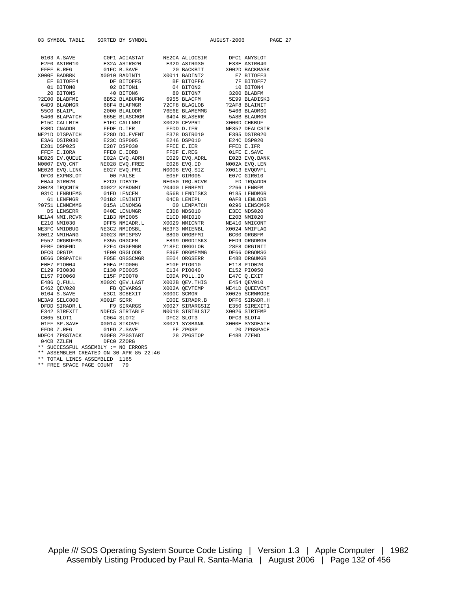| 03 SYMBOL TABLE                |                                                                                                                                                                                                                                                                                                                                                                                                                                               | SORTED BY SYMBOL             |                                         | AUGUST-2006                                              |                | PAGE 27 |  |
|--------------------------------|-----------------------------------------------------------------------------------------------------------------------------------------------------------------------------------------------------------------------------------------------------------------------------------------------------------------------------------------------------------------------------------------------------------------------------------------------|------------------------------|-----------------------------------------|----------------------------------------------------------|----------------|---------|--|
|                                |                                                                                                                                                                                                                                                                                                                                                                                                                                               |                              |                                         |                                                          |                |         |  |
|                                |                                                                                                                                                                                                                                                                                                                                                                                                                                               |                              |                                         |                                                          |                |         |  |
| 0103 A.SAVE                    |                                                                                                                                                                                                                                                                                                                                                                                                                                               | COF1 ACIASTAT                | NE2CA ALLOCSIR                          |                                                          | DFC1 ANYSLOT   |         |  |
| E2F0 ASIR010                   |                                                                                                                                                                                                                                                                                                                                                                                                                                               | E32A ASIR020                 | E32D ASIR030                            |                                                          | E33E ASIR040   |         |  |
| FFEF B.REG                     |                                                                                                                                                                                                                                                                                                                                                                                                                                               | 01FC B.SAVE<br>X0010 BADINT1 | 20 BACKBIT                              |                                                          | X002D BACKMASK |         |  |
| X000F BADBRK                   |                                                                                                                                                                                                                                                                                                                                                                                                                                               |                              | X0011 BADINT2                           |                                                          | F7 BITOFF3     |         |  |
|                                |                                                                                                                                                                                                                                                                                                                                                                                                                                               |                              |                                         |                                                          |                |         |  |
|                                |                                                                                                                                                                                                                                                                                                                                                                                                                                               |                              |                                         |                                                          |                |         |  |
|                                |                                                                                                                                                                                                                                                                                                                                                                                                                                               |                              |                                         |                                                          |                |         |  |
|                                |                                                                                                                                                                                                                                                                                                                                                                                                                                               |                              |                                         |                                                          |                |         |  |
|                                |                                                                                                                                                                                                                                                                                                                                                                                                                                               |                              |                                         |                                                          |                |         |  |
|                                |                                                                                                                                                                                                                                                                                                                                                                                                                                               |                              |                                         |                                                          |                |         |  |
|                                |                                                                                                                                                                                                                                                                                                                                                                                                                                               |                              |                                         |                                                          |                |         |  |
|                                |                                                                                                                                                                                                                                                                                                                                                                                                                                               |                              |                                         |                                                          |                |         |  |
|                                |                                                                                                                                                                                                                                                                                                                                                                                                                                               |                              |                                         |                                                          |                |         |  |
|                                |                                                                                                                                                                                                                                                                                                                                                                                                                                               |                              |                                         |                                                          |                |         |  |
|                                |                                                                                                                                                                                                                                                                                                                                                                                                                                               |                              |                                         |                                                          |                |         |  |
|                                |                                                                                                                                                                                                                                                                                                                                                                                                                                               |                              |                                         |                                                          |                |         |  |
|                                |                                                                                                                                                                                                                                                                                                                                                                                                                                               |                              |                                         |                                                          |                |         |  |
|                                |                                                                                                                                                                                                                                                                                                                                                                                                                                               |                              |                                         |                                                          |                |         |  |
|                                |                                                                                                                                                                                                                                                                                                                                                                                                                                               |                              |                                         |                                                          |                |         |  |
|                                |                                                                                                                                                                                                                                                                                                                                                                                                                                               |                              |                                         |                                                          |                |         |  |
|                                |                                                                                                                                                                                                                                                                                                                                                                                                                                               |                              |                                         |                                                          |                |         |  |
|                                |                                                                                                                                                                                                                                                                                                                                                                                                                                               |                              |                                         |                                                          |                |         |  |
|                                |                                                                                                                                                                                                                                                                                                                                                                                                                                               |                              |                                         |                                                          |                |         |  |
|                                | $\begin{tabular}{l c c c c c} \multicolumn{1}{c}{\textbf{NEO26}} & $\mathtt{RVQ}$. \multicolumn{1}{c}{\textbf{NEO26}} & $\mathtt{RVQ}$. \multicolumn{1}{c}{\textbf{NEO26}} & $\mathtt{RVQ}$. \multicolumn{1}{c}{\textbf{NEO26}} & $\mathtt{RVQ}$. \multicolumn{1}{c}{\textbf{NEO26}} & $\mathtt{EVQ}$. \multicolumn{1}{c}{\textbf{NEO26}} & $\mathtt{EVQ}$. \multicolumn{1}{c}{\textbf{NEO26}} & $\mathtt{EVQ}$. \multicolumn{1}{c}{\textbf{$ |                              |                                         |                                                          |                |         |  |
| 61 LENFMGR<br>?0751 LENMEMMG   |                                                                                                                                                                                                                                                                                                                                                                                                                                               |                              |                                         |                                                          |                |         |  |
|                                |                                                                                                                                                                                                                                                                                                                                                                                                                                               |                              |                                         |                                                          |                |         |  |
| D5 LENSERR                     |                                                                                                                                                                                                                                                                                                                                                                                                                                               | 040E LENUMGR<br>E1B3 NMI005  | E3D8 NDS010                             |                                                          | E3EC NDS020    |         |  |
| NE1A4 NMI.RCVR                 |                                                                                                                                                                                                                                                                                                                                                                                                                                               |                              | E1CD NMI010                             | E20B NMI020                                              |                |         |  |
| E210 NMI030                    |                                                                                                                                                                                                                                                                                                                                                                                                                                               | DFF5 NMIADR.L                | X0029 NMICNTR                           |                                                          | NE410 NMICONT  |         |  |
| NE3FC NMIDBUG<br>X0012 NMIHANG |                                                                                                                                                                                                                                                                                                                                                                                                                                               | NE3C2 NMIDSBL                | NE3F3 NMIENBL<br>B800 ORGBFMI           | X0024 NMIFLAG<br>BC00 ORGBFM                             |                |         |  |
|                                |                                                                                                                                                                                                                                                                                                                                                                                                                                               | X0023 NMISPSV                |                                         |                                                          |                |         |  |
|                                |                                                                                                                                                                                                                                                                                                                                                                                                                                               |                              |                                         |                                                          |                |         |  |
| F552 ORGBUFMG<br>FFBF ORGEND   |                                                                                                                                                                                                                                                                                                                                                                                                                                               | F355 ORGCFM<br>F2F4 ORGFMGR  |                                         | E899 ORGDISK3 EED9 ORGDMGR<br>?18FC ORGGLOB 28F8 ORGINIT |                |         |  |
| DFC0 ORGIPL                    |                                                                                                                                                                                                                                                                                                                                                                                                                                               | 1E00 ORGLODR                 | F86E ORGMEMMG                           |                                                          | DE66 ORGOMSG   |         |  |
|                                |                                                                                                                                                                                                                                                                                                                                                                                                                                               |                              |                                         |                                                          |                |         |  |
|                                |                                                                                                                                                                                                                                                                                                                                                                                                                                               |                              |                                         |                                                          |                |         |  |
|                                |                                                                                                                                                                                                                                                                                                                                                                                                                                               |                              |                                         |                                                          |                |         |  |
|                                |                                                                                                                                                                                                                                                                                                                                                                                                                                               |                              |                                         |                                                          |                |         |  |
|                                |                                                                                                                                                                                                                                                                                                                                                                                                                                               |                              |                                         |                                                          |                |         |  |
|                                |                                                                                                                                                                                                                                                                                                                                                                                                                                               |                              |                                         |                                                          |                |         |  |
|                                |                                                                                                                                                                                                                                                                                                                                                                                                                                               |                              |                                         |                                                          |                |         |  |
|                                |                                                                                                                                                                                                                                                                                                                                                                                                                                               |                              |                                         |                                                          |                |         |  |
|                                |                                                                                                                                                                                                                                                                                                                                                                                                                                               |                              |                                         |                                                          |                |         |  |
|                                |                                                                                                                                                                                                                                                                                                                                                                                                                                               |                              |                                         |                                                          |                |         |  |
|                                |                                                                                                                                                                                                                                                                                                                                                                                                                                               |                              |                                         |                                                          |                |         |  |
| 01FF SP.SAVE                   |                                                                                                                                                                                                                                                                                                                                                                                                                                               | X0014 STKOVFL<br>01FD Z.SAVE | X0021 SYSBANK<br>FF ZPGSP<br>28 ZPGSTOP |                                                          | X000E SYSDEATH |         |  |
| FFD0 Z.REG                     |                                                                                                                                                                                                                                                                                                                                                                                                                                               |                              |                                         |                                                          | 20 ZPGSPACE    |         |  |
| NDFC4 ZPGSTACK                 |                                                                                                                                                                                                                                                                                                                                                                                                                                               | NOOF8 ZPGSTART               |                                         | E48B ZZEND                                               |                |         |  |
| 04CB ZZLEN                     |                                                                                                                                                                                                                                                                                                                                                                                                                                               | DFC0 ZZORG                   |                                         |                                                          |                |         |  |
|                                | ** SUCCESSFUL ASSEMBLY := NO ERRORS                                                                                                                                                                                                                                                                                                                                                                                                           |                              |                                         |                                                          |                |         |  |

\*\* SUCCESSFUL ASSEMBLY := NO ERRORS \*\* ASSEMBLER CREATED ON 30-APR-85 22:46

\*\* TOTAL LINES ASSEMBLED 1165

\*\* FREE SPACE PAGE COUNT 79

Apple /// SOS Operating System Source Code Listing | Version 1.3 | Apple Computer | 1982 Assembly Listing Produced by Paul R. Santa-Maria | August 2006 | Page 132 of 456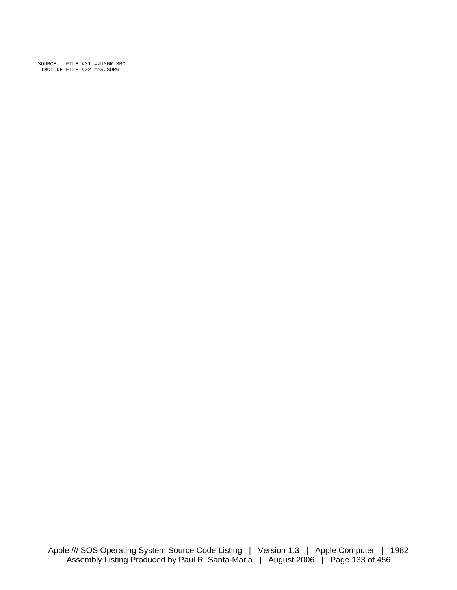SOURCE FILE #01 =>UMGR.SRC INCLUDE FILE #02 =>SOSORG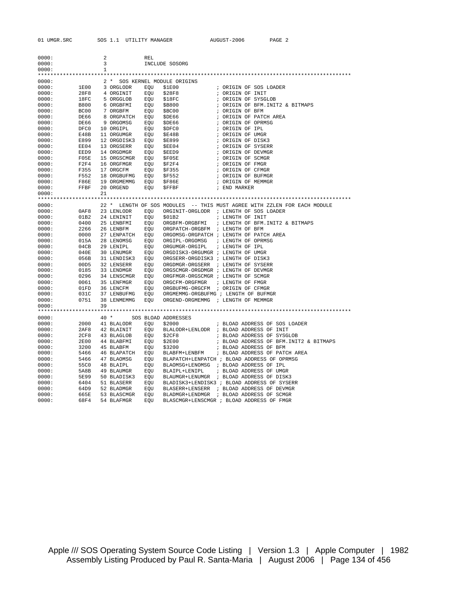| 0000: |      | 2  |                                                  | REL |                                                    |                                                                          |
|-------|------|----|--------------------------------------------------|-----|----------------------------------------------------|--------------------------------------------------------------------------|
| 0000: |      | 3  |                                                  |     | INCLUDE SOSORG                                     |                                                                          |
| 0000: |      | 1  |                                                  |     |                                                    |                                                                          |
|       |      |    |                                                  |     |                                                    |                                                                          |
| 0000: |      |    |                                                  |     | 2 * SOS KERNEL MODULE ORIGINS                      |                                                                          |
| 0000: |      |    | 1E00 3 ORGLODR                                   | EOU | \$1E00                                             | ; ORIGIN OF SOS LOADER                                                   |
| 0000: | 28F8 |    | 4 ORGINIT                                        | EQU | \$28F8                                             | ; ORIGIN OF INIT                                                         |
| 0000: | 18FC |    | 5 ORGGLOB                                        |     | EQU \$18FC                                         | ; ORIGIN OF SYSGLOB                                                      |
| 0000: | B800 |    | 6 ORGBFMI                                        |     | EOU \$B800                                         | ; ORIGIN OF BFM. INIT2 & BITMAPS                                         |
| 0000: | BC00 |    | 7 ORGBFM                                         |     | EQU \$BC00                                         | ; ORIGIN OF BFM                                                          |
| 0000: | DE66 |    | 8 ORGPATCH EQU                                   |     | SDE66                                              | ; ORIGIN OF PATCH AREA                                                   |
| 0000: | DE66 |    | 9 ORGOMSG                                        |     | EQU \$DE66                                         | ; ORIGIN OF OPRMSG                                                       |
| 0000: | DFC0 |    | 10 ORGIPL                                        |     | EQU \$DFC0                                         | ; ORIGIN OF IPL                                                          |
| 0000: | E48B |    | 11 ORGUMGR                                       |     | EQU \$E48B                                         | ; ORIGIN OF UMGR                                                         |
| 0000: | E899 |    | 12 ORGDISK3                                      |     | EQU \$E899<br>EQU \$EE04                           | ; ORIGIN OF DISK3                                                        |
| 0000: | EE04 |    | 13 ORGSERR                                       |     |                                                    | ; ORIGIN OF SYSERR                                                       |
| 0000: | EED9 |    | 14 ORGDMGR                                       |     | EQU \$EED9                                         | ; ORIGIN OF DEVMGR                                                       |
| 0000: | F05E |    | 15 ORGSCMGR EQU                                  |     | EQU \$F05E<br>EQU \$F2F4<br>EQU \$F355             | ; ORIGIN OF SCMGR                                                        |
| 0000: | F2F4 |    | 16 ORGFMGR                                       |     |                                                    | ; ORIGIN OF FMGR                                                         |
| 0000: | F355 |    | 17 ORGCFM                                        |     |                                                    | ; ORIGIN OF CFMGR                                                        |
| 0000: | F552 |    | 18 ORGBUFMG EQU \$F552<br>19 ORGMEMMG EQU \$F86E |     |                                                    | ; ORIGIN OF BUFMGR                                                       |
| 0000: | F86E |    |                                                  |     |                                                    | ; ORIGIN OF MEMMGR                                                       |
| 0000: | FFBF |    | 20 ORGEND                                        | EOU | \$FFBF                                             | ; END MARKER                                                             |
| 0000: |      | 21 |                                                  |     |                                                    |                                                                          |
|       |      |    |                                                  |     |                                                    |                                                                          |
| 0000: |      |    |                                                  |     |                                                    | 22 * LENGTH OF SOS MODULES -- THIS MUST AGREE WITH ZZLEN FOR EACH MODULE |
| 0000: | 0AF8 |    | 23 LENLODR                                       | EQU |                                                    | ORGINIT-ORGLODR ; LENGTH OF SOS LOADER                                   |
| 0000: | 01B2 |    | 24 LENINIT                                       | EQU | \$01B2                                             | ; LENGTH OF INIT                                                         |
| 0000: | 0400 |    | 25 LENBFMI                                       |     | EQU ORGBFM-ORGBFMI                                 | ; LENGTH OF BFM. INIT2 & BITMAPS                                         |
| 0000: | 2266 |    | 26 LENBFM                                        | EQU | ORGPATCH-ORGBFM ; LENGTH OF BFM                    |                                                                          |
| 0000: | 0000 |    | 27 LENPATCH                                      |     |                                                    | EQU ORGOMSG-ORGPATCH ; LENGTH OF PATCH AREA                              |
| 0000: | 015A |    | 28 LENOMSG                                       | EQU | ORGIPL-ORGOMSG                                     | ; LENGTH OF OPRMSG                                                       |
| 0000: | 04CB |    | 29 LENIPL                                        | EQU | ORGUMGR-ORGIPL                                     | ; LENGTH OF IPL                                                          |
| 0000: | 040E |    | 30 LENUMGR                                       | EOU | ORGDISK3-ORGUMGR ; LENGTH OF UMGR                  |                                                                          |
| 0000: | 056B |    | 31 LENDISK3 EQU                                  |     | ORGSERR-ORGDISK3 ; LENGTH OF DISK3                 |                                                                          |
| 0000: | 00D5 |    | 32 LENSERR                                       | EQU | ORGDMGR-ORGSERR ; LENGTH OF SYSERR                 |                                                                          |
| 0000: | 0185 |    | 33 LENDMGR EQU                                   |     | ORGSCMGR-ORGDMGR ; LENGTH OF DEVMGR                |                                                                          |
| 0000: | 0296 |    |                                                  |     | 34 LENSCMGR EQU ORGFMGR-ORGSCMGR ; LENGTH OF SCMGR |                                                                          |
| 0000: | 0061 |    | 35 LENFMGR                                       |     | EQU ORGCFM-ORGFMGR                                 | ; LENGTH OF FMGR                                                         |
| 0000: | 01FD |    | 36 LENCFM                                        | EOU | ORGBUFMG-ORGCFM ; ORIGIN OF CFMGR                  |                                                                          |
| 0000: | 031C |    | 37 LENBUFMG                                      | EOU | ORGMEMMG-ORGBUFMG ; LENGTH OF BUFMGR               |                                                                          |
| 0000: | 0751 |    | 38 LENMEMMG                                      | EQU | ORGEND-ORGMEMMG ; LENGTH OF MEMMGR                 |                                                                          |
| 0000: |      | 39 |                                                  |     |                                                    |                                                                          |
|       |      |    |                                                  |     |                                                    |                                                                          |
| 0000: |      |    | 40 * SOS BLOAD ADDRESSES                         |     |                                                    |                                                                          |
| 0000: | 2000 |    | 41 BLALODR EQU                                   |     | \$2000                                             | ; BLOAD ADDRESS OF SOS LOADER                                            |
| 0000: | 2AF8 |    | 42 BLAINIT                                       |     |                                                    | EQU BLALODR+LENLODR ; BLOAD ADDRESS OF INIT                              |
| 0000: | 2CF8 |    | 43 BLAGLOB                                       |     | EQU \$2CF8                                         | ; BLOAD ADDRESS OF SYSGLOB                                               |
| 0000: | 2E00 |    | 44 BLABFMI                                       |     | EQU \$2E00                                         | ; BLOAD ADDRESS OF BFM. INIT2 & BITMAPS                                  |
| 0000: | 3200 |    | 45 BLABFM                                        |     | EQU \$3200                                         | ; BLOAD ADDRESS OF BFM                                                   |
| 0000: | 5466 |    |                                                  |     | 46 BLAPATCH EQU BLABFM+LENBFM                      | ; BLOAD ADDRESS OF PATCH AREA                                            |
| 0000: | 5466 |    | 47 BLAOMSG                                       |     |                                                    | EQU BLAPATCH+LENPATCH ; BLOAD ADDRESS OF OPRMSG                          |
| 0000: | 55C0 |    | 48 BLAIPL                                        |     |                                                    | EQU BLAOMSG+LENOMSG ; BLOAD ADDRESS OF IPL                               |
| 0000: | 5A8B |    | 49 BLAUMGR                                       |     | EQU BLAIPL+LENIPL                                  | ; BLOAD ADDRESS OF UMGR                                                  |
| 0000: | 5E99 |    | 50 BLADISK3                                      |     |                                                    | EQU BLAUMGR+LENUMGR ; BLOAD ADDRESS OF DISK3                             |
| 0000: | 6404 |    | 51 BLASERR                                       |     |                                                    | EQU BLADISK3+LENDISK3 ; BLOAD ADDRESS OF SYSERR                          |
| 0000: | 64D9 |    | 52 BLADMGR                                       |     |                                                    | EQU BLASERR+LENSERR ; BLOAD ADDRESS OF DEVMGR                            |
| 0000: | 665E |    | 53 BLASCMGR                                      | EOU |                                                    | BLADMGR+LENDMGR ; BLOAD ADDRESS OF SCMGR                                 |
| 0000: | 68F4 |    | 54 BLAFMGR                                       | EOU |                                                    | BLASCMGR+LENSCMGR ; BLOAD ADDRESS OF FMGR                                |

Apple /// SOS Operating System Source Code Listing | Version 1.3 | Apple Computer | 1982 Assembly Listing Produced by Paul R. Santa-Maria | August 2006 | Page 134 of 456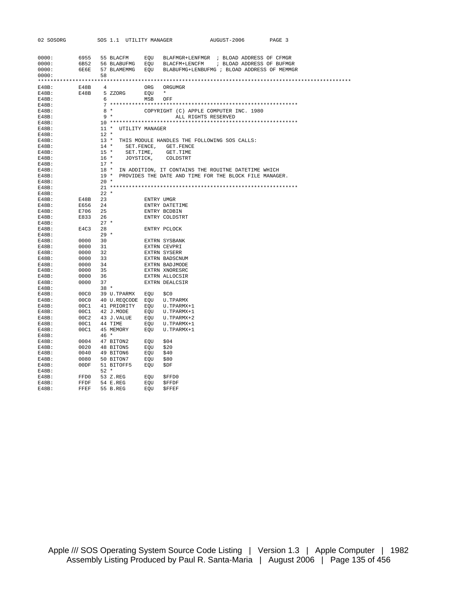| 02 SOSORG         |                    |                | SOS 1.1 UTILITY MANAGER   |            |                                                                                                                                                                                                                                                                                                                                                                                                                                                                  | AUGUST-2006 | PAGE 3 |  |
|-------------------|--------------------|----------------|---------------------------|------------|------------------------------------------------------------------------------------------------------------------------------------------------------------------------------------------------------------------------------------------------------------------------------------------------------------------------------------------------------------------------------------------------------------------------------------------------------------------|-------------|--------|--|
|                   |                    |                |                           |            |                                                                                                                                                                                                                                                                                                                                                                                                                                                                  |             |        |  |
|                   |                    |                |                           |            |                                                                                                                                                                                                                                                                                                                                                                                                                                                                  |             |        |  |
| 0000:             |                    |                |                           |            | 6955 55 BLACFM EQU BLAFMGR+LENFMGR ; BLOAD ADDRESS OF CFMGR                                                                                                                                                                                                                                                                                                                                                                                                      |             |        |  |
| 0000:             |                    |                |                           |            | 6B52 56 BLABUFMG EQU BLACFM+LENCFM ; BLOAD ADDRESS OF BUFMGR                                                                                                                                                                                                                                                                                                                                                                                                     |             |        |  |
| 0000:             |                    |                |                           |            | 6E6E 57 BLAMEMMG EQU BLABUFMG+LENBUFMG ; BLOAD ADDRESS OF MEMMGR                                                                                                                                                                                                                                                                                                                                                                                                 |             |        |  |
| 0000:             |                    | 58             |                           |            |                                                                                                                                                                                                                                                                                                                                                                                                                                                                  |             |        |  |
|                   |                    |                |                           |            |                                                                                                                                                                                                                                                                                                                                                                                                                                                                  |             |        |  |
| $E48B$ :          | E48B               | $\overline{4}$ |                           |            | ORG ORGUMGR                                                                                                                                                                                                                                                                                                                                                                                                                                                      |             |        |  |
| $E48B$ :          |                    |                | E48B 5 ZZORG              | EQU *      |                                                                                                                                                                                                                                                                                                                                                                                                                                                                  |             |        |  |
| $E48B$ :          |                    |                | $6\overline{}$            | MSB OFF    |                                                                                                                                                                                                                                                                                                                                                                                                                                                                  |             |        |  |
| E48B:             |                    |                |                           |            |                                                                                                                                                                                                                                                                                                                                                                                                                                                                  |             |        |  |
| $E48B$ :          |                    |                | $8*$                      |            | COPYRIGHT (C) APPLE COMPUTER INC. 1980                                                                                                                                                                                                                                                                                                                                                                                                                           |             |        |  |
| $E48B$ :          |                    |                | $9 *$                     |            | ALL RIGHTS RESERVED                                                                                                                                                                                                                                                                                                                                                                                                                                              |             |        |  |
| $E48B$ :          |                    |                | 11 * UTILITY MANAGER      |            |                                                                                                                                                                                                                                                                                                                                                                                                                                                                  |             |        |  |
| E48B:<br>$E48B$ : |                    | $12$ *         |                           |            |                                                                                                                                                                                                                                                                                                                                                                                                                                                                  |             |        |  |
| $E48B$ :          |                    |                |                           |            | 13 * THIS MODULE HANDLES THE FOLLOWING SOS CALLS:                                                                                                                                                                                                                                                                                                                                                                                                                |             |        |  |
| $E48B$ :          |                    |                |                           |            | 14 * SET. FENCE, GET. FENCE                                                                                                                                                                                                                                                                                                                                                                                                                                      |             |        |  |
| E48B:             |                    |                | 15 * SET. TIME, GET. TIME |            |                                                                                                                                                                                                                                                                                                                                                                                                                                                                  |             |        |  |
| E48B:             |                    |                | 16 * JOYSTICK, COLDSTRT   |            |                                                                                                                                                                                                                                                                                                                                                                                                                                                                  |             |        |  |
| $E48B$ :          |                    | $17 *$         |                           |            |                                                                                                                                                                                                                                                                                                                                                                                                                                                                  |             |        |  |
| $E48B$ :          |                    |                |                           |            | 18 * IN ADDITION, IT CONTAINS THE ROUITNE DATETIME WHICH                                                                                                                                                                                                                                                                                                                                                                                                         |             |        |  |
| $E48B$ :          |                    |                |                           |            | 19 * PROVIDES THE DATE AND TIME FOR THE BLOCK FILE MANAGER.                                                                                                                                                                                                                                                                                                                                                                                                      |             |        |  |
| E48B:             |                    | $20 *$         |                           |            |                                                                                                                                                                                                                                                                                                                                                                                                                                                                  |             |        |  |
| $E48B$ :          |                    |                |                           |            |                                                                                                                                                                                                                                                                                                                                                                                                                                                                  |             |        |  |
| E48B:             |                    | $22 *$         |                           |            |                                                                                                                                                                                                                                                                                                                                                                                                                                                                  |             |        |  |
| $E48B$ :          | E48B 23            |                |                           | ENTRY UMGR |                                                                                                                                                                                                                                                                                                                                                                                                                                                                  |             |        |  |
| $E48B$ :          | E656 24            |                |                           |            | ENTRY DATETIME                                                                                                                                                                                                                                                                                                                                                                                                                                                   |             |        |  |
| E48B:             | E706 25            |                |                           |            | ENTRY BCDBIN                                                                                                                                                                                                                                                                                                                                                                                                                                                     |             |        |  |
| $E48B$ :          | E833 26            |                |                           |            | ENTRY COLDSTRT                                                                                                                                                                                                                                                                                                                                                                                                                                                   |             |        |  |
| E48B:             |                    |                | $27 *$                    |            |                                                                                                                                                                                                                                                                                                                                                                                                                                                                  |             |        |  |
| E48B:             | E4C3 28            |                |                           |            | ENTRY PCLOCK                                                                                                                                                                                                                                                                                                                                                                                                                                                     |             |        |  |
| E48B:             |                    |                | $29 *$                    |            |                                                                                                                                                                                                                                                                                                                                                                                                                                                                  |             |        |  |
| E48B:             | 0000 30<br>0000 31 |                |                           |            | EXTRN SYSBANK                                                                                                                                                                                                                                                                                                                                                                                                                                                    |             |        |  |
| E48B:             |                    |                |                           |            | EXTRN CEVPRI                                                                                                                                                                                                                                                                                                                                                                                                                                                     |             |        |  |
| E48B:             | 0000 32            |                |                           |            | EXTRN SYSERR                                                                                                                                                                                                                                                                                                                                                                                                                                                     |             |        |  |
| E48B:             | 0000 33            |                |                           |            | EXTRN BADSCNUM<br>EXTRN BADJMODE                                                                                                                                                                                                                                                                                                                                                                                                                                 |             |        |  |
| E48B:             | 0000 34<br>0000 35 |                |                           |            | EXTRN BADJMODE                                                                                                                                                                                                                                                                                                                                                                                                                                                   |             |        |  |
| $E48B$ :          |                    |                |                           |            | EXTRN XNORESRC                                                                                                                                                                                                                                                                                                                                                                                                                                                   |             |        |  |
| $E48B$ :          | 0000 36            |                |                           |            | EXTRN ALLOCSIR                                                                                                                                                                                                                                                                                                                                                                                                                                                   |             |        |  |
| $E48B$ :          | 0000 37            |                |                           |            | EXTRN DEALCSIR                                                                                                                                                                                                                                                                                                                                                                                                                                                   |             |        |  |
| E48B:<br>$E48B$ : |                    |                | $38*$                     |            |                                                                                                                                                                                                                                                                                                                                                                                                                                                                  |             |        |  |
| $E48B$ :          |                    |                |                           |            | 00C0 39 U.TPARMX EQU \$C0<br>00C0 40 U.REQCODE EQU U.TPARMX<br>00C1 41 PRIORITY EQU U.TPARMX+1                                                                                                                                                                                                                                                                                                                                                                   |             |        |  |
| $E48B$ :          |                    |                |                           |            |                                                                                                                                                                                                                                                                                                                                                                                                                                                                  |             |        |  |
| E48B:             |                    |                |                           |            |                                                                                                                                                                                                                                                                                                                                                                                                                                                                  |             |        |  |
| $E48B$ :          |                    |                |                           |            |                                                                                                                                                                                                                                                                                                                                                                                                                                                                  |             |        |  |
| $E48B$ :          |                    |                |                           |            | $\begin{tabular}{llllll} \multicolumn{4}{l}{} & 42 J. MODEL & \multicolumn{4}{l}{} & \multicolumn{4}{l}{} & \multicolumn{4}{l}{} \\ \multicolumn{4}{l}{} & 00C1 & 43 J. VALUE & \multicolumn{4}{l}{} & \multicolumn{4}{l}{} & \multicolumn{4}{l}{} \\ \multicolumn{4}{l}{} & 00C2 & 43 J. VALUE & \multicolumn{4}{l}{} & \multicolumn{4}{l}{} & \multicolumn{4}{l}{} \\ \multicolumn{4}{l}{} & 00C1 & 44 TIME & \multicolumn{4}{l}{} & \multicolumn{4}{l}{} & \$ |             |        |  |
| $E48B$ :          |                    |                |                           |            |                                                                                                                                                                                                                                                                                                                                                                                                                                                                  |             |        |  |
| E48B:             |                    | $46*$          |                           |            |                                                                                                                                                                                                                                                                                                                                                                                                                                                                  |             |        |  |
| E48B:             |                    |                |                           |            | \$04                                                                                                                                                                                                                                                                                                                                                                                                                                                             |             |        |  |
| $E48B$ :          |                    |                |                           |            | \$20                                                                                                                                                                                                                                                                                                                                                                                                                                                             |             |        |  |
| $E48B$ :          |                    |                | 0040 49 BITON6            | EQU        | \$40                                                                                                                                                                                                                                                                                                                                                                                                                                                             |             |        |  |
| $E48B$ :          |                    |                | $0080$ 50 BITON7          | EQU \$80   |                                                                                                                                                                                                                                                                                                                                                                                                                                                                  |             |        |  |
| E48B:             |                    |                | 00DF 51 BITOFF5 EQU       |            | \$DF                                                                                                                                                                                                                                                                                                                                                                                                                                                             |             |        |  |
| E48B:             |                    | 52 *           |                           |            |                                                                                                                                                                                                                                                                                                                                                                                                                                                                  |             |        |  |
| $E48B$ :          | FFD0               |                | 53 Z.REG                  | EQU        | \$FFD0                                                                                                                                                                                                                                                                                                                                                                                                                                                           |             |        |  |
| $E48B$ :          | FFDF               |                | 54 E.REG                  | EQU        | <b>SFFDF</b>                                                                                                                                                                                                                                                                                                                                                                                                                                                     |             |        |  |
| E48B:             | FFEF               |                | 55 B.REG                  | EOU        | <b>SFFEF</b>                                                                                                                                                                                                                                                                                                                                                                                                                                                     |             |        |  |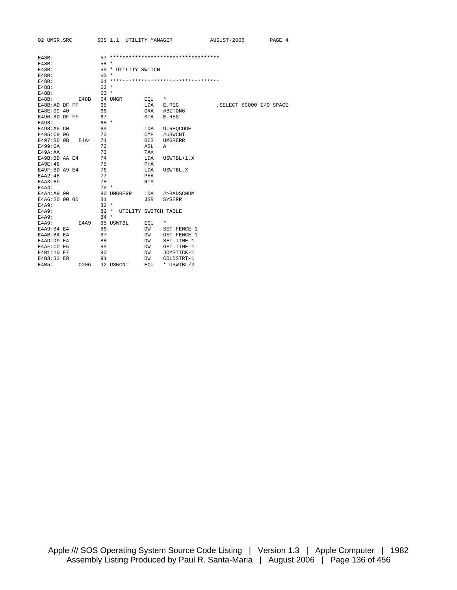| 02 UMGR.SRC        | SOS 1.1 UTILITY MANAGER |                                        | AUGUST-2006               | PAGE 4 |
|--------------------|-------------------------|----------------------------------------|---------------------------|--------|
|                    |                         |                                        |                           |        |
| $E48B$ :           |                         | 57 *********************************** |                           |        |
| $E48B$ :           | $58 *$                  |                                        |                           |        |
| $E48B$ :           | 59 * UTILITY SWITCH     |                                        |                           |        |
| <b>E48B:</b>       | $60 *$                  |                                        |                           |        |
| $E48B$ :           |                         | 61 *********************************** |                           |        |
| $E48B$ :           | $62 *$                  |                                        |                           |        |
| $E48B$ :           | $63 *$                  |                                        |                           |        |
| $E48B$ :<br>E48B   | 64 UMGR                 | EOU<br>$^\star$                        |                           |        |
| E48B:AD DF FF      | 65                      | LDA<br>E.REG                           | ; SELECT \$C000 I/O SPACE |        |
| E48E:09 40         | 66                      | ORA<br>#BITON6                         |                           |        |
| $E490:8D$ DF FF    | 67                      | <b>STA</b><br>E.REG                    |                           |        |
| E493:              | 68 *                    |                                        |                           |        |
| E493:A5 CO         | 69                      | LDA<br><b>U.REOCODE</b>                |                           |        |
| E495:C9 06         | 70                      | <b>CMP</b><br>#USWCNT                  |                           |        |
| E497:B0 0B<br>E4A4 | 71                      | BCS<br>UMGRERR                         |                           |        |
| E499:0A            | 72                      | ASL<br>Α                               |                           |        |
| E49A: AA           | 73                      | TAX                                    |                           |        |
| E49B:BD AA E4      | 74                      | LDA<br>$USWTBL+1, X$                   |                           |        |
| E49E:48            | 75                      | PHA                                    |                           |        |
| E49F:BD A9 E4      | 76                      | LDA<br>USWTBL, X                       |                           |        |
| <b>E4A2:48</b>     | 77                      | PHA                                    |                           |        |
| E4A3:60            | 78                      | <b>RTS</b>                             |                           |        |
| $E4A4$ :           | $79*$                   |                                        |                           |        |
| E4A4:A9 00         | 80 UMGRERR              | LDA<br>#>BADSCNUM                      |                           |        |
| E4A6:20 00 00      | 81                      | JSR<br><b>SYSERR</b>                   |                           |        |
| E4A9:              | $82 *$                  |                                        |                           |        |
| E4A9:              | $83 *$                  | UTILITY SWITCH TABLE                   |                           |        |
| E4A9:              | $84 *$                  |                                        |                           |        |
| E4A9<br>E4A9:      | 85 USWTBL               | $^\star$<br>EQU                        |                           |        |
| E4A9:B4E4          | 86                      | DW<br>SET. FENCE-1                     |                           |        |
| E4AB: BA E4        | 87                      | DW<br>GET.FENCE-1                      |                           |        |
| E4AD: D9 E4        | 88                      | SET.TIME-1<br>DW                       |                           |        |
| E4AF:CO E5         | 89                      | GET.TIME-1<br>DW                       |                           |        |
| E4B1:1D E7         | 90                      | JOYSTICK-1<br>DW                       |                           |        |
| E4B3:32 E8         | 91                      | DW<br>COLDSTRT-1                       |                           |        |
| 0006<br>E4B5:      | 92 USWCNT               | *-USWTBL/2<br>EOU                      |                           |        |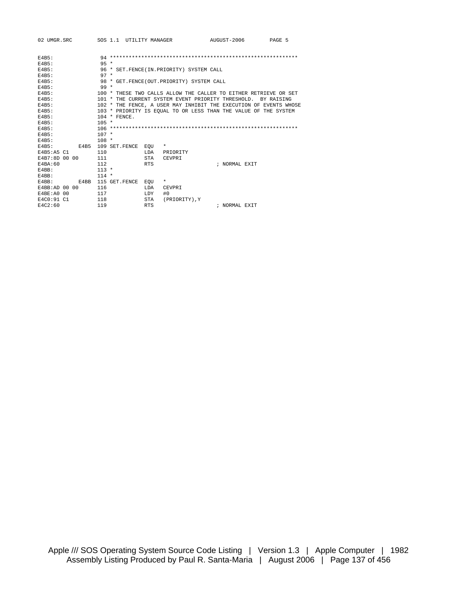| 02 UMGR.SRC    |  |      |         |                | SOS 1.1 UTILITY MANAGER |             |                                                                   | AUGUST-2006   | PAGE 5 |  |
|----------------|--|------|---------|----------------|-------------------------|-------------|-------------------------------------------------------------------|---------------|--------|--|
| <b>E4B5:</b>   |  |      |         |                |                         |             |                                                                   |               |        |  |
| $F4B5$ :       |  |      | $95 *$  |                |                         |             |                                                                   |               |        |  |
| E4B5:          |  |      |         |                |                         |             | 96 * SET. FENCE (IN. PRIORITY) SYSTEM CALL                        |               |        |  |
| $E4B5$ :       |  |      | $97 *$  |                |                         |             |                                                                   |               |        |  |
| E4B5:          |  |      |         |                |                         |             | 98 * GET. FENCE (OUT. PRIORITY) SYSTEM CALL                       |               |        |  |
| $F4B5$ :       |  |      | $99 *$  |                |                         |             |                                                                   |               |        |  |
| E4B5:          |  |      |         |                |                         |             | 100 * THESE TWO CALLS ALLOW THE CALLER TO EITHER RETRIEVE OR SET  |               |        |  |
| $E4B5$ :       |  |      |         |                |                         |             | 101 * THE CURRENT SYSTEM EVENT PRIORITY THRESHOLD. BY RAISING     |               |        |  |
| $F4B5$ :       |  |      |         |                |                         |             | 102 * THE FENCE, A USER MAY INHIBIT THE EXECUTION OF EVENTS WHOSE |               |        |  |
| $F4B5$ :       |  |      |         |                |                         |             | 103 * PRIORITY IS EQUAL TO OR LESS THAN THE VALUE OF THE SYSTEM   |               |        |  |
| $F4B5$ :       |  |      |         | $104 * FENCF.$ |                         |             |                                                                   |               |        |  |
| E4B5:          |  |      | $105 *$ |                |                         |             |                                                                   |               |        |  |
| $F4B5$ :       |  |      |         |                |                         |             |                                                                   |               |        |  |
| $F4B5$ :       |  |      | $107 *$ |                |                         |             |                                                                   |               |        |  |
| E4B5:          |  |      | $108 *$ |                |                         |             |                                                                   |               |        |  |
| F4B5:          |  | E4B5 |         |                | 109 SET. FENCE EOU      |             | $\star$                                                           |               |        |  |
| E4B5:A5 C1     |  |      | 110     |                |                         | <b>T.DA</b> | PRIORITY                                                          |               |        |  |
| E4B7:8D 00 00  |  |      | 111     |                |                         | STA         | <b>CEVPRT</b>                                                     |               |        |  |
| E4BA:60        |  |      | 112     |                |                         | <b>RTS</b>  |                                                                   | ; NORMAL EXTT |        |  |
| $F4BB$ :       |  |      | $113 *$ |                |                         |             |                                                                   |               |        |  |
| $F4BB$ :       |  |      | $114 *$ |                |                         |             |                                                                   |               |        |  |
| $E4BB$ :       |  | E4BB |         |                | 115 GET.FENCE           | EOU         | $\star$                                                           |               |        |  |
| E4BB: AD 00 00 |  |      | 116     |                |                         | LDA         | CEVPRI                                                            |               |        |  |
| E4BE: A0 00    |  |      | 117     |                |                         | <b>LDY</b>  | #0                                                                |               |        |  |
| E4C0:91 C1     |  |      | 118     |                |                         | STA         | (PRIORITY).Y                                                      |               |        |  |
| E4C2:60        |  |      | 119     |                |                         | <b>RTS</b>  |                                                                   | ; NORMAL EXTT |        |  |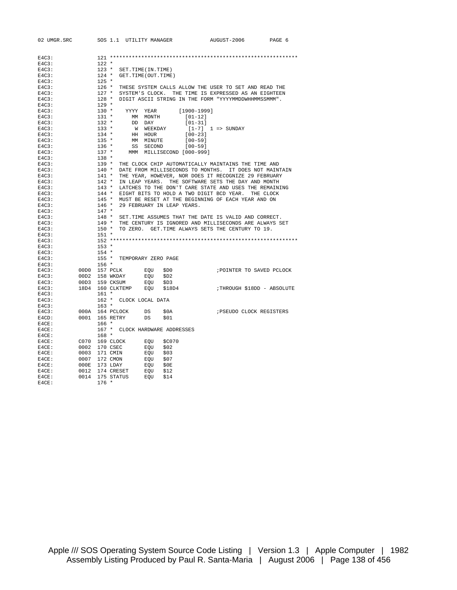| 02 UMGR.SRC    |                 | SOS 1.1 UTILITY MANAGER        |                           |             | AUGUST-2006                                                                                                                                                                                                                                                                      | PAGE 6 |
|----------------|-----------------|--------------------------------|---------------------------|-------------|----------------------------------------------------------------------------------------------------------------------------------------------------------------------------------------------------------------------------------------------------------------------------------|--------|
|                |                 |                                |                           |             |                                                                                                                                                                                                                                                                                  |        |
|                |                 |                                |                           |             |                                                                                                                                                                                                                                                                                  |        |
| E4C3:          |                 |                                |                           |             |                                                                                                                                                                                                                                                                                  |        |
| E4C3:          | $122 *$         |                                |                           |             |                                                                                                                                                                                                                                                                                  |        |
| E4C3:          | $123$ *         | SET.TIME(IN.TIME)              |                           |             |                                                                                                                                                                                                                                                                                  |        |
| $E4C3$ :       | $125$ *         | 124 * GET.TIME(OUT.TIME)       |                           |             |                                                                                                                                                                                                                                                                                  |        |
| E4C3:          |                 |                                |                           |             |                                                                                                                                                                                                                                                                                  |        |
| $E4C3$ :       |                 |                                |                           |             | 126 * THESE SYSTEM CALLS ALLOW THE USER TO SET AND READ THE 127 * SYSTEM'S CLOCK. THE TIME IS EXPRESSED AS AN EIGHTEEN 128 * DIGIT ASCII STRING IN THE FORM "YYYYMMDDWHHMMSSMMM".                                                                                                |        |
| E4C3:<br>E4C3: |                 |                                |                           |             |                                                                                                                                                                                                                                                                                  |        |
|                | $129 *$         |                                |                           |             |                                                                                                                                                                                                                                                                                  |        |
| E4C3:          | $130 *$         |                                |                           |             |                                                                                                                                                                                                                                                                                  |        |
| E4C3:          | $131$ *         | YYYY YEAR                      |                           | [1900-1999] |                                                                                                                                                                                                                                                                                  |        |
| E4C3:<br>E4C3: | $132 *$         | MM MONTH                       |                           | $[01-12]$   |                                                                                                                                                                                                                                                                                  |        |
|                |                 | DD DAY                         |                           | $[01-31]$   |                                                                                                                                                                                                                                                                                  |        |
| E4C3:          | $133 *$         | W WEEKDAY                      |                           |             | $[1-7]$ $1 \Rightarrow$ SUNDAY                                                                                                                                                                                                                                                   |        |
| E4C3:          | $134$ *         | HH HOUR                        |                           | $[00-23]$   |                                                                                                                                                                                                                                                                                  |        |
| E4C3:          | $135 *$         | MM MINUTE                      |                           | $[00 - 59]$ |                                                                                                                                                                                                                                                                                  |        |
| E4C3:          | $136 *$         | SS SECOND                      |                           | $[00 - 59]$ |                                                                                                                                                                                                                                                                                  |        |
| E4C3:          | $137 *$         |                                | MMM MILLISECOND [000-999] |             |                                                                                                                                                                                                                                                                                  |        |
| E4C3:          | $138 *$         |                                |                           |             |                                                                                                                                                                                                                                                                                  |        |
| E4C3:          |                 |                                |                           |             |                                                                                                                                                                                                                                                                                  |        |
| E4C3:          |                 |                                |                           |             | 139 * THE CLOCK CHIP AUTOMATICALLY MAINTAINS THE TIME AND 140 * DATE FROM MILLISECONDS TO MONTHS. IT DOES NOT MAINTAIN 141 * THE YEAR, HOWEVER, NOR DOES IT RECOGNIZE 29 FEBRUARY 142 * IN LEAP YEARS. THE SOFTWARE SETS THE D                                                   |        |
| E4C3:          |                 |                                |                           |             |                                                                                                                                                                                                                                                                                  |        |
| E4C3:          |                 |                                |                           |             |                                                                                                                                                                                                                                                                                  |        |
| E4C3:          |                 |                                |                           |             | 143 * LATCHES TO THE DON'T CARE STATE AND USES THE KEWAIN.<br>144 * EIGHT BITS TO HOLD A TWO DIGIT BCD YEAR. THE CLOCK<br>145 * MUST BE RESET AT THE BEGINNING OF EACH YEAR AND ON<br>146 * 29 FEBRUARY IN LEAP YEARS.<br>LATCHES TO THE DON'T CARE STATE AND USES THE REMAINING |        |
| E4C3:          |                 |                                |                           |             |                                                                                                                                                                                                                                                                                  |        |
| $E4C3$ :       |                 |                                |                           |             |                                                                                                                                                                                                                                                                                  |        |
| E4C3:          |                 |                                |                           |             |                                                                                                                                                                                                                                                                                  |        |
| E4C3:          | $147 *$         |                                |                           |             |                                                                                                                                                                                                                                                                                  |        |
| E4C3:          |                 |                                |                           |             | 148 * SET. TIME ASSUMES THAT THE DATE IS VALID AND CORRECT.                                                                                                                                                                                                                      |        |
| E4C3:          |                 |                                |                           |             | 149 * THE CENTURY IS IGNORED AND MILLISECONDS ARE ALWAYS SET                                                                                                                                                                                                                     |        |
| $E4C3$ :       |                 |                                |                           |             | 150 * TO ZERO. GET. TIME ALWAYS SETS THE CENTURY TO 19.                                                                                                                                                                                                                          |        |
| E4C3:          | $151 *$         |                                |                           |             |                                                                                                                                                                                                                                                                                  |        |
| E4C3:          |                 |                                |                           |             |                                                                                                                                                                                                                                                                                  |        |
| E4C3:          | $153 *$         |                                |                           |             |                                                                                                                                                                                                                                                                                  |        |
| E4C3:          | $154 *$         |                                |                           |             |                                                                                                                                                                                                                                                                                  |        |
| E4C3:          |                 | 155 * TEMPORARY ZERO PAGE      |                           |             |                                                                                                                                                                                                                                                                                  |        |
| E4C3:          | $156 *$         |                                |                           |             |                                                                                                                                                                                                                                                                                  |        |
| E4C3:          | 00D0 157 PCLK   | EQU                            | \$D0                      |             | ; POINTER TO SAVED PCLOCK                                                                                                                                                                                                                                                        |        |
| E4C3:          | 00D2 158 WKDAY  | EOU                            | SD2                       |             |                                                                                                                                                                                                                                                                                  |        |
| E4C3:          | 00D3 159 CKSUM  | EOU                            | SD3                       |             |                                                                                                                                                                                                                                                                                  |        |
| E4C3:          |                 | 18D4 160 CLKTEMP EQU \$18D4    |                           |             | THROUGH \$18DD - ABSOLUTE                                                                                                                                                                                                                                                        |        |
| $E4C3$ :       | $161 *$         |                                |                           |             |                                                                                                                                                                                                                                                                                  |        |
| E4C3:          |                 | 162 * CLOCK LOCAL DATA         |                           |             |                                                                                                                                                                                                                                                                                  |        |
| E4C3:          | $163 *$         |                                |                           |             |                                                                                                                                                                                                                                                                                  |        |
| E4C3:          | 000A 164 PCLOCK | DS                             | \$0A                      |             | ; PSEUDO CLOCK REGISTERS                                                                                                                                                                                                                                                         |        |
| E4CD:          | 0001 165 RETRY  | DS                             | \$01                      |             |                                                                                                                                                                                                                                                                                  |        |
| E4CE:          | $166 *$         |                                |                           |             |                                                                                                                                                                                                                                                                                  |        |
| E4CE:          |                 | 167 * CLOCK HARDWARE ADDRESSES |                           |             |                                                                                                                                                                                                                                                                                  |        |
| E4CE:          | 168 *           |                                |                           |             |                                                                                                                                                                                                                                                                                  |        |
| E4CE:          | C070 169 CLOCK  | EQU                            | \$C070                    |             |                                                                                                                                                                                                                                                                                  |        |
| E4CE:          | 0002 170 CSEC   | EQU                            | \$02                      |             |                                                                                                                                                                                                                                                                                  |        |
| E4CE:          | 0003 171 CMIN   | EQU                            | \$03                      |             |                                                                                                                                                                                                                                                                                  |        |
| E4CE:          | 0007 172 CMON   | EQU                            | \$07                      |             |                                                                                                                                                                                                                                                                                  |        |
| E4CE:          | 000E 173 LDAY   | EQU                            | \$0E                      |             |                                                                                                                                                                                                                                                                                  |        |
| E4CE:          | 0012 174 CRESET | EQU                            | \$12                      |             |                                                                                                                                                                                                                                                                                  |        |
| E4CE:          | 0014 175 STATUS | EOU                            | \$14                      |             |                                                                                                                                                                                                                                                                                  |        |
| E4CE:          | $176 *$         |                                |                           |             |                                                                                                                                                                                                                                                                                  |        |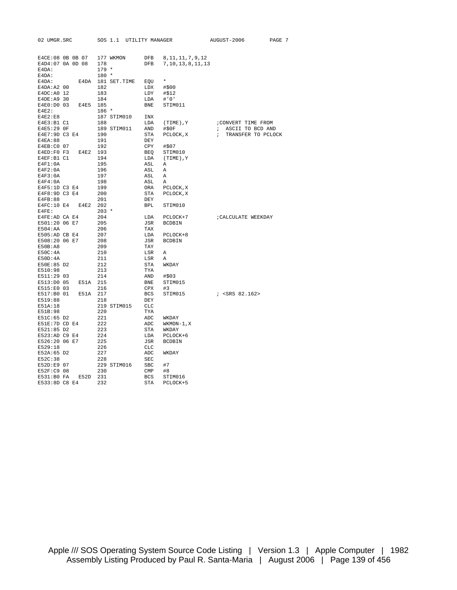| 02 UMGR.SRC           |                     |            | SOS 1.1 UTILITY MANAGER    |                   |                          | AUGUST-2006          | PAGE 7 |
|-----------------------|---------------------|------------|----------------------------|-------------------|--------------------------|----------------------|--------|
|                       |                     |            |                            |                   |                          |                      |        |
|                       |                     |            | E4CE:08 OB OB 07 177 WKMON |                   | DFB 8, 11, 11, 7, 9, 12  |                      |        |
| E4D4:07 0A 0D 08      |                     | 178        |                            |                   | DFB 7, 10, 13, 8, 11, 13 |                      |        |
| E4DA:                 |                     | $179 *$    |                            |                   |                          |                      |        |
| E4DA:                 |                     | $180 *$    |                            |                   |                          |                      |        |
| $E4DA$ :              |                     |            | E4DA 181 SET.TIME EQU      |                   | $\star$                  |                      |        |
| $E4DA:A2$ 00          |                     | 182        |                            | $LDX$ #\$00       |                          |                      |        |
| E4DC: A0 12           |                     | 183        |                            | $LDY$ $\# $12$    |                          |                      |        |
| E4DE: A9 30           |                     | 184        |                            | $LDA$ #'0'        |                          |                      |        |
|                       | E4E0:D0 03 E4E5 185 |            |                            |                   | BNE STIM011              |                      |        |
| $E4E2$ :              |                     | $186 *$    |                            |                   |                          |                      |        |
| E4E2:E8               |                     |            | 187 STIM010 INX            |                   |                          |                      |        |
| E4E3:B1 C1            |                     | 188        |                            |                   | LDA (TIME), Y            | ; CONVERT TIME FROM  |        |
| E4E5:29 OF            |                     |            | 189 STIM011 AND #\$0F      |                   |                          | ; ASCII TO BCD AND   |        |
| E4E7:9D C3 E4 190     |                     |            |                            | STA               | PCLOCK, X                | ; TRANSFER TO PCLOCK |        |
| E4EA:88               |                     | 191        |                            | DEY               |                          |                      |        |
| E4EB:CO 07            |                     | 192        |                            | CPY               | #\$07                    |                      |        |
| E4ED:F0 F3 E4E2 193   |                     |            |                            |                   | BEQ STIM010              |                      |        |
| E4EF:B1 C1<br>E4F1:0A |                     | 194<br>195 |                            | ASL A             | LDA (TIME), Y            |                      |        |
| E4F2:0A               |                     | 196        |                            | ASL               | $\mathbb A$              |                      |        |
| E4F3:0A               |                     | 197        |                            | ASL               | $\overline{A}$           |                      |        |
| E4F4:0A               |                     | 198        |                            | ASL               | $\mathbb A$              |                      |        |
| E4F5:1D C3 E4         |                     | 199        |                            |                   | ORA PCLOCK, X            |                      |        |
| E4F8:9D C3 E4         |                     | 200        |                            |                   | STA PCLOCK, X            |                      |        |
| E4FB:88               |                     | 201        |                            | DEY               |                          |                      |        |
| E4FC:10 E4 E4E2 202   |                     |            |                            |                   | BPL STIM010              |                      |        |
| $E4FE$ :              |                     | $203$ *    |                            |                   |                          |                      |        |
| E4FE:AD CA E4         |                     | 204        |                            | LDA               | PCLOCK+7                 | CALCULATE WEEKDAY    |        |
| E501:20 06 E7         |                     | 205        |                            |                   | JSR BCDBIN               |                      |        |
| E504:AA               |                     | 206        |                            | TAX               |                          |                      |        |
| E505:AD CB E4         |                     | 207        |                            |                   | LDA PCLOCK+8             |                      |        |
| E508:20 06 E7         |                     | 208        |                            | JSR               | BCDBIN                   |                      |        |
| E50B:A8               |                     | 209        |                            | TAY               |                          |                      |        |
| E50C:4A               |                     | 210        |                            | LSR               | A                        |                      |        |
| E50D:4A               |                     | 211        |                            | LSR               | Α                        |                      |        |
| E50E:85 D2            |                     | 212        |                            | STA               | WKDAY                    |                      |        |
| E510:98               |                     | 213        |                            | TYA               |                          |                      |        |
| E511:29 03            |                     | 214        |                            | AND #\$03         |                          |                      |        |
|                       | E513:D0 05 E51A 215 |            |                            | BNE               | STIM015                  |                      |        |
| E515:E0 03            |                     | 216        |                            | CPX               | #3                       |                      |        |
|                       | E517:B0 01 E51A 217 |            |                            | <b>BCS</b>        |                          |                      |        |
| E519:88               |                     | 218        |                            | DEY               |                          |                      |        |
| E51A:18<br>E51B:98    |                     | 220        | 219 STIM015                | <b>CLC</b><br>TYA |                          |                      |        |
| E51C:65 D2            |                     | 221        |                            | ADC               | WKDAY                    |                      |        |
| E51E:7D CD E4         |                     | 222        |                            | ADC               |                          |                      |        |
| E521:85 D2            |                     | 223        |                            | STA               | WKMON-1,X<br>WKDAY       |                      |        |
| E523:AD C9 E4         |                     |            |                            | LDA               | PCLOCK+6                 |                      |        |
| E526:20 06 E7         |                     | 224<br>225 |                            | JSR               | <b>BCDBIN</b>            |                      |        |
| E529:18               |                     | 226        |                            | CLC               |                          |                      |        |
| E52A:65 D2            |                     | 227        |                            | ADC               | WKDAY                    |                      |        |
| E52C:38               |                     | 228        |                            | SEC               |                          |                      |        |
| E52D:E9 07            |                     |            | 229 STIM016                | SBC               | #7                       |                      |        |
| E52F:C9 08            |                     | 230        |                            | CMP               | #8                       |                      |        |
|                       | E531:B0 FA E52D 231 |            |                            | <b>BCS</b>        | STIM016                  |                      |        |
| E533:8D C8 E4         |                     | 232        |                            | STA               | PCLOCK+5                 |                      |        |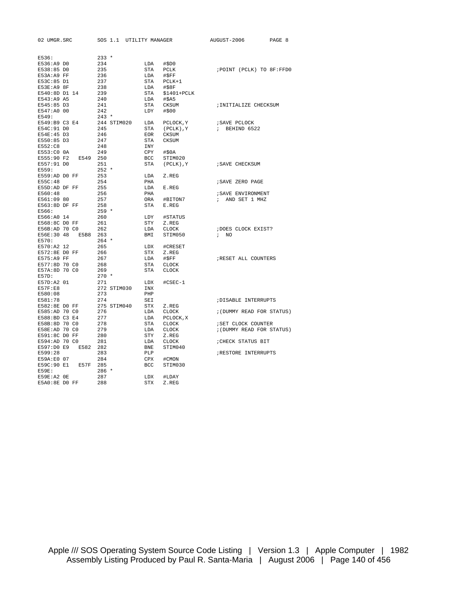| 02 UMGR.SRC        | SOS 1.1     | UTILITY MANAGER |                | AUGUST-2006                 | PAGE 8 |
|--------------------|-------------|-----------------|----------------|-----------------------------|--------|
|                    |             |                 |                |                             |        |
| E536:              | $233 *$     |                 |                |                             |        |
| E536:A9 DO         | 234         | LDA             | #\$D0          |                             |        |
| E538:85 DO         | 235         | <b>STA</b>      | <b>PCLK</b>    | ; POINT (PCLK) TO 8F: FFD0  |        |
| E53A:A9 FF         | 236         | LDA             | #\$FF          |                             |        |
| E53C:85 D1         | 237         |                 |                |                             |        |
|                    |             | STA             | $PCLK+1$       |                             |        |
| E53E:A9 8F         | 238         | LDA             | #\$8F          |                             |        |
| E540:8D D1 14      | 239         | STA             | $$1401+PCLK$   |                             |        |
| E543:A9 A5         | 240         | LDA             | #\$A5          |                             |        |
| E545:85 D3         | 241         | <b>STA</b>      | CKSUM          | ; INITIALIZE CHECKSUM       |        |
| E547:A0 00         | 242         | LDY             | #\$00          |                             |        |
| E549:              | $243 *$     |                 |                |                             |        |
| E549:B9 C3 E4      | 244 STIM020 | LDA             | PCLOCK, Y      | ; SAVE PCLOCK               |        |
| E54C:91 DO         | 245         | <b>STA</b>      | $(PCLK)$ , $Y$ | BEHIND 6522<br>$\ddot{ }$   |        |
| E54E:45 D3         | 246         | <b>EOR</b>      | <b>CKSUM</b>   |                             |        |
| E550:85 D3         | 247         | <b>STA</b>      | <b>CKSUM</b>   |                             |        |
| E552:C8            | 248         | <b>INY</b>      |                |                             |        |
| E553:CO 0A         | 249         | CPY             | #\$0A          |                             |        |
| E555:90 F2<br>E549 | 250         | <b>BCC</b>      | STIM020        |                             |        |
| E557:91 DO         | 251         | STA             | $(PCLK)$ , Y   | ; SAVE CHECKSUM             |        |
| E559:              | $252 *$     |                 |                |                             |        |
| E559:AD DO FF      | 253         | LDA             | Z.REG          |                             |        |
| E55C:48            | 254         | PHA             |                | ; SAVE ZERO PAGE            |        |
| E55D:AD DF FF      | 255         | LDA             | E.REG          |                             |        |
| E560:48            | 256         | PHA             |                | ; SAVE ENVIRONMENT          |        |
| E561:09 80         | 257         | ORA             | #BITON7        | AND SET 1 MHZ<br>$\ddot{ }$ |        |
| E563:8D DF FF      | 258         | STA             | E.REG          |                             |        |
| E566:              | $259 *$     |                 |                |                             |        |
| E566:A0 14         | 260         | LDY             | #STATUS        |                             |        |
| E568:8C DO FF      | 261         | STY             | Z.REG          |                             |        |
| E56B:AD 70 C0      | 262         | LDA             | CLOCK          | ; DOES CLOCK EXIST?         |        |
| E56E:30 48<br>E5B8 | 263         | BMI             | STIM050        | NO<br>$\ddot{i}$            |        |
| E570:              | $264$ *     |                 |                |                             |        |
| E570:A2 12         | 265         | LDX             | #CRESET        |                             |        |
|                    |             |                 |                |                             |        |
| E572:8E DO FF      | 266         | STX             | Z.REG          |                             |        |
| E575:A9 FF         | 267         | LDA             | #SFF           | ; RESET ALL COUNTERS        |        |
| E577:8D 70 C0      | 268         | <b>STA</b>      | <b>CLOCK</b>   |                             |        |
| E57A:8D 70 C0      | 269         | <b>STA</b>      | <b>CLOCK</b>   |                             |        |
| E57D:              | $270 *$     |                 |                |                             |        |
| E57D:A2 01         | 271         | LDX             | $#CSEC-1$      |                             |        |
| E57F:E8            | 272 STIM030 | INX             |                |                             |        |
| E580:08            | 273         | PHP             |                |                             |        |
| E581:78            | 274         | SEI             |                | ; DISABLE INTERRUPTS        |        |
| E582:8E DO FF      | 275 STIM040 | <b>STX</b>      | Z.REG          |                             |        |
| E585:AD 70 C0      | 276         | LDA             | CLOCK          | ; (DUMMY READ FOR STATUS)   |        |
| E588:BD C3 E4      | 277         | LDA             | PCLOCK, X      |                             |        |
| E58B:8D 70 C0      | 278         | <b>STA</b>      | <b>CLOCK</b>   | ; SET CLOCK COUNTER         |        |
| E58E:AD 70 C0      | 279         | LDA             | <b>CLOCK</b>   | ; (DUMMY READ FOR STATUS)   |        |
| E591:8C DO FF      | 280         | <b>STY</b>      | Z.REG          |                             |        |
| E594:AD 70 CO      | 281         | LDA             | <b>CLOCK</b>   | ; CHECK STATUS BIT          |        |
| E597:D0 E9<br>E582 | 282         | <b>BNE</b>      | STIM040        |                             |        |
| E599:28            | 283         | PLP             |                | RESTORE INTERRUPTS          |        |
| E59A:E0 07         | 284         | CPX             | #CMON          |                             |        |
| E59C:90 E1<br>E57F | 285         | BCC             | STIM030        |                             |        |
| E59E:              | $286 *$     |                 |                |                             |        |
| E59E:A2 0E         | 287         | LDX             | #LDAY          |                             |        |
| E5A0:8E DO FF      | 288         | <b>STX</b>      | Z.REG          |                             |        |
|                    |             |                 |                |                             |        |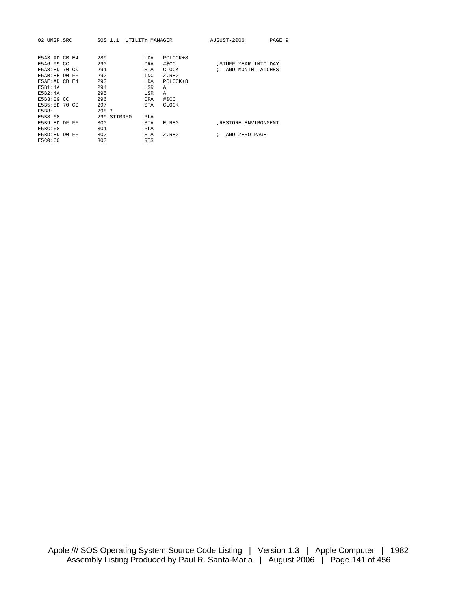| UMGR.SRC<br>02.  | SOS 1.1     | UTILITY MANAGER |              | AUGUST-2006             | PAGE 9 |
|------------------|-------------|-----------------|--------------|-------------------------|--------|
|                  |             |                 |              |                         |        |
| F5A3:ADCHE4      | 289         | LDA             | $PCLOCK+8$   |                         |        |
| E5A6:09 CC       | 290         | <b>ORA</b>      | #\$CC        | STUFF YEAR INTO DAY;    |        |
| E5A8:8D 70 CO    | 291         | <b>STA</b>      | <b>CLOCK</b> | AND MONTH LATCHES<br>÷  |        |
| E5AB:EE DO<br>FF | 292         | INC             | Z.REG        |                         |        |
| E5AE:AD CB E4    | 293         | LDA             | $PCLOCK+8$   |                         |        |
| F5B1:4A          | 294         | LSR             | A            |                         |        |
| F5B2:4A          | 295         | LSR             | A            |                         |        |
| E5B3:09 CC       | 296         | <b>ORA</b>      | #\$CC        |                         |        |
| E5B5:8D 70 C0    | 297         | <b>STA</b>      | <b>CLOCK</b> |                         |        |
| <b>E5B8:</b>     | $298 *$     |                 |              |                         |        |
| E5B8:68          | 299 STIM050 | PLA             |              |                         |        |
| E5B9:8D DF<br>FF | 300         | <b>STA</b>      | E.REG        | RESTORE ENVIRONMENT     |        |
| <b>E5BC:68</b>   | 301         | PT.A            |              |                         |        |
| E5BD:8D DO FF    | 302         | <b>STA</b>      | Z.REG        | AND ZERO PAGE<br>٠<br>i |        |
| E5C0:60          | 303         | <b>RTS</b>      |              |                         |        |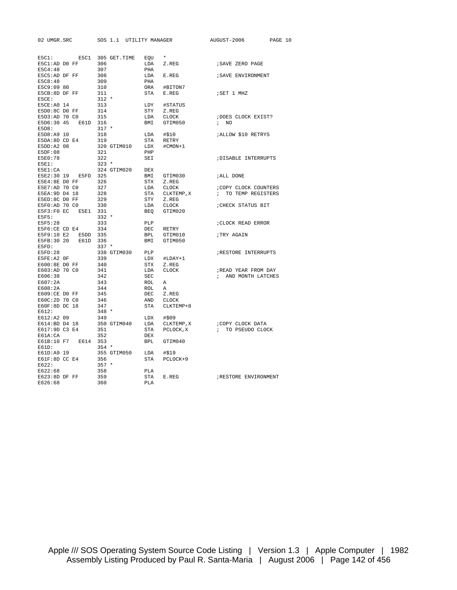| 02 UMGR.SRC    |                 | SOS 1.1 UTILITY MANAGER |            |              | AUGUST-2006               | PAGE 10 |  |
|----------------|-----------------|-------------------------|------------|--------------|---------------------------|---------|--|
|                |                 |                         |            |              |                           |         |  |
| ESC1:          | E5C1            | 305 GET.TIME            | EOU        | $\star$      |                           |         |  |
| E5C1:AD D0 FF  |                 | 306                     | LDA        | Z.REG        | ; SAVE ZERO PAGE          |         |  |
| E5C4:48        |                 | 307                     | PHA        |              |                           |         |  |
| E5C5:AD DF FF  |                 | 308                     | LDA        | E.REG        | ; SAVE ENVIRONMENT        |         |  |
| E5C8:48        |                 | 309                     | PHA        |              |                           |         |  |
| E5C9:09 80     |                 | 310                     | ORA        | #BITON7      |                           |         |  |
| E5CB:8D DF FF  |                 | 311                     | STA        | E.REG        | ; SET 1 MHZ               |         |  |
| E5CE:          |                 | $312 *$                 |            |              |                           |         |  |
| E5CE:A0 14     |                 | 313                     | LDY        | #STATUS      |                           |         |  |
| E5D0:8C D0 FF  |                 | 314                     | STY        | Z.REG        |                           |         |  |
| E5D3:AD 70 C0  |                 | 315                     | LDA        | CLOCK        | ; DOES CLOCK EXIST?       |         |  |
| E5D6:30 45     | E61D 316        |                         | BMI        | GTIM050      | ; NO                      |         |  |
| E5D8:          |                 | $317 *$                 |            |              |                           |         |  |
| E5D8:A9 10     |                 | 318                     | LDA        | #\$10        | <i>IALLOW \$10 RETRYS</i> |         |  |
| E5DA:8D CD E4  |                 | 319                     | STA        | RETRY        |                           |         |  |
| E5DD:A2 08     |                 | 320 GTIM010             | LDX        | #CMON+1      |                           |         |  |
| E5DF:08        |                 | 321                     | PHP        |              |                           |         |  |
| E5E0:78        |                 | 322                     | SEI        |              | ; DISABLE INTERRUPTS      |         |  |
| $E5E1$ :       |                 | $323 *$                 |            |              |                           |         |  |
| E5E1:CA        |                 | 324 GTIM020             | DEX        |              |                           |         |  |
| E5E2:30 19     | E5FD 325        |                         | BMI        | GTIM030      | ;ALL DONE                 |         |  |
| E5E4:8E DO FF  |                 | 326                     | STX        | Z.REG        |                           |         |  |
| E5E7:AD 70 C0  |                 | 327                     | LDA        | CLOCK        | ; COPY CLOCK COUNTERS     |         |  |
| E5EA: 9D D4 18 |                 | 328                     | STA        | CLKTEMP, X   | ; TO TEMP REGISTERS       |         |  |
| E5ED:8C DO FF  |                 | 329                     |            | STY Z.REG    |                           |         |  |
| E5F0:AD 70 C0  |                 | 330                     | LDA        | CLOCK        | ; CHECK STATUS BIT        |         |  |
| E5F3:F0 EC     | E5E1            | 331                     | BEO        | GTIM020      |                           |         |  |
| E5F5:          |                 | $332 *$                 |            |              |                           |         |  |
| E5F5:28        |                 | 333                     | PLP        |              | CLOCK READ ERROR          |         |  |
| E5F6:CE CD E4  |                 | 334                     | DEC        | RETRY        |                           |         |  |
|                | E5F9:10 E2 E5DD | 335                     | BPL        | GTIM010      | ; TRY AGAIN               |         |  |
| E5FB:30 20     | E61D            | 336                     | BMI        | GTIM050      |                           |         |  |
| E5FD:          |                 | $337 *$                 |            |              |                           |         |  |
| E5FD:28        |                 | 338 GTIM030             | PLP        |              | RESTORE INTERRUPTS        |         |  |
| E5FE:A2 OF     |                 | 339                     | LDX        | #LDAY+1      |                           |         |  |
| E600:8E DO FF  |                 | 340                     | STX        | Z.REG        |                           |         |  |
| E603:AD 70 C0  |                 | 341                     | LDA        | CLOCK        | ; READ YEAR FROM DAY      |         |  |
| E606:38        |                 | 342                     | <b>SEC</b> |              | ; AND MONTH LATCHES       |         |  |
| E607:2A        |                 | 343                     | ROL        | Α            |                           |         |  |
| E608:2A        |                 | 344                     | ROL        | A            |                           |         |  |
| E609:CE DO FF  |                 | 345                     | DEC        | Z.REG        |                           |         |  |
| E60C:2D 70 C0  |                 | 346                     | AND        | <b>CLOCK</b> |                           |         |  |
| E60F:8D DC 18  |                 | 347                     | STA        | CLKTEMP+8    |                           |         |  |
| E612:          |                 | $348 *$                 |            |              |                           |         |  |
| E612:A2 09     |                 | 349                     | LDX        | #\$09        |                           |         |  |
| E614:BD D4 18  |                 | 350 GTIM040             | LDA        | CLKTEMP, X   | ;COPY CLOCK DATA          |         |  |
| E617:9D C3 E4  |                 | 351                     | STA        | PCLOCK, X    | ; TO PSEUDO CLOCK         |         |  |
| E61A:CA        |                 | 352                     | <b>DEX</b> |              |                           |         |  |
| E61B:10 F7     | E614            | 353                     | <b>BPL</b> | GTIM040      |                           |         |  |
| $E61D$ :       |                 | $354 *$                 |            |              |                           |         |  |
| E61D:A9 19     |                 | 355 GTIM050             | LDA        | #\$19        |                           |         |  |
| E61F:8D CC E4  |                 | 356                     | STA        | PCLOCK+9     |                           |         |  |
| E622:          |                 | $357 *$                 |            |              |                           |         |  |
| E622:68        |                 | 358                     | PLA        |              |                           |         |  |
| E623:8D DF FF  |                 | 359                     | <b>STA</b> | E.REG        | ; RESTORE ENVIRONMENT     |         |  |
| E626:68        |                 | 360                     | PLA        |              |                           |         |  |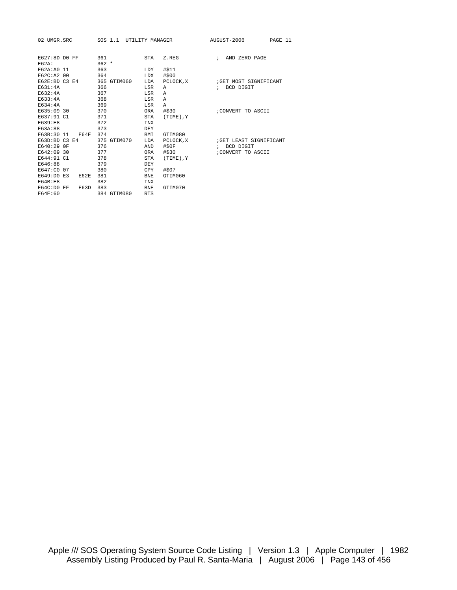| 02 UMGR.SRC               |      | SOS 1.1        | UTILITY MANAGER |                | AUGUST-2006<br>PAGE 11    |
|---------------------------|------|----------------|-----------------|----------------|---------------------------|
| E627:8D DO FF<br>$FG2A$ : |      | 361<br>$362 *$ | STA             | Z.REG          | ; AND ZERO PAGE           |
| E62A: A0 11               |      | 363            | LDY             | #\$11          |                           |
| E62C:A2 00                |      | 364            | LDX             | #\$00          |                           |
| E62E:BD C3 E4             |      | 365 GTIM060    | LDA             | PCLOCK, X      | GET MOST SIGNIFICANT      |
| E631:4A                   |      | 366            | LSR             | A              | BCD DIGIT<br>$\ddot{i}$   |
| E632:4A                   |      | 367            | LSR             | A              |                           |
| E633:4A                   |      | 368            | LSR             | Α              |                           |
| E634:4A                   |      | 369            | LSR             | Α              |                           |
| E635:09 30                |      | 370            | <b>ORA</b>      | #\$30          | ; CONVERT TO ASCII        |
| E637:91 C1                |      | 371            | <b>STA</b>      | $(TIME)$ , $Y$ |                           |
| E639:E8                   |      | 372            | INX             |                |                           |
| E63A:88                   |      | 373            | <b>DEY</b>      |                |                           |
| E63B:30 11                | E64E | 374            | BMI             | GTIM080        |                           |
| E63D:BD C3 E4             |      | 375 GTIM070    | LDA             | PCLOCK, X      | GET LEAST SIGNIFICANT     |
| E640:29 OF                |      | 376            | AND             | #\$0F          | BCD DIGIT<br>$\mathbf{r}$ |
| E642:09 30                |      | 377            | <b>ORA</b>      | #\$30          | ; CONVERT TO ASCII        |
| E644:91 C1                |      | 378            | <b>STA</b>      | $(TIME)$ , $Y$ |                           |
| E646:88                   |      | 379            | DEY             |                |                           |
| E647:C0 07                |      | 380            | CPY             | #\$07          |                           |
| E649:D0 E3                | E62E | 381            | <b>BNE</b>      | GTIM060        |                           |
| E64B:E8                   |      | 382            | <b>INX</b>      |                |                           |
| E64C:DO EF                | E63D | 383            | <b>BNE</b>      | GTIM070        |                           |
| E64E:60                   |      | 384 GTIM080    | <b>RTS</b>      |                |                           |
|                           |      |                |                 |                |                           |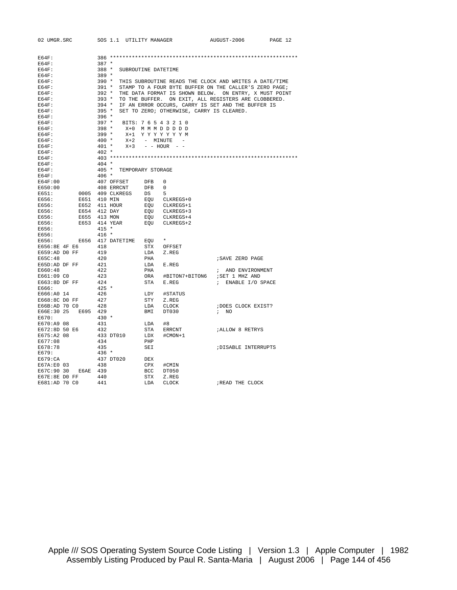| 02 UMGR.SRC         |               |                                                            | SOS 1.1 UTILITY MANAGER     |                     |                                           | AUGUST-2006                                                  | PAGE 12 |
|---------------------|---------------|------------------------------------------------------------|-----------------------------|---------------------|-------------------------------------------|--------------------------------------------------------------|---------|
|                     |               |                                                            |                             |                     |                                           |                                                              |         |
| $EG4F$ :            |               |                                                            |                             |                     |                                           |                                                              |         |
| $EG4F$ :            |               | $387 *$                                                    |                             |                     |                                           |                                                              |         |
| E64F:               |               | $388 *$                                                    |                             | SUBROUTINE DATETIME |                                           |                                                              |         |
| $EG4F$ :            |               | $389 *$                                                    |                             |                     |                                           |                                                              |         |
| $EG4F$ :            |               |                                                            |                             |                     |                                           | 390 * THIS SUBROUTINE READS THE CLOCK AND WRITES A DATE/TIME |         |
| $EG4F$ :            |               | 391 *                                                      |                             |                     |                                           | STAMP TO A FOUR BYTE BUFFER ON THE CALLER'S ZERO PAGE;       |         |
| $EG4F$ :            |               | 392 *                                                      |                             |                     |                                           | THE DATA FORMAT IS SHOWN BELOW. ON ENTRY, X MUST POINT       |         |
| EG4F:               |               | 393 * TO THE BUFFER. ON EXIT, ALL REGISTERS ARE CLOBBERED. |                             |                     |                                           |                                                              |         |
| $EG4F$ :            |               | $394$ *                                                    |                             |                     |                                           | IF AN ERROR OCCURS, CARRY IS SET AND THE BUFFER IS           |         |
| EG4F:               |               | $395 *$                                                    |                             |                     | SET TO ZERO; OTHERWISE, CARRY IS CLEARED. |                                                              |         |
| $EG4F$ :            |               | $396 *$                                                    |                             |                     |                                           |                                                              |         |
| $EG4F$ :            |               |                                                            | 397 * BITS: 7 6 5 4 3 2 1 0 |                     |                                           |                                                              |         |
| EG4F:               |               | $398 *$                                                    |                             |                     | X+0 M M M D D D D D                       |                                                              |         |
| $EG4F$ :            |               | $399*$                                                     |                             |                     | X+1 YYYYYYYM                              |                                                              |         |
| $EG4F$ :            |               | 400 *                                                      |                             |                     | X+2 - MINUTE -                            |                                                              |         |
| $EG4F$ :            |               |                                                            | $401 *$                     |                     | $X+3$ - HOUR - -                          |                                                              |         |
| EG4F:               |               | $402 *$                                                    |                             |                     |                                           |                                                              |         |
| $EG4F$ :            |               |                                                            |                             |                     |                                           |                                                              |         |
| E64F:               |               | $404 *$                                                    |                             |                     |                                           |                                                              |         |
| $EG4F$ :            |               |                                                            | 405 * TEMPORARY STORAGE     |                     |                                           |                                                              |         |
| $EG4F$ :            |               | 406 *                                                      |                             |                     |                                           |                                                              |         |
| EG4F:00             |               |                                                            | 407 OFFSET                  | DFB                 | $\mathbf 0$                               |                                                              |         |
| E650:00             |               |                                                            | 408 ERRCNT                  | DFB                 | $\overline{\phantom{0}}$                  |                                                              |         |
| E651:               |               |                                                            | 0005 409 CLKREGS            | DS                  | - 5                                       |                                                              |         |
| E656:               | E651 410 MIN  |                                                            |                             |                     | EQU CLKREGS+0                             |                                                              |         |
| E656:               | E652 411 HOUR |                                                            |                             |                     | EQU CLKREGS+1                             |                                                              |         |
| E656:               | E654 412 DAY  |                                                            |                             |                     | EQU CLKREGS+3                             |                                                              |         |
| E656:               | E655 413 MON  |                                                            |                             |                     | EQU CLKREGS+4                             |                                                              |         |
| E656:               | E653 414 YEAR |                                                            |                             |                     | EQU CLKREGS+2                             |                                                              |         |
| E656:               |               | $415 *$                                                    |                             |                     |                                           |                                                              |         |
| E656:               |               | $416 *$                                                    |                             |                     |                                           |                                                              |         |
| E656:               |               |                                                            | E656 417 DATETIME EQU       |                     |                                           |                                                              |         |
| E656:8E 4F E6       |               | 418                                                        |                             | STX                 | OFFSET                                    |                                                              |         |
|                     |               |                                                            |                             |                     |                                           |                                                              |         |
| E659:AD DO FF       |               | 419                                                        |                             | LDA                 | Z.REG                                     |                                                              |         |
| E65C:48             |               | 420                                                        |                             | PHA                 |                                           | ; SAVE ZERO PAGE                                             |         |
| E65D:AD DF FF       |               | 421                                                        |                             | LDA                 | E.REG                                     |                                                              |         |
| E660:48             |               | 422                                                        |                             | PHA                 |                                           | ; AND ENVIRONMENT                                            |         |
| E661:09 CO          |               | 423                                                        |                             | ORA                 | #BITON7+BITON6                            | ; SET 1 MHZ AND                                              |         |
| E663:8D DF FF       |               | 424                                                        |                             | STA                 | E.REG                                     | ; ENABLE I/O SPACE                                           |         |
| E666:               |               | $425 *$                                                    |                             |                     |                                           |                                                              |         |
| E666:A0 14          |               | 426                                                        |                             | LDY                 | #STATUS                                   |                                                              |         |
| E668:8C DO FF       |               | 427                                                        |                             | STY                 | Z.REG                                     |                                                              |         |
| E66B:AD 70 C0       |               | 428                                                        |                             | LDA                 | CLOCK                                     | ; DOES CLOCK EXIST?                                          |         |
| E66E:30 25 E695 429 |               |                                                            |                             | BMI                 | DT030                                     | $\frac{1}{2}$ NO                                             |         |
| E670:               |               | $430 *$                                                    |                             |                     |                                           |                                                              |         |
| E670:A9 08          |               | 431                                                        |                             | LDA                 | #8                                        |                                                              |         |
| E672:8D 50 E6       |               | 432                                                        |                             | STA                 | ERRCNT                                    | <b><i>¡ALLOW 8 RETRYS</i></b>                                |         |
| E675:A2 08          |               |                                                            | 433 DT010                   | LDX                 | #CMON+1                                   |                                                              |         |
| E677:08             |               | 434                                                        |                             | PHP                 |                                           |                                                              |         |
| E678:78             |               | 435                                                        |                             | SEI                 |                                           | ; DISABLE INTERRUPTS                                         |         |
| E679:               |               | $436 *$                                                    |                             |                     |                                           |                                                              |         |
| E679:CA             |               |                                                            | 437 DT020                   | DEX                 |                                           |                                                              |         |
| E67A:E0 03          |               | 438                                                        |                             | CPX                 | #CMIN                                     |                                                              |         |
| E67C:90 30          | E6AE 439      |                                                            |                             | BCC                 | DT050                                     |                                                              |         |
| E67E:8E DO FF       |               | 440                                                        |                             | STX                 | Z.REG                                     |                                                              |         |
| E681:AD 70 CO       |               | 441                                                        |                             | LDA                 | <b>CLOCK</b>                              | ; READ THE CLOCK                                             |         |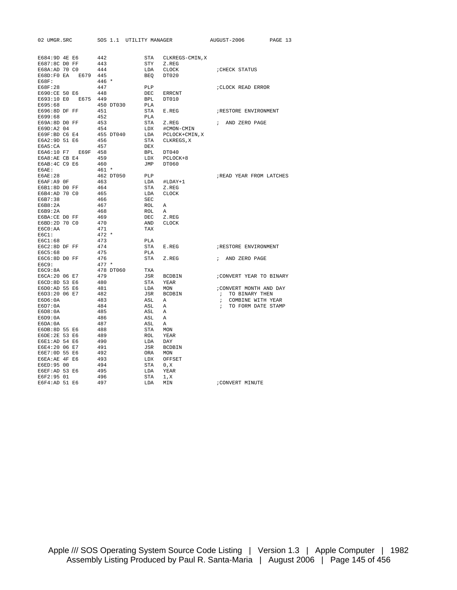| 02 UMGR.SRC                    |      |            | SOS 1.1 UTILITY MANAGER |                   |                 |            | AUGUST-2006                         | PAGE 13 |
|--------------------------------|------|------------|-------------------------|-------------------|-----------------|------------|-------------------------------------|---------|
|                                |      |            |                         |                   |                 |            |                                     |         |
| E684:9D 4E E6                  |      | 442        |                         | STA               | CLKREGS-CMIN, X |            |                                     |         |
| E687:8C DO FF                  |      | 443        |                         | STY               | Z.REG           |            |                                     |         |
| E68A:AD 70 C0                  |      | 444        |                         | LDA               | <b>CLOCK</b>    |            | CHECK STATUS                        |         |
| E68D:F0 EA                     | E679 | 445        |                         | <b>BEO</b>        | DT020           |            |                                     |         |
| E68F:                          |      | 446 *      |                         |                   |                 |            |                                     |         |
| E68F:28                        |      | 447        |                         | PLP               |                 |            | ; CLOCK READ ERROR                  |         |
| E690:CE 50 E6                  |      | 448        |                         | DEC               | ERRCNT          |            |                                     |         |
| E693:10 E0                     | E675 | 449        |                         | <b>BPL</b>        | DT010           |            |                                     |         |
| E695:68                        |      |            | 450 DT030               | PLA               |                 |            |                                     |         |
| E696:8D DF FF                  |      | 451        |                         | STA               | E.REG           |            | RESTORE ENVIRONMENT                 |         |
| E699:68                        |      | 452        |                         | <b>PLA</b>        |                 |            |                                     |         |
| E69A:8D DO FF                  |      | 453        |                         | STA               | Z.REG           | $\ddot{i}$ | AND ZERO PAGE                       |         |
| E69D:A2 04                     |      | 454        |                         | LDX               | #CMON-CMIN      |            |                                     |         |
| E69F:BD C6 E4                  |      |            | 455 DT040               | LDA               | PCLOCK+CMIN, X  |            |                                     |         |
| E6A2:9D 51 E6<br>E6A5:CA       |      | 456<br>457 |                         | STA               | CLKREGS, X      |            |                                     |         |
| E6A6:10 F7                     | E69F | 458        |                         | DEX<br><b>BPL</b> | DT040           |            |                                     |         |
| E6A8:AE CB E4                  |      | 459        |                         | LDX               | PCLOCK+8        |            |                                     |         |
| E6AB: 4C C9 E6                 |      | 460        |                         | JMP               | DT060           |            |                                     |         |
| E6AE:                          |      | $461 *$    |                         |                   |                 |            |                                     |         |
| E6AE:28                        |      |            | 462 DT050               | PLP               |                 |            | ; READ YEAR FROM LATCHES            |         |
| E6AF:A9 OF                     |      | 463        |                         | LDA               | #LDAY+1         |            |                                     |         |
| E6B1:8D DO FF                  |      | 464        |                         | STA               | Z.REG           |            |                                     |         |
| E6B4:AD 70 C0                  |      | 465        |                         | LDA               | CLOCK           |            |                                     |         |
| E6B7:38                        |      | 466        |                         | SEC               |                 |            |                                     |         |
| E6B8:2A                        |      | 467        |                         | <b>ROL</b>        | $\mathbb{A}$    |            |                                     |         |
| E6B9:2A                        |      | 468        |                         | ROL               | Α               |            |                                     |         |
| E6BA:CE DO FF                  |      | 469        |                         | DEC               | Z.REG           |            |                                     |         |
| E6BD: 2D 70 C0                 |      | 470        |                         | AND               | <b>CLOCK</b>    |            |                                     |         |
| E6C0:AA                        |      | 471        |                         | TAX               |                 |            |                                     |         |
| EGC1:                          |      | $472 *$    |                         |                   |                 |            |                                     |         |
| EGC1:68                        |      | 473        |                         | PLA               |                 |            |                                     |         |
| E6C2:8D DF FF                  |      | 474        |                         | STA               | E.REG           |            | ; RESTORE ENVIRONMENT               |         |
| EGC5:68                        |      | 475        |                         | PLA               |                 |            |                                     |         |
| E6C6:8D D0 FF                  |      | 476        |                         | STA               | Z.REG           |            | AND ZERO PAGE<br>$\ddot{i}$         |         |
| EGC9:                          |      | $477 *$    |                         |                   |                 |            |                                     |         |
| EGC9:8A                        |      |            | 478 DT060               | TXA               |                 |            |                                     |         |
| E6CA: 20 06 E7                 |      | 479        |                         | JSR               | <b>BCDBIN</b>   |            | CONVERT YEAR TO BINARY              |         |
| E6CD:8D 53 E6<br>E6D0:AD 55 E6 |      | 480<br>481 |                         | STA<br>LDA        | YEAR<br>MON     |            | ; CONVERT MONTH AND DAY             |         |
| E6D3:20 06 E7                  |      | 482        |                         | JSR               | <b>BCDBIN</b>   |            | TO BINARY THEN<br>$\ddot{i}$        |         |
| E6D6:0A                        |      | 483        |                         | ASL               | Α               |            | COMBINE WITH YEAR<br>$\ddot{i}$     |         |
| E6D7:0A                        |      | 484        |                         | ASL               | Α               |            | TO FORM DATE STAMP<br>$\mathcal{L}$ |         |
| E6D8:0A                        |      | 485        |                         | ASL               | Α               |            |                                     |         |
| E6D9:0A                        |      | 486        |                         | ASL               | Α               |            |                                     |         |
| E6DA:0A                        |      | 487        |                         | ASL               | A               |            |                                     |         |
| E6DB:8D 55 E6                  |      | 488        |                         | STA               | MON             |            |                                     |         |
| E6DE: 2E 53 E6                 |      | 489        |                         | ROL               | YEAR            |            |                                     |         |
| E6E1:AD 54 E6                  |      | 490        |                         | LDA               | DAY             |            |                                     |         |
| E6E4:20 06 E7                  |      | 491        |                         | JSR               | BCDBIN          |            |                                     |         |
| E6E7:0D 55 E6                  |      | 492        |                         | ORA               | MON             |            |                                     |         |
| E6EA:AE 4F E6                  |      | 493        |                         | LDX               | OFFSET          |            |                                     |         |
| E6ED: 95 00                    |      | 494        |                         | STA               | 0, X            |            |                                     |         |
| E6EF:AD 53 E6                  |      | 495        |                         | LDA               | YEAR            |            |                                     |         |
| E6F2:95 01                     |      | 496        |                         | <b>STA</b>        | 1, X            |            |                                     |         |

E6F4:AD 51 E6 497 LDA MIN ;CONVERT MINUTE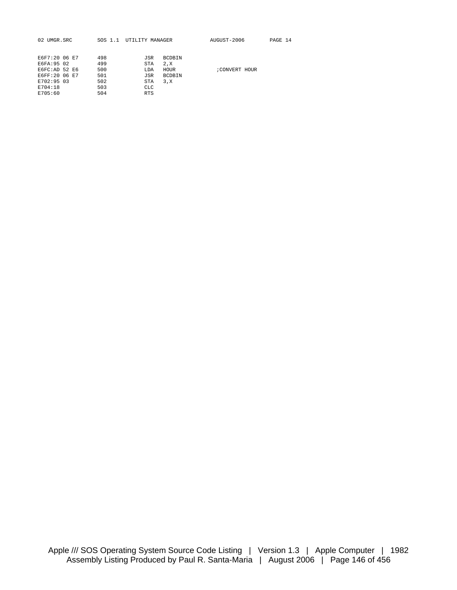| 02 UMGR.SRC   |  | SOS 1.1 | UTILITY MANAGER |               | AUGUST-2006  | PAGE 14 |  |
|---------------|--|---------|-----------------|---------------|--------------|---------|--|
|               |  |         |                 |               |              |         |  |
| E6F7:20 06 E7 |  | 498     | JSR             | <b>BCDBIN</b> |              |         |  |
| E6FA: 95 02   |  | 499     | STA             | 2.X           |              |         |  |
| EGFC:AD 52 E6 |  | 500     | LDA             | HOUR          | CONVERT HOUR |         |  |
| E6FF:20 06 E7 |  | 501     | JSR             | <b>BCDBIN</b> |              |         |  |
| E702:95 03    |  | 502     | STA             | 3.X           |              |         |  |
| E704:18       |  | 503     | <b>CLC</b>      |               |              |         |  |
| E705:60       |  | 504     | <b>RTS</b>      |               |              |         |  |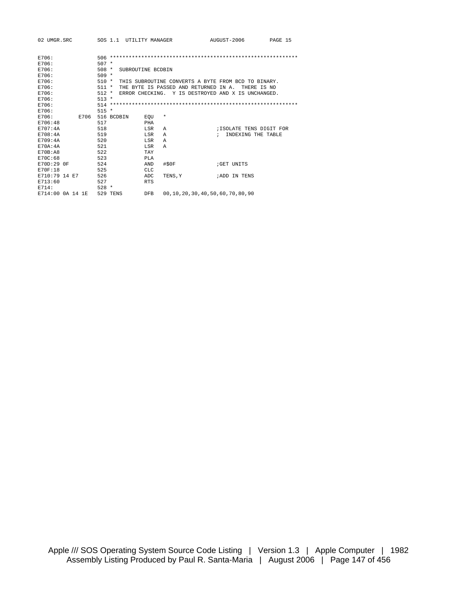| 02 UMGR.SRC      |  |      |            | SOS 1.1 UTILITY MANAGER |                   |          |                                       | AUGUST-2006                                         | PAGE 15     |  |
|------------------|--|------|------------|-------------------------|-------------------|----------|---------------------------------------|-----------------------------------------------------|-------------|--|
|                  |  |      |            |                         |                   |          |                                       |                                                     |             |  |
| E706:            |  |      |            |                         |                   |          |                                       |                                                     |             |  |
| E706:            |  |      | $507 *$    |                         |                   |          |                                       |                                                     |             |  |
| E706:            |  |      | $508 *$    |                         | SUBROUTINE BCDBIN |          |                                       |                                                     |             |  |
| E706:            |  |      | $509 *$    |                         |                   |          |                                       |                                                     |             |  |
| E706:            |  |      | 510 *      |                         |                   |          |                                       | THIS SUBROUTINE CONVERTS A BYTE FROM BCD TO BINARY. |             |  |
| E706:            |  |      | 511 *      |                         |                   |          | THE BYTE IS PASSED AND RETURNED IN A. |                                                     | THERE IS NO |  |
| E706:            |  |      | $512 *$    |                         |                   |          |                                       | ERROR CHECKING. Y IS DESTROYED AND X IS UNCHANGED.  |             |  |
| E706:            |  |      | $513 *$    |                         |                   |          |                                       |                                                     |             |  |
| E706:            |  |      |            |                         |                   |          |                                       |                                                     |             |  |
| E706:            |  |      | $515 *$    |                         |                   |          |                                       |                                                     |             |  |
| E706:            |  | E706 | 516 BCDBIN |                         | EOU               | $^\star$ |                                       |                                                     |             |  |
| E706:48          |  |      | 517        |                         | PHA               |          |                                       |                                                     |             |  |
| F707:4A          |  |      | 518        |                         | LSR               | Α        |                                       | ;ISOLATE TENS DIGIT FOR                             |             |  |
| E708:4A          |  |      | 519        |                         | LSR               | A        |                                       | INDEXING THE TABLE<br>$\mathcal{L}$                 |             |  |
| <b>E709:4A</b>   |  |      | 520        |                         | LSR               | Α        |                                       |                                                     |             |  |
| F.70A:4A         |  |      | 521        |                         | LSR               | A        |                                       |                                                     |             |  |
| E70B:A8          |  |      | 522        |                         | TAY               |          |                                       |                                                     |             |  |
| E70C:68          |  |      | 523        |                         | PLA               |          |                                       |                                                     |             |  |
| E70D:29 0F       |  |      | 524        |                         | AND               | #\$0F    |                                       | GET UNITS                                           |             |  |
| <b>E70F:18</b>   |  |      | 525        |                         | <b>CLC</b>        |          |                                       |                                                     |             |  |
| E710:79 14 E7    |  |      | 526        |                         | ADC               | TENS.Y   |                                       | ;ADD IN TENS                                        |             |  |
| E713:60          |  |      | 527        |                         | <b>RTS</b>        |          |                                       |                                                     |             |  |
| E714:            |  |      | $528 *$    |                         |                   |          |                                       |                                                     |             |  |
| E714:00 0A 14 1E |  |      | 529 TENS   |                         | <b>DFB</b>        |          |                                       | 00, 10, 20, 30, 40, 50, 60, 70, 80, 90              |             |  |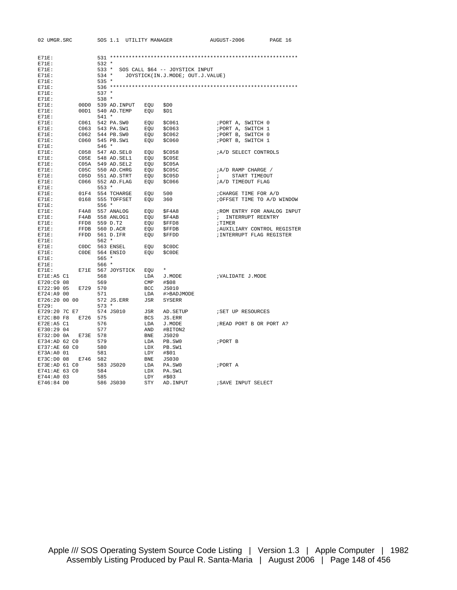| 02 UMGR.SRC           |          | SOS 1.1 UTILITY MANAGER                                                                                                                                                                                                                 |            |                                        | AUGUST-2006                                      | PAGE 16 |
|-----------------------|----------|-----------------------------------------------------------------------------------------------------------------------------------------------------------------------------------------------------------------------------------------|------------|----------------------------------------|--------------------------------------------------|---------|
|                       |          |                                                                                                                                                                                                                                         |            |                                        |                                                  |         |
| $E71E$ :              |          |                                                                                                                                                                                                                                         |            |                                        |                                                  |         |
| $E71E$ :              |          | $532 *$                                                                                                                                                                                                                                 |            |                                        |                                                  |         |
| $E71E$ :              |          |                                                                                                                                                                                                                                         |            | 533 * SOS CALL \$64 -- JOYSTICK INPUT  |                                                  |         |
| $E71E$ :              |          |                                                                                                                                                                                                                                         |            | 534 * JOYSTICK(IN.J.MODE; OUT.J.VALUE) |                                                  |         |
| $E71E$ :              |          | 535 *                                                                                                                                                                                                                                   |            |                                        |                                                  |         |
| $E71E$ :              |          |                                                                                                                                                                                                                                         |            |                                        |                                                  |         |
| $E71E$ :              |          | $537 *$<br>$538 *$                                                                                                                                                                                                                      |            |                                        |                                                  |         |
| $E71E$ :              |          |                                                                                                                                                                                                                                         |            |                                        |                                                  |         |
| $E71E$ :              |          | 00D0 539 AD. INPUT EOU<br>00D1 540 AD.TEMP                                                                                                                                                                                              |            | \$D0<br>\$D1                           |                                                  |         |
| E71E:                 |          | $541 *$                                                                                                                                                                                                                                 | EOU        |                                        |                                                  |         |
| $E71E$ :<br>$E71E$ :  |          | C061 542 PA.SW0 EQU                                                                                                                                                                                                                     |            | \$C061                                 | ;PORT A, SWITCH 0                                |         |
| $E71E$ :              |          | C063 543 PA.SW1                                                                                                                                                                                                                         | EOU        | \$C063                                 | ; PORT A, SWITCH 1                               |         |
| $E71E$ :              |          | C062 544 PB.SW0                                                                                                                                                                                                                         | EQU        | \$C062                                 | ; PORT B, SWITCH 0                               |         |
| $E71E$ :              |          | C060 545 PB.SW1                                                                                                                                                                                                                         | EQU        | \$C060                                 | ; PORT B, SWITCH 1                               |         |
| $E71E$ :              |          | 546 *                                                                                                                                                                                                                                   |            |                                        |                                                  |         |
| E71E:                 |          | C058 547 AD.SEL0 EQU                                                                                                                                                                                                                    |            | \$C058                                 | <i>A/D SELECT CONTROLS</i>                       |         |
| E71E:                 |          |                                                                                                                                                                                                                                         |            | SC05E                                  |                                                  |         |
| $E71E$ :              |          | C05E 548 AD.SEL1 EQU<br>C05A 549 AD.SEL2 EQU                                                                                                                                                                                            |            | \$C05A                                 |                                                  |         |
| $E71E$ :              |          |                                                                                                                                                                                                                                         |            | \$C05C                                 | ; A/D RAMP CHARGE /                              |         |
| $E71E$ :              |          |                                                                                                                                                                                                                                         |            | \$C05D                                 | START TIMEOUT<br>$\mathcal{F}$ and $\mathcal{F}$ |         |
| $E71E$ :              |          | $\begin{tabular}{llllll} \texttt{C05C} & 550 \texttt{ AD}.\texttt{CHRG} & \texttt{EQU} \\ \texttt{C05D} & 551 \texttt{ AD}.\texttt{STRT} & \texttt{EQU} \\ \texttt{C066} & 552 \texttt{ AD}.\texttt{FLAG} & \texttt{EQU} \end{tabular}$ |            | \$C066                                 | <i>;A/D TIMEOUT FLAG</i>                         |         |
| $E71E$ :              |          | $553 *$                                                                                                                                                                                                                                 |            |                                        |                                                  |         |
| $E71E$ :              |          | 01F4 554 TCHARGE EQU                                                                                                                                                                                                                    |            | 500                                    | ; CHARGE TIME FOR A/D                            |         |
| $E71E$ :              |          | 0168 555 TOFFSET EQU                                                                                                                                                                                                                    |            | 360                                    | ; OFFSET TIME TO A/D WINDOW                      |         |
| $E71E$ :              |          | 556 *                                                                                                                                                                                                                                   |            |                                        |                                                  |         |
| $E71E$ :              |          | F4A8 557 ANALOG                                                                                                                                                                                                                         | EQU        | \$F4A8                                 | ; ROM ENTRY FOR ANALOG INPUT                     |         |
| $E71E$ :              |          | F4AB 558 ANLOG1                                                                                                                                                                                                                         | EOU        | \$F4AB                                 | ; INTERRUPT REENTRY                              |         |
| $E71E$ :              |          | FFD8 559 D.T2                                                                                                                                                                                                                           | EOU        | \$FFD8                                 | ; TIMER                                          |         |
| $E71E$ :              |          | FFDB 560 D.ACR                                                                                                                                                                                                                          | EQU        | \$FFDB                                 | ; AUXILIARY CONTROL REGISTER                     |         |
| $E71E$ :              |          | FFDD 561 D.IFR                                                                                                                                                                                                                          | EQU        | <b>SFFDD</b>                           | ; INTERRUPT FLAG REGISTER                        |         |
| $E71E$ :              |          | $562 *$                                                                                                                                                                                                                                 |            |                                        |                                                  |         |
| $E71E$ :              |          | CODC 563 ENSEL                                                                                                                                                                                                                          | EQU        | \$C0DC                                 |                                                  |         |
| $E71E$ :              |          | CODE 564 ENSIO                                                                                                                                                                                                                          | EQU        | \$C0DE                                 |                                                  |         |
| $E71E$ :              |          | $565 *$                                                                                                                                                                                                                                 |            |                                        |                                                  |         |
| E71E:                 |          | $566*$                                                                                                                                                                                                                                  |            |                                        |                                                  |         |
| $E71E$ :              |          | E71E 567 JOYSTICK EQU                                                                                                                                                                                                                   |            | $\star$                                |                                                  |         |
| E71E:A5 C1            |          | 568                                                                                                                                                                                                                                     | LDA        | J.MODE                                 | ; VALIDATE J.MODE                                |         |
| E720:C9 08            |          | 569                                                                                                                                                                                                                                     | CMP        | #\$08                                  |                                                  |         |
| E722:90 05            | E729 570 |                                                                                                                                                                                                                                         | BCC        | JS010                                  |                                                  |         |
| E724:A9 00            |          | 571                                                                                                                                                                                                                                     | LDA        | #>BADJMODE                             |                                                  |         |
| E726:20 00 00         |          | 572 JS.ERR                                                                                                                                                                                                                              | JSR        | <b>SYSERR</b>                          |                                                  |         |
| E729:                 |          | $573 *$                                                                                                                                                                                                                                 |            |                                        |                                                  |         |
| E729:20 7C E7         |          | 574 JS010                                                                                                                                                                                                                               | JSR        | AD.SETUP                               | ; SET UP RESOURCES                               |         |
| E72C:B0 F8            | E726 575 |                                                                                                                                                                                                                                         | BCS        | JS.ERR                                 |                                                  |         |
| E72E:AS <sub>C1</sub> |          | 576                                                                                                                                                                                                                                     | LDA        | J.MODE                                 | ;READ PORT B OR PORT A?                          |         |
| E730:29 04            |          | 577                                                                                                                                                                                                                                     | AND        | #BITON2                                |                                                  |         |
| E732:D0 0A            | E73E 578 |                                                                                                                                                                                                                                         | BNE        | JS020                                  |                                                  |         |
| E734:AD 62 CO         |          | 579                                                                                                                                                                                                                                     | LDA        | PB.SWO                                 | ; PORT B                                         |         |
| E737:AE 60 C0         |          | 580                                                                                                                                                                                                                                     | LDX        | PB.SW1                                 |                                                  |         |
| E73A:A0 01            |          | 581                                                                                                                                                                                                                                     | LDY        | #\$01                                  |                                                  |         |
| E73C:D0 08 E746 582   |          |                                                                                                                                                                                                                                         | <b>BNE</b> | JS030                                  |                                                  |         |
| E73E:AD 61 C0         |          | 583 JS020                                                                                                                                                                                                                               | LDA        | PA.SWO                                 | ;PORT A                                          |         |
| E741:AE 63 CO         |          | 584                                                                                                                                                                                                                                     | LDX        | PA.SW1                                 |                                                  |         |
| E744:A0 03            |          | 585                                                                                                                                                                                                                                     | LDY        | #\$03                                  |                                                  |         |
| E746:84 DO            |          | 586 JS030                                                                                                                                                                                                                               | STY        | AD. INPUT                              | ; SAVE INPUT SELECT                              |         |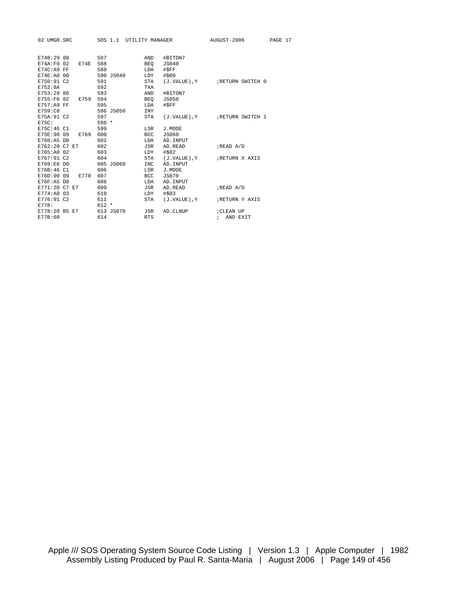| 02 UMGR.SRC                                                                   |  |                         |                                 |           |                                               | SOS 1.1 UTILITY MANAGER                         | AUGUST-2006                              | PAGE 17 |
|-------------------------------------------------------------------------------|--|-------------------------|---------------------------------|-----------|-----------------------------------------------|-------------------------------------------------|------------------------------------------|---------|
| E748:29 80<br>E74A:FO 02<br>E74C:A9 FF<br>E74E:A0 00<br>E750:91 C2<br>E752:8A |  | E74E                    | 587<br>588<br>589<br>591<br>592 | 590 JS040 | AND<br>BEO<br>LDA<br>LDY<br>STA<br><b>TXA</b> | #BITON7<br><b>JS040</b><br>#SFF<br>#\$00        | (J.VALUE), Y FRETURN SWITCH 0            |         |
| E753:29 80<br>E755:F0 02<br>E757:A9 FF<br>E759:C8                             |  | E759 594                | 593<br>595                      | 596 JS050 | AND<br>BEO<br>LDA<br><b>INY</b>               | #BITON7<br>JS050<br>#\$FF                       |                                          |         |
| E75A: 91 C2<br>E75C:<br>E75C:46 C1                                            |  |                         | 597<br>$598 *$<br>599           |           | STA<br>LSR                                    | J.MODE                                          | (J.VALUE), Y FRETURN SWITCH 1            |         |
| E760:A5 DO                                                                    |  | E75E:90 09 E769         | 600<br>601                      |           | BCC<br>LDA                                    | <b>JS060</b><br>AD. INPUT                       |                                          |         |
| E762:20 C7 E7<br>E765:A0 02<br>E767:91 C2                                     |  |                         | 602<br>603<br>604               |           | JSR<br>LDY<br>STA                             | AD.READ<br>#\$02                                | ;READ A/D<br>(J.VALUE), Y FRETURN X AXIS |         |
| E769:E6 D0<br>E76B:46 C1<br>$E76F:AB$ DO                                      |  | E76D:90 09 E778         | 606<br>607<br>608               | 605 JS060 | INC<br>LSR<br>BCC<br>LDA                      | AD.INPUT<br>J.MODE<br><b>JS070</b><br>AD. INPUT |                                          |         |
| E771:20 C7 E7<br>E774:A0 03<br>E776:91 C2                                     |  |                         | 609<br>610<br>611               |           | JSR<br>LDY<br>STA                             | AD.READ<br>#\$03<br>(J.VALUE), Y                | ;READ A/D<br>RETURN Y AXIS               |         |
| E778:<br>E77B:60                                                              |  | E778:20 B5 E7 613 JS070 | $612 *$<br>614                  |           | JSR<br><b>RTS</b>                             | AD.CLNUP                                        | ; CLEAN UP<br>AND EXIT<br>$\mathcal{L}$  |         |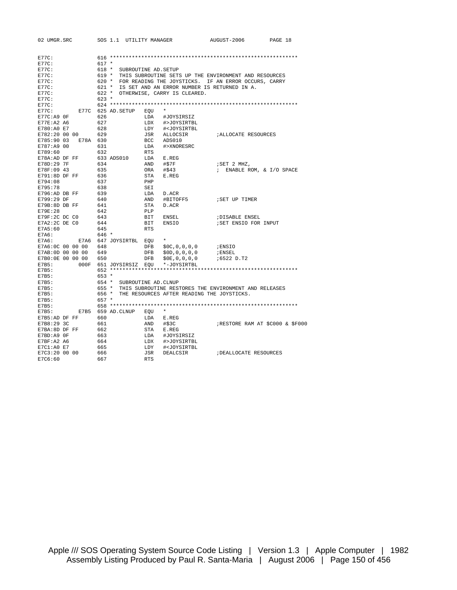| 02 UMGR.SRC       |                    |         |            | SOS 1.1 UTILITY MANAGER |            |                                                     | AUGUST-2006                                                 | PAGE 18                        |
|-------------------|--------------------|---------|------------|-------------------------|------------|-----------------------------------------------------|-------------------------------------------------------------|--------------------------------|
|                   |                    |         |            |                         |            |                                                     |                                                             |                                |
| E77C:             |                    |         |            |                         |            |                                                     |                                                             |                                |
| E77C:             |                    | $617 *$ |            |                         |            |                                                     |                                                             |                                |
| E77C:             |                    | 618 *   |            |                         |            | SUBROUTINE AD. SETUP                                |                                                             |                                |
| E77C:             |                    |         |            |                         |            |                                                     | 619 * THIS SUBROUTINE SETS UP THE ENVIRONMENT AND RESOURCES |                                |
| E77C:             |                    |         |            |                         |            |                                                     | 620 * FOR READING THE JOYSTICKS. IF AN ERROR OCCURS, CARRY  |                                |
| E77C:             |                    | 621 *   |            |                         |            |                                                     | IS SET AND AN ERROR NUMBER IS RETURNED IN A.                |                                |
| $E77C$ :          |                    | $622 *$ |            |                         |            | OTHERWISE, CARRY IS CLEARED.                        |                                                             |                                |
| E77C:             |                    | $623 *$ |            |                         |            |                                                     |                                                             |                                |
| E77C:             |                    |         |            |                         |            |                                                     |                                                             |                                |
| E77C:             | E77C 625 AD. SETUP |         |            |                         | EOU        |                                                     |                                                             |                                |
| $E77C: A9$ OF     |                    | 626     |            |                         | LDA        | #JOYSIRSIZ                                          |                                                             |                                |
| E77E:A2 A6        |                    | 627     |            |                         | LDX        | #>JOYSIRTBL                                         |                                                             |                                |
| E780:A0 E7        |                    | 628     |            |                         | LDY        | # <joysirtbl< td=""><td></td><td></td></joysirtbl<> |                                                             |                                |
| E782:20 00 00     |                    | 629     |            |                         | JSR        | ALLOCSIR                                            | <i>IALLOCATE RESOURCES</i>                                  |                                |
| E785:90 03        | E78A 630           |         |            |                         | BCC        | ADS010                                              |                                                             |                                |
| E787:A9 00        |                    | 631     |            |                         | LDA        | #>XNORESRC                                          |                                                             |                                |
| E789:60           |                    | 632     |            |                         | <b>RTS</b> |                                                     |                                                             |                                |
| E78A:AD DF FF     |                    |         | 633 ADS010 |                         | LDA        | E.REG                                               |                                                             |                                |
| E78D:29 7F        |                    | 634     |            |                         | AND        | #\$7F                                               | ;SET 2 MHZ,                                                 |                                |
| E78F:09 43        |                    | 635     |            |                         | ORA        | #\$43                                               | ; ENABLE ROM, & I/O SPACE                                   |                                |
| E791:8D DF FF     |                    | 636     |            |                         | STA        | ${\bf E}$ . ${\bf REG}$                             |                                                             |                                |
| E794:08           |                    | 637     |            |                         | PHP        |                                                     |                                                             |                                |
| E795:78           |                    | 638     |            |                         | SEI        |                                                     |                                                             |                                |
| E796:AD DB FF     |                    | 639     |            |                         | LDA        | D.ACR                                               |                                                             |                                |
| E799:29 DF        |                    | 640     |            |                         | AND        | #BITOFF5                                            | SET UP TIMER                                                |                                |
| E79B:8D DB FF     |                    | 641     |            |                         | STA        | D.ACR                                               |                                                             |                                |
| E79E:28           |                    | 642     |            |                         | PLP        |                                                     |                                                             |                                |
| E79F:2C DC C0     |                    | 643     |            |                         | BIT        | ENSEL                                               | <b>;DISABLE ENSEL</b>                                       |                                |
| E7A2:2C DE C0     |                    | 644     |            |                         | BIT        | ENSIO                                               | ; SET ENSIO FOR INPUT                                       |                                |
| E7A5:60           |                    | 645     |            |                         | <b>RTS</b> |                                                     |                                                             |                                |
| E7A6:             |                    | 646 *   |            |                         |            |                                                     |                                                             |                                |
| F7A6:             | E7A6               |         |            | 647 JOYSIRTBL EOU       |            | $\star$                                             |                                                             |                                |
| E7A6:0C 00 00 00  |                    | 648     |            |                         | DFB        | \$0C, 0, 0, 0, 0                                    | ; ENSIO                                                     |                                |
| E7AB: 0D 00 00 00 |                    | 649     |            |                         | DFB        | \$0D, 0, 0, 0, 0                                    | ; ENSEL                                                     |                                |
| E7B0:0E 00 00 00  |                    | 650     |            |                         | DFB        | \$0E, 0, 0, 0, 0                                    | ;6522 D.T2                                                  |                                |
| E7B5:             | 000F               |         |            | 651 JOYSIRSIZ           | EOU        | *-JOYSIRTBL                                         |                                                             |                                |
| E7B5:             |                    |         |            |                         |            |                                                     |                                                             |                                |
| E7B5:             |                    | $653 *$ |            |                         |            |                                                     |                                                             |                                |
| E7B5:             |                    | 654 *   |            |                         |            | SUBROUTINE AD. CLNUP                                |                                                             |                                |
| E7B5:             |                    | $655 *$ |            |                         |            |                                                     | THIS SUBROUTINE RESTORES THE ENVIRONMENT AND RELEASES       |                                |
| E7B5:             |                    | 656 *   |            |                         |            |                                                     | THE RESOURCES AFTER READING THE JOYSTICKS.                  |                                |
| E7B5:             |                    | $657 *$ |            |                         |            |                                                     |                                                             |                                |
| E7B5:             |                    |         |            |                         |            |                                                     |                                                             |                                |
| E7B5:             | E7B5               |         |            | 659 AD.CLNUP            | EOU        | $\star$                                             |                                                             |                                |
| E7B5:AD DF FF     |                    | 660     |            |                         | LDA        | E.REG                                               |                                                             |                                |
| E7B8:29 3C        |                    | 661     |            |                         | AND        | #\$3C                                               |                                                             | RESTORE RAM AT \$C000 & \$F000 |
| E7BA: 8D DF FF    |                    | 662     |            |                         | STA        | E.REG                                               |                                                             |                                |
| E7BD:A9 OF        |                    | 663     |            |                         | LDA        | #JOYSIRSIZ                                          |                                                             |                                |
| E7BF:A2 A6        |                    | 664     |            |                         | LDX        | #>JOYSIRTBL                                         |                                                             |                                |
| E7C1:AO E7        |                    | 665     |            |                         | LDY        | # <joysirtbl< td=""><td></td><td></td></joysirtbl<> |                                                             |                                |
| E7C3:20 00 00     |                    | 666     |            |                         | JSR        | DEALCSIR                                            | ; DEALLOCATE RESOURCES                                      |                                |
| E7C6:60           |                    | 667     |            |                         | <b>RTS</b> |                                                     |                                                             |                                |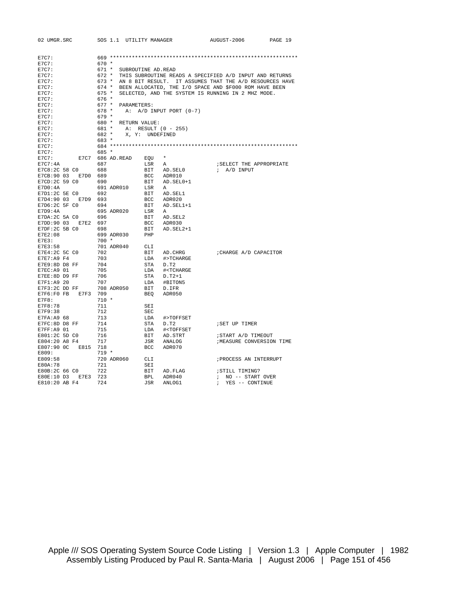| 02 UMGR.SRC                           | SOS 1.1 UTILITY MANAGER |                    |                                                 | AUGUST-2006                                                  | PAGE 19 |
|---------------------------------------|-------------------------|--------------------|-------------------------------------------------|--------------------------------------------------------------|---------|
|                                       |                         |                    |                                                 |                                                              |         |
| E7C7:                                 |                         |                    |                                                 |                                                              |         |
| E7C7:                                 | $670 *$                 |                    |                                                 |                                                              |         |
| E7C7:                                 | 671 *                   | SUBROUTINE AD.READ |                                                 |                                                              |         |
| E7C7:                                 | 672 *                   |                    |                                                 | THIS SUBROUTINE READS A SPECIFIED A/D INPUT AND RETURNS      |         |
| E7C7:                                 | 673 *                   |                    |                                                 | AN 8 BIT RESULT. IT ASSUMES THAT THE A/D RESOURCES HAVE      |         |
| E7C7:                                 |                         |                    |                                                 | 674 * BEEN ALLOCATED, THE I/O SPACE AND \$F000 ROM HAVE BEEN |         |
| E7C7:                                 | 675 *                   |                    |                                                 | SELECTED, AND THE SYSTEM IS RUNNING IN 2 MHZ MODE.           |         |
| E7C7:                                 | 676 *                   |                    |                                                 |                                                              |         |
| E7C7:                                 | $677 *$<br>PARAMETERS:  |                    |                                                 |                                                              |         |
| E7C7:                                 | 678 *                   |                    | A: $A/D$ INPUT PORT $(0-7)$                     |                                                              |         |
| E7C7:                                 | 679 *                   |                    |                                                 |                                                              |         |
| E7C7:                                 | 680 * RETURN VALUE:     |                    |                                                 |                                                              |         |
| E7C7:                                 | 681 *                   |                    | A: RESULT (0 - 255)                             |                                                              |         |
| E7C7:                                 | 682 *                   | X, Y: UNDEFINED    |                                                 |                                                              |         |
| E7C7:                                 | 683 *                   |                    |                                                 |                                                              |         |
| E7C7:                                 |                         |                    |                                                 |                                                              |         |
| E7C7:                                 | 685 *                   |                    |                                                 |                                                              |         |
| E7C7:                                 | E7C7 686 AD.READ        | EOU                | $\star$                                         |                                                              |         |
| E7C7:4A                               | 687                     | LSR                | Α                                               | ; SELECT THE APPROPRIATE                                     |         |
| E7C8:2C 58 CO                         | 688                     | BIT                | AD.SEL0                                         | $\lambda$ A/D INPUT                                          |         |
| E7CB:90 03 E7D0                       | 689                     | BCC                | ADR010                                          |                                                              |         |
| E7CD: 2C 59 C0                        | 690                     | BIT                | AD.SEL0+1                                       |                                                              |         |
| E7D0:4A                               | 691 ADR010              | LSR                | A                                               |                                                              |         |
| E7D1:2C 5E C0                         | 692                     | BIT                | AD.SEL1                                         |                                                              |         |
| E7D4:90 03 E7D9 693                   |                         | BCC                | ADR020                                          |                                                              |         |
| E7D6:2C 5F C0                         | 694                     | BIT                | AD.SEL1+1                                       |                                                              |         |
| E7D9:4A                               | 695 ADR020              | LSR                | A                                               |                                                              |         |
|                                       | 696                     | BIT                | AD.SEL2                                         |                                                              |         |
| E7DA: 2C 5A CO<br>E7DD:90 03 E7E2 697 |                         | BCC                | ADR030                                          |                                                              |         |
| $E7DF:2C$ 5B $C0$                     | 698                     | BIT                | AD.SEL2+1                                       |                                                              |         |
| E7E2:08                               | 699 ADR030              | PHP                |                                                 |                                                              |         |
|                                       | $700 *$                 |                    |                                                 |                                                              |         |
| E7E3:<br>E7E3:58                      | 701 ADR040              | CLI                |                                                 |                                                              |         |
| E7E4:2C 5C CO                         | 702                     |                    |                                                 |                                                              |         |
|                                       |                         | BIT                | AD.CHRG                                         | ; CHARGE A/D CAPACITOR                                       |         |
| E7E7:A9 F4                            | 703                     | LDA                | #>TCHARGE                                       |                                                              |         |
| E7E9:8D D8 FF                         | 704                     | STA                | D.T2                                            |                                                              |         |
| E7EC: A9 01                           | 705                     | LDA                | # <tcharge< td=""><td></td><td></td></tcharge<> |                                                              |         |
| E7EE:8D D9 FF                         | 706                     | STA                | $D.T2+1$                                        |                                                              |         |
| E7F1:A9 20                            | 707                     | LDA                | #BITON5                                         |                                                              |         |
| E7F3:2C DD FF                         | 708 ADR050              | BIT                | D.IFR                                           |                                                              |         |
| E7F6:F0 FB<br>E7F3                    | 709                     | BEO                | ADR050                                          |                                                              |         |
| E7F8:                                 | $710 *$                 |                    |                                                 |                                                              |         |
| E7F8:78                               | 711                     | SEI                |                                                 |                                                              |         |
| E7F9:38                               | 712                     | <b>SEC</b>         |                                                 |                                                              |         |
| E7FA: A9 68                           | 713                     | LDA                | #>TOFFSET                                       |                                                              |         |
| E7FC:8D D8 FF                         | 714                     | STA                | D.T2                                            | ; SET UP TIMER                                               |         |
| E7FF:A9 01                            | 715                     | LDA                | # <toffset< td=""><td></td><td></td></toffset<> |                                                              |         |
| E801:2C 5D C0                         | 716                     | BIT                | AD.STRT                                         | ; START A/D TIMEOUT                                          |         |
| E804:20 A8 F4                         | 717                     | JSR                | ANALOG                                          | ; MEASURE CONVERSION TIME                                    |         |
| E807:90 0C<br>E815 718                |                         | BCC                | ADR070                                          |                                                              |         |
| E809:                                 | $719 *$                 |                    |                                                 |                                                              |         |
| E809:58                               | 720 ADR060              | CLI                |                                                 | ; PROCESS AN INTERRUPT                                       |         |
| E80A:78                               | 721                     | SEI                |                                                 |                                                              |         |
| E80B:2C 66 CO                         | 722                     | BIT                | AD.FLAG                                         | ; STILL TIMING?                                              |         |
| E80E:10 D3 E7E3                       | 723                     | <b>BPL</b>         | ADR040                                          | ; NO -- START OVER                                           |         |
| E810:20 AB F4                         | 724                     | JSR                | ANLOG1                                          | YES -- CONTINUE<br>$\ddot{i}$                                |         |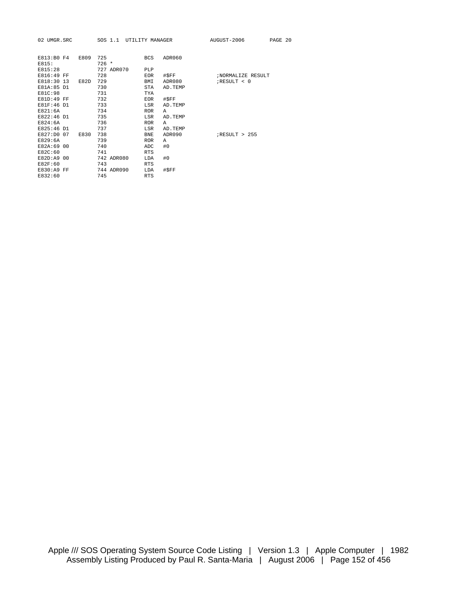| 02 UMGR.SRC |          | SOS 1.1 UTILITY MANAGER |            |        | AUGUST-2006 | PAGE 20 |
|-------------|----------|-------------------------|------------|--------|-------------|---------|
|             |          |                         |            |        |             |         |
| E813:B0 F4  | E809 725 |                         | <b>BCS</b> | ADR060 |             |         |
| E815:       |          | $726 *$                 |            |        |             |         |
| E815:28     |          | 727 ADR070              | PLP        |        |             |         |

| E816:49 FF  |  |      | 728 |            | <b>EOR</b> | #\$FF   |                  | ;NORMALIZE RESULT |
|-------------|--|------|-----|------------|------------|---------|------------------|-------------------|
| E818:30 13  |  | E82D | 729 |            | BMI        | ADR080  | $i$ RESULT < 0   |                   |
| E81A:85 D1  |  |      | 730 |            | <b>STA</b> | AD.TEMP |                  |                   |
| E81C:98     |  |      | 731 |            | TYA        |         |                  |                   |
| E81D:49 FF  |  |      | 732 |            | <b>EOR</b> | #SFF    |                  |                   |
| E81F:46 D1  |  |      | 733 |            | LSR        | AD.TEMP |                  |                   |
| E821:6A     |  |      | 734 |            | <b>ROR</b> | A       |                  |                   |
| E822:46 D1  |  |      | 735 |            | LSR        | AD.TEMP |                  |                   |
| E824:6A     |  |      | 736 |            | <b>ROR</b> | A       |                  |                   |
| E825:46 D1  |  |      | 737 |            | LSR        | AD.TEMP |                  |                   |
| E827:DO 07  |  | E830 | 738 |            | BNE        | ADR090  | $i$ RESULT > 255 |                   |
| E829:6A     |  |      | 739 |            | <b>ROR</b> | A       |                  |                   |
| E82A:69 00  |  |      | 740 |            | ADC        | #0      |                  |                   |
| E82C:60     |  |      | 741 |            | RTS        |         |                  |                   |
| E82D: A9 00 |  |      |     | 742 ADR080 | LDA        | #0      |                  |                   |
| E82F:60     |  |      | 743 |            | RTS        |         |                  |                   |
| E830:A9 FF  |  |      |     | 744 ADR090 | LDA        | #\$FF   |                  |                   |
| E832:60     |  |      | 745 |            | <b>RTS</b> |         |                  |                   |
|             |  |      |     |            |            |         |                  |                   |

Apple /// SOS Operating System Source Code Listing | Version 1.3 | Apple Computer | 1982 Assembly Listing Produced by Paul R. Santa-Maria | August 2006 | Page 152 of 456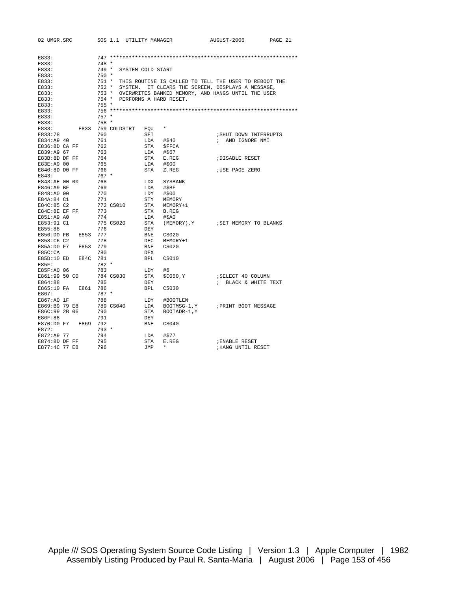| 02 UMGR.SRC    |          |         | SOS 1.1 UTILITY MANAGER |            |                        | AUGUST-2006                                                 | PAGE 21 |
|----------------|----------|---------|-------------------------|------------|------------------------|-------------------------------------------------------------|---------|
|                |          |         |                         |            |                        |                                                             |         |
| E833:          |          |         |                         |            |                        |                                                             |         |
| E833:          |          | $748 *$ |                         |            |                        |                                                             |         |
| E833:          |          | $749 *$ | SYSTEM COLD START       |            |                        |                                                             |         |
| E833:          |          | $750 *$ |                         |            |                        |                                                             |         |
|                |          |         |                         |            |                        |                                                             |         |
| E833:          |          | $752 *$ |                         |            |                        | 751 * THIS ROUTINE IS CALLED TO TELL THE USER TO REBOOT THE |         |
| E833:          |          |         | SYSTEM.                 |            |                        | IT CLEARS THE SCREEN, DISPLAYS A MESSAGE,                   |         |
| E833:          |          | $753 *$ |                         |            |                        | OVERWRITES BANKED MEMORY, AND HANGS UNTIL THE USER          |         |
| E833:          |          | $754 *$ |                         |            | PERFORMS A HARD RESET. |                                                             |         |
| E833:          |          | $755 *$ |                         |            |                        |                                                             |         |
| E833:          |          |         |                         |            |                        |                                                             |         |
| E833:          |          | $757 *$ |                         |            |                        |                                                             |         |
| E833:          |          | 758 *   |                         |            |                        |                                                             |         |
| E833:          |          |         | E833 759 COLDSTRT       | EOU        | $^\star$               |                                                             |         |
| E833:78        |          | 760     |                         | SEI        |                        | ; SHUT DOWN INTERRUPTS                                      |         |
| E834:A9 40     |          | 761     |                         |            | $LDA$ #\$40            | ; AND IGNORE NMI                                            |         |
| E836:8D CA FF  |          | 762     |                         |            | STA \$FFCA             |                                                             |         |
| E839:A9 67     |          | 763     |                         |            | LDA #\$67              |                                                             |         |
| E83B:8D DF FF  |          | 764     |                         | STA        | E.REG                  | <b>;DISABLE RESET</b>                                       |         |
| E83E:A9 00     |          | 765     |                         |            | $LDA$ #\$00            |                                                             |         |
| E840:8D DO FF  |          | 766     |                         | STA        | Z.REG                  | <b>;USE PAGE ZERO</b>                                       |         |
| E843:          |          | $767 *$ |                         |            |                        |                                                             |         |
| E843:AE 00 00  |          | 768     |                         |            | LDX SYSBANK            |                                                             |         |
| E846:A9 BF     |          | 769     |                         | LDA        | #\$BF                  |                                                             |         |
| E848:A0 00     |          | 770     |                         | LDY        | #\$00                  |                                                             |         |
| E84A:84 C1     |          | 771     |                         | STY        | MEMORY                 |                                                             |         |
| E84C:85 C2     |          |         | 772 CS010               | STA        | MEMORY+1               |                                                             |         |
| E84E:8E EF FF  |          | 773     |                         | STX        | B.REG                  |                                                             |         |
| E851:A9 A0     |          | 774     |                         | LDA        | #\$A0                  |                                                             |         |
| E853:91 C1     |          |         | 775 CS020               | STA        |                        | (MEMORY), Y : SET MEMORY TO BLANKS                          |         |
| E855:88        |          | 776     |                         | DEY        |                        |                                                             |         |
| E856:D0 FB     | E853 777 |         |                         | BNE        | CS020                  |                                                             |         |
| E858:C6 C2     |          | 778     |                         | <b>DEC</b> | MEMORY+1               |                                                             |         |
| E85A:D0 F7     | E853     | 779     |                         | BNE        | CS020                  |                                                             |         |
| E85C:CA        |          | 780     |                         | DEX        |                        |                                                             |         |
| E85D:10 ED     | E84C 781 |         |                         | <b>BPL</b> | CS010                  |                                                             |         |
| $E85F$ :       |          | $782 *$ |                         |            |                        |                                                             |         |
| E85F:A0 06     |          | 783     |                         | LDY        | #6                     |                                                             |         |
| E861:99 50 CO  |          |         | 784 CS030               | STA        |                        |                                                             |         |
|                |          |         |                         |            | \$C050,Y               | ; SELECT 40 COLUMN                                          |         |
| E864:88        |          | 785     |                         | DEY        |                        | ; BLACK & WHITE TEXT                                        |         |
| E865:10 FA     | E861     | 786     |                         | BPL        | CS030                  |                                                             |         |
| E867:          |          | $787 *$ |                         |            |                        |                                                             |         |
| E867:A0 1F     |          | 788     |                         | LDY        | #BOOTLEN               |                                                             |         |
| E869:B9 79 E8  |          |         | 789 CS040               | LDA        | BOOTMSG-1, Y           | PRINT BOOT MESSAGE                                          |         |
| E86C:99 2B 06  |          | 790     |                         | STA        | BOOTADR-1, Y           |                                                             |         |
| E86F:88        |          | 791     |                         | DEY        |                        |                                                             |         |
| E870:D0 F7     | E869 792 |         |                         | BNE        | CS040                  |                                                             |         |
| E872:          |          | $793 *$ |                         |            |                        |                                                             |         |
| E872:A9 77     |          | 794     |                         | LDA        | #\$77                  |                                                             |         |
| $E874:8DDF$ FF |          | 795     |                         | STA        | E.REG                  | <b>; ENABLE RESET</b>                                       |         |
| E877:4C 77 E8  |          | 796     |                         | JMP        | $\star$                | <b>; HANG UNTIL RESET</b>                                   |         |
|                |          |         |                         |            |                        |                                                             |         |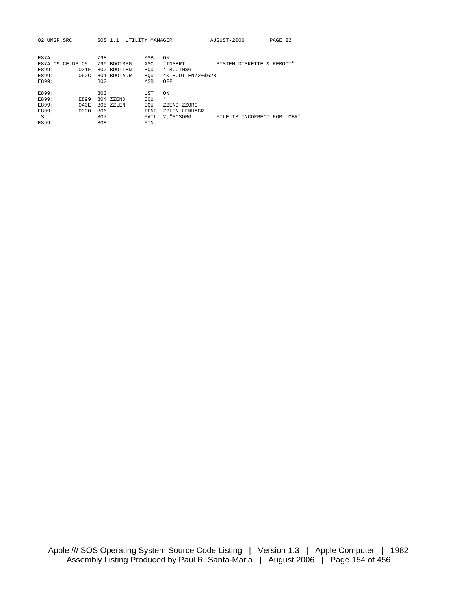| UMGR.SRC<br>02.                                                               | SOS 1.1                                                                               | UTILITY MANAGER                                                                                          | AUGUST-2006                           | PAGE 22             |
|-------------------------------------------------------------------------------|---------------------------------------------------------------------------------------|----------------------------------------------------------------------------------------------------------|---------------------------------------|---------------------|
| $E87A$ :<br>E87A:C9<br>CE D3 C5<br>E899:<br>001F<br>E899:<br>062C<br>E899:    | 798<br>799<br><b>BOOTMSG</b><br>800<br><b>BOOTLEN</b><br>801<br><b>BOOTADR</b><br>802 | <b>MSB</b><br>ON<br>ASC<br>"INSERT<br>EOU<br>*-BOOTMSG<br>40-BOOTLEN/2+\$628<br>EOU<br><b>MSB</b><br>OFF | SYSTEM DISKETTE                       | REBOOT"<br>$\delta$ |
| E899:<br>E899:<br><b>E899</b><br>E899:<br>040E<br>E899:<br>0000<br>S<br>E899: | 803<br>804 ZZEND<br>805 ZZLEN<br>806<br>807<br>808                                    | <b>LST</b><br>ON<br>*<br>EOU<br>EOU<br>ZZEND-ZZORG<br>IFNE<br>ZZLEN-LENUMGR<br>2. "SOSORG<br>FAIL<br>FIN | IS INCORRECT FOR UMBR"<br><b>FTLE</b> |                     |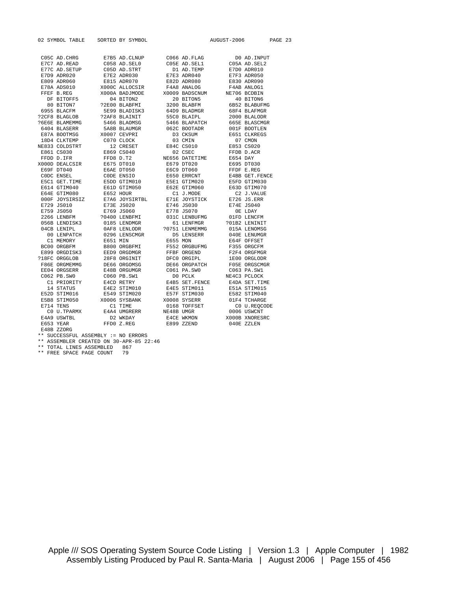|                                | 02 SYMBOL TABLE SORTED BY SYMBOL    |                                                                                                                                                                                                                                            |                        | AUGUST-2006                                                                                                                                                                                                                                                                                                                                                                                                                |                               | PAGE 23 |  |
|--------------------------------|-------------------------------------|--------------------------------------------------------------------------------------------------------------------------------------------------------------------------------------------------------------------------------------------|------------------------|----------------------------------------------------------------------------------------------------------------------------------------------------------------------------------------------------------------------------------------------------------------------------------------------------------------------------------------------------------------------------------------------------------------------------|-------------------------------|---------|--|
|                                |                                     |                                                                                                                                                                                                                                            |                        |                                                                                                                                                                                                                                                                                                                                                                                                                            |                               |         |  |
|                                |                                     |                                                                                                                                                                                                                                            |                        | $\begin{tabular}{lllllllllllllllllll} \multicolumn{4}{c }{\text{C05C AD. CHRG}} &\multicolumn{4}{c }{E7B5 AD. CLMUP} &\multicolumn{4}{c }{\text{C056 AD. FLAG}} &\multicolumn{4}{c }{\text{D0 AD. INPUT}} \\ \multicolumn{4}{c }{E7C7 AD. READ} &\multicolumn{4}{c }{\text{C058 AD. SELO}} &\multicolumn{4}{c }{\text{C058 AD. SELO}} &\multicolumn{4}{c }{\text{C058 AD. SEL1}} &\multicolumn{4}{c }{\text{C058 AD. SEL1$ |                               |         |  |
|                                |                                     |                                                                                                                                                                                                                                            |                        |                                                                                                                                                                                                                                                                                                                                                                                                                            |                               |         |  |
|                                |                                     |                                                                                                                                                                                                                                            |                        | ETTE AD.SETUP COSD AD.STRT – DI AD.TEMP ETTO ADROID<br>ETTE AD.SETUP COSD AD.STRT – DI AD.TEMP ETTO ADROID<br>ETTE B.REG – XOOOC ALLOCSIR – FAA8 ANALOG – FAAB ANLOGI<br>FREE B.REG – XOOOC ALLOCSIR – FAA8 ANALOG – FAAB ANLOGI<br>FR                                                                                                                                                                                     |                               |         |  |
|                                |                                     |                                                                                                                                                                                                                                            |                        |                                                                                                                                                                                                                                                                                                                                                                                                                            |                               |         |  |
|                                |                                     |                                                                                                                                                                                                                                            |                        |                                                                                                                                                                                                                                                                                                                                                                                                                            |                               |         |  |
|                                |                                     |                                                                                                                                                                                                                                            |                        |                                                                                                                                                                                                                                                                                                                                                                                                                            |                               |         |  |
|                                |                                     |                                                                                                                                                                                                                                            |                        |                                                                                                                                                                                                                                                                                                                                                                                                                            |                               |         |  |
|                                |                                     |                                                                                                                                                                                                                                            |                        |                                                                                                                                                                                                                                                                                                                                                                                                                            |                               |         |  |
|                                |                                     |                                                                                                                                                                                                                                            |                        |                                                                                                                                                                                                                                                                                                                                                                                                                            |                               |         |  |
|                                |                                     |                                                                                                                                                                                                                                            |                        |                                                                                                                                                                                                                                                                                                                                                                                                                            |                               |         |  |
|                                |                                     |                                                                                                                                                                                                                                            |                        | FREE B.REG 2000A BADJMODE 20009 BADSCNUM NE706 BCDBIN<br>DF BITOFF5 04 BITON2 20 BITON5 40 BITON6<br>80 BITON7 22E00 BLABFMI 3200 BLABFM 6B52 BLABUFMG<br>6955 BLACEM 5E99 BLADISK3 64D9 BLADMGR 68F4 BLAFMGR<br>2000 BLAAGLOB 22AF8 B                                                                                                                                                                                     |                               |         |  |
|                                |                                     |                                                                                                                                                                                                                                            | 5466 BLAPATCH          |                                                                                                                                                                                                                                                                                                                                                                                                                            |                               |         |  |
| ?6E6E BLAMEMMG<br>6404 BLASERR |                                     | 5466 BLAOMSG<br>5A8B BLAUMGR                                                                                                                                                                                                               | 062C BOOTADR           |                                                                                                                                                                                                                                                                                                                                                                                                                            | 665E BLASCMGR<br>001F BOOTLEN |         |  |
|                                |                                     |                                                                                                                                                                                                                                            |                        |                                                                                                                                                                                                                                                                                                                                                                                                                            |                               |         |  |
|                                |                                     |                                                                                                                                                                                                                                            |                        |                                                                                                                                                                                                                                                                                                                                                                                                                            |                               |         |  |
|                                |                                     |                                                                                                                                                                                                                                            |                        |                                                                                                                                                                                                                                                                                                                                                                                                                            |                               |         |  |
|                                |                                     |                                                                                                                                                                                                                                            |                        |                                                                                                                                                                                                                                                                                                                                                                                                                            |                               |         |  |
|                                |                                     |                                                                                                                                                                                                                                            |                        |                                                                                                                                                                                                                                                                                                                                                                                                                            |                               |         |  |
|                                |                                     |                                                                                                                                                                                                                                            |                        |                                                                                                                                                                                                                                                                                                                                                                                                                            |                               |         |  |
|                                |                                     |                                                                                                                                                                                                                                            |                        |                                                                                                                                                                                                                                                                                                                                                                                                                            |                               |         |  |
|                                |                                     |                                                                                                                                                                                                                                            |                        |                                                                                                                                                                                                                                                                                                                                                                                                                            |                               |         |  |
|                                |                                     |                                                                                                                                                                                                                                            |                        |                                                                                                                                                                                                                                                                                                                                                                                                                            |                               |         |  |
|                                |                                     |                                                                                                                                                                                                                                            |                        |                                                                                                                                                                                                                                                                                                                                                                                                                            |                               |         |  |
|                                |                                     |                                                                                                                                                                                                                                            |                        |                                                                                                                                                                                                                                                                                                                                                                                                                            |                               |         |  |
|                                |                                     |                                                                                                                                                                                                                                            |                        |                                                                                                                                                                                                                                                                                                                                                                                                                            |                               |         |  |
|                                |                                     |                                                                                                                                                                                                                                            |                        |                                                                                                                                                                                                                                                                                                                                                                                                                            |                               |         |  |
|                                |                                     |                                                                                                                                                                                                                                            |                        | $\begin{tabular}{lcccc} E74 & E75 & 0.5010 \\ E75 & 0.5010 & 0.5010 \\ 275 & 0.5010 & 0.5010 \\ 275 & 0.5010 & 0.5010 \\ 275 & 0.5010 & 0.5010 \\ 275 & 0.5010 & 0.5010 \\ 275 & 0.5010 & 0.5010 \\ 275 & 0.5010 & 0.5010 \\ 275 & 0.5010 & 0.5010 \\ 275 & 0.5010 & 0.5010 \\ 275 & 0$                                                                                                                                    |                               |         |  |
| E759 JS050<br>2266 LENBFM      |                                     |                                                                                                                                                                                                                                            |                        |                                                                                                                                                                                                                                                                                                                                                                                                                            |                               |         |  |
|                                |                                     |                                                                                                                                                                                                                                            |                        |                                                                                                                                                                                                                                                                                                                                                                                                                            |                               |         |  |
|                                |                                     |                                                                                                                                                                                                                                            |                        |                                                                                                                                                                                                                                                                                                                                                                                                                            |                               |         |  |
|                                |                                     |                                                                                                                                                                                                                                            |                        |                                                                                                                                                                                                                                                                                                                                                                                                                            | 040E LENUMGR<br>E64F OFFSET   |         |  |
|                                |                                     |                                                                                                                                                                                                                                            |                        |                                                                                                                                                                                                                                                                                                                                                                                                                            |                               |         |  |
|                                |                                     |                                                                                                                                                                                                                                            |                        |                                                                                                                                                                                                                                                                                                                                                                                                                            |                               |         |  |
|                                |                                     |                                                                                                                                                                                                                                            |                        |                                                                                                                                                                                                                                                                                                                                                                                                                            | F355 ORGCFM<br>F2F4 ORGFMGR   |         |  |
|                                |                                     |                                                                                                                                                                                                                                            |                        |                                                                                                                                                                                                                                                                                                                                                                                                                            |                               |         |  |
|                                |                                     | 00 LENPATCH 0296 LENSCMGR<br>C1 MEMORY E651 MIN<br>BC00 ORGBFM B800 ORGBFMI F552 ORGBUFMG<br>E899 ORGDISK3 EED9 ORGDMGR<br>PESE ORGKLOB 28F8 ORGINIT DFC0 ORGIPL<br>PESE ORGMEMMG DE66 ORGOMSGR DE66 ORGPATCH<br>PESE ORGMEMMG DE66 ORGOMS |                        |                                                                                                                                                                                                                                                                                                                                                                                                                            | 1E00 ORGLODR<br>F05E ORGSCMGR |         |  |
|                                |                                     |                                                                                                                                                                                                                                            |                        |                                                                                                                                                                                                                                                                                                                                                                                                                            | C063 PA.SW1                   |         |  |
| EE04 ORGSERR<br>C062 PB.SW0    |                                     | E48B ORGUMGR<br>C060 PB.SW1                                                                                                                                                                                                                | C061 PA.SWO<br>D0 PCLK |                                                                                                                                                                                                                                                                                                                                                                                                                            | NE4C3 PCLOCK                  |         |  |
|                                |                                     |                                                                                                                                                                                                                                            |                        |                                                                                                                                                                                                                                                                                                                                                                                                                            | E4DA SET. TIME                |         |  |
|                                |                                     |                                                                                                                                                                                                                                            |                        |                                                                                                                                                                                                                                                                                                                                                                                                                            | E51A STIM015                  |         |  |
| E52D STIM016                   |                                     |                                                                                                                                                                                                                                            |                        |                                                                                                                                                                                                                                                                                                                                                                                                                            | E582 STIM040                  |         |  |
|                                |                                     | E52D STIM016 E549 STIM020 E57F STIM030<br>E5B8 STIM050 X0006 SYSBANK X0008 SYSERR                                                                                                                                                          |                        |                                                                                                                                                                                                                                                                                                                                                                                                                            | 01F4 TCHARGE                  |         |  |
| E714 TENS                      |                                     |                                                                                                                                                                                                                                            |                        |                                                                                                                                                                                                                                                                                                                                                                                                                            | C0 U.REQCODE                  |         |  |
| CO U.TPARMX                    |                                     | C1 TIME 0168 TOFFSET<br>E4A4 UMGRERR NE48B UMGR                                                                                                                                                                                            |                        | 0006 USWCNT                                                                                                                                                                                                                                                                                                                                                                                                                |                               |         |  |
| E4A9 USWTBL                    |                                     | D2 WKDAY                                                                                                                                                                                                                                   | E4CE WKMON             |                                                                                                                                                                                                                                                                                                                                                                                                                            | X000B XNORESRC                |         |  |
| E653 YEAR                      |                                     | FFD0 Z.REG E899 ZZEND                                                                                                                                                                                                                      |                        | 040E ZZLEN                                                                                                                                                                                                                                                                                                                                                                                                                 |                               |         |  |
| E48B ZZORG                     |                                     |                                                                                                                                                                                                                                            |                        |                                                                                                                                                                                                                                                                                                                                                                                                                            |                               |         |  |
|                                | ** SUCCESSFUL ASSEMBLY := NO ERRORS |                                                                                                                                                                                                                                            |                        |                                                                                                                                                                                                                                                                                                                                                                                                                            |                               |         |  |
|                                |                                     |                                                                                                                                                                                                                                            |                        |                                                                                                                                                                                                                                                                                                                                                                                                                            |                               |         |  |

\*\* ASSEMBLER CREATED ON 30-APR-85 22:46

\*\* TOTAL LINES ASSEMBLED 867 \*\* FREE SPACE PAGE COUNT 79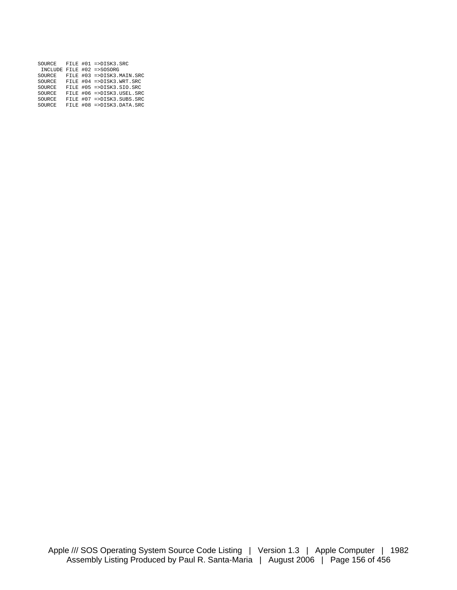| SOURCE |  | FILE #01 =>DISK3.SRC      |
|--------|--|---------------------------|
|        |  | INCLUDE FILE #02 =>SOSORG |
| SOURCE |  | FILE #03 =>DISK3.MAIN.SRC |
| SOURCE |  | FILE #04 =>DISK3.WRT.SRC  |
| SOURCE |  | FILE #05 =>DISK3.SIO.SRC  |
| SOURCE |  | FILE #06 =>DISK3.USEL.SRC |
| SOURCE |  | FILE #07 =>DISK3.SUBS.SRC |
| SOURCE |  | FILE #08 =>DISK3.DATA.SRC |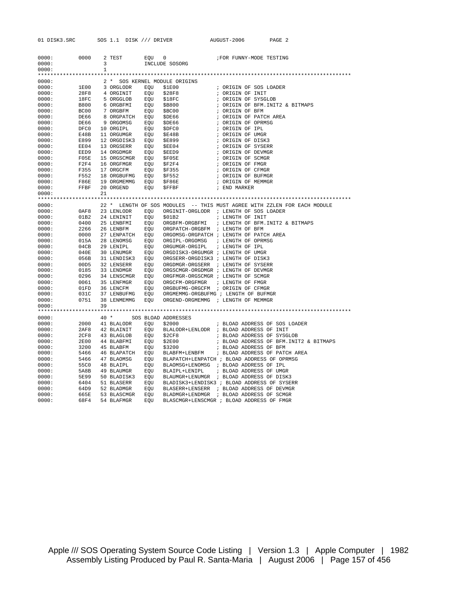|                | 01 DISK3.SRC SOS 1.1 DISK /// DRIVER                  |              |            |     |                                                                                                                                                                                         | AUGUST-2006                                                                   | PAGE 2                                                                                                                                                                                                                                       |  |
|----------------|-------------------------------------------------------|--------------|------------|-----|-----------------------------------------------------------------------------------------------------------------------------------------------------------------------------------------|-------------------------------------------------------------------------------|----------------------------------------------------------------------------------------------------------------------------------------------------------------------------------------------------------------------------------------------|--|
| 0000:          |                                                       | 3            |            |     | 0000: 0000 2 TEST EQU 0<br>INCLUDE SOSORG                                                                                                                                               |                                                                               | FOR FUNNY-MODE TESTING                                                                                                                                                                                                                       |  |
| 0000:          |                                                       | $\mathbf{1}$ |            |     |                                                                                                                                                                                         |                                                                               |                                                                                                                                                                                                                                              |  |
|                |                                                       |              |            |     |                                                                                                                                                                                         |                                                                               |                                                                                                                                                                                                                                              |  |
|                | 0000:                                                 |              |            |     | 2 * SOS KERNEL MODULE ORIGINS                                                                                                                                                           |                                                                               |                                                                                                                                                                                                                                              |  |
|                | 0000:                                                 |              |            |     |                                                                                                                                                                                         |                                                                               |                                                                                                                                                                                                                                              |  |
|                | 0000:                                                 |              |            |     |                                                                                                                                                                                         |                                                                               |                                                                                                                                                                                                                                              |  |
|                | 0000:                                                 |              |            |     |                                                                                                                                                                                         |                                                                               | %; ORIGIN OF SOS LOADER<br>%; ORIGIN OF INIT<br>% ORIGIN OF SYSGLOB<br>% ORIGIN OF BFM.INIT2 & BITMAPS<br>% ORIGIN OF BFM                                                                                                                    |  |
|                | 0000:                                                 |              |            |     |                                                                                                                                                                                         |                                                                               |                                                                                                                                                                                                                                              |  |
|                | 0000:                                                 |              |            |     |                                                                                                                                                                                         |                                                                               |                                                                                                                                                                                                                                              |  |
| 0000:<br>0000: |                                                       |              |            |     |                                                                                                                                                                                         |                                                                               | ORIGIN OF PATCH AREA<br>; ORIGIN OF PATCH AREA<br>; ORIGIN OF DPMSG<br>; ORIGIN OF UMGR<br>; ORIGIN OF DISK3<br>; ORIGIN OF DEVMGR<br>; ORIGIN OF SYSERR<br>; ORIGIN OF SYSERR<br>; ORIGIN OF SYSERR<br>; ORIGIN OF FMGR<br>: OPIGIN OF FMGR |  |
|                | 0000:                                                 |              |            |     |                                                                                                                                                                                         |                                                                               |                                                                                                                                                                                                                                              |  |
| 0000:          |                                                       |              |            |     |                                                                                                                                                                                         |                                                                               |                                                                                                                                                                                                                                              |  |
|                | 0000:                                                 |              |            |     |                                                                                                                                                                                         |                                                                               |                                                                                                                                                                                                                                              |  |
|                | 0000:                                                 |              |            |     | 12 ORGDISKS EQU VEDSSER EQU SEED 4<br>14 ORGENRE EQU SEED 9<br>15 ORGSCMGR EQU SFO5E<br>16 ORGFMGR EQU SF2F4<br>17 ORGENRE EQU SF2F4<br>17 ORGENRE EQU SF355                            |                                                                               |                                                                                                                                                                                                                                              |  |
|                | 0000:                                                 |              |            |     |                                                                                                                                                                                         |                                                                               |                                                                                                                                                                                                                                              |  |
|                | 0000:                                                 |              |            |     |                                                                                                                                                                                         |                                                                               |                                                                                                                                                                                                                                              |  |
|                | 0000:                                                 |              |            |     |                                                                                                                                                                                         |                                                                               |                                                                                                                                                                                                                                              |  |
|                | 0000:                                                 |              |            |     |                                                                                                                                                                                         |                                                                               |                                                                                                                                                                                                                                              |  |
|                | 0000:                                                 |              |            |     |                                                                                                                                                                                         |                                                                               |                                                                                                                                                                                                                                              |  |
|                | F05E<br>F2F4<br>F355<br>F552<br>F86E<br>FFBE<br>0000: |              |            |     | 18 ORGBUFMG EQU \$F552<br>19 ORGMEMMG EQU \$F86E<br>20 ORGEND EQU \$FFBF                                                                                                                | : ORIGIN OF CFMGR<br>: ORIGIN OF BUFMGR<br>: ORIGIN OF MEMMGR<br>: END MADKED |                                                                                                                                                                                                                                              |  |
|                | 0000:<br>FFBF                                         |              |            |     |                                                                                                                                                                                         | ; END MARKER                                                                  |                                                                                                                                                                                                                                              |  |
| 0000:          |                                                       | 21           |            |     |                                                                                                                                                                                         |                                                                               |                                                                                                                                                                                                                                              |  |
|                | 0000:                                                 |              |            |     | 22 * LENGTH OF SOS MODULES -- THIS MUST AGREE WITH ZZLEN FOR EACH MODULE                                                                                                                |                                                                               |                                                                                                                                                                                                                                              |  |
|                | 0000:                                                 |              |            |     | 0AF8 23 LENLODR EQU ORGINIT-ORGLODR ; LENGTH OF SOS LOADER                                                                                                                              |                                                                               |                                                                                                                                                                                                                                              |  |
|                | 0000:                                                 |              |            |     |                                                                                                                                                                                         |                                                                               |                                                                                                                                                                                                                                              |  |
|                | 0000:                                                 |              |            |     |                                                                                                                                                                                         |                                                                               |                                                                                                                                                                                                                                              |  |
|                | 0000:                                                 |              |            |     |                                                                                                                                                                                         |                                                                               |                                                                                                                                                                                                                                              |  |
|                | 0000:                                                 |              |            |     |                                                                                                                                                                                         |                                                                               |                                                                                                                                                                                                                                              |  |
|                | 0000:                                                 |              |            |     |                                                                                                                                                                                         |                                                                               |                                                                                                                                                                                                                                              |  |
|                | 0000:                                                 |              |            |     |                                                                                                                                                                                         |                                                                               |                                                                                                                                                                                                                                              |  |
|                | 0000:                                                 |              |            |     |                                                                                                                                                                                         |                                                                               |                                                                                                                                                                                                                                              |  |
|                | 0000:                                                 |              |            |     |                                                                                                                                                                                         |                                                                               |                                                                                                                                                                                                                                              |  |
|                | 0000:                                                 |              |            |     |                                                                                                                                                                                         |                                                                               |                                                                                                                                                                                                                                              |  |
| 0000:          |                                                       |              |            |     |                                                                                                                                                                                         |                                                                               |                                                                                                                                                                                                                                              |  |
|                | 0000:<br>0000:                                        |              |            |     |                                                                                                                                                                                         |                                                                               |                                                                                                                                                                                                                                              |  |
|                | 0000:                                                 |              |            |     |                                                                                                                                                                                         |                                                                               |                                                                                                                                                                                                                                              |  |
|                | 0000:                                                 |              |            |     |                                                                                                                                                                                         |                                                                               |                                                                                                                                                                                                                                              |  |
| 0000:          |                                                       |              |            |     |                                                                                                                                                                                         |                                                                               |                                                                                                                                                                                                                                              |  |
| 0000:          |                                                       | 39           |            |     |                                                                                                                                                                                         |                                                                               |                                                                                                                                                                                                                                              |  |
|                |                                                       |              |            |     |                                                                                                                                                                                         |                                                                               |                                                                                                                                                                                                                                              |  |
|                | 0000:                                                 |              |            |     | 40 * SOS BLOAD ADDRESSES                                                                                                                                                                |                                                                               |                                                                                                                                                                                                                                              |  |
|                | 0000:                                                 |              |            |     |                                                                                                                                                                                         |                                                                               |                                                                                                                                                                                                                                              |  |
|                | 0000:                                                 |              |            |     |                                                                                                                                                                                         |                                                                               |                                                                                                                                                                                                                                              |  |
|                | 0000:                                                 |              |            |     | 43 BLAGLOB EQU \$2CF8 7 BLOAD ADDRESS OF SYSGLOB                                                                                                                                        |                                                                               |                                                                                                                                                                                                                                              |  |
|                | 0000:                                                 |              |            |     | 44 BLABFMI EQU \$2E00 $\qquad$ ; BLOAD ADDRESS OF BFM.INIT2 & BITMAPS 45 BLABFM EQU \$3200 $\qquad$ ; BLOAD ADDRESS OF BFM                                                              |                                                                               |                                                                                                                                                                                                                                              |  |
|                | 2CF8<br>2E00<br>3200<br>5466<br>5466<br>0000:         |              |            |     |                                                                                                                                                                                         |                                                                               |                                                                                                                                                                                                                                              |  |
|                | 0000:                                                 |              |            |     | 46 BLAPATCH EQU BLABFM+LENBFM ; BLOAD ADDRESS OF PATCH AREA<br>47 BLAOMSG EQU BLAPATCH+LENPATCH ; BLOAD ADDRESS OF OPRMSG                                                               |                                                                               |                                                                                                                                                                                                                                              |  |
|                | 0000:<br>0000:                                        |              |            |     |                                                                                                                                                                                         |                                                                               |                                                                                                                                                                                                                                              |  |
|                | 0000:                                                 |              |            |     |                                                                                                                                                                                         |                                                                               |                                                                                                                                                                                                                                              |  |
|                | 0000:                                                 |              |            |     | 55C0 48 BLAIPL EQU BLAOMSG+LENOMSG ; BLOAD ADDRESS OF IPL<br>5A8B 49 BLAUMGR EQU BLAIPL+LENIPL ; BLOAD ADDRESS OF UMGR<br>5E99 50 BLADISK3 EQU BLAUMGR+LENUMGR ; BLOAD ADDRESS OF DISK3 |                                                                               |                                                                                                                                                                                                                                              |  |
| 0000:          | 6404                                                  |              |            |     |                                                                                                                                                                                         |                                                                               |                                                                                                                                                                                                                                              |  |
| 0000:          | 64D9                                                  |              |            |     | 51 BLASERR EQU BLADISK3+LENDISK3 ; BLOAD ADDRESS OF SYSERR 52 BLADMGR EQU BLASERR+LENSERR ; BLOAD ADDRESS OF DEVMGR                                                                     |                                                                               |                                                                                                                                                                                                                                              |  |
| 0000:          | 665E                                                  |              |            |     | 53 BLASCMGR EOU BLADMGR+LENDMGR ; BLOAD ADDRESS OF SCMGR                                                                                                                                |                                                                               |                                                                                                                                                                                                                                              |  |
| 0000:          | 68F4                                                  |              | 54 BLAFMGR | EOU | BLASCMGR+LENSCMGR ; BLOAD ADDRESS OF FMGR                                                                                                                                               |                                                                               |                                                                                                                                                                                                                                              |  |

Apple /// SOS Operating System Source Code Listing | Version 1.3 | Apple Computer | 1982 Assembly Listing Produced by Paul R. Santa-Maria | August 2006 | Page 157 of 456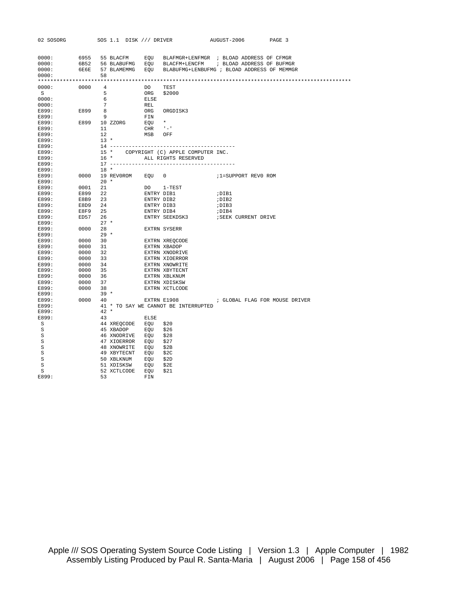| 6955 55 BLACFM EQU BLAFMGR+LENFMGR ; BLOAD ADDRESS OF CFMGR<br>0000:<br>6B52 56 BLABUFMG EQU BLACFM+LENCFM ; BLOAD ADDRESS OF BUFMGR<br>0000:<br>6E6E 57 BLAMEMMG EQU BLABUFMG+LENBUFMG ; BLOAD ADDRESS OF MEMMGR<br>0000:<br>58<br>0000:<br>0000: 0000 4<br>DO<br>TEST<br>5 <sub>1</sub><br>S<br>ORG<br>\$2000<br>0000:<br>6<br>ELSE<br>$7\overline{ }$<br>0000:<br>REL<br>ORG ORG<br>FIN<br>EQU *<br>CUP + :<br>$E899$ 8<br>E899:<br>ORGDISK3<br>E899:<br>E899 10 ZZORG<br>E899:<br>$CHR$ $-1$<br>11<br>E899:<br>12<br>MSB<br>OFF<br>E899:<br>$13 *$<br>E899:<br>E899:<br>E899:<br>15 * COPYRIGHT (C) APPLE COMPUTER INC.<br>16 * ALL RIGHTS RESERVED<br>E899:<br>E899:<br>E899:<br>$18 *$<br>0000  19 REVOROM  EQU  0<br>E899:<br>1=SUPPORT REVO ROM;<br>$20 *$<br>E899:<br>DO 1-TEST<br>ENTRY DIB1<br>ENTRY DIB2<br>ENTRY DIB3<br>ENTRY DIB4<br>ENTRY ORTHE<br>0001 21<br>E899:<br>E899 22<br>E899:<br>; DIB1<br>E8B9 23<br>E899:<br>;DIB2<br>E899:<br>E8D9 24<br>;DIB3<br>E8F9 25<br>E899:<br>;DIB4<br>ENTRY SEEKDSK3 : SEEK CURRENT DRIVE<br>ED57 26<br>E899:<br>$27 *$<br>E899:<br>0000<br>28<br>EXTRN SYSERR<br>E899:<br>$29 *$<br>E899:<br>0000 30<br>E899:<br>EXTRN XREQCODE<br>0000 31<br>E899:<br>EXTRN XBADOP<br>EXIN ADADOF<br>EXTRN XIOERROR<br>EXTRN XNOWRITE<br>E899:<br>0000 32<br>33<br>E899:<br>0000<br>0000<br>34<br>E899:<br>EXTRN XBYTECNT<br>EXTRN XBLKNUM<br>E899:<br>0000<br>35<br>E899:<br>0000 36<br>0000 37<br>EXTRN XDISKSW<br>EXTRN XCTLCODE<br>E899:<br>0000<br>38<br>E899:<br>$39 *$<br>E899:<br>; GLOBAL FLAG FOR MOUSE DRIVER<br>E899:<br>0000 40<br>EXTRN E1908<br>41 * TO SAY WE CANNOT BE INTERRUPTED<br>E899:<br>$42$ *<br>E899:<br>E899:<br>43<br>ELSE<br>\$20<br>S<br>44 XREQCODE EQU<br>$\rm S$<br>45 XBADOP EQU<br>\$26<br>S<br>46 XNODRIVE EOU<br>\$28<br>S<br>\$27<br>47 XIOERROR<br>EOU<br>S<br>48 XNOWRITE<br>EQU<br>\$2B<br>S<br>49 XBYTECNT<br>EOU<br>\$2C<br>S<br>50 XBLKNUM<br>EQU<br>\$2D<br>51 XDISKSW<br>$\rm S$<br>EQU<br>\$2E<br>S<br>52 XCTLCODE<br>\$21<br>EOU<br>E899:<br>53<br>FIN | 02 SOSORG |  |  | SOS 1.1 DISK /// DRIVER | AUGUST-2006 | PAGE 3 |
|------------------------------------------------------------------------------------------------------------------------------------------------------------------------------------------------------------------------------------------------------------------------------------------------------------------------------------------------------------------------------------------------------------------------------------------------------------------------------------------------------------------------------------------------------------------------------------------------------------------------------------------------------------------------------------------------------------------------------------------------------------------------------------------------------------------------------------------------------------------------------------------------------------------------------------------------------------------------------------------------------------------------------------------------------------------------------------------------------------------------------------------------------------------------------------------------------------------------------------------------------------------------------------------------------------------------------------------------------------------------------------------------------------------------------------------------------------------------------------------------------------------------------------------------------------------------------------------------------------------------------------------------------------------------------------------------------------------------------------------------------------------------------------------------------------------------------------------------------------------------------------------------------------------------------------------------------------------------------------------------------------------------------------------------|-----------|--|--|-------------------------|-------------|--------|
|                                                                                                                                                                                                                                                                                                                                                                                                                                                                                                                                                                                                                                                                                                                                                                                                                                                                                                                                                                                                                                                                                                                                                                                                                                                                                                                                                                                                                                                                                                                                                                                                                                                                                                                                                                                                                                                                                                                                                                                                                                                |           |  |  |                         |             |        |
|                                                                                                                                                                                                                                                                                                                                                                                                                                                                                                                                                                                                                                                                                                                                                                                                                                                                                                                                                                                                                                                                                                                                                                                                                                                                                                                                                                                                                                                                                                                                                                                                                                                                                                                                                                                                                                                                                                                                                                                                                                                |           |  |  |                         |             |        |
|                                                                                                                                                                                                                                                                                                                                                                                                                                                                                                                                                                                                                                                                                                                                                                                                                                                                                                                                                                                                                                                                                                                                                                                                                                                                                                                                                                                                                                                                                                                                                                                                                                                                                                                                                                                                                                                                                                                                                                                                                                                |           |  |  |                         |             |        |
|                                                                                                                                                                                                                                                                                                                                                                                                                                                                                                                                                                                                                                                                                                                                                                                                                                                                                                                                                                                                                                                                                                                                                                                                                                                                                                                                                                                                                                                                                                                                                                                                                                                                                                                                                                                                                                                                                                                                                                                                                                                |           |  |  |                         |             |        |
|                                                                                                                                                                                                                                                                                                                                                                                                                                                                                                                                                                                                                                                                                                                                                                                                                                                                                                                                                                                                                                                                                                                                                                                                                                                                                                                                                                                                                                                                                                                                                                                                                                                                                                                                                                                                                                                                                                                                                                                                                                                |           |  |  |                         |             |        |
|                                                                                                                                                                                                                                                                                                                                                                                                                                                                                                                                                                                                                                                                                                                                                                                                                                                                                                                                                                                                                                                                                                                                                                                                                                                                                                                                                                                                                                                                                                                                                                                                                                                                                                                                                                                                                                                                                                                                                                                                                                                |           |  |  |                         |             |        |
|                                                                                                                                                                                                                                                                                                                                                                                                                                                                                                                                                                                                                                                                                                                                                                                                                                                                                                                                                                                                                                                                                                                                                                                                                                                                                                                                                                                                                                                                                                                                                                                                                                                                                                                                                                                                                                                                                                                                                                                                                                                |           |  |  |                         |             |        |
|                                                                                                                                                                                                                                                                                                                                                                                                                                                                                                                                                                                                                                                                                                                                                                                                                                                                                                                                                                                                                                                                                                                                                                                                                                                                                                                                                                                                                                                                                                                                                                                                                                                                                                                                                                                                                                                                                                                                                                                                                                                |           |  |  |                         |             |        |
|                                                                                                                                                                                                                                                                                                                                                                                                                                                                                                                                                                                                                                                                                                                                                                                                                                                                                                                                                                                                                                                                                                                                                                                                                                                                                                                                                                                                                                                                                                                                                                                                                                                                                                                                                                                                                                                                                                                                                                                                                                                |           |  |  |                         |             |        |
|                                                                                                                                                                                                                                                                                                                                                                                                                                                                                                                                                                                                                                                                                                                                                                                                                                                                                                                                                                                                                                                                                                                                                                                                                                                                                                                                                                                                                                                                                                                                                                                                                                                                                                                                                                                                                                                                                                                                                                                                                                                |           |  |  |                         |             |        |
|                                                                                                                                                                                                                                                                                                                                                                                                                                                                                                                                                                                                                                                                                                                                                                                                                                                                                                                                                                                                                                                                                                                                                                                                                                                                                                                                                                                                                                                                                                                                                                                                                                                                                                                                                                                                                                                                                                                                                                                                                                                |           |  |  |                         |             |        |
|                                                                                                                                                                                                                                                                                                                                                                                                                                                                                                                                                                                                                                                                                                                                                                                                                                                                                                                                                                                                                                                                                                                                                                                                                                                                                                                                                                                                                                                                                                                                                                                                                                                                                                                                                                                                                                                                                                                                                                                                                                                |           |  |  |                         |             |        |
|                                                                                                                                                                                                                                                                                                                                                                                                                                                                                                                                                                                                                                                                                                                                                                                                                                                                                                                                                                                                                                                                                                                                                                                                                                                                                                                                                                                                                                                                                                                                                                                                                                                                                                                                                                                                                                                                                                                                                                                                                                                |           |  |  |                         |             |        |
|                                                                                                                                                                                                                                                                                                                                                                                                                                                                                                                                                                                                                                                                                                                                                                                                                                                                                                                                                                                                                                                                                                                                                                                                                                                                                                                                                                                                                                                                                                                                                                                                                                                                                                                                                                                                                                                                                                                                                                                                                                                |           |  |  |                         |             |        |
|                                                                                                                                                                                                                                                                                                                                                                                                                                                                                                                                                                                                                                                                                                                                                                                                                                                                                                                                                                                                                                                                                                                                                                                                                                                                                                                                                                                                                                                                                                                                                                                                                                                                                                                                                                                                                                                                                                                                                                                                                                                |           |  |  |                         |             |        |
|                                                                                                                                                                                                                                                                                                                                                                                                                                                                                                                                                                                                                                                                                                                                                                                                                                                                                                                                                                                                                                                                                                                                                                                                                                                                                                                                                                                                                                                                                                                                                                                                                                                                                                                                                                                                                                                                                                                                                                                                                                                |           |  |  |                         |             |        |
|                                                                                                                                                                                                                                                                                                                                                                                                                                                                                                                                                                                                                                                                                                                                                                                                                                                                                                                                                                                                                                                                                                                                                                                                                                                                                                                                                                                                                                                                                                                                                                                                                                                                                                                                                                                                                                                                                                                                                                                                                                                |           |  |  |                         |             |        |
|                                                                                                                                                                                                                                                                                                                                                                                                                                                                                                                                                                                                                                                                                                                                                                                                                                                                                                                                                                                                                                                                                                                                                                                                                                                                                                                                                                                                                                                                                                                                                                                                                                                                                                                                                                                                                                                                                                                                                                                                                                                |           |  |  |                         |             |        |
|                                                                                                                                                                                                                                                                                                                                                                                                                                                                                                                                                                                                                                                                                                                                                                                                                                                                                                                                                                                                                                                                                                                                                                                                                                                                                                                                                                                                                                                                                                                                                                                                                                                                                                                                                                                                                                                                                                                                                                                                                                                |           |  |  |                         |             |        |
|                                                                                                                                                                                                                                                                                                                                                                                                                                                                                                                                                                                                                                                                                                                                                                                                                                                                                                                                                                                                                                                                                                                                                                                                                                                                                                                                                                                                                                                                                                                                                                                                                                                                                                                                                                                                                                                                                                                                                                                                                                                |           |  |  |                         |             |        |
|                                                                                                                                                                                                                                                                                                                                                                                                                                                                                                                                                                                                                                                                                                                                                                                                                                                                                                                                                                                                                                                                                                                                                                                                                                                                                                                                                                                                                                                                                                                                                                                                                                                                                                                                                                                                                                                                                                                                                                                                                                                |           |  |  |                         |             |        |
|                                                                                                                                                                                                                                                                                                                                                                                                                                                                                                                                                                                                                                                                                                                                                                                                                                                                                                                                                                                                                                                                                                                                                                                                                                                                                                                                                                                                                                                                                                                                                                                                                                                                                                                                                                                                                                                                                                                                                                                                                                                |           |  |  |                         |             |        |
|                                                                                                                                                                                                                                                                                                                                                                                                                                                                                                                                                                                                                                                                                                                                                                                                                                                                                                                                                                                                                                                                                                                                                                                                                                                                                                                                                                                                                                                                                                                                                                                                                                                                                                                                                                                                                                                                                                                                                                                                                                                |           |  |  |                         |             |        |
|                                                                                                                                                                                                                                                                                                                                                                                                                                                                                                                                                                                                                                                                                                                                                                                                                                                                                                                                                                                                                                                                                                                                                                                                                                                                                                                                                                                                                                                                                                                                                                                                                                                                                                                                                                                                                                                                                                                                                                                                                                                |           |  |  |                         |             |        |
|                                                                                                                                                                                                                                                                                                                                                                                                                                                                                                                                                                                                                                                                                                                                                                                                                                                                                                                                                                                                                                                                                                                                                                                                                                                                                                                                                                                                                                                                                                                                                                                                                                                                                                                                                                                                                                                                                                                                                                                                                                                |           |  |  |                         |             |        |
|                                                                                                                                                                                                                                                                                                                                                                                                                                                                                                                                                                                                                                                                                                                                                                                                                                                                                                                                                                                                                                                                                                                                                                                                                                                                                                                                                                                                                                                                                                                                                                                                                                                                                                                                                                                                                                                                                                                                                                                                                                                |           |  |  |                         |             |        |
|                                                                                                                                                                                                                                                                                                                                                                                                                                                                                                                                                                                                                                                                                                                                                                                                                                                                                                                                                                                                                                                                                                                                                                                                                                                                                                                                                                                                                                                                                                                                                                                                                                                                                                                                                                                                                                                                                                                                                                                                                                                |           |  |  |                         |             |        |
|                                                                                                                                                                                                                                                                                                                                                                                                                                                                                                                                                                                                                                                                                                                                                                                                                                                                                                                                                                                                                                                                                                                                                                                                                                                                                                                                                                                                                                                                                                                                                                                                                                                                                                                                                                                                                                                                                                                                                                                                                                                |           |  |  |                         |             |        |
|                                                                                                                                                                                                                                                                                                                                                                                                                                                                                                                                                                                                                                                                                                                                                                                                                                                                                                                                                                                                                                                                                                                                                                                                                                                                                                                                                                                                                                                                                                                                                                                                                                                                                                                                                                                                                                                                                                                                                                                                                                                |           |  |  |                         |             |        |
|                                                                                                                                                                                                                                                                                                                                                                                                                                                                                                                                                                                                                                                                                                                                                                                                                                                                                                                                                                                                                                                                                                                                                                                                                                                                                                                                                                                                                                                                                                                                                                                                                                                                                                                                                                                                                                                                                                                                                                                                                                                |           |  |  |                         |             |        |
|                                                                                                                                                                                                                                                                                                                                                                                                                                                                                                                                                                                                                                                                                                                                                                                                                                                                                                                                                                                                                                                                                                                                                                                                                                                                                                                                                                                                                                                                                                                                                                                                                                                                                                                                                                                                                                                                                                                                                                                                                                                |           |  |  |                         |             |        |
|                                                                                                                                                                                                                                                                                                                                                                                                                                                                                                                                                                                                                                                                                                                                                                                                                                                                                                                                                                                                                                                                                                                                                                                                                                                                                                                                                                                                                                                                                                                                                                                                                                                                                                                                                                                                                                                                                                                                                                                                                                                |           |  |  |                         |             |        |
|                                                                                                                                                                                                                                                                                                                                                                                                                                                                                                                                                                                                                                                                                                                                                                                                                                                                                                                                                                                                                                                                                                                                                                                                                                                                                                                                                                                                                                                                                                                                                                                                                                                                                                                                                                                                                                                                                                                                                                                                                                                |           |  |  |                         |             |        |
|                                                                                                                                                                                                                                                                                                                                                                                                                                                                                                                                                                                                                                                                                                                                                                                                                                                                                                                                                                                                                                                                                                                                                                                                                                                                                                                                                                                                                                                                                                                                                                                                                                                                                                                                                                                                                                                                                                                                                                                                                                                |           |  |  |                         |             |        |
|                                                                                                                                                                                                                                                                                                                                                                                                                                                                                                                                                                                                                                                                                                                                                                                                                                                                                                                                                                                                                                                                                                                                                                                                                                                                                                                                                                                                                                                                                                                                                                                                                                                                                                                                                                                                                                                                                                                                                                                                                                                |           |  |  |                         |             |        |
|                                                                                                                                                                                                                                                                                                                                                                                                                                                                                                                                                                                                                                                                                                                                                                                                                                                                                                                                                                                                                                                                                                                                                                                                                                                                                                                                                                                                                                                                                                                                                                                                                                                                                                                                                                                                                                                                                                                                                                                                                                                |           |  |  |                         |             |        |
|                                                                                                                                                                                                                                                                                                                                                                                                                                                                                                                                                                                                                                                                                                                                                                                                                                                                                                                                                                                                                                                                                                                                                                                                                                                                                                                                                                                                                                                                                                                                                                                                                                                                                                                                                                                                                                                                                                                                                                                                                                                |           |  |  |                         |             |        |
|                                                                                                                                                                                                                                                                                                                                                                                                                                                                                                                                                                                                                                                                                                                                                                                                                                                                                                                                                                                                                                                                                                                                                                                                                                                                                                                                                                                                                                                                                                                                                                                                                                                                                                                                                                                                                                                                                                                                                                                                                                                |           |  |  |                         |             |        |
|                                                                                                                                                                                                                                                                                                                                                                                                                                                                                                                                                                                                                                                                                                                                                                                                                                                                                                                                                                                                                                                                                                                                                                                                                                                                                                                                                                                                                                                                                                                                                                                                                                                                                                                                                                                                                                                                                                                                                                                                                                                |           |  |  |                         |             |        |
|                                                                                                                                                                                                                                                                                                                                                                                                                                                                                                                                                                                                                                                                                                                                                                                                                                                                                                                                                                                                                                                                                                                                                                                                                                                                                                                                                                                                                                                                                                                                                                                                                                                                                                                                                                                                                                                                                                                                                                                                                                                |           |  |  |                         |             |        |
|                                                                                                                                                                                                                                                                                                                                                                                                                                                                                                                                                                                                                                                                                                                                                                                                                                                                                                                                                                                                                                                                                                                                                                                                                                                                                                                                                                                                                                                                                                                                                                                                                                                                                                                                                                                                                                                                                                                                                                                                                                                |           |  |  |                         |             |        |
|                                                                                                                                                                                                                                                                                                                                                                                                                                                                                                                                                                                                                                                                                                                                                                                                                                                                                                                                                                                                                                                                                                                                                                                                                                                                                                                                                                                                                                                                                                                                                                                                                                                                                                                                                                                                                                                                                                                                                                                                                                                |           |  |  |                         |             |        |
|                                                                                                                                                                                                                                                                                                                                                                                                                                                                                                                                                                                                                                                                                                                                                                                                                                                                                                                                                                                                                                                                                                                                                                                                                                                                                                                                                                                                                                                                                                                                                                                                                                                                                                                                                                                                                                                                                                                                                                                                                                                |           |  |  |                         |             |        |
|                                                                                                                                                                                                                                                                                                                                                                                                                                                                                                                                                                                                                                                                                                                                                                                                                                                                                                                                                                                                                                                                                                                                                                                                                                                                                                                                                                                                                                                                                                                                                                                                                                                                                                                                                                                                                                                                                                                                                                                                                                                |           |  |  |                         |             |        |
|                                                                                                                                                                                                                                                                                                                                                                                                                                                                                                                                                                                                                                                                                                                                                                                                                                                                                                                                                                                                                                                                                                                                                                                                                                                                                                                                                                                                                                                                                                                                                                                                                                                                                                                                                                                                                                                                                                                                                                                                                                                |           |  |  |                         |             |        |
|                                                                                                                                                                                                                                                                                                                                                                                                                                                                                                                                                                                                                                                                                                                                                                                                                                                                                                                                                                                                                                                                                                                                                                                                                                                                                                                                                                                                                                                                                                                                                                                                                                                                                                                                                                                                                                                                                                                                                                                                                                                |           |  |  |                         |             |        |
|                                                                                                                                                                                                                                                                                                                                                                                                                                                                                                                                                                                                                                                                                                                                                                                                                                                                                                                                                                                                                                                                                                                                                                                                                                                                                                                                                                                                                                                                                                                                                                                                                                                                                                                                                                                                                                                                                                                                                                                                                                                |           |  |  |                         |             |        |
|                                                                                                                                                                                                                                                                                                                                                                                                                                                                                                                                                                                                                                                                                                                                                                                                                                                                                                                                                                                                                                                                                                                                                                                                                                                                                                                                                                                                                                                                                                                                                                                                                                                                                                                                                                                                                                                                                                                                                                                                                                                |           |  |  |                         |             |        |
|                                                                                                                                                                                                                                                                                                                                                                                                                                                                                                                                                                                                                                                                                                                                                                                                                                                                                                                                                                                                                                                                                                                                                                                                                                                                                                                                                                                                                                                                                                                                                                                                                                                                                                                                                                                                                                                                                                                                                                                                                                                |           |  |  |                         |             |        |
|                                                                                                                                                                                                                                                                                                                                                                                                                                                                                                                                                                                                                                                                                                                                                                                                                                                                                                                                                                                                                                                                                                                                                                                                                                                                                                                                                                                                                                                                                                                                                                                                                                                                                                                                                                                                                                                                                                                                                                                                                                                |           |  |  |                         |             |        |
|                                                                                                                                                                                                                                                                                                                                                                                                                                                                                                                                                                                                                                                                                                                                                                                                                                                                                                                                                                                                                                                                                                                                                                                                                                                                                                                                                                                                                                                                                                                                                                                                                                                                                                                                                                                                                                                                                                                                                                                                                                                |           |  |  |                         |             |        |
|                                                                                                                                                                                                                                                                                                                                                                                                                                                                                                                                                                                                                                                                                                                                                                                                                                                                                                                                                                                                                                                                                                                                                                                                                                                                                                                                                                                                                                                                                                                                                                                                                                                                                                                                                                                                                                                                                                                                                                                                                                                |           |  |  |                         |             |        |
|                                                                                                                                                                                                                                                                                                                                                                                                                                                                                                                                                                                                                                                                                                                                                                                                                                                                                                                                                                                                                                                                                                                                                                                                                                                                                                                                                                                                                                                                                                                                                                                                                                                                                                                                                                                                                                                                                                                                                                                                                                                |           |  |  |                         |             |        |
|                                                                                                                                                                                                                                                                                                                                                                                                                                                                                                                                                                                                                                                                                                                                                                                                                                                                                                                                                                                                                                                                                                                                                                                                                                                                                                                                                                                                                                                                                                                                                                                                                                                                                                                                                                                                                                                                                                                                                                                                                                                |           |  |  |                         |             |        |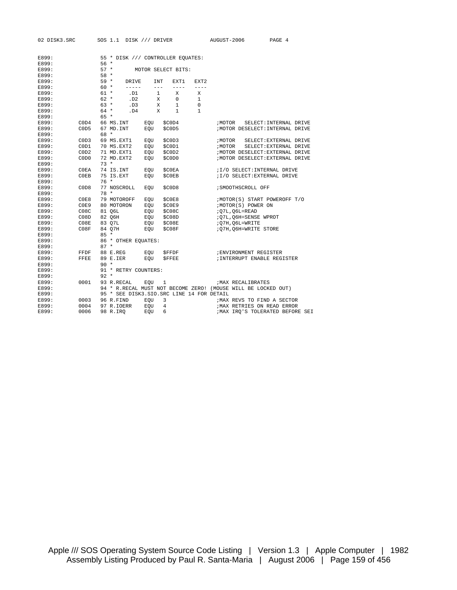| 02 DISK3.SRC |                               |        | SOS 1.1 DISK /// DRIVER                     |     |              |                    |                  | AUGUST-2006 |                                                                 | PAGE 4                 |  |
|--------------|-------------------------------|--------|---------------------------------------------|-----|--------------|--------------------|------------------|-------------|-----------------------------------------------------------------|------------------------|--|
|              |                               |        |                                             |     |              |                    |                  |             |                                                                 |                        |  |
| E899:        |                               |        | 55 * DISK /// CONTROLLER EQUATES:           |     |              |                    |                  |             |                                                                 |                        |  |
| E899:        |                               | $56*$  |                                             |     |              |                    |                  |             |                                                                 |                        |  |
| E899:        |                               | $57 *$ |                                             |     |              | MOTOR SELECT BITS: |                  |             |                                                                 |                        |  |
| E899:        |                               | $58 *$ |                                             |     |              |                    |                  |             |                                                                 |                        |  |
| E899:        |                               | $59 *$ | DRIVE                                       |     | <b>INT</b>   | EXT1               | EXT <sub>2</sub> |             |                                                                 |                        |  |
| E899:        |                               | $60 *$ | $- - - - - -$                               |     | $- - -$      | $- - - -$          | $- - - -$        |             |                                                                 |                        |  |
| E899:        |                               | $61 *$ | .D1                                         |     | $\mathbf{1}$ | X                  | X                |             |                                                                 |                        |  |
| E899:        |                               | $62 *$ | .D2                                         |     | X            | $\mathbf 0$        | 1                |             |                                                                 |                        |  |
| E899:        |                               | $63 *$ | .D3                                         |     | X            | 1                  | $\mathbf 0$      |             |                                                                 |                        |  |
| E899:        |                               | $64 *$ | .D4                                         |     | X            | $\mathbf{1}$       | 1                |             |                                                                 |                        |  |
| E899:        |                               | $65 *$ |                                             |     |              |                    |                  |             |                                                                 |                        |  |
| E899:        | COD4                          |        | 66 MS.INT                                   | EQU |              | \$C0D4             |                  | ; MOTOR     |                                                                 | SELECT: INTERNAL DRIVE |  |
| E899:        | C <sub>0</sub> D <sub>5</sub> |        | 67 MD. INT                                  | EOU |              | \$C0D5             |                  |             | /MOTOR DESELECT: INTERNAL DRIVE                                 |                        |  |
| E899:        |                               | 68 *   |                                             |     |              |                    |                  |             |                                                                 |                        |  |
| E899:        | C <sub>0</sub> D <sub>3</sub> |        | 69 MS.EXT1                                  | EOU |              | \$C0D3             |                  | ; MOTOR     |                                                                 | SELECT: EXTERNAL DRIVE |  |
| E899:        | C0D1                          |        | 70 MS.EXT2                                  | EQU |              | \$COD1             |                  | ; MOTOR     |                                                                 | SELECT: EXTERNAL DRIVE |  |
| E899:        | COD2                          |        | 71 MD.EXT1                                  | EQU |              | \$C0D2             |                  |             | ; MOTOR DESELECT: EXTERNAL DRIVE                                |                        |  |
| E899:        | C <sub>0</sub> D <sub>0</sub> |        | 72 MD.EXT2                                  | EQU |              | \$C0D0             |                  |             | ; MOTOR DESELECT: EXTERNAL DRIVE                                |                        |  |
| E899:        |                               | $73 *$ |                                             |     |              |                    |                  |             |                                                                 |                        |  |
| E899:        | C0EA                          |        | 74 IS.INT                                   | EQU |              | <b>SCOEA</b>       |                  |             | ;1/O SELECT: INTERNAL DRIVE                                     |                        |  |
| E899:        | C0EB                          |        | 75 IS.EXT                                   | EQU |              | <b>\$COEB</b>      |                  |             | ; I/O SELECT: EXTERNAL DRIVE                                    |                        |  |
| E899:        |                               | $76*$  |                                             |     |              |                    |                  |             |                                                                 |                        |  |
| E899:        | C <sub>0</sub> D <sub>8</sub> |        | 77 NOSCROLL                                 | EOU |              | \$C0D8             |                  |             | ; SMOOTHSCROLL OFF                                              |                        |  |
| E899:        |                               | $78 *$ |                                             |     |              |                    |                  |             |                                                                 |                        |  |
| E899:        | C0E8                          |        | 79 MOTOROFF                                 | EQU |              | <b>\$COE8</b>      |                  |             | ; MOTOR(S) START POWEROFF T/O                                   |                        |  |
| E899:        | COE9                          |        | 80 MOTORON                                  | EQU |              | \$C0E9             |                  |             | ; MOTOR (S) POWER ON                                            |                        |  |
| E899:        | C08C                          |        | 81 O6L                                      | EQU |              | \$C08C             |                  |             | ;07L,06L=READ                                                   |                        |  |
| E899:        | C08D                          |        | 82 Q6H                                      | EQU |              | \$CO8D             |                  |             | ; Q7L, Q6H=SENSE WPROT                                          |                        |  |
| E899:        | CO8E                          |        | 83 Q7L                                      | EOU |              | \$C08E             |                  |             | ;Q7H,Q6L=WRITE                                                  |                        |  |
| E899:        | C08F                          |        | 84 Q7H                                      | EQU |              | \$C08F             |                  |             | :Q7H,Q6H=WRITE STORE                                            |                        |  |
| E899:        |                               | $85 *$ |                                             |     |              |                    |                  |             |                                                                 |                        |  |
| E899:        |                               |        | 86 * OTHER EQUATES:                         |     |              |                    |                  |             |                                                                 |                        |  |
| E899:        |                               | $87 *$ |                                             |     |              |                    |                  |             |                                                                 |                        |  |
| E899:        | FFDF                          |        | 88 E.REG                                    | EQU |              | <b>SFFDF</b>       |                  |             | ; ENVIRONMENT REGISTER                                          |                        |  |
| E899:        | FFEE                          |        | 89 E.IER                                    | EOU |              | <b>SFFEE</b>       |                  |             | ; INTERRUPT ENABLE REGISTER                                     |                        |  |
| E899:        |                               | $90 *$ |                                             |     |              |                    |                  |             |                                                                 |                        |  |
| E899:        |                               |        | 91 * RETRY COUNTERS:                        |     |              |                    |                  |             |                                                                 |                        |  |
| E899:        |                               | $92 *$ |                                             |     |              |                    |                  |             |                                                                 |                        |  |
| E899:        | 0001                          |        | 93 R.RECAL                                  | EOU | 1            |                    |                  |             | MAX RECALIBRATES                                                |                        |  |
| E899:        |                               |        |                                             |     |              |                    |                  |             | 94 * R.RECAL MUST NOT BECOME ZERO! (MOUSE WILL BE LOCKED OUT)   |                        |  |
| E899:        |                               |        | 95 * SEE DISK3. SIO. SRC LINE 14 FOR DETAIL |     |              |                    |                  |             |                                                                 |                        |  |
| E899:        | 0003                          |        | 96 R.FIND                                   | EQU |              | 3                  |                  |             | ; MAX REVS TO FIND A SECTOR                                     |                        |  |
| E899:        | 0004                          |        | 97 R.IOERR                                  | EQU |              | 4                  |                  |             | ; MAX RETRIES ON READ ERROR<br>; MAX IRO'S TOLERATED BEFORE SEI |                        |  |
| E899:        | 0006                          |        | 98 R.IRO                                    | EOU | 6            |                    |                  |             |                                                                 |                        |  |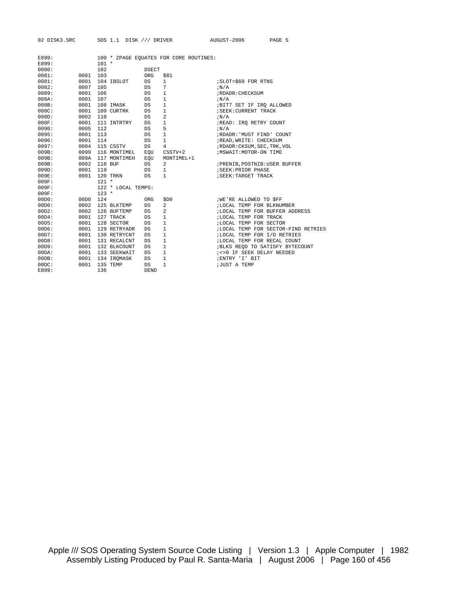RC SOS 1.1 DISK /// DRIVER AUGUST-2006 PAGE 5

| E899: |          |                    |             | 100 * ZPAGE EQUATES FOR CORE ROUTINES: |                                      |
|-------|----------|--------------------|-------------|----------------------------------------|--------------------------------------|
| E899: |          | $101 *$            |             |                                        |                                      |
| 0000: |          | 102                | DSECT       |                                        |                                      |
| 0081: | 0081     | 103                | ORG         | \$81                                   |                                      |
| 0081: | 0001     | 104 IBSLOT         | DS          | $\mathbf{1}$                           | ; SLOT=\$60 FOR RTNS                 |
| 0082: | 0007     | 105                | DS.         | 7                                      | iN/A                                 |
| 0089: | 0001     | 106                | DS          | $\mathbf{1}$                           | ; RDADR: CHECKSUM                    |
| 008A: | 0001     | 107                | DS          | $\mathbf{1}$                           | iN/A                                 |
| 008B: | 0001     | 108 IMASK          | DS          | $\mathbf{1}$                           | ;BIT7 SET IF IRQ ALLOWED             |
| 008C: | 0001     | 109 CURTRK         | DS          | $\mathbf{1}$                           | ; SEEK: CURRENT TRACK                |
| 008D: | 0002     | 110                | DS          | 2                                      | iN/A                                 |
| 008F: | 0001     | 111 INTRTRY        | DS          | $\mathbf{1}$                           | ;READ: IRQ RETRY COUNT               |
| 0090: | 0005     | 112                | DS          | 5                                      | iN/A                                 |
| 0095: | 0001     | 113                | DS          | $\mathbf{1}$                           | ;RDADR: 'MUST FIND' COUNT            |
| 0096: | 0001     | 114                | DS          | $\mathbf{1}$                           | ; READ, WRITE: CHECKSUM              |
| 0097: | 0004     | 115 CSSTV          | DS          | $\overline{4}$                         | ; RDADR: CKSUM, SEC, TRK, VOL        |
| 009B: | 0099     | 116 MONTIMEL       | EQU         | CSSTV+2                                | ; MSWAIT: MOTOR-ON TIME              |
| 009B: | 009A     | 117 MONTIMEH       | EQU         | MONTIMEL+1                             |                                      |
| 009B: | 0002     | 118 BUF            | DS          | 2                                      | ; PRENIB, POSTNIB: USER BUFFER       |
| 009D: | 0001     | 119                | DS          | $\mathbf{1}$                           | ; SEEK: PRIOR PHASE                  |
| 009E: | 0001     | 120 TRKN           | DS          | $\mathbf{1}$                           | ; SEEK: TARGET TRACK                 |
| 009F: |          | $121 *$            |             |                                        |                                      |
| 009F: |          | 122 * LOCAL TEMPS: |             |                                        |                                      |
| 009F: |          | $123 *$            |             |                                        |                                      |
| 00D0: | 00D0 124 |                    | ORG         | \$D0                                   | <b><i>IWE'RE ALLOWED TO SFF</i></b>  |
| 00D0: | 0002     | 125 BLKTEMP        | DS          | $\overline{a}$                         | ;LOCAL TEMP FOR BLKNUMBER            |
| 00D2: | 0002     | 126 BUFTEMP        | DS          | 2                                      | ; LOCAL TEMP FOR BUFFER ADDRESS      |
| 00D4: | 0001     | 127 TRACK          | DS          | $\mathbf{1}$                           | ; LOCAL TEMP FOR TRACK               |
| 00D5: | 0001     | 128 SECTOR         | DS          | $\mathbf{1}$                           | ;LOCAL TEMP FOR SECTOR               |
| 00D6: | 0001     | 129 RETRYADR       | DS          | $\mathbf{1}$                           | ; LOCAL TEMP FOR SECTOR-FIND RETRIES |
| 00D7: | 0001     | 130 RETRYCNT       | DS          | $\mathbf{1}$                           | ;LOCAL TEMP FOR I/O RETRIES          |
| 00D8: | 0001     | 131 RECALCNT       | DS          | $\mathbf{1}$                           | ; LOCAL TEMP FOR RECAL COUNT         |
| 00D9: | 0001     | 132 BLKCOUNT       | DS          | $\mathbf{1}$                           | ; BLKS REQD TO SATISFY BYTECOUNT     |
| 00DA: | 0001     | 133 SEEKWAIT       | DS          | $\mathbf{1}$                           | ; <> 0 IF SEEK DELAY NEEDED          |
| 00DB: | 0001     | 134 IROMASK        | DS          | $\mathbf{1}$                           | ; ENTRY 'I' BIT                      |
| 00DC: | 0001     | 135 TEMP           | DS          | $\mathbf{1}$                           | <b>;JUST A TEMP</b>                  |
| E899: |          | 136                | <b>DEND</b> |                                        |                                      |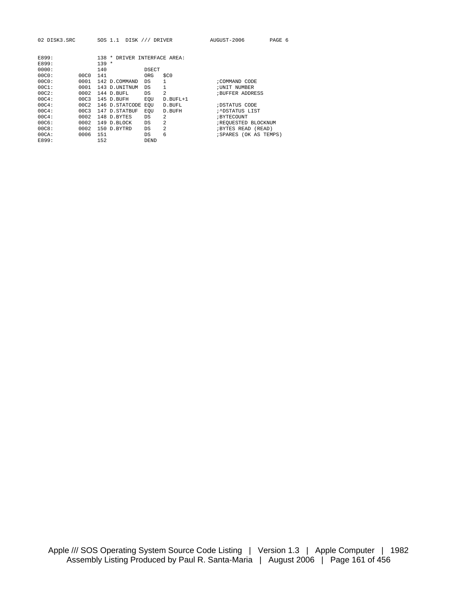02 DISK3.SRC SOS 1.1 DISK /// DRIVER AUGUST-2006 PAGE 6

| E899:<br>E899: |                  | 138<br>DRIVER INTERFACE AREA:<br>$\star$<br>$139 *$ |              |                |                        |
|----------------|------------------|-----------------------------------------------------|--------------|----------------|------------------------|
| 0000:          |                  | 140                                                 | <b>DSECT</b> |                |                        |
| 00C0:          | 00C <sub>0</sub> | 141                                                 | ORG          | \$CO           |                        |
| 00C0:          | 0001             | 142 D.COMMAND                                       | DS           | 1              | ; COMMAND CODE         |
| 00C1:          | 0001             | 143 D. UNITNUM                                      | DS           | 1              | ; UNIT NUMBER          |
| 00C2:          | 0002             | 144 D. BUFL                                         | DS           | $\overline{a}$ | <b>BUFFER ADDRESS</b>  |
| 00C4:          | 00C3             | 145 D.BUFH                                          | EOU          | $D.BUFL+1$     |                        |
| 00C4:          | 00C2             | 146 D.STATCODE                                      | EOU          | D.BUFL         | ; DSTATUS CODE         |
| 00C4:          | 00C3             | 147 D.STATBUF                                       | EOU          | D. BUFH        | ;^DSTATUS LIST         |
| 00C4:          | 0002             | 148 D.BYTES                                         | DS           | $\mathfrak{D}$ | ; BYTECOUNT            |
| 00C6:          | 0002             | 149 D. BLOCK                                        | DS           | $\overline{a}$ | ; REQUESTED BLOCKNUM   |
| 00C8:          | 0002             | 150 D.BYTRD                                         | DS           | $\mathfrak{D}$ | ; BYTES READ (READ)    |
| 00CA:          | 0006             | 151                                                 | DS           | 6              | ; SPARES (OK AS TEMPS) |
| E899:          |                  | 152                                                 | <b>DEND</b>  |                |                        |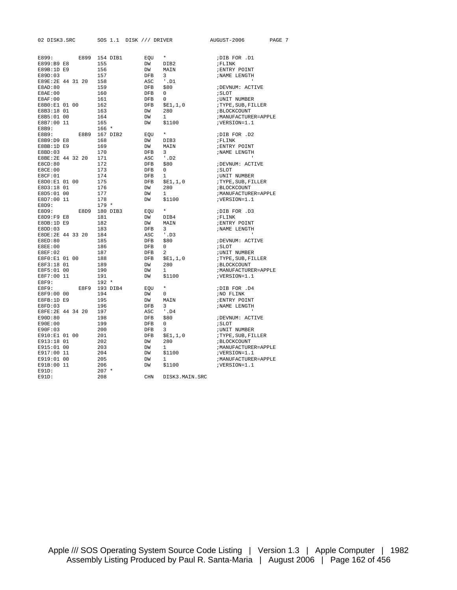| 02 DISK3.SRC          | SOS 1.1 DISK /// DRIVER |            |                        | AUGUST-2006          | PAGE 7 |
|-----------------------|-------------------------|------------|------------------------|----------------------|--------|
|                       |                         |            |                        |                      |        |
| E899:                 | E899 154 DIB1           | EOU        | $\star$                | DIB FOR .D1          |        |
| E899:B9 E8            | 155                     | DW         | DIB2                   | ; FLINK              |        |
| E89B:1D E9            | 156                     | DW         | MAIN                   | ; ENTRY POINT        |        |
| E89D:03               | 157                     | DFB        | 3                      | ; NAME LENGTH        |        |
| E89E: 2E 44 31 20 158 |                         | ASC        | $^{\prime}$ .Dl        |                      |        |
| E8AD:80               | 159                     | <b>DFB</b> | \$80                   | ; DEVNUM: ACTIVE     |        |
| E8AE:00               | 160                     | DFB        | $\mathbf{0}$           | ; SLOT               |        |
| E8AF:00               | 161                     | <b>DFB</b> | $\Omega$               | ;UNIT NUMBER         |        |
| E8B0:E1 01 00         | 162                     | DFB        | \$E1,1,0               | ; TYPE, SUB, FILLER  |        |
| E8B3:18 01            | 163                     | DW         | 280                    | ; BLOCKCOUNT         |        |
| E8B5:01 00            | 164                     | DW         | $\mathbf{1}$           | ; MANUFACTURER=APPLE |        |
| E8B7:00 11            | 165                     | DW         | \$1100                 | ;VERSION=1.1         |        |
| E8B9:                 | $166 *$                 |            |                        |                      |        |
| E8B9:                 | E8B9 167 DIB2           | EOU        | $\star$                | DIB FOR .D2          |        |
| E8B9:D9 E8            | 168                     | DW         | DIB3                   | ; FLINK              |        |
| E8BB:1D E9            | 169                     | DW         | MAIN                   | ; ENTRY POINT        |        |
| EBBD:03               | 170                     | DFB        | $\overline{3}$         | ; NAME LENGTH        |        |
| E8BE: 2E 44 32 20     | 171                     | ASC        | $\cdot$ . D2           |                      |        |
| E8CD:80               | 172                     | DFB        | \$80                   | ;DEVNUM: ACTIVE      |        |
| E8CE:00               | 173                     | <b>DFB</b> | $\mathbf{0}$           | ; SLOT               |        |
| EGCF:01               | 174                     | <b>DFB</b> | $\mathbf{1}$           | ;UNIT NUMBER         |        |
| E8D0:E1 01 00         | 175                     | DFB        |                        |                      |        |
|                       |                         |            | \$E1,1,0<br>280        | TYPE, SUB, FILLER;   |        |
| E8D3:18 01            | 176                     | DW         |                        | ; BLOCKCOUNT         |        |
| E8D5:01 00            | 177                     | DW         | $1 \quad \blacksquare$ | ; MANUFACTURER=APPLE |        |
| E8D7:00 11            | 178                     | DW         | \$1100                 | ;VERSION=1.1         |        |
| E8D9:<br>E8D9:        | $179 *$                 |            | $\star$ .<br><br>.     |                      |        |
|                       | E8D9 180 DIB3           | EOU        |                        | DIB FOR .D3          |        |
| E8D9:F9 E8            | 181                     | DW         | DIB4                   | ; FLINK              |        |
| E8DB:1D E9            | 182                     | DW         | MAIN                   | ; ENTRY POINT        |        |
| E8DD:03               | 183                     | DFB        | $3^{\circ}$            | ; NAME LENGTH        |        |
| E8DE: 2E 44 33 20     | 184                     | ASC        | $'$ .D3                |                      |        |
| E8ED:80               | 185                     | DFB        | \$80                   | ; DEVNUM: ACTIVE     |        |
| E8EE:00               | 186                     | DFB        | $^{\circ}$             | ; SLOT               |        |
| E8EF:02               | 187                     | DFB        | 2                      | ; UNIT NUMBER        |        |
| E8F0:E1 01 00         | 188                     | <b>DFB</b> | \$E1,1,0               | ; TYPE, SUB, FILLER  |        |
| E8F3:18 01            | 189                     | DW         | 280                    | ; BLOCKCOUNT         |        |
| E8F5:01 00            | 190                     | DW         | $\mathbf{1}$           | ; MANUFACTURER=APPLE |        |
| E8F7:00 11            | 191                     | DW         | \$1100                 | ; VERSION=1.1        |        |
| E8F9:                 | $192 *$                 |            |                        |                      |        |
| E8F9:                 | E8F9 193 DIB4           | EOU        | $\star$                | DIB FOR .D4          |        |
| E8F9:00 00            | 194                     | DW         | $^{\circ}$             | NO FLINK             |        |
| E8FB:1D E9            | 195                     | DW         | MAIN                   | ; ENTRY POINT        |        |
| E8FD:03               | 196                     | <b>DFB</b> | 3                      | ; NAME LENGTH        |        |
| E8FE: 2E 44 34 20     | 197                     | ASC        | $^{\prime}$ . D4       | $\mathbf{I}$         |        |
| E90D:80               | 198                     | <b>DFB</b> | \$80                   | ; DEVNUM: ACTIVE     |        |
| E90E:00               | 199                     | DFB        | 0                      | ; SLOT               |        |
| E90F:03               | 200                     | DFB        | $3^{\circ}$            | ; UNIT NUMBER        |        |
| E910:E1 01 00         | 201                     | DFB        | \$E1,1,0               | ; TYPE, SUB, FILLER  |        |
| E913:18 01            | 202                     | DW         | 280                    | ; BLOCKCOUNT         |        |
| E915:01 00            | 203                     | DW         | $\mathbf{1}$           | ; MANUFACTURER=APPLE |        |
| E917:00 11            | 204                     | DW         | \$1100                 | ;VERSION=1.1         |        |
| E919:01 00            | 205                     | DW         | $\mathbf{1}$           | ; MANUFACTURER=APPLE |        |
| E91B:00 11            | 206                     | DW         | \$1100                 | ;VERSION=1.1         |        |
| $E91D$ :              | $207 *$                 |            |                        |                      |        |
| E91D:                 | 208                     | <b>CHN</b> | DISK3.MAIN.SRC         |                      |        |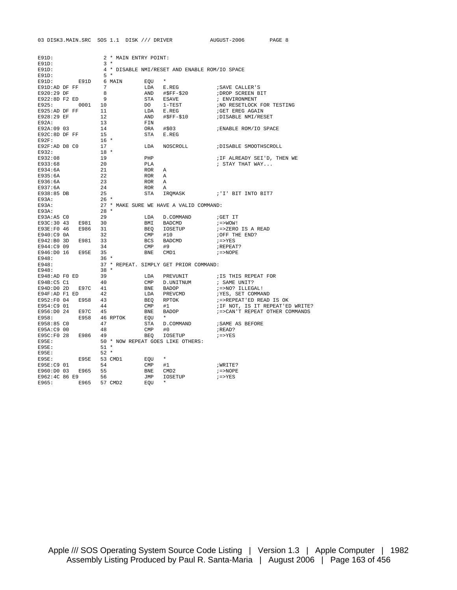| $-2006$ | <b>PAGE</b> |
|---------|-------------|

| E91D:                                                                                                          |                                                                                                                              |                                               | 2 * MAIN ENTRY POINT:     |       |                                                                                                              |                                                                                                                                                                                                        |  |
|----------------------------------------------------------------------------------------------------------------|------------------------------------------------------------------------------------------------------------------------------|-----------------------------------------------|---------------------------|-------|--------------------------------------------------------------------------------------------------------------|--------------------------------------------------------------------------------------------------------------------------------------------------------------------------------------------------------|--|
|                                                                                                                |                                                                                                                              |                                               |                           |       |                                                                                                              | E91D:<br>E91D: 3 *<br>E91D: 4 * DISABLE NMI/RESET AND ENABLE ROM/IO SPACE<br>E91D: 5 *<br>E91D: E91D 6 MAIN EQU *<br>E91D: AD DF FF 7 LDA E.REG :SAVE CAL!<br>TAGLION DT RES AND #\$FF-\$20 :DROP SCRI |  |
|                                                                                                                |                                                                                                                              |                                               |                           |       |                                                                                                              |                                                                                                                                                                                                        |  |
|                                                                                                                |                                                                                                                              |                                               |                           |       |                                                                                                              |                                                                                                                                                                                                        |  |
|                                                                                                                |                                                                                                                              |                                               |                           |       |                                                                                                              |                                                                                                                                                                                                        |  |
|                                                                                                                |                                                                                                                              |                                               |                           |       |                                                                                                              |                                                                                                                                                                                                        |  |
| E920:29 DF                                                                                                     |                                                                                                                              | 8 <sup>1</sup>                                |                           |       |                                                                                                              |                                                                                                                                                                                                        |  |
|                                                                                                                | $E922:BD$ F2 ED 9<br>E922:8D F2 ED 9<br>E925: 0001 10                                                                        |                                               |                           |       |                                                                                                              |                                                                                                                                                                                                        |  |
|                                                                                                                |                                                                                                                              |                                               |                           |       |                                                                                                              |                                                                                                                                                                                                        |  |
|                                                                                                                |                                                                                                                              |                                               |                           |       |                                                                                                              |                                                                                                                                                                                                        |  |
|                                                                                                                |                                                                                                                              |                                               |                           |       |                                                                                                              |                                                                                                                                                                                                        |  |
|                                                                                                                |                                                                                                                              |                                               |                           |       |                                                                                                              |                                                                                                                                                                                                        |  |
|                                                                                                                | E925:AD DF FF 11<br>E925:AD DF FF 11<br>E928:29 EF 12<br>E924:09 03 14<br>E920:8D DF FF 15<br>E92C:8D DF FF 15<br>E92F: 16 * |                                               |                           |       |                                                                                                              |                                                                                                                                                                                                        |  |
|                                                                                                                |                                                                                                                              |                                               |                           |       |                                                                                                              |                                                                                                                                                                                                        |  |
|                                                                                                                |                                                                                                                              |                                               |                           |       |                                                                                                              |                                                                                                                                                                                                        |  |
|                                                                                                                |                                                                                                                              |                                               |                           |       |                                                                                                              |                                                                                                                                                                                                        |  |
| E92F:AD D8 C0                                                                                                  |                                                                                                                              | $\begin{array}{c} -1 \\ 17 \\ 18 \end{array}$ |                           |       |                                                                                                              | LDA NOSCROLL : DISABLE SMOOTHSCROLL                                                                                                                                                                    |  |
| E932: The second second second second second second second second second second second second second second se |                                                                                                                              |                                               |                           |       |                                                                                                              |                                                                                                                                                                                                        |  |
| E932:08                                                                                                        |                                                                                                                              | $\begin{array}{c} 19 \\ 20 \end{array}$       |                           | PHP   |                                                                                                              | ;IF ALREADY SEI'D, THEN WE<br>; STAY THAT WAY                                                                                                                                                          |  |
| E933:68                                                                                                        |                                                                                                                              |                                               |                           |       |                                                                                                              |                                                                                                                                                                                                        |  |
| E934:6A                                                                                                        |                                                                                                                              | $\begin{array}{c} 21 \\ 22 \\ 23 \end{array}$ |                           |       |                                                                                                              |                                                                                                                                                                                                        |  |
| E935:6A                                                                                                        |                                                                                                                              |                                               |                           |       |                                                                                                              |                                                                                                                                                                                                        |  |
| E936:6A                                                                                                        |                                                                                                                              |                                               |                           |       |                                                                                                              |                                                                                                                                                                                                        |  |
| E937:6A                                                                                                        |                                                                                                                              | 24                                            |                           |       |                                                                                                              | FLA ; STAY THAT WAY<br>ROR A<br>ROR A<br>ROR A<br>ROR A<br>STA IRQMASK ; 'I' BIT INTO BIT7                                                                                                             |  |
| E938:85 DB                                                                                                     |                                                                                                                              | 25                                            |                           |       |                                                                                                              |                                                                                                                                                                                                        |  |
| E93A:                                                                                                          |                                                                                                                              | $26 *$                                        |                           |       |                                                                                                              |                                                                                                                                                                                                        |  |
| E93A:                                                                                                          |                                                                                                                              |                                               |                           |       | 27 * MAKE SURE WE HAVE A VALID COMMAND:<br>28 *                                                              |                                                                                                                                                                                                        |  |
| $E93A$ :                                                                                                       |                                                                                                                              |                                               |                           |       |                                                                                                              |                                                                                                                                                                                                        |  |
| E93A:A5 CO                                                                                                     | $\frac{20}{29}$                                                                                                              |                                               |                           |       |                                                                                                              | GET IT                                                                                                                                                                                                 |  |
|                                                                                                                | E93C:30 43 E981 30                                                                                                           |                                               |                           |       | LDA D.COMMAND<br>BEQ IOSETUP<br>BEQ IOSETUP<br>CMP #10<br>CMP #9                                             | $i = >WOW!$                                                                                                                                                                                            |  |
|                                                                                                                | E93E:F0 46 E986 31                                                                                                           |                                               |                           |       |                                                                                                              | ; =>ZERO IS A READ<br>;OFF THE END?                                                                                                                                                                    |  |
| E940:C9 OA                                                                                                     | 32                                                                                                                           |                                               |                           |       |                                                                                                              |                                                                                                                                                                                                        |  |
|                                                                                                                | E942:B0 3D E981 33<br>E944:C9 09 34                                                                                          |                                               |                           |       |                                                                                                              | $i = > YES$                                                                                                                                                                                            |  |
|                                                                                                                |                                                                                                                              |                                               |                           |       |                                                                                                              | ; REPEAT?                                                                                                                                                                                              |  |
|                                                                                                                |                                                                                                                              |                                               |                           |       | BNE CMD1                                                                                                     | $i = >$ NOPE                                                                                                                                                                                           |  |
|                                                                                                                |                                                                                                                              |                                               |                           |       |                                                                                                              |                                                                                                                                                                                                        |  |
|                                                                                                                |                                                                                                                              |                                               |                           |       | E946:D0 16 E95E 35<br>E948: 36 *<br>E948: 36 *<br>E948: 37 * REPEAT. SIMPLY GET PRIOR COMMAND:<br>E948: 38 * |                                                                                                                                                                                                        |  |
|                                                                                                                |                                                                                                                              |                                               |                           |       |                                                                                                              |                                                                                                                                                                                                        |  |
| E948:AD F0 ED                                                                                                  |                                                                                                                              | 39                                            |                           |       |                                                                                                              |                                                                                                                                                                                                        |  |
| E94B:C5 C1                                                                                                     | 40                                                                                                                           |                                               |                           |       |                                                                                                              |                                                                                                                                                                                                        |  |
|                                                                                                                | $E94D: D0 2D  E97C 41$<br>$E94F: AD F1 ED 42$                                                                                |                                               |                           |       |                                                                                                              |                                                                                                                                                                                                        |  |
|                                                                                                                |                                                                                                                              |                                               |                           |       |                                                                                                              |                                                                                                                                                                                                        |  |
|                                                                                                                | E952:F0 04 E958 43                                                                                                           |                                               |                           |       |                                                                                                              |                                                                                                                                                                                                        |  |
| E954:C9 01                                                                                                     | 44                                                                                                                           |                                               |                           |       |                                                                                                              |                                                                                                                                                                                                        |  |
|                                                                                                                | E956:D0 24 E97C 45                                                                                                           |                                               |                           |       |                                                                                                              |                                                                                                                                                                                                        |  |
|                                                                                                                |                                                                                                                              |                                               | E958: E958 46 RPTOK EQU * |       |                                                                                                              |                                                                                                                                                                                                        |  |
| E958:85 CO                                                                                                     |                                                                                                                              |                                               |                           |       |                                                                                                              | STA D. COMMAND : SAME AS BEFORE                                                                                                                                                                        |  |
| E95A:C9 00                                                                                                     | $\frac{47}{48}$                                                                                                              |                                               |                           |       | $\text{CMP}$ #0                                                                                              | ; READ?                                                                                                                                                                                                |  |
|                                                                                                                |                                                                                                                              |                                               |                           |       | $E95C: F0 28$ $E986$ 49 BEQ IOSETUP $E95C: F0 28$ $E986$ 49                                                  |                                                                                                                                                                                                        |  |
|                                                                                                                |                                                                                                                              |                                               |                           |       |                                                                                                              |                                                                                                                                                                                                        |  |
| E95E:                                                                                                          |                                                                                                                              |                                               |                           |       | 50 * NOW REPEAT GOES LIKE OTHERS:                                                                            |                                                                                                                                                                                                        |  |
| E95E:                                                                                                          |                                                                                                                              | $51 *$                                        |                           |       |                                                                                                              |                                                                                                                                                                                                        |  |
| E95E:                                                                                                          | E95E: E95E 53 CMD1                                                                                                           | $52 *$                                        |                           |       |                                                                                                              |                                                                                                                                                                                                        |  |
|                                                                                                                |                                                                                                                              |                                               |                           | EQU * |                                                                                                              |                                                                                                                                                                                                        |  |
|                                                                                                                |                                                                                                                              |                                               |                           |       |                                                                                                              | ;WRITE?                                                                                                                                                                                                |  |
|                                                                                                                |                                                                                                                              |                                               |                           |       |                                                                                                              | $i = >$ NOPE                                                                                                                                                                                           |  |
|                                                                                                                |                                                                                                                              |                                               |                           |       |                                                                                                              | $i = > YES$                                                                                                                                                                                            |  |
|                                                                                                                |                                                                                                                              |                                               |                           |       |                                                                                                              |                                                                                                                                                                                                        |  |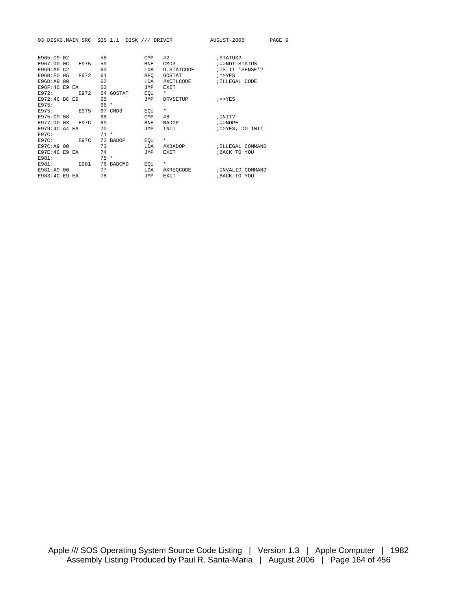03 DISK3.MAIN.SRC SOS 1.1 DISK /// DRIVER AUGUST-2006 PAGE 9

| E965:C9 02    |                |             | 58     |                  | CMP        | #2              | ; STATUS?         |  |
|---------------|----------------|-------------|--------|------------------|------------|-----------------|-------------------|--|
| E967:DD       | 0 <sup>c</sup> | E975        | 59     |                  | <b>BNE</b> | CMD3            | :=>NOT STATUS     |  |
| E969:A5 C2    |                |             | 60     |                  | LDA        | D. STATCODE     | ; IS IT 'SENSE'?  |  |
| F96B:F0       | 05             | E972        | 61     |                  | <b>BEO</b> | GOSTAT          | $i = > YES$       |  |
| E96D: A9      | 00             |             | 62     |                  | LDA        | #XCTLCODE       | ; ILLEGAL CODE    |  |
| E96F:4C E9    |                | EA.         | 63     |                  | <b>JMP</b> | EXIT            |                   |  |
| E972:         |                | E972        |        | 64 GOSTAT        | EOU        | $\star$         |                   |  |
| E972:4C BC E9 |                |             | 65     |                  | JMP        | <b>DRVSETUP</b> | $i = > YES$       |  |
| E975:         |                |             | 66 *   |                  |            |                 |                   |  |
| E975:         |                | E975        | 67     | CMD <sub>3</sub> | EOU        | $\star$         |                   |  |
| E975:C9 08    |                |             | 68     |                  | CMP        | #8              | ; INIT?           |  |
| E977:DD       | 0.3            | <b>E97C</b> | 69     |                  | <b>BNE</b> | <b>BADOP</b>    | $i = >NOPE$       |  |
| E979:4C A4 EA |                |             | 70     |                  | JMP        | INIT            | ;=>YES, DO INIT   |  |
| $E97C$ :      |                |             | $71 *$ |                  |            |                 |                   |  |
| E97C:         |                | E97C        |        | 72 BADOP         | EQU        | $\star$         |                   |  |
| E97C: A9 00   |                |             | 73     |                  | LDA        | #XBADOP         | ;ILLEGAL COMMAND  |  |
| E97E:4C E9 EA |                |             | 74     |                  | <b>JMP</b> | EXIT            | ; BACK TO YOU     |  |
| E981:         |                |             | $75 *$ |                  |            |                 |                   |  |
| E981:         |                | E981        | 76     | <b>BADCMD</b>    | EQU        | $\star$         |                   |  |
| E981:A9 00    |                |             | 77     |                  | LDA        | #XREOCODE       | ; INVALID COMMAND |  |
| E983:4C E9    |                | EA          | 78     |                  | JMP        | <b>EXIT</b>     | ;BACK TO YOU      |  |
|               |                |             |        |                  |            |                 |                   |  |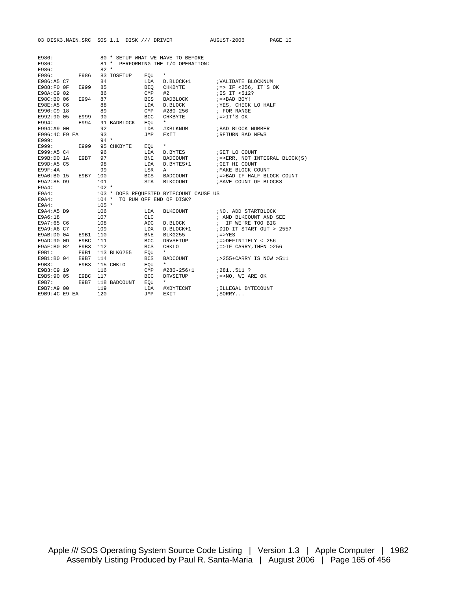| E986:         |                     |         |                            |              | 80 * SETUP WHAT WE HAVE TO BEFORE                                        |                                                                                                                                                                                                                                                                                                                                                                   |
|---------------|---------------------|---------|----------------------------|--------------|--------------------------------------------------------------------------|-------------------------------------------------------------------------------------------------------------------------------------------------------------------------------------------------------------------------------------------------------------------------------------------------------------------------------------------------------------------|
| E986:         |                     |         |                            |              | 81 * PERFORMING THE I/O OPERATION:                                       |                                                                                                                                                                                                                                                                                                                                                                   |
| E986:         |                     |         | $82 *$                     |              |                                                                          |                                                                                                                                                                                                                                                                                                                                                                   |
|               |                     |         | E986: E986 83 IOSETUP EOU  |              | $\star$                                                                  |                                                                                                                                                                                                                                                                                                                                                                   |
| E986:A5 C7    |                     | 84      |                            |              |                                                                          | LDA D.BLOCK+1 ; VALIDATE BLOCKNUM                                                                                                                                                                                                                                                                                                                                 |
| E988:F0 OF    | E999                | 85      |                            |              | BEO CHKBYTE                                                              | ;=> IF <256, IT'S OK                                                                                                                                                                                                                                                                                                                                              |
| E98A:C9 02    |                     | 86      |                            | $CMP$ #2     |                                                                          | ;IS IT <512?                                                                                                                                                                                                                                                                                                                                                      |
| E98C:B0 06    | E994 87             |         |                            |              | BCS BADBLOCK                                                             | $i =$ >BAD BOY!                                                                                                                                                                                                                                                                                                                                                   |
| E98E:A5 C6    |                     | 88      |                            |              | LDA D.BLOCK                                                              | ; YES, CHECK LO HALF                                                                                                                                                                                                                                                                                                                                              |
| E990:C9 18    |                     | 89      |                            |              |                                                                          | CMP #280-256 ; FOR RANGE                                                                                                                                                                                                                                                                                                                                          |
| E992:90 05    | E999 90             |         |                            |              |                                                                          | BCC CHKBYTE :=>IT'S OK                                                                                                                                                                                                                                                                                                                                            |
|               |                     |         | E994: E994 91 BADBLOCK EQU |              | $\star$                                                                  |                                                                                                                                                                                                                                                                                                                                                                   |
| E994:A9 00    |                     | 92      |                            |              | LDA #XBLKNUM                                                             | ;BAD BLOCK NUMBER                                                                                                                                                                                                                                                                                                                                                 |
| E996:4C E9 EA |                     | 93      |                            | JMP          | EXIT                                                                     | RETURN BAD NEWS                                                                                                                                                                                                                                                                                                                                                   |
| E999:         |                     | $94 *$  |                            |              |                                                                          |                                                                                                                                                                                                                                                                                                                                                                   |
|               |                     |         | E999: E999 95 CHKBYTE EQU  |              | $\star$                                                                  |                                                                                                                                                                                                                                                                                                                                                                   |
| E999:A5 C4    | 96                  |         |                            | LDA          | D.BYTES                                                                  | GET LO COUNT                                                                                                                                                                                                                                                                                                                                                      |
|               | E99B:D0 1A E9B7 97  |         |                            | <b>BNE</b>   |                                                                          |                                                                                                                                                                                                                                                                                                                                                                   |
| E99D:A5 C5    |                     | 98      |                            | LDA          | <b>BADCOUNT</b><br>D.BYTES+1                                             | $\mathit{i}=\mathit{v}$ = $\mathit{i}$ = $\mathit{i}$ = $\mathit{i}$ = $\mathit{i}$ = $\mathit{i}$ = $\mathit{i}$ = $\mathit{i}$ = $\mathit{i}$ = $\mathit{i}$ = $\mathit{i}$ = $\mathit{i}$ = $\mathit{i}$ = $\mathit{i}$ = $\mathit{i}$ = $\mathit{i}$ = $\mathit{i}$ = $\mathit{i}$ = $\mathit{i}$ = $\mathit{i}$ = $\mathit{i}$ = $\mathit{i$<br>GET HI COUNT |
|               |                     | 99      |                            |              |                                                                          |                                                                                                                                                                                                                                                                                                                                                                   |
| E99F:4A       | E9A0:B0 15 E9B7 100 |         |                            |              | LSR A                                                                    | ; MAKE BLOCK COUNT                                                                                                                                                                                                                                                                                                                                                |
|               |                     |         |                            |              |                                                                          | $\begin{minipage}{0.9\linewidth} BCS & \text{BAD} \\ \text{BAD} \\ \text{IF} \\ \text{HALF-BLOCK} \\ \text{COUNT} \end{minipage}$                                                                                                                                                                                                                                 |
| E9A2:85 D9    |                     | 101     |                            |              |                                                                          | STA BLKCOUNT : SAVE COUNT OF BLOCKS                                                                                                                                                                                                                                                                                                                               |
| E9A4:         |                     | $102 *$ |                            |              |                                                                          |                                                                                                                                                                                                                                                                                                                                                                   |
| E9A4:         |                     |         |                            |              | 103 * DOES REQUESTED BYTECOUNT CAUSE US<br>104 * TO RUN OFF END OF DISK? |                                                                                                                                                                                                                                                                                                                                                                   |
| E9A4:         |                     |         |                            |              |                                                                          |                                                                                                                                                                                                                                                                                                                                                                   |
| E9A4:         |                     | $105 *$ |                            |              |                                                                          |                                                                                                                                                                                                                                                                                                                                                                   |
| E9A4:A5 D9    |                     | 106     |                            | LDA          |                                                                          | BLKCOUNT : NO. ADD STARTBLOCK                                                                                                                                                                                                                                                                                                                                     |
| E9A6:18       |                     | 107     |                            | CLC.         |                                                                          | ; AND BLKCOUNT AND SEE                                                                                                                                                                                                                                                                                                                                            |
| E9A7:65 C6    |                     | 108     |                            | ADC          |                                                                          | D.BLOCK $\qquad$ ; IF WE'RE TOO BIG                                                                                                                                                                                                                                                                                                                               |
| E9A9:A6 C7    |                     | 109     |                            | LDX          | D.BLOCK+1                                                                | ; DID IT START OUT > 255?                                                                                                                                                                                                                                                                                                                                         |
| E9AB:D0 04    | E9B1 110            |         |                            | BNE          | BLKG255                                                                  | $i = > YES$                                                                                                                                                                                                                                                                                                                                                       |
| E9AD:90 OD    | E9BC                | 111     |                            | BCC          | DRVSETUP                                                                 | $i =$ >DEFINITELY < 256                                                                                                                                                                                                                                                                                                                                           |
| E9AF:B0 02    | E9B3                | 112     |                            | BCS          | CHKLO                                                                    | $i = > IF CARRY, THEN > 256$                                                                                                                                                                                                                                                                                                                                      |
| E9B1:         | E9B1                |         | 113 BLKG255 EQU            |              | $\star$                                                                  |                                                                                                                                                                                                                                                                                                                                                                   |
| E9B1:B0 04    | E9B7                | 114     |                            | <b>BCS</b>   |                                                                          | BADCOUNT $i>255+CARRY$ IS NOW >511                                                                                                                                                                                                                                                                                                                                |
| E9B3:         |                     |         | E9B3 115 CHKLO             | EQU          | $\star$                                                                  |                                                                                                                                                                                                                                                                                                                                                                   |
| E9B3:C9 19    |                     | 116     |                            | $\text{CMP}$ | #280-256+1                                                               | $7281.511$ ?                                                                                                                                                                                                                                                                                                                                                      |
| E9B5:90 05    | E9BC 117            |         |                            | BCC          | DRVSETUP                                                                 | $i = > NO$ , WE ARE OK                                                                                                                                                                                                                                                                                                                                            |
|               |                     |         | E9B7: E9B7 118 BADCOUNT    | EOU          | $\star$                                                                  |                                                                                                                                                                                                                                                                                                                                                                   |
| E9B7:A9 00    |                     | 119     |                            |              | LDA #XBYTECNT                                                            | ; ILLEGAL BYTECOUNT                                                                                                                                                                                                                                                                                                                                               |
| E9B9:4C E9 EA |                     | 120     |                            | JMP          | EXIT                                                                     | $i$ SORRY $\ldots$                                                                                                                                                                                                                                                                                                                                                |

Apple /// SOS Operating System Source Code Listing | Version 1.3 | Apple Computer | 1982 Assembly Listing Produced by Paul R. Santa-Maria | August 2006 | Page 165 of 456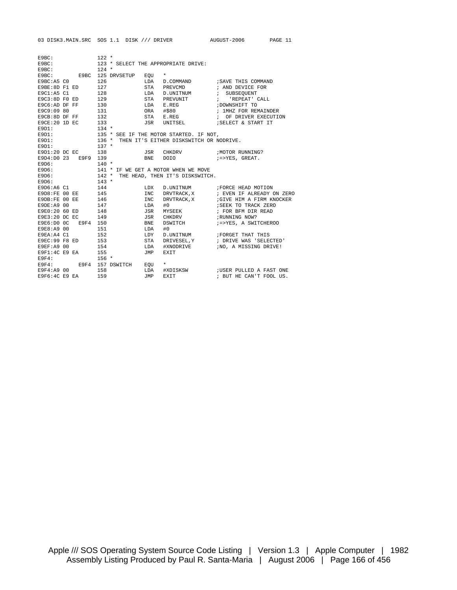| E9BC:           |                     | $122 *$           |                              |            |                                                                               |                                       |
|-----------------|---------------------|-------------------|------------------------------|------------|-------------------------------------------------------------------------------|---------------------------------------|
| E9BC:           |                     |                   |                              |            | 123 * SELECT THE APPROPRIATE DRIVE:                                           |                                       |
| E9BC:           |                     | $124$ *           |                              |            |                                                                               |                                       |
|                 |                     |                   | E9BC: E9BC 125 DRVSETUP      | EQU        | $\star$                                                                       |                                       |
| E9BC:A5 CO      |                     | 126               |                              |            |                                                                               | LDA D. COMMAND : SAVE THIS COMMAND    |
| E9BE:8D F1 ED   |                     | 127               |                              | STA        | PREVCMD : AND DEVICE FOR                                                      |                                       |
| E9C1:AB C1      |                     | 128               |                              | LDA        | D. UNITNUM $\qquad$ ; SUBSEQUENT                                              |                                       |
|                 | E9C3:8D F0 ED 129   |                   |                              | STA        | PREVUNIT : 'REPEAT' CALL                                                      |                                       |
| E9C6:AD DF FF   |                     | 130               |                              | LDA        | E.REG                                                                         | ; DOWNSHIFT TO                        |
| E9C9:09 80      |                     | 131<br>132<br>133 |                              |            | ORA #\$80                                                                     | ; 1MHZ FOR REMAINDER                  |
| E9CB:8D DF FF   |                     |                   |                              | STA        | E.REG                                                                         | ; OF DRIVER EXECUTION                 |
| E9CE: 20 1D EC  |                     |                   |                              |            | JSR UNITSEL                                                                   | ; SELECT & START IT                   |
| E9D1:           |                     | $134 *$           |                              |            |                                                                               |                                       |
| E9D1:           |                     |                   |                              |            | 135 * SEE IF THE MOTOR STARTED. IF NOT,                                       |                                       |
| E9D1:           | $136$ *             |                   |                              |            | THEN IT'S EITHER DISKSWITCH OR NODRIVE.                                       |                                       |
| E9D1:           |                     | $137$ *           |                              |            |                                                                               |                                       |
|                 | E9D1:20 DC EC 138   |                   |                              |            | JSR CHKDRV : MOTOR RUNNING?                                                   |                                       |
|                 | E9D4:D0 23 E9F9 139 |                   |                              |            | BNE DOIO $i = > YES$ , GREAT.                                                 |                                       |
| E9D6:           |                     | $140 *$           |                              |            |                                                                               |                                       |
| E9D6:           |                     |                   |                              |            | 141 * IF WE GET A MOTOR WHEN WE MOVE<br>142 * THE HEAD, THEN IT'S DISKSWITCH. |                                       |
| E9D6:           |                     |                   |                              |            |                                                                               |                                       |
| E9D6:           |                     | $143 *$           |                              |            |                                                                               |                                       |
|                 | E9D6:A6 C1 144      |                   |                              | LDX        |                                                                               | D. UNITNUM : FORCE HEAD MOTION        |
|                 | E9D8:FE 00 EE 145   |                   |                              | <b>INC</b> |                                                                               | DRVTRACK, X : EVEN IF ALREADY ON ZERO |
| E9DB:FE 00 EE   | 146                 |                   |                              | INC        |                                                                               | DRVTRACK, X : GIVE HIM A FIRM KNOCKER |
| E9DE: A900      |                     | 147               |                              | LDA        | #0                                                                            | SEEK TO TRACK ZERO                    |
|                 | E9E0:20 60 ED 148   |                   |                              | JSR        | <b>MYSEEK</b>                                                                 | ; FOR BFM DIR READ                    |
| $E9E3:20$ DC EC | 149                 |                   |                              | JSR        | CHKDRV                                                                        | ; RUNNING NOW?                        |
|                 | E9E6:D0 0C E9F4 150 |                   |                              | BNE        | DSWITCH                                                                       | ;=>YES, A SWITCHEROO                  |
| E9E8:A9 00      |                     | 151               |                              | LDA        | #0                                                                            |                                       |
| E9EA:A4 C1      |                     | 152               |                              | LDY        | D. UNITNUM : FORGET THAT THIS                                                 |                                       |
| E9EC: 99 F8 ED  |                     | 153               |                              | STA        | DRIVESEL, Y                                                                   | ; DRIVE WAS 'SELECTED'                |
| E9EF: A9 00     |                     | 154               |                              | LDA        | #XNODRIVE                                                                     | ;NO, A MISSING DRIVE!                 |
|                 | E9F1:4C E9 EA 155   |                   |                              | JMP        | EXIT                                                                          |                                       |
| E9F4:           |                     | $156 *$           |                              |            |                                                                               |                                       |
|                 |                     |                   | E9F4: E9F4 157 DSWITCH EQU * |            |                                                                               |                                       |
| E9F4:A9 00      |                     | 158               |                              | LDA        |                                                                               | #XDISKSW :USER PULLED A FAST ONE      |
| E9F6:4C E9 EA   |                     | 159               |                              | JMP        | EXIT                                                                          | ; BUT HE CAN'T FOOL US.               |

03 DISK3.MAIN.SRC SOS 1.1 DISK /// DRIVER AUGUST-2006 PAGE 11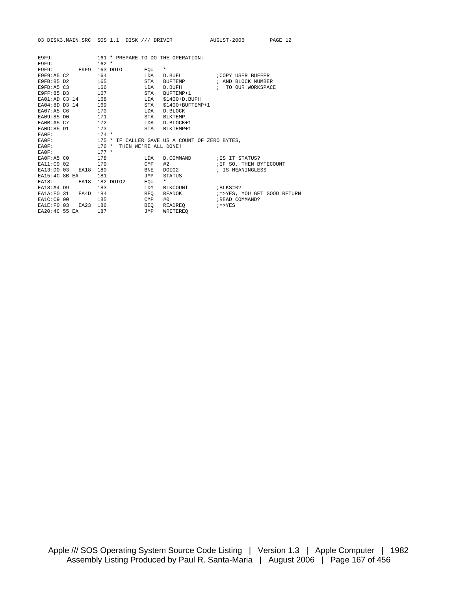|                    |          |                          |              |                                                | 03 DISK3.MAIN.SRC SOS 1.1 DISK /// DRIVER AUGUST-2006 | PAGE 12 |
|--------------------|----------|--------------------------|--------------|------------------------------------------------|-------------------------------------------------------|---------|
|                    |          |                          |              |                                                |                                                       |         |
| <b>E9F9:</b>       |          |                          |              | 161 * PREPARE TO DO THE OPERATION:             |                                                       |         |
| E9F9:<br>E9F9:     |          | $162 *$<br>E9F9 163 DOIO | EOU          | $\star$                                        |                                                       |         |
| E9F9:A5 C2         |          | 164                      | LDA          | D.BUFL                                         | COPY USER BUFFER;                                     |         |
| E9FB:85 D2         |          | 165                      | STA          | BUFTEMP                                        | ; AND BLOCK NUMBER                                    |         |
| E9FD: A5 C3        |          | 166                      | LDA          | D.BUFH                                         | ; TO OUR WORKSPACE                                    |         |
| E9FF:85 D3         |          | 167                      | STA          | BUFTEMP+1                                      |                                                       |         |
| EA01:AD C3 14      |          | 168                      | LDA          | $$1400+D$ . BUFH                               |                                                       |         |
| EA04:8D D3 14      |          | 169                      | STA          | $$1400+$ BUFTEMP+1                             |                                                       |         |
| EA07:A5 C6         |          | 170                      | LDA          | D.BLOCK                                        |                                                       |         |
| EA09:85 DO         |          | 171                      | <b>STA</b>   | <b>BLKTEMP</b>                                 |                                                       |         |
| EA0B:A5 C7         |          | 172                      | LDA          | D.BLOCK+1                                      |                                                       |         |
| EA0D:85 D1         |          | 173                      | STA          | BLKTEMP+1                                      |                                                       |         |
| EA0F:              |          | $174 *$                  |              |                                                |                                                       |         |
| EA0F:              |          |                          |              | 175 * IF CALLER GAVE US A COUNT OF ZERO BYTES, |                                                       |         |
| EA0F:              |          | $176 *$                  |              | THEN WE'RE ALL DONE!                           |                                                       |         |
| EA0F:              |          | $177 *$                  |              |                                                |                                                       |         |
| <b>EAOF: A5 CO</b> |          | 178                      | LDA          |                                                | D.COMMAND : IS IT STATUS?                             |         |
| EA11:C9 02         |          | 179                      | $\text{CMP}$ | #2                                             | ; IF SO, THEN BYTECOUNT                               |         |
| EA13:DO 03         | EA18     | 180                      | <b>BNE</b>   | DOIO2                                          | ; IS MEANINGLESS                                      |         |
| EA15:4C 8B EA      |          | 181                      | TMP          | STATUS                                         |                                                       |         |
| EA18:              | EA18     | 182 DOIO2                | EOU          | $\star$                                        |                                                       |         |
| $EA18:A4$ D9       |          | 183                      | LDY          | BLKCOUNT                                       | $BLKS = 0$ ?                                          |         |
| EA1A:FO 31         | EA4D     | 184                      | BEO          | READOK                                         | ;=>YES, YOU GET GOOD RETURN                           |         |
| EA1C:C9 00         |          | 185                      | CMP          | #0                                             | ; READ COMMAND?                                       |         |
| EALE:FO 03         | EA23 186 |                          | BEO          | READREQ                                        | $i = > YES$                                           |         |
| EA20:4C 55 EA      |          | 187                      | JMP          | WRITEREO                                       |                                                       |         |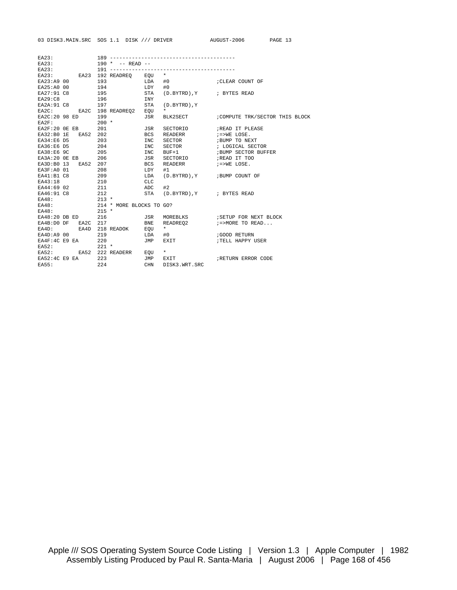| E.A23:              |                   |         |                                |            |                                                |                                                             |
|---------------------|-------------------|---------|--------------------------------|------------|------------------------------------------------|-------------------------------------------------------------|
| E A 23:             |                   |         | $190 * -$ READ --              |            |                                                |                                                             |
| E A 23:             |                   |         |                                |            |                                                |                                                             |
|                     |                   |         | EA23: EA23 192 READREQ EQU *   |            |                                                |                                                             |
| EA23:A9 00          |                   | 193     | $LDA$ #0                       |            |                                                | ; CLEAR COUNT OF                                            |
|                     |                   |         | EA25:A0 00 194                 | $LDY$ #0   |                                                |                                                             |
|                     |                   |         | EA27:91 C8 195                 | STA        | $(D.BYTRD)$ , $Y$ $\qquad \qquad ;$ BYTES READ |                                                             |
| EA29:C8             |                   |         | 196                            | INY        |                                                |                                                             |
|                     |                   |         |                                |            | EA2A: 91 C8 197 STA (D.BYTRD), Y               |                                                             |
|                     |                   |         | EA2C: EA2C 198 READREQ2 EQU    |            | $\star$                                        |                                                             |
| EA2C:20 98 ED 199   |                   |         |                                | JSR        |                                                | BLK2SECT : COMPUTE TRK/SECTOR THIS BLOCK                    |
| $E\text{A2F}$ :     |                   | $200 *$ |                                |            |                                                |                                                             |
| EA2F:20 OE EB 201   |                   |         |                                |            | JSR SECTORIO                                   | READ IT PLEASE                                              |
| EA32:B0 1E EA52 202 |                   |         |                                |            | BCS READERR                                    | $i = > WE$ LOSE.                                            |
| EA34:E6 D5          |                   |         |                                | INC        | SECTOR                                         | ;BUMP TO NEXT                                               |
| EA36:E6 D5          |                   |         |                                | INC        | SECTOR                                         | : LOGICAL SECTOR<br>: LOGICAL SECTOR<br>:BUMP SECTOR BUFFER |
| EA38:E6 9C          | $\frac{203}{204}$ |         |                                | INC        | $BUF+1$                                        |                                                             |
| EA3A:20 OE EB 206   |                   |         |                                |            | JSR SECTORIO                                   | ; READ IT TOO                                               |
| EA3D:B0 13 EA52 207 |                   |         |                                | <b>BCS</b> | READERR $i = > WE$ LOSE.                       |                                                             |
| EA3F:A0 01 208      |                   |         | LDY                            |            | #1                                             |                                                             |
|                     |                   |         | EA41:B1 C8 209 LDA             |            | (D.BYTRD), Y ; BUMP COUNT OF                   |                                                             |
| EA43:18 210         |                   |         | <b>CLC</b>                     |            |                                                |                                                             |
|                     |                   |         | EA44:69 02 211 ADC             |            | #2                                             |                                                             |
|                     |                   |         |                                |            | EA46:91 C8 212 STA (D.BYTRD), Y ; BYTES READ   |                                                             |
| EA48: 213 *         |                   |         |                                |            |                                                |                                                             |
|                     |                   |         | EA48: 214 * MORE BLOCKS TO GO? |            |                                                |                                                             |
| EA48: 215 *         |                   |         |                                |            |                                                |                                                             |
|                     |                   |         |                                |            |                                                |                                                             |
|                     |                   |         |                                |            |                                                | EA4B: DO DF EA2C 217 BNE READREQ2 $i$ =>MORE TO READ        |
|                     |                   |         | EA4D: EA4D 218 READOK EQU      |            | $\star$ . The set of $\star$                   |                                                             |
| EA4D:A9 00          |                   |         | 219                            | LDA        | #0                                             | GOOD RETURN                                                 |
| $EAAF:4C E9 EA$ 220 |                   |         |                                | JMP        | <b>EXIT</b>                                    | TELL HAPPY USER                                             |
| EA52:               |                   | $221$ * |                                |            |                                                |                                                             |
|                     |                   |         | EA52: EA52 222 READERR EQU *   |            |                                                |                                                             |
| EA52:4C E9 EA 223   |                   |         |                                | JMP        |                                                | EXIT FRETURN ERROR CODE                                     |
| EA55:               |                   |         | 224                            | CHN        | DISK3.WRT.SRC                                  |                                                             |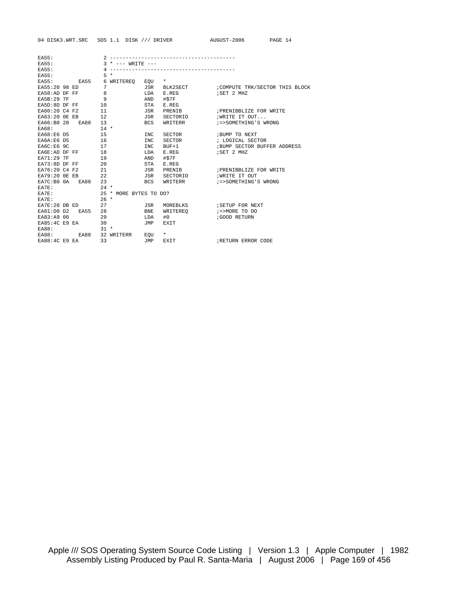| EA55:                |      |        |                        |            | --------------------------- |                                |
|----------------------|------|--------|------------------------|------------|-----------------------------|--------------------------------|
| EA55:                |      |        | * $---$ WRITE $---$    |            |                             |                                |
| EA55:                |      | 4      |                        |            |                             |                                |
| EA55:                |      | $5 *$  |                        |            |                             |                                |
| EA55:                | EA55 |        | 6 WRITEREO EOU         |            | $\star$                     |                                |
| EA55:20 98 ED        |      | 7      |                        |            | JSR BLK2SECT                | COMPUTE TRK/SECTOR THIS BLOCK; |
| EA58:AD DF FF        |      | 8      |                        | LDA        | E.REG                       | ; SET 2 MHZ                    |
| <b>EA5B: 29 7F</b>   |      | 9      |                        | AND        | #\$7F                       |                                |
| EA5D:8D DF FF        |      | 10     |                        | STA        | E.REG                       |                                |
| EA60:20 C4 F2        |      | 11     |                        | JSR        | PRENTB                      | ; PRENIBBLIZE FOR WRITE        |
| EA63:20 OE EB        |      | 12     |                        | JSR        | SECTORIO                    | ; WRITE IT OUT                 |
| EA66:B0 20 EA88      |      | 13     |                        | BCS        | WRITERR                     | ; = > SOMETHING'S WRONG        |
| EA68:                |      | $14 *$ |                        |            |                             |                                |
| EA68:E6 D5           |      | 15     |                        | <b>INC</b> | SECTOR                      | ; BUMP TO NEXT                 |
| EA6A:E6 D5           |      | 16     |                        | INC.       | SECTOR                      | ; LOGICAL SECTOR               |
| EA6C:E6 9C           |      | 17     |                        | <b>INC</b> | BUF+1                       | ; BUMP SECTOR BUFFER ADDRESS   |
| EA6E:AD DF FF        |      | 18     |                        | LDA        | E.REG                       | ; SET 2 MHZ                    |
| <b>EA71:29 7F</b>    |      | 19     |                        | AND        | #\$7F                       |                                |
| EA73:8D DF FF        |      | 20     |                        | STA        | E.REG                       |                                |
| EA76:20 C4 F2        |      | 21     |                        | JSR        | PRENIB                      | ; PRENIBBLIZE FOR WRITE        |
| EA79:20 OE EB        |      | 22     |                        | JSR        | SECTORIO                    | <b>WRITE IT OUT</b>            |
| EA7C:BO OA EA88      |      | 23     |                        | BCS        | WRITERR                     | :=>SOMETHING'S WRONG           |
| EA7E:                |      | $24 *$ |                        |            |                             |                                |
| EA7E:                |      |        | 25 * MORE BYTES TO DO? |            |                             |                                |
| EA7E:                |      | $26 *$ |                        |            |                             |                                |
| EA7E:20 DB ED        |      | 27     |                        | JSR        | MOREBLKS                    | ; SETUP FOR NEXT               |
| EA81:D0 D2           | EA55 | 28     |                        | <b>BNE</b> | WRITEREO                    | ;=>MORE TO DO                  |
| EA83:A9 00           |      | 29     |                        | LDA        | #0                          | GOOD RETURN                    |
| EA85:4C E9 EA        |      | 30     |                        | JMP        | EXIT                        |                                |
| EA88:                |      | $31 *$ |                        |            |                             |                                |
| EAB8:                | EA88 |        | 32 WRITERR             | EOU        | $\star$                     |                                |
| <b>EA88:4C E9 EA</b> |      | 33     |                        | TMP.       | <b>EXTT</b>                 | FRETURN ERROR CODE             |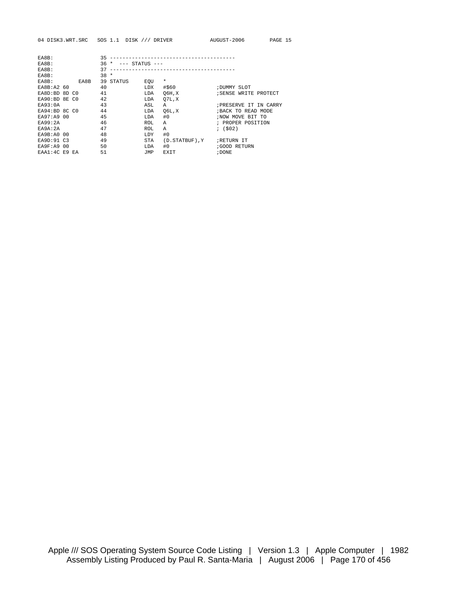| EA8B:             |      | 35     |           |                    | ----------------------------- |                      |
|-------------------|------|--------|-----------|--------------------|-------------------------------|----------------------|
| EA8B:             |      | $36 *$ |           | $---$ STATUS $---$ |                               |                      |
| EA8B:             |      | 37     |           |                    |                               |                      |
| EA8B:             |      | $38 *$ |           |                    |                               |                      |
| EA8B:             | EA8B |        | 39 STATUS | EOU                | $\star$                       |                      |
| EA8B:A2 60        |      | 40     |           | LDX                | #\$60                         | ; DUMMY SLOT         |
| EA8D:BD 8D CO     |      | 41     |           | LDA                | 06H, X                        | SENSE WRITE PROTECT  |
| EA90:BD 8E CO     |      | 42     |           | LDA                | 07L, X                        |                      |
| EAO3:OA           |      | 43     |           | ASL                | A                             | FRESERVE IT IN CARRY |
| $E_A94:BD$ 8C CO  |      | 44     |           | LDA                | 06L, X                        | ; BACK TO READ MODE  |
| EA97:A9 00        |      | 45     |           | LDA                | #0                            | ; NOW MOVE BIT TO    |
| EA99:2A           |      | 46     |           | <b>ROL</b>         | Α                             | ; PROPER POSITION    |
| EA9A: 2A          |      | 47     |           | <b>ROL</b>         | A                             | $;$ (\$02)           |
| EA9B: A0 00       |      | 48     |           | LDY                | #0                            |                      |
| EA9D:91 C3        |      | 49     |           | <b>STA</b>         | (D.STATBUF), Y                | RETURN IT            |
| <b>EA9F:A9 00</b> |      | 50     |           | LDA                | #0                            | GOOD RETURN          |
| EAA1:4C E9 EA     |      | 51     |           | JMP                | EXIT                          | ; DONE               |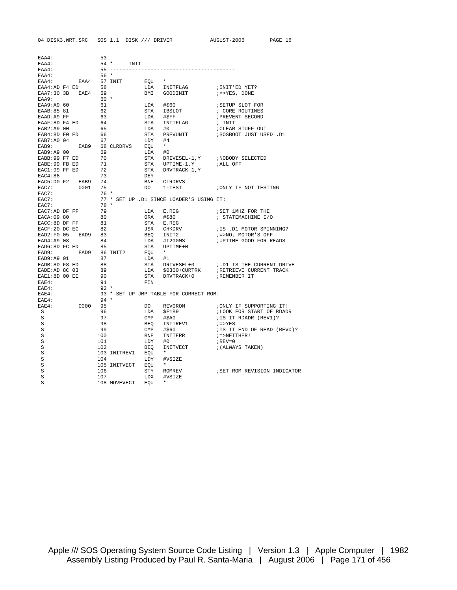| EAA4:          |                                        |        |                     |                |                                          |                              |
|----------------|----------------------------------------|--------|---------------------|----------------|------------------------------------------|------------------------------|
| EAA4:          |                                        |        | $54 * --- INIT ---$ |                |                                          |                              |
| EAA4:          |                                        |        |                     |                |                                          |                              |
| EAA4:          |                                        | $56*$  |                     |                |                                          |                              |
| EAA4:          | EAA4 57 INIT                           |        |                     | EOU            |                                          |                              |
|                | EAA4:AD F4 ED 58<br>EAA7:30 3B EAE4 59 |        |                     |                | LDA INITFLAG                             | ; INIT'ED YET?               |
|                |                                        |        |                     | BMI            | GOODINIT                                 | $i = > YES$ , DONE           |
| EAA9:          |                                        | $60 *$ |                     |                |                                          |                              |
| EAA9:A9 60     |                                        | 61     |                     | LDA            | #\$60                                    | ; SETUP SLOT FOR             |
| EAAB: 85 81    |                                        | 62     |                     | STA            | IBSLOT                                   | ; CORE ROUTINES              |
| EAAD:A9 FF     |                                        | 63     |                     | LDA            | #SFF                                     | ; PREVENT SECOND             |
| EAAF:8D F4 ED  |                                        | 64     |                     | STA            | INITFLAG                                 | ; INIT                       |
| EAB2:A9 00     |                                        | 65     |                     | LDA            | #0                                       | CLEAR STUFF OUT              |
| EAB4:8D F0 ED  |                                        | - 66   |                     | STA            | PREVUNIT                                 | D1. SOSBOOT JUST USED:       |
| EAB7:A0 04     |                                        | 67     |                     | LDY            | #4                                       |                              |
| EAB9:          |                                        |        | EAB9 68 CLRDRVS     | EQU            | $\star$                                  |                              |
| EAB9:A9 00     |                                        | 69     |                     | LDA            | #0                                       |                              |
| EABB:99 F7 ED  |                                        | 70     |                     |                | STA DRIVESEL-1, Y                        | NOBODY SELECTED              |
| EABE: 99 FB ED |                                        | 71     |                     |                | STA UPTIME-1, Y                          | ;ALL OFF                     |
| EAC1:99 FF ED  |                                        | 72     |                     |                | STA DRVTRACK-1, Y                        |                              |
| EAC4:88        |                                        | 73     |                     | DEY            |                                          |                              |
|                | EAC5:D0 F2 EAB9 74                     |        |                     | BNE            | CLRDRVS                                  |                              |
| EAC7:          | 0001                                   | 75     |                     | DO DO          | $1 - TEST$                               | ; ONLY IF NOT TESTING        |
| EAC7:          |                                        | $76*$  |                     |                |                                          |                              |
| EAC7:          |                                        |        |                     |                | 77 * SET UP .D1 SINCE LOADER'S USING IT: |                              |
| EAC7:          |                                        | 78 *   |                     |                |                                          |                              |
| EAC7:AD DF FF  |                                        | 79     |                     | LDA            | E.REG                                    | ; SET 1MHZ FOR THE           |
| EACA:09 80     |                                        | 80     |                     |                | ORA #\$80                                | ; STATEMACHINE I/O           |
| EACC:8D DF FF  |                                        | 81     |                     |                | STA E.REG                                |                              |
| EACF:20 DC EC  |                                        | 82     |                     |                | JSR CHKDRV                               | ;IS .D1 MOTOR SPINNING?      |
|                | EAD2:F0 05 EAD9 83                     |        |                     |                | BEQ INIT2                                | ;=>NO, MOTOR'S OFF           |
| EAD4:A9 08     |                                        | 84     |                     | LDA            | #T200MS                                  | ; UPTIME GOOD FOR READS      |
|                | EAD6:8D FC ED 85                       |        |                     |                | STA UPTIME+0                             |                              |
| EAD9:          |                                        |        | EAD9 86 INIT2       | EQU *          |                                          |                              |
| EAD9:A9 01     |                                        | 87     |                     | LDA #1         |                                          |                              |
| EADB: 8D F8 ED |                                        | 88     |                     |                | STA DRIVESEL+0                           | ; D1 IS THE CURRENT DRIVE    |
| EADE:AD 8C 03  |                                        | 89     |                     |                | LDA \$0300+CURTRK                        | FRETRIEVE CURRENT TRACK      |
| EAE1:8D 00 EE  |                                        | 90     |                     | STA            | DRVTRACK+0                               | ;REMEMBER IT                 |
| EAE4:          |                                        | 91     |                     | FIN            |                                          |                              |
| EAE4:          |                                        | $92*$  |                     |                |                                          |                              |
| $EAE4$ :       |                                        |        |                     |                | 93 * SET UP JMP TABLE FOR CORRECT ROM:   |                              |
| EAE4:          |                                        | $94 *$ |                     |                |                                          |                              |
| EAE4:          | 0000                                   | 95     |                     | DO             | REVOROM                                  | ; ONLY IF SUPPORTING IT!     |
| S              |                                        | 96     |                     | LDA            | \$F1B9                                   | ; LOOK FOR START OF RDADR    |
| S              |                                        | 97     |                     | $\mathsf{CMP}$ | #\$A0                                    | ; IS IT RDADR (REV1)?        |
| S              |                                        | 98     |                     | BEQ            | INITREV1                                 | $i = > YES$                  |
| S              |                                        | 99     |                     | $\text{CMP}$   | #\$60                                    | ; IS IT END OF READ (REVO)?  |
| S              |                                        | 100    |                     | BNE            | INITERR                                  | $i =$ >NEITHER!              |
| S              |                                        | 101    |                     | LDY            | #0                                       | $iREV=0$                     |
| S              |                                        | 102    |                     |                | INITVECT                                 |                              |
| S              |                                        |        | 103 INITREV1        | BEO<br>EOU     |                                          | ;(ALWAYS TAKEN)              |
| S              |                                        |        |                     |                |                                          |                              |
|                |                                        | 104    |                     | LDY            | #VSIZE<br>$\star$                        |                              |
| S              |                                        |        | 105 INITVECT EQU    |                |                                          |                              |
| S              |                                        | 106    |                     | STY            | ROMREV                                   | ; SET ROM REVISION INDICATOR |
| S              |                                        | 107    |                     | LDX            | #VSIZE                                   |                              |
| S              |                                        |        | 108 MOVEVECT        | EOU            | $\star$                                  |                              |

Apple /// SOS Operating System Source Code Listing | Version 1.3 | Apple Computer | 1982 Assembly Listing Produced by Paul R. Santa-Maria | August 2006 | Page 171 of 456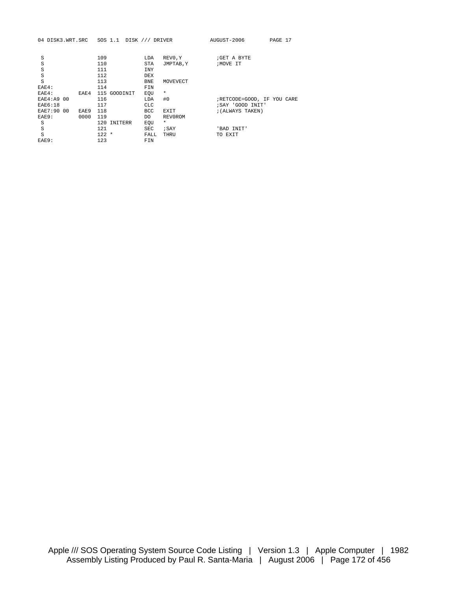|  | 04 DISK3.WRT.SRC SOS 1.1 DISK /// DRIVER |  |  |  |  |  |
|--|------------------------------------------|--|--|--|--|--|
|--|------------------------------------------|--|--|--|--|--|

04 DISK3.WRT.SRC SOS 1.1 DISK /// DRIVER AUGUST-2006 PAGE 17

| S           |      | 109     |              | LDA        | REVO, Y   | GET A BYTE                 |
|-------------|------|---------|--------------|------------|-----------|----------------------------|
| S           |      | 110     |              | STA        | JMPTAB, Y | ; MOVE IT                  |
| S           |      | 111     |              | <b>INY</b> |           |                            |
| S           |      | 112     |              | DEX        |           |                            |
| S           |      | 113     |              | <b>BNE</b> | MOVEVECT  |                            |
| EAE4:       |      | 114     |              | FIN        |           |                            |
| EAE4:       | EAE4 |         | 115 GOODINIT | EOU        | $\star$   |                            |
| EAE4: A9 00 |      | 116     |              | LDA        | #0        | ;RETCODE=GOOD, IF YOU CARE |
| EAE6:18     |      | 117     |              | <b>CLC</b> |           | ; SAY 'GOOD INIT'          |
| EAE7:90 00  | EAE9 | 118     |              | <b>BCC</b> | EXIT      | ; (ALWAYS TAKEN)           |
| EAE9:       | 0000 | 119     |              | DO.        | REV0ROM   |                            |
| S           |      |         | 120 INITERR  | EOU        | $\star$   |                            |
| S           |      | 121     |              | <b>SEC</b> | ; SAY     | 'BAD INIT'                 |
| S           |      | $122 *$ |              | FALL       | THRU      | TO EXIT                    |
| EAE9:       |      | 123     |              | FIN        |           |                            |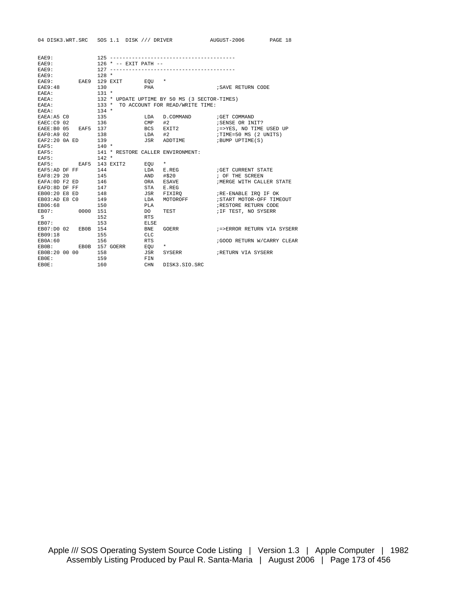|                   |                            |                                         |             |                                               | 04 DISK3.WRT.SRC SOS 1.1 DISK /// DRIVER AUGUST-2006 | PAGE 18 |
|-------------------|----------------------------|-----------------------------------------|-------------|-----------------------------------------------|------------------------------------------------------|---------|
|                   |                            |                                         |             |                                               |                                                      |         |
| EAE9:             |                            |                                         |             |                                               |                                                      |         |
| EAE9:             |                            | 126 * -- EXIT PATH --                   |             |                                               |                                                      |         |
| EAE9:             |                            |                                         |             |                                               |                                                      |         |
| EAE9:             |                            | $128 *$                                 |             |                                               |                                                      |         |
|                   |                            | EAE9: EAE9 129 EXIT EOU *               |             |                                               |                                                      |         |
| EAE9:48           |                            | 130                                     | <b>PHA</b>  |                                               | SAVE RETURN CODE                                     |         |
| EAEA:             |                            | $131 *$                                 |             |                                               |                                                      |         |
| EAEA:             |                            |                                         |             | 132 * UPDATE UPTIME BY 50 MS (3 SECTOR-TIMES) |                                                      |         |
| EABA:             |                            | $133 *$                                 |             | TO ACCOUNT FOR READ/WRITE TIME:               |                                                      |         |
| EAEA:             |                            | $134 *$                                 |             |                                               |                                                      |         |
| EAEA:A5 CO        |                            | 135                                     | LDA         | D.COMMAND                                     | GET COMMAND                                          |         |
| EAEC:C9 02        |                            | 136                                     |             | $CMP$ #2                                      | ; SENSE OR INIT?                                     |         |
|                   | EAEE: B0 05    EAF5    137 |                                         |             | BCS EXIT2                                     | :=>YES, NO TIME USED UP<br>:TIME=50 MS (2 UNITS)     |         |
| EAF0: A9 02       |                            | 138                                     |             | $LDA$ #2                                      |                                                      |         |
|                   | EAF2:20 0A ED 139          |                                         |             |                                               | JSR ADDTIME : BUMP UPTIME(S)                         |         |
| EAF5:             |                            | $140$ *                                 |             |                                               |                                                      |         |
|                   |                            | EAF5: 141 * RESTORE CALLER ENVIRONMENT: |             |                                               |                                                      |         |
| EAF5:             |                            | $142 *$                                 |             |                                               |                                                      |         |
|                   |                            | EAF5: EAF5 143 EXIT2 EOU *              |             |                                               |                                                      |         |
|                   | EAF5:AD DF FF 144          |                                         |             | LDA E.REG                                     | GET CURRENT STATE                                    |         |
| EAF8:29 20        |                            | 145                                     |             | AND #\$20                                     | ; OF THE SCREEN                                      |         |
| EAFA: OD F2 ED    |                            | 146<br>147                              |             | ORA ESAVE                                     | ; MERGE WITH CALLER STATE                            |         |
| EAFD:8D DF FF     |                            |                                         |             | STA E.REG                                     |                                                      |         |
|                   | EB00:20 E8 ED              | 148                                     |             | JSR FIXIRO                                    | ;RE-ENABLE IRQ IF OK                                 |         |
| EB03:AD E8 C0     |                            | 149                                     | LDA         | MOTOROFF                                      | ; START MOTOR-OFF TIMEOUT                            |         |
| EB06:68           |                            | 150                                     | PLA         |                                               | RESTORE RETURN CODE                                  |         |
|                   | EB07: 0000 151             |                                         | DO 0        | TEST                                          | ; IF TEST, NO SYSERR                                 |         |
| $S \qquad \qquad$ |                            | 152                                     | <b>RTS</b>  |                                               |                                                      |         |
|                   | EB07:                      | 153                                     | <b>ELSE</b> |                                               |                                                      |         |
|                   | EB07:D0 02 EB0B 154        |                                         | <b>BNE</b>  | GOERR                                         | ;=>ERROR RETURN VIA SYSERR                           |         |
| EB09:18           |                            | 155                                     | <b>CLC</b>  |                                               |                                                      |         |
| EB0A:60           |                            | 156                                     | <b>RTS</b>  |                                               | GOOD RETURN W/CARRY CLEAR                            |         |
|                   |                            | EBOB: EBOB 157 GOERR EQU *              |             |                                               |                                                      |         |
|                   | EB0B:20 00 00 158          |                                         | JSR         |                                               | SYSERR <b>FILM FILM FILM SYSERR</b>                  |         |
| EB0E:             |                            | 159                                     | FIN         |                                               |                                                      |         |
| EB0E:             |                            | 160                                     | CHN         | DISK3.SIO.SRC                                 |                                                      |         |
|                   |                            |                                         |             |                                               |                                                      |         |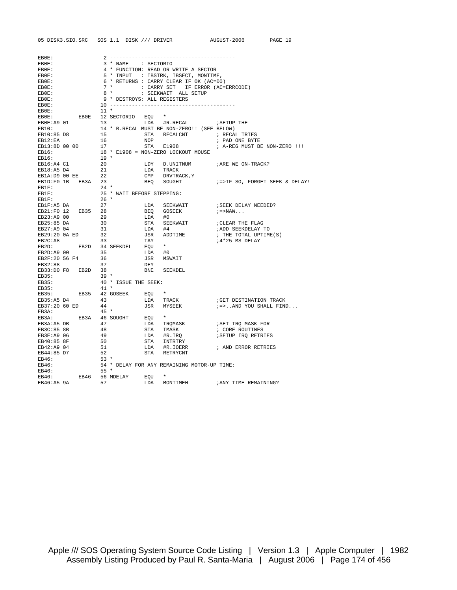| 05 DISK3.SIO.SRC SOS 1.1 DISK /// DRIVER AUGUST-2006                                                                                                                                                                                                                                                                                                                                                                  |                                                                           |                                                                                                                                                                  |                                                                                                                                                                                  | PAGE 19 |
|-----------------------------------------------------------------------------------------------------------------------------------------------------------------------------------------------------------------------------------------------------------------------------------------------------------------------------------------------------------------------------------------------------------------------|---------------------------------------------------------------------------|------------------------------------------------------------------------------------------------------------------------------------------------------------------|----------------------------------------------------------------------------------------------------------------------------------------------------------------------------------|---------|
|                                                                                                                                                                                                                                                                                                                                                                                                                       |                                                                           |                                                                                                                                                                  |                                                                                                                                                                                  |         |
| EB0E:                                                                                                                                                                                                                                                                                                                                                                                                                 |                                                                           |                                                                                                                                                                  |                                                                                                                                                                                  |         |
| EB0E:                                                                                                                                                                                                                                                                                                                                                                                                                 | 3 * NAME : SECTORIO                                                       |                                                                                                                                                                  |                                                                                                                                                                                  |         |
| EB0E:                                                                                                                                                                                                                                                                                                                                                                                                                 |                                                                           | 4 * FUNCTION: READ OR WRITE A SECTOR                                                                                                                             |                                                                                                                                                                                  |         |
| EB0E:                                                                                                                                                                                                                                                                                                                                                                                                                 |                                                                           | 5 * INPUT : IBSTRK, IBSECT, MONTIME,                                                                                                                             |                                                                                                                                                                                  |         |
| EBOE:                                                                                                                                                                                                                                                                                                                                                                                                                 |                                                                           | $6 *$ RETURNS : CARRY CLEAR IF OK (AC=00)                                                                                                                        |                                                                                                                                                                                  |         |
| EB0E:                                                                                                                                                                                                                                                                                                                                                                                                                 |                                                                           | 7 * : CARRY SET IF ERROR (AC=ERRCODE)                                                                                                                            |                                                                                                                                                                                  |         |
| EB0E:                                                                                                                                                                                                                                                                                                                                                                                                                 |                                                                           | 8 * : SEEKWAIT ALL SETUP                                                                                                                                         |                                                                                                                                                                                  |         |
| EB0E:                                                                                                                                                                                                                                                                                                                                                                                                                 |                                                                           | 9 * DESTROYS: ALL REGISTERS                                                                                                                                      |                                                                                                                                                                                  |         |
| EB0E:                                                                                                                                                                                                                                                                                                                                                                                                                 |                                                                           |                                                                                                                                                                  |                                                                                                                                                                                  |         |
| EB0E:                                                                                                                                                                                                                                                                                                                                                                                                                 | $11$ *                                                                    |                                                                                                                                                                  |                                                                                                                                                                                  |         |
| EBOE: EBOE 12 SECTORIO EQU *                                                                                                                                                                                                                                                                                                                                                                                          |                                                                           |                                                                                                                                                                  |                                                                                                                                                                                  |         |
| EBOE:A9 01                                                                                                                                                                                                                                                                                                                                                                                                            |                                                                           | LDA #R.RECAL : SETUP THE<br>13 LDA $#K.RECAL$ MUST BE NON-ZERO!! (SEE BELOW)<br>14 * R.RECAL MUST BE NON-ZERO!! (SEE BELOW)<br>15 STA RECALCNT ; PAD CONT : 2010 |                                                                                                                                                                                  |         |
| EB10:                                                                                                                                                                                                                                                                                                                                                                                                                 |                                                                           |                                                                                                                                                                  |                                                                                                                                                                                  |         |
|                                                                                                                                                                                                                                                                                                                                                                                                                       |                                                                           |                                                                                                                                                                  | STA RECALCNT : RECAL TRIES                                                                                                                                                       |         |
|                                                                                                                                                                                                                                                                                                                                                                                                                       |                                                                           |                                                                                                                                                                  | ; PAD ONE BYTE                                                                                                                                                                   |         |
|                                                                                                                                                                                                                                                                                                                                                                                                                       |                                                                           |                                                                                                                                                                  | ; A-REG MUST BE NON-ZERO !!!                                                                                                                                                     |         |
|                                                                                                                                                                                                                                                                                                                                                                                                                       |                                                                           |                                                                                                                                                                  |                                                                                                                                                                                  |         |
| EBI2:EA 16 NOP<br>EBI3:8D 00 00 17 STA RECALCNT<br>EBI6: 18 * E1908 = NON-ZERO LOCKOUT MOUSE<br>EBI6: 19 *<br>EBI6:A4 C1 20 LDY D.UNITNING                                                                                                                                                                                                                                                                            |                                                                           |                                                                                                                                                                  |                                                                                                                                                                                  |         |
|                                                                                                                                                                                                                                                                                                                                                                                                                       |                                                                           |                                                                                                                                                                  | LDY D.UNITNUM : ARE WE ON-TRACK?                                                                                                                                                 |         |
| EB18:A5 D4 21<br>EB1A:D9 00 EE 22<br>EB1D:F0 1B EB3A 23<br>EB1F:                                                                                                                                                                                                                                                                                                                                                      |                                                                           |                                                                                                                                                                  |                                                                                                                                                                                  |         |
|                                                                                                                                                                                                                                                                                                                                                                                                                       |                                                                           |                                                                                                                                                                  |                                                                                                                                                                                  |         |
|                                                                                                                                                                                                                                                                                                                                                                                                                       |                                                                           |                                                                                                                                                                  |                                                                                                                                                                                  |         |
|                                                                                                                                                                                                                                                                                                                                                                                                                       | $24 *$                                                                    |                                                                                                                                                                  |                                                                                                                                                                                  |         |
| EB1F:<br>EB1F:<br>EB1F:                                                                                                                                                                                                                                                                                                                                                                                               |                                                                           |                                                                                                                                                                  |                                                                                                                                                                                  |         |
|                                                                                                                                                                                                                                                                                                                                                                                                                       |                                                                           |                                                                                                                                                                  |                                                                                                                                                                                  |         |
| $\begin{tabular}{lllllllllll} \multicolumn{1}{l}{{\bf EBIF:}} & & & & 24 & * \\ & & & 25 & * & \text{WAIT BEFORE STEPPING:} \\ & & & 25 & * & \text{WAIT BEFORE STEPPING:} \\ & & 26 & * & \text{LDA} & \text{SEEKWAIT} \\ & & 27 & & \text{LDA} & \text{SEEKWAIT} \\ & & 27 & & \text{LDA} & \text{SEEKWAIT} \\ & & 27 & & \text{LDA} & \text{SEEKWAIT} \\ & & 27 & & \text{LDA} & \text{SEEKWAIT} \\ \end{tabular}$ |                                                                           |                                                                                                                                                                  | ; SEEK DELAY NEEDED?                                                                                                                                                             |         |
|                                                                                                                                                                                                                                                                                                                                                                                                                       |                                                                           |                                                                                                                                                                  |                                                                                                                                                                                  |         |
|                                                                                                                                                                                                                                                                                                                                                                                                                       |                                                                           |                                                                                                                                                                  |                                                                                                                                                                                  |         |
|                                                                                                                                                                                                                                                                                                                                                                                                                       |                                                                           |                                                                                                                                                                  |                                                                                                                                                                                  |         |
|                                                                                                                                                                                                                                                                                                                                                                                                                       |                                                                           |                                                                                                                                                                  | <b>ADD SEEKDELAY TO</b>                                                                                                                                                          |         |
|                                                                                                                                                                                                                                                                                                                                                                                                                       |                                                                           |                                                                                                                                                                  | ; THE TOTAL UPTIME(S)                                                                                                                                                            |         |
|                                                                                                                                                                                                                                                                                                                                                                                                                       |                                                                           |                                                                                                                                                                  |                                                                                                                                                                                  |         |
|                                                                                                                                                                                                                                                                                                                                                                                                                       |                                                                           |                                                                                                                                                                  |                                                                                                                                                                                  |         |
|                                                                                                                                                                                                                                                                                                                                                                                                                       |                                                                           |                                                                                                                                                                  |                                                                                                                                                                                  |         |
|                                                                                                                                                                                                                                                                                                                                                                                                                       |                                                                           |                                                                                                                                                                  |                                                                                                                                                                                  |         |
|                                                                                                                                                                                                                                                                                                                                                                                                                       |                                                                           |                                                                                                                                                                  |                                                                                                                                                                                  |         |
| EB33:D0 F8 EB2D 38                                                                                                                                                                                                                                                                                                                                                                                                    |                                                                           | BNE SEEKDEL                                                                                                                                                      |                                                                                                                                                                                  |         |
| EB35:                                                                                                                                                                                                                                                                                                                                                                                                                 | $39 *$                                                                    |                                                                                                                                                                  |                                                                                                                                                                                  |         |
| EB35:                                                                                                                                                                                                                                                                                                                                                                                                                 | 40 * ISSUE THE SEEK:                                                      |                                                                                                                                                                  |                                                                                                                                                                                  |         |
| EB35:                                                                                                                                                                                                                                                                                                                                                                                                                 | $41$ *                                                                    |                                                                                                                                                                  |                                                                                                                                                                                  |         |
| $EB35:$ EB35 42 GOSEEK EQU *                                                                                                                                                                                                                                                                                                                                                                                          |                                                                           |                                                                                                                                                                  |                                                                                                                                                                                  |         |
| EB35:A5 D4                                                                                                                                                                                                                                                                                                                                                                                                            | 43                                                                        | -<br>LDA TRACK<br>JSR MYSEEK                                                                                                                                     | GET DESTINATION TRACK                                                                                                                                                            |         |
| EB37:20 60 ED                                                                                                                                                                                                                                                                                                                                                                                                         |                                                                           |                                                                                                                                                                  | ; =>AND YOU SHALL FIND                                                                                                                                                           |         |
| EB3A:                                                                                                                                                                                                                                                                                                                                                                                                                 | $44$<br>$45 *$                                                            |                                                                                                                                                                  |                                                                                                                                                                                  |         |
| EB3A: EB3A 46 SOUGHT EQU *                                                                                                                                                                                                                                                                                                                                                                                            |                                                                           |                                                                                                                                                                  |                                                                                                                                                                                  |         |
| EB3A:A5 DB                                                                                                                                                                                                                                                                                                                                                                                                            |                                                                           |                                                                                                                                                                  |                                                                                                                                                                                  |         |
| EB3C:85 8B                                                                                                                                                                                                                                                                                                                                                                                                            |                                                                           |                                                                                                                                                                  |                                                                                                                                                                                  |         |
| EB3E:A9 06                                                                                                                                                                                                                                                                                                                                                                                                            |                                                                           |                                                                                                                                                                  | <i>SETUP IRQ RETRIES</i>                                                                                                                                                         |         |
| EB40:85 8F                                                                                                                                                                                                                                                                                                                                                                                                            |                                                                           |                                                                                                                                                                  |                                                                                                                                                                                  |         |
| EB42:A9 04                                                                                                                                                                                                                                                                                                                                                                                                            |                                                                           |                                                                                                                                                                  | ; AND ERROR RETRIES                                                                                                                                                              |         |
|                                                                                                                                                                                                                                                                                                                                                                                                                       |                                                                           |                                                                                                                                                                  |                                                                                                                                                                                  |         |
| EB44:85 D7<br>EB46:                                                                                                                                                                                                                                                                                                                                                                                                   | $\begin{array}{r}47\\48\\48\\49\\50\\51\\52\\53\\* \end{array}$<br>$53$ * |                                                                                                                                                                  | LAND IRQMASK SET IRQ MASK FOR STA IMASK : CORE ROUTINES<br>LDA #R.IRQ : SETUP IRQ RETRIES<br>STA INTRTRY : SETUP IRQ RETRIES<br>STA #R.IOERR : AND ERROR RETRIES<br>STA RETRYCNT |         |
|                                                                                                                                                                                                                                                                                                                                                                                                                       |                                                                           |                                                                                                                                                                  |                                                                                                                                                                                  |         |
| EB46:                                                                                                                                                                                                                                                                                                                                                                                                                 |                                                                           | 54 * DELAY FOR ANY REMAINING MOTOR-UP TIME:                                                                                                                      |                                                                                                                                                                                  |         |
| EB46:                                                                                                                                                                                                                                                                                                                                                                                                                 | $55*$                                                                     | $\star$                                                                                                                                                          |                                                                                                                                                                                  |         |
| EB46: EB46 56 MDELAY EQU                                                                                                                                                                                                                                                                                                                                                                                              |                                                                           |                                                                                                                                                                  |                                                                                                                                                                                  |         |
| EB46:A5 9A                                                                                                                                                                                                                                                                                                                                                                                                            |                                                                           | LDA MONTIMEH                                                                                                                                                     | ; ANY TIME REMAINING?                                                                                                                                                            |         |

Apple /// SOS Operating System Source Code Listing | Version 1.3 | Apple Computer | 1982 Assembly Listing Produced by Paul R. Santa-Maria | August 2006 | Page 174 of 456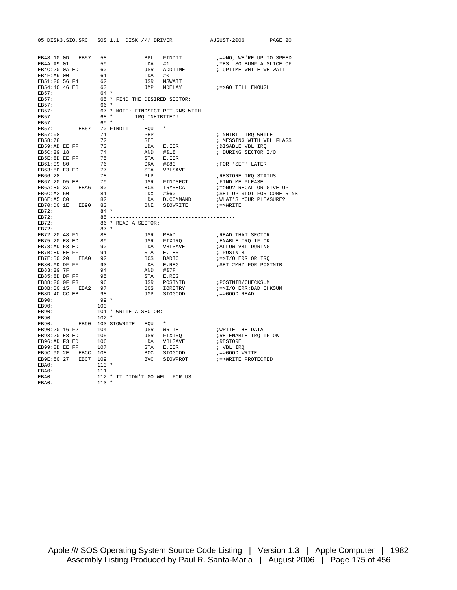|                                                                                                                                                                                                                                                                                                                  |         |                |                               |     |                                          | 05 DISK3.SIO.SRC SOS 1.1 DISK /// DRIVER AUGUST-2006 PAGE 20                                                                                                                                                                                   |  |
|------------------------------------------------------------------------------------------------------------------------------------------------------------------------------------------------------------------------------------------------------------------------------------------------------------------|---------|----------------|-------------------------------|-----|------------------------------------------|------------------------------------------------------------------------------------------------------------------------------------------------------------------------------------------------------------------------------------------------|--|
|                                                                                                                                                                                                                                                                                                                  |         |                |                               |     |                                          |                                                                                                                                                                                                                                                |  |
| EB48:10 OD EB57 58<br>EB4A:A9 01 59                                                                                                                                                                                                                                                                              |         |                |                               |     |                                          | BPL FINDIT $\qquad$ $:=$ >NO, WE'RE UP TO SPEED.<br>LDA #1 $:$ YES, SO BUMP A SLICE OF<br>JSR ADDTIME $\qquad$ ; UPTIME WHILE WE WAIT<br>LDA #0<br>JSR MSWAIT<br>JMP MDELAY $\qquad$ $:=$ >GO TILL ENOUGH                                      |  |
|                                                                                                                                                                                                                                                                                                                  |         | 60             |                               |     |                                          |                                                                                                                                                                                                                                                |  |
| EB4C:20 OA ED<br>EB4F:A9 00                                                                                                                                                                                                                                                                                      |         |                |                               |     |                                          |                                                                                                                                                                                                                                                |  |
|                                                                                                                                                                                                                                                                                                                  |         |                |                               |     |                                          |                                                                                                                                                                                                                                                |  |
| EB51:20 56 F4<br>EB54:4C 46 EB                                                                                                                                                                                                                                                                                   |         | 61<br>62<br>63 |                               |     |                                          |                                                                                                                                                                                                                                                |  |
| EB57:                                                                                                                                                                                                                                                                                                            |         |                |                               |     | 64 *<br>65 * FIND THE DESIRED SECTOR:    |                                                                                                                                                                                                                                                |  |
| EB57:                                                                                                                                                                                                                                                                                                            |         |                |                               |     |                                          |                                                                                                                                                                                                                                                |  |
| $EB57:$<br>FRET                                                                                                                                                                                                                                                                                                  |         | 66 *           |                               |     |                                          |                                                                                                                                                                                                                                                |  |
| EB57:                                                                                                                                                                                                                                                                                                            |         |                |                               |     | 67 * NOTE: FINDSECT RETURNS WITH         |                                                                                                                                                                                                                                                |  |
| EB57:                                                                                                                                                                                                                                                                                                            |         |                | 68 * IRQ INHIBITED!           |     |                                          |                                                                                                                                                                                                                                                |  |
| EB57:                                                                                                                                                                                                                                                                                                            |         | $69 *$         |                               |     |                                          |                                                                                                                                                                                                                                                |  |
|                                                                                                                                                                                                                                                                                                                  |         |                | EB57: EB57 70 FINDIT EQU      |     |                                          |                                                                                                                                                                                                                                                |  |
| EB57:08                                                                                                                                                                                                                                                                                                          |         | 71             |                               | PHP |                                          | ;INHIBIT IRQ WHILE                                                                                                                                                                                                                             |  |
| EB58:78<br>EB58:78 72<br>EB59:AD EE FF 73<br>EB5C:29 18 74                                                                                                                                                                                                                                                       |         |                |                               | SEI |                                          | ; MESSING WITH VBL FLAGS                                                                                                                                                                                                                       |  |
|                                                                                                                                                                                                                                                                                                                  |         |                |                               |     |                                          |                                                                                                                                                                                                                                                |  |
|                                                                                                                                                                                                                                                                                                                  |         |                |                               |     |                                          |                                                                                                                                                                                                                                                |  |
| <b>EB5C:29 18</b><br><b>EB5C:29 18</b><br><b>EB5E:3D EE FF</b> 75<br><b>EB61:09 30</b> 76<br><b>EB66:28</b><br><b>EB66:28</b> 78<br><b>EB66:28</b> 79<br><b>EB67:20 D5 EB</b> 79<br><b>EB67:20 D5 EB</b> 79<br><b>EB68:80 3A EBA6</b> 80<br><b>EB6C:A2 60</b> 81<br><b>EB6C:A2 60</b> 82<br><b>EB6E:A5 C0</b> 82 |         |                |                               |     |                                          |                                                                                                                                                                                                                                                |  |
|                                                                                                                                                                                                                                                                                                                  |         |                |                               |     |                                          |                                                                                                                                                                                                                                                |  |
|                                                                                                                                                                                                                                                                                                                  |         |                |                               |     |                                          |                                                                                                                                                                                                                                                |  |
|                                                                                                                                                                                                                                                                                                                  |         |                |                               |     |                                          |                                                                                                                                                                                                                                                |  |
|                                                                                                                                                                                                                                                                                                                  |         |                |                               |     |                                          |                                                                                                                                                                                                                                                |  |
|                                                                                                                                                                                                                                                                                                                  |         |                |                               |     |                                          |                                                                                                                                                                                                                                                |  |
|                                                                                                                                                                                                                                                                                                                  |         |                |                               |     |                                          |                                                                                                                                                                                                                                                |  |
|                                                                                                                                                                                                                                                                                                                  |         |                |                               |     |                                          |                                                                                                                                                                                                                                                |  |
| EB70:D0 1E EB90 83                                                                                                                                                                                                                                                                                               |         |                |                               |     |                                          | SEI ; MESSING WITH VBL FLAGS<br>LDA E.IER ; DURING SECTOR I/O<br>STA E.IER ; DURING SECTOR I/O<br>STA E.IER<br>ORA #\$80 ; FOR 'SET' LATER<br>STA VBLSAVE<br>PLP ; RESTORE IRQ STATUS<br>JSR FINDSECT ; FIND ME PLEASE<br>BCS TRYRECAL ; =>NO? |  |
| EB72:                                                                                                                                                                                                                                                                                                            |         |                | $84 *$                        |     |                                          |                                                                                                                                                                                                                                                |  |
| EB72:                                                                                                                                                                                                                                                                                                            |         |                |                               |     |                                          |                                                                                                                                                                                                                                                |  |
| EB72:                                                                                                                                                                                                                                                                                                            |         |                | 86 * READ A SECTOR:<br>87 *   |     |                                          |                                                                                                                                                                                                                                                |  |
| EB72:                                                                                                                                                                                                                                                                                                            |         |                |                               |     |                                          |                                                                                                                                                                                                                                                |  |
| EB72:20 48 F1                                                                                                                                                                                                                                                                                                    |         |                | $\frac{88}{89}$               |     |                                          |                                                                                                                                                                                                                                                |  |
| EB75:20 E8 ED                                                                                                                                                                                                                                                                                                    |         |                |                               |     |                                          |                                                                                                                                                                                                                                                |  |
|                                                                                                                                                                                                                                                                                                                  |         |                |                               |     |                                          |                                                                                                                                                                                                                                                |  |
|                                                                                                                                                                                                                                                                                                                  |         |                |                               |     |                                          |                                                                                                                                                                                                                                                |  |
|                                                                                                                                                                                                                                                                                                                  |         |                |                               |     |                                          |                                                                                                                                                                                                                                                |  |
|                                                                                                                                                                                                                                                                                                                  |         |                |                               |     |                                          |                                                                                                                                                                                                                                                |  |
|                                                                                                                                                                                                                                                                                                                  |         |                |                               |     |                                          |                                                                                                                                                                                                                                                |  |
| EB75:20 E8 ED<br>EB78:AD F3 ED<br>EB78:80 EE FF<br>EB78:90 20 EBA0<br>EB7E:90 20 EBA0<br>EB80:AD DF FF<br>93<br>EB83:29 7F<br>EB83:29 TF<br>EB88:80 DF FFF<br>95<br>EB88:20 0F F3<br>96<br>EB88:20 0F F3<br>96<br>EB88:20 0F F3<br>96<br>EB88:20 0F F3<br>96<br>FR80                                             |         |                |                               |     |                                          |                                                                                                                                                                                                                                                |  |
|                                                                                                                                                                                                                                                                                                                  |         |                |                               |     |                                          |                                                                                                                                                                                                                                                |  |
|                                                                                                                                                                                                                                                                                                                  |         |                |                               |     |                                          |                                                                                                                                                                                                                                                |  |
| EB8B:B0 15<br>EB8D:4C CC EB 98<br>99 *                                                                                                                                                                                                                                                                           |         |                |                               |     |                                          |                                                                                                                                                                                                                                                |  |
| $EB90:$<br>$EB90:$<br>$FB90:$                                                                                                                                                                                                                                                                                    |         |                |                               |     |                                          |                                                                                                                                                                                                                                                |  |
|                                                                                                                                                                                                                                                                                                                  |         |                |                               |     |                                          |                                                                                                                                                                                                                                                |  |
| EB90:                                                                                                                                                                                                                                                                                                            |         |                | 101 * WRITE A SECTOR:         |     |                                          |                                                                                                                                                                                                                                                |  |
| EB90:                                                                                                                                                                                                                                                                                                            | $102 *$ |                |                               |     |                                          |                                                                                                                                                                                                                                                |  |
|                                                                                                                                                                                                                                                                                                                  |         |                | EB90: EB90 103 SIOWRITE EQU * |     |                                          |                                                                                                                                                                                                                                                |  |
| EB90:20 16 F2 104                                                                                                                                                                                                                                                                                                |         |                |                               |     |                                          |                                                                                                                                                                                                                                                |  |
|                                                                                                                                                                                                                                                                                                                  |         |                |                               |     |                                          |                                                                                                                                                                                                                                                |  |
|                                                                                                                                                                                                                                                                                                                  |         |                |                               |     |                                          |                                                                                                                                                                                                                                                |  |
|                                                                                                                                                                                                                                                                                                                  |         |                |                               |     |                                          |                                                                                                                                                                                                                                                |  |
|                                                                                                                                                                                                                                                                                                                  |         |                |                               |     |                                          |                                                                                                                                                                                                                                                |  |
| EB9E:50 27 EBC7 109                                                                                                                                                                                                                                                                                              |         |                |                               |     |                                          |                                                                                                                                                                                                                                                |  |
|                                                                                                                                                                                                                                                                                                                  |         |                | $110$ *                       |     |                                          |                                                                                                                                                                                                                                                |  |
| EBA0:<br>EBA0:<br>EBA0:<br>EBA0:                                                                                                                                                                                                                                                                                 |         |                |                               |     |                                          |                                                                                                                                                                                                                                                |  |
|                                                                                                                                                                                                                                                                                                                  |         |                |                               |     | 112 * IT DIDN'T GO WELL FOR US:<br>113 * |                                                                                                                                                                                                                                                |  |
|                                                                                                                                                                                                                                                                                                                  |         |                |                               |     |                                          |                                                                                                                                                                                                                                                |  |

Apple /// SOS Operating System Source Code Listing | Version 1.3 | Apple Computer | 1982 Assembly Listing Produced by Paul R. Santa-Maria | August 2006 | Page 175 of 456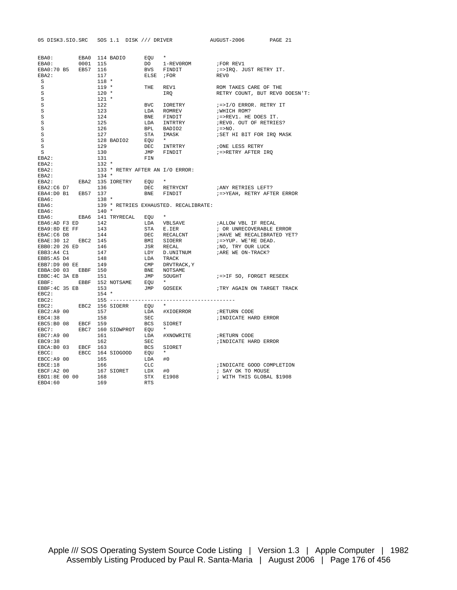|                                                           |          |         |                                                                                                              |                   | 05 DISK3.SIO.SRC SOS 1.1 DISK /// DRIVER                                                                                                                                                                                                                                                                                                                               | AUGUST-2006                                    | PAGE 21 |
|-----------------------------------------------------------|----------|---------|--------------------------------------------------------------------------------------------------------------|-------------------|------------------------------------------------------------------------------------------------------------------------------------------------------------------------------------------------------------------------------------------------------------------------------------------------------------------------------------------------------------------------|------------------------------------------------|---------|
|                                                           |          |         |                                                                                                              |                   |                                                                                                                                                                                                                                                                                                                                                                        |                                                |         |
| EBA0: EBA0 114 BADIO                                      |          |         |                                                                                                              | EQU *             |                                                                                                                                                                                                                                                                                                                                                                        |                                                |         |
| EBA0:                                                     | 0001 115 |         |                                                                                                              |                   |                                                                                                                                                                                                                                                                                                                                                                        | FOR REV1                                       |         |
| EBA0:70 B5 EB57 116                                       |          |         |                                                                                                              |                   | DO 1-REVOROM<br>BVS FINDIT<br>ELSE ;FOR                                                                                                                                                                                                                                                                                                                                | ;=>IRQ. JUST RETRY IT.                         |         |
| EBA2:                                                     |          | 117     |                                                                                                              |                   |                                                                                                                                                                                                                                                                                                                                                                        | REV0                                           |         |
| S                                                         |          | $118$ * |                                                                                                              |                   |                                                                                                                                                                                                                                                                                                                                                                        |                                                |         |
| S                                                         |          | $119 *$ |                                                                                                              | THE               |                                                                                                                                                                                                                                                                                                                                                                        | ROM TAKES CARE OF THE                          |         |
| S                                                         |          | $120$ * |                                                                                                              |                   | REV1<br>IRQ                                                                                                                                                                                                                                                                                                                                                            | RETRY COUNT, BUT REVO DOESN'T:                 |         |
| S                                                         |          | $121$ * |                                                                                                              |                   |                                                                                                                                                                                                                                                                                                                                                                        |                                                |         |
| S                                                         |          | 122     |                                                                                                              |                   | BVC IORETRY                                                                                                                                                                                                                                                                                                                                                            | ;=>I/O ERROR. RETRY IT                         |         |
| S                                                         |          | 123     |                                                                                                              |                   |                                                                                                                                                                                                                                                                                                                                                                        | WHICH ROM?                                     |         |
| S                                                         |          | 124     |                                                                                                              |                   | LDA ROMREV<br>BNE FINDIT<br>LDA INTRTRY<br>BPL BADIO2<br>CTA TANCT                                                                                                                                                                                                                                                                                                     | $i = >$ REV1. HE DOES IT.                      |         |
| S                                                         |          | 125     |                                                                                                              |                   |                                                                                                                                                                                                                                                                                                                                                                        | ;REVO. OUT OF RETRIES?                         |         |
| S                                                         |          | 126     |                                                                                                              |                   |                                                                                                                                                                                                                                                                                                                                                                        | $i = >NO$ .                                    |         |
| $\rm S$                                                   |          |         | 127                                                                                                          |                   | STA IMASK                                                                                                                                                                                                                                                                                                                                                              | ; SET HI BIT FOR IRQ MASK                      |         |
| S                                                         |          |         |                                                                                                              |                   | 127<br>128 BADIO2 EQU *<br>129 BDEC INTRTRY<br>130 JMP FINDIT                                                                                                                                                                                                                                                                                                          |                                                |         |
| S                                                         |          |         |                                                                                                              |                   |                                                                                                                                                                                                                                                                                                                                                                        | ; ONE LESS RETRY                               |         |
| S                                                         |          |         |                                                                                                              |                   |                                                                                                                                                                                                                                                                                                                                                                        | ;=>RETRY AFTER IRO                             |         |
| EBA2:                                                     |          | 131     |                                                                                                              | FIN               |                                                                                                                                                                                                                                                                                                                                                                        |                                                |         |
| EBA2:                                                     |          | $132 *$ |                                                                                                              |                   |                                                                                                                                                                                                                                                                                                                                                                        |                                                |         |
| EBA2:                                                     |          |         |                                                                                                              |                   | 133 * RETRY AFTER AN I/O ERROR:                                                                                                                                                                                                                                                                                                                                        |                                                |         |
| EBA2:                                                     |          | $134$ * |                                                                                                              |                   |                                                                                                                                                                                                                                                                                                                                                                        |                                                |         |
| EBA2: EBA2 135 IORETRY EQU *                              |          |         |                                                                                                              |                   |                                                                                                                                                                                                                                                                                                                                                                        |                                                |         |
| EBA2:C6 D7                                                |          |         | 136                                                                                                          |                   |                                                                                                                                                                                                                                                                                                                                                                        | DEC RETRYCNT : ANY RETRIES LEFT?               |         |
| EBA4:D0 B1 EB57 137                                       |          |         |                                                                                                              |                   | BNE FINDIT                                                                                                                                                                                                                                                                                                                                                             | ; =>YEAH, RETRY AFTER ERROR                    |         |
| EBA6:                                                     |          | $138 *$ |                                                                                                              |                   |                                                                                                                                                                                                                                                                                                                                                                        |                                                |         |
| EBA6:                                                     |          |         |                                                                                                              |                   | 139 * RETRIES EXHAUSTED. RECALIBRATE:                                                                                                                                                                                                                                                                                                                                  |                                                |         |
| EBA6:                                                     |          | $140 *$ |                                                                                                              |                   |                                                                                                                                                                                                                                                                                                                                                                        |                                                |         |
|                                                           |          |         | $\texttt{EBA6}: \qquad \qquad \texttt{EBA6} \quad 141 \texttt{TRYRECAL} \qquad \texttt{EQU} \qquad {}^\star$ |                   |                                                                                                                                                                                                                                                                                                                                                                        |                                                |         |
|                                                           |          |         |                                                                                                              |                   |                                                                                                                                                                                                                                                                                                                                                                        |                                                |         |
|                                                           |          |         |                                                                                                              |                   |                                                                                                                                                                                                                                                                                                                                                                        |                                                |         |
|                                                           |          |         |                                                                                                              |                   |                                                                                                                                                                                                                                                                                                                                                                        |                                                |         |
|                                                           |          |         |                                                                                                              |                   |                                                                                                                                                                                                                                                                                                                                                                        |                                                |         |
|                                                           |          |         |                                                                                                              |                   |                                                                                                                                                                                                                                                                                                                                                                        |                                                |         |
|                                                           |          |         |                                                                                                              |                   |                                                                                                                                                                                                                                                                                                                                                                        |                                                |         |
|                                                           |          |         |                                                                                                              |                   |                                                                                                                                                                                                                                                                                                                                                                        |                                                |         |
|                                                           |          |         |                                                                                                              |                   |                                                                                                                                                                                                                                                                                                                                                                        |                                                |         |
|                                                           |          |         |                                                                                                              |                   |                                                                                                                                                                                                                                                                                                                                                                        |                                                |         |
|                                                           |          |         |                                                                                                              |                   |                                                                                                                                                                                                                                                                                                                                                                        |                                                |         |
|                                                           |          |         |                                                                                                              |                   |                                                                                                                                                                                                                                                                                                                                                                        |                                                |         |
|                                                           |          |         |                                                                                                              |                   |                                                                                                                                                                                                                                                                                                                                                                        |                                                |         |
| $EBC2$ :                                                  |          | $154 *$ |                                                                                                              |                   |                                                                                                                                                                                                                                                                                                                                                                        |                                                |         |
|                                                           |          |         |                                                                                                              |                   | $\begin{array}{lllllllll} \texttt{ERC2}: & & 155 & \texttt{-----} & \\ \texttt{ERC2}: & & \texttt{EBC2} & 156 & \texttt{SIOERR} & \texttt{EQU} & \star & \\ \texttt{ERC2}: & & \texttt{EBC2} & 157 & \texttt{LDA} & \texttt{#XIOERROR} & \texttt{7.RETURN CODE} \\ & & & 157 & \texttt{LDA} & \texttt{+XIOERROR} & \texttt{7.{}INDICATE} & \texttt{HA} \\ \end{array}$ |                                                |         |
|                                                           |          |         |                                                                                                              |                   |                                                                                                                                                                                                                                                                                                                                                                        |                                                |         |
|                                                           |          |         |                                                                                                              |                   |                                                                                                                                                                                                                                                                                                                                                                        |                                                |         |
|                                                           |          |         |                                                                                                              |                   | SEC<br>BCS SIORET                                                                                                                                                                                                                                                                                                                                                      | ; INDICATE HARD ERROR                          |         |
| EBC5:B0 08 EBCF 159                                       |          |         |                                                                                                              |                   |                                                                                                                                                                                                                                                                                                                                                                        |                                                |         |
| EBC7: EBC7 160 SIOWPROT EQU *                             |          |         |                                                                                                              |                   |                                                                                                                                                                                                                                                                                                                                                                        |                                                |         |
|                                                           |          |         |                                                                                                              |                   |                                                                                                                                                                                                                                                                                                                                                                        |                                                |         |
|                                                           |          |         |                                                                                                              |                   |                                                                                                                                                                                                                                                                                                                                                                        | ; INDICATE HARD ERROR                          |         |
|                                                           |          |         |                                                                                                              |                   |                                                                                                                                                                                                                                                                                                                                                                        |                                                |         |
|                                                           |          |         |                                                                                                              |                   |                                                                                                                                                                                                                                                                                                                                                                        |                                                |         |
|                                                           |          |         |                                                                                                              |                   |                                                                                                                                                                                                                                                                                                                                                                        |                                                |         |
| EBCE:18                                                   |          | 166     |                                                                                                              |                   |                                                                                                                                                                                                                                                                                                                                                                        | ; INDICATE GOOD COMPLETION                     |         |
| EBCF:A2 00 167 SIORET<br>EBD1:8E 00 00 168<br>EBD4:60 169 |          |         |                                                                                                              | CLC<br>LDX<br>STX | #0<br>E1908                                                                                                                                                                                                                                                                                                                                                            |                                                |         |
|                                                           |          |         |                                                                                                              |                   |                                                                                                                                                                                                                                                                                                                                                                        | ; SAY OK TO MOUSE<br>; WITH THIS GLOBAL \$1908 |         |
|                                                           |          |         |                                                                                                              | RTS               |                                                                                                                                                                                                                                                                                                                                                                        |                                                |         |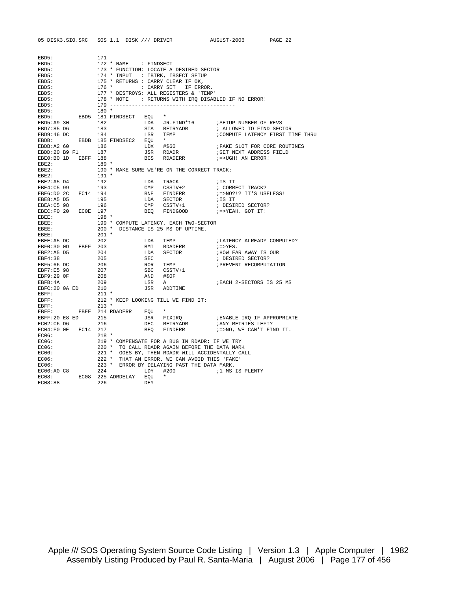|                                                                                                                                                                                        |                                                                                                                                                                                                       |                       |                                                                                                                                                                                                         | 05 DISK3.SIO.SRC SOS 1.1 DISK /// DRIVER AUGUST-2006 PAGE 22                                                                                                                                                                                                                                                                                                                                                                               |  |  |  |
|----------------------------------------------------------------------------------------------------------------------------------------------------------------------------------------|-------------------------------------------------------------------------------------------------------------------------------------------------------------------------------------------------------|-----------------------|---------------------------------------------------------------------------------------------------------------------------------------------------------------------------------------------------------|--------------------------------------------------------------------------------------------------------------------------------------------------------------------------------------------------------------------------------------------------------------------------------------------------------------------------------------------------------------------------------------------------------------------------------------------|--|--|--|
|                                                                                                                                                                                        |                                                                                                                                                                                                       |                       |                                                                                                                                                                                                         |                                                                                                                                                                                                                                                                                                                                                                                                                                            |  |  |  |
| EBD5:                                                                                                                                                                                  |                                                                                                                                                                                                       |                       |                                                                                                                                                                                                         |                                                                                                                                                                                                                                                                                                                                                                                                                                            |  |  |  |
| EBD5:                                                                                                                                                                                  |                                                                                                                                                                                                       | 172 * NAME : FINDSECT |                                                                                                                                                                                                         |                                                                                                                                                                                                                                                                                                                                                                                                                                            |  |  |  |
| EBD5:                                                                                                                                                                                  |                                                                                                                                                                                                       |                       |                                                                                                                                                                                                         |                                                                                                                                                                                                                                                                                                                                                                                                                                            |  |  |  |
| EBD5:                                                                                                                                                                                  |                                                                                                                                                                                                       |                       |                                                                                                                                                                                                         |                                                                                                                                                                                                                                                                                                                                                                                                                                            |  |  |  |
| EBD5:                                                                                                                                                                                  |                                                                                                                                                                                                       |                       |                                                                                                                                                                                                         |                                                                                                                                                                                                                                                                                                                                                                                                                                            |  |  |  |
| EBD5:                                                                                                                                                                                  |                                                                                                                                                                                                       |                       |                                                                                                                                                                                                         |                                                                                                                                                                                                                                                                                                                                                                                                                                            |  |  |  |
| EBD5:                                                                                                                                                                                  |                                                                                                                                                                                                       |                       |                                                                                                                                                                                                         |                                                                                                                                                                                                                                                                                                                                                                                                                                            |  |  |  |
| EBD5:                                                                                                                                                                                  |                                                                                                                                                                                                       |                       |                                                                                                                                                                                                         |                                                                                                                                                                                                                                                                                                                                                                                                                                            |  |  |  |
| EBD5:                                                                                                                                                                                  |                                                                                                                                                                                                       |                       |                                                                                                                                                                                                         |                                                                                                                                                                                                                                                                                                                                                                                                                                            |  |  |  |
|                                                                                                                                                                                        |                                                                                                                                                                                                       |                       |                                                                                                                                                                                                         |                                                                                                                                                                                                                                                                                                                                                                                                                                            |  |  |  |
| $\begin{tabular}{lllllll} \texttt{EBD5}: & & 180 &\star \\ \texttt{EBD5}: & & \texttt{EBD5} & 181 \texttt{ FINDSECT} & \texttt{EQU} & \star \end{tabular}$                             |                                                                                                                                                                                                       |                       |                                                                                                                                                                                                         |                                                                                                                                                                                                                                                                                                                                                                                                                                            |  |  |  |
| EBD5:A9 30                                                                                                                                                                             |                                                                                                                                                                                                       |                       |                                                                                                                                                                                                         |                                                                                                                                                                                                                                                                                                                                                                                                                                            |  |  |  |
| EBD7:85 D6                                                                                                                                                                             |                                                                                                                                                                                                       |                       |                                                                                                                                                                                                         |                                                                                                                                                                                                                                                                                                                                                                                                                                            |  |  |  |
| EBD9:46 DC                                                                                                                                                                             |                                                                                                                                                                                                       |                       |                                                                                                                                                                                                         | ; ALLOWED TO FIND SECTOR<br>;COMPUTE LATENCY FIRST TIME THRU                                                                                                                                                                                                                                                                                                                                                                               |  |  |  |
| EBDB: EBDB 185 FINDSEC2 EQU *                                                                                                                                                          |                                                                                                                                                                                                       |                       |                                                                                                                                                                                                         |                                                                                                                                                                                                                                                                                                                                                                                                                                            |  |  |  |
|                                                                                                                                                                                        |                                                                                                                                                                                                       |                       |                                                                                                                                                                                                         |                                                                                                                                                                                                                                                                                                                                                                                                                                            |  |  |  |
|                                                                                                                                                                                        |                                                                                                                                                                                                       |                       |                                                                                                                                                                                                         |                                                                                                                                                                                                                                                                                                                                                                                                                                            |  |  |  |
| EBE0:B0 1D EBFF 188                                                                                                                                                                    |                                                                                                                                                                                                       |                       |                                                                                                                                                                                                         |                                                                                                                                                                                                                                                                                                                                                                                                                                            |  |  |  |
|                                                                                                                                                                                        |                                                                                                                                                                                                       |                       |                                                                                                                                                                                                         |                                                                                                                                                                                                                                                                                                                                                                                                                                            |  |  |  |
| $EBE2:$<br>$EBE2:$<br>$EBE2:$                                                                                                                                                          |                                                                                                                                                                                                       |                       | $\begin{array}{lll} \texttt{HCS} & \texttt{RDADERR} & \texttt{1}=5\textrm{UG} \\ \texttt{189} & \texttt{*} & \texttt{MAKE SURE WE'RE ON THE CORRECT TRACK:} \\ \texttt{191} & \texttt{*} & \end{array}$ |                                                                                                                                                                                                                                                                                                                                                                                                                                            |  |  |  |
|                                                                                                                                                                                        |                                                                                                                                                                                                       |                       |                                                                                                                                                                                                         |                                                                                                                                                                                                                                                                                                                                                                                                                                            |  |  |  |
|                                                                                                                                                                                        |                                                                                                                                                                                                       |                       |                                                                                                                                                                                                         |                                                                                                                                                                                                                                                                                                                                                                                                                                            |  |  |  |
| EBE2:A5 D4 192<br>EBE4:C5 99 193                                                                                                                                                       |                                                                                                                                                                                                       |                       |                                                                                                                                                                                                         |                                                                                                                                                                                                                                                                                                                                                                                                                                            |  |  |  |
| EBE6:D0 2C EC14 194                                                                                                                                                                    |                                                                                                                                                                                                       |                       |                                                                                                                                                                                                         | ; =>NO?!? IT'S USELESS!                                                                                                                                                                                                                                                                                                                                                                                                                    |  |  |  |
|                                                                                                                                                                                        |                                                                                                                                                                                                       |                       |                                                                                                                                                                                                         |                                                                                                                                                                                                                                                                                                                                                                                                                                            |  |  |  |
|                                                                                                                                                                                        |                                                                                                                                                                                                       |                       |                                                                                                                                                                                                         |                                                                                                                                                                                                                                                                                                                                                                                                                                            |  |  |  |
| EBE8:A5 D5 195<br>EBEA:C5 98 196<br>EBEC:F0 20 ECOE 197                                                                                                                                |                                                                                                                                                                                                       |                       |                                                                                                                                                                                                         |                                                                                                                                                                                                                                                                                                                                                                                                                                            |  |  |  |
| $EBEE$ :                                                                                                                                                                               |                                                                                                                                                                                                       |                       |                                                                                                                                                                                                         |                                                                                                                                                                                                                                                                                                                                                                                                                                            |  |  |  |
| $EBEE$ :                                                                                                                                                                               |                                                                                                                                                                                                       |                       | $198 *$<br>$199 * \text{COMPUTE LATENCY. EACH TWO-SECTIONS200 * DISTANCE IS 25 MS OF UPTIME.$                                                                                                           |                                                                                                                                                                                                                                                                                                                                                                                                                                            |  |  |  |
| EBEE:                                                                                                                                                                                  |                                                                                                                                                                                                       |                       |                                                                                                                                                                                                         |                                                                                                                                                                                                                                                                                                                                                                                                                                            |  |  |  |
|                                                                                                                                                                                        |                                                                                                                                                                                                       |                       |                                                                                                                                                                                                         |                                                                                                                                                                                                                                                                                                                                                                                                                                            |  |  |  |
| EBEE: 201 *<br>EBEE:A5 DC 202<br>EBF0:30 0D EBFF 203                                                                                                                                   |                                                                                                                                                                                                       |                       |                                                                                                                                                                                                         |                                                                                                                                                                                                                                                                                                                                                                                                                                            |  |  |  |
|                                                                                                                                                                                        |                                                                                                                                                                                                       |                       |                                                                                                                                                                                                         | ;LATENCY ALREADY COMPUTED?<br>;=>YES.                                                                                                                                                                                                                                                                                                                                                                                                      |  |  |  |
|                                                                                                                                                                                        |                                                                                                                                                                                                       |                       | LDA TEMP<br>BMI RDADERR<br>LDA SECTOR                                                                                                                                                                   | ; HOW FAR AWAY IS OUR                                                                                                                                                                                                                                                                                                                                                                                                                      |  |  |  |
|                                                                                                                                                                                        |                                                                                                                                                                                                       |                       |                                                                                                                                                                                                         | ; DESIRED SECTOR?                                                                                                                                                                                                                                                                                                                                                                                                                          |  |  |  |
|                                                                                                                                                                                        |                                                                                                                                                                                                       |                       |                                                                                                                                                                                                         | ; PREVENT RECOMPUTATION                                                                                                                                                                                                                                                                                                                                                                                                                    |  |  |  |
|                                                                                                                                                                                        |                                                                                                                                                                                                       |                       |                                                                                                                                                                                                         |                                                                                                                                                                                                                                                                                                                                                                                                                                            |  |  |  |
|                                                                                                                                                                                        |                                                                                                                                                                                                       |                       | SEC<br>ROR TEMP<br>SBC CSSTV+1<br>AND #\$0F                                                                                                                                                             |                                                                                                                                                                                                                                                                                                                                                                                                                                            |  |  |  |
| EBF0.30 OD<br>EBF2:A5 D5 204<br>EBF3:65 DC 206<br>EBF5:66 DC 206<br>EBF7:E5 98 207<br>EBF9:29 OF 208<br>EBFB:4A 209                                                                    |                                                                                                                                                                                                       |                       |                                                                                                                                                                                                         |                                                                                                                                                                                                                                                                                                                                                                                                                                            |  |  |  |
|                                                                                                                                                                                        |                                                                                                                                                                                                       | LSR A                 |                                                                                                                                                                                                         | EACH 2-SECTORS IS 25 MS                                                                                                                                                                                                                                                                                                                                                                                                                    |  |  |  |
| EBFC: 20 0A ED 210<br>FBFC: 20 0A ED 211 *                                                                                                                                             |                                                                                                                                                                                                       |                       | JSR ADDTIME                                                                                                                                                                                             |                                                                                                                                                                                                                                                                                                                                                                                                                                            |  |  |  |
| EBFF:<br>EBFF:<br>EBFF:                                                                                                                                                                |                                                                                                                                                                                                       |                       |                                                                                                                                                                                                         |                                                                                                                                                                                                                                                                                                                                                                                                                                            |  |  |  |
|                                                                                                                                                                                        |                                                                                                                                                                                                       |                       | 212 * KEEP LOOKING TILL WE FIND IT: 213 *                                                                                                                                                               |                                                                                                                                                                                                                                                                                                                                                                                                                                            |  |  |  |
|                                                                                                                                                                                        |                                                                                                                                                                                                       |                       |                                                                                                                                                                                                         |                                                                                                                                                                                                                                                                                                                                                                                                                                            |  |  |  |
|                                                                                                                                                                                        |                                                                                                                                                                                                       |                       |                                                                                                                                                                                                         |                                                                                                                                                                                                                                                                                                                                                                                                                                            |  |  |  |
|                                                                                                                                                                                        |                                                                                                                                                                                                       |                       |                                                                                                                                                                                                         |                                                                                                                                                                                                                                                                                                                                                                                                                                            |  |  |  |
|                                                                                                                                                                                        |                                                                                                                                                                                                       |                       |                                                                                                                                                                                                         | $\begin{array}{lllllllllll} \texttt{EBFF}: & \texttt{EBFF} & 214 \text{ RDADERR} & \texttt{EQU} & \star & & & & \\ \texttt{EBFF}: & \texttt{EBF} & 215 & \texttt{JSR} & \texttt{FTXIRQ} & & & & & \\ \texttt{EBFF}: & 20 \text{ E} & \texttt{BD} & 215 & \texttt{USR} & \texttt{FTXIRQ} & & & & \\ \texttt{EC02}: & \texttt{CB} & \texttt{DE} & \texttt{RE} & \texttt{DE} & \texttt{F} & \texttt{APR} & \texttt{F} & \texttt{NPR} & \text$ |  |  |  |
| EC04:F0 0E EC14 217                                                                                                                                                                    |                                                                                                                                                                                                       |                       | BEQ FINDERR                                                                                                                                                                                             | ;=>NO, WE CAN'T FIND IT.                                                                                                                                                                                                                                                                                                                                                                                                                   |  |  |  |
| EC06:                                                                                                                                                                                  | 218 *                                                                                                                                                                                                 |                       |                                                                                                                                                                                                         |                                                                                                                                                                                                                                                                                                                                                                                                                                            |  |  |  |
| EC06:                                                                                                                                                                                  |                                                                                                                                                                                                       |                       |                                                                                                                                                                                                         |                                                                                                                                                                                                                                                                                                                                                                                                                                            |  |  |  |
| EC06:                                                                                                                                                                                  | 219 * COMPENSATE FOR A BUG IN RDADR: IF WE TRY<br>220 * TO CALL RDADR AGAIN BEFORE THE DATA MARK<br>221 * GOES BY, THEN RDADR WILL ACCIDENTALLY CALL<br>222 * THAT AN ERROR. WE CAN AVOID THIS 'FAKE' |                       |                                                                                                                                                                                                         |                                                                                                                                                                                                                                                                                                                                                                                                                                            |  |  |  |
| EC06:                                                                                                                                                                                  |                                                                                                                                                                                                       |                       |                                                                                                                                                                                                         |                                                                                                                                                                                                                                                                                                                                                                                                                                            |  |  |  |
| EC06:<br>EC06:                                                                                                                                                                         |                                                                                                                                                                                                       |                       |                                                                                                                                                                                                         |                                                                                                                                                                                                                                                                                                                                                                                                                                            |  |  |  |
|                                                                                                                                                                                        |                                                                                                                                                                                                       |                       |                                                                                                                                                                                                         |                                                                                                                                                                                                                                                                                                                                                                                                                                            |  |  |  |
| $\begin{tabular}{lllllllll} \texttt{EC06:AO C8} & & & 224 & & \texttt{LDY} & \#2 \\ \texttt{EC08:} & & & \texttt{EC08} & 225 & \texttt{ADRDELAY} & \texttt{EQU} & \star \end{tabular}$ |                                                                                                                                                                                                       |                       |                                                                                                                                                                                                         |                                                                                                                                                                                                                                                                                                                                                                                                                                            |  |  |  |
|                                                                                                                                                                                        |                                                                                                                                                                                                       |                       |                                                                                                                                                                                                         |                                                                                                                                                                                                                                                                                                                                                                                                                                            |  |  |  |
| EC08:88                                                                                                                                                                                | DEY<br>226                                                                                                                                                                                            |                       |                                                                                                                                                                                                         |                                                                                                                                                                                                                                                                                                                                                                                                                                            |  |  |  |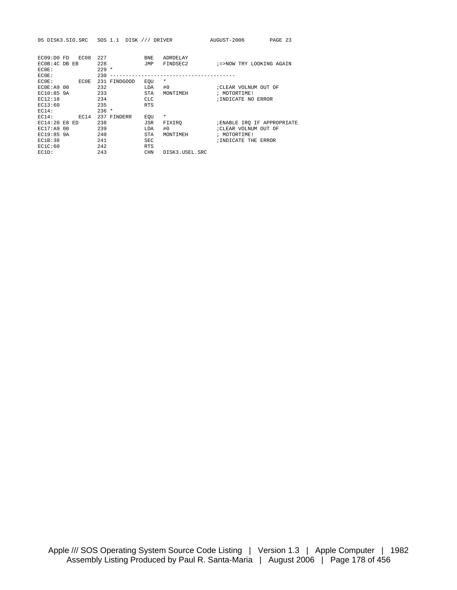|  | 05 DISK3.SIO.SRC SOS 1.1 DISK /// DRIVER |  |  |  |  |  |
|--|------------------------------------------|--|--|--|--|--|
|--|------------------------------------------|--|--|--|--|--|

| EC09:DO FD     | EC08 | 227     |              | BNE        | ADRDELAY       |                             |
|----------------|------|---------|--------------|------------|----------------|-----------------------------|
| ECOB: 4C DB EB |      | 228     |              | JMP        | FINDSEC2       | ;=>NOW TRY LOOKING AGAIN    |
| ECOE:          |      | $229 *$ |              |            |                |                             |
| ECOE:          |      | 230     |              |            |                |                             |
| ECOE:          | ECOE |         | 231 FINDGOOD | EOU        | $^\star$       |                             |
| ECOF: A9 00    |      | 232     |              | LDA        | #0             | ; CLEAR VOLNUM OUT OF       |
| EC10:85 9A     |      | 233     |              | <b>STA</b> | MONTIMEH       | ; MOTORTIME!                |
| EC12:18        |      | 234     |              | <b>CLC</b> |                | ; INDICATE NO ERROR         |
| EC13:60        |      | 235     |              | <b>RTS</b> |                |                             |
| EC14:          |      | $236 *$ |              |            |                |                             |
| EC14:          | FC14 | 237     | FINDERR      | EOU        | $\star$        |                             |
| EC14:20 E8 ED  |      | 238     |              | JSR        | FIXIRO         | ; ENABLE IRO IF APPROPRIATE |
| EC17:A9 00     |      | 239     |              | LDA        | #0             | CLEAR VOLNUM OUT OF         |
| EC19:85 9A     |      | 240     |              | <b>STA</b> | MONTIMEH       | ; MOTORTIME!                |
| EC1B:38        |      | 241     |              | SEC        |                | ; INDICATE THE ERROR        |
| EC1C:60        |      | 242     |              | <b>RTS</b> |                |                             |
| $EC1D$ :       |      | 243     |              | <b>CHN</b> | DISK3.USEL.SRC |                             |
|                |      |         |              |            |                |                             |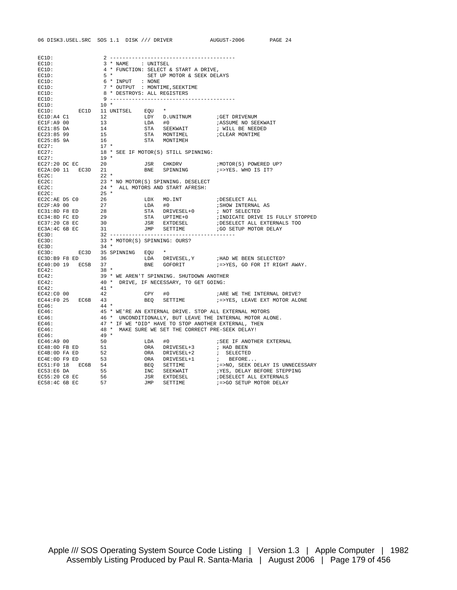| EC1D:                                    |                                                             |                                                                                      |                                                                                                                                                                                                                                                                                                                                                                                                                                                                      |  |  |  |
|------------------------------------------|-------------------------------------------------------------|--------------------------------------------------------------------------------------|----------------------------------------------------------------------------------------------------------------------------------------------------------------------------------------------------------------------------------------------------------------------------------------------------------------------------------------------------------------------------------------------------------------------------------------------------------------------|--|--|--|
| EC1D:                                    |                                                             |                                                                                      |                                                                                                                                                                                                                                                                                                                                                                                                                                                                      |  |  |  |
| EC1D:                                    | 3 * NAME : UNITSEL<br>4 * FUNCTION: SELECT & START A DRIVE, |                                                                                      |                                                                                                                                                                                                                                                                                                                                                                                                                                                                      |  |  |  |
|                                          |                                                             |                                                                                      |                                                                                                                                                                                                                                                                                                                                                                                                                                                                      |  |  |  |
| EC1D:<br>EC1D:                           | 6 * INPUT : NONE                                            | 5 * SET UP MOTOR & SEEK DELAYS                                                       |                                                                                                                                                                                                                                                                                                                                                                                                                                                                      |  |  |  |
|                                          | 7 * OUTPUT : MONTIME, SEEKTIME                              |                                                                                      |                                                                                                                                                                                                                                                                                                                                                                                                                                                                      |  |  |  |
| EC1D:<br>EC1D:                           | 8 * DESTROYS: ALL REGISTERS                                 |                                                                                      |                                                                                                                                                                                                                                                                                                                                                                                                                                                                      |  |  |  |
| EC1D:                                    |                                                             |                                                                                      |                                                                                                                                                                                                                                                                                                                                                                                                                                                                      |  |  |  |
| EC1D:                                    | $10*$                                                       |                                                                                      |                                                                                                                                                                                                                                                                                                                                                                                                                                                                      |  |  |  |
|                                          |                                                             |                                                                                      |                                                                                                                                                                                                                                                                                                                                                                                                                                                                      |  |  |  |
|                                          |                                                             |                                                                                      |                                                                                                                                                                                                                                                                                                                                                                                                                                                                      |  |  |  |
|                                          |                                                             |                                                                                      |                                                                                                                                                                                                                                                                                                                                                                                                                                                                      |  |  |  |
|                                          |                                                             |                                                                                      |                                                                                                                                                                                                                                                                                                                                                                                                                                                                      |  |  |  |
|                                          |                                                             |                                                                                      |                                                                                                                                                                                                                                                                                                                                                                                                                                                                      |  |  |  |
|                                          |                                                             |                                                                                      |                                                                                                                                                                                                                                                                                                                                                                                                                                                                      |  |  |  |
|                                          |                                                             |                                                                                      |                                                                                                                                                                                                                                                                                                                                                                                                                                                                      |  |  |  |
|                                          |                                                             |                                                                                      |                                                                                                                                                                                                                                                                                                                                                                                                                                                                      |  |  |  |
|                                          |                                                             |                                                                                      |                                                                                                                                                                                                                                                                                                                                                                                                                                                                      |  |  |  |
|                                          |                                                             |                                                                                      | $\begin{array}{lllllllllllllllllll} \text{EC27:} & & & 18 & * & & \\ \text{EC27:} & & & 19 & * & & \\ \text{EC27:} & & & 19 & * & & \\ \text{EC27:} & & & 20 & & & \text{JSR} & & \\ \text{EC28:100 11} & & & \text{EC3D} & & 21 & & & \\ \text{EC29:150 11} & & & \text{EC3D} & & 21 & & & \\ \text{E20:150 12} & & & \text{BNE} & & \text{SPINNING} & & & \\ \text{E21:150}$                                                                                       |  |  |  |
|                                          |                                                             |                                                                                      |                                                                                                                                                                                                                                                                                                                                                                                                                                                                      |  |  |  |
|                                          |                                                             |                                                                                      |                                                                                                                                                                                                                                                                                                                                                                                                                                                                      |  |  |  |
|                                          |                                                             |                                                                                      |                                                                                                                                                                                                                                                                                                                                                                                                                                                                      |  |  |  |
|                                          |                                                             |                                                                                      |                                                                                                                                                                                                                                                                                                                                                                                                                                                                      |  |  |  |
|                                          |                                                             |                                                                                      |                                                                                                                                                                                                                                                                                                                                                                                                                                                                      |  |  |  |
|                                          |                                                             |                                                                                      |                                                                                                                                                                                                                                                                                                                                                                                                                                                                      |  |  |  |
|                                          |                                                             |                                                                                      |                                                                                                                                                                                                                                                                                                                                                                                                                                                                      |  |  |  |
|                                          |                                                             |                                                                                      |                                                                                                                                                                                                                                                                                                                                                                                                                                                                      |  |  |  |
|                                          |                                                             |                                                                                      |                                                                                                                                                                                                                                                                                                                                                                                                                                                                      |  |  |  |
|                                          |                                                             |                                                                                      |                                                                                                                                                                                                                                                                                                                                                                                                                                                                      |  |  |  |
|                                          |                                                             |                                                                                      |                                                                                                                                                                                                                                                                                                                                                                                                                                                                      |  |  |  |
|                                          |                                                             |                                                                                      | $\begin{tabular}{lllllllllllll} $\mathbb{C}\text{-}\mathbb{Z}\text{A}\cdot\mathbb{D}\text{U}$ & $\mathbb{E}\text{C3D}$ & $\mathbb{21}$ & $\mathbb{B}\text{NE}$ & $\text{SPINNING}$ & $\mathbb{I}$ & $\mathbb{I}$ & $\text{FoVSE}}$ & $\mathbb{I}$ & $\mathbb{I}$ \\ \text{ECC:} & 22 & $\ast$ & $\mathbb{N}\text{O}~\text{MOTOR(S)}$ & $\text{SPINNING}$ & $\mathbb{D}\text{ESELECT}$ \\ \text{ECC:} & 23 & $\ast$~\text{NO}~\text{MOTOR(S)}$ & $\text{SPINNING}$ &$ |  |  |  |
|                                          |                                                             |                                                                                      |                                                                                                                                                                                                                                                                                                                                                                                                                                                                      |  |  |  |
| EC3D:                                    | 33 * MOTOR(S) SPINNING: OURS?<br>34 *                       |                                                                                      |                                                                                                                                                                                                                                                                                                                                                                                                                                                                      |  |  |  |
| EC3D:                                    |                                                             |                                                                                      |                                                                                                                                                                                                                                                                                                                                                                                                                                                                      |  |  |  |
| EC3D: EC3D 35 SPINNING EQU $\star$       |                                                             |                                                                                      |                                                                                                                                                                                                                                                                                                                                                                                                                                                                      |  |  |  |
|                                          |                                                             |                                                                                      |                                                                                                                                                                                                                                                                                                                                                                                                                                                                      |  |  |  |
|                                          |                                                             |                                                                                      |                                                                                                                                                                                                                                                                                                                                                                                                                                                                      |  |  |  |
| EC42:                                    | $38 *$                                                      |                                                                                      |                                                                                                                                                                                                                                                                                                                                                                                                                                                                      |  |  |  |
| EC42:                                    |                                                             | 39 * WE AREN'T SPINNING. SHUTDOWN ANOTHER<br>40 * DRIVE, IF NECESSARY, TO GET GOING: |                                                                                                                                                                                                                                                                                                                                                                                                                                                                      |  |  |  |
| EC42:                                    |                                                             |                                                                                      |                                                                                                                                                                                                                                                                                                                                                                                                                                                                      |  |  |  |
| EC42:<br>$\frac{1}{42}$                  | $41$ *                                                      |                                                                                      |                                                                                                                                                                                                                                                                                                                                                                                                                                                                      |  |  |  |
| EC42:C0 00                               |                                                             | $CPY$ #0                                                                             | ; ARE WE THE INTERNAL DRIVE?                                                                                                                                                                                                                                                                                                                                                                                                                                         |  |  |  |
| EC44:F0 25 EC6B 43                       |                                                             |                                                                                      | BEQ SETTIME :=>YES, LEAVE EXT MOTOR ALONE                                                                                                                                                                                                                                                                                                                                                                                                                            |  |  |  |
| EC46:                                    | $44$ *                                                      |                                                                                      |                                                                                                                                                                                                                                                                                                                                                                                                                                                                      |  |  |  |
| EC46:                                    |                                                             |                                                                                      | 45 * WE'RE AN EXTERNAL DRIVE. STOP ALL EXTERNAL MOTORS<br>46 * UNCONDITIONALLY, BUT LEAVE THE INTERNAL MOTOR ALONE.<br>47 * IF WE *DID* HAVE TO STOP ANOTHER EXTERNAL, THEN<br>48 * MAKE SURE WE SET THE CORRECT PRE-SEEK DELAY!<br>49 *                                                                                                                                                                                                                             |  |  |  |
| EC46:                                    |                                                             |                                                                                      |                                                                                                                                                                                                                                                                                                                                                                                                                                                                      |  |  |  |
| EC46:                                    |                                                             |                                                                                      |                                                                                                                                                                                                                                                                                                                                                                                                                                                                      |  |  |  |
| EC46:                                    |                                                             |                                                                                      |                                                                                                                                                                                                                                                                                                                                                                                                                                                                      |  |  |  |
| EC46:                                    |                                                             |                                                                                      |                                                                                                                                                                                                                                                                                                                                                                                                                                                                      |  |  |  |
| EC46:A9 00<br>EC48:OD FB ED              |                                                             |                                                                                      |                                                                                                                                                                                                                                                                                                                                                                                                                                                                      |  |  |  |
|                                          |                                                             |                                                                                      |                                                                                                                                                                                                                                                                                                                                                                                                                                                                      |  |  |  |
| $EC4B:0D FA ED$ 52<br>$EC4E:0D F9 ED$ 53 |                                                             |                                                                                      |                                                                                                                                                                                                                                                                                                                                                                                                                                                                      |  |  |  |
|                                          |                                                             |                                                                                      |                                                                                                                                                                                                                                                                                                                                                                                                                                                                      |  |  |  |
| EC51:F0 18 EC6B 54                       |                                                             |                                                                                      |                                                                                                                                                                                                                                                                                                                                                                                                                                                                      |  |  |  |
| 55<br>EC53:E6 DA                         |                                                             |                                                                                      |                                                                                                                                                                                                                                                                                                                                                                                                                                                                      |  |  |  |
| EC55:20 C8 EC                            |                                                             |                                                                                      |                                                                                                                                                                                                                                                                                                                                                                                                                                                                      |  |  |  |

EC58:4C 6B EC 57 57 JMP SETTIME 7=>GO SETUP MOTOR DELAY

06 DISK3.USEL.SRC SOS 1.1 DISK /// DRIVER AUGUST-2006 PAGE 24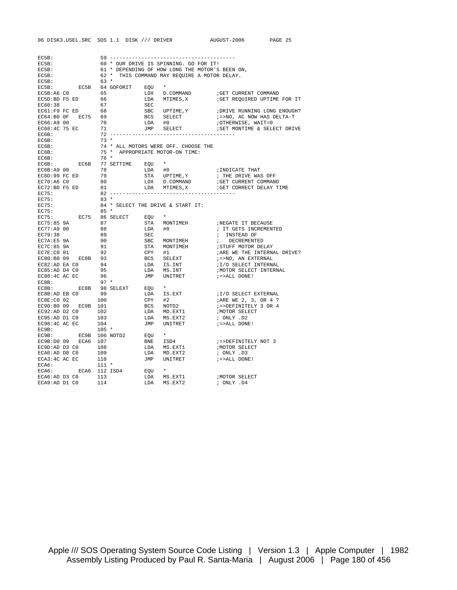| EC5B:                                                                                                                                         |                            |        |                                                                                                 |  |                                                                              |                      |  |  |
|-----------------------------------------------------------------------------------------------------------------------------------------------|----------------------------|--------|-------------------------------------------------------------------------------------------------|--|------------------------------------------------------------------------------|----------------------|--|--|
| EC5B:                                                                                                                                         |                            |        | 60 * OUR DRIVE IS SPINNING. GO FOR IT!                                                          |  |                                                                              |                      |  |  |
| EC5B:                                                                                                                                         |                            |        | 61 * DEPENDING OF HOW LONG THE MOTOR'S BEEN ON,<br>62 * THIS COMMAND MAY REQUIRE A MOTOR DELAY. |  |                                                                              |                      |  |  |
| EC5B:                                                                                                                                         |                            |        |                                                                                                 |  |                                                                              |                      |  |  |
| EC5B:                                                                                                                                         |                            | 63 *   |                                                                                                 |  |                                                                              |                      |  |  |
|                                                                                                                                               |                            |        |                                                                                                 |  |                                                                              |                      |  |  |
|                                                                                                                                               |                            |        |                                                                                                 |  |                                                                              |                      |  |  |
|                                                                                                                                               |                            |        |                                                                                                 |  |                                                                              |                      |  |  |
|                                                                                                                                               |                            |        |                                                                                                 |  |                                                                              |                      |  |  |
|                                                                                                                                               |                            |        |                                                                                                 |  |                                                                              |                      |  |  |
|                                                                                                                                               |                            |        |                                                                                                 |  |                                                                              |                      |  |  |
|                                                                                                                                               |                            |        |                                                                                                 |  |                                                                              |                      |  |  |
|                                                                                                                                               |                            |        |                                                                                                 |  |                                                                              |                      |  |  |
|                                                                                                                                               |                            |        |                                                                                                 |  |                                                                              |                      |  |  |
|                                                                                                                                               |                            |        |                                                                                                 |  |                                                                              |                      |  |  |
| EC6B:                                                                                                                                         |                            |        |                                                                                                 |  |                                                                              |                      |  |  |
| EC6B:                                                                                                                                         |                            |        |                                                                                                 |  | .<br>74 * ALL MOTORS WERE OFF. CHOOSE THE<br>75 * APPROPRIATE MOTOR-ON TIME: |                      |  |  |
| EC6B:                                                                                                                                         | $\frac{7}{76}$ *           |        |                                                                                                 |  |                                                                              |                      |  |  |
|                                                                                                                                               |                            |        |                                                                                                 |  |                                                                              |                      |  |  |
|                                                                                                                                               |                            |        |                                                                                                 |  |                                                                              |                      |  |  |
|                                                                                                                                               |                            |        |                                                                                                 |  |                                                                              |                      |  |  |
|                                                                                                                                               |                            |        |                                                                                                 |  |                                                                              |                      |  |  |
|                                                                                                                                               |                            |        |                                                                                                 |  |                                                                              |                      |  |  |
| EC75:                                                                                                                                         |                            |        |                                                                                                 |  |                                                                              |                      |  |  |
|                                                                                                                                               |                            |        |                                                                                                 |  |                                                                              |                      |  |  |
| EC75:<br>EC75:                                                                                                                                | $83 *$<br>$84 *$<br>$85 *$ |        |                                                                                                 |  | 84 * SELECT THE DRIVE & START IT:                                            |                      |  |  |
|                                                                                                                                               |                            |        |                                                                                                 |  |                                                                              |                      |  |  |
| EC75:                                                                                                                                         |                            |        |                                                                                                 |  |                                                                              |                      |  |  |
|                                                                                                                                               |                            |        |                                                                                                 |  |                                                                              |                      |  |  |
|                                                                                                                                               |                            |        |                                                                                                 |  |                                                                              |                      |  |  |
|                                                                                                                                               |                            |        |                                                                                                 |  |                                                                              |                      |  |  |
|                                                                                                                                               |                            |        |                                                                                                 |  |                                                                              |                      |  |  |
|                                                                                                                                               |                            |        |                                                                                                 |  |                                                                              |                      |  |  |
|                                                                                                                                               |                            |        |                                                                                                 |  |                                                                              |                      |  |  |
|                                                                                                                                               |                            |        |                                                                                                 |  |                                                                              |                      |  |  |
|                                                                                                                                               |                            |        |                                                                                                 |  |                                                                              |                      |  |  |
|                                                                                                                                               |                            |        |                                                                                                 |  |                                                                              |                      |  |  |
|                                                                                                                                               |                            |        |                                                                                                 |  |                                                                              |                      |  |  |
|                                                                                                                                               |                            |        |                                                                                                 |  |                                                                              |                      |  |  |
| EC8B:                                                                                                                                         |                            | $97 *$ |                                                                                                 |  |                                                                              |                      |  |  |
|                                                                                                                                               |                            |        |                                                                                                 |  |                                                                              |                      |  |  |
|                                                                                                                                               |                            |        |                                                                                                 |  |                                                                              |                      |  |  |
|                                                                                                                                               |                            |        |                                                                                                 |  |                                                                              |                      |  |  |
|                                                                                                                                               |                            |        |                                                                                                 |  |                                                                              |                      |  |  |
|                                                                                                                                               |                            |        |                                                                                                 |  |                                                                              |                      |  |  |
|                                                                                                                                               |                            |        |                                                                                                 |  |                                                                              |                      |  |  |
|                                                                                                                                               |                            |        |                                                                                                 |  | JMP UNITRET                                                                  | ;=>ALL DONE!         |  |  |
| EC98:4C AC EC 104<br>EC9B: 105 *                                                                                                              |                            |        |                                                                                                 |  |                                                                              |                      |  |  |
| $\begin{array}{lllll} \texttt{EC9B}: & & 105 & * \\ \texttt{EC9B}: & & \texttt{EC9B} & 106 & \texttt{NOTD2} & & \texttt{EQU} & * \end{array}$ |                            |        |                                                                                                 |  |                                                                              |                      |  |  |
| EC9B:D0 09 ECA6 107                                                                                                                           |                            |        |                                                                                                 |  | BNE ISD4                                                                     | ; =>DEFINITELY NOT 3 |  |  |
|                                                                                                                                               |                            |        |                                                                                                 |  | LDA MS.EXT1<br>LDA MD.EXT2<br>JMP UNITRET                                    | MOTOR SELECT         |  |  |
|                                                                                                                                               |                            |        |                                                                                                 |  |                                                                              |                      |  |  |
|                                                                                                                                               |                            |        |                                                                                                 |  |                                                                              |                      |  |  |
|                                                                                                                                               |                            |        |                                                                                                 |  |                                                                              |                      |  |  |
|                                                                                                                                               |                            |        |                                                                                                 |  |                                                                              |                      |  |  |
|                                                                                                                                               |                            |        |                                                                                                 |  |                                                                              |                      |  |  |
|                                                                                                                                               |                            |        |                                                                                                 |  |                                                                              |                      |  |  |
|                                                                                                                                               |                            |        |                                                                                                 |  |                                                                              |                      |  |  |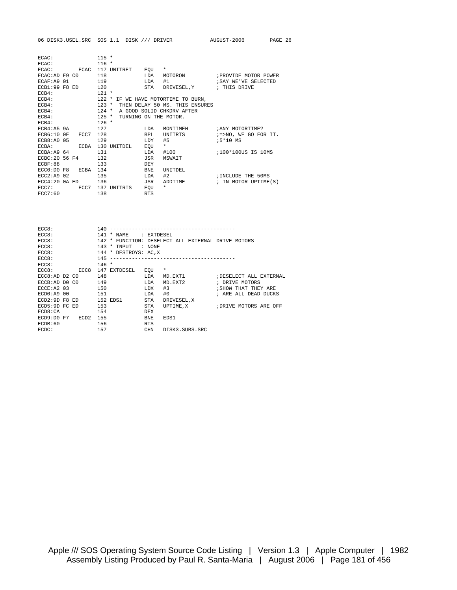| ECAC:               |      | $115 *$ |                       |            |                                |                               |
|---------------------|------|---------|-----------------------|------------|--------------------------------|-------------------------------|
| ECAC:               |      | $116 *$ |                       |            |                                |                               |
| ECAC:               | ECAC |         | 117 UNITRET EQU       |            | $\star$                        |                               |
| ECAC:AD E9 C0       |      | 118     |                       | LDA        |                                | MOTORON : PROVIDE MOTOR POWER |
| ECAF: A9 01         |      | 119     |                       | LDA        | #1                             | SAY WE'VE SELECTED            |
| $ECB1:99$ F8 ED     |      | 120     |                       |            | STA DRIVESEL, Y ; THIS DRIVE   |                               |
| $ECB4$ :            |      | $121 *$ |                       |            |                                |                               |
| $ECB4$ :            |      | $122 *$ |                       |            | IF WE HAVE MOTORTIME TO BURN,  |                               |
| $ECB4$ :            |      | $123 *$ |                       |            | THEN DELAY 50 MS. THIS ENSURES |                               |
| $ECB4$ :            |      | $124 *$ |                       |            | A GOOD SOLID CHKDRV AFTER      |                               |
| $ECB4$ :            |      | $125$ * | TURNING ON THE MOTOR. |            |                                |                               |
| $ECB4$ :            |      | $126 *$ |                       |            |                                |                               |
| ECB4:A59A           |      | 127     |                       | LDA        | MONTIMEH                       | ANY MOTORTIME?                |
| ECB6:10 OF          | ECC7 | 128     |                       | BPL        | UNITRTS                        | ;=>NO, WE GO FOR IT.          |
| $ECB8:AO$ 05        |      | 129     |                       | LDY        | #5                             | ;5*10 MS                      |
| ECBA:               | ECBA |         | 130 UNITDEL           | EOU        | $\star$                        |                               |
| ECBA: A9 64         |      | 131     |                       | LDA        | #100                           | 100*100US IS 10MS;            |
| ECBC: 20 56 F4      |      | 132     |                       | JSR        | MSWAIT                         |                               |
| ECBF:88             |      | 133     |                       | DEY        |                                |                               |
| $ECCO:DO$ F8        | ECBA | 134     |                       | <b>BNE</b> | <b>IINTTDEL</b>                |                               |
| ECC2: A9 02         |      | 135     |                       | LDA        | #2                             | INCLUDE THE 50MS              |
| $ECC4:20$ $0A$ $ED$ |      | 136     |                       | JSR        | ADDTIME                        | ; IN MOTOR UPTIME(S)          |
| $ECC7:$ $ECC7$      |      |         | 137 UNITRTS           | EQU        | $\star$                        |                               |
| ECC7:60             |      | 138     |                       | <b>RTS</b> |                                |                               |

| ECC8:               |      | 140     |                  |            |                                              |                         |
|---------------------|------|---------|------------------|------------|----------------------------------------------|-------------------------|
| ECC8:               |      | 141     | * NAME           | : EXTDESEL |                                              |                         |
| ECC8:               |      | 142     | $\ast$           |            | FUNCTION: DESELECT ALL EXTERNAL DRIVE MOTORS |                         |
| ECC8:               |      | 143     | INPUT<br>$\ast$  | : NONE     |                                              |                         |
| ECC8:               |      | 144     | * DESTROYS: AC.X |            |                                              |                         |
| ECC8:               |      | 145     |                  |            | --------------------------------------       |                         |
| ECC8:               |      | $146 *$ |                  |            |                                              |                         |
| ECC8:               | ECC8 | 147     | EXTDESEL         | EOU        | $\star$                                      |                         |
| $ECCB:AD$ $D2$ $C0$ |      | 148     |                  | LDA        | MD.EXT1                                      | ; DESELECT ALL EXTERNAL |
| ECCB:AD DO CO       |      | 149     |                  | LDA        | MD.EXT2                                      | ; DRIVE MOTORS          |
| ECCE: A2 03         |      | 150     |                  | LDX        | #3                                           | ; SHOW THAT THEY ARE    |
| ECDO: A900          |      | 151     |                  | LDA        | #0                                           | ; ARE ALL DEAD DUCKS    |
| $FCD2:9D$ F8 $ED$   |      |         | 152 EDS1         | STA        | DRIVESEL, X                                  |                         |
| ECD5:9D FC ED       |      | 153     |                  | STA        | UPTIME, X                                    | ; DRIVE MOTORS ARE OFF  |
| ECD8:CA             |      | 154     |                  | DEX        |                                              |                         |
| ECD9: D0 F7         | ECD2 | 155     |                  | <b>BNE</b> | EDS1                                         |                         |
| ECDB:60             |      | 156     |                  | <b>RTS</b> |                                              |                         |
| ECDC:               |      | 157     |                  | <b>CHN</b> | DISK3.SUBS.SRC                               |                         |
|                     |      |         |                  |            |                                              |                         |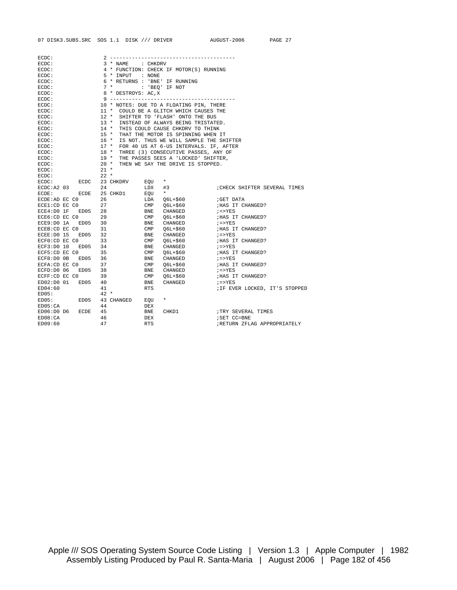| ECDC:                                                                                                                                                                                      |                                |                |                                          |                                |
|--------------------------------------------------------------------------------------------------------------------------------------------------------------------------------------------|--------------------------------|----------------|------------------------------------------|--------------------------------|
| ECDC:                                                                                                                                                                                      | 3 * NAME : CHKDRV              |                |                                          |                                |
| ECDC:                                                                                                                                                                                      |                                |                | 4 * FUNCTION: CHECK IF MOTOR(S) RUNNING  |                                |
| ECDC:                                                                                                                                                                                      | 5 * INPUT : NONE               |                |                                          |                                |
| ECDC:                                                                                                                                                                                      | 6 * RETURNS : 'BNE' IF RUNNING |                |                                          |                                |
| ECDC:                                                                                                                                                                                      | $7 *$                          |                | : 'BEQ' IF NOT                           |                                |
| ECDC:                                                                                                                                                                                      | 8 * DESTROYS: AC,X             |                |                                          |                                |
| ECDC:                                                                                                                                                                                      |                                |                |                                          |                                |
| ECDC:                                                                                                                                                                                      |                                |                | 10 * NOTES: DUE TO A FLOATING PIN, THERE |                                |
| ECDC:                                                                                                                                                                                      |                                |                | 11 * COULD BE A GLITCH WHICH CAUSES THE  |                                |
| ECDC:                                                                                                                                                                                      | $12$ *                         |                | SHIFTER TO 'FLASH' ONTO THE BUS          |                                |
| ECDC:                                                                                                                                                                                      | $13 *$                         |                | INSTEAD OF ALWAYS BEING TRISTATED.       |                                |
| ECDC:                                                                                                                                                                                      |                                |                | 14 * THIS COULD CAUSE CHKDRV TO THINK    |                                |
| ECDC:                                                                                                                                                                                      |                                |                | 15 * THAT THE MOTOR IS SPINNING WHEN IT  |                                |
| ECDC:                                                                                                                                                                                      | $16 *$                         |                | IS NOT. THUS WE WILL SAMPLE THE SHIFTER  |                                |
| ECDC:                                                                                                                                                                                      | $17$ *                         |                | FOR 40 US AT 6-US INTERVALS. IF, AFTER   |                                |
| ECDC:                                                                                                                                                                                      | $18$ *                         |                | THREE (3) CONSECUTIVE PASSES, ANY OF     |                                |
| ECDC:                                                                                                                                                                                      |                                |                | 19 * THE PASSES SEES A 'LOCKED' SHIFTER, |                                |
| ECDC:                                                                                                                                                                                      | $20*$                          |                | THEN WE SAY THE DRIVE IS STOPPED.        |                                |
| ECDC:                                                                                                                                                                                      | $21 *$                         |                |                                          |                                |
| ECDC:                                                                                                                                                                                      | $22 *$                         |                |                                          |                                |
| ECDC:                                                                                                                                                                                      | ECDC 23 CHKDRV                 | EOU            | $\star$                                  |                                |
| ECDC: A2 03                                                                                                                                                                                | 24                             | LDX            | #3                                       | CHECK SHIFTER SEVERAL TIMES    |
| ECDE:<br>ECDE                                                                                                                                                                              | 25 CHKD1                       | EQU            | $\star$                                  |                                |
| ECDE:AD EC CO                                                                                                                                                                              | 26                             |                | LDA Q6L+\$60                             | GET DATA                       |
| ECE1:CD EC CO                                                                                                                                                                              | 27                             |                | CMP 06L+\$60                             | ; HAS IT CHANGED?              |
| $ECE4:D0IF$ $ED05$ 28                                                                                                                                                                      |                                | BNE            | CHANGED                                  | $i = > YES$                    |
| ECE6:CD EC CO                                                                                                                                                                              | 29                             |                | CMP 06L+\$60                             | ; HAS IT CHANGED?              |
| ECE9:D0 1A ED05 30                                                                                                                                                                         |                                |                | BNE CHANGED                              | $i = > YES$                    |
| ECEB: CD EC CO                                                                                                                                                                             | 31                             | CMP            | Q6L+\$60                                 | HAS IT CHANGED?                |
| ECEE: D0 15 EDO5                                                                                                                                                                           | 32                             | BNE            | CHANGED                                  | $i = > YES$                    |
| ECFO:CD EC CO                                                                                                                                                                              | 33                             | $\mathsf{CMP}$ |                                          | ; HAS IT CHANGED?              |
| ECF3:D0 10 ED05 34                                                                                                                                                                         |                                | BNE            | Q6L+\$60<br>CHANGED                      | $i = > YES$                    |
| ECF5:CD EC CO                                                                                                                                                                              | 35                             | $\texttt{CMP}$ |                                          | ; HAS IT CHANGED?              |
| ED05                                                                                                                                                                                       |                                |                | 06L+\$60                                 |                                |
| ECF8:D0 OB                                                                                                                                                                                 | 36                             | BNE            | CHANGED                                  | $i = > YES$                    |
| $\begin{tabular}{lllll} \multicolumn{2}{l}{{\bf E}CFA:CD} & $\bf{E}C$ & $\bf{C0}$ & $\bf{37}$ \\ \multicolumn{2}{l}{{\bf E}CFD:DD} & $\bf{06}$ & $\bf{ED05}$ & $\bf{38}$ \\ \end{tabular}$ | 37                             | $\text{CMP}$   | O6L+\$60                                 | HAS IT CHANGED?                |
|                                                                                                                                                                                            |                                | BNE            | CHANGED                                  | $i = > YES$                    |
| ECFF:CD EC CO                                                                                                                                                                              | 39                             | CMP            | Q6L+\$60                                 | ; HAS IT CHANGED?              |
| ED02:D0 01 ED05                                                                                                                                                                            | 40                             | BNE            | CHANGED                                  | $i = > YES$                    |
| ED04:60                                                                                                                                                                                    | 41                             | <b>RTS</b>     |                                          | ; IF EVER LOCKED, IT'S STOPPED |
| ED05:                                                                                                                                                                                      | $42 *$                         |                |                                          |                                |
| ED05:                                                                                                                                                                                      | ED05 43 CHANGED                | EOU            | $\star$                                  |                                |
| ED05:CA                                                                                                                                                                                    | 44                             | DEX            |                                          |                                |
| ED06:D0 D6<br>ECDE                                                                                                                                                                         | 45                             | BNE            | CHKD1                                    | TRY SEVERAL TIMES              |
| ED08:CA                                                                                                                                                                                    | 46                             | DEX            |                                          | ; SET CC=BNE                   |
| ED09:60                                                                                                                                                                                    | 47                             | <b>RTS</b>     |                                          | ;RETURN ZFLAG APPROPRIATELY    |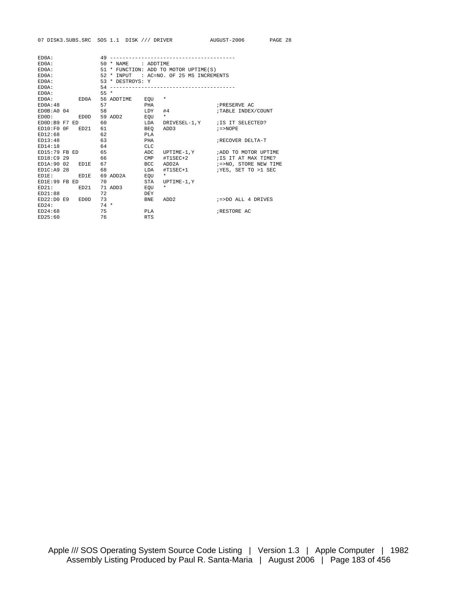| ED0A:      |                    |       | 49 ------------------------- |            |                                            |                                   |
|------------|--------------------|-------|------------------------------|------------|--------------------------------------------|-----------------------------------|
| ED0A:      |                    |       | 50 * NAME : ADDTIME          |            |                                            |                                   |
| ED0A:      |                    |       |                              |            | 51 * FUNCTION: ADD TO MOTOR UPTIME(S)      |                                   |
| $ED0A$ :   |                    |       |                              |            | 52 * INPUT : AC=NO. OF 25 MS INCREMENTS    |                                   |
| ED0A:      |                    |       | 53 * DESTROYS: Y             |            |                                            |                                   |
| ED0A:      |                    |       |                              |            |                                            |                                   |
| $ED0A$ :   |                    | $55*$ |                              |            |                                            |                                   |
|            | ED0A: ED0A         |       | 56 ADDTIME EQU *             |            |                                            |                                   |
| ED0A:48    |                    | 57    | <b>PHA</b>                   |            |                                            | FRESERVE AC                       |
| ED0B:A0 04 |                    |       | 58                           | $LDY$ #4   |                                            | TABLE INDEX/COUNT                 |
|            |                    |       | EDOD: EDOD 59 ADD2 EQU       |            | $\star$                                    |                                   |
|            | EDOD:B9 F7 ED      | 60    | <b>EDA</b>                   |            | DRIVESEL-1, Y ; IS IT SELECTED?            |                                   |
|            |                    |       |                              |            | $ED10:FO OF ED21 61$ BEO ADD3 $i = > NOPE$ |                                   |
| ED12:68    |                    |       | $62$ PLA                     |            |                                            |                                   |
|            | ED13:48 63         |       | <b>PHA</b>                   |            |                                            | RECOVER DELTA-T                   |
| ED14:18    | 64                 |       |                              | <b>CLC</b> |                                            |                                   |
|            |                    |       | $ED15:79$ FB ED 65 ADC       |            |                                            | UPTIME-1, Y : ADD TO MOTOR UPTIME |
|            | ED18:C9 29 66      |       | <b>CMP</b>                   |            |                                            |                                   |
|            | ED1A:90 02 ED1E 67 |       |                              |            |                                            |                                   |
|            | ED1C: A9 28        | 68    |                              |            |                                            |                                   |
|            | $ED1E:$ $ED1E$     |       | 69 ADD2A EQU                 |            | $\star$                                    |                                   |
|            | ED1E:99 FB ED      | 70    |                              | STA        | UPTIME-1,Y                                 |                                   |
|            | $ED21:$ $ED21$     |       | 71 ADD3 EQU                  |            | $\star$                                    |                                   |
| ED21:88    |                    | 72    |                              | DEY        |                                            |                                   |
|            | ED22: D0 E9 EDD    | 73    |                              | <b>BNE</b> |                                            |                                   |
| ED24:      | $74$ *             |       |                              |            |                                            |                                   |
| ED24:68    |                    |       | 75<br><b>PLA</b>             |            |                                            | ; RESTORE AC                      |
| ED25:60    |                    | 76    | <b>RTS</b>                   |            |                                            |                                   |
|            |                    |       |                              |            |                                            |                                   |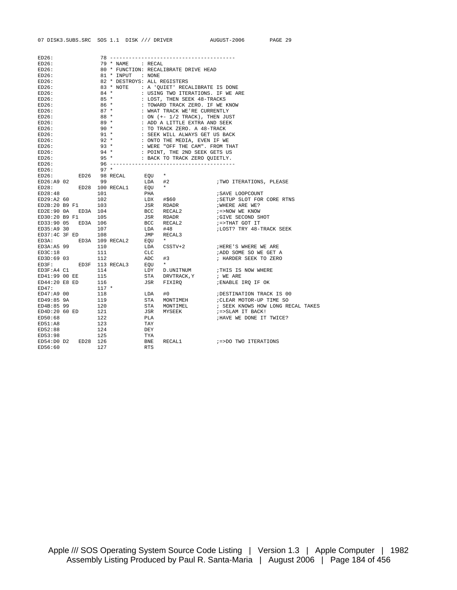| ED26:               |            |                              |                   |                                                                                                                                                       |                                                                                                                                                                                                                                                                                                                                                                                                              |
|---------------------|------------|------------------------------|-------------------|-------------------------------------------------------------------------------------------------------------------------------------------------------|--------------------------------------------------------------------------------------------------------------------------------------------------------------------------------------------------------------------------------------------------------------------------------------------------------------------------------------------------------------------------------------------------------------|
| ED26:               |            | 79 * NAME : RECAL            |                   |                                                                                                                                                       |                                                                                                                                                                                                                                                                                                                                                                                                              |
| ED26:               |            |                              |                   | 80 * FUNCTION: RECALIBRATE DRIVE HEAD                                                                                                                 |                                                                                                                                                                                                                                                                                                                                                                                                              |
| ED26:               |            | 81 * INPUT : NONE            |                   |                                                                                                                                                       |                                                                                                                                                                                                                                                                                                                                                                                                              |
| ED26:               |            | 82 * DESTROYS: ALL REGISTERS |                   |                                                                                                                                                       |                                                                                                                                                                                                                                                                                                                                                                                                              |
| ED26:               |            |                              |                   | 83 * NOTE : A 'QUIET' RECALIBRATE IS DONE                                                                                                             |                                                                                                                                                                                                                                                                                                                                                                                                              |
| ED26:               |            |                              |                   | 84 * : USING TWO ITERATIONS. IF WE ARE<br>85 * : LOST, THEN SEEK 48-TRACKS                                                                            |                                                                                                                                                                                                                                                                                                                                                                                                              |
| ED26:               |            |                              |                   |                                                                                                                                                       |                                                                                                                                                                                                                                                                                                                                                                                                              |
| ED26:               |            |                              |                   |                                                                                                                                                       |                                                                                                                                                                                                                                                                                                                                                                                                              |
| ED26:               |            |                              |                   |                                                                                                                                                       |                                                                                                                                                                                                                                                                                                                                                                                                              |
| ED26:               |            |                              |                   | $88 * : ON (+ 1/2 TRACK), THEN JUST89 * : ADD A LITILE EXTRA AND SEEK$                                                                                |                                                                                                                                                                                                                                                                                                                                                                                                              |
| ED26:               |            |                              |                   |                                                                                                                                                       |                                                                                                                                                                                                                                                                                                                                                                                                              |
| ED26:               |            |                              |                   | 90 * $\cdot$ : TO TRACK ZERO. A 48-TRACK<br>91 *             : SEEK WILL ALWAYS GET US BACK                                                           |                                                                                                                                                                                                                                                                                                                                                                                                              |
| ED26:               |            |                              |                   |                                                                                                                                                       |                                                                                                                                                                                                                                                                                                                                                                                                              |
| ED26:               |            |                              |                   |                                                                                                                                                       |                                                                                                                                                                                                                                                                                                                                                                                                              |
| ED26:               |            |                              |                   |                                                                                                                                                       |                                                                                                                                                                                                                                                                                                                                                                                                              |
| ED26:               |            |                              |                   | 92 * : ONTO THE MEDIA, EVEN IF WE<br>93 * : WERE "OFF THE CAM". FROM THAT<br>94 * : POINT, THE 2ND SEEK GETS US<br>95 * : BACK TO TRACK ZERO QUIETLY. |                                                                                                                                                                                                                                                                                                                                                                                                              |
| ED26:               |            |                              |                   |                                                                                                                                                       |                                                                                                                                                                                                                                                                                                                                                                                                              |
|                     |            |                              |                   |                                                                                                                                                       |                                                                                                                                                                                                                                                                                                                                                                                                              |
|                     |            |                              |                   |                                                                                                                                                       |                                                                                                                                                                                                                                                                                                                                                                                                              |
|                     |            |                              |                   |                                                                                                                                                       |                                                                                                                                                                                                                                                                                                                                                                                                              |
|                     |            |                              |                   |                                                                                                                                                       |                                                                                                                                                                                                                                                                                                                                                                                                              |
|                     |            |                              |                   |                                                                                                                                                       |                                                                                                                                                                                                                                                                                                                                                                                                              |
|                     |            |                              |                   |                                                                                                                                                       |                                                                                                                                                                                                                                                                                                                                                                                                              |
|                     |            |                              |                   |                                                                                                                                                       | SETUP SLOT FOR CORE RTNS<br>NHERE ARE WE?<br>7=NOW WE KNOW<br>GIVE SECOND SHOT<br>7=>THAT GOT IT<br>7LOST? TRY 48-TRACK SEEK                                                                                                                                                                                                                                                                                 |
|                     |            |                              |                   |                                                                                                                                                       |                                                                                                                                                                                                                                                                                                                                                                                                              |
|                     |            |                              |                   |                                                                                                                                                       |                                                                                                                                                                                                                                                                                                                                                                                                              |
|                     |            |                              |                   |                                                                                                                                                       |                                                                                                                                                                                                                                                                                                                                                                                                              |
|                     |            |                              |                   |                                                                                                                                                       |                                                                                                                                                                                                                                                                                                                                                                                                              |
|                     |            |                              |                   |                                                                                                                                                       |                                                                                                                                                                                                                                                                                                                                                                                                              |
|                     |            |                              |                   |                                                                                                                                                       |                                                                                                                                                                                                                                                                                                                                                                                                              |
|                     |            |                              |                   |                                                                                                                                                       |                                                                                                                                                                                                                                                                                                                                                                                                              |
|                     |            |                              |                   |                                                                                                                                                       |                                                                                                                                                                                                                                                                                                                                                                                                              |
|                     |            |                              |                   |                                                                                                                                                       |                                                                                                                                                                                                                                                                                                                                                                                                              |
|                     |            |                              |                   |                                                                                                                                                       | ;ADD SOME SO WE GET A                                                                                                                                                                                                                                                                                                                                                                                        |
|                     |            |                              |                   |                                                                                                                                                       | $\begin{tabular}{lllllllllllll} \texttt{ED30:20 B9 F1} & & & & & & & \\ \texttt{ED30:20 B9 F1} & & & & & & & \\ \texttt{ED35:39 30} & & 107 & & & & & \\ \texttt{ED35:49 30} & & 107 & & & & \\ \texttt{ED37:4C 3F ED} & & 108 & & JMP & \texttt{RECAL3} & \\ \texttt{ED3A:45 99} & & 110 & & & & \\ \texttt{ED3A:5 99} & & 110 & & & \\ \texttt{ED3A:5 99} & & 111 & & & \\ \text$<br>; HARDER SEEK TO ZERO |
|                     |            |                              |                   |                                                                                                                                                       |                                                                                                                                                                                                                                                                                                                                                                                                              |
|                     |            |                              |                   |                                                                                                                                                       |                                                                                                                                                                                                                                                                                                                                                                                                              |
|                     |            |                              |                   |                                                                                                                                                       |                                                                                                                                                                                                                                                                                                                                                                                                              |
|                     |            |                              |                   |                                                                                                                                                       |                                                                                                                                                                                                                                                                                                                                                                                                              |
|                     |            |                              |                   |                                                                                                                                                       | LDA #0<br>STA MONTIMEH ;CLEAR MOTOR-UP TIME SO<br>STA MONTIMEL ; SEEK KNOWS HOW LONG RECAL TAKES<br>JSR MYSEEK ;=>SLAM IT BACK!<br>PLA ;HAVE WE DONE IT TWICE?                                                                                                                                                                                                                                               |
|                     |            |                              |                   |                                                                                                                                                       |                                                                                                                                                                                                                                                                                                                                                                                                              |
|                     |            |                              |                   |                                                                                                                                                       |                                                                                                                                                                                                                                                                                                                                                                                                              |
|                     |            |                              |                   |                                                                                                                                                       |                                                                                                                                                                                                                                                                                                                                                                                                              |
|                     |            |                              |                   |                                                                                                                                                       |                                                                                                                                                                                                                                                                                                                                                                                                              |
|                     |            |                              |                   |                                                                                                                                                       |                                                                                                                                                                                                                                                                                                                                                                                                              |
| ED51:A8             | 123<br>124 |                              | TAY<br>DEY        |                                                                                                                                                       |                                                                                                                                                                                                                                                                                                                                                                                                              |
| ED52:88             |            |                              |                   |                                                                                                                                                       |                                                                                                                                                                                                                                                                                                                                                                                                              |
| ED53:98 125         |            |                              | TYA<br>BNE<br>RTS |                                                                                                                                                       |                                                                                                                                                                                                                                                                                                                                                                                                              |
| ED54:D0 D2 ED28 126 |            |                              |                   |                                                                                                                                                       |                                                                                                                                                                                                                                                                                                                                                                                                              |
| ED56:60 127         |            |                              | <b>RTS</b>        |                                                                                                                                                       |                                                                                                                                                                                                                                                                                                                                                                                                              |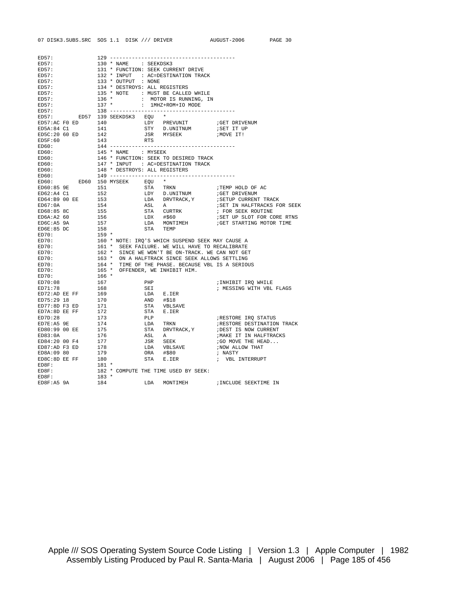| ED57:                                                                     |                |                            |                               |           |                                                                                                                        |                                                                                                                      |
|---------------------------------------------------------------------------|----------------|----------------------------|-------------------------------|-----------|------------------------------------------------------------------------------------------------------------------------|----------------------------------------------------------------------------------------------------------------------|
| ED57:                                                                     |                |                            | 130 * NAME : SEEKDSK3         |           |                                                                                                                        |                                                                                                                      |
| ED57:                                                                     |                |                            |                               |           | 131 * FUNCTION: SEEK CURRENT DRIVE                                                                                     |                                                                                                                      |
| ED57:                                                                     |                |                            |                               |           | 132 * INPUT : AC=DESTINATION TRACK                                                                                     |                                                                                                                      |
| ED57:                                                                     |                |                            | 133 * OUTPUT : NONE           |           |                                                                                                                        |                                                                                                                      |
| ED57:                                                                     |                |                            | 134 * DESTROYS: ALL REGISTERS |           |                                                                                                                        |                                                                                                                      |
| ED57:                                                                     |                |                            |                               |           | 135 * NOTE : MUST BE CALLED WHILE                                                                                      |                                                                                                                      |
| ED57:                                                                     |                |                            |                               |           |                                                                                                                        |                                                                                                                      |
| ED57:                                                                     |                |                            |                               |           | $\begin{tabular}{lllllllll} 136 & * & : & \text{MOTOR IS RUNNING, IN} \\ 137 & * & : & 1MHZ+ROM+IO MODE \end{tabular}$ |                                                                                                                      |
| ED57:                                                                     |                |                            |                               |           |                                                                                                                        |                                                                                                                      |
|                                                                           |                |                            |                               |           |                                                                                                                        |                                                                                                                      |
|                                                                           |                |                            | ED57: ED57 139 SEEKDSK3 EQU * |           |                                                                                                                        |                                                                                                                      |
|                                                                           |                |                            |                               |           |                                                                                                                        |                                                                                                                      |
|                                                                           |                |                            |                               |           | STY D.UNITNUM :SET IT UP                                                                                               |                                                                                                                      |
| ED5C:20 60 ED                                                             |                | 142                        |                               |           | JSR MYSEEK                                                                                                             | ; MOVE IT!                                                                                                           |
| ED5F:60                                                                   |                | 143                        |                               | RTS       |                                                                                                                        |                                                                                                                      |
| ED60:                                                                     |                |                            |                               |           |                                                                                                                        |                                                                                                                      |
| ED60:                                                                     |                |                            | 145 * NAME : MYSEEK           |           |                                                                                                                        |                                                                                                                      |
| ED60:                                                                     |                |                            |                               |           | 146 * FUNCTION: SEEK TO DESIRED TRACK                                                                                  |                                                                                                                      |
| ED60:                                                                     |                |                            |                               |           | 147 * INPUT : AC=DESTINATION TRACK                                                                                     |                                                                                                                      |
| ED60:                                                                     |                |                            | 148 * DESTROYS: ALL REGISTERS |           |                                                                                                                        |                                                                                                                      |
| ED60:                                                                     |                |                            |                               |           |                                                                                                                        |                                                                                                                      |
|                                                                           |                |                            | ED60: ED60 150 MYSEEK EQU *   |           |                                                                                                                        |                                                                                                                      |
| ED60:85 9E                                                                |                |                            | 151 72                        |           | STA TRKN                                                                                                               | TEMP HOLD OF AC                                                                                                      |
|                                                                           |                |                            |                               |           |                                                                                                                        |                                                                                                                      |
| ED62:A4 C1 152<br>ED64:B9 00 EE 153                                       |                |                            |                               |           |                                                                                                                        |                                                                                                                      |
|                                                                           |                |                            |                               |           |                                                                                                                        |                                                                                                                      |
| ED67:0A                                                                   |                | 154                        |                               |           |                                                                                                                        |                                                                                                                      |
| ED68:85 8C                                                                |                | $154$<br>155<br>156<br>157 |                               |           |                                                                                                                        |                                                                                                                      |
| ED6A:A260                                                                 |                |                            |                               |           |                                                                                                                        |                                                                                                                      |
|                                                                           |                |                            |                               |           |                                                                                                                        |                                                                                                                      |
| ED6C:A5 9A                                                                |                |                            |                               |           |                                                                                                                        |                                                                                                                      |
| ED6E:85 DC                                                                |                |                            |                               | STA TEMP  |                                                                                                                        |                                                                                                                      |
| ED70:                                                                     |                | 158<br>$159 *$             |                               |           |                                                                                                                        |                                                                                                                      |
| ED70:                                                                     |                |                            |                               |           |                                                                                                                        |                                                                                                                      |
| ED70:                                                                     |                |                            |                               |           | 160 * NOTE: IRQ'S WHICH SUSPEND SEEK MAY CAUSE A<br>161 * SEEK FAILURE. WE WILL HAVE TO RECALIBRATE                    |                                                                                                                      |
|                                                                           |                |                            |                               |           |                                                                                                                        |                                                                                                                      |
| ED70:                                                                     |                |                            |                               |           | 162 * SINCE WE WON'T BE ON-TRACK. WE CAN NOT GET                                                                       |                                                                                                                      |
| ED70:                                                                     |                |                            |                               |           | 163 * ON A HALFTRACK SINCE SEEK ALLOWS SETTLING                                                                        |                                                                                                                      |
| ED70:                                                                     |                |                            |                               |           |                                                                                                                        |                                                                                                                      |
| ED70:                                                                     |                |                            |                               |           | 164 * TIME OF THE PHASE. BECAUSE VBL IS A SERIOUS<br>165 * OFFENDER, WE INHIBIT HIM.                                   |                                                                                                                      |
| ED70:                                                                     |                | $166$ *                    |                               |           |                                                                                                                        |                                                                                                                      |
|                                                                           |                | 167                        |                               | PHP       |                                                                                                                        | ;INHIBIT IRQ WHILE                                                                                                   |
| ED70:08<br>ED71:78                                                        |                | 168                        |                               | SEI       |                                                                                                                        | ; MESSING WITH VBL FLAGS                                                                                             |
|                                                                           |                |                            |                               |           | LDA E.IER                                                                                                              |                                                                                                                      |
|                                                                           |                |                            |                               | AND #\$18 |                                                                                                                        |                                                                                                                      |
|                                                                           |                |                            |                               |           | STA VBLSAVE                                                                                                            |                                                                                                                      |
| ED72:AD EE FF 169<br>ED75:29 18 170<br>ED77:8D F3 ED 171<br>ED7A:8D EE FF |                |                            |                               |           | STA E.IER                                                                                                              |                                                                                                                      |
| ED7D:28                                                                   |                | 172<br>173                 |                               | PLP       |                                                                                                                        | RESTORE IRQ STATUS                                                                                                   |
|                                                                           |                |                            |                               |           | LDA TRKN                                                                                                               |                                                                                                                      |
| ED7E:A5 9E<br>ED80:99 00 EE                                               |                | 174                        |                               |           |                                                                                                                        |                                                                                                                      |
| ED83:0A                                                                   |                | 175<br>176                 |                               |           | STA DRVTRACK, Y<br>asi, a                                                                                              |                                                                                                                      |
|                                                                           |                |                            |                               |           | ASL A                                                                                                                  |                                                                                                                      |
| ED84:20 00 F4 177<br>ED87:AD F3 ED                                        |                |                            |                               |           | JSR SEEK                                                                                                               |                                                                                                                      |
|                                                                           |                |                            |                               |           | LDA VBLSAVE                                                                                                            | FRESTORE DESTINATION TRACK<br>FDEST IS NOW CURRENT<br>FMAKE IT IN HALFTRACKS<br>FGO MOVE THE HEAD<br>FNOW ALLOW THAT |
| ED8A:09 80                                                                |                | 178<br>179                 |                               |           | ORA #\$80                                                                                                              | ; NASTY                                                                                                              |
| $ED8C:8D EE FF$ 180                                                       |                |                            |                               |           | STA E.IER                                                                                                              | ; VBL INTERRUPT                                                                                                      |
| ED8F:                                                                     |                | $181 *$                    |                               |           |                                                                                                                        |                                                                                                                      |
| ED8F:                                                                     |                |                            |                               |           | 182 * COMPUTE THE TIME USED BY SEEK:                                                                                   |                                                                                                                      |
| ED8F:                                                                     | ED8F:A5 9A 184 | $183 *$                    |                               |           |                                                                                                                        | LDA MONTIMEH : INCLUDE SEEKTIME IN                                                                                   |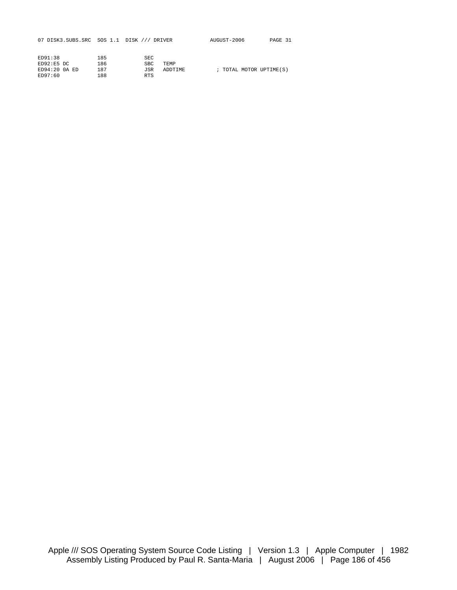07 DISK3.SUBS.SRC SOS 1.1 DISK /// DRIVER AUGUST-2006 PAGE 31

| ED91:38             | 185 | SEC        |             |  |                         |
|---------------------|-----|------------|-------------|--|-------------------------|
| ED92:E5DC           | 186 | SBC.       | <b>TEMP</b> |  |                         |
| $ED94:20$ $0A$ $ED$ | 187 | JSR        | ADDTIME     |  | ; TOTAL MOTOR UPTIME(S) |
| ED97:60             | 188 | <b>RTS</b> |             |  |                         |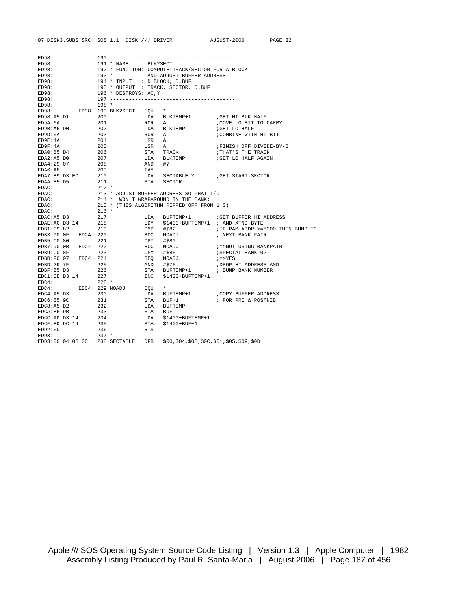| ED98:         |                     |         | $190 - - - - - - - - - - - - - - - -$ |            |                                                  |                                       |
|---------------|---------------------|---------|---------------------------------------|------------|--------------------------------------------------|---------------------------------------|
| ED98:         |                     |         | 191 * NAME : BLK2SECT                 |            |                                                  |                                       |
| ED98:         |                     |         |                                       |            | 192 * FUNCTION: COMPUTE TRACK/SECTOR FOR A BLOCK |                                       |
| ED98:         |                     |         |                                       |            | 193 * AND ADJUST BUFFER ADDRESS                  |                                       |
| ED98:         |                     |         | 194 * INPUT : D.BLOCK, D.BUF          |            |                                                  |                                       |
| ED98:         |                     |         |                                       |            | 195 * OUTPUT : TRACK, SECTOR, D.BUF              |                                       |
| ED98:         |                     |         | 196 * DESTROYS: AC, Y                 |            |                                                  |                                       |
| ED98:         |                     |         |                                       |            |                                                  |                                       |
| ED98:         |                     | $198 *$ |                                       |            |                                                  |                                       |
|               |                     |         | ED98: ED98 199 BLK2SECT EQU           |            | $\star$                                          |                                       |
| ED98:A5 D1    |                     | 200     |                                       |            | LDA BLKTEMP+1                                    | GET HI BLK HALF                       |
| ED9A:6A       |                     | 201     |                                       | ROR A      |                                                  | ; MOVE LO BIT TO CARRY                |
| ED9B:A5 D0    |                     | 202     |                                       |            | LDA BLKTEMP                                      | GET LO HALF                           |
| ED9D:6A       |                     | 203     |                                       | <b>ROR</b> | Α                                                | ;COMBINE WITH HI BIT                  |
| ED9E:4A       |                     | 204     |                                       | LSR        | A                                                |                                       |
| ED9F:4A       |                     | 205     |                                       | LSR        | A                                                | FINISH OFF DIVIDE-BY-8                |
| EDA0:85 D4    |                     | 206     |                                       |            | STA TRACK                                        | THAT'S THE TRACK                      |
| EDA2:A5 DO    |                     | 207     |                                       | LDA        | <b>BLKTEMP</b>                                   | GET LO HALF AGAIN;                    |
| EDA4:29 07    |                     | 208     |                                       | AND #7     |                                                  |                                       |
| EDA6:A8       |                     | 209     |                                       | TAY        |                                                  |                                       |
|               |                     |         |                                       |            |                                                  |                                       |
| EDA7:B9 D3 ED |                     | 210     |                                       |            |                                                  | LDA SECTABLE, Y : GET START SECTOR    |
| EDAA:85 D5    |                     | 211     |                                       |            | STA SECTOR                                       |                                       |
| EDAC:         |                     | 212 *   |                                       |            |                                                  |                                       |
| EDAC:         |                     |         |                                       |            | 213 * ADJUST BUFFER ADDRESS SO THAT I/O          |                                       |
| EDAC:         |                     |         |                                       |            | 214 * WON'T WRAPAROUND IN THE BANK:              |                                       |
| EDAC:         |                     |         |                                       |            | 215 * (THIS ALGORITHM RIPPED OFF FROM 1.0)       |                                       |
| EDAC:         |                     | $216$ * |                                       |            |                                                  |                                       |
| EDAC:A5 D3    |                     | 217     |                                       |            |                                                  | LDA BUFTEMP+1 ; GET BUFFER HI ADDRESS |
| EDAE:AC D3 14 |                     | 218     |                                       | LDY        | \$1400+BUFTEMP+1 ; AND XTND BYTE                 |                                       |
| EDB1:C9 82    |                     | 219     |                                       |            | CMP #\$82                                        | ; IF RAM ADDR >=8200 THEN BUMP TO     |
|               | EDB3:90 OF EDC4 220 |         |                                       |            | BCC NOADJ                                        | ; NEXT BANK PAIR                      |
| EDB5:C0 80    |                     | 221     |                                       |            | CPY #\$80                                        |                                       |
|               | EDB7:90 0B EDC4 222 |         |                                       |            | BCC NOADJ                                        | ;=>NOT USING BANKPAIR                 |
| EDB9:C0 8F    |                     | 223     |                                       |            | CPY #\$8F                                        | ; SPECIAL BANK 0?                     |
|               | EDBB:F0 07 EDC4 224 |         |                                       |            | BEQ NOADJ                                        | $i = > YES$                           |
| EDBD:29 7F    |                     | 225     |                                       |            | AND #\$7F                                        | ; DROP HI ADDRESS AND                 |
| EDBF:85 D3    |                     | 226     |                                       |            |                                                  | STA BUFTEMP+1 : BUMP BANK NUMBER      |
| EDC1:EE D3 14 |                     | 227     |                                       |            | INC \$1400+BUFTEMP+1                             |                                       |
| EDC4:         |                     | $228$ * |                                       |            |                                                  |                                       |
| EDC4:         |                     |         | EDC4 229 NOADJ                        | EOU        | $\star$                                          |                                       |
| EDC4:A5 D3    |                     | 230     |                                       |            |                                                  |                                       |
| EDC6:85 9C    |                     | 231     |                                       |            | STA BUF+1                                        | ; FOR PRE & POSTNIB                   |
| EDC8:A5 D2    |                     | 232     |                                       |            | LDA BUFTEMP                                      |                                       |
| EDCA:85 9B    |                     | 233     |                                       | STA BUF    |                                                  |                                       |
|               | $EDCC:AD D3 14$ 234 |         |                                       |            | LDA \$1400+BUFTEMP+1                             |                                       |
| EDCF:8D 9C 14 |                     | 235     |                                       | STA        | $$1400+$ BUF+1                                   |                                       |
| EDD2:60       |                     | 236     |                                       | <b>RTS</b> |                                                  |                                       |
| EDD3:         |                     | $237$ * |                                       |            |                                                  |                                       |
|               |                     |         | EDD3:00 04 08 0C 238 SECTABLE DFB     |            | $$00, $04, $08, $0C, $01, $05, $09, $0D$         |                                       |

07 DISK3.SUBS.SRC SOS 1.1 DISK /// DRIVER AUGUST-2006 PAGE 32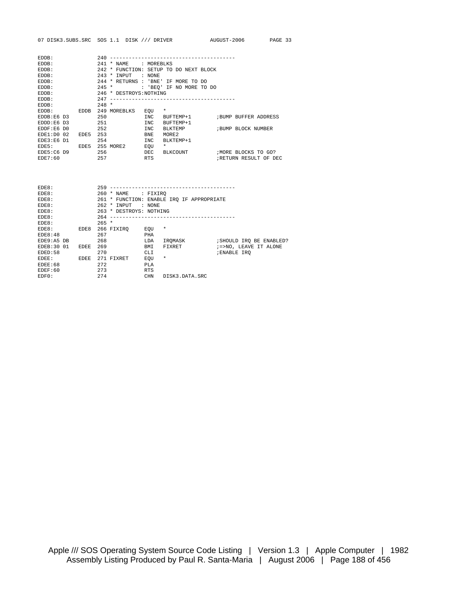| EDDB:         |             | 240            |                         |            |                                  |  |                      |                      |
|---------------|-------------|----------------|-------------------------|------------|----------------------------------|--|----------------------|----------------------|
| EDDB:         |             | 2.41           | * NAME                  | : MOREBLKS |                                  |  |                      |                      |
| EDDB:         |             | $242 *$        |                         |            | FUNCTION: SETUP TO DO NEXT BLOCK |  |                      |                      |
| EDDB:         |             | 243<br>$\star$ | INPUT                   | : NONE     |                                  |  |                      |                      |
| EDDB:         |             |                | 244 * RETURNS           | : 'BNE'    | IF MORE TO DO                    |  |                      |                      |
| EDDB:         |             | $245 *$        |                         |            | : 'BEO' IF NO MORE TO DO         |  |                      |                      |
| EDDB:         |             |                | 246 * DESTROYS: NOTHING |            |                                  |  |                      |                      |
| EDDB:         |             | 247            |                         |            |                                  |  |                      |                      |
| EDDB:         |             | $248 *$        |                         |            |                                  |  |                      |                      |
| EDDB:         | <b>EDDB</b> |                | 249 MOREBLKS            | EOU        | $\star$                          |  |                      |                      |
| EDDB:E6 D3    |             | 250            |                         | <b>INC</b> | BUFTEMP+1                        |  | BUMP BUFFER ADDRESS  |                      |
| $EDDD: E6$ D3 |             | 251            |                         | <b>INC</b> | BUFTEMP+1                        |  |                      |                      |
| EDDF:E6 DO    |             | 252            |                         | <b>INC</b> | BLKTEMP                          |  | ; BUMP BLOCK NUMBER  |                      |
| EDE1:D0 02    | EDE5        | 253            |                         | <b>BNE</b> | MORE <sub>2</sub>                |  |                      |                      |
| EDE3:E6 D1    |             | 254            |                         | <b>INC</b> | BLKTEMP+1                        |  |                      |                      |
| EDE5:         | EDE5        | 255 MORE2      |                         | EOU        | $\star$                          |  |                      |                      |
| $EDE5:CG$ D9  |             | 256            |                         | DEC        | BLKCOUNT                         |  | ; MORE BLOCKS TO GO? |                      |
| EDE7:60       |             | 257            |                         | <b>RTS</b> |                                  |  |                      | RETURN RESULT OF DEC |

| EDE8:      |      | $259 -$                 |            |                                           |                     |                          |
|------------|------|-------------------------|------------|-------------------------------------------|---------------------|--------------------------|
| EDE8:      |      | 260 * NAME : FIXIRO     |            |                                           |                     |                          |
| EDE8:      |      |                         |            | 261 * FUNCTION: ENABLE IRO IF APPROPRIATE |                     |                          |
| EDE8:      |      | 262 * INPUT             | : NONE     |                                           |                     |                          |
| EDE8:      |      | 263 * DESTROYS: NOTHING |            |                                           |                     |                          |
| EDE8:      |      | 264                     |            |                                           |                     |                          |
| EDE8:      |      | $265 *$                 |            |                                           |                     |                          |
| EDE8:      | EDE8 | 266 FIXIRO              | EOU        | $^\star$                                  |                     |                          |
| EDE8:48    |      | 267                     | PHA        |                                           |                     |                          |
| EDE9:A5 DB |      | 268                     | LDA        | IROMASK                                   |                     | ; SHOULD IRO BE ENABLED? |
| EDEB:30 01 | EDEE | 269                     | BMI        | FIXRET                                    |                     | ; =>NO, LEAVE IT ALONE   |
| EDED:58    |      | 270                     | CLI        |                                           | <b>; ENABLE IRO</b> |                          |
| EDEE:      | EDEE | 271<br>FIXRET           | EOU        | $^\star$                                  |                     |                          |
| EDER:68    |      | 272                     | <b>PLA</b> |                                           |                     |                          |
| EDEF:60    |      | 273                     | <b>RTS</b> |                                           |                     |                          |
| EDFO:      |      | 274                     | <b>CHN</b> | DISK3 DATA SRC                            |                     |                          |
|            |      |                         |            |                                           |                     |                          |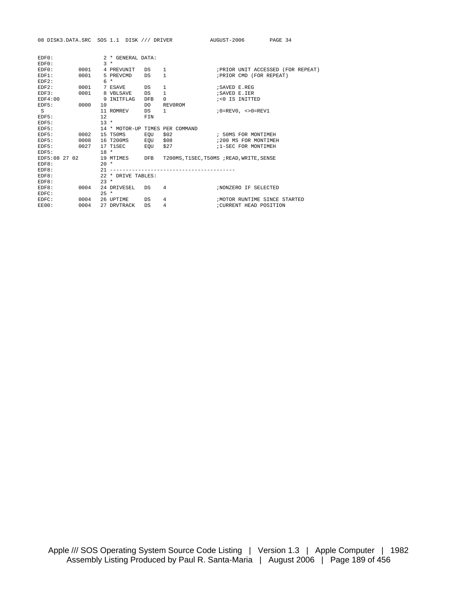|               |        |        |                        |                                                                                                                                                                                                                                | 08 DISK3.DATA.SRC SOS 1.1 DISK /// DRIVER AUGUST-2006 PAGE 34         |                                             |                                  |
|---------------|--------|--------|------------------------|--------------------------------------------------------------------------------------------------------------------------------------------------------------------------------------------------------------------------------|-----------------------------------------------------------------------|---------------------------------------------|----------------------------------|
|               |        |        |                        |                                                                                                                                                                                                                                |                                                                       |                                             |                                  |
| EDFO:         |        |        | 2 * GENERAL DATA:      |                                                                                                                                                                                                                                |                                                                       |                                             |                                  |
| EDFO:         |        |        | $3 *$                  |                                                                                                                                                                                                                                |                                                                       |                                             |                                  |
| EDFO:         | 0001   |        | 4 PREVUNIT DS          |                                                                                                                                                                                                                                | $\mathbf{1}$                                                          |                                             | FRIOR UNIT ACCESSED (FOR REPEAT) |
| EDF1:         | 0001   |        | 5 PREVCMD              | DS                                                                                                                                                                                                                             | 1                                                                     | ; PRIOR CMD (FOR REPEAT)                    |                                  |
| EDF2:         |        |        | $6 *$                  |                                                                                                                                                                                                                                |                                                                       |                                             |                                  |
| EDF2:         | 0001   |        | 7 ESAVE                | DS                                                                                                                                                                                                                             | $\mathbf{1}$                                                          | <i>ISAVED E REG</i>                         |                                  |
| EDF3:         | 0001   |        | 8 VBLSAVE              | DS                                                                                                                                                                                                                             | $\mathbf{1}$                                                          | ; SAVED E.IER                               |                                  |
| EDF4:00       |        |        | 9 INITFLAG DFB         |                                                                                                                                                                                                                                | $\mathbf 0$                                                           | %<0 IS INITTED                              |                                  |
| EDF5: 0000    |        |        | $10$ DO                |                                                                                                                                                                                                                                | REV0ROM                                                               |                                             |                                  |
| $S^{\dagger}$ |        |        | 11 ROMREV              | DS and the set of the set of the set of the set of the set of the set of the set of the set of the set of the set of the set of the set of the set of the set of the set of the set of the set of the set of the set of the se | $1 \qquad \qquad$                                                     | $0 = \text{REV0}$ , $\lt$ >0= $\text{REV1}$ |                                  |
| EDF5:         |        | 12.    |                        | FIN                                                                                                                                                                                                                            |                                                                       |                                             |                                  |
| EDF5:         |        |        | $13 *$                 |                                                                                                                                                                                                                                |                                                                       |                                             |                                  |
| EDF5:         |        |        |                        |                                                                                                                                                                                                                                | 14 * MOTOR-UP TIMES PER COMMAND                                       |                                             |                                  |
| EDF5:         | 0002   |        | 15 T50MS EOU           |                                                                                                                                                                                                                                |                                                                       |                                             |                                  |
| EDF5:         | 0008   |        |                        |                                                                                                                                                                                                                                | 16 T200MS EQU \$08 508 6200 MS FOR MONTIMEH                           |                                             |                                  |
| EDF5:         |        |        | 0027 17 T1SEC 600 \$27 |                                                                                                                                                                                                                                |                                                                       | 1-SEC FOR MONTIMEH                          |                                  |
| EDF5:         | $18$ * |        |                        |                                                                                                                                                                                                                                |                                                                       |                                             |                                  |
|               |        |        |                        |                                                                                                                                                                                                                                | EDF5:08 27 02 19 MTIMES DFB T200MS, T1SEC, T50MS ; READ, WRITE, SENSE |                                             |                                  |
| EDF8:         |        | $20 *$ |                        |                                                                                                                                                                                                                                |                                                                       |                                             |                                  |
| EDF8:         |        |        |                        |                                                                                                                                                                                                                                |                                                                       |                                             |                                  |
| EDF8:         |        |        | 22 * DRIVE TABLES:     |                                                                                                                                                                                                                                |                                                                       |                                             |                                  |
| EDF8:         |        | $23 *$ |                        |                                                                                                                                                                                                                                |                                                                       |                                             |                                  |
| EDF8:         | 0004   |        | 24 DRIVESEL DS         |                                                                                                                                                                                                                                | 4                                                                     | ; NONZERO IF SELECTED                       |                                  |
| EDFC:         |        | $25 *$ |                        |                                                                                                                                                                                                                                |                                                                       |                                             |                                  |
| EDFC:         | 0004   |        | 26 UPTIME DS           |                                                                                                                                                                                                                                | 4                                                                     |                                             | ; MOTOR RUNTIME SINCE STARTED    |
| EE00:         | 0004   |        | 27 DRVTRACK            | DS                                                                                                                                                                                                                             | $\overline{4}$                                                        | ; CURRENT HEAD POSITION                     |                                  |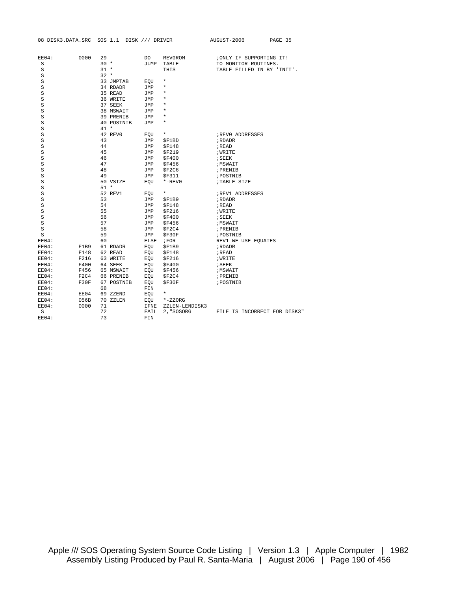|       | 08 DISK3.DATA.SRC |        | SOS 1.1 DISK /// DRIVER |            |                | AUGUST-2006                | PAGE 35                      |
|-------|-------------------|--------|-------------------------|------------|----------------|----------------------------|------------------------------|
|       |                   |        |                         |            |                |                            |                              |
| EE04: | 0000              | 29     |                         | DO.        | REV0ROM        | ; ONLY IF SUPPORTING IT!   |                              |
| S     |                   | $30 *$ |                         |            | JUMP TABLE     | TO MONITOR ROUTINES.       |                              |
| S     |                   | $31 *$ |                         |            | THIS           | TABLE FILLED IN BY 'INIT'. |                              |
| S     |                   | $32 *$ |                         |            |                |                            |                              |
| S     |                   |        | 33 JMPTAB               | EOU        | $\star$        |                            |                              |
| S     |                   |        | 34 RDADR                | <b>JMP</b> | $\star$        |                            |                              |
| S     |                   |        | 35 READ                 | JMP        | $\star$        |                            |                              |
| S     |                   |        | 36 WRITE                | JMP        | $\star$        |                            |                              |
| S     |                   |        | 37 SEEK                 | JMP        | $\star$        |                            |                              |
| S     |                   |        | 38 MSWAIT               | JMP        | $\star$        |                            |                              |
| S     |                   |        | 39 PRENIB               | JMP        | $\star$        |                            |                              |
| S     |                   |        | 40 POSTNIB              | JMP        | $\star$        |                            |                              |
| S     |                   | $41 *$ |                         |            |                |                            |                              |
| S     |                   |        | 42 REV0                 | EOU        | $\star$        | REVO ADDRESSES             |                              |
| S     |                   | 43     |                         | JMP        | \$F1BD         | ; RDADR                    |                              |
| S     |                   | 44     |                         | JMP        | \$F148         | ; READ                     |                              |
| S     |                   | 45     |                         | JMP        | \$F219         | <b>; WRITE</b>             |                              |
| S     |                   | 46     |                         | <b>JMP</b> | \$F400         | ; SEEK                     |                              |
| S     |                   | 47     |                         | JMP        | \$F456         | <b>;MSWAIT</b>             |                              |
| S     |                   | 48     |                         | JMP        | \$F2C6         | ; PRENIB                   |                              |
| S     |                   | 49     |                         | JMP        | \$F311         | ; POSTNIB                  |                              |
| S     |                   |        | 50 VSIZE                | EOU        | $*$ -REV0      | ;TABLE SIZE                |                              |
| S     |                   | $51 *$ |                         |            |                |                            |                              |
| S     |                   |        | 52 REV1                 | EOU        | $\star$        | REV1 ADDRESSES             |                              |
| S     |                   | 53     |                         | JMP        | \$F1B9         | ; RDADR                    |                              |
| S     |                   | 54     |                         | JMP        | \$F148         | ; READ                     |                              |
| S     |                   | 55     |                         | JMP        | \$F216         | <b>WRITE</b>               |                              |
| S     |                   | 56     |                         | JMP        | \$F400         | ; SEEK                     |                              |
| S     |                   | 57     |                         | JMP        | <b>\$F456</b>  | <b>;MSWAIT</b>             |                              |
| S     |                   | 58     |                         | JMP        | \$F2C4         | ; PRENIB                   |                              |
| S     |                   | 59     |                         | JMP        | \$F30F         | ; POSTNIB                  |                              |
| EE04: |                   | 60     |                         |            | $ELSE$ ; FOR   | REV1 WE USE EQUATES        |                              |
| EE04: | F1B9              |        | 61 RDADR                | EQU        | \$F1B9         | ; RDADR                    |                              |
| EE04: | F148              |        | 62 READ                 | EOU        | \$F148         | ; READ                     |                              |
| EE04: | F216              |        | 63 WRITE                | EOU        | <b>\$F216</b>  | <b>; WRITE</b>             |                              |
| EE04: | F400              |        | 64 SEEK                 | EQU        | \$F400         | ; SEEK                     |                              |
| EE04: | F456              |        | 65 MSWAIT               | EOU        | \$F456         | ; MSWAIT                   |                              |
| EE04: | F2C4              |        | 66 PRENIB               | EOU        | \$F2C4         | ; PRENIB                   |                              |
| EE04: | F30F              |        | 67 POSTNIB              | EOU        | \$F30F         | ; POSTNIB                  |                              |
| EE04: |                   | 68     |                         | FIN        |                |                            |                              |
| EE04: | EE04              |        | 69 ZZEND                | EOU        | $\star$        |                            |                              |
| EE04: | 056B              |        | 70 ZZLEN                | EOU        | $*-$ ZZORG     |                            |                              |
| EE04: | 0000              | 71     |                         | IFNE       | ZZLEN-LENDISK3 |                            |                              |
| S     |                   | 72     |                         | FAIL       | 2, "SOSORG     |                            | FILE IS INCORRECT FOR DISK3" |
| EE04: |                   | 73     |                         | FIN        |                |                            |                              |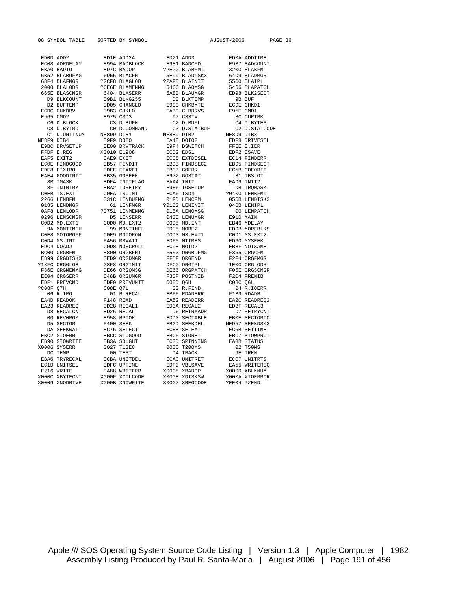EC08 ADRDELAY E994 BADBLOCK<br>EBA0 BADIO E97C BADOP EAE4 GOODINIT EB35 GOSEEK E972 GOSTAT 81 IBSLOT  $X0006$  SYSERR  $X0006$  TEMP 0027 T1SEC 0008 T200MS 02 TEMP 00 TEST 04 TRACK EC1D UNITSEL<br>F216 WRITE X0009 XNODRIVE X000B XNOWRITE X0007 XREQCODE ?EE04 ZZEND

2000 -<br>2000 6404 BLASERR 5466 BLAOMSG<br>5464 BLASERR 548B BLAUMGR EDF0 PREVUNIT CO8D Q6H<br>CO8E O7L 03 R.FTND X000F XCTLCODE

08 SYMBOL TABLE SORTED BY SYMBOL AUGUST-2006 PAGE 36 ED0D ADD2 ED1E ADD2A ED21 ADD3 ED0A ADDTIME EBA0 BADIO E97C BADOP ?2E00 BLABFMI 3200 BLABFM 6B52 BLABUFMG 6955 BLACFM 5E99 BLADISK3 64D9 BLADMGR 68F4 BLAFMGR ?2CF8 BLAGLOB ?2AF8 BLAINIT 55C0 BLAIPL 665E BLASCMGR 6404 BLASERR 5A8B BLAUMGR ED98 BLK2SECT D9 BLKCOUNT E9B1 BLKG255 D0 BLKTEMP 9B BUF ED05 CHANGED E999 CHKBYTE ECDE CHKD.<br>E9B3 CHKLO EAB9 CLRDRVS E95E CMD1 ECDC CHKDRV E9B3 CHKLO EAB9 CLRDRVS E95E CMD1 E965 CMD2 E975 CMD3 97 CSSTV 8C CURTRK C6 D.BLOCK C3 D.BUFH C2 D.BUFL C4 D.BYTES C8 D.BYTRD C0 D.COMMAND C3 D.STATBUF C2 D.STATCODE C1 D.UNITNUM NE899 DIB1 NE8B9 DIB2 NE8D9 DIB3 NE8F9 DIB4 E9F9 DOIO EA18 DOIO2 EDF8 DRIVESEL E9BC DRVSETUP EE00 DRVTRACK E9F4 DSWITCH FFEE E.IER FFDF E.REG X0010 E1908 ECD2 EDS1 EDF2 ESAVE<br>
EAF5 EXIT2 EAE9 EXIT ECC8 EXTDESEL EC14 FINDERR<br>
ECOE FINDGOOD EB57 FINDIT EBDB FINDSEC2 EBD5 FINDSEC<br>
ECOE FINDGOOD EDS7 FINDIT EBDB FINDSEC2 EBD5 FINDSEC EAF5 EXIT2 EAE9 EXIT ECC8 EXTDESEL EC14 FINDERR EC0E FINDGOOD EB57 FINDIT EBDB FINDSEC2 EBD5 FINDSECT EDE8 FIXIRQ EDEE FIXRET EB0B GOERR EC5B GOFORIT 8B IMASK EDF4 INITFLAG EAA4 INIT EAD9 INIT2 8F INTRTRY EBA2 IORETRY E986 IOSETUP DB IRQMASK C0EB IS.EXT C0EA IS.INT ECA6 ISD4 ?0400 LENBFMI 2266 LENBFM 031C LENBUFMG 01FD LENCFM 056B LENDISK3 2266 LENBERT 1980 COLL LENFORT 1980 COLLECTED 1990 CONTROL 200 LENIPL<br>1950 DES DES 61 LENFMGR 1990 200 200 LENIPL<br>1968 LENIODR 20751 LENMEMMG 1995 015A LENOMSG 1990 LENPATCH 0AF8 LENLODR ?0751 LENMEMMG 015A LENOMSG 00 LENET-<br>0296 LENSCMGR D5 LENSERR 040E LENUMGR E91D MAIN 0296 LENSCMGR D5 LENSERR 040E LENUMGR E91D MAIN C0D2 MD.EXT1 C0D0 MD.EXT2 C0D5 MD.INT EB46 MDELAY 9A MONTIMEH 99 MONTIMEL EDE5 MORE2 EDDB MOREBLKS COE8 MOTOROFF COE9 MOTORON COD3 MS.EXT1 COD1 MS.EXT2<br>COD4 MS.INT F456 MSWAIT EDF5 MTIMES ED60 MYSEEK C0D4 MS.INT F456 MSWAIT EDF5 MTIMES ED60 MYSEEK EDC4 NOADJ C0D8 NOSCROLL EC9B NOTD2 EBBF NOTSAME BC00 ORGBFM B800 ORGBFMI F552 ORGBUFMG F355 ORGCFM E899 ORGDISK3 EED9 ORGDMGR FFBF ORGEND F2F4 ORGFMGR ?18FC ORGGLOB 28F8 ORGINIT DFC0 ORGIPL 1E00 ORGLODR F86E ORGMEMMG DE66 ORGOMSG DE66 ORGPATCH F05E ORGSCMGR  $\textrm{\hbox{\small{F36E}}\hbox{\small{C}}\hbox{\small{C}}\hbox{\small{C}}\hbox{\small{C}}\hbox{\small{C}}\hbox{\small{D}}\hbox{\small{E66}}\hbox{\small{C}}\hbox{\small{D}}\hbox{\small{E66}}\hbox{\small{D}}\hbox{\small{D}}\hbox{\small{E66}}\hbox{\small{D}}\hbox{\small{D}}\hbox{\small{E66}}\hbox{\small{D}}\hbox{\small{D}}\hbox{\small{E66}}\hbox{\small{D}}\hbox{\small{D}}\hbox{\small{E66}}\hbox{\small{D}}\hbox{\small{D}}\hbox$ ?C08F Q7H C08E Q7L 03 R.FIND 04 R.IOERR 06 R.IRQ 01 R.RECAL EBFF RDADERR F1B9 RDADR EA4D READOK F148 READ EA52 READERR EA2C READREQ2 EA23 READREQ ED28 RECAL1 ED3A RECAL2 ED3F RECAL3 D8 RECALCNT ED26 RECAL D6 RETRYADR D7 RETRYCNT 00 REV0ROM E958 RPTOK EDD3 SECTABLE EB0E SECTORIO D5 SECTOR F400 SEEK EB2D SEEKDEL NED57 SEEKDSK3 DA SEEKWAIT EC75 SELECT EC8B SELEXT EC6B SETTIME EBC2 SIOERR EBCC SIOGOOD EBCF SIORET EBC7 SIOWPROT EB90 SIOWRITE EB3A SOUGHT EC3D SPINNING EA8B STATUS DC TEMP 00 TEST D4 TRACK 9E TRKN EBA6 TRYRECAL ECBA UNITDEL ECAC UNITRET ECC7 UNITRTS F216 WRITE EA88 WRITERR X0008 XBADOP X000D XBLKNUM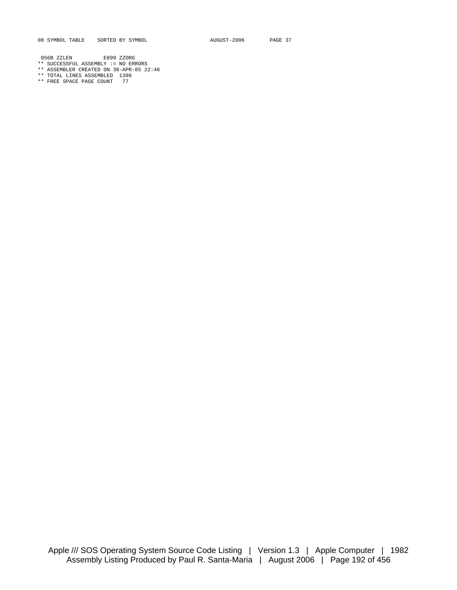08 SYMBOL TABLE SORTED BY SYMBOL **AUGUST-2006** PAGE 37

056B ZZLEN E899 ZZORG

- \*\* SUCCESSFUL ASSEMBLY := NO ERRORS
- \*\* ASSEMBLER CREATED ON 30-APR-85 22:46
- \*\* TOTAL LINES ASSEMBLED 1398 \*\* FREE SPACE PAGE COUNT 77
-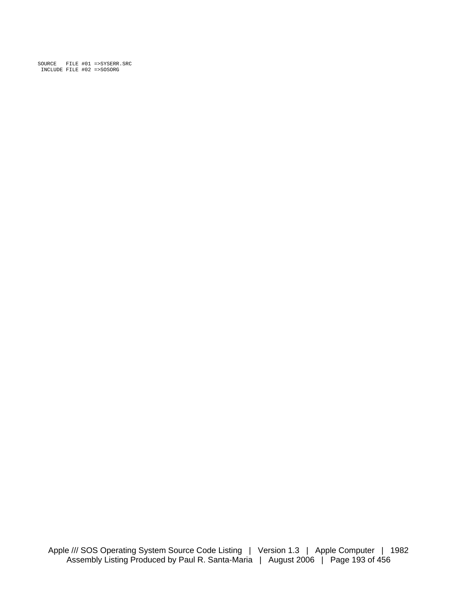SOURCE FILE #01 =>SYSERR.SRC INCLUDE FILE #02 =>SOSORG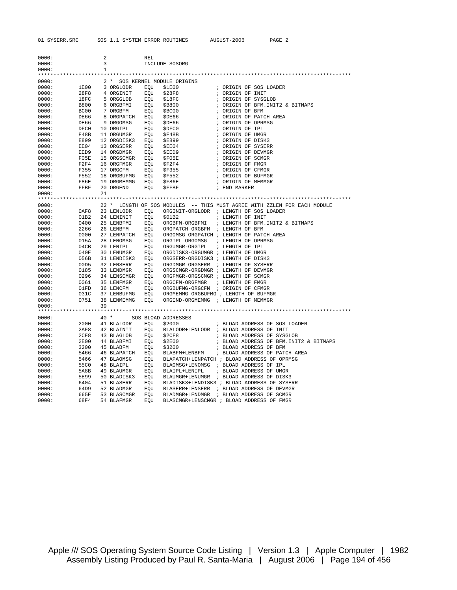| 0000: |              | 2            |                                                                                                                                  | REL |                                                                                                                                                                                                                                                                                                                                                   |              |                                                                                                                                                                                                                                                                                                                                                                                                                |
|-------|--------------|--------------|----------------------------------------------------------------------------------------------------------------------------------|-----|---------------------------------------------------------------------------------------------------------------------------------------------------------------------------------------------------------------------------------------------------------------------------------------------------------------------------------------------------|--------------|----------------------------------------------------------------------------------------------------------------------------------------------------------------------------------------------------------------------------------------------------------------------------------------------------------------------------------------------------------------------------------------------------------------|
| 0000: |              | 3            |                                                                                                                                  |     | INCLUDE SOSORG                                                                                                                                                                                                                                                                                                                                    |              |                                                                                                                                                                                                                                                                                                                                                                                                                |
| 0000: |              | $\mathbf{1}$ |                                                                                                                                  |     |                                                                                                                                                                                                                                                                                                                                                   |              |                                                                                                                                                                                                                                                                                                                                                                                                                |
|       |              |              |                                                                                                                                  |     | 2 * SOS KERNEL MODULE ORIGINS<br>2 * SOS KERNEL MODULE ORIGINS<br>28F8 < 4 ORGINIT EQU \$28F8<br>18FC 5 ORGGLOB EQU \$18FC<br>B800 6 ORGBFMI EQU \$B800<br>BC00 7 ORGBFM EQU \$B800<br>BC00 7 ORGBFM EOU \$B800                                                                                                                                   |              |                                                                                                                                                                                                                                                                                                                                                                                                                |
| 0000: |              |              |                                                                                                                                  |     |                                                                                                                                                                                                                                                                                                                                                   |              |                                                                                                                                                                                                                                                                                                                                                                                                                |
| 0000: |              |              |                                                                                                                                  |     |                                                                                                                                                                                                                                                                                                                                                   |              | ; ORIGIN OF SOS LOADER                                                                                                                                                                                                                                                                                                                                                                                         |
| 0000: |              |              |                                                                                                                                  |     |                                                                                                                                                                                                                                                                                                                                                   |              |                                                                                                                                                                                                                                                                                                                                                                                                                |
| 0000: |              |              |                                                                                                                                  |     |                                                                                                                                                                                                                                                                                                                                                   |              | : ORIGIN OF INIT<br>: ORIGIN OF SYSGLOB                                                                                                                                                                                                                                                                                                                                                                        |
| 0000: |              |              |                                                                                                                                  |     |                                                                                                                                                                                                                                                                                                                                                   |              | ; ORIGIN OF BFM.INIT2 & BITMAPS                                                                                                                                                                                                                                                                                                                                                                                |
| 0000: |              |              |                                                                                                                                  |     |                                                                                                                                                                                                                                                                                                                                                   |              | ; ORIGIN OF BFM                                                                                                                                                                                                                                                                                                                                                                                                |
| 0000: |              |              |                                                                                                                                  |     |                                                                                                                                                                                                                                                                                                                                                   |              | ; ORIGIN OF PATCH AREA                                                                                                                                                                                                                                                                                                                                                                                         |
| 0000: |              |              | 8 ORGPATCH   EQU   \$DE66<br>9 ORGOMSG    EQU   \$DE66<br>DE66 8 ORGPATCI<br>DE66 9 ORGOMSG<br>DFC0 10 ORGIPL<br>E48B 11 ORGUMGR |     |                                                                                                                                                                                                                                                                                                                                                   |              | ; ORIGIN OF OPRMSG                                                                                                                                                                                                                                                                                                                                                                                             |
| 0000: |              |              |                                                                                                                                  |     | EQU \$DFC0                                                                                                                                                                                                                                                                                                                                        |              | ; ORIGIN OF IPL                                                                                                                                                                                                                                                                                                                                                                                                |
| 0000: |              |              | 11 ORGUMGR EQU \$E48B                                                                                                            |     |                                                                                                                                                                                                                                                                                                                                                   |              | ; ORIGIN OF UMGR                                                                                                                                                                                                                                                                                                                                                                                               |
| 0000: |              |              | E899 12 ORGDISK3 EQU \$E899<br>EE04 13 ORGSERR EQU \$EE04<br>EED9 14 ORGDMGR EQU \$EED9                                          |     |                                                                                                                                                                                                                                                                                                                                                   |              | ; ORIGIN OF DISK3                                                                                                                                                                                                                                                                                                                                                                                              |
| 0000: |              |              |                                                                                                                                  |     |                                                                                                                                                                                                                                                                                                                                                   |              | ; ORIGIN OF SYSERR                                                                                                                                                                                                                                                                                                                                                                                             |
| 0000: |              |              |                                                                                                                                  |     |                                                                                                                                                                                                                                                                                                                                                   |              | ; ORIGIN OF DEVMGR                                                                                                                                                                                                                                                                                                                                                                                             |
| 0000: |              |              |                                                                                                                                  |     | FOSE 15 ORGSCMGR EQU \$FOSE<br>F2F4 16 ORGFMGR EQU \$F2F4<br>F355 17 ORGCFM EQU \$F355<br>F552 18 ORGBUFMG EQU \$F552<br>F86E 19 ORGMEMMG EQU \$F86E<br>FFBF 20 ORGEND EQU \$FBF                                                                                                                                                                  |              | ; ORIGIN OF SCMGR                                                                                                                                                                                                                                                                                                                                                                                              |
| 0000: |              |              |                                                                                                                                  |     |                                                                                                                                                                                                                                                                                                                                                   |              | ; ORIGIN OF FMGR                                                                                                                                                                                                                                                                                                                                                                                               |
| 0000: |              |              |                                                                                                                                  |     |                                                                                                                                                                                                                                                                                                                                                   |              | ; ORIGIN OF CFMGR                                                                                                                                                                                                                                                                                                                                                                                              |
| 0000: |              |              |                                                                                                                                  |     |                                                                                                                                                                                                                                                                                                                                                   |              |                                                                                                                                                                                                                                                                                                                                                                                                                |
| 0000: |              |              |                                                                                                                                  |     |                                                                                                                                                                                                                                                                                                                                                   |              | ; ORIGIN OF BUFMGR<br>; ORIGIN OF MEMMGR                                                                                                                                                                                                                                                                                                                                                                       |
| 0000: |              |              |                                                                                                                                  |     |                                                                                                                                                                                                                                                                                                                                                   | ; END MARKER |                                                                                                                                                                                                                                                                                                                                                                                                                |
| 0000: |              | 21           |                                                                                                                                  |     |                                                                                                                                                                                                                                                                                                                                                   |              |                                                                                                                                                                                                                                                                                                                                                                                                                |
|       |              |              |                                                                                                                                  |     |                                                                                                                                                                                                                                                                                                                                                   |              |                                                                                                                                                                                                                                                                                                                                                                                                                |
| 0000: |              |              |                                                                                                                                  |     |                                                                                                                                                                                                                                                                                                                                                   |              | 22 * LENGTH OF SOS MODULES -- THIS MUST AGREE WITH ZZLEN FOR EACH MODULE                                                                                                                                                                                                                                                                                                                                       |
|       |              |              |                                                                                                                                  |     | 0000: 0AF8 23 LENLODR EQU ORGINIT-ORGLODR ; LENGTH OF SOS LOADER                                                                                                                                                                                                                                                                                  |              |                                                                                                                                                                                                                                                                                                                                                                                                                |
| 0000: |              |              |                                                                                                                                  |     |                                                                                                                                                                                                                                                                                                                                                   |              |                                                                                                                                                                                                                                                                                                                                                                                                                |
| 0000: |              |              |                                                                                                                                  |     |                                                                                                                                                                                                                                                                                                                                                   |              | $\begin{tabular}{lllllllllllll} 01\texttt{B2} & 24 \texttt{ LENINIT} & \texttt{EQU} & $01\texttt{B2} & $i$ \texttt{ LENGTH OF INIT} \\ 0400 & 25 \texttt{ LENBFMI} & \texttt{EQU} & \texttt{ORGBFM-ORGBFMI} & $i$ \texttt{LENGTH OF BFM.INIT2 & $BITMAPS} \\ 2266 & 26 \texttt{ LENBFM} & \texttt{EQU} & \texttt{ORGPATCH-ORGBFM} & $i$ \texttt{LENGTH OF BFM} \\ 0000 & 27 \texttt{ LENPATCH} & \texttt{EQU}$ |
| 0000: |              |              |                                                                                                                                  |     |                                                                                                                                                                                                                                                                                                                                                   |              |                                                                                                                                                                                                                                                                                                                                                                                                                |
| 0000: |              |              |                                                                                                                                  |     |                                                                                                                                                                                                                                                                                                                                                   |              |                                                                                                                                                                                                                                                                                                                                                                                                                |
| 0000: |              |              |                                                                                                                                  |     |                                                                                                                                                                                                                                                                                                                                                   |              |                                                                                                                                                                                                                                                                                                                                                                                                                |
| 0000: |              |              |                                                                                                                                  |     |                                                                                                                                                                                                                                                                                                                                                   |              |                                                                                                                                                                                                                                                                                                                                                                                                                |
| 0000: |              |              |                                                                                                                                  |     | 015A 28 LENOMSG EQU ORGIPL-ORGOMSG ; LENGTH OF OPRMSG<br>04CB 29 LENIPL EQU ORGUMGR-ORGIPL ; LENGTH OF IPL<br>040E 30 LENUMGR EQU ORGDISK3-ORGUMGR ; LENGTH OF UMGR<br>040E 30 LENUMGR EQU ORGDISK3-ORGUMGR ; LENGTH OF UMGR<br>056B 31 LENDISK3 EQU ORGSERR-ORGDISK3 ; LENGTH OF DISK3<br>00D5 32 LENSERR EQU ORGDMGR-ORGSERR ; LENGTH OF SYSERR |              |                                                                                                                                                                                                                                                                                                                                                                                                                |
| 0000: |              |              |                                                                                                                                  |     |                                                                                                                                                                                                                                                                                                                                                   |              |                                                                                                                                                                                                                                                                                                                                                                                                                |
| 0000: |              |              |                                                                                                                                  |     |                                                                                                                                                                                                                                                                                                                                                   |              |                                                                                                                                                                                                                                                                                                                                                                                                                |
| 0000: |              |              |                                                                                                                                  |     | 0185 33 LENDMGR EQU ORGSCMGR-ORGDMGR ; LENGTH OF DEVMGR<br>0296 34 LENSCMGR EQU ORGFMGR-ORGSCMGR ; LENGTH OF SCMGR                                                                                                                                                                                                                                |              |                                                                                                                                                                                                                                                                                                                                                                                                                |
| 0000: |              |              |                                                                                                                                  |     |                                                                                                                                                                                                                                                                                                                                                   |              |                                                                                                                                                                                                                                                                                                                                                                                                                |
| 0000: |              |              |                                                                                                                                  |     | 0061 35 LENFMGR EQU ORGCFM-ORGFMGR ; LENGTH OF FMGR<br>01FD 36 LENCFM EQU ORGBUFMG-ORGCFM ; ORIGIN OF CFMGR                                                                                                                                                                                                                                       |              |                                                                                                                                                                                                                                                                                                                                                                                                                |
| 0000: |              |              |                                                                                                                                  |     |                                                                                                                                                                                                                                                                                                                                                   |              |                                                                                                                                                                                                                                                                                                                                                                                                                |
| 0000: | 031C<br>0751 |              |                                                                                                                                  |     | 37 LENBUFMG EOU ORGMEMMG-ORGBUFMG ; LENGTH OF BUFMGR                                                                                                                                                                                                                                                                                              |              |                                                                                                                                                                                                                                                                                                                                                                                                                |
| 0000: |              |              | 38 LENMEMMG EOU                                                                                                                  |     | ORGEND-ORGMEMMG ; LENGTH OF MEMMGR                                                                                                                                                                                                                                                                                                                |              |                                                                                                                                                                                                                                                                                                                                                                                                                |
| 0000: |              | 39           |                                                                                                                                  |     |                                                                                                                                                                                                                                                                                                                                                   |              |                                                                                                                                                                                                                                                                                                                                                                                                                |
|       |              |              |                                                                                                                                  |     |                                                                                                                                                                                                                                                                                                                                                   |              |                                                                                                                                                                                                                                                                                                                                                                                                                |
| 0000: |              |              | 40 * SOS BLOAD ADDRESSES                                                                                                         |     |                                                                                                                                                                                                                                                                                                                                                   |              |                                                                                                                                                                                                                                                                                                                                                                                                                |
| 0000: |              |              |                                                                                                                                  |     | 2000 41 BLALODR EQU \$2000                                                                                                                                                                                                                                                                                                                        |              | ; BLOAD ADDRESS OF SOS LOADER                                                                                                                                                                                                                                                                                                                                                                                  |
| 0000: |              |              |                                                                                                                                  |     |                                                                                                                                                                                                                                                                                                                                                   |              |                                                                                                                                                                                                                                                                                                                                                                                                                |
| 0000: |              |              |                                                                                                                                  |     |                                                                                                                                                                                                                                                                                                                                                   |              |                                                                                                                                                                                                                                                                                                                                                                                                                |
| 0000: |              |              |                                                                                                                                  |     |                                                                                                                                                                                                                                                                                                                                                   |              | ; BLOAD ADDRESS OF BFM. INIT2 & BITMAPS                                                                                                                                                                                                                                                                                                                                                                        |
| 0000: |              |              |                                                                                                                                  |     |                                                                                                                                                                                                                                                                                                                                                   |              |                                                                                                                                                                                                                                                                                                                                                                                                                |
| 0000: |              |              |                                                                                                                                  |     |                                                                                                                                                                                                                                                                                                                                                   |              |                                                                                                                                                                                                                                                                                                                                                                                                                |
| 0000: |              |              |                                                                                                                                  |     | EQU BLAPATCH+LENPATCH ; BLOAD ADDRESS OF OPRMSG                                                                                                                                                                                                                                                                                                   |              |                                                                                                                                                                                                                                                                                                                                                                                                                |
| 0000: |              |              |                                                                                                                                  |     | 5466 47 BLAOMSG EQU BLAPATCH+LENPATC<br>55C0 48 BLAIPL EQU BLAOMSG+LENOMSG<br>5A8B 49 BLAUMGR EQU BLAIPLE-LENIPL<br>EQU BLAOMSG+LENOMSG ; BLOAD ADDRESS OF IPL                                                                                                                                                                                    |              |                                                                                                                                                                                                                                                                                                                                                                                                                |
| 0000: |              |              |                                                                                                                                  |     |                                                                                                                                                                                                                                                                                                                                                   |              | ; BLOAD ADDRESS OF UMGR                                                                                                                                                                                                                                                                                                                                                                                        |
| 0000: |              |              |                                                                                                                                  |     | 5E99 50 BLADISK3 EQU BLAUMGR+LENUMGR ; BLOAD ADDRESS OF DISK3<br>6404 51 BLASERR EQU BLADISK3+LENDISK3 ; BLOAD ADDRESS OF SYSE                                                                                                                                                                                                                    |              |                                                                                                                                                                                                                                                                                                                                                                                                                |
| 0000: |              |              |                                                                                                                                  |     | EQU BLADISK3+LENDISK3 ; BLOAD ADDRESS OF SYSERR                                                                                                                                                                                                                                                                                                   |              |                                                                                                                                                                                                                                                                                                                                                                                                                |
| 0000: |              |              | 64D9 52 BLADMGR                                                                                                                  |     | EQU BLASERR+LENSERR ; BLOAD ADDRESS OF DEVMGR                                                                                                                                                                                                                                                                                                     |              |                                                                                                                                                                                                                                                                                                                                                                                                                |
| 0000: |              |              | 665E 53 BLASCMGR                                                                                                                 |     | EQU BLADMGR+LENDMGR ; BLOAD ADDRESS OF SCMGR                                                                                                                                                                                                                                                                                                      |              |                                                                                                                                                                                                                                                                                                                                                                                                                |
| 0000: | 68F4         |              | 54 BLAFMGR                                                                                                                       | EOU | BLASCMGR+LENSCMGR ; BLOAD ADDRESS OF FMGR                                                                                                                                                                                                                                                                                                         |              |                                                                                                                                                                                                                                                                                                                                                                                                                |
|       |              |              |                                                                                                                                  |     |                                                                                                                                                                                                                                                                                                                                                   |              |                                                                                                                                                                                                                                                                                                                                                                                                                |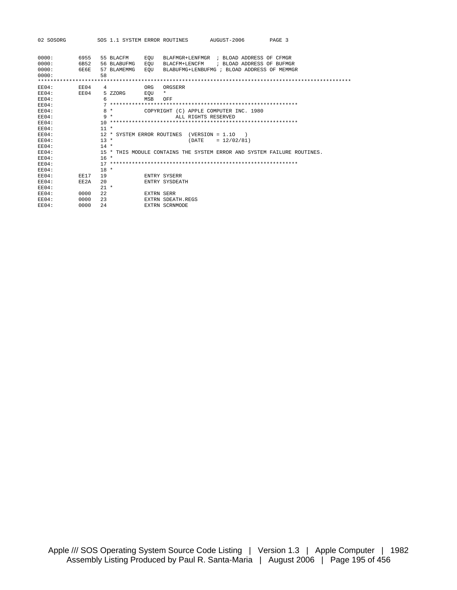| 02 SOSORG  |             |        |             |            | SOS 1.1 SYSTEM ERROR ROUTINES AUGUST-2006     |                                                                         | PAGE 3 |
|------------|-------------|--------|-------------|------------|-----------------------------------------------|-------------------------------------------------------------------------|--------|
|            |             |        |             |            |                                               |                                                                         |        |
| 0000:      | 6955        |        | 55 BLACFM   | EOU        |                                               | BLAFMGR+LENFMGR ; BLOAD ADDRESS OF CFMGR                                |        |
| 0000:      | 6B52        |        | 56 BLABUFMG | EOU        |                                               | BLACFM+LENCFM ; BLOAD ADDRESS OF BUFMGR                                 |        |
| 0000:      | 6E6E        |        | 57 BLAMEMMG | EOU        |                                               | BLABUFMG+LENBUFMG ; BLOAD ADDRESS OF MEMMGR                             |        |
| 0000:      |             | 58     |             |            |                                               |                                                                         |        |
|            |             |        |             |            |                                               |                                                                         |        |
| EE04:      | E E 04      | 4      |             | ORG        | ORGSERR                                       |                                                                         |        |
| ER04:      | EEO4        |        | 5 ZZORG     | EOU        | $\star$                                       |                                                                         |        |
| EE04:      |             | 6      |             | <b>MSB</b> | OFF                                           |                                                                         |        |
| $E E 04$ : |             |        |             |            |                                               |                                                                         |        |
| EE04:      |             |        | $8*$        |            |                                               | COPYRIGHT (C) APPLE COMPUTER INC. 1980                                  |        |
| ER04:      |             |        | $9 *$       |            | ALL RIGHTS RESERVED                           |                                                                         |        |
| EE04:      |             |        |             |            |                                               |                                                                         |        |
| $EEO4$ :   |             | $11 *$ |             |            |                                               |                                                                         |        |
| $ER04$ :   |             |        |             |            | $12 *$ SYSTEM ERROR ROUTINES (VERSION = 1.10) |                                                                         |        |
| EE04:      |             | $13 *$ |             |            |                                               | $(DATE = 12/02/81)$                                                     |        |
| $E E 04$ : |             | $14 *$ |             |            |                                               |                                                                         |        |
| ER04:      |             |        |             |            |                                               | 15 * THIS MODULE CONTAINS THE SYSTEM ERROR AND SYSTEM FAILURE ROUTINES. |        |
| $EEO4$ :   |             | $16*$  |             |            |                                               |                                                                         |        |
| EE04:      |             |        |             |            |                                               |                                                                         |        |
| $ER04$ :   |             | $18 *$ |             |            |                                               |                                                                         |        |
| ER04:      | <b>EE17</b> | 19     |             |            | ENTRY SYSERR                                  |                                                                         |        |
| $EEO4$ :   | EE2A        | 20     |             |            | ENTRY SYSDEATH                                |                                                                         |        |
| EE04:      |             | $21 *$ |             |            |                                               |                                                                         |        |
| EE04:      | 0000        | 2.2.   |             | EXTRN SERR |                                               |                                                                         |        |
| $EEO4$ :   | 0000        | 23     |             |            | EXTRN SDEATH REGS                             |                                                                         |        |
| $EEO4$ :   | 0000        | 2.4    |             |            | EXTRN SCRNMODE                                |                                                                         |        |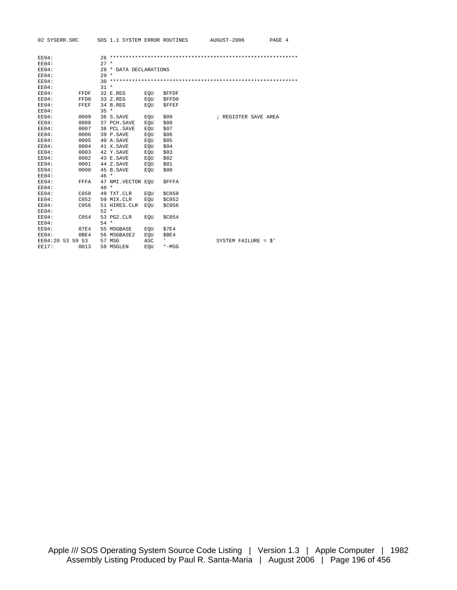02 SYSERR.SRC SOS 1.1 SYSTEM ERROR ROUTINES AUGUST-2006 PAGE 4

| EE04:            |      |        |                        |     |              |                              |  |
|------------------|------|--------|------------------------|-----|--------------|------------------------------|--|
| EE04:            |      | $27 *$ |                        |     |              |                              |  |
| EE04:            |      |        | 28 * DATA DECLARATIONS |     |              |                              |  |
| $E E 04$ :       |      | $29 *$ |                        |     |              |                              |  |
| EE04:            |      |        |                        |     |              |                              |  |
| EE04:            |      | $31 *$ |                        |     |              |                              |  |
| EE04:            | FFDF |        | 32 E.REG               | EOU | <b>SFFDF</b> |                              |  |
| EE04:            | FFD0 |        | 33 Z.REG               | EOU | \$FFD0       |                              |  |
| EE04:            | FFEF |        | 34 B.REG               | EOU | <b>SFFEF</b> |                              |  |
| EE04:            |      | $35 *$ |                        |     |              |                              |  |
| $ER04$ :         | 0009 |        | 36 S.SAVE              | EOU | \$09         | ; REGISTER SAVE AREA         |  |
| EE04:            | 0008 |        | 37 PCH. SAVE           | EOU | \$08         |                              |  |
| EE04:            | 0007 |        | 38 PCL.SAVE            | EOU | \$07         |                              |  |
| EE04:            | 0006 |        | 39 P.SAVE              | EOU | \$06         |                              |  |
| EE04:            | 0005 |        | 40 A.SAVE              | EOU | \$05         |                              |  |
| EE04:            | 0004 |        | 41 X.SAVE              | EOU | \$04         |                              |  |
| EE04:            | 0003 |        | 42 Y.SAVE              | EOU | \$03         |                              |  |
| EE04:            | 0002 |        | 43 E.SAVE              | EOU | \$02         |                              |  |
| EE04:            | 0001 |        | 44 Z.SAVE              | EOU | \$01         |                              |  |
| EE04:            | 0000 |        | 45 B.SAVE              | EOU | \$00         |                              |  |
| EE04:            |      | $46*$  |                        |     |              |                              |  |
| EE04:            | FFFA |        | 47 NMI.VECTOR EOU      |     | <b>SFFFA</b> |                              |  |
| EE04:            |      | $48 *$ |                        |     |              |                              |  |
| EE04:            | C050 |        | 49 TXT.CLR             | EQU | \$C050       |                              |  |
| EE04:            | C052 |        | 50 MIX.CLR             | EOU | <b>SC052</b> |                              |  |
| EE04:            | C056 |        | 51 HIRES.CLR           | EOU | \$C056       |                              |  |
| EE04:            |      | $52 *$ |                        |     |              |                              |  |
| EE04:            | C054 |        | 53 PG2. CLR            | EOU | \$C054       |                              |  |
| EE04:            |      | $54 *$ |                        |     |              |                              |  |
| EE04:            | 07E4 |        | 55 MSGBASE             | EOU | \$7E4        |                              |  |
| EE04:            | 0BE4 |        | 56 MSGBASE2            | EQU | SBE4         |                              |  |
| EE04:20 53 59 53 |      |        | 57 MSG                 | ASC | т.           | SYSTEM FAILURE = $\hat{S}$ ' |  |
| <b>EE17:</b>     | 0013 |        | 58 MSGLEN              | EOU | $*$ -MSG     |                              |  |
|                  |      |        |                        |     |              |                              |  |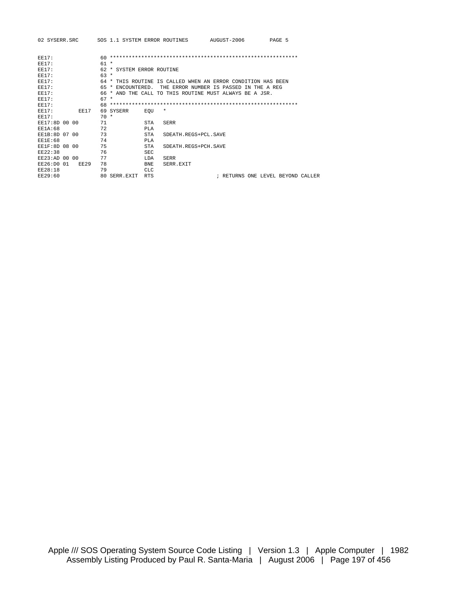| 02 SYSERR.SRC  |             |        | SOS 1.1 SYSTEM ERROR ROUTINES |             |                                                              | AUGUST-2006 |                                   | PAGE 5 |  |
|----------------|-------------|--------|-------------------------------|-------------|--------------------------------------------------------------|-------------|-----------------------------------|--------|--|
| <b>EE17:</b>   |             | 60.    |                               |             |                                                              |             |                                   |        |  |
| <b>EE17:</b>   |             | $61 *$ |                               |             |                                                              |             |                                   |        |  |
| <b>EE17:</b>   |             |        |                               |             |                                                              |             |                                   |        |  |
|                |             |        | 62 * SYSTEM ERROR ROUTINE     |             |                                                              |             |                                   |        |  |
| <b>EE17:</b>   |             | $63 *$ |                               |             |                                                              |             |                                   |        |  |
| EE17:          |             |        |                               |             | 64 * THIS ROUTINE IS CALLED WHEN AN ERROR CONDITION HAS BEEN |             |                                   |        |  |
| <b>EE17:</b>   |             |        | 65 * ENCOUNTERED.             |             | THE ERROR NUMBER IS PASSED IN THE A REG                      |             |                                   |        |  |
| <b>EE17:</b>   |             |        |                               |             | 66 * AND THE CALL TO THIS ROUTINE MUST ALWAYS BE A JSR.      |             |                                   |        |  |
| <b>EE17:</b>   |             | $67 *$ |                               |             |                                                              |             |                                   |        |  |
| <b>EE17:</b>   |             |        |                               |             |                                                              |             |                                   |        |  |
| EE17:          | EE17        |        | 69 SYSERR                     | EOU         | $\star$                                                      |             |                                   |        |  |
| <b>EE17:</b>   |             | $70 *$ |                               |             |                                                              |             |                                   |        |  |
| EE17:8D 00 00  |             | 71     |                               | STA         | <b>SERR</b>                                                  |             |                                   |        |  |
| <b>EE1A:68</b> |             | 72     |                               | PLA         |                                                              |             |                                   |        |  |
| EE1B:8D 07 00  |             | 73     |                               | <b>STA</b>  | SDEATH.REGS+PCL.SAVE                                         |             |                                   |        |  |
| <b>EE1E:68</b> |             | 74     |                               | PLA         |                                                              |             |                                   |        |  |
| EE1F:8D 08 00  |             | 75     |                               | <b>STA</b>  | SDEATH.REGS+PCH.SAVE                                         |             |                                   |        |  |
| EE22:38        |             | 76     |                               | SEC.        |                                                              |             |                                   |        |  |
| EE23:AD 00 00  |             | 77     |                               | <b>T.DA</b> | <b>SERR</b>                                                  |             |                                   |        |  |
| EE26:DO 01     | <b>EE29</b> | 78     |                               | <b>BNE</b>  | SERR EXTT                                                    |             |                                   |        |  |
| <b>EE28:18</b> |             | 79     |                               | <b>CLC</b>  |                                                              |             |                                   |        |  |
| EE29:60        |             |        | 80 SERR.EXIT                  | <b>RTS</b>  |                                                              |             | ; RETURNS ONE LEVEL BEYOND CALLER |        |  |
|                |             |        |                               |             |                                                              |             |                                   |        |  |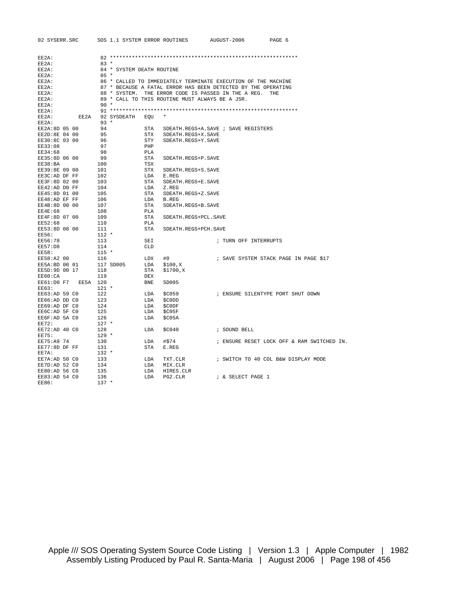| 02 SYSERR.SRC       |                                     | SOS 1.1 SYSTEM ERROR ROUTINES                                 | AUGUST-2006                         | PAGE 6                                     |
|---------------------|-------------------------------------|---------------------------------------------------------------|-------------------------------------|--------------------------------------------|
|                     |                                     |                                                               |                                     |                                            |
| EE2A:               |                                     |                                                               |                                     |                                            |
| EE2A:<br>EE2A:      | $83 *$<br>84 * SYSTEM DEATH ROUTINE |                                                               |                                     |                                            |
| EE2A:               | $85 *$                              |                                                               |                                     |                                            |
| EE2A:               |                                     | 86 * CALLED TO IMMEDIATELY TERMINATE EXECUTION OF THE MACHINE |                                     |                                            |
| EE2A:               |                                     | 87 * BECAUSE A FATAL ERROR HAS BEEN DETECTED BY THE OPERATING |                                     |                                            |
| EE2A:               |                                     | 88 * SYSTEM. THE ERROR CODE IS PASSED IN THE A REG.           |                                     | <b>THE</b>                                 |
| EE2A:               |                                     | 89 * CALL TO THIS ROUTINE MUST ALWAYS BE A JSR.               |                                     |                                            |
| EE2A:               | $90*$                               |                                                               |                                     |                                            |
| EE2A:               |                                     |                                                               |                                     |                                            |
| EE2A:               | EE2A 92 SYSDEATH                    | $\star$<br>EQU                                                |                                     |                                            |
| EE2A:               | $93 *$                              |                                                               |                                     |                                            |
| EE2A:8D 05 00       | 94                                  | STA                                                           | SDEATH.REGS+A.SAVE ; SAVE REGISTERS |                                            |
| EE2D:8E 04 00       | 95                                  | STX<br>SDEATH.REGS+X.SAVE                                     |                                     |                                            |
| EE30:8C 03 00       | 96                                  | STY<br>SDEATH.REGS+Y.SAVE                                     |                                     |                                            |
| EE33:08             | 97                                  | PHP                                                           |                                     |                                            |
| EE34:68             | 98                                  | PLA                                                           |                                     |                                            |
| EE35:8D 06 00       | 99                                  | STA<br>SDEATH.REGS+P.SAVE                                     |                                     |                                            |
| EE38:BA             | 100                                 | TSX                                                           |                                     |                                            |
| EE39:8E 09 00       | 101                                 | STX<br>SDEATH.REGS+S.SAVE                                     |                                     |                                            |
| EE3C:AD DF FF       | 102                                 | LDA<br>E.REG                                                  |                                     |                                            |
| EE3F:8D 02 00       | 103                                 | STA<br>SDEATH.REGS+E.SAVE                                     |                                     |                                            |
| EE42:AD DO FF       | 104                                 | LDA<br>Z.REG                                                  |                                     |                                            |
| EE45:8D 01 00       | 105                                 | STA<br>SDEATH.REGS+Z.SAVE                                     |                                     |                                            |
| EE48:AD EF FF       | 106                                 | LDA<br>B.REG                                                  |                                     |                                            |
| EE4B:8D 00 00       | 107                                 | STA<br>SDEATH.REGS+B.SAVE                                     |                                     |                                            |
| EE4E:68             | 108                                 | PLA                                                           |                                     |                                            |
| EE4F:8D 07 00       | 109                                 | STA<br>SDEATH.REGS+PCL.SAVE                                   |                                     |                                            |
| EE52:68             | 110                                 | PLA                                                           |                                     |                                            |
| EE53:8D 08 00       | 111                                 | STA<br>SDEATH. REGS+PCH. SAVE                                 |                                     |                                            |
| EE56:               | $112 *$                             |                                                               |                                     |                                            |
| EE56:78             | 113                                 | SEI                                                           | ; TURN OFF INTERRUPTS               |                                            |
| EE57:D8             | 114                                 | CLD                                                           |                                     |                                            |
| EE58:               | $115 *$                             |                                                               |                                     |                                            |
| EE58:A2 00          | 116                                 | LDX<br>#0                                                     |                                     | ; SAVE SYSTEM STACK PAGE IN PAGE \$17      |
| EE5A:BD 00 01       | 117 SD005                           | LDA<br>\$100,X                                                |                                     |                                            |
| EE5D:9D 00 17       | 118                                 | STA<br>\$1700,X                                               |                                     |                                            |
| EE60:CA             | 119                                 | DEX                                                           |                                     |                                            |
| EE61:D0 F7 EE5A 120 |                                     | BNE<br>SD005                                                  |                                     |                                            |
| EE63:               | $121 *$                             |                                                               |                                     |                                            |
| EE63:AD 59 CO       | 122                                 | LDA<br>\$C059                                                 |                                     | ; ENSURE SILENTYPE PORT SHUT DOWN          |
| EE66:AD DD CO       | 123                                 | LDA<br>\$C0DD                                                 |                                     |                                            |
| EE69:AD DF CO       | 124                                 | LDA<br>\$C0DF                                                 |                                     |                                            |
| EE6C:AD 5F CO       | 125                                 | LDA<br>\$C05F                                                 |                                     |                                            |
| EE6F:AD 5A CO       | 126                                 | LDA<br>\$CO5A                                                 |                                     |                                            |
| EE72:               | $127$ *                             |                                                               |                                     |                                            |
| EE72:AD 40 C0       | 128                                 | LDA<br>\$C040                                                 | ; SOUND BELL                        |                                            |
| EE75:               | $129 *$                             |                                                               |                                     |                                            |
| EE75:A9 74          | 130                                 | LDA<br>#\$74                                                  |                                     | ; ENSURE RESET LOCK OFF & RAM SWITCHED IN. |
| EE77:8D DF FF       | 131                                 | STA<br>E.REG                                                  |                                     |                                            |
| EE7A:               | $132 *$                             |                                                               |                                     |                                            |
| EE7A:AD 50 CO       | 133                                 | LDA<br>TXT.CLR                                                |                                     | ; SWITCH TO 40 COL B&W DISPLAY MODE        |
| EE7D:AD 52 CO       | 134                                 | LDA<br>MIX.CLR                                                |                                     |                                            |
| EE80:AD 56 C0       | 135                                 | LDA<br>HIRES.CLR                                              |                                     |                                            |
| EE83:AD 54 CO       | 136                                 | LDA<br>PG2.CLR                                                | ; & SELECT PAGE 1                   |                                            |
| EE86:               | $137 *$                             |                                                               |                                     |                                            |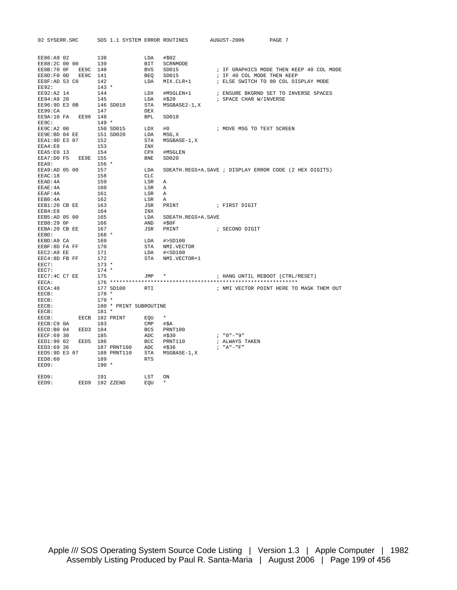| 02 SYSERR.SRC               |                |           |             |                        |                   | SOS 1.1 SYSTEM ERROR ROUTINES | AUGUST-2006                      | PAGE 7                                                 |
|-----------------------------|----------------|-----------|-------------|------------------------|-------------------|-------------------------------|----------------------------------|--------------------------------------------------------|
|                             |                |           |             |                        |                   |                               |                                  |                                                        |
|                             |                |           |             |                        |                   |                               |                                  |                                                        |
| EE86:A9 02<br>EE88:2C 00 00 |                | 138       |             |                        | LDA               | #\$02                         |                                  |                                                        |
|                             |                | 139       |             |                        | BIT               | SCRNMODE                      |                                  |                                                        |
| EE8B:70 OF                  | EE9C 140       |           |             |                        | <b>BVS</b>        | SD015                         |                                  | ; IF GRAPHICS MODE THEN KEEP 40 COL MODE               |
| EE8D:F0 OD<br>EE8F:AD 53 CO | EE9C 141       | 142       |             |                        | <b>BEO</b><br>LDA | SD015<br>MIX.CLR+1            | ; IF 40 COL MODE THEN KEEP       | ; ELSE SWITCH TO 80 COL DISPLAY MODE                   |
| EE92:                       |                | $143 *$   |             |                        |                   |                               |                                  |                                                        |
| EE92:A2 14                  |                | 144       |             |                        | LDX               | #MSGLEN+1                     |                                  | ; ENSURE BKGRND SET TO INVERSE SPACES                  |
| EE94:A9 20                  |                | 145       |             |                        | LDA               | #\$20                         | ; SPACE CHAR W/INVERSE           |                                                        |
| EE96:9D E3 0B               |                |           | 146 SD010   |                        | STA               | MSGBASE2-1, X                 |                                  |                                                        |
| EE99:CA                     |                | 147       |             |                        | DEX               |                               |                                  |                                                        |
| EE9A:10 FA EE96 148         |                |           |             |                        | <b>BPL</b>        | SD010                         |                                  |                                                        |
| EE9C:                       |                | $149 *$   |             |                        |                   |                               |                                  |                                                        |
| EE9C:A2 00                  |                |           | 150 SD015   |                        | LDX               | #0                            | ; MOVE MSG TO TEXT SCREEN        |                                                        |
| EE9E:BD 04 EE               |                | 151 SD020 |             |                        | LDA               | MSG, X                        |                                  |                                                        |
| EEA1:9D E3 07               |                | 152       |             |                        | STA               | MSGBASE-1, X                  |                                  |                                                        |
| EEA4:E8                     |                | 153       |             |                        | INX               |                               |                                  |                                                        |
| EEA5:E0 13                  |                | 154       |             |                        | CPX               | #MSGLEN                       |                                  |                                                        |
| EEA7:D0 F5                  | EE9E 155       |           |             |                        | <b>BNE</b>        | SD020                         |                                  |                                                        |
| EEA9:                       |                | $156 *$   |             |                        |                   |                               |                                  |                                                        |
| EEA9:AD 05 00               |                | 157       |             |                        | LDA               |                               |                                  | SDEATH.REGS+A.SAVE ; DISPLAY ERROR CODE (2 HEX DIGITS) |
| EEAC: 18                    |                | 158       |             |                        | CLC               |                               |                                  |                                                        |
| EEAD: 4A                    |                | 159       |             |                        | LSR               | Α                             |                                  |                                                        |
| EEAE: 4A                    |                | 160       |             |                        | LSR               | Α                             |                                  |                                                        |
| EEAF: 4A                    |                | 161       |             |                        | LSR               | Α                             |                                  |                                                        |
| EEB0:4A                     |                | 162       |             |                        | LSR               | Α                             |                                  |                                                        |
| EEB1:20 CB EE               |                | 163       |             |                        | JSR               | PRINT                         | ; FIRST DIGIT                    |                                                        |
| EEB4:E8                     |                | 164       |             |                        | INX               |                               |                                  |                                                        |
| EEB5:AD 05 00               |                | 165       |             |                        | LDA               | SDEATH.REGS+A.SAVE            |                                  |                                                        |
| EEB8:29 OF                  |                | 166       |             |                        | AND               | #50F                          |                                  |                                                        |
| EEBA: 20 CB EE              |                | 167       |             |                        | JSR               | PRINT                         | ; SECOND DIGIT                   |                                                        |
| EEBD:                       |                | $168 *$   |             |                        |                   |                               |                                  |                                                        |
| EEBD:A9 CA                  |                | 169       |             |                        | LDA               | #>SD100                       |                                  |                                                        |
| EEBF:8D FA FF               |                | 170       |             |                        | STA               | NMI.VECTOR                    |                                  |                                                        |
| EEC2:A9 EE                  |                | 171       |             |                        | LDA               | $#<$ SD $100$                 |                                  |                                                        |
| EEC4:8D FB FF               |                | 172       |             |                        | STA               | NMI.VECTOR+1                  |                                  |                                                        |
| EEC7:                       |                | $173 *$   |             |                        |                   |                               |                                  |                                                        |
| EEC7:                       |                | $174 *$   |             |                        |                   |                               |                                  |                                                        |
| EEC7:4C C7 EE               |                | 175       |             |                        | JMP               | $\star$                       | ; HANG UNTIL REBOOT (CTRL/RESET) |                                                        |
| EECA:                       |                |           |             |                        |                   |                               |                                  |                                                        |
| EECA: 40                    |                |           |             | 177 SD100              | RTI               |                               |                                  | ; NMI VECTOR POINT HERE TO MASK THEM OUT               |
| EECB:                       |                | $178 *$   |             |                        |                   |                               |                                  |                                                        |
| EECB:                       |                | $179 *$   |             |                        |                   |                               |                                  |                                                        |
| EECB:                       |                |           |             | 180 * PRINT SUBROUTINE |                   |                               |                                  |                                                        |
| $EECB$ :<br>EECB:           | EECB 182 PRINT | $181 *$   |             |                        |                   | $\star$                       |                                  |                                                        |
|                             |                |           |             |                        | EQU               |                               |                                  |                                                        |
| EECB:C9 0A<br>EECD:B0 04    | EED3 184       | 183       |             |                        | CMP<br>BCS        | #\$A<br>PRNT100               |                                  |                                                        |
| EECF: 69 30                 |                | 185       |             |                        | ADC               | #\$30                         | $: "0" - "9"$                    |                                                        |
| EED1:90 02                  | EED5 186       |           |             |                        | BCC               | PRNT110                       | ; ALWAYS TAKEN                   |                                                        |
| EED3:69 36                  |                |           |             | 187 PRNT100            | ADC               | #\$36                         | $I''A'' - "F''$                  |                                                        |
| EED5:9D E3 07               |                |           | 188 PRNT110 |                        | STA               | MSGBASE-1, X                  |                                  |                                                        |
| EED8:60                     |                | 189       |             |                        | <b>RTS</b>        |                               |                                  |                                                        |
| EED9:                       |                | $190 *$   |             |                        |                   |                               |                                  |                                                        |
|                             |                |           |             |                        |                   |                               |                                  |                                                        |
| EED9:                       |                | 191       |             |                        | LST               | ON                            |                                  |                                                        |
| EED9:                       | EED9           |           | 192 ZZEND   |                        | EOU               | $\star$                       |                                  |                                                        |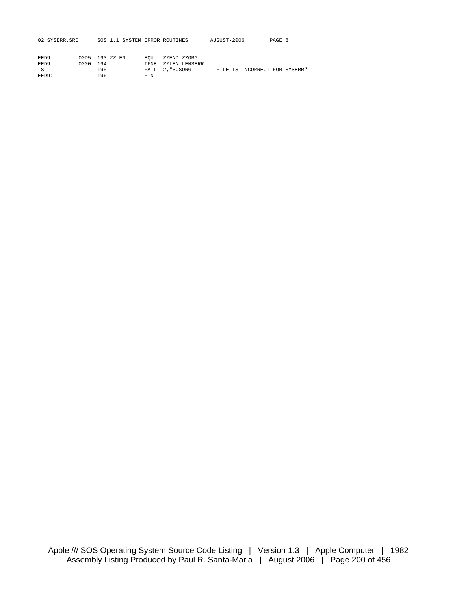| 02 SYSERR.SRC |                |     |  |             | SOS 1.1 SYSTEM ERROR ROUTINES | AUGUST-2006 | PAGE 8 |  |
|---------------|----------------|-----|--|-------------|-------------------------------|-------------|--------|--|
| EED9:         | 00D5 193 ZZLEN |     |  | <b>EOU</b>  | ZZEND-ZZORG                   |             |        |  |
| EED9:         | 0000           | 194 |  | <b>TFNE</b> | ZZLEN-LENSERR                 |             |        |  |

| エエレン・ | $1.11111 - 1.77$ |     | IFNE AALENTLENSERR |  |                               |  |
|-------|------------------|-----|--------------------|--|-------------------------------|--|
|       |                  |     | FAIL 2, "SOSORG    |  | FILE IS INCORRECT FOR SYSERR" |  |
| EED9: |                  | FTN |                    |  |                               |  |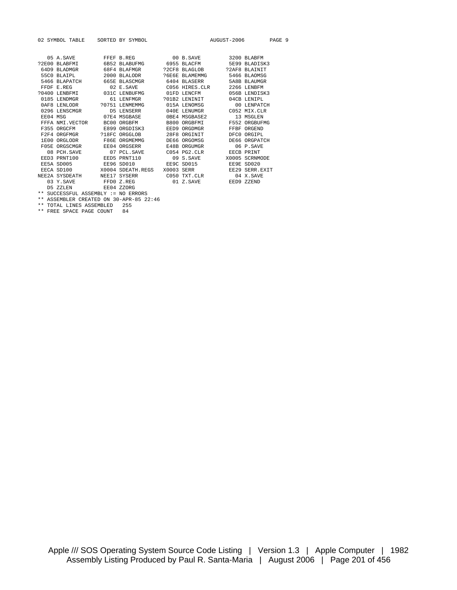|          | 02 SYMBOL TABLE |            | SORTED BY SYMBOL  |            |                   | AUGUST-2006 |                | PAGE 9 |  |
|----------|-----------------|------------|-------------------|------------|-------------------|-------------|----------------|--------|--|
|          |                 |            |                   |            |                   |             |                |        |  |
|          | 05 A.SAVE       |            | FFEF B.REG        |            | $00 B$ . SAVE     |             | 3200 BLABFM    |        |  |
|          | ?2E00 BLABFMI   |            | 6B52 BLABUFMG     |            | 6955 BLACFM       |             | 5E99 BLADISK3  |        |  |
|          | 64D9 BLADMGR    |            | 68F4 BLAFMGR      |            | ?2CF8 BLAGLOB     |             | ?2AF8 BLAINIT  |        |  |
|          | 55CO BLAIPL     |            | $2000$ BLALODR    |            | P6E6E BLAMEMMG    |             | 5466 BLAOMSG   |        |  |
|          | 5466 BLAPATCH   |            | 665E BLASCMGR     |            | 6404 BLASERR      |             | 5A8B BLAUMGR   |        |  |
|          | FFDF E.REG      |            | 02 E.SAVE         |            | C056 HIRES.CLR    |             | 2266 LENBEM    |        |  |
|          | 20400 LENBEMI   |            | 031C LENBUEMG     |            | 01FD LENCEM       |             | 056B LENDISK3  |        |  |
|          | 0185 LENDMGR    |            | 61 LENFMGR        |            | 201B2 LENINIT     |             | 04CB LENTPL    |        |  |
|          | 0AF8 LENLODR    |            | 20751 LENMEMMG    |            | 015A LENOMSG      |             | 00 LENPATCH    |        |  |
|          | 0296 LENSCMGR   |            | D5 LENSERR        |            | 040E LENUMGR      |             | C052 MIX.CLR   |        |  |
| EE04 MSG |                 |            | 07E4 MSGBASE      |            | OBE4 MSGBASE2     |             | 13 MSGLEN      |        |  |
|          | FFFA NMI VECTOR |            | BC00 ORGBFM       |            | B800 ORGBFMI      |             | F552 ORGBUFMG  |        |  |
|          | F355 ORGCFM     |            | E899 ORGDISK3     |            | EED9 ORGDMGR      |             | FFBF ORGEND    |        |  |
|          | F2F4 ORGFMGR    |            | ?18FC ORGGLOB     |            | 28F8 ORGINIT      |             | DFCO ORGIPL    |        |  |
|          | 1E00 ORGLODR    |            | F86E ORGMEMMG     |            | DE66 ORGOMSG      |             | DE66 ORGPATCH  |        |  |
|          | F05E ORGSCMGR   |            | EE04 ORGSERR      |            | E48B ORGUMGR      |             | 06 P.SAVE      |        |  |
|          | 08 PCH. SAVE    |            | 07 PCL SAVE       |            | $C054$ PG2. $CLR$ |             | EECB PRINT     |        |  |
|          | EED3 PRNT100    |            | EED5 PRNT110      |            | 09 S.SAVE         |             | X0005 SCRNMODE |        |  |
|          | EE5A SD005      | EE96 SD010 |                   |            | EE9C SD015        |             | EE9E SD020     |        |  |
|          | EECA SD100      |            | X0004 SDEATH REGS | X0003 SERR |                   |             | EE29 SERR EXIT |        |  |
|          | NEE2A SYSDEATH  |            | NEE17 SYSERR      |            | C050 TXT.CLR      |             | 04 X.SAVE      |        |  |
|          | 03 Y.SAVE       |            | FFD0 Z.REG        |            | 01 Z.SAVE         |             | EED9 ZZEND     |        |  |
|          | <b>D5 ZZLEN</b> |            | EE04 ZZORG        |            |                   |             |                |        |  |

\*\* SUCCESSFUL ASSEMBLY := NO ERRORS

\*\* ASSEMBLER CREATED ON 30-APR-85 22:46 \*\* TOTAL LINES ASSEMBLED 255

\*\* FREE SPACE PAGE COUNT 84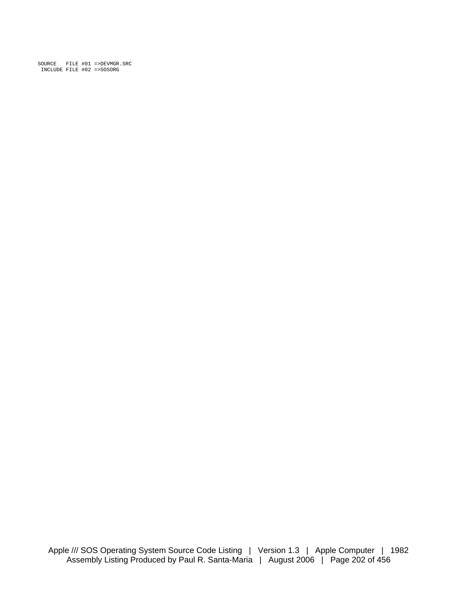SOURCE FILE #01 =>DEVMGR.SRC INCLUDE FILE #02 =>SOSORG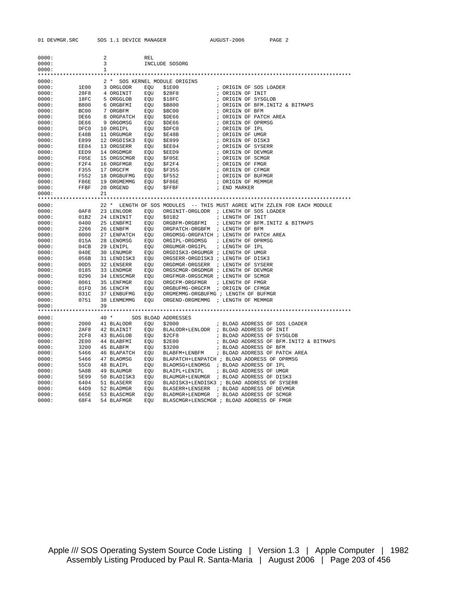| 0000: |             | 2     |             | REL |                                     |                                                                          |
|-------|-------------|-------|-------------|-----|-------------------------------------|--------------------------------------------------------------------------|
| 0000: |             | 3     |             |     | INCLUDE SOSORG                      |                                                                          |
| 0000: |             | 1     |             |     |                                     |                                                                          |
|       |             |       |             |     |                                     |                                                                          |
| 0000: |             |       |             |     | 2 * SOS KERNEL MODULE ORIGINS       |                                                                          |
| 0000: | 1E00        |       | 3 ORGLODR   | EOU | \$1E00                              | ; ORIGIN OF SOS LOADER                                                   |
| 0000: | 28F8        |       | 4 ORGINIT   | EQU | \$28F8                              | ; ORIGIN OF INIT                                                         |
| 0000: | 18FC        |       | 5 ORGGLOB   | EOU | \$18FC                              | ; ORIGIN OF SYSGLOB                                                      |
| 0000: | <b>B800</b> |       | 6 ORGBFMI   | EOU | \$B800                              | ; ORIGIN OF BFM. INIT2 & BITMAPS                                         |
| 0000: | BC00        |       | 7 ORGBFM    | EQU | \$BC00                              | ; ORIGIN OF BFM                                                          |
| 0000: | DE66        |       | 8 ORGPATCH  | EQU | \$DE66                              | ; ORIGIN OF PATCH AREA                                                   |
| 0000: | DE66        |       | 9 ORGOMSG   | EQU | \$DE66                              | ; ORIGIN OF OPRMSG                                                       |
| 0000: | DFC0        |       | 10 ORGIPL   | EOU | \$DFC0                              | ; ORIGIN OF IPL                                                          |
| 0000: | E48B        |       | 11 ORGUMGR  | EQU | \$E48B                              | ; ORIGIN OF UMGR                                                         |
| 0000: | E899        |       | 12 ORGDISK3 | EQU | <b>\$E899</b>                       | ; ORIGIN OF DISK3                                                        |
| 0000: | EE04        |       | 13 ORGSERR  | EQU | \$EE04                              | ; ORIGIN OF SYSERR                                                       |
| 0000: | EED9        |       | 14 ORGDMGR  | EQU | \$EED9                              | ; ORIGIN OF DEVMGR                                                       |
| 0000: | F05E        |       | 15 ORGSCMGR | EQU | \$F05E                              | ; ORIGIN OF SCMGR                                                        |
| 0000: | F2F4        |       | 16 ORGFMGR  | EQU | \$F2F4                              | ; ORIGIN OF FMGR                                                         |
| 0000: | F355        |       | 17 ORGCFM   | EQU | \$F355                              | ; ORIGIN OF CFMGR                                                        |
| 0000: | F552        |       | 18 ORGBUFMG | EQU | <b>\$F552</b>                       | ; ORIGIN OF BUFMGR                                                       |
| 0000: | F86E        |       | 19 ORGMEMMG | EQU | \$F86E                              | ; ORIGIN OF MEMMGR                                                       |
| 0000: | FFBF        |       | 20 ORGEND   | EQU | <b>SFFBF</b>                        | ; END MARKER                                                             |
| 0000: |             | 21    |             |     |                                     |                                                                          |
|       |             |       |             |     |                                     |                                                                          |
| 0000: |             |       |             |     |                                     | 22 * LENGTH OF SOS MODULES -- THIS MUST AGREE WITH ZZLEN FOR EACH MODULE |
|       |             |       |             |     |                                     |                                                                          |
| 0000: | 0AF8        |       | 23 LENLODR  | EOU |                                     | ORGINIT-ORGLODR ; LENGTH OF SOS LOADER                                   |
| 0000: | 01B2        |       | 24 LENINIT  | EOU | \$01B2                              | ; LENGTH OF INIT                                                         |
| 0000: | 0400        |       | 25 LENBFMI  | EQU | ORGBFM-ORGBFMI                      | ; LENGTH OF BFM. INIT2 & BITMAPS                                         |
| 0000: | 2266        |       | 26 LENBFM   | EQU | ORGPATCH-ORGBFM ; LENGTH OF BFM     |                                                                          |
| 0000: | 0000        |       | 27 LENPATCH | EQU |                                     | ORGOMSG-ORGPATCH ; LENGTH OF PATCH AREA                                  |
| 0000: | 015A        |       | 28 LENOMSG  | EOU | ORGIPL-ORGOMSG                      | ; LENGTH OF OPRMSG                                                       |
| 0000: | 04CB        |       | 29 LENIPL   | EQU | ORGUMGR-ORGIPL                      | ; LENGTH OF IPL                                                          |
| 0000: | 040E        |       | 30 LENUMGR  | EOU | ORGDISK3-ORGUMGR ; LENGTH OF UMGR   |                                                                          |
| 0000: | 056B        |       | 31 LENDISK3 | EOU | ORGSERR-ORGDISK3 ; LENGTH OF DISK3  |                                                                          |
| 0000: | 00D5        |       | 32 LENSERR  | EOU | ORGDMGR-ORGSERR ; LENGTH OF SYSERR  |                                                                          |
| 0000: | 0185        |       | 33 LENDMGR  | EOU | ORGSCMGR-ORGDMGR ; LENGTH OF DEVMGR |                                                                          |
| 0000: | 0296        |       | 34 LENSCMGR | EOU | ORGFMGR-ORGSCMGR ; LENGTH OF SCMGR  |                                                                          |
| 0000: | 0061        |       | 35 LENFMGR  | EOU | ORGCFM-ORGFMGR                      | ; LENGTH OF FMGR                                                         |
| 0000: | 01FD        |       | 36 LENCFM   | EOU | ORGBUFMG-ORGCFM ; ORIGIN OF CFMGR   |                                                                          |
| 0000: | 031C        |       | 37 LENBUFMG | EQU |                                     | ORGMEMMG-ORGBUFMG ; LENGTH OF BUFMGR                                     |
| 0000: | 0751        |       | 38 LENMEMMG | EOU | ORGEND-ORGMEMMG ; LENGTH OF MEMMGR  |                                                                          |
| 0000: |             | 39    |             |     |                                     |                                                                          |
|       |             |       |             |     |                                     |                                                                          |
| 0000: |             | $40*$ |             |     | SOS BLOAD ADDRESSES                 |                                                                          |
| 0000: | 2000        |       | 41 BLALODR  | EOU | \$2000                              | ; BLOAD ADDRESS OF SOS LOADER                                            |
| 0000: | 2AF8        |       | 42 BLAINIT  | EQU |                                     | BLALODR+LENLODR ; BLOAD ADDRESS OF INIT                                  |
| 0000: | 2CF8        |       | 43 BLAGLOB  | EQU | \$2CF8                              | ; BLOAD ADDRESS OF SYSGLOB                                               |
| 0000: | 2E00        |       | 44 BLABFMI  | EQU | \$2E00                              | ; BLOAD ADDRESS OF BFM. INIT2 & BITMAPS                                  |
| 0000: | 3200        |       | 45 BLABFM   | EQU | \$3200                              | ; BLOAD ADDRESS OF BFM                                                   |
| 0000: | 5466        |       | 46 BLAPATCH | EQU | BLABFM+LENBFM                       | ; BLOAD ADDRESS OF PATCH AREA                                            |
| 0000: | 5466        |       | 47 BLAOMSG  | EQU |                                     | BLAPATCH+LENPATCH ; BLOAD ADDRESS OF OPRMSG                              |
| 0000: | 55C0        |       | 48 BLAIPL   | EOU |                                     | BLAOMSG+LENOMSG ; BLOAD ADDRESS OF IPL                                   |
| 0000: | 5A8B        |       | 49 BLAUMGR  | EQU | BLAIPL+LENIPL                       | ; BLOAD ADDRESS OF UMGR                                                  |
| 0000: | 5E99        |       | 50 BLADISK3 | EOU |                                     | BLAUMGR+LENUMGR ; BLOAD ADDRESS OF DISK3                                 |
| 0000: | 6404        |       | 51 BLASERR  | EQU |                                     | BLADISK3+LENDISK3 ; BLOAD ADDRESS OF SYSERR                              |
| 0000: | 64D9        |       | 52 BLADMGR  | EQU | BLASERR+LENSERR                     | ; BLOAD ADDRESS OF DEVMGR                                                |
| 0000: | 665E        |       | 53 BLASCMGR | EOU |                                     | BLADMGR+LENDMGR ; BLOAD ADDRESS OF SCMGR                                 |
| 0000: | 68F4        |       | 54 BLAFMGR  | EOU |                                     | BLASCMGR+LENSCMGR ; BLOAD ADDRESS OF FMGR                                |

Apple /// SOS Operating System Source Code Listing | Version 1.3 | Apple Computer | 1982 Assembly Listing Produced by Paul R. Santa-Maria | August 2006 | Page 203 of 456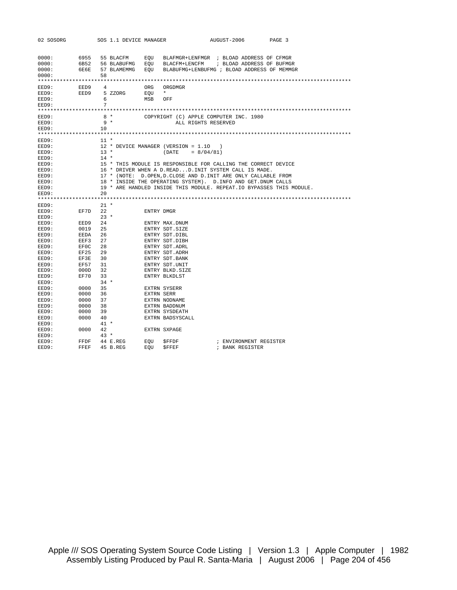| 02 SOSORG      |              |              | SOS 1.1 DEVICE MANAGER |     | AUGUST-2006<br>PAGE 3                                                 |
|----------------|--------------|--------------|------------------------|-----|-----------------------------------------------------------------------|
|                |              |              |                        |     |                                                                       |
|                |              |              |                        |     |                                                                       |
| 0000:          | 6955         |              | 55 BLACFM              | EOU | BLAFMGR+LENFMGR ; BLOAD ADDRESS OF CFMGR                              |
| 0000:          | 6B52         |              | 56 BLABUFMG            | EQU | BLACFM+LENCFM<br>; BLOAD ADDRESS OF BUFMGR                            |
| 0000:          | 6E6E         |              | 57 BLAMEMMG            | EOU | BLABUFMG+LENBUFMG ; BLOAD ADDRESS OF MEMMGR                           |
| 0000:          |              | 58           |                        |     |                                                                       |
|                |              |              |                        |     |                                                                       |
| EED9:          | EED9         | 4            |                        | ORG | ORGDMGR                                                               |
| EED9:          | EED9         |              | 5 ZZORG                | EOU | $\star$                                                               |
| EED9:          |              | 6            |                        | MSB | OFF                                                                   |
| EED9:          |              | 7            |                        |     |                                                                       |
|                |              |              |                        |     |                                                                       |
| EED9:          |              |              | 8 *                    |     | COPYRIGHT (C) APPLE COMPUTER INC. 1980                                |
| EED9:          |              | $9 *$        |                        |     | ALL RIGHTS RESERVED                                                   |
| EED9:          |              | 10           |                        |     |                                                                       |
|                |              |              |                        |     |                                                                       |
| EED9:          |              | $11 *$       |                        |     |                                                                       |
| EED9:          |              |              |                        |     | 12 * DEVICE MANAGER (VERSION = 1.10                                   |
| EED9:          |              | $13 *$       |                        |     | (DATE)<br>$= 8/04/81$                                                 |
| EED9:          |              | $14 *$       |                        |     |                                                                       |
| EED9:          |              |              |                        |     | 15 * THIS MODULE IS RESPONSIBLE FOR CALLING THE CORRECT DEVICE        |
| EED9:          |              |              |                        |     | 16 * DRIVER WHEN A D.READD.INIT SYSTEM CALL IS MADE.                  |
| EED9:          |              |              |                        |     | 17 * (NOTE: D.OPEN, D.CLOSE AND D.INIT ARE ONLY CALLABLE FROM         |
| EED9:          |              |              |                        |     | 18 * INSIDE THE OPERATING SYSTEM). D. INFO AND GET. DNUM CALLS        |
| EED9:          |              |              |                        |     | 19 * ARE HANDLED INSIDE THIS MODULE. REPEAT. IO BYPASSES THIS MODULE. |
| EED9:          |              | 20           |                        |     |                                                                       |
|                |              |              |                        |     |                                                                       |
|                |              |              |                        |     |                                                                       |
| EED9:          |              | $21 *$       |                        |     |                                                                       |
| EED9:          | EF7D         | 22           |                        |     | ENTRY DMGR                                                            |
| EED9:          |              | $23 *$       |                        |     |                                                                       |
| EED9:          | EED9         | 24           |                        |     | ENTRY MAX.DNUM                                                        |
| EED9:          | 0019         | 25           |                        |     | ENTRY SDT. SIZE                                                       |
| EED9:          | EEDA         | 26           |                        |     | ENTRY SDT.DIBL                                                        |
| EED9:          | EEF3         | 27           |                        |     | ENTRY SDT.DIBH                                                        |
| EED9:          | EF0C         | 28           |                        |     | ENTRY SDT.ADRL                                                        |
| EED9:          | EF25         | 29           |                        |     | ENTRY SDT. ADRH                                                       |
| EED9:          | EF3E         | 30           |                        |     | ENTRY SDT. BANK                                                       |
| EED9:          | EF57         | 31           |                        |     | ENTRY SDT.UNIT                                                        |
| EED9:          | 000D         | 32           |                        |     | ENTRY BLKD. SIZE                                                      |
| EED9:          | EF70         | 33<br>$34 *$ |                        |     | ENTRY BLKDLST                                                         |
| EED9:          |              |              |                        |     |                                                                       |
| EED9:          | 0000         | 35<br>36     |                        |     | EXTRN SYSERR                                                          |
| EED9:<br>EED9: | 0000<br>0000 | 37           |                        |     | <b>EXTRN SERR</b><br>EXTRN NODNAME                                    |
| EED9:          | 0000         | 38           |                        |     | EXTRN BADDNUM                                                         |
| EED9:          | 0000         | 39           |                        |     | EXTRN SYSDEATH                                                        |
| EED9:          | 0000         | 40           |                        |     | EXTRN BADSYSCALL                                                      |
| EED9:          |              | $41 *$       |                        |     |                                                                       |
| EED9:          | 0000         | 42           |                        |     | EXTRN SXPAGE                                                          |
| EED9:          |              | $43 *$       |                        |     |                                                                       |
| EED9:          | FFDF         |              | 44 E.REG               | EOU | ; ENVIRONMENT REGISTER<br>\$FFDF                                      |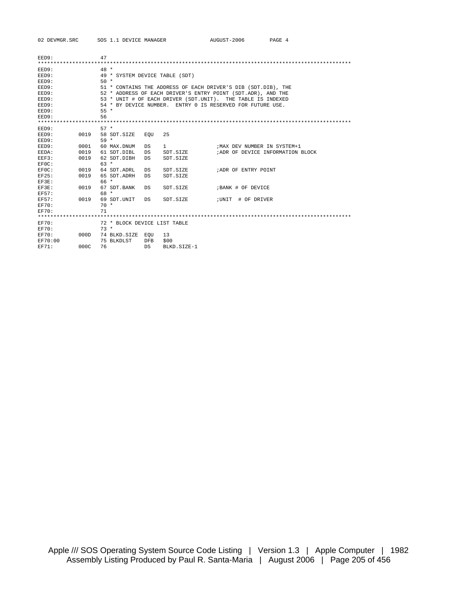| EED9:        |      | 47     |                                |            |             |                                                               |
|--------------|------|--------|--------------------------------|------------|-------------|---------------------------------------------------------------|
|              |      |        |                                |            |             |                                                               |
| EED9:        |      | $48 *$ |                                |            |             |                                                               |
| EED9:        |      |        | 49 * SYSTEM DEVICE TABLE (SDT) |            |             |                                                               |
| EED9:        |      | $50 *$ |                                |            |             |                                                               |
| EED9:        |      |        |                                |            |             | 51 * CONTAINS THE ADDRESS OF EACH DRIVER'S DIB (SDT.DIB), THE |
| EED9:        |      |        |                                |            |             | 52 * ADDRESS OF EACH DRIVER'S ENTRY POINT (SDT.ADR), AND THE  |
| EED9:        |      |        |                                |            |             | 53 * UNIT # OF EACH DRIVER (SDT.UNIT). THE TABLE IS INDEXED   |
| EED9:        |      |        |                                |            |             | 54 * BY DEVICE NUMBER. ENTRY 0 IS RESERVED FOR FUTURE USE.    |
| EED9:        |      | $55 *$ |                                |            |             |                                                               |
| EED9:        |      | 56     |                                |            |             |                                                               |
|              |      |        |                                |            |             |                                                               |
| EED9:        |      | $57 *$ |                                |            |             |                                                               |
| EED9:        | 0019 |        | 58 SDT SIZE                    | EOU        | 2.5         |                                                               |
| EED9:        |      | $59 *$ |                                |            |             |                                                               |
| EED9:        | 0001 |        | 60 MAX.DNUM                    | DS         | 1           | ; MAX DEV NUMBER IN SYSTEM+1                                  |
| EEDA:        | 0019 |        | 61 SDT.DIBL                    | DS         | SDT.SIZE    | ; ADR OF DEVICE INFORMATION BLOCK                             |
| EEF3:        | 0019 |        | 62 SDT.DIBH                    | DS         | SDT.SIZE    |                                                               |
| EF0C:        |      | $63 *$ |                                |            |             |                                                               |
| EF0C:        | 0019 |        | 64 SDT ADRL                    | DS         | SDT. SIZE   | ; ADR OF ENTRY POINT                                          |
| <b>EF25:</b> | 0019 |        | 65 SDT ADRH                    | DS         | SDT.SIZE    |                                                               |
| EF3E:        |      | 66 *   |                                |            |             |                                                               |
| EF3E:        | 0019 |        | 67 SDT. BANK                   | DS         | SDT. SIZE   | ; BANK # OF DEVICE                                            |
| EF57:        |      | 68 *   |                                |            |             |                                                               |
| EF57:        | 0019 |        | 69 SDT.UNIT                    | DS         | SDT. SIZE   | ;UNIT<br># OF DRIVER                                          |
| <b>EF70:</b> |      | $70 *$ |                                |            |             |                                                               |
| $EFT0$ :     |      | 71     |                                |            |             |                                                               |
|              |      |        |                                |            |             |                                                               |
| EF70:        |      |        | 72 * BLOCK DEVICE LIST TABLE   |            |             |                                                               |
| <b>EF70:</b> |      | $73 *$ |                                |            |             |                                                               |
| $EFT0$ :     | 000D |        | 74 BLKD.SIZE                   | EOU        | 13          |                                                               |
| EF70:00      |      |        | 75 BLKDLST                     | <b>DFB</b> | \$00        |                                                               |
| EF71:        | 000C | 76     |                                | DS         | BLKD.SIZE-1 |                                                               |
|              |      |        |                                |            |             |                                                               |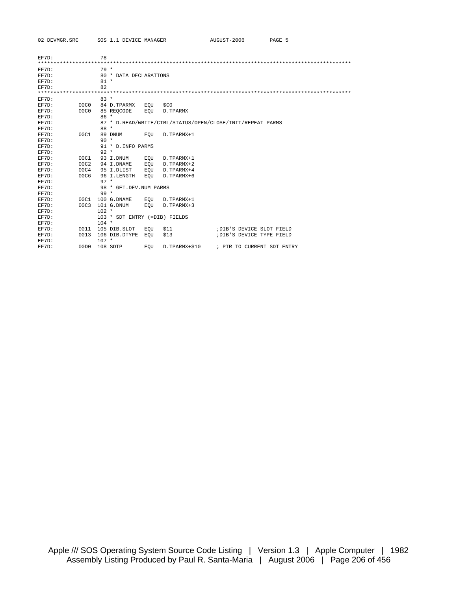| EF7D: |      | 78      |                               |     |               |                                                            |
|-------|------|---------|-------------------------------|-----|---------------|------------------------------------------------------------|
|       |      |         |                               |     |               |                                                            |
| EF7D: |      | $79*$   |                               |     |               |                                                            |
| EF7D: |      |         | 80 * DATA DECLARATIONS        |     |               |                                                            |
| EF7D: |      | $81 *$  |                               |     |               |                                                            |
| EF7D: |      | 82      |                               |     |               |                                                            |
|       |      |         |                               |     |               |                                                            |
| EF7D: |      | $83 *$  |                               |     |               |                                                            |
| EF7D: | 00C0 |         | 84 D.TPARMX                   | EOU | \$CO          |                                                            |
| EF7D: | 00C0 |         | 85 REOCODE                    | EOU | D.TPARMX      |                                                            |
| EF7D: |      | $86*$   |                               |     |               |                                                            |
| EF7D: |      |         |                               |     |               | 87 * D.READ/WRITE/CTRL/STATUS/OPEN/CLOSE/INIT/REPEAT PARMS |
| EF7D: |      | $88 *$  |                               |     |               |                                                            |
| EF7D: | 00C1 |         | 89 DNUM                       | EOU | D.TPARMX+1    |                                                            |
| EF7D: |      | $90 *$  |                               |     |               |                                                            |
| EF7D: |      |         | 91 * D. INFO PARMS            |     |               |                                                            |
| EF7D: |      | $92 *$  |                               |     |               |                                                            |
| EF7D: | 00C1 |         | 93 I.DNUM                     | EOU | D.TPARMX+1    |                                                            |
| EF7D: | 00C2 |         | 94 I.DNAME                    | EOU | D.TPARMX+2    |                                                            |
| EF7D: | 00C4 |         | 95 I.DLIST                    | EOU | D.TPARMX+4    |                                                            |
| EF7D: | 00C6 |         | 96 I.LENGTH                   | EOU | D.TPARMX+6    |                                                            |
| EF7D: |      | $97 *$  |                               |     |               |                                                            |
| EF7D: |      |         | 98 * GET. DEV. NUM PARMS      |     |               |                                                            |
| EF7D: |      | $99 *$  |                               |     |               |                                                            |
| EF7D: | 00C1 |         | 100 G.DNAME                   | EOU | D.TPARMX+1    |                                                            |
| EF7D: | 00C3 |         | 101 G.DNUM                    | EOU | D.TPARMX+3    |                                                            |
| EF7D: |      | $102 *$ |                               |     |               |                                                            |
| EF7D: |      |         | 103 * SDT ENTRY (=DIB) FIELDS |     |               |                                                            |
| EF7D: |      | $104 *$ |                               |     |               |                                                            |
| EF7D: | 0011 |         | 105 DIB.SLOT                  | EOU | \$11          | ; DIB'S DEVICE SLOT FIELD                                  |
| EF7D: | 0013 |         | 106 DIB.DTYPE                 | EOU | \$13          | ; DIB'S DEVICE TYPE FIELD                                  |
| EF7D: |      | $107 *$ |                               |     |               |                                                            |
| EF7D: | 00D0 |         | 108 SDTP                      | EOU | D.TPARMX+\$10 | ; PTR TO CURRENT SDT ENTRY                                 |
|       |      |         |                               |     |               |                                                            |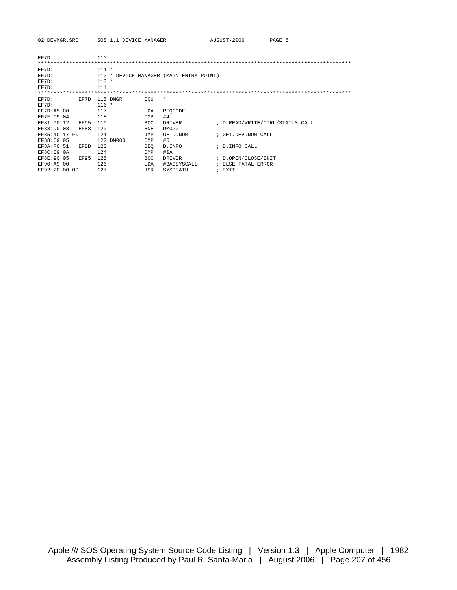| 02 DEVMGR.SRC |  | SOS 1.1 DEVICE MANAGER |
|---------------|--|------------------------|
|               |  |                        |

| EF7D:         |      | 110     |                                         |            |               |  |                                 |
|---------------|------|---------|-----------------------------------------|------------|---------------|--|---------------------------------|
|               |      |         |                                         |            |               |  |                                 |
| EF7D:         |      | $111 *$ |                                         |            |               |  |                                 |
| EF7D:         |      |         | 112 * DEVICE MANAGER (MAIN ENTRY POINT) |            |               |  |                                 |
| EF7D:         |      | $113 *$ |                                         |            |               |  |                                 |
| EF7D:         |      | 114     |                                         |            |               |  |                                 |
|               |      |         |                                         |            |               |  |                                 |
| EF7D:         | EF7D |         | 115 DMGR                                | EOU        | $\star$       |  |                                 |
| EF7D:         |      | $116 *$ |                                         |            |               |  |                                 |
| EF7D:A5 CO    |      | 117     |                                         | LDA        | REOCODE       |  |                                 |
| EF7F:C9 04    |      | 118     |                                         | <b>CMP</b> | #4            |  |                                 |
| EF81:90 12    | EF95 | 119     |                                         | BCC        | DRIVER        |  | ; D.READ/WRITE/CTRL/STATUS CALL |
| EF83:D0 03    | EF88 | 120     |                                         | BNE        | DM000         |  |                                 |
| EF85:4C 17 FO |      | 121     |                                         | JMP        | GET.DNUM      |  | ; GET.DEV.NUM CALL              |
| EF88:C9 05    |      |         | 122 DM000                               | CMP        | #5            |  |                                 |
| EF8A:F0 51    | EFDD | 123     |                                         | BEO        | D. INFO       |  | ; D. INFO CALL                  |
| EF8C:C9 0A    |      | 124     |                                         | CMP        | #\$A          |  |                                 |
| EF8E: 90 05   | EF95 | 125     |                                         | <b>BCC</b> | <b>DRIVER</b> |  | ; D.OPEN/CLOSE/INIT             |
| EF90:A9 00    |      | 126     |                                         | LDA        | #BADSYSCALL   |  | ; ELSE FATAL ERROR              |
| EF92:20 00 00 |      | 127     |                                         | JSR        | SYSDEATH      |  | ; EXIT                          |

AUGUST-2006 PAGE 6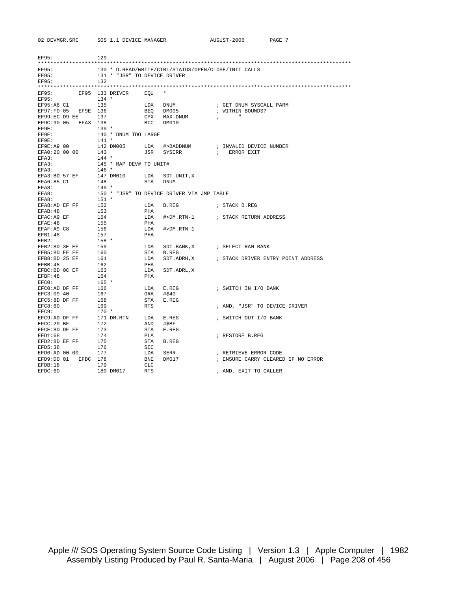| <b>EF95:</b>   |          | 129     |                              |            |                                                      |              |                                    |
|----------------|----------|---------|------------------------------|------------|------------------------------------------------------|--------------|------------------------------------|
| EF95:          |          |         |                              |            | 130 * D.READ/WRITE/CTRL/STATUS/OPEN/CLOSE/INIT CALLS |              |                                    |
| EF95:          |          |         | 131 * "JSR" TO DEVICE DRIVER |            |                                                      |              |                                    |
| EF95:          |          | 132     |                              |            |                                                      |              |                                    |
|                |          |         |                              |            |                                                      |              |                                    |
| EF95:<br>EF95: |          | $134 *$ | EF95 133 DRIVER              | EOU        | $\star$                                              |              |                                    |
| EF95:A6 C1     |          | 135     |                              | LDX        | DNUM                                                 |              | ; GET DNUM SYSCALL PARM            |
| EF97:F0 05     | EF9E 136 |         |                              | BEQ        | DM005                                                |              | ; WITHIN BOUNDS?                   |
| EF99:EC D9 EE  |          | 137     |                              | CPX        | MAX.DNUM                                             | $\ddot{i}$   | $\mathbf{u}$                       |
| EF9C:90 05     | EFA3 138 |         |                              | BCC        | DM010                                                |              |                                    |
| EF9E:          |          | $139 *$ |                              |            |                                                      |              |                                    |
| EF9E:          |          |         | 140 * DNUM TOO LARGE         |            |                                                      |              |                                    |
| EF9E:          |          | $141 *$ |                              |            |                                                      |              |                                    |
| EF9E:A9 00     |          |         | 142 DM005                    | LDA        | #>BADDNUM                                            |              | ; INVALID DEVICE NUMBER            |
| EFA0:20 00 00  |          | 143     |                              | JSR        | SYSERR                                               | $\mathbf{r}$ | ERROR EXIT                         |
| EFA3:          |          | $144 *$ |                              |            |                                                      |              |                                    |
| EFA3:          |          |         | 145 * MAP DEV# TO UNIT#      |            |                                                      |              |                                    |
| EFA3:          |          | $146 *$ |                              |            |                                                      |              |                                    |
| EFA3:BD 57 EF  |          |         | 147 DM010                    | LDA        | SDT.UNIT, X                                          |              |                                    |
| EFA6:85 C1     |          | 148     |                              | STA        | DNUM                                                 |              |                                    |
| EFA8:          |          | $149 *$ |                              |            |                                                      |              |                                    |
| EFA8:          |          |         |                              |            | 150 * "JSR" TO DEVICE DRIVER VIA JMP TABLE           |              |                                    |
| EFA8:          |          | $151 *$ |                              |            |                                                      |              |                                    |
| EFA8:AD EF FF  |          | 152     |                              | LDA        | B.REG                                                |              | ; STACK B.REG                      |
| EFAB: 48       |          | 153     |                              | PHA        |                                                      |              |                                    |
| EFAC: A9 EF    |          | 154     |                              | LDA        |                                                      |              |                                    |
| EFAE: 48       |          | 155     |                              | PHA        |                                                      |              |                                    |
| EFAF:A9 C8     |          | 156     |                              | LDA        | $#>DM . RTN-1$                                       |              |                                    |
| EFB1:48        |          | 157     |                              | PHA        |                                                      |              |                                    |
| EFB2:          |          | $158 *$ |                              |            |                                                      |              |                                    |
| EFB2:BD 3E EF  |          | 159     |                              | LDA        | SDT. BANK, X                                         |              | ; SELECT RAM BANK                  |
| EFB5:8D EF FF  |          | 160     |                              | STA        | B.REG                                                |              |                                    |
| EFB8:BD 25 EF  |          | 161     |                              | LDA        | SDT.ADRH,X                                           |              | ; STACK DRIVER ENTRY POINT ADDRESS |
| EFBB: 48       |          | 162     |                              | PHA        |                                                      |              |                                    |
| EFBC:BD OC EF  |          | 163     |                              | LDA        | SDT.ADRL, X                                          |              |                                    |
| EFBF:48        |          | 164     |                              | PHA        |                                                      |              |                                    |
| EFC0:          |          | $165 *$ |                              |            |                                                      |              |                                    |
| EFC0:AD DF FF  |          | 166     |                              | LDA        | E.REG                                                |              | ; SWITCH IN I/O BANK               |
| EFC3:09 40     |          | 167     |                              | ORA        | #\$40                                                |              |                                    |
| EFC5:8D DF FF  |          | 168     |                              | STA        | E.REG                                                |              |                                    |
| EFC8:60        |          | 169     |                              | <b>RTS</b> |                                                      |              | ; AND, "JSR" TO DEVICE DRIVER      |
| EFC9:          |          | $170 *$ |                              |            |                                                      |              |                                    |
| EFC9:AD DF FF  |          |         | 171 DM.RTN                   | LDA        | E.REG                                                |              | ; SWITCH OUT I/O BANK              |
| EFCC:29BF      |          | 172     |                              | AND        | #\$BF                                                |              |                                    |
| EFCE: 8D DF FF |          | 173     |                              | STA        | E.REG                                                |              |                                    |
| EFD1:68        |          | 174     |                              | PLA        |                                                      |              | ; RESTORE B.REG                    |
| EFD2:8D EF FF  |          | 175     |                              | STA        | B.REG                                                |              |                                    |
| EFD5:38        |          | 176     |                              | SEC        |                                                      |              |                                    |
| EFD6:AD 00 00  |          | 177     |                              | LDA        | SERR                                                 |              | ; RETRIEVE ERROR CODE              |
| EFD9:D0 01     | EFDC     | 178     |                              | BNE        | DM017                                                |              | ; ENSURE CARRY CLEARED IF NO ERROR |
| EFDB:18        |          | 179     |                              | <b>CLC</b> |                                                      |              |                                    |
| EFDC:60        |          |         | 180 DM017                    | <b>RTS</b> |                                                      |              | ; AND, EXIT TO CALLER              |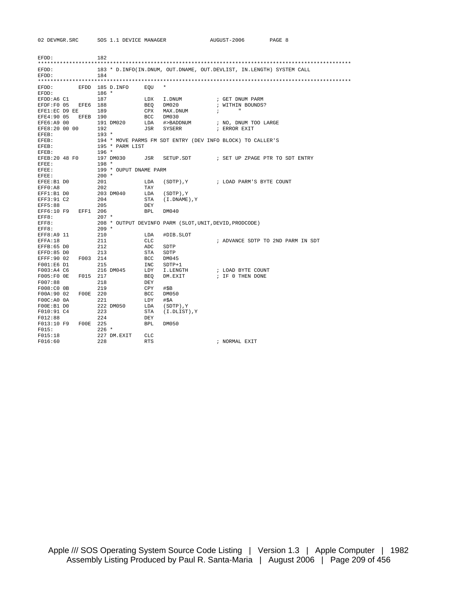| EFDD:                |             | 182     |                        |            |                                                                       |            |               |                                   |  |
|----------------------|-------------|---------|------------------------|------------|-----------------------------------------------------------------------|------------|---------------|-----------------------------------|--|
| EFDD:                |             |         |                        |            | 183 * D. INFO(IN.DNUM, OUT.DNAME, OUT.DEVLIST, IN.LENGTH) SYSTEM CALL |            |               |                                   |  |
| EFDD:                |             | 184     |                        |            |                                                                       |            |               |                                   |  |
|                      |             |         |                        |            |                                                                       |            |               |                                   |  |
| EFDD:                |             |         | EFDD 185 D. INFO       | EOU        | *                                                                     |            |               |                                   |  |
| EFDD:                |             | $186 *$ |                        |            |                                                                       |            |               |                                   |  |
| EFDD:A6 C1           |             | 187     |                        | LDX        | I.DNUM                                                                |            |               | ; GET DNUM PARM                   |  |
| EFDF:F0 05           | EFE6        | 188     |                        | BEO        | DM020                                                                 |            |               | ; WITHIN BOUNDS?                  |  |
| EFE1:EC D9 EE        |             | 189     |                        | CPX        | MAX.DNUM                                                              | $\ddot{i}$ | $\mathbf{u}$  |                                   |  |
| EFE4:90 05           | <b>EFEB</b> | 190     |                        | BCC        | DM030                                                                 |            |               |                                   |  |
| EFE6:A9 00           |             |         | 191 DM020              | LDA        | #>BADDNUM                                                             |            |               | ; NO, DNUM TOO LARGE              |  |
| EFE8:20 00 00        |             | 192     |                        | JSR        | SYSERR                                                                |            | ; ERROR EXIT  |                                   |  |
| EFEB:                |             | $193 *$ |                        |            |                                                                       |            |               |                                   |  |
| EFEB:                |             |         |                        |            | 194 * MOVE PARMS FM SDT ENTRY (DEV INFO BLOCK) TO CALLER'S            |            |               |                                   |  |
| EFEB:                |             |         | 195 * PARM LIST        |            |                                                                       |            |               |                                   |  |
| EFEB:                |             | $196 *$ |                        |            |                                                                       |            |               |                                   |  |
| EFEB:20 48 F0        |             |         | 197 DM030              | JSR        | SETUP.SDT                                                             |            |               | ; SET UP ZPAGE PTR TO SDT ENTRY   |  |
| EFEE:                |             | $198 *$ |                        |            |                                                                       |            |               |                                   |  |
| EFEE:                |             |         | 199 * OUPUT DNAME PARM |            |                                                                       |            |               |                                   |  |
| EFEE:                |             | $200 *$ |                        |            |                                                                       |            |               |                                   |  |
| EFEE: B1 D0          |             | 201     |                        | LDA        | (SDTP), Y                                                             |            |               | ; LOAD PARM'S BYTE COUNT          |  |
| EFF0:AB              |             | 202     |                        | TAY        |                                                                       |            |               |                                   |  |
| EFF1:B1 D0           |             |         | 203 DM040              | LDA        | (SDTP), Y                                                             |            |               |                                   |  |
| EFF3:91 C2           |             | 204     |                        | STA        | (I.DNAME), Y                                                          |            |               |                                   |  |
| EFF5:88              |             | 205     |                        | DEY        |                                                                       |            |               |                                   |  |
| EFF6:10 F9           | EFF1        | 206     |                        | <b>BPL</b> | DM040                                                                 |            |               |                                   |  |
| EFF8:                |             | $207 *$ |                        |            |                                                                       |            |               |                                   |  |
| EFF8:                |             |         |                        |            | 208 * OUTPUT DEVINFO PARM (SLOT, UNIT, DEVID, PRODCODE)               |            |               |                                   |  |
| EFF8:                |             | $209 *$ |                        |            |                                                                       |            |               |                                   |  |
| EFF8:A9 11           |             | 210     |                        | LDA        | #DIB.SLOT                                                             |            |               |                                   |  |
| EFFA: 18             |             | 211     |                        | <b>CLC</b> |                                                                       |            |               | ; ADVANCE SDTP TO 2ND PARM IN SDT |  |
| EFFB: 65 DO          |             | 212     |                        | ADC        | SDTP                                                                  |            |               |                                   |  |
| EFFD:85 DO           |             | 213     |                        | STA        | SDTP                                                                  |            |               |                                   |  |
| EFFF: 90 02          | F003        | 214     |                        | <b>BCC</b> | DM045                                                                 |            |               |                                   |  |
| $FO01:E6$ D1         |             | 215     |                        | INC        | $SDTP+1$                                                              |            |               |                                   |  |
| F003:A4 C6           |             |         | 216 DM045              | LDY        | I.LENGTH                                                              |            |               | ; LOAD BYTE COUNT                 |  |
| $F005:FO$ OE         | F015        | 217     |                        | BEO        | DM.EXIT                                                               |            |               | ; IF 0 THEN DONE                  |  |
| F007:88              |             | 218     |                        | DEY        |                                                                       |            |               |                                   |  |
| F008:C0 0B           |             | 219     |                        | CPY        | #SB                                                                   |            |               |                                   |  |
| F00A:90 02           | F00E        | 220     |                        | BCC        | DM050                                                                 |            |               |                                   |  |
| FOOC:AO <sub>O</sub> |             | 221     |                        | LDY        | #\$A                                                                  |            |               |                                   |  |
| $FOOE:B1$ DO         |             |         | 222 DM050              | LDA        | (SDTP), Y                                                             |            |               |                                   |  |
| F010:91 C4           |             | 223     |                        | STA        | (I.DLIST), Y                                                          |            |               |                                   |  |
| F012:88              |             | 224     |                        | DEY        |                                                                       |            |               |                                   |  |
| F013:10 F9           | F00E 225    |         |                        | <b>BPL</b> | DM050                                                                 |            |               |                                   |  |
| FO15:                |             | $226$ * |                        |            |                                                                       |            |               |                                   |  |
| F015:18              |             |         | 227 DM.EXIT            | <b>CLC</b> |                                                                       |            |               |                                   |  |
| F016:60              |             | 228     |                        | <b>RTS</b> |                                                                       |            | ; NORMAL EXIT |                                   |  |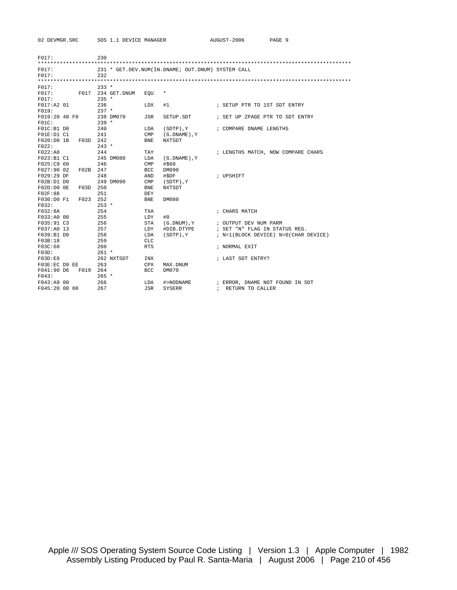| FO17:                    |      | 230        |                   |                   |                                                   |                                      |
|--------------------------|------|------------|-------------------|-------------------|---------------------------------------------------|--------------------------------------|
| F017:                    |      |            |                   |                   |                                                   |                                      |
| F017:                    |      | 232        |                   |                   | 231 * GET.DEV.NUM(IN.DNAME; OUT.DNUM) SYSTEM CALL |                                      |
|                          |      |            |                   |                   |                                                   |                                      |
| FO17:                    |      | $233 *$    |                   |                   |                                                   |                                      |
| FO17:                    |      |            | F017 234 GET.DNUM | EOU               | $^\star$                                          |                                      |
| F017:                    |      | $235 *$    |                   |                   |                                                   |                                      |
| F017:A2 01               |      | 236        |                   | LDX               | #1                                                | ; SETUP PTR TO 1ST SDT ENTRY         |
| FO19:                    |      | $237 *$    |                   |                   |                                                   |                                      |
| F019:20 48 F0            |      |            | 238 DM070         | JSR               | SETUP.SDT                                         | ; SET UP ZPAGE PTR TO SDT ENTRY      |
| FOIC:                    |      | $239 *$    |                   |                   |                                                   |                                      |
| $FOIC: B1$ DO            |      | 240        |                   | LDA               | $(SDTP)$ , $Y$                                    | ; COMPARE DNAME LENGTHS              |
| FO1E: D1 C1              |      | 241        |                   | CMP               | $(G.DNAME)$ , $Y$                                 |                                      |
| $F020:DD0$ 1B            | F03D | 242        |                   | <b>BNE</b>        | NXTSDT                                            |                                      |
| F022:                    |      | $243 *$    |                   |                   |                                                   |                                      |
| F022:A8                  |      | 244        |                   | TAY               |                                                   | ; LENGTHS MATCH, NOW COMPARE CHARS   |
| F023:B1 C1               |      |            | 245 DM080         | LDA               | $(G.DNAME)$ , $Y$                                 |                                      |
| F025:C9 60               |      | 246        |                   | CMP               | #\$60                                             |                                      |
| F027:90 02               | F02B | 247        |                   | <b>BCC</b>        | DM090                                             |                                      |
| F029:29DF                |      | 248        |                   | AND               | #SDF                                              | ; UPSHIFT                            |
| F02B:D1D0                |      |            | 249 DM090         | CMP               | (SDTP), Y                                         |                                      |
| $F02D:D0$ OE             | F03D | 250        |                   | <b>BNE</b>        | <b>NXTSDT</b>                                     |                                      |
| FO2F:88                  |      | 251        |                   | DEY               |                                                   |                                      |
| F030:D0F1                | F023 | 252        |                   | <b>BNE</b>        | DM080                                             |                                      |
| F032:                    |      | $253 *$    |                   |                   |                                                   |                                      |
| F032:8A                  |      | 254        |                   | <b>TXA</b>        |                                                   | ; CHARS MATCH                        |
| F033:A0 00<br>F035:91 C3 |      | 255<br>256 |                   | LDY<br><b>STA</b> | #0<br>(G.DNUM).Y                                  | ; OUTPUT DEV NUM PARM                |
| F037:A0 13               |      | 257        |                   | LDY               | #DIB.DTYPE                                        | ; SET "N" FLAG IN STATUS REG.        |
| F039:B1 D0               |      | 258        |                   | LDA               | (SDTP), Y                                         | ; N=1(BLOCK DEVICE) N=0(CHAR DEVICE) |
| F03B:18                  |      | 259        |                   | CLC.              |                                                   |                                      |
| F03C:60                  |      | 260        |                   | <b>RTS</b>        |                                                   | ; NORMAL EXIT                        |
| FO3D:                    |      | $261 *$    |                   |                   |                                                   |                                      |
| F03D:E8                  |      |            | 262 NXTSDT        | <b>INX</b>        |                                                   | ; LAST SDT ENTRY?                    |
| F03E:EC D9 EE            |      | 263        |                   | <b>CPX</b>        | MAX. DNUM                                         |                                      |
| F041:90 D6               | F019 | 264        |                   | <b>BCC</b>        | DM070                                             |                                      |
| F043:                    |      | $265 *$    |                   |                   |                                                   |                                      |
| F043:A9 00               |      | 266        |                   | LDA               | #>NODNAME                                         | ; ERROR, DNAME NOT FOUND IN SDT      |
| F045:20 00 00            |      | 267        |                   | <b>JSR</b>        | <b>SYSERR</b>                                     | ; RETURN TO CALLER                   |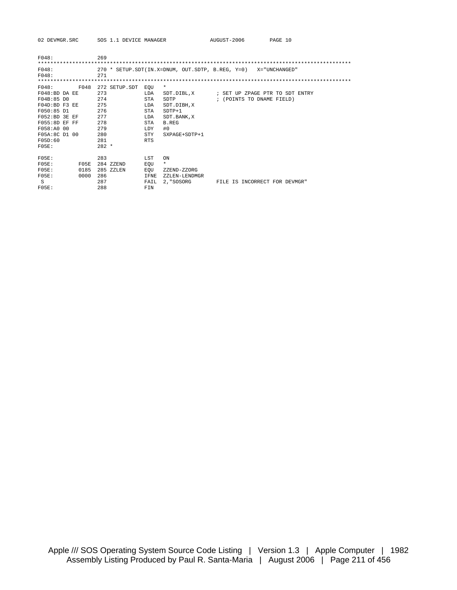02 DEVMGR.SRC SOS 1.1 DEVICE MANAGER AUGUST-2006 PAGE 10 F048: 269 \*\*\*\*\*\*\*\*\*\*\*\*\*\*\*\*\*\*\*\*\*\*\*\*\*\*\*\*\*\*\*\*\*\*\*\*\*\*\*\*\*\*\*\*\*\*\*\*\*\*\*\*\*\*\*\*\*\*\*\*\*\*\*\*\*\*\*\*\*\*\*\*\*\*\*\*\*\*\*\*\*\*\*\*\*\*\*\*\*\*\*\*\*\*\*\*\*\*\*\* F048: 270 \* SETUP.SDT(IN.X=DNUM, OUT.SDTP, B.REG, Y=0) X="UNCHANGED"

| F048:             | 271           |                       |                                            |
|-------------------|---------------|-----------------------|--------------------------------------------|
|                   |               |                       |                                            |
| F048:<br>F048     | 272 SETUP.SDT | $\star$<br>EOU        |                                            |
| $F048:BD$ DA $EF$ | 273           | LDA                   | SDT.DIBL.X : SET UP ZPAGE PTR TO SDT ENTRY |
| F04B:85 DO        | 274           | STA<br>SDTP           | ; (POINTS TO DNAME FIELD)                  |
| F04D:BD F3 EE     | 275           | LDA<br>SDT.DIBH, X    |                                            |
| F050:85 D1        | 276           | $SDTP+1$<br>STA       |                                            |
| $F052:BD$ 3E EF   | 277           | LDA<br>SDT. BANK, X   |                                            |
| $F055:8D EF$ FF   | 278           | STA<br>B.REG          |                                            |
| F058:A0 00        | 279           | #0<br>LDY             |                                            |
| F05A:8C D1 00     | 280           | STY<br>SXPAGE+SDTP+1  |                                            |
| FOSD:60           | 281           | <b>RTS</b>            |                                            |
| FO5E:             | $282 *$       |                       |                                            |
|                   |               |                       |                                            |
| FOSE:             | 283           | LST<br>ON             |                                            |
| FOSE:<br>FOSE     | 284 ZZEND     | $\star$<br>EOU        |                                            |
| FOSE:<br>0185     | 285 ZZLEN     | EOU<br>ZZEND-ZZORG    |                                            |
| FOSE:<br>0000     | 286           | IFNE<br>ZZLEN-LENDMGR |                                            |
| S                 | 287           | FAIL<br>2. "SOSORG    | FILE IS INCORRECT FOR DEVMGR"              |
| FOSE:             | 288           | FIN                   |                                            |
|                   |               |                       |                                            |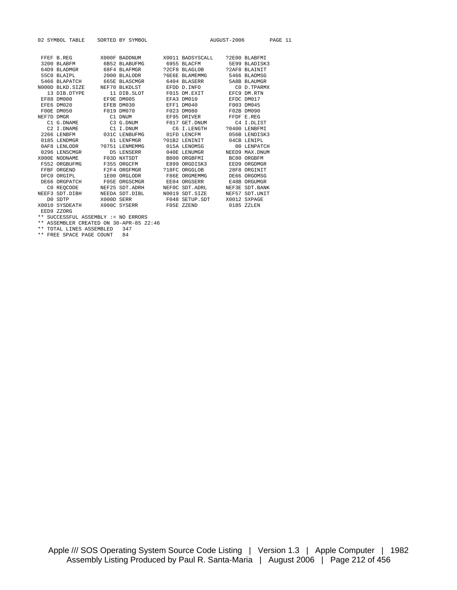| 02 SYMBOL TABLE SORTED BY SYMBOL |                                                                                                                                                                           |  |  | AUGUST-2006 PAGE 11 |  |  |
|----------------------------------|---------------------------------------------------------------------------------------------------------------------------------------------------------------------------|--|--|---------------------|--|--|
|                                  |                                                                                                                                                                           |  |  |                     |  |  |
|                                  | FFEF B.REG X000F BADDNUM X0011 BADSYSCALL ?2E00 BLABFMI                                                                                                                   |  |  |                     |  |  |
|                                  | 3200 BLABFM 6B52 BLABUFMG 6955 BLACFM 5E99 BLADISK3                                                                                                                       |  |  |                     |  |  |
|                                  | 64D9 BLADMGR 68F4 BLAFMGR 72CF8 BLAGLOB 72AF8 BLAINIT                                                                                                                     |  |  |                     |  |  |
|                                  |                                                                                                                                                                           |  |  |                     |  |  |
|                                  |                                                                                                                                                                           |  |  |                     |  |  |
|                                  |                                                                                                                                                                           |  |  |                     |  |  |
|                                  |                                                                                                                                                                           |  |  |                     |  |  |
|                                  |                                                                                                                                                                           |  |  |                     |  |  |
|                                  | EFE6 DM020 EFEB DM030 EFF1 DM040 F003 DM045                                                                                                                               |  |  |                     |  |  |
|                                  | $\tt F00E\texttt{DM050}\texttt{M070}\texttt{F019}\texttt{DM070}\texttt{F023}\texttt{DM080}\texttt{F02B}\texttt{DM090}\texttt{NEF7D}\texttt{DMGR}\texttt{FFE}\texttt{FEG}$ |  |  |                     |  |  |
|                                  |                                                                                                                                                                           |  |  |                     |  |  |
|                                  | C1 G.DNAME C3 G.DNUM F017 GET.DNUM C4 I.DLIST                                                                                                                             |  |  |                     |  |  |
|                                  | C2 I.DNAME C1 I.DNUM C6 I.LENGTH ?0400 LENBFMI                                                                                                                            |  |  |                     |  |  |
|                                  | 2266 LENBFM 631C LENBUFMG 61FD LENCFM 656B LENDISK3                                                                                                                       |  |  |                     |  |  |
|                                  | 0185 LENDMGR 61 LENFMGR 301B2 LENINIT 04CB LENIPL                                                                                                                         |  |  |                     |  |  |
|                                  |                                                                                                                                                                           |  |  |                     |  |  |
|                                  | 0296 LENSCMGR             D5 LENSERR           040E LENUMGR         NEED9 MAX.DNUM                                                                                        |  |  |                     |  |  |
|                                  | X000E NODNAME F03D NXTSDT B800 ORGBFMI BC00 ORGBFM                                                                                                                        |  |  |                     |  |  |
|                                  | F552 ORGBUFMG F355 ORGCFM E899 ORGDISK3 EED9 ORGDMGR                                                                                                                      |  |  |                     |  |  |
|                                  | FFBF ORGEND F2F4 ORGFMGR 218FC ORGGLOB 28F8 ORGINIT<br>DFC0 ORGIPL 1E00 ORGLODR F86E ORGMEMMG DE66 ORGOMSG                                                                |  |  |                     |  |  |
|                                  |                                                                                                                                                                           |  |  |                     |  |  |
|                                  | DE66 ORGPATCH F05E ORGSCMGR EE04 ORGSERR E48B ORGUMGR                                                                                                                     |  |  |                     |  |  |
|                                  | CO REQCODE NEF25 SDT.ADRH NEFOC SDT.ADRL NEF3E SDT.BANK                                                                                                                   |  |  |                     |  |  |
|                                  | NEEF3 SDT.DIBH MEEDA SDT.DIBL N0019 SDT.SIZE NEF57 SDT.UNIT                                                                                                               |  |  |                     |  |  |
|                                  | DO SDTP X000D SERR F048 SETUP.SDT X0012 SXPAGE                                                                                                                            |  |  |                     |  |  |
|                                  | X0010 SYSDEATH X000C SYSERR F05E ZZEND 0185 ZZLEN                                                                                                                         |  |  |                     |  |  |
|                                  | EED9 ZZORG                                                                                                                                                                |  |  |                     |  |  |
|                                  | ** SUCCESSFUL ASSEMBLY := NO ERRORS                                                                                                                                       |  |  |                     |  |  |

\*\* ASSEMBLER CREATED ON 30-APR-85 22:46 \*\* TOTAL LINES ASSEMBLED 347

\*\* FREE SPACE PAGE COUNT 84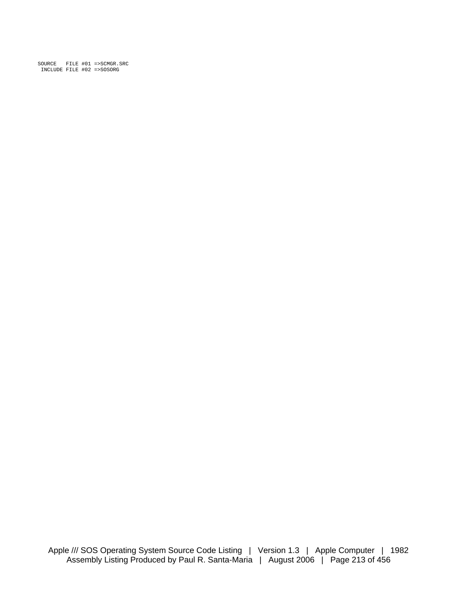SOURCE FILE #01 =>SCMGR.SRC INCLUDE FILE #02 =>SOSORG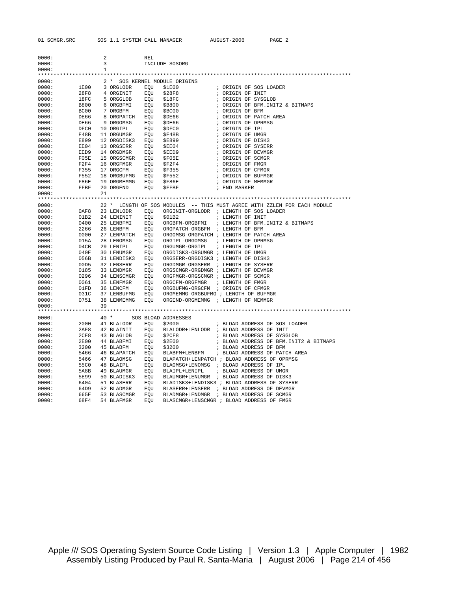| 0000: |             | 2            |             | REL |                                      |                                                                          |
|-------|-------------|--------------|-------------|-----|--------------------------------------|--------------------------------------------------------------------------|
| 0000: |             | 3            |             |     | INCLUDE SOSORG                       |                                                                          |
| 0000: |             | $\mathbf{1}$ |             |     |                                      |                                                                          |
|       |             |              |             |     |                                      |                                                                          |
| 0000: |             |              |             |     | 2 * SOS KERNEL MODULE ORIGINS        |                                                                          |
| 0000: | 1E00        |              | 3 ORGLODR   | EOU | \$1E00                               | ; ORIGIN OF SOS LOADER                                                   |
| 0000: | 28F8        |              | 4 ORGINIT   | EQU | \$28F8                               | ; ORIGIN OF INIT                                                         |
| 0000: | 18FC        |              | 5 ORGGLOB   | EOU | \$18FC                               | ; ORIGIN OF SYSGLOB                                                      |
| 0000: | B800        |              | 6 ORGBFMI   | EOU | \$B800                               | ; ORIGIN OF BFM. INIT2 & BITMAPS                                         |
| 0000: | BC00        |              | 7 ORGBFM    | EQU | \$BC00                               | ; ORIGIN OF BFM                                                          |
| 0000: | DE66        |              | 8 ORGPATCH  | EQU | \$DE66                               | ; ORIGIN OF PATCH AREA                                                   |
| 0000: | DE66        |              | 9 ORGOMSG   | EQU | \$DE66                               | ; ORIGIN OF OPRMSG                                                       |
| 0000: | DFC0        |              | 10 ORGIPL   | EQU | \$DFC0                               | ; ORIGIN OF IPL                                                          |
| 0000: | E48B        |              | 11 ORGUMGR  | EQU | \$E48B                               | ; ORIGIN OF UMGR                                                         |
| 0000: | E899        |              | 12 ORGDISK3 | EQU | <b>\$E899</b>                        | ; ORIGIN OF DISK3                                                        |
| 0000: | EE04        |              | 13 ORGSERR  | EQU | \$EE04                               | ; ORIGIN OF SYSERR                                                       |
| 0000: | EED9        |              | 14 ORGDMGR  | EQU | \$EED9                               | ; ORIGIN OF DEVMGR                                                       |
| 0000: | F05E        |              | 15 ORGSCMGR | EQU | \$F05E                               | ; ORIGIN OF SCMGR                                                        |
| 0000: | F2F4        |              | 16 ORGFMGR  | EQU | \$F2F4                               | ; ORIGIN OF FMGR                                                         |
| 0000: | F355        |              | 17 ORGCFM   | EQU | \$F355                               | ; ORIGIN OF CFMGR                                                        |
| 0000: | F552        |              | 18 ORGBUFMG | EQU | \$F552                               | ; ORIGIN OF BUFMGR                                                       |
| 0000: | F86E        |              | 19 ORGMEMMG | EQU | \$F86E                               | ; ORIGIN OF MEMMGR                                                       |
| 0000: | FFBF        |              | 20 ORGEND   | EQU | \$FFBF                               | ; END MARKER                                                             |
| 0000: |             | 21           |             |     |                                      |                                                                          |
|       |             |              |             |     |                                      |                                                                          |
| 0000: |             |              |             |     |                                      | 22 * LENGTH OF SOS MODULES -- THIS MUST AGREE WITH ZZLEN FOR EACH MODULE |
| 0000: | 0AF8        |              | 23 LENLODR  | EOU |                                      | ORGINIT-ORGLODR ; LENGTH OF SOS LOADER                                   |
| 0000: | 01B2        |              | 24 LENINIT  | EQU | \$01B2                               | ; LENGTH OF INIT                                                         |
| 0000: | 0400        |              | 25 LENBFMI  | EQU | ORGBFM-ORGBFMI                       | ; LENGTH OF BFM. INIT2 & BITMAPS                                         |
| 0000: | 2266        |              | 26 LENBFM   | EQU | ORGPATCH-ORGBFM ; LENGTH OF BFM      |                                                                          |
| 0000: | 0000        |              | 27 LENPATCH | EQU |                                      | ORGOMSG-ORGPATCH ; LENGTH OF PATCH AREA                                  |
| 0000: | 015A        |              | 28 LENOMSG  | EOU | ORGIPL-ORGOMSG                       | ; LENGTH OF OPRMSG                                                       |
| 0000: | 04CB        |              | 29 LENIPL   | EQU | ORGUMGR-ORGIPL                       | ; LENGTH OF IPL                                                          |
| 0000: | 040E        |              | 30 LENUMGR  | EOU | ORGDISK3-ORGUMGR ; LENGTH OF UMGR    |                                                                          |
| 0000: | 056B        |              | 31 LENDISK3 | EOU | ORGSERR-ORGDISK3 ; LENGTH OF DISK3   |                                                                          |
| 0000: | 00D5        |              | 32 LENSERR  | EOU | ORGDMGR-ORGSERR                      | ; LENGTH OF SYSERR                                                       |
| 0000: | 0185        |              | 33 LENDMGR  | EQU | ORGSCMGR-ORGDMGR ; LENGTH OF DEVMGR  |                                                                          |
| 0000: | 0296        |              | 34 LENSCMGR | EQU | ORGFMGR-ORGSCMGR ; LENGTH OF SCMGR   |                                                                          |
| 0000: | 0061        |              | 35 LENFMGR  | EQU | ORGCFM-ORGFMGR                       | ; LENGTH OF FMGR                                                         |
| 0000: | 01FD        |              | 36 LENCFM   | EQU | ORGBUFMG-ORGCFM ; ORIGIN OF CFMGR    |                                                                          |
| 0000: | 031C        |              | 37 LENBUFMG | EQU | ORGMEMMG-ORGBUFMG ; LENGTH OF BUFMGR |                                                                          |
| 0000: | 0751        |              | 38 LENMEMMG | EQU | ORGEND-ORGMEMMG ; LENGTH OF MEMMGR   |                                                                          |
| 0000: |             | 39           |             |     |                                      |                                                                          |
|       |             |              |             |     |                                      |                                                                          |
| 0000: |             | $40*$        |             |     | SOS BLOAD ADDRESSES                  |                                                                          |
| 0000: | 2000        |              | 41 BLALODR  | EQU | \$2000                               | ; BLOAD ADDRESS OF SOS LOADER                                            |
| 0000: | 2AF8        |              | 42 BLAINIT  | EQU |                                      | BLALODR+LENLODR ; BLOAD ADDRESS OF INIT                                  |
| 0000: | 2CF8        |              | 43 BLAGLOB  | EQU | \$2CF8                               | ; BLOAD ADDRESS OF SYSGLOB                                               |
| 0000: | <b>2E00</b> |              | 44 BLABFMI  | EQU | \$2E00                               | ; BLOAD ADDRESS OF BFM. INIT2 & BITMAPS                                  |
| 0000: | 3200        |              | 45 BLABFM   | EQU | \$3200                               | ; BLOAD ADDRESS OF BFM                                                   |
| 0000: | 5466        |              | 46 BLAPATCH | EQU | BLABFM+LENBFM                        | ; BLOAD ADDRESS OF PATCH AREA                                            |
| 0000: | 5466        |              | 47 BLAOMSG  | EQU |                                      | BLAPATCH+LENPATCH ; BLOAD ADDRESS OF OPRMSG                              |
| 0000: | 55C0        |              | 48 BLAIPL   | EQU | BLAOMSG+LENOMSG                      | ; BLOAD ADDRESS OF IPL                                                   |
| 0000: | 5A8B        |              | 49 BLAUMGR  | EQU | BLAIPL+LENIPL                        | ; BLOAD ADDRESS OF UMGR                                                  |
| 0000: | 5E99        |              | 50 BLADISK3 | EQU | BLAUMGR+LENUMGR                      | ; BLOAD ADDRESS OF DISK3                                                 |
| 0000: | 6404        |              | 51 BLASERR  | EQU |                                      | BLADISK3+LENDISK3 ; BLOAD ADDRESS OF SYSERR                              |
| 0000: | 64D9        |              | 52 BLADMGR  | EQU | BLASERR+LENSERR                      | ; BLOAD ADDRESS OF DEVMGR                                                |
| 0000: | 665E        |              | 53 BLASCMGR | EOU | BLADMGR+LENDMGR                      | ; BLOAD ADDRESS OF SCMGR                                                 |
| 0000: | 68F4        |              | 54 BLAFMGR  | EOU |                                      | BLASCMGR+LENSCMGR ; BLOAD ADDRESS OF FMGR                                |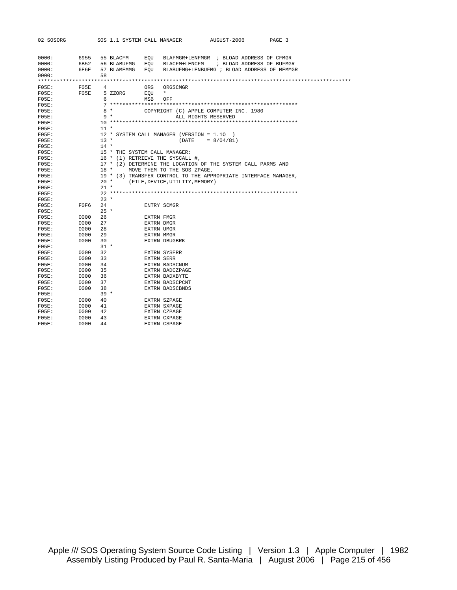| 02 SOSORG |      |        |           |             |     | SOS 1.1 SYSTEM CALL MANAGER              | AUGUST-2006                                                     | PAGE 3 |  |
|-----------|------|--------|-----------|-------------|-----|------------------------------------------|-----------------------------------------------------------------|--------|--|
|           |      |        |           |             |     |                                          |                                                                 |        |  |
|           |      |        |           |             |     |                                          |                                                                 |        |  |
| 0000:     | 6955 |        | 55 BLACFM |             | EOU |                                          | BLAFMGR+LENFMGR ; BLOAD ADDRESS OF CFMGR                        |        |  |
| 0000:     | 6B52 |        |           | 56 BLABUFMG | EOU |                                          | BLACFM+LENCFM ; BLOAD ADDRESS OF BUFMGR                         |        |  |
| 0000:     | 6E6E |        |           | 57 BLAMEMMG | EOU |                                          | BLABUFMG+LENBUFMG ; BLOAD ADDRESS OF MEMMGR                     |        |  |
| 0000:     |      | 58     |           |             |     |                                          |                                                                 |        |  |
|           |      |        |           |             |     |                                          |                                                                 |        |  |
| FOSE:     | F05E | 4      |           |             | ORG | ORGSCMGR                                 |                                                                 |        |  |
| FO5E:     | FOSE |        | 5 ZZORG   |             | EOU | $\star$                                  |                                                                 |        |  |
| FOSE:     |      | 6      |           |             | MSB | OFF                                      |                                                                 |        |  |
| FOSE:     |      |        |           |             |     |                                          |                                                                 |        |  |
| FOSE:     |      |        | $8*$      |             |     |                                          | COPYRIGHT (C) APPLE COMPUTER INC. 1980                          |        |  |
| FOSE:     |      |        | $9 *$     |             |     |                                          | ALL RIGHTS RESERVED                                             |        |  |
| FOSE:     |      |        |           |             |     |                                          |                                                                 |        |  |
| FOSE:     |      | $11 *$ |           |             |     |                                          |                                                                 |        |  |
| FOSE:     |      |        |           |             |     | 12 * SYSTEM CALL MANAGER (VERSION = 1.10 |                                                                 |        |  |
| FOSE:     |      | $13 *$ |           |             |     | (DATE                                    | $= 8/04/81$                                                     |        |  |
| FOSE:     |      | $14 *$ |           |             |     |                                          |                                                                 |        |  |
| FOSE:     |      |        |           |             |     | 15 * THE SYSTEM CALL MANAGER:            |                                                                 |        |  |
| FOSE:     |      |        |           |             |     | 16 * (1) RETRIEVE THE SYSCALL #,         |                                                                 |        |  |
| $FO5E$ :  |      |        |           |             |     |                                          | 17 * (2) DETERMINE THE LOCATION OF THE SYSTEM CALL PARMS AND    |        |  |
| $FO5E$ :  |      |        | 18 *      |             |     | MOVE THEM TO THE SOS ZPAGE,              |                                                                 |        |  |
| FOSE:     |      |        |           |             |     |                                          | 19 * (3) TRANSFER CONTROL TO THE APPROPRIATE INTERFACE MANAGER, |        |  |
| FOSE:     |      | $20 *$ |           |             |     | (FILE, DEVICE, UTILITY, MEMORY)          |                                                                 |        |  |
| FOSE:     |      | $21 *$ |           |             |     |                                          |                                                                 |        |  |
| FOSE:     |      |        |           |             |     |                                          |                                                                 |        |  |
| FOSE:     |      | $23 *$ |           |             |     |                                          |                                                                 |        |  |
| FOSE:     | F0F6 | 24     |           |             |     | ENTRY SCMGR                              |                                                                 |        |  |
| FOSE:     |      | $25 *$ |           |             |     |                                          |                                                                 |        |  |
| FO5E:     | 0000 | 26     |           |             |     | EXTRN FMGR                               |                                                                 |        |  |
| FOSE:     | 0000 | 27     |           |             |     | EXTRN DMGR                               |                                                                 |        |  |
| FOSE:     | 0000 | 28     |           |             |     | EXTRN UMGR                               |                                                                 |        |  |
| FOSE:     | 0000 | 29     |           |             |     | EXTRN MMGR                               |                                                                 |        |  |
| FOSE:     | 0000 | 30     |           |             |     | EXTRN DBUGBRK                            |                                                                 |        |  |
| FOSE:     |      | $31 *$ |           |             |     |                                          |                                                                 |        |  |
| FOSE:     | 0000 | 32     |           |             |     | EXTRN SYSERR                             |                                                                 |        |  |
| FOSE:     | 0000 | 33     |           |             |     | <b>EXTRN SERR</b>                        |                                                                 |        |  |
| FOSE:     | 0000 | 34     |           |             |     | EXTRN BADSCNUM                           |                                                                 |        |  |
| FOSE:     | 0000 | 35     |           |             |     | EXTRN BADCZPAGE                          |                                                                 |        |  |
| FO5E:     | 0000 | 36     |           |             |     | EXTRN BADXBYTE                           |                                                                 |        |  |
| $FO5E$ :  | 0000 | 37     |           |             |     | EXTRN BADSCPCNT                          |                                                                 |        |  |
| FOSE:     | 0000 | 38     |           |             |     | <b>EXTRN BADSCBNDS</b>                   |                                                                 |        |  |
| $FO5E$ :  |      | $39 *$ |           |             |     |                                          |                                                                 |        |  |
| FOSE:     | 0000 | 40     |           |             |     | EXTRN SZPAGE                             |                                                                 |        |  |
| $FO5E$ :  | 0000 | 41     |           |             |     | EXTRN SXPAGE                             |                                                                 |        |  |
| $FO5E$ :  | 0000 | 42     |           |             |     | EXTRN CZPAGE                             |                                                                 |        |  |
| FOSE:     | 0000 | 43     |           |             |     | <b>EXTRN CXPAGE</b>                      |                                                                 |        |  |
| FOSE:     | 0000 | 44     |           |             |     | <b>EXTRN CSPAGE</b>                      |                                                                 |        |  |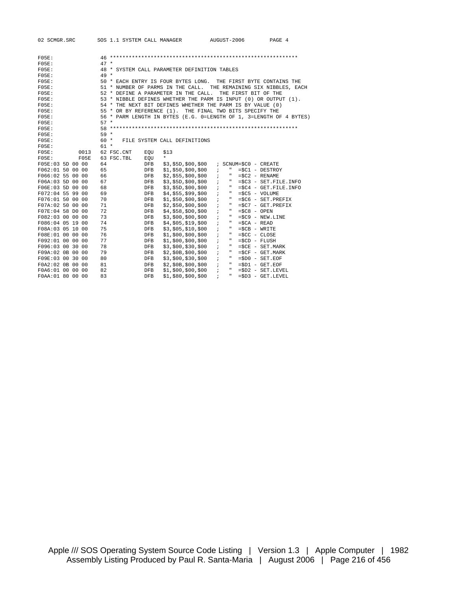| 02 SCMGR.SRC     | SOS 1.1 SYSTEM CALL MANAGER                                         |                              | AUGUST-2006                                            | PAGE 4                              |
|------------------|---------------------------------------------------------------------|------------------------------|--------------------------------------------------------|-------------------------------------|
|                  |                                                                     |                              |                                                        |                                     |
| FOSE:            |                                                                     |                              |                                                        |                                     |
| FOSE:            | $47 *$                                                              |                              |                                                        |                                     |
| FOSE:            | 48 * SYSTEM CALL PARAMETER DEFINITION TABLES<br>$49 *$              |                              |                                                        |                                     |
| FOSE:<br>FOSE:   | 50 * EACH ENTRY IS FOUR BYTES LONG. THE FIRST BYTE CONTAINS THE     |                              |                                                        |                                     |
| FOSE:            | 51 * NUMBER OF PARMS IN THE CALL. THE REMAINING SIX NIBBLES, EACH   |                              |                                                        |                                     |
| FOSE:            | 52 * DEFINE A PARAMETER IN THE CALL.                                |                              | THE FIRST BIT OF THE                                   |                                     |
| FOSE:            | 53 * NIBBLE DEFINES WHETHER THE PARM IS INPUT (0) OR OUTPUT (1).    |                              |                                                        |                                     |
| FOSE:            | 54 * THE NEXT BIT DEFINES WHETHER THE PARM IS BY VALUE (0)          |                              |                                                        |                                     |
| FOSE:            | 55 * OR BY REFERENCE (1). THE FINAL TWO BITS SPECIFY THE            |                              |                                                        |                                     |
| FOSE:            | 56 * PARM LENGTH IN BYTES (E.G. 0=LENGTH OF 1, 3=LENGTH OF 4 BYTES) |                              |                                                        |                                     |
| FOSE:            | $57 *$                                                              |                              |                                                        |                                     |
| FOSE:            |                                                                     |                              |                                                        |                                     |
| FOSE:            | $59 *$                                                              |                              |                                                        |                                     |
| FOSE:            | $60 *$                                                              | FILE SYSTEM CALL DEFINITIONS |                                                        |                                     |
| FOSE:            | $61 *$                                                              |                              |                                                        |                                     |
| FOSE:<br>0013    | 62 FSC.CNT<br>EOU                                                   | \$13                         |                                                        |                                     |
| FOSE:<br>FOSE    | 63 FSC.TBL<br>EOU                                                   | $\star$                      |                                                        |                                     |
| F05E:03 5D 00 00 | 64<br><b>DFB</b>                                                    | \$3,\$5D,\$00,\$00           | ; SCNUM=\$C0 - CREATE                                  |                                     |
| F062:01 50 00 00 | 65<br>DFB                                                           | \$1, \$50, \$00, \$00        | $\ddot{ }$<br>$\mathbf{H}$<br>$= $C1 - DEFROY$         |                                     |
| F066:02 55 00 00 | 66<br><b>DFB</b>                                                    | \$2, \$55, \$00, \$00        | $=$ $SC2 - RENAME$<br>$\ddot{i}$<br>$\mathbf{H}$       |                                     |
| F06A:03 5D 00 00 | 67<br><b>DFB</b>                                                    | \$3, \$5D, \$00, \$00        | $\overline{\phantom{a}}$<br>$\mathbf{H}$               | $=\frac{2}{3}C3 - SET.FILE.INFO$    |
| F06E:03 5D 00 00 | 68<br><b>DFB</b>                                                    | \$3,\$5D,\$00,\$00           | $\mathbf{H}$<br>$\ddot{ }$                             | $=\frac{1}{2}C4 - GET.FILE.INFO$    |
| F072:04 55 99 00 | 69<br><b>DFB</b>                                                    | \$4, \$55, \$99, \$00        | $\ddot{i}$<br>$\mathbf{m}_{\perp}$<br>$=\$C5 - VOLUME$ |                                     |
| F076:01 50 00 00 | 70<br><b>DFB</b>                                                    | \$1, \$50, \$00, \$00        | $\mathbf{H}$<br>$\ddot{i}$                             | $=\$C6 - SET.PREFIX$                |
| F07A:02 50 00 00 | 71<br>DFB                                                           | \$2, \$50, \$00, \$00        | $\ddot{i}$<br>$\mathbf{m}_{\perp}$                     | $=\frac{2}{3}C7 - GET \cdot PREFIX$ |
| F07E:04 58 D0 00 | 72<br><b>DFB</b>                                                    | \$4, \$58, \$D0, \$00        | $\ddot{i}$<br>$\mathbf{H}$<br>$=\$C8 - OPEN$           |                                     |
| F082:03 00 00 00 | 73<br><b>DFB</b>                                                    | \$3, \$00, \$00, \$00        | $\mathbf{H}$<br>$\ddot{i}$                             | $= $C9 - NEW.LINE$                  |
| F086:04 05 19 00 | 74<br>DFB                                                           | \$4, \$05, \$19, \$00        | $\mathbf{H}$<br>$=\$CA - READ$<br>$\ddot{i}$           |                                     |
| F08A:03 05 10 00 | 75<br><b>DFB</b>                                                    | \$3, \$05, \$10, \$00        | $\mathbf{H}$<br>$=$ $SCB - WRITE$<br>$\ddot{i}$        |                                     |
| F08E:01 00 00 00 | 76<br><b>DFB</b>                                                    | \$1, \$00, \$00, \$00        | $\mathbf{H}$<br>$\ddot{i}$<br>$=$ \$CC - CLOSE         |                                     |
| F092:01 00 00 00 | 77<br><b>DFB</b>                                                    | \$1, \$00, \$00, \$00        | $\ddot{i}$<br>$\mathbf{H}$<br>$= $CD - FLUSH$          |                                     |
| F096:03 00 30 00 | 78<br><b>DFB</b>                                                    | \$3, \$00, \$30, \$00        | $\ddot{i}$<br>$\mathbf{H}$                             | $=\$CE$ - SET. MARK                 |
| F09A:02 0B 00 00 | 79<br><b>DFB</b>                                                    | \$2, \$0B, \$00, \$00        | $\overline{\phantom{a}}$<br>$\mathbf{H}$               | $=$ $SCF - GET \t, MARK$            |
| F09E:03 00 30 00 | 80<br>DFB                                                           | \$3, \$00, \$30, \$00        | $\ddot{i}$<br>$\mathbf{H}$<br>$= $D0 - SET. EOF$       |                                     |
| F0A2:02 0B 00 00 | 81<br><b>DFB</b>                                                    | \$2, \$0B, \$00, \$00        | $\ddot{ }$<br>$\mathbf{H}$<br>$= $D1 - GET.EOF$        |                                     |
| F0A6:01 00 00 00 | 82<br>DFB                                                           | \$1, \$00, \$00, \$00        | $\ddot{i}$<br>$\mathbf{H}$                             | $=SD2 - SET.$ LEVEL                 |
| F0AA:01 80 00 00 | 83<br><b>DFB</b>                                                    | \$1, \$80, \$00, \$00        | $\ddot{i}$<br>$\mathbf{H}$                             | $=SD3 - GET. LEVEL$                 |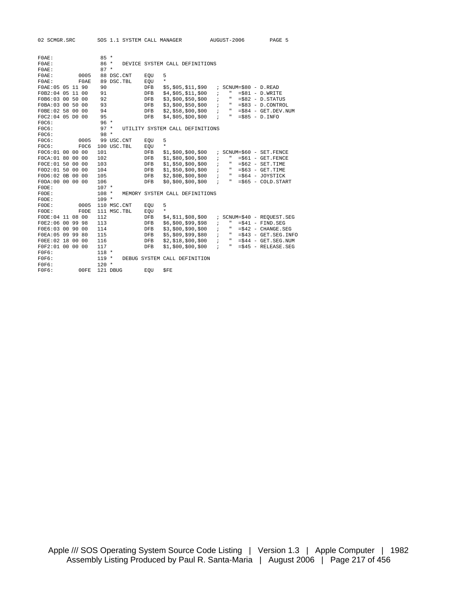| 02 SCMGR.SRC     | SOS 1.1 SYSTEM CALL MANAGER |                                     | AUGUST-2006                             | PAGE 5                             |
|------------------|-----------------------------|-------------------------------------|-----------------------------------------|------------------------------------|
|                  |                             |                                     |                                         |                                    |
| FOAE:            | $85 *$                      |                                     |                                         |                                    |
| $FOAE$ :         | $86 *$                      | DEVICE SYSTEM CALL DEFINITIONS      |                                         |                                    |
| FOAE:            | $87 *$                      |                                     |                                         |                                    |
| $FOAE$ :<br>0005 | 88 DSC.CNT                  | 5<br>EOU                            |                                         |                                    |
| FOAE:<br>F0AE    | 89 DSC. TBL                 | $\star$<br>EOU                      |                                         |                                    |
| FOAE:05 05 11 90 | 90                          | DFB<br>\$5,\$05,\$11,\$90           | $SCNUM = $80 - D. READ$<br>$\mathbf{r}$ |                                    |
| F0B2:04 05 11 00 | 91                          | <b>DFB</b><br>\$4, \$05, \$11, \$00 | $\mathfrak n$<br>$\ddot{i}$             | $= $81 - D.WRITE$                  |
| F0B6:03 00 50 00 | 92                          | \$3, \$00, \$50, \$00<br>DFB        | $\ddot{i}$<br>$\mathbf{H}$              | $= $82 - D.STATUS$                 |
| F0BA:03 00 50 00 | 93                          | DFB<br>\$3, \$00, \$50, \$00        | $\mathbf{r}$<br>$\mathbf{H}$            | $= $83 - D$ . CONTROL              |
| F0BE:02 58 00 00 | 94                          | <b>DFB</b><br>\$2, \$58, \$00, \$00 | $\ddot{ }$<br>$\mathbf{H}$              | $= $84 - GET.DEV.NUM$              |
| F0C2:04 05 D0 00 | 95                          | \$4, \$05, \$D0, \$00<br><b>DFB</b> | $\mathbf{H}$<br>$\ddot{i}$              | $= $85 - D.INFO$                   |
| FOC6:            | $96 *$                      |                                     |                                         |                                    |
| FOC6:            | $97 *$                      | UTILITY SYSTEM CALL DEFINITIONS     |                                         |                                    |
| FOC6:            | $98 *$                      |                                     |                                         |                                    |
| FOC6:<br>0005    | 99 USC.CNT                  | 5<br>EOU                            |                                         |                                    |
| FOCG:<br>F0C6    | 100 USC.TBL                 | $\star$<br>EOU                      |                                         |                                    |
| F0C6:01 00 00 00 | 101                         | <b>DFB</b><br>\$1,\$00,\$00,\$00    |                                         | ; SCNUM=\$60 - SET. FENCE          |
| FOCA:01 80 00 00 | 102                         | \$1, \$80, \$00, \$00<br><b>DFB</b> | $\mathbf{H}$<br>$\ddot{i}$              | $= $61 - GET.FENCE$                |
| FOCE:01 50 00 00 | 103                         | \$1, \$50, \$00, \$00<br>DFB        | $\ddot{i}$<br>$\mathbf{H}$              | $= $62 - SET.TIME$                 |
| F0D2:01 50 00 00 | 104                         | \$1, \$50, \$00, \$00<br>DFB        | $\ddot{i}$<br>$\mathbf{H}$              | $= $63 - GET.TIME$                 |
| F0D6:02 0B 00 00 | 105                         | \$2, \$0B, \$00, \$00<br>DFB        | $\mathbf{u}$<br>$\ddot{i}$              | $= $64 - JOYSTICK$                 |
| F0DA:00 00 00 00 | 106                         | \$0, \$00, \$00, \$00<br><b>DFB</b> | $\mathbf{H}$<br>$\ddot{i}$              | $= $65 - COLD.START$               |
| FODE:            | $107 *$                     |                                     |                                         |                                    |
| FODE:            | $108 *$                     | MEMORY SYSTEM CALL DEFINITIONS      |                                         |                                    |
| FODE:            | $109 *$                     |                                     |                                         |                                    |
| FODE:<br>0005    | 110 MSC.CNT                 | 5<br>EQU                            |                                         |                                    |
| FODE:<br>F0DE    | 111 MSC.TBL                 | $\star$<br>EQU                      |                                         |                                    |
| FODE:04 11 08 00 | 112                         | <b>DFB</b><br>\$4, \$11, \$08, \$00 |                                         | ; SCNUM=\$40 - REOUEST.SEG         |
| F0E2:06 00 99 98 | 113                         | \$6, \$00, \$99, \$98<br>DFB        | $\ddot{i}$                              | $= $41 - FIND.SEG$                 |
| F0E6:03 00 90 00 | 114                         | <b>DFB</b><br>\$3, \$00, \$90, \$00 | $\ddot{i}$<br>$\mathbf{H}$              | $= $42 - \text{CHANGE}.\text{SEG}$ |
| FOEA:05 09 99 80 | 115                         | \$5, \$09, \$99, \$80<br><b>DFB</b> | $\mathfrak{z}$<br>$\mathbf{H}$          | $= $43 - GET.SEG. INFO$            |
| FOEE:02 18 00 00 | 116                         | \$2,\$18,\$00,\$00<br><b>DFB</b>    | $\ddot{i}$<br>$\mathbf{H}$              | $= $44 - GET.SEG.NUM$              |
| F0F2:01 00 00 00 | 117                         | \$1, \$00, \$00, \$00<br><b>DFB</b> | $\mathbf{H}$<br>$\ddot{i}$              | $= $45 - RELEASE.SEG$              |
| FOFG:            | $118 *$                     |                                     |                                         |                                    |
| FOFG:            | $119 *$                     | DEBUG SYSTEM CALL DEFINITION        |                                         |                                    |
| FOFG:            | $120 *$                     |                                     |                                         |                                    |
| FOFG:<br>00FE    | 121 DBUG                    | EOU<br><b>SFE</b>                   |                                         |                                    |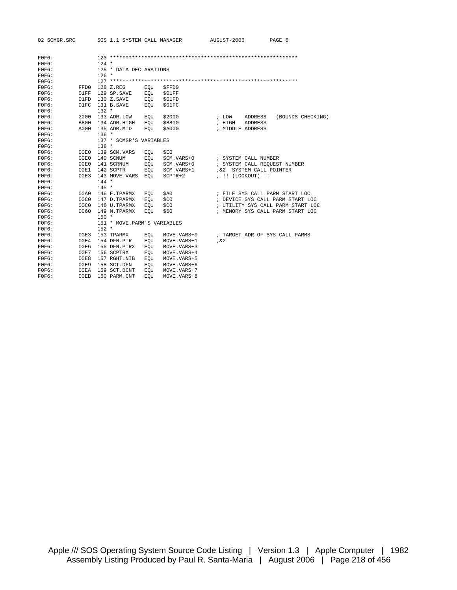| 02 SCMGR.SRO |
|--------------|
|--------------|

RC SOS 1.1 SYSTEM CALL MANAGER AUGUST-2006 PAGE 6

| FOFG: |                   |         |                              |                         |              |                  |                      |                                   |  |  |  |
|-------|-------------------|---------|------------------------------|-------------------------|--------------|------------------|----------------------|-----------------------------------|--|--|--|
| FOFG: |                   | $124 *$ |                              |                         |              |                  |                      |                                   |  |  |  |
| FOFG: |                   |         |                              | 125 * DATA DECLARATIONS |              |                  |                      |                                   |  |  |  |
| FOFG: |                   | $126 *$ |                              |                         |              |                  |                      |                                   |  |  |  |
| FOFG: |                   |         |                              |                         |              |                  |                      |                                   |  |  |  |
| FOFG: | FFD0              |         | 128 Z.REG                    | EOU                     | \$FFD0       |                  |                      |                                   |  |  |  |
| FOFG: | 01FF              |         | 129 SP. SAVE                 | EOU                     | \$01FF       |                  |                      |                                   |  |  |  |
| FOFG: | 01FD              |         | 130 Z.SAVE                   | EOU                     | \$01FD       |                  |                      |                                   |  |  |  |
| FOFG: | 01FC              |         | 131 B.SAVE                   | EOU                     | \$01FC       |                  |                      |                                   |  |  |  |
| FOFG: |                   | $132 *$ |                              |                         |              |                  |                      |                                   |  |  |  |
| FOFG: | 2000              |         | 133 ADR.LOW                  | EOU                     | \$2000       | ; LOW            | <b>ADDRESS</b>       | (BOUNDS CHECKING)                 |  |  |  |
| FOFG: | <b>B800</b>       |         | 134 ADR.HIGH                 | EQU                     | \$B800       | ; HIGH           | ADDRESS              |                                   |  |  |  |
| FOFG: | A000              |         | 135 ADR.MID                  | EOU                     | \$A000       | ; MIDDLE ADDRESS |                      |                                   |  |  |  |
| FOFG: |                   | $136 *$ |                              |                         |              |                  |                      |                                   |  |  |  |
| FOFG: |                   |         | 137 * SCMGR'S VARIABLES      |                         |              |                  |                      |                                   |  |  |  |
| FOFG: |                   | $138 *$ |                              |                         |              |                  |                      |                                   |  |  |  |
| FOFG: | 00E0              |         | 139 SCM. VARS                | EOU                     | \$E0         |                  |                      |                                   |  |  |  |
| FOFG: | 00E0              |         | 140 SCNUM                    | EOU                     | SCM. VARS+0  |                  | ; SYSTEM CALL NUMBER |                                   |  |  |  |
| FOFG: | 00E0              |         | 141 SCRNUM                   | EQU                     | SCM. VARS+0  |                  |                      | ; SYSTEM CALL REQUEST NUMBER      |  |  |  |
| FOFG: | 00E1              |         | 142 SCPTR                    | EOU                     | SCM. VARS+1  | 7&2              | SYSTEM CALL POINTER  |                                   |  |  |  |
| FOFG: | 00E3              |         | 143 MOVE.VARS                | EOU                     | $SCPTR+2$    |                  | ; !! (LOOKOUT) !!    |                                   |  |  |  |
| FOFG: |                   | $144 *$ |                              |                         |              |                  |                      |                                   |  |  |  |
| FOFG: |                   | $145 *$ |                              |                         |              |                  |                      |                                   |  |  |  |
| FOFG: | 00A0              |         | 146 F.TPARMX                 | EOU                     | \$A0         |                  |                      | ; FILE SYS CALL PARM START LOC    |  |  |  |
| FOFG: | 0.0C <sub>0</sub> |         | 147 D.TPARMX                 | EOU                     | \$CO         |                  |                      | ; DEVICE SYS CALL PARM START LOC  |  |  |  |
| FOFG: | 00C0              |         | 148 U.TPARMX                 | EOU                     | \$C0         |                  |                      | ; UTILITY SYS CALL PARM START LOC |  |  |  |
| FOFG: | 0060              |         | 149 M.TPARMX                 | EOU                     | \$60         |                  |                      | ; MEMORY SYS CALL PARM START LOC  |  |  |  |
| FOFG: |                   | $150 *$ |                              |                         |              |                  |                      |                                   |  |  |  |
| FOFG: |                   |         | 151 * MOVE. PARM'S VARIABLES |                         |              |                  |                      |                                   |  |  |  |
| FOFG: |                   | $152 *$ |                              |                         |              |                  |                      |                                   |  |  |  |
| FOFG: | 00E3              |         | 153 TPARMX                   | EOU                     | MOVE.VARS+0  |                  |                      | ; TARGET ADR OF SYS CALL PARMS    |  |  |  |
| FOFG: | 00E4              |         | 154 DFN.PTR                  | EOU                     | MOVE.VARS+1  | 7&2              |                      |                                   |  |  |  |
| FOFG: | 00E6              |         | 155 DFN.PTRX                 | EOU                     | MOVE. VARS+3 |                  |                      |                                   |  |  |  |
| FOFG: | 00E7              |         | 156 SCPTRX                   | EOU                     | MOVE. VARS+4 |                  |                      |                                   |  |  |  |
| FOFG: | 00E8              |         | 157 RGHT.NIB                 | EOU                     | MOVE. VARS+5 |                  |                      |                                   |  |  |  |
| FOFG: | 00E9              |         | 158 SCT.DFN                  | EOU                     | MOVE. VARS+6 |                  |                      |                                   |  |  |  |
| FOFG: | 00EA              |         | 159 SCT.DCNT                 | EOU                     | MOVE.VARS+7  |                  |                      |                                   |  |  |  |
| FOFG: | 00EB              |         | 160 PARM.CNT                 | EOU                     | MOVE. VARS+8 |                  |                      |                                   |  |  |  |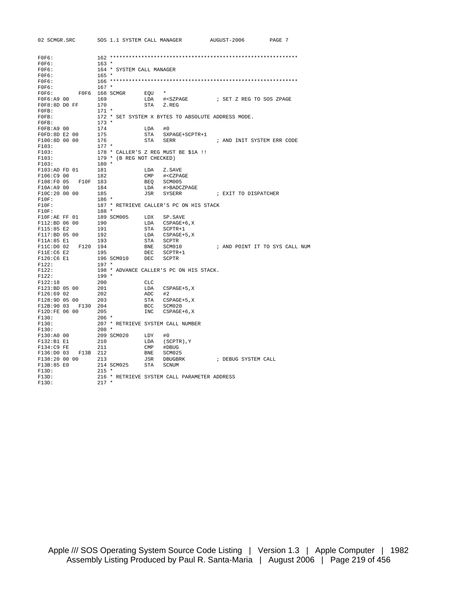| 02 SCMGR.SRC SOS 1.1 SYSTEM CALL MANAGER |                   |                           |          |                                                    | AUGUST-2006                | PAGE 7                         |
|------------------------------------------|-------------------|---------------------------|----------|----------------------------------------------------|----------------------------|--------------------------------|
|                                          |                   |                           |          |                                                    |                            |                                |
| FOFG:                                    |                   |                           |          |                                                    |                            |                                |
| FOFG:                                    | $163 *$           |                           |          |                                                    |                            |                                |
| FOFG:                                    |                   | 164 * SYSTEM CALL MANAGER |          |                                                    |                            |                                |
| FOFG:                                    | $165 *$           |                           |          |                                                    |                            |                                |
| FOFG:                                    |                   |                           |          |                                                    |                            |                                |
| FOFG:                                    | $167 *$           |                           |          |                                                    |                            |                                |
| FOFG:                                    |                   | F0F6 168 SCMGR EQU        |          | $\star$                                            |                            |                                |
| F0F6:A9 00                               |                   | 169 11                    | LDA      |                                                    |                            |                                |
| FOF8:8D DO FF                            | 170               |                           |          | STA Z.REG                                          |                            |                                |
| FOFB:                                    | $171 *$           |                           |          |                                                    |                            |                                |
| FOFB:                                    |                   |                           |          | 172 * SET SYSTEM X BYTES TO ABSOLUTE ADDRESS MODE. |                            |                                |
| FOFB:                                    | $173$ *           |                           |          |                                                    |                            |                                |
| FOFB: A9 00                              |                   |                           | $LDA$ #0 |                                                    |                            |                                |
| FOFD:8D E2 00                            | 174<br>175<br>176 |                           |          | STA SXPAGE+SCPTR+1                                 |                            |                                |
| F100:8D 00 00                            |                   |                           | STA      | SERR                                               | ; AND INIT SYSTEM ERR CODE |                                |
| F103:                                    | $177 *$           |                           |          |                                                    |                            |                                |
| F103:                                    |                   |                           |          | 178 * CALLER'S Z REG MUST BE \$1A !!               |                            |                                |
| F103:                                    |                   | 179 * (B REG NOT CHECKED) |          |                                                    |                            |                                |
| F103:                                    | $180 *$           |                           |          |                                                    |                            |                                |
| F103:AD FD 01                            | 181               |                           | LDA      | Z.SAVE                                             |                            |                                |
| F106:C9 00                               | 182               |                           |          | CMP # <czpage< td=""><td></td><td></td></czpage<>  |                            |                                |
| F108:F0 05 F10F 183                      |                   |                           |          | BEQ SCM005                                         |                            |                                |
| F10A:A9 00                               | 184               |                           |          | LDA #>BADCZPAGE                                    |                            |                                |
| F10C:20 00 00                            | 185               |                           |          | JSR SYSERR                                         | ; EXIT TO DISPATCHER       |                                |
| $F10F$ :                                 | 186 *             |                           |          |                                                    |                            |                                |
| $F10F$ :                                 |                   |                           |          | 187 * RETRIEVE CALLER'S PC ON HIS STACK            |                            |                                |
| $F10F$ :                                 | 188 *             |                           |          |                                                    |                            |                                |
| F10F:AE FF 01                            |                   |                           |          |                                                    |                            |                                |
| F112:BD 06 00                            |                   |                           |          | LDA CSPAGE+6,X                                     |                            |                                |
| F115:85 E2                               | 191               |                           |          | STA SCPTR+1                                        |                            |                                |
| F117:BD 05 00                            | 192               |                           |          | LDA CSPAGE+5,X<br>STA SCPTR                        |                            |                                |
| F11A:85 E1                               | 193               |                           |          |                                                    |                            |                                |
| F11C:D0 02 F120 194                      |                   |                           |          | BNE SCM010                                         |                            | ; AND POINT IT TO SYS CALL NUM |
| F11E:CGE2                                | 195               |                           |          | DEC SCPTR+1                                        |                            |                                |
| F120:C6 E1                               |                   | 196 SCM010                |          | DEC SCPTR                                          |                            |                                |
| F122:                                    | $197 *$           |                           |          |                                                    |                            |                                |
| F122:                                    |                   |                           |          | 198 * ADVANCE CALLER'S PC ON HIS STACK.            |                            |                                |
| F122:                                    | $199 *$           |                           |          |                                                    |                            |                                |
| F122:18                                  | 200               |                           | CLC      |                                                    |                            |                                |
| F123:BD 05 00                            | 201               |                           |          | LDA CSPAGE+5,X                                     |                            |                                |
| $F126:69$ 02                             | 202               |                           | $ADC$ #2 |                                                    |                            |                                |
| F128:9D 05 00 203                        |                   |                           |          |                                                    |                            |                                |
| F12B:90 03 F130 204                      |                   |                           |          | STA CSPAGE+5,X<br>BCC SCM020                       |                            |                                |
| F12D:FE 06 00                            | 205               |                           |          | INC CSPAGE+6, X                                    |                            |                                |
| F130:                                    | $206 *$           |                           |          |                                                    |                            |                                |
| F130:                                    |                   |                           |          | 207 * RETRIEVE SYSTEM CALL NUMBER                  |                            |                                |
| F130:                                    | $208 *$           |                           |          |                                                    |                            |                                |
| F130:A0 00                               |                   | 209 SCM020 LDY            |          | #0                                                 |                            |                                |
| F132:B1 E1                               | 210               |                           |          | LDA (SCPTR), Y                                     |                            |                                |
| F134:C9 FE                               | 211               |                           |          | CMP #DBUG                                          |                            |                                |
| F136:D0 03 F13B 212                      |                   |                           |          | BNE SCM025                                         |                            |                                |
| F138:20 00 00                            | 213               |                           |          | JSR DBUGBRK                                        | ; DEBUG SYSTEM CALL        |                                |
| F13B:85 E0                               |                   | 214 SCM025 STA            |          | SCNUM                                              |                            |                                |
| F13D:                                    | $215 *$           |                           |          |                                                    |                            |                                |
| F13D:                                    |                   |                           |          | 216 * RETRIEVE SYSTEM CALL PARAMETER ADDRESS       |                            |                                |
| F13D:                                    | $217 *$           |                           |          |                                                    |                            |                                |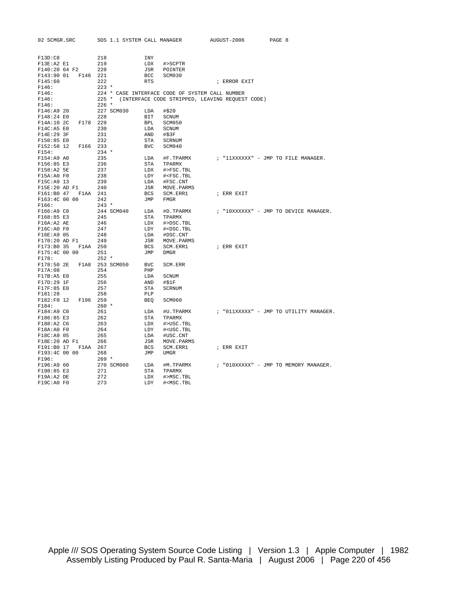| 02 SCMGR.SRC                         | SOS 1.1 SYSTEM CALL MANAGER |            |                                                 | AUGUST-2006                                           | PAGE 8                                 |
|--------------------------------------|-----------------------------|------------|-------------------------------------------------|-------------------------------------------------------|----------------------------------------|
|                                      |                             |            |                                                 |                                                       |                                        |
| F13D:C8                              | 218                         | INY        |                                                 |                                                       |                                        |
| F13E:A2 E1                           | 219                         | LDX        | #>SCPTR                                         |                                                       |                                        |
| F140:20 64 F2                        | 220                         | JSR        | POINTER                                         |                                                       |                                        |
| F143:90 01 F146 221                  |                             | <b>BCC</b> | SCM030                                          |                                                       |                                        |
| F145:60                              | 222                         | <b>RTS</b> |                                                 | ; ERROR EXIT                                          |                                        |
| F146:                                | $223$ *                     |            |                                                 |                                                       |                                        |
| F146:                                |                             |            | 224 * CASE INTERFACE CODE OF SYSTEM CALL NUMBER |                                                       |                                        |
| F146:                                |                             |            |                                                 | 225 * (INTERFACE CODE STRIPPED, LEAVING REQUEST CODE) |                                        |
| F146:                                | $226 *$                     |            |                                                 |                                                       |                                        |
| F146:A9 20                           | 227 SCM030                  | LDA        | #\$20                                           |                                                       |                                        |
| F148:24 E0                           | 228                         | BIT        | SCNUM                                           |                                                       |                                        |
| F14A:10 2C<br>F178 229               |                             | BPL        | SCM050                                          |                                                       |                                        |
| F14C: A5 E0                          | 230                         | LDA        | SCNUM                                           |                                                       |                                        |
| F14E:29 3F                           | 231                         | AND        | #\$3F                                           |                                                       |                                        |
| F150:85 E0                           | 232                         | STA        | SCRNUM                                          |                                                       |                                        |
| F152:50 12<br>F166 233               |                             | <b>BVC</b> | SCM040                                          |                                                       |                                        |
| F154:                                | $234 *$                     |            |                                                 |                                                       |                                        |
| F154:A9 A0                           | 235                         | LDA        | #F.TPARMX                                       |                                                       | ; "11XXXXXX" - JMP TO FILE MANAGER.    |
| F156:85 E3                           | 236                         | STA        | TPARMX                                          |                                                       |                                        |
| F158:A2 5E                           | 237                         | LDX        | #>FSC.TBL                                       |                                                       |                                        |
| F15A:AOF0                            | 238                         | LDY        | # <fsc.tbl< td=""><td></td><td></td></fsc.tbl<> |                                                       |                                        |
| F15C:A9 13                           | 239                         | LDA        | #FSC.CNT                                        |                                                       |                                        |
| F15E:20 AD F1                        | 240                         | JSR        | MOVE.PARMS                                      |                                                       |                                        |
| F1AA 241<br>F161:B0 47               |                             | BCS        | SCM.ERR1                                        | ; ERR EXIT                                            |                                        |
| F163:4C 00 00                        | 242                         | JMP        | FMGR                                            |                                                       |                                        |
| F166:                                | $243 *$                     |            |                                                 |                                                       |                                        |
| F166:A9 CO                           | 244 SCM040                  | LDA        | #D.TPARMX                                       |                                                       | ; "10XXXXXX" - JMP TO DEVICE MANAGER.  |
| F168:85 E3                           | 245                         | STA        | TPARMX                                          |                                                       |                                        |
| F16A:A2AE                            | 246                         | LDX        | #>DSC.TBL                                       |                                                       |                                        |
| F16C:AO F0                           | 247                         | LDY        | # <dsc.tbl< td=""><td></td><td></td></dsc.tbl<> |                                                       |                                        |
| F16E:A9 05                           | 248                         | LDA        | #DSC.CNT                                        |                                                       |                                        |
| F170:20 AD F1<br>F173:B0 35 F1AA 250 | 249                         | JSR<br>BCS | MOVE.PARMS<br>SCM.ERR1                          | ; ERR EXIT                                            |                                        |
| F175:4C 00 00                        | 251                         | JMP        | <b>DMGR</b>                                     |                                                       |                                        |
| F178:                                | $252 *$                     |            |                                                 |                                                       |                                        |
| F178:50 2E                           | F1A8 253 SCM050             | BVC        | SCM. ERR                                        |                                                       |                                        |
| F17A:08                              | 254                         | PHP        |                                                 |                                                       |                                        |
| F17B: A5 E0                          | 255                         | LDA        | SCNUM                                           |                                                       |                                        |
| F17D:29 1F                           | 256                         | AND        | #\$1F                                           |                                                       |                                        |
| F17F:85 E0                           | 257                         | STA        | <b>SCRNUM</b>                                   |                                                       |                                        |
| F181:28                              | 258                         | PLP        |                                                 |                                                       |                                        |
| F182:F0 12<br>F196 259               |                             | BEO        | SCM060                                          |                                                       |                                        |
| F184:                                | $260 *$                     |            |                                                 |                                                       |                                        |
| F184:A9 CO                           | 261                         | LDA        | #U.TPARMX                                       |                                                       | ; "OllXXXXX" - JMP TO UTILITY MANAGER. |
| F186:85 E3                           | 262                         | STA        | TPARMX                                          |                                                       |                                        |
| F188:A2 C6                           | 263                         | LDX        | #>USC.TBL                                       |                                                       |                                        |
| F18A:AOF0                            | 264                         | LDY        | # <usc.tbl< td=""><td></td><td></td></usc.tbl<> |                                                       |                                        |
| F18C:A9 05                           | 265                         | LDA        | #USC.CNT                                        |                                                       |                                        |
| F18E:20 AD F1                        | 266                         | JSR        | MOVE.PARMS                                      |                                                       |                                        |
| F191:B0 17 F1AA 267                  |                             | BCS        | SCM.ERR1                                        | ; ERR EXIT                                            |                                        |
| F193:4C 00 00                        | 268                         | JMP        | UMGR                                            |                                                       |                                        |
| F196:                                | $269 *$                     |            |                                                 |                                                       |                                        |
| F196:A9 60                           | 270 SCM060                  | LDA        | #M.TPARMX                                       |                                                       | ; "O10XXXXX" - JMP TO MEMORY MANAGER.  |
| F198:85 E3                           | 271                         | STA        | TPARMX                                          |                                                       |                                        |
| F19A: A2 DE                          | 272                         | LDX        | #>MSC.TBL                                       |                                                       |                                        |
| F19C:A0 F0                           | 273                         | LDY        | # <msc.tbl< td=""><td></td><td></td></msc.tbl<> |                                                       |                                        |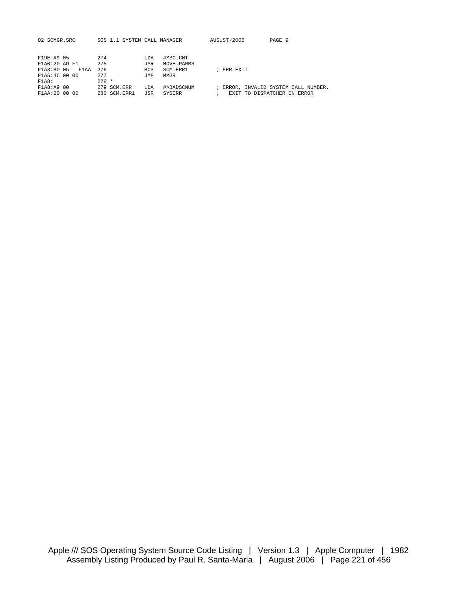| 02 SCMGR.SRC                                                       | SOS 1.1 SYSTEM CALL MANAGER            |                                                                                | AUGUST-2006          | PAGE 9                                                              |
|--------------------------------------------------------------------|----------------------------------------|--------------------------------------------------------------------------------|----------------------|---------------------------------------------------------------------|
| F19E:A9 05<br>F1A0:20 AD F1<br>F1A3:B0 05<br>F1AA<br>F1A5:4C 00 00 | 274<br>275<br>276<br>277               | #MSC.CNT<br>LDA<br>JSR<br>MOVE.PARMS<br>SCM.ERR1<br><b>BCS</b><br>MMGR<br>TMP. | ; ERR EXIT           |                                                                     |
| F1A8:<br>F1A8:A9 00<br>F1AA: 20 00 00                              | $278 *$<br>279 SCM.ERR<br>280 SCM.ERR1 | LDA<br>#>BADSCNUM<br>JSR<br>SYSERR                                             | $\ddot{\phantom{0}}$ | ; ERROR, INVALID SYSTEM CALL NUMBER.<br>EXIT TO DISPATCHER ON ERROR |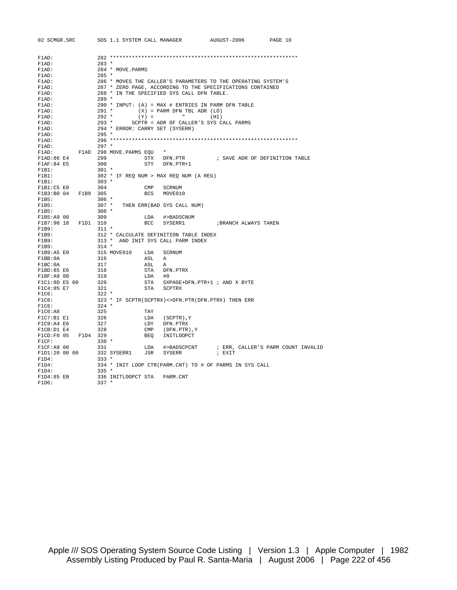| 02 SCMGR.SRC                 | SOS 1.1 SYSTEM CALL MANAGER                            |        |                                        | AUGUST-2006                                                   | PAGE 10                                        |
|------------------------------|--------------------------------------------------------|--------|----------------------------------------|---------------------------------------------------------------|------------------------------------------------|
|                              |                                                        |        |                                        |                                                               |                                                |
| $F1AD$ :                     |                                                        |        |                                        |                                                               |                                                |
| $F1AD$ :                     | $283 *$                                                |        |                                        |                                                               |                                                |
| $F1AD$ :                     | 284 * MOVE.PARMS                                       |        |                                        |                                                               |                                                |
| F1AD:                        | $285 *$                                                |        |                                        |                                                               |                                                |
| F1AD:                        |                                                        |        |                                        | 286 * MOVES THE CALLER'S PARAMETERS TO THE OPERATING SYSTEM'S |                                                |
| $F1AD$ :                     |                                                        |        |                                        | 287 * ZERO PAGE, ACCORDING TO THE SPECIFICATIONS CONTAINED    |                                                |
| FlAD:                        | 288 * IN THE SPECIFIED SYS CALL DFN TABLE.             |        |                                        |                                                               |                                                |
| $F1AD$ :                     | $289 *$                                                |        |                                        |                                                               |                                                |
| F1AD:                        | 290 * INPUT: $(A)$ = MAX # ENTRIES IN PARM DFN TABLE   |        |                                        |                                                               |                                                |
| $F1AD$ :                     | $291$ *                                                |        | $(X) = PARM DFN TBL ADR (LO)$          |                                                               |                                                |
| $F1AD$ :                     | $292 *$                                                |        | $(Y) =$ "                              | (HI)                                                          |                                                |
| $F1AD$ :                     | $293 *$                                                |        | SCPTR = ADR OF CALLER'S SYS CALL PARMS |                                                               |                                                |
| $F1AD$ :                     | 294 * ERROR: CARRY SET (SYSERR)                        |        |                                        |                                                               |                                                |
| $F1AD$ :                     | $295 *$                                                |        |                                        |                                                               |                                                |
| F1AD:                        |                                                        |        |                                        |                                                               |                                                |
| $F1AD$ :                     | $297 *$                                                |        |                                        |                                                               |                                                |
| F1AD:                        | F1AD 298 MOVE.PARMS EQU *                              |        |                                        |                                                               |                                                |
| F1AD:86E4                    | 299                                                    |        |                                        | STX DFN.PTR : SAVE ADR OF DEFINITION TABLE                    |                                                |
| F1AF:84E5                    | 300                                                    |        | STY DFN.PTR+1                          |                                                               |                                                |
| F1B1:                        | 301 *                                                  |        |                                        |                                                               |                                                |
| F1B1:                        | 302 * IF REQ NUM > MAX REQ NUM (A REG)                 |        |                                        |                                                               |                                                |
| F1B1:                        | $303$ *                                                |        |                                        |                                                               |                                                |
| F1B1:C5E0                    | 304                                                    |        | CMP SCRNUM                             |                                                               |                                                |
| F1B3:B0 04 F1B9 305          |                                                        |        | BCS MOVE010                            |                                                               |                                                |
| F1B5:                        | $306$ *                                                |        |                                        |                                                               |                                                |
| F1B5:                        | 307 * THEN ERR(BAD SYS CALL NUM)                       |        |                                        |                                                               |                                                |
| F1B5:                        | $308 *$<br>309                                         |        |                                        |                                                               |                                                |
| F1B5:A9 00                   |                                                        | LDA    | #>BADSCNUM<br>BCC SYSERR1              |                                                               |                                                |
| F1B7:90 18 F1D1 310<br>F1B9: | $311$ *                                                |        |                                        | ; BRANCH ALWAYS TAKEN                                         |                                                |
| F1B9:                        | 312 * CALCULATE DEFINITION TABLE INDEX                 |        |                                        |                                                               |                                                |
| F1B9:                        | 313 * AND INIT SYS CALL PARM INDEX                     |        |                                        |                                                               |                                                |
| F1B9:                        | $314 *$                                                |        |                                        |                                                               |                                                |
| F1B9:A5 E0                   | 315 MOVE010 LDA                                        |        | SCRNUM                                 |                                                               |                                                |
| F1BB:0A                      | 316                                                    | ASL A  |                                        |                                                               |                                                |
| F1BC:0A                      | 317                                                    | ASL    | Α                                      |                                                               |                                                |
| F1BD:85 E6                   | 318                                                    |        | STA DFN.PTRX                           |                                                               |                                                |
| F1BF: A9 00                  | 319                                                    | LDA #0 |                                        |                                                               |                                                |
| F1C1:8D E5 00                | 320                                                    |        | STA SXPAGE+DFN.PTR+1 ; AND X BYTE      |                                                               |                                                |
| F1C4:85 E7                   | 321                                                    |        | STA SCPTRX                             |                                                               |                                                |
| F1C6:                        | $322 *$                                                |        |                                        |                                                               |                                                |
| F1C6:                        | 323 * IF SCPTR(SCPTRX) <> DFN. PTR(DFN. PTRX) THEN ERR |        |                                        |                                                               |                                                |
| F1C6:                        | $324$ *                                                |        |                                        |                                                               |                                                |
| F1C6:AB                      | 325                                                    | TAY    |                                        |                                                               |                                                |
| F1C7:B1 E1                   | 326                                                    |        | LDA (SCPTR), Y                         |                                                               |                                                |
| F1C9:A4E6                    | 327                                                    |        | LDY DFN.PTRX                           |                                                               |                                                |
| F1CB:D1 E4                   | 328                                                    |        | CMP (DFN.PTR), Y                       |                                                               |                                                |
| F1CD:F0 05 F1D4 329          |                                                        |        | BEQ INITLOOPCT                         |                                                               |                                                |
| F1CF:                        | $330 *$                                                |        |                                        |                                                               |                                                |
| F1CF:A9 00                   | 331                                                    | LDA    |                                        |                                                               | #>BADSCPCNT : ERR, CALLER'S PARM COUNT INVALID |
| F1D1:20 00 00                | 332 SYSERR1 JSR SYSERR                                 |        |                                        | ; EXIT                                                        |                                                |
| F1D4:                        | $333 *$                                                |        |                                        |                                                               |                                                |
| F1D4:                        |                                                        |        |                                        | 334 * INIT LOOP CTR(PARM.CNT) TO # OF PARMS IN SYS CALL       |                                                |
| F1D4:                        | $335 *$                                                |        |                                        |                                                               |                                                |
| F1D4:85 EB                   | 336 INITLOOPCT STA                                     |        | PARM.CNT                               |                                                               |                                                |
| F1D6:                        | $337 *$                                                |        |                                        |                                                               |                                                |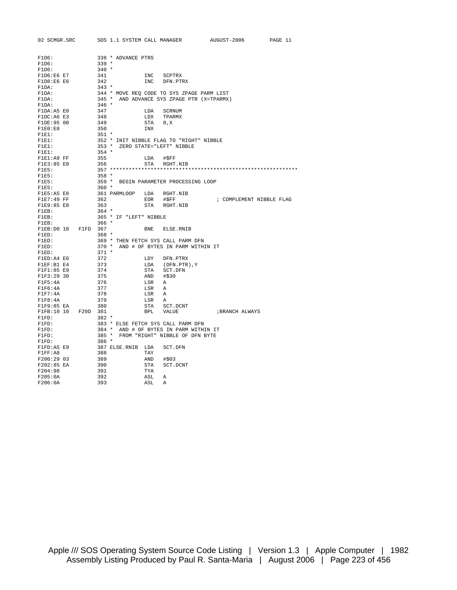| 02 SCMGR.SRC                 |         | SOS 1.1 SYSTEM CALL MANAGER |           |                                          | AUGUST-2006                                |                          | PAGE 11 |
|------------------------------|---------|-----------------------------|-----------|------------------------------------------|--------------------------------------------|--------------------------|---------|
|                              |         |                             |           |                                          |                                            |                          |         |
| F1D6:                        |         | 338 * ADVANCE PTRS          |           |                                          |                                            |                          |         |
| F1D6:                        | 339 *   |                             |           |                                          |                                            |                          |         |
| F1D6:                        | $340 *$ |                             |           |                                          |                                            |                          |         |
| F1D6:E6 E7                   | 341     |                             | INC       | SCPTRX                                   |                                            |                          |         |
| F1D8:E6E6                    | 342     |                             | INC       | DFN.PTRX                                 |                                            |                          |         |
| F1DA:                        | $343 *$ |                             |           |                                          |                                            |                          |         |
| F1DA:                        |         |                             |           |                                          | 344 * MOVE REQ CODE TO SYS ZPAGE PARM LIST |                          |         |
| F1DA:                        |         |                             |           |                                          | 345 * AND ADVANCE SYS ZPAGE PTR (X=TPARMX) |                          |         |
| F1DA:                        | $346$ * |                             |           |                                          |                                            |                          |         |
| F1DA:A5 E0                   | 347     |                             | LDA       | SCRNUM                                   |                                            |                          |         |
| F1DC:A6 E3                   | 348     |                             |           | LDX TPARMX                               |                                            |                          |         |
| F1DE:95 00                   | 349     |                             | STA 0,X   |                                          |                                            |                          |         |
| F1E0:E8                      | 350     |                             | INX       |                                          |                                            |                          |         |
| F1E1:                        | $351$ * |                             |           |                                          |                                            |                          |         |
| F1E1:                        |         |                             |           | 352 * INIT NIBBLE FLAG TO "RIGHT" NIBBLE |                                            |                          |         |
| F1E1:                        |         |                             |           | 353 * ZERO STATE="LEFT" NIBBLE           |                                            |                          |         |
| F1E1:                        | $354$ * |                             |           |                                          |                                            |                          |         |
| F1E1:A9 FF                   | 355     |                             | LDA       | #\$FF                                    |                                            |                          |         |
| F1E3:85 E8                   | 356     |                             |           | STA RGHT.NIB                             |                                            |                          |         |
| F1E5:                        |         |                             |           |                                          |                                            |                          |         |
| F1E5:                        | $358*$  |                             |           |                                          |                                            |                          |         |
| F1E5:                        |         |                             |           | 359 * BEGIN PARAMETER PROCESSING LOOP    |                                            |                          |         |
| F1E5:                        | $360$ * |                             |           |                                          |                                            |                          |         |
| F1E5:A5 E8                   |         | 361 PARMLOOP LDA RGHT.NIB   |           |                                          |                                            |                          |         |
| F1E7:49 FF                   | 362     |                             | EOR       | #SFF                                     |                                            | ; COMPLEMENT NIBBLE FLAG |         |
| F1E9:85 E8                   | 363     |                             | STA       | RGHT.NIB                                 |                                            |                          |         |
| $F1EB$ :<br>$\texttt{FIEB}:$ | $364$ * |                             |           |                                          |                                            |                          |         |
| $F1EB$ :                     | $366$ * | 365 * IF "LEFT" NIBBLE      |           |                                          |                                            |                          |         |
| F1EB: D0 10 F1FD 367         |         |                             | BNE       | ELSE.RNIB                                |                                            |                          |         |
| F1ED:                        | $368*$  |                             |           |                                          |                                            |                          |         |
| F1ED:                        |         |                             |           | 369 * THEN FETCH SYS CALL PARM DFN       |                                            |                          |         |
| $\texttt{FLED}:$             |         |                             |           | 370 * AND # OF BYTES IN PARM WITHIN IT   |                                            |                          |         |
| F1ED:                        | $371 *$ |                             |           |                                          |                                            |                          |         |
| F1ED:A4 E6                   | 372     |                             |           | LDY DFN.PTRX                             |                                            |                          |         |
| F1EF:B1 E4                   | 373     |                             |           | LDA (DFN.PTR),Y                          |                                            |                          |         |
| F1F1:85 E9                   | 374     |                             | STA       | SCT.DFN                                  |                                            |                          |         |
| F1F3:29 30                   | 375     |                             | AND #\$30 |                                          |                                            |                          |         |
| F1F5:4A                      | 376     |                             | LSR       | A                                        |                                            |                          |         |
| FIF6:4A                      | 377     |                             | LSR       | A                                        |                                            |                          |         |
| F1F7:4A                      | 378     |                             | LSR       | Α                                        |                                            |                          |         |
| F1F8:4A                      | 379     |                             | LSR A     |                                          |                                            |                          |         |
| F1F9:85 EA                   | 380     |                             | STA       | SCT.DCNT                                 |                                            |                          |         |
| F1FB:10 10 F20D 381          |         |                             |           | BPL VALUE                                | ; BRANCH ALWAYS                            |                          |         |
| $F1FD$ :                     | $382 *$ |                             |           |                                          |                                            |                          |         |
| $F1FD$ :                     |         |                             |           | 383 * ELSE FETCH SYS CALL PARM DFN       |                                            |                          |         |
| $F1FD$ :                     |         |                             |           | 384 * AND # OF BYTES IN PARM WITHIN IT   |                                            |                          |         |
| $F1FD$ :                     |         |                             |           | 385 * FROM "RIGHT" NIBBLE OF DFN BYTE    |                                            |                          |         |
| $F1FD$ :                     | $386 *$ |                             |           |                                          |                                            |                          |         |
| F1FD:A5 E9                   |         | 387 ELSE.RNIB LDA           |           | SCT.DFN                                  |                                            |                          |         |
| F1FF:A8                      | 388     |                             | TAY       |                                          |                                            |                          |         |
| F200:29 03                   | 389     |                             | AND       | #\$03                                    |                                            |                          |         |
| F202:85 EA                   | 390     |                             |           | STA SCT.DCNT                             |                                            |                          |         |
| F204:98                      | 391     |                             | TYA       |                                          |                                            |                          |         |
| F205:0A                      | 392     |                             | ASL       | Α                                        |                                            |                          |         |
| F206:0A                      | 393     |                             | ASL       | Α                                        |                                            |                          |         |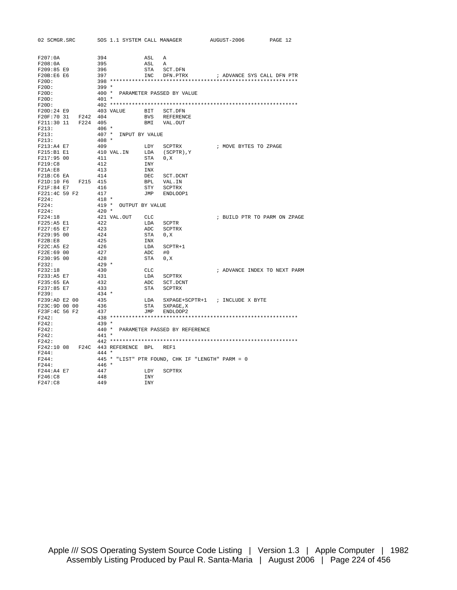| 02 SCMGR.SRC                           | SOS 1.1 SYSTEM CALL MANAGER     |            |                                                  | AUGUST-2006                     | PAGE 12 |
|----------------------------------------|---------------------------------|------------|--------------------------------------------------|---------------------------------|---------|
|                                        |                                 |            |                                                  |                                 |         |
| F207:0A                                | 394                             | ASL        | A                                                |                                 |         |
| F208:0A                                | 395                             | ASL        | A                                                |                                 |         |
| F209:85 E9                             | 396                             | STA        | SCT.DFN                                          |                                 |         |
| F20B:E6 E6                             | 397                             | INC        | DFN.PTRX                                         | ; ADVANCE SYS CALL DFN PTR      |         |
| $F20D$ :                               |                                 |            |                                                  |                                 |         |
| $F20D$ :                               | $399 *$                         |            |                                                  |                                 |         |
| $F20D$ :                               | 400 * PARAMETER PASSED BY VALUE |            |                                                  |                                 |         |
| F20D:                                  | $401 *$                         |            |                                                  |                                 |         |
| $F20D$ :                               |                                 |            |                                                  |                                 |         |
| F20D:24 E9                             | 403 VALUE                       | BIT        | SCT.DFN                                          |                                 |         |
| F20F:70 31<br>F242 404                 |                                 | BVS        | <b>REFERENCE</b>                                 |                                 |         |
| F211:30 11<br>F224 405                 |                                 | BMI        | VAL.OUT                                          |                                 |         |
| F213:                                  | $406 *$                         |            |                                                  |                                 |         |
| F213:                                  | 407 * INPUT BY VALUE            |            |                                                  |                                 |         |
| F213:                                  | $408 *$                         |            |                                                  |                                 |         |
|                                        |                                 |            |                                                  |                                 |         |
| F213:A4 E7                             | 409                             | LDY        | SCPTRX                                           | ; MOVE BYTES TO ZPAGE           |         |
| F215:B1E1                              | 410 VAL.IN                      |            | LDA (SCPTR), Y                                   |                                 |         |
| F217:95 00                             | 411                             | STA        | 0, X                                             |                                 |         |
| F219:C8                                | 412                             | INY        |                                                  |                                 |         |
| F21A:E8                                | 413                             | INX        |                                                  |                                 |         |
| F21B:C6 EA                             | 414                             | DEC        | SCT.DCNT                                         |                                 |         |
| F21D:10 F6 F215 415                    |                                 | BPL        | VAL.IN                                           |                                 |         |
| F21F:84 E7                             | 416                             | STY        | SCPTRX                                           |                                 |         |
| F221:4C 59 F2                          | 417                             |            | JMP ENDLOOP1                                     |                                 |         |
| F224:                                  | $418 *$                         |            |                                                  |                                 |         |
| F224:                                  | 419 * OUTPUT BY VALUE           |            |                                                  |                                 |         |
| F224:                                  | $420 *$                         |            |                                                  |                                 |         |
| F224:18                                | 421 VAL.OUT                     | CLC        |                                                  | ; BUILD PTR TO PARM ON ZPAGE    |         |
| F225:A5 E1                             | 422                             | LDA        | SCPTR                                            |                                 |         |
| F227:65 E7                             | 423                             | ADC        | SCPTRX                                           |                                 |         |
| F229:95 00                             | 424                             | STA        | 0, X                                             |                                 |         |
| F22B:E8                                | 425                             | INX        |                                                  |                                 |         |
| $F22C:AB$ E2                           | 426                             | LDA        | $SCPTR+1$                                        |                                 |         |
| F22E:69 00                             | 427                             | ADC        | #0                                               |                                 |         |
| F230:95 00                             | 428                             | STA        | 0, X                                             |                                 |         |
| F232:                                  | $429 *$                         |            |                                                  |                                 |         |
| F232:18                                | 430                             | CLC        |                                                  | ; ADVANCE INDEX TO NEXT PARM    |         |
| F233:A5 E7                             | 431                             | LDA        | SCPTRX                                           |                                 |         |
|                                        |                                 |            |                                                  |                                 |         |
| F235:65 EA                             | 432                             | ADC        | SCT.DCNT                                         |                                 |         |
| F237:85 E7                             | 433                             | STA        | SCPTRX                                           |                                 |         |
| F239:                                  | $434 *$                         |            |                                                  |                                 |         |
| F239:AD E2 00                          | 435                             | LDA        |                                                  | SXPAGE+SCPTR+1 ; INCLUDE X BYTE |         |
| F23C:9D 00 00                          | 436                             | STA        | SXPAGE, X                                        |                                 |         |
| F23F:4C 56 F2                          | 437                             |            | JMP ENDLOOP2                                     |                                 |         |
| F242:                                  |                                 |            |                                                  |                                 |         |
| F242:                                  | $439 *$                         |            |                                                  |                                 |         |
| F242:                                  |                                 |            | 440 * PARAMETER PASSED BY REFERENCE              |                                 |         |
| F242:                                  | $441 *$                         |            |                                                  |                                 |         |
| F242:                                  |                                 |            |                                                  |                                 |         |
| F242:10 08 F24C 443 REFERENCE BPL REF1 |                                 |            |                                                  |                                 |         |
| F244:                                  | $444 *$                         |            |                                                  |                                 |         |
| F244:                                  |                                 |            | 445 * "LIST" PTR FOUND, CHK IF "LENGTH" PARM = 0 |                                 |         |
| F244:                                  | $446 *$                         |            |                                                  |                                 |         |
| F244:A4 E7                             | 447                             | LDY        | SCPTRX                                           |                                 |         |
| F246:C8                                | 448                             | <b>INY</b> |                                                  |                                 |         |
| F247:C8                                | 449                             | <b>INY</b> |                                                  |                                 |         |
|                                        |                                 |            |                                                  |                                 |         |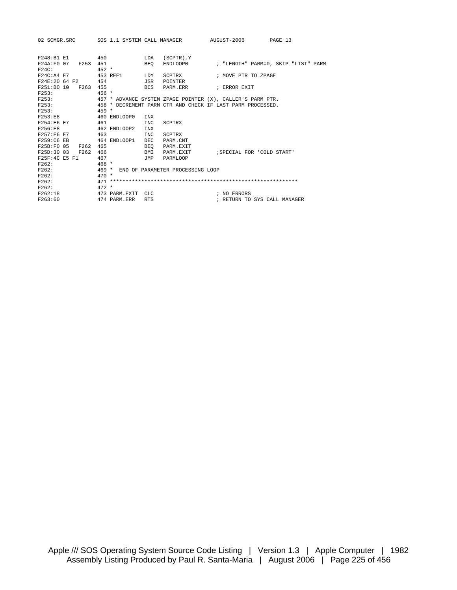| 02 SCMGR.SRC SOS 1.1 SYSTEM CALL MANAGER AUGUST-2006 |                   |            |                                        |                                                            | PAGE 13                      |  |
|------------------------------------------------------|-------------------|------------|----------------------------------------|------------------------------------------------------------|------------------------------|--|
| F248:B1 E1                                           | 450               | LDA        | Y ( SCPTR )                            |                                                            |                              |  |
| F24A: F0 07 F253 451                                 |                   | BEO        |                                        |                                                            |                              |  |
| F24C:                                                | $452 *$           |            |                                        |                                                            |                              |  |
| F24C:A4 E7                                           | 453 REF1          | LDY        | SCPTRX                                 | ; MOVE PTR TO ZPAGE                                        |                              |  |
| F24E:20 64 F2                                        | 454               | JSR        | POINTER                                |                                                            |                              |  |
| F251:B0 10 F263                                      | 455               | BCS        | PARM.ERR                               | ; ERROR EXIT                                               |                              |  |
| F253:                                                | $456 *$           |            |                                        |                                                            |                              |  |
| F253:                                                |                   |            |                                        | 457 * ADVANCE SYSTEM ZPAGE POINTER (X), CALLER'S PARM PTR. |                              |  |
| F253:                                                |                   |            |                                        | 458 * DECREMENT PARM CTR AND CHECK IF LAST PARM PROCESSED. |                              |  |
| F253:                                                | $459 *$           |            |                                        |                                                            |                              |  |
| F253: E8                                             | 460 ENDLOOP0      | INX        |                                        |                                                            |                              |  |
| F254:E6 E7                                           | 461               | <b>INC</b> | SCPTRX                                 |                                                            |                              |  |
| F256:E8                                              | 462 ENDLOOP2      | <b>TNX</b> |                                        |                                                            |                              |  |
| F257:E6 E7                                           | 463               | <b>INC</b> | SCPTRX                                 |                                                            |                              |  |
| F259:C6 EB                                           | 464 ENDLOOP1      | <b>DEC</b> | PARM.CNT                               |                                                            |                              |  |
| F25B:F0 05<br>F262                                   | 465               | BEO        | PARM.EXIT                              |                                                            |                              |  |
| F25D:30 03<br>F262                                   | 466               | BMI        |                                        | PARM.EXIT : SPECIAL FOR 'COLD START'                       |                              |  |
| F25F:4C E5 F1                                        | 467               | JMP        | PARMLOOP                               |                                                            |                              |  |
| F262:                                                | $468 *$           |            |                                        |                                                            |                              |  |
| F262:                                                |                   |            | 469 * END OF PARAMETER PROCESSING LOOP |                                                            |                              |  |
| F262:                                                | $470 *$           |            |                                        |                                                            |                              |  |
| F262:                                                |                   |            |                                        |                                                            |                              |  |
| F262:                                                | $472 *$           |            |                                        |                                                            |                              |  |
| F262:18                                              | 473 PARM.EXIT CLC |            |                                        | ; NO ERRORS                                                |                              |  |
| F263:60                                              | 474 PARM.ERR      | <b>RTS</b> |                                        |                                                            | ; RETURN TO SYS CALL MANAGER |  |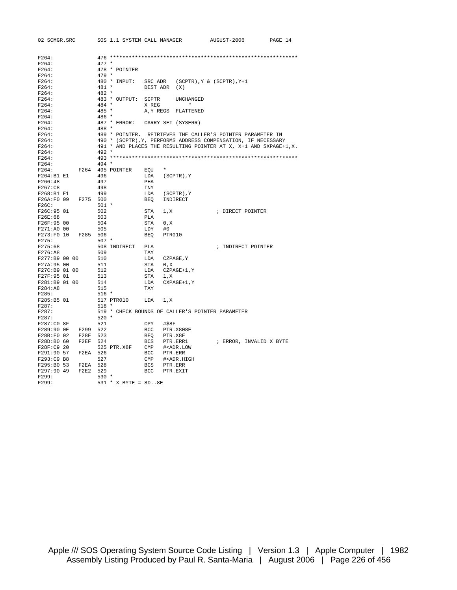| 02 SCMGR.SRC        |          |         | SOS 1.1 SYSTEM CALL MANAGER |            |                                                   | AUGUST-2006                                                       | PAGE 14 |
|---------------------|----------|---------|-----------------------------|------------|---------------------------------------------------|-------------------------------------------------------------------|---------|
|                     |          |         |                             |            |                                                   |                                                                   |         |
| F264:               |          |         |                             |            |                                                   |                                                                   |         |
| F264:               |          | $477 *$ |                             |            |                                                   |                                                                   |         |
| F264:               |          |         | 478 * POINTER               |            |                                                   |                                                                   |         |
| F264:               |          | $479 *$ |                             |            |                                                   |                                                                   |         |
| F264:               |          |         | 480 * INPUT:                | SRC ADR    |                                                   | $(SCPTR)$ , $Y & (SCPTR)$ , $Y+1$                                 |         |
| F264:               |          | $481 *$ |                             | DEST ADR   | (X)                                               |                                                                   |         |
| F264:               |          | $482 *$ |                             |            |                                                   |                                                                   |         |
| F264:               |          |         | 483 * OUTPUT:               | SCPTR      | UNCHANGED                                         |                                                                   |         |
| F264:               |          | $484 *$ |                             | X REG      | $\mathbf{H}$                                      |                                                                   |         |
| F264:               |          | $485 *$ |                             | A, Y REGS  | FLATTENED                                         |                                                                   |         |
| F264:               |          | 486 *   |                             |            |                                                   |                                                                   |         |
| F264:               |          |         | 487 * ERROR:                |            | CARRY SET (SYSERR)                                |                                                                   |         |
| F264:               |          | 488 *   |                             |            |                                                   |                                                                   |         |
| F264:               |          |         |                             |            |                                                   | 489 * POINTER. RETRIEVES THE CALLER'S POINTER PARAMETER IN        |         |
| F264:               |          |         |                             |            |                                                   | 490 * (SCPTR), Y, PERFORMS ADDRESS COMPENSATION, IF NECESSARY     |         |
| F264:               |          |         |                             |            |                                                   | 491 * AND PLACES THE RESULTING POINTER AT X, X+1 AND SXPAGE+1, X. |         |
| F264:               |          | $492 *$ |                             |            |                                                   |                                                                   |         |
| F264:               |          |         |                             |            |                                                   |                                                                   |         |
| F264:               |          | $494 *$ |                             |            |                                                   |                                                                   |         |
| F264:               |          |         | F264 495 POINTER            | EOU        | $\star$                                           |                                                                   |         |
| F264:B1 E1          |          | 496     |                             | LDA        | $(SCPTR)$ , $Y$                                   |                                                                   |         |
| F266:48             |          | 497     |                             | PHA        |                                                   |                                                                   |         |
| F267:C8             |          | 498     |                             | INY        |                                                   |                                                                   |         |
| F268:B1 E1          |          | 499     |                             | LDA        | (SCPTR), Y                                        |                                                                   |         |
| F26A:F0 09          | F275 500 |         |                             | BEQ        | INDIRECT                                          |                                                                   |         |
| F26C:               |          | $501 *$ |                             |            |                                                   |                                                                   |         |
| F26C:95 01          |          | 502     |                             | STA        | 1, X                                              | ; DIRECT POINTER                                                  |         |
| F26E:68             |          | 503     |                             | PLA        |                                                   |                                                                   |         |
| F26F:95 00          |          | 504     |                             | STA        | 0, X                                              |                                                                   |         |
| F271:A0 00          |          | 505     |                             | LDY        | #0                                                |                                                                   |         |
| F273:F0 10          | F285 506 |         |                             | BEQ        | PTR010                                            |                                                                   |         |
| F275:               |          | $507 *$ |                             |            |                                                   |                                                                   |         |
| F275:68             |          |         | 508 INDIRECT                | PLA        |                                                   | ; INDIRECT POINTER                                                |         |
| F276:AB             |          | 509     |                             | TAY        |                                                   |                                                                   |         |
| F277:B9 00 00       |          | 510     |                             | LDA        | CZPAGE, Y                                         |                                                                   |         |
| F27A:95 00          |          | 511     |                             | STA        | 0, X                                              |                                                                   |         |
| F27C:B9 01 00       |          | 512     |                             | LDA        | CZPAGE+1, Y                                       |                                                                   |         |
| F27F:95 01          |          | 513     |                             | STA        | 1, X                                              |                                                                   |         |
| F281:B9 01 00       |          | 514     |                             | LDA        | $CXPAGE+1, Y$                                     |                                                                   |         |
| F284:AB             |          | 515     |                             | TAY        |                                                   |                                                                   |         |
| F285:               |          | $516 *$ |                             |            |                                                   |                                                                   |         |
| F285:B5 01          |          |         | 517 PTR010                  | LDA        | 1, X                                              |                                                                   |         |
| F287:               |          | $518 *$ |                             |            |                                                   |                                                                   |         |
| F287:               |          |         |                             |            | 519 * CHECK BOUNDS OF CALLER'S POINTER PARAMETER  |                                                                   |         |
| F287:               |          | $520 *$ |                             |            |                                                   |                                                                   |         |
| F287:C0 8F          |          | 521     |                             | CPY        | #\$8F                                             |                                                                   |         |
| F289:90 OE          | F299     | 522     |                             | <b>BCC</b> | PTR.X808E                                         |                                                                   |         |
| F28B:F0 02          | F28F 523 |         |                             | BEO        | PTR.X8F                                           |                                                                   |         |
| F28D:B0 60          | F2EF     | 524     |                             | <b>BCS</b> | PTR.ERR1                                          | ; ERROR, INVALID X BYTE                                           |         |
| F28F:C9 20          |          |         | 525 PTR.X8F                 | CMP        | # <adr.low< td=""><td></td><td></td></adr.low<>   |                                                                   |         |
| F291:90 57          | F2EA 526 |         |                             | BCC        | PTR.ERR                                           |                                                                   |         |
| F293:C9 B8          |          | 527     |                             | CMP        | # <adr.high< td=""><td></td><td></td></adr.high<> |                                                                   |         |
| F295:B0 53          | F2EA 528 |         |                             | <b>BCS</b> | PTR.ERR                                           |                                                                   |         |
| F297:90 49<br>F299: | F2E2 529 | $530 *$ |                             | BCC        | PTR.EXIT                                          |                                                                   |         |
| F299:               |          |         |                             |            |                                                   |                                                                   |         |
|                     |          |         | $531 * X BYTE = 808E$       |            |                                                   |                                                                   |         |

Apple /// SOS Operating System Source Code Listing | Version 1.3 | Apple Computer | 1982 Assembly Listing Produced by Paul R. Santa-Maria | August 2006 | Page 226 of 456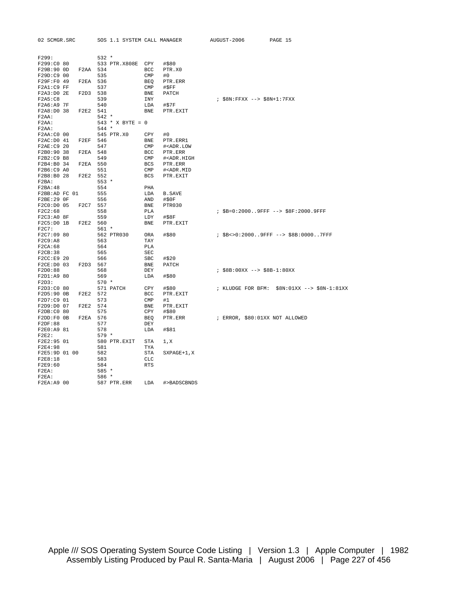| 02 SCMGR.SRC  |          |         | SOS 1.1 SYSTEM CALL MANAGER |                               |                                                   | AUGUST-2006                     | PAGE 15                                     |
|---------------|----------|---------|-----------------------------|-------------------------------|---------------------------------------------------|---------------------------------|---------------------------------------------|
|               |          |         |                             |                               |                                                   |                                 |                                             |
| F299:         |          | $532 *$ |                             |                               |                                                   |                                 |                                             |
| F299:C0 80    |          |         | 533 PTR.X808E CPY           |                               | #\$80                                             |                                 |                                             |
| F29B:90 0D    | F2AA 534 |         |                             | BCC                           | PTR.X0                                            |                                 |                                             |
| F29D:C9 00    |          | 535     |                             | CMP                           | #0                                                |                                 |                                             |
| F29F:F0 49    | F2EA 536 |         |                             | <b>BEQ</b>                    | PTR.ERR                                           |                                 |                                             |
| $F2A1:C9$ FF  |          | 537     |                             | CMP                           | #SFF                                              |                                 |                                             |
| F2A3:D02E     | F2D3 538 |         |                             | BNE                           | PATCH                                             |                                 |                                             |
| F2A5:C8       |          | 539     |                             | INY                           |                                                   | $:$ $$8N:$ FFXX $- $8N+1:7$ FXX |                                             |
| F2A6:A97F     |          | 540     |                             | LDA                           | #\$7F                                             |                                 |                                             |
| F2A8:D0 38    | F2E2 541 |         |                             | <b>BNE</b>                    | PTR.EXIT                                          |                                 |                                             |
| $F2AA$ :      |          | $542 *$ |                             |                               |                                                   |                                 |                                             |
| $F2AA$ :      |          |         | 543 * X BYTE = $0$          |                               |                                                   |                                 |                                             |
| $F2AA$ :      |          | $544 *$ |                             |                               |                                                   |                                 |                                             |
| F2AA:C0 00    |          |         | 545 PTR.X0                  | CPY                           | #0                                                |                                 |                                             |
|               |          |         |                             |                               |                                                   |                                 |                                             |
| F2AC: D0 41   | F2EF 546 |         |                             | BNE                           | PTR.ERR1                                          |                                 |                                             |
| F2AE: C9 20   |          | 547     |                             | CMP                           | # <adr.low< td=""><td></td><td></td></adr.low<>   |                                 |                                             |
| F2B0:90 38    | F2EA 548 |         |                             | BCC                           | PTR.ERR                                           |                                 |                                             |
| F2B2:C9 B8    |          | 549     |                             | CMP                           | # <adr.high< td=""><td></td><td></td></adr.high<> |                                 |                                             |
| F2B4:B0 34    | F2EA 550 |         |                             | BCS                           | PTR.ERR                                           |                                 |                                             |
| F2B6:C9 A0    |          | 551     |                             | CMP                           | # <adr.mid< td=""><td></td><td></td></adr.mid<>   |                                 |                                             |
| F2B8:B0 28    | F2E2 552 |         |                             | BCS                           | PTR.EXIT                                          |                                 |                                             |
| $F2BA$ :      |          | $553 *$ |                             |                               |                                                   |                                 |                                             |
| F2BA:48       |          | 554     |                             | PHA                           |                                                   |                                 |                                             |
| F2BB:AD FC 01 |          | 555     |                             | LDA                           | <b>B.SAVE</b>                                     |                                 |                                             |
| F2BE:29 OF    |          | 556     |                             | AND                           | #\$0F                                             |                                 |                                             |
| F2C0:D0 05    | F2C7     | 557     |                             | <b>BNE</b>                    | PTR030                                            |                                 |                                             |
| F2C2:68       |          | 558     |                             | PLA                           |                                                   |                                 | ; \$B=0:20009FFF --> \$8F:2000.9FFF         |
| F2C3:A0 8F    |          | 559     |                             | LDY                           | #S8F                                              |                                 |                                             |
| F2C5:D0 1B    | F2E2 560 |         |                             | <b>BNE</b>                    | PTR.EXIT                                          |                                 |                                             |
| F2C7:         |          | $561 *$ |                             |                               |                                                   |                                 |                                             |
| F2C7:09 80    |          |         | 562 PTR030                  | ORA                           | #\$80                                             |                                 | ; \$B<>0:20009FFF --> \$8B:00007FFF         |
| F2C9:AB       |          | 563     |                             | TAY                           |                                                   |                                 |                                             |
| F2CA:68       |          | 564     |                             | PLA                           |                                                   |                                 |                                             |
| F2CB:38       |          | 565     |                             | $\operatorname{\mathsf{SEC}}$ |                                                   |                                 |                                             |
| F2CC:E9 20    |          | 566     |                             | SBC                           | #\$20                                             |                                 |                                             |
| F2CE: D0 03   | F2D3 567 |         |                             | ${\tt BNE}$                   | PATCH                                             |                                 |                                             |
| F2D0:88       |          | 568     |                             | DEY                           |                                                   | $: $8B:00XX --> $8B-1:80XX$     |                                             |
| F2D1:A9 80    |          | 569     |                             | LDA                           | #\$80                                             |                                 |                                             |
| F2D3:         |          | $570 *$ |                             |                               |                                                   |                                 |                                             |
| F2D3:C0 80    |          |         | 571 PATCH                   |                               |                                                   |                                 |                                             |
|               |          |         |                             | CPY                           | #\$80                                             |                                 | ; KLUDGE FOR BFM: \$8N:01XX --> \$8N-1:81XX |
| F2D5:90 0B    | F2E2 572 |         |                             | BCC                           | PTR.EXIT                                          |                                 |                                             |
| F2D7:C9 01    |          | 573     |                             | CMP                           | #1                                                |                                 |                                             |
| F2D9:D0 07    | F2E2 574 |         |                             | BNE                           | PTR.EXIT                                          |                                 |                                             |
| F2DB:C0 80    |          | 575     |                             | CPY                           | #\$80                                             |                                 |                                             |
| F2DD:FOOB     | F2EA 576 |         |                             | BEQ                           | PTR.ERR                                           | ; ERROR, \$80:01XX NOT ALLOWED  |                                             |
| F2DF:88       |          | 577     |                             | DEY                           |                                                   |                                 |                                             |
| F2E0:A9 81    |          | 578     |                             | LDA                           | #\$81                                             |                                 |                                             |
| $F2E2$ :      |          | $579*$  |                             |                               |                                                   |                                 |                                             |
| F2E2:95 01    |          |         | 580 PTR.EXIT                | STA                           | 1, x                                              |                                 |                                             |
| F2E4:98       |          | 581     |                             | TYA                           |                                                   |                                 |                                             |
| F2E5:9D 01 00 |          | 582     |                             | STA                           | $SXPAGE+1, X$                                     |                                 |                                             |
| F2E8:18       |          | 583     |                             | <b>CLC</b>                    |                                                   |                                 |                                             |
| F2E9:60       |          | 584     |                             | <b>RTS</b>                    |                                                   |                                 |                                             |
| $F2EA$ :      |          | $585 *$ |                             |                               |                                                   |                                 |                                             |
| $F2EA$ :      |          | 586 *   |                             |                               |                                                   |                                 |                                             |
| F2EA: A9 00   |          |         | 587 PTR.ERR                 | LDA                           | #>BADSCBNDS                                       |                                 |                                             |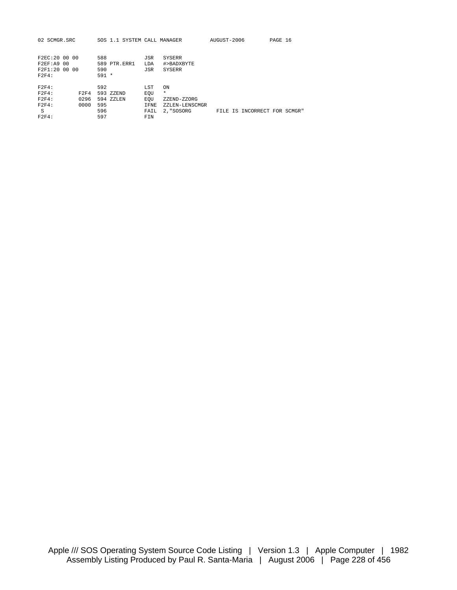| 02 SCMGR.SRC     | SOS 1.1 SYSTEM CALL MANAGER |                        | AUGUST-2006                  | PAGE 16 |
|------------------|-----------------------------|------------------------|------------------------------|---------|
|                  |                             |                        |                              |         |
|                  |                             |                        |                              |         |
| F2FC:2000000     | 588                         | JSR<br>SYSERR          |                              |         |
| F2EF: A900       | 589 PTR.ERR1                | #>BADXBYTE<br>LDA      |                              |         |
| F2F1:200000      | 590                         | JSR<br><b>SYSERR</b>   |                              |         |
| F2F4:            | $591 *$                     |                        |                              |         |
|                  |                             |                        |                              |         |
| F2F4:            | 592                         | LST<br>ON              |                              |         |
| $F2F4$ :<br>F2F4 | 593 ZZEND                   | $\star$<br>EOU         |                              |         |
| F2F4:<br>0296    | 594 ZZLEN                   | EOU<br>ZZEND-ZZORG     |                              |         |
| F2F4:<br>0000    | 595                         | IFNE<br>ZZLEN-LENSCMGR |                              |         |
| S                | 596                         | 2, "SOSORG<br>FAIL     | FILE IS INCORRECT FOR SCMGR" |         |
| $F2F4$ :         | 597                         | FIN                    |                              |         |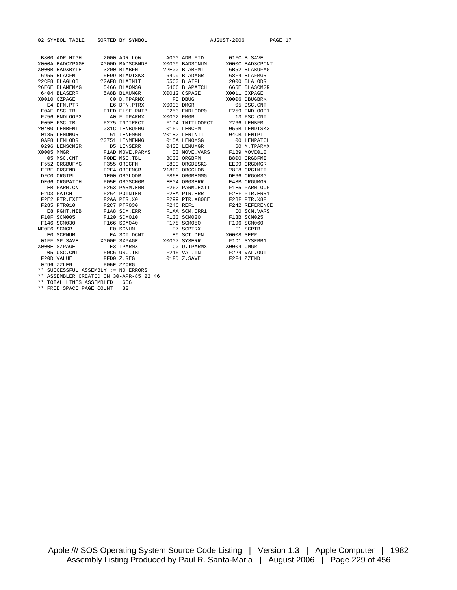|  |                                                                                                                                                                                                                               |  |  | 02 SYMBOL TABLE SORTED BY SYMBOL $\,$ AUGUST-2006 $\,$ PAGE 17 $\,$ |  |
|--|-------------------------------------------------------------------------------------------------------------------------------------------------------------------------------------------------------------------------------|--|--|---------------------------------------------------------------------|--|
|  |                                                                                                                                                                                                                               |  |  |                                                                     |  |
|  | $\begin{tabular}{lcccc} B800 & ADR.HIGH & 2000 & ADR.LOW & A000 & ADR.MID & 01FC B.SAVE \\ X000A & BADCZPAGE & X000D & BADSCRONDS & X0009 & BADSCNUM & X000C BADSCPONT \end{tabular}$                                         |  |  |                                                                     |  |
|  |                                                                                                                                                                                                                               |  |  |                                                                     |  |
|  | XOOB BADXBYTE 3200 BLABFM 32E00 BLABFMI 6B52 BLABUFMG                                                                                                                                                                         |  |  |                                                                     |  |
|  | 6955 BLACFM 5E99 BLADISK3 64D9 BLADMGR 68F4 BLAFMGR                                                                                                                                                                           |  |  |                                                                     |  |
|  | ${\small \begin{tabular}{lcccccc} \textbf{?2CF8 BLAGLOB} & \textbf{?2AF8 BLAINIT} & \textbf{55C0 BLAPL} \\ \textbf{?6E6E BLAMEMMG} & \textbf{?466 BLAOMSG} & \textbf{5466 BLAPATCH} & \textbf{66SE BLASCMGR} \end{tabular} }$ |  |  |                                                                     |  |
|  |                                                                                                                                                                                                                               |  |  |                                                                     |  |
|  |                                                                                                                                                                                                                               |  |  |                                                                     |  |
|  |                                                                                                                                                                                                                               |  |  |                                                                     |  |
|  |                                                                                                                                                                                                                               |  |  |                                                                     |  |
|  |                                                                                                                                                                                                                               |  |  |                                                                     |  |
|  |                                                                                                                                                                                                                               |  |  |                                                                     |  |
|  |                                                                                                                                                                                                                               |  |  |                                                                     |  |
|  |                                                                                                                                                                                                                               |  |  |                                                                     |  |
|  |                                                                                                                                                                                                                               |  |  |                                                                     |  |
|  |                                                                                                                                                                                                                               |  |  |                                                                     |  |
|  |                                                                                                                                                                                                                               |  |  |                                                                     |  |
|  |                                                                                                                                                                                                                               |  |  |                                                                     |  |
|  |                                                                                                                                                                                                                               |  |  |                                                                     |  |
|  |                                                                                                                                                                                                                               |  |  |                                                                     |  |
|  |                                                                                                                                                                                                                               |  |  |                                                                     |  |
|  |                                                                                                                                                                                                                               |  |  |                                                                     |  |
|  |                                                                                                                                                                                                                               |  |  |                                                                     |  |
|  |                                                                                                                                                                                                                               |  |  |                                                                     |  |
|  |                                                                                                                                                                                                                               |  |  |                                                                     |  |
|  |                                                                                                                                                                                                                               |  |  |                                                                     |  |
|  |                                                                                                                                                                                                                               |  |  |                                                                     |  |
|  |                                                                                                                                                                                                                               |  |  |                                                                     |  |
|  |                                                                                                                                                                                                                               |  |  |                                                                     |  |
|  |                                                                                                                                                                                                                               |  |  |                                                                     |  |
|  |                                                                                                                                                                                                                               |  |  |                                                                     |  |
|  |                                                                                                                                                                                                                               |  |  |                                                                     |  |
|  |                                                                                                                                                                                                                               |  |  |                                                                     |  |
|  |                                                                                                                                                                                                                               |  |  |                                                                     |  |
|  | 05 USC.CNT FOC6 USC.TBL F215 VAL.IN F224 VAL.OUT                                                                                                                                                                              |  |  |                                                                     |  |
|  | F20D VALUE FFD0 Z.REG 01FD Z.SAVE F2F4 ZZEND                                                                                                                                                                                  |  |  |                                                                     |  |
|  | 0296 ZZLEN F05E ZZORG                                                                                                                                                                                                         |  |  |                                                                     |  |
|  | ** SUCCESSFUL ASSEMBLY := NO ERRORS                                                                                                                                                                                           |  |  |                                                                     |  |

\*\* ASSEMBLER CREATED ON 30-APR-85 22:46

\*\* TOTAL LINES ASSEMBLED 656

\*\* FREE SPACE PAGE COUNT 82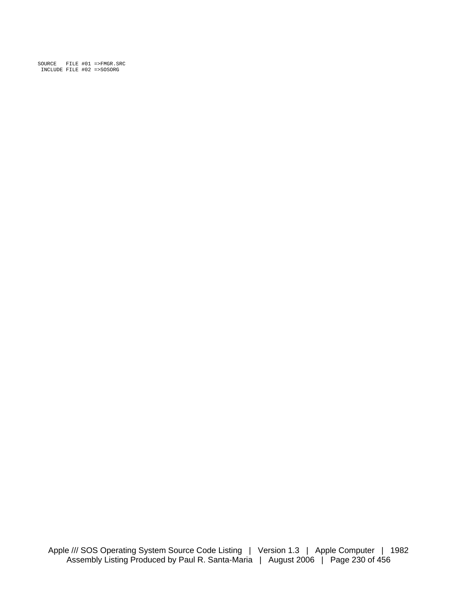SOURCE FILE #01 =>FMGR.SRC INCLUDE FILE #02 =>SOSORG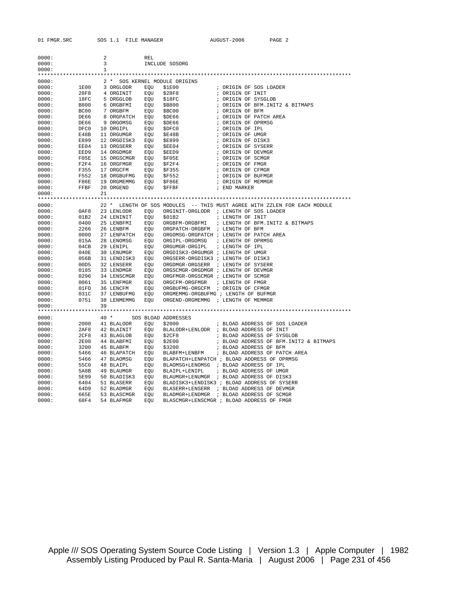| 01 FMGR.SRC                    | SOS 1.1 FILE MANAGER                    | AUGUST-2006<br>PAGE 2                                                                  |
|--------------------------------|-----------------------------------------|----------------------------------------------------------------------------------------|
|                                |                                         |                                                                                        |
| 0000:                          | $\overline{a}$<br><b>REL</b>            |                                                                                        |
| 0000:                          | $\overline{3}$                          | INCLUDE SOSORG                                                                         |
| 0000:                          | $\mathbf{1}$                            |                                                                                        |
|                                |                                         |                                                                                        |
| 0000:                          | 2 * SOS KERNEL MODULE ORIGINS           |                                                                                        |
| 0000:<br>1E00<br>0000:<br>28F8 | 3 ORGLODR<br>EOU<br>4 ORGINIT<br>EOU    | ; ORIGIN OF SOS LOADER<br>\$1E00<br>\$28F8<br>; ORIGIN OF INIT                         |
| 0000:<br>18FC                  | 5 ORGGLOB                               | ; ORIGIN OF SYSGLOB<br>EOU \$18FC                                                      |
| 0000:<br><b>B800</b>           | 6 ORGBFMI                               | EQU \$B800<br>; ORIGIN OF BFM.INIT2 & BITMAPS                                          |
| 0000:<br>BC00                  | 7 ORGBFM                                | EQU \$BC00<br>; ORIGIN OF BFM                                                          |
| 0000:<br>DE66                  | 8 ORGPATCH                              | EQU \$DE66<br>; ORIGIN OF PATCH AREA                                                   |
| DE66<br>0000:                  | 9 ORGOMSG                               | EQU \$DE66<br>; ORIGIN OF OPRMSG                                                       |
| 0000:<br>DFC0                  | 10 ORGIPL                               | ; ORIGIN OF IPL<br>EOU \$DFC0                                                          |
| 0000:<br>E48B                  | 11 ORGUMGR                              | EQU \$E48B<br>; ORIGIN OF UMGR                                                         |
| 0000:<br>E899                  | 12 ORGDISK3<br>EOU                      | <b>\$E899</b><br>; ORIGIN OF DISK3                                                     |
| 0000:<br>EE04                  | 13 ORGSERR                              | EOU \$EE04<br>; ORIGIN OF SYSERR<br>; ORIGIN OF DEVMGR                                 |
| 0000:<br>EED9<br>0000:<br>F05E | 14 ORGDMGR<br>15 ORGSCMGR               | EOU \$EED9<br>EQU \$F05E<br>; ORIGIN OF SCMGR                                          |
| F2F4<br>0000:                  | 16 ORGFMGR                              | EQU \$F2F4<br>; ORIGIN OF FMGR                                                         |
| 0000:<br>F355                  | 17 ORGCFM                               | EQU \$F355<br>; ORIGIN OF CFMGR                                                        |
| 0000:<br>F552                  | 18 ORGBUFMG                             | EQU \$F552<br>; ORIGIN OF BUFMGR                                                       |
| F86E<br>0000:                  | 19 ORGMEMMG<br>EQU                      | \$F86E<br>; ORIGIN OF MEMMGR                                                           |
| 0000:<br>FFBF                  | 20 ORGEND<br>EQU                        | \$FFBF<br>; END MARKER                                                                 |
| 0000:                          | 21                                      |                                                                                        |
|                                |                                         |                                                                                        |
| 0000:                          |                                         | 22 * LENGTH OF SOS MODULES -- THIS MUST AGREE WITH ZZLEN FOR EACH MODULE               |
| 0000:<br>0AF8<br>0000:<br>01B2 | 23 LENLODR<br>EQU<br>24 LENINIT<br>EQU  | ORGINIT-ORGLODR ; LENGTH OF SOS LOADER<br>\$01B2<br>; LENGTH OF INIT                   |
| 0000:<br>0400                  | 25 LENBFMI<br>EQU                       | ORGBFM-ORGBFMI<br>; LENGTH OF BFM. INIT2 & BITMAPS                                     |
| 0000:<br>2266                  | 26 LENBFM<br>EQU                        | ORGPATCH-ORGBFM ; LENGTH OF BFM                                                        |
| 0000<br>0000:                  | 27 LENPATCH                             | EQU ORGOMSG-ORGPATCH ; LENGTH OF PATCH AREA                                            |
| 015A<br>0000:                  | 28 LENOMSG                              | EQU ORGIPL-ORGOMSG<br>; LENGTH OF OPRMSG                                               |
| 0000:<br>04CB                  | 29 LENIPL                               | EQU ORGUMGR-ORGIPL<br>; LENGTH OF IPL                                                  |
| 0000:<br>040E                  | 30 LENUMGR<br>EQU                       | ORGDISK3-ORGUMGR ; LENGTH OF UMGR                                                      |
| 056B<br>0000:                  | 31 LENDISK3<br>EQU                      | ORGSERR-ORGDISK3 ; LENGTH OF DISK3                                                     |
| 00D5<br>0000:<br>0000:         | 32 LENSERR<br>EQU<br>33 LENDMGR<br>EQU  | ORGDMGR-ORGSERR ; LENGTH OF SYSERR<br>ORGSCMGR-ORGDMGR ; LENGTH OF DEVMGR              |
| 0185<br>0296<br>0000:          | 34 LENSCMGR<br>EQU                      | ORGFMGR-ORGSCMGR ; LENGTH OF SCMGR                                                     |
| 0000:<br>0061                  | 35 LENFMGR<br>EQU                       | ORGCFM-ORGFMGR<br>; LENGTH OF FMGR                                                     |
| 01FD<br>0000:                  | 36 LENCFM<br>EQU                        | ORGBUFMG-ORGCFM ; ORIGIN OF CFMGR                                                      |
| 0000:<br>031C                  | 37 LENBUFMG<br>EQU                      | ORGMEMMG-ORGBUFMG ; LENGTH OF BUFMGR                                                   |
| 0000:<br>0751                  | 38 LENMEMMG<br>EQU                      | ORGEND-ORGMEMMG ; LENGTH OF MEMMGR                                                     |
| 0000:                          | 39                                      |                                                                                        |
|                                |                                         |                                                                                        |
| 0000:                          | $40*$                                   | SOS BLOAD ADDRESSES                                                                    |
| 0000:<br>2000<br>0000:<br>2AF8 | EQU<br>41 BLALODR                       | \$2000<br>; BLOAD ADDRESS OF SOS LOADER<br>EQU BLALODR+LENLODR ; BLOAD ADDRESS OF INIT |
| 0000:<br>2CF8                  | 42 BLAINIT<br>43 BLAGLOB                | EQU \$2CF8<br>; BLOAD ADDRESS OF SYSGLOB                                               |
| 0000:<br>2E00                  | 44 BLABFMI                              | EQU \$2E00<br>; BLOAD ADDRESS OF BFM. INIT2 & BITMAPS                                  |
| 3200<br>0000:                  | EQU<br>45 BLABFM                        | ; BLOAD ADDRESS OF BFM<br>\$3200                                                       |
| 0000:<br>5466                  | 46 BLAPATCH<br>EQU                      |                                                                                        |
| 0000:<br>5466                  | 47 BLAOMSG                              | EQU BLAPATCH+LENPATCH ; BLOAD ADDRESS OF OPRMSG                                        |
| 55C0<br>0000:                  | 48 BLAIPL<br>EQU                        | BLAOMSG+LENOMSG ; BLOAD ADDRESS OF IPL                                                 |
| 0000:<br>5A8B                  | 49 BLAUMGR<br>EQU                       | BLAIPL+LENIPL<br>; BLOAD ADDRESS OF UMGR                                               |
| 5E99<br>0000:                  | 50 BLADISK3<br>EQU                      | BLAUMGR+LENUMGR ; BLOAD ADDRESS OF DISK3                                               |
| 0000:<br>6404                  | 51 BLASERR<br>EQU                       | BLADISK3+LENDISK3 ; BLOAD ADDRESS OF SYSERR                                            |
| 0000:<br>64D9<br>0000:<br>665E | 52 BLADMGR<br>EQU<br>53 BLASCMGR<br>EOU | BLASERR+LENSERR ; BLOAD ADDRESS OF DEVMGR<br>BLADMGR+LENDMGR ; BLOAD ADDRESS OF SCMGR  |
| 0000:<br>68F4                  | EQU<br>54 BLAFMGR                       | BLASCMGR+LENSCMGR ; BLOAD ADDRESS OF FMGR                                              |
|                                |                                         |                                                                                        |

Apple /// SOS Operating System Source Code Listing | Version 1.3 | Apple Computer | 1982 Assembly Listing Produced by Paul R. Santa-Maria | August 2006 | Page 231 of 456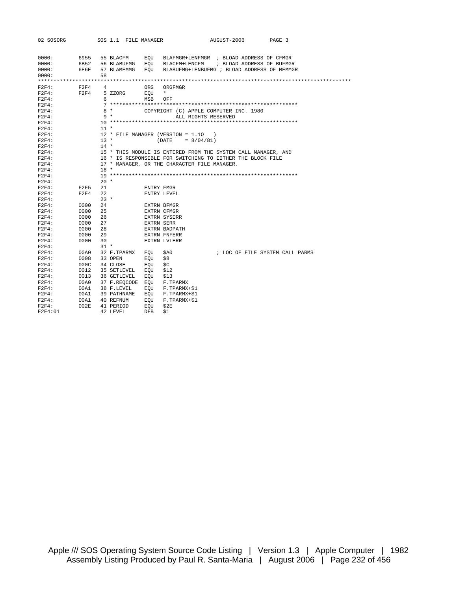| 02 SOSORG |      |        |             |              | SOS 1.1 FILE MANAGER | AUGUST-2006<br>PAGE 3                                         |
|-----------|------|--------|-------------|--------------|----------------------|---------------------------------------------------------------|
|           |      |        |             |              |                      |                                                               |
|           |      |        |             |              |                      |                                                               |
| 0000:     | 6955 |        | 55 BLACFM   |              | EOU                  | BLAFMGR+LENFMGR ; BLOAD ADDRESS OF CFMGR                      |
| 0000:     | 6B52 |        | 56 BLABUFMG |              | EOU                  | ; BLOAD ADDRESS OF BUFMGR<br>BLACFM+LENCFM                    |
| 0000:     | 6E6E |        | 57 BLAMEMMG |              | EOU                  | BLABUFMG+LENBUFMG ; BLOAD ADDRESS OF MEMMGR                   |
| 0000:     |      | 58     |             |              |                      |                                                               |
|           |      |        |             |              |                      |                                                               |
| F2F4:     | F2F4 | 4      |             |              | ORG                  | ORGFMGR                                                       |
| F2F4:     | F2F4 |        | 5 ZZORG     |              | EOU                  | $\star$                                                       |
| $F2F4$ :  |      | 6      |             |              | MSB                  | OFF                                                           |
| F2F4:     |      |        |             |              |                      |                                                               |
| $F2F4$ :  |      |        | $8*$        |              |                      | COPYRIGHT (C) APPLE COMPUTER INC. 1980                        |
| $F2F4$ :  |      |        | $9 *$       |              |                      | ALL RIGHTS RESERVED                                           |
| $F2F4$ :  |      |        |             |              |                      |                                                               |
| $F2F4$ :  |      | $11 *$ |             |              |                      |                                                               |
| $F2F4$ :  |      |        |             |              |                      | 12 * FILE MANAGER (VERSION = 1.10<br>$\lambda$                |
| $F2F4$ :  |      | $13 *$ |             |              |                      | $= 8/04/81$<br>(DATE                                          |
| $F2F4$ :  |      | $14 *$ |             |              |                      |                                                               |
| F2F4:     |      |        |             |              |                      | 15 * THIS MODULE IS ENTERED FROM THE SYSTEM CALL MANAGER, AND |
| $F2F4$ :  |      |        |             |              |                      | 16 * IS RESPONSIBLE FOR SWITCHING TO EITHER THE BLOCK FILE    |
| $F2F4$ :  |      |        |             |              |                      | 17 * MANAGER, OR THE CHARACTER FILE MANAGER.                  |
| $F2F4$ :  |      | $18 *$ |             |              |                      |                                                               |
| $F2F4$ :  |      |        |             |              |                      |                                                               |
| F2F4:     |      | $20 *$ |             |              |                      |                                                               |
| F2F4:     | F2F5 | 21     |             |              | ENTRY FMGR           |                                                               |
| $F2F4$ :  | F2F4 | 22     |             |              |                      | ENTRY LEVEL                                                   |
| $F2F4$ :  |      | $23 *$ |             |              |                      |                                                               |
| $F2F4$ :  | 0000 | 24     |             |              |                      | EXTRN BFMGR                                                   |
| $F2F4$ :  | 0000 | 25     |             |              |                      | <b>EXTRN CFMGR</b>                                            |
| $F2F4$ :  | 0000 | 26     |             |              |                      | <b>EXTRN SYSERR</b>                                           |
| $F2F4$ :  | 0000 | 27     |             |              | <b>EXTRN SERR</b>    |                                                               |
| F2F4:     | 0000 | 28     |             |              |                      | EXTRN BADPATH                                                 |
| $F2F4$ :  | 0000 | 29     |             |              |                      | <b>EXTRN FNFERR</b>                                           |
| $F2F4$ :  | 0000 | 30     |             |              |                      | EXTRN LVLERR                                                  |
| F2F4:     |      | $31 *$ |             |              |                      |                                                               |
| $F2F4$ :  | 00A0 |        | 32 F.TPARMX |              | EOU                  | ; LOC OF FILE SYSTEM CALL PARMS<br>\$A0                       |
| $F2F4$ :  | 0008 |        | 33 OPEN     |              | EOU                  | \$8                                                           |
| $F2F4$ :  | 000C |        | 34 CLOSE    |              | EOU                  | \$C                                                           |
| F2F4:     | 0012 |        | 35 SETLEVEL |              | EOU                  | \$12                                                          |
| $F2F4$ :  | 0013 |        | 36 GETLEVEL |              | EOU                  | \$13                                                          |
| $F2F4$ :  | 00A0 |        |             | 37 F.REOCODE | EOU                  | F.TPARMX                                                      |
| F2F4:     | 00A1 |        | 38 F.LEVEL  |              | EOU                  | F.TPARMX+\$1                                                  |
| F2F4:     | 00A1 |        | 39 PATHNAME |              | EOU                  | F.TPARMX+\$1                                                  |
| $F2F4$ :  | 00A1 |        | 40 REFNUM   |              | EQU                  | F.TPARMX+\$1                                                  |
| $F2F4$ :  | 002E |        | 41 PERIOD   |              | EOU                  | \$2E                                                          |
| F2F4:01   |      |        | 42 LEVEL    |              | DFB                  | \$1                                                           |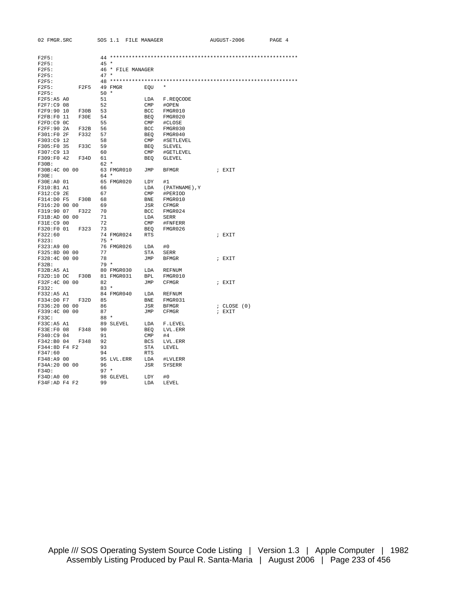| 02 FMGR.SRC                                                                                                                                                                                                                                  |              |        |           |                   | SOS 1.1 FILE MANAGER                                   |                                                                                                                                                                                                                          | AUGUST-2006     | PAGE 4 |
|----------------------------------------------------------------------------------------------------------------------------------------------------------------------------------------------------------------------------------------------|--------------|--------|-----------|-------------------|--------------------------------------------------------|--------------------------------------------------------------------------------------------------------------------------------------------------------------------------------------------------------------------------|-----------------|--------|
|                                                                                                                                                                                                                                              |              |        |           |                   |                                                        |                                                                                                                                                                                                                          |                 |        |
| F2F5:                                                                                                                                                                                                                                        |              |        |           |                   |                                                        |                                                                                                                                                                                                                          |                 |        |
| F2F5:                                                                                                                                                                                                                                        |              | $45 *$ |           |                   |                                                        |                                                                                                                                                                                                                          |                 |        |
| F2F5:                                                                                                                                                                                                                                        |              |        |           | 46 * FILE MANAGER |                                                        |                                                                                                                                                                                                                          |                 |        |
| F2F5:                                                                                                                                                                                                                                        |              | $47 *$ |           |                   |                                                        |                                                                                                                                                                                                                          |                 |        |
| F2F5:                                                                                                                                                                                                                                        |              |        |           |                   |                                                        |                                                                                                                                                                                                                          |                 |        |
| F2F5:                                                                                                                                                                                                                                        | F2F5 49 FMGR |        |           |                   | EQU *                                                  |                                                                                                                                                                                                                          |                 |        |
| F2F5:                                                                                                                                                                                                                                        |              | $50*$  |           |                   |                                                        |                                                                                                                                                                                                                          |                 |        |
| F2F5:A5 A0                                                                                                                                                                                                                                   |              | 51     |           |                   |                                                        | LDA F.REOCODE                                                                                                                                                                                                            |                 |        |
| F2F7:C9 08                                                                                                                                                                                                                                   |              | 52     |           |                   | CMP #OPEN                                              |                                                                                                                                                                                                                          |                 |        |
| F2F9:90 10 F30B 53                                                                                                                                                                                                                           |              |        |           |                   |                                                        | BCC FMGR010                                                                                                                                                                                                              |                 |        |
| F2FB:F0 11 F30E 54                                                                                                                                                                                                                           |              |        |           |                   |                                                        | BEQ FMGR020                                                                                                                                                                                                              |                 |        |
| F2FD:C9 OC                                                                                                                                                                                                                                   |              | 55     |           |                   |                                                        | CMP #CLOSE                                                                                                                                                                                                               |                 |        |
| F2FF:90 2A                                                                                                                                                                                                                                   | F32B 56      |        |           |                   |                                                        | BCC FMGR030                                                                                                                                                                                                              |                 |        |
| F301:F0 2F F332 57                                                                                                                                                                                                                           |              |        |           |                   |                                                        | BEQ FMGR040                                                                                                                                                                                                              |                 |        |
| F303:C9 12                                                                                                                                                                                                                                   |              | 58     |           |                   |                                                        | CMP #SETLEVEL                                                                                                                                                                                                            |                 |        |
| F305:F0 35 F33C 59                                                                                                                                                                                                                           |              |        |           |                   |                                                        | BEQ SLEVEL                                                                                                                                                                                                               |                 |        |
| F307:C9 13                                                                                                                                                                                                                                   |              | 60     |           |                   |                                                        | CMP #GETLEVEL                                                                                                                                                                                                            |                 |        |
| F309:F0 42 F34D 61<br>F30B:                                                                                                                                                                                                                  |              | 62 *   |           |                   |                                                        | BEQ GLEVEL                                                                                                                                                                                                               |                 |        |
| F30B:4C 00 00                                                                                                                                                                                                                                |              |        |           |                   |                                                        | 63 FMGR010 JMP BFMGR                                                                                                                                                                                                     | ; EXIT          |        |
| F30E:                                                                                                                                                                                                                                        |              | 64 *   |           |                   |                                                        |                                                                                                                                                                                                                          |                 |        |
| F30E:A0 01                                                                                                                                                                                                                                   |              |        |           |                   | 65 FMGR020 LDY #1                                      |                                                                                                                                                                                                                          |                 |        |
| F310:B1 A1                                                                                                                                                                                                                                   |              | 66     |           |                   |                                                        | LDA (PATHNAME), Y                                                                                                                                                                                                        |                 |        |
| F312:C9 2E                                                                                                                                                                                                                                   |              | 67     |           |                   |                                                        | CMP #PERIOD                                                                                                                                                                                                              |                 |        |
| $\begin{array}{lllll} \texttt{F314:DD} & \texttt{r} \\ \texttt{F316:20 00 00} & & & \\ \texttt{F319:90 07} & \texttt{F322} & \texttt{70} \\ \texttt{m319:4D 00 00} & & & \\ \texttt{m319:4D} & & & \\ \texttt{m319:4D} & & & \\ \end{array}$ |              |        |           |                   |                                                        | BNE FMGR010                                                                                                                                                                                                              |                 |        |
|                                                                                                                                                                                                                                              |              |        |           |                   | JSR CFMGR                                              |                                                                                                                                                                                                                          |                 |        |
|                                                                                                                                                                                                                                              |              |        |           |                   |                                                        | BCC FMGR024                                                                                                                                                                                                              |                 |        |
|                                                                                                                                                                                                                                              |              |        |           |                   | $\begin{tabular}{ll} \tt LDA & \tt SERR \end{tabular}$ |                                                                                                                                                                                                                          |                 |        |
|                                                                                                                                                                                                                                              |              |        |           |                   |                                                        | CMP #FNFERR                                                                                                                                                                                                              |                 |        |
| F320:F0 01 F323                                                                                                                                                                                                                              |              | 73     |           |                   |                                                        | BEQ FMGR026                                                                                                                                                                                                              |                 |        |
| F322:60                                                                                                                                                                                                                                      |              |        |           |                   | 74 FMGR024 RTS                                         |                                                                                                                                                                                                                          | ; EXIT          |        |
| F323:                                                                                                                                                                                                                                        |              | $75 *$ |           |                   |                                                        |                                                                                                                                                                                                                          |                 |        |
| F323:A9 00                                                                                                                                                                                                                                   |              |        |           |                   | 76 FMGR026 LDA #0                                      |                                                                                                                                                                                                                          |                 |        |
| F325:8D 00 00                                                                                                                                                                                                                                |              | 77     |           |                   | STA SERR                                               |                                                                                                                                                                                                                          |                 |        |
| F328:4C 00 00                                                                                                                                                                                                                                |              | 78     |           |                   | JMP BFMGR                                              |                                                                                                                                                                                                                          | ; EXIT          |        |
| F32B:                                                                                                                                                                                                                                        |              | 79 *   |           |                   |                                                        |                                                                                                                                                                                                                          |                 |        |
|                                                                                                                                                                                                                                              |              |        |           |                   |                                                        |                                                                                                                                                                                                                          |                 |        |
|                                                                                                                                                                                                                                              |              |        |           |                   |                                                        | $\begin{tabular}{lllllllllll} \texttt{F32B:AS A1} & \texttt{80 FMG R030} & \texttt{LDA} & \texttt{REFNUM}\\ \texttt{F32D:10 DC} & \texttt{F30B} & \texttt{81 FMG R031} & \texttt{BPL} & \texttt{FMG R010} \end{tabular}$ |                 |        |
| F32F:4C 00 00                                                                                                                                                                                                                                |              | 82     |           |                   |                                                        | JMP CFMGR                                                                                                                                                                                                                | ; EXIT          |        |
| F332:                                                                                                                                                                                                                                        |              | $83*$  |           |                   |                                                        |                                                                                                                                                                                                                          |                 |        |
| F332:A5 A1                                                                                                                                                                                                                                   |              |        |           |                   |                                                        | 84 FMGR040 LDA REFNUM                                                                                                                                                                                                    |                 |        |
| F334:D0 F7 F32D 85                                                                                                                                                                                                                           |              |        |           |                   |                                                        | BNE FMGR031                                                                                                                                                                                                              |                 |        |
| F336:20 00 00                                                                                                                                                                                                                                |              | 86     |           |                   |                                                        | JSR BFMGR                                                                                                                                                                                                                | $;$ CLOSE $(0)$ |        |
| F339:4C 00 00                                                                                                                                                                                                                                |              | 87     |           |                   |                                                        | JMP CFMGR                                                                                                                                                                                                                | ; EXIT          |        |
| F33C:                                                                                                                                                                                                                                        |              | 88 *   |           |                   |                                                        |                                                                                                                                                                                                                          |                 |        |
| F33C:A5 A1                                                                                                                                                                                                                                   |              |        | 89 SLEVEL |                   |                                                        | LDA F.LEVEL                                                                                                                                                                                                              |                 |        |
| F33E:F0 08 F348 90                                                                                                                                                                                                                           |              |        |           |                   |                                                        | BEQ LVL.ERR                                                                                                                                                                                                              |                 |        |
| F340:C9 04                                                                                                                                                                                                                                   |              | 91     |           |                   | $CMP$ #4                                               |                                                                                                                                                                                                                          |                 |        |
| F342:B0 04 F348 92                                                                                                                                                                                                                           |              |        |           |                   |                                                        | BCS LVL.ERR                                                                                                                                                                                                              |                 |        |
| F344:8D F4 F2 93                                                                                                                                                                                                                             |              |        |           |                   | STA LEVEL                                              |                                                                                                                                                                                                                          |                 |        |
| F347:60                                                                                                                                                                                                                                      |              | 94     |           |                   | RTS                                                    |                                                                                                                                                                                                                          |                 |        |
| F348:A9 00                                                                                                                                                                                                                                   |              |        |           |                   |                                                        | 95 LVL.ERR LDA #LVLERR                                                                                                                                                                                                   |                 |        |
| F34A:20 00 00                                                                                                                                                                                                                                |              | 96     |           |                   |                                                        | JSR SYSERR                                                                                                                                                                                                               |                 |        |
| F34D:                                                                                                                                                                                                                                        |              | $97 *$ |           |                   |                                                        |                                                                                                                                                                                                                          |                 |        |
| F34D:A0 00                                                                                                                                                                                                                                   |              |        | 98 GLEVEL |                   | LDY                                                    | #0                                                                                                                                                                                                                       |                 |        |
| F34F:AD F4 F2                                                                                                                                                                                                                                |              |        |           |                   | LDA                                                    | LEVEL                                                                                                                                                                                                                    |                 |        |

Apple /// SOS Operating System Source Code Listing | Version 1.3 | Apple Computer | 1982 Assembly Listing Produced by Paul R. Santa-Maria | August 2006 | Page 233 of 456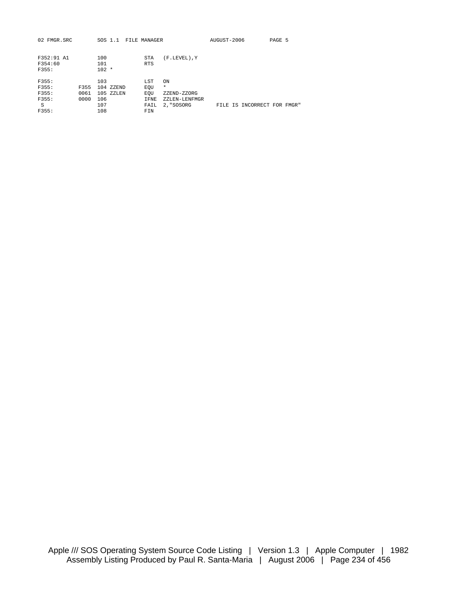| 02 FMGR.SRC |      |         | SOS 1.1   | FILE MANAGER |                 | AUGUST-2006 |                             | PAGE 5 |  |
|-------------|------|---------|-----------|--------------|-----------------|-------------|-----------------------------|--------|--|
|             |      |         |           |              |                 |             |                             |        |  |
| F352:91 A1  |      | 100     |           | STA          | $(F.LEVEL)$ , Y |             |                             |        |  |
| F354:60     |      | 101     |           | <b>RTS</b>   |                 |             |                             |        |  |
| F355:       |      | $102 *$ |           |              |                 |             |                             |        |  |
|             |      |         |           |              |                 |             |                             |        |  |
| F355:       |      | 103     |           | LST          | ON              |             |                             |        |  |
| F355:       | F355 |         | 104 ZZEND | EOU          | $\star$         |             |                             |        |  |
| F355:       | 0061 |         | 105 ZZLEN | EOU          | ZZEND-ZZORG     |             |                             |        |  |
| F355:       | 0000 | 106     |           | IFNE         | ZZLEN-LENFMGR   |             |                             |        |  |
| S           |      | 107     |           | FAIL         | 2, "SOSORG      |             | FILE IS INCORRECT FOR FMGR" |        |  |
| F355:       |      | 108     |           | FIN          |                 |             |                             |        |  |
|             |      |         |           |              |                 |             |                             |        |  |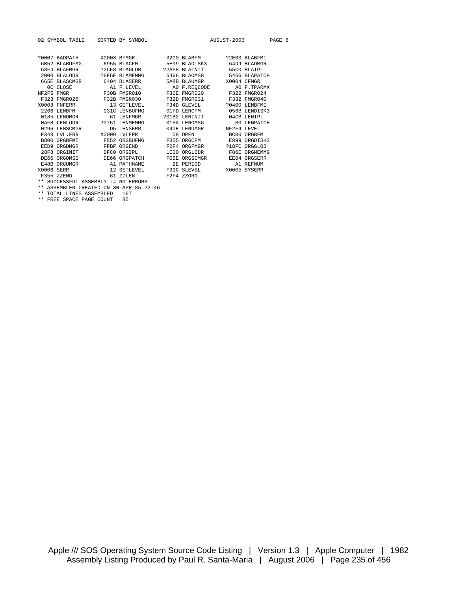|            | 02 SYMBOL TABLE           |      | SORTED BY SYMBOL |               | AUGUST-2006 |               | PAGE 6 |  |
|------------|---------------------------|------|------------------|---------------|-------------|---------------|--------|--|
|            |                           |      |                  |               |             |               |        |  |
|            | ?0007 BADPATH X0003 BFMGR |      |                  | 3200 BLABFM   |             | 22E00 BLABFMI |        |  |
|            | 6B52 BLABUFMG             |      | 6955 BLACFM      | 5E99 BLADISK3 |             | 64D9 BLADMGR  |        |  |
|            | 68F4 BLAFMGR              |      | ?2CF8 BLAGLOB    | ?2AF8 BLAINIT |             | 55CO BLAIPL   |        |  |
|            | $2000$ BLALODR            |      | P6E6E BLAMEMMG   | 5466 BLAOMSG  |             | 5466 BLAPATCH |        |  |
|            | 665E BLASCMGR             |      | 6404 BLASERR     | 5A8B BLAUMGR  |             | X0004 CFMGR   |        |  |
|            | OC CLOSE                  |      | A1 F.LEVEL       | A0 F.REOCODE  |             | AO F. TPARMX  |        |  |
| NF2F5 FMGR |                           |      | F30B FMGR010     | F30E FMGR020  |             | F322 FMGR024  |        |  |
|            | F323 FMGR026              |      | F32B FMGR030     | F32D FMGR031  |             | F332 FMGR040  |        |  |
|            | X0008 FNFERR              |      | 13 GETLEVEL      | F34D GLEVEL   |             | ?0400 LENBFMI |        |  |
|            | 2266 LENBFM               |      | 031C LENBUFMG    | 01FD LENCFM   |             | 056B LENDISK3 |        |  |
|            | 0185 LENDMGR              |      | 61 LENFMGR       | 201B2 LENINIT |             | 04CB LENTPL   |        |  |
|            | 0AF8 LENLODR              |      | ?0751 LENMEMMG   | 015A LENOMSG  |             | 00 LENPATCH   |        |  |
|            | 0296 LENSCMGR             |      | D5 LENSERR       | 040E LENUMGR  |             | NF2F4 LEVEL   |        |  |
|            | F348 LVL ERR              |      | X0009 LVLERR     | 08 OPEN       |             | BC00 ORGBFM   |        |  |
|            | B800 ORGBFMI              |      | F552 ORGBUFMG    | F355 ORGCFM   |             | E899 ORGDISK3 |        |  |
|            | EED9 ORGDMGR              | FFBF | ORGEND           | F2F4 ORGFMGR  |             | ?18FC ORGGLOB |        |  |
|            | 28F8 ORGINIT              | DFC0 | ORGIPL           | 1E00 ORGLODR  |             | F86E ORGMEMMG |        |  |
|            | DE66 ORGOMSG              |      | DE66 ORGPATCH    | F05E ORGSCMGR |             | EE04 ORGSERR  |        |  |
|            | E48B ORGUMGR              |      | A1 PATHNAME      | 2E PERIOD     |             | A1 REFNUM     |        |  |
| X0006 SERR |                           |      | 12 SETLEVEL      | F33C SLEVEL   |             | X0005 SYSERR  |        |  |
|            | F355 ZZEND                |      | 61 ZZLEN         | F2F4 ZZORG    |             |               |        |  |

\*\* SUCCESSFUL ASSEMBLY := NO ERRORS \*\* ASSEMBLER CREATED ON 30-APR-85 22:46

\*\* TOTAL LINES ASSEMBLED 167

\*\* FREE SPACE PAGE COUNT 85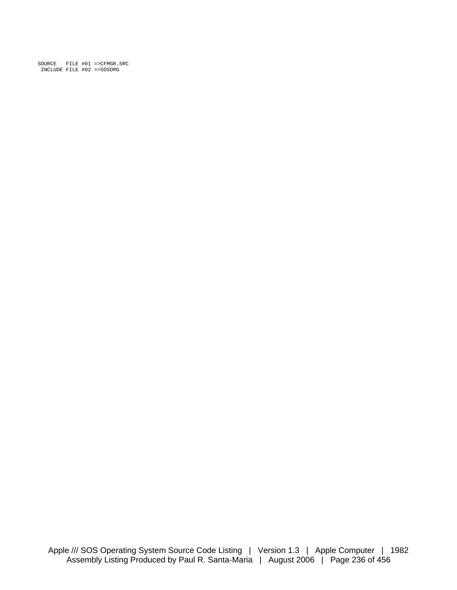SOURCE FILE #01 =>CFMGR.SRC INCLUDE FILE #02 =>SOSORG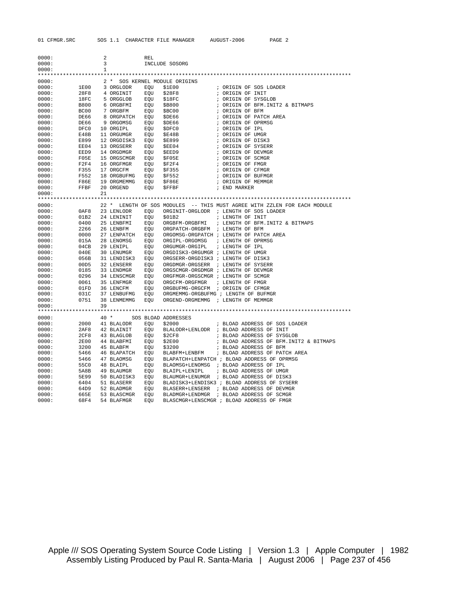| 0000: |      | 2            |                | <b>REL</b> |                                         |                                                                          |
|-------|------|--------------|----------------|------------|-----------------------------------------|--------------------------------------------------------------------------|
| 0000: |      | 3            |                |            | INCLUDE SOSORG                          |                                                                          |
| 0000: |      | $\mathbf{1}$ |                |            |                                         |                                                                          |
|       |      |              |                |            |                                         |                                                                          |
| 0000: |      |              |                |            | 2 * SOS KERNEL MODULE ORIGINS           |                                                                          |
| 0000: | 1E00 |              | 3 ORGLODR      | EQU        | \$1E00                                  | ; ORIGIN OF SOS LOADER                                                   |
| 0000: | 28F8 |              | 4 ORGINIT      | EOU        | \$28F8                                  | ; ORIGIN OF INIT                                                         |
| 0000: | 18FC |              | 5 ORGGLOB      | EQU        | \$18FC                                  | ; ORIGIN OF SYSGLOB                                                      |
| 0000: | B800 |              | 6 ORGBFMI      | EQU        | \$B800                                  | ; ORIGIN OF BFM. INIT2 & BITMAPS                                         |
| 0000: | BC00 |              | 7 ORGBFM       | EQU        | \$BC00                                  | ; ORIGIN OF BFM                                                          |
| 0000: | DE66 |              | 8 ORGPATCH EQU |            | \$DE66                                  | ; ORIGIN OF PATCH AREA                                                   |
| 0000: | DE66 |              | 9 ORGOMSG      | EQU        | \$DE66                                  | ; ORIGIN OF OPRMSG                                                       |
| 0000: | DFC0 |              | 10 ORGIPL      | EQU        | \$DFC0                                  | ; ORIGIN OF IPL                                                          |
| 0000: | E48B |              | 11 ORGUMGR     | EQU        | \$E48B                                  | ; ORIGIN OF UMGR                                                         |
| 0000: | E899 |              | 12 ORGDISK3    | EQU        | <b>\$E899</b>                           | ; ORIGIN OF DISK3                                                        |
| 0000: | EE04 |              | 13 ORGSERR     | EQU        | \$EE04                                  | ; ORIGIN OF SYSERR                                                       |
| 0000: | EED9 |              | 14 ORGDMGR     | EQU        | \$EED9                                  | ; ORIGIN OF DEVMGR                                                       |
| 0000: | F05E |              | 15 ORGSCMGR    | EOU        | SF05E                                   | ; ORIGIN OF SCMGR                                                        |
| 0000: | F2F4 |              | 16 ORGFMGR     | EQU        | \$F2F4                                  | ; ORIGIN OF FMGR                                                         |
| 0000: | F355 |              | 17 ORGCFM      | EQU        | \$F355                                  | ; ORIGIN OF CFMGR                                                        |
| 0000: | F552 |              | 18 ORGBUFMG    | EQU        | \$F552                                  | ; ORIGIN OF BUFMGR                                                       |
| 0000: | F86E |              | 19 ORGMEMMG    | EOU        | \$F86E                                  | ; ORIGIN OF MEMMGR                                                       |
| 0000: | FFBF |              | 20 ORGEND      | EQU        | <b>SFFBF</b>                            | ; END MARKER                                                             |
| 0000: |      | 21           |                |            |                                         |                                                                          |
|       |      |              |                |            |                                         |                                                                          |
| 0000: |      |              |                |            |                                         | 22 * LENGTH OF SOS MODULES -- THIS MUST AGREE WITH ZZLEN FOR EACH MODULE |
| 0000: | 0AF8 |              | 23 LENLODR     | EQU        | ORGINIT-ORGLODR ; LENGTH OF SOS LOADER  |                                                                          |
| 0000: | 01B2 |              | 24 LENINIT     | EQU        | \$01B2                                  | ; LENGTH OF INIT                                                         |
| 0000: | 0400 |              | 25 LENBFMI     | EQU        |                                         | ORGBFM-ORGBFMI : LENGTH OF BFM. INIT2 & BITMAPS                          |
| 0000: | 2266 |              | 26 LENBFM      | EQU        | ORGPATCH-ORGBFM ; LENGTH OF BFM         |                                                                          |
| 0000: | 0000 |              |                | EQU        | ORGOMSG-ORGPATCH ; LENGTH OF PATCH AREA |                                                                          |
|       |      |              | 27 LENPATCH    |            |                                         |                                                                          |
| 0000: | 015A |              | 28 LENOMSG     | EOU        | ORGIPL-ORGOMSG                          | ; LENGTH OF OPRMSG                                                       |
| 0000: | 04CB |              | 29 LENIPL      | EQU        | ORGUMGR-ORGIPL                          | ; LENGTH OF IPL                                                          |
| 0000: | 040E |              | 30 LENUMGR     | EOU        | ORGDISK3-ORGUMGR ; LENGTH OF UMGR       |                                                                          |
| 0000: | 056B |              | 31 LENDISK3    | EOU        | ORGSERR-ORGDISK3 ; LENGTH OF DISK3      |                                                                          |
| 0000: | 00D5 |              | 32 LENSERR     | EOU        | ORGDMGR-ORGSERR ; LENGTH OF SYSERR      |                                                                          |
| 0000: | 0185 |              | 33 LENDMGR     | EQU        | ORGSCMGR-ORGDMGR ; LENGTH OF DEVMGR     |                                                                          |
| 0000: | 0296 |              | 34 LENSCMGR    | EQU        | ORGFMGR-ORGSCMGR ; LENGTH OF SCMGR      |                                                                          |
| 0000: | 0061 |              | 35 LENFMGR     | EQU        | ORGCFM-ORGFMGR                          | ; LENGTH OF FMGR                                                         |
| 0000: | 01FD |              | 36 LENCFM      | EOU        | ORGBUFMG-ORGCFM ; ORIGIN OF CFMGR       |                                                                          |
| 0000: | 031C |              | 37 LENBUFMG    | EQU        | ORGMEMMG-ORGBUFMG ; LENGTH OF BUFMGR    |                                                                          |
| 0000: | 0751 |              | 38 LENMEMMG    | EOU        | ORGEND-ORGMEMMG ; LENGTH OF MEMMGR      |                                                                          |
| 0000: |      | 39           |                |            |                                         |                                                                          |
|       |      |              |                |            |                                         |                                                                          |
| 0000: |      |              | 40 *           |            | SOS BLOAD ADDRESSES                     |                                                                          |
| 0000: | 2000 |              | 41 BLALODR EQU |            | \$2000                                  | ; BLOAD ADDRESS OF SOS LOADER                                            |
| 0000: | 2AF8 |              | 42 BLAINIT     | EQU        |                                         | BLALODR+LENLODR ; BLOAD ADDRESS OF INIT                                  |
| 0000: | 2CF8 |              | 43 BLAGLOB     | EQU        | \$2CF8                                  | ; BLOAD ADDRESS OF SYSGLOB                                               |
| 0000: | 2E00 |              | 44 BLABFMI     | EQU        | \$2E00                                  | ; BLOAD ADDRESS OF BFM. INIT2 & BITMAPS                                  |
| 0000: | 3200 |              | 45 BLABFM      | EQU        | \$3200                                  | ; BLOAD ADDRESS OF BFM                                                   |
| 0000: | 5466 |              | 46 ВLAPATCH    | EQU        | BLABFM+LENBFM                           | ; BLOAD ADDRESS OF PATCH AREA                                            |
| 0000: | 5466 |              | 47 BLAOMSG     | EQU        |                                         | BLAPATCH+LENPATCH ; BLOAD ADDRESS OF OPRMSG                              |
| 0000: | 55C0 |              | 48 BLAIPL      | EQU        | BLAOMSG+LENOMSG ; BLOAD ADDRESS OF IPL  |                                                                          |
| 0000: | 5A8B |              | 49 BLAUMGR     | EQU        | BLAIPL+LENIPL                           | ; BLOAD ADDRESS OF UMGR                                                  |
| 0000: | 5E99 |              | 50 BLADISK3    | EQU        |                                         | BLAUMGR+LENUMGR ; BLOAD ADDRESS OF DISK3                                 |
| 0000: | 6404 |              | 51 BLASERR     | EQU        |                                         | BLADISK3+LENDISK3 ; BLOAD ADDRESS OF SYSERR                              |
| 0000: | 64D9 |              | 52 BLADMGR     | EQU        |                                         | BLASERR+LENSERR ; BLOAD ADDRESS OF DEVMGR                                |
| 0000: | 665E |              | 53 BLASCMGR    | EQU        | BLADMGR+LENDMGR                         | ; BLOAD ADDRESS OF SCMGR                                                 |
| 0000: | 68F4 |              | 54 BLAFMGR     | EOU        |                                         | BLASCMGR+LENSCMGR ; BLOAD ADDRESS OF FMGR                                |

Apple /// SOS Operating System Source Code Listing | Version 1.3 | Apple Computer | 1982 Assembly Listing Produced by Paul R. Santa-Maria | August 2006 | Page 237 of 456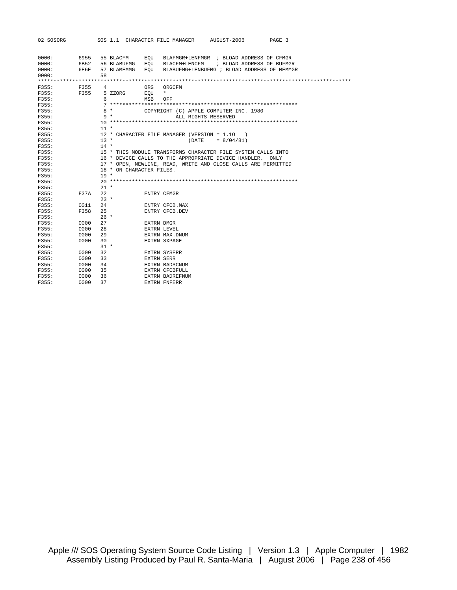| 02 SOSORG |             |                |             |                          | SOS 1.1 CHARACTER FILE MANAGER | AUGUST-2006                                                   |                           | PAGE 3 |  |
|-----------|-------------|----------------|-------------|--------------------------|--------------------------------|---------------------------------------------------------------|---------------------------|--------|--|
| 0000:     | 6955        |                | 55 BLACFM   | EOU                      |                                | BLAFMGR+LENFMGR ; BLOAD ADDRESS OF CFMGR                      |                           |        |  |
| 0000:     | 6B52        |                | 56 BLABUFMG | EOU                      | BLACFM+LENCFM                  |                                                               | ; BLOAD ADDRESS OF BUFMGR |        |  |
| 0000:     | 6E6E        |                | 57 BLAMEMMG | EOU                      |                                | BLABUFMG+LENBUFMG ; BLOAD ADDRESS OF MEMMGR                   |                           |        |  |
| 0000:     |             | 58             |             |                          |                                |                                                               |                           |        |  |
|           |             |                |             |                          |                                |                                                               |                           |        |  |
| F355:     | F355        | $\overline{4}$ |             | ORG                      | ORGCFM                         |                                                               |                           |        |  |
| F355:     | F355        |                | 5 ZZORG     | EOU                      | $\star$                        |                                                               |                           |        |  |
| F355:     |             | 6              |             | MSB                      | OFF                            |                                                               |                           |        |  |
| F355:     |             |                |             |                          |                                |                                                               |                           |        |  |
| F355:     |             |                | 8 *         |                          |                                | COPYRIGHT (C) APPLE COMPUTER INC. 1980                        |                           |        |  |
| F355:     |             |                | 9 *         |                          |                                | ALL RIGHTS RESERVED                                           |                           |        |  |
| F355:     |             |                |             |                          |                                |                                                               |                           |        |  |
| F355:     |             | $11 *$         |             |                          |                                |                                                               |                           |        |  |
| F355:     |             |                |             |                          |                                | 12 * CHARACTER FILE MANAGER (VERSION = 1.10                   | $\rightarrow$             |        |  |
| F355:     |             | $13 *$         |             |                          |                                | (DATE)<br>$= 8/04/81$                                         |                           |        |  |
| F355:     |             | $14 *$         |             |                          |                                |                                                               |                           |        |  |
| F355:     |             |                |             |                          |                                | 15 * THIS MODULE TRANSFORMS CHARACTER FILE SYSTEM CALLS INTO  |                           |        |  |
| F355:     |             |                |             |                          |                                | 16 * DEVICE CALLS TO THE APPROPRIATE DEVICE HANDLER.          |                           | ONLY   |  |
| F355:     |             |                |             |                          |                                | 17 * OPEN, NEWLINE, READ, WRITE AND CLOSE CALLS ARE PERMITTED |                           |        |  |
| F355:     |             |                |             | 18 * ON CHARACTER FILES. |                                |                                                               |                           |        |  |
| F355:     |             | $19 *$         |             |                          |                                |                                                               |                           |        |  |
| F355:     |             |                |             |                          |                                |                                                               |                           |        |  |
| F355:     |             | $21 *$         |             |                          |                                |                                                               |                           |        |  |
| F355:     | <b>F37A</b> | 2.2.           |             |                          | ENTRY CFMGR                    |                                                               |                           |        |  |
| F355:     |             | $23 *$         |             |                          |                                |                                                               |                           |        |  |
| F355:     | 0011        | 24             |             |                          | ENTRY CFCB.MAX                 |                                                               |                           |        |  |
| F355:     | F358        | 25             |             |                          | ENTRY CFCB.DEV                 |                                                               |                           |        |  |
| F355:     |             | $26 *$         |             |                          |                                |                                                               |                           |        |  |
| F355:     | 0000        | 27             |             |                          | EXTRN DMGR                     |                                                               |                           |        |  |
| F355:     | 0000        | 28             |             |                          | EXTRN LEVEL                    |                                                               |                           |        |  |
| F355:     | 0000        | 29             |             |                          | EXTRN MAX.DNUM                 |                                                               |                           |        |  |
| F355:     | 0000        | 30             |             |                          | <b>EXTRN SXPAGE</b>            |                                                               |                           |        |  |
| F355:     |             | $31 *$         |             |                          |                                |                                                               |                           |        |  |
| F355:     | 0000        | 32             |             |                          | <b>EXTRN SYSERR</b>            |                                                               |                           |        |  |
| F355:     | 0000        | 33             |             |                          | <b>EXTRN SERR</b>              |                                                               |                           |        |  |
| F355:     | 0000        | 34             |             |                          | EXTRN BADSCNUM                 |                                                               |                           |        |  |
| F355:     | 0000        | 35             |             |                          | EXTRN CFCBFULL                 |                                                               |                           |        |  |
| F355:     | 0000        | 36             |             |                          | EXTRN BADREFNUM                |                                                               |                           |        |  |
| F355:     | 0000        | 37             |             |                          | <b>EXTRN FNFERR</b>            |                                                               |                           |        |  |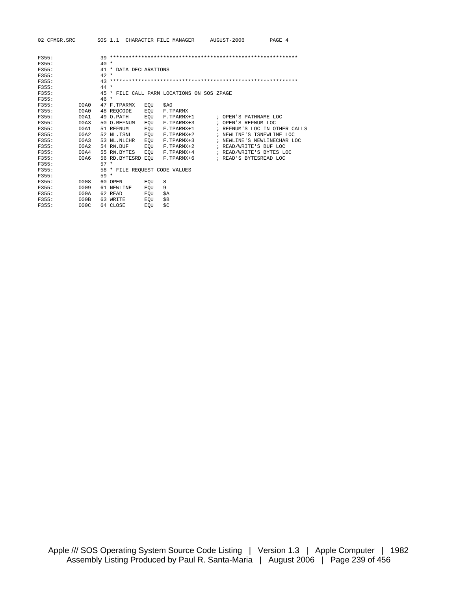| 02 CFMGR.SRC |      |        |              |                        |     |     | SOS 1.1 CHARACTER FILE MANAGER             |  | AUGUST-2006<br>PAGE 4         |
|--------------|------|--------|--------------|------------------------|-----|-----|--------------------------------------------|--|-------------------------------|
|              |      |        |              |                        |     |     |                                            |  |                               |
| F355:        |      |        |              |                        |     |     |                                            |  |                               |
| F355:        |      | $40*$  |              |                        |     |     |                                            |  |                               |
| F355:        |      |        |              | 41 * DATA DECLARATIONS |     |     |                                            |  |                               |
| F355:        |      | $42 *$ |              |                        |     |     |                                            |  |                               |
| F355:        |      |        |              |                        |     |     |                                            |  |                               |
| F355:        |      | $44 *$ |              |                        |     |     |                                            |  |                               |
| F355:        |      |        |              |                        |     |     | 45 * FILE CALL PARM LOCATIONS ON SOS ZPAGE |  |                               |
| F355:        |      | $46 *$ |              |                        |     |     |                                            |  |                               |
| F355:        | 00A0 |        | 47 F. TPARMX |                        | EOU |     | \$A0                                       |  |                               |
| F355:        | 00A0 |        | 48 REOCODE   |                        | EQU |     | F.TPARMX                                   |  |                               |
| F355:        | 00A1 |        | 49 O.PATH    |                        | EOU |     | F.TPARMX+1                                 |  | ; OPEN'S PATHNAME LOC         |
| F355:        | 00A3 |        | 50 O.REFNUM  |                        | EQU |     | F.TPARMX+3                                 |  | ; OPEN'S REFNUM LOC           |
| F355:        | 00A1 |        | 51 REFNUM    |                        | EOU |     | F.TPARMX+1                                 |  | ; REFNUM'S LOC IN OTHER CALLS |
| F355:        | 00A2 |        | 52 NL.ISNL   |                        | EOU |     | F.TPARMX+2                                 |  | ; NEWLINE'S ISNEWLINE LOC     |
| F355:        | 00A3 |        | 53 NL.NLCHR  |                        | EOU |     | F.TPARMX+3                                 |  | ; NEWLINE'S NEWLINECHAR LOC   |
| F355:        | 00A2 |        | 54 RW.BUF    |                        | EOU |     | F.TPARMX+2                                 |  | ; READ/WRITE'S BUF LOC        |
| F355:        | 00A4 |        | 55 RW.BYTES  |                        | EOU |     | F.TPARMX+4                                 |  | ; READ/WRITE'S BYTES LOC      |
| F355:        | 00A6 |        |              | 56 RD.BYTESRD EOU      |     |     | F.TPARMX+6                                 |  | ; READ'S BYTESREAD LOC        |
| F355:        |      | $57 *$ |              |                        |     |     |                                            |  |                               |
| F355:        |      |        |              |                        |     |     | 58 * FILE REQUEST CODE VALUES              |  |                               |
| F355:        |      | $59 *$ |              |                        |     |     |                                            |  |                               |
| F355:        | 0008 |        | 60 OPEN      |                        | EOU | 8   |                                            |  |                               |
| F355:        | 0009 |        | 61 NEWLINE   |                        | EOU | 9   |                                            |  |                               |
| F355:        | 000A |        | 62 READ      |                        | EOU | \$Ά |                                            |  |                               |
| F355:        | 000B |        | 63 WRITE     |                        | EOU | \$B |                                            |  |                               |
| F355:        | 000C |        | 64 CLOSE     |                        | EOU | \$C |                                            |  |                               |
|              |      |        |              |                        |     |     |                                            |  |                               |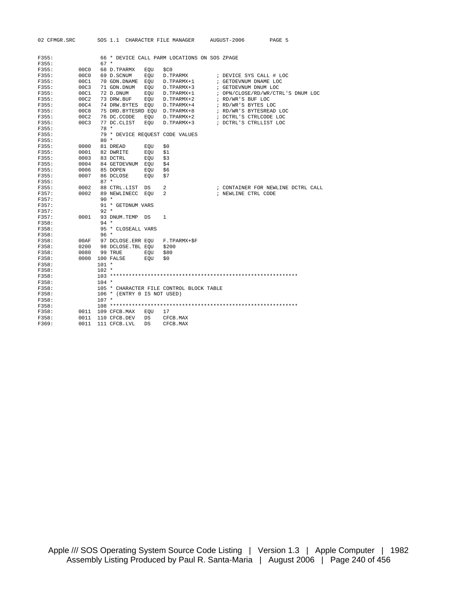|                | 02 CFMGR.SRC |              |         |                             |     | SOS 1.1 CHARACTER FILE MANAGER AUGUST-2006   |  |                                    | PAGE 5 |  |
|----------------|--------------|--------------|---------|-----------------------------|-----|----------------------------------------------|--|------------------------------------|--------|--|
|                |              |              |         |                             |     |                                              |  |                                    |        |  |
| F355:          |              |              |         |                             |     | 66 * DEVICE CALL PARM LOCATIONS ON SOS ZPAGE |  |                                    |        |  |
| F355:          |              |              | $67 *$  |                             |     |                                              |  |                                    |        |  |
| F355:          |              | 00C0         |         | 68 D.TPARMX                 | EOU | \$CO                                         |  |                                    |        |  |
| F355:          |              | 00C0         |         | 69 D.SCNUM                  | EOU | D.TPARMX                                     |  | ; DEVICE SYS CALL # LOC            |        |  |
| F355:          |              | 00C1         |         | 70 GDN.DNAME EQU            |     | D.TPARMX+1                                   |  | ; GETDEVNUM DNAME LOC              |        |  |
| F355:          |              | 00C3         |         | 71 GDN.DNUM                 | EOU | D.TPARMX+3                                   |  | ; GETDEVNUM DNUM LOC               |        |  |
| F355:          |              | 00C1         |         | 72 D.DNUM                   | EQU | D.TPARMX+1                                   |  | ; OPN/CLOSE/RD/WR/CTRL'S DNUM LOC  |        |  |
| F355:          |              | 00C2         |         | 73 DRW.BUF                  | EOU | D.TPARMX+2                                   |  | ; RD/WR'S BUF LOC                  |        |  |
| F355:          |              | 00C4         |         | 74 DRW.BYTES EOU            |     | D.TPARMX+4                                   |  | ; RD/WR'S BYTES LOC                |        |  |
| F355:          |              | 00C8         |         |                             |     | 75 DRD.BYTESRD EQU D.TPARMX+8                |  | ; RD/WR'S BYTESREAD LOC            |        |  |
| F355:          |              | 00C2         |         | 76 DC.CCODE                 | EOU | D.TPARMX+2                                   |  | ; DCTRL'S CTRLCODE LOC             |        |  |
| F355:          |              | 00C3         |         | 77 DC.CLIST                 | EOU | D.TPARMX+3                                   |  | ; DCTRL'S CTRLLIST LOC             |        |  |
| F355:          |              |              | $78 *$  |                             |     |                                              |  |                                    |        |  |
| F355:          |              |              |         |                             |     | 79 * DEVICE REQUEST CODE VALUES              |  |                                    |        |  |
| F355:          |              |              | $80 *$  |                             |     |                                              |  |                                    |        |  |
| F355:          |              | 0000         |         | 81 DREAD                    | EQU | \$0                                          |  |                                    |        |  |
| F355:          |              | 0001         |         | 82 DWRITE                   | EQU | \$1                                          |  |                                    |        |  |
| F355:          |              | 0003         |         | 83 DCTRL                    | EOU | \$3                                          |  |                                    |        |  |
| F355:          |              | 0004         |         | 84 GETDEVNUM EQU            |     | \$4                                          |  |                                    |        |  |
| F355:          |              | 0006         |         | 85 DOPEN                    | EOU | \$6                                          |  |                                    |        |  |
| F355:          |              | 0007         |         | 86 DCLOSE                   | EOU | \$7                                          |  |                                    |        |  |
| F355:          |              |              | $87 *$  |                             |     |                                              |  |                                    |        |  |
| F355:          |              | 0002         |         | 88 CTRL.LIST                | DS  | 2                                            |  | ; CONTAINER FOR NEWLINE DCTRL CALL |        |  |
| F357:          |              | 0002         |         | 89 NEWLINECC                | EOU | 2                                            |  | ; NEWLINE CTRL CODE                |        |  |
| F357:          |              |              | $90 *$  |                             |     |                                              |  |                                    |        |  |
| F357:          |              |              |         | 91 * GETDNUM VARS           |     |                                              |  |                                    |        |  |
| F357:          |              |              | $92 *$  |                             |     |                                              |  |                                    |        |  |
| F357:          |              | 0001         |         | 93 DNUM.TEMP DS             |     | $\mathbf{1}$                                 |  |                                    |        |  |
| F358:          |              |              | $94 *$  |                             |     |                                              |  |                                    |        |  |
| F358:          |              |              |         | 95 * CLOSEALL VARS          |     |                                              |  |                                    |        |  |
| F358:          |              |              | $96 *$  |                             |     |                                              |  |                                    |        |  |
| F358:<br>F358: |              | 00AF<br>0200 |         | 98 DCLOSE.TBL EOU \$200     |     | 97 DCLOSE.ERR EOU F.TPARMX+\$F               |  |                                    |        |  |
| F358:          |              | 0080         |         | 99 TRUE                     | EOU | \$80                                         |  |                                    |        |  |
| F358:          |              | 0000         |         | 100 FALSE                   | EOU | \$0                                          |  |                                    |        |  |
| F358:          |              |              | $101 *$ |                             |     |                                              |  |                                    |        |  |
| F358:          |              |              | $102 *$ |                             |     |                                              |  |                                    |        |  |
| F358:          |              |              |         |                             |     |                                              |  |                                    |        |  |
| F358:          |              |              | $104 *$ |                             |     |                                              |  |                                    |        |  |
| F358:          |              |              |         |                             |     | 105 * CHARACTER FILE CONTROL BLOCK TABLE     |  |                                    |        |  |
| F358:          |              |              |         | 106 * (ENTRY 0 IS NOT USED) |     |                                              |  |                                    |        |  |
| F358:          |              |              | $107 *$ |                             |     |                                              |  |                                    |        |  |
| F358:          |              |              |         |                             |     |                                              |  |                                    |        |  |
| F358:          |              | 0011         |         | 109 CFCB.MAX                | EQU | 17                                           |  |                                    |        |  |
| F358:          |              | 0011         |         | 110 CFCB.DEV                | DS  | CFCB.MAX                                     |  |                                    |        |  |
| F369:          |              | 0011         |         | 111 CFCB.LVL                | DS. | CFCB.MAX                                     |  |                                    |        |  |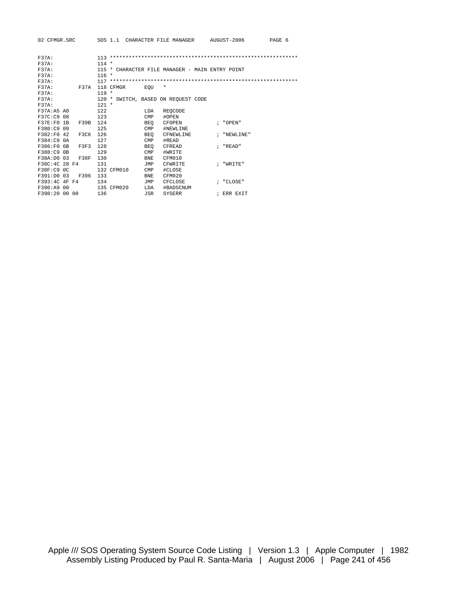| 02 CFMGR.SRC                |                          | SOS 1.1 CHARACTER FILE MANAGER                  | AUGUST-2006<br>PAGE 6 |
|-----------------------------|--------------------------|-------------------------------------------------|-----------------------|
|                             |                          |                                                 |                       |
| <b>F37A:</b>                |                          |                                                 |                       |
| F37A:                       | $114 *$                  |                                                 |                       |
| <b>F37A:</b>                |                          | 115 * CHARACTER FILE MANAGER - MAIN ENTRY POINT |                       |
| F37A:                       | $116 *$                  |                                                 |                       |
| $F37A$ :                    |                          |                                                 |                       |
| <b>F37A:</b><br><b>F37A</b> | 118 CFMGR<br>EOU         | $^\star$                                        |                       |
| F37A:                       | $119 *$                  |                                                 |                       |
| <b>F37A:</b>                |                          | 120 * SWITCH, BASED ON REQUEST CODE             |                       |
| F37A:                       | $121 *$                  |                                                 |                       |
| F37A:A5 A0                  | 122<br>LDA               | REOCODE                                         |                       |
| F37C:C9 08                  | 123<br><b>CMP</b>        | #OPEN                                           |                       |
| F37E:FO 1B<br>F39B 124      | BEO                      | CFOPEN                                          | : "OPEN"              |
| F380:C9 09                  | 125<br><b>CMP</b>        | #NEWLINE                                        |                       |
| F382: F0 42<br>F3C6         | 126<br>BEO               | CFNEWLINE                                       | ; "NEWLINE"           |
| F384:C9 0A                  | 127<br>$\text{CMP}$      | #READ                                           |                       |
| F386:F0 6B<br>F3F3          | 128<br>BEO               | CFREAD                                          | $; "R$ EAD"           |
| F388:C9 0B                  | 129<br><b>CMP</b>        | #WRITE                                          |                       |
| F38A:D0 03<br><b>F38F</b>   | 130<br><b>BNE</b>        | CFM010                                          |                       |
| F38C:4C 28 F4               | 131<br>JMP               | CFWRITE                                         | : "WRTTR"             |
| F38F:C9 0C                  | 132 CFM010<br><b>CMP</b> | #CLOSE                                          |                       |
| F391:D0 03<br>F396 133      | <b>BNE</b>               | CFM020                                          |                       |
| F393:4C 4F F4               | 134<br>JMP               | CFCLOSE                                         | ; "CLOSE"             |
| F396:A9 00                  | 135 CFM020<br>LDA        | #BADSCNUM                                       |                       |
| F398:20 00 00               | 136<br>JSR               | SYSERR                                          | ; ERR EXIT            |
|                             |                          |                                                 |                       |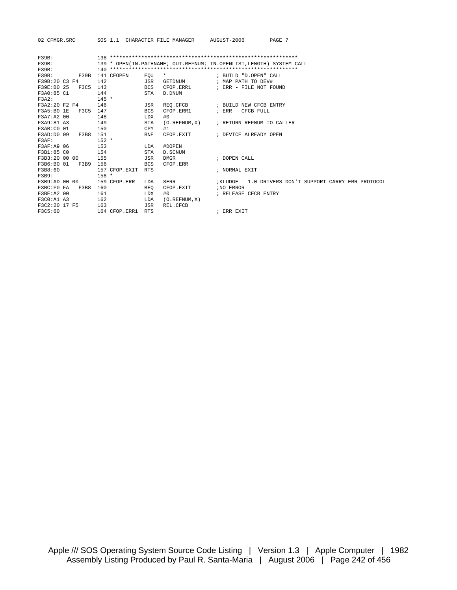02 CFMGR.SRC SOS 1.1 CHARACTER FILE MANAGER AUGUST-2006 PAGE 7

| <b>F39B:</b>  |             |         |               |                                                                      |              |                                                        |  |  |  |  |
|---------------|-------------|---------|---------------|----------------------------------------------------------------------|--------------|--------------------------------------------------------|--|--|--|--|
| $F39B$ :      |             |         |               | 139 * OPEN(IN.PATHNAME; OUT.REFNUM; IN.OPENLIST, LENGTH) SYSTEM CALL |              |                                                        |  |  |  |  |
| <b>F39B:</b>  |             |         |               |                                                                      |              |                                                        |  |  |  |  |
| $F39B$ :      | F39B        |         | 141 CFOPEN    | EOU                                                                  | $^\star$     | ; BUILD "D.OPEN" CALL                                  |  |  |  |  |
| F39B:20 C3 F4 |             | 142     |               | JSR                                                                  | GETDNUM      | ; MAP PATH TO DEV#                                     |  |  |  |  |
| F39E:B0 25    | <b>F3C5</b> | 143     |               | <b>BCS</b>                                                           | CFOP FRR1    | ; ERR - FILE NOT FOUND                                 |  |  |  |  |
| F3A0:85 C1    |             | 144     |               | STA                                                                  | D. DNUM      |                                                        |  |  |  |  |
| F3A2:         |             | $145 *$ |               |                                                                      |              |                                                        |  |  |  |  |
| F3A2:20 F2 F4 |             | 146     |               | JSR                                                                  |              | REQ. CFCB : BUILD NEW CFCB ENTRY                       |  |  |  |  |
| F3A5:B01E     | F3C5        | 147     |               | <b>BCS</b>                                                           | CFOP.ERR1    | ; ERR - CFCB FULL                                      |  |  |  |  |
| F3A7:A2 00    |             | 148     |               | LDX                                                                  | #0           |                                                        |  |  |  |  |
| F3A9:81 A3    |             | 149     |               | <b>STA</b>                                                           |              | (O.REFNUM.X) ; RETURN REFNUM TO CALLER                 |  |  |  |  |
| F3AB:C0 01    |             | 150     |               | CPY                                                                  | #1           |                                                        |  |  |  |  |
| F3AD: D0 09   | F3B8        | 151     |               | <b>BNE</b>                                                           | CFOP EXTT    | ; DEVICE ALREADY OPEN                                  |  |  |  |  |
| $F3AF$ :      |             | $152 *$ |               |                                                                      |              |                                                        |  |  |  |  |
| F3AF:A9 06    |             | 153     |               | LDA                                                                  | #DOPEN       |                                                        |  |  |  |  |
| F3B1:85 CO    |             | 154     |               | <b>STA</b>                                                           | D. SCNUM     |                                                        |  |  |  |  |
| F3B3:20 00 00 |             | 155     |               | JSR                                                                  | DMGR         | ; DOPEN CALL                                           |  |  |  |  |
| F3B6:B0 01    | F3B9        | 156     |               | <b>BCS</b>                                                           | CFOP.ERR     |                                                        |  |  |  |  |
| F3B8:60       |             |         | 157 CFOP.EXIT | <b>RTS</b>                                                           |              | ; NORMAL EXIT                                          |  |  |  |  |
| F3B9:         |             | $158 *$ |               |                                                                      |              |                                                        |  |  |  |  |
| F3B9:AD 00 00 |             |         | 159 CFOP ERR  | LDA                                                                  | SERR         | KLUDGE - 1.0 DRIVERS DON'T SUPPORT CARRY ERR PROTOCOL; |  |  |  |  |
| F3BC:F0 FA    | F3B8        | 160     |               | BEO                                                                  | CFOP.EXIT    | <i>INO ERROR</i>                                       |  |  |  |  |
| F3BE: A2 00   |             | 161     |               | LDX                                                                  | #0           | ; RELEASE CFCB ENTRY                                   |  |  |  |  |
| F3C0:A1 A3    |             | 162     |               | LDA                                                                  | (0.REFNUM.X) |                                                        |  |  |  |  |
| F3C2:20 17 F5 |             | 163     |               | JSR                                                                  | REL. CFCB    |                                                        |  |  |  |  |
| F3C5:60       |             |         | 164 CFOP.ERR1 | <b>RTS</b>                                                           |              | ; ERR EXIT                                             |  |  |  |  |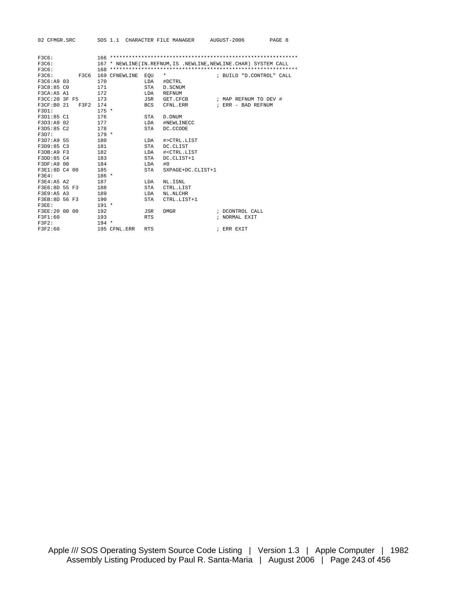| 02 CFMGR.SRC           |                   |            | SOS 1.1 CHARACTER FILE MANAGER AUGUST-2006          | PAGE 8                                                              |  |
|------------------------|-------------------|------------|-----------------------------------------------------|---------------------------------------------------------------------|--|
|                        |                   |            |                                                     |                                                                     |  |
| F3C6:                  |                   |            |                                                     |                                                                     |  |
| F3C6:                  |                   |            |                                                     | 167 * NEWLINE (IN. REFNUM, IS . NEWLINE, NEWLINE. CHAR) SYSTEM CALL |  |
| F3C6:                  |                   |            |                                                     |                                                                     |  |
| F3C6:<br><b>F3C6</b>   | 169 CFNEWLINE EOU |            | $\star$                                             | ; BUILD "D.CONTROL" CALL                                            |  |
| F3C6:A9 03             | 170               |            | LDA #DCTRL                                          |                                                                     |  |
| F3C8:85 CO             | 171               | STA        | D.SCNUM                                             |                                                                     |  |
| F3CA:A5 A1             | 172               | LDA        | REFNUM                                              |                                                                     |  |
| F3CC:20 3F F5          | 173               | JSR        | GET.CFCB                                            | ; MAP REFNUM TO DEV #                                               |  |
| F3CF:B0 21<br>F3F2 174 |                   | <b>BCS</b> | CFNL.ERR                                            | ; ERR - BAD REFNUM                                                  |  |
| F3D1:                  | $175 *$           |            |                                                     |                                                                     |  |
| F3D1:85 C1             | 176               | STA        | D. DNUM                                             |                                                                     |  |
| F3D3:A9 02             | 177               | LDA        | #NEWLINECC                                          |                                                                     |  |
| F3D5:85 C2             | 178               | STA        | DC.CCODE                                            |                                                                     |  |
| F3D7:                  | $179 *$           |            |                                                     |                                                                     |  |
| F3D7:A9 55             | 180               | LDA        | #>CTRL.LIST                                         |                                                                     |  |
| F3D9:85 C3             | 181               | STA        | DC.CLIST                                            |                                                                     |  |
| F3DB: A9 F3            | 182               | LDA        | # <ctrl.list< td=""><td></td><td></td></ctrl.list<> |                                                                     |  |
| F3DD:85 C4             | 183               | STA        | DC.CLIST+1                                          |                                                                     |  |
| F3DF: A9 00            | 184               | LDA        | #0                                                  |                                                                     |  |
| F3E1:8D C4 00          | 185               | STA        | SXPAGE+DC.CLIST+1                                   |                                                                     |  |
| $F3E4$ :               | $186 *$           |            |                                                     |                                                                     |  |
| F3E4:ABA2              | 187               | LDA        | NL.ISNL                                             |                                                                     |  |
| F3E6:8D 55 F3          | 188               | STA        | CTRL.LIST                                           |                                                                     |  |
| F3E9:A5 A3             | 189               | LDA        | NL.NLCHR                                            |                                                                     |  |
| F3EB:8D 56 F3          | 190               | STA        | CTRL.LIST+1                                         |                                                                     |  |
| F3EE:                  | $191 *$           |            |                                                     |                                                                     |  |
| F3EE:20 00 00          | 192               | JSR        | DMGR                                                | ; DCONTROL CALL                                                     |  |
| F3F1:60                | 193               | <b>RTS</b> |                                                     | ; NORMAL EXIT                                                       |  |
| $F3F2$ :               | $194 *$           |            |                                                     |                                                                     |  |
| F3F2:60                | 195 CFNL.ERR      | <b>RTS</b> |                                                     | ; ERR EXIT                                                          |  |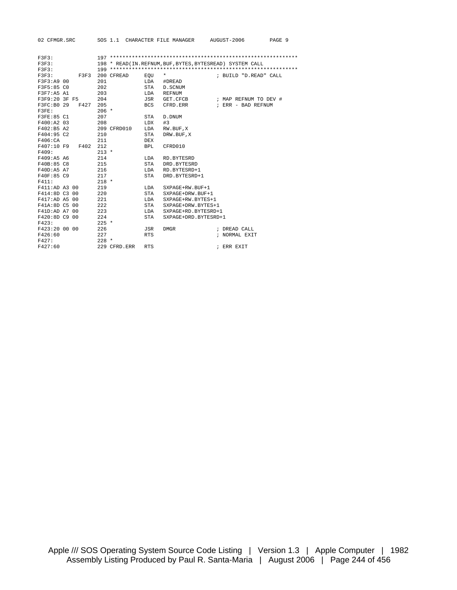| 02 CFMGR.SRC       |              |            |                      | SOS 1.1 CHARACTER FILE MANAGER AUGUST-2006<br>PAGE 9       |
|--------------------|--------------|------------|----------------------|------------------------------------------------------------|
|                    |              |            |                      |                                                            |
| F3F3:              |              |            |                      |                                                            |
| F3F3:              |              |            |                      | 198 * READ (IN. REFNUM, BUF, BYTES, BYTESREAD) SYSTEM CALL |
| F3F3:              |              |            |                      |                                                            |
| F3F3:<br>F3F3      | 200 CFREAD   | $EQU$ *    |                      | ; BUILD "D.READ" CALL                                      |
| F3F3:A9 00         | 201          |            | LDA #DREAD           |                                                            |
| F3F5:85 CO         | 202          | STA        | D.SCNUM              |                                                            |
| F3F7:A5 A1         | 203          | LDA        | REFNUM               |                                                            |
| F3F9:20 3F F5      | 204          | JSR        | GET.CFCB             | ; MAP REFNUM TO DEV #                                      |
| F3FC:B0 29<br>F427 | 205          | BCS        | CFRD.ERR             | ; ERR - BAD REFNUM                                         |
| F3FE:              | $206 *$      |            |                      |                                                            |
| F3FE:85 C1         | 207          | STA        | D. DNUM              |                                                            |
| F400:A2 03         | 208          | LDX        | #3                   |                                                            |
| F402:B5 A2         | 209 CFRD010  | LDA        | RW.BUF, X            |                                                            |
| F404:95 C2         | 210          | STA        | DRW.BUF, X           |                                                            |
| F406:CA            | 211          | DEX        |                      |                                                            |
| F407:10 F9 F402    | 212          | <b>BPL</b> | CFRD010              |                                                            |
| F409:              | $213 *$      |            |                      |                                                            |
| F409:A5 A6         | 214          | LDA        | RD.BYTESRD           |                                                            |
| F40B:85 C8         | 215          | STA        | DRD.BYTESRD          |                                                            |
| F40D:A5 A7         | 216          | LDA        | RD.BYTESRD+1         |                                                            |
| F40F:85 C9         | 217          | STA        | DRD.BYTESRD+1        |                                                            |
| F411:              | $218 *$      |            |                      |                                                            |
| F411:AD A3 00      | 219          | LDA        | SXPAGE+RW.BUF+1      |                                                            |
| F414:8D C3 00      | 220          | STA        | SXPAGE+DRW.BUF+1     |                                                            |
| F417:AD A5 00      | 221          | LDA        | SXPAGE+RW.BYTES+1    |                                                            |
| F41A:8D C5 00      | 222          | STA        | SXPAGE+DRW.BYTES+1   |                                                            |
| F41D:AD A7 00      | 223          | LDA        | SXPAGE+RD.BYTESRD+1  |                                                            |
| F420:8D C9 00      | 224          | STA        | SXPAGE+DRD.BYTESRD+1 |                                                            |
| F423:              | $225$ *      |            |                      |                                                            |
| F423:20 00 00      | 226          | JSR        | DMGR                 | ; DREAD CALL                                               |
| F426:60            | 227          | <b>RTS</b> |                      | ; NORMAL EXIT                                              |
| F427:              | $228 *$      |            |                      |                                                            |
| F427:60            | 229 CFRD.ERR | <b>RTS</b> |                      | ; ERR EXIT                                                 |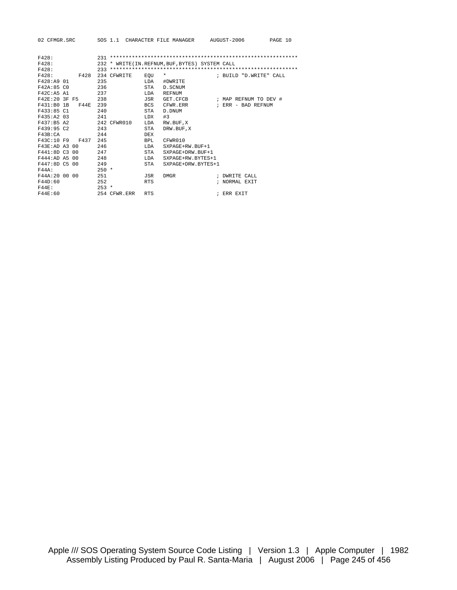| 02 CFMGR.SRC             |         |              |             | SOS 1.1 CHARACTER FILE MANAGER AUGUST-2006       |                                         | PAGE 10 |
|--------------------------|---------|--------------|-------------|--------------------------------------------------|-----------------------------------------|---------|
|                          |         |              |             |                                                  |                                         |         |
| F428:                    |         |              |             |                                                  |                                         |         |
| F428:                    |         |              |             | 232 * WRITE (IN. REFNUM, BUF, BYTES) SYSTEM CALL |                                         |         |
| F428:                    |         |              |             |                                                  |                                         |         |
| F428:<br>F428            |         | 234 CFWRITE  | EOU         | $\star$                                          | ; BUILD "D.WRITE" CALL                  |         |
| F428:A9 01               | 235     |              | LDA         | #DWRITE                                          |                                         |         |
| F42A:85 CO               | 236     |              | STA         | D. SCNUM                                         |                                         |         |
| F42C:ASA1                | 237     |              | <b>T.DA</b> | <b>REFNUM</b>                                    |                                         |         |
| F42E:20 3F F5            | 238     |              | JSR         |                                                  | GET.CFCB $\qquad$ ; MAP REFNUM TO DEV # |         |
| F44E 239<br>$F431:B0$ 1B |         |              | BCS         | CFWR.ERR                                         | ; ERR - BAD REFNUM                      |         |
| F433:85 C1               | 2.40    |              | STA         | D. DNUM                                          |                                         |         |
| F435:A2 03               | 241     |              | <b>LDX</b>  | #3                                               |                                         |         |
| F437:B5 A2               |         | 242 CFWR010  | LDA         | RW.BUF, X                                        |                                         |         |
| F439:95 C2               | 243     |              | STA         | DRW.BUF, X                                       |                                         |         |
| F43B:CA                  | 244     |              | DEX         |                                                  |                                         |         |
| F43C:10 F9 F437          | 245     |              | BPL         | CFWR010                                          |                                         |         |
| F43E:AD A3 00            | 246     |              | <b>T.DA</b> | SXPAGE+RW.BUF+1                                  |                                         |         |
| F441:8D C3 00            | 247     |              | STA         | SXPAGE+DRW.BUF+1                                 |                                         |         |
| F444:AD A5 00            | 248     |              | <b>T.DA</b> | SXPAGE+RW.BYTES+1                                |                                         |         |
| F447:8D C5 00            | 249     |              | STA         | SXPAGE+DRW.BYTES+1                               |                                         |         |
| F44A:                    | $250 *$ |              |             |                                                  |                                         |         |
| F44A: 20 00 00           | 251     |              | JSR         | <b>DMGR</b>                                      | ; DWRITE CALL                           |         |
| F44D:60                  | 252     |              | <b>RTS</b>  |                                                  | ; NORMAL EXIT                           |         |
| F44F:                    | $253 *$ |              |             |                                                  |                                         |         |
| F44E:60                  |         | 254 CFWR.ERR | <b>RTS</b>  |                                                  | ; ERR EXIT                              |         |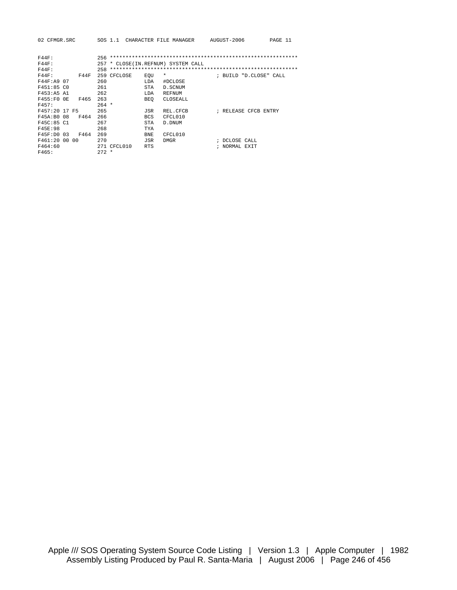| 02 CFMGR.SRC                | SOS 1.1     |                | CHARACTER FILE MANAGER         | AUGUST-2006            | PAGE 11 |
|-----------------------------|-------------|----------------|--------------------------------|------------------------|---------|
|                             |             |                |                                |                        |         |
| <b>F44F:</b>                | 256         |                |                                |                        |         |
| <b>F44F:</b>                | 257         |                | * CLOSE(IN.REFNUM) SYSTEM CALL |                        |         |
| <b>F44F:</b>                | 258         |                |                                |                        |         |
| <b>F44F:</b><br><b>F44F</b> | 259 CFCLOSE | $\star$<br>EOU |                                | ; BUILD "D.CLOSE" CALL |         |
| F44F:A9 07                  | 260         | LDA            | #DCLOSE                        |                        |         |
| F451:85C0                   | 261         | <b>STA</b>     | D. SCNUM                       |                        |         |
| F453:A5 A1                  | 262         | LDA            | <b>REFNUM</b>                  |                        |         |
| F455:FO OE<br>F465          | 263         | <b>BEO</b>     | CLOSEALL                       |                        |         |
| F457:                       | $264 *$     |                |                                |                        |         |
| F457:20 17 F5               | 265         | JSR            | REL.CFCB                       | ; RELEASE CFCB ENTRY   |         |
| F45A: B0 08<br>F464         | 266         | <b>BCS</b>     | CFCL010                        |                        |         |
| F45C:85 C1                  | 267         | STA            | D. DNUM                        |                        |         |
| F45E:98                     | 268         | <b>TYA</b>     |                                |                        |         |
| F45F:D0 03<br>F464          | 269         | <b>BNE</b>     | CFCL010                        |                        |         |
| F461:200000                 | 270         | JSR            | <b>DMGR</b>                    | ; DCLOSE CALL          |         |
| F464:60                     | 271 CFCL010 | <b>RTS</b>     |                                | ; NORMAL EXIT          |         |
| F465:                       | $272 *$     |                |                                |                        |         |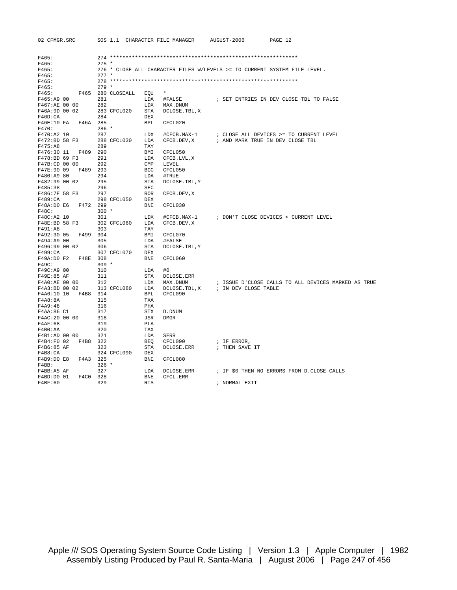| 02 CFMGR.SRC |  |
|--------------|--|
|--------------|--|

| F465:               |  |         |                               |                                                                           |                           |                                                         |  |  |  |  |  |
|---------------------|--|---------|-------------------------------|---------------------------------------------------------------------------|---------------------------|---------------------------------------------------------|--|--|--|--|--|
| F465:               |  | $275 *$ |                               |                                                                           |                           |                                                         |  |  |  |  |  |
| F465:               |  |         |                               | 276 * CLOSE ALL CHARACTER FILES W/LEVELS >= TO CURRENT SYSTEM FILE LEVEL. |                           |                                                         |  |  |  |  |  |
| F465:               |  | $277 *$ |                               |                                                                           |                           |                                                         |  |  |  |  |  |
| F465:               |  |         |                               |                                                                           |                           |                                                         |  |  |  |  |  |
| F465:               |  | $279 *$ |                               |                                                                           |                           |                                                         |  |  |  |  |  |
| F465:               |  |         | F465 280 CLOSEALL EQU *       |                                                                           |                           |                                                         |  |  |  |  |  |
| F465:A9 00          |  | 281     |                               | LDA                                                                       |                           | #FALSE $\qquad$ ; SET ENTRIES IN DEV CLOSE TBL TO FALSE |  |  |  |  |  |
| F467:AE 00 00       |  | 282     |                               | LDX                                                                       | MAX.DNUM                  |                                                         |  |  |  |  |  |
| F46A:9D 00 02       |  |         | 283 CFCL020 STA               |                                                                           | DCLOSE.TBL.X              |                                                         |  |  |  |  |  |
| F46D:CA             |  | 284     |                               | DEX                                                                       |                           |                                                         |  |  |  |  |  |
| F46E:10 FA F46A 285 |  |         |                               | BPL                                                                       | CFCL020                   |                                                         |  |  |  |  |  |
| F470:               |  | 286 *   |                               |                                                                           |                           |                                                         |  |  |  |  |  |
| F470:A2 10          |  | 287     | LDX                           |                                                                           |                           |                                                         |  |  |  |  |  |
|                     |  |         |                               |                                                                           |                           |                                                         |  |  |  |  |  |
| F472:BD 58 F3       |  |         | 288 CFCL030 LDA               |                                                                           | CFCB.DEV, X               | ; AND MARK TRUE IN DEV CLOSE TBL                        |  |  |  |  |  |
| F475:A8             |  | 289     |                               | TAY                                                                       |                           |                                                         |  |  |  |  |  |
| F476:30 11 F489 290 |  |         |                               | BMI                                                                       | CFCL050                   |                                                         |  |  |  |  |  |
| F478:BD 69 F3       |  | 291     |                               | LDA                                                                       | CFCB.LVL, X               |                                                         |  |  |  |  |  |
| F47B:CD 00 00       |  | 292     |                               | CMP                                                                       | LEVEL                     |                                                         |  |  |  |  |  |
| F47E:90 09 F489 293 |  |         |                               | <b>BCC</b>                                                                | CFCL050                   |                                                         |  |  |  |  |  |
| F480:A9 80          |  | 294     |                               | LDA                                                                       | #TRUE                     |                                                         |  |  |  |  |  |
| F482:99 00 02       |  | 295     |                               | STA                                                                       | DCLOSE. TBL, Y            |                                                         |  |  |  |  |  |
| F485:38             |  | 296     |                               | SEC                                                                       |                           |                                                         |  |  |  |  |  |
| F486:7E 58 F3       |  | 297     |                               | ROR                                                                       | CFCB.DEV, X               |                                                         |  |  |  |  |  |
| F489:CA             |  |         | 298 CFCL050                   | DEX                                                                       |                           |                                                         |  |  |  |  |  |
| F48A:D0 E6 F472 299 |  |         |                               | BNE                                                                       | CFCL030                   |                                                         |  |  |  |  |  |
| F48C:               |  | $300 *$ |                               |                                                                           |                           |                                                         |  |  |  |  |  |
| F48C:A2 10          |  | 301     |                               | LDX                                                                       |                           |                                                         |  |  |  |  |  |
| F48E:BD 58 F3       |  |         | 302 CFCL060                   | LDA                                                                       | CFCB.DEV, X               |                                                         |  |  |  |  |  |
| F491:A8             |  | 303     |                               | TAY                                                                       |                           |                                                         |  |  |  |  |  |
| F492:30 05 F499 304 |  |         |                               | BMI                                                                       | CFCL070                   |                                                         |  |  |  |  |  |
| F494:A9 00          |  | 305     |                               | LDA                                                                       | #FALSE                    |                                                         |  |  |  |  |  |
| F496:99 00 02       |  | 306     |                               | STA                                                                       | DCLOSE.TBL, Y             |                                                         |  |  |  |  |  |
| F499:CA             |  |         | 307 CFCL070                   | DEX                                                                       |                           |                                                         |  |  |  |  |  |
| F49A:D0 F2 F48E 308 |  |         |                               | BNE                                                                       | CFCL060                   |                                                         |  |  |  |  |  |
| F49C:               |  | $309 *$ |                               |                                                                           |                           |                                                         |  |  |  |  |  |
| F49C:A9 00          |  | 310     |                               | LDA                                                                       | #0                        |                                                         |  |  |  |  |  |
| F49E:85 AF          |  | 311     |                               | STA                                                                       | DCLOSE.ERR                |                                                         |  |  |  |  |  |
| F4A0:AE 00 00       |  | 312     |                               | LDX                                                                       | MAX.DNUM                  | ; ISSUE D'CLOSE CALLS TO ALL DEVICES MARKED AS TRUE     |  |  |  |  |  |
|                     |  |         | F4A3:BD 00 02 313 CFCL080 LDA |                                                                           |                           | DCLOSE.TBL, X ; IN DEV CLOSE TABLE                      |  |  |  |  |  |
| F4A6:10 10 F4B8 314 |  |         |                               | <b>BPL</b>                                                                | CFCL090                   |                                                         |  |  |  |  |  |
| F4A8:8A             |  | 315     |                               | TXA                                                                       |                           |                                                         |  |  |  |  |  |
| F4A9:48             |  | 316     |                               | PHA                                                                       |                           |                                                         |  |  |  |  |  |
| F4AA:86 C1          |  | 317     |                               | STX                                                                       | D. DNUM                   |                                                         |  |  |  |  |  |
| F4AC:20 00 00       |  | 318     |                               | JSR                                                                       | <b>DMGR</b>               |                                                         |  |  |  |  |  |
| F4AF:68             |  | 319     |                               | PLA                                                                       |                           |                                                         |  |  |  |  |  |
| F4B0:AA             |  | 320     |                               | TAX                                                                       |                           |                                                         |  |  |  |  |  |
| F4B1:AD 00 00       |  | 321     |                               | LDA                                                                       | SERR                      |                                                         |  |  |  |  |  |
| F4B4:F0 02 F4B8 322 |  |         |                               | BEO                                                                       | CFCL090                   | ; IF ERROR,                                             |  |  |  |  |  |
| F4B6:85 AF          |  | 323     |                               | STA                                                                       | DCLOSE.ERR : THEN SAVE IT |                                                         |  |  |  |  |  |
| F4B8:CA             |  |         | 324 CFCL090                   | DEX                                                                       |                           |                                                         |  |  |  |  |  |
| F4B9:D0 E8 F4A3 325 |  |         |                               | BNE                                                                       | CFCL080                   |                                                         |  |  |  |  |  |
| F4BB:               |  | $326$ * |                               |                                                                           |                           |                                                         |  |  |  |  |  |
| F4BB:A5 AF          |  | 327     |                               | LDA                                                                       | DCLOSE.ERR                | ; IF \$0 THEN NO ERRORS FROM D.CLOSE CALLS              |  |  |  |  |  |
| F4BD:D0 01 F4C0 328 |  |         |                               | BNE                                                                       | CFCL.ERR                  |                                                         |  |  |  |  |  |
| F4BF:60             |  | 329     |                               | <b>RTS</b>                                                                |                           | ; NORMAL EXIT                                           |  |  |  |  |  |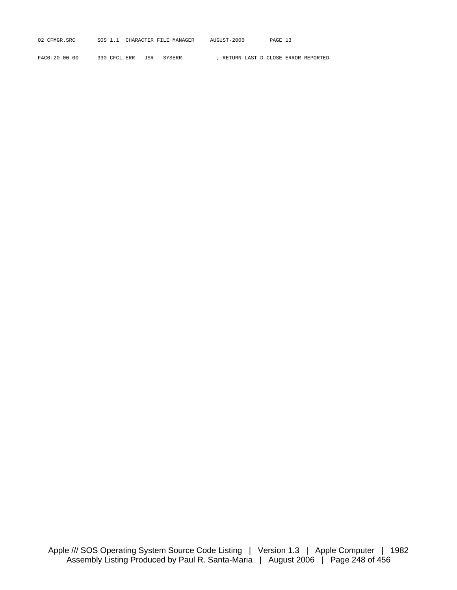| 02 CFMGR.SRC | SOS | CHARACTER FILE MANAGER | AUGUST-2006 | PAGE<br><u>، د ۲</u> |
|--------------|-----|------------------------|-------------|----------------------|
|              |     |                        |             |                      |

F4C0:20 00 00 330 CFCL.ERR JSR SYSERR ; RETURN LAST D.CLOSE ERROR REPORTED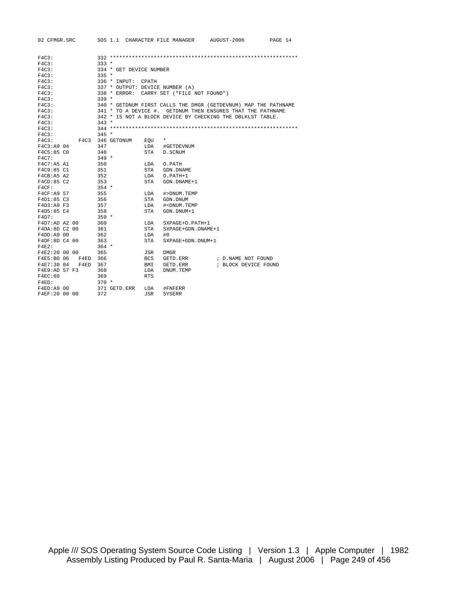| 02 CFMGR.SRC       | SOS 1.1 CHARACTER FILE MANAGER  | AUGUST-2006<br>PAGE 14                                          |
|--------------------|---------------------------------|-----------------------------------------------------------------|
|                    |                                 |                                                                 |
|                    |                                 |                                                                 |
| F4C3:              |                                 |                                                                 |
| F4C3:              | $333 *$                         |                                                                 |
| F4C3:              | 334 * GET DEVICE NUMBER         |                                                                 |
| F4C3:              | $335 *$                         |                                                                 |
| F4C3:              | 336 * INPUT:<br>CPATH           |                                                                 |
| F4C3:              | 337 * OUTPUT: DEVICE NUMBER (A) |                                                                 |
| F4C3:              | $338 *$ ERROR:                  | CARRY SET ("FILE NOT FOUND")                                    |
| F4C3:              | $339 *$                         |                                                                 |
| F4C3:              |                                 | 340 * GETDNUM FIRST CALLS THE DMGR (GETDEVNUM) MAP THE PATHNAME |
| F4C3:              |                                 | 341 * TO A DEVICE #. GETDNUM THEN ENSURES THAT THE PATHNAME     |
| F4C3:              |                                 | 342 * IS NOT A BLOCK DEVICE BY CHECKING THE DBLKLST TABLE.      |
| F4C3:              | $343 *$                         |                                                                 |
| F4C3:              |                                 |                                                                 |
| F4C3:              | $345 *$                         |                                                                 |
| F4C3:              | F4C3 346 GETDNUM<br>EOU         | $\star$                                                         |
| F4C3:A9 04         | 347<br>LDA                      | #GETDEVNUM                                                      |
| F4C5:85 CO         | 348<br>STA                      | D. SCNUM                                                        |
| F4C7:              | $349 *$                         |                                                                 |
| F4C7:AB A1         | 350<br>LDA                      | O.PATH                                                          |
| F4C9:85 C1         | 351<br>STA                      | GDN.DNAME                                                       |
| F4CB: A5 A2        | 352<br>LDA                      | $0.PATH+1$                                                      |
| F4CD:85 C2         | 353<br>STA                      | GDN.DNAME+1                                                     |
| F4CF:              | $354 *$                         |                                                                 |
| F4CF: A9 57        | 355<br>LDA                      | #>DNUM.TEMP                                                     |
| F4D1:85 C3         | 356<br>STA                      | GDN.DNUM                                                        |
| F4D3:A9 F3         | 357<br>LDA                      | # <dnum.temp< td=""></dnum.temp<>                               |
| F4D5:85 C4         | 358<br>STA                      | GDN.DNUM+1                                                      |
| F4D7:              | $359 *$                         |                                                                 |
| F4D7:AD A2 00      | 360<br>LDA                      | SXPAGE+O.PATH+1                                                 |
| F4DA:8D C2 00      | 361<br>STA                      | SXPAGE+GDN.DNAME+1                                              |
| F4DD: A9 00        | 362<br>LDA                      | #0                                                              |
| F4DF:8D C4 00      | <b>STA</b><br>363               | SXPAGE+GDN.DNUM+1                                               |
| $F4E2$ :           | $364 *$                         |                                                                 |
| F4E2:20 00 00      | 365<br>JSR                      | <b>DMGR</b>                                                     |
| F4E5:B0 06<br>F4ED | 366<br><b>BCS</b>               | GETD.ERR<br>; D.NAME NOT FOUND                                  |
| F4E7:30 04<br>F4ED | 367<br>BMI                      | ; BLOCK DEVICE FOUND<br>GETD.ERR                                |
| F4E9:AD 57 F3      | 368<br>LDA                      | DNUM.TEMP                                                       |
| F4EC:60            | 369<br><b>RTS</b>               |                                                                 |
| F4ED:              | $370 *$                         |                                                                 |
| F4ED: A9 00        | 371 GETD.ERR<br>LDA             | #FNFERR                                                         |
| F4EF:20 00 00      | 372<br>JSR                      | <b>SYSERR</b>                                                   |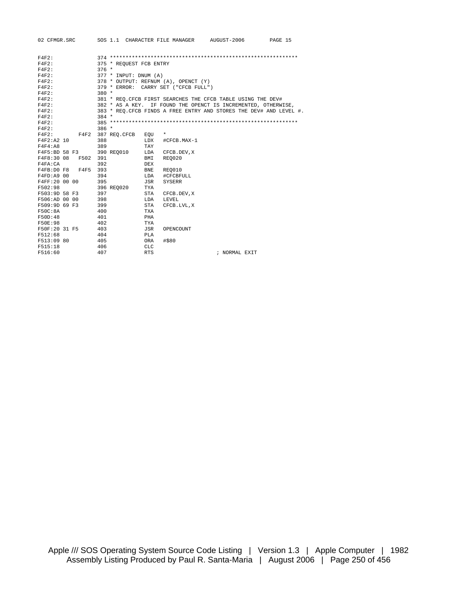|                              |            |                         |                   |                                      | 02 CFMGR.SRC 50S 1.1 CHARACTER FILE MANAGER AUGUST-2006 PAGE 15     |  |
|------------------------------|------------|-------------------------|-------------------|--------------------------------------|---------------------------------------------------------------------|--|
|                              |            |                         |                   |                                      |                                                                     |  |
| F4F2:                        |            |                         |                   |                                      |                                                                     |  |
| F4F2:                        |            | 375 * REQUEST FCB ENTRY |                   |                                      |                                                                     |  |
| F4F2:                        | $376 *$    |                         |                   |                                      |                                                                     |  |
| F4F2:                        |            | 377 * INPUT: DNUM (A)   |                   |                                      |                                                                     |  |
| F4F2:                        |            |                         |                   | 378 * OUTPUT: REFNUM (A), OPENCT (Y) |                                                                     |  |
| F4F2:                        |            |                         |                   | 379 * ERROR: CARRY SET ("CFCB FULL") |                                                                     |  |
| F4F2:                        | $380 *$    |                         |                   |                                      |                                                                     |  |
| F4F2:                        |            |                         |                   |                                      | 381 * REO. CFCB FIRST SEARCHES THE CFCB TABLE USING THE DEV#        |  |
| F4F2:                        |            |                         |                   |                                      | 382 * AS A KEY. IF FOUND THE OPENCT IS INCREMENTED, OTHERWISE,      |  |
| F4F2:                        |            |                         |                   |                                      | 383 * REO. CFCB FINDS A FREE ENTRY AND STORES THE DEV# AND LEVEL #. |  |
| F4F2:                        | $384 *$    |                         |                   |                                      |                                                                     |  |
| F4F2:                        |            |                         |                   |                                      |                                                                     |  |
| F4F2:                        | $386 *$    |                         |                   |                                      |                                                                     |  |
| F4F2: F4F2 387 REQ.CFCB      |            |                         | EOU               | $^\star$                             |                                                                     |  |
| F4F2:A2 10                   | 388        |                         | <b>LDX</b>        | #CFCB.MAX-1                          |                                                                     |  |
| F4F4:A8                      | 389        |                         | TAY               |                                      |                                                                     |  |
| F4F5:BD 58 F3                |            | 390 REO010              |                   | LDA CFCB.DEV, X                      |                                                                     |  |
| F4F8:30 08 F502 391          |            |                         | BMI               | <b>REO020</b>                        |                                                                     |  |
| F4FA:CA                      | 392        |                         | <b>DEX</b>        |                                      |                                                                     |  |
| F4FB:D0 F8 F4F5 393          |            |                         | <b>BNE</b>        | REO010                               |                                                                     |  |
| F4FD: A9 00                  | 394        |                         |                   | LDA #CFCBFULL                        |                                                                     |  |
| F4FF:20 00 00 395            |            |                         | <b>JSR</b>        | <b>SYSERR</b>                        |                                                                     |  |
| F502:98                      |            | 396 REO020              | TYA               |                                      |                                                                     |  |
| F503:9D 58 F3 397            |            |                         | STA               | CFCB.DEV,X                           |                                                                     |  |
| F506:AD 00 00 398            |            |                         | <b>T.DA</b>       | LEVEL                                |                                                                     |  |
| F509:9D 69 F3 399            |            |                         | STA               | CFCB.LVL,X                           |                                                                     |  |
| F50C:8A                      | 400        |                         | <b>TXA</b>        |                                      |                                                                     |  |
| F50D:48                      | 401        |                         | PHA               |                                      |                                                                     |  |
| F50E:98                      | 402        |                         | <b>TYA</b>        |                                      |                                                                     |  |
| F50F:20 31 F5 403<br>F512:68 | 404        |                         | <b>JSR</b><br>PLA | OPENCOUNT                            |                                                                     |  |
|                              |            |                         |                   |                                      |                                                                     |  |
| F513:09 80<br>F515:18        | 405<br>406 |                         | ORA<br><b>CLC</b> | #\$80                                |                                                                     |  |
|                              |            |                         |                   |                                      |                                                                     |  |
| F516:60                      | 407        |                         | <b>RTS</b>        |                                      | ; NORMAL EXIT                                                       |  |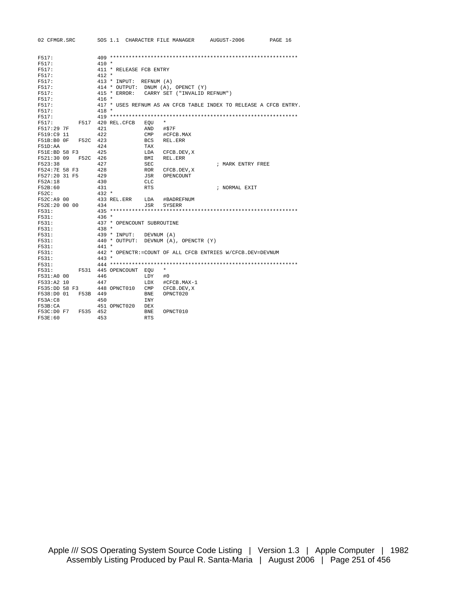| 02 CFMGR.SRC           | SOS 1.1 CHARACTER FILE MANAGER |            |                                           | AUGUST-2006                                                       | PAGE 16 |
|------------------------|--------------------------------|------------|-------------------------------------------|-------------------------------------------------------------------|---------|
|                        |                                |            |                                           |                                                                   |         |
| F517:                  |                                |            |                                           |                                                                   |         |
| F517:                  | $410 *$                        |            |                                           |                                                                   |         |
| F517:                  | 411 * RELEASE FCB ENTRY        |            |                                           |                                                                   |         |
| F517:                  | $412 *$                        |            |                                           |                                                                   |         |
| F517:                  | 413 * INPUT: REFNUM (A)        |            |                                           |                                                                   |         |
| F517:                  |                                |            | 414 * OUTPUT: DNUM (A), OPENCT (Y)        |                                                                   |         |
| F517:                  |                                |            | 415 * ERROR: CARRY SET ("INVALID REFNUM") |                                                                   |         |
| F517:                  | $416 *$                        |            |                                           |                                                                   |         |
| F517:                  |                                |            |                                           | 417 * USES REFNUM AS AN CFCB TABLE INDEX TO RELEASE A CFCB ENTRY. |         |
| F517:                  | $418 *$                        |            |                                           |                                                                   |         |
|                        |                                |            |                                           |                                                                   |         |
| F517:<br>F517:         | F517 420 REL. CFCB             |            | $\star$                                   |                                                                   |         |
|                        |                                | EQU        |                                           |                                                                   |         |
| F517:29 7F             | 421                            | AND        | #\$7F                                     |                                                                   |         |
| F519:C9 11             | 422                            | CMP        | #CFCB.MAX                                 |                                                                   |         |
| F51B:B0OF<br>F52C 423  |                                | <b>BCS</b> | REL.ERR                                   |                                                                   |         |
| F51D:AA                | 424                            | TAX        |                                           |                                                                   |         |
| F51E:BD 58 F3          | 425                            | LDA        | CFCB.DEV, X                               |                                                                   |         |
| F521:30 09<br>F52C 426 |                                | BMI        | REL.ERR                                   |                                                                   |         |
| F523:38                | 427                            | <b>SEC</b> |                                           | ; MARK ENTRY FREE                                                 |         |
| F524:7E 58 F3          | 428                            | <b>ROR</b> | CFCB.DEV, X                               |                                                                   |         |
| F527:20 31 F5          | 429                            | JSR        | OPENCOUNT                                 |                                                                   |         |
| F52A:18                | 430                            | <b>CLC</b> |                                           |                                                                   |         |
| F52B:60                | 431                            | <b>RTS</b> |                                           | ; NORMAL EXIT                                                     |         |
| F52C:                  | $432 *$                        |            |                                           |                                                                   |         |
| F52C:A9 00             | 433 REL.ERR                    | LDA        | #BADREFNUM                                |                                                                   |         |
| F52E:20 00 00          | 434                            | JSR        | SYSERR                                    |                                                                   |         |
| F531:                  |                                |            |                                           |                                                                   |         |
| F531:                  | $436 *$                        |            |                                           |                                                                   |         |
| F531:                  | 437 * OPENCOUNT SUBROUTINE     |            |                                           |                                                                   |         |
| F531:                  | $438 *$                        |            |                                           |                                                                   |         |
| F531:                  | 439 * INPUT: DEVNUM (A)        |            |                                           |                                                                   |         |
| F531:                  |                                |            | 440 * OUTPUT: DEVNUM (A), OPENCTR (Y)     |                                                                   |         |
| F531:                  | $441 *$                        |            |                                           |                                                                   |         |
| F531:                  |                                |            |                                           | 442 * OPENCTR:=COUNT OF ALL CFCB ENTRIES W/CFCB.DEV=DEVNUM        |         |
| F531:                  | $443 *$                        |            |                                           |                                                                   |         |
| F531:                  |                                |            |                                           |                                                                   |         |
| F531:                  | F531 445 OPENCOUNT EOU         |            | $^\star$                                  |                                                                   |         |
| F531:A0 00             | 446                            | LDY        | #0                                        |                                                                   |         |
| F533:A2 10             | 447                            | LDX        | #CFCB.MAX-1                               |                                                                   |         |
| F535:DD 58 F3          | 448 OPNCT010                   | CMP        | CFCB.DEV, X                               |                                                                   |         |
| F538:D0 01<br>F53B 449 |                                | BNE        | OPNCT020                                  |                                                                   |         |
| F53A:CB                | 450                            | <b>INY</b> |                                           |                                                                   |         |
| F53B:CA                | 451 OPNCT020                   | DEX        |                                           |                                                                   |         |
| F53C:D0 F7<br>F535     | 452                            | <b>BNE</b> | OPNCT010                                  |                                                                   |         |
| F53E:60                | 453                            | <b>RTS</b> |                                           |                                                                   |         |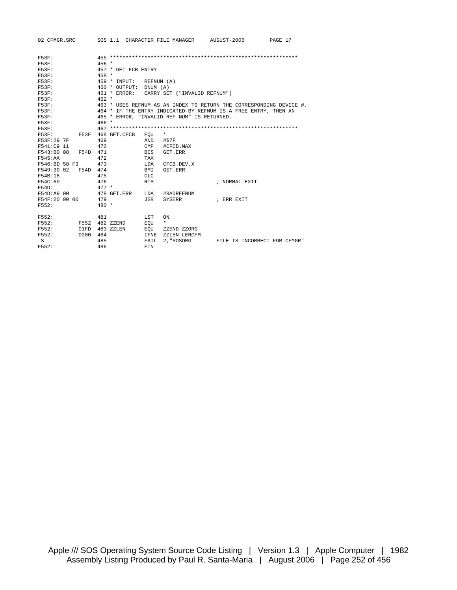| 02 CFMGR.SRC SOS 1.1 CHARACTER FILE MANAGER AUGUST-2006 |                                                                     |            |                              |                              | PAGE 17 |
|---------------------------------------------------------|---------------------------------------------------------------------|------------|------------------------------|------------------------------|---------|
| $F53F$ :                                                |                                                                     |            |                              |                              |         |
| $F53F$ :                                                | $456 *$                                                             |            |                              |                              |         |
| $F53F$ :                                                | 457 * GET FCB ENTRY                                                 |            |                              |                              |         |
| $F53F$ :                                                | $458 *$                                                             |            |                              |                              |         |
| $F53F$ :                                                | 459 * INPUT: REFNUM (A)                                             |            |                              |                              |         |
| $F53F$ :                                                | 460 * OUTPUT: DNUM (A)                                              |            |                              |                              |         |
| $F53F$ :                                                | 461 * ERROR:                                                        |            | CARRY SET ("INVALID REFNUM") |                              |         |
| $F53F$ :                                                | $462 *$                                                             |            |                              |                              |         |
| $F53F$ :                                                | 463 * USES REFNUM AS AN INDEX TO RETURN THE CORRESPONDING DEVICE #. |            |                              |                              |         |
| $F53F$ :                                                | 464 * IF THE ENTRY INDICATED BY REFNUM IS A FREE ENTRY, THEN AN     |            |                              |                              |         |
| <b>F53F:</b>                                            | 465 * ERROR, "INVALID REF NUM" IS RETURNED.                         |            |                              |                              |         |
| F53F:                                                   | $466 *$                                                             |            |                              |                              |         |
| F53F:                                                   |                                                                     |            |                              |                              |         |
| F53F:                                                   | F53F 468 GET.CFCB                                                   | EOU        | $\star$                      |                              |         |
| F53F:29 7F                                              | 469                                                                 | AND        | #\$7F                        |                              |         |
| F541:C9 11                                              | 470                                                                 | CMP        | #CFCB.MAX                    |                              |         |
| F543:B0 08<br>F54D 471                                  |                                                                     | <b>BCS</b> | GET FRR                      |                              |         |
| F545:AA                                                 | 472                                                                 | <b>TAX</b> |                              |                              |         |
| F546:BD 58 F3                                           | 473                                                                 | LDA        | CFCB.DEV, X                  |                              |         |
| F549:30 02 F54D 474                                     |                                                                     | BMI        | GET FRR                      |                              |         |
| F54B:18                                                 | 475                                                                 | <b>CLC</b> |                              |                              |         |
| F54C:60                                                 | 476                                                                 | <b>RTS</b> |                              | ; NORMAL EXIT                |         |
| F54D:                                                   | $477 *$                                                             |            |                              |                              |         |
| F54D:A9 00                                              | 478 GET.ERR                                                         | LDA        | #BADREFNUM                   |                              |         |
| F54F:20 00 00                                           | 479                                                                 | JSR        | SYSERR                       | ; ERR EXIT                   |         |
| F552:                                                   | $480 *$                                                             |            |                              |                              |         |
| F552:                                                   | 481                                                                 | LST        | ON                           |                              |         |
| F552:                                                   | F552 482 ZZEND                                                      | EOU        | $\star$                      |                              |         |
| F552:<br>01FD                                           | 483 ZZLEN                                                           | EOU        | ZZEND-ZZORG                  |                              |         |
| F552:<br>0000                                           | 484                                                                 | IFNE       | ZZLEN-LENCFM                 |                              |         |
| S                                                       | 485                                                                 | FAIL       | 2. "SOSORG                   | FILE IS INCORRECT FOR CFMGR" |         |
| F552:                                                   | 486                                                                 | FTN        |                              |                              |         |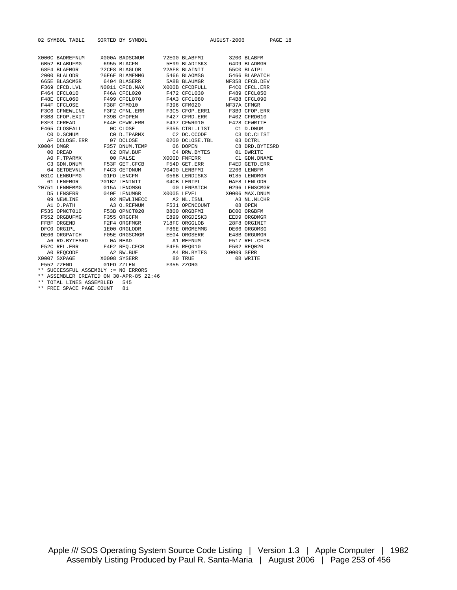| 02 SYMBOL TABLE SORTED BY SYMBOL                                                                                                                                                                                                                                                                                                                                                      |  |  | AUGUST-2006 PAGE 18 |
|---------------------------------------------------------------------------------------------------------------------------------------------------------------------------------------------------------------------------------------------------------------------------------------------------------------------------------------------------------------------------------------|--|--|---------------------|
|                                                                                                                                                                                                                                                                                                                                                                                       |  |  |                     |
| $\begin{tabular}{lcccc} X000C & BADREFNUM & X000A & BADSCNUM & ?2E00 & BLABFFM & 3200 & BLABFM \\ 6B52 & BLABUFMG & 6955 & BLACFM & 5E99 & BLADISK3 & 64D9 & BLADMGR \\ 68F4 & BLAFMGR & 22CF8 & BLAGLOB & ?2AF8 & BLAINIT & 55C0 & BLAIPL \\ 2000 & BLALODR & ?6E6E & BLAMEMMG & 5466 & BLAOMSG & 5466 & BLAPATCH \\ 665E & BLAGMGR & 6404 & BLASERR & 5A8B & BLAWGR & NF358 & CFCB$ |  |  |                     |
|                                                                                                                                                                                                                                                                                                                                                                                       |  |  |                     |
|                                                                                                                                                                                                                                                                                                                                                                                       |  |  |                     |
|                                                                                                                                                                                                                                                                                                                                                                                       |  |  |                     |
|                                                                                                                                                                                                                                                                                                                                                                                       |  |  |                     |
|                                                                                                                                                                                                                                                                                                                                                                                       |  |  |                     |
|                                                                                                                                                                                                                                                                                                                                                                                       |  |  |                     |
|                                                                                                                                                                                                                                                                                                                                                                                       |  |  |                     |
|                                                                                                                                                                                                                                                                                                                                                                                       |  |  |                     |
|                                                                                                                                                                                                                                                                                                                                                                                       |  |  |                     |
|                                                                                                                                                                                                                                                                                                                                                                                       |  |  |                     |
|                                                                                                                                                                                                                                                                                                                                                                                       |  |  |                     |
|                                                                                                                                                                                                                                                                                                                                                                                       |  |  |                     |
|                                                                                                                                                                                                                                                                                                                                                                                       |  |  |                     |
|                                                                                                                                                                                                                                                                                                                                                                                       |  |  |                     |
|                                                                                                                                                                                                                                                                                                                                                                                       |  |  |                     |
|                                                                                                                                                                                                                                                                                                                                                                                       |  |  |                     |
|                                                                                                                                                                                                                                                                                                                                                                                       |  |  |                     |
|                                                                                                                                                                                                                                                                                                                                                                                       |  |  |                     |
|                                                                                                                                                                                                                                                                                                                                                                                       |  |  |                     |
|                                                                                                                                                                                                                                                                                                                                                                                       |  |  |                     |
|                                                                                                                                                                                                                                                                                                                                                                                       |  |  |                     |
|                                                                                                                                                                                                                                                                                                                                                                                       |  |  |                     |
|                                                                                                                                                                                                                                                                                                                                                                                       |  |  |                     |
|                                                                                                                                                                                                                                                                                                                                                                                       |  |  |                     |
|                                                                                                                                                                                                                                                                                                                                                                                       |  |  |                     |
|                                                                                                                                                                                                                                                                                                                                                                                       |  |  |                     |
|                                                                                                                                                                                                                                                                                                                                                                                       |  |  |                     |
|                                                                                                                                                                                                                                                                                                                                                                                       |  |  |                     |
|                                                                                                                                                                                                                                                                                                                                                                                       |  |  |                     |
|                                                                                                                                                                                                                                                                                                                                                                                       |  |  |                     |
|                                                                                                                                                                                                                                                                                                                                                                                       |  |  |                     |
|                                                                                                                                                                                                                                                                                                                                                                                       |  |  |                     |
| AO REQCODE A PRINCIPAL AND RESALT AND RESALT AND RESALT AND RESALT AND RESALT AND A PRINCIPAL AND DUE AND DUE AND DUE AND DUE AND DUE AND DUE AND DUE AND DUE AND DUE AND DUE AND DUE AND DUE AND DUE AND DUE AND DUE AND DUE                                                                                                                                                         |  |  |                     |
|                                                                                                                                                                                                                                                                                                                                                                                       |  |  |                     |
|                                                                                                                                                                                                                                                                                                                                                                                       |  |  |                     |
| ** SUCCESSFUL ASSEMBLY := NO ERRORS                                                                                                                                                                                                                                                                                                                                                   |  |  |                     |

\*\* ASSEMBLER CREATED ON 30-APR-85 22:46

\*\* TOTAL LINES ASSEMBLED 545

\*\* FREE SPACE PAGE COUNT 81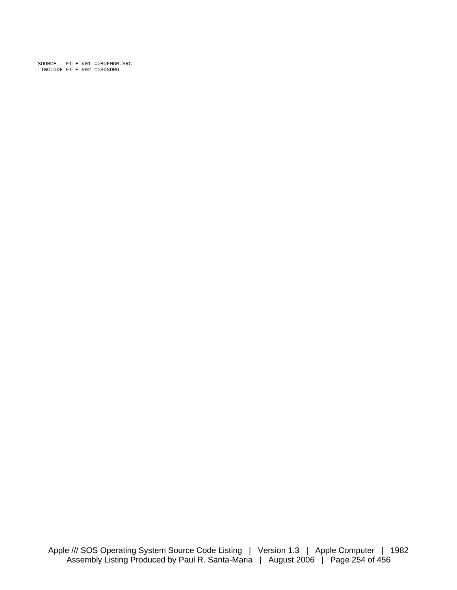SOURCE FILE #01 =>BUFMGR.SRC INCLUDE FILE #02 =>SOSORG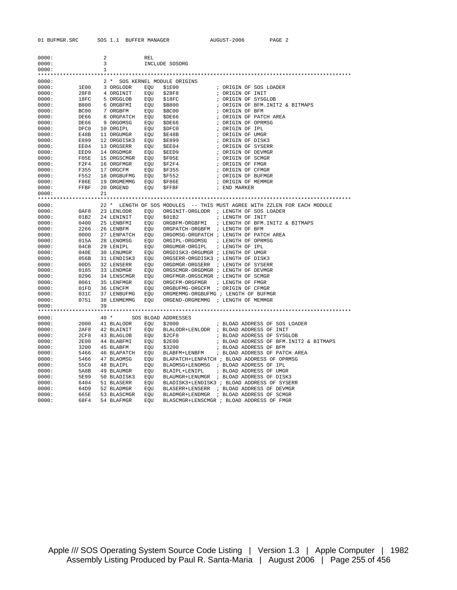| 0000: |             | 2            |             | <b>REL</b> |                                                                          |
|-------|-------------|--------------|-------------|------------|--------------------------------------------------------------------------|
| 0000: |             | 3            |             |            | INCLUDE SOSORG                                                           |
| 0000: |             | $\mathbf{1}$ |             |            |                                                                          |
|       |             |              |             |            |                                                                          |
| 0000: |             |              |             |            | 2 * SOS KERNEL MODULE ORIGINS                                            |
| 0000: | 1E00        |              | 3 ORGLODR   | EQU        | \$1E00<br>; ORIGIN OF SOS LOADER                                         |
| 0000: | 28F8        |              | 4 ORGINIT   | EOU        | \$28F8<br>; ORIGIN OF INIT                                               |
| 0000: | 18FC        |              | 5 ORGGLOB   | EOU        | \$18FC<br>; ORIGIN OF SYSGLOB                                            |
| 0000: | <b>B800</b> |              | 6 ORGBFMI   | EOU        | \$B800<br>; ORIGIN OF BFM. INIT2 & BITMAPS                               |
| 0000: | BC00        |              | 7 ORGBFM    | EQU        | \$BC00<br>; ORIGIN OF BFM                                                |
| 0000: | DE66        |              | 8 ORGPATCH  | EQU        | ; ORIGIN OF PATCH AREA<br>\$DE66                                         |
| 0000: | DE66        |              | 9 ORGOMSG   | EQU        | ; ORIGIN OF OPRMSG<br>\$DE66                                             |
| 0000: | DFC0        |              | 10 ORGIPL   | EQU        | ; ORIGIN OF IPL<br>\$DFC0                                                |
| 0000: | E48B        |              | 11 ORGUMGR  | EQU        | ; ORIGIN OF UMGR<br>\$E48B                                               |
| 0000: | E899        |              | 12 ORGDISK3 | EQU        | ; ORIGIN OF DISK3<br>\$E899                                              |
| 0000: | EE04        |              | 13 ORGSERR  | EQU        | ; ORIGIN OF SYSERR<br>\$EE04                                             |
| 0000: | EED9        |              | 14 ORGDMGR  | EQU        | ; ORIGIN OF DEVMGR<br>\$EED9                                             |
| 0000: | F05E        |              | 15 ORGSCMGR | EQU        | ; ORIGIN OF SCMGR<br>\$F05E                                              |
| 0000: | F2F4        |              | 16 ORGFMGR  | EQU        | \$F2F4<br>; ORIGIN OF FMGR                                               |
| 0000: | F355        |              | 17 ORGCFM   | EQU        | ; ORIGIN OF CFMGR<br>\$F355                                              |
| 0000: | F552        |              | 18 ORGBUFMG | EQU        | \$F552<br>; ORIGIN OF BUFMGR                                             |
| 0000: | F86E        |              | 19 ORGMEMMG | EQU        | \$F86E<br>; ORIGIN OF MEMMGR                                             |
| 0000: | FFBF        |              | 20 ORGEND   | EQU        | \$FFBF<br>; END MARKER                                                   |
| 0000: |             | 21           |             |            |                                                                          |
|       |             |              |             |            |                                                                          |
| 0000: |             |              |             |            | 22 * LENGTH OF SOS MODULES -- THIS MUST AGREE WITH ZZLEN FOR EACH MODULE |
| 0000: | 0AF8        |              | 23 LENLODR  | EOU        | ORGINIT-ORGLODR ; LENGTH OF SOS LOADER                                   |
| 0000: | 01B2        |              | 24 LENINIT  | EOU        | \$01B2<br>; LENGTH OF INIT                                               |
| 0000: | 0400        |              | 25 LENBFMI  |            | ORGBFM-ORGBFMI<br>; LENGTH OF BFM. INIT2 & BITMAPS                       |
|       |             |              |             | EQU        | ORGPATCH-ORGBFM ; LENGTH OF BFM                                          |
| 0000: | 2266        |              | 26 LENBFM   | EOU        |                                                                          |
| 0000: | 0000        |              | 27 LENPATCH | EOU        | ORGOMSG-ORGPATCH ; LENGTH OF PATCH AREA                                  |
| 0000: | 015A        |              | 28 LENOMSG  | EOU        | ORGIPL-ORGOMSG<br>; LENGTH OF OPRMSG                                     |
| 0000: | 04CB        |              | 29 LENIPL   | EQU        | ORGUMGR-ORGIPL<br>; LENGTH OF IPL                                        |
| 0000: | 040E        |              | 30 LENUMGR  | EOU        | ORGDISK3-ORGUMGR ; LENGTH OF UMGR                                        |
| 0000: | 056B        |              | 31 LENDISK3 | EOU        | ORGSERR-ORGDISK3 ; LENGTH OF DISK3                                       |
| 0000: | 00D5        |              | 32 LENSERR  | EOU        | ORGDMGR-ORGSERR ; LENGTH OF SYSERR                                       |
| 0000: | 0185        |              | 33 LENDMGR  | EQU        | ORGSCMGR-ORGDMGR ; LENGTH OF DEVMGR                                      |
| 0000: | 0296        |              | 34 LENSCMGR | EQU        | ORGFMGR-ORGSCMGR ; LENGTH OF SCMGR                                       |
| 0000: | 0061        |              | 35 LENFMGR  | EQU        | ORGCFM-ORGFMGR<br>; LENGTH OF FMGR                                       |
| 0000: | 01FD        |              | 36 LENCFM   | EQU        | ORGBUFMG-ORGCFM ; ORIGIN OF CFMGR                                        |
| 0000: | 031C        |              | 37 LENBUFMG | EQU        | ORGMEMMG-ORGBUFMG ; LENGTH OF BUFMGR                                     |
| 0000: | 0751        |              | 38 LENMEMMG | EQU        | ORGEND-ORGMEMMG ; LENGTH OF MEMMGR                                       |
| 0000: |             | 39           |             |            |                                                                          |
|       |             |              |             |            |                                                                          |
| 0000: |             |              | $40*$       |            | SOS BLOAD ADDRESSES                                                      |
| 0000: | 2000        |              | 41 BLALODR  | EQU        | \$2000<br>; BLOAD ADDRESS OF SOS LOADER                                  |
| 0000: | 2AF8        |              | 42 BLAINIT  | EQU        | BLALODR+LENLODR ; BLOAD ADDRESS OF INIT                                  |
| 0000: | 2CF8        |              | 43 BLAGLOB  | EQU        | \$2CF8<br>; BLOAD ADDRESS OF SYSGLOB                                     |
| 0000: | <b>2E00</b> |              | 44 BLABFMI  | EQU        | \$2E00<br>; BLOAD ADDRESS OF BFM. INIT2 & BITMAPS                        |
| 0000: | 3200        |              | 45 BLABFM   | EQU        | \$3200<br>; BLOAD ADDRESS OF BFM                                         |
| 0000: | 5466        |              | 46 BLAPATCH | EQU        | ; BLOAD ADDRESS OF PATCH AREA<br>BLABFM+LENBFM                           |
| 0000: | 5466        |              | 47 BLAOMSG  | EQU        | BLAPATCH+LENPATCH ; BLOAD ADDRESS OF OPRMSG                              |
| 0000: | 55C0        |              | 48 BLAIPL   | EQU        | BLAOMSG+LENOMSG ; BLOAD ADDRESS OF IPL                                   |
| 0000: | 5A8B        |              | 49 BLAUMGR  | EQU        | ; BLOAD ADDRESS OF UMGR<br>BLAIPL+LENIPL                                 |
| 0000: | 5E99        |              | 50 BLADISK3 | EQU        | BLAUMGR+LENUMGR ; BLOAD ADDRESS OF DISK3                                 |
| 0000: | 6404        |              | 51 BLASERR  | EQU        | BLADISK3+LENDISK3 ; BLOAD ADDRESS OF SYSERR                              |
| 0000: | 64D9        |              | 52 BLADMGR  | EQU        | BLASERR+LENSERR ; BLOAD ADDRESS OF DEVMGR                                |
| 0000: | 665E        |              | 53 BLASCMGR | EOU        | BLADMGR+LENDMGR ; BLOAD ADDRESS OF SCMGR                                 |
| 0000: | 68F4        |              | 54 BLAFMGR  | EOU        | BLASCMGR+LENSCMGR ; BLOAD ADDRESS OF FMGR                                |

Apple /// SOS Operating System Source Code Listing | Version 1.3 | Apple Computer | 1982 Assembly Listing Produced by Paul R. Santa-Maria | August 2006 | Page 255 of 456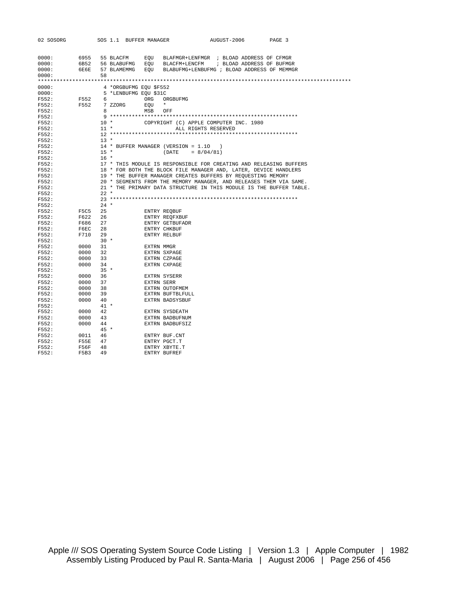| 02 SOSORG |                  |        |             | SOS 1.1 BUFFER MANAGER | AUGUST-2006<br>PAGE 3                                               |
|-----------|------------------|--------|-------------|------------------------|---------------------------------------------------------------------|
|           |                  |        |             |                        |                                                                     |
|           |                  |        |             |                        |                                                                     |
| 0000:     | 6955             |        | 55 BLACFM   | EQU                    | BLAFMGR+LENFMGR ; BLOAD ADDRESS OF CFMGR                            |
| 0000:     | 6B52 56 BLABUFMG |        |             |                        | EOU BLACFM+LENCFM ; BLOAD ADDRESS OF BUFMGR                         |
| 0000:     | 6E6E             |        | 57 BLAMEMMG | EOU                    | BLABUFMG+LENBUFMG ; BLOAD ADDRESS OF MEMMGR                         |
| 0000:     |                  | 58     |             |                        |                                                                     |
|           |                  |        |             |                        |                                                                     |
| 0000:     |                  |        |             | 4 *ORGBUFMG EQU \$F552 |                                                                     |
| 0000:     |                  |        |             | 5 *LENBUFMG EQU \$31C  |                                                                     |
| F552:     | F552             | 6      |             | ORG                    | ORGBUFMG                                                            |
| F552:     | F552             |        | 7 ZZORG     | EOU                    | $\star$                                                             |
| F552:     |                  | 8.     |             | MSB                    | OFF                                                                 |
| F552:     |                  |        |             |                        |                                                                     |
| F552:     |                  |        | $10$ *      |                        | COPYRIGHT (C) APPLE COMPUTER INC. 1980                              |
| F552:     |                  |        | $11 *$      |                        | ALL RIGHTS RESERVED                                                 |
| F552:     |                  |        |             |                        |                                                                     |
| F552:     |                  | $13 *$ |             |                        |                                                                     |
| F552:     |                  |        |             |                        | 14 * BUFFER MANAGER (VERSION = 1.10<br>$\rightarrow$                |
| F552:     |                  |        | $15 *$      |                        | $(DATE = 8/04/81)$                                                  |
| F552:     |                  | $16 *$ |             |                        |                                                                     |
| F552:     |                  |        |             |                        | 17 * THIS MODULE IS RESPONSIBLE FOR CREATING AND RELEASING BUFFERS  |
| F552:     |                  |        |             |                        | 18 * FOR BOTH THE BLOCK FILE MANAGER AND, LATER, DEVICE HANDLERS    |
| F552:     |                  |        |             |                        | 19 * THE BUFFER MANAGER CREATES BUFFERS BY REQUESTING MEMORY        |
| F552:     |                  |        |             |                        | 20 * SEGMENTS FROM THE MEMORY MANAGER, AND RELEASES THEM VIA SAME.  |
| F552:     |                  |        |             |                        | 21 * THE PRIMARY DATA STRUCTURE IN THIS MODULE IS THE BUFFER TABLE. |
| F552:     |                  | $22 *$ |             |                        |                                                                     |
| F552:     |                  |        |             |                        |                                                                     |
| F552:     |                  | $24 *$ |             |                        |                                                                     |
| F552:     | F5C5             | 25     |             |                        | ENTRY REOBUF                                                        |
| F552:     | F622             | 26     |             |                        | ENTRY REOFXBUF                                                      |
| F552:     | F686             | 27     |             |                        | ENTRY GETBUFADR                                                     |
| F552:     | F6EC             | 28     |             |                        | <b>ENTRY CHKBUF</b>                                                 |
| F552:     | F710             | 29     |             |                        | <b>ENTRY RELBUF</b>                                                 |
| F552:     |                  |        | $30 *$      |                        |                                                                     |
| F552:     | 0000             | 31     |             |                        | EXTRN MMGR                                                          |
| F552:     | 0000             | 32     |             |                        | EXTRN SXPAGE                                                        |
| F552:     | 0000             | 33     |             |                        | EXTRN CZPAGE                                                        |
| F552:     | 0000             | 34     |             |                        | <b>EXTRN CXPAGE</b>                                                 |
| F552:     |                  |        | $35 *$      |                        |                                                                     |
| F552:     | 0000             | 36     |             |                        | EXTRN SYSERR                                                        |
| F552:     | 0000             | 37     |             |                        | EXTRN SERR                                                          |
| F552:     | 0000             | 38     |             |                        | EXTRN OUTOFMEM                                                      |
| F552:     | 0000             | 39     |             |                        | EXTRN BUFTBLFULL                                                    |
| F552:     | 0000             | 40     |             |                        | EXTRN BADSYSBUF                                                     |
| F552:     |                  |        | $41 *$      |                        |                                                                     |
| F552:     | 0000             | 42     |             |                        | EXTRN SYSDEATH                                                      |
| F552:     | 0000             | 43     |             |                        | EXTRN BADBUFNUM                                                     |
| F552:     | 0000             | 44     |             |                        | EXTRN BADBUFSIZ                                                     |
| F552:     |                  |        | $45 *$      |                        |                                                                     |
| F552:     | 0011             | 46     |             |                        | ENTRY BUF.CNT                                                       |
| F552:     | <b>F55E</b>      | 47     |             |                        | ENTRY PGCT.T                                                        |
| F552:     | F56F             | 48     |             |                        | ENTRY XBYTE.T                                                       |
| F552:     | F5B3             | 49     |             |                        | ENTRY BUFREF                                                        |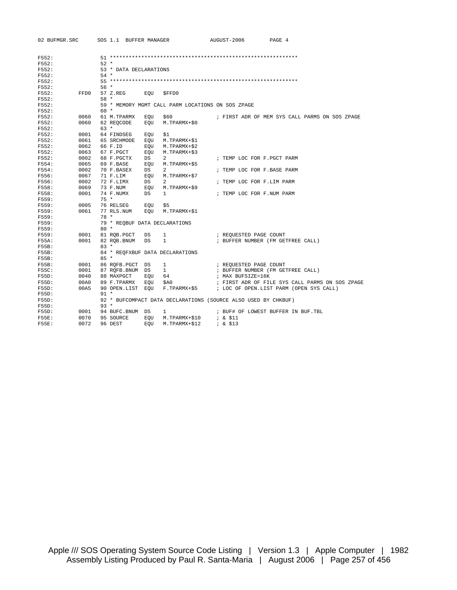| 02 BUFMGR.SRC |      |        |                               |     | SOS 1.1 BUFFER MANAGER                                         | AUGUST-2006                        | PAGE 4 |                                                 |  |
|---------------|------|--------|-------------------------------|-----|----------------------------------------------------------------|------------------------------------|--------|-------------------------------------------------|--|
|               |      |        |                               |     |                                                                |                                    |        |                                                 |  |
| F552:         |      |        |                               |     |                                                                |                                    |        |                                                 |  |
| F552:         |      | $52 *$ |                               |     |                                                                |                                    |        |                                                 |  |
| F552:         |      |        | 53 * DATA DECLARATIONS        |     |                                                                |                                    |        |                                                 |  |
| F552:         |      | $54 *$ |                               |     |                                                                |                                    |        |                                                 |  |
| F552:         |      |        |                               |     |                                                                |                                    |        |                                                 |  |
| F552:         |      | $56*$  |                               |     |                                                                |                                    |        |                                                 |  |
| F552:         | FFD0 |        | 57 Z.REG EOU                  |     | \$FFD0                                                         |                                    |        |                                                 |  |
| F552:         |      | $58 *$ |                               |     |                                                                |                                    |        |                                                 |  |
| F552:         |      |        |                               |     | 59 * MEMORY MGMT CALL PARM LOCATIONS ON SOS ZPAGE              |                                    |        |                                                 |  |
| F552:         |      | $60 *$ |                               |     |                                                                |                                    |        |                                                 |  |
| F552:         | 0060 |        | 61 M.TPARMX                   | EOU | \$60 				i FIRST ADR OF MEM SYS CALL PARMS ON SOS ZPAGE        |                                    |        |                                                 |  |
| F552:         | 0060 |        | 62 REQCODE                    | EOU | M.TPARMX+\$0                                                   |                                    |        |                                                 |  |
| F552:         |      | $63 *$ |                               |     |                                                                |                                    |        |                                                 |  |
| F552:         | 0001 |        | 64 FINDSEG                    | EQU | \$1                                                            |                                    |        |                                                 |  |
| F552:         | 0061 |        | 65 SRCHMODE                   | EQU | M.TPARMX+\$1                                                   |                                    |        |                                                 |  |
| F552:         | 0062 |        | 66 F.ID                       | EQU | M.TPARMX+\$2                                                   |                                    |        |                                                 |  |
| F552:         | 0063 |        | 67 F.PGCT                     | EQU | M.TPARMX+\$3                                                   |                                    |        |                                                 |  |
| F552:         | 0002 |        | 68 F.PGCTX                    | DS  | $\overline{a}$                                                 | ; TEMP LOC FOR F. PGCT PARM        |        |                                                 |  |
| F554:         | 0065 |        | 69 F.BASE                     | EOU | M.TPARMX+\$5                                                   |                                    |        |                                                 |  |
| F554:         | 0002 |        | 70 F.BASEX                    | DS  | $\overline{a}$                                                 | ; TEMP LOC FOR F.BASE PARM         |        |                                                 |  |
| F556:         | 0067 |        | 71 F.LIM                      | EOU | M.TPARMX+\$7                                                   |                                    |        |                                                 |  |
| F556:         | 0002 |        | 72 F.LIMX                     | DS  | $\overline{a}$                                                 | ; TEMP LOC FOR F.LIM PARM          |        |                                                 |  |
| F558:         | 0069 |        | 73 F.NUM                      | EQU | M.TPARMX+\$9                                                   |                                    |        |                                                 |  |
| F558:         | 0001 |        | 74 F.NUMX                     | DS  | $\mathbf{1}$                                                   | ; TEMP LOC FOR F.NUM PARM          |        |                                                 |  |
| F559:         |      |        | $75 *$                        |     |                                                                |                                    |        |                                                 |  |
| F559:         | 0005 |        | 76 RELSEG                     | EQU | \$5                                                            |                                    |        |                                                 |  |
| F559:         | 0061 |        | 77 RLS.NUM                    | EOU | M.TPARMX+\$1                                                   |                                    |        |                                                 |  |
| F559:         |      | 78 *   |                               |     |                                                                |                                    |        |                                                 |  |
| F559:         |      |        | 79 * REOBUF DATA DECLARATIONS |     |                                                                |                                    |        |                                                 |  |
| F559:         |      | $80 *$ |                               |     |                                                                |                                    |        |                                                 |  |
| F559:         | 0001 |        | 81 RQB.PGCT DS                |     | $\mathbf{1}$                                                   | ; REQUESTED PAGE COUNT             |        |                                                 |  |
| F55A:         | 0001 |        | 82 ROB.BNUM                   | DS  | $\mathbf{1}$                                                   | ; BUFFER NUMBER (FM GETFREE CALL)  |        |                                                 |  |
| F55B:         |      | $83 *$ |                               |     |                                                                |                                    |        |                                                 |  |
| F55B:         |      |        |                               |     | 84 * REQFXBUF DATA DECLARATIONS                                |                                    |        |                                                 |  |
| F55B:         |      | $85 *$ |                               |     |                                                                |                                    |        |                                                 |  |
| F55B:         | 0001 |        | 86 RQFB.PGCT DS               |     | $\mathbf{1}$                                                   | ; REQUESTED PAGE COUNT             |        |                                                 |  |
| F55C:         | 0001 |        | 87 RQFB.BNUM DS               |     | $\frac{1}{2}$                                                  | ; BUFFER NUMBER (FM GETFREE CALL)  |        |                                                 |  |
| F55D:         | 0040 |        | 88 MAXPGCT                    | EOU | 64                                                             | ; MAX BUFSIZE=16K                  |        |                                                 |  |
| F55D:         | 00A0 |        | 89 F.TPARMX                   | EOU | \$A0                                                           |                                    |        | ; FIRST ADR OF FILE SYS CALL PARMS ON SOS ZPAGE |  |
| F55D:         | 00A5 |        | 90 OPEN.LIST EOU              |     | F.TPARMX+\$5 ; LOC OF OPEN.LIST PARM (OPEN SYS CALL)           |                                    |        |                                                 |  |
| F55D:         |      | $91 *$ |                               |     |                                                                |                                    |        |                                                 |  |
| F55D:         |      |        |                               |     | 92 * BUFCOMPACT DATA DECLARATIONS (SOURCE ALSO USED BY CHKBUF) |                                    |        |                                                 |  |
| F55D:         |      | $93 *$ |                               |     |                                                                |                                    |        |                                                 |  |
| F55D:         | 0001 |        | 94 BUFC.BNUM DS               |     | $\mathbf{1}$                                                   | ; BUF# OF LOWEST BUFFER IN BUF.TBL |        |                                                 |  |
| F55E:         | 0070 |        | 95 SOURCE                     | EOU | M.TPARMX+\$10 ; & \$11                                         |                                    |        |                                                 |  |
| <b>F55E:</b>  | 0072 |        | 96 DEST                       | EOU | M.TPARMX+\$12                                                  | $; \& \$13$                        |        |                                                 |  |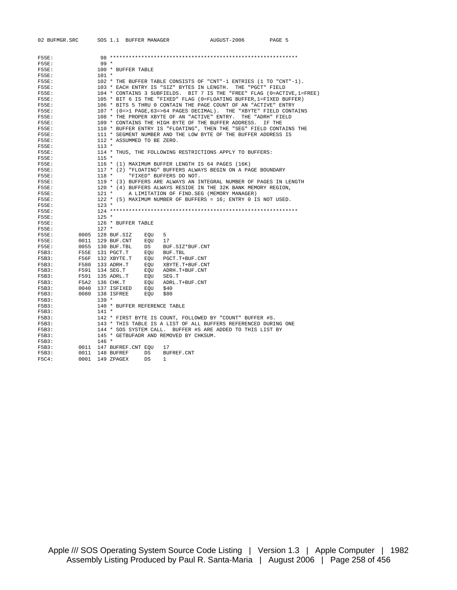| 02 BUFMGR.SRC |      |                  | SOS 1.1 BUFFER MANAGER       |                                                   | AUGUST-2006                                                         | PAGE 5                                                                  |
|---------------|------|------------------|------------------------------|---------------------------------------------------|---------------------------------------------------------------------|-------------------------------------------------------------------------|
|               |      |                  |                              |                                                   |                                                                     |                                                                         |
| F55E:         |      |                  |                              |                                                   |                                                                     |                                                                         |
| F55E:         |      | $99 *$           |                              |                                                   |                                                                     |                                                                         |
| F55E:         |      |                  | 100 * BUFFER TABLE           |                                                   |                                                                     |                                                                         |
| $F55E$ :      |      | $101 *$          |                              |                                                   |                                                                     |                                                                         |
| F55E:         |      |                  |                              |                                                   | 102 * THE BUFFER TABLE CONSISTS OF "CNT"-1 ENTRIES (1 TO "CNT"-1).  |                                                                         |
| F55E:         |      |                  |                              |                                                   | 103 * EACH ENTRY IS "SIZ" BYTES IN LENGTH. THE "PGCT" FIELD         |                                                                         |
| F55E:         |      |                  |                              |                                                   |                                                                     | 104 * CONTAINS 3 SUBFIELDS. BIT 7 IS THE "FREE" FLAG (0=ACTIVE, 1=FREE) |
| $F55E$ :      |      |                  |                              |                                                   | 105 * BIT 6 IS THE "FIXED" FLAG (0=FLOATING BUFFER, 1=FIXED BUFFER) |                                                                         |
| F55E:         |      |                  |                              |                                                   | 106 * BITS 5 THRU 0 CONTAIN THE PAGE COUNT OF AN "ACTIVE" ENTRY     |                                                                         |
| F55E:         |      |                  |                              |                                                   | 107 * (0=>1 PAGE, 63=>64 PAGES DECIMAL). THE "XBYTE" FIELD CONTAINS |                                                                         |
| F55E:         |      |                  |                              |                                                   | 108 * THE PROPER XBYTE OF AN "ACTIVE" ENTRY. THE "ADRH" FIELD       |                                                                         |
| F55E:         |      |                  |                              |                                                   | 109 * CONTAINS THE HIGH BYTE OF THE BUFFER ADDRESS. IF THE          |                                                                         |
| F55E:         |      |                  |                              |                                                   | 110 * BUFFER ENTRY IS "FLOATING", THEN THE "SEG" FIELD CONTAINS THE |                                                                         |
| $F55E$ :      |      |                  |                              |                                                   | 111 * SEGMENT NUMBER AND THE LOW BYTE OF THE BUFFER ADDRESS IS      |                                                                         |
| F55E:         |      |                  | 112 * ASSUMMED TO BE ZERO.   |                                                   |                                                                     |                                                                         |
| F55E:         |      | $113 *$          |                              |                                                   |                                                                     |                                                                         |
| F55E:         |      |                  |                              |                                                   | 114 * THUS, THE FOLLOWING RESTRICTIONS APPLY TO BUFFERS:            |                                                                         |
| <b>F55E:</b>  |      | $115 *$          |                              |                                                   |                                                                     |                                                                         |
| F55E:         |      |                  |                              | 116 * (1) MAXIMUM BUFFER LENGTH IS 64 PAGES (16K) |                                                                     |                                                                         |
| F55E:         |      |                  |                              |                                                   | 117 * (2) "FLOATING" BUFFERS ALWAYS BEGIN ON A PAGE BOUNDARY        |                                                                         |
| $F55E$ :      |      | $118 *$          |                              | "FIXED" BUFFERS DO NOT.                           |                                                                     |                                                                         |
| F55E:         |      |                  |                              |                                                   | 119 * (3) BUFFERS ARE ALWAYS AN INTEGRAL NUMBER OF PAGES IN LENGTH  |                                                                         |
| $F55E$ :      |      |                  |                              |                                                   | 120 * (4) BUFFERS ALWAYS RESIDE IN THE 32K BANK MEMORY REGION,      |                                                                         |
| $F55E$ :      |      |                  |                              |                                                   | 121 * A LIMITATION OF FIND. SEG (MEMORY MANAGER)                    |                                                                         |
| F55E:         |      |                  |                              |                                                   | 122 * (5) MAXIMUM NUMBER OF BUFFERS = 16; ENTRY 0 IS NOT USED.      |                                                                         |
| F55E:         |      | $123 *$          |                              |                                                   |                                                                     |                                                                         |
| $F55E$ :      |      |                  |                              |                                                   |                                                                     |                                                                         |
| F55E:         |      | $125 *$          |                              |                                                   |                                                                     |                                                                         |
| $F55E$ :      |      |                  | 126 * BUFFER TABLE           |                                                   |                                                                     |                                                                         |
| F55E:         |      | $127$ *          |                              |                                                   |                                                                     |                                                                         |
| F55E:         |      | 0005 128 BUF.SIZ | EOU                          | 5                                                 |                                                                     |                                                                         |
| $F55E$ :      | 0011 |                  | 129 BUF.CNT EQU 17           |                                                   |                                                                     |                                                                         |
| F55E:         |      | 0055 130 BUF.TBL | $\overline{\text{DS}}$       | BUF.SIZ*BUF.CNT                                   |                                                                     |                                                                         |
| F5B3:         |      | F55E 131 PGCT.T  |                              | EOU BUF.TBL                                       |                                                                     |                                                                         |
| F5B3:         |      | F56F 132 XBYTE.T |                              | EQU PGCT.T+BUF.CNT                                |                                                                     |                                                                         |
| F5B3:         |      | F580 133 ADRH.T  |                              | EQU XBYTE.T+BUF.CNT                               |                                                                     |                                                                         |
| F5B3:         |      | F591 134 SEG.T   |                              | EQU ADRH.T+BUF.CNT                                |                                                                     |                                                                         |
| F5B3:         | F591 | 135 ADRL.T       | EOU                          | SEG.T                                             |                                                                     |                                                                         |
| F5B3:         |      | F5A2 136 CHK.T   |                              | EQU ADRL.T+BUF.CNT                                |                                                                     |                                                                         |
| F5B3:         | 0040 | 137 ISFIXED      | EOU                          | \$40                                              |                                                                     |                                                                         |
| F5B3:         |      | 0080 138 ISFREE  | EQU                          | \$80                                              |                                                                     |                                                                         |
| F5B3:         |      | $139 *$          |                              |                                                   |                                                                     |                                                                         |
| F5B3:         |      |                  | 140 * BUFFER REFERENCE TABLE |                                                   |                                                                     |                                                                         |
| F5B3:         |      | $141 *$          |                              |                                                   |                                                                     |                                                                         |
| F5B3:         |      |                  |                              |                                                   | 142 * FIRST BYTE IS COUNT, FOLLOWED BY "COUNT" BUFFER #S.           |                                                                         |
| F5B3:         |      |                  |                              |                                                   | 143 * THIS TABLE IS A LIST OF ALL BUFFERS REFERENCED DURING ONE     |                                                                         |
| F5B3:         |      |                  |                              |                                                   | 144 * SOS SYSTEM CALL. BUFFER #S ARE ADDED TO THIS LIST BY          |                                                                         |
| F5B3:         |      |                  |                              | 145 * GETBUFADR AND REMOVED BY CHKSUM.            |                                                                     |                                                                         |
| F5B3:         |      | $146 *$          |                              |                                                   |                                                                     |                                                                         |
| F5B3:         |      |                  | 0011 147 BUFREF.CNT EQU      | 17                                                |                                                                     |                                                                         |
| F5B3:         |      | 0011 148 BUFREF  | DS                           | BUFREF.CNT                                        |                                                                     |                                                                         |
| F5C4:         |      | 0001 149 ZPAGEX  | DS                           | $\mathbf{1}$                                      |                                                                     |                                                                         |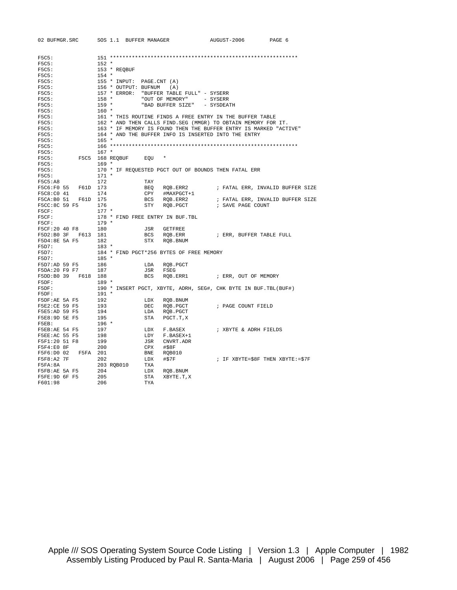| 02 BUFMGR.SRC       | SOS 1.1 BUFFER MANAGER    |                                           | AUGUST-2006                                                       | PAGE 6                           |
|---------------------|---------------------------|-------------------------------------------|-------------------------------------------------------------------|----------------------------------|
|                     |                           |                                           |                                                                   |                                  |
| F5C5:               |                           |                                           |                                                                   |                                  |
| F5C5:               | $152 *$                   |                                           |                                                                   |                                  |
| F5C5:               | 153 * REQBUF              |                                           |                                                                   |                                  |
| F5C5:               | $154 *$                   |                                           |                                                                   |                                  |
| F5C5:               | 155 * INPUT: PAGE.CNT (A) |                                           |                                                                   |                                  |
| F5C5:               | 156 * OUTPUT: BUFNUM (A)  |                                           |                                                                   |                                  |
| F5C5:               |                           | 157 * ERROR: "BUFFER TABLE FULL" - SYSERR |                                                                   |                                  |
| F5C5:               | 158 *                     | "OUT OF MEMORY" - SYSERR                  |                                                                   |                                  |
| F5C5:               | $159 *$                   | "BAD BUFFER SIZE" - SYSDEATH              |                                                                   |                                  |
| F5C5:               | 160 *                     |                                           |                                                                   |                                  |
| F5C5:               |                           |                                           | 161 * THIS ROUTINE FINDS A FREE ENTRY IN THE BUFFER TABLE         |                                  |
| F5C5:               |                           |                                           | 162 * AND THEN CALLS FIND. SEG (MMGR) TO OBTAIN MEMORY FOR IT.    |                                  |
| F5C5:               |                           |                                           | 163 * IF MEMORY IS FOUND THEN THE BUFFER ENTRY IS MARKED "ACTIVE" |                                  |
| F5C5:               |                           |                                           | 164 * AND THE BUFFER INFO IS INSERTED INTO THE ENTRY              |                                  |
| F5C5:               | $165 *$                   |                                           |                                                                   |                                  |
| F5C5:               |                           |                                           |                                                                   |                                  |
| F5C5:               | $167 *$                   |                                           |                                                                   |                                  |
| F5C5:               | F5C5 168 REOBUF EOU       |                                           |                                                                   |                                  |
| F5C5:               | $169 *$                   |                                           |                                                                   |                                  |
| F5C5:               |                           |                                           | 170 * IF REQUESTED PGCT OUT OF BOUNDS THEN FATAL ERR              |                                  |
| F5C5:               | $171 *$                   |                                           |                                                                   |                                  |
| F5C5:A8             | 172                       | TAY                                       |                                                                   |                                  |
| F5C6:F0 55 F61D 173 |                           | BEQ RQB.ERR2                              |                                                                   | ; FATAL ERR, INVALID BUFFER SIZE |
| F5C8:C0 41          | 174                       | CPY #MAXPGCT+1                            |                                                                   |                                  |
| F5CA:B0 51 F61D 175 |                           | BCS RQB.ERR2                              |                                                                   | ; FATAL ERR, INVALID BUFFER SIZE |
| F5CC:8C 59 F5       | 176                       | STY RQB.PGCT                              | ; SAVE PAGE COUNT                                                 |                                  |
| F5CF:               | $177 *$                   |                                           |                                                                   |                                  |
| F5CF:               |                           | 178 * FIND FREE ENTRY IN BUF.TBL          |                                                                   |                                  |
| F5CF:               | $179 *$                   |                                           |                                                                   |                                  |
| F5CF:20 40 F8       | 180                       | JSR<br>GETFREE                            |                                                                   |                                  |
| F5D2:B0 3F F613 181 |                           | BCS RQB.ERR                               | ; ERR, BUFFER TABLE FULL                                          |                                  |
| F5D4:8E 5A F5       | 182                       | STX ROB. BNUM                             |                                                                   |                                  |
| F5D7:               | 183 *                     |                                           |                                                                   |                                  |
| F5D7:               |                           | 184 * FIND PGCT*256 BYTES OF FREE MEMORY  |                                                                   |                                  |
| F5D7:               | $185 *$                   |                                           |                                                                   |                                  |
| F5D7:AD 59 F5       | 186                       | ROB. PGCT<br>LDA                          |                                                                   |                                  |
| F5DA: 20 F9 F7      | 187                       | JSR<br>FSEG                               |                                                                   |                                  |
| F5DD:B0 39 F618 188 |                           | BCS                                       | RQB.ERR1 : ERR, OUT OF MEMORY                                     |                                  |
| F5DF:               | $189 *$                   |                                           |                                                                   |                                  |
| F5DF:               |                           |                                           | 190 * INSERT PGCT, XBYTE, ADRH, SEG#, CHK BYTE IN BUF. TBL(BUF#)  |                                  |
| F5DF:               | 191 *                     |                                           |                                                                   |                                  |
| F5DF:AE 5A F5       | 192                       | LDX RQB.BNUM                              |                                                                   |                                  |
| F5E2:CE 59 F5       | 193                       | DEC<br>RQB.PGCT                           | ; PAGE COUNT FIELD                                                |                                  |
| F5E5:AD 59 F5       | 194                       | LDA<br>RQB.PGCT                           |                                                                   |                                  |
| F5E8:9D 5E F5       | 195                       | STA<br>PGCT.T,X                           |                                                                   |                                  |
| F5EB:               | $196 *$                   |                                           |                                                                   |                                  |
| F5EB:AE 54 F5       | 197                       | LDX<br>F.BASEX                            | ; XBYTE & ADRH FIELDS                                             |                                  |
| F5EE:AC 55 F5       | 198                       | LDY<br>F.BASEX+1                          |                                                                   |                                  |
| F5F1:20 51 F8       | 199                       | JSR<br>CNVRT.ADR                          |                                                                   |                                  |
| F5F4:E0 8F          | 200                       | CPX<br>#\$8F                              |                                                                   |                                  |
| F5F6:D0 02 F5FA 201 |                           | BNE<br>RQB010                             |                                                                   |                                  |
| F5F8:A2 7F          | 202                       | LDX<br>#\$7F                              | ; IF XBYTE=\$8F THEN XBYTE:=\$7F                                  |                                  |
| F5FA:8A             | 203 RQB010                | TXA                                       |                                                                   |                                  |
| F5FB:AE 5A F5       | 204                       | LDX<br>RQB.BNUM                           |                                                                   |                                  |
| F5FE:9D 6F F5       | 205                       | STA<br>XBYTE.T, X                         |                                                                   |                                  |
| F601:98             | 206                       | TYA                                       |                                                                   |                                  |
|                     |                           |                                           |                                                                   |                                  |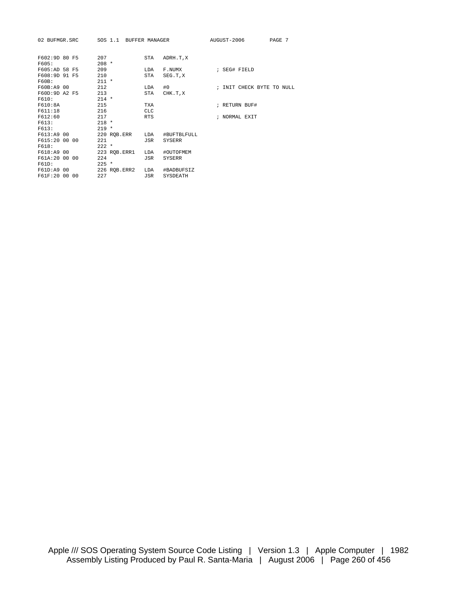| 02 BUFMGR.SRC |         | SOS 1.1 BUFFER MANAGER |            |               | AUGUST-2006 |                           | PAGE 7 |  |
|---------------|---------|------------------------|------------|---------------|-------------|---------------------------|--------|--|
|               |         |                        |            |               |             |                           |        |  |
| F602:9D 80 F5 | 207     |                        | STA        | ADRH.T,X      |             |                           |        |  |
| F605:         | $208 *$ |                        |            |               |             |                           |        |  |
| F605:AD 58 F5 | 209     |                        | LDA        | F.NUMX        |             | ; SEG# FIELD              |        |  |
| F608:9D 91 F5 | 210     |                        | STA        | SEG.T.X       |             |                           |        |  |
| F60B:         | $211 *$ |                        |            |               |             |                           |        |  |
| F60B:A9 00    | 212     |                        | LDA        | #0            |             | ; INIT CHECK BYTE TO NULL |        |  |
| F60D:9D A2 F5 | 213     |                        | STA        | CHK.T.X       |             |                           |        |  |
| F610:         | $214 *$ |                        |            |               |             |                           |        |  |
| F610:8A       | 215     |                        | TXA        |               |             | ; RETURN BUF#             |        |  |
| F611:18       | 216     |                        | <b>CLC</b> |               |             |                           |        |  |
| F612:60       | 217     |                        | <b>RTS</b> |               |             | ; NORMAL EXIT             |        |  |
| F613:         | $218 *$ |                        |            |               |             |                           |        |  |
| F613:         | $219 *$ |                        |            |               |             |                           |        |  |
| F613:A9 00    |         | 220 RQB.ERR            | LDA        | #BUFTBLFULL   |             |                           |        |  |
| F615:20 00 00 | 221     |                        | JSR        | SYSERR        |             |                           |        |  |
| F618:         | $222 *$ |                        |            |               |             |                           |        |  |
| F618:A9 00    |         | 223 ROB. ERR1          | LDA        | #OUTOFMEM     |             |                           |        |  |
| F61A:20 00 00 | 224     |                        | JSR        | <b>SYSERR</b> |             |                           |        |  |
| F61D:         | $225$ * |                        |            |               |             |                           |        |  |
| F61D:A9 00    |         | 226 ROB.ERR2           | LDA        | #BADBUFSIZ    |             |                           |        |  |
| F61F:20 00 00 | 227     |                        | JSR        | SYSDEATH      |             |                           |        |  |
|               |         |                        |            |               |             |                           |        |  |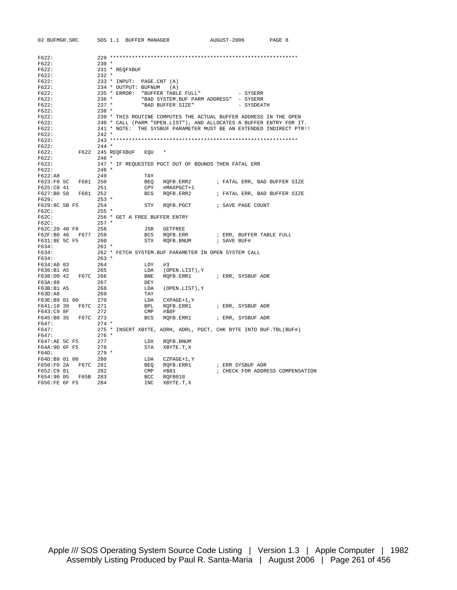| 02 BUFMGR.SRC       | SOS 1.1 BUFFER MANAGER    |                                                                     | AUGUST-2006                                   | PAGE 8                           |  |  |  |
|---------------------|---------------------------|---------------------------------------------------------------------|-----------------------------------------------|----------------------------------|--|--|--|
|                     |                           |                                                                     |                                               |                                  |  |  |  |
| F622:               |                           |                                                                     |                                               |                                  |  |  |  |
| F622:               | $230 *$                   |                                                                     |                                               |                                  |  |  |  |
| F622:               | 231 * REOFXBUF            |                                                                     |                                               |                                  |  |  |  |
| F622:               | $232 *$                   |                                                                     |                                               |                                  |  |  |  |
| F622:               | 233 * INPUT: PAGE.CNT (A) |                                                                     |                                               |                                  |  |  |  |
| F622:               | 234 * OUTPUT: BUFNUM (A)  |                                                                     |                                               |                                  |  |  |  |
| F622:               |                           | 235 * ERROR: "BUFFER TABLE FULL"                                    | - SYSERR                                      |                                  |  |  |  |
| F622:               | 236 *                     | "BAD SYSTEM. BUF PARM ADDRESS" - SYSERR                             |                                               |                                  |  |  |  |
| F622:               | $237$ *                   | "BAD BUFFER SIZE"                                                   | - SYSDEATH                                    |                                  |  |  |  |
| F622:               | 238 *                     |                                                                     |                                               |                                  |  |  |  |
| F622:               |                           | 239 * THIS ROUTINE COMPUTES THE ACTUAL BUFFER ADDRESS IN THE OPEN   |                                               |                                  |  |  |  |
| F622:               |                           | 240 * CALL (PARM "OPEN.LIST"), AND ALLOCATES A BUFFER ENTRY FOR IT. |                                               |                                  |  |  |  |
| F622:               |                           | 241 * NOTE: THE SYSBUF PARAMETER MUST BE AN EXTENDED INDIRECT PTR!! |                                               |                                  |  |  |  |
| F622:               | $242$ *                   |                                                                     |                                               |                                  |  |  |  |
| F622:               |                           |                                                                     |                                               |                                  |  |  |  |
| F622:               | $244$ *                   |                                                                     |                                               |                                  |  |  |  |
| F622:               | F622 245 REQFXBUF EQU *   |                                                                     |                                               |                                  |  |  |  |
| F622:               | $246$ *                   |                                                                     |                                               |                                  |  |  |  |
| F622:               |                           | 247 * IF REQUESTED PGCT OUT OF BOUNDS THEN FATAL ERR                |                                               |                                  |  |  |  |
| F622:               | $248$ *                   |                                                                     |                                               |                                  |  |  |  |
| F622:A8             | 249                       | TAY                                                                 |                                               |                                  |  |  |  |
| F623:F0 5C F681 250 |                           | BEQ RQFB.ERR2                                                       | ; FATAL ERR, BAD BUFFER SIZE                  |                                  |  |  |  |
| F625:C0 41          | 251                       | CPY #MAXPGCT+1                                                      |                                               |                                  |  |  |  |
| F627:B0 58 F681 252 |                           | BCS RQFB.ERR2                                                       | ; FATAL ERR, BAD BUFFER SIZE                  |                                  |  |  |  |
| F629:               | $253$ *                   |                                                                     |                                               |                                  |  |  |  |
| F629:8C 5B F5       | 254                       | STY RQFB.PGCT ; SAVE PAGE COUNT                                     |                                               |                                  |  |  |  |
| F62C:               | $255$ *                   |                                                                     |                                               |                                  |  |  |  |
| F62C:               |                           | 256 * GET A FREE BUFFER ENTRY                                       |                                               |                                  |  |  |  |
| F62C:               | $257 *$                   |                                                                     |                                               |                                  |  |  |  |
| F62C:20 40 F8 258   |                           | JSR<br>GETFREE                                                      |                                               |                                  |  |  |  |
| F62F:B0 46 F677 259 |                           | BCS RQFB.ERR                                                        | ; ERR, BUFFER TABLE FULL                      |                                  |  |  |  |
| F631:8E 5C F5 260   |                           | STX RQFB.BNUM ; SAVE BUF#                                           |                                               |                                  |  |  |  |
| F634:               | $261$ *                   |                                                                     |                                               |                                  |  |  |  |
| F634:               |                           | 262 * FETCH SYSTEM. BUF PARAMETER IN OPEN SYSTEM CALL               |                                               |                                  |  |  |  |
| F634:               | $263$ *                   |                                                                     |                                               |                                  |  |  |  |
| F634:A0 03          | 264                       | LDY<br>#3                                                           |                                               |                                  |  |  |  |
| F636:B1 A5          | 265                       | LDA<br>(OPEN.LIST), Y                                               |                                               |                                  |  |  |  |
| F638:D0 42 F67C 266 |                           | <b>BNE</b>                                                          | $\verb RQFB.ERR1  ; ERR, SYSTEMSIBUF, ADR \\$ |                                  |  |  |  |
| F63A:88             | 267                       | DEY                                                                 |                                               |                                  |  |  |  |
| F63B:B1 A5          | 268                       | LDA (OPEN.LIST), Y                                                  |                                               |                                  |  |  |  |
| F63D:AB             | 269                       | TAY                                                                 |                                               |                                  |  |  |  |
| F63E:B9 01 00 270   |                           | LDA CXPAGE+1, Y                                                     |                                               |                                  |  |  |  |
| F641:10 39 F67C 271 |                           | <b>BPL</b>                                                          |                                               |                                  |  |  |  |
| F643:C9 8F          | 272                       | $\text{CMP}$<br>#\$8F                                               |                                               |                                  |  |  |  |
| F645:B0 35 F67C 273 |                           | BCS                                                                 | RQFB.ERR1 ; ERR, SYSBUF ADR                   |                                  |  |  |  |
| F647:               | $274$ *                   |                                                                     |                                               |                                  |  |  |  |
| F647:               |                           | 275 * INSERT XBYTE, ADRH, ADRL, PGCT, CHK BYTE INTO BUF.TBL(BUF#)   |                                               |                                  |  |  |  |
| F647:               | 276 *                     |                                                                     |                                               |                                  |  |  |  |
| F647:AE 5C F5       | 277                       | LDX<br>ROFB. BNUM                                                   |                                               |                                  |  |  |  |
| F64A:9D 6F F5       | 278                       | STA<br>XBYTE.T,X                                                    |                                               |                                  |  |  |  |
| F64D:               | $279$ *                   |                                                                     |                                               |                                  |  |  |  |
| F64D:B9 01 00 280   |                           | $LDA \qquad CZPAGE+1 \text{, } Y$                                   |                                               |                                  |  |  |  |
|                     |                           | RQFB.ERR1<br><b>BEQ</b>                                             | ; ERR SYSBUF ADR                              |                                  |  |  |  |
| F652:C9 81          | 282                       | CMP<br>BCC<br>#\$81                                                 |                                               | ; CHECK FOR ADDRESS COMPENSATION |  |  |  |
| F654:90 05 F65B 283 |                           | ROFB010                                                             |                                               |                                  |  |  |  |
| F656:FE 6F F5       | 284                       | INC<br>XBYTE.T, X                                                   |                                               |                                  |  |  |  |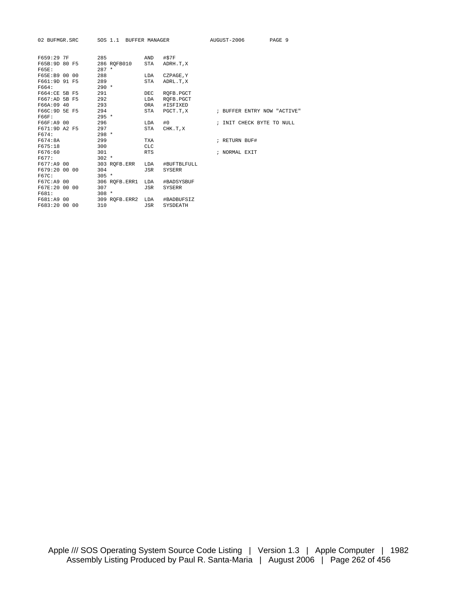| 02 BUFMGR.SRC  | SOS 1.1 BUFFER MANAGER |            |               | AUGUST-2006                 | PAGE 9 |
|----------------|------------------------|------------|---------------|-----------------------------|--------|
| F659:29 7F     | 285                    | AND        | #\$7F         |                             |        |
| F65B:9D 80 F5  | 286 ROFB010            | STA        | ADRH.T, X     |                             |        |
| F65E:          | $287 *$                |            |               |                             |        |
| F65E:B9 00 00  | 288                    | LDA        | CZPAGE, Y     |                             |        |
| F661:9D 91 F5  | 289                    | STA        | ADRL.T.X      |                             |        |
| F664:          | $290 *$                |            |               |                             |        |
| F664:CE 5B F5  | 291                    | <b>DEC</b> | ROFB.PGCT     |                             |        |
| F667:AD 5B F5  | 292                    | LDA        | ROFB.PGCT     |                             |        |
| F66A:09 40     | 293                    | ORA        | #ISFIXED      |                             |        |
| F66C: 9D 5E F5 | 294                    | STA        | PGCT.T,X      | ; BUFFER ENTRY NOW "ACTIVE" |        |
| F66F:          | $295 *$                |            |               |                             |        |
| F66F:A9 00     | 296                    | LDA        | #0            | ; INIT CHECK BYTE TO NULL   |        |
| F671:9D A2 F5  | 297                    | STA        | CHK.T.X       |                             |        |
| F674:          | $298 *$                |            |               |                             |        |
| F674:8A        | 299                    | <b>TXA</b> |               | ; RETURN BUF#               |        |
| F675:18        | 300                    | <b>CLC</b> |               |                             |        |
| F676:60        | 301                    | <b>RTS</b> |               | ; NORMAL EXIT               |        |
| F677:          | $302 *$                |            |               |                             |        |
| F677:A9 00     | 303 ROFB.ERR           | LDA        | #BUFTBLFULL   |                             |        |
| F679:20 00 00  | 304                    | JSR        | <b>SYSERR</b> |                             |        |
| F67C:          | $305 *$                |            |               |                             |        |
| F67C:A9 00     | 306 ROFB.ERR1          | LDA        | #BADSYSBUF    |                             |        |
| F67E:20 00 00  | 307                    | JSR        | <b>SYSERR</b> |                             |        |
| F681:          | $308 *$                |            |               |                             |        |
| F681:A9 00     | 309 ROFB.ERR2 LDA      |            | #BADBUFSIZ    |                             |        |
| F683:20 00 00  | 310                    | JSR        | SYSDEATH      |                             |        |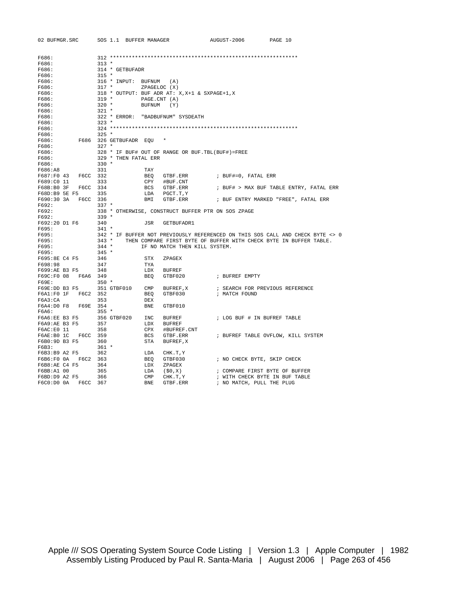| 02 BUFMGR.SRC          |                | SOS 1.1 BUFFER MANAGER   |                |                                                    | AUGUST-2006    | PAGE 10                            |                                                                                |
|------------------------|----------------|--------------------------|----------------|----------------------------------------------------|----------------|------------------------------------|--------------------------------------------------------------------------------|
|                        |                |                          |                |                                                    |                |                                    |                                                                                |
| F686:                  |                |                          |                |                                                    |                |                                    |                                                                                |
| F686:                  | $313 *$        |                          |                |                                                    |                |                                    |                                                                                |
| F686:                  |                | 314 * GETBUFADR          |                |                                                    |                |                                    |                                                                                |
| F686:<br>F686:         | $315 *$        | 316 * INPUT: BUFNUM      |                |                                                    |                |                                    |                                                                                |
| F686:                  | $317$ *        |                          | ZPAGELOC (X)   | (A)                                                |                |                                    |                                                                                |
| F686:                  |                |                          |                | 318 * OUTPUT: BUF ADR AT: X, X+1 & SXPAGE+1, X     |                |                                    |                                                                                |
| F686:                  | $319 *$        |                          | PAGE.CNT (A)   |                                                    |                |                                    |                                                                                |
| F686:                  | $320$ *        |                          | <b>BUFNUM</b>  | (Y)                                                |                |                                    |                                                                                |
| F686:                  | 321 *          |                          |                |                                                    |                |                                    |                                                                                |
| F686:                  |                |                          |                | 322 * ERROR: "BADBUFNUM" SYSDEATH                  |                |                                    |                                                                                |
| F686:                  | $323 *$        |                          |                |                                                    |                |                                    |                                                                                |
| F686:                  |                |                          |                |                                                    |                |                                    |                                                                                |
| F686:                  | $325 *$        |                          |                |                                                    |                |                                    |                                                                                |
| F686:                  |                | F686 326 GETBUFADR EOU   |                |                                                    |                |                                    |                                                                                |
| F686:                  | $327 *$        |                          |                |                                                    |                |                                    |                                                                                |
| F686:                  |                |                          |                | 328 * IF BUF# OUT OF RANGE OR BUF. TBL (BUF#)=FREE |                |                                    |                                                                                |
| F686:                  |                | 329 * THEN FATAL ERR     |                |                                                    |                |                                    |                                                                                |
| F686:                  | $330 *$        |                          |                |                                                    |                |                                    |                                                                                |
| F686:A8                | 331            |                          | TAY            |                                                    |                |                                    |                                                                                |
| F687:F0 43             | F6CC 332       |                          | BEQ            | GTBF.ERR                                           |                | ; BUF#=0, FATAL ERR                |                                                                                |
| F689:C0 11             | 333            |                          | CPY            | #BUF.CNT                                           |                |                                    |                                                                                |
| F68B:B0 3F F6CC 334    |                |                          |                | BCS GTBF.ERR                                       |                |                                    | ; BUF# > MAX BUF TABLE ENTRY, FATAL ERR                                        |
| F68D:B9 5E F5          | 335            |                          | LDA            | PGCT.T,Y                                           |                |                                    |                                                                                |
| F690:30 3A F6CC 336    | $337 *$        |                          | BMI            | GTBF.ERR                                           |                |                                    | ; BUF ENTRY MARKED "FREE", FATAL ERR                                           |
| F692:<br>F692:         |                |                          |                |                                                    |                |                                    |                                                                                |
| F692:                  | $339 *$        |                          |                | 338 * OTHERWISE, CONSTRUCT BUFFER PTR ON SOS ZPAGE |                |                                    |                                                                                |
| F692:20 D1 F6          | 340            |                          | JSR            | GETBUFADR1                                         |                |                                    |                                                                                |
| F695:                  | $341 *$        |                          |                |                                                    |                |                                    |                                                                                |
| F695:                  |                |                          |                |                                                    |                |                                    | 342 * IF BUFFER NOT PREVIOUSLY REFERENCED ON THIS SOS CALL AND CHECK BYTE <> 0 |
| F695:                  |                | $343 *$                  |                |                                                    |                |                                    | THEN COMPARE FIRST BYTE OF BUFFER WITH CHECK BYTE IN BUFFER TABLE.             |
| F695:                  |                | $344 *$                  |                | IF NO MATCH THEN KILL SYSTEM.                      |                |                                    |                                                                                |
| F695:                  | $345 *$        |                          |                |                                                    |                |                                    |                                                                                |
| F695:8E C4 F5          | 346            |                          | STX            | ZPAGEX                                             |                |                                    |                                                                                |
| F698:98                | 347            |                          | TYA            |                                                    |                |                                    |                                                                                |
| F699:AE B3 F5          | 348            |                          | LDX            | <b>BUFREF</b>                                      |                |                                    |                                                                                |
| F69C:F0 08 F6A6 349    |                |                          | BEQ            | GTBF020                                            | ; BUFREF EMPTY |                                    |                                                                                |
| F69E:                  | $350 *$        |                          |                |                                                    |                |                                    |                                                                                |
| F69E:DD B3 F5          |                | 351 GTBF010 CMP BUFREF,X |                |                                                    |                | ; SEARCH FOR PREVIOUS REFERENCE    |                                                                                |
| F6A1:F0 1F F6C2 352    |                |                          | BEO            | GTBF030                                            | ; MATCH FOUND  |                                    |                                                                                |
| F6A3:CA                | 353            |                          | DEX            |                                                    |                |                                    |                                                                                |
| F6A4:D0 F8 F69E 354    |                |                          | BNE            | GTBF010                                            |                |                                    |                                                                                |
| F6A6:                  | $355$ *        |                          |                |                                                    |                |                                    |                                                                                |
| F6A6:EE B3 F5          |                | 356 GTBF020              | INC            | BUFREF                                             |                | ; LOG BUF # IN BUFREF TABLE        |                                                                                |
| F6A9:AE B3 F5          | 357            |                          |                | LDX BUFREF                                         |                |                                    |                                                                                |
| F6AC:E0 11             | 358            |                          | CPX            | #BUFREF.CNT                                        |                |                                    |                                                                                |
| F6AE:B0 1C F6CC 359    |                |                          | BCS            | GTBF.ERR                                           |                | ; BUFREF TABLE OVFLOW, KILL SYSTEM |                                                                                |
| F6B0:9D B3 F5          | 360<br>$361 *$ |                          | STA            | BUFREF, X                                          |                |                                    |                                                                                |
| F6B3:<br>F6B3:B9 A2 F5 |                |                          |                |                                                    |                |                                    |                                                                                |
|                        | 362            |                          | LDA<br>BEQ     | CHK.T,Y<br>GTBF030                                 |                | ; NO CHECK BYTE, SKIP CHECK        |                                                                                |
| F6B8:AE C4 F5          | 364            |                          | LDX            | ZPAGEX                                             |                |                                    |                                                                                |
| F6BB:A1 00             | 365            |                          | LDA            | (\$0,X)                                            |                | ; COMPARE FIRST BYTE OF BUFFER     |                                                                                |
| F6BD:D9 A2 F5          | 366            |                          | $\texttt{CMP}$ | CHK.T, Y                                           |                | ; WITH CHECK BYTE IN BUF TABLE     |                                                                                |
|                        |                |                          | <b>BNE</b>     | GTBF.ERR                                           |                | ; NO MATCH, PULL THE PLUG          |                                                                                |
|                        |                |                          |                |                                                    |                |                                    |                                                                                |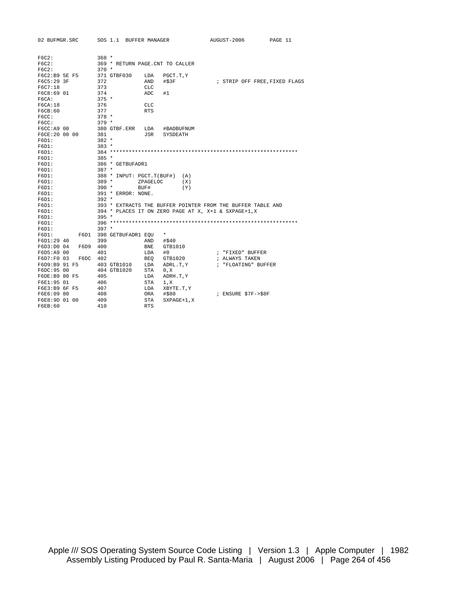|                               |                                                                                                                             |                                                                                                                                   |                                                                                                                                                                                                                                                                                                    |                                                                                     | AUGUST-2006                                                                                                                  | PAGE 11                                                                                                             |
|-------------------------------|-----------------------------------------------------------------------------------------------------------------------------|-----------------------------------------------------------------------------------------------------------------------------------|----------------------------------------------------------------------------------------------------------------------------------------------------------------------------------------------------------------------------------------------------------------------------------------------------|-------------------------------------------------------------------------------------|------------------------------------------------------------------------------------------------------------------------------|---------------------------------------------------------------------------------------------------------------------|
|                               |                                                                                                                             |                                                                                                                                   |                                                                                                                                                                                                                                                                                                    |                                                                                     |                                                                                                                              |                                                                                                                     |
|                               |                                                                                                                             |                                                                                                                                   |                                                                                                                                                                                                                                                                                                    |                                                                                     |                                                                                                                              |                                                                                                                     |
|                               |                                                                                                                             |                                                                                                                                   |                                                                                                                                                                                                                                                                                                    |                                                                                     |                                                                                                                              |                                                                                                                     |
|                               |                                                                                                                             |                                                                                                                                   |                                                                                                                                                                                                                                                                                                    |                                                                                     |                                                                                                                              |                                                                                                                     |
|                               |                                                                                                                             |                                                                                                                                   |                                                                                                                                                                                                                                                                                                    |                                                                                     |                                                                                                                              |                                                                                                                     |
|                               |                                                                                                                             |                                                                                                                                   | AND                                                                                                                                                                                                                                                                                                | #\$3F                                                                               |                                                                                                                              | ; STRIP OFF FREE, FIXED FLAGS                                                                                       |
|                               |                                                                                                                             |                                                                                                                                   | CLC                                                                                                                                                                                                                                                                                                |                                                                                     |                                                                                                                              |                                                                                                                     |
|                               |                                                                                                                             |                                                                                                                                   | ADC                                                                                                                                                                                                                                                                                                | #1                                                                                  |                                                                                                                              |                                                                                                                     |
|                               |                                                                                                                             |                                                                                                                                   |                                                                                                                                                                                                                                                                                                    |                                                                                     |                                                                                                                              |                                                                                                                     |
|                               |                                                                                                                             |                                                                                                                                   | <b>CLC</b>                                                                                                                                                                                                                                                                                         |                                                                                     |                                                                                                                              |                                                                                                                     |
|                               |                                                                                                                             |                                                                                                                                   | <b>RTS</b>                                                                                                                                                                                                                                                                                         |                                                                                     |                                                                                                                              |                                                                                                                     |
|                               |                                                                                                                             |                                                                                                                                   |                                                                                                                                                                                                                                                                                                    |                                                                                     |                                                                                                                              |                                                                                                                     |
|                               |                                                                                                                             |                                                                                                                                   |                                                                                                                                                                                                                                                                                                    |                                                                                     |                                                                                                                              |                                                                                                                     |
|                               |                                                                                                                             |                                                                                                                                   | LDA                                                                                                                                                                                                                                                                                                | #BADBUFNUM                                                                          |                                                                                                                              |                                                                                                                     |
|                               |                                                                                                                             | 381                                                                                                                               | JSR                                                                                                                                                                                                                                                                                                | SYSDEATH                                                                            |                                                                                                                              |                                                                                                                     |
|                               |                                                                                                                             |                                                                                                                                   |                                                                                                                                                                                                                                                                                                    |                                                                                     |                                                                                                                              |                                                                                                                     |
|                               |                                                                                                                             |                                                                                                                                   |                                                                                                                                                                                                                                                                                                    |                                                                                     |                                                                                                                              |                                                                                                                     |
|                               |                                                                                                                             |                                                                                                                                   |                                                                                                                                                                                                                                                                                                    |                                                                                     |                                                                                                                              |                                                                                                                     |
|                               |                                                                                                                             |                                                                                                                                   |                                                                                                                                                                                                                                                                                                    |                                                                                     |                                                                                                                              |                                                                                                                     |
|                               |                                                                                                                             |                                                                                                                                   |                                                                                                                                                                                                                                                                                                    |                                                                                     |                                                                                                                              |                                                                                                                     |
|                               |                                                                                                                             |                                                                                                                                   |                                                                                                                                                                                                                                                                                                    |                                                                                     |                                                                                                                              |                                                                                                                     |
|                               |                                                                                                                             |                                                                                                                                   |                                                                                                                                                                                                                                                                                                    | (A)                                                                                 |                                                                                                                              |                                                                                                                     |
|                               |                                                                                                                             |                                                                                                                                   |                                                                                                                                                                                                                                                                                                    | (X)                                                                                 |                                                                                                                              |                                                                                                                     |
|                               |                                                                                                                             |                                                                                                                                   | BUF#                                                                                                                                                                                                                                                                                               | (Y)                                                                                 |                                                                                                                              |                                                                                                                     |
|                               |                                                                                                                             |                                                                                                                                   |                                                                                                                                                                                                                                                                                                    |                                                                                     |                                                                                                                              |                                                                                                                     |
|                               |                                                                                                                             |                                                                                                                                   |                                                                                                                                                                                                                                                                                                    |                                                                                     |                                                                                                                              |                                                                                                                     |
|                               |                                                                                                                             |                                                                                                                                   |                                                                                                                                                                                                                                                                                                    |                                                                                     |                                                                                                                              |                                                                                                                     |
|                               |                                                                                                                             |                                                                                                                                   |                                                                                                                                                                                                                                                                                                    |                                                                                     |                                                                                                                              |                                                                                                                     |
|                               |                                                                                                                             |                                                                                                                                   |                                                                                                                                                                                                                                                                                                    |                                                                                     |                                                                                                                              |                                                                                                                     |
|                               |                                                                                                                             |                                                                                                                                   |                                                                                                                                                                                                                                                                                                    |                                                                                     |                                                                                                                              |                                                                                                                     |
|                               |                                                                                                                             |                                                                                                                                   |                                                                                                                                                                                                                                                                                                    |                                                                                     |                                                                                                                              |                                                                                                                     |
|                               | F6D1                                                                                                                        |                                                                                                                                   |                                                                                                                                                                                                                                                                                                    | $^\star$                                                                            |                                                                                                                              |                                                                                                                     |
|                               |                                                                                                                             |                                                                                                                                   | AND                                                                                                                                                                                                                                                                                                | #\$40                                                                               |                                                                                                                              |                                                                                                                     |
|                               | F6D9                                                                                                                        |                                                                                                                                   | <b>BNE</b>                                                                                                                                                                                                                                                                                         | GTB1010                                                                             |                                                                                                                              |                                                                                                                     |
|                               |                                                                                                                             | 401                                                                                                                               | LDA                                                                                                                                                                                                                                                                                                | #0                                                                                  | ; "FIXED" BUFFER                                                                                                             |                                                                                                                     |
|                               | F6DC                                                                                                                        |                                                                                                                                   | BEO                                                                                                                                                                                                                                                                                                | GTB1020                                                                             | ; ALWAYS TAKEN                                                                                                               |                                                                                                                     |
|                               |                                                                                                                             |                                                                                                                                   | LDA                                                                                                                                                                                                                                                                                                | ADRL.T, Y                                                                           | ; "FLOATING" BUFFER                                                                                                          |                                                                                                                     |
|                               |                                                                                                                             |                                                                                                                                   | STA                                                                                                                                                                                                                                                                                                |                                                                                     |                                                                                                                              |                                                                                                                     |
|                               |                                                                                                                             | 405                                                                                                                               | LDA                                                                                                                                                                                                                                                                                                |                                                                                     |                                                                                                                              |                                                                                                                     |
|                               |                                                                                                                             |                                                                                                                                   | <b>STA</b>                                                                                                                                                                                                                                                                                         | 1, X                                                                                |                                                                                                                              |                                                                                                                     |
|                               |                                                                                                                             |                                                                                                                                   | LDA                                                                                                                                                                                                                                                                                                | XBYTE.T, Y                                                                          |                                                                                                                              |                                                                                                                     |
|                               |                                                                                                                             |                                                                                                                                   | <b>ORA</b>                                                                                                                                                                                                                                                                                         | #\$80                                                                               | ; ENSURE \$7F->\$8F                                                                                                          |                                                                                                                     |
|                               |                                                                                                                             |                                                                                                                                   | <b>STA</b>                                                                                                                                                                                                                                                                                         | $SXPAGE+1, X$                                                                       |                                                                                                                              |                                                                                                                     |
|                               |                                                                                                                             | 410                                                                                                                               | <b>RTS</b>                                                                                                                                                                                                                                                                                         |                                                                                     |                                                                                                                              |                                                                                                                     |
| F6C7:18<br>FGCA:18<br>FGCB:60 | F6C5:29 3F<br>F6C8:69 01<br>F6CC:A9 00<br>F6D1:29 40<br>F6D5:A9 00<br>F6D7:F0 03<br>F6DC: 95 00<br>F6E1:95 01<br>F6E6:09 80 | 02 BUFMGR.SRC<br>F6C2:B9 5E F5<br>F6CE:20 00 00<br>F6D3:D0 04<br>F6D9:B9 91 F5<br>F6DE:B9 80 F5<br>F6E3:B9 6F F5<br>F6E8:9D 01 00 | SOS 1.1<br>$368 *$<br>$370 *$<br>371 GTBF030<br>372<br>373<br>374<br>$375 *$<br>376<br>377<br>$378 *$<br>$379 *$<br>$382 *$<br>$383 *$<br>$385 *$<br>$387 *$<br>$389 *$<br>$390 *$<br>$392 *$<br>$395 *$<br>$397 *$<br>399<br>400<br>402<br>403 GTB1010<br>404 GTB1020<br>406<br>407<br>408<br>409 | LDA<br>380 GTBF.ERR<br>386 * GETBUFADR1<br>391 * ERROR: NONE.<br>398 GETBUFADR1 EOU | BUFFER MANAGER<br>369 * RETURN PAGE.CNT TO CALLER<br>PGCT.T, Y<br>388 * INPUT: PGCT.T(BUF#)<br>ZPAGELOC<br>0, X<br>ADRH.T, Y | 393 * EXTRACTS THE BUFFER POINTER FROM THE BUFFER TABLE AND<br>394 * PLACES IT ON ZERO PAGE AT X, X+1 & SXPAGE+1, X |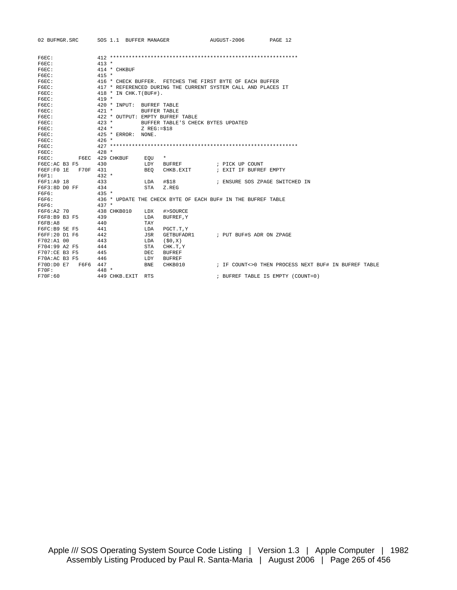| 02 BUFMGR.SRC          | SOS 1.1 BUFFER MANAGER                                    | AUGUST-2006<br>PAGE 12                                        |
|------------------------|-----------------------------------------------------------|---------------------------------------------------------------|
| F6EC:                  |                                                           |                                                               |
| F6EC:                  | $413 *$                                                   |                                                               |
| F6EC:                  | 414 * CHKBUF                                              |                                                               |
| $F6EC$ :               | $415 *$                                                   |                                                               |
| F6EC:                  | 416 * CHECK BUFFER. FETCHES THE FIRST BYTE OF EACH BUFFER |                                                               |
| F6EC:                  |                                                           | 417 * REFERENCED DURING THE CURRENT SYSTEM CALL AND PLACES IT |
| F6EC:                  | $418 * IN CHK.T(BUF#).$                                   |                                                               |
| F6EC:                  | $419 *$                                                   |                                                               |
| F6EC:                  | 420 * INPUT: BUFREF TABLE                                 |                                                               |
| F6EC:                  | $421 *$<br><b>BUFFER TABLE</b>                            |                                                               |
| F6EC:                  | 422 * OUTPUT: EMPTY BUFREF TABLE                          |                                                               |
| $F6EC$ :               | $423 *$                                                   | BUFFER TABLE'S CHECK BYTES UPDATED                            |
| F6EC:                  | $424$ *<br>$Z$ REG:= $$18$                                |                                                               |
| F6EC:                  | 425 * ERROR: NONE.                                        |                                                               |
| F6EC:                  | $426 *$                                                   |                                                               |
| F6EC:                  |                                                           |                                                               |
| F6EC:                  | $428 *$                                                   |                                                               |
| F6EC:                  | F6EC 429 CHKBUF<br>$\star$<br>EOU                         |                                                               |
| F6EC:AC B3 F5          | 430<br>BUFREF<br>LDY                                      | ; PICK UP COUNT                                               |
| F70F 431<br>F6EF:FO 1E | CHKB.EXIT<br>BEO                                          | ; EXIT IF BUFREF EMPTY                                        |
| F6F1:                  | $432 *$                                                   |                                                               |
| F6F1:A9 18             | 433<br>#\$18<br>LDA                                       | ; ENSURE SOS ZPAGE SWITCHED IN                                |
| F6F3:8D D0 FF          | 434<br>STA<br>Z.REG                                       |                                                               |
| F6F6:                  | $435 *$                                                   |                                                               |
| F6F6:                  |                                                           | 436 * UPDATE THE CHECK BYTE OF EACH BUF# IN THE BUFREF TABLE  |
| F6F6:                  | $437 *$                                                   |                                                               |
| F6F6:A2 70             | 438 CHKB010<br>LDX<br>#>SOURCE                            |                                                               |
| F6F8:B9 B3 F5          | 439<br>LDA<br>BUFREF, Y                                   |                                                               |
| FGFB:AB                | 440<br>TAY                                                |                                                               |
| F6FC:B9 5E F5          | 441<br>PGCT.T, Y<br>LDA                                   |                                                               |
| F6FF:20 D1 F6          | 442<br>JSR<br>GETBUFADR1                                  | ; PUT BUF#S ADR ON ZPAGE                                      |
| F702:A1 00             | 443<br>(50,X)<br>LDA                                      |                                                               |
| F704:99 A2 F5          | STA<br>444<br>CHK.T, Y                                    |                                                               |
| F707:CE B3 F5          | 445<br><b>DEC</b><br><b>BUFREF</b>                        |                                                               |
| F70A:AC B3 F5          | 446<br><b>BUFREF</b><br>LDY                               |                                                               |
| F70D:D0E7<br>F6F6 447  | <b>BNE</b><br>CHKB010                                     | ; IF COUNT<>0 THEN PROCESS NEXT BUF# IN BUFREF TABLE          |
| $F70F$ :               | $448 *$                                                   |                                                               |
| F70F:60                | 449 CHKB.EXIT RTS                                         | ; BUFREF TABLE IS EMPTY (COUNT=0)                             |
|                        |                                                           |                                                               |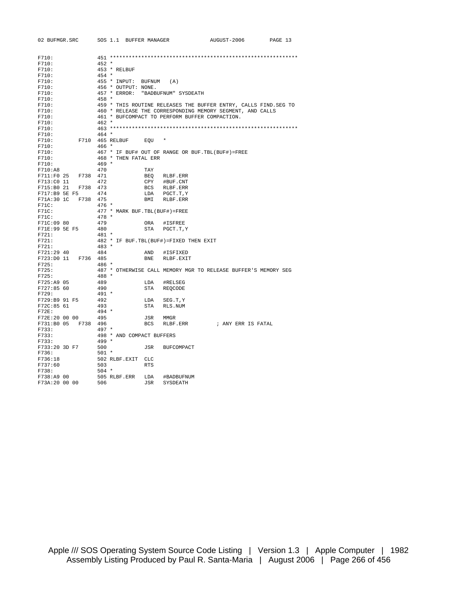| 02 BUFMGR.SRC               |          | SOS 1.1 BUFFER MANAGER                             |            |                               | AUGUST-2006                                                      | PAGE 13 |
|-----------------------------|----------|----------------------------------------------------|------------|-------------------------------|------------------------------------------------------------------|---------|
|                             |          |                                                    |            |                               |                                                                  |         |
| F710:                       |          |                                                    |            |                               |                                                                  |         |
| F710:                       |          | $452 *$                                            |            |                               |                                                                  |         |
| F710:                       |          | 453 * RELBUF                                       |            |                               |                                                                  |         |
| F710:                       |          | $454 *$                                            |            |                               |                                                                  |         |
| F710:                       |          | 455 * INPUT: BUFNUM                                |            | (A)                           |                                                                  |         |
| F710:                       |          | 456 * OUTPUT: NONE.                                |            |                               |                                                                  |         |
| F710:                       |          | 457 * ERROR:                                       |            | "BADBUFNUM" SYSDEATH          |                                                                  |         |
| F710:                       |          | 458 *                                              |            |                               |                                                                  |         |
| F710:                       |          |                                                    |            |                               | 459 * THIS ROUTINE RELEASES THE BUFFER ENTRY, CALLS FIND. SEG TO |         |
| F710:                       |          |                                                    |            |                               | 460 * RELEASE THE CORRESPONDING MEMORY SEGMENT, AND CALLS        |         |
| F710:                       |          | 461 * BUFCOMPACT TO PERFORM BUFFER COMPACTION.     |            |                               |                                                                  |         |
| F710:                       |          | $462 *$                                            |            |                               |                                                                  |         |
| F710:                       |          |                                                    |            |                               |                                                                  |         |
| F710:                       |          | $464 *$                                            |            |                               |                                                                  |         |
| F710:                       |          | F710 465 RELBUF                                    | EOU        |                               |                                                                  |         |
| F710:                       |          | $466 *$                                            |            |                               |                                                                  |         |
| F710:                       |          | 467 * IF BUF# OUT OF RANGE OR BUF. TBL (BUF#)=FREE |            |                               |                                                                  |         |
| F710:                       |          | 468 * THEN FATAL ERR                               |            |                               |                                                                  |         |
| F710:                       |          | $469 *$                                            |            |                               |                                                                  |         |
| F710:AB                     |          | 470                                                | TAY        |                               |                                                                  |         |
| F711:F0 25                  | F738 471 |                                                    | BEO        | RLBF.ERR                      |                                                                  |         |
| F713:C0 11                  |          | 472                                                | CPY        | #BUF.CNT                      |                                                                  |         |
| F715:B0 21<br>F717:B9 5E F5 | F738 473 | 474                                                |            | BCS RLBF.ERR<br>LDA PGCT.T, Y |                                                                  |         |
| F71A:30 1C F738 475         |          |                                                    |            | BMI RLBF.ERR                  |                                                                  |         |
| F71C:                       |          | $476 *$                                            |            |                               |                                                                  |         |
| F71C:                       |          | 477 * MARK BUF. TBL (BUF#)=FREE                    |            |                               |                                                                  |         |
| F71C:                       |          | $478 *$                                            |            |                               |                                                                  |         |
| F71C:09 80                  |          | 479                                                | ORA        | #ISFREE                       |                                                                  |         |
| F71E:99 5E F5               |          | 480                                                |            | STA PGCT.T, Y                 |                                                                  |         |
| F721:                       |          | 481 *                                              |            |                               |                                                                  |         |
| F721:                       |          | 482 * IF BUF. TBL (BUF#) = FIXED THEN EXIT         |            |                               |                                                                  |         |
| F721:                       |          | $483 *$                                            |            |                               |                                                                  |         |
| F721:29 40                  |          | 484                                                | AND        | #ISFIXED                      |                                                                  |         |
| F723:D0 11                  | F736 485 |                                                    | BNE        | RLBF.EXIT                     |                                                                  |         |
| F725:                       |          | 486 *                                              |            |                               |                                                                  |         |
| F725:                       |          |                                                    |            |                               | 487 * OTHERWISE CALL MEMORY MGR TO RELEASE BUFFER'S MEMORY SEG   |         |
| F725:                       |          | 488 *                                              |            |                               |                                                                  |         |
| F725:A9 05                  |          | 489                                                | LDA        | #RELSEG                       |                                                                  |         |
| F727:85 60                  |          | 490                                                | STA        | REOCODE                       |                                                                  |         |
| F729:                       |          | $491 *$                                            |            |                               |                                                                  |         |
| F729:B9 91 F5               |          | 492                                                | LDA        | SEG.T, Y                      |                                                                  |         |
| F72C:85 61                  |          | 493                                                | STA        | RLS.NUM                       |                                                                  |         |
| $F72E$ :                    |          | $494 *$                                            |            |                               |                                                                  |         |
| F72E:20 00 00               |          | 495                                                | JSR        | MMGR                          |                                                                  |         |
| F731:B0 05 F738 496         |          |                                                    |            | BCS RLBF.ERR                  | ; ANY ERR IS FATAL                                               |         |
| F733:                       |          | $497 *$                                            |            |                               |                                                                  |         |
| F733:<br>F733:              |          | 498 * AND COMPACT BUFFERS<br>$499 *$               |            |                               |                                                                  |         |
|                             |          |                                                    |            |                               |                                                                  |         |
| F733:20 3D F7<br>F736:      |          | 500<br>$501 *$                                     | JSR        | <b>BUFCOMPACT</b>             |                                                                  |         |
| F736:18                     |          | 502 RLBF.EXIT CLC                                  |            |                               |                                                                  |         |
| F737:60                     |          | 503                                                | <b>RTS</b> |                               |                                                                  |         |
| F738:                       |          | $504$ *                                            |            |                               |                                                                  |         |
| F738:A9 00                  |          | 505 RLBF.ERR                                       | LDA        | #BADBUFNUM                    |                                                                  |         |
| F73A:20 00 00               |          | 506                                                | JSR        | SYSDEATH                      |                                                                  |         |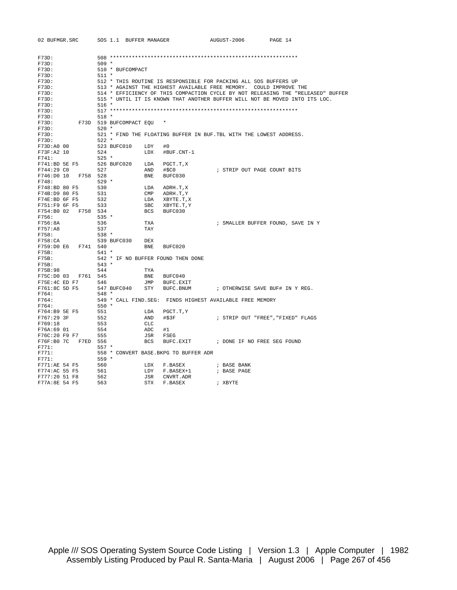| 02 BUFMGR.SRC                                                       | SOS 1.1 BUFFER MANAGER             |                |                                                          | AUGUST-2006 | PAGE 14                                                                          |  |  |  |  |  |
|---------------------------------------------------------------------|------------------------------------|----------------|----------------------------------------------------------|-------------|----------------------------------------------------------------------------------|--|--|--|--|--|
|                                                                     |                                    |                |                                                          |             |                                                                                  |  |  |  |  |  |
| F73D:                                                               |                                    |                |                                                          |             |                                                                                  |  |  |  |  |  |
| F73D:                                                               | $509 *$                            |                |                                                          |             |                                                                                  |  |  |  |  |  |
| F73D:                                                               | 510 * BUFCOMPACT                   |                |                                                          |             |                                                                                  |  |  |  |  |  |
| F73D:                                                               | $511 *$                            |                |                                                          |             |                                                                                  |  |  |  |  |  |
| F73D:                                                               |                                    |                |                                                          |             | 512 * THIS ROUTINE IS RESPONSIBLE FOR PACKING ALL SOS BUFFERS UP                 |  |  |  |  |  |
| F73D:                                                               |                                    |                |                                                          |             | 513 * AGAINST THE HIGHEST AVAILABLE FREE MEMORY. COULD IMPROVE THE               |  |  |  |  |  |
| F73D:                                                               |                                    |                |                                                          |             | 514 * EFFICIENCY OF THIS COMPACTION CYCLE BY NOT RELEASING THE "RELEASED" BUFFER |  |  |  |  |  |
| F73D:                                                               |                                    |                |                                                          |             | 515 * UNTIL IT IS KNOWN THAT ANOTHER BUFFER WILL NOT BE MOVED INTO ITS LOC.      |  |  |  |  |  |
| F73D:                                                               | $516 *$                            |                |                                                          |             |                                                                                  |  |  |  |  |  |
| F73D:                                                               |                                    |                |                                                          |             |                                                                                  |  |  |  |  |  |
| F73D:                                                               | $518 *$                            |                |                                                          |             |                                                                                  |  |  |  |  |  |
| F73D:                                                               | F73D 519 BUFCOMPACT EQU *          |                |                                                          |             |                                                                                  |  |  |  |  |  |
| F73D:                                                               | $520 *$                            |                |                                                          |             |                                                                                  |  |  |  |  |  |
| F73D:                                                               |                                    |                |                                                          |             | 521 * FIND THE FLOATING BUFFER IN BUF. TBL WITH THE LOWEST ADDRESS.              |  |  |  |  |  |
| F73D:                                                               | $522 *$                            |                |                                                          |             |                                                                                  |  |  |  |  |  |
| F73D:A0 00                                                          | 523 BUFC010                        | LDY            | #0                                                       |             |                                                                                  |  |  |  |  |  |
| F73F:A2 10                                                          | 524                                | LDX            | #BUF.CNT-1                                               |             |                                                                                  |  |  |  |  |  |
| F741:                                                               | $525$ *                            |                |                                                          |             |                                                                                  |  |  |  |  |  |
| F741:BD 5E F5                                                       | 526 BUFC020                        | LDA            | PGCT.T,X                                                 |             |                                                                                  |  |  |  |  |  |
| F744:29 CO                                                          | 527                                | AND            | #\$C0                                                    |             | ; STRIP OUT PAGE COUNT BITS                                                      |  |  |  |  |  |
| F746:D0 10 F758 528                                                 |                                    | BNE            | BUFC030                                                  |             |                                                                                  |  |  |  |  |  |
| F748:                                                               | $529 *$                            |                |                                                          |             |                                                                                  |  |  |  |  |  |
| F748:BD 80 F5                                                       | 530                                | LDA            | ADRH.T,X                                                 |             |                                                                                  |  |  |  |  |  |
| F74B:D9 80 F5                                                       | 531                                | $\mathsf{CMP}$ | ADRH.T,Y                                                 |             |                                                                                  |  |  |  |  |  |
| F74E:BD 6F F5                                                       | 532                                |                | LDA XBYTE.T,X                                            |             |                                                                                  |  |  |  |  |  |
| $F/4E \cdot BD$ of $F$ <sub>3</sub> $-$ 332<br>$F$ 751:F9 6F F5 533 |                                    |                | SBC XBYTE.T, Y                                           |             |                                                                                  |  |  |  |  |  |
| F754:B0 02 F758 534                                                 |                                    |                | BCS BUFC030                                              |             |                                                                                  |  |  |  |  |  |
| F756:                                                               | 535 *                              |                |                                                          |             |                                                                                  |  |  |  |  |  |
| F756:8A                                                             | 536                                | TXA            |                                                          |             | ; SMALLER BUFFER FOUND, SAVE IN Y                                                |  |  |  |  |  |
| F757:A8                                                             | 537                                | TAY            |                                                          |             |                                                                                  |  |  |  |  |  |
| F758:                                                               | $538 *$                            |                |                                                          |             |                                                                                  |  |  |  |  |  |
| F758:CA                                                             | 539 BUFC030                        | DEX            |                                                          |             |                                                                                  |  |  |  |  |  |
| F759:D0 E6 F741 540                                                 |                                    | BNE            | BUFC020                                                  |             |                                                                                  |  |  |  |  |  |
| F75B:                                                               | 541 *                              |                |                                                          |             |                                                                                  |  |  |  |  |  |
| F75B:                                                               | 542 * IF NO BUFFER FOUND THEN DONE |                |                                                          |             |                                                                                  |  |  |  |  |  |
| F75B:                                                               | $543 *$                            |                |                                                          |             |                                                                                  |  |  |  |  |  |
| F75B:98                                                             | 544                                | TYA            |                                                          |             |                                                                                  |  |  |  |  |  |
| F75C:D0 03 F761 545                                                 |                                    |                | BNE BUFC040                                              |             |                                                                                  |  |  |  |  |  |
| F75E:4C ED F7                                                       | 546                                | JMP            | BUFC.EXIT                                                |             |                                                                                  |  |  |  |  |  |
| F761:8C 5D F5                                                       |                                    |                |                                                          |             | 547 BUFC040 STY BUFC.BNUM : OTHERWISE SAVE BUF# IN Y REG.                        |  |  |  |  |  |
| F764:                                                               | $548 *$                            |                |                                                          |             |                                                                                  |  |  |  |  |  |
| F764:                                                               |                                    |                | 549 * CALL FIND.SEG: FINDS HIGHEST AVAILABLE FREE MEMORY |             |                                                                                  |  |  |  |  |  |
| F764:                                                               | $550 *$                            |                |                                                          |             |                                                                                  |  |  |  |  |  |
| F764:B9 5E F5                                                       | 551                                | LDA            | PGCT.T, Y                                                |             |                                                                                  |  |  |  |  |  |
| F767:29 3F                                                          | 552                                | AND            | #\$3F                                                    |             | ; STRIP OUT "FREE", "FIXED" FLAGS                                                |  |  |  |  |  |
| F769:18                                                             | 553                                | CLC            |                                                          |             |                                                                                  |  |  |  |  |  |
| F76A:69 01                                                          | 554                                | ADC            | #1                                                       |             |                                                                                  |  |  |  |  |  |
| F76C:20 F9 F7 555                                                   |                                    | JSR            | FSEG                                                     |             |                                                                                  |  |  |  |  |  |
| F76F:B0 7C F7ED 556                                                 |                                    |                |                                                          |             | BCS BUFC.EXIT : DONE IF NO FREE SEG FOUND                                        |  |  |  |  |  |
| F771:                                                               | $557 *$                            |                |                                                          |             |                                                                                  |  |  |  |  |  |
| F771:                                                               |                                    |                | 558 * CONVERT BASE. BKPG TO BUFFER ADR                   |             |                                                                                  |  |  |  |  |  |
| F771:                                                               | 559 *                              |                |                                                          |             |                                                                                  |  |  |  |  |  |
| F771:AE 54 F5                                                       | 560                                |                | LDX F.BASEX                                              | ; BASE BANK |                                                                                  |  |  |  |  |  |
| F774:AC 55 F5                                                       | 561                                |                | LDY F.BASEX+1                                            | ; BASE PAGE |                                                                                  |  |  |  |  |  |
| F777:20 51 F8                                                       | 562                                | JSR            | CNVRT.ADR                                                |             |                                                                                  |  |  |  |  |  |
| F77A:8E 54 F5                                                       | 563                                | STX            | F.BASEX                                                  | ; XBYTE     |                                                                                  |  |  |  |  |  |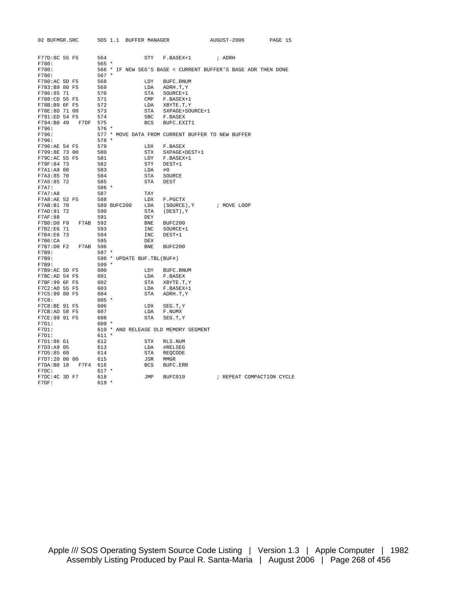| 02 BUFMGR.SRC                  | SOS 1.1 BUFFER MANAGER     |              |                                                               | AUGUST-2006 | PAGE 15                   |
|--------------------------------|----------------------------|--------------|---------------------------------------------------------------|-------------|---------------------------|
|                                |                            |              |                                                               |             |                           |
| F77D:8C 55 F5                  | 564                        | <b>STY</b>   | F.BASEX+1                                                     | ; ADRH      |                           |
| F780:<br>F780:                 | $565 *$                    |              | 566 * IF NEW SEG'S BASE < CURRENT BUFFER'S BASE ADR THEN DONE |             |                           |
| F780:                          | $567 *$                    |              |                                                               |             |                           |
| F780:AC 5D F5                  | 568                        | LDY          | BUFC. BNUM                                                    |             |                           |
| F783:B9 80 F5<br>F786:85 71    | 569<br>570                 | LDA<br>STA   | ADRH.T, Y<br>SOURCE+1                                         |             |                           |
|                                |                            |              |                                                               |             |                           |
| F788:CD 55 F5                  | 571                        | $\text{CMP}$ | F.BASEX+1                                                     |             |                           |
| F78B:B9 6F F5<br>F78E:8D 71 00 | 572                        | LDA          | XBYTE.T, Y                                                    |             |                           |
|                                | 573                        | STA          | SXPAGE+SOURCE+1                                               |             |                           |
| F791:ED 54 F5                  | 574                        | <b>SBC</b>   | F.BASEX                                                       |             |                           |
| F794:B0 49<br>F7DF             | 575                        | BCS          | BUFC.EXIT1                                                    |             |                           |
| F796:                          | $576 *$                    |              |                                                               |             |                           |
| F796:                          |                            |              | 577 * MOVE DATA FROM CURRENT BUFFER TO NEW BUFFER             |             |                           |
| F796:                          | $578 *$                    |              |                                                               |             |                           |
| F796:AE 54 F5                  | 579                        | LDX          | F.BASEX                                                       |             |                           |
| F799:8E 73 00                  | 580                        | <b>STX</b>   | SXPAGE+DEST+1                                                 |             |                           |
| F79C:AC 55 F5                  | 581                        | LDY          | F.BASEX+1                                                     |             |                           |
| F79F:84 73                     | 582                        | STY          | DEST+1                                                        |             |                           |
| F7A1:A9 00                     | 583                        | LDA          | #0                                                            |             |                           |
| F7A3:85 70                     | 584                        | STA          | <b>SOURCE</b>                                                 |             |                           |
| F7A5:85 72                     | 585                        | STA          | <b>DEST</b>                                                   |             |                           |
| F7A7:                          | 586 *                      |              |                                                               |             |                           |
| F7A7:A8                        | 587                        | TAY          |                                                               |             |                           |
| F7A8:AE 52 F5                  | 588                        | LDX          | F.PGCTX                                                       |             |                           |
| F7AB: B1 70                    | 589 BUFC200                | LDA          | (SOURCE), Y                                                   | ; MOVE LOOP |                           |
| F7AD: 91 72                    | 590                        | STA          | (DEST), Y                                                     |             |                           |
| F7AF:88                        | 591                        | DEY          |                                                               |             |                           |
| F7B0:D0 F9<br>F7AB             | 592                        | BNE          | BUFC200                                                       |             |                           |
| F7B2:E6 71                     | 593                        | INC          | SOURCE+1                                                      |             |                           |
| F7B4:E6 73                     | 594                        | INC          | DEST+1                                                        |             |                           |
| F7B6:CA                        | 595                        | DEX          |                                                               |             |                           |
| F7B7:D0 F2<br>F7AB             | 596                        | BNE          | BUFC200                                                       |             |                           |
| F7B9:                          | $597 *$                    |              |                                                               |             |                           |
| F7B9:                          | 598 * UPDATE BUF.TBL(BUF#) |              |                                                               |             |                           |
| F7B9:                          | $599 *$                    |              |                                                               |             |                           |
| F7B9:AC 5D F5                  | 600                        | LDY          | BUFC.BNUM                                                     |             |                           |
| F7BC:AD 54 F5                  | 601                        | LDA          | F.BASEX                                                       |             |                           |
| F7BF:99 6F F5                  | 602                        | STA          | XBYTE.T, Y                                                    |             |                           |
| F7C2:AD 55 F5                  | 603                        | LDA          | F.BASEX+1                                                     |             |                           |
| F7C5:99 80 F5                  | 604                        | STA          | ADRH.T, Y                                                     |             |                           |
| F7C8:                          | $605 *$                    |              |                                                               |             |                           |
| F7C8:BE 91 F5                  | 606                        | LDX          | SEG.T.Y                                                       |             |                           |
| F7CB:AD 58 F5                  | 607                        | LDA          | F.NUMX                                                        |             |                           |
| F7CE:99 91 F5                  | 608                        | STA          | SEG.T.Y                                                       |             |                           |
| F7D1:                          | $609 *$                    |              |                                                               |             |                           |
| F7D1:                          |                            |              | 610 * AND RELEASE OLD MEMORY SEGMENT                          |             |                           |
| F7D1:                          | $611 *$                    |              |                                                               |             |                           |
| F7D1:86 61                     | 612                        | <b>STX</b>   | RLS.NUM                                                       |             |                           |
| F7D3:A9 05                     | 613                        | LDA          | #RELSEG                                                       |             |                           |
| F7D5:85 60                     | 614                        | STA          | REOCODE                                                       |             |                           |
| F7D7:20 00 00                  | 615                        | JSR          | MMGR                                                          |             |                           |
| F7DA: B0 18<br>F7F4            | 616                        | <b>BCS</b>   | BUFC.ERR                                                      |             |                           |
| F7DC:                          | $617 *$                    |              |                                                               |             |                           |
| F7DC: 4C 3D F7                 | 618                        | JMP          | BUFC010                                                       |             | ; REPEAT COMPACTION CYCLE |
| F7DF:                          | $619 *$                    |              |                                                               |             |                           |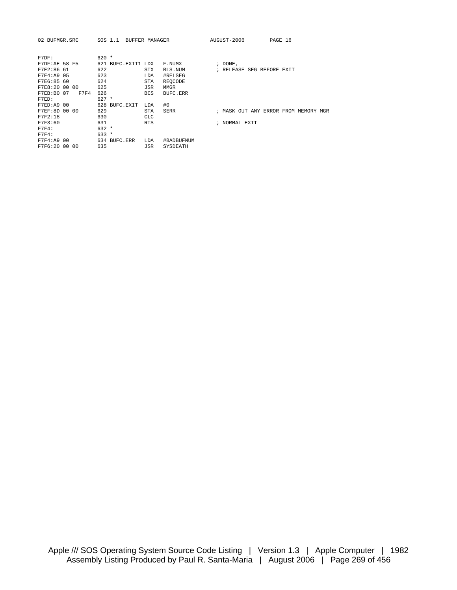| 02 BUFMGR.SRC      | SOS 1.1            | BUFFER MANAGER |             | AUGUST-2006   |  |                           | PAGE 16 |                                      |  |
|--------------------|--------------------|----------------|-------------|---------------|--|---------------------------|---------|--------------------------------------|--|
| F7DF:              | $620 *$            |                |             |               |  |                           |         |                                      |  |
| F7DF:AE 58 F5      | 621 BUFC.EXIT1 LDX |                | F.NUMX      | $:$ DONE,     |  |                           |         |                                      |  |
| F7E2:86 61         | 622                | STX            | RLS.NUM     |               |  | ; RELEASE SEG BEFORE EXIT |         |                                      |  |
| F7E4:A9 05         | 623                | LDA            | #RELSEG     |               |  |                           |         |                                      |  |
| F7E6:85 60         | 624                | STA            | REOCODE     |               |  |                           |         |                                      |  |
| F7E8:20 00 00      | 625                | JSR            | <b>MMGR</b> |               |  |                           |         |                                      |  |
| F7F4<br>F7EB:B0 07 | 626                | <b>BCS</b>     | BUFC.ERR    |               |  |                           |         |                                      |  |
| F7ED:              | $627 *$            |                |             |               |  |                           |         |                                      |  |
| F7ED: A9 00        | 628 BUFC.EXIT      | LDA            | #0          |               |  |                           |         |                                      |  |
| F7EF:8D 00 00      | 629                | <b>STA</b>     | SERR        |               |  |                           |         | ; MASK OUT ANY ERROR FROM MEMORY MGR |  |
| F7F2:18            | 630                | <b>CLC</b>     |             |               |  |                           |         |                                      |  |
| F7F3:60            | 631                | <b>RTS</b>     |             | ; NORMAL EXIT |  |                           |         |                                      |  |
| F7F4:              | $632 *$            |                |             |               |  |                           |         |                                      |  |
| F7F4:              | $633 *$            |                |             |               |  |                           |         |                                      |  |
| F7F4:A9 00         | 634 BUFC.ERR       | LDA            | #BADBUFNUM  |               |  |                           |         |                                      |  |
| F7F6:20 00 00      | 635                | JSR            | SYSDEATH    |               |  |                           |         |                                      |  |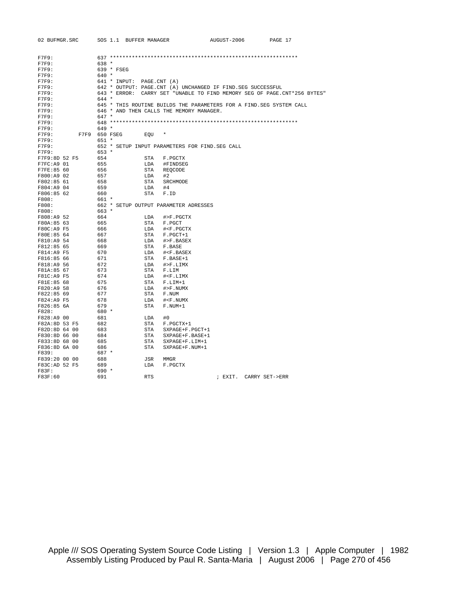| 02 BUFMGR.SRC | SOS 1.1 BUFFER MANAGER                                       |                                                     | AUGUST-2006 | PAGE 17                                                                  |
|---------------|--------------------------------------------------------------|-----------------------------------------------------|-------------|--------------------------------------------------------------------------|
|               |                                                              |                                                     |             |                                                                          |
| F7F9:         |                                                              |                                                     |             |                                                                          |
| F7F9:         | $638 *$                                                      |                                                     |             |                                                                          |
| F7F9:         | 639 * FSEG                                                   |                                                     |             |                                                                          |
| F7F9:         | $640 *$                                                      |                                                     |             |                                                                          |
| F7F9:         | 641 * INPUT: PAGE.CNT (A)                                    |                                                     |             |                                                                          |
| F7F9:         | 642 * OUTPUT: PAGE.CNT (A) UNCHANGED IF FIND. SEG SUCCESSFUL |                                                     |             |                                                                          |
| F7F9:         |                                                              |                                                     |             | 643 * ERROR: CARRY SET "UNABLE TO FIND MEMORY SEG OF PAGE.CNT*256 BYTES" |
| F7F9:         | $644 *$                                                      |                                                     |             |                                                                          |
| F7F9:         |                                                              |                                                     |             | 645 * THIS ROUTINE BUILDS THE PARAMETERS FOR A FIND. SEG SYSTEM CALL     |
| F7F9:         | 646 * AND THEN CALLS THE MEMORY MANAGER.                     |                                                     |             |                                                                          |
| F7F9:         | $647 *$                                                      |                                                     |             |                                                                          |
| F7F9:         |                                                              |                                                     |             |                                                                          |
| F7F9:         | $649 *$                                                      |                                                     |             |                                                                          |
| F7F9:         | F7F9 650 FSEG<br>EOU                                         |                                                     |             |                                                                          |
| F7F9:         | $651 *$                                                      |                                                     |             |                                                                          |
| F7F9:         | 652 * SETUP INPUT PARAMETERS FOR FIND. SEG CALL              |                                                     |             |                                                                          |
| F7F9:         | $653 *$                                                      |                                                     |             |                                                                          |
| F7F9:8D 52 F5 | 654<br>STA                                                   | F.PGCTX                                             |             |                                                                          |
| F7FC: A9 01   | 655                                                          | LDA #FINDSEG                                        |             |                                                                          |
| F7FE:85 60    | 656<br>STA                                                   | REOCODE                                             |             |                                                                          |
| F800:A9 02    | 657<br>LDA                                                   | #2                                                  |             |                                                                          |
| F802:85 61    | 658<br>STA                                                   | SRCHMODE                                            |             |                                                                          |
| F804:A9 04    | 659<br>LDA                                                   | #4                                                  |             |                                                                          |
| F806:85 62    | 660<br>STA                                                   | F.ID                                                |             |                                                                          |
|               |                                                              |                                                     |             |                                                                          |
| F808:         | 661 *                                                        |                                                     |             |                                                                          |
| F808:         | 662 * SETUP OUTPUT PARAMETER ADRESSES                        |                                                     |             |                                                                          |
| F808:         | $663 *$                                                      |                                                     |             |                                                                          |
| F808:A9 52    | 664<br>LDA                                                   | #>F.PGCTX                                           |             |                                                                          |
| F80A:85 63    | 665                                                          | STA F.PGCT                                          |             |                                                                          |
| F80C:A9 F5    | 666                                                          | LDA # <f.pgctx< td=""><td></td><td></td></f.pgctx<> |             |                                                                          |
| F80E:85 64    | 667                                                          | STA F.PGCT+1                                        |             |                                                                          |
| F810:A9 54    | 668<br>LDA                                                   | #>F.BASEX                                           |             |                                                                          |
| F812:85 65    | 669<br>STA                                                   | F.BASE                                              |             |                                                                          |
| F814:A9 F5    | 670<br>LDA                                                   | # <f.basex< td=""><td></td><td></td></f.basex<>     |             |                                                                          |
| F816:85 66    | 671                                                          | STA F.BASE+1                                        |             |                                                                          |
| F818:A9 56    | 672<br>LDA                                                   | #>F.LIMX                                            |             |                                                                          |
| F81A:85 67    | 673                                                          | STA F.LIM                                           |             |                                                                          |
| F81C:A9 F5    | 674<br>LDA                                                   | # <f.limx< td=""><td></td><td></td></f.limx<>       |             |                                                                          |
| F81E:85 68    | 675                                                          | STA F.LIM+1                                         |             |                                                                          |
| F820:A9 58    | 676                                                          | LDA #>F.NUMX                                        |             |                                                                          |
| F822:85 69    | 677<br>STA                                                   | F.NUM                                               |             |                                                                          |
| F824:A9 F5    | 678<br>LDA                                                   | # <f.numx< td=""><td></td><td></td></f.numx<>       |             |                                                                          |
| F826:85 6A    | 679<br>STA                                                   | F.NUM+1                                             |             |                                                                          |
| F828:         | 680 *                                                        |                                                     |             |                                                                          |
| F828:A9 00    | 681<br>LDA                                                   | #0                                                  |             |                                                                          |
| F82A:8D 53 F5 | 682<br>STA                                                   | F.PGCTX+1                                           |             |                                                                          |
| F82D:8D 64 00 | 683<br>STA                                                   | SXPAGE+F.PGCT+1                                     |             |                                                                          |
| F830:8D 66 00 | 684<br>STA                                                   | SXPAGE+F.BASE+1                                     |             |                                                                          |
| F833:8D 68 00 | 685<br>STA                                                   | SXPAGE+F.LIM+1                                      |             |                                                                          |
| F836:8D 6A 00 | 686<br>STA                                                   | SXPAGE+F.NUM+1                                      |             |                                                                          |
| F839:         | 687 *                                                        |                                                     |             |                                                                          |
| F839:20 00 00 | 688<br>JSR                                                   | MMGR                                                |             |                                                                          |
| F83C:AD 52 F5 | 689<br>LDA                                                   | F.PGCTX                                             |             |                                                                          |
| $F83F$ :      | $690 *$                                                      |                                                     |             |                                                                          |
| F83F:60       | 691<br><b>RTS</b>                                            |                                                     |             | ; EXIT. CARRY SET->ERR                                                   |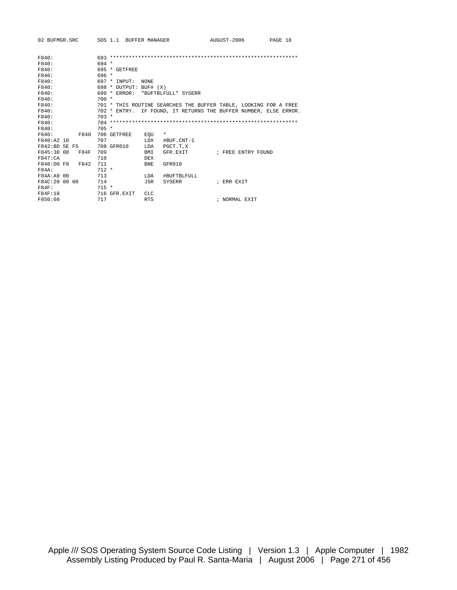| 02 BUFMGR.SRC SOS 1.1 BUFFER MANAGER |                                  |                            | AUGUST-2006                                                      | PAGE 18 |
|--------------------------------------|----------------------------------|----------------------------|------------------------------------------------------------------|---------|
| F840:<br>F840:                       | $694 *$                          |                            |                                                                  |         |
| F840:                                | $695 * GETFRER$                  |                            |                                                                  |         |
| F840:                                | $696 *$                          |                            |                                                                  |         |
| F840:                                | 697 * INPUT:                     | <b>NONE</b>                |                                                                  |         |
| F840:                                | $698 *$ OUTPUT: BUF# $(X)$       |                            |                                                                  |         |
| F840:                                | 699 * ERROR: "BUFTBLFULL" SYSERR |                            |                                                                  |         |
| F840:                                | $700 *$                          |                            |                                                                  |         |
| F840:                                |                                  |                            | 701 * THIS ROUTINE SEARCHES THE BUFFER TABLE, LOOKING FOR A FREE |         |
| F840:                                |                                  |                            | 702 * ENTRY. IF FOUND, IT RETURNS THE BUFFER NUMBER, ELSE ERROR. |         |
| F840:                                | $703 *$                          |                            |                                                                  |         |
| F840:                                |                                  |                            |                                                                  |         |
| F840:                                | $705 *$                          |                            |                                                                  |         |
| F840:<br>F840                        | 706 GETFREE                      | EOU<br>*                   |                                                                  |         |
| F840:A2 10                           | 707                              | <b>LDX</b><br>#BUF.CNT-1   |                                                                  |         |
| F842:BD 5E F5                        | 708 GFR010                       | LDA<br>PGCT.T,X            |                                                                  |         |
| F845:30 08<br>F84F                   | 709                              | BMI<br>GFR.EXIT            | ; FREE ENTRY FOUND                                               |         |
| F847:CA                              | 710                              | <b>DEX</b>                 |                                                                  |         |
| F848:DO F8 F842                      | 711                              | GFR010<br><b>BNE</b>       |                                                                  |         |
| <b>F84A:</b>                         | $712 *$                          |                            |                                                                  |         |
| F84A: A9 00                          | 713                              | <b>T.DA</b><br>#BUFTBLFULL |                                                                  |         |
| F84C:20 00 00                        | 714                              | JSR<br>SYSERR              | ; ERR EXTT                                                       |         |
| $F84F$ :                             | $715 *$                          |                            |                                                                  |         |
| F84F:18                              | 716 GFR EXIT                     | CLC.                       |                                                                  |         |
| F850:60                              | 717                              | <b>RTS</b>                 | ; NORMAL EXIT                                                    |         |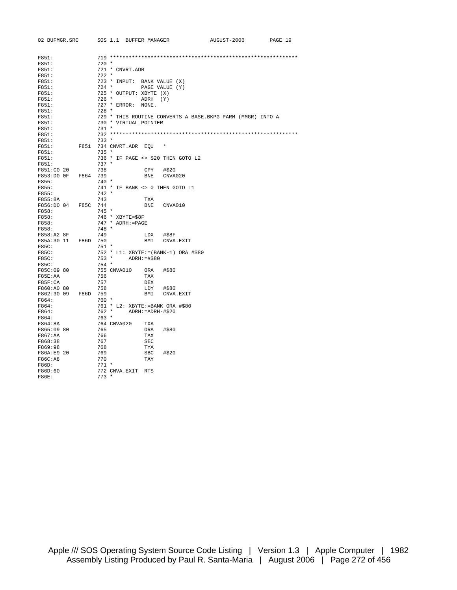| 02 BUFMGR.SRC                  | SOS 1.1 BUFFER MANAGER      |                                                             | AUGUST-2006 | PAGE 19 |
|--------------------------------|-----------------------------|-------------------------------------------------------------|-------------|---------|
| F851:                          |                             |                                                             |             |         |
| F851:                          | $720 *$                     |                                                             |             |         |
| F851:                          | 721 * CNVRT.ADR             |                                                             |             |         |
| F851:                          | $722 *$                     |                                                             |             |         |
| F851:                          | 723 * INPUT: BANK VALUE (X) |                                                             |             |         |
| F851:                          | $724$ *                     | PAGE VALUE (Y)                                              |             |         |
| F851:                          | 725 * OUTPUT: XBYTE (X)     |                                                             |             |         |
| F851:                          | 726 *                       | ADRH (Y)                                                    |             |         |
| F851:                          | 727 * ERROR: NONE.          |                                                             |             |         |
| F851:                          | $728 *$                     |                                                             |             |         |
| F851:                          |                             | 729 * THIS ROUTINE CONVERTS A BASE. BKPG PARM (MMGR) INTO A |             |         |
| F851:                          | 730 * VIRTUAL POINTER       |                                                             |             |         |
| F851:                          | $731 *$                     |                                                             |             |         |
| F851:                          |                             |                                                             |             |         |
| F851:                          | $733 *$                     |                                                             |             |         |
| F851:                          | F851<br>734 CNVRT.ADR EOU   | $\star$                                                     |             |         |
| F851:                          | $735 *$                     |                                                             |             |         |
| F851:<br>F851:                 | $737 *$                     | 736 * IF PAGE <> \$20 THEN GOTO L2                          |             |         |
|                                |                             |                                                             |             |         |
| F851:C0 20                     | 738<br>739                  | CPY<br>#\$20                                                |             |         |
| F853:D0 OF F864                |                             | CNVA020<br>BNE                                              |             |         |
| F855:<br>F855:                 | $740*$                      |                                                             |             |         |
| F855:                          | $742 *$                     | 741 * IF BANK <> 0 THEN GOTO L1                             |             |         |
|                                |                             |                                                             |             |         |
| F855:8A<br>F856:D0 04 F85C 744 | 743                         | TXA<br>BNE<br>CNVA010                                       |             |         |
| F858:                          | $745 *$                     |                                                             |             |         |
| F858:                          | 746 * XBYTE=\$8F            |                                                             |             |         |
| F858:                          | 747 * ADRH:=PAGE            |                                                             |             |         |
| F858:                          | $748 *$                     |                                                             |             |         |
| F858:A2 8F                     | 749                         | LDX<br>#\$8F                                                |             |         |
| F85A:30 11<br>F86D             | 750                         | BMI<br>CNVA.EXIT                                            |             |         |
| F85C:                          | 751 *                       |                                                             |             |         |
| F85C:                          |                             | 752 * L1: XBYTE:=(BANK-1) ORA #\$80                         |             |         |
| F85C:                          | $753 *$                     | $ADRH: = #$80$                                              |             |         |
| F85C:                          | $754 *$                     |                                                             |             |         |
| F85C:09 80                     | 755 CNVA010                 | ORA #\$80                                                   |             |         |
| F85E:AA                        | 756                         | TAX                                                         |             |         |
| F85F:CA                        | 757                         | DEX                                                         |             |         |
| F860:A0 80                     | 758                         | LDY<br>#\$80                                                |             |         |
| F862:30 09                     | F86D 759                    | BMI<br>CNVA.EXIT                                            |             |         |
| F864:                          | $760 *$                     |                                                             |             |         |
| F864:                          |                             | 761 * L2: XBYTE: = BANK ORA #\$80                           |             |         |
| F864:                          | 762 *                       | ADRH:=ADRH-#\$20                                            |             |         |
| F864:                          | $763 *$                     |                                                             |             |         |
| F864:8A                        | 764 CNVA020                 | TXA                                                         |             |         |
| F865:09 80                     | 765                         | ORA<br>#\$80                                                |             |         |
| F867:AA                        | 766                         | TAX                                                         |             |         |
| F868:38                        | 767                         | <b>SEC</b>                                                  |             |         |
| F869:98                        | 768                         | TYA                                                         |             |         |
| F86A:E9 20                     | 769                         | <b>SBC</b><br>#\$20                                         |             |         |
| F86C:A8                        | 770                         | TAY                                                         |             |         |
| F86D:                          | $771 *$                     |                                                             |             |         |
| F86D:60                        | 772 CNVA.EXIT RTS           |                                                             |             |         |
| <b>F86E:</b>                   | $773 *$                     |                                                             |             |         |
|                                |                             |                                                             |             |         |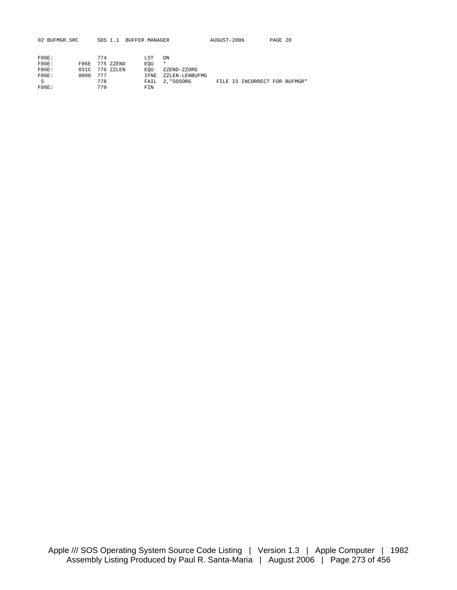| 02 BUFMGR.SRC |             | SOS 1.1 |           | BUFFER MANAGER |                | AUGUST-2006 |                               | PAGE 20 |  |
|---------------|-------------|---------|-----------|----------------|----------------|-------------|-------------------------------|---------|--|
|               |             |         |           |                |                |             |                               |         |  |
| F86E:         |             | 774     |           | <b>LST</b>     | ON             |             |                               |         |  |
| F86E:         | <b>F86E</b> |         | 775 ZZEND | EOU            | $\star$        |             |                               |         |  |
| F86E:         | 0.31C       |         | 776 ZZLEN | EOU            | ZZEND-ZZORG    |             |                               |         |  |
| F86E:         | 0000        | 777     |           | <b>TFNE</b>    | ZZLEN-LENBUFMG |             |                               |         |  |
| S             |             | 778     |           | FAIL           | 2, "SOSORG     |             | FILE IS INCORRECT FOR BUFMGR" |         |  |
| <b>F86E:</b>  |             | 779     |           | FTN            |                |             |                               |         |  |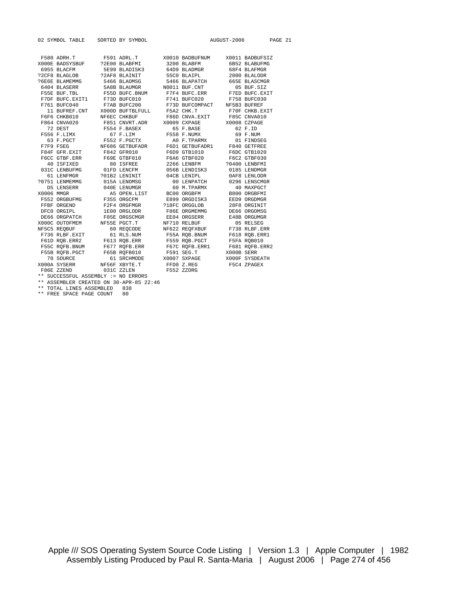| 02 SYMBOL TABLE SORTED BY SYMBOL                                                                                                                                                                                                                                                                                                                                                                                                                 |  |  | AUGUST-2006 | PAGE 21 |
|--------------------------------------------------------------------------------------------------------------------------------------------------------------------------------------------------------------------------------------------------------------------------------------------------------------------------------------------------------------------------------------------------------------------------------------------------|--|--|-------------|---------|
|                                                                                                                                                                                                                                                                                                                                                                                                                                                  |  |  |             |         |
| ${\tt F580~ADRH.T} \hspace{1.5cm} {\tt F591~ADRL.T} \hspace{1.5cm} {\tt X0010~BADBUFNUM} \hspace{1.5cm} {\tt X0011~BADBUFSIZ}$                                                                                                                                                                                                                                                                                                                   |  |  |             |         |
|                                                                                                                                                                                                                                                                                                                                                                                                                                                  |  |  |             |         |
|                                                                                                                                                                                                                                                                                                                                                                                                                                                  |  |  |             |         |
|                                                                                                                                                                                                                                                                                                                                                                                                                                                  |  |  |             |         |
|                                                                                                                                                                                                                                                                                                                                                                                                                                                  |  |  |             |         |
|                                                                                                                                                                                                                                                                                                                                                                                                                                                  |  |  |             |         |
|                                                                                                                                                                                                                                                                                                                                                                                                                                                  |  |  |             |         |
|                                                                                                                                                                                                                                                                                                                                                                                                                                                  |  |  |             |         |
|                                                                                                                                                                                                                                                                                                                                                                                                                                                  |  |  |             |         |
|                                                                                                                                                                                                                                                                                                                                                                                                                                                  |  |  |             |         |
|                                                                                                                                                                                                                                                                                                                                                                                                                                                  |  |  |             |         |
|                                                                                                                                                                                                                                                                                                                                                                                                                                                  |  |  |             |         |
|                                                                                                                                                                                                                                                                                                                                                                                                                                                  |  |  |             |         |
|                                                                                                                                                                                                                                                                                                                                                                                                                                                  |  |  |             |         |
|                                                                                                                                                                                                                                                                                                                                                                                                                                                  |  |  |             |         |
|                                                                                                                                                                                                                                                                                                                                                                                                                                                  |  |  |             |         |
|                                                                                                                                                                                                                                                                                                                                                                                                                                                  |  |  |             |         |
|                                                                                                                                                                                                                                                                                                                                                                                                                                                  |  |  |             |         |
|                                                                                                                                                                                                                                                                                                                                                                                                                                                  |  |  |             |         |
|                                                                                                                                                                                                                                                                                                                                                                                                                                                  |  |  |             |         |
|                                                                                                                                                                                                                                                                                                                                                                                                                                                  |  |  |             |         |
| VIEW MARKEN SUBALISMENT OF LENDARG CONSERVANCE DE LENSER DE LENSER DE LENSER AS OPEN LIST BOOT ORGERMENT CONSERVANCE DE LENSER AS OPEN LIST BOOT ORGERMENT PESSON CRIPPS CONSERVED DE CONSERVED DE CONSERVED DE CONSERVED DE C                                                                                                                                                                                                                   |  |  |             |         |
|                                                                                                                                                                                                                                                                                                                                                                                                                                                  |  |  |             |         |
|                                                                                                                                                                                                                                                                                                                                                                                                                                                  |  |  |             |         |
|                                                                                                                                                                                                                                                                                                                                                                                                                                                  |  |  |             |         |
|                                                                                                                                                                                                                                                                                                                                                                                                                                                  |  |  |             |         |
|                                                                                                                                                                                                                                                                                                                                                                                                                                                  |  |  |             |         |
| $\begin{tabular}{lcccc} \multicolumn{1}{c}{\textbf{DE6} & \textbf{ORGPATCH}} & \multicolumn{1}{c}{\textbf{F0SE} & \textbf{DRSCMGR}} & \multicolumn{1}{c}{\textbf{E04} & \textbf{ORGSERR}} & \multicolumn{1}{c}{\textbf{E48B} & \textbf{ORGUMGR}} \\ \multicolumn{1}{c}{\textbf{X000C} & \textbf{OUTOFMEM} & \textbf{NF5SE} & \textbf{PGCT.T} & \textbf{NF710} & \textbf{RELBUF} & \textbf{05} & \textbf{RELSEG} \\ \multicolumn{1}{c}{\textbf{N$ |  |  |             |         |
|                                                                                                                                                                                                                                                                                                                                                                                                                                                  |  |  |             |         |
|                                                                                                                                                                                                                                                                                                                                                                                                                                                  |  |  |             |         |
|                                                                                                                                                                                                                                                                                                                                                                                                                                                  |  |  |             |         |
|                                                                                                                                                                                                                                                                                                                                                                                                                                                  |  |  |             |         |
|                                                                                                                                                                                                                                                                                                                                                                                                                                                  |  |  |             |         |
|                                                                                                                                                                                                                                                                                                                                                                                                                                                  |  |  |             |         |
|                                                                                                                                                                                                                                                                                                                                                                                                                                                  |  |  |             |         |
|                                                                                                                                                                                                                                                                                                                                                                                                                                                  |  |  |             |         |
| FOUR DOBLERENT FOR ERR F559 ROBLEGT F5FA ROBOLD F561 ROBLERENT F613 ROBLEGT F5FA ROBOLD F55C ROFB.ERR2<br>F55C ROFB.ERR F677 ROFB.ERR F67C ROFB.ERR1 F681 ROFB.ERR2<br>F55B ROFB.PGCT F65B ROFB010 F591 SEG.T X000B SERR<br>70 SOURCE 6                                                                                                                                                                                                          |  |  |             |         |
| ** SUCCESSFUL ASSEMBLY := NO ERRORS                                                                                                                                                                                                                                                                                                                                                                                                              |  |  |             |         |
| $***$ accumption consider an 20 app of 23:46                                                                                                                                                                                                                                                                                                                                                                                                     |  |  |             |         |

ASSEMBLER CREATED ON 30-APR-85 22:46

\*\* TOTAL LINES ASSEMBLED 838 \*\* FREE SPACE PAGE COUNT 80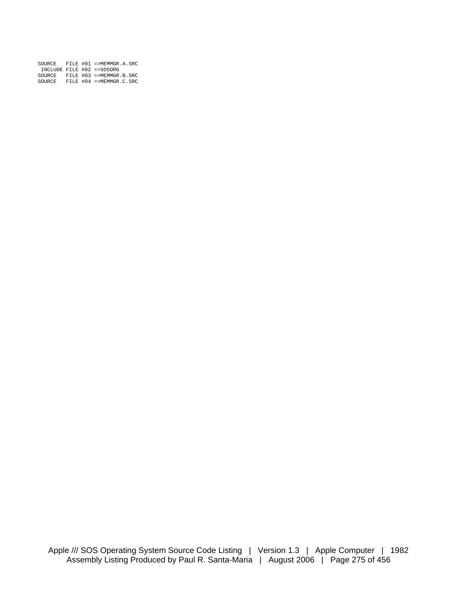| SOURCE |  | FILE $#01 = >MEMMGR.A.SRC$ |
|--------|--|----------------------------|
|        |  | INCLUDE FILE #02 =>SOSORG  |
| SOURCE |  | FILE #03 =>MEMMGR.B.SRC    |
| SOURCE |  | FILE $#04$ =>MEMMGR.C.SRC  |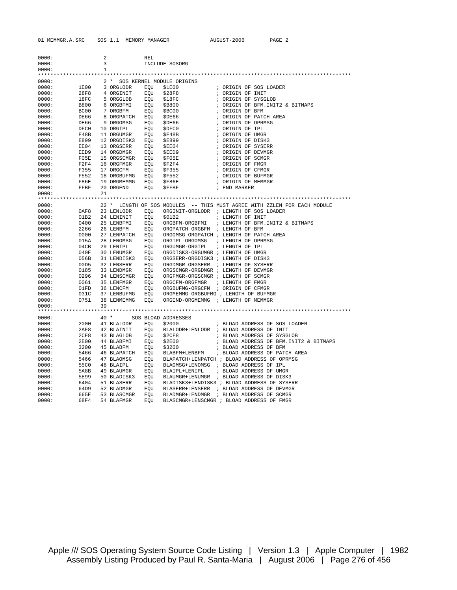| 0000:          |              | 2            |                          | REL        |                                      |                                                                          |
|----------------|--------------|--------------|--------------------------|------------|--------------------------------------|--------------------------------------------------------------------------|
| 0000:          |              | 3            |                          |            | INCLUDE SOSORG                       |                                                                          |
| 0000:          |              | $\mathbf{1}$ |                          |            |                                      |                                                                          |
|                |              |              |                          |            |                                      |                                                                          |
| 0000:          |              |              |                          |            | 2 * SOS KERNEL MODULE ORIGINS        |                                                                          |
| 0000:          | 1E00         |              | 3 ORGLODR                | EQU        | \$1E00                               | ; ORIGIN OF SOS LOADER                                                   |
| 0000:          | 28F8         |              | 4 ORGINIT                | EQU        | \$28F8                               | ; ORIGIN OF INIT                                                         |
| 0000:          | 18FC         |              | 5 ORGGLOB                | EQU        | \$18FC                               | ; ORIGIN OF SYSGLOB                                                      |
| 0000:          | B800         |              | 6 ORGBFMI                | EQU        | \$B800                               | ; ORIGIN OF BFM. INIT2 & BITMAPS                                         |
| 0000:          | BC00         |              | 7 ORGBFM                 | EQU        | \$BC00                               | ; ORIGIN OF BFM                                                          |
| 0000:          | DE66         |              | 8 ORGPATCH               | EQU        | \$DE66                               | ; ORIGIN OF PATCH AREA                                                   |
| 0000:          | DE66         |              | 9 ORGOMSG                | EQU        | \$DE66                               | ; ORIGIN OF OPRMSG                                                       |
| 0000:          | DFC0         |              | 10 ORGIPL                | EQU        | \$DFC0                               | ; ORIGIN OF IPL                                                          |
| 0000:<br>0000: | E48B<br>E899 |              | 11 ORGUMGR               | EQU        | \$E48B                               | ; ORIGIN OF UMGR<br>; ORIGIN OF DISK3                                    |
|                |              |              | 12 ORGDISK3              | EQU        | \$E899                               |                                                                          |
| 0000:<br>0000: | EE04<br>EED9 |              | 13 ORGSERR<br>14 ORGDMGR | EQU<br>EQU | \$EE04<br>\$EED9                     | ; ORIGIN OF SYSERR<br>; ORIGIN OF DEVMGR                                 |
| 0000:          | F05E         |              | 15 ORGSCMGR              | EOU        | SF05E                                | ; ORIGIN OF SCMGR                                                        |
| 0000:          | F2F4         |              | 16 ORGFMGR               | EQU        | \$F2F4                               | ; ORIGIN OF FMGR                                                         |
| 0000:          | F355         |              | 17 ORGCFM                | EQU        | \$F355                               | ; ORIGIN OF CFMGR                                                        |
| 0000:          | F552         |              | 18 ORGBUFMG EQU          |            | \$F552                               | ; ORIGIN OF BUFMGR                                                       |
| 0000:          | F86E         |              | 19 ORGMEMMG              | EQU        | \$F86E                               | ; ORIGIN OF MEMMGR                                                       |
| 0000:          | FFBF         |              | 20 ORGEND                | EQU        | <b>\$FFBF</b>                        | ; END MARKER                                                             |
| 0000:          |              | 21           |                          |            |                                      |                                                                          |
|                |              |              |                          |            |                                      |                                                                          |
| 0000:          |              |              |                          |            |                                      | 22 * LENGTH OF SOS MODULES -- THIS MUST AGREE WITH ZZLEN FOR EACH MODULE |
| 0000:          | 0AF8         |              | 23 LENLODR               | EOU        |                                      | ORGINIT-ORGLODR ; LENGTH OF SOS LOADER                                   |
| 0000:          | 01B2         |              | 24 LENINIT               | EQU        | \$01B2                               | ; LENGTH OF INIT                                                         |
| 0000:          | 0400         |              | 25 LENBFMI               | EQU        | ORGBFM-ORGBFMI                       | ; LENGTH OF BFM. INIT2 & BITMAPS                                         |
| 0000:          | 2266         |              | 26 LENBFM                | EQU        | ORGPATCH-ORGBFM ; LENGTH OF BFM      |                                                                          |
| 0000:          | 0000         |              | 27 LENPATCH              | EQU        |                                      | ORGOMSG-ORGPATCH ; LENGTH OF PATCH AREA                                  |
| 0000:          | 015A         |              | 28 LENOMSG               | EOU        | ORGIPL-ORGOMSG                       | ; LENGTH OF OPRMSG                                                       |
| 0000:          | 04CB         |              | 29 LENIPL                | EQU        | ORGUMGR-ORGIPL                       | ; LENGTH OF IPL                                                          |
| 0000:          | 040E         |              | 30 LENUMGR               | EQU        | ORGDISK3-ORGUMGR ; LENGTH OF UMGR    |                                                                          |
| 0000:          | 056B         |              | 31 LENDISK3              | EQU        | ORGSERR-ORGDISK3 ; LENGTH OF DISK3   |                                                                          |
| 0000:          | 00D5         |              | 32 LENSERR               | EQU        | ORGDMGR-ORGSERR ; LENGTH OF SYSERR   |                                                                          |
| 0000:          | 0185         |              | 33 LENDMGR               | EQU        | ORGSCMGR-ORGDMGR ; LENGTH OF DEVMGR  |                                                                          |
| 0000:          | 0296         |              | 34 LENSCMGR              | EQU        | ORGFMGR-ORGSCMGR ; LENGTH OF SCMGR   |                                                                          |
| 0000:          | 0061         |              | 35 LENFMGR               | EQU        | ORGCFM-ORGFMGR                       | ; LENGTH OF FMGR                                                         |
| 0000:          | 01FD         |              | 36 LENCFM                | EQU        | ORGBUFMG-ORGCFM ; ORIGIN OF CFMGR    |                                                                          |
| 0000:          | 031C         |              | 37 LENBUFMG              | EQU        | ORGMEMMG-ORGBUFMG ; LENGTH OF BUFMGR |                                                                          |
| 0000:          | 0751         |              | 38 LENMEMMG              | EOU        | ORGEND-ORGMEMMG ; LENGTH OF MEMMGR   |                                                                          |
| 0000:          |              | 39           |                          |            |                                      |                                                                          |
|                |              |              |                          |            |                                      |                                                                          |
| 0000:          |              |              | $40*$                    |            | SOS BLOAD ADDRESSES                  |                                                                          |
| 0000:          | 2000         |              | 41 BLALODR               | EOU        | \$2000                               | ; BLOAD ADDRESS OF SOS LOADER                                            |
| 0000:          | 2AF8         |              | 42 BLAINIT               | EOU        |                                      | BLALODR+LENLODR ; BLOAD ADDRESS OF INIT                                  |
| 0000:          | 2CF8         |              | 43 BLAGLOB               | EQU        | \$2CF8                               | ; BLOAD ADDRESS OF SYSGLOB                                               |
| 0000:          | 2E00         |              | 44 BLABFMI               | EQU        | \$2E00                               | ; BLOAD ADDRESS OF BFM. INIT2 & BITMAPS                                  |
| 0000:          | 3200         |              | 45 BLABFM                | EQU        | \$3200                               | ; BLOAD ADDRESS OF BFM                                                   |
| 0000:          | 5466         |              | 46 ВLAPATCH              | EQU        |                                      |                                                                          |
| 0000:          | 5466         |              | 47 BLAOMSG               | EQU        |                                      | BLAPATCH+LENPATCH ; BLOAD ADDRESS OF OPRMSG                              |
| 0000:          | 55C0         |              | 48 BLAIPL                | EQU        |                                      | BLAOMSG+LENOMSG ; BLOAD ADDRESS OF IPL                                   |
| 0000:          | 5A8B         |              | 49 BLAUMGR               | EQU        | BLAIPL+LENIPL                        | ; BLOAD ADDRESS OF UMGR                                                  |
| 0000:          | 5E99         |              | 50 BLADISK3              | EQU        |                                      | BLAUMGR+LENUMGR ; BLOAD ADDRESS OF DISK3                                 |
| 0000:          | 6404         |              | 51 BLASERR               | EQU        |                                      | BLADISK3+LENDISK3 ; BLOAD ADDRESS OF SYSERR                              |
| 0000:          | 64D9         |              | 52 BLADMGR               | EQU        |                                      | BLASERR+LENSERR ; BLOAD ADDRESS OF DEVMGR                                |
| 0000:          | 665E         |              | 53 BLASCMGR              | EOU        |                                      | BLADMGR+LENDMGR ; BLOAD ADDRESS OF SCMGR                                 |
| 0000:          | 68F4         |              | 54 BLAFMGR               | EOU        |                                      | BLASCMGR+LENSCMGR ; BLOAD ADDRESS OF FMGR                                |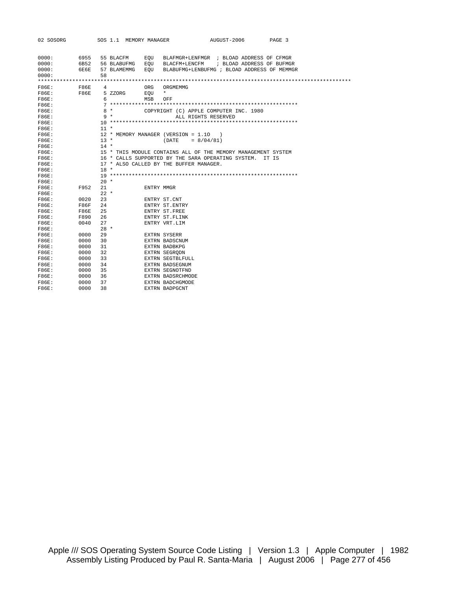| 02 SOSORG               |                      |        |                                         | SOS 1.1 MEMORY MANAGER |                   | AUGUST-2006<br>PAGE 3                                                                                                                 |
|-------------------------|----------------------|--------|-----------------------------------------|------------------------|-------------------|---------------------------------------------------------------------------------------------------------------------------------------|
| 0000:<br>0000:<br>0000: | 6955<br>6B52<br>6E6E |        | 55 BLACFM<br>56 BLABUFMG<br>57 BLAMEMMG |                        | EOU<br>EOU<br>EOU | BLAFMGR+LENFMGR ; BLOAD ADDRESS OF CFMGR<br>BLACFM+LENCFM<br>; BLOAD ADDRESS OF BUFMGR<br>BLABUFMG+LENBUFMG ; BLOAD ADDRESS OF MEMMGR |
| 0000:                   |                      | 58     |                                         |                        |                   |                                                                                                                                       |
|                         |                      |        |                                         |                        |                   |                                                                                                                                       |
| F86E:                   | F86E                 | 4      |                                         |                        | ORG               | ORGMEMMG<br>$\star$                                                                                                                   |
| F86E:                   | F86E                 | 6      | 5 ZZORG                                 |                        | EOU               |                                                                                                                                       |
| F86E:<br>F86E:          |                      |        |                                         |                        | MSB               | OFF                                                                                                                                   |
|                         |                      |        | 8 *                                     |                        |                   |                                                                                                                                       |
| $F86E$ :<br>F86E:       |                      |        | 9 *                                     |                        |                   | COPYRIGHT (C) APPLE COMPUTER INC. 1980                                                                                                |
| F86E:                   |                      |        |                                         |                        |                   | ALL RIGHTS RESERVED                                                                                                                   |
| F86E:                   |                      | $11 *$ |                                         |                        |                   |                                                                                                                                       |
| F86E:                   |                      |        |                                         |                        |                   | 12 * MEMORY MANAGER (VERSION = 1.10                                                                                                   |
| F86E:                   |                      | $13 *$ |                                         |                        |                   | $= 8/04/81$<br>(DATE)                                                                                                                 |
| F86E:                   |                      | $14 *$ |                                         |                        |                   |                                                                                                                                       |
| F86E:                   |                      |        |                                         |                        |                   | 15 * THIS MODULE CONTAINS ALL OF THE MEMORY MANAGEMENT SYSTEM                                                                         |
| F86E:                   |                      |        |                                         |                        |                   | 16 * CALLS SUPPORTED BY THE SARA OPERATING SYSTEM.<br>TT IS                                                                           |
| <b>F86E:</b>            |                      |        |                                         |                        |                   | 17 * ALSO CALLED BY THE BUFFER MANAGER.                                                                                               |
| F86E:                   |                      | $18 *$ |                                         |                        |                   |                                                                                                                                       |
| F86E:                   |                      |        |                                         |                        |                   |                                                                                                                                       |
| F86E:                   |                      | $20 *$ |                                         |                        |                   |                                                                                                                                       |
| F86E:                   | F952                 | 21     |                                         |                        | ENTRY MMGR        |                                                                                                                                       |
| F86E:                   |                      | $22 *$ |                                         |                        |                   |                                                                                                                                       |
| F86E:                   | 0020                 | 23     |                                         |                        |                   | ENTRY ST.CNT                                                                                                                          |
| F86E:                   | F86F                 | 24     |                                         |                        |                   | ENTRY ST. ENTRY                                                                                                                       |
| F86E:                   | F86E                 | 25     |                                         |                        |                   | ENTRY ST. FREE                                                                                                                        |
| F86E:                   | F890                 | 26     |                                         |                        |                   | ENTRY ST. FLINK                                                                                                                       |
| F86E:                   | 0040                 | 27     |                                         |                        |                   | ENTRY VRT.LIM                                                                                                                         |
| <b>F86E:</b>            |                      | $28 *$ |                                         |                        |                   |                                                                                                                                       |
| F86E:                   | 0000                 | 29     |                                         |                        |                   | EXTRN SYSERR                                                                                                                          |
| F86E:                   | 0000                 | 30     |                                         |                        |                   | EXTRN BADSCNUM                                                                                                                        |
| F86E:                   | 0000                 | 31     |                                         |                        |                   | EXTRN BADBKPG                                                                                                                         |
| <b>F86E:</b>            | 0000                 | 32     |                                         |                        |                   | EXTRN SEGRODN                                                                                                                         |
| F86E:                   | 0000                 | 33     |                                         |                        |                   | EXTRN SEGTBLFULL                                                                                                                      |
| F86E:                   | 0000                 | 34     |                                         |                        |                   | EXTRN BADSEGNUM                                                                                                                       |
| F86E:                   | 0000                 | 35     |                                         |                        |                   | EXTRN SEGNOTFND                                                                                                                       |
| F86E:                   | 0000                 | 36     |                                         |                        |                   | EXTRN BADSRCHMODE                                                                                                                     |
| <b>F86E:</b>            | 0000                 | 37     |                                         |                        |                   | EXTRN BADCHGMODE                                                                                                                      |
| F86E:                   | 0000                 | 38     |                                         |                        |                   | EXTRN BADPGCNT                                                                                                                        |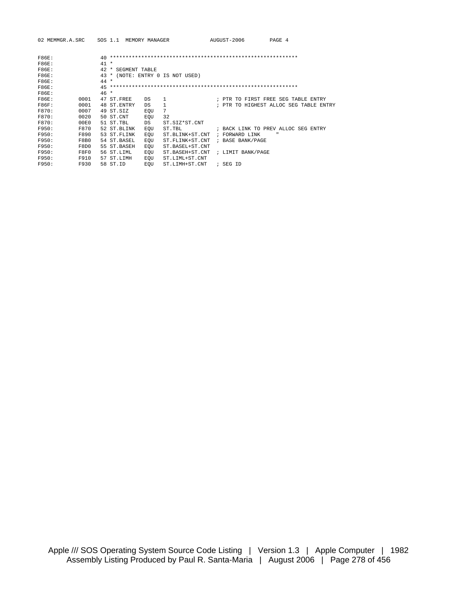| 02 MEMMGR.A.SRC |      |        | SOS 1.1      | MEMORY MANAGER |     |                             |            | AUGUST-2006       | PAGE 4                                 |
|-----------------|------|--------|--------------|----------------|-----|-----------------------------|------------|-------------------|----------------------------------------|
|                 |      |        |              |                |     |                             |            |                   |                                        |
| <b>F86E:</b>    |      | 40     |              |                |     |                             |            |                   |                                        |
| F86E:           |      | $41 *$ |              |                |     |                             |            |                   |                                        |
| F86E:           |      | 42     | *            | SEGMENT TABLE  |     |                             |            |                   |                                        |
| <b>F86E:</b>    |      | 43     | $\star$      |                |     | (NOTE: ENTRY 0 IS NOT USED) |            |                   |                                        |
| F86E:           |      | $44 *$ |              |                |     |                             |            |                   |                                        |
| <b>F86E:</b>    |      | 45     |              |                |     |                             |            |                   |                                        |
| F86E:           |      | $46*$  |              |                |     |                             |            |                   |                                        |
| F86E:           | 0001 |        | 47 ST.FREE   |                | DS  | 1                           |            |                   | ; PTR TO FIRST FREE SEG TABLE ENTRY    |
| F86F:           | 0001 |        | 48 ST. ENTRY |                | DS  | 1                           |            |                   | ; PTR TO HIGHEST ALLOC SEG TABLE ENTRY |
| F870:           | 0007 |        | 49 ST.SIZ    |                | EOU | 7                           |            |                   |                                        |
| F870:           | 0020 |        | 50 ST.CNT    |                | EOU | 32                          |            |                   |                                        |
| F870:           | 00E0 |        | 51 ST.TBL    |                | DS. | ST.SIZ*ST.CNT               |            |                   |                                        |
| F950:           | F870 |        | 52 ST.BLINK  |                | EOU | ST.TBL                      |            |                   | ; BACK LINK TO PREV ALLOC SEG ENTRY    |
| F950:           | F890 |        | 53 ST. FLINK |                | EOU | ST.BLINK+ST.CNT             | $\ddot{i}$ | FORWARD LINK      | $\mathbf{u}$                           |
| F950:           | F8B0 |        | 54 ST.BASEL  |                | EQU | ST. FLINK+ST. CNT           |            | ; BASE BANK/PAGE  |                                        |
| F950:           | F8D0 |        | 55 ST.BASEH  |                | EOU | ST.BASEL+ST.CNT             |            |                   |                                        |
| F950:           | F8F0 |        | 56 ST.LIML   |                | EOU | ST.BASEH+ST.CNT             |            | ; LIMIT BANK/PAGE |                                        |
| F950:           | F910 |        | 57 ST.LIMH   |                | EOU | ST.LIML+ST.CNT              |            |                   |                                        |
| F950:           | F930 |        | 58 ST.ID     |                | EOU | ST.LIMH+ST.CNT              |            | ; SEG ID          |                                        |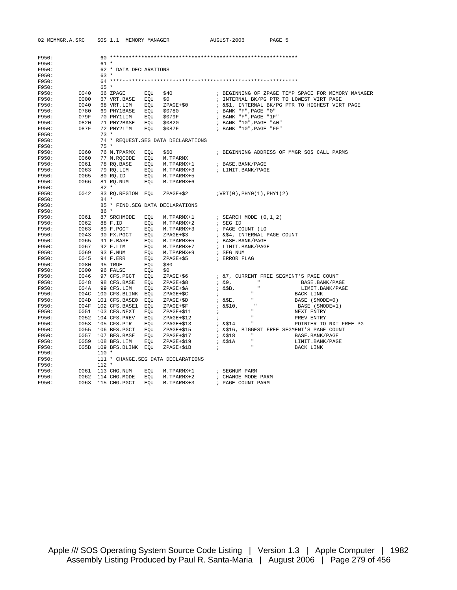| F950: |      |                                                                                                     |            |                                                                    |                                                                                                                                                                                                                                |
|-------|------|-----------------------------------------------------------------------------------------------------|------------|--------------------------------------------------------------------|--------------------------------------------------------------------------------------------------------------------------------------------------------------------------------------------------------------------------------|
| F950: |      | 61 *                                                                                                |            |                                                                    |                                                                                                                                                                                                                                |
| F950: |      | 62 * DATA DECLARATIONS                                                                              |            |                                                                    |                                                                                                                                                                                                                                |
| F950: |      | 63 *                                                                                                |            |                                                                    |                                                                                                                                                                                                                                |
| F950: |      |                                                                                                     |            |                                                                    |                                                                                                                                                                                                                                |
| F950: |      | 65 *                                                                                                |            |                                                                    |                                                                                                                                                                                                                                |
| F950: |      | 0040 66 ZPAGE BQU                                                                                   |            | 0040 66 ZPAGE EQU \$40<br>0000 67 VRT.BASE EQU \$0<br>0000 66 ---- | ; BEGINNING OF ZPAGE TEMP SPACE FOR MEMORY MANAGER                                                                                                                                                                             |
| F950: |      |                                                                                                     |            |                                                                    | ; INTERNAL BK/PG PTR TO LOWEST VIRT PAGE                                                                                                                                                                                       |
| F950: |      | 0040 68 VRT.LIM EQU ZPAGE+\$0<br>0780 69 PHY1BASE EQU \$0780                                        |            |                                                                    | ; &\$1, INTERNAL BK/PG PTR TO HIGHEST VIRT PAGE                                                                                                                                                                                |
| F950: |      |                                                                                                     |            |                                                                    | ; BANK "F", PAGE "0"                                                                                                                                                                                                           |
| F950: | 079F | 70 PHY1LIM EQU \$079F                                                                               |            |                                                                    | ; BANK "F", PAGE "1F"                                                                                                                                                                                                          |
| F950: | 0820 | 71 PHY2BASE EQU \$0820                                                                              |            |                                                                    | ; BANK "10", PAGE "A0"                                                                                                                                                                                                         |
| F950: | 087F | 72 PHY2LIM EQU                                                                                      |            |                                                                    |                                                                                                                                                                                                                                |
| F950: |      | $73*$                                                                                               |            |                                                                    |                                                                                                                                                                                                                                |
| F950: |      |                                                                                                     |            | 74 * REQUEST. SEG DATA DECLARATIONS                                |                                                                                                                                                                                                                                |
| F950: |      | $75*$                                                                                               |            |                                                                    |                                                                                                                                                                                                                                |
| F950: | 0060 | 76 M.TPARMX EOU                                                                                     |            | \$60                                                               | ; BEGINNING ADDRESS OF MMGR SOS CALL PARMS                                                                                                                                                                                     |
| F950: | 0060 | 77 M.RQCODE EQU M.TPARMX                                                                            |            |                                                                    |                                                                                                                                                                                                                                |
| F950: | 0061 |                                                                                                     |            |                                                                    | ; BASE.BANK/PAGE                                                                                                                                                                                                               |
| F950: | 0063 |                                                                                                     |            | 78 RQ.BASE     EQU    M.TPARMX+1<br>79 RQ.LIM     EQU   M.TPARMX+3 | ; LIMIT.BANK/PAGE                                                                                                                                                                                                              |
| F950: | 0065 | 80 RQ.ID EQU M.TPARMX+5<br>81 RQ.NUM EQU M.TPARMX+6                                                 |            |                                                                    |                                                                                                                                                                                                                                |
| F950: | 0066 |                                                                                                     |            |                                                                    |                                                                                                                                                                                                                                |
| F950: |      | $82 *$                                                                                              |            |                                                                    |                                                                                                                                                                                                                                |
| F950: | 0042 |                                                                                                     |            |                                                                    |                                                                                                                                                                                                                                |
| F950: |      | $84 *$                                                                                              |            |                                                                    |                                                                                                                                                                                                                                |
| F950: |      |                                                                                                     |            | 85 * FIND. SEG DATA DECLARATIONS                                   |                                                                                                                                                                                                                                |
| F950: |      | 86 *                                                                                                |            |                                                                    |                                                                                                                                                                                                                                |
| F950: |      | 0061 87 SRCHMODE EQU                                                                                |            |                                                                    | M.TPARMX+1 ; SEARCH MODE (0,1,2)                                                                                                                                                                                               |
| F950: |      |                                                                                                     |            | 0062 88 F.ID EQU M.TPARMX+2<br>0063 89 F.PGCT EQU M.TPARMX+3       | ; SEG ID                                                                                                                                                                                                                       |
| F950: |      |                                                                                                     |            |                                                                    | ; PAGE COUNT (LO                                                                                                                                                                                                               |
| F950: | 0043 | 90 FX.PGCT EQU ZPAGE+\$3                                                                            |            |                                                                    | ; &\$4, INTERNAL PAGE COUNT                                                                                                                                                                                                    |
| F950: |      |                                                                                                     |            |                                                                    | 0065 91 F.BASE EQU M.TPARMX+5 ; BASE.BANK/PAGE<br>0067 92 F.LIM EQU M.TPARMX+7 ; LIMIT.BANK/PAGE                                                                                                                               |
| F950: |      |                                                                                                     |            |                                                                    |                                                                                                                                                                                                                                |
| F950: |      | 0069 93 F.NUM                                                                                       |            | M.TPARMX+9                                                         | ; SEG NUM                                                                                                                                                                                                                      |
| F950: |      | 0045 94 F.ERR                                                                                       | EQU<br>EQU | ZPAGE+\$5                                                          | ; ERROR FLAG                                                                                                                                                                                                                   |
| F950: |      |                                                                                                     |            | \$80                                                               |                                                                                                                                                                                                                                |
| F950: |      | 0080 95 TRUE<br>0000 96 FALSE                                                                       | EQU<br>EQU | \$0                                                                |                                                                                                                                                                                                                                |
| F950: |      | 0046 97 CFS.PGCT EQU                                                                                |            | ZPAGE+\$6                                                          | ; &7, CURRENT FREE SEGMENT'S PAGE COUNT                                                                                                                                                                                        |
| F950: |      | 0048 98 CFS.BASE EQU<br>004A 99 CFS.LIM EQU                                                         |            | ZPAGE+\$8                                                          |                                                                                                                                                                                                                                |
| F950: |      |                                                                                                     |            | ZPAGE+\$A                                                          | LIMIT.BANK/PAGE                                                                                                                                                                                                                |
| F950: |      | 004C 100 CFS.BLINK EQU<br>004D 101 CFS.BASE0 EQU<br>004F 102 CFS.BASE1 EQU<br>0051 103 CFS.NEXT EQU |            | ZPAGE+\$C                                                          | 3. 29, 2000, 2000, 2000, 2000, 2000, 2000, 2000, 2000, 2000, 2000, 2000, 2000, 2000, 2000, 2000, 2000, 2000, 2000, 2000, 2000, 2000, 2000, 2000, 2000, 2000, 2000, 2000, 2000, 2000, 2000, 2000, 2000, 2000, 2000, 2000, 2000, |
| F950: |      |                                                                                                     |            | ZPAGE+\$D                                                          |                                                                                                                                                                                                                                |
| F950: |      |                                                                                                     |            | $ZPAGE + SP$                                                       |                                                                                                                                                                                                                                |
| F950: |      |                                                                                                     |            | ZPAGE+\$11                                                         |                                                                                                                                                                                                                                |
| F950: |      | 0052 104 CFS.PREV EQU                                                                               |            | ZPAGE+\$12                                                         | <b>Contract Contract</b><br>PREV ENTRY<br>$\mathbf{r}$                                                                                                                                                                         |
| F950: |      |                                                                                                     |            |                                                                    | ZPAGE+\$13<br>ZPAGE+\$13<br>ZPAGE+\$15 ; &\$16, BIGGEST FREE SEGMENT'S PAGE COUNT<br>POINTER TO NXT FREE PG                                                                                                                    |
| F950: |      |                                                                                                     |            |                                                                    |                                                                                                                                                                                                                                |
| F950: |      | 0057 107 BFS.BASE EQU ZPAGE+\$17                                                                    |            |                                                                    | " 4.\$18"<br>BASE.BANK/PAGE                                                                                                                                                                                                    |
| F950: |      |                                                                                                     |            |                                                                    | LIMIT.BANK/PAGE                                                                                                                                                                                                                |
| F950: |      | $005B 109 BFS.BLINK EQU$                                                                            |            |                                                                    | BACK LINK                                                                                                                                                                                                                      |
| F950: |      | $110 *$                                                                                             |            |                                                                    |                                                                                                                                                                                                                                |
| F950: |      |                                                                                                     |            | 111 * CHANGE.SEG DATA DECLARATIONS                                 |                                                                                                                                                                                                                                |
| F950: |      | $112 *$                                                                                             |            |                                                                    |                                                                                                                                                                                                                                |
| F950: |      |                                                                                                     |            | 0061 113 CHG.NUM EQU M.TPARMX+1                                    | ; SEGNUM PARM                                                                                                                                                                                                                  |
| F950: |      |                                                                                                     |            | 0062 114 CHG.MODE EQU M.TPARMX+2                                   | ; CHANGE MODE PARM                                                                                                                                                                                                             |
| F950: |      | 0063 115 CHG.PGCT EOU                                                                               |            | M.TPARMX+3                                                         | ; PAGE COUNT PARM                                                                                                                                                                                                              |

02 MEMMGR.A.SRC SOS 1.1 MEMORY MANAGER AUGUST-2006 PAGE 5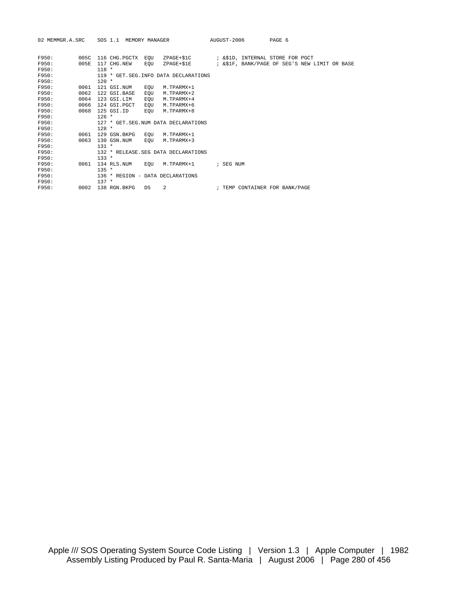| 02 MEMMGR.A.SRC |      |         | SOS 1.1 MEMORY MANAGER |     |                                        |  | AUGUST-2006 |                                                | PAGE 6 |  |  |  |
|-----------------|------|---------|------------------------|-----|----------------------------------------|--|-------------|------------------------------------------------|--------|--|--|--|
| F950:           | 005C |         | 116 CHG.PGCTX EOU      |     | ZPAGE+\$1C                             |  |             | ; &\$1D, INTERNAL STORE FOR PGCT               |        |  |  |  |
| F950:           | 005E |         | 117 CHG.NEW            | EOU | ZPAGE+\$1E                             |  |             | ; & \$1F, BANK/PAGE OF SEG'S NEW LIMIT OR BASE |        |  |  |  |
| F950:           |      | $118 *$ |                        |     |                                        |  |             |                                                |        |  |  |  |
| F950:<br>F950:  |      | $120 *$ |                        |     | 119 * GET. SEG. INFO DATA DECLARATIONS |  |             |                                                |        |  |  |  |
| F950:           | 0061 |         | 121 GSI.NUM            | EOU | M.TPARMX+1                             |  |             |                                                |        |  |  |  |
| F950:           | 0062 |         | 122 GSI.BASE           | EQU | M.TPARMX+2                             |  |             |                                                |        |  |  |  |
| F950:           | 0064 |         | 123 GSI.LIM            | EQU | M.TPARMX+4                             |  |             |                                                |        |  |  |  |
| F950:           | 0066 |         | 124 GSI.PGCT           | EOU | M.TPARMX+6                             |  |             |                                                |        |  |  |  |
| F950:           | 0068 |         | 125 GSI.ID             | EOU | M.TPARMX+8                             |  |             |                                                |        |  |  |  |
| F950:           |      | $126 *$ |                        |     |                                        |  |             |                                                |        |  |  |  |
| F950:           |      |         |                        |     | 127 * GET. SEG. NUM DATA DECLARATIONS  |  |             |                                                |        |  |  |  |
| F950:           |      | $128 *$ |                        |     |                                        |  |             |                                                |        |  |  |  |
| F950:           | 0061 |         | 129 GSN.BKPG           | EOU | M.TPARMX+1                             |  |             |                                                |        |  |  |  |
| F950:           | 0063 |         | 130 GSN.NUM            | EOU | M.TPARMX+3                             |  |             |                                                |        |  |  |  |
| F950:           |      | $131 *$ |                        |     |                                        |  |             |                                                |        |  |  |  |
| F950:           |      |         |                        |     | 132 * RELEASE. SEG DATA DECLARATIONS   |  |             |                                                |        |  |  |  |
| F950:           |      | $133 *$ |                        |     |                                        |  |             |                                                |        |  |  |  |
| F950:           | 0061 |         | 134 RLS.NUM            | EOU | M.TPARMX+1                             |  | ; SEG NUM   |                                                |        |  |  |  |
| F950:           |      | $135 *$ |                        |     |                                        |  |             |                                                |        |  |  |  |
| F950:           |      |         |                        |     | 136 * REGION - DATA DECLARATIONS       |  |             |                                                |        |  |  |  |
| F950:           |      | $137 *$ |                        |     |                                        |  |             |                                                |        |  |  |  |
| F950:           | 0002 |         | 138 RGN.BKPG           | DS  | 2                                      |  |             | ; TEMP CONTAINER FOR BANK/PAGE                 |        |  |  |  |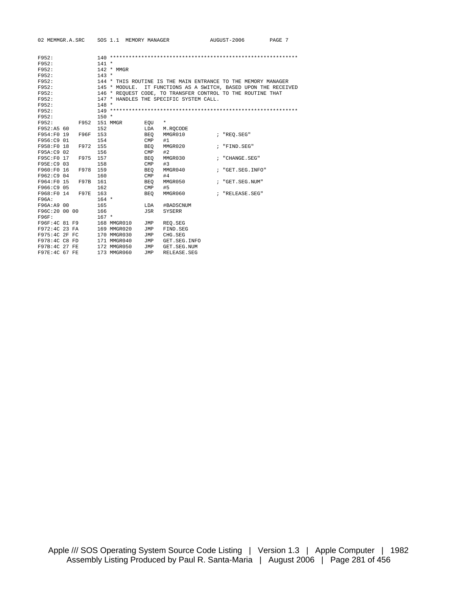|               | 02 MEMMGR.A.SRC |         |                                                                 | SOS 1.1 MEMORY MANAGER |              |                |  | AUGUST-2006                                                 | PAGE 7 |  |  |
|---------------|-----------------|---------|-----------------------------------------------------------------|------------------------|--------------|----------------|--|-------------------------------------------------------------|--------|--|--|
| F952:         |                 |         |                                                                 |                        |              |                |  |                                                             |        |  |  |
| F952:         |                 | $141 *$ |                                                                 |                        |              |                |  |                                                             |        |  |  |
| F952:         |                 |         | $142 * MMGR$                                                    |                        |              |                |  |                                                             |        |  |  |
| F952:         |                 | $143 *$ |                                                                 |                        |              |                |  |                                                             |        |  |  |
| F952:         |                 |         | 144 * THIS ROUTINE IS THE MAIN ENTRANCE TO THE MEMORY MANAGER   |                        |              |                |  |                                                             |        |  |  |
| F952:         |                 |         | 145 * MODULE. IT FUNCTIONS AS A SWITCH, BASED UPON THE RECEIVED |                        |              |                |  |                                                             |        |  |  |
| F952:         |                 |         |                                                                 |                        |              |                |  | 146 * REQUEST CODE, TO TRANSFER CONTROL TO THE ROUTINE THAT |        |  |  |
| F952:         |                 |         | 147 * HANDLES THE SPECIFIC SYSTEM CALL.                         |                        |              |                |  |                                                             |        |  |  |
| F952:         |                 | $148 *$ |                                                                 |                        |              |                |  |                                                             |        |  |  |
| F952:         |                 |         |                                                                 |                        |              |                |  |                                                             |        |  |  |
| F952:         |                 | $150 *$ |                                                                 |                        |              |                |  |                                                             |        |  |  |
| F952:         | F952 151 MMGR   |         |                                                                 |                        | EOU          | $\star$        |  |                                                             |        |  |  |
| F952:A5 60    |                 | 152     |                                                                 |                        | LDA          | M.ROCODE       |  |                                                             |        |  |  |
| F954:F0 19    | F96F            | 153     |                                                                 |                        | BEO          | MMGR010        |  | ; "REO.SEG"                                                 |        |  |  |
| F956:C9 01    |                 | 154     |                                                                 |                        | $\text{CMP}$ | #1             |  |                                                             |        |  |  |
| F958:F0 18    | F972            | 155     |                                                                 |                        | <b>BEO</b>   | MMGR020        |  | ; "FIND.SEG"                                                |        |  |  |
| F95A:C9 02    |                 | 156     |                                                                 |                        | $\text{CMP}$ | #2             |  |                                                             |        |  |  |
| F95C:F0 17    | F975            | 157     |                                                                 |                        | <b>BEO</b>   | MMGR030        |  | ; "CHANGE.SEG"                                              |        |  |  |
| F95E:C9 03    |                 | 158     |                                                                 |                        | $\text{CMP}$ | #3             |  |                                                             |        |  |  |
| F960:F0 16    | F978            | 159     |                                                                 |                        | <b>BEO</b>   | MMGR040        |  | ; "GET SEG INFO"                                            |        |  |  |
| F962:C9 04    |                 | 160     |                                                                 |                        | $\text{CMP}$ | #4             |  |                                                             |        |  |  |
| F964:F0 15    | F97B            | 161     |                                                                 |                        | <b>BEO</b>   | MMGR050        |  | ; "GET.SEG.NUM"                                             |        |  |  |
| F966:C9 05    |                 | 162     |                                                                 |                        | $\text{CMP}$ | #5             |  |                                                             |        |  |  |
| F968:F0 14    | F97E            | 163     |                                                                 |                        | <b>BEO</b>   | MMGR060        |  | ; "RELEASE.SEG"                                             |        |  |  |
| F96A:         |                 | $164 *$ |                                                                 |                        |              |                |  |                                                             |        |  |  |
| F96A:A9 00    |                 | 165     |                                                                 |                        | LDA          | #BADSCNUM      |  |                                                             |        |  |  |
| F96C:20 00 00 |                 | 166     |                                                                 |                        | JSR          | <b>SYSERR</b>  |  |                                                             |        |  |  |
| F96F:         |                 | $167 *$ |                                                                 |                        |              |                |  |                                                             |        |  |  |
| F96F:4C 81 F9 |                 |         | 168 MMGR010                                                     |                        | JMP          | REO.SEG        |  |                                                             |        |  |  |
| F972:4C 23 FA |                 |         | 169 MMGR020                                                     |                        | JMP          | FIND.SEG       |  |                                                             |        |  |  |
| F975:4C 2F FC |                 |         | 170 MMGR030                                                     |                        | JMP          | CHG. SEG       |  |                                                             |        |  |  |
| F978:4C C8 FD |                 |         | 171 MMGR040                                                     |                        | JMP          | GET. SEG. INFO |  |                                                             |        |  |  |
| F97B:4C 27 FE |                 |         | 172 MMGR050                                                     |                        | JMP          | GET. SEG. NUM  |  |                                                             |        |  |  |
| F97E:4C 67 FE |                 |         | 173 MMGR060                                                     |                        | JMP          | RELEASE.SEG    |  |                                                             |        |  |  |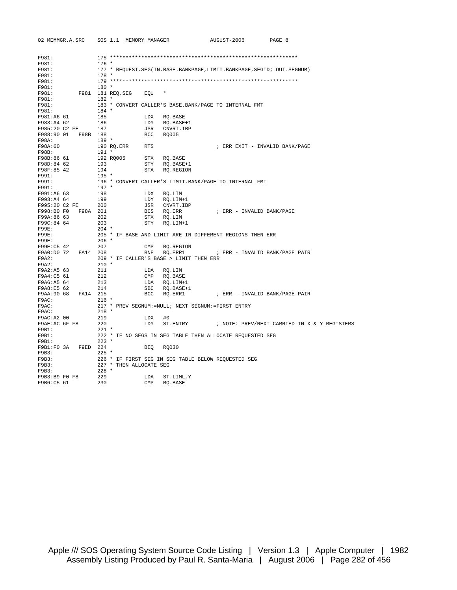|                                     | 02 MEMMGR.A.SRC SOS 1.1 MEMORY MANAGER  | AUGUST-2006<br>PAGE 8                                                                  |
|-------------------------------------|-----------------------------------------|----------------------------------------------------------------------------------------|
|                                     |                                         |                                                                                        |
| F981:                               |                                         |                                                                                        |
| F981:                               | $176$ *                                 |                                                                                        |
| F981:                               |                                         | 177 * REQUEST. SEG(IN. BASE. BANKPAGE, LIMIT. BANKPAGE, SEGID; OUT. SEGNUM)            |
| F981:                               | $178 *$                                 |                                                                                        |
| F981:                               | $180 *$                                 |                                                                                        |
| F981:                               | F981: F981 181 REQ.SEG EQU *            |                                                                                        |
| F981:                               | $182 *$                                 |                                                                                        |
| F981:                               |                                         | 183 * CONVERT CALLER'S BASE. BANK/PAGE TO INTERNAL FMT                                 |
| F981:                               | $184$ *                                 |                                                                                        |
| F981:A6 61                          | 185                                     | LDX RQ.BASE                                                                            |
| F983:A4 62                          | 186                                     |                                                                                        |
| F985:20 C2 FE 187                   |                                         | LDY RQ.BASE+1<br>JSR CNVRT.IBP<br>BCC RQ005                                            |
| F988:90 01 F98B 188                 |                                         |                                                                                        |
| F98A:                               |                                         |                                                                                        |
| F98A:60                             |                                         | ; ERR EXIT - INVALID BANK/PAGE                                                         |
| F98B:                               |                                         |                                                                                        |
|                                     |                                         | RO.BASE                                                                                |
| F98B:86 61<br>F98D:84 62            | 192 RQ005 STX<br>193 STY                | STY RQ.BASE+1                                                                          |
|                                     |                                         |                                                                                        |
| F98F:85 42<br>F991:<br>F991:        |                                         |                                                                                        |
| F991:                               |                                         |                                                                                        |
| F991:                               |                                         |                                                                                        |
| F991:A6 63                          |                                         |                                                                                        |
|                                     |                                         |                                                                                        |
| F993:A4 64 199<br>F995:20 C2 FE 200 |                                         |                                                                                        |
| F998:B0 F0 F98A 201                 |                                         | LDY RQ.LIM+1<br>JSR CNVRT.IBP<br>BCS RQ.ERR<br>STX RQ.LIM<br>; ERR - INVALID BANK/PAGE |
| F99A:86 63                          | 202                                     |                                                                                        |
| F99C:84 64                          | 203                                     | STY RO.LIM+1                                                                           |
| F99E:                               | 204 *                                   |                                                                                        |
| F99E:                               |                                         | 205 * IF BASE AND LIMIT ARE IN DIFFERENT REGIONS THEN ERR                              |
| F99E:                               | 206 *                                   |                                                                                        |
| F99E:C5 42                          | 207<br>$\mathsf{CMP}$                   | RQ.REGION                                                                              |
| F9A0:D0 72 FA14 208                 | BNE                                     |                                                                                        |
| F9A2:                               | 209 * IF CALLER'S BASE > LIMIT THEN ERR |                                                                                        |
| F9A2:                               | $210$ *                                 |                                                                                        |
| F9A2:A5 63                          | 211                                     | LDA RQ.LIM                                                                             |
| F9A4:C5 61                          | 212                                     | CMP RQ.BASE                                                                            |
|                                     |                                         |                                                                                        |
| F9A6:A5 64 213<br>F9A8:E5 62 214    |                                         | LDA RQ.LIM+1<br>SBC RQ.BASE+1<br>RQ.BASE+1                                             |
| F9AA: 90 68 FA14 215                | BCC                                     |                                                                                        |
| F9AC:                               | $216$ *                                 |                                                                                        |
| F9AC:                               |                                         | 217 * PREV SEGNUM:=NULL; NEXT SEGNUM:=FIRST ENTRY                                      |
| F9AC:                               | 218 *                                   |                                                                                        |
| F9AC: A2 00                         | 219<br>LDX                              | #0                                                                                     |
| F9AE:AC 6F F8                       | 220                                     | LDY ST.ENTRY : NOTE: PREV/NEXT CARRIED IN X & Y REGISTERS                              |
| $F9B1$ :                            | $221$ *                                 |                                                                                        |
| F9B1:                               |                                         | 222 * IF NO SEGS IN SEG TABLE THEN ALLOCATE REQUESTED SEG                              |
| F9B1:                               | $223$ *                                 |                                                                                        |
|                                     |                                         | BEQ RQ030                                                                              |
| F9B3:                               | $225$ *                                 |                                                                                        |
| F9B3:                               |                                         | 226 * IF FIRST SEG IN SEG TABLE BELOW REQUESTED SEG                                    |
| F9B3:                               | 227 * THEN ALLOCATE SEG                 |                                                                                        |
| F9B3:                               | $228$ *                                 |                                                                                        |
| F9B3:B9 F0 F8                       | 229<br>LDA                              | ST.LIML, Y                                                                             |
| F9B6:C5 61                          | 230<br>$\text{CMP}$                     | RO.BASE                                                                                |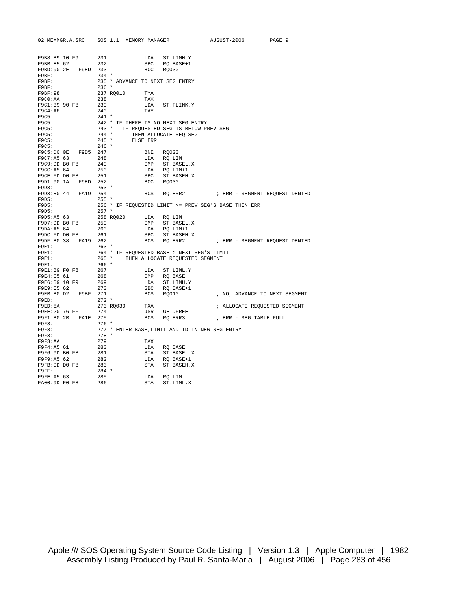|               |                                                           | 02 MEMMGR.A.SRC SOS 1.1 MEMORY MANAGER                                                                                                     |                                 | AUGUST-2006                                          | PAGE 9 |
|---------------|-----------------------------------------------------------|--------------------------------------------------------------------------------------------------------------------------------------------|---------------------------------|------------------------------------------------------|--------|
| F9B8:B9 10 F9 |                                                           |                                                                                                                                            |                                 |                                                      |        |
| F9BB:E5 62    |                                                           | $F9$ 231<br>232                                                                                                                            | LDA ST.LIMH, Y<br>SBC RQ.BASE+1 |                                                      |        |
|               | F9BD:90 2E F9ED 233                                       |                                                                                                                                            | BCC RQ030                       |                                                      |        |
| F9BF:         |                                                           | $234$ *                                                                                                                                    |                                 |                                                      |        |
| F9BF:         |                                                           | 235 * ADVANCE TO NEXT SEG ENTRY                                                                                                            |                                 |                                                      |        |
| F9BF:         |                                                           | $236$ *                                                                                                                                    |                                 |                                                      |        |
| F9BF:98       |                                                           | 237 RQ010<br>TYA                                                                                                                           |                                 |                                                      |        |
| F9C0:AA       |                                                           | 238<br>TAX                                                                                                                                 |                                 |                                                      |        |
| F9C1:B9 90 F8 |                                                           | 239                                                                                                                                        | LDA ST.FLINK, Y                 |                                                      |        |
| F9C4:A8       |                                                           | 240<br>TAY                                                                                                                                 |                                 |                                                      |        |
| F9C5:         |                                                           | $241$ *                                                                                                                                    |                                 |                                                      |        |
| F9C5:         |                                                           | 242 * IF THERE IS NO NEXT SEG ENTRY                                                                                                        |                                 |                                                      |        |
| F9C5:         |                                                           | 243 * IF REQUESTED SEG IS BELOW PREV SEG                                                                                                   |                                 |                                                      |        |
| F9C5:         |                                                           | $244 *$                                                                                                                                    | THEN ALLOCATE REQ SEG           |                                                      |        |
| F9C5:         |                                                           | $245$ *<br>ELSE ERR                                                                                                                        |                                 |                                                      |        |
| F9C5:         |                                                           | $246 *$                                                                                                                                    |                                 |                                                      |        |
|               | F9C5:D0 0E F9D5 247                                       |                                                                                                                                            | BNE RQ020                       |                                                      |        |
| F9C7:A5 63    |                                                           | 248<br>249                                                                                                                                 | LDA RQ.LIM                      |                                                      |        |
| F9C9:DD B0 F8 |                                                           |                                                                                                                                            | CMP ST.BASEL, X                 |                                                      |        |
|               |                                                           |                                                                                                                                            | LDA RQ.LIM+1                    |                                                      |        |
|               |                                                           | F9CC:A5 64 250<br>F9CE:FD D0 F8 251<br>F9D1:90 1A F9ED 252                                                                                 | SBC ST.BASEH, X<br>BCC RQ030    |                                                      |        |
| F9D3:         | $253$ *                                                   |                                                                                                                                            |                                 |                                                      |        |
|               | F9D3:B0 44 FA19 254                                       |                                                                                                                                            |                                 |                                                      |        |
| F9D5:         |                                                           | $255$ *                                                                                                                                    |                                 |                                                      |        |
| F9D5:         |                                                           |                                                                                                                                            |                                 | 256 * IF REQUESTED LIMIT >= PREV SEG'S BASE THEN ERR |        |
| F9D5:         |                                                           | $257$ *                                                                                                                                    |                                 |                                                      |        |
|               |                                                           |                                                                                                                                            |                                 |                                                      |        |
|               |                                                           |                                                                                                                                            | CMP ST.BASEL, X                 |                                                      |        |
|               |                                                           |                                                                                                                                            | LDA RQ.LIM+1                    |                                                      |        |
|               |                                                           | F9D5:A5 63<br>F9D5:A5 63 258 RQ020 LDA RQ.LIM<br>F9DA:A5 64 260 LDA RQ.LIM-<br>F9DA:A5 64 260 LDA RQ.LIM-<br>F9DC:FD D0 F8 261 SBC ST.BASI | SBC ST.BASEH, X                 |                                                      |        |
|               | F9DF:B0 38 FA19 262                                       |                                                                                                                                            |                                 | BCS RQ.ERR2 : ERR - SEGMENT REQUEST DENIED           |        |
| F9E1:         |                                                           | $263$ *                                                                                                                                    |                                 |                                                      |        |
| F9E1:         |                                                           | 264 * IF REQUESTED BASE > NEXT SEG'S LIMIT                                                                                                 |                                 |                                                      |        |
| F9E1:         |                                                           | 265 * THEN ALLOCATE REQUESTED SEGMENT                                                                                                      |                                 |                                                      |        |
|               |                                                           |                                                                                                                                            |                                 |                                                      |        |
|               |                                                           |                                                                                                                                            | LDA ST.LIML, Y                  |                                                      |        |
|               | F9E4:C5 61 268<br>F9E6:B9 10 F9 269<br>F9E9:E5 62 270     |                                                                                                                                            | CMP RQ.BASE                     |                                                      |        |
|               |                                                           |                                                                                                                                            | $\verb LDAST.LIMH,Y \\$         |                                                      |        |
|               |                                                           |                                                                                                                                            | SBC RQ.BASE+1                   |                                                      |        |
|               |                                                           |                                                                                                                                            | BCS RQ010                       | ; NO, ADVANCE TO NEXT SEGMENT                        |        |
| F9ED:         |                                                           | 272 *<br>273 RQ030                                                                                                                         |                                 |                                                      |        |
| F9ED:8A       |                                                           | TXA<br>F9EE:20 76 FF 274                                                                                                                   |                                 | ; ALLOCATE REQUESTED SEGMENT                         |        |
|               |                                                           |                                                                                                                                            | JSR GET.FREE                    | BCS RQ.ERR3 : ERR - SEG TABLE FULL                   |        |
| F9F3:         |                                                           | $276$ *                                                                                                                                    |                                 |                                                      |        |
| F9F3:         |                                                           | 277 * ENTER BASE, LIMIT AND ID IN NEW SEG ENTRY                                                                                            |                                 |                                                      |        |
| F9F3:         |                                                           | $278$ *                                                                                                                                    |                                 |                                                      |        |
| F9F3:AA       |                                                           | TAX                                                                                                                                        |                                 |                                                      |        |
| F9F4:A5 61    |                                                           | 279<br>280                                                                                                                                 | LDA RQ.BASE                     |                                                      |        |
| F9F6:9D B0 F8 |                                                           |                                                                                                                                            | STA ST.BASEL, X                 |                                                      |        |
| F9F9:A5 62    |                                                           |                                                                                                                                            | LDA RQ.BASE+1                   |                                                      |        |
| F9FB:9D DO F8 |                                                           |                                                                                                                                            | STA ST.BASEH, X                 |                                                      |        |
| F9FE:         |                                                           | $281$<br>$282$<br>$283$<br>$284$ *                                                                                                         |                                 |                                                      |        |
|               | rуr⊵:A5 63              285<br>FA00:9D F0 F8          286 |                                                                                                                                            | LDA RO.LIM                      |                                                      |        |
|               |                                                           |                                                                                                                                            | STA<br>ST.LIML,X                |                                                      |        |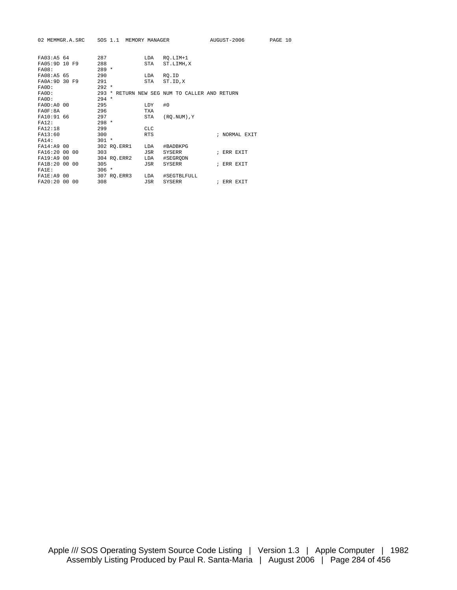|                | 02 MEMMGR.A.SRC SOS 1.1 MEMORY MANAGER |                                               | AUGUST-2006   | PAGE 10 |
|----------------|----------------------------------------|-----------------------------------------------|---------------|---------|
| FA03:A5 64     | 287                                    | RO.LIM+1<br>LDA                               |               |         |
| FA05:9D 10 F9  | 288                                    | ST.LIMH, X<br>STA                             |               |         |
| <b>FA08:</b>   | $289 *$                                |                                               |               |         |
| FA08:A5 65     | 290                                    | LDA<br>RO.ID                                  |               |         |
| FA0A: 9D 30 F9 | 291                                    | STA ST.ID, X                                  |               |         |
| FA0D:          | $292 *$                                |                                               |               |         |
| FA0D:          |                                        | 293 * RETURN NEW SEG NUM TO CALLER AND RETURN |               |         |
| FA0D:          | $294 *$                                |                                               |               |         |
| FA0D: A0 00    | 295                                    | #0<br>LDY                                     |               |         |
| F A 0 F : 8 A  | 296                                    | <b>TXA</b>                                    |               |         |
| FA10:91 66     | 297                                    | STA<br>$(RO. NUM)$ , $Y$                      |               |         |
| FA12:          | $298 *$                                |                                               |               |         |
| FA12:18        | 299                                    | <b>CLC</b>                                    |               |         |
| FA13:60        | 300                                    | <b>RTS</b>                                    | ; NORMAL EXIT |         |
| FA14:          | $301 *$                                |                                               |               |         |
| FA14:A9 00     | 302 RQ.ERR1 LDA                        | #BADBKPG                                      |               |         |
| FA16:20 00 00  | 303                                    | JSR<br>SYSERR                                 | ; ERR EXIT    |         |
| FA19:A9 00     | 304 RO.ERR2 LDA                        | #SEGRODN                                      |               |         |
| FA1B:20 00 00  | 305                                    | JSR<br>SYSERR                                 | ; ERR EXIT    |         |
| FA1E:          | $306 *$                                |                                               |               |         |
| FA1E: A9 00    | 307 RQ.ERR3 LDA                        | #SEGTBLFULL                                   |               |         |
| FA20:20 00 00  | 308                                    | JSR<br>SYSERR                                 | ; ERR EXIT    |         |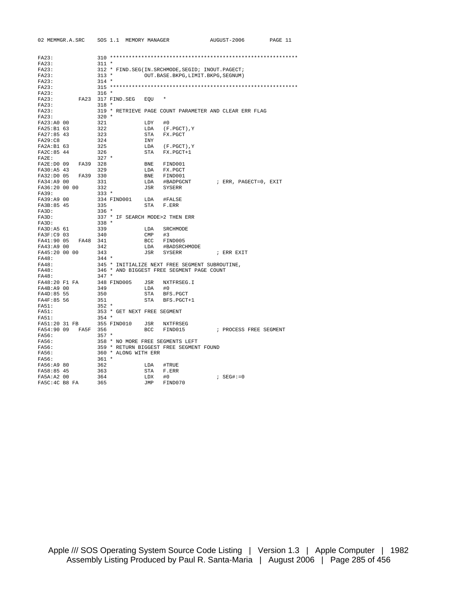| 02 MEMMGR.A.SRC SOS 1.1 MEMORY MANAGER    |                                  |          |                                                     | AUGUST-2006                                            | PAGE 11 |
|-------------------------------------------|----------------------------------|----------|-----------------------------------------------------|--------------------------------------------------------|---------|
|                                           |                                  |          |                                                     |                                                        |         |
| FA23:                                     |                                  |          |                                                     |                                                        |         |
| FA23:                                     | $311 *$                          |          |                                                     |                                                        |         |
| FA23:                                     |                                  |          | 312 * FIND. SEG(IN. SRCHMODE, SEGID; INOUT. PAGECT; |                                                        |         |
| FA23:                                     | $313 *$                          |          | OUT. BASE. BKPG, LIMIT. BKPG, SEGNUM)               |                                                        |         |
| FA23:                                     | $314$ *                          |          |                                                     |                                                        |         |
| FA23:                                     |                                  |          |                                                     |                                                        |         |
| FA23:                                     | $316 *$                          |          |                                                     |                                                        |         |
| FA23:                                     | FA23 317 FIND.SEG EOU            |          |                                                     |                                                        |         |
| FA23:                                     | $318 *$                          |          |                                                     |                                                        |         |
| FA23:                                     |                                  |          |                                                     | 319 * RETRIEVE PAGE COUNT PARAMETER AND CLEAR ERR FLAG |         |
| FA23:<br>FA23:A0 00                       | $320 *$<br>321                   | $LDY$ #0 |                                                     |                                                        |         |
| FA25:B1 63                                | 322                              |          |                                                     |                                                        |         |
| FA27:85 43                                | 323                              |          | LDA (F.PGCT), Y<br>STA FX.PGCT                      |                                                        |         |
| FA29: C8                                  | 324                              | INY      |                                                     |                                                        |         |
| FA2A:B1 63                                | 325                              |          | LDA (F.PGCT), Y                                     |                                                        |         |
| FA2C:85 44                                | 326                              |          | STA FX.PGCT+1                                       |                                                        |         |
| FA2E:                                     | $327$ *                          |          |                                                     |                                                        |         |
| FA2E:D0 09 FA39 328                       |                                  |          | BNE FIND001                                         |                                                        |         |
| FA30:A5 43                                | 329                              |          | LDA FX.PGCT                                         |                                                        |         |
| FA32:D0 05<br>FA39 330                    |                                  |          | BNE FIND001                                         |                                                        |         |
| FA34:A9 00                                | 331                              |          | LDA #BADPGCNT                                       | ; ERR, PAGECT=0, EXIT                                  |         |
| FA36:20 00 00                             | 332                              |          | JSR SYSERR                                          |                                                        |         |
| FA39:                                     | $333 *$                          |          |                                                     |                                                        |         |
| FA39:A9 00                                | 334 FIND001 LDA #FALSE           |          |                                                     |                                                        |         |
| FA3B:85 45                                | 335                              |          | STA F.ERR                                           |                                                        |         |
| FA3D:                                     | $336$ *                          |          |                                                     |                                                        |         |
| FASD:                                     | 337 * IF SEARCH MODE>2 THEN ERR  |          |                                                     |                                                        |         |
| FA3D:                                     | $338 *$                          |          |                                                     |                                                        |         |
| FA3D:A5 61                                | 339                              |          | LDA SRCHMODE                                        |                                                        |         |
| FA3F:C9 03                                | 340                              | $CMP$ #3 |                                                     |                                                        |         |
| FA48 341<br>FA41:90 05                    |                                  |          | BCC FIND005                                         |                                                        |         |
| FA43:A9 00                                | 342                              |          | LDA #BADSRCHMODE                                    |                                                        |         |
| FA45:20 00 00                             | 343                              |          | JSR SYSERR                                          | ; ERR EXIT                                             |         |
| FA48:                                     | $344$ *                          |          |                                                     |                                                        |         |
| FA48:                                     |                                  |          | 345 * INITIALIZE NEXT FREE SEGMENT SUBROUTINE,      |                                                        |         |
| FA48:                                     |                                  |          | 346 * AND BIGGEST FREE SEGMENT PAGE COUNT           |                                                        |         |
| FA48:                                     | $347 *$                          |          |                                                     |                                                        |         |
| FA48:20 F1 FA                             | 348 FIND005 JSR NXTFRSEG.I       |          |                                                     |                                                        |         |
| FA4B:A9 00                                | 349                              | LDA #0   |                                                     |                                                        |         |
| FA4D:85 55                                | 350                              |          | STA BFS.PGCT                                        |                                                        |         |
| FA4F:85 56                                | 351                              |          | STA BFS.PGCT+1                                      |                                                        |         |
| FA51:                                     | $352 *$                          |          |                                                     |                                                        |         |
| FA51:                                     | 353 * GET NEXT FREE SEGMENT      |          |                                                     |                                                        |         |
| <b>FA51:</b><br>FA51:20 31 FB 355 FIND010 | $354 *$                          |          |                                                     |                                                        |         |
|                                           |                                  |          | JSR NXTFRSEG<br>BCC FIND015                         | ; PROCESS FREE SEGMENT                                 |         |
| FA54:90 09 FA5F 356<br>FA56:              | $357$ *                          |          |                                                     |                                                        |         |
| FA56:                                     | 358 * NO MORE FREE SEGMENTS LEFT |          |                                                     |                                                        |         |
| FA56:                                     |                                  |          | 359 * RETURN BIGGEST FREE SEGMENT FOUND             |                                                        |         |
| FA56:                                     | 360 * ALONG WITH ERR             |          |                                                     |                                                        |         |
| FA56:                                     | 361 *                            |          |                                                     |                                                        |         |
| FA56:A9 80                                | 362                              |          | LDA #TRUE                                           |                                                        |         |
| FA58:85 45                                | 363                              |          | STA F.ERR                                           |                                                        |         |
| FA5A: A2 00                               | 364                              | LDX #0   |                                                     | ; $SEG# := 0$                                          |         |
| FA5C:4C B8 FA                             | 365                              |          | JMP FIND070                                         |                                                        |         |
|                                           |                                  |          |                                                     |                                                        |         |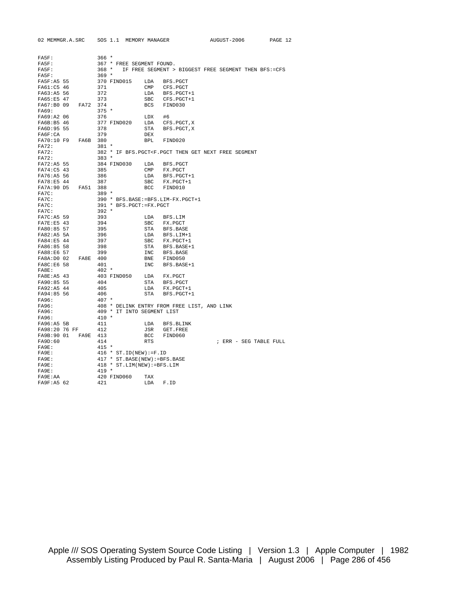| 02 MEMMGR.A.SRC        | SOS 1.1 MEMORY MANAGER                      |              |                | AUGUST-2006                                                                                    | PAGE 12 |
|------------------------|---------------------------------------------|--------------|----------------|------------------------------------------------------------------------------------------------|---------|
|                        |                                             |              |                |                                                                                                |         |
|                        |                                             |              |                |                                                                                                |         |
| FA5F:                  | $366*$                                      |              |                |                                                                                                |         |
| FA5F:                  | 367 * FREE SEGMENT FOUND.                   |              |                |                                                                                                |         |
| FA5F:                  | $368 *$                                     |              |                | IF FREE SEGMENT > BIGGEST FREE SEGMENT THEN BFS:=CFS                                           |         |
| FA5F:                  | $369 *$                                     |              |                |                                                                                                |         |
| FA5F:A5 55             | 370 FIND015                                 | LDA          | BFS.PGCT       |                                                                                                |         |
| FA61:C5 46             | 371                                         | $\text{CMP}$ | CFS.PGCT       |                                                                                                |         |
| FA63:A5 56             | 372                                         | LDA          | BFS.PGCT+1     |                                                                                                |         |
| FA65:E5 47             | 373                                         | SBC          | CFS.PGCT+1     |                                                                                                |         |
| FA67:B0 09<br>FA72 374 |                                             |              | BCS FIND030    |                                                                                                |         |
| FA69:                  | $375 *$                                     |              |                |                                                                                                |         |
| FA69:A2 06             | 376                                         | LDX          | #6             |                                                                                                |         |
| FA6B:B5 46             | 377 FIND020                                 | LDA          | CFS.PGCT,X     |                                                                                                |         |
| FA6D: 95 55            | 378                                         | STA          | BFS.PGCT,X     |                                                                                                |         |
| FAGF:CA                | 379                                         | DEX          |                |                                                                                                |         |
| FA70:10 F9<br>FA6B     | 380                                         | BPL          | FIND020        |                                                                                                |         |
| FA72:                  | $381 *$                                     |              |                |                                                                                                |         |
| FA72:                  |                                             |              |                | 382 * IF BFS. PGCT <f. free="" get="" next="" pgct="" segment<="" td="" then=""><td></td></f.> |         |
| FA72:                  | $383 *$                                     |              |                |                                                                                                |         |
| FA72:A5 55             | 384 FIND030                                 | LDA          | BFS.PGCT       |                                                                                                |         |
| FA74:C5 43             | 385                                         | CMP          | FX.PGCT        |                                                                                                |         |
| FA76:A5 56             | 386                                         | LDA          | BFS.PGCT+1     |                                                                                                |         |
| FA78:E5 44             | 387                                         | SBC          | FX.PGCT+1      |                                                                                                |         |
| FA7A: 90 D5<br>FA51    | 388                                         | <b>BCC</b>   | FIND010        |                                                                                                |         |
| FA7C:                  | $389 *$                                     |              |                |                                                                                                |         |
| FA7C:                  | 390 * BFS.BASE: = BFS.LIM-FX.PGCT+1         |              |                |                                                                                                |         |
| FA7C:                  | 391 * BFS. PGCT: =FX. PGCT                  |              |                |                                                                                                |         |
| FA7C:                  | $392 *$                                     |              |                |                                                                                                |         |
| FA7C: A5 59            | 393                                         | LDA          | BFS.LIM        |                                                                                                |         |
| FA7E:E5 43             | 394                                         | $_{\rm SBC}$ | FX.PGCT        |                                                                                                |         |
| FA80:85 57             | 395                                         |              | STA BFS.BASE   |                                                                                                |         |
| FA82:A5 5A             | 396                                         |              | LDA BFS.LIM+1  |                                                                                                |         |
| FA84:E5 44             | 397                                         |              | SBC FX.PGCT+1  |                                                                                                |         |
| FA86:85 58             | 398                                         |              | STA BFS.BASE+1 |                                                                                                |         |
| FA88:E6 57             | 399                                         | INC          | BFS.BASE       |                                                                                                |         |
| FA8A:D0 02<br>FA8E 400 |                                             |              | BNE FIND050    |                                                                                                |         |
| FA8C:E6 58             | 401                                         | INC          | BFS.BASE+1     |                                                                                                |         |
| FA8E:                  | $402 *$                                     |              |                |                                                                                                |         |
| FA8E: A5 43            | 403 FIND050                                 | LDA          | FX.PGCT        |                                                                                                |         |
| FA90:85 55             | 404                                         |              | STA BFS.PGCT   |                                                                                                |         |
| FA92:A5 44             | 405                                         | LDA          | FX.PGCT+1      |                                                                                                |         |
| FA94:85 56             | 406                                         | STA          | BFS.PGCT+1     |                                                                                                |         |
| FA96:                  | $407 *$                                     |              |                |                                                                                                |         |
| FA96:                  | 408 * DELINK ENTRY FROM FREE LIST, AND LINK |              |                |                                                                                                |         |
| FA96:                  | 409 * IT INTO SEGMENT LIST                  |              |                |                                                                                                |         |
| FA96:                  | $410 *$                                     |              |                |                                                                                                |         |
| FA96:A5 5B             | 411                                         | LDA          | BFS.BLINK      |                                                                                                |         |
| FA98:20 76 FF          | 412                                         | JSR          | GET.FREE       |                                                                                                |         |
| FA9B:90 01<br>FA9E 413 |                                             | BCC          | FIND060        |                                                                                                |         |
| FA9D:60                | 414                                         | <b>RTS</b>   |                | ; ERR - SEG TABLE FULL                                                                         |         |
| FA9E:                  | $415 *$                                     |              |                |                                                                                                |         |
| FA9E:                  | $416 * ST.ID(NEW):=F.ID$                    |              |                |                                                                                                |         |
| FA9E:                  | 417 * ST. BASE (NEW) := BFS. BASE           |              |                |                                                                                                |         |
| FA9E:                  | 418 * ST.LIM(NEW):=BFS.LIM                  |              |                |                                                                                                |         |
| FA9E:                  | $419 *$                                     |              |                |                                                                                                |         |
| FA9E:AA                | 420 FIND060                                 | TAX          |                |                                                                                                |         |
| FA9F:A5 62             | 421                                         | LDA          | F.ID           |                                                                                                |         |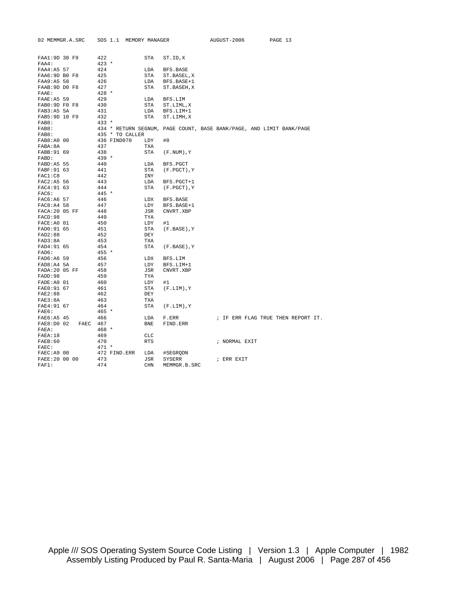| 02 MEMMGR.A.SRC          |          | SOS 1.1 MEMORY MANAGER                                               |            |                      | AUGUST-2006   | PAGE 13                            |  |
|--------------------------|----------|----------------------------------------------------------------------|------------|----------------------|---------------|------------------------------------|--|
|                          |          |                                                                      |            |                      |               |                                    |  |
| FAA1:9D 30 F9            |          | 422                                                                  | <b>STA</b> | ST.ID, X             |               |                                    |  |
| FAA4:<br>FAA4:A5 57      |          | $423 *$<br>424                                                       | LDA        | BFS.BASE             |               |                                    |  |
| FAA6:9D B0 F8            |          | 425                                                                  | STA        | ST.BASEL, X          |               |                                    |  |
| FAA9:A5 58               |          | 426                                                                  | LDA        | BFS.BASE+1           |               |                                    |  |
| FAAB: 9D DO F8           |          | 427                                                                  | STA        | ST.BASEH, X          |               |                                    |  |
| FAAE:                    |          | $428 *$                                                              |            |                      |               |                                    |  |
| FAAE: A5 59              |          | 429                                                                  | LDA        | BFS.LIM              |               |                                    |  |
| FAB0:9D F0 F8            |          | 430                                                                  | STA        | ST.LIML, X           |               |                                    |  |
| FAB3:A5 5A               |          | 431                                                                  | LDA        | BFS.LIM+1            |               |                                    |  |
| FAB5:9D 10 F9            |          | 432                                                                  | STA        | ST.LIMH, X           |               |                                    |  |
| FAB8:                    |          | $433 *$                                                              |            |                      |               |                                    |  |
| FAB8:                    |          | 434 * RETURN SEGNUM, PAGE COUNT, BASE BANK/PAGE, AND LIMIT BANK/PAGE |            |                      |               |                                    |  |
| FAB8:                    |          | 435 * TO CALLER                                                      |            |                      |               |                                    |  |
| FAB8:A0 00               |          | 436 FIND070                                                          | LDY        | #0                   |               |                                    |  |
| FABA:8A                  |          | 437                                                                  | TXA        |                      |               |                                    |  |
| FABB: 91 69              |          | 438                                                                  | STA        | (F.NUM),Y            |               |                                    |  |
| FABD:                    |          | $439 *$                                                              |            |                      |               |                                    |  |
| FABD:A5 55               |          | 440                                                                  | LDA        | BFS.PGCT             |               |                                    |  |
| FABF: 91 63              |          | 441                                                                  | <b>STA</b> | (F.PGCT), Y          |               |                                    |  |
| FAC1:C8                  |          | 442                                                                  | INY        |                      |               |                                    |  |
| FAC2:A5 56               |          | 443                                                                  | LDA        | BFS.PGCT+1           |               |                                    |  |
| FAC4:91 63               |          | 444                                                                  | <b>STA</b> | (F.PGCT),Y           |               |                                    |  |
| FAC6:                    |          | 445 *                                                                |            |                      |               |                                    |  |
| FAC6:A6 57               |          | 446                                                                  | LDX        | BFS.BASE             |               |                                    |  |
| FAC8:A4 58               |          | 447                                                                  | LDY        | BFS.BASE+1           |               |                                    |  |
| FACA: 20 05 FF           |          | 448                                                                  | JSR        | CNVRT.XBP            |               |                                    |  |
| FACD: 98                 |          | 449                                                                  | TYA        |                      |               |                                    |  |
| FACE: A0 01              |          | 450                                                                  | LDY        | #1                   |               |                                    |  |
| FAD0:91 65               |          | 451                                                                  | STA        | (F.BASE), Y          |               |                                    |  |
| FAD2:88                  |          | 452                                                                  | DEY        |                      |               |                                    |  |
| FAD3:8A                  |          | 453                                                                  | <b>TXA</b> |                      |               |                                    |  |
| FAD4:91 65               |          | 454                                                                  | STA        | $(F.BASE)$ , Y       |               |                                    |  |
| FAD6:                    |          | $455 *$<br>456                                                       | LDX        |                      |               |                                    |  |
| FAD6:A6 59<br>FAD8:A4 5A |          | 457                                                                  | LDY        | BFS.LIM<br>BFS.LIM+1 |               |                                    |  |
| FADA: 20 05 FF           |          | 458                                                                  | JSR        | CNVRT.XBP            |               |                                    |  |
| FADD:98                  |          | 459                                                                  | TYA        |                      |               |                                    |  |
| FADE: A0 01              |          | 460                                                                  | LDY        | #1                   |               |                                    |  |
| FAE0:91 67               |          | 461                                                                  | STA        | $(F.LIM)$ , $Y$      |               |                                    |  |
| FAE2:88                  |          | 462                                                                  | DEY        |                      |               |                                    |  |
| FAE3:8A                  |          | 463                                                                  | TXA        |                      |               |                                    |  |
| FAE4:91 67               |          | 464                                                                  | STA        | $(F.LIM)$ , Y        |               |                                    |  |
| FAE6:                    |          | $465 *$                                                              |            |                      |               |                                    |  |
| FAE6:A5 45               |          | 466                                                                  | LDA        | F.ERR                |               | ; IF ERR FLAG TRUE THEN REPORT IT. |  |
| FAE8:D0 02               | FAEC 467 |                                                                      | <b>BNE</b> | FIND.ERR             |               |                                    |  |
| FAEA:                    |          | $468 *$                                                              |            |                      |               |                                    |  |
| FABA:18                  |          | 469                                                                  | <b>CLC</b> |                      |               |                                    |  |
| FAEB:60                  |          | 470                                                                  | <b>RTS</b> |                      | ; NORMAL EXIT |                                    |  |
| $\texttt{FAEC}$ :        |          | $471 *$                                                              |            |                      |               |                                    |  |
| FAEC: A9 00              |          | 472 FIND.ERR                                                         | LDA        | #SEGRODN             |               |                                    |  |
| FAEE: 20 00 00           |          | 473                                                                  | JSR        | SYSERR               | ; ERR EXIT    |                                    |  |
| FAF1:                    |          | 474                                                                  | CHN        | MEMMGR.B.SRC         |               |                                    |  |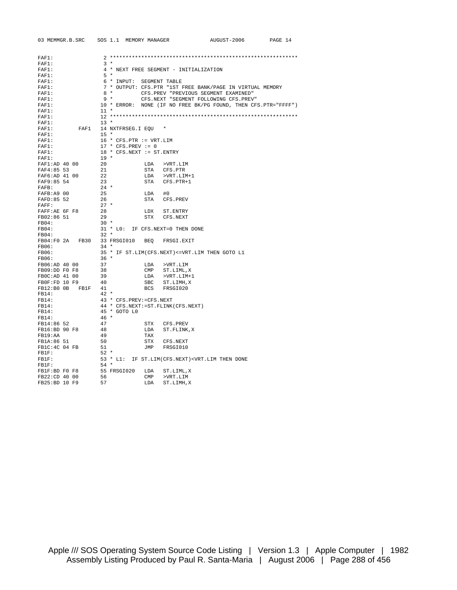| 03 MEMMGR.B.SRC SOS 1.1 MEMORY MANAGER |                                      |                                                                                               | AUGUST-2006                                                     | PAGE 14 |
|----------------------------------------|--------------------------------------|-----------------------------------------------------------------------------------------------|-----------------------------------------------------------------|---------|
|                                        |                                      |                                                                                               |                                                                 |         |
| FAF1:                                  |                                      |                                                                                               |                                                                 |         |
| $FAF1$ :                               | $3 *$                                |                                                                                               |                                                                 |         |
| FAF1:                                  |                                      | 4 * NEXT FREE SEGMENT - INITIALIZATION                                                        |                                                                 |         |
| FAF1:                                  | $5 *$                                |                                                                                               |                                                                 |         |
| FAF1:                                  | 6 * INPUT: SEGMENT TABLE             |                                                                                               |                                                                 |         |
| FAF1:                                  |                                      |                                                                                               | 7 * OUTPUT: CFS.PTR "1ST FREE BANK/PAGE IN VIRTUAL MEMORY       |         |
| FAF1:                                  | $8 *$                                | CFS.PREV "PREVIOUS SEGMENT EXAMINED"                                                          |                                                                 |         |
| $FAF1$ :                               | $9 *$                                | CFS.NEXT "SEGMENT FOLLOWING CFS.PREV"                                                         |                                                                 |         |
| FAF1:                                  |                                      |                                                                                               | 10 * ERROR: NONE (IF NO FREE BK/PG FOUND, THEN CFS. PTR="FFFF") |         |
| $FAF1$ :                               | $11 *$                               |                                                                                               |                                                                 |         |
| $FAF1$ :                               |                                      |                                                                                               |                                                                 |         |
| FAF1:                                  | $13 *$                               |                                                                                               |                                                                 |         |
| FAF1:<br>FAF1                          | 14 NXTFRSEG.I EQU                    |                                                                                               |                                                                 |         |
| FAF1:                                  | $15 *$                               |                                                                                               |                                                                 |         |
| FAF1:                                  | 16 * CFS.PTR := VRT.LIM              |                                                                                               |                                                                 |         |
| FAF1:                                  | $17 * CFS.PREV := 0$                 |                                                                                               |                                                                 |         |
| $FAF1$ :                               | 18 * CFS.NEXT := ST.ENTRY            |                                                                                               |                                                                 |         |
| $FAF1$ :                               | $19 *$                               |                                                                                               |                                                                 |         |
| FAF1:AD 40 00                          | 20                                   | LDA >VRT.LIM                                                                                  |                                                                 |         |
| FAF4:85 53                             | 21                                   | STA CFS.PTR                                                                                   |                                                                 |         |
| FAF6:AD 41 00                          | 22                                   | LDA >VRT.LIM+1                                                                                |                                                                 |         |
| FAF9:85 54                             | 23                                   | STA CFS.PTR+1                                                                                 |                                                                 |         |
| FAFB:                                  | $24 *$                               |                                                                                               |                                                                 |         |
| FAFB:A9 00                             | 25                                   | LDA #0                                                                                        |                                                                 |         |
| FAFD: 85 52                            | 26                                   | STA CFS.PREV                                                                                  |                                                                 |         |
| FAFF:                                  | $27 *$                               |                                                                                               |                                                                 |         |
| FAFF:AE 6F F8                          | 28                                   | LDX ST.ENTRY                                                                                  |                                                                 |         |
| FB02:86 51                             | 29                                   | STX CFS.NEXT                                                                                  |                                                                 |         |
| FB04:                                  | $30 *$                               |                                                                                               |                                                                 |         |
| FB04:<br>FB04:                         | $32 *$                               | 31 * LO: IF CFS.NEXT=0 THEN DONE                                                              |                                                                 |         |
|                                        |                                      |                                                                                               |                                                                 |         |
| FB04:F0 2A FB30<br>FB06:               | 33 FRSGI010 BEQ FRSGI.EXIT<br>$34 *$ |                                                                                               |                                                                 |         |
| <b>FB06:</b>                           |                                      | 35 * IF ST.LIM(CFS.NEXT) <= VRT.LIM THEN GOTO L1                                              |                                                                 |         |
| FB06:                                  | $36 *$                               |                                                                                               |                                                                 |         |
| FB06:AD 40 00                          | 37                                   | LDA >VRT.LIM                                                                                  |                                                                 |         |
| FB09:DD F0 F8                          | 38                                   | CMP ST.LIML, X                                                                                |                                                                 |         |
| FB0C:AD 41 00                          | 39                                   | LDA >VRT.LIM+1                                                                                |                                                                 |         |
| FBOF:FD 10 F9                          | 40                                   | SBC<br>ST.LIMH, X                                                                             |                                                                 |         |
| FB12:B0 OB FB1F                        | 41                                   | BCS FRSGI020                                                                                  |                                                                 |         |
| FB14:                                  | $42$ *                               |                                                                                               |                                                                 |         |
| FB14:                                  | 43 * CFS. PREV: = CFS. NEXT          |                                                                                               |                                                                 |         |
| FB14:                                  |                                      | 44 * CFS.NEXT: = ST.FLINK (CFS.NEXT)                                                          |                                                                 |         |
| FB14:                                  | 45 * GOTO LO                         |                                                                                               |                                                                 |         |
| FB14:                                  | $46*$                                |                                                                                               |                                                                 |         |
| FB14:86 52                             | 47                                   | STX CFS.PREV                                                                                  |                                                                 |         |
| FB16:BD 90 F8                          | 48                                   | LDA ST.FLINK, X                                                                               |                                                                 |         |
| FB19:AA                                | 49                                   | TAX                                                                                           |                                                                 |         |
| FB1A:86 51                             | 50                                   | STX CFS.NEXT                                                                                  |                                                                 |         |
| FB1C:4C <sub>04</sub> FB               | 51                                   | JMP FRSGI010                                                                                  |                                                                 |         |
| FBIF:                                  | $52*$                                |                                                                                               |                                                                 |         |
| $FBIF$ :                               |                                      | 53 * L1: IF ST. LIM (CFS. NEXT) <vrt. done<="" lim="" td="" then=""><td></td><td></td></vrt.> |                                                                 |         |
| ${\tt FB1F}$ :                         | $54 *$                               |                                                                                               |                                                                 |         |
| FB1F:BD F0 F8                          | 55 FRSGI020                          | LDA<br>ST.LIML, X                                                                             |                                                                 |         |
| FB22:CD 40 00                          | 56                                   | CMP >VRT.LIM                                                                                  |                                                                 |         |
| FB25:BD 10 F9                          | 57                                   | LDA<br>ST.LIMH, X                                                                             |                                                                 |         |
|                                        |                                      |                                                                                               |                                                                 |         |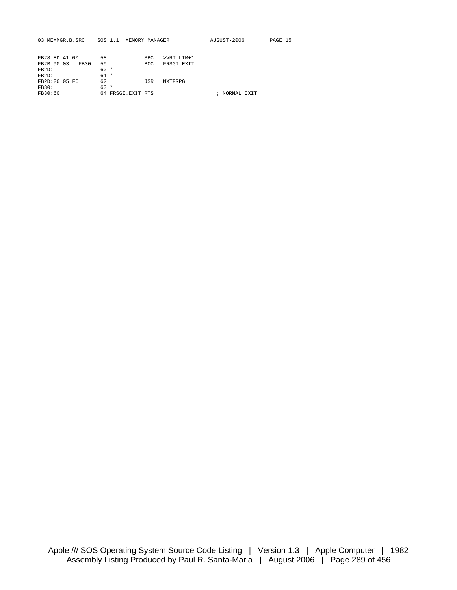| SOS 1.1 |                | AUGUST-2006                                       | PAGE 15                                   |
|---------|----------------|---------------------------------------------------|-------------------------------------------|
|         |                |                                                   |                                           |
|         |                |                                                   |                                           |
| 59      | <b>BCC</b>     |                                                   |                                           |
| $60 *$  |                |                                                   |                                           |
| $61 *$  |                |                                                   |                                           |
| 62      | JSR<br>NXTFRPG |                                                   |                                           |
| $63 *$  |                |                                                   |                                           |
|         |                |                                                   |                                           |
|         | 58             | MEMORY MANAGER<br><b>SBC</b><br>64 FRSGI.EXIT RTS | $>VRT.LIM+1$<br>FRSGI.EXIT<br>NORMAL EXIT |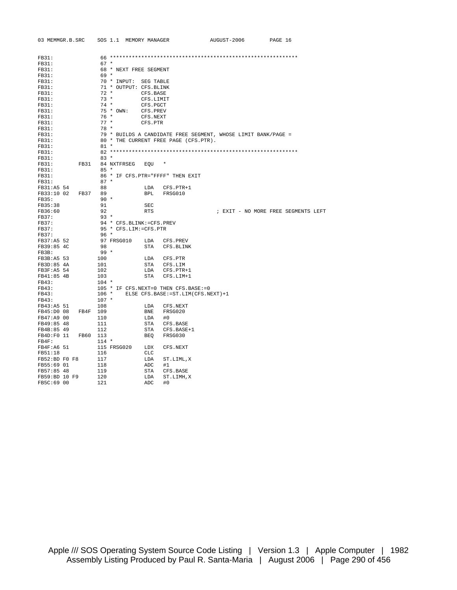| 03 MEMMGR.B.SRC SOS 1.1 MEMORY MANAGER |          |                          |            |                                               | AUGUST-2006                                                   | PAGE 16                             |
|----------------------------------------|----------|--------------------------|------------|-----------------------------------------------|---------------------------------------------------------------|-------------------------------------|
| FB31:                                  |          |                          |            |                                               |                                                               |                                     |
| FB31:                                  | $67 *$   |                          |            |                                               |                                                               |                                     |
| FB31:                                  |          | 68 * NEXT FREE SEGMENT   |            |                                               |                                                               |                                     |
| FB31:                                  | $69 *$   |                          |            |                                               |                                                               |                                     |
|                                        |          |                          |            |                                               |                                                               |                                     |
| FB31:                                  |          | 70 * INPUT: SEG TABLE    |            |                                               |                                                               |                                     |
| FB31:                                  |          | 71 * OUTPUT: CFS.BLINK   |            |                                               |                                                               |                                     |
| FB31:                                  | $72 *$   |                          | CFS.BASE   |                                               |                                                               |                                     |
| FB31:                                  | $73 *$   |                          | CFS.LIMIT  |                                               |                                                               |                                     |
| FB31:                                  |          | $74*$                    | CFS.PGCT   |                                               |                                                               |                                     |
| FB31:                                  |          | 75 * OWN: CFS.PREV       |            |                                               |                                                               |                                     |
| FB31:                                  |          | $76*$                    | CFS.NEXT   |                                               |                                                               |                                     |
| FB31:                                  | $77 *$   |                          | CFS.PTR    |                                               |                                                               |                                     |
| FB31:                                  | $78 *$   |                          |            |                                               |                                                               |                                     |
| FB31:                                  |          |                          |            |                                               | 79 * BUILDS A CANDIDATE FREE SEGMENT, WHOSE LIMIT BANK/PAGE = |                                     |
| FB31:                                  |          |                          |            | 80 * THE CURRENT FREE PAGE (CFS.PTR).         |                                                               |                                     |
| FB31:                                  | $81 *$   |                          |            |                                               |                                                               |                                     |
| FB31:                                  |          |                          |            |                                               |                                                               |                                     |
| FB31:                                  | $83 *$   |                          |            |                                               |                                                               |                                     |
| FB31:<br>FB31                          |          | 84 NXTFRSEG              | EOU        |                                               |                                                               |                                     |
| FB31:                                  | $85 *$   |                          |            |                                               |                                                               |                                     |
| FB31:                                  |          |                          |            | 86 * IF CFS. PTR="FFFF" THEN EXIT             |                                                               |                                     |
| FB31:                                  | $87 *$   |                          |            |                                               |                                                               |                                     |
| FB31:A5 54                             | 88       |                          | LDA        | CFS.PTR+1                                     |                                                               |                                     |
| FB33:10 02 FB37                        | 89       |                          | BPL        | FRSG010                                       |                                                               |                                     |
| FB35:                                  | $90 *$   |                          |            |                                               |                                                               |                                     |
| FB35:38                                | 91       |                          | SEC        |                                               |                                                               |                                     |
| FB36:60                                | 92       |                          | <b>RTS</b> |                                               |                                                               | ; EXIT - NO MORE FREE SEGMENTS LEFT |
| FB37:                                  | $93 *$   |                          |            |                                               |                                                               |                                     |
| FB37:                                  |          | 94 * CFS.BLINK:=CFS.PREV |            |                                               |                                                               |                                     |
| FB37:                                  |          | 95 * CFS.LIM:=CFS.PTR    |            |                                               |                                                               |                                     |
| FB37:                                  | 96 *     |                          |            |                                               |                                                               |                                     |
| FB37:A5 52                             |          | 97 FRSG010               |            | LDA CFS.PREV                                  |                                                               |                                     |
| FB39:85 4C                             | 98       |                          |            | STA CFS.BLINK                                 |                                                               |                                     |
| FB3B:                                  | $99*$    |                          |            |                                               |                                                               |                                     |
| FB3B:A5 53                             | 100      |                          |            | LDA CFS.PTR                                   |                                                               |                                     |
| FB3D:85 4A                             | 101      |                          |            | STA CFS.LIM                                   |                                                               |                                     |
| FB3F:A5 54                             | 102      |                          |            | LDA CFS.PTR+1                                 |                                                               |                                     |
| FB41:85 4B                             | 103      |                          | STA        | CFS.LIM+1                                     |                                                               |                                     |
| FB43:                                  | $104 *$  |                          |            |                                               |                                                               |                                     |
| FB43:                                  |          |                          |            | 105 * IF CFS.NEXT=0 THEN CFS.BASE:=0          |                                                               |                                     |
| FB43:                                  |          |                          |            | 106 * ELSE CFS. BASE: = ST. LIM(CFS. NEXT) +1 |                                                               |                                     |
| FB43:                                  | $107 *$  |                          |            |                                               |                                                               |                                     |
| FB43:A5 51                             | 108      |                          | LDA        | CFS.NEXT                                      |                                                               |                                     |
| FB45:D0 08                             | FB4F 109 |                          |            | BNE FRSG020                                   |                                                               |                                     |
| FB47:A9 00                             | 110      |                          | LDA        | #0                                            |                                                               |                                     |
| FB49:85 48                             | 111      |                          | STA        | CFS.BASE                                      |                                                               |                                     |
| FB4B:85 49                             | 112      |                          | STA        | CFS.BASE+1                                    |                                                               |                                     |
| FB4D: F0 11                            | FB60 113 |                          | BEO        | FRSG030                                       |                                                               |                                     |
| FB4F:                                  | $114 *$  |                          |            |                                               |                                                               |                                     |
| $FB4F:AG$ 51                           |          | 115 FRSG020              | LDX        | CFS.NEXT                                      |                                                               |                                     |
| FB51:18                                | 116      |                          | CLC        |                                               |                                                               |                                     |
| FB52:BD F0 F8                          | 117      |                          | LDA        | ST.LIML,X                                     |                                                               |                                     |
| FB55:69 01                             | 118      |                          | ADC        | #1                                            |                                                               |                                     |
| FB57:85 48                             | 119      |                          | STA        | CFS.BASE                                      |                                                               |                                     |
| FB59:BD 10 F9                          | 120      |                          | LDA        | ST.LIMH, X                                    |                                                               |                                     |
| FB5C:69 00                             | 121      |                          | ADC        | #0                                            |                                                               |                                     |
|                                        |          |                          |            |                                               |                                                               |                                     |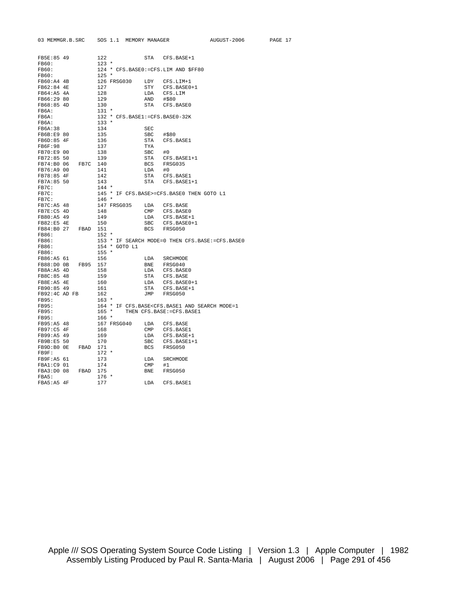| FB5E:85 49                  |                     | 122        |                                |                       | STA CFS.BASE+1                                                             |
|-----------------------------|---------------------|------------|--------------------------------|-----------------------|----------------------------------------------------------------------------|
| FB60:                       |                     | $123$ *    |                                |                       |                                                                            |
| <b>FB60:</b>                |                     |            |                                |                       | 124 * CFS.BASE0: = CFS.LIM AND \$FF80                                      |
| FB60:                       |                     | $125 *$    |                                |                       |                                                                            |
| $FB60:AA$ 4B                |                     |            | 126 FRSG030                    | LDY                   | CFS.LIM+1                                                                  |
| FB62:84 4E                  |                     | 127        |                                |                       | STY CFS.BASE0+1                                                            |
| FB64:A5 4A                  |                     | 128        |                                | LDA                   | CFS.LIM                                                                    |
| FB66:29 80                  |                     | 129        |                                | AND                   | #\$80                                                                      |
| FB68:85 4D                  |                     | 130        |                                |                       | STA CFS.BASE0                                                              |
| FB6A:                       |                     | 131 *      |                                |                       |                                                                            |
| FB6A:                       |                     |            | 132 * CFS.BASE1:=CFS.BASE0-32K |                       |                                                                            |
| FB6A:                       |                     | $133 *$    |                                |                       |                                                                            |
| FB6A:38                     |                     | 134        |                                | SEC                   |                                                                            |
| FB6B:E9 80                  |                     | 135        |                                | SBC                   | #\$80                                                                      |
| FB6D:85 4F                  |                     | 136        |                                | STA                   | CFS.BASE1                                                                  |
| FB6F:98                     |                     | 137        |                                | TYA                   |                                                                            |
| FB70:E9 00                  |                     | 138        |                                | SBC                   | #0                                                                         |
| FB72:85 50                  |                     | 139        |                                | STA                   | CFS.BASE1+1                                                                |
|                             | FB74:B0 06 FB7C 140 |            |                                |                       | BCS FRSG035                                                                |
| FB76:A9 00                  |                     | 141        |                                | LDA                   | #0                                                                         |
| FB78:85 4F                  |                     | 142        |                                | STA                   | CFS.BASE1                                                                  |
| FB7A:85 50                  |                     | 143        |                                |                       | STA CFS.BASE1+1                                                            |
| FB7C:                       |                     | $144 *$    |                                |                       |                                                                            |
| FB7C:                       |                     |            |                                |                       | 145 * IF CFS.BASE>=CFS.BASE0 THEN GOTO L1                                  |
| FB7C:                       |                     | $146 *$    |                                |                       |                                                                            |
| FB7C:A5 48                  |                     |            | 147 FRSG035                    |                       | LDA CFS.BASE                                                               |
| FB7E:C5 4D                  |                     | 148        |                                |                       |                                                                            |
| FB80:A5 49                  |                     | 149        |                                | $\mathsf{CMP}$<br>LDA | CFS.BASE0<br>CFS.BASE+1                                                    |
| FB82:E5 4E                  |                     | 150        |                                |                       |                                                                            |
|                             |                     |            |                                |                       | SBC CFS.BASE0+1                                                            |
| FB86:                       |                     | $152 *$    |                                | BCS                   | FRSG050                                                                    |
|                             |                     |            |                                |                       |                                                                            |
| FB86:<br>FB86:              |                     |            | 154 * GOTO L1                  |                       | 153 * IF SEARCH MODE=0 THEN CFS.BASE:=CFS.BASE0                            |
|                             |                     | $155 *$    |                                |                       |                                                                            |
| FB86:                       |                     |            |                                |                       |                                                                            |
| FB86:A5 61                  | FB88:D0 0B FB95     | 156<br>157 |                                | LDA                   | SRCHMODE<br>BNE FRSG040                                                    |
|                             |                     |            |                                |                       |                                                                            |
| FB8A:A5 4D                  |                     | 158<br>159 |                                | LDA                   | CFS.BASE0                                                                  |
| FB8C:85 48<br>FB8E:A5 4E    |                     |            |                                | STA                   | CFS.BASE                                                                   |
|                             |                     | 160        |                                |                       | LDA CFS.BASE0+1                                                            |
| FB90:85 49<br>FB92:4C AD FB |                     | 161<br>162 |                                | STA                   | CFS.BASE+1<br>FRSG050                                                      |
|                             |                     |            |                                | JMP                   |                                                                            |
| FB95:<br>FB95:              |                     | $163 *$    |                                |                       | 164 * IF CFS.BASE <cfs.base1 and="" mode="1&lt;/td" search=""></cfs.base1> |
| FB95:                       |                     | $165 *$    |                                |                       |                                                                            |
| FB95:                       |                     | $166 *$    |                                |                       | THEN CFS.BASE: = CFS.BASE1                                                 |
|                             |                     |            |                                |                       |                                                                            |
| FB95:A5 48                  |                     |            | 167 FRSG040                    |                       | LDA CFS.BASE                                                               |
| FB97:C5 4F                  |                     | 168        |                                | CMP                   | CFS.BASE1                                                                  |
| FB99:A5 49                  |                     | 169        |                                | LDA                   | CFS.BASE+1                                                                 |
| FB9B:E5 50                  |                     | 170        |                                | SBC                   | CFS.BASE1+1                                                                |
| FB9D:B0 OE                  | FBAD                | 171        |                                | BCS                   | FRSG050                                                                    |
| FB9F:                       |                     | $172 *$    |                                |                       |                                                                            |
| FB9F:A5 61                  |                     | 173        |                                | LDA                   | SRCHMODE                                                                   |
| FBA1:C9 01                  |                     | 174        |                                | CMP                   | #1                                                                         |
| FBA3:D0 08                  | FBAD 175            |            |                                | BNE                   | FRSG050                                                                    |
| FBA5:                       |                     | $176 *$    |                                |                       |                                                                            |
| FBA5:A5 4F                  |                     | 177        |                                | LDA                   | CFS.BASE1                                                                  |

03 MEMMGR.B.SRC SOS 1.1 MEMORY MANAGER AUGUST-2006 PAGE 17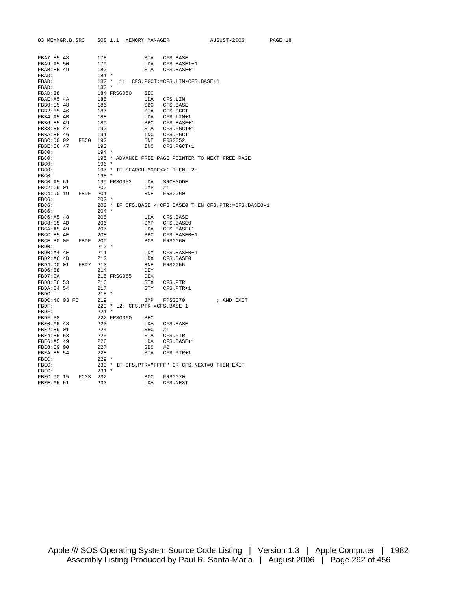| 03 MEMMGR.B.SRC     |      | SOS 1.1        |             | MEMORY MANAGER        |                                                   | AUGUST-2006                                                   | PAGE 18 |
|---------------------|------|----------------|-------------|-----------------------|---------------------------------------------------|---------------------------------------------------------------|---------|
|                     |      |                |             |                       |                                                   |                                                               |         |
| FBA7:85 48          |      | 178            |             | STA                   | CFS.BASE                                          |                                                               |         |
| FBA9:A5 50          |      | 179            |             | LDA                   | CFS.BASE1+1                                       |                                                               |         |
| FBAB: 85 49         |      | 180            |             | <b>STA</b>            | CFS.BASE+1                                        |                                                               |         |
| FBAD:               |      | $181 *$        |             |                       |                                                   |                                                               |         |
| FBAD:               |      |                |             |                       | 182 * L1: CFS. PGCT: = CFS. LIM-CFS. BASE+1       |                                                               |         |
| FBAD:               |      | $183 *$        |             |                       |                                                   |                                                               |         |
| FBAD: 38            |      |                | 184 FRSG050 | SEC                   |                                                   |                                                               |         |
| FBAE: A5 4A         |      | 185            |             | LDA                   | CFS.LIM                                           |                                                               |         |
| FBB0:E5 48          |      | 186            |             | SBC                   | CFS.BASE                                          |                                                               |         |
| FBB2:85 46          |      | 187            |             | STA                   | CFS.PGCT                                          |                                                               |         |
| FBB4:A5 4B          |      | 188            |             | LDA                   | CFS.LIM+1                                         |                                                               |         |
| FBB6:E5 49          |      | 189            |             | SBC                   | CFS.BASE+1                                        |                                                               |         |
| FBB8:85 47          |      | 190            |             | STA                   | CFS.PGCT+1                                        |                                                               |         |
| FBBA:E6 46          |      | 191            |             | <b>INC</b>            | CFS.PGCT                                          |                                                               |         |
| FBBC:D0 02          | FBC0 | 192            |             | <b>BNE</b>            | FRSG052                                           |                                                               |         |
| FBBE: E6 47         |      | 193            |             | <b>INC</b>            | CFS.PGCT+1                                        |                                                               |         |
| FBC0:               |      | $194 *$        |             |                       |                                                   |                                                               |         |
| FBC0:               |      |                |             |                       | 195 * ADVANCE FREE PAGE POINTER TO NEXT FREE PAGE |                                                               |         |
| FBC0:               |      | $196 *$        |             |                       |                                                   |                                                               |         |
| FBC0:               |      |                |             |                       | 197 * IF SEARCH MODE<>1 THEN L2:                  |                                                               |         |
| FBC0:               |      | $198 *$        |             |                       |                                                   |                                                               |         |
| FBC0:A5 61          |      |                | 199 FRSG052 | LDA                   | SRCHMODE                                          |                                                               |         |
| FBC2:C9 01          |      | 200            |             | CMP                   | #1                                                |                                                               |         |
| FBC4:D0 19          | FBDF | 201            |             | <b>BNE</b>            | FRSG060                                           |                                                               |         |
| FBC6:               |      | $202 *$        |             |                       |                                                   |                                                               |         |
| FBC6:               |      |                |             |                       |                                                   | 203 * IF CFS. BASE < CFS. BASE0 THEN CFS. PTR := CFS. BASE0-1 |         |
| FBC6:<br>FBC6:A5 48 |      | $204 *$<br>205 |             |                       |                                                   |                                                               |         |
| FBC8:C5 4D          |      |                |             | LDA<br>$\texttt{CMP}$ | CFS.BASE                                          |                                                               |         |
| FBCA: A5 49         |      | 206<br>207     |             | LDA                   | CFS.BASE0<br>CFS.BASE+1                           |                                                               |         |
| FBCC: E5 4E         |      | 208            |             | SBC                   | CFS.BASE0+1                                       |                                                               |         |
| FBCE:B0 OF          | FBDF | 209            |             | BCS                   | FRSG060                                           |                                                               |         |
| FBD0:               |      | $210 *$        |             |                       |                                                   |                                                               |         |
| FBD0:A4 4E          |      | 211            |             | LDY                   | CFS.BASE0+1                                       |                                                               |         |
| FBD2:A6 4D          |      | 212            |             | LDX                   | CFS.BASE0                                         |                                                               |         |
| FBD4:D0 01          | FBD7 | 213            |             | BNE                   | FRSG055                                           |                                                               |         |
| FBD6:88             |      | 214            |             | DEY                   |                                                   |                                                               |         |
| FBD7:CA             |      |                | 215 FRSG055 | DEX                   |                                                   |                                                               |         |
| FBD8:86 53          |      | 216            |             | STX                   | CFS.PTR                                           |                                                               |         |
| FBDA: 84 54         |      | 217            |             | STY                   | CFS.PTR+1                                         |                                                               |         |
| FBDC:               |      | $218 *$        |             |                       |                                                   |                                                               |         |
| FBDC: 4C 03 FC      |      | 219            |             | JMP                   | FRSG070                                           | ; AND EXIT                                                    |         |
| FBDF:               |      |                |             |                       | 220 * L2: CFS.PTR:=CFS.BASE-1                     |                                                               |         |
| FBDF:               |      | $221$ *        |             |                       |                                                   |                                                               |         |
| FBDF:38             |      |                | 222 FRSG060 | SEC                   |                                                   |                                                               |         |
| FBE0:A5 48          |      | 223            |             | LDA                   | CFS.BASE                                          |                                                               |         |
| FBE2:E9 01          |      | 224            |             | <b>SBC</b>            | #1                                                |                                                               |         |
| FBE4:85 53          |      | 225            |             | STA                   | CFS.PTR                                           |                                                               |         |
| FBE6:A5 49          |      | 226            |             | LDA                   | CFS.BASE+1                                        |                                                               |         |
| FBE8:E9 00          |      | 227            |             | <b>SBC</b>            | #0                                                |                                                               |         |
| FBEA: 85 54         |      | 228            |             | STA                   | $CFS.PTR+1$                                       |                                                               |         |
| FBEC:               |      | $229$ *        |             |                       |                                                   |                                                               |         |
| FBEC:               |      |                |             |                       | 230 * IF CFS. PTR="FFFF" OR CFS. NEXT=0 THEN EXIT |                                                               |         |
| FBEC:               |      | $231 *$        |             |                       |                                                   |                                                               |         |
| FBEC: 90 15         | FC03 | 232            |             | <b>BCC</b>            | FRSG070                                           |                                                               |         |
| FBEE: A5 51         |      | 233            |             | LDA                   | CFS.NEXT                                          |                                                               |         |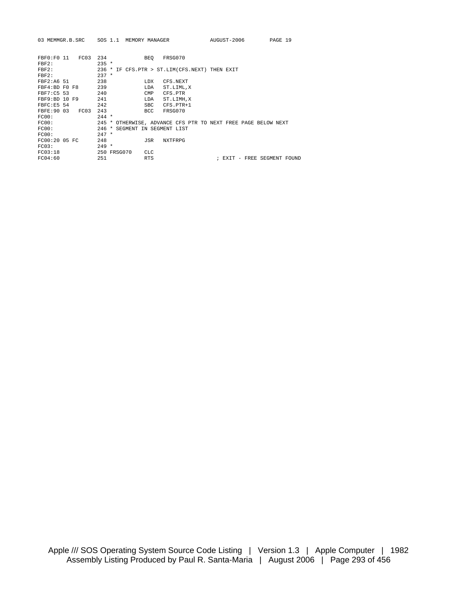| 03 MEMMGR.B.SRC SOS 1.1 MEMORY MANAGER |                    |                                                                    | AUGUST-2006                 | PAGE 19 |
|----------------------------------------|--------------------|--------------------------------------------------------------------|-----------------------------|---------|
| FRF0:FO 11<br>FC03<br>FBF2:<br>FBF2:   | 234<br>$235 *$     | FRSG070<br>BEO<br>236 * IF CFS. PTR > ST. LIM(CFS. NEXT) THEN EXIT |                             |         |
| FBF2:<br>FBF2:A6 51                    | $237 *$<br>238     | <b>T.DX</b><br>CFS.NEXT                                            |                             |         |
| FBF4:BD F0 F8                          | 239                | LDA<br>ST.LIML, X                                                  |                             |         |
| FBF7:C5 53<br>FBF9:BD 10 F9            | 240<br>241         | CMP<br>CFS.PTR<br>LDA<br>ST.LIMH, X                                |                             |         |
| FBFC: E5 54<br>FBFE: 90 03<br>FC03     | 242<br>243         | <b>SBC</b><br>CFS.PTR+1<br><b>BCC</b><br>FRSG070                   |                             |         |
| FC00:<br>FC00:                         | $244 *$<br>$245 *$ | OTHERWISE, ADVANCE CFS PTR TO NEXT FREE PAGE BELOW NEXT            |                             |         |
| FC00:<br>FC00:                         | $246 *$<br>$247 *$ | SEGMENT IN SEGMENT LIST                                            |                             |         |
| FC00:2005FC<br>FC03:                   | 248<br>$249 *$     | <b>NXTFRPG</b><br>JSR                                              |                             |         |
| FC03:18<br>FC04:60                     | 250 FRSG070<br>251 | <b>CLC</b><br><b>RTS</b>                                           | ; EXIT - FREE SEGMENT FOUND |         |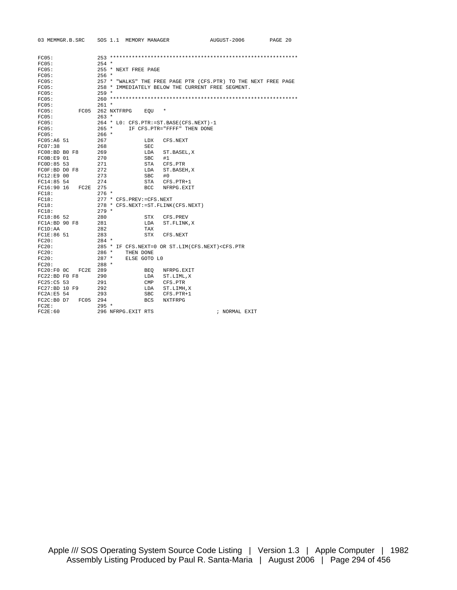| 03 MEMMGR.B.SRC           | SOS 1.1 MEMORY MANAGER                                                                         |                              | AUGUST-2006   | PAGE 20 |
|---------------------------|------------------------------------------------------------------------------------------------|------------------------------|---------------|---------|
|                           |                                                                                                |                              |               |         |
| FC05:                     |                                                                                                |                              |               |         |
| FC05:                     | $254 *$                                                                                        |                              |               |         |
| FC05:                     | 255 * NEXT FREE PAGE                                                                           |                              |               |         |
| FC05:                     | $256$ *                                                                                        |                              |               |         |
| FC05:                     | 257 * "WALKS" THE FREE PAGE PTR (CFS.PTR) TO THE NEXT FREE PAGE                                |                              |               |         |
| FC05:                     | 258 * IMMEDIATELY BELOW THE CURRENT FREE SEGMENT.                                              |                              |               |         |
| FC05:                     | $259 *$                                                                                        |                              |               |         |
| FC05:                     |                                                                                                |                              |               |         |
| FC05:                     | $261 *$                                                                                        |                              |               |         |
| FC05:                     | FC05 262 NXTFRPG<br>EOU                                                                        | $\ast$                       |               |         |
| FC05:                     | $263 *$                                                                                        |                              |               |         |
| FC05:                     | 264 * LO: CFS.PTR:=ST.BASE(CFS.NEXT)-1                                                         |                              |               |         |
| FC05:                     | $265$ *                                                                                        | IF CFS. PTR="FFFF" THEN DONE |               |         |
| FC05:                     | $266 *$                                                                                        |                              |               |         |
| FC05:A6 51                | 267                                                                                            |                              |               |         |
| FC07:38                   | LDX<br>268                                                                                     | CFS.NEXT                     |               |         |
| $FC08:BD$ $B0$ $F8$       | SEC<br>269                                                                                     |                              |               |         |
|                           | LDA                                                                                            | ST.BASEL, X                  |               |         |
| FCOR: F9 01<br>FC0D:85 53 | 270<br>SBC.<br>271<br>STA                                                                      | #1                           |               |         |
|                           |                                                                                                | CFS.PTR                      |               |         |
| FCOF:BD DO F8             | 272<br>LDA                                                                                     | ST.BASEH, X                  |               |         |
| FC12:E9 00                | 273<br>SBC                                                                                     | #0                           |               |         |
| FC14:85 54                | 274<br>STA                                                                                     | CFS.PTR+1                    |               |         |
| FC16:90 16<br>FC2E        | 275<br>BCC                                                                                     | NFRPG.EXIT                   |               |         |
| FC18:                     | $276$ *                                                                                        |                              |               |         |
| FC18:                     | 277 * CFS.PREV:=CFS.NEXT                                                                       |                              |               |         |
| FC18:                     | 278 * CFS.NEXT:=ST.FLINK(CFS.NEXT)                                                             |                              |               |         |
| FC18:                     | $279 *$                                                                                        |                              |               |         |
| FC18:86 52                | 280<br>STX                                                                                     | CFS.PREV                     |               |         |
| FC1A:BD 90 F8             | 281<br>LDA                                                                                     | ST.FLINK, X                  |               |         |
| FC1D:AA                   | 282<br>TAX                                                                                     |                              |               |         |
| FC1E:86 51                | 283<br>STX                                                                                     | CFS.NEXT                     |               |         |
| FC20:                     | $284$ *                                                                                        |                              |               |         |
| FC20:                     | 285 * IF CFS.NEXT=0 OR ST.LIM(CFS.NEXT) <cfs.ptr< td=""><td></td><td></td><td></td></cfs.ptr<> |                              |               |         |
| FC20:                     | $286$ *<br>THEN DONE                                                                           |                              |               |         |
| FC20:                     | $287$ *<br>ELSE GOTO LO                                                                        |                              |               |         |
| FC20:                     | $288 *$                                                                                        |                              |               |         |
| FC20:FOOC<br>FC2E         | 289<br>BEO                                                                                     | NFRPG.EXIT                   |               |         |
| $FC22:BD$ $FO$ $F8$       | 290<br>LDA                                                                                     | ST.LIML,X                    |               |         |
| FC25: C5 53               | 291<br>CMP                                                                                     | CFS.PTR                      |               |         |
| FC27:BD 10 F9             | 292<br>LDA                                                                                     | ST.LIMH, X                   |               |         |
| FC2A:E5 54                | 293<br>SBC                                                                                     | $CFS.PTR+1$                  |               |         |
| FC2C: B0 D7<br>FC05 294   | <b>BCS</b>                                                                                     | <b>NXTFRPG</b>               |               |         |
| FC2E:                     | $295 *$                                                                                        |                              |               |         |
| FC2E:60                   | 296 NFRPG.EXIT RTS                                                                             |                              | ; NORMAL EXIT |         |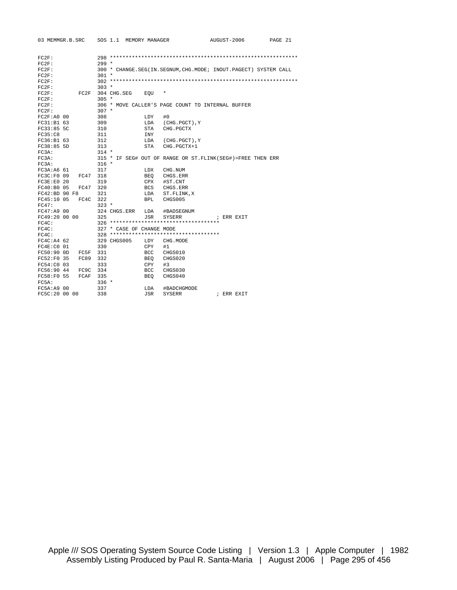| 03 MEMMGR.B.SRC   |          | SOS 1.1 MEMORY MANAGER    |            |                                                                 | AUGUST-2006 | PAGE 21 |
|-------------------|----------|---------------------------|------------|-----------------------------------------------------------------|-------------|---------|
|                   |          |                           |            |                                                                 |             |         |
| FC2F:             |          |                           |            |                                                                 |             |         |
| FC2F:             |          | $299*$                    |            |                                                                 |             |         |
| FC2F:             |          |                           |            | 300 * CHANGE.SEG(IN.SEGNUM, CHG.MODE; INOUT.PAGECT) SYSTEM CALL |             |         |
| FC2F:             |          | $301 *$                   |            |                                                                 |             |         |
| FC2F:             |          |                           |            |                                                                 |             |         |
| FC2F:             |          | $303 *$                   |            |                                                                 |             |         |
| FC2F:             | FC2F     | 304 CHG.SEG               | EOU        | $\ast$                                                          |             |         |
| FC2F:             |          | $305 *$                   |            |                                                                 |             |         |
| FC2F:             |          |                           |            | 306 * MOVE CALLER'S PAGE COUNT TO INTERNAL BUFFER               |             |         |
| FC2F:             |          | $307 *$                   |            |                                                                 |             |         |
| FC2F: A0 00       |          | 308                       | LDY        | #0                                                              |             |         |
| FC31:B163         |          | 309                       | LDA        | (CHG.PGCT),Y                                                    |             |         |
| FC33:85 5C        |          | 310                       | STA        | CHG. PGCTX                                                      |             |         |
| FC35: C8          |          | 311                       | <b>INY</b> |                                                                 |             |         |
| FC36:B1 63        |          | 312                       |            | LDA (CHG. PGCT), Y                                              |             |         |
| FC38:85 5D        |          | 313                       | STA        | CHG. PGCTX+1                                                    |             |         |
| FC3A:             |          | $314 *$                   |            |                                                                 |             |         |
| FC3A:             |          |                           |            | 315 * IF SEG# OUT OF RANGE OR ST. FLINK (SEG#)=FREE THEN ERR    |             |         |
| FC3A:             |          | $316 *$                   |            |                                                                 |             |         |
| FC3A:AG61         |          | 317                       | LDX        | CHG.NUM                                                         |             |         |
| FC3C:F0 09        | FC47 318 |                           | BEO        | CHGS.ERR                                                        |             |         |
| FC3E: E0 20       |          | 319                       | CPX        | #ST.CNT                                                         |             |         |
| FC40:B0 05        | FC47     | 320                       |            | BCS CHGS.ERR                                                    |             |         |
| $FC42:BD$ 90 $F8$ |          | 321                       | LDA        | ST.FLINK, X                                                     |             |         |
| FC45:10 05        | FC4C     | 322                       | <b>BPL</b> | CHGS005                                                         |             |         |
| FC47:             |          | $323 *$                   |            |                                                                 |             |         |
| FC47:A9 00        |          | 324 CHGS.ERR              | LDA        | #BADSEGNUM                                                      |             |         |
| FC49:20 00 00     |          | 325                       | JSR        | SYSERR                                                          | ; ERR EXIT  |         |
| FC4C:             |          |                           |            | 326 ***********************************                         |             |         |
| FC4C:             |          | 327 * CASE OF CHANGE MODE |            |                                                                 |             |         |
| FC4C:             |          |                           |            | 328 ***********************************                         |             |         |
| FC4C: A4 62       |          | 329 CHGS005               | LDY        | CHG.MODE                                                        |             |         |
| FC4E:CO 01        |          | 330                       | CPY        | #1                                                              |             |         |
| FC50:90 0D        | FC5F 331 |                           | BCC        | CHGS010                                                         |             |         |
| FC52:FO 35        | FC89     | 332                       | BEO        | CHGS020                                                         |             |         |
| FC54:C0 03        |          | 333                       | CPY        | #3                                                              |             |         |
| FC56:90 44        | FC9C     | 334                       | BCC        | CHGS030                                                         |             |         |
| FC58:F0 55        | FCAF     | 335                       | <b>BEO</b> | CHGS040                                                         |             |         |
| FC5A:             |          | $336 *$                   |            |                                                                 |             |         |
| FC5A: A9 00       |          | 337                       | LDA        | #BADCHGMODE                                                     |             |         |
| FC5C:20 00 00     |          | 338                       | JSR        | <b>SYSERR</b>                                                   | ; ERR EXIT  |         |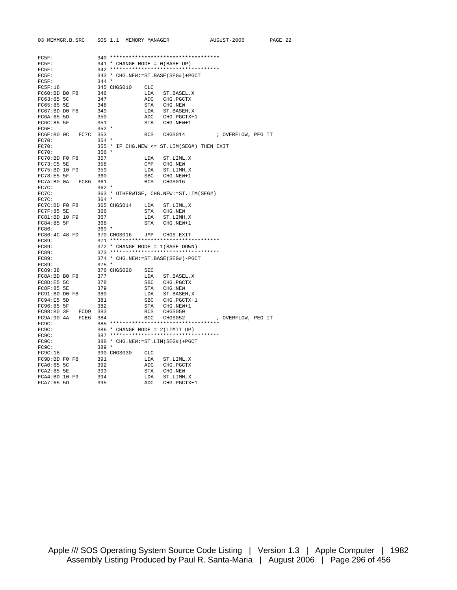| 03 MEMMGR.B.SRC     |             | SOS 1.1 MEMORY MANAGER             |                                            | AUGUST-2006        | PAGE 22 |
|---------------------|-------------|------------------------------------|--------------------------------------------|--------------------|---------|
|                     |             |                                    |                                            |                    |         |
|                     |             |                                    |                                            |                    |         |
| $FC5F$ :            |             |                                    | $340$ ***********************************  |                    |         |
| $FC5F$ :            |             | $341 *$ CHANGE MODE = $0(BASE UP)$ | 342 ***********************************    |                    |         |
| FC5F:               |             |                                    |                                            |                    |         |
| FC5F:               |             |                                    | 343 * CHG.NEW: = ST.BASE(SEG#) + PGCT      |                    |         |
| FC5F:               | $344 *$     |                                    |                                            |                    |         |
| FC5F:18             | 345 CHGS010 | <b>CLC</b>                         |                                            |                    |         |
| FC60:BD B0 F8       | 346         | LDA                                | ST.BASEL, X                                |                    |         |
| FC63:65 5C          | 347         | ADC                                | CHG. PGCTX                                 |                    |         |
| FC65:85 5E          | 348         | <b>STA</b>                         | CHG.NEW                                    |                    |         |
| FC67:BD D0 F8       | 349         | LDA                                | ST.BASEH, X                                |                    |         |
| FC6A:65 5D          | 350         | ADC                                | CHG. PGCTX+1                               |                    |         |
| FC6C:85 5F          | 351         | <b>STA</b>                         | CHG.NEW+1                                  |                    |         |
| FC6E:               | $352 *$     |                                    |                                            |                    |         |
| FC6E:B0 OC<br>FC7C  | 353         | <b>BCS</b>                         | CHGS014                                    | ; OVERFLOW, PEG IT |         |
| FC70:               | $354 *$     |                                    |                                            |                    |         |
| FC70:               |             |                                    | 355 * IF CHG.NEW <= ST.LIM(SEG#) THEN EXIT |                    |         |
| FC70:               | $356 *$     |                                    |                                            |                    |         |
| $FC70:BD$ $F0$ $F8$ | 357         | LDA                                | ST.LIML, X                                 |                    |         |
| FC73:C5 5E          | 358         | CMP                                | CHG.NEW                                    |                    |         |
| FC75:BD 10 F9       | 359         | LDA                                | ST.LIMH, X                                 |                    |         |
| FC78:E5 5F          | 360         | <b>SBC</b>                         | CHG.NEW+1                                  |                    |         |
| FC7A:B0 0A<br>FC86  | 361         | BCS                                | CHGS016                                    |                    |         |
| FC7C:               | $362 *$     |                                    |                                            |                    |         |
| FC7C:               |             |                                    | 363 * OTHERWISE, CHG.NEW: = ST.LIM(SEG#)   |                    |         |
| FC7C:               | $364 *$     |                                    |                                            |                    |         |
| FC7C:BD F0 F8       | 365 CHGS014 | LDA                                | ST.LIML, X                                 |                    |         |
| FC7F:85 5E          | 366         | STA                                | CHG.NEW                                    |                    |         |
| FC81:BD 10 F9       | 367         | LDA                                | ST.LIMH, X                                 |                    |         |
| FC84:85 5F          | 368         | STA                                | CHG.NEW+1                                  |                    |         |
| FC86:               | $369 *$     |                                    |                                            |                    |         |
| FC86:4C 48 FD       | 370 CHGS016 | JMP                                | CHGS.EXIT                                  |                    |         |
| FC89:               |             |                                    | 371 ***********************************    |                    |         |
| FC89:               |             |                                    | 372 * CHANGE MODE = 1(BASE DOWN)           |                    |         |
| <b>FC89:</b>        |             |                                    |                                            |                    |         |
| FC89:               |             |                                    | 374 * CHG.NEW: = ST.BASE(SEG#)-PGCT        |                    |         |
| FC89:               | $375 *$     |                                    |                                            |                    |         |
| FC89:38             | 376 CHGS020 | SEC                                |                                            |                    |         |
| FC8A: BD B0 F8      | 377         | LDA                                | ST.BASEL, X                                |                    |         |
| FC8D: E5 5C         | 378         | <b>SBC</b>                         | CHG. PGCTX                                 |                    |         |
| FC8F:85 5E          | 379         | STA                                | CHG.NEW                                    |                    |         |
| $FC91:BD$ DO $F8$   | 380         | LDA                                | ST.BASEH, X                                |                    |         |
| FC94:E5 5D          | 381         | <b>SBC</b>                         | CHG. PGCTX+1                               |                    |         |
| FC96:85 5F          | 382         | STA                                | CHG.NEW+1                                  |                    |         |
| FC98:B0 3F<br>FCD9  | 383         | <b>BCS</b>                         | CHGS050                                    |                    |         |
| FC9A: 90 4A<br>FCE6 | 384         | BCC                                | CHGS052                                    | ; OVERFLOW, PEG IT |         |
| FC9C:               |             |                                    | 385 ***********************************    |                    |         |
| FC9C:               |             | 386 * CHANGE MODE = 2(LIMIT UP)    |                                            |                    |         |
| FC9C:               |             |                                    | 387 ***********************************    |                    |         |
| FC9C:               |             |                                    | 388 * CHG.NEW: = ST.LIM(SEG#) + PGCT       |                    |         |
| FC9C:               | $389 *$     |                                    |                                            |                    |         |
| FC9C:18             | 390 CHGS030 | <b>CLC</b>                         |                                            |                    |         |
| FC9D:BD F0 F8       | 391         | LDA                                | ST.LIML, X                                 |                    |         |
| FCA0:65 5C          | 392         | ADC                                | CHG. PGCTX                                 |                    |         |
| $FCA2:85$ 5E        | 393         | STA                                | CHG.NEW                                    |                    |         |
| FCA4:BD 10 F9       | 394         | LDA                                | ST.LIMH, X                                 |                    |         |
| FCA7:65 5D          | 395         | ADC                                | CHG. PGCTX+1                               |                    |         |

Apple /// SOS Operating System Source Code Listing | Version 1.3 | Apple Computer | 1982 Assembly Listing Produced by Paul R. Santa-Maria | August 2006 | Page 296 of 456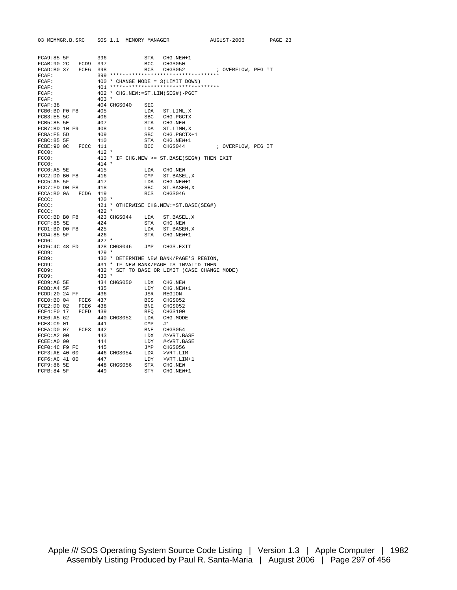| 03 MEMMGR.B.SRC              |      |         | SOS 1.1 MEMORY MANAGER |              |                                                            | AUGUST-2006        | PAGE 23 |  |
|------------------------------|------|---------|------------------------|--------------|------------------------------------------------------------|--------------------|---------|--|
|                              |      |         |                        |              |                                                            |                    |         |  |
| FCA9:85 5F                   |      | 396     |                        | STA          | CHG.NEW+1                                                  |                    |         |  |
| FCAB: 90 2C                  | FCD9 | 397     |                        | BCC          | CHGS050                                                    |                    |         |  |
| FCAD: B0 37                  | FCE6 | 398     |                        | BCS          | CHGS052                                                    | ; OVERFLOW, PEG IT |         |  |
| FCAF:                        |      |         |                        |              |                                                            |                    |         |  |
| FCAF:                        |      |         |                        |              | 400 * CHANGE MODE = 3(LIMIT DOWN)                          |                    |         |  |
| FCAF:                        |      |         |                        |              | 401 ***********************************                    |                    |         |  |
| FCAF:                        |      |         |                        |              | 402 * CHG.NEW: = ST.LIM(SEG#)-PGCT                         |                    |         |  |
| FCAF:                        |      | $403 *$ |                        |              |                                                            |                    |         |  |
| FCAF:38                      |      |         | 404 CHGS040            | SEC          |                                                            |                    |         |  |
| FCB0:BD F0 F8                |      | 405     |                        | LDA          | ST.LIML, X                                                 |                    |         |  |
| FCB3:E5 5C                   |      | 406     |                        | <b>SBC</b>   | CHG. PGCTX                                                 |                    |         |  |
| $FCB5:85$ 5E                 |      | 407     |                        | STA          | CHG.NEW                                                    |                    |         |  |
| FCB7:BD 10 F9                |      | 408     |                        | LDA          | ST.LIMH, X                                                 |                    |         |  |
| FCBA:E5 5D                   |      | 409     |                        | <b>SBC</b>   | CHG. PGCTX+1                                               |                    |         |  |
| FCBC: 85 5F                  |      | 410     |                        | STA          | CHG.NEW+1                                                  |                    |         |  |
| $FCBE:90$ OC                 | FCCC | 411     |                        | BCC          | CHGS044                                                    | ; OVERFLOW, PEG IT |         |  |
| FCCO:                        |      | $412 *$ |                        |              |                                                            |                    |         |  |
| FCCO:<br>FCCO:               |      | $414 *$ |                        |              | 413 * IF CHG. NEW >= ST. BASE (SEG#) THEN EXIT             |                    |         |  |
|                              |      |         |                        |              |                                                            |                    |         |  |
| FCCO: A5 5E                  |      | 415     |                        | LDA          | CHG.NEW                                                    |                    |         |  |
| FCC2:DD B0 F8                |      | 416     |                        | CMP          | ST.BASEL, X                                                |                    |         |  |
| FCC5: A5 5F                  |      | 417     |                        | LDA          | CHG.NEW+1                                                  |                    |         |  |
| FCC7:FD D0 F8                |      | 418     |                        | SBC          | ST.BASEH, X                                                |                    |         |  |
| FCCA: B0 0A                  | FCD6 | 419     |                        | BCS          | CHGS046                                                    |                    |         |  |
| FCCC:                        |      | $420 *$ |                        |              |                                                            |                    |         |  |
| FCCC:                        |      |         |                        |              | 421 * OTHERWISE CHG.NEW: = ST.BASE (SEG#)                  |                    |         |  |
| FCCC:                        |      | $422 *$ | 423 CHGS044            |              |                                                            |                    |         |  |
| FCCC:BD B0 F8<br>FCCF: 85 5E |      | 424     |                        | LDA<br>STA   | ST.BASEL, X                                                |                    |         |  |
| FCD1:BD D0 F8                |      | 425     |                        | LDA          | CHG.NEW<br>ST.BASEH, X                                     |                    |         |  |
| $FCD4:85$ 5F                 |      | 426     |                        | STA          | CHG.NEW+1                                                  |                    |         |  |
| FCD6:                        |      | $427 *$ |                        |              |                                                            |                    |         |  |
| FCD6:4C <sub>48</sub> FD     |      |         | 428 CHGS046            | JMP          | CHGS.EXIT                                                  |                    |         |  |
| FCD9:                        |      | $429 *$ |                        |              |                                                            |                    |         |  |
| FCD9:                        |      |         |                        |              | 430 * DETERMINE NEW BANK/PAGE'S REGION,                    |                    |         |  |
| FCD9:                        |      |         |                        |              | 431 * IF NEW BANK/PAGE IS INVALID THEN                     |                    |         |  |
| FCD9:                        |      |         |                        |              | 432 * SET TO BASE OR LIMIT (CASE CHANGE MODE)              |                    |         |  |
| FCD9:                        |      | $433 *$ |                        |              |                                                            |                    |         |  |
| FCD9:AG5E                    |      |         | 434 CHGS050            | LDX          | CHG.NEW                                                    |                    |         |  |
| FCDB: A4 5F                  |      | 435     |                        | LDY          | CHG.NEW+1                                                  |                    |         |  |
| FCDD:20 24 FF                |      | 436     |                        | JSR          | REGION                                                     |                    |         |  |
| FCEO: BO 04                  | FCE6 | 437     |                        | BCS          | CHGS052                                                    |                    |         |  |
| FCE2: D0 02                  | FCE6 | 438     |                        | BNE          | CHGS052                                                    |                    |         |  |
| FCE4:FO 17                   | FCFD | 439     |                        | <b>BEO</b>   | CHGS100                                                    |                    |         |  |
| FCE6:A5 62                   |      |         | 440 CHGS052            | LDA          | CHG.MODE                                                   |                    |         |  |
| FCE8:C9 01                   |      | 441     |                        | $\text{CMP}$ | #1                                                         |                    |         |  |
| FCEA: DO 07                  | FCF3 | 442     |                        | BNE          | CHGS054                                                    |                    |         |  |
| FCEC: A2 00                  |      | 443     |                        | LDX          | #>VRT.BASE                                                 |                    |         |  |
| FCEE: A0 00                  |      | 444     |                        | LDY          | # <vrt.base< td=""><td></td><td></td><td></td></vrt.base<> |                    |         |  |
| FCF0:4C F9 FC                |      | 445     |                        | JMP          | CHGS056                                                    |                    |         |  |
| FCF3:AE 40 00                |      |         | 446 CHGS054            | LDX          | >VRT.LIM                                                   |                    |         |  |
| FCF6:AC 41 00                |      | 447     |                        | LDY          | $>VRT.LIM+1$                                               |                    |         |  |
| FCF9:86 5E                   |      |         | 448 CHGS056            | STX          | CHG.NEW                                                    |                    |         |  |
|                              |      |         |                        |              |                                                            |                    |         |  |

FCFB:84 5F 449 STY CHG.NEW+1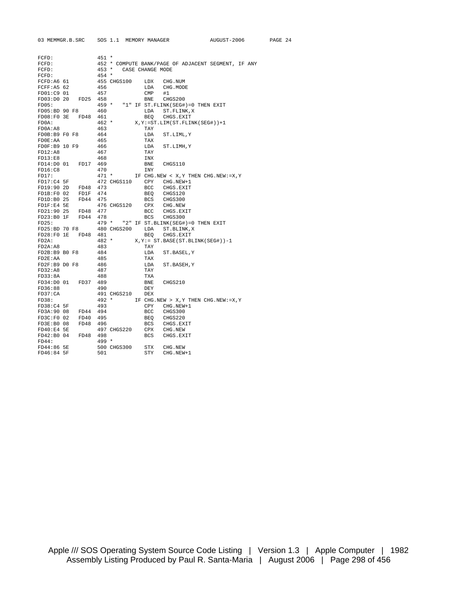| 03 MEMMGR.B.SRC |             | SOS 1.1 MEMORY MANAGER |              |                                                     | AUGUST-2006 | PAGE 24 |  |
|-----------------|-------------|------------------------|--------------|-----------------------------------------------------|-------------|---------|--|
|                 |             |                        |              |                                                     |             |         |  |
|                 |             |                        |              |                                                     |             |         |  |
| FCFD:           | $451 *$     |                        |              |                                                     |             |         |  |
| FCFD:           |             |                        |              | 452 * COMPUTE BANK/PAGE OF ADJACENT SEGMENT, IF ANY |             |         |  |
| FCFD:           |             | 453 * CASE CHANGE MODE |              |                                                     |             |         |  |
| FCFD:           | $454 *$     |                        |              |                                                     |             |         |  |
| FCFD: A6 61     |             | 455 CHGS100            | LDX          | CHG.NUM                                             |             |         |  |
| FCFF: A5 62     | 456         |                        | LDA          | CHG.MODE                                            |             |         |  |
| FD01:C9 01      | 457         |                        | $\text{CMP}$ | #1                                                  |             |         |  |
| FD03:D0 20      | FD25 458    |                        | BNE          | CHGS200                                             |             |         |  |
| FDO5:           |             | $459 *$                |              | "1" IF ST. FLINK (SEG#) = 0 THEN EXIT               |             |         |  |
| FD05:BD 90 F8   | 460         |                        | LDA          | ST. FLINK, X                                        |             |         |  |
| FDO8:FO 3E      | 461<br>FD48 |                        | BEO          | CHGS.EXIT                                           |             |         |  |
| FDOA:           | $462 *$     |                        |              | $X, Y := ST.LIM(ST.FLINK(SEG#)) + 1$                |             |         |  |
| FDOA: A8        | 463         |                        | TAY          |                                                     |             |         |  |
| FD0B:B9 F0 F8   | 464         |                        | LDA          | ST.LIML, Y                                          |             |         |  |
| FDOE:AA         | 465         |                        | TAX          |                                                     |             |         |  |
| FD0F:B9 10 F9   | 466         |                        | LDA          | ST.LIMH, Y                                          |             |         |  |
| FD12:A8         | 467         |                        | TAY          |                                                     |             |         |  |
| FD13:E8         | 468         |                        | INX          |                                                     |             |         |  |
| FD14:D0 01      | FD17<br>469 |                        | BNE          | CHGS110                                             |             |         |  |
| FD16:CB         | 470         |                        | <b>INY</b>   |                                                     |             |         |  |
| FD17:           | $471 *$     |                        |              | IF CHG.NEW < X, Y THEN CHG.NEW: = X, Y              |             |         |  |
| $FD17:C4$ 5F    |             | 472 CHGS110            | CPY          | CHG.NEW+1                                           |             |         |  |
| FD19:90 2D      | 473<br>FD48 |                        | BCC          | CHGS.EXIT                                           |             |         |  |
| FD1B: F0 02     | FD1F 474    |                        | BEO          | CHGS120                                             |             |         |  |
| FD1D:B0 25      | FD44<br>475 |                        |              | BCS CHGS300                                         |             |         |  |
| FD1F:E4 5E      |             | 476 CHGS120            | CPX          | CHG.NEW                                             |             |         |  |
| FD21:90 25      | 477<br>FD48 |                        | BCC          | CHGS.EXIT                                           |             |         |  |
| FD23:B0 1F      | FD44<br>478 |                        | <b>BCS</b>   | CHGS300                                             |             |         |  |
| FD25:           |             | $479 *$                |              | "2" IF ST. BLINK (SEG#) = 0 THEN EXIT               |             |         |  |
| FD25:BD 70 F8   |             | 480 CHGS200            | LDA          | ST.BLINK, X                                         |             |         |  |
| FD28:FO 1E      | 481<br>FD48 |                        | BEO          | CHGS.EXIT                                           |             |         |  |
| FD2A:           | $482 *$     |                        |              | $X, Y := ST.BASE(ST.BLINK(SEG#)) - 1$               |             |         |  |
| FD2A:AB         | 483         |                        | TAY          |                                                     |             |         |  |
| FD2B:B9 B0 F8   | 484         |                        |              |                                                     |             |         |  |
| FD2E:AA         | 485         |                        | LDA<br>TAX   | ST.BASEL, Y                                         |             |         |  |
| FD2F:B9 D0 F8   | 486         |                        |              |                                                     |             |         |  |
| FD32:AB         | 487         |                        | LDA<br>TAY   | ST.BASEH, Y                                         |             |         |  |
|                 |             |                        | <b>TXA</b>   |                                                     |             |         |  |
| FD33:8A         | 488         |                        |              |                                                     |             |         |  |
| FD34:D0 01      | FD37 489    |                        | <b>BNE</b>   | CHGS210                                             |             |         |  |
| FD36:88         | 490         |                        | <b>DEY</b>   |                                                     |             |         |  |
| FD37:CA         |             | 491 CHGS210            | <b>DEX</b>   |                                                     |             |         |  |
| FD38:           | $492 *$     |                        |              | IF CHG.NEW > X, Y THEN CHG.NEW: = X, Y              |             |         |  |
| FD38: C4 5F     | 493         |                        | CPY          | $CHG.NEW+1$                                         |             |         |  |
| FD3A:90 08      | FD44 494    |                        | BCC          | CHGS300                                             |             |         |  |
| FD3C: F0 02     | FD40<br>495 |                        | BEQ          | CHGS220                                             |             |         |  |
| FD3E:B0 08      | FD48<br>496 |                        | BCS          | CHGS.EXIT                                           |             |         |  |
| FD40: E4 5E     |             | 497 CHGS220            | CPX          | CHG.NEW                                             |             |         |  |
| FD42:B0 04      | FD48 498    |                        | BCS          | CHGS.EXIT                                           |             |         |  |
| FD44:           | $499 *$     |                        |              |                                                     |             |         |  |
| FD44:86 5E      |             | 500 CHGS300            | STX          | CHG.NEW                                             |             |         |  |
| FD46:84 5F      | 501         |                        | STY          | CHG.NEW+1                                           |             |         |  |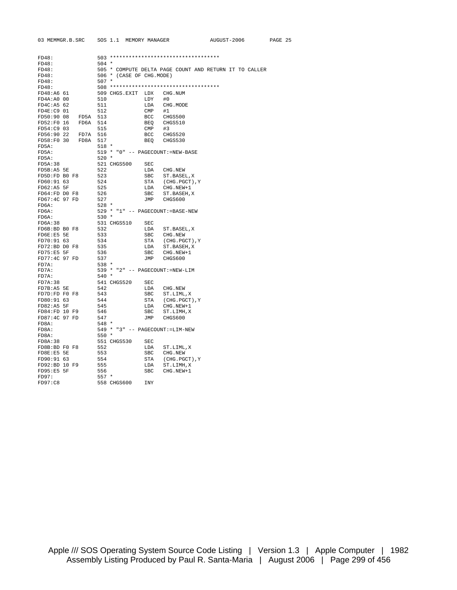| 03 MEMMGR.B.SRC                            | SOS 1.1 MEMORY MANAGER    |              |                                                 | AUGUST-2006 |                                                        | PAGE 25 |  |
|--------------------------------------------|---------------------------|--------------|-------------------------------------------------|-------------|--------------------------------------------------------|---------|--|
|                                            |                           |              |                                                 |             |                                                        |         |  |
| FD48:                                      |                           |              | 503 ***********************************         |             |                                                        |         |  |
| FD48:                                      | $504$ *                   |              |                                                 |             |                                                        |         |  |
| FD48:                                      |                           |              |                                                 |             | 505 * COMPUTE DELTA PAGE COUNT AND RETURN IT TO CALLER |         |  |
| FD48:                                      | 506 * (CASE OF CHG.MODE)  |              |                                                 |             |                                                        |         |  |
| FD48:                                      | $507 *$                   |              |                                                 |             |                                                        |         |  |
| FD48:                                      |                           |              | 508 ***********************************         |             |                                                        |         |  |
| FD48:A6 61                                 | 509 CHGS.EXIT LDX CHG.NUM |              |                                                 |             |                                                        |         |  |
| FD4A: A0 00                                | 510                       | LDY          | #0                                              |             |                                                        |         |  |
| FD4C: A5 62                                | 511                       |              | LDA CHG. MODE                                   |             |                                                        |         |  |
| $FD4E: C9$ 01                              | 512                       | $\text{CMP}$ | #1                                              |             |                                                        |         |  |
| FD50:90 08 FD5A 513                        |                           |              | BCC CHGS500                                     |             |                                                        |         |  |
| FD52:F0 16 FD6A 514                        |                           |              | BEQ CHGS510                                     |             |                                                        |         |  |
| FD54:C9 03                                 | 515                       | CMP          | #3                                              |             |                                                        |         |  |
| FD56:90 22 FD7A 516<br>FD58:F0 30 FD8A 517 |                           |              | BCC CHGS520                                     |             |                                                        |         |  |
|                                            |                           | BEQ          | CHGS530                                         |             |                                                        |         |  |
| FD5A:                                      | 518 *                     |              |                                                 |             |                                                        |         |  |
| FD5A:                                      |                           |              | 519 * "0" -- PAGECOUNT: =NEW-BASE               |             |                                                        |         |  |
| FD5A:                                      | $520 *$                   |              |                                                 |             |                                                        |         |  |
| FD5A:38                                    | 521 CHGS500               | SEC          |                                                 |             |                                                        |         |  |
| FD5B:A5 5E                                 | 522                       |              | LDA CHG.NEW                                     |             |                                                        |         |  |
| FD5D:FD B0 F8                              | 523                       |              | SBC ST. BASEL, X                                |             |                                                        |         |  |
| FD60:91 63                                 | 524                       |              | STA (CHG. PGCT), Y                              |             |                                                        |         |  |
| FD62:A5 5F                                 | 525                       |              | LDA CHG.NEW+1                                   |             |                                                        |         |  |
| FD64:FD D0 F8                              | 526                       |              | SBC ST. BASEH, X                                |             |                                                        |         |  |
| FD67:4C 97 FD                              | 527                       |              | JMP CHGS600                                     |             |                                                        |         |  |
| FD6A:                                      | $528 *$                   |              |                                                 |             |                                                        |         |  |
| FD6A:                                      |                           |              | 529 * "1" -- PAGECOUNT:=BASE-NEW                |             |                                                        |         |  |
| FD6A:                                      | $530 *$                   |              |                                                 |             |                                                        |         |  |
| FD6A:38                                    | 531 CHGS510               | SEC          |                                                 |             |                                                        |         |  |
| FD6B:BD B0 F8                              | 532                       |              | LDA ST.BASEL, X                                 |             |                                                        |         |  |
| FD6E:E5 5E                                 | 533                       |              | SBC CHG.NEW                                     |             |                                                        |         |  |
| FD70:91 63                                 | 534                       |              | STA (CHG.PGCT), Y                               |             |                                                        |         |  |
| FD72:BD D0 F8                              | 535                       |              | LDA ST.BASEH, X                                 |             |                                                        |         |  |
| FD75:E55                                   | 536                       |              | SBC CHG.NEW+1                                   |             |                                                        |         |  |
| FD77:4C 97 FD                              | 537                       |              | JMP CHGS600                                     |             |                                                        |         |  |
| FD7A:                                      | $538 *$                   |              | 539 * "2" -- PAGECOUNT: =NEW-LIM                |             |                                                        |         |  |
| FD7A:<br>FD7A:                             |                           |              |                                                 |             |                                                        |         |  |
|                                            | 540 *                     |              |                                                 |             |                                                        |         |  |
| FD7A:38<br>FD7B: A5 5E                     | 541 CHGS520<br>542        | SEC          |                                                 |             |                                                        |         |  |
| FD7D:FD F0 F8                              | 543                       |              | LDA CHG.NEW                                     |             |                                                        |         |  |
|                                            |                           |              | ${\tt SBC} \qquad {\tt ST.LIML} \,, \\ {\tt X}$ |             |                                                        |         |  |
| FD80:91 63<br>FD82: A5 5F                  | 544                       |              | STA (CHG. PGCT), Y<br>LDA CHG.NEW+1             |             |                                                        |         |  |
| FD84:FD 10 F9                              | 545<br>546                |              | SBC ST.LIMH, X                                  |             |                                                        |         |  |
| FD87:4C 97 FD                              | 547                       |              | CHGS600                                         |             |                                                        |         |  |
| FD8A:                                      | 548 *                     | JMP          |                                                 |             |                                                        |         |  |
| FD8A:                                      |                           |              | 549 * "3" -- PAGECOUNT: =LIM-NEW                |             |                                                        |         |  |
| FD8A:                                      | $550*$                    |              |                                                 |             |                                                        |         |  |
| FD8A:38                                    | 551 CHGS530               | SEC          |                                                 |             |                                                        |         |  |
| FD8B:BD F0 F8                              | 552                       |              | LDA ST.LIML, X                                  |             |                                                        |         |  |
| FD8E:E5 5E                                 | 553                       |              | SBC CHG.NEW                                     |             |                                                        |         |  |
| FD90:91 63                                 | 554                       |              | STA (CHG. PGCT), Y                              |             |                                                        |         |  |
| FD92:BD 10 F9                              | 555                       |              | LDA ST.LIMH, X                                  |             |                                                        |         |  |
| FD95:E5 5F                                 | 556                       |              | SBC CHG.NEW+1                                   |             |                                                        |         |  |
| FD97:                                      | $557 *$                   |              |                                                 |             |                                                        |         |  |
| FD97:C8                                    | 558 CHGS600               | <b>INY</b>   |                                                 |             |                                                        |         |  |
|                                            |                           |              |                                                 |             |                                                        |         |  |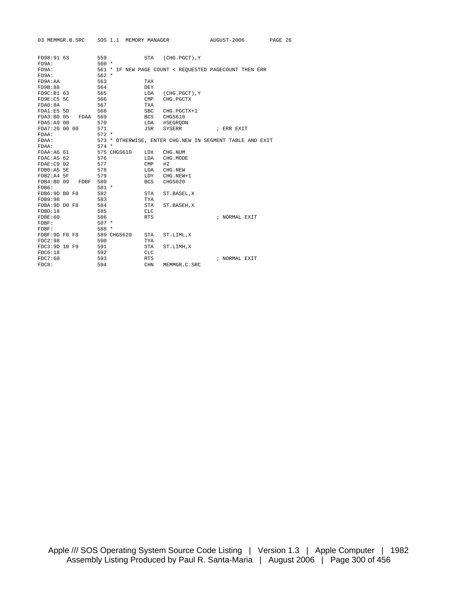|                          | 03 MEMMGR.B.SRC |         |             |              | SOS 1.1 MEMORY MANAGER | AUGUST-2006                                              | PAGE 26 |  |
|--------------------------|-----------------|---------|-------------|--------------|------------------------|----------------------------------------------------------|---------|--|
|                          |                 |         |             |              |                        |                                                          |         |  |
| FD98:91 63               |                 | 559     |             |              | STA (CHG. PGCT), Y     |                                                          |         |  |
| FD9A:                    |                 | $560 *$ |             |              |                        |                                                          |         |  |
| FD9A:                    |                 |         |             |              |                        | 561 * IF NEW PAGE COUNT < REQUESTED PAGECOUNT THEN ERR   |         |  |
| FD9A:                    |                 | $562 *$ |             |              |                        |                                                          |         |  |
| FD9A:AA                  |                 | 563     |             | TAX          |                        |                                                          |         |  |
| FD9B:88                  |                 | 564     |             | DEY          |                        |                                                          |         |  |
| FD9C: B1 63              |                 | 565     |             | LDA          | (CHG.PGCT), Y          |                                                          |         |  |
| FD9E: C5 5C              |                 | 566     |             | $\text{CMP}$ | CHG. PGCTX             |                                                          |         |  |
| FDAO: 8A                 |                 | 567     |             | <b>TXA</b>   |                        |                                                          |         |  |
| FDA1:E5 5D               |                 | 568     |             | SBC          | CHG.PGCTX+1            |                                                          |         |  |
| FDA3:B005                | FDAA 569        |         |             |              | BCS CHGS610            |                                                          |         |  |
| FDA5:A9 00               |                 | 570     |             |              | LDA #SEGRQDN           |                                                          |         |  |
| FDA7:20 00 00            |                 | 571     |             | JSR          | SYSERR                 | ; ERR EXIT                                               |         |  |
| FDAA:                    |                 | $572 *$ |             |              |                        |                                                          |         |  |
| FDAA:                    |                 |         |             |              |                        | 573 * OTHERWISE, ENTER CHG.NEW IN SEGMENT TABLE AND EXIT |         |  |
| FDAA:                    |                 | $574$ * |             |              |                        |                                                          |         |  |
| FDAA:A6 61               |                 |         | 575 CHGS610 | LDX          | CHG.NUM                |                                                          |         |  |
| FDAC: A5 62              |                 | 576     |             | LDA          | CHG.MODE               |                                                          |         |  |
| FDAE:C9 02               |                 | 577     |             | $CMP$ #2     |                        |                                                          |         |  |
| $FDB0:AB$ 5E             |                 | 578     |             |              | LDA CHG.NEW            |                                                          |         |  |
| $FDB2:AA$ 5F             |                 | 579     |             |              | LDY CHG.NEW+1          |                                                          |         |  |
| FDB4:B0 09               | FDBF 580        |         |             | BCS          | CHGS620                |                                                          |         |  |
| FDB6:                    |                 | $581 *$ |             |              |                        |                                                          |         |  |
| FDB6:9D <sub>B0</sub> F8 |                 | 582     |             | STA          | ST.BASEL, X            |                                                          |         |  |
| <b>FDB9:98</b>           |                 | 583     |             | TYA          |                        |                                                          |         |  |
| FDBA: 9D DO F8           |                 | 584     |             | STA          | ST.BASEH, X            |                                                          |         |  |
| FDBD:18                  |                 | 585     |             | <b>CLC</b>   |                        |                                                          |         |  |
| FDRF:60                  |                 | 586     |             | <b>RTS</b>   |                        | ; NORMAL EXIT                                            |         |  |
| $FDBF$ :                 |                 | $587 *$ |             |              |                        |                                                          |         |  |
| $FDBF$ :                 |                 | 588 *   |             |              |                        |                                                          |         |  |
| FDBF:9D F0 F8            |                 |         | 589 CHGS620 | STA          | ST.LIML, X             |                                                          |         |  |
| FDC2:98                  |                 | 590     |             | TYA          |                        |                                                          |         |  |
| FDC3:9D 10 F9            |                 | 591     |             | STA          | ST.LIMH, X             |                                                          |         |  |
| FDC6:18                  |                 | 592     |             | CLC          |                        |                                                          |         |  |
| FDC7:60                  |                 | 593     |             | <b>RTS</b>   |                        | ; NORMAL EXIT                                            |         |  |
| FDC8:                    |                 | 594     |             | <b>CHN</b>   | MEMMGR.C.SRC           |                                                          |         |  |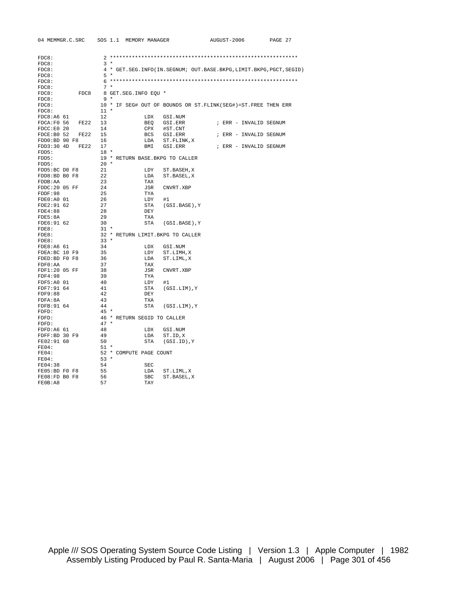| FDC8:               |              |                                   |                                                                           |
|---------------------|--------------|-----------------------------------|---------------------------------------------------------------------------|
| FDC8:               |              | $3 *$                             |                                                                           |
| FDC8:               |              |                                   | 4 * GET. SEG. INFO(IN. SEGNUM; OUT. BASE. BKPG, LIMIT. BKPG, PGCT, SEGID) |
| FDC8:               |              | $5*$                              |                                                                           |
| FDC8:               |              |                                   |                                                                           |
| FDC8:               |              | $7 *$                             |                                                                           |
| FDC8:<br>FDC8       |              | 8 GET.SEG.INFO EOU *              |                                                                           |
| FDC8:               |              | 9 *                               |                                                                           |
| FDC8:               |              |                                   | 10 * IF SEG# OUT OF BOUNDS OR ST. FLINK (SEG#)=ST. FREE THEN ERR          |
| FDC8:               | $11 *$       |                                   |                                                                           |
| FDC8:AG61           | 12           | LDX                               | GSI.NUM                                                                   |
| FDCA: F0 56<br>FE22 | 13           | BEQ                               | GSI.ERR<br>; ERR - INVALID SEGNUM                                         |
| FDCC: E0 20         | 14           | CPX                               | #ST.CNT                                                                   |
| FDCE: B0 52<br>FE22 | 15           | BCS                               | GSI.ERR<br>; ERR - INVALID SEGNUM                                         |
| FDD0:BD 90 F8       | 16           | LDA                               | ST.FLINK, X                                                               |
| FDD3:30 4D<br>FE22  | 17           | BMI                               | GSI.ERR<br>; ERR - INVALID SEGNUM                                         |
| FDD5:               | $18 *$       |                                   |                                                                           |
| FDD5:               |              | 19 * RETURN BASE. BKPG TO CALLER  |                                                                           |
| FDD5:               | $20 *$       |                                   |                                                                           |
| FDD5:BC D0 F8       | 21           | LDY                               | ST.BASEH, X                                                               |
| FDD8:BD B0 F8       | 22           | LDA                               | ST.BASEL, X                                                               |
| FDDB:AA             | 23           | TAX                               |                                                                           |
| $FDDC:20$ 05 $FF$   | 24           | JSR                               | CNVRT.XBP                                                                 |
| FDDF:98             | 25           | TYA                               |                                                                           |
| FDE0:A0 01          |              |                                   |                                                                           |
| FDE2:91 62          | 26<br>27     | LDY                               | #1                                                                        |
| FDE4:88             | 28           | STA                               | (GSI.BASE),Y                                                              |
|                     |              | DEY                               |                                                                           |
| FDE5:8A             | 29<br>30     | TXA                               |                                                                           |
| FDE6:91 62          | $31 *$       | STA                               | (GSI.BASE),Y                                                              |
| FDE8:               |              |                                   |                                                                           |
| FDE8:               |              | 32 * RETURN LIMIT. BKPG TO CALLER |                                                                           |
| FDE8:               | $33 *$<br>34 |                                   |                                                                           |
| FDE8:A6 61          |              | LDX                               | GSI.NUM                                                                   |
| FDEA: BC 10 F9      | 35           | LDY                               | ST.LIMH, X                                                                |
| FDED:BD F0 F8       | 36           | LDA                               | ST.LIML, X                                                                |
| FDF0:AA             | 37           | TAX                               |                                                                           |
| FDF1:20 05 FF       | 38           | JSR                               | CNVRT.XBP                                                                 |
| FDF4:98             | 39           | TYA                               |                                                                           |
| FDF5:A0 01          | 40           | LDY                               | #1                                                                        |
| FDF7:91 64          | 41           | STA                               | (GSI.LIM),Y                                                               |
| FDF9:88             | 42           | DEY                               |                                                                           |
| FDFA:8A             | 43           | TXA                               |                                                                           |
| FDFB: 91 64         | 44           | STA                               | (GSI.LIM),Y                                                               |
| FDFD:               | $45 *$       |                                   |                                                                           |
| FDFD:               |              | 46 * RETURN SEGID TO CALLER       |                                                                           |
| FDFD:               | $47 *$       |                                   |                                                                           |
| FDFD:A6 61          | 48           | LDX                               | GSI.NUM                                                                   |
| FDFF:BD 30 F9       | 49           | LDA                               | ST.ID, X                                                                  |
| FE02:91 68          | 50           | STA                               | (GSI.ID),Y                                                                |
| FE04:               | $51 *$       |                                   |                                                                           |
| FE04:               |              | 52 * COMPUTE PAGE COUNT           |                                                                           |
| FE04:               | $53 *$       |                                   |                                                                           |
| FE04:38             | 54           | SEC                               |                                                                           |
| FE05:BD F0 F8       | 55           | LDA                               | ST.LIML, X                                                                |
| FE08:FD B0 F8       | 56           | <b>SBC</b>                        | ST.BASEL, X                                                               |
| FE0B:A8             | 57           | TAY                               |                                                                           |

04 MEMMGR.C.SRC SOS 1.1 MEMORY MANAGER AUGUST-2006 PAGE 27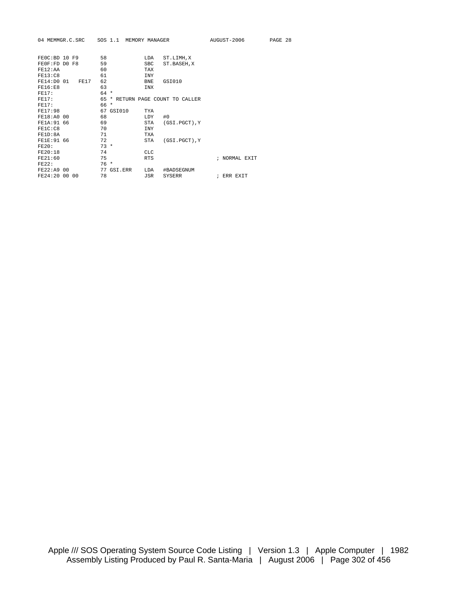|                |      |        | 04 MEMMGR.C.SRC SOS 1.1 MEMORY MANAGER |            |                             | AUGUST-2006   | PAGE 28 |  |
|----------------|------|--------|----------------------------------------|------------|-----------------------------|---------------|---------|--|
| FEOC:BD 10 F9  |      | 58     |                                        | LDA        | ST.LIMH, X                  |               |         |  |
| FEOF:FD DO F8  |      | 59     |                                        | <b>SBC</b> | ST.BASEH, X                 |               |         |  |
| FF12:AA        |      | 60     |                                        | <b>TAX</b> |                             |               |         |  |
| <b>FE13:C8</b> |      | 61     |                                        | <b>INY</b> |                             |               |         |  |
| FE14:DO 01     | FE17 | 62     |                                        | <b>BNE</b> | GSI010                      |               |         |  |
| FF16:FB        |      | 63     |                                        | <b>INX</b> |                             |               |         |  |
| FE17:          |      | $64 *$ |                                        |            |                             |               |         |  |
| FE17:          |      | 65     | $\star$                                |            | RETURN PAGE COUNT TO CALLER |               |         |  |
| FF17:          |      | 66 *   |                                        |            |                             |               |         |  |
| FE17:98        |      |        | 67 GSI010                              | <b>TYA</b> |                             |               |         |  |
| FE18:A0 00     |      | 68     |                                        | LDY        | #0                          |               |         |  |
| FE1A: 91 66    |      | 69     |                                        | STA        | (GSI.PGCT), Y               |               |         |  |
| FE1C: C8       |      | 70     |                                        | <b>TNY</b> |                             |               |         |  |
| FE1D:8A        |      | 71     |                                        | <b>TXA</b> |                             |               |         |  |
| FE1E: 91 66    |      | 72     |                                        | <b>STA</b> | (GSI.PGCT), Y               |               |         |  |
| FE20:          |      | $73 *$ |                                        |            |                             |               |         |  |
| FE20:18        |      | 74     |                                        | <b>CLC</b> |                             |               |         |  |
| FR21:60        |      | 75     |                                        | <b>RTS</b> |                             | ; NORMAL EXIT |         |  |
| <b>FE22:</b>   |      | $76*$  |                                        |            |                             |               |         |  |
| FE22:A9 00     |      | 77     | GSI.ERR                                | LDA        | #BADSEGNUM                  |               |         |  |
| FE24:20 00 00  |      | 78     |                                        | JSR        | <b>SYSERR</b>               | ; ERR EXIT    |         |  |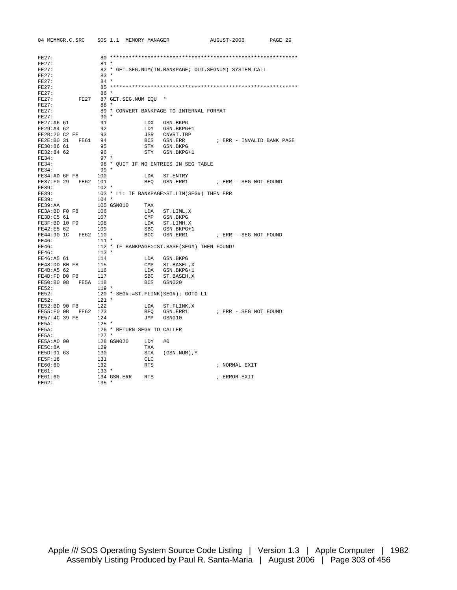| 04 MEMMGR.C.SRC SOS 1.1 MEMORY MANAGER                                                                                |                                     |            |                                                            | AUGUST-2006               | PAGE 29 |
|-----------------------------------------------------------------------------------------------------------------------|-------------------------------------|------------|------------------------------------------------------------|---------------------------|---------|
|                                                                                                                       |                                     |            |                                                            |                           |         |
| FE27:                                                                                                                 |                                     |            |                                                            |                           |         |
| FE27:                                                                                                                 | $81 *$                              |            |                                                            |                           |         |
| FE27:                                                                                                                 |                                     |            | 82 * GET. SEG. NUM (IN. BANKPAGE; OUT. SEGNUM) SYSTEM CALL |                           |         |
| FE27:                                                                                                                 | $83 *$                              |            |                                                            |                           |         |
| FE27:                                                                                                                 | $84 *$                              |            |                                                            |                           |         |
| FE27:                                                                                                                 |                                     |            |                                                            |                           |         |
| FE27:                                                                                                                 | $86*$                               |            |                                                            |                           |         |
| FE27<br>FE27:                                                                                                         | 87 GET. SEG. NUM EQU *              |            |                                                            |                           |         |
| FE27:<br>FE27:                                                                                                        | $88*$                               |            |                                                            |                           |         |
| FE27:                                                                                                                 | $90 *$                              |            | 89 * CONVERT BANKPAGE TO INTERNAL FORMAT                   |                           |         |
| FE27:A6 61                                                                                                            | 91                                  |            | LDX GSN.BKPG                                               |                           |         |
| FE29:A4 62                                                                                                            | 92                                  |            | LDY GSN.BKPG+1                                             |                           |         |
| FE2B:20 C2 FE 93                                                                                                      |                                     |            |                                                            |                           |         |
| FE2E:B0 31 FE61 94                                                                                                    |                                     |            | JSR CNVRT. IBP<br>BCS GSN.ERR                              | ; ERR - INVALID BANK PAGE |         |
| FE30:86 61                                                                                                            | 95                                  |            | STX GSN.BKPG                                               |                           |         |
| FE32:84 62                                                                                                            | 96                                  |            | STY GSN.BKPG+1                                             |                           |         |
| FE34:                                                                                                                 | $97 *$                              |            |                                                            |                           |         |
| FE34:                                                                                                                 |                                     |            | 98 * QUIT IF NO ENTRIES IN SEG TABLE                       |                           |         |
| FE34:                                                                                                                 | $99*$                               |            |                                                            |                           |         |
| FE34:AD 6F F8 100                                                                                                     |                                     |            | LDA ST. ENTRY                                              |                           |         |
| FE37:F0 29 FE62 101                                                                                                   |                                     |            | BEQ GSN.ERR1 : ERR - SEG NOT FOUND                         |                           |         |
| FE39:<br>$102$ *                                                                                                      |                                     |            |                                                            |                           |         |
| FE39:                                                                                                                 |                                     |            | 103 * L1: IF BANKPAGE>ST.LIM(SEG#) THEN ERR                |                           |         |
| FE39:                                                                                                                 | $104$ *                             |            |                                                            |                           |         |
| FE39:AA                                                                                                               |                                     |            |                                                            |                           |         |
| FE39:AA 105 GSN010 TAX<br>FE39:AA 105 GSN010 TAX<br>FE3D:C5 61 107 CMP<br>FE3F:BD 10 F9 108 LDA<br>FE42:E5 62 109 SBC |                                     |            | LDA ST.LIML,X                                              |                           |         |
|                                                                                                                       |                                     |            | CMP GSN.BKPG                                               |                           |         |
|                                                                                                                       |                                     |            | LDA ST.LIMH, X                                             |                           |         |
|                                                                                                                       |                                     | <b>SBC</b> | GSN.BKPG+1                                                 |                           |         |
| FE44:90 1C FE62 110                                                                                                   |                                     | <b>BCC</b> | GSN.ERR1                                                   | ; ERR - SEG NOT FOUND     |         |
| FE46: 111 *                                                                                                           |                                     |            |                                                            |                           |         |
|                                                                                                                       |                                     |            |                                                            |                           |         |
|                                                                                                                       |                                     |            |                                                            |                           |         |
|                                                                                                                       |                                     |            |                                                            |                           |         |
|                                                                                                                       |                                     |            |                                                            |                           |         |
|                                                                                                                       |                                     |            |                                                            |                           |         |
|                                                                                                                       |                                     |            |                                                            |                           |         |
| FE50:B0 08 FE5A 118                                                                                                   |                                     | BCS        | GSN020                                                     |                           |         |
| FE52:                                                                                                                 | $119 *$                             |            |                                                            |                           |         |
| FE52:                                                                                                                 | 120 * SEG#:=ST.FLINK(SEG#); GOTO L1 |            |                                                            |                           |         |
| FE52:                                                                                                                 | $121$ *                             |            |                                                            |                           |         |
| FE52:BD 90 F8 122                                                                                                     |                                     |            | LDA ST.FLINK,X                                             |                           |         |
| FE55:F0 0B FE62 123                                                                                                   |                                     | BEO        | GSN.ERR1                                                   | ; ERR - SEG NOT FOUND     |         |
| FE57:4C 39 FE 124                                                                                                     |                                     | <b>JMP</b> | GSN010                                                     |                           |         |
| FE5A:                                                                                                                 | $125$ *                             |            |                                                            |                           |         |
| FE5A:                                                                                                                 | 126 * RETURN SEG# TO CALLER         |            |                                                            |                           |         |
| FE5A:                                                                                                                 | $127$ *                             |            |                                                            |                           |         |
| FE5A: A0 00                                                                                                           | 128 GSN020 LDY                      |            | #0                                                         |                           |         |
| FE5C:8A                                                                                                               | 129                                 | TXA        |                                                            |                           |         |
| FE5D:91 63                                                                                                            | 130<br>131                          | STA        | (GSN.NUM), Y                                               |                           |         |
| FE5F:18                                                                                                               |                                     | CLC        |                                                            |                           |         |
| FE60:60                                                                                                               | 132                                 | RTS        |                                                            | ; NORMAL EXIT             |         |
| FE61:                                                                                                                 | $133 *$                             |            |                                                            |                           |         |
| FE61:60                                                                                                               | 134 GSN.ERR RTS                     |            |                                                            | ; ERROR EXIT              |         |
| FE62:                                                                                                                 | $135 *$                             |            |                                                            |                           |         |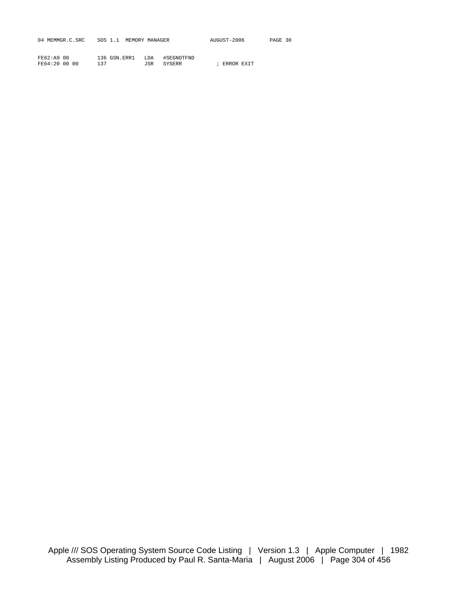| 04 MEMMGR.C.SRC | SOS 1.1 MEMORY MANAGER | AUGUST-2006 | PAGE 30 |
|-----------------|------------------------|-------------|---------|
|                 |                        |             |         |

| FE62:A9 00    | 136 GSN.ERR1 | LDA #SEGNOTFND |              |  |
|---------------|--------------|----------------|--------------|--|
| FE64:20 00 00 | 137          | JSR SYSERR     | ; ERROR EXIT |  |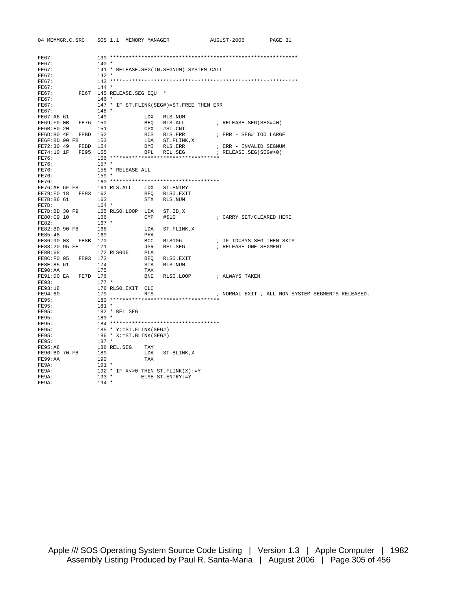| 04 MEMMGR.C.SRC     |          |         | SOS 1.1 MEMORY MANAGER      |              |                                             | AUGUST-2006               | PAGE 31 |                                                   |
|---------------------|----------|---------|-----------------------------|--------------|---------------------------------------------|---------------------------|---------|---------------------------------------------------|
|                     |          |         |                             |              |                                             |                           |         |                                                   |
| FE67:               |          |         |                             |              |                                             |                           |         |                                                   |
| FE67:               |          | $140 *$ |                             |              |                                             |                           |         |                                                   |
| FE67:               |          |         |                             |              | 141 * RELEASE.SEG(IN.SEGNUM) SYSTEM CALL    |                           |         |                                                   |
| FE67:               |          | $142 *$ |                             |              |                                             |                           |         |                                                   |
| FE67:               |          |         |                             |              |                                             |                           |         |                                                   |
| FE67:               |          | $144 *$ |                             |              |                                             |                           |         |                                                   |
| FE67:               |          |         | FE67 145 RELEASE.SEG EOU *  |              |                                             |                           |         |                                                   |
| FE67:<br>FE67:      |          | $146 *$ |                             |              | 147 * IF ST. FLINK (SEG#)=ST. FREE THEN ERR |                           |         |                                                   |
| FE67:               |          | $148 *$ |                             |              |                                             |                           |         |                                                   |
| FE67:A6 61          |          | 149     |                             | LDX          | RLS.NUM                                     |                           |         |                                                   |
| FE69:F0 0B FE76 150 |          |         |                             |              | BEQ RLS.ALL                                 | ; RELEASE.SEG(SEG#=0)     |         |                                                   |
| FE6B:E0 20          |          | 151     |                             |              | CPX #ST.CNT                                 |                           |         |                                                   |
| FE6D:B0 4E FEBD 152 |          |         |                             |              | BCS RLS.ERR                                 | ; ERR - SEG# TOO LARGE    |         |                                                   |
| FE6F:BD 90 F8       |          | 153     |                             |              | LDA ST.FLINK, X                             |                           |         |                                                   |
| FE72:30 49          | FEBD 154 |         |                             | BMI          | RLS.ERR                                     | ; ERR - INVALID SEGNUM    |         |                                                   |
| FE74:10 1F FE95 155 |          |         |                             | BPL          | REL.SEG                                     | ; RELEASE.SEG(SEG#>0)     |         |                                                   |
| FE76:               |          |         |                             |              |                                             |                           |         |                                                   |
| FE76:               |          | $157 *$ |                             |              |                                             |                           |         |                                                   |
| FE76:               |          |         | 158 * RELEASE ALL           |              |                                             |                           |         |                                                   |
| FE76:               |          | $159 *$ |                             |              |                                             |                           |         |                                                   |
| FE76:               |          |         |                             |              | 160 ***********************************     |                           |         |                                                   |
|                     |          |         | FE76:AE 6F F8 161 RLS.ALL   |              | LDX ST. ENTRY                               |                           |         |                                                   |
| FE79:F0 18 FE93 162 |          |         |                             | BEO          | RLS0.EXIT                                   |                           |         |                                                   |
| FE7B:86 61          |          | 163     |                             |              | STX RLS.NUM                                 |                           |         |                                                   |
| FE7D:               |          | $164$ * |                             |              |                                             |                           |         |                                                   |
| FE7D:BD 30 F9       |          | 166     | 165 RLS0.LOOP LDA           | $\text{CMP}$ | ST.ID,X                                     |                           |         |                                                   |
| FE80:C9 10<br>FE82: |          | $167$ * |                             |              | #\$10                                       | ; CARRY SET/CLEARED HERE  |         |                                                   |
| FE82:BD 90 F8       |          | 168     |                             | LDA          | ST.FLINK, X                                 |                           |         |                                                   |
| FE85:48             |          | 169     |                             | PHA          |                                             |                           |         |                                                   |
| FE86:90 03 FE8B 170 |          |         |                             | BCC          | RLS006                                      | ; IF ID=SYS SEG THEN SKIP |         |                                                   |
| FE88:20 95 FE       |          | 171     |                             | JSR          | REL.SEG                                     | ; RELEASE ONE SEGMENT     |         |                                                   |
| FE8B:68             |          |         | 172 RLS006                  | PLA          |                                             |                           |         |                                                   |
| FE8C:F0 05 FE93 173 |          |         |                             | BEO          | RLS0.EXIT                                   |                           |         |                                                   |
| FE8E:85 61          |          | 174     |                             | STA          | RLS.NUM                                     |                           |         |                                                   |
| FE90:AA             |          | 175     |                             | TAX          |                                             |                           |         |                                                   |
| FE91:DO EA FE7D 176 |          |         |                             | BNE          | RLS0.LOOP                                   | ; ALWAYS TAKEN            |         |                                                   |
| FE93:               |          | $177 *$ |                             |              |                                             |                           |         |                                                   |
| FE93:18             |          |         | 178 RLSO.EXIT CLC           |              |                                             |                           |         |                                                   |
| FE94:60             |          | 179     |                             | <b>RTS</b>   |                                             |                           |         | ; NORMAL EXIT ; ALL NON SYSTEM SEGMENTS RELEASED. |
| FE95:               |          |         |                             |              | 180 ***********************************     |                           |         |                                                   |
| FE95:               |          | $181 *$ |                             |              |                                             |                           |         |                                                   |
| FE95:<br>FE95:      |          | $183 *$ | 182 * REL SEG               |              |                                             |                           |         |                                                   |
| FE95:               |          |         |                             |              |                                             |                           |         |                                                   |
| FE95:               |          |         | 185 * Y:=ST.FLINK(SEG#)     |              |                                             |                           |         |                                                   |
| <b>FE95:</b>        |          |         | $186 * X := ST.BLINK(SEG#)$ |              |                                             |                           |         |                                                   |
| FE95:               |          | $187 *$ |                             |              |                                             |                           |         |                                                   |
| FE95:A8             |          |         | 188 REL.SEG                 | TAY          |                                             |                           |         |                                                   |
| FE96:BD 70 F8       |          | 189     |                             | LDA          | ST.BLINK,X                                  |                           |         |                                                   |
| FE99:AA             |          | 190     |                             | TAX          |                                             |                           |         |                                                   |
| FE9A:               |          | $191 *$ |                             |              |                                             |                           |         |                                                   |
| FE9A:               |          |         |                             |              | 192 * IF X < > 0 THEN ST. FLINK (X) : = Y   |                           |         |                                                   |
| FE9A:               |          | $193 *$ |                             |              | ELSE ST.ENTRY:=Y                            |                           |         |                                                   |
| FE9A:               |          | $194 *$ |                             |              |                                             |                           |         |                                                   |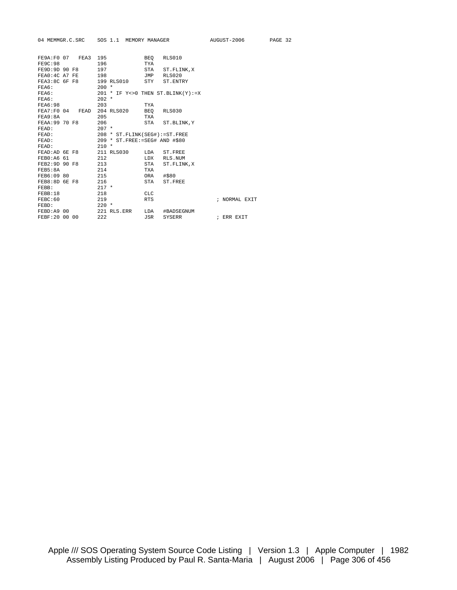|                                |                      | 04 MEMMGR.C.SRC SOS 1.1 MEMORY MANAGER             |                   |                  | AUGUST-2006   | PAGE 32 |
|--------------------------------|----------------------|----------------------------------------------------|-------------------|------------------|---------------|---------|
| <b>FE9C:98</b>                 | FE9A: F0 07 FEA3 195 | 196                                                | BEO<br><b>TYA</b> | RLS010           |               |         |
| FE9D:9D 90 F8                  |                      | 197                                                |                   |                  |               |         |
|                                |                      |                                                    | STA               | ST.FLINK,X       |               |         |
| FEA0:4C A7 FE<br>FEA3:8C 6F F8 |                      | 198<br>199 RLS010 STY ST. ENTRY                    | JMP               | RLS020           |               |         |
|                                |                      |                                                    |                   |                  |               |         |
| FEA6:                          |                      | $200 *$                                            |                   |                  |               |         |
| FEA6:                          |                      | 201 * IF $Y \le 0$ THEN ST. BLINK(Y):=X<br>$202 *$ |                   |                  |               |         |
| FEA6:<br>FEA6:98               |                      |                                                    |                   |                  |               |         |
| FEA7:FO 04                     | FEAD                 | 203<br>204 RLS020                                  | TYA               | RLS030           |               |         |
|                                |                      |                                                    | BEO               |                  |               |         |
| FEA9:8A<br>FEAA:99 70 F8       |                      | 205<br>206                                         | TXA               | STA ST. BLINK, Y |               |         |
|                                |                      | $207 *$                                            |                   |                  |               |         |
| FEAD:                          |                      |                                                    |                   |                  |               |         |
| FEAD:                          |                      | 208 * ST. FLINK (SEG#) := ST. FREE                 |                   |                  |               |         |
| FEAD:                          |                      | 209 * ST. FREE: = SEG# AND #\$80<br>$210 *$        |                   |                  |               |         |
| FEAD:<br>FEAD:AD 6E F8         |                      | 211 RLS030                                         |                   | LDA ST.FREE      |               |         |
|                                |                      |                                                    |                   |                  |               |         |
| FEB0:A6 61<br>FEB2:9D 90 F8    |                      | 212                                                | LDX               | RLS.NUM          |               |         |
|                                |                      | 213                                                | STA               | ST. FLINK, X     |               |         |
| FEB5:8A                        |                      | 214                                                | TXA               |                  |               |         |
| FEB6:09 80                     |                      | 215                                                | ORA               | #\$80            |               |         |
| FEB8:8D 6E F8                  |                      | 216                                                | STA               | ST.FREE          |               |         |
| FEBB:                          |                      | $217 *$                                            |                   |                  |               |         |
| FEBB:18                        |                      | 218                                                | <b>CLC</b>        |                  |               |         |
| FEBC:60                        |                      | 219                                                | <b>RTS</b>        |                  | ; NORMAL EXIT |         |
| FEBD:                          |                      | $220 *$                                            |                   |                  |               |         |
| FEBD:A9 00                     |                      | 221 RLS.ERR                                        | LDA               | #BADSEGNUM       |               |         |
| FEBF: 20 00 00                 |                      | 222                                                | JSR               | SYSERR           | ; ERR EXIT    |         |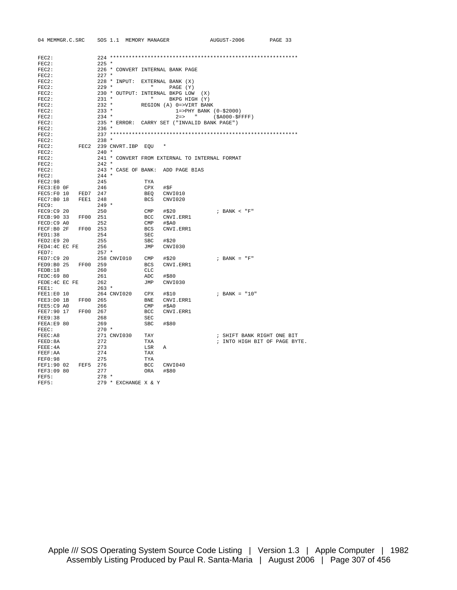| FEC2:<br>FEC2:<br>$225$ *<br>226 * CONVERT INTERNAL BANK PAGE<br>FEC2:<br>$FEC2$ :<br>$227$ *<br>228 * INPUT: EXTERNAL BANK (X)<br>FEC2:<br>$FEC2$ :<br>$229$ *<br><b>CONTRACTOR</b><br>PAGE (Y)<br>230 * OUTPUT: INTERNAL BKPG LOW (X)<br>FEC2:<br>$231$ *<br>$\mathbf{H}$<br>BKPG HIGH (Y)<br>FEC2:<br>$232 *$<br>REGION (A) 0=>VIRT BANK<br>FEC2:<br>$233$ *<br>FEC2:<br>$1 = >$ PHY BANK $(0 - $2000)$<br>$2 \Rightarrow$ "<br>$234 *$<br>FEC2:<br>$(SAO00 - SFFFF)$<br>235 * ERROR: CARRY SET ("INVALID BANK PAGE")<br>FEC2:<br>FEC2:<br>$236$ *<br>FEC2:<br>$238 *$<br>FEC2:<br>FEC2:<br>FEC2 239 CNVRT.IBP EQU<br>FEC2:<br>$240 *$<br>FEC2:<br>241 * CONVERT FROM EXTERNAL TO INTERNAL FORMAT<br>$242 *$<br>FEC2:<br>FEC2:<br>243 * CASE OF BANK: ADD PAGE BIAS<br>FEC2:<br>$244 *$<br>FEC2:98<br>245<br>TYA<br>FEC3:E0 OF<br>246<br>CPX<br>#\$F<br>FEC5:F0 10 FED7 247<br>BEQ<br>CNVI010<br>FEC7:B0 18 FEE1 248<br>BCS<br>CNVI020<br>$249 *$<br>FEC9:<br>250<br>FEC9:C9 20<br>CMP<br>#\$20<br>; BANK < "F"<br>FECB: 90 33 FF00 251<br>BCC<br>CNVI.ERR1<br>FECD:C9 A0<br>252<br>#\$A0<br>CMP<br>FECF:B0 2F<br>FF00 253<br>CNVI.ERR1<br>BCS<br>FED1:38<br>254<br>SEC<br>FED2:E9 20<br>255<br>SBC<br>#\$20<br>FED4:4C EC FE<br>256<br>JMP<br>CNVI030<br>FED7:<br>$257 *$<br>FED7:C9 20<br>; BANK = $"F"$<br>258 CNVI010<br>$\text{CMP}$<br>#\$20<br>FED9:B0 25 FF00 259<br><b>BCS</b><br>CNVI.ERR1<br>FEDB:18<br>260<br>CLC<br>FEDC:69 80<br>261<br>ADC<br>#\$80<br>FEDE: 4C EC FE<br>262<br>JMP<br>CNVI030<br>$263$ *<br>FEE1:<br>FEE1:E0 10<br>264 CNVI020 CPX<br>#\$10<br>; BANK = "10"<br>FEE3:D0 1B FF00 265<br>BNE<br>CNVI.ERR1<br>FEE5:C9 A0<br>266<br>CMP<br>#\$A0<br>FEE7:90 17 FF00 267<br>BCC<br>CNVI.ERR1<br>268<br><b>SEC</b><br>FEE9:38<br>269<br>FEEA:E9 80<br>SBC<br>#\$80<br>FEEC:<br>$270*$<br>FEEC:A8<br>271 CNVI030<br>TAY<br>; SHIFT BANK RIGHT ONE BIT<br>272<br>; INTO HIGH BIT OF PAGE BYTE.<br>FEED:8A<br>TXA<br>273<br>FEEE:4A<br>LSR<br>$\mathbb{A}$<br>274<br>FEEF:AA<br>TAX<br>FEF0:98<br>275<br>TYA<br>FEF1:90 02<br>FEF5 276<br>BCC<br>CNVI040<br>FEF3:09 80<br>277<br>ORA<br>#\$80<br>FEF5:<br>$278$ *<br>279 * EXCHANGE X & Y<br>FEF5: | 04 MEMMGR.C.SRC SOS 1.1 MEMORY MANAGER |  |  | AUGUST-2006 | PAGE 33 |
|------------------------------------------------------------------------------------------------------------------------------------------------------------------------------------------------------------------------------------------------------------------------------------------------------------------------------------------------------------------------------------------------------------------------------------------------------------------------------------------------------------------------------------------------------------------------------------------------------------------------------------------------------------------------------------------------------------------------------------------------------------------------------------------------------------------------------------------------------------------------------------------------------------------------------------------------------------------------------------------------------------------------------------------------------------------------------------------------------------------------------------------------------------------------------------------------------------------------------------------------------------------------------------------------------------------------------------------------------------------------------------------------------------------------------------------------------------------------------------------------------------------------------------------------------------------------------------------------------------------------------------------------------------------------------------------------------------------------------------------------------------------------------------------------------------------------------------------------------------------------------------------------------------------------------------------------------------------------------------------------------------------------------------------------------------------------------------------------------------------------------------------------------------------------------|----------------------------------------|--|--|-------------|---------|
|                                                                                                                                                                                                                                                                                                                                                                                                                                                                                                                                                                                                                                                                                                                                                                                                                                                                                                                                                                                                                                                                                                                                                                                                                                                                                                                                                                                                                                                                                                                                                                                                                                                                                                                                                                                                                                                                                                                                                                                                                                                                                                                                                                              |                                        |  |  |             |         |
|                                                                                                                                                                                                                                                                                                                                                                                                                                                                                                                                                                                                                                                                                                                                                                                                                                                                                                                                                                                                                                                                                                                                                                                                                                                                                                                                                                                                                                                                                                                                                                                                                                                                                                                                                                                                                                                                                                                                                                                                                                                                                                                                                                              |                                        |  |  |             |         |
|                                                                                                                                                                                                                                                                                                                                                                                                                                                                                                                                                                                                                                                                                                                                                                                                                                                                                                                                                                                                                                                                                                                                                                                                                                                                                                                                                                                                                                                                                                                                                                                                                                                                                                                                                                                                                                                                                                                                                                                                                                                                                                                                                                              |                                        |  |  |             |         |
|                                                                                                                                                                                                                                                                                                                                                                                                                                                                                                                                                                                                                                                                                                                                                                                                                                                                                                                                                                                                                                                                                                                                                                                                                                                                                                                                                                                                                                                                                                                                                                                                                                                                                                                                                                                                                                                                                                                                                                                                                                                                                                                                                                              |                                        |  |  |             |         |
|                                                                                                                                                                                                                                                                                                                                                                                                                                                                                                                                                                                                                                                                                                                                                                                                                                                                                                                                                                                                                                                                                                                                                                                                                                                                                                                                                                                                                                                                                                                                                                                                                                                                                                                                                                                                                                                                                                                                                                                                                                                                                                                                                                              |                                        |  |  |             |         |
|                                                                                                                                                                                                                                                                                                                                                                                                                                                                                                                                                                                                                                                                                                                                                                                                                                                                                                                                                                                                                                                                                                                                                                                                                                                                                                                                                                                                                                                                                                                                                                                                                                                                                                                                                                                                                                                                                                                                                                                                                                                                                                                                                                              |                                        |  |  |             |         |
|                                                                                                                                                                                                                                                                                                                                                                                                                                                                                                                                                                                                                                                                                                                                                                                                                                                                                                                                                                                                                                                                                                                                                                                                                                                                                                                                                                                                                                                                                                                                                                                                                                                                                                                                                                                                                                                                                                                                                                                                                                                                                                                                                                              |                                        |  |  |             |         |
|                                                                                                                                                                                                                                                                                                                                                                                                                                                                                                                                                                                                                                                                                                                                                                                                                                                                                                                                                                                                                                                                                                                                                                                                                                                                                                                                                                                                                                                                                                                                                                                                                                                                                                                                                                                                                                                                                                                                                                                                                                                                                                                                                                              |                                        |  |  |             |         |
|                                                                                                                                                                                                                                                                                                                                                                                                                                                                                                                                                                                                                                                                                                                                                                                                                                                                                                                                                                                                                                                                                                                                                                                                                                                                                                                                                                                                                                                                                                                                                                                                                                                                                                                                                                                                                                                                                                                                                                                                                                                                                                                                                                              |                                        |  |  |             |         |
|                                                                                                                                                                                                                                                                                                                                                                                                                                                                                                                                                                                                                                                                                                                                                                                                                                                                                                                                                                                                                                                                                                                                                                                                                                                                                                                                                                                                                                                                                                                                                                                                                                                                                                                                                                                                                                                                                                                                                                                                                                                                                                                                                                              |                                        |  |  |             |         |
|                                                                                                                                                                                                                                                                                                                                                                                                                                                                                                                                                                                                                                                                                                                                                                                                                                                                                                                                                                                                                                                                                                                                                                                                                                                                                                                                                                                                                                                                                                                                                                                                                                                                                                                                                                                                                                                                                                                                                                                                                                                                                                                                                                              |                                        |  |  |             |         |
|                                                                                                                                                                                                                                                                                                                                                                                                                                                                                                                                                                                                                                                                                                                                                                                                                                                                                                                                                                                                                                                                                                                                                                                                                                                                                                                                                                                                                                                                                                                                                                                                                                                                                                                                                                                                                                                                                                                                                                                                                                                                                                                                                                              |                                        |  |  |             |         |
|                                                                                                                                                                                                                                                                                                                                                                                                                                                                                                                                                                                                                                                                                                                                                                                                                                                                                                                                                                                                                                                                                                                                                                                                                                                                                                                                                                                                                                                                                                                                                                                                                                                                                                                                                                                                                                                                                                                                                                                                                                                                                                                                                                              |                                        |  |  |             |         |
|                                                                                                                                                                                                                                                                                                                                                                                                                                                                                                                                                                                                                                                                                                                                                                                                                                                                                                                                                                                                                                                                                                                                                                                                                                                                                                                                                                                                                                                                                                                                                                                                                                                                                                                                                                                                                                                                                                                                                                                                                                                                                                                                                                              |                                        |  |  |             |         |
|                                                                                                                                                                                                                                                                                                                                                                                                                                                                                                                                                                                                                                                                                                                                                                                                                                                                                                                                                                                                                                                                                                                                                                                                                                                                                                                                                                                                                                                                                                                                                                                                                                                                                                                                                                                                                                                                                                                                                                                                                                                                                                                                                                              |                                        |  |  |             |         |
|                                                                                                                                                                                                                                                                                                                                                                                                                                                                                                                                                                                                                                                                                                                                                                                                                                                                                                                                                                                                                                                                                                                                                                                                                                                                                                                                                                                                                                                                                                                                                                                                                                                                                                                                                                                                                                                                                                                                                                                                                                                                                                                                                                              |                                        |  |  |             |         |
|                                                                                                                                                                                                                                                                                                                                                                                                                                                                                                                                                                                                                                                                                                                                                                                                                                                                                                                                                                                                                                                                                                                                                                                                                                                                                                                                                                                                                                                                                                                                                                                                                                                                                                                                                                                                                                                                                                                                                                                                                                                                                                                                                                              |                                        |  |  |             |         |
|                                                                                                                                                                                                                                                                                                                                                                                                                                                                                                                                                                                                                                                                                                                                                                                                                                                                                                                                                                                                                                                                                                                                                                                                                                                                                                                                                                                                                                                                                                                                                                                                                                                                                                                                                                                                                                                                                                                                                                                                                                                                                                                                                                              |                                        |  |  |             |         |
|                                                                                                                                                                                                                                                                                                                                                                                                                                                                                                                                                                                                                                                                                                                                                                                                                                                                                                                                                                                                                                                                                                                                                                                                                                                                                                                                                                                                                                                                                                                                                                                                                                                                                                                                                                                                                                                                                                                                                                                                                                                                                                                                                                              |                                        |  |  |             |         |
|                                                                                                                                                                                                                                                                                                                                                                                                                                                                                                                                                                                                                                                                                                                                                                                                                                                                                                                                                                                                                                                                                                                                                                                                                                                                                                                                                                                                                                                                                                                                                                                                                                                                                                                                                                                                                                                                                                                                                                                                                                                                                                                                                                              |                                        |  |  |             |         |
|                                                                                                                                                                                                                                                                                                                                                                                                                                                                                                                                                                                                                                                                                                                                                                                                                                                                                                                                                                                                                                                                                                                                                                                                                                                                                                                                                                                                                                                                                                                                                                                                                                                                                                                                                                                                                                                                                                                                                                                                                                                                                                                                                                              |                                        |  |  |             |         |
|                                                                                                                                                                                                                                                                                                                                                                                                                                                                                                                                                                                                                                                                                                                                                                                                                                                                                                                                                                                                                                                                                                                                                                                                                                                                                                                                                                                                                                                                                                                                                                                                                                                                                                                                                                                                                                                                                                                                                                                                                                                                                                                                                                              |                                        |  |  |             |         |
|                                                                                                                                                                                                                                                                                                                                                                                                                                                                                                                                                                                                                                                                                                                                                                                                                                                                                                                                                                                                                                                                                                                                                                                                                                                                                                                                                                                                                                                                                                                                                                                                                                                                                                                                                                                                                                                                                                                                                                                                                                                                                                                                                                              |                                        |  |  |             |         |
|                                                                                                                                                                                                                                                                                                                                                                                                                                                                                                                                                                                                                                                                                                                                                                                                                                                                                                                                                                                                                                                                                                                                                                                                                                                                                                                                                                                                                                                                                                                                                                                                                                                                                                                                                                                                                                                                                                                                                                                                                                                                                                                                                                              |                                        |  |  |             |         |
|                                                                                                                                                                                                                                                                                                                                                                                                                                                                                                                                                                                                                                                                                                                                                                                                                                                                                                                                                                                                                                                                                                                                                                                                                                                                                                                                                                                                                                                                                                                                                                                                                                                                                                                                                                                                                                                                                                                                                                                                                                                                                                                                                                              |                                        |  |  |             |         |
|                                                                                                                                                                                                                                                                                                                                                                                                                                                                                                                                                                                                                                                                                                                                                                                                                                                                                                                                                                                                                                                                                                                                                                                                                                                                                                                                                                                                                                                                                                                                                                                                                                                                                                                                                                                                                                                                                                                                                                                                                                                                                                                                                                              |                                        |  |  |             |         |
|                                                                                                                                                                                                                                                                                                                                                                                                                                                                                                                                                                                                                                                                                                                                                                                                                                                                                                                                                                                                                                                                                                                                                                                                                                                                                                                                                                                                                                                                                                                                                                                                                                                                                                                                                                                                                                                                                                                                                                                                                                                                                                                                                                              |                                        |  |  |             |         |
|                                                                                                                                                                                                                                                                                                                                                                                                                                                                                                                                                                                                                                                                                                                                                                                                                                                                                                                                                                                                                                                                                                                                                                                                                                                                                                                                                                                                                                                                                                                                                                                                                                                                                                                                                                                                                                                                                                                                                                                                                                                                                                                                                                              |                                        |  |  |             |         |
|                                                                                                                                                                                                                                                                                                                                                                                                                                                                                                                                                                                                                                                                                                                                                                                                                                                                                                                                                                                                                                                                                                                                                                                                                                                                                                                                                                                                                                                                                                                                                                                                                                                                                                                                                                                                                                                                                                                                                                                                                                                                                                                                                                              |                                        |  |  |             |         |
|                                                                                                                                                                                                                                                                                                                                                                                                                                                                                                                                                                                                                                                                                                                                                                                                                                                                                                                                                                                                                                                                                                                                                                                                                                                                                                                                                                                                                                                                                                                                                                                                                                                                                                                                                                                                                                                                                                                                                                                                                                                                                                                                                                              |                                        |  |  |             |         |
|                                                                                                                                                                                                                                                                                                                                                                                                                                                                                                                                                                                                                                                                                                                                                                                                                                                                                                                                                                                                                                                                                                                                                                                                                                                                                                                                                                                                                                                                                                                                                                                                                                                                                                                                                                                                                                                                                                                                                                                                                                                                                                                                                                              |                                        |  |  |             |         |
|                                                                                                                                                                                                                                                                                                                                                                                                                                                                                                                                                                                                                                                                                                                                                                                                                                                                                                                                                                                                                                                                                                                                                                                                                                                                                                                                                                                                                                                                                                                                                                                                                                                                                                                                                                                                                                                                                                                                                                                                                                                                                                                                                                              |                                        |  |  |             |         |
|                                                                                                                                                                                                                                                                                                                                                                                                                                                                                                                                                                                                                                                                                                                                                                                                                                                                                                                                                                                                                                                                                                                                                                                                                                                                                                                                                                                                                                                                                                                                                                                                                                                                                                                                                                                                                                                                                                                                                                                                                                                                                                                                                                              |                                        |  |  |             |         |
|                                                                                                                                                                                                                                                                                                                                                                                                                                                                                                                                                                                                                                                                                                                                                                                                                                                                                                                                                                                                                                                                                                                                                                                                                                                                                                                                                                                                                                                                                                                                                                                                                                                                                                                                                                                                                                                                                                                                                                                                                                                                                                                                                                              |                                        |  |  |             |         |
|                                                                                                                                                                                                                                                                                                                                                                                                                                                                                                                                                                                                                                                                                                                                                                                                                                                                                                                                                                                                                                                                                                                                                                                                                                                                                                                                                                                                                                                                                                                                                                                                                                                                                                                                                                                                                                                                                                                                                                                                                                                                                                                                                                              |                                        |  |  |             |         |
|                                                                                                                                                                                                                                                                                                                                                                                                                                                                                                                                                                                                                                                                                                                                                                                                                                                                                                                                                                                                                                                                                                                                                                                                                                                                                                                                                                                                                                                                                                                                                                                                                                                                                                                                                                                                                                                                                                                                                                                                                                                                                                                                                                              |                                        |  |  |             |         |
|                                                                                                                                                                                                                                                                                                                                                                                                                                                                                                                                                                                                                                                                                                                                                                                                                                                                                                                                                                                                                                                                                                                                                                                                                                                                                                                                                                                                                                                                                                                                                                                                                                                                                                                                                                                                                                                                                                                                                                                                                                                                                                                                                                              |                                        |  |  |             |         |
|                                                                                                                                                                                                                                                                                                                                                                                                                                                                                                                                                                                                                                                                                                                                                                                                                                                                                                                                                                                                                                                                                                                                                                                                                                                                                                                                                                                                                                                                                                                                                                                                                                                                                                                                                                                                                                                                                                                                                                                                                                                                                                                                                                              |                                        |  |  |             |         |
|                                                                                                                                                                                                                                                                                                                                                                                                                                                                                                                                                                                                                                                                                                                                                                                                                                                                                                                                                                                                                                                                                                                                                                                                                                                                                                                                                                                                                                                                                                                                                                                                                                                                                                                                                                                                                                                                                                                                                                                                                                                                                                                                                                              |                                        |  |  |             |         |
|                                                                                                                                                                                                                                                                                                                                                                                                                                                                                                                                                                                                                                                                                                                                                                                                                                                                                                                                                                                                                                                                                                                                                                                                                                                                                                                                                                                                                                                                                                                                                                                                                                                                                                                                                                                                                                                                                                                                                                                                                                                                                                                                                                              |                                        |  |  |             |         |
|                                                                                                                                                                                                                                                                                                                                                                                                                                                                                                                                                                                                                                                                                                                                                                                                                                                                                                                                                                                                                                                                                                                                                                                                                                                                                                                                                                                                                                                                                                                                                                                                                                                                                                                                                                                                                                                                                                                                                                                                                                                                                                                                                                              |                                        |  |  |             |         |
|                                                                                                                                                                                                                                                                                                                                                                                                                                                                                                                                                                                                                                                                                                                                                                                                                                                                                                                                                                                                                                                                                                                                                                                                                                                                                                                                                                                                                                                                                                                                                                                                                                                                                                                                                                                                                                                                                                                                                                                                                                                                                                                                                                              |                                        |  |  |             |         |
|                                                                                                                                                                                                                                                                                                                                                                                                                                                                                                                                                                                                                                                                                                                                                                                                                                                                                                                                                                                                                                                                                                                                                                                                                                                                                                                                                                                                                                                                                                                                                                                                                                                                                                                                                                                                                                                                                                                                                                                                                                                                                                                                                                              |                                        |  |  |             |         |
|                                                                                                                                                                                                                                                                                                                                                                                                                                                                                                                                                                                                                                                                                                                                                                                                                                                                                                                                                                                                                                                                                                                                                                                                                                                                                                                                                                                                                                                                                                                                                                                                                                                                                                                                                                                                                                                                                                                                                                                                                                                                                                                                                                              |                                        |  |  |             |         |
|                                                                                                                                                                                                                                                                                                                                                                                                                                                                                                                                                                                                                                                                                                                                                                                                                                                                                                                                                                                                                                                                                                                                                                                                                                                                                                                                                                                                                                                                                                                                                                                                                                                                                                                                                                                                                                                                                                                                                                                                                                                                                                                                                                              |                                        |  |  |             |         |
|                                                                                                                                                                                                                                                                                                                                                                                                                                                                                                                                                                                                                                                                                                                                                                                                                                                                                                                                                                                                                                                                                                                                                                                                                                                                                                                                                                                                                                                                                                                                                                                                                                                                                                                                                                                                                                                                                                                                                                                                                                                                                                                                                                              |                                        |  |  |             |         |
|                                                                                                                                                                                                                                                                                                                                                                                                                                                                                                                                                                                                                                                                                                                                                                                                                                                                                                                                                                                                                                                                                                                                                                                                                                                                                                                                                                                                                                                                                                                                                                                                                                                                                                                                                                                                                                                                                                                                                                                                                                                                                                                                                                              |                                        |  |  |             |         |
|                                                                                                                                                                                                                                                                                                                                                                                                                                                                                                                                                                                                                                                                                                                                                                                                                                                                                                                                                                                                                                                                                                                                                                                                                                                                                                                                                                                                                                                                                                                                                                                                                                                                                                                                                                                                                                                                                                                                                                                                                                                                                                                                                                              |                                        |  |  |             |         |
|                                                                                                                                                                                                                                                                                                                                                                                                                                                                                                                                                                                                                                                                                                                                                                                                                                                                                                                                                                                                                                                                                                                                                                                                                                                                                                                                                                                                                                                                                                                                                                                                                                                                                                                                                                                                                                                                                                                                                                                                                                                                                                                                                                              |                                        |  |  |             |         |
|                                                                                                                                                                                                                                                                                                                                                                                                                                                                                                                                                                                                                                                                                                                                                                                                                                                                                                                                                                                                                                                                                                                                                                                                                                                                                                                                                                                                                                                                                                                                                                                                                                                                                                                                                                                                                                                                                                                                                                                                                                                                                                                                                                              |                                        |  |  |             |         |
|                                                                                                                                                                                                                                                                                                                                                                                                                                                                                                                                                                                                                                                                                                                                                                                                                                                                                                                                                                                                                                                                                                                                                                                                                                                                                                                                                                                                                                                                                                                                                                                                                                                                                                                                                                                                                                                                                                                                                                                                                                                                                                                                                                              |                                        |  |  |             |         |
|                                                                                                                                                                                                                                                                                                                                                                                                                                                                                                                                                                                                                                                                                                                                                                                                                                                                                                                                                                                                                                                                                                                                                                                                                                                                                                                                                                                                                                                                                                                                                                                                                                                                                                                                                                                                                                                                                                                                                                                                                                                                                                                                                                              |                                        |  |  |             |         |
|                                                                                                                                                                                                                                                                                                                                                                                                                                                                                                                                                                                                                                                                                                                                                                                                                                                                                                                                                                                                                                                                                                                                                                                                                                                                                                                                                                                                                                                                                                                                                                                                                                                                                                                                                                                                                                                                                                                                                                                                                                                                                                                                                                              |                                        |  |  |             |         |
|                                                                                                                                                                                                                                                                                                                                                                                                                                                                                                                                                                                                                                                                                                                                                                                                                                                                                                                                                                                                                                                                                                                                                                                                                                                                                                                                                                                                                                                                                                                                                                                                                                                                                                                                                                                                                                                                                                                                                                                                                                                                                                                                                                              |                                        |  |  |             |         |
|                                                                                                                                                                                                                                                                                                                                                                                                                                                                                                                                                                                                                                                                                                                                                                                                                                                                                                                                                                                                                                                                                                                                                                                                                                                                                                                                                                                                                                                                                                                                                                                                                                                                                                                                                                                                                                                                                                                                                                                                                                                                                                                                                                              |                                        |  |  |             |         |
|                                                                                                                                                                                                                                                                                                                                                                                                                                                                                                                                                                                                                                                                                                                                                                                                                                                                                                                                                                                                                                                                                                                                                                                                                                                                                                                                                                                                                                                                                                                                                                                                                                                                                                                                                                                                                                                                                                                                                                                                                                                                                                                                                                              |                                        |  |  |             |         |
|                                                                                                                                                                                                                                                                                                                                                                                                                                                                                                                                                                                                                                                                                                                                                                                                                                                                                                                                                                                                                                                                                                                                                                                                                                                                                                                                                                                                                                                                                                                                                                                                                                                                                                                                                                                                                                                                                                                                                                                                                                                                                                                                                                              |                                        |  |  |             |         |
|                                                                                                                                                                                                                                                                                                                                                                                                                                                                                                                                                                                                                                                                                                                                                                                                                                                                                                                                                                                                                                                                                                                                                                                                                                                                                                                                                                                                                                                                                                                                                                                                                                                                                                                                                                                                                                                                                                                                                                                                                                                                                                                                                                              |                                        |  |  |             |         |

Apple /// SOS Operating System Source Code Listing | Version 1.3 | Apple Computer | 1982 Assembly Listing Produced by Paul R. Santa-Maria | August 2006 | Page 307 of 456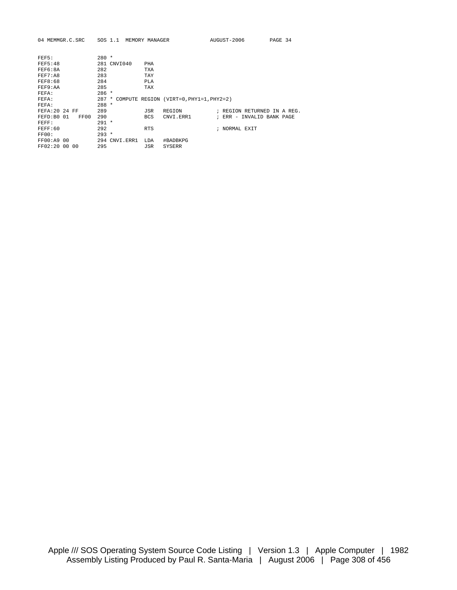| 04 MEMMGR.C.SRC    | SOS 1.1          | MEMORY MANAGER                          | AUGUST-2006   | PAGE 34                     |
|--------------------|------------------|-----------------------------------------|---------------|-----------------------------|
|                    |                  |                                         |               |                             |
| FEF5:              | $280 *$          |                                         |               |                             |
| <b>FEF5:48</b>     | 281 CNVI040      | PHA                                     |               |                             |
| FEF6:8A            | 282              | TXA                                     |               |                             |
| FEF7:A8            | 283              | TAY                                     |               |                             |
| FEF8:68            | 284              | PLA                                     |               |                             |
| FEF9:AA            | 285              | <b>TAX</b>                              |               |                             |
| FEFA:              | $286 *$          |                                         |               |                             |
| FEFA:              | 287<br>$\ast$    | COMPUTE REGION (VIRT=0, PHY1=1, PHY2=2) |               |                             |
| FEFA:              | $288 *$          |                                         |               |                             |
| FEFA: 20 24 FF     | 289              | JSR<br>REGION                           |               | ; REGION RETURNED IN A REG. |
| FEFD:B0 01<br>FF00 | 290              | <b>BCS</b><br>CNVI. ERR1                | $RRR -$       | INVALID BANK PAGE           |
| FEFF:              | $291 *$          |                                         |               |                             |
| FEFF:60            | 292              | <b>RTS</b>                              | ; NORMAL EXIT |                             |
| FF00:              | $293 *$          |                                         |               |                             |
| FF00:A9 00         | 294<br>CNVI.ERR1 | #BADBKPG<br>LDA                         |               |                             |
| FF02:20 00 00      | 295              | JSR<br>SYSERR                           |               |                             |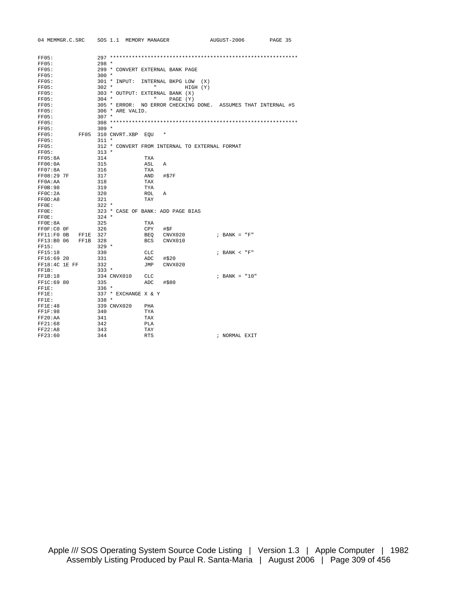| 04 MEMMGR.C.SRC        | SOS 1.1 MEMORY MANAGER |                                                               | AUGUST-2006      | PAGE 35 |
|------------------------|------------------------|---------------------------------------------------------------|------------------|---------|
| FF05:                  |                        |                                                               |                  |         |
| FF05:                  | $298 *$                |                                                               |                  |         |
| FF05:                  |                        | 299 * CONVERT EXTERNAL BANK PAGE                              |                  |         |
| FF05:                  | $300 *$                |                                                               |                  |         |
| FF05:                  | 301 * INPUT:           | INTERNAL BKPG LOW (X)                                         |                  |         |
| FF05:                  | $302$ *                | $\mathbf{H}$<br>HIGH (Y)                                      |                  |         |
| FF05:                  |                        | 303 * OUTPUT: EXTERNAL BANK (X)                               |                  |         |
| FF05:                  | $304$ *                | $\mathbf{u}$<br>PAGE (Y)                                      |                  |         |
| FF05:                  |                        | 305 * ERROR: NO ERROR CHECKING DONE. ASSUMES THAT INTERNAL #S |                  |         |
| FF05:                  | 306 * ARE VALID.       |                                                               |                  |         |
| FF05:                  | $307 *$                |                                                               |                  |         |
| FF05:                  |                        |                                                               |                  |         |
| FF05:                  | $309 *$                |                                                               |                  |         |
| FF05:                  | FF05 310 CNVRT.XBP EOU | $\star$                                                       |                  |         |
| FF05:                  | $311 *$                |                                                               |                  |         |
| FF05:                  |                        | 312 * CONVERT FROM INTERNAL TO EXTERNAL FORMAT                |                  |         |
| FF05:                  | $313 *$                |                                                               |                  |         |
| FF05:8A                | 314                    | TXA                                                           |                  |         |
| FF06:0A                | 315                    | ASL<br>$\mathbb{A}$                                           |                  |         |
| FF07:8A                | 316                    | TXA                                                           |                  |         |
| FF08:29 7F             | 317                    | AND<br>#\$7F                                                  |                  |         |
| FF0A: AA               | 318                    | TAX                                                           |                  |         |
| FFOB:98                | 319                    | TYA                                                           |                  |         |
| FFOC: 2A               | 320                    | ROL<br>Α                                                      |                  |         |
| FF0D:A8                | 321                    | TAY                                                           |                  |         |
| FFOE:                  | $322 *$                |                                                               |                  |         |
| FF0E:                  |                        | 323 * CASE OF BANK: ADD PAGE BIAS                             |                  |         |
| $FF0E$ :               | $324$ *                |                                                               |                  |         |
| FF0E:8A                | 325                    | TXA                                                           |                  |         |
| FF0F:C0 OF             | 326                    | CPY<br>#\$F                                                   |                  |         |
| FF11:FOOB FF1E         | 327                    | CNVX020<br>BEQ                                                | $:$ BANK = "F"   |         |
| FF13:B0 06<br>FF1B 328 |                        | BCS<br>CNVX010                                                |                  |         |
| FF15:                  | $329 *$                |                                                               |                  |         |
| FF15:18                | 330                    | CLC                                                           | $:$ BANK $<$ "F" |         |
| FF16:69 20             | 331                    | ADC<br>#\$20                                                  |                  |         |
| FF18:4C 1E FF          | 332                    | JMP<br>CNVX020                                                |                  |         |
| FF1B:                  | $333 *$                |                                                               |                  |         |
| FF1B:18                | 334 CNVX010            | CLC                                                           | ; BANK = $"10"$  |         |
| FF1C:69 80             | 335                    | ADC<br>#\$80                                                  |                  |         |
| FF1E:                  | $336 *$                |                                                               |                  |         |
| FF1E:                  | 337 * EXCHANGE X & Y   |                                                               |                  |         |
| FF1E:                  | $338 *$                |                                                               |                  |         |
| FF1E:48                | 339 CNVX020            | PHA                                                           |                  |         |
| FF1F:98                | 340                    | TYA                                                           |                  |         |
| FF20:AA                | 341                    | TAX                                                           |                  |         |
| FF21:68                | 342                    | <b>PLA</b>                                                    |                  |         |
| FF22:A8                | 343                    | TAY                                                           |                  |         |
| FF23:60                | 344                    | <b>RTS</b>                                                    | ; NORMAL EXIT    |         |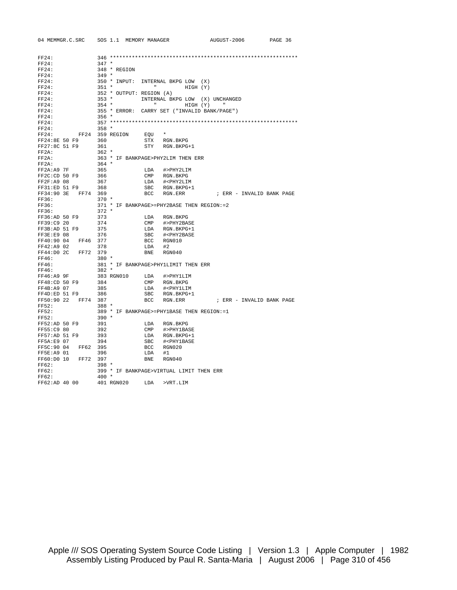| 04 MEMMGR.C.SRC        | SOS 1.1 MEMORY MANAGER   |                |                                                   | AUGUST-2006               | PAGE 36 |
|------------------------|--------------------------|----------------|---------------------------------------------------|---------------------------|---------|
|                        |                          |                |                                                   |                           |         |
|                        |                          |                |                                                   |                           |         |
| FF24:                  |                          |                |                                                   |                           |         |
| FF24:                  | $347 *$                  |                |                                                   |                           |         |
| FF24:                  | 348 * REGION             |                |                                                   |                           |         |
| FF24:                  | $349 *$                  |                |                                                   |                           |         |
| FF24:                  | 350 * INPUT:             |                | INTERNAL BKPG LOW                                 | (X)                       |         |
| FF24:                  | $351 *$                  |                | <b>Hart Committee</b><br>HIGH (Y)                 |                           |         |
| FF24:                  | 352 * OUTPUT: REGION (A) |                |                                                   |                           |         |
| FF24:                  | $353 *$                  |                | INTERNAL BKPG LOW                                 | (X) UNCHANGED             |         |
| FF24:                  | $354 *$                  |                | <b>H H H H</b><br>HIGH (Y)                        |                           |         |
| FF24:                  | 355 * ERROR:             |                | CARRY SET ("INVALID BANK/PAGE")                   |                           |         |
| FF24:                  | $356 *$                  |                |                                                   |                           |         |
| FF24:                  |                          |                |                                                   |                           |         |
| FF24:                  | $358 *$                  |                |                                                   |                           |         |
| FF24:                  | FF24 359 REGION          | EOU            | $\star$                                           |                           |         |
| FF24:8E 50 F9          | 360                      | STX            | RGN.BKPG                                          |                           |         |
| FF27:8C 51 F9          | 361                      | STY            | RGN.BKPG+1                                        |                           |         |
| FF2A:                  | $362 *$                  |                |                                                   |                           |         |
| $FF2A$ :               |                          |                | 363 * IF BANKPAGE>PHY2LIM THEN ERR                |                           |         |
| $FF2A$ :               | $364$ *                  |                |                                                   |                           |         |
| FF2A: A9 7F            | 365                      | LDA            | #>PHY2LIM                                         |                           |         |
| FF2C:CD 50 F9          | 366                      | CMP            | RGN.BKPG                                          |                           |         |
| FF2F: A9 08            | 367                      | LDA            | # <phy2lim< td=""><td></td><td></td></phy2lim<>   |                           |         |
| FF31:ED 51 F9          | 368                      | <b>SBC</b>     | RGN.BKPG+1                                        |                           |         |
| FF34:90 3E<br>FF74 369 |                          | <b>BCC</b>     | RGN.ERR                                           | ; ERR - INVALID BANK PAGE |         |
| FF36:                  | $370 *$                  |                |                                                   |                           |         |
| FF36:                  |                          |                | 371 * IF BANKPAGE>=PHY2BASE THEN REGION:=2        |                           |         |
| FF36:                  | $372 *$                  |                |                                                   |                           |         |
| FF36:AD 50 F9          | 373                      | LDA            | RGN.BKPG                                          |                           |         |
| FF39:C9 20             | 374                      | $\texttt{CMP}$ | #>PHY2BASE                                        |                           |         |
| FF3B:AD 51 F9          | 375                      | LDA            | RGN.BKPG+1                                        |                           |         |
| FF3E:E9 08             | 376                      | SBC            | # <phy2base< td=""><td></td><td></td></phy2base<> |                           |         |
| FF40:90 04<br>FF46 377 |                          | BCC            | RGN010                                            |                           |         |
| FF42:A9 02             | 378                      | LDA            | #2                                                |                           |         |
| FF44:D0 2C<br>FF72     | 379                      | <b>BNE</b>     | RGN040                                            |                           |         |
| FF46:                  | $380 *$                  |                |                                                   |                           |         |
| FF46:                  |                          |                | 381 * IF BANKPAGE>PHY1LIMIT THEN ERR              |                           |         |
| FF46:                  | $382 *$                  |                |                                                   |                           |         |
| FF46:A9 9F             | 383 RGN010               | LDA            | #>PHY1LIM                                         |                           |         |
| FF48:CD 50 F9          | 384                      | $\text{CMP}$   | RGN.BKPG                                          |                           |         |
| FF4B: A9 07            | 385                      | LDA            | # <phy1lim< td=""><td></td><td></td></phy1lim<>   |                           |         |
| FF4D:ED 51 F9          | 386                      | SBC            | RGN.BKPG+1                                        |                           |         |
| FF50:90 22<br>FF74     | 387                      | <b>BCC</b>     | RGN.ERR                                           | ; ERR - INVALID BANK PAGE |         |
| FF52:                  | $388 *$                  |                |                                                   |                           |         |
| FF52:                  |                          |                | 389 * IF BANKPAGE>=PHY1BASE THEN REGION:=1        |                           |         |
| FF52:                  | $390 *$                  |                |                                                   |                           |         |
| FF52:AD 50 F9          | 391                      | LDA            | RGN.BKPG                                          |                           |         |
| FF55:C9 80             | 392                      | $\texttt{CMP}$ | #>PHY1BASE                                        |                           |         |
| FF57:AD 51 F9          | 393                      | LDA            | RGN.BKPG+1                                        |                           |         |
| FF5A:E9 07             | 394                      | SBC            | # <phy1base< td=""><td></td><td></td></phy1base<> |                           |         |
| FF5C:90 04<br>FF62 395 |                          | BCC            | RGN020                                            |                           |         |
| FF5E:A9 01             | 396                      | LDA            | #1                                                |                           |         |
| FF60:D0 10<br>FF72     | 397                      | <b>BNE</b>     | RGN040                                            |                           |         |
| FF62:                  | $398 *$                  |                |                                                   |                           |         |
| FF62:                  |                          |                | 399 * IF BANKPAGE>VIRTUAL LIMIT THEN ERR          |                           |         |
| FF62:                  | $400 *$                  |                |                                                   |                           |         |
| FF62:AD 40 00          | 401 RGN020               | LDA            | >VRT.LIM                                          |                           |         |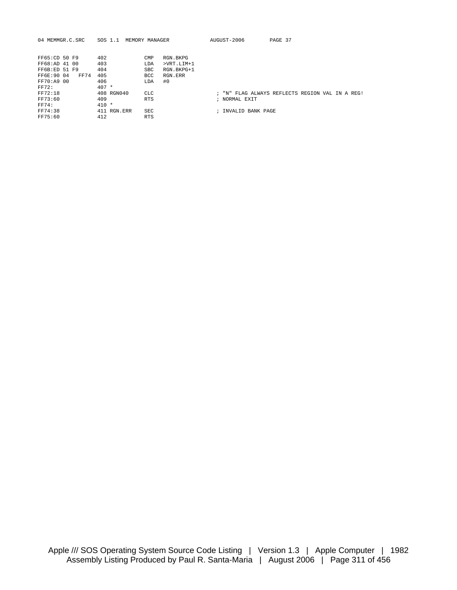| 04 MEMMGR.C.SRC     | SOS 1.1<br>MEMORY MANAGER |              | AUGUST-2006       | PAGE 37                                         |
|---------------------|---------------------------|--------------|-------------------|-------------------------------------------------|
|                     |                           |              |                   |                                                 |
| FF65:CD 50 F9       | 402<br>CMP                | RGN.BKPG     |                   |                                                 |
| FF68:AD 41 00       | 403<br>LDA                | $>VRT.LIM+1$ |                   |                                                 |
| FF6B:ED 51 F9       | 404<br><b>SBC</b>         | RGN.BKPG+1   |                   |                                                 |
| FF6E: 90 04<br>FF74 | 405<br><b>BCC</b>         | RGN.ERR      |                   |                                                 |
| FF70:A9 00          | 406<br>LDA                | #0           |                   |                                                 |
| <b>FF72:</b>        | $407 *$                   |              |                   |                                                 |
| FF72:18             | 408 RGN040<br><b>CLC</b>  |              |                   | ; "N" FLAG ALWAYS REFLECTS REGION VAL IN A REG! |
| FF73:60             | 409<br><b>RTS</b>         |              | ; NORMAL EXIT     |                                                 |
| <b>FF74:</b>        | $410 *$                   |              |                   |                                                 |
| FF74:38             | 411 RGN.ERR<br>SEC        |              | INVALID BANK PAGE |                                                 |
| FF75:60             | 412<br><b>RTS</b>         |              |                   |                                                 |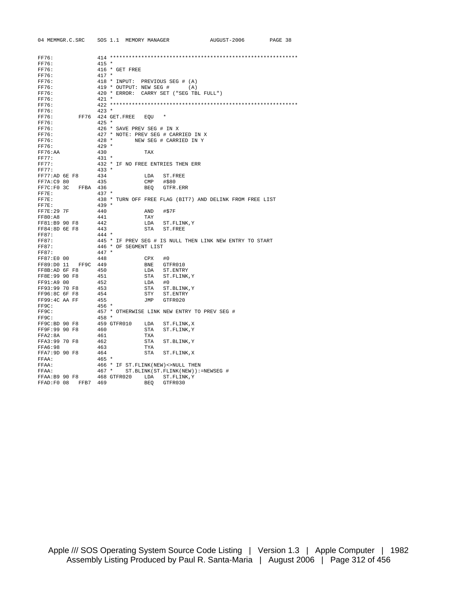| 04 MEMMGR.C.SRC         | SOS 1.1 MEMORY MANAGER                       |        |                                              | AUGUST-2006                                               | PAGE 38 |  |
|-------------------------|----------------------------------------------|--------|----------------------------------------------|-----------------------------------------------------------|---------|--|
|                         |                                              |        |                                              |                                                           |         |  |
| FF76:                   |                                              |        |                                              |                                                           |         |  |
| FF76:                   | $415 *$                                      |        |                                              |                                                           |         |  |
| FF76:                   | 416 * GET FREE                               |        |                                              |                                                           |         |  |
| FF76:                   | $417 *$                                      |        |                                              |                                                           |         |  |
| FF76:                   | 418 * INPUT: PREVIOUS SEG # (A)              |        |                                              |                                                           |         |  |
| FF76:                   | 419 * OUTPUT: NEW SEG # (A)                  |        |                                              |                                                           |         |  |
| FF76:                   |                                              |        | 420 * ERROR: CARRY SET ("SEG TBL FULL")      |                                                           |         |  |
| FF76:                   | $421 *$                                      |        |                                              |                                                           |         |  |
| FF76:                   |                                              |        |                                              |                                                           |         |  |
| FF76:                   | $423 *$                                      |        |                                              |                                                           |         |  |
| FF76:                   | FF76 424 GET. FREE                           | EOU    |                                              |                                                           |         |  |
| FF76:                   | $425 *$                                      |        |                                              |                                                           |         |  |
| FF76:                   | 426 * SAVE PREV SEG # IN X                   |        |                                              |                                                           |         |  |
| FF76:                   |                                              |        | 427 * NOTE: PREV SEG # CARRIED IN X          |                                                           |         |  |
| FF76:                   | $428 *$<br>$429 *$                           |        | NEW SEG # CARRIED IN Y                       |                                                           |         |  |
| FF76:                   | 430                                          | TAX    |                                              |                                                           |         |  |
| FF76:AA<br><b>FF77:</b> |                                              |        |                                              |                                                           |         |  |
| FF77:                   | $431 *$<br>432 * IF NO FREE ENTRIES THEN ERR |        |                                              |                                                           |         |  |
| FF77:                   | $433 *$                                      |        |                                              |                                                           |         |  |
| FF77:AD 6E F8           | 434                                          | LDA    | ST.FREE                                      |                                                           |         |  |
| FF7A:C9 80              | 435                                          | CMP    | #\$80                                        |                                                           |         |  |
| FFBA 436<br>FF7C:F0 3C  |                                              | BEO    | GTFR.ERR                                     |                                                           |         |  |
| FF7E:                   | $437 *$                                      |        |                                              |                                                           |         |  |
| $FF7E$ :                |                                              |        |                                              | 438 * TURN OFF FREE FLAG (BIT7) AND DELINK FROM FREE LIST |         |  |
| FF7E:                   | $439 *$                                      |        |                                              |                                                           |         |  |
| FF7E:29 7F              | 440                                          | AND    | #\$7F                                        |                                                           |         |  |
| FF80:AB                 | 441                                          | TAY    |                                              |                                                           |         |  |
| FF81:B9 90 F8           | 442                                          | LDA    | ST.FLINK, Y                                  |                                                           |         |  |
| FF84:8D 6E F8           | 443                                          |        | STA ST. FREE                                 |                                                           |         |  |
| FF87:                   | $444 *$                                      |        |                                              |                                                           |         |  |
| FF87:                   |                                              |        |                                              | 445 * IF PREV SEG # IS NULL THEN LINK NEW ENTRY TO START  |         |  |
| FF87:                   | 446 * OF SEGMENT LIST                        |        |                                              |                                                           |         |  |
| FF87:                   | $447 *$                                      |        |                                              |                                                           |         |  |
| FF87:E0 00              | 448                                          | CPX    | #0                                           |                                                           |         |  |
| FF89:D0 11<br>FF9C 449  |                                              |        | BNE GTFR010                                  |                                                           |         |  |
| FF8B:AD 6F F8           | 450                                          |        | LDA ST. ENTRY                                |                                                           |         |  |
| FF8E:99 90 F8           | 451                                          |        | STA ST. FLINK, Y                             |                                                           |         |  |
| FF91:A9 00              | 452                                          | LDA #0 |                                              |                                                           |         |  |
| FF93:99 70 F8           | 453                                          |        | STA ST.BLINK, Y                              |                                                           |         |  |
| FF96:8C 6F F8           | 454                                          | STY    | ST.ENTRY                                     |                                                           |         |  |
| FF99:4C AA FF           | 455                                          |        | JMP GTFR020                                  |                                                           |         |  |
| FF9C:                   | $456 *$                                      |        |                                              |                                                           |         |  |
| FF9C:                   |                                              |        | 457 * OTHERWISE LINK NEW ENTRY TO PREV SEG # |                                                           |         |  |
| FF9C:                   | $458 *$                                      |        |                                              |                                                           |         |  |
| FF9C:BD 90 F8           | 459 GTFR010                                  | LDA    | ST.FLINK, X                                  |                                                           |         |  |
| FF9F:99 90 F8           | 460                                          |        | STA ST. FLINK, Y                             |                                                           |         |  |
| FFA2:8A                 | 461                                          | TXA    |                                              |                                                           |         |  |
| FFA3:99 70 F8           | 462                                          | STA    | ST.BLINK, Y                                  |                                                           |         |  |
| FFA6:98                 | 463                                          | TYA    |                                              |                                                           |         |  |
| FFA7:9D 90 F8           | 464                                          | STA    | ST.FLINK, X                                  |                                                           |         |  |
| FFAA:                   | $465 *$                                      |        |                                              |                                                           |         |  |
| FFAA:                   | 466 * IF ST. FLINK (NEW) <> NULL THEN        |        |                                              |                                                           |         |  |
| FFAA:                   | $467 *$                                      |        | ST. BLINK (ST. FLINK (NEW) ) := NEWSEG #     |                                                           |         |  |
| FFAA:B9 90 F8           | 468 GTFR020                                  |        | LDA ST.FLINK, Y                              |                                                           |         |  |
| FFAD: F0 08 FFB7 469    |                                              | BEO    | GTFR030                                      |                                                           |         |  |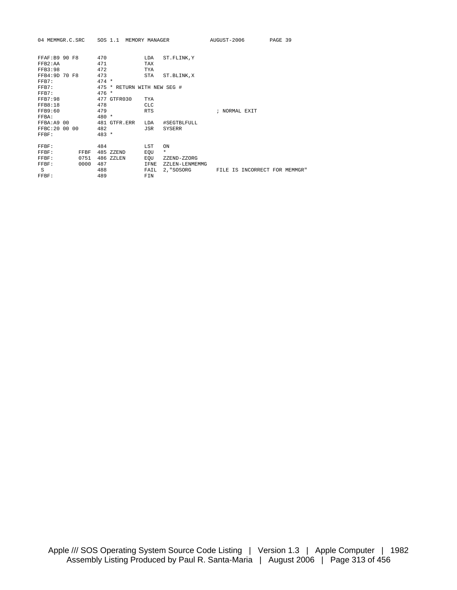| 04 MEMMGR.C.SRC    |      |            | SOS 1.1 MEMORY MANAGER      |                          |                | AUGUST-2006   |                               | PAGE 39 |  |
|--------------------|------|------------|-----------------------------|--------------------------|----------------|---------------|-------------------------------|---------|--|
| FFAF: B9 90 F8     |      | 470        |                             | LDA                      | ST.FLINK, Y    |               |                               |         |  |
| FFB2:AA<br>FFB3:98 |      | 471<br>472 |                             | <b>TAX</b><br><b>TYA</b> |                |               |                               |         |  |
| FFB4:9D 70 F8      |      | 473        |                             | <b>STA</b>               | ST.BLINK, X    |               |                               |         |  |
| FFB7:              |      | $474 *$    |                             |                          |                |               |                               |         |  |
| FFB7:              |      |            | 475 * RETURN WITH NEW SEG # |                          |                |               |                               |         |  |
| FFB7:              |      | $476 *$    |                             |                          |                |               |                               |         |  |
| <b>FFB7:98</b>     |      |            | 477 GTFR030                 | <b>TYA</b>               |                |               |                               |         |  |
| FFB8:18            |      | 478        |                             | <b>CLC</b>               |                |               |                               |         |  |
| FFB9:60            |      | 479        |                             | <b>RTS</b>               |                | ; NORMAL EXIT |                               |         |  |
| FFBA:              |      | $480 *$    |                             |                          |                |               |                               |         |  |
| FFBA:A9 00         |      |            | 481 GTFR.ERR                | <b>T.DA</b>              | #SEGTBLFULL    |               |                               |         |  |
| FFBC: 20 00 00     |      | 482        |                             | <b>JSR</b>               | <b>SYSERR</b>  |               |                               |         |  |
| FFBF:              |      | $483 *$    |                             |                          |                |               |                               |         |  |
| FFBF:              |      | 484        |                             | LST                      | ON             |               |                               |         |  |
| FFBF:              | FFBF |            | 485 ZZEND                   | EQU                      | $\star$        |               |                               |         |  |
| FFBF:              | 0751 |            | 486 ZZLEN                   | EOU                      | ZZEND-ZZORG    |               |                               |         |  |
| FFBF:              | 0000 | 487        |                             | IFNE                     | ZZLEN-LENMEMMG |               |                               |         |  |
| S                  |      | 488        |                             | FAIL                     | 2. "SOSORG     |               | FILE IS INCORRECT FOR MEMMGR" |         |  |
| FFBF:              |      | 489        |                             | FIN                      |                |               |                               |         |  |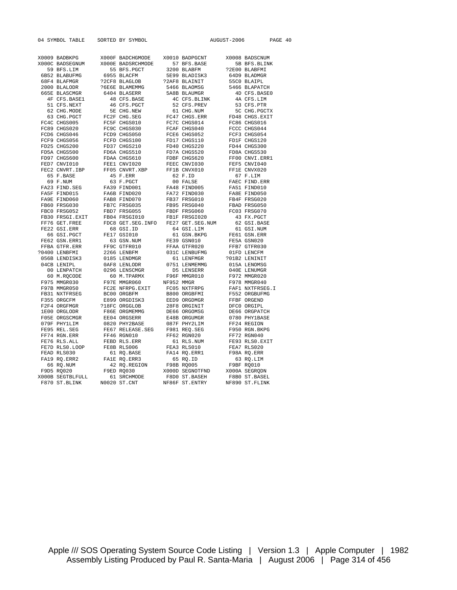| 04 SYMBOL TABLE                               | SORTED BY SYMBOL                                                                                                                                                                                                                                                                                                                                                      |                              | AUGUST-2006                |                                                           | PAGE 40 |  |
|-----------------------------------------------|-----------------------------------------------------------------------------------------------------------------------------------------------------------------------------------------------------------------------------------------------------------------------------------------------------------------------------------------------------------------------|------------------------------|----------------------------|-----------------------------------------------------------|---------|--|
|                                               |                                                                                                                                                                                                                                                                                                                                                                       |                              |                            |                                                           |         |  |
|                                               |                                                                                                                                                                                                                                                                                                                                                                       |                              |                            |                                                           |         |  |
| X0009 BADBKPG                                 | X000F BADCHGMODE X0010 BADPGCNT                                                                                                                                                                                                                                                                                                                                       |                              |                            | X0008 BADSCNUM                                            |         |  |
| X000C BADSEGNUM                               | X000E BADSRCHMODE                                                                                                                                                                                                                                                                                                                                                     | 57 BFS.BASE                  |                            | 5B BFS.BLINK                                              |         |  |
| 59 BFS.LIM<br>6B52 BLABUFMG<br>68F4 BLAEMCD   | 55 BFS.PGCT<br>6955 BLACFM<br>6955 BLACFM<br>72CFS BLAGLOB<br>72CFS BLACFC<br>72AF8 BLAINIT                                                                                                                                                                                                                                                                           |                              |                            | ?2E00 BLABFMI                                             |         |  |
|                                               |                                                                                                                                                                                                                                                                                                                                                                       |                              | 64D9 BLADMGR               |                                                           |         |  |
| 68F4 BLAFMGR                                  |                                                                                                                                                                                                                                                                                                                                                                       |                              |                            | 55C0 BLAIPL<br>5466 BLAPATCH                              |         |  |
| 2000 BLALODR<br>665E BLASCMGR<br>4F CFS.BASE1 | FORGE BLAMEMMG<br>6404 BLASERR<br>48 CFS.BASE                                                                                                                                                                                                                                                                                                                         | 5466 BLAOMSG<br>5A8B BLAUMGR |                            |                                                           |         |  |
|                                               |                                                                                                                                                                                                                                                                                                                                                                       |                              |                            | 4D CFS.BASE0<br>4A CFS.LIM                                |         |  |
|                                               |                                                                                                                                                                                                                                                                                                                                                                       | 4C CFS.BLINK                 |                            |                                                           |         |  |
|                                               |                                                                                                                                                                                                                                                                                                                                                                       |                              |                            |                                                           |         |  |
|                                               |                                                                                                                                                                                                                                                                                                                                                                       |                              |                            |                                                           |         |  |
|                                               |                                                                                                                                                                                                                                                                                                                                                                       |                              |                            |                                                           |         |  |
|                                               | $\begin{tabular}{lcccc} 4F CFS. BASE1 & 48 CFS. BASE & 4C CFS. BLINK & 4A CFS. LIM \\ 51 CFS. NEXT & 56 CHS. NODE & 52 CFS. PREW & 53 CFS. PREX \\ 62 CHS. MODE & 5E CHS. NEW & 61 CHS. NWW & 5C CHG. PGCTX \\ 63 CHS. PGCT & FC2F CHG.SBE & FC47 CHGS0. ERR & FD48 CHGS. EXIT \\ 7C4C CHGS005 & FC5F CHGS010 & FC7C CHGS014 & FC86 CHGS016 \\ FC89 CHGS046 & FCDD &$ |                              |                            |                                                           |         |  |
|                                               |                                                                                                                                                                                                                                                                                                                                                                       |                              |                            |                                                           |         |  |
|                                               |                                                                                                                                                                                                                                                                                                                                                                       |                              |                            |                                                           |         |  |
|                                               |                                                                                                                                                                                                                                                                                                                                                                       |                              |                            |                                                           |         |  |
|                                               |                                                                                                                                                                                                                                                                                                                                                                       |                              |                            |                                                           |         |  |
|                                               |                                                                                                                                                                                                                                                                                                                                                                       |                              |                            |                                                           |         |  |
|                                               |                                                                                                                                                                                                                                                                                                                                                                       |                              |                            |                                                           |         |  |
|                                               |                                                                                                                                                                                                                                                                                                                                                                       |                              |                            |                                                           |         |  |
|                                               |                                                                                                                                                                                                                                                                                                                                                                       |                              |                            |                                                           |         |  |
| 65 F.BASE<br>69 F.NUM                         |                                                                                                                                                                                                                                                                                                                                                                       |                              |                            | 67 F.LIM<br>FAEC FIND.ERR<br>FA51 FIND010<br>---- TIND050 |         |  |
|                                               |                                                                                                                                                                                                                                                                                                                                                                       |                              |                            |                                                           |         |  |
|                                               |                                                                                                                                                                                                                                                                                                                                                                       |                              |                            |                                                           |         |  |
|                                               |                                                                                                                                                                                                                                                                                                                                                                       |                              |                            |                                                           |         |  |
|                                               |                                                                                                                                                                                                                                                                                                                                                                       |                              |                            |                                                           |         |  |
|                                               |                                                                                                                                                                                                                                                                                                                                                                       |                              |                            |                                                           |         |  |
|                                               |                                                                                                                                                                                                                                                                                                                                                                       |                              |                            |                                                           |         |  |
|                                               |                                                                                                                                                                                                                                                                                                                                                                       |                              |                            |                                                           |         |  |
|                                               |                                                                                                                                                                                                                                                                                                                                                                       |                              |                            |                                                           |         |  |
|                                               |                                                                                                                                                                                                                                                                                                                                                                       |                              |                            |                                                           |         |  |
|                                               |                                                                                                                                                                                                                                                                                                                                                                       |                              |                            |                                                           |         |  |
|                                               |                                                                                                                                                                                                                                                                                                                                                                       |                              |                            |                                                           |         |  |
|                                               |                                                                                                                                                                                                                                                                                                                                                                       |                              |                            |                                                           |         |  |
|                                               |                                                                                                                                                                                                                                                                                                                                                                       |                              |                            |                                                           |         |  |
|                                               |                                                                                                                                                                                                                                                                                                                                                                       |                              |                            |                                                           |         |  |
|                                               |                                                                                                                                                                                                                                                                                                                                                                       |                              |                            |                                                           |         |  |
|                                               |                                                                                                                                                                                                                                                                                                                                                                       |                              |                            |                                                           |         |  |
|                                               |                                                                                                                                                                                                                                                                                                                                                                       |                              |                            |                                                           |         |  |
|                                               |                                                                                                                                                                                                                                                                                                                                                                       |                              |                            |                                                           |         |  |
|                                               |                                                                                                                                                                                                                                                                                                                                                                       |                              |                            |                                                           |         |  |
|                                               |                                                                                                                                                                                                                                                                                                                                                                       |                              |                            |                                                           |         |  |
|                                               |                                                                                                                                                                                                                                                                                                                                                                       |                              |                            |                                                           |         |  |
|                                               |                                                                                                                                                                                                                                                                                                                                                                       |                              |                            |                                                           |         |  |
|                                               |                                                                                                                                                                                                                                                                                                                                                                       |                              |                            |                                                           |         |  |
|                                               |                                                                                                                                                                                                                                                                                                                                                                       |                              |                            |                                                           |         |  |
|                                               |                                                                                                                                                                                                                                                                                                                                                                       |                              |                            |                                                           |         |  |
|                                               |                                                                                                                                                                                                                                                                                                                                                                       |                              |                            |                                                           |         |  |
| FE95 REL.SEG<br>FF74 RGN.ERR<br>FE76 RLS.ALL  |                                                                                                                                                                                                                                                                                                                                                                       |                              |                            |                                                           |         |  |
|                                               |                                                                                                                                                                                                                                                                                                                                                                       | 61 RLS.NUM                   |                            | FE93 RLS0.EXIT                                            |         |  |
| FE7D RLS0.LOOP                                | FF46 RGN010<br>FEBD RLS.ERR<br>FE8B RLS006                                                                                                                                                                                                                                                                                                                            | FEA3 RLS010                  | FEA7 RLS020<br>F98A RQ.ERR |                                                           |         |  |
|                                               | FEAD RLS030 61 RQ.BASE FA14 RQ.ERR1<br>FA19 RQ.ERR2 FA1E RQ.ERR3 65 RQ.ID<br>66 RQ.NUM 42 RQ.REGION F98B RQ005<br>F9D5 RQ020 F9ED RQ030 X000D SEGNOTFND<br>F9D5 RQ2020 F9ED RQ030 X000D SEGNOTEND<br>F970 ST.BLINK N0020 ST.CNT NF86F ST                                                                                                                              |                              |                            |                                                           |         |  |
|                                               |                                                                                                                                                                                                                                                                                                                                                                       |                              |                            | 63 RQ.LIM                                                 |         |  |
|                                               |                                                                                                                                                                                                                                                                                                                                                                       |                              | F9BF RQ010                 |                                                           |         |  |
|                                               |                                                                                                                                                                                                                                                                                                                                                                       |                              |                            | X000A SEGRQDN                                             |         |  |
|                                               |                                                                                                                                                                                                                                                                                                                                                                       |                              |                            | F8B0 ST.BASEL                                             |         |  |
|                                               |                                                                                                                                                                                                                                                                                                                                                                       |                              |                            | NF890 ST.FLINK                                            |         |  |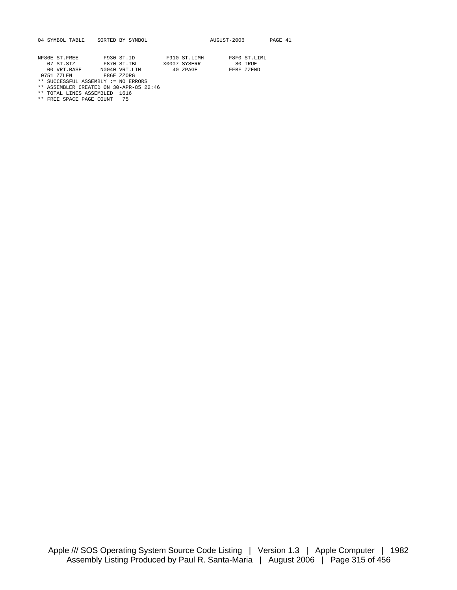|  | 04 SYMBOL TABLE |  | SORTED BY SYMBO |  |  |
|--|-----------------|--|-----------------|--|--|
|--|-----------------|--|-----------------|--|--|

| NF86E ST.FREE | F930 ST. ID  | F910 ST.LIMH | F8F0 ST LIML |
|---------------|--------------|--------------|--------------|
| 07 ST STZ     | F870 ST. TBL | X0007 SYSERR | 80 TRUE      |

00 VRT.BASE N0040 VRT.LIM 40 ZPAGE FFBF ZZEND

0751 ZZLEN F86E ZZORG \*\* SUCCESSFUL ASSEMBLY := NO ERRORS

\*\* ASSEMBLER CREATED ON 30-APR-85 22:46 \*\* TOTAL LINES ASSEMBLED 1616

\*\* FREE SPACE PAGE COUNT 75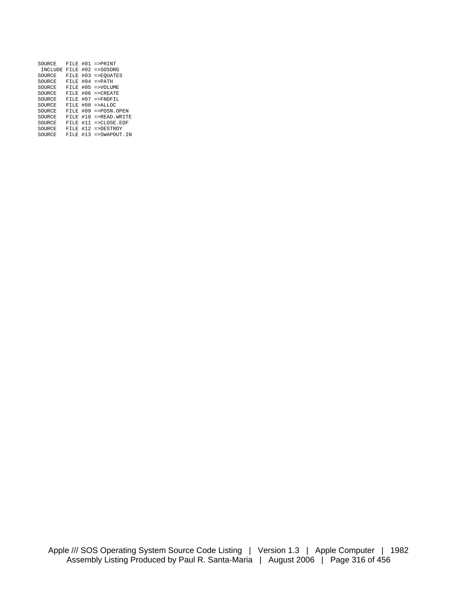| SOURCE         | FTLE | #01 | $=$ > $PRINT$     |
|----------------|------|-----|-------------------|
| <b>INCLUDE</b> | FTLE | #02 | $=$ >SOSORG       |
| SOURCE         | FTLE | #03 | $=$ > EOUATES     |
| SOURCE         | FTLE | #04 | $=$ > $PATH$      |
| SOURCE         | FTLE | #05 | $=$ >VOLUME       |
| SOURCE         | FTLE | #06 | $=$ > CREATE      |
| SOURCE         | FTLE | #07 | $=$ > $FNDFTI$    |
| SOURCE         | FTLE | #08 | $=$ > ALLOC       |
| SOURCE         | FTLE | #09 | $=$ >POSN.OPEN    |
| SOURCE         | FTLE | #10 | $=$ > READ. WRITE |
| SOURCE         | FTLE | #11 | $=$ > CLOSE  EOF  |
| SOURCE         | FTLE | #12 | $=$ >DESTROY      |
| SOURCE         | FTLE | #13 | $=$ >SWAPOUT.IN   |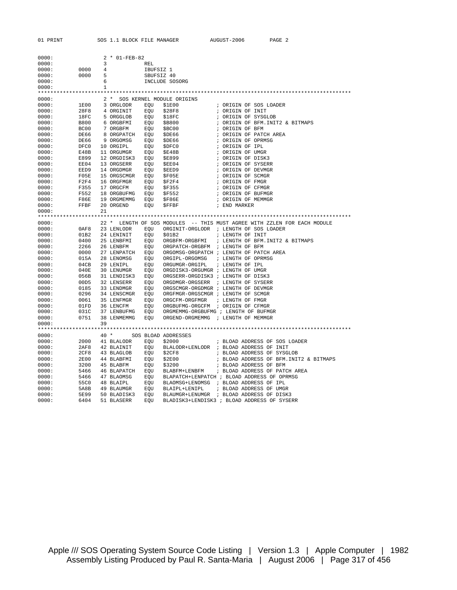| 01 PRINT       |                                                                                   |                         | SOS 1.1 BLOCK FILE MANAGER                                                                 |            |                                                                                                                                                                     | AUGUST-2006            | PAGE 2                                                                                                                      |
|----------------|-----------------------------------------------------------------------------------|-------------------------|--------------------------------------------------------------------------------------------|------------|---------------------------------------------------------------------------------------------------------------------------------------------------------------------|------------------------|-----------------------------------------------------------------------------------------------------------------------------|
|                |                                                                                   |                         |                                                                                            |            |                                                                                                                                                                     |                        |                                                                                                                             |
|                |                                                                                   |                         |                                                                                            |            |                                                                                                                                                                     |                        |                                                                                                                             |
| 0000:          |                                                                                   |                         | 2 * 01-FEB-82                                                                              |            |                                                                                                                                                                     |                        |                                                                                                                             |
| 0000:          |                                                                                   | $\overline{\mathbf{3}}$ |                                                                                            | REL        |                                                                                                                                                                     |                        |                                                                                                                             |
| 0000:          | $\begin{array}{ccc} 0\,0\,0\,0 & \quad & 4 \\ 0\,0\,0\,0 & \quad & 5 \end{array}$ |                         |                                                                                            | IBUFSIZ 1  |                                                                                                                                                                     |                        |                                                                                                                             |
| 0000:          |                                                                                   |                         |                                                                                            | SBUFSIZ 40 |                                                                                                                                                                     |                        |                                                                                                                             |
| 0000:          |                                                                                   |                         | 6                                                                                          |            | INCLUDE SOSORG                                                                                                                                                      |                        |                                                                                                                             |
| 0000:          |                                                                                   | $\mathbf{1}$            |                                                                                            |            |                                                                                                                                                                     |                        |                                                                                                                             |
|                |                                                                                   |                         |                                                                                            |            |                                                                                                                                                                     |                        |                                                                                                                             |
| 0000:<br>0000: | 1E00                                                                              |                         | 3 ORGLODR EOU                                                                              |            | 2 * SOS KERNEL MODULE ORIGINS<br>\$1E00                                                                                                                             | ; ORIGIN OF SOS LOADER |                                                                                                                             |
| 0000:          | 28F8                                                                              |                         | 4 ORGINIT EQU                                                                              |            | \$28F8                                                                                                                                                              | ; ORIGIN OF INIT       |                                                                                                                             |
| 0000:          | 18FC                                                                              |                         | 5 ORGGLOB EQU \$18FC                                                                       |            |                                                                                                                                                                     | ; ORIGIN OF SYSGLOB    |                                                                                                                             |
| 0000:          | B800                                                                              |                         | 6 ORGBFMI EQU \$B800                                                                       |            |                                                                                                                                                                     |                        | ; ORIGIN OF BFM.INIT2 & BITMAPS                                                                                             |
| 0000:          | BC00                                                                              |                         | 7 ORGBFM EQU \$BC00                                                                        |            |                                                                                                                                                                     | ; ORIGIN OF BFM        |                                                                                                                             |
| 0000:          | DE66                                                                              |                         | 8 ORGPATCH EQU \$DE66                                                                      |            |                                                                                                                                                                     |                        |                                                                                                                             |
| 0000:          | DE66<br>DE66<br>DFC0                                                              |                         |                                                                                            |            |                                                                                                                                                                     |                        | ; ORIGIN OF BFM<br>; ORIGIN OF PATCH AREA<br>; ORIGIN OF OPRMSG<br>; ORIGIN OF IPL                                          |
| 0000:          |                                                                                   |                         | 9 ORGOMSG EQU \$DE66<br>10 ORGIPL EQU \$DFC0<br>11 ORGUMGR EQU \$E48B                      |            |                                                                                                                                                                     |                        |                                                                                                                             |
| 0000:          | E48B                                                                              |                         |                                                                                            |            |                                                                                                                                                                     | ; ORIGIN OF UMGR       |                                                                                                                             |
| 0000:          | E899                                                                              |                         | 12 ORGDISK3 EQU \$E899                                                                     |            |                                                                                                                                                                     | ; ORIGIN OF DISK3      |                                                                                                                             |
| 0000:          | EE04                                                                              |                         |                                                                                            |            |                                                                                                                                                                     | ; ORIGIN OF SYSERR     |                                                                                                                             |
| 0000:          | EED9                                                                              |                         | 13 ORGSERR EQU \$EE04<br>14 ORGDMGR EQU \$EED9<br>15 ORGSCMGR EQU \$F05E                   |            |                                                                                                                                                                     | ; ORIGIN OF DEVMGR     |                                                                                                                             |
| 0000:          | F05E                                                                              |                         |                                                                                            |            |                                                                                                                                                                     | ; ORIGIN OF SCMGR      |                                                                                                                             |
| 0000:          |                                                                                   |                         | F2F4     16  ORGFMGR        EQU      \$F2F4<br>F355     17  ORGCFM          EQU     \$F355 |            |                                                                                                                                                                     | ; ORIGIN OF FMGR       |                                                                                                                             |
| 0000:          |                                                                                   |                         |                                                                                            |            |                                                                                                                                                                     | ; ORIGIN OF CFMGR      |                                                                                                                             |
| 0000:          | F552                                                                              |                         | 18 ORGBUFMG EQU \$F552                                                                     |            |                                                                                                                                                                     | ; ORIGIN OF BUFMGR     |                                                                                                                             |
| 0000:          | F86E                                                                              |                         | 19 ORGMEMMG                                                                                | EQU        | \$F86E                                                                                                                                                              | ; ORIGIN OF MEMMGR     |                                                                                                                             |
| 0000:          | FFBF                                                                              |                         | 20 ORGEND                                                                                  | EQU        | \$FFBF                                                                                                                                                              | ; END MARKER           |                                                                                                                             |
| 0000:          |                                                                                   | 2.1                     |                                                                                            |            |                                                                                                                                                                     |                        |                                                                                                                             |
|                |                                                                                   |                         |                                                                                            |            |                                                                                                                                                                     |                        |                                                                                                                             |
| 0000:          |                                                                                   |                         |                                                                                            |            |                                                                                                                                                                     |                        | 22 * LENGTH OF SOS MODULES -- THIS MUST AGREE WITH ZZLEN FOR EACH MODULE                                                    |
| 0000:<br>0000: | 0AF8<br>01B2                                                                      |                         | 23 LENLODR EQU<br>24 LENINIT EQU                                                           |            | ORGINIT-ORGLODR ; LENGTH OF SOS LOADER<br>\$01B2                                                                                                                    | ; LENGTH OF INIT       |                                                                                                                             |
| 0000:          | 0400                                                                              |                         |                                                                                            |            |                                                                                                                                                                     |                        |                                                                                                                             |
| 0000:          | 2266                                                                              |                         |                                                                                            |            |                                                                                                                                                                     |                        | 25 LENBFMI   EQU   ORGBFM-ORGBFMI   ; LENGTH OF BFM.INIT2 & BITMAPS<br>26 LENBFM    EQU   ORGPATCH-ORGBFM   ; LENGTH OF BFM |
| 0000:          | 0000                                                                              |                         |                                                                                            |            | 27 LENPATCH EQU ORGOMSG-ORGPATCH; LENGTH OF PATCH AREA                                                                                                              |                        |                                                                                                                             |
| 0000:          |                                                                                   |                         |                                                                                            |            |                                                                                                                                                                     |                        |                                                                                                                             |
| 0000:          |                                                                                   |                         |                                                                                            |            |                                                                                                                                                                     |                        |                                                                                                                             |
| 0000:          |                                                                                   |                         |                                                                                            |            | 015A 28 LENOMSG EQU ORGIPL-ORGOMSG ; LENGTH OF OPRMSG<br>04CB 29 LENIPL EQU ORGUMGR-ORGIPL ; LENGTH OF IPL<br>040E 30 LENUMGR EQU ORGDISK3-ORGUMGR ; LENGTH OF UMGR |                        |                                                                                                                             |
| 0000:          | 056B                                                                              |                         |                                                                                            |            | 31 LENDISK3 EQU ORGSERR-ORGDISK3 ; LENGTH OF DISK3                                                                                                                  |                        |                                                                                                                             |
| 0000:          |                                                                                   |                         |                                                                                            |            | ORGDMGR-ORGSERR ; LENGTH OF SYSERR                                                                                                                                  |                        |                                                                                                                             |
| 0000:          | 0185                                                                              |                         | 00D5     32  LENSERR        EQU<br>0185      33  LENDMGR        EQU                        |            | ORGSCMGR-ORGDMGR ; LENGTH OF DEVMGR                                                                                                                                 |                        |                                                                                                                             |
| 0000:          | 0296                                                                              |                         |                                                                                            |            | 34 LENSCMGR EQU ORGFMGR-ORGSCMGR ; LENGTH OF SCMGR                                                                                                                  |                        |                                                                                                                             |
| 0000:          | 0061                                                                              |                         |                                                                                            |            |                                                                                                                                                                     |                        |                                                                                                                             |
| 0000:          | 01FD                                                                              |                         |                                                                                            |            |                                                                                                                                                                     |                        |                                                                                                                             |
| 0000:          | 031C                                                                              |                         | 37 LENBUFMG EQU                                                                            |            | ORGMEMMG-ORGBUFMG ; LENGTH OF BUFMGR                                                                                                                                |                        |                                                                                                                             |
| 0000:          | 0751                                                                              |                         | 38 LENMEMMG EQU                                                                            |            | ORGEND-ORGMEMMG ; LENGTH OF MEMMGR                                                                                                                                  |                        |                                                                                                                             |
| 0000:          |                                                                                   | 39                      |                                                                                            |            |                                                                                                                                                                     |                        |                                                                                                                             |
|                |                                                                                   |                         |                                                                                            |            |                                                                                                                                                                     |                        |                                                                                                                             |
| 0000:          |                                                                                   |                         | 40 * SOS BLOAD ADDRESSES                                                                   |            |                                                                                                                                                                     |                        |                                                                                                                             |
| 0000:          |                                                                                   |                         |                                                                                            |            | 2000 41 BLALODR EQU \$2000<br>2AF8 42 BLAINIT EQU BLALODR+LENLODR ; BLOAD ADDRESS OF INIT                                                                           |                        | ; BLOAD ADDRESS OF SOS LOADER                                                                                               |
| 0000:<br>0000: |                                                                                   |                         |                                                                                            |            | 2CF8 43 BLAGLOB EQU \$2CF8 : BLOAD ADDRESS OF SYSGLOB                                                                                                               |                        |                                                                                                                             |
| 0000:          |                                                                                   |                         |                                                                                            |            |                                                                                                                                                                     |                        | ; BLOAD ADDRESS OF BFM. INIT2 & BITMAPS                                                                                     |
| 0000:          |                                                                                   |                         | 2E00 44 BLABFMI   EQU  \$2E00<br>3200  45 BLABFM    EQU  \$3200                            |            |                                                                                                                                                                     | ; BLOAD ADDRESS OF BFM |                                                                                                                             |
| 0000:          |                                                                                   |                         |                                                                                            |            |                                                                                                                                                                     |                        | 5466 46 BLAPATCH EQU BLABFM+LENBFM ; BLOAD ADDRESS OF PATCH AREA                                                            |
| 0000:          |                                                                                   |                         |                                                                                            |            |                                                                                                                                                                     |                        |                                                                                                                             |
| 0000:          |                                                                                   |                         |                                                                                            |            | 5466 47 BLAOMSG EQU BLAPATCH+LENPATCH; BLOAD ADDRESS OF OPRMSG<br>55C0 48 BLAIPL EQU BLAOMSG+LENOMSG; BLOAD ADDRESS OF IPL                                          |                        |                                                                                                                             |
| 0000:          |                                                                                   |                         | 5A8B 49 BLAUMGR EQU                                                                        |            | BLAIPL+LENIPL                                                                                                                                                       |                        | ; BLOAD ADDRESS OF UMGR                                                                                                     |
| 0000:          | 5E99                                                                              |                         | 50 BLADISK3 EQU                                                                            |            | BLAUMGR+LENUMGR ; BLOAD ADDRESS OF DISK3                                                                                                                            |                        |                                                                                                                             |
| 0000:          | 6404                                                                              |                         | 51 BLASERR                                                                                 | EOU        | BLADISK3+LENDISK3 ; BLOAD ADDRESS OF SYSERR                                                                                                                         |                        |                                                                                                                             |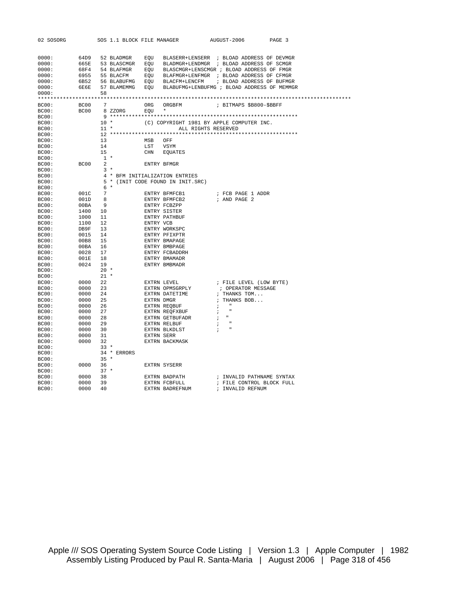| 02 SOSORG |         |        | SOS 1.1 BLOCK FILE MANAGER |             |                                                                  |                                             | AUGUST-2006               | PAGE 3 |  |
|-----------|---------|--------|----------------------------|-------------|------------------------------------------------------------------|---------------------------------------------|---------------------------|--------|--|
|           |         |        |                            |             |                                                                  |                                             |                           |        |  |
|           |         |        |                            |             |                                                                  |                                             |                           |        |  |
| 0000:     |         |        |                            |             | 64D9 52 BLADMGR EQU BLASERR+LENSERR ; BLOAD ADDRESS OF DEVMGR    |                                             |                           |        |  |
| 0000:     |         |        |                            |             | 665E 53 BLASCMGR EQU BLADMGR+LENDMGR ; BLOAD ADDRESS OF SCMGR    |                                             |                           |        |  |
| 0000:     |         |        |                            |             | 68F4 54 BLAFMGR EQU BLASCMGR+LENSCMGR; BLOAD ADDRESS OF FMGR     |                                             |                           |        |  |
| 0000:     |         |        |                            |             | 6955 55 BLACFM EQU BLAFMGR+LENFMGR ; BLOAD ADDRESS OF CFMGR      |                                             |                           |        |  |
| 0000:     |         |        |                            |             | 6B52 56 BLABUFMG EQU BLACFM+LENCFM ; BLOAD ADDRESS OF BUFMGR     |                                             |                           |        |  |
| 0000:     |         |        |                            |             | 6E6E 57 BLAMEMMG EQU BLABUFMG+LENBUFMG ; BLOAD ADDRESS OF MEMMGR |                                             |                           |        |  |
| 0000:     |         | 58     |                            |             |                                                                  |                                             |                           |        |  |
|           |         |        |                            |             |                                                                  |                                             |                           |        |  |
| BC00:     |         |        | BC00 7                     |             | ORG ORGBFM : BITMAPS \$B800-\$BBFF                               |                                             |                           |        |  |
| BC00:     |         |        | $BC00$ 8 ZZORG EQU $*$     |             |                                                                  |                                             |                           |        |  |
| BC00:     |         |        |                            |             |                                                                  |                                             |                           |        |  |
| BC00:     |         |        | $10 *$                     |             | (C) COPYRIGHT 1981 BY APPLE COMPUTER INC.                        |                                             |                           |        |  |
| BC00:     |         | $11$ * |                            |             | ALL RIGHTS RESERVED                                              |                                             |                           |        |  |
| BC00:     |         |        |                            |             |                                                                  |                                             |                           |        |  |
| BC00:     |         | 13     |                            | MSB OFF     |                                                                  |                                             |                           |        |  |
| BC00:     |         | 14     |                            | LST VSYM    |                                                                  |                                             |                           |        |  |
| BC00:     |         | 15     |                            |             | CHN EQUATES                                                      |                                             |                           |        |  |
| BC00:     |         | $1 *$  |                            |             |                                                                  |                                             |                           |        |  |
| BC00:     | BC00 2  |        |                            | ENTRY BFMGR |                                                                  |                                             |                           |        |  |
| BC00:     |         |        | $3 *$                      |             |                                                                  |                                             |                           |        |  |
| BC00:     |         |        |                            |             | 4 * BFM INITIALIZATION ENTRIES                                   |                                             |                           |        |  |
| BC00:     |         |        |                            |             | 5 * (INIT CODE FOUND IN INIT.SRC)                                |                                             |                           |        |  |
| BC00:     |         | $6*$   |                            |             |                                                                  |                                             |                           |        |  |
| BC00:     | 001C 7  |        |                            |             | ENTRY BFMFCB1                                                    |                                             | ; FCB PAGE 1 ADDR         |        |  |
| BC00:     | 001D 8  |        |                            |             | ENTRY BFMFCB2                                                    |                                             | ; AND PAGE 2              |        |  |
| BC00:     | 00 BA 9 |        |                            |             | ENTRY FCBZPP                                                     |                                             |                           |        |  |
| BC00:     | 1400 10 |        |                            |             | ENTRY SISTER                                                     |                                             |                           |        |  |
| BC00:     | 1000 11 |        |                            |             | ENTRY PATHBUF                                                    |                                             |                           |        |  |
| BC00:     | 1100 12 |        |                            | ENTRY VCB   |                                                                  |                                             |                           |        |  |
| BC00:     | DB9F 13 |        |                            |             | ENTRY WORKSPC                                                    |                                             |                           |        |  |
| BC00:     |         |        |                            |             | ENTRY PFIXPTR                                                    |                                             |                           |        |  |
| BC00:     |         |        |                            |             | ENTRY BMAPAGE                                                    |                                             |                           |        |  |
| BC00:     |         |        |                            |             | ENTRY BMBPAGE                                                    |                                             |                           |        |  |
| BC00:     | 0028 17 |        |                            |             | ENTRY FCBADDRH                                                   |                                             |                           |        |  |
| BC00:     | 001E 18 |        |                            |             | ENTRY BMAMADR                                                    |                                             |                           |        |  |
| BC00:     | 0024 19 |        |                            |             | ENTRY BMBMADR                                                    |                                             |                           |        |  |
| BC00:     |         | $20*$  |                            |             |                                                                  |                                             |                           |        |  |
| BC00:     |         | $21 *$ |                            |             |                                                                  |                                             |                           |        |  |
| BC00:     | 0000 22 |        |                            |             |                                                                  |                                             | ; FILE LEVEL (LOW BYTE)   |        |  |
| BC00:     | 0000 23 |        |                            |             | EXTRN LEVEL<br>EXTRN OPMSGRPLY                                   |                                             | ; OPERATOR MESSAGE        |        |  |
| BC00:     | 0000 24 |        |                            |             | EXTRN DATETIME                                                   |                                             | ; THANKS TOM              |        |  |
| BC00:     | 0000 25 |        |                            |             | EXTRN DMGR                                                       |                                             | ; THANKS BOB              |        |  |
| BC00:     | 0000 26 |        |                            |             | EXTRN REQBUF                                                     | $\mathcal{L} = \mathcal{L} = \mathcal{L}$   |                           |        |  |
| BC00:     | 0000 27 |        |                            |             | ----.<br>EXTRN REQFXBUF                                          | $\mathcal{F}$                               |                           |        |  |
| BC00:     | 0000 28 |        |                            |             | EXTRN GETBUFADR                                                  | $\mathcal{F} = \mathcal{F}$                 |                           |        |  |
|           | 0000 29 |        |                            |             | EXTRN RELBUF                                                     |                                             |                           |        |  |
| BC00:     |         |        |                            |             |                                                                  | $\mathbf{r}$<br>$\mathcal{L}$ $\mathcal{L}$ |                           |        |  |
| BC00:     | 0000 30 |        |                            |             | EXTRN BLKDLST                                                    |                                             |                           |        |  |
| BC00:     | 0000 31 |        |                            | EXTRN SERR  |                                                                  |                                             |                           |        |  |
| BC00:     | 0000 32 |        |                            |             | EXTRN BACKMASK                                                   |                                             |                           |        |  |
| BC00:     |         |        | $33 *$                     |             |                                                                  |                                             |                           |        |  |
| BC00:     |         |        | 34 * ERRORS                |             |                                                                  |                                             |                           |        |  |
| BC00:     |         | $35 *$ |                            |             |                                                                  |                                             |                           |        |  |
| BC00:     | 0000 36 |        |                            |             | EXTRN SYSERR                                                     |                                             |                           |        |  |
| BC00:     |         | $37 *$ |                            |             |                                                                  |                                             |                           |        |  |
| BC00:     | 0000 38 |        |                            |             | EXTRN BADPATH                                                    |                                             | ; INVALID PATHNAME SYNTAX |        |  |
| BC00:     | 0000    | 39     |                            |             | EXTRN FCBFULL                                                    |                                             | ; FILE CONTROL BLOCK FULL |        |  |
| BC00:     | 0000    |        | 40                         |             | EXTRN BADREFNUM                                                  |                                             | ; INVALID REFNUM          |        |  |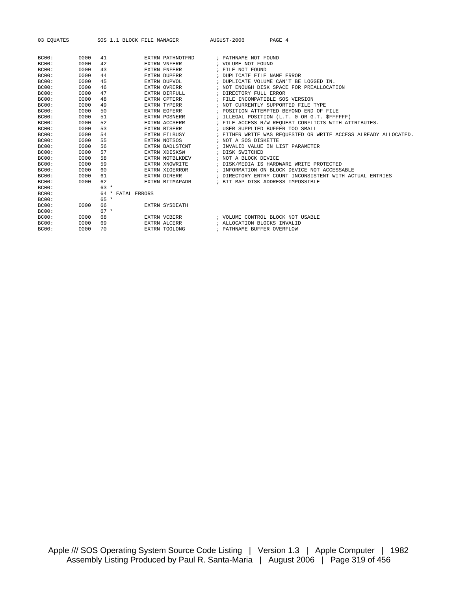| 03 EOUATES |  |
|------------|--|
|------------|--|

SOS 1.1 BLOCK FILE MANAGER AUGUST-2006 PAGE 4

| BC00:        | 0000 | 41                   | EXTRN PATHNOTFND      | ; PATHNAME NOT FOUND                                            |
|--------------|------|----------------------|-----------------------|-----------------------------------------------------------------|
| BC00:        | 0000 | 42                   | <b>EXTRN VNFERR</b>   | ; VOLUME NOT FOUND                                              |
| BC00:        | 0000 | 43                   | EXTRN FNFERR          | ; FILE NOT FOUND                                                |
| <b>BC00:</b> | 0000 | 44                   | <b>EXTRN DUPERR</b>   | ; DUPLICATE FILE NAME ERROR                                     |
| BC00:        | 0000 | 45                   | EXTRN DUPVOL          | ; DUPLICATE VOLUME CAN'T BE LOGGED IN.                          |
| <b>BC00:</b> | 0000 | 46                   | <b>EXTRN OVRERR</b>   | ; NOT ENOUGH DISK SPACE FOR PREALLOCATION                       |
| BC00:        | 0000 | 47                   | EXTRN DIRFULL         | ; DIRECTORY FULL ERROR                                          |
| <b>BC00:</b> | 0000 | 48                   | <b>EXTRN CPTERR</b>   | ; FILE INCOMPATIBLE SOS VERSION                                 |
| BC00:        | 0000 | 49                   | EXTRN TYPERR          | ; NOT CURRENTLY SUPPORTED FILE TYPE                             |
| BC00:        | 0000 | 50                   | <b>EXTRN EOFERR</b>   | ; POSITION ATTEMPTED BEYOND END OF FILE                         |
| <b>BC00:</b> | 0000 | 51                   | <b>EXTRN POSNERR</b>  | ; ILLEGAL POSITION (L.T. 0 OR G.T. \$FFFFFF)                    |
| BC00:        | 0000 | 52                   | EXTRN ACCSERR         | ; FILE ACCESS R/W REOUEST CONFLICTS WITH ATTRIBUTES.            |
| BC00:        | 0000 | 53                   | <b>EXTRN BTSERR</b>   | ; USER SUPPLIED BUFFER TOO SMALL                                |
| BC00:        | 0000 | 54                   | EXTRN FILBUSY         | ; EITHER WRITE WAS REQUESTED OR WRITE ACCESS ALREADY ALLOCATED. |
| <b>BC00:</b> | 0000 | 55                   | EXTRN NOTSOS          | ; NOT A SOS DISKETTE                                            |
| BC00:        | 0000 | 56                   | EXTRN BADLSTCNT       | ; INVALID VALUE IN LIST PARAMETER                               |
| <b>BC00:</b> | 0000 | 57                   | EXTRN XDISKSW         | ; DISK SWITCHED                                                 |
| BC00:        | 0000 | 58                   | EXTRN NOTBLKDEV       | ; NOT A BLOCK DEVICE                                            |
| BC00:        | 0000 | 59                   | EXTRN XNOWRITE        | ; DISK/MEDIA IS HARDWARE WRITE PROTECTED                        |
| BC00:        | 0000 | 60                   | EXTRN XIOERROR        | ; INFORMATION ON BLOCK DEVICE NOT ACCESSABLE                    |
| BC00:        | 0000 | 61                   | EXTRN DIRERR          | ; DIRECTORY ENTRY COUNT INCONSISTENT WITH ACTUAL ENTRIES        |
| BC00:        | 0000 | 62                   | EXTRN BITMAPADR       | ; BIT MAP DISK ADDRESS IMPOSSIBLE                               |
| BC00:        |      | $63 *$               |                       |                                                                 |
| <b>BC00:</b> |      | FATAL ERRORS<br>64 * |                       |                                                                 |
| BC00:        |      | $65 *$               |                       |                                                                 |
| <b>BC00:</b> | 0000 | 66                   | <b>EXTRN SYSDEATH</b> |                                                                 |
| <b>BC00:</b> |      | $67 *$               |                       |                                                                 |
| BC00:        | 0000 | 68                   | EXTRN VCBERR          | ; VOLUME CONTROL BLOCK NOT USABLE                               |
| BC00:        | 0000 | 69                   | EXTRN ALCERR          | ; ALLOCATION BLOCKS INVALID                                     |
| BC00:        | 0000 | 70                   | EXTRN TOOLONG         | ; PATHNAME BUFFER OVERFLOW                                      |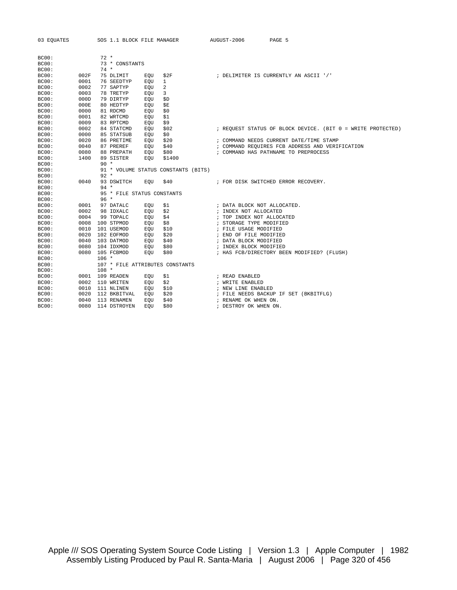| 03 EOUATES     |              |         | SOS 1.1 BLOCK FILE MANAGER |            |                                     | AUGUST-2006                 | PAGE 5                                                                                  |
|----------------|--------------|---------|----------------------------|------------|-------------------------------------|-----------------------------|-----------------------------------------------------------------------------------------|
|                |              |         |                            |            |                                     |                             |                                                                                         |
|                |              |         |                            |            |                                     |                             |                                                                                         |
| BC00:          |              | $72 *$  |                            |            |                                     |                             |                                                                                         |
| BC00:          |              |         | 73 * CONSTANTS             |            |                                     |                             |                                                                                         |
| BC00:          |              | $74 *$  |                            |            |                                     |                             |                                                                                         |
| BC00:          | 002F         |         | 75 DLIMIT                  | EQU        | \$2F                                |                             | ; DELIMITER IS CURRENTLY AN ASCII '/'                                                   |
| BC00:          | 0001         |         | 76 SEEDTYP                 | EQU        | $\mathbf{1}$                        |                             |                                                                                         |
| BC00:          | 0002<br>0003 |         | 77 SAPTYP                  | EQU        | 2                                   |                             |                                                                                         |
| BC00:          |              |         | 78 TRETYP                  | EQU        | 3                                   |                             |                                                                                         |
| BC00:<br>BC00: | 000D<br>000E |         | 79 DIRTYP<br>80 HEDTYP     | <b>EOU</b> | \$D                                 |                             |                                                                                         |
| BC00:          | 0000         |         | 81 RDCMD                   | EQU        | \$Ε<br>\$0                          |                             |                                                                                         |
|                | 0001         |         |                            | EQU        |                                     |                             |                                                                                         |
| BC00:          | 0009         |         | 82 WRTCMD                  | EOU        | \$1                                 |                             |                                                                                         |
| BC00:          | 0002         |         | 83 RPTCMD                  | EQU        | \$9                                 |                             |                                                                                         |
| BC00:          | 0000         |         | 84 STATCMD                 | EQU        | \$02                                |                             | ; REQUEST STATUS OF BLOCK DEVICE. (BIT 0 = WRITE PROTECTED)                             |
| BC00:          |              |         | 85 STATSUB                 | EOU        | \$0                                 |                             |                                                                                         |
| BC00:          | 0020         |         | 86 PRETIME                 | EOU        | \$20                                |                             | ; COMMAND NEEDS CURRENT DATE/TIME STAMP                                                 |
| BC00:          | 0040<br>0080 |         | 87 PREREF                  | EQU        | \$40<br>\$80                        |                             | ; COMMAND REQUIRES FCB ADDRESS AND VERIFICATION<br>; COMMAND HAS PATHNAME TO PREPROCESS |
| BC00:          |              |         | 88 PREPATH                 | EQU        |                                     |                             |                                                                                         |
| BC00:          | 1400         | $90 *$  | 89 SISTER                  | EOU        | \$1400                              |                             |                                                                                         |
| BC00:          |              |         |                            |            |                                     |                             |                                                                                         |
| BC00:          |              |         |                            |            | 91 * VOLUME STATUS CONSTANTS (BITS) |                             |                                                                                         |
| BC00:          |              | $92 *$  |                            |            |                                     |                             |                                                                                         |
| BC00:          | 0040         | $94 *$  | 93 DSWITCH                 | EQU        | \$40                                |                             | ; FOR DISK SWITCHED ERROR RECOVERY.                                                     |
| BC00:<br>BC00: |              |         | 95 * FILE STATUS CONSTANTS |            |                                     |                             |                                                                                         |
| BC00:          |              | $96 *$  |                            |            |                                     |                             |                                                                                         |
| BC00:          | 0001         |         | 97 DATALC                  | EQU        | \$1                                 | ; DATA BLOCK NOT ALLOCATED. |                                                                                         |
| BC00:          | 0002         |         | 98 IDXALC                  | EOU        | \$2                                 | ; INDEX NOT ALLOCATED       |                                                                                         |
| BC00:          | 0004         |         | 99 TOPALC                  | EOU        | \$4                                 | ; TOP INDEX NOT ALLOCATED   |                                                                                         |
| BC00:          | 0008         |         | 100 STPMOD                 | EQU        | \$8                                 | ; STORAGE TYPE MODIFIED     |                                                                                         |
| BC00:          | 0010         |         | 101 USEMOD                 | EQU        | \$10                                | ; FILE USAGE MODIFIED       |                                                                                         |
| BC00:          | 0020         |         | 102 EOFMOD                 | EOU        | \$20                                | ; END OF FILE MODIFIED      |                                                                                         |
| BC00:          | 0040         |         | 103 DATMOD                 | EQU        | \$40                                | ; DATA BLOCK MODIFIED       |                                                                                         |
| BC00:          | 0080         |         | 104 IDXMOD                 | EQU        | \$80                                | ; INDEX BLOCK MODIFIED      |                                                                                         |
| BC00:          | 0080         |         | 105 FCBMOD                 | EOU        | \$80                                |                             | ; HAS FCB/DIRECTORY BEEN MODIFIED? (FLUSH)                                              |
| BC00:          |              | $106 *$ |                            |            |                                     |                             |                                                                                         |
| BC00:          |              |         |                            |            | 107 * FILE ATTRIBUTES CONSTANTS     |                             |                                                                                         |
| BC00:          |              | $108 *$ |                            |            |                                     |                             |                                                                                         |
| BC00:          | 0001         |         | 109 READEN                 | EQU        | \$1                                 | ; READ ENABLED              |                                                                                         |
| BC00:          | 0002         |         | 110 WRITEN                 | EQU        | \$2                                 | ; WRITE ENABLED             |                                                                                         |
| BC00:          | 0010         |         | 111 NLINEN                 | EOU        | \$10                                | ; NEW LINE ENABLED          |                                                                                         |
| BC00:          | 0020         |         | 112 BKBITVAL               | EOU        | \$20                                |                             | ; FILE NEEDS BACKUP IF SET (BKBITFLG)                                                   |
| BC00:          | 0040         |         | 113 RENAMEN                | EQU        | \$40                                | ; RENAME OK WHEN ON.        |                                                                                         |
| BC00:          | 0080         |         | 114 DSTROYEN               | EOU        | \$80                                | ; DESTROY OK WHEN ON.       |                                                                                         |
|                |              |         |                            |            |                                     |                             |                                                                                         |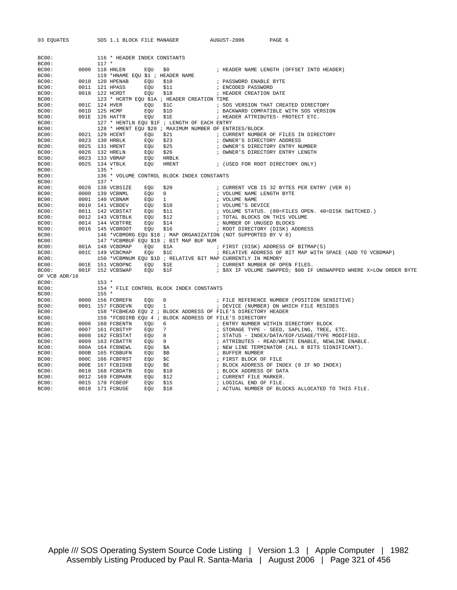| 03 EQUATES    |               |         | SOS 1.1 BLOCK FILE MANAGER       |                                                                 | AUGUST-2006                     | PAGE 6                                                             |
|---------------|---------------|---------|----------------------------------|-----------------------------------------------------------------|---------------------------------|--------------------------------------------------------------------|
|               |               |         |                                  |                                                                 |                                 |                                                                    |
| BC00:         |               |         | 116 * HEADER INDEX CONSTANTS     |                                                                 |                                 |                                                                    |
| BC00:         |               | $117 *$ |                                  |                                                                 |                                 |                                                                    |
| BC00:         |               |         | 0000 118 HNLEN<br>EQU            | \$0                                                             |                                 | ; HEADER NAME LENGTH (OFFSET INTO HEADER)                          |
| BC00:         |               |         | 119 *HNAME EOU \$1 ; HEADER NAME |                                                                 |                                 |                                                                    |
| BC00:         |               |         | 0010 120 HPENAB<br>EOU           | \$10                                                            | ; PASSWORD ENABLE BYTE          |                                                                    |
| BC00:         |               |         | 0011 121 HPASS<br>EQU            | \$11                                                            | ; ENCODED PASSWORD              |                                                                    |
| BC00:         |               |         | 0018 122 HCRDT<br>EOU            | \$18                                                            | ; HEADER CREATION DATE          |                                                                    |
| BC00:         |               |         |                                  | 123 * HCRTM EQU \$1A ; HEADER CREATION TIME                     |                                 |                                                                    |
| BC00:         | 001C 124 HVER |         | EOU                              | \$1C                                                            |                                 | ; SOS VERSION THAT CREATED DIRECTORY                               |
| BC00:         | 001D 125 HCMP |         | EOU                              | \$1D                                                            |                                 | ; BACKWARD COMPATIBLE WITH SOS VERSION                             |
| BC00:         |               |         | 001E 126 HATTR<br>EQU            | \$1E                                                            |                                 | ; HEADER ATTRIBUTES- PROTECT ETC.                                  |
| BC00:         |               |         |                                  | 127 * HENTLN EQU \$1F ; LENGTH OF EACH ENTRY                    |                                 |                                                                    |
| BC00:         |               |         |                                  | 128 * HMENT EOU \$20 ; MAXIMUM NUMBER OF ENTRIES/BLOCK          |                                 |                                                                    |
| BC00:         |               |         | 0021 129 HCENT<br>EQU            | \$21                                                            |                                 | ; CURRENT NUMBER OF FILES IN DIRECTORY                             |
| BC00:         |               |         | 0023 130 HRBLK<br>EOU            | \$23                                                            | ; OWNER'S DIRECTORY ADDRESS     |                                                                    |
| BC00:         |               |         | 0025 131 HRENT<br>EOU            | \$25                                                            |                                 | ; OWNER'S DIRECTORY ENTRY NUMBER                                   |
| BC00:         |               |         | 0026 132 HRELN<br>EQU            | \$26                                                            |                                 | ; OWNER'S DIRECTORY ENTRY LENGTH                                   |
| BC00:         |               |         | 0023 133 VBMAP<br>EOU            | HRBLK                                                           |                                 |                                                                    |
| BC00:         |               |         | 0025 134 VTBLK<br>EOU            | HRENT                                                           |                                 | ; (USED FOR ROOT DIRECTORY ONLY)                                   |
| BC00:         |               | $135 *$ |                                  |                                                                 |                                 |                                                                    |
| BC00:         |               |         |                                  | 136 * VOLUME CONTROL BLOCK INDEX CONSTANTS                      |                                 |                                                                    |
| BC00:         |               | $137 *$ |                                  |                                                                 |                                 |                                                                    |
| BC00:         |               |         | 0020 138 VCBSIZE<br>EQU          | \$20                                                            |                                 | ; CURRENT VCB IS 32 BYTES PER ENTRY (VER 0)                        |
| BC00:         |               |         | 0000 139 VCBNML<br>EQU           | $\overline{0}$                                                  | ; VOLUME NAME LENGTH BYTE       |                                                                    |
| BC00:         |               |         | 0001 140 VCBNAM<br>EQU           | 1                                                               | ; VOLUME NAME                   |                                                                    |
| BC00:         |               |         | 0010 141 VCBDEV<br>EQU           | \$10                                                            | ; VOLUME'S DEVICE               |                                                                    |
| BC00:         |               |         | 0011 142 VCBSTAT<br>EQU          | \$11                                                            |                                 | ; VOLUME STATUS. (80=FILES OPEN. 40=DISK SWITCHED.)                |
| BC00:         |               |         | 0012 143 VCBTBLK<br>EQU          | \$12                                                            | ; TOTAL BLOCKS ON THIS VOLUME   |                                                                    |
| BC00:         |               |         | 0014 144 VCBTFRE<br>EOU          | \$14                                                            | ; NUMBER OF UNUSED BLOCKS       |                                                                    |
| BC00:         |               |         | 0016 145 VCBROOT<br>EOU          | \$16                                                            | ; ROOT DIRECTORY (DISK) ADDRESS |                                                                    |
| BC00:         |               |         |                                  | 146 *VCBMORG EQU \$18 ; MAP ORGANIZATION (NOT SUPPORTED BY V 0) |                                 |                                                                    |
| BC00:         |               |         |                                  | 147 *VCBMBUF EOU \$19 ; BIT MAP BUF NUM                         |                                 |                                                                    |
| BC00:         |               |         | 001A 148 VCBDMAP<br>EOU          | \$1A                                                            |                                 | ; FIRST (DISK) ADDRESS OF BITMAP(S)                                |
| BC00:         |               |         | 001C 149 VCBCMAP<br>EOU          | \$1C                                                            |                                 | ; RELATIVE ADDRESS OF BIT MAP WITH SPACE (ADD TO VCBDMAP)          |
| BC00:         |               |         |                                  | 150 *VCBMNUM EOU \$1D ; RELATIVE BIT MAP CURRENTLY IN MEMORY    |                                 |                                                                    |
| BC00:         |               |         | 001E 151 VCBOPNC<br>EOU          | \$1E                                                            | ; CURRENT NUMBER OF OPEN FILES. |                                                                    |
| BC00:         |               |         | 001F 152 VCBSWAP<br>EQU          | \$1F                                                            |                                 | ; \$8X IF VOLUME SWAPPED; \$00 IF UNSWAPPED WHERE X=LOW ORDER BYTE |
| OF VCB ADR/16 |               |         |                                  |                                                                 |                                 |                                                                    |
| BC00:         |               | $153 *$ |                                  |                                                                 |                                 |                                                                    |
| BC00:         |               |         |                                  | 154 * FILE CONTROL BLOCK INDEX CONSTANTS                        |                                 |                                                                    |
| BC00:         |               | $155 *$ |                                  |                                                                 |                                 |                                                                    |
| BC00:         |               |         | 0000 156 FCBREFN<br>EQU          | 0                                                               |                                 | ; FILE REFERENCE NUMBER (POSITION SENSITIVE)                       |
| BC00:         |               |         | 0001 157 FCBDEVN<br>EOU          | $\mathbf{1}$                                                    |                                 | ; DEVICE (NUMBER) ON WHICH FILE RESIDES                            |
| BC00:         |               |         |                                  | 158 *FCBHEAD EQU 2 ; BLOCK ADDRESS OF FILE'S DIRECTORY HEADER   |                                 |                                                                    |
| BC00:         |               |         |                                  | 159 *FCBDIRB EQU 4 ; BLOCK ADDRESS OF FILE'S DIRECTORY          |                                 |                                                                    |
| BC00:         |               |         | 0006 160 FCBENTN<br>EQU          | 6                                                               |                                 | ; ENTRY NUMBER WITHIN DIRECTORY BLOCK                              |
| BC00:         | 0007          |         | 161 FCBSTYP<br>EOU               | $7\phantom{0}$                                                  |                                 | ; STORAGE TYPE - SEED, SAPLING, TREE, ETC.                         |
| BC00:         |               |         | 0008 162 FCBSTAT<br>EQU          | 8 <sup>1</sup>                                                  |                                 | ; STATUS - INDEX/DATA/EOF/USAGE/TYPE MODIFIED.                     |
| BC00:         | 0009          |         | 163 FCBATTR<br>EQU 9             |                                                                 |                                 | ; ATTRIBUTES - READ/WRITE ENABLE, NEWLINE ENABLE.                  |
| BC00:         |               |         | 000A 164 FCBNEWL<br>EOU          | \$A                                                             |                                 | ; NEW LINE TERMINATOR (ALL 8 BITS SIGNIFICANT).                    |
| BC00:         | 000B          |         | 165 FCBBUFN<br>EOU               | \$B                                                             | ; BUFFER NUMBER                 |                                                                    |
| BC00:         |               |         | 000C 166 FCBFRST<br>EOU          | \$C                                                             | ; FIRST BLOCK OF FILE           |                                                                    |
| BC00:         | 000E          |         | 167 FCBIDXB<br>EOU               | \$Ε                                                             |                                 | ; BLOCK ADDRESS OF INDEX (0 IF NO INDEX)                           |
| BC00:         | 0010          |         | 168 FCBDATB<br>EOU               | \$10                                                            | ; BLOCK ADDRESS OF DATA         |                                                                    |
| BC00:         | 0012          |         | 169 FCBMARK<br>EOU               | \$12                                                            | ; CURRENT FILE MARKER.          |                                                                    |
| BC00:         |               |         | 0015 170 FCBEOF<br>EOU           | \$15                                                            | ; LOGICAL END OF FILE.          |                                                                    |
| BC00:         |               |         | 0018 171 FCBUSE<br>EQU           | \$18                                                            |                                 | ; ACTUAL NUMBER OF BLOCKS ALLOCATED TO THIS FILE.                  |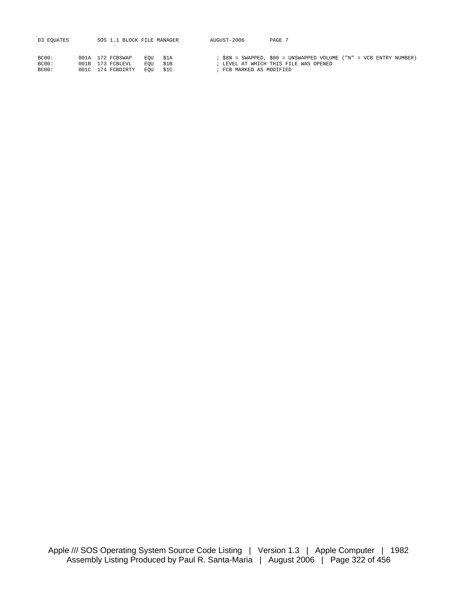| 03 EQUATES              | SOS 1.1 BLOCK FILE MANAGER                                |                               |              | AUGUST-2006                                                                                                                             | PAGE 7 |  |  |  |
|-------------------------|-----------------------------------------------------------|-------------------------------|--------------|-----------------------------------------------------------------------------------------------------------------------------------------|--------|--|--|--|
| BC00:<br>BC00:<br>BC00: | 001A 172 FCBSWAP<br>001B 173 FCBLEVL<br>001C 174 FCBDIRTY | EOU \$1A<br>EOU<br><b>EOU</b> | \$1B<br>\$1C | ; \$8N = SWAPPED, \$00 = UNSWAPPED VOLUME ("N" = VCB ENTRY NUMBER)<br>; LEVEL AT WHICH THIS FILE WAS OPENED<br>; FCB MARKED AS MODIFIED |        |  |  |  |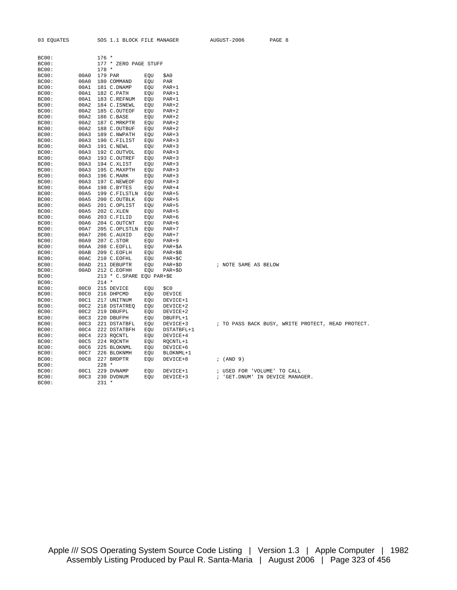| BC00:        |      | $176 *$                   |     |          |                      |
|--------------|------|---------------------------|-----|----------|----------------------|
| <b>BC00:</b> |      | 177 * ZERO PAGE STUFF     |     |          |                      |
| <b>BC00:</b> |      | $178 *$                   |     |          |                      |
| BC00:        | 00A0 | 179 PAR                   | EOU | \$A0     |                      |
| BC00:        | 00A0 | 180 COMMAND               | EOU | PAR      |                      |
| <b>BC00:</b> | 00A1 | 181 C.DNAMP               | EQU | $PAR+1$  |                      |
| BC00:        | 00A1 | 182 C.PATH                | EOU | $PAR+1$  |                      |
| BC00:        | 00A1 | 183 C.REFNUM              | EQU | $PAR+1$  |                      |
| BC00:        | 00A2 | 184 C.ISNEWL              | EQU | $PAR+2$  |                      |
| BC00:        | 00A2 | 185 C.OUTEOF              | EQU | $PAR+2$  |                      |
| BC00:        | 00A2 | 186 C.BASE                | EOU | $PAR+2$  |                      |
| BC00:        | 00A2 | 187 C.MRKPTR              | EOU | $PAR+2$  |                      |
| BC00:        | 00A2 | 188 C.OUTBUF              | EOU | $PAR+2$  |                      |
| BC00:        | 00A3 | 189 C.NWPATH              | EOU | $PAR+3$  |                      |
| <b>BC00:</b> | 00A3 | 190 C.FILIST              | EOU | $PAR+3$  |                      |
| BC00:        | 00A3 | 191 C.NEWL                | EOU | $PAR+3$  |                      |
| <b>BC00:</b> | 00A3 | 192 C.OUTVOL              | EQU | $PAR+3$  |                      |
| <b>BC00:</b> | 00A3 | 193 C.OUTREF              | EOU | $PAR+3$  |                      |
| BC00:        | 00A3 | 194 C.XLIST               | EQU | $PAR+3$  |                      |
| <b>BC00:</b> | 00A3 | 195 C.MAXPTH              | EQU | $PAR+3$  |                      |
| <b>BC00:</b> | 00A3 | 196 C.MARK                | EOU | $PAR+3$  |                      |
| BC00:        | 00A3 | 197 C.NEWEOF              | EQU | $PAR+3$  |                      |
| BC00:        | 00A4 | 198 C.BYTES               | EQU | $PAR+4$  |                      |
| BC00:        | 00A5 | 199 C.FILSTLN             | EQU | $PAR+5$  |                      |
| BC00:        | 00A5 | 200 C.OUTBLK              | EOU | $PAR+5$  |                      |
| BC00:        | 00A5 | 201 C.OPLIST              | EQU | $PAR+5$  |                      |
| BC00:        | 00A5 | 202 C.XLEN                | EOU | $PAR+5$  |                      |
| BC00:        | 00A6 | 203 C.FILID               | EOU | $PAR+6$  |                      |
| BC00:        | 00A6 | 204 C.OUTCNT              | EOU | $PAR+6$  |                      |
| BC00:        | 00A7 | 205 C.OPLSTLN             | EOU | $PAR+7$  |                      |
| <b>BC00:</b> | 00A7 | 206 C.AUXID               | EQU | $PAR+7$  |                      |
| <b>BC00:</b> | 00A9 | 207 C.STOR                | EOU | $PAR+9$  |                      |
| BC00:        | 00AA | 208 C.EOFLL               | EQU | $PAR+SA$ |                      |
| BC00:        | 00AB | 209 C.EOFLH               | EQU | $PAR+SB$ |                      |
| BC00:        | 00AC | 210 C.EOFHL               | EQU | $PAR+SC$ |                      |
| BC00:        | 00AD | 211 DEBUPTR               | EQU | $PAR+SD$ | ; NOTE SAME AS BELOW |
| <b>BC00:</b> | 00AD | 212 C.EOFHH               | EQU | $PAR+SD$ |                      |
| BC00:        |      | 213 * C.SPARE EQU PAR+\$E |     |          |                      |
| BC00:        |      | $214 *$                   |     |          |                      |
| BC00:        | 00C0 | 215 DEVICE                | EOU | \$C0     |                      |
| BC00:        | 00C0 | 216 DHPCMD                | EOU | DEVICE   |                      |
| BC00:        | 00C1 | 217 UNITNUM               | EQU | DEVICE+1 |                      |
| BC00:        | 00C2 | 218 DSTATREO              | EOU | DEVICE+2 |                      |
| BC00:        | 00C2 | 219 DBUFPL                | EOU | DEVICE+2 |                      |

BC00: 00C3 220 DBUFPH EQU DBUFPL+1

BC00: 228 \*

BC00: 231 \*

BC00: 00C4 222 DSTATBFH EQU DSTATBFL+1 BC00: 00C4 223 RQCNTL EQU DEVICE+4 BC00: 00C5 224 RQCNTH EQU RQCNTL+1 BC00: 00C6 225 BLOKNML EQU DEVICE+6 BC00: 00C7 226 BLOKNMH EQU BLOKNML+1

03 EQUATES SOS 1.1 BLOCK FILE MANAGER AUGUST-2006 PAGE 8

BC00: 00C3 220 DBUFPH EQU DBUFPL+1<br>BC00: 00C3 221 DSTATBFL EQU DEVICE+3 ; TO PASS BACK BUSY, WRITE PROTECT, READ PROTECT.<br>BC00: 00C4 222 DSTATBFH EOU DSTATBFL+1

BC00: 00C8 227 BRDPTR EQU DEVICE+8 ; (AND 9)

BC00: 00C1 229 DVNAMP EQU DEVICE+1 ; USED FOR 'VOLUME' TO CALL BC00: 00C3 230 DVDNUM EQU DEVICE+3 ; 'GET.DNUM' IN DEVICE MANAGER.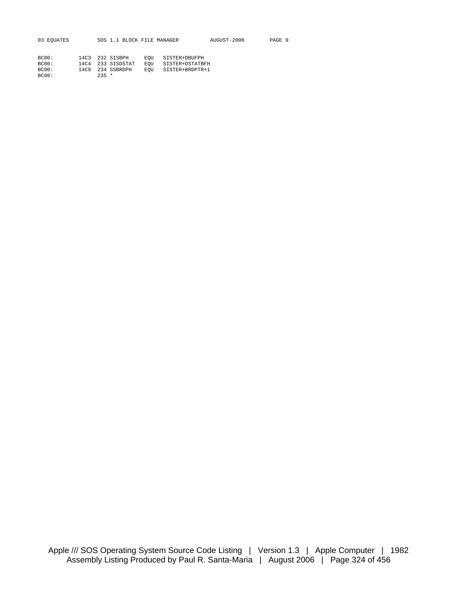| 03 EOUATES |                 |  |                   |     | SOS 1.1 BLOCK FILE MANAGER | AUGUST-2006 | PAGE 9 |  |
|------------|-----------------|--|-------------------|-----|----------------------------|-------------|--------|--|
|            |                 |  |                   |     |                            |             |        |  |
| BC00:      | 14C3 232 SISBPH |  |                   |     | EOU SISTER+DBUFPH          |             |        |  |
| BC00:      |                 |  | 14C4 233 SISDSTAT | EOU | SISTER+DSTATBFH            |             |        |  |

BC00: 14C9 234 SSBRDPH EQU SISTER+BRDPTR+1

BC00: 235 \*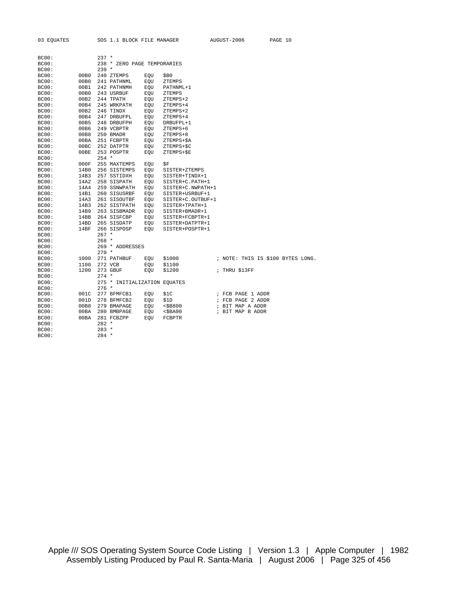| 03 EQUATES |      | SOS 1.1 BLOCK FILE MANAGER   |     |                   | AUGUST-2006       | PAGE 10                           |
|------------|------|------------------------------|-----|-------------------|-------------------|-----------------------------------|
|            |      |                              |     |                   |                   |                                   |
|            |      |                              |     |                   |                   |                                   |
| BC00:      |      | $237 *$                      |     |                   |                   |                                   |
| BC00:      |      | 238 * ZERO PAGE TEMPORARIES  |     |                   |                   |                                   |
| BC00:      |      | $239 *$                      |     |                   |                   |                                   |
| BC00:      | 00B0 | 240 ZTEMPS                   | EOU | \$В0              |                   |                                   |
| BC00:      | 00B0 | 241 PATHNML                  | EQU | ZTEMPS            |                   |                                   |
| BC00:      | 00B1 | 242 PATHNMH                  | EQU | PATHNML+1         |                   |                                   |
| BC00:      | 00B0 | 243 USRBUF                   | EOU | ZTEMPS            |                   |                                   |
| BC00:      | 00B2 | 244 TPATH                    | EQU | ZTEMPS+2          |                   |                                   |
| BC00:      | 00B4 | 245 WRKPATH                  | EQU | ZTEMPS+4          |                   |                                   |
| BC00:      | 00B2 | 246 TINDX                    | EQU | ZTEMPS+2          |                   |                                   |
| BC00:      | 00B4 | 247 DRBUFPL                  | EOU | ZTEMPS+4          |                   |                                   |
| BC00:      | 00B5 | 248 DRBUFPH                  | EQU | DRBUFPL+1         |                   |                                   |
| BC00:      | 00B6 | 249 VCBPTR                   | EQU | ZTEMPS+6          |                   |                                   |
| BC00:      | 00B8 | 250 BMADR                    | EOU | ZTEMPS+8          |                   |                                   |
| BC00:      | 00BA | 251 FCBPTR                   | EQU | ZTEMPS+\$A        |                   |                                   |
| BC00:      | 00BC | 252 DATPTR                   | EQU | ZTEMPS+\$C        |                   |                                   |
| BC00:      | 00BE | 253 POSPTR                   | EQU | ZTEMPS+\$E        |                   |                                   |
| BC00:      |      | $254 *$                      |     |                   |                   |                                   |
| BC00:      | 000F | 255 MAXTEMPS                 | EQU | \$F               |                   |                                   |
| BC00:      | 14B0 | 256 SISTEMPS                 | EQU | SISTER+ZTEMPS     |                   |                                   |
| BC00:      | 14B3 | 257 SSTIDXH                  | EOU | SISTER+TINDX+1    |                   |                                   |
| BC00:      | 14A2 | 258 SISPATH                  | EOU | SISTER+C.PATH+1   |                   |                                   |
| BC00:      | 14A4 | 259 SSNWPATH                 | EQU | SISTER+C.NWPATH+1 |                   |                                   |
| BC00:      | 14B1 | 260 SISUSRBF                 | EQU | SISTER+USRBUF+1   |                   |                                   |
| BC00:      | 14A3 | 261 SISOUTBF                 | EOU | SISTER+C.OUTBUF+1 |                   |                                   |
| BC00:      | 14B3 | 262 SISTPATH                 | EQU | SISTER+TPATH+1    |                   |                                   |
| BC00:      | 14B9 | 263 SISBMADR                 | EQU | SISTER+BMADR+1    |                   |                                   |
| BC00:      | 14BB | 264 SISFCBP                  | EOU | SISTER+FCBPTR+1   |                   |                                   |
| BC00:      | 14BD | 265 SISDATP                  | EOU | SISTER+DATPTR+1   |                   |                                   |
| BC00:      | 14BF | 266 SISPOSP                  | EQU | SISTER+POSPTR+1   |                   |                                   |
| BC00:      |      | $267 *$                      |     |                   |                   |                                   |
| BC00:      |      | $268 *$                      |     |                   |                   |                                   |
| BC00:      |      | 269 * ADDRESSES              |     |                   |                   |                                   |
| BC00:      |      | $270 *$                      |     |                   |                   |                                   |
| BC00:      | 1000 | 271 PATHBUF                  | EOU | \$1000            |                   | ; NOTE: THIS IS \$100 BYTES LONG. |
| BC00:      | 1100 | 272 VCB                      | EQU | \$1100            |                   |                                   |
| BC00:      | 1200 | 273 GBUF                     | EQU | \$1200            | ; THRU \$13FF     |                                   |
| BC00:      |      | $274$ *                      |     |                   |                   |                                   |
| BC00:      |      | 275 * INITIALIZATION EQUATES |     |                   |                   |                                   |
| BC00:      |      | $276$ *                      |     |                   |                   |                                   |
| BC00:      | 001C | 277 BFMFCB1                  | EQU | \$1C              | ; FCB PAGE 1 ADDR |                                   |
| BC00:      | 001D | 278 BFMFCB2                  | EOU | \$1D              | ; FCB PAGE 2 ADDR |                                   |
| BC00:      | 00B8 | 279 BMAPAGE                  | EQU | $<$ \$B800        | ; BIT MAP A ADDR  |                                   |
| BC00:      | 00BA | 280 BMBPAGE                  | EQU | $<$ \$BA $00$     | ; BIT MAP B ADDR  |                                   |
| BC00:      | 00BA | 281 FCBZPP                   | EQU | FCBPTR            |                   |                                   |
| BC00:      |      | $282 *$                      |     |                   |                   |                                   |
| BC00:      |      | $283 *$                      |     |                   |                   |                                   |
| BC00:      |      | $284$ *                      |     |                   |                   |                                   |
|            |      |                              |     |                   |                   |                                   |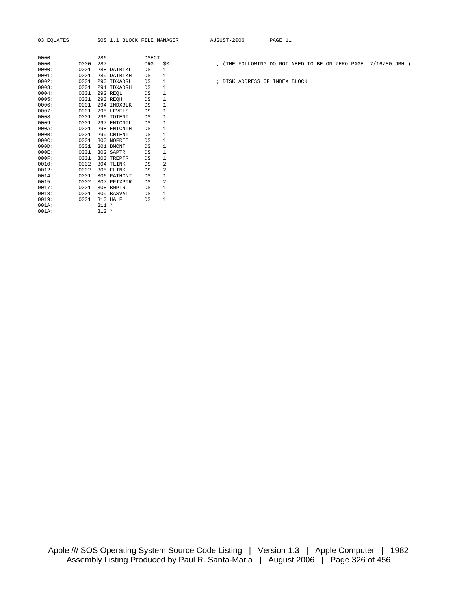| 0000: |          | 286 |                 | DSECT |                         |
|-------|----------|-----|-----------------|-------|-------------------------|
| 0000: | 0000     | 287 |                 | ORG   | \$                      |
| 0000: | 0001     |     | 288 DATBLKL     | DS    | 1                       |
| 0001: | 0001     |     | 289 DATBLKH     | DS    | $\mathbf{1}$            |
| 0002: | 0001     | 290 | IDXADRL         | DS    | $\mathbf 1$             |
| 0003: | 0001     | 291 | IDXADRH         | DS    | $\mathbf 1$             |
| 0004: | 0001     |     | 292 REOL        | DS    | $\mathbf 1$             |
| 0005: | 0001     |     | 293 REOH        | DS    | $\mathbf 1$             |
| 0006: | 0001 294 |     | INDXBLK         | DS    | $\mathbf 1$             |
| 0007: | 0001     | 295 | <b>LEVELS</b>   | DS    | $\mathbf 1$             |
| 0008: |          |     | 0001 296 TOTENT | DS    | $\mathbf 1$             |
| 0009: | 0001     |     | 297 ENTCNTL     | DS    | $\mathbf 1$             |
| 000A: | 0001     |     | 298 ENTCNTH     | DS    | $\mathbf 1$             |
| 000B: | 0001     |     | 299 CNTENT      | DS    | $\mathbf 1$             |
| 000C: | 0001     | 300 | <b>NOFREE</b>   | DS    | $\mathbf 1$             |
| 000D: |          |     | 0001 301 BMCNT  | DS    | $\mathbf 1$             |
| 000E: | 0001     |     | 302 SAPTR       | DS    | $\mathbf 1$             |
| 000F: | 0001     |     | 303 TREPTR      | DS    | $\mathbf 1$             |
| 0010: | 0002     | 304 | TLINK           | DS    | $\overline{\mathbf{c}}$ |
| 0012: | 0002     | 305 | <b>FLINK</b>    | DS    | $\overline{a}$          |
| 0014: | 0001     |     | 306 PATHCNT     | DS    | $\mathbf 1$             |
| 0015: | 0002     |     | 307 PFIXPTR     | DS    | $\overline{a}$          |
| 0017: | 0001     | 308 | <b>BMPTR</b>    | DS    | $\mathbf 1$             |
| 0018: | 0001     |     | 309 BASVAL      | DS    | $\mathbf 1$             |
| 0019: | 0001     | 310 | HALF            | DS    | $\mathbf{1}$            |
| 001A: |          | 311 | *               |       |                         |
| 001A: |          | 312 | $\star$         |       |                         |

0000: 0000 287 ORG \$0 ; (THE FOLLOWING DO NOT NEED TO BE ON ZERO PAGE. 7/16/80 JRH.)

; DISK ADDRESS OF INDEX BLOCK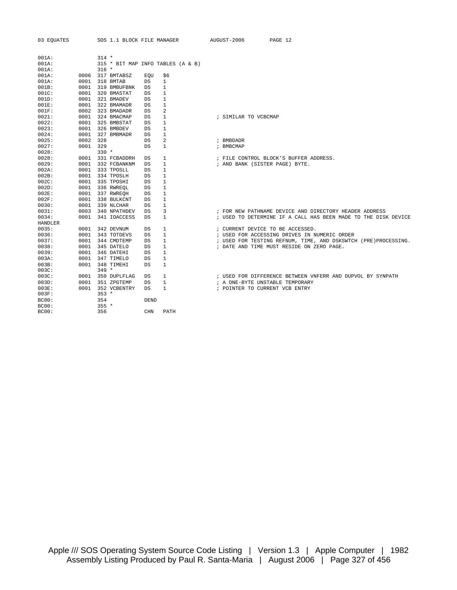| 03 EOUATES              |      |         | SOS 1.1 BLOCK FILE MANAGER |             |                                   | AUGUST-2006                      | PAGE 12                                                         |
|-------------------------|------|---------|----------------------------|-------------|-----------------------------------|----------------------------------|-----------------------------------------------------------------|
| 001A:                   |      | $314 *$ |                            |             |                                   |                                  |                                                                 |
| 001A:                   |      |         |                            |             | 315 * BIT MAP INFO TABLES (A & B) |                                  |                                                                 |
| 001A:                   |      | $316 *$ |                            |             |                                   |                                  |                                                                 |
| 001A:                   | 0006 |         | 317 BMTABSZ                | EOU         | \$6                               |                                  |                                                                 |
| 001A:                   | 0001 |         | 318 BMTAB                  | DS          | 1                                 |                                  |                                                                 |
| 001B:                   | 0001 |         | 319 BMBUFBNK               | DS          | 1                                 |                                  |                                                                 |
| 001C:                   | 0001 |         | 320 BMASTAT                | DS          | 1                                 |                                  |                                                                 |
| 001D:                   | 0001 |         | 321 BMADEV                 | DS          | $\mathbf{1}$                      |                                  |                                                                 |
| 001E:                   | 0001 |         | 322 BMAMADR                | DS          | $\mathbf{1}$                      |                                  |                                                                 |
| 001F:                   | 0002 |         | 323 BMADADR                | DS          | 2                                 |                                  |                                                                 |
| 0021:                   | 0001 |         | 324 BMACMAP                | DS          | 1                                 | ; SIMILAR TO VCBCMAP             |                                                                 |
| 0022:                   | 0001 |         | 325 BMBSTAT                | DS          | 1                                 |                                  |                                                                 |
| 0023:                   | 0001 |         | 326 BMBDEV                 | DS          | $\mathbf{1}$                      |                                  |                                                                 |
| 0024:                   | 0001 |         | 327 BMBMADR                | DS          | $\mathbf{1}$                      |                                  |                                                                 |
| 0025:                   | 0002 | 328     |                            | DS          | 2                                 | ; BMBDADR                        |                                                                 |
| 0027:                   | 0001 | 329     |                            | DS          | $\mathbf{1}$                      | ; BMBCMAP                        |                                                                 |
| 0028:                   |      | $330 *$ |                            |             |                                   |                                  |                                                                 |
| 0028:                   | 0001 |         | 331 FCBADDRH               | DS          | 1                                 |                                  | ; FILE CONTROL BLOCK'S BUFFER ADDRESS.                          |
| 0029:                   | 0001 |         | 332 FCBANKNM               | DS          | 1                                 | ; AND BANK (SISTER PAGE) BYTE.   |                                                                 |
| 002A:                   | 0001 |         | 333 TPOSLL                 | DS          | $\mathbf{1}$                      |                                  |                                                                 |
| 002B:                   | 0001 |         | 334 TPOSLH                 | DS          | $\mathbf{1}$                      |                                  |                                                                 |
| 002C:                   | 0001 |         | 335 TPOSHI                 | DS          | 1                                 |                                  |                                                                 |
| 002D:                   | 0001 |         | 336 RWREOL                 | DS          | 1                                 |                                  |                                                                 |
| 002E:                   | 0001 |         | 337 RWREQH                 | DS          | 1                                 |                                  |                                                                 |
| 002F:                   | 0001 |         | 338 BULKCNT                | DS          | 1                                 |                                  |                                                                 |
| 0030:                   | 0001 |         | 339 NLCHAR                 | DS          | 1                                 |                                  |                                                                 |
| 0031:                   | 0003 |         | 340 NPATHDEV               | DS          | 3                                 |                                  | ; FOR NEW PATHNAME DEVICE AND DIRECTORY HEADER ADDRESS          |
| 0034:                   | 0001 |         | 341 IOACCESS               | DS          | $\mathbf{1}$                      |                                  | ; USED TO DETERMINE IF A CALL HAS BEEN MADE TO THE DISK DEVICE  |
| <b>HANDLER</b><br>0035: | 0001 |         | 342 DEVNUM                 | DS          | 1                                 | ; CURRENT DEVICE TO BE ACCESSED. |                                                                 |
| 0036:                   | 0001 |         | 343 TOTDEVS                | DS          | 1                                 |                                  | ; USED FOR ACCESSING DRIVES IN NUMERIC ORDER                    |
| 0037:                   | 0001 |         | 344 CMDTEMP                | DS          | 1                                 |                                  | ; USED FOR TESTING REFNUM, TIME, AND DSKSWTCH (PRE) PROCESSING. |
| 0038:                   | 0001 |         | 345 DATELO                 | DS          | 1                                 |                                  | ; DATE AND TIME MUST RESIDE ON ZERO PAGE.                       |
| 0039:                   | 0001 |         | 346 DATEHI                 | DS          | $\mathbf{1}$                      |                                  |                                                                 |
| 003A:                   | 0001 |         | 347 TIMELO                 | DS          | 1                                 |                                  |                                                                 |
| 003B:                   | 0001 |         | 348 TIMEHI                 | DS          | 1                                 |                                  |                                                                 |
| 003C:                   |      | $349 *$ |                            |             |                                   |                                  |                                                                 |
| 003C:                   | 0001 |         | 350 DUPLFLAG               | DS          | 1                                 |                                  | ; USED FOR DIFFERENCE BETWEEN VNFERR AND DUPVOL BY SYNPATH      |
| 003D:                   | 0001 |         | 351 ZPGTEMP                | DS          | $\mathbf{1}$                      | ; A ONE-BYTE UNSTABLE TEMPORARY  |                                                                 |
| 003E:                   | 0001 |         | 352 VCBENTRY               | <b>DS</b>   | 1                                 | ; POINTER TO CURRENT VCB ENTRY   |                                                                 |
| 003F:                   |      | $353 *$ |                            |             |                                   |                                  |                                                                 |
| BC00:                   |      | 354     |                            | <b>DEND</b> |                                   |                                  |                                                                 |
| BC00:                   |      | $355 *$ |                            |             |                                   |                                  |                                                                 |
| BC00:                   |      | 356     |                            | <b>CHN</b>  | <b>PATH</b>                       |                                  |                                                                 |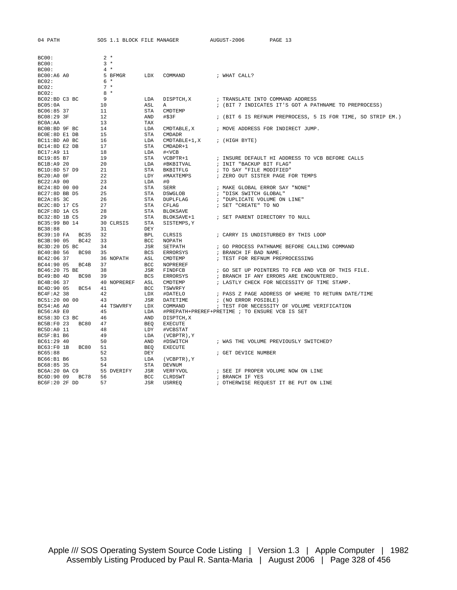| BC00:           |                    | $2 *$ |             |            |                                  |                                                             |
|-----------------|--------------------|-------|-------------|------------|----------------------------------|-------------------------------------------------------------|
| BC00:           |                    | $3 *$ |             |            |                                  |                                                             |
| BC00:           |                    | $4 *$ |             |            |                                  |                                                             |
| BC00:A6 A0      |                    |       |             |            | 5 BFMGR LDX COMMAND : WHAT CALL? |                                                             |
| BC02:           |                    | 6 *   |             |            |                                  |                                                             |
| BC02:           |                    | $7 *$ |             |            |                                  |                                                             |
| BC02:           |                    | $8*$  |             |            |                                  |                                                             |
| BC02:BD C3 BC   |                    | 9     |             | LDA        | DISPTCH, X                       | ; TRANSLATE INTO COMMAND ADDRESS                            |
| BC05:0A         |                    | 10    |             | ASL        | A                                | ; (BIT 7 INDICATES IT'S GOT A PATHNAME TO PREPROCESS)       |
| BC06:85 37      |                    | 11    |             | STA        | CMDTEMP                          |                                                             |
| BC08:29 3F      |                    | 12    |             | AND        | #\$3F                            | ; (BIT 6 IS REFNUM PREPROCESS, 5 IS FOR TIME, SO STRIP EM.) |
| BC0A:AA         |                    | 13    |             | TAX        |                                  |                                                             |
| BCOB:BD 9F BC   |                    | 14    |             | LDA        | CMDTABLE, X                      | ; MOVE ADDRESS FOR INDIRECT JUMP.                           |
| BC0E:8D E1 DB   |                    | 15    |             | STA        | CMDADR                           |                                                             |
| BC11:BD A0 BC   |                    | 16    |             | LDA        | CMDTABLE+1,X                     | ; (HIGH BYTE)                                               |
| BC14:8D E2 DB   |                    | 17    |             | STA        | CMDADR+1                         |                                                             |
| BC17:A9 11      |                    | 18    |             | LDA        | # <vcb< td=""><td></td></vcb<>   |                                                             |
| BC19:85 B7      |                    | 19    |             | STA        | VCBPTR+1                         | ; INSURE DEFAULT HI ADDRESS TO VCB BEFORE CALLS             |
| BC1B:A9 20      |                    | 20    |             | LDA        | #BKBITVAL                        | ; INIT "BACKUP BIT FLAG"                                    |
| BC1D:8D 57 D9   |                    | 21    |             |            | STA BKBITFLG                     | ; TO SAY "FILE MODIFIED"                                    |
| BC20:A0 OF      |                    | 22    |             | LDY        | #MAXTEMPS                        | ; ZERO OUT SISTER PAGE FOR TEMPS                            |
| BC22:A9 00      |                    | 23    |             | LDA        | #0                               |                                                             |
| BC24:8D 00 00   |                    | 24    |             | STA        | SERR                             | ; MAKE GLOBAL ERROR SAY "NONE"                              |
| BC27:8D BB D5   |                    | 25    |             | STA        | DSWGLOB                          | ; "DISK SWITCH GLOBAL"                                      |
| BC2A:85 3C      |                    | 26    |             | STA        | DUPLFLAG                         | ; "DUPLICATE VOLUME ON LINE"                                |
| BC2C:8D 17 C5   |                    | 27    |             | STA        | CFLAG                            | ; SET "CREATE" TO NO                                        |
| BC2F:8D 1A C5   |                    | 28    |             |            | STA BLOKSAVE                     |                                                             |
| BC32:8D 1B C5   |                    | 29    |             | STA        | BLOKSAVE+1                       | ; SET PARENT DIRECTORY TO NULL                              |
| BC35:99 B0 14   |                    |       | 30 CLRSIS   | STA        | SISTEMPS, Y                      |                                                             |
| BC38:88         |                    | 31    |             | DEY        |                                  |                                                             |
|                 | BC39:10 FA BC35 32 |       |             | BPL        | CLRSIS                           | ; CARRY IS UNDISTURBED BY THIS LOOP                         |
| BC3B:90 05 BC42 |                    | 33    |             | <b>BCC</b> | NOPATH                           |                                                             |
| BC3D:20 D5 BC   |                    | 34    |             | JSR        | SETPATH                          | ; GO PROCESS PATHNAME BEFORE CALLING COMMAND                |
| BC40:B0 56 BC98 |                    | 35    |             |            | BCS ERRORSYS                     | ; BRANCH IF BAD NAME.                                       |
| BC42:06 37      |                    |       | 36 NOPATH   | ASL        | CMDTEMP                          | ; TEST FOR REFNUM PREPROCESSING                             |
| BC44:90 05 BC4B |                    | 37    |             | BCC        | NOPREREF                         |                                                             |
| BC46:20 75 BE   |                    | 38    |             |            | JSR FINDFCB                      | ; GO SET UP POINTERS TO FCB AND VCB OF THIS FILE.           |
|                 | BC49:B0 4D BC98 39 |       |             | BCS        | ERRORSYS                         | ; BRANCH IF ANY ERRORS ARE ENCOUNTERED.                     |
| BC4B:06 37      |                    |       | 40 NOPREREF |            | ASL CMDTEMP                      | ; LASTLY CHECK FOR NECESSITY OF TIME STAMP.                 |
|                 | BC4D:90 05 BC54 41 |       |             | BCC        | TSWVRFY                          |                                                             |
| BC4F:A2 38      |                    | 42    |             | LDX        | #DATELO                          | ; PASS Z PAGE ADDRESS OF WHERE TO RETURN DATE/TIME          |
| BC51:20 00 00   |                    | 43    |             | JSR        | DATETIME                         | ; (NO ERROR POSIBLE)                                        |
| BC54:A6 A0      |                    |       | 44 TSWVRFY  | LDX        | COMMAND                          | ; TEST FOR NECESSITY OF VOLUME VERIFICATION                 |
| BC56:A9 E0      |                    | 45    |             | LDA        |                                  | #PREPATH+PREREF+PRETIME ; TO ENSURE VCB IS SET              |
| BC58:3D C3 BC   |                    | 46    |             | AND        | DISPTCH, X                       |                                                             |
| BC5B:F0 23 BC80 |                    | 47    |             | BEO        | <b>EXECUTE</b>                   |                                                             |
| BC5D:A0 11      |                    | 48    |             | LDY        | #VCBSTAT                         |                                                             |
| BC5F:B1 B6      |                    | 49    |             | LDA        | (VCBPTR), Y                      |                                                             |
| BC61:29 40      |                    | 50    |             | AND        | #DSWITCH                         | ; WAS THE VOLUME PREVIOUSLY SWITCHED?                       |
| BC63:F0 1B      | BC80 51            |       |             | BEQ        | <b>EXECUTE</b>                   |                                                             |
| BC65:88         |                    | 52    |             | DEY        |                                  | ; GET DEVICE NUMBER                                         |
| BC66:B1 B6      |                    | 53    |             | LDA        | (VCBPTR), Y                      |                                                             |
| BC68:85 35      |                    | 54    |             | STA        | DEVNUM                           |                                                             |
| BC6A:20 OA C9   |                    |       | 55 DVERIFY  |            | JSR VERFYVOL                     | ; SEE IF PROPER VOLUME NOW ON LINE                          |
|                 | BC6D:90 09 BC78 56 |       |             | BCC        | CLRDSWT                          | ; BRANCH IF YES                                             |
| BC6F:20 2F DD   |                    | 57    |             | JSR        | USRREO                           | ; OTHERWISE REQUEST IT BE PUT ON LINE                       |
|                 |                    |       |             |            |                                  |                                                             |

04 PATH SOS 1.1 BLOCK FILE MANAGER AUGUST-2006 PAGE 13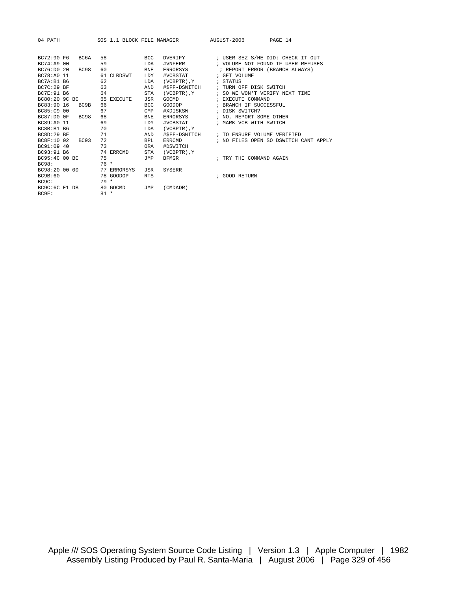| 04 PATH            |             |        | SOS 1.1 BLOCK FILE MANAGER |             |                  | AUGUST-2006<br>PAGE 14                |
|--------------------|-------------|--------|----------------------------|-------------|------------------|---------------------------------------|
| BC72:90 F6         | BC6A        | 58     |                            | <b>BCC</b>  | DVERIFY          | ; USER SEZ S/HE DID: CHECK IT OUT     |
| BC74:A9 00         |             | 59     |                            | LDA         | #VNFERR          | ; VOLUME NOT FOUND IF USER REFUSES    |
| BC76:D0 20         | BC98        | 60     |                            | <b>BNE</b>  | ERRORSYS         | ; REPORT ERROR (BRANCH ALWAYS)        |
| BC78:A0 11         |             |        | 61 CLRDSWT                 | LDY         | #VCBSTAT         | ; GET VOLUME                          |
| BC7A:B1 B6         |             | 62     |                            | LDA         | (VCBPTR), Y      | ; STATUS                              |
| BC7C: 29 BF        |             | 63     |                            | AND         | #\$FF-DSWITCH    | ; TURN OFF DISK SWITCH                |
| BC7E: 91 B6        |             | 64     |                            | <b>STA</b>  | (VCBPTR).Y       | ; SO WE WON'T VERIFY NEXT TIME        |
| BC80:20 9C BC      |             |        | 65 EXECUTE                 | <b>JSR</b>  | GOCMD            | ; EXECUTE COMMAND                     |
| BC83:90 16         | BC9B        | 66     |                            | <b>BCC</b>  | GOODOP           | ; BRANCH IF SUCCESSFUL                |
| BC85:C9 00         |             | 67     |                            | <b>CMP</b>  | #XDISKSW         | ; DISK SWITCH?                        |
| BC87:D0 0F         | BC98        | 68     |                            | <b>BNE</b>  | ERRORSYS         | ; NO, REPORT SOME OTHER               |
| BC89:A0 11         |             | 69     |                            | LDY         | #VCBSTAT         | ; MARK VCB WITH SWITCH                |
| BC8B:B1 B6         |             | 70     |                            | <b>T.DA</b> | (VCBPTR), Y      |                                       |
| <b>BC8D: 29 BF</b> |             | 71     |                            | AND         | #\$FF-DSWITCH    | ; TO ENSURE VOLUME VERIFIED           |
| BC8F:10 02         | <b>BC93</b> | 72     |                            | <b>BPL</b>  | ERRCMD           | ; NO FILES OPEN SO DSWITCH CANT APPLY |
| BC91:09 40         |             | 73     |                            | ORA         | #DSWITCH         |                                       |
| BC93:91 B6         |             |        | 74 ERRCMD                  | <b>STA</b>  | $(VCBPTR)$ , $Y$ |                                       |
| BC95:4C 00 BC      |             | 75     |                            | JMP         | <b>BFMGR</b>     | ; TRY THE COMMAND AGAIN               |
| <b>BC98:</b>       |             | $76*$  |                            |             |                  |                                       |
| BC98:20 00 00      |             |        | 77 ERRORSYS                | JSR         | <b>SYSERR</b>    |                                       |
| BC9B:60            |             |        | 78 GOODOP                  | <b>RTS</b>  |                  | ; GOOD RETURN                         |
| BC9C:              |             | $79 *$ |                            |             |                  |                                       |
| BC9C:6C E1 DB      |             |        | 80 GOCMD                   | JMP         | (CMDADR)         |                                       |
| BC9F:              |             | $81 *$ |                            |             |                  |                                       |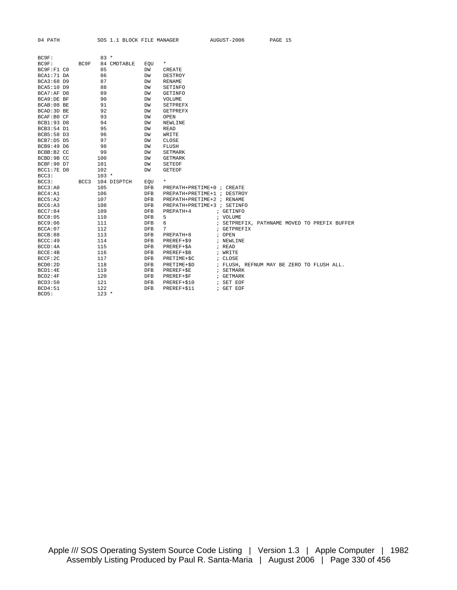| BC9F:         |      | $83 *$           |            |                             |                                              |
|---------------|------|------------------|------------|-----------------------------|----------------------------------------------|
| BC9F:         | BC9F | 84 CMDTABLE      | EOU        | $\star$                     |                                              |
| BC9F: F1 C0   |      | 85               | DW         | CREATE                      |                                              |
| BCA1:71 DA    |      | 86               | DW         | DESTROY                     |                                              |
| BCA3:68 D9    |      | 87               | DW         | <b>RENAME</b>               |                                              |
| BCA5:10 D9    |      | 88               | DW         | SETINFO                     |                                              |
| BCA7:AF D8    |      | 89               | DW         | <b>GETINFO</b>              |                                              |
| BCA9:DE BF    |      | 90               | DW         | VOLUME                      |                                              |
| BCAB:08 BE    |      | 91               | DW         | <b>SETPREFX</b>             |                                              |
| BCAD: 3D BE   |      | 92               | DW         | <b>GETPREFX</b>             |                                              |
| BCAF:B0 CF    |      | 93               | DW         | OPEN                        |                                              |
| BCB1:93 D8    |      | 94               | DW         | NEWLINE                     |                                              |
| BCB3:54 D1    |      | 95               | DW         | <b>READ</b>                 |                                              |
| BCB5:58 D3    |      | 96               | DW         | WRITE                       |                                              |
| $BCB7: D5$ D5 |      | 97               | DW         | CLOSE                       |                                              |
| BCB9:49 D6    |      | 98               | DW         | FLUSH                       |                                              |
| BCBB:B2 CC    |      | 99               | DW         | <b>SETMARK</b>              |                                              |
| BCBD:9B CC    |      | 100              | DW         | GETMARK                     |                                              |
| BCBF: 90 D7   |      | 101              | DW         | <b>SETEOF</b>               |                                              |
| BCC1:7E D8    |      | 102              | DW         | <b>GETEOF</b>               |                                              |
| BCC3:         |      | $103 *$          |            |                             |                                              |
| BCC3:         |      | BCC3 104 DISPTCH | EOU        | $\star$                     |                                              |
| BCC3: A0      |      | 105              | DFB        | PREPATH+PRETIME+0 ; CREATE  |                                              |
| BCC4: A1      |      | 106              | <b>DFB</b> | PREPATH+PRETIME+1 ; DESTROY |                                              |
| BCC5: A2      |      | 107              | <b>DFB</b> | PREPATH+PRETIME+2 ; RENAME  |                                              |
| BCC6: A3      |      | 108              | DFB        | PREPATH+PRETIME+3 ; SETINFO |                                              |
| BCC7:84       |      | 109              | <b>DFB</b> | PREPATH+4                   | ; GETINFO                                    |
| BCC8:05       |      | 110              | DFB        | 5                           | ; VOLUME                                     |
| BCC9:06       |      | 111              | <b>DFB</b> | 6                           | ; SETPREFIX, PATHNAME MOVED TO PREFIX BUFFER |
| BCCA:07       |      | 112              | DFB        | 7                           | ; GETPREFIX                                  |
| BCCB:88       |      | 113              | <b>DFB</b> | PREPATH+8                   | ; OPEN                                       |
| BCCC:49       |      | 114              | DFB        | PREREF+\$9                  | ; NEWLINE                                    |
| BCCD: 4A      |      | 115              | DFB        | PREREF+\$A                  | ; READ                                       |
| BCCE:4B       |      | 116              | DFB        | PREREF+\$B                  | ; WRITE                                      |
| BCCF:2C       |      | 117              | DFB        | PRETIME+\$C                 | ; CLOSE                                      |
| BCD0:2D       |      | 118              | DFB        | PRETIME+\$D                 | ; FLUSH, REFNUM MAY BE ZERO TO FLUSH ALL.    |
| BCD1:4E       |      | 119              | DFB        | PREREF+\$E                  | ; SETMARK                                    |
| BCD2:4F       |      | 120              | DFB        | PREREF+\$F                  | ; GETMARK                                    |
| BCD3:50       |      | 121              | DFB        | PREREF+\$10                 | ; SET EOF                                    |
| BCD4:51       |      | 122              | <b>DFB</b> | PREREF+\$11                 | ; GET EOF                                    |
| BCD5:         |      | $123 *$          |            |                             |                                              |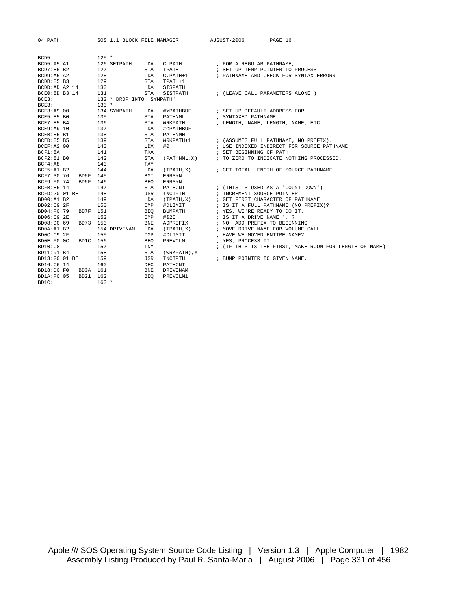| 04 PATH                  |                   |         |                           |            | SOS 1.1 BLOCK FILE MANAGER             | AUGUST-2006<br>PAGE 16                                        |
|--------------------------|-------------------|---------|---------------------------|------------|----------------------------------------|---------------------------------------------------------------|
|                          |                   |         |                           |            |                                        |                                                               |
| BCD5:                    |                   | $125 *$ |                           |            |                                        |                                                               |
| BCD5:A5 A1<br>BCD7:85 B2 |                   | 127     |                           |            | 126 SETPATH LDA C.PATH<br>STA TPATH    | ; FOR A REGULAR PATHNAME,<br>; SET UP TEMP POINTER TO PROCESS |
| BCD9:A5 A2               |                   | 128     |                           |            | LDA C.PATH+1                           | ; PATHNAME AND CHECK FOR SYNTAX ERRORS                        |
| BCDB:85 B3               |                   | 129     |                           | STA        | TPATH+1                                |                                                               |
|                          | BCDD:AD A2 14 130 |         |                           |            | SISPATH                                |                                                               |
| BCE0:8D B3 14            |                   |         | <b>LDA</b>                | STA        |                                        | SISTPATH : (LEAVE CALL PARAMETERS ALONE!)                     |
| BCE3:                    |                   | 131     | 132 * DROP INTO 'SYNPATH' |            |                                        |                                                               |
| BCE3:                    |                   | $133 *$ |                           |            |                                        |                                                               |
| BCE3:A9 00               |                   |         | 134 SYNPATH               | LDA        |                                        | #>PATHBUF : SET UP DEFAULT ADDRESS FOR                        |
| BCE5:85 B0               |                   | 135     |                           |            | STA PATHNML                            | ; SYNTAXED PATHNAME -                                         |
| BCE7:85 B4               |                   | 136     |                           | STA        | WRKPATH                                | ; LENGTH, NAME, LENGTH, NAME, ETC                             |
| BCE9:A9 10               | 137               |         |                           | LDA        | # <pathbuf< td=""><td></td></pathbuf<> |                                                               |
| BCEB:85 B1               |                   | 138     |                           | STA        | PATHNMH                                |                                                               |
| BCED:85 B5               |                   | 139     |                           | STA        | WRKPATH+1                              | ; (ASSUMES FULL PATHNAME, NO PREFIX).                         |
| BCEF:A2 00               |                   | 140     |                           | LDX        | #0                                     | ; USE INDEXED INDIRECT FOR SOURCE PATHNAME                    |
| BCF1:8A                  |                   | 141     |                           | TXA        |                                        | ; SET BEGINNING OF PATH                                       |
| BCF2:81 B0               |                   | 142     |                           | <b>STA</b> |                                        | (PATHNML, X) : TO ZERO TO INDICATE NOTHING PROCESSED.         |
| BCF4:A8                  |                   | 143     |                           | TAY        |                                        |                                                               |
| BCF5:A1 B2               |                   | 144     |                           | LDA        |                                        | (TPATH, X) (GET TOTAL LENGTH OF SOURCE PATHNAME)              |
| BCF7:30 76               | BD6F 145          |         |                           | BMI        | ERRSYN                                 |                                                               |
| BCF9:F0 74               | BD6F 146          |         |                           | BEO        | ERRSYN                                 |                                                               |
| BCFB:85 14               |                   | 147     |                           | STA        |                                        | PATHCNT : (THIS IS USED AS A 'COUNT-DOWN')                    |
| BCFD:20 01 BE            |                   | 148     |                           | JSR        |                                        | INCTPTH $\qquad$ ; INCREMENT SOURCE POINTER                   |
| BD00:A1 B2               |                   | 149     |                           | LDA        |                                        | $(TPATH, X)$ ; GET FIRST CHARACTER OF PATHNAME                |
| BD02:C9 2F               |                   | 150     |                           |            | CMP #DLIMIT                            | ; IS IT A FULL PATHNAME (NO PREFIX)?                          |
| BD04:F0 79               | BD7F 151          |         |                           | BEO        | BUMPATH                                | ; YES, WE'RE READY TO DO IT.                                  |
| BD06:C9 2E               |                   | 152     |                           |            |                                        | $CMP$ #\$2E $\qquad$ ; IS IT A DRIVE NAME '.'?                |
| BD08:D0 69               | BD73 153          |         |                           | BNE        |                                        | ADPREFIX : NO, ADD PREFIX TO BEGINNING                        |
| BD0A:A1 B2               |                   |         | 154 DRIVENAM              | LDA        | (TPATH, X)                             | ; MOVE DRIVE NAME FOR VOLUME CALL                             |
| BDOC:C9 2F               |                   | 155     |                           | CMP        | #DLIMIT                                | ; HAVE WE MOVED ENTIRE NAME?                                  |
| BD0E:F0 OC               | BD1C 156          |         |                           | BEO        | PREVOLM                                | ; YES, PROCESS IT.                                            |
| BD10:C8                  |                   | 157     |                           | <b>INY</b> |                                        | ; (IF THIS IS THE FIRST, MAKE ROOM FOR LENGTH OF NAME)        |
| BD11:91 B4               |                   | 158     |                           | STA        | (WRKPATH),Y                            |                                                               |
| BD13:20 01 BE            |                   | 159     |                           | JSR        |                                        | INCTPTH $\qquad$ ; BUMP POINTER TO GIVEN NAME.                |
| BD16:C6 14               |                   | 160     |                           | DEC        | PATHCNT                                |                                                               |
| BD18:D0 F0               | BD0A 161          |         |                           | BNE        | DRIVENAM                               |                                                               |
| BD1A:F0 05               | BD21 162          |         |                           | <b>BEO</b> | PREVOLM1                               |                                                               |

BD1C: 163 \*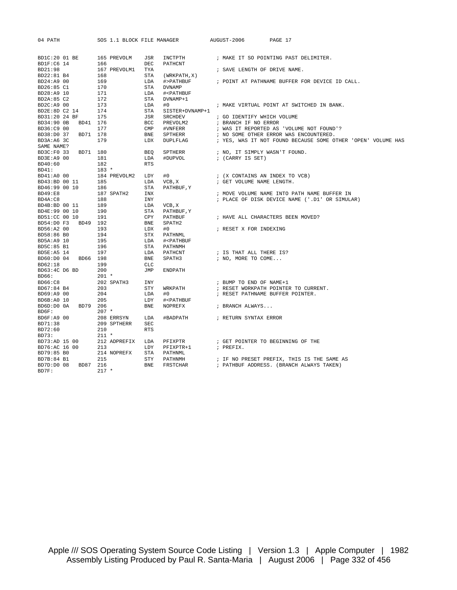| 04 PATH                                          | SOS 1.1 BLOCK FILE MANAGER |                                                        | AUGUST-2006                                               | PAGE 17                                                                                                     |
|--------------------------------------------------|----------------------------|--------------------------------------------------------|-----------------------------------------------------------|-------------------------------------------------------------------------------------------------------------|
|                                                  |                            |                                                        |                                                           |                                                                                                             |
| BD1C:20 01 BE                                    | 165 PREVOLM                | JSR<br>INCTPTH                                         |                                                           | ; MAKE IT SO POINTING PAST DELIMITER.                                                                       |
| BD1F:C6 14                                       | 166                        | DEC<br>PATHCNT                                         |                                                           |                                                                                                             |
| BD21:98<br>$\frac{168}{169}$<br>$\frac{177}{15}$ | 167 PREVOLM1               | TYA                                                    | ; SAVE LENGTH OF DRIVE NAME.                              |                                                                                                             |
| BD22:81 B4                                       |                            | STA<br>(WRKPATH, X)                                    |                                                           |                                                                                                             |
| BD24:A9 00                                       |                            | LDA<br>#>PATHBUF                                       |                                                           | ; POINT AT PATHNAME BUFFER FOR DEVICE ID CALL.                                                              |
| BD26:85 C1                                       |                            | STA<br><b>DVNAMP</b>                                   |                                                           |                                                                                                             |
| BD28:A9 10                                       |                            | LDA<br># <pathbuf< td=""><td></td><td></td></pathbuf<> |                                                           |                                                                                                             |
| BD2A:85 C2                                       |                            | STA<br>DVNAMP+1                                        |                                                           |                                                                                                             |
| BD2C: A9 00                                      | 173                        | LDA<br>#0                                              |                                                           | ; MAKE VIRTUAL POINT AT SWITCHED IN BANK.                                                                   |
| BD2E:8D C2 14                                    | 174                        | STA<br>SISTER+DVNAMP+1                                 |                                                           |                                                                                                             |
| BD31:20 24 BF                                    | 175                        | JSR                                                    | SRCHDEV : GO IDENTIFY WHICH VOLUME                        |                                                                                                             |
| BD34:90 OB BD41 176                              |                            | <b>BCC</b><br>PREVOLM2                                 | ; BRANCH IF NO ERROR                                      |                                                                                                             |
| BD36:C9 00                                       | 177                        | $\text{CMP}$                                           |                                                           | $\#VNFERR \qquad \qquad ;\;\; WAS \;\; IT \;\; REPORTED \;\; AS \quad \  VOLDUME \;\; NOT \;\; FOUND \;?\;$ |
| BD71 178<br>BD38:D0 37                           |                            | <b>BNE</b><br>SPTHERR                                  |                                                           | ; NO SOME OTHER ERROR WAS ENCOUNTERED.                                                                      |
| BD3A:A6 3C<br>SAME NAME?                         | 179                        | LDX<br>DUPLFLAG                                        |                                                           | ; YES, WAS IT NOT FOUND BECAUSE SOME OTHER 'OPEN' VOLUME HAS                                                |
| BD3C:F0 33 BD71 180                              |                            |                                                        |                                                           |                                                                                                             |
|                                                  |                            | BEQ<br>SPTHERR                                         | ; NO, IT SIMPLY WASN'T FOUND.                             |                                                                                                             |
| BD3E:A9 00<br>BD40:60                            | 181<br>182                 | LDA<br>#DUPVOL<br>RTS                                  | ; (CARRY IS SET)                                          |                                                                                                             |
| BD41:                                            | $183 *$                    |                                                        |                                                           |                                                                                                             |
| BD41:A0 00                                       | 184 PREVOLM2 LDY           | #0                                                     | ; (X CONTAINS AN INDEX TO VCB)                            |                                                                                                             |
| BD43:BD 00 11                                    |                            | VCB, X<br>LDA                                          | ; GET VOLUME NAME LENGTH.                                 |                                                                                                             |
| BD46:99 00 10                                    | 185<br>186                 | STA<br>PATHBUF, Y                                      |                                                           |                                                                                                             |
| BD49:E8                                          | 187 SPATH2                 | INX                                                    |                                                           | ; MOVE VOLUME NAME INTO PATH NAME BUFFER IN                                                                 |
| BD4A:C8                                          | 188                        | INY                                                    |                                                           | ; PLACE OF DISK DEVICE NAME ('.D1' OR SIMULAR)                                                              |
| BD4B:BD 00 11                                    | 189                        | LDA<br>VCB, X                                          |                                                           |                                                                                                             |
| BD4E:99 00 10                                    | 190                        | STA<br>PATHBUF, Y                                      |                                                           |                                                                                                             |
| BD51:CC 00 10                                    | 191                        | CPY<br>PATHBUF                                         |                                                           | ; HAVE ALL CHARACTERS BEEN MOVED?                                                                           |
| BD54:D0 F3 BD49 192                              |                            | BNE<br>SPATH2                                          |                                                           |                                                                                                             |
| BD56:A2 00                                       | 193                        | LDX<br>#0                                              | ; RESET X FOR INDEXING                                    |                                                                                                             |
| BD58:86 B0                                       | 194                        | STX<br>PATHNML                                         |                                                           |                                                                                                             |
| BD5A:A9 10                                       | LDA<br>STA<br>LDA<br>195   | # <pathbuf< td=""><td></td><td></td></pathbuf<>        |                                                           |                                                                                                             |
| BD5C:85 B1                                       | 196                        | STA PATHNMH                                            |                                                           |                                                                                                             |
| BD5E:A5 14                                       | 197                        | PATHCNT                                                | ; IS THAT ALL THERE IS?                                   |                                                                                                             |
| BD60:D0 04 BD66 198                              |                            | BNE                                                    | SPATH3 $\qquad \qquad ; \text{ NO}, \text{ MORE TO COME}$ |                                                                                                             |
| BD62:18                                          | 199                        | CLC                                                    |                                                           |                                                                                                             |
| BD63:4C D6 BD                                    | 200                        | JMP<br><b>ENDPATH</b>                                  |                                                           |                                                                                                             |
| BD66:                                            | 201 *                      |                                                        |                                                           |                                                                                                             |
| BD66:C8                                          | 202 SPATH3 INY             |                                                        | ; BUMP TO END OF NAME+1                                   |                                                                                                             |
| BD67:84 B4                                       | 203                        | STY<br>WRKPATH                                         |                                                           | ; RESET WORKPATH POINTER TO CURRENT.                                                                        |
| BD69:A9 00                                       | 204                        | LDA<br>#0                                              | ; RESET PATHNAME BUFFER POINTER.                          |                                                                                                             |
| BD6B:A0 10                                       | 205                        | LDY<br># <pathbuf< td=""><td></td><td></td></pathbuf<> |                                                           |                                                                                                             |
| BD6D:D0 0A BD79 206                              |                            | BNE<br>NOPREFX                                         | ; BRANCH ALWAYS                                           |                                                                                                             |
| BD6F:                                            | $207$ *                    |                                                        |                                                           |                                                                                                             |
| BD6F:A9 00                                       | 208 ERRSYN                 | LDA                                                    | #BADPATH : RETURN SYNTAX ERROR                            |                                                                                                             |
| BD71:38                                          | 209 SPTHERR                | <b>SEC</b>                                             |                                                           |                                                                                                             |
| BD72:60                                          | 210                        | <b>RTS</b>                                             |                                                           |                                                                                                             |
| BD73:                                            | 211 *<br>212 ADPREFIX      |                                                        |                                                           |                                                                                                             |
| BD73:AD 15 00                                    |                            | LDA<br>PFIXPTR                                         |                                                           | ; GET POINTER TO BEGINNING OF THE                                                                           |
| BD76:AC 16 00<br>BD79:85 B0                      | 213<br>214 NOPREFX         | LDY<br>PFIXPTR+1<br>STA                                | ; PREFIX.                                                 |                                                                                                             |
| BD7B:84 B1                                       | 215                        | PATHNML<br>STY<br>PATHNMH                              |                                                           | ; IF NO PRESET PREFIX, THIS IS THE SAME AS                                                                  |
| BD7D:D0 08<br>BD87 216                           |                            | <b>BNE</b><br>FRSTCHAR                                 |                                                           | ; PATHBUF ADDRESS. (BRANCH ALWAYS TAKEN)                                                                    |
| BD7F:                                            | $217 *$                    |                                                        |                                                           |                                                                                                             |
|                                                  |                            |                                                        |                                                           |                                                                                                             |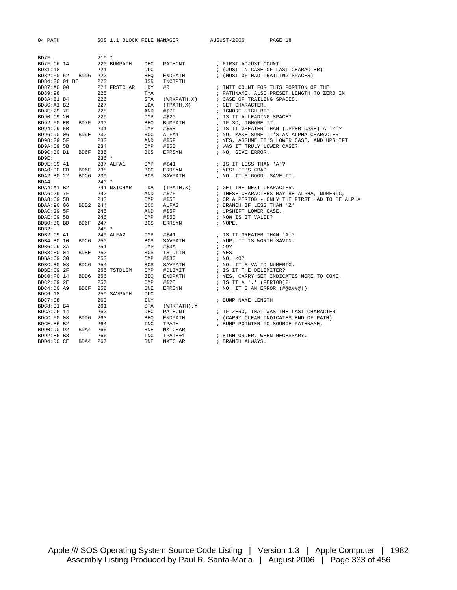|  | ≀ATH |
|--|------|
|--|------|

SOS 1.1 BLOCK FILE MANAGER AUGUST-2006 PAGE 18

| BD7F:         |      | $219 *$ |              |            |             |                                           |
|---------------|------|---------|--------------|------------|-------------|-------------------------------------------|
| BD7F:C6 14    |      |         | 220 BUMPATH  | DEC        | PATHCNT     | ; FIRST ADJUST COUNT                      |
| BD81:18       |      | 2.2.1   |              | <b>CLC</b> |             | ; (JUST IN CASE OF LAST CHARACTER)        |
| BD82:F0 52    | BDD6 | 222     |              | BEO        | ENDPATH     | ; (MUST OF HAD TRAILING SPACES)           |
| BD84:20 01 BE |      | 223     |              | JSR        | INCTPTH     |                                           |
| BD87:A0 00    |      |         | 224 FRSTCHAR | LDY        | #0          | ; INIT COUNT FOR THIS PORTION OF THE      |
| BD89:98       |      | 225     |              | TYA        |             | ; PATHNAME. ALSO PRESET LENGTH TO ZERO IN |
| BD8A:81 B4    |      | 226     |              | <b>STA</b> | (WRKPATH,X) | ; CASE OF TRAILING SPACES.                |
| BD8C:A1 B2    |      | 227     |              | LDA        | (TPATH,X)   | ; GET CHARACTER.                          |
| BD8E:29 7F    |      | 228     |              | AND        | #\$7F       | ; IGNORE HIGH BIT.                        |
| BD90:C9 20    |      | 229     |              | CMP        | #\$20       | ; IS IT A LEADING SPACE?                  |
| BD92:F0 EB    | BD7F | 230     |              | BEO        | BUMPATH     | ; IF SO, IGNORE IT.                       |
| BD94:C9 5B    |      | 231     |              | <b>CMP</b> | #55B        | ; IS IT GREATER THAN (UPPER CASE) A 'Z'?  |
| BD96:90 06    | BD9E | 232     |              | <b>BCC</b> | ALFA1       | ; NO, MAKE SURE IT'S AN ALPHA CHARACTER   |
| BD98:29 5F    |      | 233     |              | AND        | #\$5F       | ; YES, ASSUME IT'S LOWER CASE, AND UPSHIF |
| BD9A:C9 5B    |      | 234     |              | <b>CMP</b> | #55B        | ; WAS IT TRULY LOWER CASE?                |
| BD9C:B0 D1    | BD6F | 235     |              | <b>BCS</b> | ERRSYN      | ; NO, GIVE ERROR.                         |

| BD94:C9 5B  |             | 231         | $\texttt{CMP}$ | #S5B           | ; IS IT GREATER THAN (UPPER CASE) A 'Z'?       |
|-------------|-------------|-------------|----------------|----------------|------------------------------------------------|
| BD96:90 06  | BD9E 232    |             | <b>BCC</b>     | ALFA1          | ; NO, MAKE SURE IT'S AN ALPHA CHARACTER        |
| BD98:29 5F  |             | 233         | AND            | #\$5F          | ; YES, ASSUME IT'S LOWER CASE, AND UPSHIFT     |
| BD9A:C9 5B  |             | 234         | $\text{CMP}$   | #\$5B          | ; WAS IT TRULY LOWER CASE?                     |
| BD9C:B0 D1  | BD6F 235    |             | <b>BCS</b>     | ERRSYN         | ; NO, GIVE ERROR.                              |
| BD9E:       |             | $236 *$     |                |                |                                                |
| BD9E:C9 41  |             | 237 ALFA1   | $\texttt{CMP}$ | #\$41          | ; IS IT LESS THAN 'A'?                         |
| BDA0:90 CD  | BD6F 238    |             | <b>BCC</b>     | ERRSYN         | ; YES! IT'S CRAP                               |
| BDA2:B0 22  | BDC6 239    |             | <b>BCS</b>     | SAVPATH        | ; NO, IT'S GOOD. SAVE IT.                      |
| BDA4:       |             | $240 *$     |                |                |                                                |
| BDA4:A1 B2  |             | 241 NXTCHAR |                | LDA (TPATH, X) | ; GET THE NEXT CHARACTER.                      |
| BDA6:29 7F  |             | 242         | AND            | #STF           | ; THESE CHARACTERS MAY BE ALPHA, NUMERIC,      |
| BDA8:C9 5B  |             | 243         | $\text{CMP}$   | $#$ \$5B       | ; OR A PERIOD - ONLY THE FIRST HAD TO BE ALPHA |
| BDAA: 90 06 | BDB2 244    |             | <b>BCC</b>     | ALFA2          | ; BRANCH IF LESS THAN 'Z'                      |
| BDAC: 29 5F |             | 245         | AND            | $\#S5F$        | ; UPSHIFT LOWER CASE.                          |
| BDAE: C9 5B |             | 246         | $\text{CMP}$   | #S5B           | ; NOW IS IT VALID?                             |
| BDB0:B0 BD  | BD6F 247    |             | <b>BCS</b>     | ERRSYN         | ; NOPE.                                        |
| BDB2:       |             | $248 *$     |                |                |                                                |
| BDB2: C9 41 |             | 249 ALFA2   | CMP            | #\$41          | ; IS IT GREATER THAN 'A'?                      |
| BDB4:B0 10  | BDC6 250    |             | <b>BCS</b>     | SAVPATH        | ; YUP, IT IS WORTH SAVIN.                      |
| BDB6:C9 3A  |             | 251         | $\text{CMP}$   | #\$3A          | 1 > 9?                                         |
| BDB8:B0 04  | <b>BDBE</b> | 252         | <b>BCS</b>     | TSTDLIM        | ; YES                                          |
| BDBA: C9 30 |             | 253         | $\text{CMP}$   | #\$30          | ; NO, <0?                                      |
| BDBC:B0 08  | BDC6 254    |             | BCS            | SAVPATH        | ; NO, IT'S VALID NUMERIC.                      |
| BDBE:C9 2F  |             | 255 TSTDLIM | $\text{CMP}$   | #DLIMIT        | ; IS IT THE DELIMITER?                         |
| BDC0:F0 14  | BDD6 256    |             |                | BEO ENDPATH    | ; YES. CARRY SET INDICATES MORE TO COME.       |
| BDC2:C9 2E  |             | 257         | $\text{CMP}$   | #\$2E          | ; IS IT A '.' (PERIOD)?                        |
| BDC4:D0 A9  | BD6F 258    |             | <b>BNE</b>     | ERRSYN         | ; NO, IT'S AN ERROR (#@&##@!)                  |
| BDC6:18     |             | 259 SAVPATH | <b>CLC</b>     |                |                                                |
| BDC7:C8     |             | 260         | INY            |                | ; BUMP NAME LENGTH                             |
| BDC8:91 B4  |             | 261         | STA            | (WRKPATH), Y   |                                                |
| BDCA:C6 14  |             | 262         | <b>DEC</b>     | PATHCNT        | ; IF ZERO, THAT WAS THE LAST CHARACTER         |
| BDCC:F0 08  | BDD6 263    |             | BEO            | ENDPATH        | ; (CARRY CLEAR INDICATES END OF PATH)          |
| BDCE:E6 B2  |             | 264         | <b>INC</b>     | TPATH          | ; BUMP POINTER TO SOURCE PATHNAME.             |
| BDD0:D0 D2  | BDA4 265    |             | BNE            | NXTCHAR        |                                                |
| BDD2:E6 B3  |             | 266         | <b>INC</b>     | TPATH+1        | ; HIGH ORDER, WHEN NECESSARY.                  |
| BDD4:D0 CE  | BDA4 267    |             | <b>BNE</b>     | NXTCHAR        | ; BRANCH ALWAYS.                               |
|             |             |             |                |                |                                                |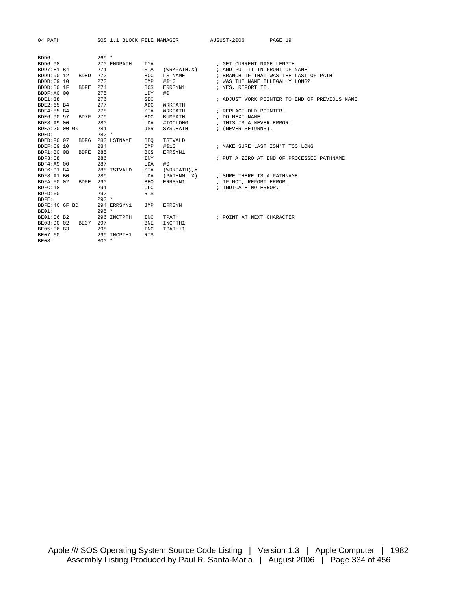04 PATH SOS 1.1 BLOCK FILE MANAGER AUGUST-2006 PAGE 19

| BDD6:          |             | $269 *$ |                  |            |                  |                                                |
|----------------|-------------|---------|------------------|------------|------------------|------------------------------------------------|
| BDD6:98        |             |         | 270 ENDPATH      | TYA        |                  | ; GET CURRENT NAME LENGTH                      |
| BDD7:81 B4     |             | 271     |                  |            | STA (WRKPATH, X) | ; AND PUT IT IN FRONT OF NAME                  |
| BDD9:90 12     | <b>BDED</b> | 272     |                  | <b>BCC</b> | <b>LSTNAME</b>   | ; BRANCH IF THAT WAS THE LAST OF PATH          |
| BDDB:C9 10     |             | 273     |                  | CMP        | #\$10            | ; WAS THE NAME ILLEGALLY LONG?                 |
| BDDD:B0 1F     | BDFE 274    |         |                  | <b>BCS</b> | ERRSYN1          | ; YES, REPORT IT.                              |
| BDDF:A0 00     |             | 275     |                  | <b>LDY</b> | #0               |                                                |
| BDE1:38        |             | 276     |                  | <b>SEC</b> |                  | ; ADJUST WORK POINTER TO END OF PREVIOUS NAME. |
| BDE2:65 B4     |             | 277     |                  | ADC        | WRKPATH          |                                                |
| BDE4:85 B4     |             | 278     |                  | <b>STA</b> | WRKPATH          | ; REPLACE OLD POINTER.                         |
| BDE6:90 97     | BD7F        | 279     |                  | <b>BCC</b> | <b>BUMPATH</b>   | ; DO NEXT NAME.                                |
| BDE8:A9 00     |             | 280     |                  | LDA        | #TOOLONG         | ; THIS IS A NEVER ERROR!                       |
| BDEA: 20 00 00 |             | 281     |                  | JSR        | SYSDEATH         | ; (NEVER RETURNS).                             |
| BDED:          |             | $282 *$ |                  |            |                  |                                                |
| BDED:F0 07     |             |         | BDF6 283 LSTNAME | BEO        | TSTVALD          |                                                |
| BDEF:C9 10     |             | 284     |                  |            | $CMP$ #\$10      | ; MAKE SURE LAST ISN'T TOO LONG                |
| BDF1:B0 0B     | BDFE        | 285     |                  | <b>BCS</b> | ERRSYN1          |                                                |
| BDF3:C8        |             | 286     |                  | <b>TNY</b> |                  | ; PUT A ZERO AT END OF PROCESSED PATHNAME      |
| BDF4:A9 00     |             | 287     |                  | LDA        | #0               |                                                |
| BDF6:91 B4     |             |         | 288 TSTVALD      | STA        | (WRKPATH), Y     |                                                |
| BDF8:A1 B0     |             | 289     |                  | LDA        | (PATHNML, X)     | ; SURE THERE IS A PATHNAME                     |
| BDFA:F0 02     | BDFE        | 290     |                  | BEO        |                  | ERRSYN1 : IF NOT, REPORT ERROR.                |
| BDFC:18        |             | 291     |                  | <b>CLC</b> |                  | ; INDICATE NO ERROR.                           |
| BDFD:60        |             | 292     |                  | <b>RTS</b> |                  |                                                |
| BDFE:          |             | $293 *$ |                  |            |                  |                                                |
| BDFE: 4C 6F BD |             |         | 294 ERRSYN1      | JMP        | <b>ERRSYN</b>    |                                                |
| BE01:          |             | $295 *$ |                  |            |                  |                                                |
| BE01:E6 B2     |             |         | 296 INCTPTH      | <b>INC</b> | <b>TPATH</b>     | ; POINT AT NEXT CHARACTER                      |
| BE03:D0 02     | BE07        | 297     |                  | <b>BNE</b> | INCPTH1          |                                                |
| BE05:E6 B3     |             | 298     |                  | <b>INC</b> | TPATH+1          |                                                |
| BE07:60        |             |         | 299 INCPTH1      | <b>RTS</b> |                  |                                                |
| <b>BE08:</b>   |             | $300 *$ |                  |            |                  |                                                |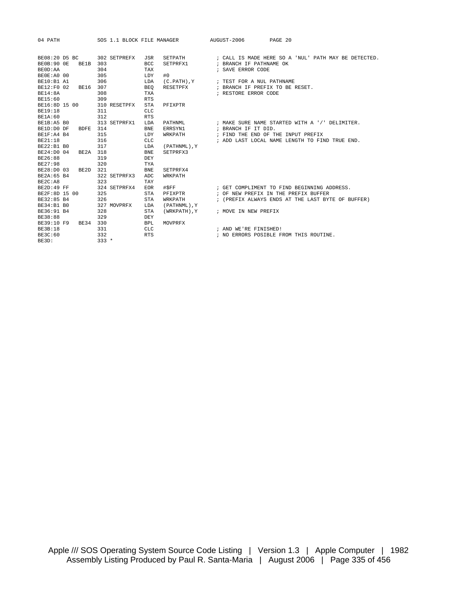| 04 PATH                          | SOS 1.1 BLOCK FILE MANAGER |                  | AUGUST-2006<br>PAGE 20                               |
|----------------------------------|----------------------------|------------------|------------------------------------------------------|
|                                  |                            |                  |                                                      |
| BE08:20 D5 BC                    | 302 SETPREFX<br><b>JSR</b> | SETPATH          | ; CALL IS MADE HERE SO A 'NUL' PATH MAY BE DETECTED. |
| <b>BE0B:90 OE</b><br><b>BE1B</b> | 303<br><b>BCC</b>          | SETPRFX1         | ; BRANCH IF PATHNAME OK                              |
| BEOD: AA                         | 304<br>TAX                 |                  | ; SAVE ERROR CODE                                    |
| BEOE:A0 00                       | 305<br>LDY                 | #0               |                                                      |
| BE10:B1 A1                       | 306<br>LDA                 | $(C.PATH)$ , $Y$ | ; TEST FOR A NUL PATHNAME                            |
| BE12:F0 02<br>BE16               | 307<br><b>BEO</b>          | RESETPFX         | ; BRANCH IF PREFIX TO BE RESET.                      |
| <b>BE14:8A</b>                   | 308<br><b>TXA</b>          |                  | ; RESTORE ERROR CODE                                 |
| BE15:60                          | 309<br><b>RTS</b>          |                  |                                                      |
| BE16:8D 15 00                    | 310 RESETPFX<br><b>STA</b> | PFIXPTR          |                                                      |
| <b>BE19:18</b>                   | 311<br><b>CLC</b>          |                  |                                                      |
| BE1A:60                          | 312<br><b>RTS</b>          |                  |                                                      |
| BE1B:A5 B0                       | 313 SETPRFX1<br>LDA        | PATHNML          | ; MAKE SURE NAME STARTED WITH A '/' DELIMITER.       |
| BDFE 314<br>BE1D:D0 DF           | <b>BNE</b>                 | ERRSYN1          | ; BRANCH IF IT DID.                                  |
| BE1F:A4 B4                       | 315<br>LDY                 | WRKPATH          | ; FIND THE END OF THE INPUT PREFIX                   |
| BE21:18                          | 316<br><b>CLC</b>          |                  | ; ADD LAST LOCAL NAME LENGTH TO FIND TRUE END.       |
| BE22:B1 B0                       | 317<br>LDA                 | (PATHNML), Y     |                                                      |
| BE24:D0 04<br>BE2A               | 318<br><b>BNE</b>          | SETPRFX3         |                                                      |
| BE26:88                          | 319<br>DEY                 |                  |                                                      |
| BE27:98                          | 320<br><b>TYA</b>          |                  |                                                      |
| BE28:D0 03<br>BE2D               | 321<br><b>BNE</b>          | SETPRFX4         |                                                      |
| BE2A:65 B4                       | 322 SETPRFX3<br>ADC        | WRKPATH          |                                                      |
| BE2C:A8                          | 323<br>TAY                 |                  |                                                      |
| BE2D:49 FF                       | 324 SETPRFX4<br><b>EOR</b> | #SFF             | ; GET COMPLIMENT TO FIND BEGINNING ADDRESS.          |
| BE2F:8D 15 00                    | 325<br><b>STA</b>          | PFIXPTR          | ; OF NEW PREFIX IN THE PREFIX BUFFER                 |
| BE32:85 B4                       | 326<br><b>STA</b>          | WRKPATH          | ; (PREFIX ALWAYS ENDS AT THE LAST BYTE OF BUFFER)    |
| BE34:B1 B0                       | 327 MOVPRFX<br>LDA         | (PATHNML), Y     |                                                      |
| BE36:91 B4                       | 328<br><b>STA</b>          | (WRKPATH), Y     | ; MOVE IN NEW PREFIX                                 |
| BE38:88                          | 329<br>DEY                 |                  |                                                      |
| BE39:10 F9<br>BE34               | 330<br><b>BPL</b>          | MOVPRFX          |                                                      |
| <b>BE3B:18</b>                   | 331<br>CLC.                |                  | ; AND WE'RE FINISHED!                                |
| BE3C:60                          | 332<br><b>RTS</b>          |                  | ; NO ERRORS POSIBLE FROM THIS ROUTINE.               |
| BE3D:                            | $333 *$                    |                  |                                                      |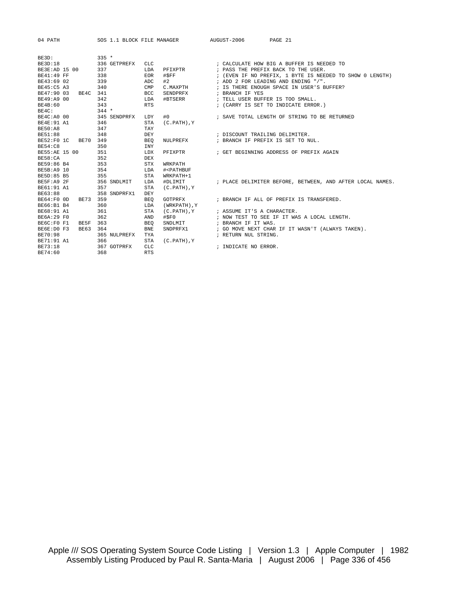| 04 PATH                 | SOS 1.1 BLOCK FILE MANAGER AUGUST-2006 PAGE 21 |                |                                                 |                                        |                                                                 |
|-------------------------|------------------------------------------------|----------------|-------------------------------------------------|----------------------------------------|-----------------------------------------------------------------|
|                         |                                                |                |                                                 |                                        |                                                                 |
| BE3D:                   | $335 *$                                        |                |                                                 |                                        |                                                                 |
| BE3D:18                 | 336 GETPREFX                                   | CLC            |                                                 |                                        | ; CALCULATE HOW BIG A BUFFER IS NEEDED TO                       |
| BE3E:AD 15 00           | 337                                            | LDA            | PFIXPTR                                         |                                        | ; PASS THE PREFIX BACK TO THE USER.                             |
| BE41:49 FF              | 338                                            | EOR            | #\$FF                                           |                                        | ; (EVEN IF NO PREFIX, 1 BYTE IS NEEDED TO SHOW 0 LENGTH)        |
| BE43:69 02              | 339                                            | ADC            | #2                                              |                                        | ; ADD 2 FOR LEADING AND ENDING "/".                             |
| BE45:C5 A3              | 340                                            | $\texttt{CMP}$ | C.MAXPTH                                        |                                        | ; IS THERE ENOUGH SPACE IN USER'S BUFFER?                       |
| BE47:90 03<br>BE4C 341  |                                                | <b>BCC</b>     | SENDPRFX                                        | ; BRANCH IF YES                        |                                                                 |
| BE49:A9 00              | 342                                            | LDA            | #BTSERR                                         |                                        | ; TELL USER BUFFER IS TOO SMALL.                                |
| BE4B:60                 | 343                                            | <b>RTS</b>     |                                                 |                                        | ; (CARRY IS SET TO INDICATE ERROR.)                             |
| BE4C:                   | $344$ *                                        |                |                                                 |                                        |                                                                 |
| BE4C:A0 00 345 SENDPRFX |                                                | LDY            | #0                                              |                                        | ; SAVE TOTAL LENGTH OF STRING TO BE RETURNED                    |
| BE4E:91 A1              | 346                                            | <b>STA</b>     | $(C.PATH)$ , $Y$                                |                                        |                                                                 |
| <b>BE50:A8</b>          | 347                                            | TAY            |                                                 |                                        |                                                                 |
| BE51:88                 | 348                                            | DEY            |                                                 | ; DISCOUNT TRAILING DELIMITER.         |                                                                 |
| BE52:F0 1C BE70 349     |                                                | BEO            |                                                 |                                        | NULPREFX : BRANCH IF PREFIX IS SET TO NUL.                      |
| <b>BE54:C8</b>          | 350                                            | INY            |                                                 |                                        |                                                                 |
| BE55:AE 15 00           | 351                                            | LDX            |                                                 |                                        | PFIXPTR FIXPTR FOR SET BEGINNING ADDRESS OF PREFIX AGAIN        |
| BE58:CA                 | 352                                            | DEX            |                                                 |                                        |                                                                 |
| BE59:86 B4              | 353                                            | <b>STX</b>     | WRKPATH                                         |                                        |                                                                 |
| BE5B:A9 10              | 354                                            | LDA            | # <pathbuf< td=""><td></td><td></td></pathbuf<> |                                        |                                                                 |
| BE5D:85 B5<br>355       |                                                | STA            | WRKPATH+1                                       |                                        |                                                                 |
| BE5F:A9 2F              | 356 SNDLMIT                                    | LDA            |                                                 |                                        | #DLIMIT FLACE DELIMITER BEFORE, BETWEEN, AND AFTER LOCAL NAMES. |
| BE61:91 A1              | 357                                            | STA            | $(C.PATH)$ , $Y$                                |                                        |                                                                 |
| BE63:88                 | 358 SNDPRFX1                                   | DEY            |                                                 |                                        |                                                                 |
| BE73 359<br>BE64:F0 OD  |                                                | BEO            | GOTPRFX                                         |                                        | ; BRANCH IF ALL OF PREFIX IS TRANSFERED.                        |
| BE66:B1 B4              | 360                                            | LDA            | (WRKPATH),Y                                     |                                        |                                                                 |
| BE68:91 A1              | 361                                            | <b>STA</b>     |                                                 | (C.PATH), Y ; ASSUME IT'S A CHARACTER. |                                                                 |
| BE6A:29 F0              | 362                                            | AND            | #SPO                                            |                                        | ; NOW TEST TO SEE IF IT WAS A LOCAL LENGTH.                     |
| BE6C:F0 F1<br>BE5F      | 363                                            | <b>BEO</b>     | SNDLMIT                                         | ; BRANCH IF IT WAS.                    |                                                                 |
| BE6E:D0 F3              | BE63 364                                       | <b>BNE</b>     |                                                 |                                        | SNDPRFX1 : GO MOVE NEXT CHAR IF IT WASN'T (ALWAYS TAKEN).       |
| BE70:98                 | 365 NULPREFX                                   | TYA            |                                                 | ; RETURN NUL STRING.                   |                                                                 |
| BE71:91 A1              | 366                                            | <b>STA</b>     | $(C.PATH)$ , $Y$                                |                                        |                                                                 |
| BE73:18                 | 367 GOTPRFX                                    | <b>CLC</b>     |                                                 | ; INDICATE NO ERROR.                   |                                                                 |
| BE74:60                 | 368                                            | <b>RTS</b>     |                                                 |                                        |                                                                 |
|                         |                                                |                |                                                 |                                        |                                                                 |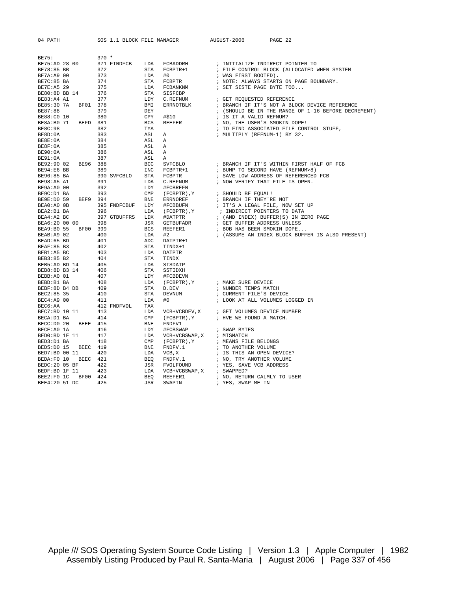| 04 PATH                    |     | SOS 1.1 BLOCK FILE MANAGER          |                                                                                                                                                                            | AUGUST-2006<br>PAGE 22                                                                                                                                                                                                                                                    |
|----------------------------|-----|-------------------------------------|----------------------------------------------------------------------------------------------------------------------------------------------------------------------------|---------------------------------------------------------------------------------------------------------------------------------------------------------------------------------------------------------------------------------------------------------------------------|
|                            |     |                                     |                                                                                                                                                                            |                                                                                                                                                                                                                                                                           |
| <b>BE75:</b>               |     | $370 *$                             |                                                                                                                                                                            |                                                                                                                                                                                                                                                                           |
| BE75:AD 28 00              |     | 371 FINDFCB LDA                     | FCBADDRH<br>FCBPTR+1                                                                                                                                                       | ; INITIALIZE INDIRECT POINTER TO                                                                                                                                                                                                                                          |
| BE78:85 BB                 |     | 372<br>STA FCB<br>LDA #0<br>STA FCB |                                                                                                                                                                            | ; FILE CONTROL BLOCK (ALLOCATED WHEN SYSTEM                                                                                                                                                                                                                               |
| BE7A:A9 00                 |     | 373                                 |                                                                                                                                                                            | ; WAS FIRST BOOTED).                                                                                                                                                                                                                                                      |
| BE7C:85 BA                 |     | 374                                 | FCBPTR<br>STA FCBPTR<br>LDA FCBANKNM<br>STA SISFCBP<br>LDY C.REFNUM<br>BMI ERRNOTBLK<br>DEY<br>CPY #\$10<br>BCS REEFER<br>TYA<br>ASL A<br>ASL A<br>ASL A<br>ASL A<br>ASL A | ; NOTE: ALWAYS STARTS ON PAGE BOUNDARY.                                                                                                                                                                                                                                   |
| BE7E:A5 29                 |     | 375<br>376                          |                                                                                                                                                                            | FCBANKNM : SET SISTE PAGE BYTE TOO                                                                                                                                                                                                                                        |
| BE80:8D BB 14              |     |                                     |                                                                                                                                                                            |                                                                                                                                                                                                                                                                           |
| BE83:A4 A1                 |     | 377                                 | C.REFNUM                                                                                                                                                                   | ; GET REQUESTED REFERENCE                                                                                                                                                                                                                                                 |
| BE85:30 7A BF01 378        |     |                                     | ERRNOTBLK                                                                                                                                                                  | ; BRANCH IF IT'S NOT A BLOCK DEVICE REFERENCE                                                                                                                                                                                                                             |
| BE87:88                    |     | 379                                 |                                                                                                                                                                            | ; (SHOULD BE IN THE RANGE OF 1-16 BEFORE DECREMENT)                                                                                                                                                                                                                       |
| BE88:C0 10                 |     | 380                                 |                                                                                                                                                                            | ; IS IT A VALID REFNUM?                                                                                                                                                                                                                                                   |
| BE8A:B0 71 BEFD 381        |     |                                     |                                                                                                                                                                            | ; NO, THE USER'S SMOKIN DOPE!                                                                                                                                                                                                                                             |
| BE8C:98                    | 382 |                                     |                                                                                                                                                                            | ; TO FIND ASSOCIATED FILE CONTROL STUFF,                                                                                                                                                                                                                                  |
| BE8D:0A                    |     | 383                                 |                                                                                                                                                                            | ; MULTIPLY (REFNUM-1) BY 32.                                                                                                                                                                                                                                              |
| BE8E:0A                    |     | 384                                 |                                                                                                                                                                            |                                                                                                                                                                                                                                                                           |
| BE8F:0A                    |     | 385                                 |                                                                                                                                                                            |                                                                                                                                                                                                                                                                           |
| PE91:0A 386<br>BE91:0A 387 |     |                                     |                                                                                                                                                                            |                                                                                                                                                                                                                                                                           |
|                            |     |                                     |                                                                                                                                                                            |                                                                                                                                                                                                                                                                           |
| BE92:90 02 BE96 388        |     |                                     |                                                                                                                                                                            | A<br>1986 – ASL A<br>1987 – ASL A<br>1988 – BCC SVFCBLO – FRANCH IF IT'S WITHIN FIRST HALF OF FCB<br>1998 – INC FCBPTR+1 – FUMP TO SECOND HAVE (REFNUM>8)<br>1999 SVFCBLO STA FCBPTR – FRANCH DORESS OF REFERENCED FCB                                                    |
| BE94:E6 BB                 | 389 |                                     |                                                                                                                                                                            |                                                                                                                                                                                                                                                                           |
| BE96:85 BA                 |     |                                     |                                                                                                                                                                            |                                                                                                                                                                                                                                                                           |
|                            |     |                                     |                                                                                                                                                                            | ; NOW VERIFY THAT FILE IS OPEN.<br>BE98:A5 A1 391 DDA CREENUM ; NOW VERIFY THAT 1<br>BE98:A5 A1 392 LDY #FCBREFN ; NOW VERIFY THAT 1<br>BE9R:A0 00 392 LDY #FCBREFN ; SHOULD BE EQUAL!<br>BE9E:D0 59 BEF9 394 BNE ERRNOREF ; BRANCH IF THEY'RI<br>BEA0:A0 0B 395 FNDFCBUF |
|                            |     |                                     |                                                                                                                                                                            |                                                                                                                                                                                                                                                                           |
|                            |     |                                     |                                                                                                                                                                            |                                                                                                                                                                                                                                                                           |
|                            |     |                                     |                                                                                                                                                                            | ; BRANCH IF THEY'RE NOT                                                                                                                                                                                                                                                   |
|                            |     |                                     |                                                                                                                                                                            | ; IT'S A LEGAL FILE, NOW SET UP                                                                                                                                                                                                                                           |
|                            |     |                                     |                                                                                                                                                                            | : INDIRECT POINTERS TO DATA<br>: (AND INDEX) BUFFER(S) IN ZERO PAGE<br>: GET BUFFER ADDRESS UNLESS<br>: COR IN A THE                                                                                                                                                      |
|                            |     |                                     |                                                                                                                                                                            |                                                                                                                                                                                                                                                                           |
|                            |     |                                     |                                                                                                                                                                            |                                                                                                                                                                                                                                                                           |
|                            |     |                                     |                                                                                                                                                                            | ; BOB HAS BEEN SMOKIN DOPE                                                                                                                                                                                                                                                |
|                            |     |                                     |                                                                                                                                                                            | ; (ASSUME AN INDEX BLOCK BUFFER IS ALSO PRESENT)                                                                                                                                                                                                                          |
|                            |     |                                     |                                                                                                                                                                            |                                                                                                                                                                                                                                                                           |
|                            |     |                                     |                                                                                                                                                                            |                                                                                                                                                                                                                                                                           |
|                            |     |                                     |                                                                                                                                                                            |                                                                                                                                                                                                                                                                           |
|                            |     |                                     |                                                                                                                                                                            |                                                                                                                                                                                                                                                                           |
|                            |     |                                     |                                                                                                                                                                            |                                                                                                                                                                                                                                                                           |
|                            |     |                                     |                                                                                                                                                                            |                                                                                                                                                                                                                                                                           |
|                            |     |                                     |                                                                                                                                                                            |                                                                                                                                                                                                                                                                           |
|                            |     |                                     |                                                                                                                                                                            | (FCBPTR), Y : MAKE SURE DEVICE                                                                                                                                                                                                                                            |
|                            |     |                                     |                                                                                                                                                                            | ; NUMBER TEMPS MATCH                                                                                                                                                                                                                                                      |
|                            |     |                                     |                                                                                                                                                                            | : CURRENT FILE'S DEVICE                                                                                                                                                                                                                                                   |
|                            |     |                                     |                                                                                                                                                                            | ; LOOK AT ALL VOLUMES LOGGED IN                                                                                                                                                                                                                                           |
|                            |     |                                     |                                                                                                                                                                            |                                                                                                                                                                                                                                                                           |
|                            |     |                                     |                                                                                                                                                                            |                                                                                                                                                                                                                                                                           |
|                            |     |                                     |                                                                                                                                                                            |                                                                                                                                                                                                                                                                           |
|                            |     |                                     |                                                                                                                                                                            |                                                                                                                                                                                                                                                                           |
|                            |     |                                     |                                                                                                                                                                            | ; SWAP BYTES                                                                                                                                                                                                                                                              |
|                            |     |                                     |                                                                                                                                                                            |                                                                                                                                                                                                                                                                           |
|                            |     |                                     |                                                                                                                                                                            | $(\mbox{\,FCBPTR\,})$ , $\Upsilon$ $\qquad \qquad ;$ $\mbox{\,MEANS\,}$<br>FILE BELONGS                                                                                                                                                                                   |
|                            |     |                                     |                                                                                                                                                                            |                                                                                                                                                                                                                                                                           |
|                            |     |                                     |                                                                                                                                                                            | ; TO ANOTHER VOLUME<br>; IS THIS AN OPEN DEVICE?                                                                                                                                                                                                                          |
|                            |     |                                     |                                                                                                                                                                            | FNDFV.1 : NO, TRY ANOTHER VOLUME<br>FVOLFOUND : YES, SAVE VCB ADDRESS                                                                                                                                                                                                     |
|                            |     |                                     |                                                                                                                                                                            |                                                                                                                                                                                                                                                                           |
|                            |     |                                     |                                                                                                                                                                            |                                                                                                                                                                                                                                                                           |
|                            |     |                                     |                                                                                                                                                                            | ; NO, RETURN CALMLY TO USER                                                                                                                                                                                                                                               |
|                            |     |                                     |                                                                                                                                                                            | ; YES, SWAP ME IN                                                                                                                                                                                                                                                         |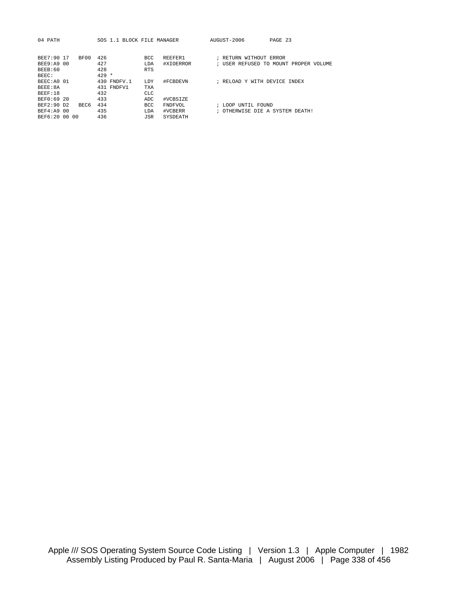| 04 PATH            | SOS 1.1 BLOCK FILE MANAGER |            |           | AUGUST-2006                                        | PAGE 23                               |
|--------------------|----------------------------|------------|-----------|----------------------------------------------------|---------------------------------------|
|                    |                            |            |           |                                                    |                                       |
| BF00<br>BEE7:90 17 | 426                        | <b>BCC</b> | REEFER1   | RETURN WITHOUT ERROR                               |                                       |
| BEE9:A9 00         | 427                        | LDA        | #XIOERROR |                                                    | ; USER REFUSED TO MOUNT PROPER VOLUME |
| BEEB:60            | 428                        | <b>RTS</b> |           |                                                    |                                       |
| BEEC:              | $429 *$                    |            |           |                                                    |                                       |
| BEEC: AO 01        | 430 FNDFV.1                | LDY        | #FCBDEVN  | RELOAD Y WITH DEVICE INDEX<br>$\ddot{\phantom{0}}$ |                                       |
| BEEE:8A            | 431 FNDFV1                 | <b>TXA</b> |           |                                                    |                                       |
| BEEF:18            | 432                        | <b>CLC</b> |           |                                                    |                                       |
| BEF0:69 20         | 433                        | ADC        | #VCBSIZE  |                                                    |                                       |
| BEF2:90 D2<br>BEC6 | 434                        | <b>BCC</b> | FNDFVOL   | LOOP UNTIL FOUND                                   |                                       |
| BEF4:A9 00         | 435                        | LDA        | #VCBERR   | OTHERWISE DIE A SYSTEM DEATH!                      |                                       |
| BEF6:20 00 00      | 436                        | <b>JSR</b> | SYSDEATH  |                                                    |                                       |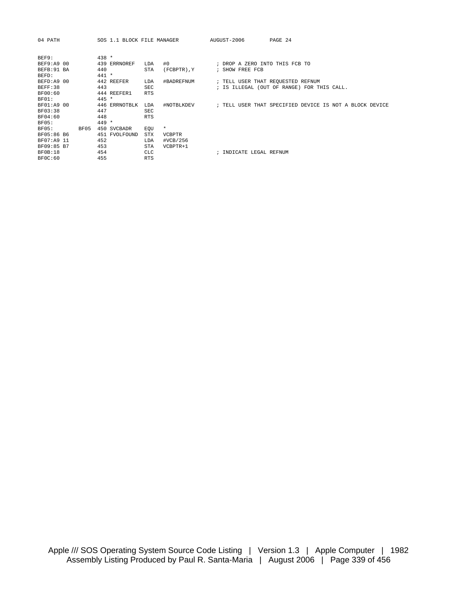| 04 PATH        |      |         | SOS 1.1 BLOCK FILE MANAGER |            |               | AUGUST-2006                                             | PAGE 24 |  |  |
|----------------|------|---------|----------------------------|------------|---------------|---------------------------------------------------------|---------|--|--|
|                |      |         |                            |            |               |                                                         |         |  |  |
| BEF9:          |      | $438 *$ |                            |            |               |                                                         |         |  |  |
| BEF9:A9 00     |      |         | 439 ERRNOREF               | LDA        | #0            | ; DROP A ZERO INTO THIS FCB TO                          |         |  |  |
| BEFB: 91 BA    |      | 440     |                            | <b>STA</b> | (FCBPTR), Y   | ; SHOW FREE FCB                                         |         |  |  |
| BEFD:          |      | $441 *$ |                            |            |               |                                                         |         |  |  |
| BEFD:A9 00     |      |         | 442 REEFER                 | LDA        | #BADREFNUM    | ; TELL USER THAT REQUESTED REFNUM                       |         |  |  |
| BEFF:38        |      | 443     |                            | <b>SEC</b> |               | ; IS ILLEGAL (OUT OF RANGE) FOR THIS CALL.              |         |  |  |
| BF00:60        |      |         | 444 REEFER1                | <b>RTS</b> |               |                                                         |         |  |  |
| BF01:          |      | $445 *$ |                            |            |               |                                                         |         |  |  |
| BF01:A9 00     |      |         | 446 ERRNOTBLK              | LDA        | #NOTBLKDEV    | ; TELL USER THAT SPECIFIED DEVICE IS NOT A BLOCK DEVICE |         |  |  |
| BF03:38        |      | 447     |                            | <b>SEC</b> |               |                                                         |         |  |  |
| BF04:60        |      | 448     |                            | <b>RTS</b> |               |                                                         |         |  |  |
| BF05:          |      | $449 *$ |                            |            |               |                                                         |         |  |  |
| BF05:          | BF05 |         | 450 SVCBADR                | EOU        | $\star$       |                                                         |         |  |  |
| BF05:86 B6     |      |         | 451 FVOLFOUND              | <b>STX</b> | <b>VCBPTR</b> |                                                         |         |  |  |
| BF07:A9 11     |      | 452     |                            | LDA        | #VCB/256      |                                                         |         |  |  |
| BF09:85 B7     |      | 453     |                            | <b>STA</b> | $VCBPTR+1$    |                                                         |         |  |  |
| <b>BF0B:18</b> |      | 454     |                            | CLC.       |               | ; INDICATE LEGAL REFNUM                                 |         |  |  |
| BFOC:60        |      | 455     |                            | <b>RTS</b> |               |                                                         |         |  |  |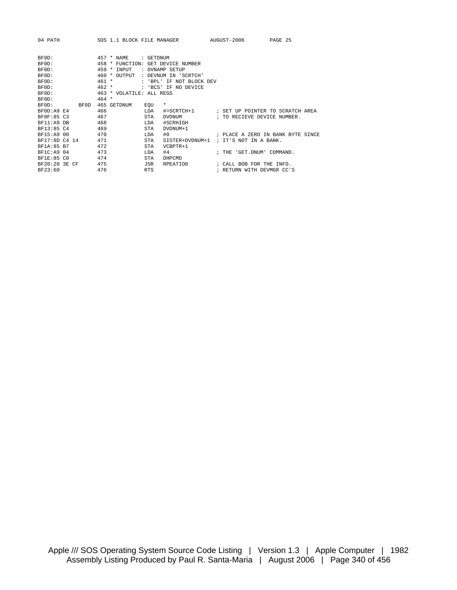| 04 PATH        |                          | SOS 1.1 BLOCK FILE MANAGER AUGUST-2006         |                                       | PAGE 25                           |
|----------------|--------------------------|------------------------------------------------|---------------------------------------|-----------------------------------|
| BF0D:<br>BF0D: | $457 * NAME$             | : GETDNUM<br>458 * FUNCTION: GET DEVICE NUMBER |                                       |                                   |
| BF0D:          | $459 * INPUT$            | : DVNAMP SETUP                                 |                                       |                                   |
| BF0D:          | 460 * OUTPUT             | : DEVNUM IN 'SCRTCH'                           |                                       |                                   |
| BF0D:          | $461 *$                  | : 'BPL' IF NOT BLOCK DEV                       |                                       |                                   |
| BF0D:          | $462 *$                  | : 'BCS' IF NO DEVICE                           |                                       |                                   |
| BF0D:          | 463 * VOLATILE: ALL REGS |                                                |                                       |                                   |
| BF0D:          | $464 *$                  |                                                |                                       |                                   |
| BF0D:<br>BF0D  | 465 GETDNUM              | *<br>EOU                                       |                                       |                                   |
| BF0D:A9 E4     | 466                      | LDA<br>#>SCRTCH+1                              |                                       | ; SET UP POINTER TO SCRATCH AREA  |
| BF0F:85 C3     | 467                      | <b>STA</b><br><b>DVDNUM</b>                    | ; TO RECIEVE DEVICE NUMBER.           |                                   |
| BF11:A9 DB     | 468                      | #SCRHIGH<br>LDA                                |                                       |                                   |
| BF13:85 C4     | 469                      | <b>STA</b><br>DVDNUM+1                         |                                       |                                   |
| BF15:A9 00     | 470                      | #0<br><b>T.DA</b>                              |                                       | ; PLACE A ZERO IN BANK BYTE SINCE |
| BF17:8D C4 14  | 471                      | <b>STA</b>                                     | SISTER+DVDNUM+1 ; IT'S NOT IN A BANK. |                                   |
| BF1A:85 B7     | 472                      | <b>STA</b><br>$VCBPTR+1$                       |                                       |                                   |
| BF1C: A9 04    | 473                      | #4<br><b>T.DA</b>                              | ; THE 'GET.DNUM' COMMAND.             |                                   |
| BF1E:85 CO     | 474                      | <b>STA</b><br>DHPCMD                           |                                       |                                   |
| BF20:20 3E CF  | 475                      | JSR<br>RPEATIO0                                | ; CALL BOB FOR THE INFO.              |                                   |
| BF23:60        | 476                      | <b>RTS</b>                                     | ; RETURN WITH DEVMGR CC'S             |                                   |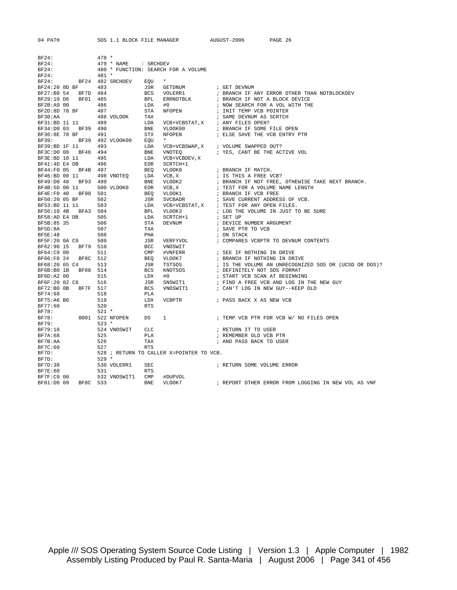04 PATH SOS 1.1 BLOCK FILE MANAGER AUGUST-2006 PAGE 26

| BF24:               |                 | $478 *$ |                  |                |                                          |                                                       |
|---------------------|-----------------|---------|------------------|----------------|------------------------------------------|-------------------------------------------------------|
| BF24:               |                 |         | 479 * NAME       | : SRCHDEV      |                                          |                                                       |
| BF24:               |                 |         |                  |                | 480 * FUNCTION: SEARCH FOR A VOLUME      |                                                       |
| BF24:               |                 | $481 *$ |                  |                |                                          |                                                       |
| BF24:               |                 |         | BF24 482 SRCHDEV | EOU            | $\star$                                  |                                                       |
| BF24:20 OD BF 483   |                 |         |                  | JSR            | GETDNUM                                  | ; GET DEVNUM                                          |
| BF27:B0 54          | BF7D 484        |         |                  |                | BCS VOLERR1                              | ; BRANCH IF ANY ERROR OTHER THAN NOTBLOCKDEV          |
| BF29:10 D6          | BF01 485        |         |                  |                | BPL ERRNOTBLK                            | ; BRANCH IF NOT A BLOCK DEVICE                        |
| BF2B:A9 00          |                 | 486     |                  | LDA            | #0                                       | ; NOW SEARCH FOR A VOL WITH THE                       |
| BF2D:8D 78 BF       |                 | 487     |                  | STA            | NFOPEN                                   |                                                       |
|                     |                 |         |                  |                |                                          | ; INIT TEMP VCB POINTER                               |
| BF30:AA             |                 |         | 488 VOLOOK       | TAX            |                                          | ; SAME DEVNUM AS SCRTCH                               |
| BF31:BD 11 11       |                 | 489     |                  | LDA            | VCB+VCBSTAT, X                           | ; ANY FILES OPEN?                                     |
| BF34:D0 03 BF39 490 |                 |         |                  | <b>BNE</b>     | VLOOK00                                  | ; BRANCH IF SOME FILE OPEN                            |
| BF36:8E 78 BF       |                 | 491     |                  | STX            | NFOPEN                                   | ; ELSE SAVE THE VCB ENTRY PTR                         |
| BF39:               |                 |         | BF39 492 VLOOK00 | EOU            | $\star$                                  |                                                       |
| BF39:BD 1F 11       |                 | 493     |                  | LDA            |                                          | VCB+VCBSWAP, X ; VOLUME SWAPPED OUT?                  |
| BF3C:D0 08 BF46 494 |                 |         |                  | BNE            | VNOTEQ                                   | ; YES, CANT BE THE ACTIVE VOL                         |
| BF3E:BD 10 11       |                 | 495     |                  | LDA            | VCB+VCBDEV, X                            |                                                       |
| BF41:4D E4 DB       |                 | 496     |                  | EOR            | SCRTCH+1                                 |                                                       |
| BF44:F0 05 BF4B 497 |                 |         |                  | BEO            | VLOOK0                                   | ; BRANCH IF MATCH.                                    |
| BF46:BD 00 11       |                 |         | 498 VNOTEQ       | LDA            | VCB, X                                   | ; IS THIS A FREE VCB?                                 |
| BF49:D0 48 BF93 499 |                 |         |                  |                | BNE VLOOK2                               | ; BRANCH IF NOT FREE, OTHEWISE TAKE NEXT BRANCH.      |
| BF4B:5D 00 11       |                 |         | 500 VLOOK0       | EOR            | VCB, X                                   | ; TEST FOR A VOLUME NAME LENGTH                       |
| BF4E:F0 40 BF90 501 |                 |         |                  | BEO            | VLOOK1                                   | ; BRANCH IF VCB FREE                                  |
|                     |                 | 502     |                  |                |                                          |                                                       |
| BF50:20 05 BF       |                 |         |                  | JSR            | SVCBADR                                  | ; SAVE CURRENT ADDRESS OF VCB.                        |
| BF53:BD 11 11       |                 | 503     |                  | LDA            |                                          | VCB+VCBSTAT, X ; TEST FOR ANY OPEN FILES.             |
| BF56:10 4B BFA3 504 |                 |         |                  | <b>BPL</b>     | VLOOK3                                   | ; LOG THE VOLUME IN JUST TO BE SURE                   |
| BF58:AD E4 DB       |                 | 505     |                  | LDA            | SCRTCH+1                                 | ; SET UP                                              |
| BF5B:85 35          |                 | 506     |                  | STA            | DEVNUM                                   | ; DEVICE NUMBER ARGUMENT                              |
| BF5D:8A             |                 | 507     |                  | TXA            |                                          | ; SAVE PTR TO VCB                                     |
| <b>BF5E:48</b>      |                 | 508     |                  | PHA            |                                          | ; ON STACK                                            |
| BF5F:20 0A C9       |                 | 509     |                  | JSR            | VERFYVOL                                 | ; COMPARES VCBPTR TO DEVNUM CONTENTS                  |
| BF62:90 15 BF79 510 |                 |         |                  | BCC            | VNOSWIT                                  |                                                       |
| BF64:C9 00          |                 | 511     |                  | $\texttt{CMP}$ | #VNFERR                                  | ; SEE IF NOTHING IN DRIVE                             |
| BF66:F0 24          | BF8C 512        |         |                  | BEO            | VLOOK7                                   | ; BRANCH IF NOTHING IN DRIVE                          |
| BF68:20 65 C4       |                 | 513     |                  | JSR            | TSTSOS                                   | ; IS THE VOLUME AN UNRECOGNIZED SOS OR (UCSD OR DOS)? |
| BF6B:B0 1B          | BF88 514        |         |                  | BCS            | KNOTSOS                                  | ; DEFINITELY NOT SOS FORMAT                           |
| BF6D:A2 00          |                 | 515     |                  | LDX            | #0                                       | ; START VCB SCAN AT BEGINNING                         |
| BF6F:20 02 C8       |                 | 516     |                  | JSR            | SNSWIT1                                  | ; FIND A FREE VCB AND LOG IN THE NEW GUY              |
|                     |                 |         |                  | <b>BCS</b>     |                                          | ; CAN'T LOG IN NEW GUY--KEEP OLD                      |
| BF72:B0 0B BF7F 517 |                 |         |                  |                | VNOSWIT1                                 |                                                       |
| BF74:68             |                 | 518     |                  | PLA            |                                          |                                                       |
| BF75:A6 B6          |                 | 519     |                  | LDX            | VCBPTR                                   | ; PASS BACK X AS NEW VCB                              |
| BF77:60             |                 | 520     |                  | <b>RTS</b>     |                                          |                                                       |
| BF78:               |                 | $521 *$ |                  |                |                                          |                                                       |
| BF78:               | 0001 522 NFOPEN |         |                  | DS             | 1                                        | ; TEMP VCB PTR FOR VCB W/ NO FILES OPEN               |
| BF79:               |                 | $523 *$ |                  |                |                                          |                                                       |
| BF79:18             |                 |         | 524 VNOSWIT      | CLC            |                                          | ; RETURN IT TO USER                                   |
| BF7A:68             |                 | 525     |                  | PLA            |                                          | ; REMEMBER OLD VCB PTR                                |
| BF7B:AA             |                 | 526     |                  | TAX            |                                          | ; AND PASS BACK TO USER                               |
| BF7C:60             |                 | 527     |                  | <b>RTS</b>     |                                          |                                                       |
| BF7D:               |                 |         |                  |                | 528 ; RETURN TO CALLER X=POINTER TO VCB. |                                                       |
| BF7D:               |                 | 529 *   |                  |                |                                          |                                                       |
| BF7D:38             |                 |         | 530 VOLERR1      | SEC            |                                          | ; RETURN SOME VOLUME ERROR                            |
| <b>BF7E:60</b>      |                 | 531     |                  | RTS            |                                          |                                                       |
|                     |                 |         |                  |                |                                          |                                                       |
| BF7F:C9 00          |                 |         | 532 VNOSWIT1     | CMP            | #DUPVOL                                  |                                                       |
| BF81:D0 09          | BF8C 533        |         |                  | <b>BNE</b>     | VLOOK7                                   | ; REPORT OTHER ERROR FROM LOGGING IN NEW VOL AS VNF   |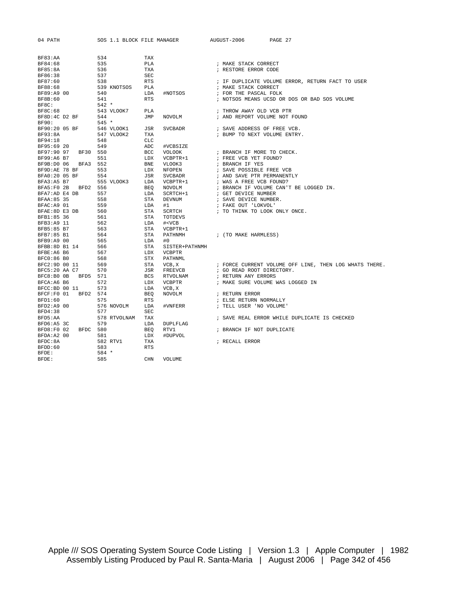| 04 PATH        |          | SOS 1.1 BLOCK FILE MANAGER |            |                | AUGUST-2006<br>PAGE 27                                 |
|----------------|----------|----------------------------|------------|----------------|--------------------------------------------------------|
| BF83:AA        |          | 534                        | TAX        |                |                                                        |
| BF84:68        |          | 535                        | PLA        |                | ; MAKE STACK CORRECT                                   |
| <b>BF85:8A</b> |          | 536                        | TXA        |                | ; RESTORE ERROR CODE                                   |
| BF86:38        |          | 537                        | <b>SEC</b> |                |                                                        |
| BF87:60        |          | 538                        | <b>RTS</b> |                | ; IF DUPLICATE VOLUME ERROR, RETURN FACT TO USER       |
| BF88:68        |          | 539 KNOTSOS                | <b>PLA</b> |                | ; MAKE STACK CORRECT                                   |
| BF89:A9 00     |          | 540                        | LDA        | #NOTSOS        | ; FOR THE PASCAL FOLK                                  |
| BF8B:60        |          | 541                        | <b>RTS</b> |                | ; NOTSOS MEANS UCSD OR DOS OR BAD SOS VOLUME           |
| BF8C:          |          | $542 *$                    |            |                |                                                        |
| BF8C:68        |          | 543 VLOOK7                 | <b>PLA</b> |                | ; THROW AWAY OLD VCB PTR                               |
| BF8D:4C D2 BF  |          | 544                        | JMP        | NOVOLM         | ; AND REPORT VOLUME NOT FOUND                          |
| BF90:          |          | $545 *$                    |            |                |                                                        |
| BF90:20 05 BF  |          | 546 VLOOK1                 | JSR        | SVCBADR        | ; SAVE ADDRESS OF FREE VCB.                            |
| BF93:8A        |          | 547 VLOOK2                 | TXA        |                | ; BUMP TO NEXT VOLUME ENTRY.                           |
| BF94:18        |          | 548                        | CLC        |                |                                                        |
| BF95:69 20     |          | 549                        | ADC        | #VCBSIZE       |                                                        |
| BF97:90 97     | BF30 550 |                            | BCC        | VOLOOK         | ; BRANCH IF MORE TO CHECK.                             |
| BF99:A6 B7     |          | 551                        | LDX        | VCBPTR+1       | ; FREE VCB YET FOUND?                                  |
| BF9B:D0 06     | BFA3 552 |                            | <b>BNE</b> | VLOOK3         | ; BRANCH IF YES                                        |
| BF9D:AE 78 BF  |          | 553                        | LDX        | NFOPEN         | ; SAVE POSSIBLE FREE VCB                               |
| BFA0:20 05 BF  |          | 554                        | JSR        | SVCBADR        | ; AND SAVE PTR PERMANENTLY                             |
| BFA3:A5 B7     |          | 555 VLOOK3                 | LDA        | VCBPTR+1       | ; WAS A FREE VCB FOUND?                                |
| BFA5:F0 2B     | BFD2 556 |                            | <b>BEO</b> | NOVOLM         | ; BRANCH IF VOLUME CAN'T BE LOGGED IN.                 |
| BFA7:AD E4 DB  |          | 557                        | LDA        | SCRTCH+1       | ; GET DEVICE NUMBER                                    |
| BFAA: 85 35    |          | 558                        | <b>STA</b> | DEVNUM         | ; SAVE DEVICE NUMBER.                                  |
| BFAC:A9 01     |          | 559                        | LDA        | #1             | ; FAKE OUT 'LOKVOL'                                    |
| BFAE: 8D E3 DB |          | 560                        | <b>STA</b> | SCRTCH         | ; TO THINK TO LOOK ONLY ONCE.                          |
| BFB1:85 36     |          | 561                        | <b>STA</b> | TOTDEVS        |                                                        |
| BFB3:A9 11     |          | 562                        | LDA        | # < VCB        |                                                        |
| BFB5:85 B7     |          | 563                        | <b>STA</b> | VCBPTR+1       |                                                        |
| BFB7:85 B1     |          | 564                        | <b>STA</b> | PATHNMH        | ; (TO MAKE HARMLESS)                                   |
| BFB9:A9 00     |          | 565                        | LDA        | #0             |                                                        |
| BFBB:8D B1 14  |          | 566                        | <b>STA</b> | SISTER+PATHNMH |                                                        |
| BFBE:A6 B6     |          | 567                        | LDX        | <b>VCBPTR</b>  |                                                        |
| BFC0:86 B0     |          | 568                        | <b>STX</b> | PATHNML        |                                                        |
| BFC2:9D 00 11  |          | 569                        | <b>STA</b> | VCB, X         | ; FORCE CURRENT VOLUME OFF LINE, THEN LOG WHATS THERE. |
| BFC5:20 AA C7  |          | 570                        | JSR        | FREEVCB        | ; GO READ ROOT DIRECTORY.                              |
| BFC8:B0 0B     | BFD5 571 |                            | <b>BCS</b> | RTVOLNAM       | ; RETURN ANY ERRORS                                    |
| BFCA: A6 B6    |          | 572                        | LDX        | <b>VCBPTR</b>  | ; MAKE SURE VOLUME WAS LOGGED IN                       |
| BFCC:BD 00 11  |          | 573                        | LDA        | VCB, X         |                                                        |
| BFCF:F0 01     | BFD2 574 |                            | <b>BEO</b> | NOVOLM         | ; RETURN ERROR                                         |
| BFD1:60        |          | 575                        | <b>RTS</b> |                | ; ELSE RETURN NORMALLY                                 |
| BFD2:A9 00     |          | 576 NOVOLM                 | LDA        | #VNFERR        | ; TELL USER 'NO VOLUME'                                |
| BFD4:38        |          | 577                        | <b>SEC</b> |                |                                                        |
| BFD5:AA        |          | 578 RTVOLNAM               | TAX        |                | ; SAVE REAL ERROR WHILE DUPLICATE IS CHECKED           |
| BFD6:A5 3C     |          | 579                        | LDA        | DUPLFLAG       |                                                        |
| BFD8:F0 02     | BFDC 580 |                            | <b>BEO</b> | RTV1           | ; BRANCH IF NOT DUPLICATE                              |
| BFDA: A2 00    |          | 581                        | LDX        | #DUPVOL        |                                                        |
| BFDC:8A        |          | 582 RTV1                   | TXA        |                | ; RECALL ERROR                                         |
| BFDD:60        |          | 583                        | <b>RTS</b> |                |                                                        |
| BFDE:          |          | $584 *$                    |            |                |                                                        |
| BFDE:          |          | 585                        | <b>CHN</b> | VOLUME         |                                                        |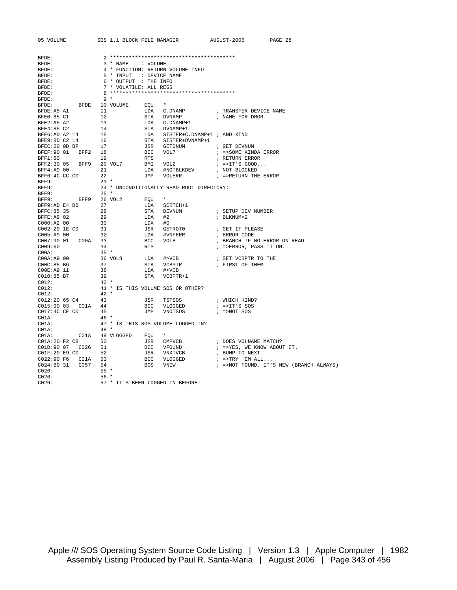| 05 VOLUME                                                        |                                   |            | SOS 1.1 BLOCK FILE MANAGER AUGUST-2006                                                                                                             |                                            | PAGE 28                                 |
|------------------------------------------------------------------|-----------------------------------|------------|----------------------------------------------------------------------------------------------------------------------------------------------------|--------------------------------------------|-----------------------------------------|
|                                                                  |                                   |            |                                                                                                                                                    |                                            |                                         |
| BFDE:                                                            |                                   |            |                                                                                                                                                    |                                            |                                         |
| BFDE:                                                            | 3 * NAME : VOLUME                 |            |                                                                                                                                                    |                                            |                                         |
| BFDE:                                                            |                                   |            | 4 * FUNCTION: RETURN VOLUME INFO                                                                                                                   |                                            |                                         |
| BFDE:                                                            | 5 * INPUT : DEVICE NAME           |            |                                                                                                                                                    |                                            |                                         |
| BFDE:                                                            | 6 * OUTPUT : THE INFO             |            |                                                                                                                                                    |                                            |                                         |
| BFDE:                                                            | 7 * VOLATILE: ALL REGS            |            |                                                                                                                                                    |                                            |                                         |
| BFDE:                                                            |                                   |            |                                                                                                                                                    |                                            |                                         |
| BFDE:                                                            | 9 *                               |            |                                                                                                                                                    |                                            |                                         |
|                                                                  |                                   |            | $\star$                                                                                                                                            |                                            |                                         |
| BFDE:                                                            | BFDE 10 VOLUME                    | EQU        |                                                                                                                                                    |                                            |                                         |
| BFDE:A5 A1                                                       | 11                                |            | LDA C.DNAMP                                                                                                                                        | ; TRANSFER DEVICE NAME                     |                                         |
| BFE0:85 C1                                                       | 12                                |            | STA DVNAMP : NAME FOR DMGR                                                                                                                         |                                            |                                         |
| BFE2:A5 A2                                                       | 13                                |            |                                                                                                                                                    |                                            |                                         |
| BFE4:85 C2                                                       | 14                                |            | ---- C.DNAMP+1<br>STA DVNAMP+1<br>LDA SISTER+C.DNAMP+1 ; AND XTND<br>STA SISTER+DVNAMP+1<br>JSR GETDNUM ; GET DEVNI<br>BCC VOL7 ; =>SOME K1<br>FTS |                                            |                                         |
| BFE6:AD A2 14                                                    | 15                                |            |                                                                                                                                                    |                                            |                                         |
| BFE9:8D C2 14                                                    | 16                                |            |                                                                                                                                                    |                                            |                                         |
| $BFEC:20$ OD BF 17                                               |                                   |            |                                                                                                                                                    | ; GET DEVNUM                               |                                         |
| BFEF: 90 01 BFF2 18                                              |                                   |            |                                                                                                                                                    | ; =>SOME KINDA ERROR                       |                                         |
| BFF1:60                                                          | 19                                | <b>RTS</b> |                                                                                                                                                    | ; RETURN ERROR                             |                                         |
| BFF2:30 05 BFF9 20 VOL7                                          |                                   |            | BMI VOL2                                                                                                                                           | $i$ =>IT'S GOOD                            |                                         |
| BFF4:A9 00                                                       | 21                                |            | LDA #NOTBLKDEV                                                                                                                                     | ; NOT BLOCKED                              |                                         |
| BFF6:4C CC CO                                                    | 22                                |            | JMP VOLERR                                                                                                                                         | ; =>RETURN THE ERROR                       |                                         |
| BFF9:                                                            | $23 *$                            |            |                                                                                                                                                    |                                            |                                         |
| BFF9:                                                            |                                   |            | 24 * UNCONDITIONALLY READ ROOT DIRECTORY:                                                                                                          |                                            |                                         |
| BFF9:                                                            | $25 *$                            |            |                                                                                                                                                    |                                            |                                         |
|                                                                  |                                   |            | $\star$                                                                                                                                            |                                            |                                         |
| BFF9: BFF9 26 VOL2                                               |                                   | EQU        |                                                                                                                                                    |                                            |                                         |
| BFF9:AD E4 DB 27                                                 |                                   | LDA        | SCRTCH+1                                                                                                                                           |                                            |                                         |
| BFFC: 85 35                                                      | 28                                | <b>STA</b> | DEVNUM                                                                                                                                             | ; SETUP DEV NUMBER                         |                                         |
| BFFE:A9 02                                                       | 29                                | LDA        | #2                                                                                                                                                 | ; BLKNUM=2                                 |                                         |
| $C000:A2$ 00                                                     | 30                                |            | LDX #0<br>JSR GETROTO<br>LDA #VNFERR<br>BCC VOL8<br>RTS                                                                                            |                                            |                                         |
| C002:20 1E C9<br>$\begin{array}{cc} .9 & 31 \\ 32 & \end{array}$ |                                   |            |                                                                                                                                                    | ; GET IT PLEASE                            |                                         |
| C005:A900                                                        |                                   |            | #VNFERR                                                                                                                                            | ; ERROR CODE                               |                                         |
| C007:90 01                                                       | C00A 33                           |            |                                                                                                                                                    | ; BRANCH IF NO ERROR ON READ               |                                         |
| C009:60                                                          | 34                                |            |                                                                                                                                                    | ; =>ERROR, PASS IT ON.                     |                                         |
| COOA:                                                            | $35 *$                            |            |                                                                                                                                                    |                                            |                                         |
| $CO0A: A9$ 00                                                    |                                   | LDA        |                                                                                                                                                    | $\sharp$ >VCB $\qquad$ ; SET VCBPTR TO THE |                                         |
| C00C:85 B6                                                       | 36 VOL8<br>37                     |            | STA VCBPTR                                                                                                                                         | ; FIRST OF THEM                            |                                         |
| COOE: A9 11                                                      | 38                                | LDA        | # <vcb< td=""><td></td><td></td></vcb<>                                                                                                            |                                            |                                         |
| $CO10:85$ B7                                                     | 39                                |            | STA VCBPTR+1                                                                                                                                       |                                            |                                         |
| C012:                                                            | $40*$                             |            |                                                                                                                                                    |                                            |                                         |
| CO12:                                                            | 41 * IS THIS VOLUME SOS OR OTHER? |            |                                                                                                                                                    |                                            |                                         |
| CO12:                                                            | $42 *$                            |            |                                                                                                                                                    |                                            |                                         |
| $C012:2065C4$ 43                                                 |                                   |            |                                                                                                                                                    |                                            |                                         |
|                                                                  |                                   |            | JSR TSTSOS                                                                                                                                         | ; WHICH KIND?                              |                                         |
| C015:90 03  C01A  44                                             |                                   | BCC        | VLOGGED                                                                                                                                            | $:$ =>IT'S SOS                             |                                         |
| C017:4C CE C0                                                    | 45                                | JMP        | VNOTSOS                                                                                                                                            | $; = >NOT$ SOS                             |                                         |
| CO1A:                                                            | 46 *                              |            |                                                                                                                                                    |                                            |                                         |
| CO1A:                                                            |                                   |            | 47 * IS THIS SOS VOLUME LOGGED IN?                                                                                                                 |                                            |                                         |
| CO1A:                                                            | $48*$                             |            |                                                                                                                                                    |                                            |                                         |
| CO1A: CO1A 49 VLOGGED EQU                                        |                                   |            | $\star$                                                                                                                                            |                                            |                                         |
| C01A:20 F2 C8                                                    | 50                                |            | JSR CMPVCB                                                                                                                                         | ; DOES VOLNAME MATCH?                      |                                         |
|                                                                  |                                   |            | BCC VFOUND                                                                                                                                         | ; =>YES, WE KNOW ABOUT IT.                 |                                         |
| C01F:20 E9 C0 52                                                 |                                   |            | JSR VNXTVCB                                                                                                                                        | ; BUMP TO NEXT                             |                                         |
| C022:90 F6 C01A 53                                               |                                   |            |                                                                                                                                                    | $i$ =>TRY 'EM ALL                          |                                         |
|                                                                  |                                   |            | BCC VLOGGED<br>BCS VNEW<br>BCS VNEW                                                                                                                |                                            | ; =>NOT FOUND, IT'S NEW (BRANCH ALWAYS) |
| C026:                                                            | $55*$                             |            |                                                                                                                                                    |                                            |                                         |
| CO26:                                                            | $56*$                             |            |                                                                                                                                                    |                                            |                                         |
| CO26:                                                            | 57 * IT'S BEEN LOGGED IN BEFORE:  |            |                                                                                                                                                    |                                            |                                         |
|                                                                  |                                   |            |                                                                                                                                                    |                                            |                                         |

Apple /// SOS Operating System Source Code Listing | Version 1.3 | Apple Computer | 1982 Assembly Listing Produced by Paul R. Santa-Maria | August 2006 | Page 343 of 456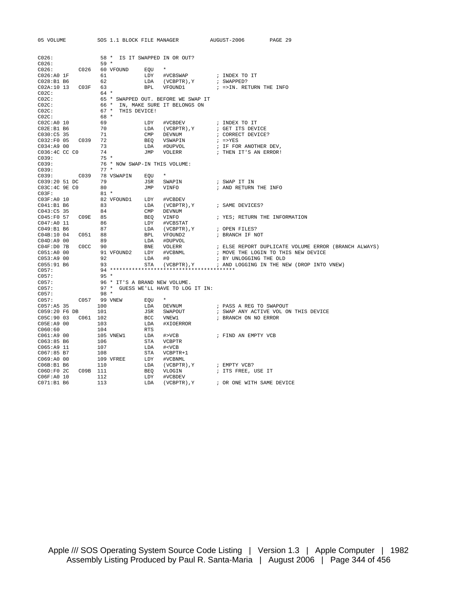| 05 VOLUME                              |                                |              | SOS 1.1 BLOCK FILE MANAGER            |     |                                                                                                                                                                                                                                                   | AUGUST-2006 PAGE 29                                                                                                                                                                                                                                                                                                                                                                                                                        |
|----------------------------------------|--------------------------------|--------------|---------------------------------------|-----|---------------------------------------------------------------------------------------------------------------------------------------------------------------------------------------------------------------------------------------------------|--------------------------------------------------------------------------------------------------------------------------------------------------------------------------------------------------------------------------------------------------------------------------------------------------------------------------------------------------------------------------------------------------------------------------------------------|
| CO26:                                  |                                |              |                                       |     | 58 * IS IT SWAPPED IN OR OUT?                                                                                                                                                                                                                     |                                                                                                                                                                                                                                                                                                                                                                                                                                            |
| C026:                                  |                                | $59 *$       |                                       |     |                                                                                                                                                                                                                                                   |                                                                                                                                                                                                                                                                                                                                                                                                                                            |
|                                        |                                |              | C026: C026 60 VFOUND EQU $\star$      |     |                                                                                                                                                                                                                                                   |                                                                                                                                                                                                                                                                                                                                                                                                                                            |
| $C026 : A0$ 1F 61<br>$C028 : B1$ B6 62 |                                |              |                                       |     |                                                                                                                                                                                                                                                   | LDY #VCBSWAP : INDEX TO IT<br>LDA (VCBPTR),Y : SWAPPED?<br>BPL VFOUND1 : =>IN.RETURN THE INFO                                                                                                                                                                                                                                                                                                                                              |
|                                        |                                |              |                                       |     |                                                                                                                                                                                                                                                   |                                                                                                                                                                                                                                                                                                                                                                                                                                            |
| C02A:10 13 C03F 63                     |                                |              |                                       |     |                                                                                                                                                                                                                                                   |                                                                                                                                                                                                                                                                                                                                                                                                                                            |
| CO2C:                                  |                                |              | 64 *                                  |     |                                                                                                                                                                                                                                                   |                                                                                                                                                                                                                                                                                                                                                                                                                                            |
| CO2C:                                  |                                |              |                                       |     | 65 * SWAPPED OUT. BEFORE WE SWAP IT                                                                                                                                                                                                               |                                                                                                                                                                                                                                                                                                                                                                                                                                            |
| CO2C:                                  |                                |              |                                       |     | 66 * IN, MAKE SURE IT BELONGS ON                                                                                                                                                                                                                  |                                                                                                                                                                                                                                                                                                                                                                                                                                            |
| CO2C:                                  |                                |              | 67 * THIS DEVICE!                     |     |                                                                                                                                                                                                                                                   |                                                                                                                                                                                                                                                                                                                                                                                                                                            |
| CO2C:                                  | $68 *$<br>$69$<br>$70$<br>$71$ |              |                                       |     |                                                                                                                                                                                                                                                   |                                                                                                                                                                                                                                                                                                                                                                                                                                            |
| CO2C:AO 10                             |                                |              |                                       |     |                                                                                                                                                                                                                                                   | $\begin{tabular}{lllllllllllllllllllll} \textsc{LDY} & \textsc{\#vCBBEV} & \textsc{ $i$} & \textsc{INDEX} & \textsc{To} & \textsc{IT} \\ \textsc{LDA} & (\textsc{VCBPTR})\,,\textsc{Y} & \textsc{ $i$} & \textsc{GET} & \textsc{IS} & \textsc{EVICE} \\ \textsc{CMP} & \textsc{DSWANM} & \textsc{ $i$} & \textsc{ $i$} & \textsc{ $i$} & \textsc{FS} \\ \textsc{BEQ} & \textsc{YSWAPIN} & \textsc{ $i$} & \textsc{ $i$} & \textsc{FS} & \$ |
| CO2E: B1 B6                            |                                |              |                                       |     |                                                                                                                                                                                                                                                   |                                                                                                                                                                                                                                                                                                                                                                                                                                            |
| C030:C5 35                             |                                |              |                                       |     |                                                                                                                                                                                                                                                   |                                                                                                                                                                                                                                                                                                                                                                                                                                            |
| C032:F0 05 C039 72                     |                                |              |                                       |     |                                                                                                                                                                                                                                                   |                                                                                                                                                                                                                                                                                                                                                                                                                                            |
| C034:A9 00                             |                                | 73           |                                       |     |                                                                                                                                                                                                                                                   |                                                                                                                                                                                                                                                                                                                                                                                                                                            |
| C036:4C CC C0                          |                                | 74           |                                       |     |                                                                                                                                                                                                                                                   |                                                                                                                                                                                                                                                                                                                                                                                                                                            |
| CO39:                                  |                                |              | $75*$                                 |     |                                                                                                                                                                                                                                                   |                                                                                                                                                                                                                                                                                                                                                                                                                                            |
| C039:                                  |                                |              | 76 * NOW SWAP-IN THIS VOLUME:<br>77 * |     |                                                                                                                                                                                                                                                   |                                                                                                                                                                                                                                                                                                                                                                                                                                            |
| C039:                                  |                                | $77 *$       | C039: C039 78 VSWAPIN EQU             |     | $\star$                                                                                                                                                                                                                                           |                                                                                                                                                                                                                                                                                                                                                                                                                                            |
|                                        |                                |              |                                       |     |                                                                                                                                                                                                                                                   |                                                                                                                                                                                                                                                                                                                                                                                                                                            |
| C039:20 51 DC                          |                                | 79           | JSR<br>JMP                            |     | SWAPIN<br>VINFO                                                                                                                                                                                                                                   | ; SWAP IT IN                                                                                                                                                                                                                                                                                                                                                                                                                               |
| C03C:4C 9E C0<br>CO3F:                 |                                | 80<br>$81 *$ |                                       |     |                                                                                                                                                                                                                                                   | ; AND RETURN THE INFO                                                                                                                                                                                                                                                                                                                                                                                                                      |
|                                        |                                |              |                                       |     |                                                                                                                                                                                                                                                   |                                                                                                                                                                                                                                                                                                                                                                                                                                            |
| C03F:A0 10<br>C041:B1 B6               |                                | 83           | 82 VFOUND1 LDY                        |     | #VCBDEV                                                                                                                                                                                                                                           |                                                                                                                                                                                                                                                                                                                                                                                                                                            |
| $C043:C5$ 35 84                        |                                |              |                                       |     |                                                                                                                                                                                                                                                   |                                                                                                                                                                                                                                                                                                                                                                                                                                            |
| C045:F0 57 C09E 85                     |                                |              |                                       |     | NDI LDI WOBDEN), Y<br>IDA (VCBPTR), Y<br>BEQ VINFO ; YES; RETURN TH<br>LDY #VCBSTAT<br>LDY #VCBSTAT<br>LDA (VCBPTR), Y<br>; OPEN FILES?<br>BPL VFOUND2 ; BRANCH IF NOT<br>LDA #DUPVOL<br>BNE VOLERR ; ELSE REPORT DAN<br>THE VICENT ; ELSE REPORT | ; YES; RETURN THE INFORMATION                                                                                                                                                                                                                                                                                                                                                                                                              |
| C047:A0 11                             |                                | 86           |                                       |     |                                                                                                                                                                                                                                                   |                                                                                                                                                                                                                                                                                                                                                                                                                                            |
| C049:B1 B6                             |                                | 87           |                                       |     |                                                                                                                                                                                                                                                   |                                                                                                                                                                                                                                                                                                                                                                                                                                            |
|                                        |                                |              |                                       |     |                                                                                                                                                                                                                                                   |                                                                                                                                                                                                                                                                                                                                                                                                                                            |
| $CO4D: A9$ 00                          |                                | 89           |                                       |     |                                                                                                                                                                                                                                                   |                                                                                                                                                                                                                                                                                                                                                                                                                                            |
|                                        |                                |              |                                       |     |                                                                                                                                                                                                                                                   |                                                                                                                                                                                                                                                                                                                                                                                                                                            |
|                                        |                                |              |                                       |     |                                                                                                                                                                                                                                                   |                                                                                                                                                                                                                                                                                                                                                                                                                                            |
|                                        |                                |              |                                       |     |                                                                                                                                                                                                                                                   |                                                                                                                                                                                                                                                                                                                                                                                                                                            |
|                                        |                                |              |                                       |     |                                                                                                                                                                                                                                                   | EXERCISE A WARRY STATE OF THE REPORT DUPLICATE VOLUME ERROR (BRANCH ALWAYS)<br>IND2 LDY #VCBNML : MOVE THE LOGIN TO THIS NEW DEVICE<br>LDA #0 : BY UNLOGGING THE OLD<br>STA (VCBPTR), Y : AND LOGGING IN THE NEW (DROP INTO VNEW)                                                                                                                                                                                                          |
| C057:                                  |                                |              |                                       |     |                                                                                                                                                                                                                                                   |                                                                                                                                                                                                                                                                                                                                                                                                                                            |
| C057:                                  |                                | $95 *$       |                                       |     |                                                                                                                                                                                                                                                   |                                                                                                                                                                                                                                                                                                                                                                                                                                            |
| C057:                                  |                                |              |                                       |     |                                                                                                                                                                                                                                                   |                                                                                                                                                                                                                                                                                                                                                                                                                                            |
| C057:                                  |                                |              |                                       |     | 97 * GUESS WE'LL HAVE TO LOG IT IN:                                                                                                                                                                                                               |                                                                                                                                                                                                                                                                                                                                                                                                                                            |
| C057:                                  |                                |              |                                       |     |                                                                                                                                                                                                                                                   |                                                                                                                                                                                                                                                                                                                                                                                                                                            |
|                                        |                                |              | C057: C057 99 VNEW EQU                |     |                                                                                                                                                                                                                                                   |                                                                                                                                                                                                                                                                                                                                                                                                                                            |
| C057:AB35                              |                                |              |                                       |     |                                                                                                                                                                                                                                                   | ; PASS A REG TO SWAPOUT                                                                                                                                                                                                                                                                                                                                                                                                                    |
| C059:20 F6 DB                          |                                |              |                                       |     |                                                                                                                                                                                                                                                   | ; SWAP ANY ACTIVE VOL ON THIS DEVICE                                                                                                                                                                                                                                                                                                                                                                                                       |
|                                        |                                |              |                                       |     |                                                                                                                                                                                                                                                   | ; BRANCH ON NO ERROR                                                                                                                                                                                                                                                                                                                                                                                                                       |
| C05E:A9 00 103                         |                                |              |                                       |     |                                                                                                                                                                                                                                                   |                                                                                                                                                                                                                                                                                                                                                                                                                                            |
| C060:60                                |                                |              |                                       |     |                                                                                                                                                                                                                                                   |                                                                                                                                                                                                                                                                                                                                                                                                                                            |
| C061:A9 00                             |                                |              |                                       |     |                                                                                                                                                                                                                                                   | ; FIND AN EMPTY VCB                                                                                                                                                                                                                                                                                                                                                                                                                        |
| $C063:85$ B6                           |                                |              |                                       |     |                                                                                                                                                                                                                                                   |                                                                                                                                                                                                                                                                                                                                                                                                                                            |
| C065:A9 11                             |                                |              |                                       |     |                                                                                                                                                                                                                                                   |                                                                                                                                                                                                                                                                                                                                                                                                                                            |
|                                        |                                |              |                                       |     |                                                                                                                                                                                                                                                   |                                                                                                                                                                                                                                                                                                                                                                                                                                            |
|                                        |                                |              |                                       |     |                                                                                                                                                                                                                                                   |                                                                                                                                                                                                                                                                                                                                                                                                                                            |
|                                        |                                |              |                                       |     |                                                                                                                                                                                                                                                   |                                                                                                                                                                                                                                                                                                                                                                                                                                            |
|                                        |                                |              |                                       |     |                                                                                                                                                                                                                                                   | $\begin{tabular}{lllllllllllll} \multicolumn{3}{l}{{\small\sc Cl67:85}$$\cal B7$ & $\bot$u\cr 069:20$ & $109$~VFREE & $\bot$DY & $\#VCBNML$ \\ \multicolumn{3}{l}{{\small\sc Cl69:81}$$\cal B6}$ & $110$ & $\bot$DA & $\verb (VCBPTR ),Y & $ $ $$\cal F} $\mbox{EMPTY VCB?} \\ \multicolumn{3}{l}{{\small\sc Cl6B:81}$$\cal B6}$ & $110$ & $\bot$DA & $\verb (VCBPTR ),Y & $ $$\cal F} $\mbox{EMPTY VCB?} \\ \multicolumn$                 |
|                                        |                                |              |                                       |     |                                                                                                                                                                                                                                                   |                                                                                                                                                                                                                                                                                                                                                                                                                                            |
| CO71:B1B6                              |                                |              | 113                                   | LDA | (VCBPTR), Y                                                                                                                                                                                                                                       | ; OR ONE WITH SAME DEVICE                                                                                                                                                                                                                                                                                                                                                                                                                  |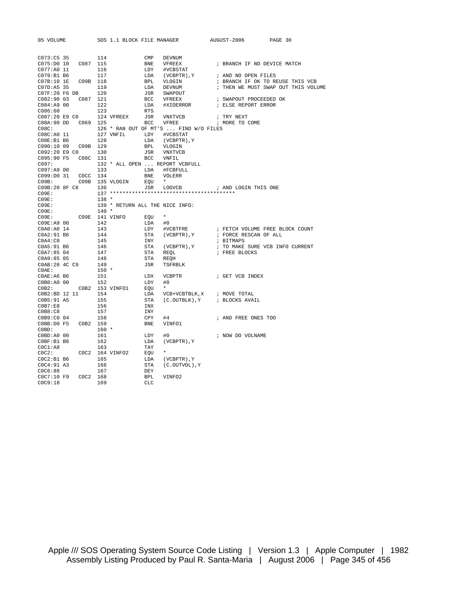| 05 VOLUME             |                 | SOS 1.1 BLOCK FILE MANAGER      |                                       | AUGUST-2006                                                 | PAGE 30                             |
|-----------------------|-----------------|---------------------------------|---------------------------------------|-------------------------------------------------------------|-------------------------------------|
|                       |                 |                                 |                                       |                                                             |                                     |
| C073:C5 35            | 114             | $\ensuremath{\mathrm{CMP}}$     | DEVNUM                                |                                                             |                                     |
| C075:D0 10            | 115<br>C087     | BNE                             | VFREEX                                | ; BRANCH IF NO DEVICE MATCH                                 |                                     |
| C077:A0 11            | 116             | LDY                             | #VCBSTAT                              |                                                             |                                     |
| C079:B1B6             | 117             | LDA                             | (VCBPTR), Y                           | ; AND NO OPEN FILES                                         |                                     |
| C07B:10 1E            | C09B 118        | <b>BPL</b>                      | VLOGIN                                |                                                             | ; BRANCH IF OK TO REUSE THIS VCB    |
| C07D:A5 35            | 119             | LDA                             | DEVNUM                                |                                                             | ; THEN WE MUST SWAP OUT THIS VOLUME |
| C07F:20 F6 DB         | 120             | JSR                             | SWAPOUT                               |                                                             |                                     |
| C082:9003             | C087<br>121     | <b>BCC</b>                      | VFREEX                                | ; SWAPOUT PROCEEDED OK                                      |                                     |
| C084:AA900            | 122             | LDA                             | #XIOERROR                             | ; ELSE REPORT ERROR                                         |                                     |
| C086:60               | 123             | RTS                             |                                       |                                                             |                                     |
| C087:20 E9 C0         | 124 VFREEX      | JSR                             | VNXTVCB                               | ; TRY NEXT                                                  |                                     |
| C08A:90 DD C069 125   |                 | BCC                             | VFREE                                 | ; MORE TO COME                                              |                                     |
| C08C:                 |                 |                                 | 126 * RAN OUT OF MT'S  FIND W/O FILES |                                                             |                                     |
| C08C:A0 11            | 127 VNFIL       | LDY                             | #VCBSTAT                              |                                                             |                                     |
| CO8E: B1 B6           | 128             | LDA                             | (VCBPTR), Y                           |                                                             |                                     |
| C090:10 09            | C09B 129        | BPL                             | VLOGIN                                |                                                             |                                     |
| C092:20 E9 C0         | 130             | JSR                             | VNXTVCB                               |                                                             |                                     |
| C095:90 F5            | C08C 131        | BCC                             | VNFIL                                 |                                                             |                                     |
| CO97:                 |                 |                                 | 132 * ALL OPEN  REPORT VCBFULL        |                                                             |                                     |
| C097:A9 00            | 133             | LDA                             | #FCBFULL                              |                                                             |                                     |
| C099:D0 31            | COCC 134        | BNE                             | VOLERR                                |                                                             |                                     |
| CO9B:                 | C09B 135 VLOGIN | EQU                             | $\star$                               |                                                             |                                     |
| C09B:20 8F C8         | 136             | JSR                             | LOGVCB                                | ; AND LOGIN THIS ONE                                        |                                     |
| CO9E:                 |                 |                                 |                                       |                                                             |                                     |
| CO9E:                 | $138 *$         |                                 |                                       |                                                             |                                     |
| CO9E:                 |                 | 139 * RETURN ALL THE NICE INFO: |                                       |                                                             |                                     |
| CO9E:                 | $140 *$         |                                 |                                       |                                                             |                                     |
| CO9E:                 | C09E 141 VINFO  | EOU                             | $\star$                               |                                                             |                                     |
| C09E:A9 00            | 142             | LDA                             | #0                                    |                                                             |                                     |
| COAO:AO <sub>14</sub> | 143             | LDY                             | #VCBTFRE                              |                                                             | ; FETCH VOLUME FREE BLOCK COUNT     |
| C0A2:91 B6            | 144             | STA                             | (VCBPTR), Y                           | ; FORCE RESCAN OF ALL                                       |                                     |
| COA4:C8               | 145             | INY                             |                                       | ; BITMAPS                                                   |                                     |
| C0A5:91 B6            | 146             | STA                             | (VCBPTR), Y                           |                                                             | ; TO MAKE SURE VCB INFO CURRENT     |
| COA7:8504             | 147             | STA                             | REOL                                  | ; FREE BLOCKS                                               |                                     |
| COA9:8505             | 148             | STA                             | REQH                                  |                                                             |                                     |
| C0AB:20 4C C9         | 149             | JSR                             | TSFRBLK                               |                                                             |                                     |
| COAE:                 | $150 *$         |                                 |                                       |                                                             |                                     |
| $COAE:AG$ B6          | 151             | LDX                             | VCBPTR                                | ; GET VCB INDEX                                             |                                     |
| COB0:AO 00            | 152             | LDY                             | #0                                    |                                                             |                                     |
| C0B2:                 | C0B2 153 VINFO1 | EOU                             | $\star$                               |                                                             |                                     |
| C0B2:BD 12 11         | 154             | LDA                             |                                       | $\verb VCB+VCBTBLK , \verb X   ; \quad \verb . MOVE TOTAL $ |                                     |
| C0B5:91 A5            | 155             | STA                             | (C.OUTBLK), Y                         | ; BLOCKS AVAIL                                              |                                     |
| C0B7:E8               | 156             | INX                             |                                       |                                                             |                                     |
| C0B8:C8               | 157             | INY                             |                                       |                                                             |                                     |
| C0B9:C0 04            | 158             | CPY                             | #4                                    | ; AND FREE ONES TOO                                         |                                     |
| COBB:DO F5            | C0B2 159        | <b>BNE</b>                      | VINFO1                                |                                                             |                                     |
| $C0BD$ :              | $160 *$         |                                 |                                       |                                                             |                                     |
| C0BD:AO 00            | 161             | LDY                             | #0                                    | ; NOW DO VOLNAME                                            |                                     |
| COBF:B1 B6            | 162             | LDA                             | $(VCBPTR)$ , $Y$                      |                                                             |                                     |
| COC1:AB               | 163             | TAY                             |                                       |                                                             |                                     |
| COC2:                 | COC2 164 VINFO2 | EOU                             | $\star$                               |                                                             |                                     |
| COC2:B1B6             | 165             | LDA                             | $(VCBPTR)$ , $Y$                      |                                                             |                                     |
| COC4:91 A3            | 166             | STA                             | (C.OUTVOL), Y                         |                                                             |                                     |
| C0C6:88               | 167             | DEY                             |                                       |                                                             |                                     |
| C0C7:10 F9            | COC2<br>168     | <b>BPL</b>                      | VINFO2                                |                                                             |                                     |
|                       |                 |                                 |                                       |                                                             |                                     |

C0C9:18 169 CLC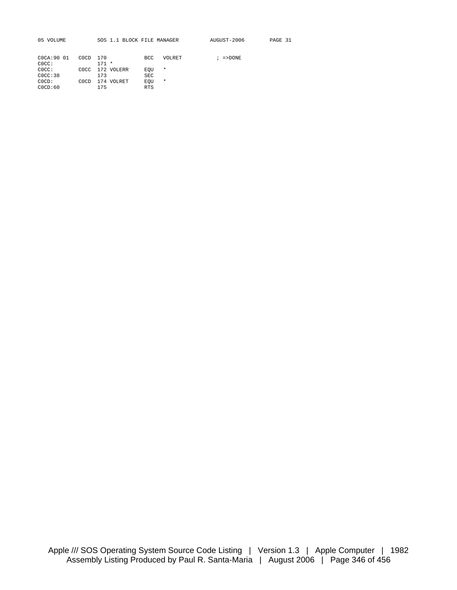05 VOLUME SOS 1.1 BLOCK FILE MANAGER AUGUST-2006 PAGE 31

 $; =$  >DONE

| COCA: 90 01 | C <sub>0</sub> C <sub>D</sub> | - 170           | BCC.       | <b>VOLRET</b> |
|-------------|-------------------------------|-----------------|------------|---------------|
| $C0CC$ :    |                               | $171 *$         |            |               |
| $C0CC$ :    |                               | COCC 172 VOLERR | EOU        | $\star$       |
| C0CC:38     |                               | 173             | SEC        |               |
| $C0CD$ :    | COCD.                         | 174 VOLRET      | EOU        | *             |
| C0CD:60     |                               | 175             | <b>RTS</b> |               |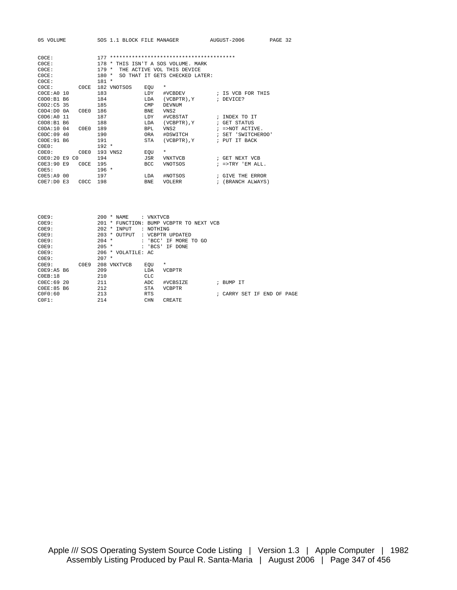| 05 VOLUME                                 |             | SOS 1.1 BLOCK FILE MANAGER     | AUGUST-2006         | PAGE 32 |
|-------------------------------------------|-------------|--------------------------------|---------------------|---------|
| C0CF:                                     | 177         |                                |                     |         |
| C0CE:                                     | $178 *$     | THIS ISN'T A SOS VOLUME. MARK  |                     |         |
| C0CE:                                     | $179 *$     | THE ACTIVE VOL THIS DEVICE     |                     |         |
| C0CF:                                     | $180 *$     | SO THAT IT GETS CHECKED LATER: |                     |         |
| C0CE:                                     | $181 *$     |                                |                     |         |
| C0CE:<br>COCE.                            | 182 VNOTSOS | $\star$<br>EQU                 |                     |         |
| C0CE: A0 10                               | 183         | LDY<br>#VCBDEV                 | ; IS VCB FOR THIS   |         |
| $COD0: B1$ B <sub>6</sub>                 | 184         | <b>T.DA</b><br>(VCBPTR), Y     | ; DEVICE?           |         |
| COD2: C5 35                               | 185         | CMP<br><b>DEVNUM</b>           |                     |         |
| C <sub>0</sub> D4:D0 <sub>0</sub><br>C0E0 | 186         | VNS <sub>2</sub><br><b>BNE</b> |                     |         |
| COD6: A0 11                               | 187         | #VCBSTAT<br><b>LDY</b>         | ; INDEX TO IT       |         |
| COD8: B1 B6                               | 188         | LDA<br>(VCBPTR), Y             | ; GET STATUS        |         |
| CODA:10.04<br>C0E0                        | 189         | BPL<br>VNS <sub>2</sub>        | $I = > NOT$ ACTIVE. |         |
| C0DC:09.40                                | 190         | #DSWITCH<br><b>ORA</b>         | ; SET 'SWITCHEROO'  |         |
| $CODE:91$ B6                              | 191         | $(VCBPTR)$ , $Y$<br><b>STA</b> | ; PUT IT BACK       |         |
| $C0E0$ :                                  | $192 *$     |                                |                     |         |
| COEO:<br>COE0                             | 193 VNS2    | $\star$<br>EOU                 |                     |         |
| COE0:20 E9 C0                             | 194         | <b>JSR</b><br><b>VNXTVCB</b>   | ; GET NEXT VCB      |         |
| COE3:90E9<br>COCE                         | 195         | <b>BCC</b><br><b>VNOTSOS</b>   | $i$ =>TRY 'EM ALL.  |         |
| $C0F5$ :                                  | $196 *$     |                                |                     |         |
| $C0E5:AA$ 00                              | 197         | LDA<br>#NOTSOS                 | ; GIVE THE ERROR    |         |

| COLO - 112 UU       |  |  | <b>00011 1110100</b> | , ulivil liil linuvit |  |
|---------------------|--|--|----------------------|-----------------------|--|
| C0E7:D0 E3 C0CC 198 |  |  | BNE VOLERR           | ; (BRANCH ALWAYS)     |  |

| COE9:        |      | $200 * NAME$              | : VNXTVCB  |                                   |                |  |  |             |
|--------------|------|---------------------------|------------|-----------------------------------|----------------|--|--|-------------|
| COE9:        |      | 201<br>$\star$            |            | FUNCTION: BUMP VCBPTR TO NEXT VCB |                |  |  |             |
| COE9:        |      | 2.02.<br>INPUT<br>$\star$ | : NOTHING  |                                   |                |  |  |             |
| COE9:        |      | 203<br>OUTPUT<br>$\star$  |            | : VCBPTR UPDATED                  |                |  |  |             |
| COE9:        |      | $204 *$                   | : 'BCC'    | IF MORE TO GO                     |                |  |  |             |
| COE9:        |      | $205 *$                   | : 'BCS'    | IF DONE                           |                |  |  |             |
| COE9:        |      | $206 * VOLATII.E: AC$     |            |                                   |                |  |  |             |
| COE9:        |      | $207 *$                   |            |                                   |                |  |  |             |
| COE9:        | C0E9 | 208 VNXTVCB               | EOU        | $\star$                           |                |  |  |             |
| $C0F9:AB$ B6 |      | 209                       | LDA        | <b>VCBPTR</b>                     |                |  |  |             |
| COEB:18      |      | 210                       | <b>CLC</b> |                                   |                |  |  |             |
| C0FC:6920    |      | 211                       | ADC        | #VCBSIZE                          | ; BUMP IT      |  |  |             |
| COEE:85 B6   |      | 212                       | <b>STA</b> | <b>VCBPTR</b>                     |                |  |  |             |
| C0F0:60      |      | 213                       | <b>RTS</b> |                                   | ; CARRY SET IF |  |  | END OF PAGE |
| $C0F1$ :     |      | 214                       | <b>CHN</b> | CREATE                            |                |  |  |             |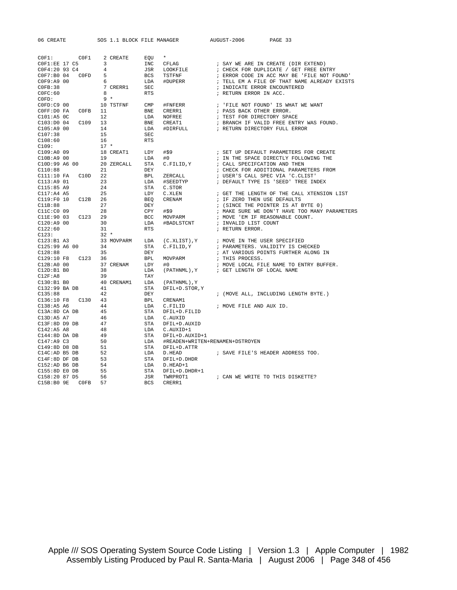$COF1:$   $COF1 = 2 \text{ CREATE}$   $EQU *$ <br>  $COF1:EE 17 C5 = 3$  INC CFLAG<br>  $COF4:20.92 C4 = 4$ COF1:EE 17 C5 3<br>
COF4:20 93 C4 4 3 JSR LOOKFILE ; CHECK FOR DUPLICATE / GET FREE EN COF4:20 93 C4 4 JSR LOOKFILE ; CHECK FOR DUPLICATE / GET FREE ENTRY COF7:B0 04 COFD 5 BCS TSTFNF ; ERROR CODE IN ACC MAY BE 'FILE NOT FO C0F7:B0 04 C0FD 5 BCS TSTFNF ; ERROR CODE IN ACC MAY BE 'FILE NOT FOUND'<br>C0F9:A9 00 6 LDA #DUPERR ; TELL EM A FILE OF THAT NAME ALREADY EXIST C0F9:A9 00 6 LDA #DUPERR ; TELL EM A FILE OF THAT NAME ALREADY EXISTS C0FB:38 7 CRERR1 SEC ; INDICATE ERROR ENCOUNTERED 5<br>6 BCS<br>7 CRERR1 SEC<br>8 RTS  $\begin{array}{lllll} \texttt{C0FD}: & & & \texttt{O} & & & \texttt{RTS} \\ \texttt{C0FD}: & & & \texttt{9} & \ast & & & \texttt{f} \\ \texttt{C0FD}: & & & \texttt{10 TSTFNF} & & & \texttt{CMP} & & \texttt{f} \texttt{FNFERR} \end{array}$ C0FD:C9 00 10 TSTFNF CMP #FNFERR ; 'FILE NOT FOUND' IS WHAT WE WANT  $COFF: D0$  FA  $COFB$   $11$ <br> $C101: A5$   $0C$   $12$ C101:A5 0C 12 LDA NOFREE ; TEST FOR DIRECTORY SPACE C103:D0 04 C109 13 BNE CREAT1 *i* BRANCH IF VALID FREE ENTRY WAS FOUND. C105:A9 00 14 LDA #DIRFULL ; RETURN DIRECTORY FULL ERROR C105:A9 00 14 LDA<br>C107:38 15 SEC C108:60 16 RTS<br>C109: 17 \* C109: 17 \* C109:A0 09 18 CREAT1 LDY #\$9 ; SET UP DEFAULT PARAMETERS FOR CREATE C10B:A9 00 19 LDA #0 ; IN THE SPACE DIRECTLY FOLLOWING THE C10D:99 A6 00 20 ZERCALL STA C.FILID,Y ; CALL SPECIFCATION AND THEN C110:88 21 DEY **DEX** (CHECK FOR ADDITIONAL PARAMETERS FROM C111:10 FA C10D 22 BPL ZERCALL ; USER'S CALL SPEC VIA 'C.CLIST' C113:A9 01  $23$  LDA #SEEDTYP ; DEFAULT TYPE IS 'SEED' TREE INDEX C115:85 A9  $24$  STA C.STOR 23<br>
23<br>
24 STA C.STOR<br>
25<br>
26 BEQ CRENAM C117:A4 A5 25 LDY C.XLEN  $\begin{array}{ccc} \text{CL17: A4 & A5} \\ \text{CL19: F0 & 10 & C12B \\ 26 & 26 & BEQ \\ \end{array}$  CRENAM  $\begin{array}{ccc} \text{CET} & \text{THE LENGTH OF THE CALL XTENSSION LIST} \\ \text{CER} & \text{CER} & \text{CER} \\ \end{array}$ C119:F0 10 C12B 26 BEQ CRENAM ; IF ZERO THEN USE DEFAULTS C11B:88 27 DEY ; (SINCE THE POINTER IS AT BYTE 0) C11C:C0 09 28 CPY #\$9 ; MAKE SURE WE DON'T HAVE TOO MANY PARAMETERS C11E:90 03 C123 29 BCC MOVPARM ; MOVE 'EM IF REASONABLE COUNT. C120:A9 00 30 LDA #BADLSTCNT ; INVALID LIST COUNT C122:60 31 RTS ; RETURN ERROR.  $C123: 32 * C123: R1 23$ <br> $C123: R1 23$ <br>33 M C123:B1 A3 33 MOVPARM LDA (C.XLIST),Y ; MOVE IN THE USER SPECIFIED C125:99 A6 00 34 STA C.FILID,Y ; PARAMETERS. VALIDITY IS CHECKED  $C125:99$  A6 00  $34$  STA C.FILID, Y ; PARAMETERS. VALIDITY IS CHECKED<br> $C128:88$   $35$  DEY ; AT VARIOUS POINTS FURTHER ALONG IN<br> $C129:10$  F8  $C123$  36 BPL MOVPARM ; THIS PROCESS. C129:10 F8 C123 36 BPL MOVPARM ; THIS PROCESS.<br>C12B:A0 00 37 CRENAM LDY #0 ; MOVE LOCAL FI C12B:A0 00 37 CRENAM LDY  $#0$  ; MOVE LOCAL FILE NAME TO ENTRY BUFFER.<br>C12D:B1 B0 38 LDA (PATHNML).Y ; GET LENGTH OF LOCAL NAME 37 CRENAM LDY #0<br>38 LDA (PATHNML),Y  $\begin{array}{lllllll} {\rm C12F:AB} & & & {\rm 39} & & {\rm TAY} \\ {\rm C130:B1\ \ \, B0} & & & {\rm 40\ \ \, CRENAMI} & & {\rm LDA} & & {\rm (PATHNML)} \,, Y \end{array}$ C130:B1 B0 40 CRENAM1 LDA (PATHNML),Y  $C132:99$  BA DB  $41$  STA DFIL+D.STOR, Y C135:88 42 DEY  $\overline{a}$  (MOVE ALL, INCLUDING LENGTH BYTE.) C136:10 F8 C130 43 BPL CRENAM1 C138:A5 A6 44 LDA C.FILID ; MOVE FILE AND AUX ID. C13A:8D CA DB 45 STA DFIL+D.FILID C13D:A5 A7 46 LDA C.AUXID C13F:8D D9 DB 47 STA DFIL+D.AUXID C142:A5 A8 48 LDA C.AUXID+1 C144:8D DA DB 49 STA DFIL+D.AUXID+1 C147:A9 C3 50 LDA #READEN+WRITEN+RENAMEN+DSTROYEN C149:8D D8 DB 51 STA DFIL+D.ATTR C149:8D D8 DB 51 STA DFIL+D.ATTR<br>C14C:AD B5 DB 52 LDA D.HEAD ; SAVE FILE'S HEADER ADDRESS TOO.<br>C14F:8D DF DB 53 STA DFIL+D.DHDR<br>C152:AD B6 DB 54 LDA D.HEAD+1 C14F:8D DF DB 53 STA DFIL+D.DHDR  $C152:AD$  B6 DB 54 LDA D.HEAD+1 C155:8D E0 DB 55 STA DFIL+D.DHDR+1 C158:20 87 D5 56 JSR TWRPROT1 ; CAN WE WRITE TO THIS DISKETTE?  $C15B:B09E$   $C0FB$  57

06 CREATE SOS 1.1 BLOCK FILE MANAGER AUGUST-2006 PAGE 33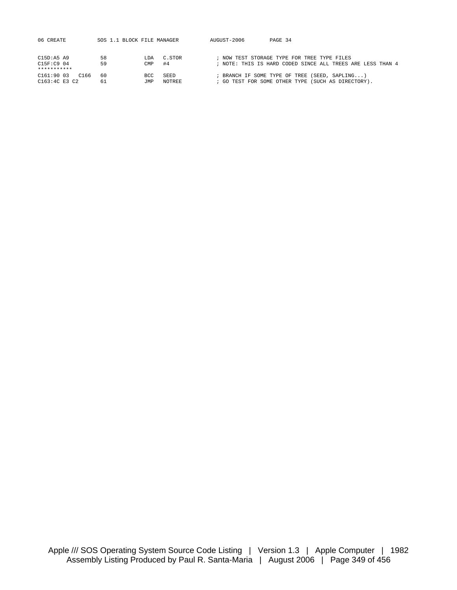| 06 CREATE          | SOS 1.1 BLOCK FILE MANAGER |      |        | AUGUST-2006 | PAGE 34                                                    |
|--------------------|----------------------------|------|--------|-------------|------------------------------------------------------------|
|                    |                            |      |        |             |                                                            |
|                    |                            |      |        |             |                                                            |
| $C15D:AB$ A9       | 58                         | T DA | C.STOR |             | ; NOW TEST STORAGE TYPE FOR TREE TYPE FILES                |
| C15F: C9 04        | 59                         | CMP  | #4     |             | ; NOTE: THIS IS HARD CODED SINCE ALL TREES ARE LESS THAN 4 |
| ***********        |                            |      |        |             |                                                            |
| C161:9003<br>C 166 | 60                         | BCC  | SEED   |             | ; BRANCH IF SOME TYPE OF TREE (SEED, SAPLING)              |
| C163:4C E3 C2      | 61                         | TMP. | NOTREE |             | ; GO TEST FOR SOME OTHER TYPE (SUCH AS DIRECTORY).         |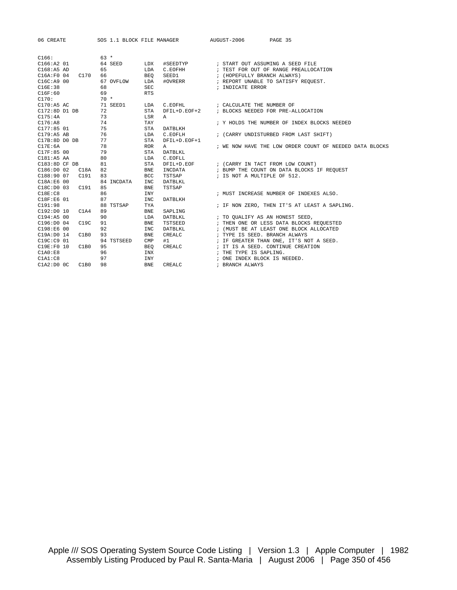| 06 CREATE                                                                                                                                                                                                                                    |                 | SOS 1.1 BLOCK FILE MANAGER AUGUST-2006 | PAGE 35                                                                                                                                     |
|----------------------------------------------------------------------------------------------------------------------------------------------------------------------------------------------------------------------------------------------|-----------------|----------------------------------------|---------------------------------------------------------------------------------------------------------------------------------------------|
|                                                                                                                                                                                                                                              |                 |                                        |                                                                                                                                             |
| C166:                                                                                                                                                                                                                                        | $63 *$          |                                        |                                                                                                                                             |
| C166:AA201                                                                                                                                                                                                                                   | 64 SEED         |                                        | LDX #SEEDTYP : START OUT ASSUMING A SEED FILE<br>LDA C.EOFHH : TEST FOR OUT OF RANGE PREALLOCATION<br>BEQ SEED1 : (HOPEFULLY BRANCH ALWAYS) |
| C168:ABAD                                                                                                                                                                                                                                    | 65              |                                        |                                                                                                                                             |
| C16A:F0 04 C170                                                                                                                                                                                                                              | 66              |                                        |                                                                                                                                             |
| C16C: A900                                                                                                                                                                                                                                   | 67 OVFLOW       |                                        | LDA #OVRERR : REPORT UNABLE TO SATISFY REQUEST.                                                                                             |
| C16E:38                                                                                                                                                                                                                                      | 68              | SEC                                    | ; INDICATE ERROR                                                                                                                            |
| C16F:60                                                                                                                                                                                                                                      | 69              | <b>RTS</b>                             |                                                                                                                                             |
| C170:                                                                                                                                                                                                                                        | $70*$           |                                        |                                                                                                                                             |
| $C170:A5$ AC                                                                                                                                                                                                                                 | 71 SEED1        | LDA                                    | C.EOFHL $\qquad$ ; CALCULATE THE NUMBER OF                                                                                                  |
| C172:8D D1 DB 72                                                                                                                                                                                                                             |                 | STA<br>DFIL+D.EOF+2                    | ; BLOCKS NEEDED FOR PRE-ALLOCATION                                                                                                          |
| C175:4A                                                                                                                                                                                                                                      | 73              | LSR<br>Α                               |                                                                                                                                             |
| C176:AB                                                                                                                                                                                                                                      | $\frac{73}{74}$ | TAY                                    | ; Y HOLDS THE NUMBER OF INDEX BLOCKS NEEDED                                                                                                 |
|                                                                                                                                                                                                                                              |                 | STA<br>DATBLKH                         |                                                                                                                                             |
|                                                                                                                                                                                                                                              |                 | LDA<br>$C$ . EOFLH                     | ; (CARRY UNDISTURBED FROM LAST SHIFT)                                                                                                       |
|                                                                                                                                                                                                                                              |                 | <b>STA</b><br>DFIL+D.EOF+1             |                                                                                                                                             |
| $\begin{array}{llll} \texttt{C177:85} & \texttt{01} & \texttt{75} \\ \texttt{C179:AB} & \texttt{AB} & \texttt{76} \\ \texttt{C17B:8D} & \texttt{D0} & \texttt{DB} & \texttt{77} \\ \texttt{C17E:6A} & \texttt{78} & \texttt{78} \end{array}$ |                 | <b>ROR</b><br>$\mathbf{A}$             | ; WE NOW HAVE THE LOW ORDER COUNT OF NEEDED DATA BLOCKS                                                                                     |
| C17F:85 00 79                                                                                                                                                                                                                                |                 | STA<br>DATBLKL                         |                                                                                                                                             |
| $C181:AB$ AA                                                                                                                                                                                                                                 | 80              | LDA<br>C.EOFLL                         |                                                                                                                                             |
| C183:8DCFDB                                                                                                                                                                                                                                  | 81              | <b>STA</b>                             | DFIL+D.EOF : (CARRY IN TACT FROM LOW COUNT)                                                                                                 |
| C186:DD002<br>C18A                                                                                                                                                                                                                           | 82              | <b>BNE</b><br>INCDATA                  | ; BUMP THE COUNT ON DATA BLOCKS IF REQUEST                                                                                                  |
| C188:90 07<br>C191                                                                                                                                                                                                                           | 83              | <b>BCC</b><br>TSTSAP                   | ; IS NOT A MULTIPLE OF 512.                                                                                                                 |
| C18A:E6 00                                                                                                                                                                                                                                   | 84 INCDATA      | <b>INC</b><br>DATBLKL                  |                                                                                                                                             |
| C18C: D0 03<br>C191                                                                                                                                                                                                                          | 85              | <b>BNE</b><br>TSTSAP                   |                                                                                                                                             |
| C18E: C8                                                                                                                                                                                                                                     | 86              | INY                                    | ; MUST INCREASE NUMBER OF INDEXES ALSO.                                                                                                     |
| C18F: E6 01                                                                                                                                                                                                                                  | 87              | <b>INC</b><br>DATBLKH                  |                                                                                                                                             |
| C191:98                                                                                                                                                                                                                                      | 88 TSTSAP       | TYA                                    | ; IF NON ZERO, THEN IT'S AT LEAST A SAPLING.                                                                                                |
| C192:D0I0<br>C1A4                                                                                                                                                                                                                            | 89              | <b>BNE</b><br>SAPLING                  |                                                                                                                                             |
| C194:A5 00                                                                                                                                                                                                                                   | 90              | DATBLKL<br>LDA                         | ; TO OUALIFY AS AN HONEST SEED,                                                                                                             |
| C196:DD004<br>C19C                                                                                                                                                                                                                           | 91              | TSTSEED<br><b>BNE</b>                  | ; THEN ONE OR LESS DATA BLOCKS REQUESTED                                                                                                    |
| C198:E6 00                                                                                                                                                                                                                                   | 92              | <b>INC</b><br><b>DATBLKL</b>           | ; (MUST BE AT LEAST ONE BLOCK ALLOCATED                                                                                                     |
| C19A:D0 14<br>C1B0                                                                                                                                                                                                                           | 93              | <b>BNE</b><br>CREALC                   | ; TYPE IS SEED. BRANCH ALWAYS                                                                                                               |
| C19C:C9 01                                                                                                                                                                                                                                   | 94 TSTSEED      | $\texttt{CMP}$<br>#1                   | ; IF GREATER THAN ONE, IT'S NOT A SEED.                                                                                                     |
| C19E:F0 10<br>C1B0                                                                                                                                                                                                                           | 95              | CREALC<br><b>BEO</b>                   | ; IT IS A SEED. CONTINUE CREATION                                                                                                           |
| C1A0:E8                                                                                                                                                                                                                                      | 96              | INX                                    | ; THE TYPE IS SAPLING.                                                                                                                      |
| C1A1:C8                                                                                                                                                                                                                                      | 97              | INY                                    | ; ONE INDEX BLOCK IS NEEDED.                                                                                                                |
| C1A2:DOOC<br>C1B0                                                                                                                                                                                                                            | 98              | ${\tt CREALC}$<br><b>BNE</b>           | ; BRANCH ALWAYS                                                                                                                             |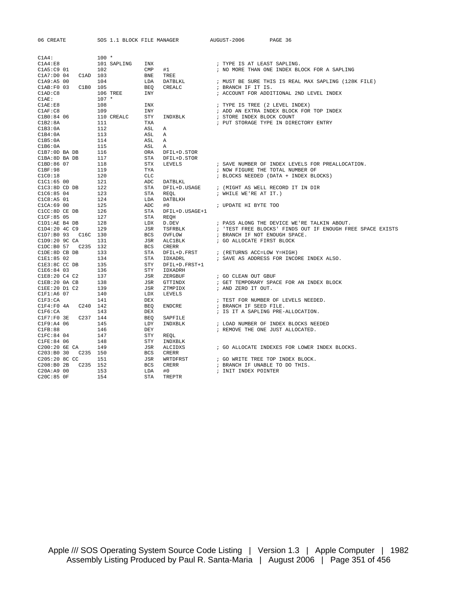| 06 CREATE                   |          | SOS 1.1 BLOCK FILE MANAGER |                             |                        | AUGUST-2006<br>PAGE 36                                     |
|-----------------------------|----------|----------------------------|-----------------------------|------------------------|------------------------------------------------------------|
|                             |          |                            |                             |                        |                                                            |
| C1A4:                       |          | $100 *$                    |                             |                        |                                                            |
| C1A4:E8                     |          | 101 SAPLING                | INX                         |                        | ; TYPE IS AT LEAST SAPLING.                                |
| C1A5:C9 01                  |          | 102                        | $\ensuremath{\mathrm{CMP}}$ | #1                     | ; NO MORE THAN ONE INDEX BLOCK FOR A SAPLING               |
| C1A7:D004                   | C1AD 103 |                            | <b>BNE</b>                  | TREE                   |                                                            |
| C1A9:B500                   |          | 104                        | LDA                         | DATBLKL                | ; MUST BE SURE THIS IS REAL MAX SAPLING (128K FILE)        |
| CLAB:FO 03                  | C1B0 105 |                            | <b>BEO</b>                  | CREALC                 | ; BRANCH IF IT IS.                                         |
| CLAD: C8                    |          | 106 TREE                   | INY                         |                        | ; ACCOUNT FOR ADDITIONAL 2ND LEVEL INDEX                   |
| $\texttt{C1AE}:$            |          | $107 *$                    |                             |                        |                                                            |
| CLAE: E8                    |          | 108                        | INX                         |                        | ; TYPE IS TREE (2 LEVEL INDEX)                             |
| CLAF: C8                    |          | 109                        | <b>INY</b>                  |                        | ; ADD AN EXTRA INDEX BLOCK FOR TOP INDEX                   |
| C1B0:84 06                  |          | 110 CREALC                 | STY                         | INDXBLK                | ; STORE INDEX BLOCK COUNT                                  |
| C1B2:8A                     |          | 111                        | TXA                         |                        | ; PUT STORAGE TYPE IN DIRECTORY ENTRY                      |
| C1B3:0A                     |          | 112                        | ASL                         | Α                      |                                                            |
| C1B4:0A                     |          | 113                        | ASL                         | Α                      |                                                            |
| C1B5:0A                     |          | 114                        | ASL                         | Α                      |                                                            |
| C1B6:0A                     |          | 115                        | ASL                         | Α                      |                                                            |
| C1B7:0D BA DB               |          | 116                        | ORA                         | DFIL+D.STOR            |                                                            |
| C1BA: 8D BA DB              |          | 117                        | <b>STA</b>                  | DFIL+D.STOR            |                                                            |
| C1BD:86 07                  |          | 118                        | STX                         | LEVELS                 | ; SAVE NUMBER OF INDEX LEVELS FOR PREALLOCATION.           |
| C1BF:98                     |          | 119                        | TYA                         |                        | ; NOW FIGURE THE TOTAL NUMBER OF                           |
| C1C0:18                     |          | 120                        | CLC                         |                        | ; BLOCKS NEEDED (DATA + INDEX BLOCKS)                      |
| ClC1:6500                   |          | 121                        | ADC                         | DATBLKL                |                                                            |
| $C1C3:8D$ $CD$ $DB$         |          | 122                        | <b>STA</b>                  | DFIL+D.USAGE           | ; (MIGHT AS WELL RECORD IT IN DIR                          |
| C1C6:8504                   |          | 123                        | STA                         | REOL                   | ; WHILE WE'RE AT IT.)                                      |
| C1C8:A5 01                  |          | 124                        | LDA                         | DATBLKH                |                                                            |
| $CLCA:69$ 00                |          | 125                        | ADC                         | #0                     | ; UPDATE HI BYTE TOO                                       |
| C1CC:8D CE DB               |          | 126                        | <b>STA</b>                  | DFIL+D.USAGE+1         |                                                            |
| CLCF:8505                   |          | 127                        | STA                         | REOH                   |                                                            |
| C1D1:AE B4 DB               |          | 128                        | LDX                         | D.DEV                  | ; PASS ALONG THE DEVICE WE'RE TALKIN ABOUT.                |
| C1D4:20 4C C9               |          | 129                        | JSR                         | TSFRBLK                | ; 'TEST FREE BLOCKS' FINDS OUT IF ENOUGH FREE SPACE EXISTS |
| C1D7:B0 93 C16C 130         |          |                            | <b>BCS</b>                  | OVFLOW                 | ; BRANCH IF NOT ENOUGH SPACE.                              |
| C1D9:20 9C CA<br>C1DC:B0 57 | C235 132 | 131                        | JSR<br><b>BCS</b>           | ALC1BLK<br>CRERR       | ; GO ALLOCATE FIRST BLOCK                                  |
| C1DE:8D CB DB               |          |                            | <b>STA</b>                  |                        |                                                            |
| C1E1:85 02                  |          | 133<br>134                 | <b>STA</b>                  | DFIL+D.FRST<br>IDXADRL | ; (RETURNS ACC=LOW Y=HIGH)                                 |
| C1E3:8C CC DB               |          | 135                        | <b>STY</b>                  | DFIL+D.FRST+1          | ; SAVE AS ADDRESS FOR INCORE INDEX ALSO.                   |
| $C1E6:84$ 03                |          | 136                        | STY                         | IDXADRH                |                                                            |
| C1E8:20 C4 C2               |          | 137                        | JSR                         | ZERGBUF                | ; GO CLEAN OUT GBUF                                        |
| C1EB:20 OA CB               |          | 138                        | JSR                         | GTTINDX                | ; GET TEMPORARY SPACE FOR AN INDEX BLOCK                   |
| C1EE:20 D1 C2               |          | 139                        | <b>JSR</b>                  | ZTMPIDX                | ; AND ZERO IT OUT.                                         |
| $ClF1:AG$ 07                |          | 140                        | LDX                         | LEVELS                 |                                                            |
| C1F3:CA                     |          | 141                        | DEX                         |                        | ; TEST FOR NUMBER OF LEVELS NEEDED.                        |
| CIF4:FO 4A  C240            | 142      |                            | <b>BEO</b>                  | ENDCRE                 | ; BRANCH IF SEED FILE.                                     |
| C1F6:CA                     |          | 143                        | DEX                         |                        | ; IS IT A SAPLING PRE-ALLOCATION.                          |
| CLF7:FO 3E                  | C237 144 |                            | <b>BEQ</b>                  | SAPFILE                |                                                            |
| $C1F9:A4$ 06                |          | 145                        | LDY                         | INDXBLK                | ; LOAD NUMBER OF INDEX BLOCKS NEEDED                       |
| C1FB:88                     |          | 146                        | DEY                         |                        | ; REMOVE THE ONE JUST ALLOCATED.                           |
| C1FC:84 04                  |          | 147                        | <b>STY</b>                  | REQL                   |                                                            |
| C1FE:84 06                  |          | 148                        | STY                         | INDXBLK                |                                                            |
| C200:20 6E CA               |          | 149                        | JSR                         | ALCIDXS                | ; GO ALLOCATE INDEXES FOR LOWER INDEX BLOCKS.              |
| C203:B0 30                  | C235 150 |                            | <b>BCS</b>                  | <b>CRERR</b>           |                                                            |
| C205:20 8C CC               |          | 151                        | JSR                         | WRTDFRST               | ; GO WRITE TREE TOP INDEX BLOCK.                           |
| C208:B0 2B                  | C235 152 |                            | <b>BCS</b>                  | CRERR                  | ; BRANCH IF UNABLE TO DO THIS.                             |
| C20A: A9 00                 |          | 153                        | LDA                         | #0                     | ; INIT INDEX POINTER                                       |
| C20C:85 OF                  |          | 154                        | <b>STA</b>                  | <b>TREPTR</b>          |                                                            |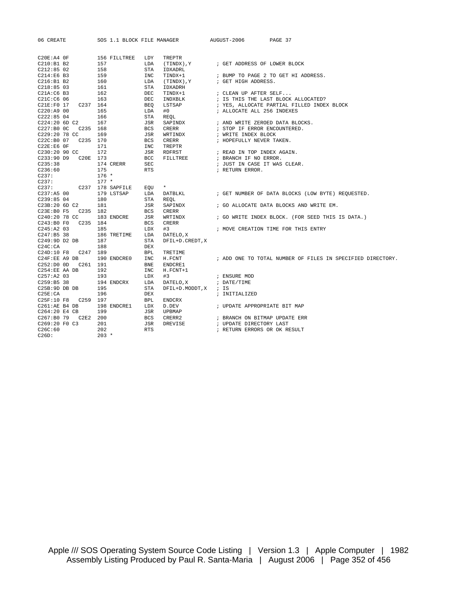| 06 CREATE                | SOS 1.1 BLOCK FILE MANAGER |            |                       | AUGUST-2006                     | PAGE 37                                                    |
|--------------------------|----------------------------|------------|-----------------------|---------------------------------|------------------------------------------------------------|
|                          |                            |            |                       |                                 |                                                            |
| $C20E:A4$ OF             | 156 FILLTREE               | LDY        | TREPTR                |                                 |                                                            |
| C210:B1B2                | 157                        | LDA        | (TINDX), Y            | ; GET ADDRESS OF LOWER BLOCK    |                                                            |
| C212:8502                | 158                        | STA        | IDXADRL               |                                 |                                                            |
| C214:E6 B3               | 159                        | INC        | TINDX+1               |                                 | ; BUMP TO PAGE 2 TO GET HI ADDRESS.                        |
| C216:B1 B2               | 160                        | LDA        | (TINDX), Y            | ; GET HIGH ADDRESS.             |                                                            |
| C218:8503                | 161                        | <b>STA</b> | IDXADRH               |                                 |                                                            |
| C21A:C6 B3               | 162                        | DEC        | TINDX+1               | ; CLEAN UP AFTER SELF           |                                                            |
| C21C:C6 06               | 163                        | <b>DEC</b> | INDXBLK               |                                 | ; IS THIS THE LAST BLOCK ALLOCATED?                        |
| C21E:F0 17<br>C237 164   |                            | BEQ        | LSTSAP                |                                 | ; YES, ALLOCATE PARTIAL FILLED INDEX BLOCK                 |
| C220: A900               | 165                        | LDA        | #0                    | ; ALLOCATE ALL 256 INDEXES      |                                                            |
| C222:8504                | 166                        | STA        | REOL                  |                                 |                                                            |
| C224:20 6D C2            | 167                        | JSR        | SAPINDX               | ; AND WRITE ZEROED DATA BLOCKS. |                                                            |
| C227:B0C<br>C235 168     |                            | <b>BCS</b> | CRERR                 | ; STOP IF ERROR ENCOUNTERED.    |                                                            |
| C229:20 78 CC            | 169                        | JSR        | WRTINDX               | ; WRITE INDEX BLOCK             |                                                            |
| $C22C:BO$ 07<br>C235 170 |                            | <b>BCS</b> | CRERR                 | ; HOPEFULLY NEVER TAKEN.        |                                                            |
| C22E:E6 OF               | 171                        | INC        | TREPTR                |                                 |                                                            |
| C230:20 90 CC            | 172                        | JSR        | RDFRST                | ; READ IN TOP INDEX AGAIN.      |                                                            |
| C233:90 D9 C20E 173      |                            | BCC        | <b>FILLTREE</b>       | ; BRANCH IF NO ERROR.           |                                                            |
| C235:38                  | 174 CRERR                  | SEC        |                       | ; JUST IN CASE IT WAS CLEAR.    |                                                            |
| C236:60                  | 175                        | <b>RTS</b> |                       | ; RETURN ERROR.                 |                                                            |
| C237:                    | $176 *$                    |            |                       |                                 |                                                            |
| C237:                    | $177 *$                    |            |                       |                                 |                                                            |
| C237: C237 178 SAPFILE   |                            | EOU        | $\star$               |                                 |                                                            |
| C237:AB00                | 179 LSTSAP                 | LDA        | DATBLKL               |                                 | ; GET NUMBER OF DATA BLOCKS (LOW BYTE) REOUESTED.          |
| C239:8504                | 180                        | <b>STA</b> | REOL                  |                                 |                                                            |
| C23B:20 6D C2            | 181                        | JSR        | SAPINDX               |                                 | ; GO ALLOCATE DATA BLOCKS AND WRITE EM.                    |
| C23E:B0 F5 C235 182      |                            | <b>BCS</b> | CRERR                 |                                 |                                                            |
| C240:20 78 CC            | 183 ENDCRE                 | JSR        | WRTINDX               |                                 | ; GO WRITE INDEX BLOCK. (FOR SEED THIS IS DATA.)           |
| C243:B0 F0<br>C235 184   |                            | <b>BCS</b> | CRERR                 |                                 |                                                            |
| $C245:A2$ 03             | 185                        | LDX        | #3                    |                                 | ; MOVE CREATION TIME FOR THIS ENTRY                        |
| C247:B5 38               | 186 TRETIME                | LDA        | DATELO, X             |                                 |                                                            |
| C249:9D D2 DB            | 187                        | STA        | DFIL+D.CREDT, X       |                                 |                                                            |
| $C24C$ : CA              | 188                        | DEX        |                       |                                 |                                                            |
| C24D:10 F8 C247 189      |                            | <b>BPL</b> | TRETIME               |                                 |                                                            |
| C24F:EE A9 DB            | 190 ENDCREO                | INC        | H.FCNT                |                                 | ; ADD ONE TO TOTAL NUMBER OF FILES IN SPECIFIED DIRECTORY. |
| $C252:DD$ OD<br>C261 191 |                            | <b>BNE</b> | ENDCRE1               |                                 |                                                            |
| C254:EE AA DB            | 192                        | INC        | $H.FCNT+1$            |                                 |                                                            |
| C257:AA203               | 193                        | LDX        | #3                    | ; ENSURE MOD                    |                                                            |
| C259:B5 38               | 194 ENDCRX                 | LDA        | DATELO, X             | ; DATE/TIME                     |                                                            |
| C25B:9D DB DB            | 195                        | STA        | DFIL+D. MODDT, X ; IS |                                 |                                                            |
| C25E:CA                  | 196                        | DEX        |                       | ; INITIALIZED                   |                                                            |
| C25F:10 F8 C259 197      |                            | <b>BPL</b> | ENDCRX                |                                 |                                                            |
| C261:AE B4 DB            | 198 ENDCRE1                | LDX        | D.DEV                 | ; UPDATE APPROPRIATE BIT MAP    |                                                            |
| C264:20 E4 CB            | 199                        | JSR        | UPBMAP                |                                 |                                                            |
| C267:B0 79 C2E2 200      |                            | <b>BCS</b> | CRERR2                | ; BRANCH ON BITMAP UPDATE ERR   |                                                            |
| C269:20 F0 C3            | 201                        | JSR        | DREVISE               | ; UPDATE DIRECTORY LAST         |                                                            |
| C26C:60                  | 202                        | <b>RTS</b> |                       | ; RETURN ERRORS OR OK RESULT    |                                                            |
| C26D:                    | $203 *$                    |            |                       |                                 |                                                            |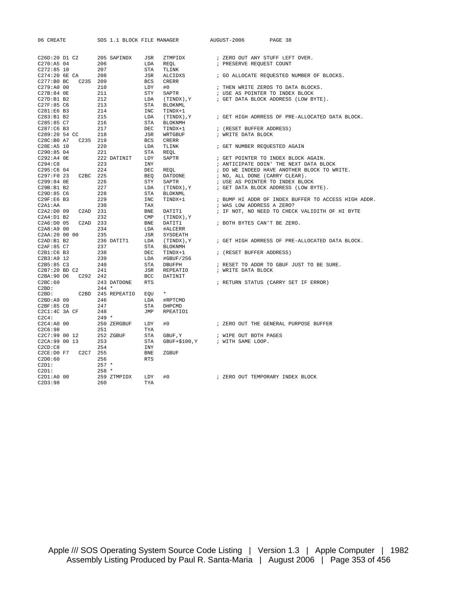| 06 CREATE                                                                                                                                                                    |                 |                   |       | SOS 1.1 BLOCK FILE MANAGER AUGUST-2006 PAGE 38                                                                                                                                                                               |
|------------------------------------------------------------------------------------------------------------------------------------------------------------------------------|-----------------|-------------------|-------|------------------------------------------------------------------------------------------------------------------------------------------------------------------------------------------------------------------------------|
|                                                                                                                                                                              |                 |                   |       |                                                                                                                                                                                                                              |
|                                                                                                                                                                              |                 |                   |       | C-201-130 10 (231 - 1200 - 1200 - 1200 - 1200 - 1200 - 1200 - 1200 - 1200 - 1200 - 1200 - 1200 - 1200 - 1200 - 1200 - 1200 - 1200 - 1200 - 1200 - 1200 - 1200 - 1200 - 1200 - 1200 - 1200 - 1200 - 1200 - 1200 - 1200 - 1200 |
|                                                                                                                                                                              |                 |                   |       |                                                                                                                                                                                                                              |
|                                                                                                                                                                              |                 |                   |       |                                                                                                                                                                                                                              |
|                                                                                                                                                                              |                 |                   |       |                                                                                                                                                                                                                              |
|                                                                                                                                                                              |                 |                   |       |                                                                                                                                                                                                                              |
|                                                                                                                                                                              |                 |                   |       |                                                                                                                                                                                                                              |
|                                                                                                                                                                              |                 |                   |       |                                                                                                                                                                                                                              |
|                                                                                                                                                                              |                 |                   |       |                                                                                                                                                                                                                              |
|                                                                                                                                                                              |                 |                   |       |                                                                                                                                                                                                                              |
|                                                                                                                                                                              |                 |                   |       |                                                                                                                                                                                                                              |
|                                                                                                                                                                              |                 |                   |       |                                                                                                                                                                                                                              |
|                                                                                                                                                                              |                 |                   |       |                                                                                                                                                                                                                              |
|                                                                                                                                                                              |                 |                   |       |                                                                                                                                                                                                                              |
|                                                                                                                                                                              |                 |                   |       |                                                                                                                                                                                                                              |
|                                                                                                                                                                              |                 |                   |       |                                                                                                                                                                                                                              |
|                                                                                                                                                                              |                 |                   |       |                                                                                                                                                                                                                              |
|                                                                                                                                                                              |                 |                   |       |                                                                                                                                                                                                                              |
|                                                                                                                                                                              |                 |                   |       |                                                                                                                                                                                                                              |
|                                                                                                                                                                              |                 |                   |       |                                                                                                                                                                                                                              |
|                                                                                                                                                                              |                 |                   |       |                                                                                                                                                                                                                              |
|                                                                                                                                                                              |                 |                   |       |                                                                                                                                                                                                                              |
|                                                                                                                                                                              |                 |                   |       |                                                                                                                                                                                                                              |
|                                                                                                                                                                              |                 |                   |       |                                                                                                                                                                                                                              |
|                                                                                                                                                                              |                 |                   |       |                                                                                                                                                                                                                              |
|                                                                                                                                                                              |                 |                   |       | TINDX+1 $\cdot$ BUMP HI ADDR OF INDEX BUFFER TO ACCESS HIGH ADDR.                                                                                                                                                            |
|                                                                                                                                                                              |                 |                   |       |                                                                                                                                                                                                                              |
|                                                                                                                                                                              |                 |                   |       |                                                                                                                                                                                                                              |
|                                                                                                                                                                              |                 |                   |       |                                                                                                                                                                                                                              |
|                                                                                                                                                                              |                 |                   |       |                                                                                                                                                                                                                              |
|                                                                                                                                                                              |                 |                   |       |                                                                                                                                                                                                                              |
|                                                                                                                                                                              |                 |                   |       |                                                                                                                                                                                                                              |
|                                                                                                                                                                              |                 |                   |       |                                                                                                                                                                                                                              |
|                                                                                                                                                                              |                 |                   |       |                                                                                                                                                                                                                              |
|                                                                                                                                                                              |                 |                   |       |                                                                                                                                                                                                                              |
|                                                                                                                                                                              |                 |                   |       |                                                                                                                                                                                                                              |
|                                                                                                                                                                              |                 |                   |       |                                                                                                                                                                                                                              |
|                                                                                                                                                                              |                 |                   |       |                                                                                                                                                                                                                              |
|                                                                                                                                                                              |                 |                   |       |                                                                                                                                                                                                                              |
| C2BC:60 243 DATDONE RTS<br>C2BD: 244 *<br>C2BD: C2BD 245 REPEATIO EQU *                                                                                                      |                 |                   |       | ; RETURN STATUS (CARRY SET IF ERROR)                                                                                                                                                                                         |
|                                                                                                                                                                              |                 |                   |       |                                                                                                                                                                                                                              |
|                                                                                                                                                                              |                 |                   |       |                                                                                                                                                                                                                              |
|                                                                                                                                                                              |                 |                   |       |                                                                                                                                                                                                                              |
|                                                                                                                                                                              |                 |                   |       |                                                                                                                                                                                                                              |
|                                                                                                                                                                              |                 |                   |       |                                                                                                                                                                                                                              |
|                                                                                                                                                                              |                 |                   |       |                                                                                                                                                                                                                              |
|                                                                                                                                                                              |                 |                   |       | #0 $\qquad$ ; ZERO OUT THE GENERAL PURPOSE BUFFER                                                                                                                                                                            |
|                                                                                                                                                                              |                 |                   |       |                                                                                                                                                                                                                              |
|                                                                                                                                                                              |                 |                   |       |                                                                                                                                                                                                                              |
|                                                                                                                                                                              |                 |                   |       |                                                                                                                                                                                                                              |
|                                                                                                                                                                              |                 | INY<br>INY<br>BNE |       |                                                                                                                                                                                                                              |
| C2CE:DO F7  C2C7 255                                                                                                                                                         |                 |                   | ZGBUF |                                                                                                                                                                                                                              |
| $\begin{tabular}{llllll} $\texttt{C2D0:60}$ & & $\texttt{256}$ \\ $\texttt{C2D1}:$ & & $\texttt{257}$~\star$ \\ $\texttt{C2D1}:$ & & $\texttt{258}$~\star$ \\ \end{tabular}$ |                 | <b>RTS</b>        |       |                                                                                                                                                                                                                              |
|                                                                                                                                                                              |                 |                   |       |                                                                                                                                                                                                                              |
|                                                                                                                                                                              |                 |                   |       |                                                                                                                                                                                                                              |
| C2D1:A0 00<br>C2D3:98                                                                                                                                                        | 259 ZTMPIDX LDY |                   |       |                                                                                                                                                                                                                              |
|                                                                                                                                                                              | 260             | TYA               |       |                                                                                                                                                                                                                              |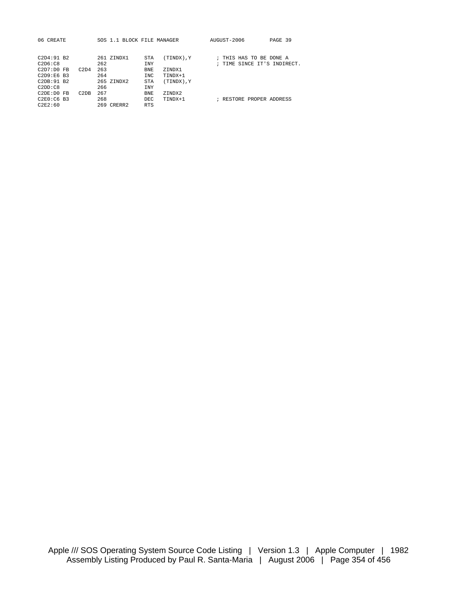| 06 CREATE    |      | SOS 1.1 BLOCK FILE MANAGER |            |            | AUGUST-2006                 | PAGE 39 |
|--------------|------|----------------------------|------------|------------|-----------------------------|---------|
|              |      |                            |            |            |                             |         |
|              |      |                            |            |            |                             |         |
| C2D4:91B2    |      | 261 ZINDX1                 | <b>STA</b> | Y. (XCNIT) | ; THIS HAS TO BE DONE A     |         |
| C2D6:CB      |      | 262                        | <b>TNY</b> |            | ; TIME SINCE IT'S INDIRECT. |         |
| $C2D7:D0$ FB | C2D4 | 263                        | <b>BNE</b> | ZINDX1     |                             |         |
| $C2D9:EG$ B3 |      | 264                        | TNC.       | TINDX+1    |                             |         |
| C2DB:91B2    |      | 265 ZINDX2                 | <b>STA</b> | (TINDX), Y |                             |         |
| C2DD:CB      |      | 266                        | <b>INY</b> |            |                             |         |
| $C2DF:D0$ FB | C2DB | 267                        | BNE.       | ZINDX2     |                             |         |
| $C2E0:CG$ B3 |      | 268                        | DEC.       | TINDX+1    | ; RESTORE PROPER ADDRESS    |         |
| C2E2:60      |      | 269 CRERR2                 | <b>RTS</b> |            |                             |         |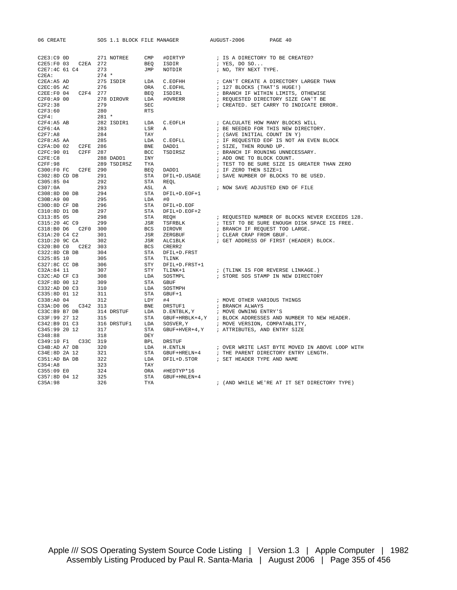| 06 CREATE                                                           | SOS 1.1 BLOCK FILE MANAGER |     | AUGUST-2006 PAGE 40                                                                                                                                                                                                                          |
|---------------------------------------------------------------------|----------------------------|-----|----------------------------------------------------------------------------------------------------------------------------------------------------------------------------------------------------------------------------------------------|
|                                                                     |                            |     |                                                                                                                                                                                                                                              |
|                                                                     |                            |     |                                                                                                                                                                                                                                              |
|                                                                     |                            |     |                                                                                                                                                                                                                                              |
|                                                                     |                            |     |                                                                                                                                                                                                                                              |
|                                                                     |                            |     |                                                                                                                                                                                                                                              |
|                                                                     |                            |     |                                                                                                                                                                                                                                              |
|                                                                     |                            |     |                                                                                                                                                                                                                                              |
|                                                                     |                            |     |                                                                                                                                                                                                                                              |
|                                                                     |                            |     |                                                                                                                                                                                                                                              |
|                                                                     |                            |     |                                                                                                                                                                                                                                              |
|                                                                     |                            |     |                                                                                                                                                                                                                                              |
|                                                                     |                            |     |                                                                                                                                                                                                                                              |
|                                                                     |                            |     |                                                                                                                                                                                                                                              |
|                                                                     |                            |     |                                                                                                                                                                                                                                              |
|                                                                     |                            |     |                                                                                                                                                                                                                                              |
|                                                                     |                            |     |                                                                                                                                                                                                                                              |
|                                                                     |                            |     |                                                                                                                                                                                                                                              |
|                                                                     |                            |     |                                                                                                                                                                                                                                              |
|                                                                     |                            |     |                                                                                                                                                                                                                                              |
|                                                                     |                            |     |                                                                                                                                                                                                                                              |
|                                                                     |                            |     |                                                                                                                                                                                                                                              |
|                                                                     |                            |     |                                                                                                                                                                                                                                              |
|                                                                     |                            |     |                                                                                                                                                                                                                                              |
|                                                                     |                            |     |                                                                                                                                                                                                                                              |
|                                                                     |                            |     |                                                                                                                                                                                                                                              |
|                                                                     |                            |     |                                                                                                                                                                                                                                              |
|                                                                     |                            |     |                                                                                                                                                                                                                                              |
|                                                                     |                            |     |                                                                                                                                                                                                                                              |
|                                                                     |                            |     |                                                                                                                                                                                                                                              |
|                                                                     |                            |     |                                                                                                                                                                                                                                              |
|                                                                     |                            |     |                                                                                                                                                                                                                                              |
|                                                                     |                            |     |                                                                                                                                                                                                                                              |
|                                                                     |                            |     |                                                                                                                                                                                                                                              |
|                                                                     |                            |     |                                                                                                                                                                                                                                              |
|                                                                     |                            |     |                                                                                                                                                                                                                                              |
|                                                                     |                            |     |                                                                                                                                                                                                                                              |
|                                                                     |                            |     |                                                                                                                                                                                                                                              |
|                                                                     |                            |     |                                                                                                                                                                                                                                              |
|                                                                     |                            |     |                                                                                                                                                                                                                                              |
|                                                                     |                            |     |                                                                                                                                                                                                                                              |
|                                                                     |                            |     |                                                                                                                                                                                                                                              |
|                                                                     |                            |     |                                                                                                                                                                                                                                              |
|                                                                     |                            |     |                                                                                                                                                                                                                                              |
|                                                                     |                            |     |                                                                                                                                                                                                                                              |
|                                                                     |                            |     |                                                                                                                                                                                                                                              |
|                                                                     |                            |     |                                                                                                                                                                                                                                              |
|                                                                     |                            |     |                                                                                                                                                                                                                                              |
|                                                                     |                            |     |                                                                                                                                                                                                                                              |
| C348:88                                                             | 318                        | DEY |                                                                                                                                                                                                                                              |
| C349:10 F1 C33C 319                                                 |                            |     |                                                                                                                                                                                                                                              |
| C34B:AD A7 DB 320                                                   |                            |     |                                                                                                                                                                                                                                              |
|                                                                     |                            |     |                                                                                                                                                                                                                                              |
|                                                                     |                            |     |                                                                                                                                                                                                                                              |
| C34E:8D 2A 12<br>C351:AD BA DB 322<br>C354:A8 323<br>C355:09 E0 324 |                            |     | BPL DRSTUF<br>IDA H.ENTLN ; OVER WRITE LAST BYTE MOVED IN ABOVE LOOP WITH<br>STA GBUF+HRELN+4 ; THE PARENT DIRECTORY ENTRY LENGTH.<br>LDA DFIL+D.STOR ; SET HEADER TYPE AND NAME<br>TAY<br>ORA #HEDTYP*16<br>STA GBUF+HNLEN+4<br>: (AND WHIL |
|                                                                     |                            |     |                                                                                                                                                                                                                                              |
| C357:8D 04 12                                                       | 325                        |     |                                                                                                                                                                                                                                              |
| C35A:98                                                             | 326                        |     |                                                                                                                                                                                                                                              |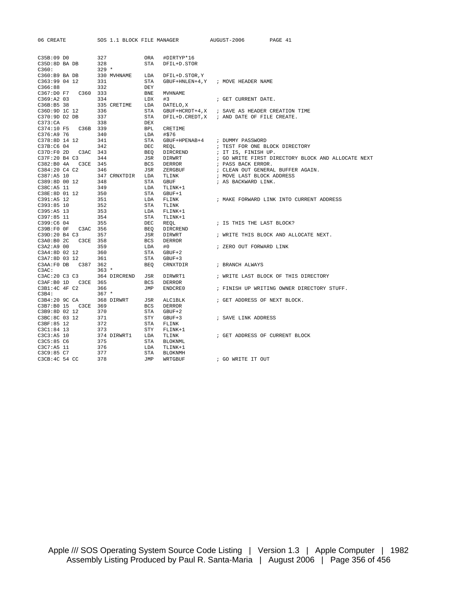| 06 CREATE           |              | SOS 1.1 BLOCK FILE MANAGER   | AUGUST-2006<br>PAGE 41                             |
|---------------------|--------------|------------------------------|----------------------------------------------------|
|                     |              |                              |                                                    |
| C35B:09 D0          | 327          | ORA<br>#DIRTYP*16            |                                                    |
| C35D:8D BA DB       | 328          | <b>STA</b><br>DFIL+D. STOR   |                                                    |
| C360:               | $329 *$      |                              |                                                    |
| C360:B9 BA DB       | 330 MVHNAME  | LDA<br>DFIL+D.STOR, Y        |                                                    |
| C363:99 04 12       | 331          | STA                          | GBUF+HNLEN+4, Y ; MOVE HEADER NAME                 |
| C366:88             | 332          | DEY                          |                                                    |
| C367:D0 F7 C360 333 |              | BNE<br><b>MVHNAME</b>        |                                                    |
| C369:AA203          | 334          | LDX<br>#3                    | ; GET CURRENT DATE.                                |
| C36B:B5 38          | 335 CRETIME  | LDA<br>DATELO, X             |                                                    |
| C36D:9D 1C 12       | 336          | STA                          | GBUF+HCRDT+4, X ; SAVE AS HEADER CREATION TIME     |
| C370:9D D2 DB       | 337          | STA                          | DFIL+D. CREDT, X ; AND DATE OF FILE CREATE.        |
| C373:CA             | 338          | DEX                          |                                                    |
| C374:10 F5 C36B 339 |              | <b>BPL</b><br>CRETIME        |                                                    |
| C376:A9 76          | 340          | LDA<br>#\$76                 |                                                    |
| C378:8D 14 12       | 341          | STA<br>GBUF+HPENAB+4         | ; DUMMY PASSWORD                                   |
| C37B:C6 04          | 342          | DEC<br>REOL                  | ; TEST FOR ONE BLOCK DIRECTORY                     |
| C37D:F0 2D C3AC 343 |              | BEQ<br>DIRCREND              | ; IT IS, FINISH UP.                                |
| C37F:20 B4 C3       | 344          | JSR<br>DIRWRT                | ; GO WRITE FIRST DIRECTORY BLOCK AND ALLOCATE NEXT |
| C382:B0 4A C3CE 345 |              | BCS<br>DERROR                | ; PASS BACK ERROR.                                 |
| C384:20 C4 C2       | 346          | JSR<br>ZERGBUF               | ; CLEAN OUT GENERAL BUFFER AGAIN.                  |
| C387:A5 10          | 347 CRNXTDIR | LDA<br>TLINK                 | ; MOVE LAST BLOCK ADDRESS                          |
| C389:8D 00 12       | 348          | STA<br>GBUF                  | ; AS BACKWARD LINK.                                |
| C38C:A5 11          | 349          | LDA<br>TLINK+1               |                                                    |
| C38E:8D 01 12       | 350          | STA<br>GBUF+1                |                                                    |
| C391:A5 12          | 351          | LDA<br>FLINK                 | ; MAKE FORWARD LINK INTO CURRENT ADDRESS           |
| $C393:85$ 10        | 352          | STA<br>TLINK                 |                                                    |
| $C395:A5$ 13        | 353          | LDA<br>FLINK+1               |                                                    |
| $C397:85$ 11        | 354          | STA<br>TLINK+1               |                                                    |
| C399:C6 04          | 355          | DEC<br>REOL                  | ; IS THIS THE LAST BLOCK?                          |
| C39B:F0 0F C3AC 356 |              | BEO<br>DIRCREND              |                                                    |
| C39D:20 B4 C3       | 357          | JSR<br>DIRWRT                | ; WRITE THIS BLOCK AND ALLOCATE NEXT.              |
| C3A0:B0 2C C3CE 358 |              | <b>BCS</b><br>DERROR         |                                                    |
| $C3A2:A9$ 00        | 359          | LDA<br>#0                    | ; ZERO OUT FORWARD LINK                            |
| C3A4:8D 02 12       | 360          | STA<br>$GBUF+2$              |                                                    |
| C3A7:8D 03 12       | 361          | STA<br>$GBUF+3$              |                                                    |
|                     |              | BEO<br>CRNXTDIR              | ; BRANCH ALWAYS                                    |
| C3AC:               | $363 *$      |                              |                                                    |
| C3AC:20 C3 C3       | 364 DIRCREND | JSR<br>DIRWRT1               | ; WRITE LAST BLOCK OF THIS DIRECTORY               |
| C3AF:B0 1D C3CE 365 |              | <b>BCS</b><br>DERROR         |                                                    |
| C3B1:4C 4F C2       | 366          | JMP<br>ENDCRE0               | ; FINISH UP WRITING OWNER DIRECTORY STUFF.         |
| C3B4:               | $367 *$      |                              |                                                    |
| C3B4:20 9C CA       | 368 DIRWRT   | JSR<br>ALC1BLK               | ; GET ADDRESS OF NEXT BLOCK.                       |
| C3B7:B0 15 C3CE 369 |              | <b>BCS</b><br>DERROR         |                                                    |
| C3B9:8D 02 12       | 370          | STA<br>$GBUF+2$              |                                                    |
| C3BC:8C 03 12       | 371          | STY<br>$GBUF+3$              | ; SAVE LINK ADDRESS                                |
| C3BF:85 12          | 372          | STA<br>FLINK                 |                                                    |
| C3C1:84 13          | 373          | STY<br>$FLINK+1$             |                                                    |
| C3C3:AB 10          | 374 DIRWRT1  | LDA<br>TLINK                 | ; GET ADDRESS OF CURRENT BLOCK                     |
| C3C5:85 C6          | 375          | <b>STA</b><br><b>BLOKNML</b> |                                                    |
| C3C7:A5 11          | 376          | LDA<br>TLINK+1               |                                                    |
| C3C9:85 C7          | 377          | STA<br><b>BLOKNMH</b>        |                                                    |
| C3CB: 4C 54 CC      | 378          | JMP<br>WRTGBUF               | ; GO WRITE IT OUT                                  |
|                     |              |                              |                                                    |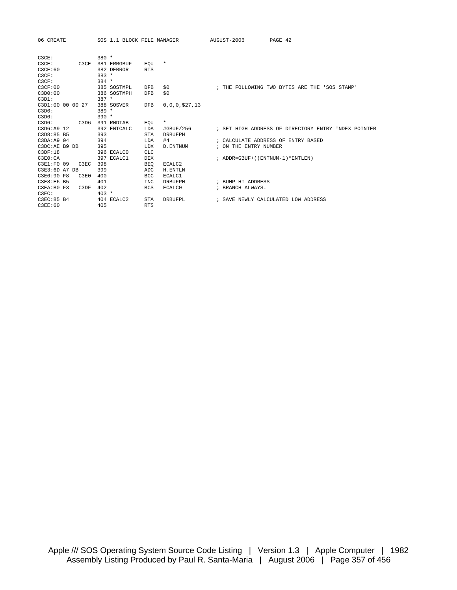| 06 CREATE        |                               | SOS 1.1 BLOCK FILE MANAGER |            |                    | AUGUST-2006           | PAGE 42                                             |
|------------------|-------------------------------|----------------------------|------------|--------------------|-----------------------|-----------------------------------------------------|
| C3CE:            |                               | $380 *$                    |            |                    |                       |                                                     |
| C3CE:            | C3CE                          | 381 ERRGBUF                | EOU        | $^\star$           |                       |                                                     |
| C3CE:60          |                               | 382 DERROR                 | <b>RTS</b> |                    |                       |                                                     |
| C3CF:            |                               | $383 *$                    |            |                    |                       |                                                     |
| C3CF:            |                               | $384 *$                    |            |                    |                       |                                                     |
| C3CF:00          |                               | 385 SOSTMPL                | <b>DFB</b> | \$0                |                       | ; THE FOLLOWING TWO BYTES ARE THE 'SOS STAMP'       |
| C3D0:00          |                               | 386 SOSTMPH                | <b>DFB</b> | \$0                |                       |                                                     |
| C3D1:            |                               | $387 *$                    |            |                    |                       |                                                     |
| C3D1:00 00 00 27 |                               | 388 SOSVER                 | <b>DFB</b> | 0, 0, 0, 0, 27, 13 |                       |                                                     |
| C3D6:            |                               | $389 *$                    |            |                    |                       |                                                     |
| C3D6:            |                               | $390 *$                    |            |                    |                       |                                                     |
| C3D6:            | C <sub>3</sub> D <sub>6</sub> | 391 RNDTAB                 | EOU        | $^\star$           |                       |                                                     |
| C3D6:A9 12       |                               | 392 ENTCALC                | LDA        | #GBUF/256          |                       | ; SET HIGH ADDRESS OF DIRECTORY ENTRY INDEX POINTER |
| C3D8:85 B5       |                               | 393                        | <b>STA</b> | <b>DRBUFPH</b>     |                       |                                                     |
| C3DA: A9 04      |                               | 394                        | LDA        | #4                 |                       | ; CALCULATE ADDRESS OF ENTRY BASED                  |
| C3DC:AE B9 DB    |                               | 395                        | LDX        | D. ENTNUM          | ; ON THE ENTRY NUMBER |                                                     |
| C3DF:18          |                               | 396 ECALCO                 | <b>CLC</b> |                    |                       |                                                     |
| C3E0:CA          |                               | 397 ECALC1                 | DEX        |                    |                       | ; ADDR=GBUF+((ENTNUM-1)*ENTLEN)                     |
| C3E1:F0 09       | C3EC                          | 398                        | <b>BEO</b> | ECALC2             |                       |                                                     |
| C3E3:6D A7 DB    |                               | 399                        | ADC        | H. ENTLN           |                       |                                                     |
| C3E6:90 F8       | C3E0                          | 400                        | <b>BCC</b> | ECALC1             |                       |                                                     |
| C3E8:E6 B5       |                               | 401                        | <b>INC</b> | <b>DRBUFPH</b>     | ; BUMP HI ADDRESS     |                                                     |
| C3EA:B0 F3       | C3DF                          | 402                        | <b>BCS</b> | ECALC0             | ; BRANCH ALWAYS.      |                                                     |
| C3EC:            |                               | $403 *$                    |            |                    |                       |                                                     |
| C3EC:85 B4       |                               | 404 ECALC2                 | <b>STA</b> | DRBUFPL            |                       | ; SAVE NEWLY CALCULATED LOW ADDRESS                 |
| C3EE:60          |                               | 405                        | <b>RTS</b> |                    |                       |                                                     |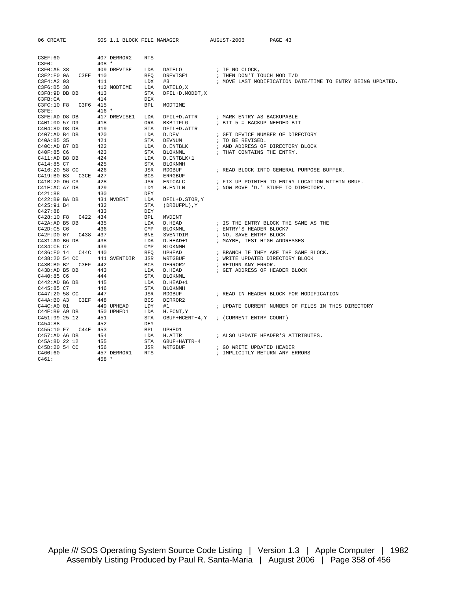| 06 CREATE                  | SOS 1.1 BLOCK FILE MANAGER |            |                  | AUGUST-2006                             | PAGE 43                                                    |
|----------------------------|----------------------------|------------|------------------|-----------------------------------------|------------------------------------------------------------|
|                            |                            |            |                  |                                         |                                                            |
|                            |                            |            |                  |                                         |                                                            |
| C3EF:60                    | 407 DERROR2                | <b>RTS</b> |                  |                                         |                                                            |
| C3F0:                      | $408 *$                    |            |                  |                                         |                                                            |
| C3F0:A5 38                 | 409 DREVISE                | LDA        | DATELO           | ; IF NO CLOCK,                          |                                                            |
| $C3F2:F0$ $0A$<br>C3FE 410 |                            | <b>BEO</b> | DREVISE1         | ; THEN DON'T TOUCH MOD T/D              |                                                            |
| $C3F4:A2$ 03               | 411                        | LDX        | #3               |                                         | ; MOVE LAST MODIFICATION DATE/TIME TO ENTRY BEING UPDATED. |
| C3F6:B5 38                 | 412 MODTIME                | LDA        | DATELO, X        |                                         |                                                            |
| C3F8:9D DB DB              | 413                        | <b>STA</b> | DFIL+D. MODDT, X |                                         |                                                            |
| C3FB:CA                    | 414                        | DEX        |                  |                                         |                                                            |
| C3FC:10 F8 C3F6 415        |                            | <b>BPL</b> | MODTIME          |                                         |                                                            |
| C3FE:                      | $416 *$                    |            |                  |                                         |                                                            |
| C3FE:AD D8 DB              | 417 DREVISE1               | LDA        | DFIL+D.ATTR      | ; MARK ENTRY AS BACKUPABLE              |                                                            |
| C401:0D 57 D9              | 418                        | ORA        | BKBITFLG         | ; BIT 5 = BACKUP NEEDED BIT             |                                                            |
| C404:8D D8 DB              | 419                        | <b>STA</b> | DFIL+D.ATTR      |                                         |                                                            |
| C407:AD B4 DB              | 420                        | LDA        | D.DEV            |                                         | ; GET DEVICE NUMBER OF DIRECTORY                           |
| C40A:85 35                 | 421                        | <b>STA</b> | DEVNUM           | ; TO BE REVISED.                        |                                                            |
| C40C:AD B7 DB              | 422                        | LDA        | D.ENTBLK         |                                         | ; AND ADDRESS OF DIRECTORY BLOCK                           |
| C40F:85 C6                 | 423                        | STA        | BLOKNML          | ; THAT CONTAINS THE ENTRY.              |                                                            |
| $C411:AD$ B8 DB            | 424                        | LDA        | D.ENTBLK+1       |                                         |                                                            |
| C414:85 C7                 | 425                        | STA        | <b>BLOKNMH</b>   |                                         |                                                            |
| C416:20 58 CC              | 426                        | JSR        | RDGBUF           |                                         | ; READ BLOCK INTO GENERAL PURPOSE BUFFER.                  |
| C419:B0 B3 C3CE 427        |                            | <b>BCS</b> | ERRGBUF          |                                         |                                                            |
| C41B:20 D6 C3              | 428                        | JSR        | <b>ENTCALC</b>   |                                         | ; FIX UP POINTER TO ENTRY LOCATION WITHIN GBUF.            |
| C41E:AC A7 DB              | 429                        | LDY        | H. ENTLN         |                                         | ; NOW MOVE 'D.' STUFF TO DIRECTORY.                        |
| C421:88                    | 430                        | DEY        |                  |                                         |                                                            |
| $C422:B9$ BA DB            | 431 MVDENT                 | LDA        | DFIL+D.STOR, Y   |                                         |                                                            |
| $C425:91\ B4$              | 432                        | STA        | (DRBUFPL), Y     |                                         |                                                            |
| C427:88                    | 433                        | DEY        |                  |                                         |                                                            |
| C428:10 F8 C422 434        |                            | <b>BPL</b> | MVDENT           |                                         |                                                            |
| C42A:AD B5 DB              | 435                        | LDA        | D.HEAD           |                                         | ; IS THE ENTRY BLOCK THE SAME AS THE                       |
| C42D:C5 C6                 | 436                        | CMP        | BLOKNML          | ; ENTRY'S HEADER BLOCK?                 |                                                            |
| C42F:DD 07<br>C438 437     |                            | <b>BNE</b> | SVENTDIR         | ; NO, SAVE ENTRY BLOCK                  |                                                            |
| $C431:AD\ B6\ DB$          | 438                        | LDA        | D.HEAD+1         | ; MAYBE, TEST HIGH ADDRESSES            |                                                            |
| C434:C5 C7                 | 439                        | CMP        | BLOKNMH          |                                         |                                                            |
| C436:F0 14<br>C44C 440     |                            | <b>BEO</b> | UPHEAD           |                                         | ; BRANCH IF THEY ARE THE SAME BLOCK.                       |
| C438:20 54 CC              | 441 SVENTDIR               | JSR        | WRTGBUF          | ; WRITE UPDATED DIRECTORY BLOCK         |                                                            |
| C43B:B0 B2<br>C3EF 442     |                            | <b>BCS</b> | DERROR2          | ; RETURN ANY ERROR.                     |                                                            |
| $C43D:AD$ B5 DB            | 443                        | LDA        | D.HEAD           | ; GET ADDRESS OF HEADER BLOCK           |                                                            |
| C440:85 C6                 | 444                        | <b>STA</b> | BLOKNML          |                                         |                                                            |
| $C442:AD$ B6 DB            | 445                        | LDA        | D.HEAD+1         |                                         |                                                            |
| C445:85 C7                 | 446                        | <b>STA</b> | <b>BLOKNMH</b>   |                                         |                                                            |
| C447:20 58 CC              | 447                        | <b>JSR</b> | <b>RDGBUF</b>    |                                         | ; READ IN HEADER BLOCK FOR MODIFICATION                    |
| C44A:B0 A3 C3EF 448        |                            | <b>BCS</b> | DERROR2          |                                         |                                                            |
| C44C:A0 01                 | 449 UPHEAD                 | LDY        | #1               |                                         | ; UPDATE CURRENT NUMBER OF FILES IN THIS DIRECTORY         |
| C44E:B9A9DB                | 450 UPHED1                 | LDA        | H.FCNT, Y        |                                         |                                                            |
| C451:99 25 12              | 451                        | STA        |                  | GBUF+HCENT+4, Y ; (CURRENT ENTRY COUNT) |                                                            |
| C454:88                    | 452                        | DEY        |                  |                                         |                                                            |
| C455:10 F7 C44E 453        |                            | <b>BPL</b> | UPHED1           |                                         |                                                            |
| C457:AD A6 DB              | 454                        | LDA        | H.ATTR           |                                         | ; ALSO UPDATE HEADER'S ATTRIBUTES.                         |
| C45A:8D 22 12              | 455                        | STA        | GBUF+HATTR+4     |                                         |                                                            |
| C45D:20 54 CC              | 456                        | JSR        | WRTGBUF          | ; GO WRITE UPDATED HEADER               |                                                            |
| C460:60                    | 457 DERROR1                | <b>RTS</b> |                  | ; IMPLICITLY RETURN ANY ERRORS          |                                                            |
| C461:                      | 458 *                      |            |                  |                                         |                                                            |
|                            |                            |            |                  |                                         |                                                            |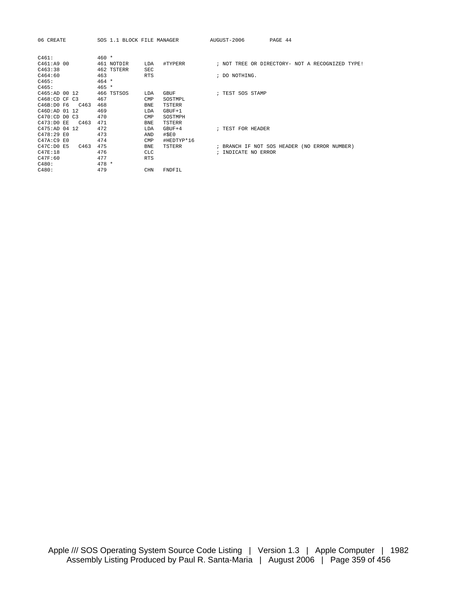| 06 CREATE     |      | SOS 1.1 BLOCK FILE MANAGER |             |            | AUGUST-2006         | PAGE 44                                         |  |  |
|---------------|------|----------------------------|-------------|------------|---------------------|-------------------------------------------------|--|--|
| C461:         |      | $460 *$                    |             |            |                     |                                                 |  |  |
| C461:A9 00    |      | 461 NOTDIR                 | LDA         | #TYPERR    |                     | ; NOT TREE OR DIRECTORY- NOT A RECOGNIZED TYPE! |  |  |
| C463:38       |      | 462 TSTERR                 | <b>SEC</b>  |            |                     |                                                 |  |  |
| C464:60       |      | 463                        | <b>RTS</b>  |            | ; DO NOTHING.       |                                                 |  |  |
| C465:         |      | $464 *$                    |             |            |                     |                                                 |  |  |
| C465:         |      | $465 *$                    |             |            |                     |                                                 |  |  |
| C465:AD 00 12 |      | 466 TSTSOS                 | LDA         | GBUF       | ; TEST SOS STAMP    |                                                 |  |  |
| C468:CD CF C3 |      | 467                        | CMP         | SOSTMPL    |                     |                                                 |  |  |
| C46B:D0 F6    | C463 | 468                        | <b>BNE</b>  | TSTERR     |                     |                                                 |  |  |
| C46D:AD 01 12 |      | 469                        | <b>T.DA</b> | $GBUF+1$   |                     |                                                 |  |  |
| C470:CD DO C3 |      | 470                        | CMP         | SOSTMPH    |                     |                                                 |  |  |
| C473:D0 EE    | C463 | 471                        | <b>BNE</b>  | TSTERR     |                     |                                                 |  |  |
| C475:AD 04 12 |      | 472                        | <b>T.DA</b> | $GBUF+4$   | ; TEST FOR HEADER   |                                                 |  |  |
| C478:29 E0    |      | 473                        | AND         | #SEO       |                     |                                                 |  |  |
| C47A:C9 E0    |      | 474                        | CMP         | #HEDTYP*16 |                     |                                                 |  |  |
| C47C:D0 E5    | C463 | 475                        | <b>BNE</b>  | TSTERR     |                     | ; BRANCH IF NOT SOS HEADER (NO ERROR NUMBER)    |  |  |
| C47E:18       |      | 476                        | <b>CLC</b>  |            | ; INDICATE NO ERROR |                                                 |  |  |
| C47F:60       |      | 477                        | <b>RTS</b>  |            |                     |                                                 |  |  |
| C480:         |      | $478 *$                    |             |            |                     |                                                 |  |  |
| C480:         |      | 479                        | CHN         | FNDFIL     |                     |                                                 |  |  |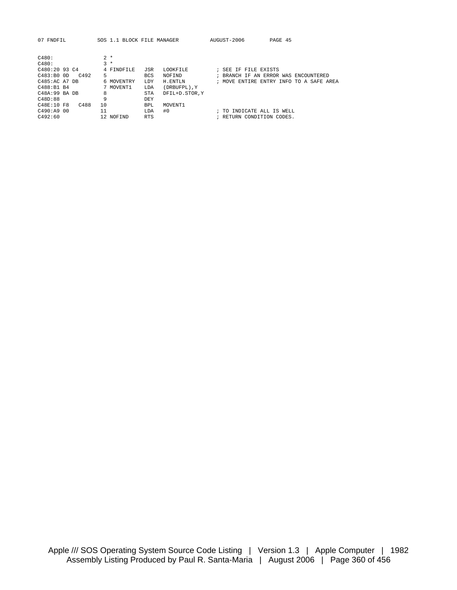| FNDFTL<br>07            |            | SOS 1.1 BLOCK FILE MANAGER   | AUGUST-2006<br>PAGE 45                  |
|-------------------------|------------|------------------------------|-----------------------------------------|
|                         |            |                              |                                         |
| C480:                   | $2 *$      |                              |                                         |
| C480:                   | $3 *$      |                              |                                         |
| C480:20 93 C4           | 4 FINDFILE | <b>JSR</b><br>LOOKFILE       | ; SEE IF FILE EXISTS                    |
| C483:B00D<br>$C_{1}492$ | 5          | <b>BCS</b><br>NOFIND         | AN ERROR WAS ENCOUNTERED<br>; BRANCH IF |
| C485:AC A7 DB           | 6 MOVENTRY | <b>LDY</b><br>H.ENTLN        | ; MOVE ENTIRE ENTRY INFO TO A SAFE AREA |
| C488:B1 B4              | 7 MOVENT1  | (DRBUFPL), Y<br>LDA          |                                         |
| C48A:99 BA DB           | 8          | <b>STA</b><br>DFIL+D.STOR, Y |                                         |
| C48D:88                 | 9          | <b>DEY</b>                   |                                         |
| C48F:10F8<br>C488       | 10         | MOVENT1<br>BPL               |                                         |
| C490:AA900              | 11         | #0<br>LDA                    | INDICATE ALL IS WELL<br>; TO            |
| C492:60                 | 12 NOFIND  | <b>RTS</b>                   | ; RETURN CONDITION CODES.               |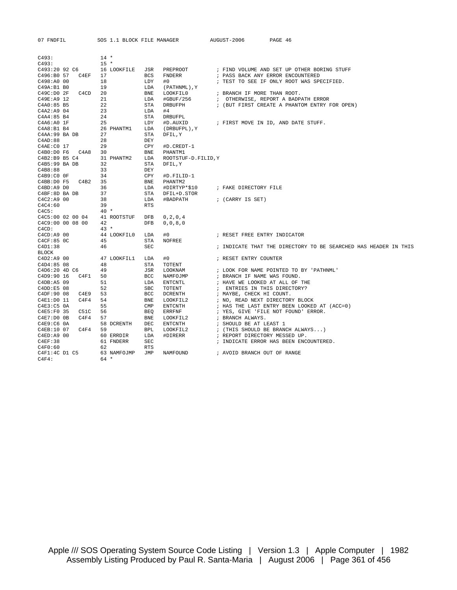| 07 FNDFIL            | SOS 1.1 BLOCK FILE MANAGER |                            | AUGUST-2006              | PAGE 46                                                         |  |
|----------------------|----------------------------|----------------------------|--------------------------|-----------------------------------------------------------------|--|
| C493:                | $14 *$                     |                            |                          |                                                                 |  |
| C493:                | $15 *$                     |                            |                          |                                                                 |  |
| C493:20 92 C6        | 16 LOOKFILE                | PREPROOT<br>JSR            |                          | ; FIND VOLUME AND SET UP OTHER BORING STUFF                     |  |
| C496:B0 57<br>C4EF   | 17                         | <b>BCS</b><br>FNDERR       |                          | ; PASS BACK ANY ERROR ENCOUNTERED                               |  |
| C498:A0 00           | 18                         | LDY<br>#0                  |                          | ; TEST TO SEE IF ONLY ROOT WAS SPECIFIED.                       |  |
| C49A:B1B0            | 19                         | LDA<br>(PATHNML), Y        |                          |                                                                 |  |
| C49C: D0 2F<br>C4CD  | 20                         | <b>BNE</b><br>LOOKFIL0     |                          | ; BRANCH IF MORE THAN ROOT.                                     |  |
| C49E:A9 12           | 21                         | LDA<br>#GBUF/256           |                          | ; OTHERWISE, REPORT A BADPATH ERROR                             |  |
| C4A0:85 B5           | 22                         | STA<br>DRBUFPH             |                          | ; (BUT FIRST CREATE A PHANTOM ENTRY FOR OPEN)                   |  |
| C4A2:A9 04           | 23                         | LDA<br>#4                  |                          |                                                                 |  |
| C4A4:85 B4           | 24                         | <b>STA</b><br>DRBUFPL      |                          |                                                                 |  |
| C4A6:A0 1F           | 25                         | LDY<br>#D.AUXID            |                          | ; FIRST MOVE IN ID, AND DATE STUFF.                             |  |
| C4A8:B1 B4           | 26 PHANTM1                 | LDA<br>(DRBUFPL), Y        |                          |                                                                 |  |
| C4AA:99 BA DB        | 27                         | STA<br>DFIL, Y             |                          |                                                                 |  |
| C4AD:88              | 28                         | DEY                        |                          |                                                                 |  |
| C4AE:CO 17           | 29                         | CPY<br>#D.CREDT-1          |                          |                                                                 |  |
| C4B0:D0 F6 C4A8      | 30                         | <b>BNE</b><br>PHANTM1      |                          |                                                                 |  |
| C4B2:B9 B5 C4        | 31 PHANTM2                 | LDA<br>ROOTSTUF-D.FILID, Y |                          |                                                                 |  |
| C4B5:99 BA DB        | 32                         | STA<br>DFIL, Y             |                          |                                                                 |  |
| C4B8:88              | 33                         | DEY                        |                          |                                                                 |  |
| C4B9:COOF            | 34                         | CPY<br>#D.FILID-1          |                          |                                                                 |  |
| C4BB:D0 F5<br>C4B2   | 35                         | <b>BNE</b><br>PHANTM2      |                          |                                                                 |  |
| C4BD: A9 D0          | 36                         | LDA<br>#DIRTYP*\$10        | ; FAKE DIRECTORY FILE    |                                                                 |  |
| C4BF:8D BA DB        | 37                         | STA<br>DFIL+D.STOR         |                          |                                                                 |  |
| C4C2:A9 00           | 38                         | LDA<br>#BADPATH            | ; (CARRY IS SET)         |                                                                 |  |
| C4C4:60              | 39                         | <b>RTS</b>                 |                          |                                                                 |  |
| C4C5:                | $40 *$                     |                            |                          |                                                                 |  |
| C4C5:00 02 00 04     | 41 ROOTSTUF                | <b>DFB</b><br>0, 2, 0, 4   |                          |                                                                 |  |
| C4C9:00 00 08 00     | 42                         | 0, 0, 8, 0<br>DFB          |                          |                                                                 |  |
| C4CD:                | $43 *$                     |                            |                          |                                                                 |  |
| C4CD: A9 00          | 44 LOOKFILO                | LDA<br>#0                  |                          | ; RESET FREE ENTRY INDICATOR                                    |  |
| C4CF:85 0C           | 45                         | <b>STA</b><br>NOFREE       |                          |                                                                 |  |
| C4D1:38              | 46                         | <b>SEC</b>                 |                          | ; INDICATE THAT THE DIRECTORY TO BE SEARCHED HAS HEADER IN THIS |  |
| <b>BLOCK</b>         |                            |                            |                          |                                                                 |  |
| $C4D2:A9$ 00         | 47 LOOKFIL1                | #0<br>LDA                  | ; RESET ENTRY COUNTER    |                                                                 |  |
| C4D4:8508            | 48                         | STA<br>TOTENT              |                          |                                                                 |  |
| C4D6:20 4D C6        | 49                         | JSR<br>LOOKNAM             |                          | ; LOOK FOR NAME POINTED TO BY 'PATHNML'                         |  |
| C4D9:90 16<br>C4F1   | 50                         | <b>BCC</b><br>NAMFOJMP     |                          | ; BRANCH IF NAME WAS FOUND.                                     |  |
| C4DB: A5 09          | 51                         | LDA<br>ENTCNTL             |                          | ; HAVE WE LOOKED AT ALL OF THE                                  |  |
| C4DD: E5 08          | 52                         | <b>SBC</b><br>TOTENT       |                          | ; ENTRIES IN THIS DIRECTORY?                                    |  |
| C4DF:90 08<br>C4E9   | 53                         | BCC<br>DCRENTH             | ; MAYBE, CHECK HI COUNT. |                                                                 |  |
| C4E1:D0 11<br>C4F4   | 54                         | <b>BNE</b><br>LOOKFIL2     |                          | ; NO, READ NEXT DIRECTORY BLOCK                                 |  |
| $C4E3: C5$ $0A$      | 55                         | CMP<br>ENTCNTH             |                          | ; HAS THE LAST ENTRY BEEN LOOKED AT (ACC=0)                     |  |
| C4E5:F0 35<br>C51C   | 56                         | <b>BEO</b><br>ERRFNF       |                          | ; YES, GIVE 'FILE NOT FOUND' ERROR.                             |  |
| C4F4<br>$C4E7:D0$ OB | 57                         | <b>BNE</b><br>LOOKFIL2     | ; BRANCH ALWAYS.         |                                                                 |  |
| C4E9:C6 0A           | 58 DCRENTH                 | DEC<br>ENTCNTH             | ; SHOULD BE AT LEAST 1   |                                                                 |  |
| C4F4<br>C4EB:10 07   | 59                         | <b>BPL</b><br>LOOKFIL2     |                          | ; (THIS SHOULD BE BRANCH ALWAYS)                                |  |
| C4ED:A9 00           | 60 ERRDIR                  | LDA<br>#DIRERR             |                          | ; REPORT DIRECTORY MESSED UP.                                   |  |
| C4EF:38              | 61 FNDERR                  | <b>SEC</b>                 |                          | ; INDICATE ERROR HAS BEEN ENCOUNTERED.                          |  |
| C4F0:60              | 62                         | <b>RTS</b>                 |                          |                                                                 |  |
| C4F1:4C D1 C5        | 63 NAMFOJMP                | JMP<br>NAMFOUND            |                          | ; AVOID BRANCH OUT OF RANGE                                     |  |

 $C4F4: 64 *$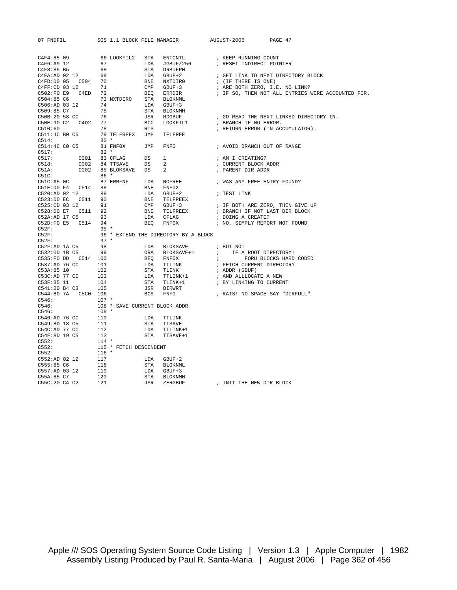| 07 FNDFIL |  |  | SOS 1.1 BLOCK FILE MANAGER AUGUST-2006 PAGE 47 |  |
|-----------|--|--|------------------------------------------------|--|
|           |  |  |                                                |  |
|           |  |  |                                                |  |
|           |  |  |                                                |  |
|           |  |  |                                                |  |
|           |  |  |                                                |  |
|           |  |  |                                                |  |
|           |  |  |                                                |  |
|           |  |  |                                                |  |
|           |  |  |                                                |  |
|           |  |  |                                                |  |
|           |  |  |                                                |  |
|           |  |  |                                                |  |
|           |  |  |                                                |  |
|           |  |  |                                                |  |
|           |  |  |                                                |  |
|           |  |  |                                                |  |
|           |  |  |                                                |  |
|           |  |  |                                                |  |
|           |  |  |                                                |  |
|           |  |  |                                                |  |
|           |  |  |                                                |  |
|           |  |  |                                                |  |
|           |  |  |                                                |  |
|           |  |  |                                                |  |
|           |  |  |                                                |  |
|           |  |  |                                                |  |
|           |  |  |                                                |  |
|           |  |  |                                                |  |
|           |  |  |                                                |  |
|           |  |  |                                                |  |
|           |  |  |                                                |  |
|           |  |  |                                                |  |
|           |  |  |                                                |  |
|           |  |  |                                                |  |
|           |  |  |                                                |  |
|           |  |  |                                                |  |
|           |  |  |                                                |  |
|           |  |  |                                                |  |
|           |  |  |                                                |  |
|           |  |  |                                                |  |
|           |  |  |                                                |  |
|           |  |  |                                                |  |
|           |  |  |                                                |  |
|           |  |  |                                                |  |
|           |  |  |                                                |  |
|           |  |  |                                                |  |
|           |  |  |                                                |  |
|           |  |  |                                                |  |
|           |  |  |                                                |  |
|           |  |  |                                                |  |
|           |  |  |                                                |  |
|           |  |  |                                                |  |
|           |  |  |                                                |  |
|           |  |  |                                                |  |
|           |  |  |                                                |  |
|           |  |  | ; INIT THE NEW DIR BLOCK                       |  |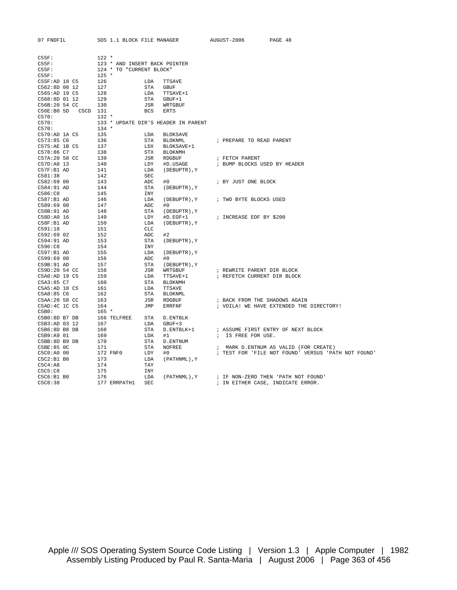| 07 FNDFIL                                                                | SOS 1.1 BLOCK FILE MANAGER    |                                                                                                                                                                                                                                                                | AUGUST-2006<br>PAGE 48                              |
|--------------------------------------------------------------------------|-------------------------------|----------------------------------------------------------------------------------------------------------------------------------------------------------------------------------------------------------------------------------------------------------------|-----------------------------------------------------|
|                                                                          |                               |                                                                                                                                                                                                                                                                |                                                     |
| $C55F$ :                                                                 | $122$ *                       |                                                                                                                                                                                                                                                                |                                                     |
| $C55F$ :                                                                 | 123 * AND INSERT BACK POINTER |                                                                                                                                                                                                                                                                |                                                     |
| $C55F$ :                                                                 | 124 * TO "CURRENT BLOCK"      |                                                                                                                                                                                                                                                                |                                                     |
|                                                                          |                               |                                                                                                                                                                                                                                                                |                                                     |
| C55F: 125 *<br>C55F:AD 18 C5 126<br>C562:8D 00 12 127                    |                               |                                                                                                                                                                                                                                                                |                                                     |
|                                                                          |                               |                                                                                                                                                                                                                                                                |                                                     |
|                                                                          |                               |                                                                                                                                                                                                                                                                |                                                     |
|                                                                          |                               |                                                                                                                                                                                                                                                                |                                                     |
| C565:AD 19 C5 128<br>C568:8D 01 12 129<br>C56B:20 54 CC 130              |                               |                                                                                                                                                                                                                                                                |                                                     |
| C56E:B0 5D C5CD 131                                                      |                               | LDA TTSAVE<br>STA GBUF<br>LDA TTSAVE+1<br>STA GBUF+1<br>JSR WRTGBUF<br>BCS ERTS                                                                                                                                                                                |                                                     |
| C570:                                                                    | $132 *$                       |                                                                                                                                                                                                                                                                |                                                     |
| C570:                                                                    |                               | 133 * UPDATE DIR'S HEADER IN PARENT                                                                                                                                                                                                                            |                                                     |
| C570:                                                                    | $134 *$                       |                                                                                                                                                                                                                                                                |                                                     |
| C570:AD 1A C5                                                            | 135                           |                                                                                                                                                                                                                                                                |                                                     |
| C573:85 C6                                                               | 136                           |                                                                                                                                                                                                                                                                | ; PREPARE TO READ PARENT                            |
|                                                                          |                               |                                                                                                                                                                                                                                                                |                                                     |
| C575:AE 1B C5 137<br>C578:86 C7 138                                      |                               |                                                                                                                                                                                                                                                                |                                                     |
|                                                                          |                               |                                                                                                                                                                                                                                                                |                                                     |
| $C57A:2058$ CC 139<br>C57D:A0 13                                         | 140                           |                                                                                                                                                                                                                                                                |                                                     |
| C57F:B1 AD                                                               | 141                           |                                                                                                                                                                                                                                                                |                                                     |
| C581:38                                                                  |                               |                                                                                                                                                                                                                                                                |                                                     |
| C582:69 00                                                               | 142<br>143                    |                                                                                                                                                                                                                                                                | ; BY JUST ONE BLOCK                                 |
| C584:91 AD                                                               | 144                           |                                                                                                                                                                                                                                                                |                                                     |
| C586:C8                                                                  |                               |                                                                                                                                                                                                                                                                |                                                     |
|                                                                          | 145                           | DATE DIR'S HEADER IN PAKER<br>LDA BLOKSAVE<br>STA BLOKSAVE+1<br>STA BLOKSAVE+1<br>STA BLOKNMH<br>JSA ROESUF<br>LDY HD.USAGE<br>LDA (DEBUPTR), Y<br>SEC<br>ADC H0<br>STA (DEBUPTR), Y<br>ADC H0<br>STA (DEBUPTR), Y<br>LDA (DEBUPTR), Y<br>CLC<br>ADC H2<br>STA |                                                     |
| C587:B1 AD<br>C589:69 00                                                 | 146<br>147                    |                                                                                                                                                                                                                                                                | (DEBUPTR), Y ; TWO BYTE BLOCKS USED                 |
| C58B:91 AD                                                               |                               |                                                                                                                                                                                                                                                                |                                                     |
| C58D:A0 16                                                               | $\frac{148}{149}$             |                                                                                                                                                                                                                                                                | #D.EOF+1 ; INCREASE EOF BY \$200                    |
| $C58F:B1$ AD                                                             | 150                           |                                                                                                                                                                                                                                                                |                                                     |
| C591:18                                                                  | 151                           |                                                                                                                                                                                                                                                                |                                                     |
| C592:69 02                                                               |                               |                                                                                                                                                                                                                                                                |                                                     |
| C594:91 AD                                                               |                               |                                                                                                                                                                                                                                                                |                                                     |
| C596: C8                                                                 | $\frac{152}{153}$             |                                                                                                                                                                                                                                                                |                                                     |
| C597:B1 AD                                                               |                               |                                                                                                                                                                                                                                                                |                                                     |
| C599:69 00                                                               |                               |                                                                                                                                                                                                                                                                |                                                     |
| C59B:91 AD                                                               | 155<br>156<br>157             |                                                                                                                                                                                                                                                                |                                                     |
| C59D:20 54 CC<br>C5A0:AD 19 C5 159<br>C5A3:85 C7 160                     |                               |                                                                                                                                                                                                                                                                | ; REWRITE PARENT DIR BLOCK                          |
|                                                                          |                               |                                                                                                                                                                                                                                                                | ; REFETCH CURRENT DIR BLOCK                         |
|                                                                          |                               |                                                                                                                                                                                                                                                                |                                                     |
| C5A5:AD 18 C5                                                            | 161                           |                                                                                                                                                                                                                                                                |                                                     |
| C5A8:85 C6                                                               | 162                           |                                                                                                                                                                                                                                                                |                                                     |
|                                                                          |                               |                                                                                                                                                                                                                                                                | ; BACK FROM THE SHADOWS AGAIN                       |
| C5AA: 20 58 CC 163<br>C5AD: 4C 1C C5 164                                 |                               |                                                                                                                                                                                                                                                                | ; VOILA! WE HAVE EXTENDED THE DIRECTORY!            |
| C5B0:                                                                    | $165 *$                       |                                                                                                                                                                                                                                                                |                                                     |
|                                                                          |                               |                                                                                                                                                                                                                                                                |                                                     |
| C5B0:8D B7 DB $166$ TELFREE STA D.ENTBLK<br>C5B3:AD 03 12 167 LDA GBUF+3 |                               |                                                                                                                                                                                                                                                                |                                                     |
| C5B6:8D B8 DB                                                            | 168                           |                                                                                                                                                                                                                                                                | ; ASSUME FIRST ENTRY OF NEXT BLOCK                  |
| C5B9:A9 01                                                               | 169                           |                                                                                                                                                                                                                                                                | ; IS FREE FOR USE.                                  |
|                                                                          |                               |                                                                                                                                                                                                                                                                |                                                     |
| C5BB: 8D B9 DB 170<br>C5BE: 85 OC 171<br>The Second Line                 |                               | LIFREE SIA D. ENTERNATION<br>STA D. ENTBLK+1<br>LDA #1<br>STA D. ENTBLK+1<br>LDA #1<br>STA NOFREE<br>FO LDY #0<br>LDA (PATHNML), Y                                                                                                                             | ; MARK D. ENTNUM AS VALID (FOR CREATE)              |
| C5C0:A0 00                                                               |                               |                                                                                                                                                                                                                                                                | ; TEST FOR 'FILE NOT FOUND' VERSUS 'PATH NOT FOUND' |
| C5C2:B1B0                                                                | 172 FNF0<br>173               |                                                                                                                                                                                                                                                                |                                                     |
| C5C4:A8                                                                  |                               |                                                                                                                                                                                                                                                                |                                                     |
| C5C5:C8                                                                  | 174                           |                                                                                                                                                                                                                                                                |                                                     |
| C5C6:B1 B0                                                               | 175                           | TAY<br>INY<br>LDA<br>(PATHNML), Y                                                                                                                                                                                                                              | ; IF NON-ZERO THEN 'PATH NOT FOUND'                 |
| C5C8:38                                                                  | 176<br>177 ERRPATH1 SEC       |                                                                                                                                                                                                                                                                | ; IN EITHER CASE, INDICATE ERROR.                   |
|                                                                          |                               |                                                                                                                                                                                                                                                                |                                                     |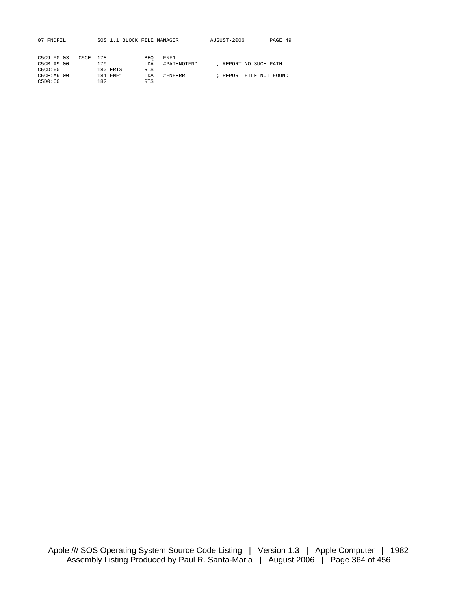| C5C9:FO 03 | C5CE 178 |     |          | <b>BEO</b>  | FNF1        |                        |  |                          |
|------------|----------|-----|----------|-------------|-------------|------------------------|--|--------------------------|
| C5CR: A900 |          | 179 |          | <b>T.DA</b> | #PATHNOTFND | ; REPORT NO SUCH PATH. |  |                          |
| C5CD:60    |          |     | 180 ERTS | <b>RTS</b>  |             |                        |  |                          |
| C5CF: A900 |          |     | 181 FNF1 | LDA         | #FNFERR     |                        |  | ; REPORT FILE NOT FOUND. |
| C5D0:60    |          | 182 |          | <b>RTS</b>  |             |                        |  |                          |
|            |          |     |          |             |             |                        |  |                          |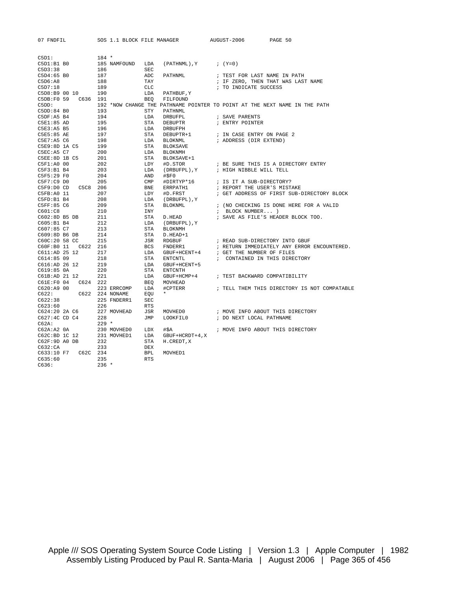| 07 FNDFIL               | SOS 1.1 BLOCK FILE MANAGER |            |                             | AUGUST-2006<br>PAGE 50                                                     |
|-------------------------|----------------------------|------------|-----------------------------|----------------------------------------------------------------------------|
|                         |                            |            |                             |                                                                            |
| C5D1:                   | $184 *$                    |            |                             |                                                                            |
| C5D1:B1B0               | 185 NAMFOUND               | LDA        | $(PATHNML)$ , $Y$ ; $(Y=0)$ |                                                                            |
| C5D3:38                 | 186                        | <b>SEC</b> |                             |                                                                            |
| C5D4:65 B0              | 187                        | ADC        | PATHNML                     | ; TEST FOR LAST NAME IN PATH                                               |
| C5D6:A8                 | 188                        | TAY        |                             | ; IF ZERO, THEN THAT WAS LAST NAME                                         |
| C5D7:18                 | 189                        | CLC        |                             | ; TO INDICATE SUCCESS                                                      |
| C5D8:B9 00 10           | 190                        | LDA        | PATHBUF, Y                  |                                                                            |
| C5DB: F0 59<br>C636 191 |                            | BEO        | FILFOUND                    |                                                                            |
| C5DD:                   |                            |            |                             | 192 *NOW CHANGE THE PATHNAME POINTER TO POINT AT THE NEXT NAME IN THE PATH |
| $C5DD:84$ BO            | 193                        | STY        | PATHNML                     |                                                                            |
| C5DF:A5 B4              | 194                        | LDA        | DRBUFPL                     | ; SAVE PARENTS                                                             |
| C5E1:85 AD              | 195                        | STA        | DEBUPTR                     | ; ENTRY POINTER                                                            |
| C5E3:A5 B5              | 196                        | LDA        | DRBUFPH                     |                                                                            |
| C5E5:85 AE              | 197                        | STA        | DEBUPTR+1                   | ; IN CASE ENTRY ON PAGE 2                                                  |
| C5E7:AB <sub>C6</sub>   | 198                        | LDA        | BLOKNML                     | ; ADDRESS (DIR EXTEND)                                                     |
| C5E9:8D 1A C5           | 199                        | STA        | BLOKSAVE                    |                                                                            |
| C5EC:A5 C7              | 200                        | LDA        | <b>BLOKNMH</b>              |                                                                            |
| $C5EE:8D$ 1B $C5$       | 201                        | STA        | BLOKSAVE+1                  |                                                                            |
| C5F1:A0 00              | 202                        | LDY        | #D.STOR                     | ; BE SURE THIS IS A DIRECTORY ENTRY                                        |
| C5F3:B1B4               | 203                        | LDA        | (DRBUFPL), Y                | ; HIGH NIBBLE WILL TELL                                                    |
| C5F5:29 F0              | 204                        | AND        | #SPO                        |                                                                            |
| C5F7:C9D0               | 205                        | CMP        | #DIRTYP*16                  | ; IS IT A SUB-DIRECTORY?                                                   |
| C5F9:D0CD<br>C5C8 206   |                            | BNE        | ERRPATH1                    | ; REPORT THE USER'S MISTAKE                                                |
| C5FB: A0 11             | 207                        | LDY        | #D.FRST                     | ; GET ADDRESS OF FIRST SUB-DIRECTORY BLOCK                                 |
| C5FD:B1 B4              | 208                        | LDA        | (DRBUFPL), Y                |                                                                            |
| C5FF:85 C6              | 209                        | STA        | BLOKNML                     | ; (NO CHECKING IS DONE HERE FOR A VALID                                    |
| C601:C8                 | 210                        | INY        |                             | ; BLOCK NUMBER )                                                           |
| C602:8D B5 DB           | 211                        | STA        | D.HEAD                      | ; SAVE AS FILE'S HEADER BLOCK TOO.                                         |
| C605:B1 B4              | 212                        | LDA        | (DRBUFPL), Y                |                                                                            |
| C607:85 C7              | 213                        | STA        | <b>BLOKNMH</b>              |                                                                            |
| C609:8D B6 DB           | 214                        | STA        | D.HEAD+1                    |                                                                            |
| C60C:20 58 CC           | 215                        | JSR        | RDGBUF                      | ; READ SUB-DIRECTORY INTO GBUF                                             |
| C60F:B0 11 C622 216     |                            | BCS        | FNDERR1                     | ; RETURN IMMEDIATELY ANY ERROR ENCOUNTERED.                                |
| C611:AD 25 12           | 217                        | LDA        | GBUF+HCENT+4                | ; GET THE NUMBER OF FILES                                                  |
| C614:8509               | 218                        | STA        | <b>ENTCNTL</b>              | ; CONTAINED IN THIS DIRECTORY                                              |
| C616:AD 26 12           | 219                        | LDA        | GBUF+HCENT+5                |                                                                            |
| $C619:85$ $0A$          | 220                        | STA        | <b>ENTCNTH</b>              |                                                                            |
| C61B:AD 21 12           | 221                        | LDA        | GBUF+HCMP+4                 | ; TEST BACKWARD COMPATIBILITY                                              |
| C624 222<br>C61E:FO 04  |                            | BEO        | MOVHEAD                     |                                                                            |
| C620: A900              | 223 ERRCOMP                | LDA        | #CPTERR                     | ; TELL THEM THIS DIRECTORY IS NOT COMPATABLE                               |
| C622:                   | C622 224 NONAME            | EOU        | $\star$                     |                                                                            |
| C622:38                 | 225 FNDERR1                | SEC        |                             |                                                                            |
| C623:60                 | 226                        | RTS        |                             |                                                                            |
| C624:20 2A C6           | 227 MOVHEAD                | JSR        | MOVHED0                     | ; MOVE INFO ABOUT THIS DIRECTORY                                           |
| C627:4C CD C4           | 228                        | JMP        | LOOKFILO                    | ; DO NEXT LOCAL PATHNAME                                                   |
| C62A:                   | $229$ *                    |            |                             |                                                                            |
| $C62A:A2$ $0A$          | 230 MOVHED0                | LDX        | #\$A                        | ; MOVE INFO ABOUT THIS DIRECTORY                                           |
| C62C:BD 1C 12           | 231 MOVHED1                | LDA        | GBUF+HCRDT+4, X             |                                                                            |
| C62F:9D A0 DB           | 232                        | STA        | H. CREDT, X                 |                                                                            |
| C632:CA                 | 233                        | DEX        |                             |                                                                            |
| C633:10 F7<br>C62C      | 234                        | <b>BPL</b> | MOVHED1                     |                                                                            |
| C635:60                 | 235                        | <b>RTS</b> |                             |                                                                            |
|                         |                            |            |                             |                                                                            |

C636: 236 \*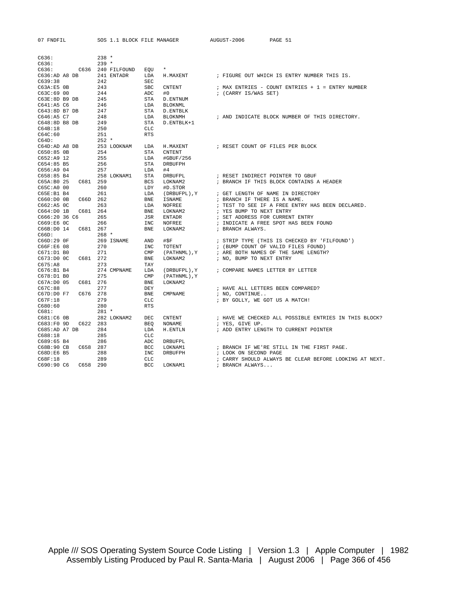|  | FNDF T |
|--|--------|
|--|--------|

| C636:                 | $238 *$           |             |                |                |                                                        |
|-----------------------|-------------------|-------------|----------------|----------------|--------------------------------------------------------|
| C636:                 | $239 *$           |             |                |                |                                                        |
| C636:                 | C636 240 FILFOUND |             | $\star$<br>EOU |                |                                                        |
| C636:AD A8 DB         |                   | 241 ENTADR  | LDA            | H.MAXENT       | ; FIGURE OUT WHICH IS ENTRY NUMBER THIS IS.            |
| C639:38               | 242               |             | SEC            |                |                                                        |
| $C63A:ES$ OB          | 243               |             | <b>SBC</b>     | CNTENT         | ; MAX ENTRIES - COUNT ENTRIES + $1$ = ENTRY NUMBER     |
| C63C:6900             | 244               |             | ADC<br>#0      |                | ; (CARRY IS/WAS SET)                                   |
| $C63E:8D$ B9 DB       | 245               |             | <b>STA</b>     | D. ENTNUM      |                                                        |
| C641:A5 C6            | 246               |             | LDA            | <b>BLOKNML</b> |                                                        |
|                       |                   |             |                |                |                                                        |
| C643:8D B7 DB         | 247               |             | <b>STA</b>     | D. ENTBLK      |                                                        |
| C646:AB <sub>C7</sub> | 248               |             | LDA            | BLOKNMH        | ; AND INDICATE BLOCK NUMBER OF THIS DIRECTORY.         |
| C648:8D B8 DB         | 249               |             | <b>STA</b>     | D.ENTBLK+1     |                                                        |
| C64B:18               | 250               |             | <b>CLC</b>     |                |                                                        |
| C64C:60               | 251               |             | <b>RTS</b>     |                |                                                        |
| C64D:                 | $252 *$           |             |                |                |                                                        |
| C64D:AD A8 DB         |                   | 253 LOOKNAM | LDA            | H.MAXENT       | ; RESET COUNT OF FILES PER BLOCK                       |
| $C650:85$ OB          | 254               |             | STA            | CNTENT         |                                                        |
| C652: A9 12           | 255               |             | LDA            | #GBUF/256      |                                                        |
| $C654:85$ B5          | 256               |             | STA            | DRBUFPH        |                                                        |
| C656: A904            | 257               |             | LDA<br>#4      |                |                                                        |
| C658:85 B4            |                   | 258 LOKNAM1 | <b>STA</b>     | DRBUFPL        | ; RESET INDIRECT POINTER TO GBUF                       |
| C65A:B0 25            | C681 259          |             | <b>BCS</b>     | LOKNAM2        | ; BRANCH IF THIS BLOCK CONTAINS A HEADER               |
| C65C:A0 00            | 260               |             | LDY            | #D.STOR        |                                                        |
| C65E:B1 B4            | 261               |             | LDA            | (DRBUFPL), Y   | ; GET LENGTH OF NAME IN DIRECTORY                      |
| C660:D0 0B            | C66D 262          |             | BNE            | ISNAME         | ; BRANCH IF THERE IS A NAME.                           |
| C662:ABOC             | 263               |             | LDA            | NOFREE         | ; TEST TO SEE IF A FREE ENTRY HAS BEEN DECLARED.       |
| C664:D0 1B            | C681 264          |             | ${\tt BNE}$    | LOKNAM2        | ; YES BUMP TO NEXT ENTRY                               |
| C666:20 36 C6         | 265               |             | JSR            | ENTADR         | ; SET ADDRESS FOR CURRENT ENTRY                        |
| C669:E6 0C            | 266               |             | INC            | NOFREE         | ; INDICATE A FREE SPOT HAS BEEN FOUND                  |
| C66B:D0 14            | C681 267          |             | <b>BNE</b>     | LOKNAM2        | ; BRANCH ALWAYS.                                       |
| C66D:                 | $268 *$           |             |                |                |                                                        |
|                       |                   |             |                |                |                                                        |
| $C66D:29$ OF          |                   | 269 ISNAME  | AND            | #SF            | ; STRIP TYPE (THIS IS CHECKED BY 'FILFOUND')           |
| C66F:E6 08            | 270               |             | INC            | TOTENT         | ; (BUMP COUNT OF VALID FILES FOUND)                    |
| C671:D1 B0            | 271               |             | CMP            | (PATHNML), Y   | ; ARE BOTH NAMES OF THE SAME LENGTH?                   |
| C673:D0 0C            | C681 272          |             | <b>BNE</b>     | LOKNAM2        | ; NO, BUMP TO NEXT ENTRY                               |
| C675:A8               | 273               |             | TAY            |                |                                                        |
| C676:B1 B4            |                   | 274 CMPNAME | LDA            | (DRBUFPL), Y   | ; COMPARE NAMES LETTER BY LETTER                       |
| C678:D1 B0            | 275               |             | $\texttt{CMP}$ | (PATHNML), Y   |                                                        |
| C67A:D0 05            | C681 276          |             | <b>BNE</b>     | LOKNAM2        |                                                        |
| C67C:88               | 277               |             | DEY            |                | ; HAVE ALL LETTERS BEEN COMPARED?                      |
| C67D:D0 F7            | C676 278          |             | ${\tt BNE}$    | CMPNAME        | ; NO, CONTINUE                                         |
| C67F:18               | 279               |             | CLC            |                | ; BY GOLLY, WE GOT US A MATCH!                         |
| C680:60               | 280               |             | <b>RTS</b>     |                |                                                        |
| C681:                 | $281 *$           |             |                |                |                                                        |
| C681:C6 0B            |                   | 282 LOKNAM2 | DEC            | CNTENT         | ; HAVE WE CHECKED ALL POSSIBLE ENTRIES IN THIS BLOCK?  |
| C683:F0 9D            | C622 283          |             | <b>BEO</b>     | NONAME         | ; YES, GIVE UP.                                        |
| $C685$ : AD A7 DB     | 284               |             | LDA            | H.ENTLN        | ; ADD ENTRY LENGTH TO CURRENT POINTER                  |
| C688:18               | 285               |             | CLC            |                |                                                        |
| C689:65 B4            | 286               |             | ADC            | DRBUFPL        |                                                        |
| C68B:90 CB            | C658 287          |             | BCC            | LOKNAM1        | ; BRANCH IF WE'RE STILL IN THE FIRST PAGE.             |
| C68D:E6 B5            | 288               |             | INC            | DRBUFPH        | ; LOOK ON SECOND PAGE                                  |
| C68F:18               | 289               |             | <b>CLC</b>     |                | ; CARRY SHOULD ALWAYS BE CLEAR BEFORE LOOKING AT NEXT. |
| C690:90 C6            |                   |             | <b>BCC</b>     |                |                                                        |
|                       | C658 290          |             |                | LOKNAM1        | ; BRANCH ALWAYS                                        |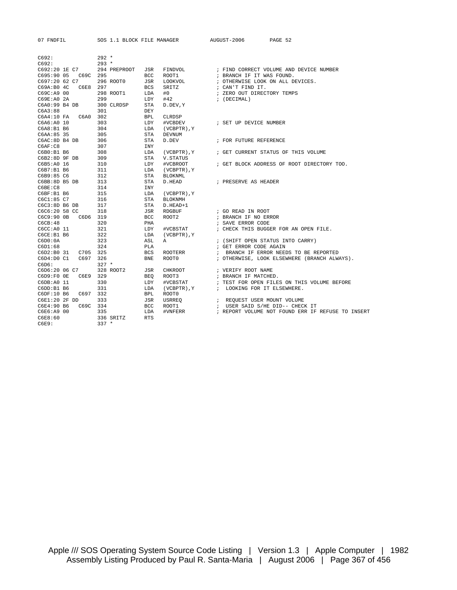| C692:                    | $292 *$      |            |                |                                                   |
|--------------------------|--------------|------------|----------------|---------------------------------------------------|
| C692:                    | $293 *$      |            |                |                                                   |
| C692:20 1E C7            | 294 PREPROOT | JSR        | FINDVOL        | ; FIND CORRECT VOLUME AND DEVICE NUMBER           |
| C695:90 05 C69C 295      |              | <b>BCC</b> | ROOT1          | ; BRANCH IF IT WAS FOUND.                         |
| C697:20 62 C7            | 296 ROOT0    | JSR        | LOOKVOL        | ; OTHERWISE LOOK ON ALL DEVICES.                  |
| C6E8 297<br>C69A:B0 4C   |              | <b>BCS</b> | SRITZ          | ; CAN'T FIND IT.                                  |
| C69C:A9 00               | 298 ROOT1    | LDA        | #0             | ; ZERO OUT DIRECTORY TEMPS                        |
| C69E:A0 2A               | 299          | LDY        | #42            | ; (DECIMAL)                                       |
| C6A0:99 B4 DB            | 300 CLRDSP   | STA        | D.DEV, Y       |                                                   |
| C6A3:88                  | 301          | DEY        |                |                                                   |
| C6A4:10 FA C6A0 302      |              | <b>BPL</b> | CLRDSP         |                                                   |
| C6A6:A0 10               | 303          | LDY        | #VCBDEV        | ; SET UP DEVICE NUMBER                            |
| C6A8:B1 B6               | 304          | LDA        | (VCBPTR), Y    |                                                   |
| C6AA:85 35               | 305          | STA        | <b>DEVNUM</b>  |                                                   |
| C6AC:8D B4 DB            | 306          | STA        | D.DEV          | ; FOR FUTURE REFERENCE                            |
| C6AF: C8                 | 307          | INY        |                |                                                   |
| C6B0:B1 B6               | 308          | LDA        |                | (VCBPTR), Y : GET CURRENT STATUS OF THIS VOLUME   |
| C6B2:8D 9F DB            | 309          | STA        | V. STATUS      |                                                   |
| C6B5:A0 16               | 310          | LDY        | #VCBROOT       | ; GET BLOCK ADDRESS OF ROOT DIRECTORY TOO.        |
| C6B7:B1 B6               | 311          | LDA        | (VCBPTR), Y    |                                                   |
| C6B9:85 C6               | 312          | STA        | BLOKNML        |                                                   |
| C6BB:8D B5 DB            | 313          | STA        | D.HEAD         | ; PRESERVE AS HEADER                              |
| C6BE: C8                 | 314          | INY        |                |                                                   |
| C6BF:B1B6                | 315          | LDA        | (VCBPTR), Y    |                                                   |
| C6C1:85 C7               | 316          | STA        | <b>BLOKNMH</b> |                                                   |
| C6C3:8D B6 DB            | 317          | STA        | D.HEAD+1       |                                                   |
| C6C6:20 58 CC            | 318          | JSR        | RDGBUF         | ; GO READ IN ROOT                                 |
| C6C9:90 OB C6D6 319      |              | <b>BCC</b> | ROOT2          | ; BRANCH IF NO ERROR                              |
| CGCB:48                  | 320          | PHA        |                | ; SAVE ERROR CODE                                 |
| C6CC: A0 11              | 321          | LDY        | #VCBSTAT       | ; CHECK THIS BUGGER FOR AN OPEN FILE.             |
| C6CE:B1B6                | 322          | LDA        | (VCBPTR), Y    |                                                   |
| C6D0:0A                  | 323          | ASL        | A              | ; (SHIFT OPEN STATUS INTO CARRY)                  |
| C6D1:68                  | 324          | PLA        |                | ; GET ERROR CODE AGAIN                            |
| C6D2:B0 31<br>C705 325   |              | BCS        | ROOTERR        | ; BRANCH IF ERROR NEEDS TO BE REPORTED            |
| C6D4:D0C1<br>C697        | 326          | <b>BNE</b> | ROOT0          | ; OTHERWISE, LOOK ELSEWHERE (BRANCH ALWAYS).      |
| C6D6:                    | $327 *$      |            |                |                                                   |
| C6D6:20 06 C7            | 328 ROOT2    | JSR        | CHKROOT        | ; VERIFY ROOT NAME                                |
| C6E9 329<br>$C6D9:FO$ OE |              | <b>BEO</b> | ROOT3          | ; BRANCH IF MATCHED.                              |
| C6DB:A0 11               | 330          | LDY        | #VCBSTAT       | ; TEST FOR OPEN FILES ON THIS VOLUME BEFORE       |
| C6DD:B1 B6               | 331          | LDA        | (VCBPTR), Y    | ; LOOKING FOR IT ELSEWHERE.                       |
| C697 332<br>C6DF:10 B6   |              | BPL        | ROOT0          |                                                   |
| C6E1:20 2F DD            | 333          | JSR        | USRREO         | ; REQUEST USER MOUNT VOLUME                       |
| C6E4:90 B6<br>C69C 334   |              | <b>BCC</b> | ROOT1          | ; USER SAID S/HE DID-- CHECK IT                   |
| C6E6:A9 00               | 335          | LDA        | #VNFERR        | ; REPORT VOLUME NOT FOUND ERR IF REFUSE TO INSERT |
| C6E8:60                  | 336 SRITZ    | <b>RTS</b> |                |                                                   |
| C6E9:                    | $337 *$      |            |                |                                                   |
|                          |              |            |                |                                                   |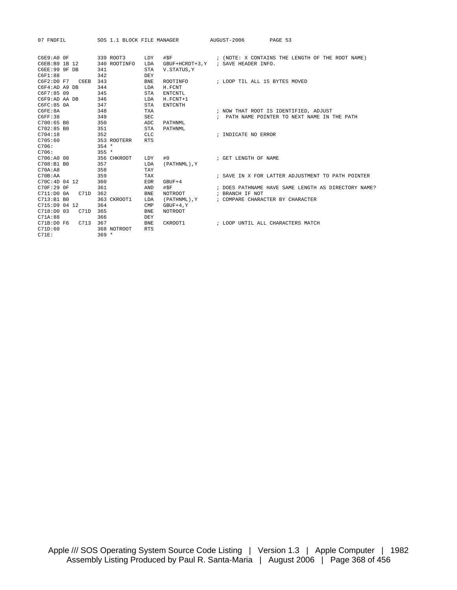| 07 FNDFIL           |              | SOS 1.1 BLOCK FILE MANAGER           | AUGUST-2006<br>PAGE 53                              |
|---------------------|--------------|--------------------------------------|-----------------------------------------------------|
|                     |              |                                      |                                                     |
| $C6E9:A0$ OF        | 339 ROOT3    | #SF<br>LDY                           | ; (NOTE: X CONTAINS THE LENGTH OF THE ROOT NAME)    |
| C6EB:B9 1B 12       | 340 ROOTINFO | LDA                                  | GBUF+HCRDT+3, Y ; SAVE HEADER INFO.                 |
| C6EE:99 9F DB       | 341          | V. STATUS, Y<br>STA                  |                                                     |
| C6F1:88             | 342          | DEY                                  |                                                     |
| C6F2:D0 F7 C6EB 343 |              | <b>BNE</b><br>ROOTINFO               | ; LOOP TIL ALL 15 BYTES MOVED                       |
| C6F4:AD A9 DB       | 344          | LDA<br>H. FCNT                       |                                                     |
| C6F7:85 09          | 345          | <b>STA</b><br><b>ENTCNTL</b>         |                                                     |
| C6F9:AD AA DB       | 346          | $H.FCNT+1$<br>LDA                    |                                                     |
| C6FC:85 0A          | 347          | <b>STA</b><br><b>ENTCNTH</b>         |                                                     |
| C6FE:8A             | 348          | <b>TXA</b>                           | ; NOW THAT ROOT IS IDENTIFIED, ADJUST               |
| C6FF:38             | 349          | <b>SEC</b>                           | ; PATH NAME POINTER TO NEXT NAME IN THE PATH        |
| C700:65 BO          | 350          | ADC<br>PATHNML                       |                                                     |
| $C702:85\  B0$      | 351          | STA<br>PATHNML                       |                                                     |
| C704:18             | 352          | CLC.                                 | ; INDICATE NO ERROR                                 |
| C705:60             | 353 ROOTERR  | <b>RTS</b>                           |                                                     |
| C706:               | $354 *$      |                                      |                                                     |
| C706:               | $355 *$      |                                      |                                                     |
| C706:A0 00          | 356 CHKROOT  | LDY                                  |                                                     |
| C708:B1 B0          | 357          | LDA<br>(PATHNML), Y                  |                                                     |
| C70A:AB             | 358          | TAY                                  |                                                     |
| C70B:AA             | 359          | TAX                                  | ; SAVE IN X FOR LATTER ADJUSTMENT TO PATH POINTER   |
| C70C:4D0412         | 360          | <b>EOR</b><br>$GBUF+4$               |                                                     |
| C70F:29 OF          | 361          | #SF<br>AND                           | ; DOES PATHNAME HAVE SAME LENGTH AS DIRECTORY NAME? |
| C711:DD00A<br>C71D  | 362          | <b>BNE</b><br>NOTROOT <b>NOTROOT</b> | ; BRANCH IF NOT                                     |
| C713:B1 B0          | 363 CKROOT1  | LDA<br>(PATHNML), Y                  | ; COMPARE CHARACTER BY CHARACTER                    |
| C715:D9 04 12       | 364          | CMP<br>$GBUF+4, Y$                   |                                                     |
| C718:DD003<br>C71D  | 365          | <b>BNE</b><br><b>NOTROOT</b>         |                                                     |
| C71A:88             | 366          | DEY                                  |                                                     |
| C71B:D0 F6 C713 367 |              | <b>BNE</b><br>CKROOT1                | ; LOOP UNTIL ALL CHARACTERS MATCH                   |
| C71D:60             | 368 NOTROOT  | <b>RTS</b>                           |                                                     |
| C71F:               | $369 *$      |                                      |                                                     |
|                     |              |                                      |                                                     |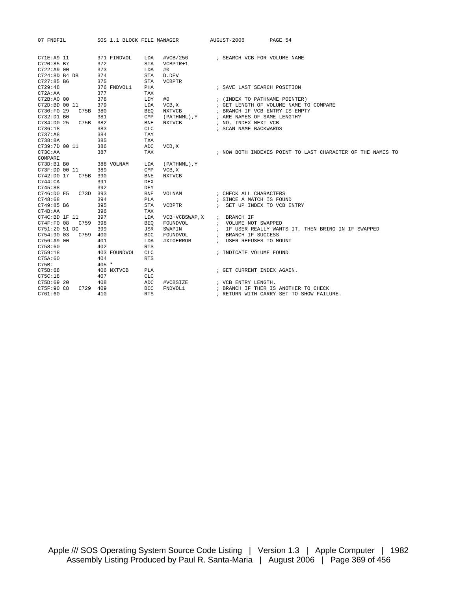| 07 FNDFIL                            | SOS 1.1 BLOCK FILE MANAGER |                             |                      | AUGUST-2006                    | PAGE 54                                                    |  |
|--------------------------------------|----------------------------|-----------------------------|----------------------|--------------------------------|------------------------------------------------------------|--|
| C71E: A9 11<br>C720:85 B7            | 371 FINDVOL<br>372         | LDA<br><b>STA</b>           | #VCB/256<br>VCBPTR+1 | ; SEARCH VCB FOR VOLUME NAME   |                                                            |  |
| C722: A9 00                          | 373                        | LDA                         | #0                   |                                |                                                            |  |
| C724:8D B4 DB                        | 374                        | STA                         | D.DEV                |                                |                                                            |  |
| $C727:85$ B6                         | 375                        | STA                         | <b>VCBPTR</b>        |                                |                                                            |  |
| C729:48                              | 376 FNDVOL1                | PHA                         |                      | ; SAVE LAST SEARCH POSITION    |                                                            |  |
| C72A:AA                              | 377                        | TAX                         |                      |                                |                                                            |  |
| C72B:A0 00                           | 378                        | LDY                         | #0                   | ; (INDEX TO PATHNAME POINTER)  |                                                            |  |
| C72D:BD 00 11                        | 379                        | LDA                         | VCB, X               |                                | ; GET LENGTH OF VOLUME NAME TO COMPARE                     |  |
| C730:F0 29<br>C75B 380               |                            | <b>BEO</b>                  | <b>NXTVCB</b>        | ; BRANCH IF VCB ENTRY IS EMPTY |                                                            |  |
| C732:D1 B0                           | 381                        | $\ensuremath{\mathrm{CMP}}$ | (PATHNML), Y         | ; ARE NAMES OF SAME LENGTH?    |                                                            |  |
| C734:D0 25<br>C75B 382               |                            | <b>BNE</b>                  | <b>NXTVCB</b>        | ; NO, INDEX NEXT VCB           |                                                            |  |
| C736:18                              | 383                        | CLC                         |                      | ; SCAN NAME BACKWARDS          |                                                            |  |
| C737:AB                              | 384                        | TAY                         |                      |                                |                                                            |  |
| C738:8A                              | 385                        | <b>TXA</b>                  |                      |                                |                                                            |  |
| C739:7D 00 11                        | 386                        | ADC                         | VCB, X               |                                |                                                            |  |
| C73C:AA                              | 387                        | TAX                         |                      |                                | ; NOW BOTH INDEXES POINT TO LAST CHARACTER OF THE NAMES TO |  |
| COMPARE                              |                            |                             |                      |                                |                                                            |  |
| C73D:B1B0                            | 388 VOLNAM                 | LDA                         | (PATHNML), Y         |                                |                                                            |  |
| C73F:DD 00 11                        | 389                        | $\text{CMP}$                | VCB, X               |                                |                                                            |  |
| C742:D0 17<br>C75B 390               |                            | ${\tt BNE}$                 | <b>NXTVCB</b>        |                                |                                                            |  |
| C744:CA                              | 391                        | <b>DEX</b>                  |                      |                                |                                                            |  |
| C745:88                              | 392                        | DEY                         |                      |                                |                                                            |  |
| C746:D0 F5 C73D 393                  |                            | <b>BNE</b>                  | VOLNAM               | ; CHECK ALL CHARACTERS         |                                                            |  |
| C748:68                              | 394                        | PLA                         |                      | ; SINCE A MATCH IS FOUND       |                                                            |  |
| C749:85 B6                           | 395                        | <b>STA</b>                  | VCBPTR               | ; SET UP INDEX TO VCB ENTRY    |                                                            |  |
| C74B:AA                              | 396                        | TAX                         |                      |                                |                                                            |  |
| C74C:BDIF 11                         | 397                        | LDA                         | VCB+VCBSWAP, X       | ; BRANCH IF                    |                                                            |  |
| C759 398<br>C74F: F0 08              |                            | <b>BEO</b>                  | FOUNDVOL             | ; VOLUME NOT SWAPPED           |                                                            |  |
| C751:20 51 DC                        | 399                        | JSR                         | SWAPIN               |                                | ; IF USER REALLY WANTS IT, THEN BRING IN IF SWAPPED        |  |
| C754:90 03<br>C759 400<br>C756:AA900 |                            | BCC                         | FOUNDVOL             | ; BRANCH IF SUCCESS            |                                                            |  |
| C758:60                              | 401<br>402                 | LDA<br><b>RTS</b>           | #XIOERROR            | ; USER REFUSES TO MOUNT        |                                                            |  |
| C759:18                              | 403 FOUNDVOL               | CLC                         |                      | ; INDICATE VOLUME FOUND        |                                                            |  |
| C75A:60                              | 404                        | <b>RTS</b>                  |                      |                                |                                                            |  |
| C75B:                                | $405 *$                    |                             |                      |                                |                                                            |  |
| C75B:68                              | 406 NXTVCB                 | <b>PLA</b>                  |                      | ; GET CURRENT INDEX AGAIN.     |                                                            |  |
| C75C:18                              | 407                        | CLC                         |                      |                                |                                                            |  |
| C75D:6920                            | 408                        | ADC                         | #VCBSIZE             | ; VCB ENTRY LENGTH.            |                                                            |  |
| C75F:90 C8<br>C729                   | 409                        | BCC                         | FNDVOL1              |                                | ; BRANCH IF THER IS ANOTHER TO CHECK                       |  |
| C761:60                              | 410                        | <b>RTS</b>                  |                      |                                | ; RETURN WITH CARRY SET TO SHOW FAILURE.                   |  |
|                                      |                            |                             |                      |                                |                                                            |  |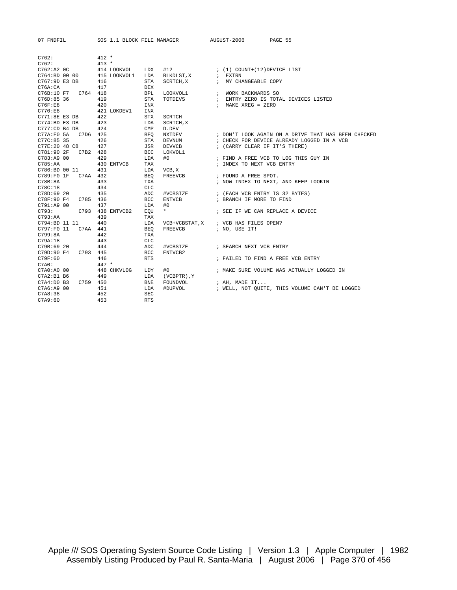| 07 FNDFIL             |          |                  |                   | SOS 1.1 BLOCK FILE MANAGER             | AUGUST-2006                                | PAGE 55                                                    |  |
|-----------------------|----------|------------------|-------------------|----------------------------------------|--------------------------------------------|------------------------------------------------------------|--|
| C762:                 |          | $412 *$          |                   |                                        |                                            |                                                            |  |
| C762:                 |          | $413 *$          |                   |                                        |                                            |                                                            |  |
| C762:A2 OC            |          | 414 LOOKVOL      | LDX               | $\#12$ $(1)$ COUNT+ $(12)$ DEVICE LIST |                                            |                                                            |  |
| C764:BD 00 00         |          | 415 LOOKVOL1     | LDA               | BLKDLST, X ; EXTRN                     |                                            |                                                            |  |
| C767:9D E3 DB         |          | 416              | STA               | SCRTCH, X : MY CHANGEABLE COPY         |                                            |                                                            |  |
| C76A:CA               |          | 417              | DEX               |                                        |                                            |                                                            |  |
| C76B:10 F7 C764 418   |          |                  | <b>BPL</b>        | LOOKVOL1 : WORK BACKWARDS SO           |                                            |                                                            |  |
| C76D:85 36            |          | 419              | <b>STA</b>        |                                        |                                            | TOTDEVS : ENTRY ZERO IS TOTAL DEVICES LISTED               |  |
| C76F:EB               |          | 420              | INX               |                                        | ; MAKE XREG = ZERO                         |                                                            |  |
| C770:EB               |          | 421 LOKDEV1      | INX               |                                        |                                            |                                                            |  |
| C771:8E E3 DB         |          | 422              | <b>STX</b>        | SCRTCH                                 |                                            |                                                            |  |
| C774:BD E3 DB         |          | 423              | LDA               | SCRTCH, X                              |                                            |                                                            |  |
| C777:CD B4 DB         |          | 424              | $\text{CMP}$      | D.DEV                                  |                                            |                                                            |  |
| C77A:F0 5A  C7D6  425 |          |                  | BEO               |                                        |                                            | NXTDEV : DON'T LOOK AGAIN ON A DRIVE THAT HAS BEEN CHECKED |  |
| C77C:85 35            |          | 426              | STA               | DEVNUM                                 |                                            | ; CHECK FOR DEVICE ALREADY LOGGED IN A VCB                 |  |
| C77E:20 48 C8         |          | 427              | JSR               | DEVVCB                                 |                                            | ; (CARRY CLEAR IF IT'S THERE)                              |  |
| C781:90 2F            | C7B2 428 |                  | BCC               | LOKVOL1                                |                                            |                                                            |  |
| C783:AA900            |          | 429              | LDA               | #0                                     |                                            | ; FIND A FREE VCB TO LOG THIS GUY IN                       |  |
| C785:AA               |          | 430 ENTVCB       | TAX               |                                        | ; INDEX TO NEXT VCB ENTRY                  |                                                            |  |
| C786:BD 00 11         |          | 431              | LDA               | VCB, X                                 |                                            |                                                            |  |
| C789:F0 1F C7AA 432   |          |                  | BEO               | FREEVCB                                | ; FOUND A FREE SPOT.                       |                                                            |  |
| C78B:8A               |          | 433              | TXA               |                                        |                                            | ; NOW INDEX TO NEXT, AND KEEP LOOKIN                       |  |
| C78C:18               |          | 434              | <b>CLC</b>        |                                        |                                            |                                                            |  |
| C78D:69 20            |          | 435              | ADC               | #VCBSIZE                               |                                            | ; (EACH VCB ENTRY IS 32 BYTES)                             |  |
| C78F:90 F4 C785 436   |          |                  | <b>BCC</b>        | ENTVCB                                 | ; BRANCH IF MORE TO FIND                   |                                                            |  |
| C791:A9 00            |          | 437              | LDA               | #0                                     |                                            |                                                            |  |
| C793:                 |          | C793 438 ENTVCB2 | EOU               | $\star$                                |                                            | ; SEE IF WE CAN REPLACE A DEVICE                           |  |
| C793:AA               |          | 439              | TAX               |                                        |                                            |                                                            |  |
| C794:BD 11 11         |          | 440              | LDA               | VCB+VCBSTAT, X ; VCB HAS FILES OPEN?   |                                            |                                                            |  |
| C797:F0 11 C7AA 441   |          |                  | BEO               | FREEVCB ; NO, USE IT!                  |                                            |                                                            |  |
| C799:8A               |          | 442              | TXA               |                                        |                                            |                                                            |  |
| C79A:18               |          | 443              | <b>CLC</b>        |                                        |                                            |                                                            |  |
| C79B:69 20            |          | 444              | ADC               | #VCBSIZE                               | ; SEARCH NEXT VCB ENTRY                    |                                                            |  |
| C79D:90 F4 C793 445   |          |                  | BCC               | ENTVCB2                                |                                            |                                                            |  |
| C79F:60<br>C7A0:      |          | 446<br>$447 *$   | <b>RTS</b>        |                                        |                                            | ; FAILED TO FIND A FREE VCB ENTRY                          |  |
| C7A0:A0 00            |          | 448 CHKVLOG      | LDY               | #0                                     |                                            | ; MAKE SURE VOLUME WAS ACTUALLY LOGGED IN                  |  |
| C7A2:B1 B6            |          |                  |                   |                                        |                                            |                                                            |  |
| C7A4:D0B3             | C759 450 | 449              | LDA<br><b>BNE</b> | (VCBPTR), Y<br>FOUNDVOL                |                                            |                                                            |  |
| C7A6:A9 00            |          | 451              | LDA               | #DUPVOL                                | ; AH, $\texttt{MADE}$ $\texttt{IT} \ldots$ | ; WELL, NOT OUITE, THIS VOLUME CAN'T BE LOGGED             |  |
| C7A8:38               |          | 452              | <b>SEC</b>        |                                        |                                            |                                                            |  |
| C7A9:60               |          | 453              | <b>RTS</b>        |                                        |                                            |                                                            |  |
|                       |          |                  |                   |                                        |                                            |                                                            |  |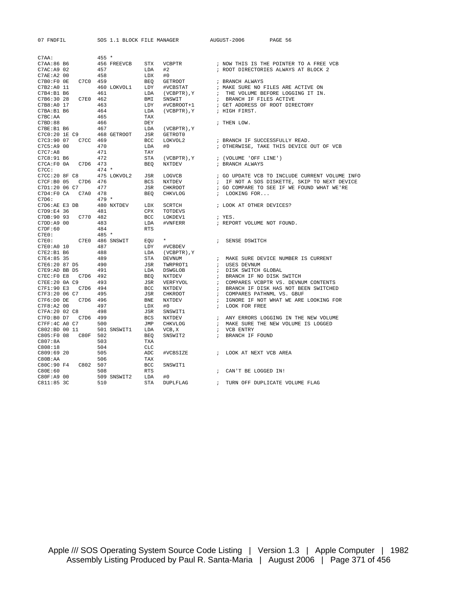| 07 FNDFIL            | SOS 1.1 BLOCK FILE MANAGER |                             |                                  | AUGUST-2006<br>PAGE 56                         |
|----------------------|----------------------------|-----------------------------|----------------------------------|------------------------------------------------|
|                      |                            |                             |                                  |                                                |
| C7AA:                | $455 *$                    |                             |                                  |                                                |
| C7AA:86 B6           | 456 FREEVCB                | <b>STX</b><br><b>VCBPTR</b> |                                  | ; NOW THIS IS THE POINTER TO A FREE VCB        |
| C7AC: A9 02          | 457                        | LDA<br>#2                   |                                  | ; ROOT DIRECTORIES ALWAYS AT BLOCK 2           |
| C7AE: A2 00          | 458                        | #0<br>LDX                   |                                  |                                                |
| C7C0<br>$C7B0:F0$ OE | 459                        | <b>BEO</b>                  | <b>GETROOT</b>                   | ; BRANCH ALWAYS                                |
| C7B2:A0 11           | 460 LOKVOL1                | LDY                         | #VCBSTAT                         | ; MAKE SURE NO FILES ARE ACTIVE ON             |
| C7B4:B1B6            | 461                        | LDA                         | $(VCBPTR)$ , $Y$<br>$\ddot{i}$   | THE VOLUME BEFORE LOGGING IT IN.               |
| C7E0<br>C7B6:30 28   | 462                        | BMI<br>SNSWIT               | $\cdot$                          | BRANCH IF FILES ACTIVE                         |
| C7B8:A0 17           | 463                        | LDY                         | #VCBROOT+1                       | ; GET ADDRESS OF ROOT DIRECTORY                |
| C7BA:B1 B6           | 464                        | LDA                         | (VCBPTR), Y                      | ; HIGH FIRST.                                  |
| C7BC: AA             | 465                        | TAX                         |                                  |                                                |
| C7BD:88              | 466                        | DEY                         |                                  | ; THEN LOW.                                    |
| C7BE:B1 B6           | 467                        | LDA                         | (VCBPTR), Y                      |                                                |
| C7C0:20 1E C9        | 468 GETROOT                | JSR                         | GETROT0                          |                                                |
| C7C3:90 07           | C7CC 469                   | <b>BCC</b>                  | LOKVOL2                          | ; BRANCH IF SUCCESSFULLY READ.                 |
| C7C5:A9 00           | 470                        | LDA<br>#0                   |                                  | ; OTHERWISE, TAKE THIS DEVICE OUT OF VCB       |
| C7C7:AB              | 471                        | TAY                         |                                  |                                                |
| C7C8:91 B6           | 472                        | <b>STA</b>                  | $(VCBPTR)$ , $Y$                 | ; (VOLUME 'OFF LINE')                          |
| C7CA: F0 0A          | C7D6 473                   | <b>BEO</b><br><b>NXTDEV</b> |                                  | ; BRANCH ALWAYS                                |
| C7CC:                | $474 *$                    |                             |                                  |                                                |
| C7CC:20 8F C8        | 475 LOKVOL2                | LOGVCB<br>JSR               |                                  | ; GO UPDATE VCB TO INCLUDE CURRENT VOLUME INFO |
| C7CF: B0 05<br>C7D6  | 476                        | <b>BCS</b><br>NXTDEV        | $\ddot{i}$                       | IF NOT A SOS DISKETTE, SKIP TO NEXT DEVICE     |
| C7D1:20 06 C7        | 477                        | JSR                         | CHKROOT                          | ; GO COMPARE TO SEE IF WE FOUND WHAT WE'RE     |
| C7D4:FO CA<br>C7A0   | 478                        | <b>BEO</b>                  | CHKVLOG                          | LOOKING FOR                                    |
|                      | $479 *$                    |                             | $\ddot{i}$                       |                                                |
| C7D6:                |                            |                             |                                  |                                                |
| C7D6:AE E3 DB        | 480 NXTDEV                 | LDX<br>SCRTCH               |                                  | ; LOOK AT OTHER DEVICES?                       |
| C7D9:E4 36           | 481                        | <b>CPX</b>                  | TOTDEVS                          |                                                |
| C770<br>C7DB:90 93   | 482                        | BCC                         | LOKDEV1                          | ; YES.                                         |
| C7DD: A9 00          | 483                        | LDA                         | #VNFERR                          | ; REPORT VOLUME NOT FOUND.                     |
| C7DF:60              | 484                        | <b>RTS</b>                  |                                  |                                                |
| C7E0:                | 485 *                      |                             |                                  |                                                |
| C7E0:                | C7E0 486 SNSWIT            | $\star$<br>EOU              |                                  | SENSE DSWITCH                                  |
| C7E0:A0 10           | 487                        | LDY                         | #VCBDEV                          |                                                |
| C7E2:B1 B6           | 488                        | LDA                         | (VCBPTR), Y                      |                                                |
| C7E4:85 35           | 489                        | <b>STA</b><br><b>DEVNUM</b> | $\cdot$                          | MAKE SURE DEVICE NUMBER IS CURRENT             |
| C7E6:20 87 D5        | 490                        | <b>JSR</b>                  | TWRPROT1<br>$\ddot{i}$           | USES DEVNUM                                    |
| C7E9:AD BB D5        | 491                        | LDA                         | <b>DSWGLOB</b><br>$\ddot{i}$     | DISK SWITCH GLOBAL                             |
| C7EC:F0 E8<br>C7D6   | 492                        | <b>BEO</b><br><b>NXTDEV</b> | $\ddot{i}$                       | BRANCH IF NO DISK SWITCH                       |
| C7EE:20 0A C9        | 493                        | JSR                         | VERFYVOL<br>$\ddot{i}$           | COMPARES VCBPTR VS. DEVNUM CONTENTS            |
| C7F1:90 E3<br>C7D6   | 494                        | <b>BCC</b><br>NXTDEV        | $\ddot{ }$                       | BRANCH IF DISK HAS NOT BEEN SWITCHED           |
| C7F3:20 06 C7        | 495                        | JSR                         | <b>CHKROOT</b><br>$\ddot{i}$     | COMPARES PATHNML VS. GBUF                      |
| C7F6:D0 DE<br>C7D6   | 496                        | BNE<br>NXTDEV               | $\ddot{i}$                       | IGNORE IF NOT WHAT WE ARE LOOKING FOR          |
| C7F8:A2 00           | 497                        | LDX<br>#0                   | $\ddot{i}$                       | LOOK FOR FREE                                  |
| C7FA: 20 02 C8       | 498                        | <b>JSR</b>                  | SNSWIT1                          |                                                |
| C7D6<br>C7FD:B0 D7   | 499                        | <b>BCS</b><br><b>NXTDEV</b> | $\ddot{i}$                       | ANY ERRORS LOGGING IN THE NEW VOLUME           |
| C7FF:4C A0 C7        | 500                        | JMP                         | <b>CHKVLOG</b><br>$\ddot{i}$     | MAKE SURE THE NEW VOLUME IS LOGGED             |
| C802:BD 00 11        | 501 SNSWIT1                | LDA<br>VCB, X               | $\ddot{i}$                       | VCB ENTRY                                      |
| C805:F0 08<br>C80F   | 502                        | <b>BEO</b>                  | SNSWIT2<br>$\ddot{ }$            | BRANCH IF FOUND                                |
| C807:8A              | 503                        | TXA                         |                                  |                                                |
| C808:18              | 504                        | <b>CLC</b>                  |                                  |                                                |
| C809:6920            | 505                        | ADC                         | #VCBSIZE<br>$\ddot{\phantom{0}}$ | LOOK AT NEXT VCB AREA                          |
| C80B:AA              | 506                        | TAX                         |                                  |                                                |
| C80C:90 F4           | C802 507                   | <b>BCC</b>                  | SNSWIT1                          |                                                |
| C80E:60              | 508                        | <b>RTS</b>                  | $\ddot{i}$                       | CAN'T BE LOGGED IN!                            |
| C80F:A9 00           | 509 SNSWIT2                | LDA<br>#0                   |                                  |                                                |
|                      |                            |                             | $\ddot{\phantom{0}}$             |                                                |
| C811:85 3C           | 510                        | <b>STA</b>                  | <b>DUPLFLAG</b>                  | TURN OFF DUPLICATE VOLUME FLAG                 |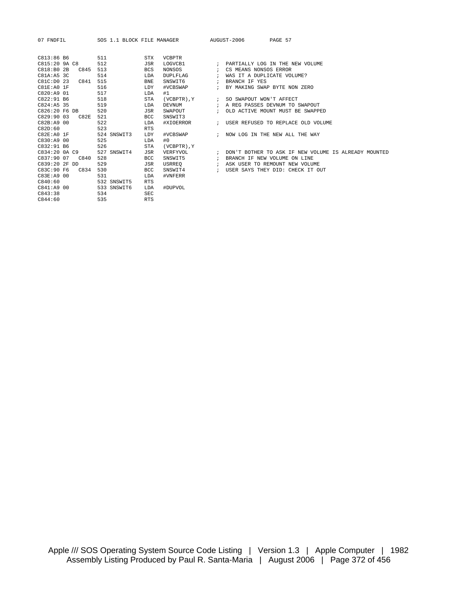| C813:86 B6     |      | 511         | <b>STX</b> | <b>VCBPTR</b>   |               |                                                                               |
|----------------|------|-------------|------------|-----------------|---------------|-------------------------------------------------------------------------------|
| C815:209A C8   |      | 512         | JSR        | LOGVCB1         | $\cdot$       | PARTIALLY LOG IN THE NEW VOLUME                                               |
| C818:BO2B      | C845 | 513         | <b>BCS</b> | NONSOS          |               | CS MEANS NONSOS ERROR                                                         |
| C81A:AB.3C     |      | 514         | LDA        | <b>DUPLFLAG</b> | $\cdot$       | WAS IT A DUPLICATE VOLUME?                                                    |
| C81C: D0 23    | C841 | 515         | <b>BNE</b> | SNSWIT6         |               | BRANCH IF YES                                                                 |
| $C81E:AO$ $1F$ |      | 516         | LDY        | #VCBSWAP        |               | BY MAKING SWAP BYTE NON ZERO                                                  |
| C820:A9 01     |      | 517         | LDA        | #1              |               |                                                                               |
| C822:91 B6     |      | 518         | STA        |                 |               | (VCBPTR), Y : SO SWAPOUT WON'T AFFECT                                         |
| $C824:AB$ 35   |      | 519         | LDA        | DEVNUM          |               | ; A REG PASSES DEVNUM TO SWAPOUT                                              |
| C826:20 F6 DB  |      | 520         | JSR        | SWAPOUT         |               | OLD ACTIVE MOUNT MUST BE SWAPPED                                              |
| C829:9003      | C82E | 521         | <b>BCC</b> | SNSWIT3         |               |                                                                               |
| C82B:A9 00     |      | 522         | LDA        |                 |               | #XIOERROR $\qquad$ ; USER REFUSED TO REPLACE OLD VOLUME                       |
| C82D:60        |      | 523         | <b>RTS</b> |                 |               |                                                                               |
| C82E:AOIF      |      | 524 SNSWIT3 | LDY        |                 |               | #VCBSWAP $\qquad$ ; NOW LOG IN THE NEW ALL THE WAY                            |
| C830:AA900     |      | 525         | LDA        | #0              |               |                                                                               |
| C832:91 B6     |      | 526         | STA        | (VCBPTR), Y     |               |                                                                               |
| C834:20 0A C9  |      | 527 SNSWIT4 | JSR        |                 |               | VERFYVOL               ; DON'T BOTHER TO ASK IF NEW VOLUME IS ALREADY MOUNTED |
| C837:90 07     | C840 | 528         | <b>BCC</b> | SNSWIT5         | $\cdot$ :     | BRANCH IF NEW VOLUME ON LINE                                                  |
| C839:20 2F DD  |      | 529         | JSR        | USRREO          | $\mathbf{r}$  | ASK USER TO REMOUNT NEW VOLUME                                                |
| C83C:90 F6     | C834 | 530         | BCC        | SNSWIT4         | $\mathcal{L}$ | USER SAYS THEY DID: CHECK IT OUT                                              |
| C83E: A9 00    |      | 531         | LDA        | #VNFERR         |               |                                                                               |
| C840:60        |      | 532 SNSWIT5 | <b>RTS</b> |                 |               |                                                                               |
| C841: A9 00    |      | 533 SNSWIT6 | LDA        | #DUPVOL         |               |                                                                               |
| C843:38        |      | 534         | <b>SEC</b> |                 |               |                                                                               |
| C844:60        |      | 535         | <b>RTS</b> |                 |               |                                                                               |
|                |      |             |            |                 |               |                                                                               |

| PARTIALLY LOG IN THE NEW VOLUME<br>CS MEANS NONSOS ERROR<br>WAS IT A DUPLICATE VOLUME?<br>BRANCH IF YES<br>BY MAKING SWAP BYTE NON ZERO             |
|-----------------------------------------------------------------------------------------------------------------------------------------------------|
| SO SWAPOUT WON'T AFFECT<br>A REG PASSES DEVNIIM TO SWAPOUT<br>OLD ACTIVE MOUNT MUST BE SWAPPED                                                      |
| USER REFUSED TO REPLACE OLD VOLUME                                                                                                                  |
| NOW LOG IN THE NEW ALL THE WAY                                                                                                                      |
| DON'T BOTHER TO ASK IF NEW VOLUME IS ALREADY<br>BRANCH IF NEW VOLUME ON LINE<br>ASK USER TO REMOUNT NEW VOLUME<br>HISER SAYS THEY DID: CHECK IT OUT |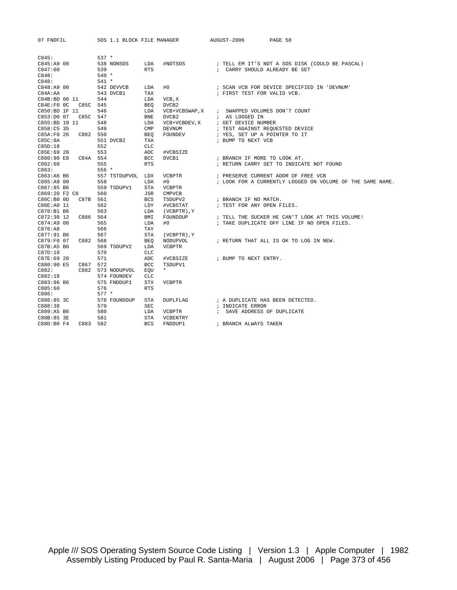| 07 FNDFIL                |          | SOS 1.1 BLOCK FILE MANAGER |                                    |                  | AUGUST-2006                      | PAGE 58                                                   |
|--------------------------|----------|----------------------------|------------------------------------|------------------|----------------------------------|-----------------------------------------------------------|
|                          |          | $537 *$                    |                                    |                  |                                  |                                                           |
| C845:                    |          |                            |                                    |                  |                                  |                                                           |
| $C845:A9$ 00<br>C847:60  |          | 538 NONSOS                 | LDA                                | #NOTSOS          |                                  | ; TELL EM IT'S NOT A SOS DISK (COULD BE PASCAL)           |
|                          |          | 539                        | <b>RTS</b>                         |                  | ; CARRY SHOULD ALREADY BE SET    |                                                           |
| C848:<br>C848:           |          | $540 *$<br>$541 *$         |                                    |                  |                                  |                                                           |
|                          |          |                            |                                    |                  |                                  |                                                           |
| C848:A9 00               |          | 542 DEVVCB                 | #0<br>LDA                          |                  |                                  | ; SCAN VCB FOR DEVICE SPECIFIED IN 'DEVNUM'               |
| C84A:AA<br>C84B:BD 00 11 |          | 543 DVCB1<br>544           | TAX                                |                  | ; FIRST TEST FOR VALID VCB.      |                                                           |
| C84E:FOOC                | C85C 545 |                            | LDA<br>VCB, X<br>DVCB <sub>2</sub> |                  |                                  |                                                           |
| C850:BD 1F 11            |          | 546                        | <b>BEQ</b><br>LDA                  | VCB+VCBSWAP, X   | ; SWAPPED VOLUMES DON'T COUNT    |                                                           |
| C853:D0 07               |          | C85C 547                   | <b>BNE</b><br>DVCB <sub>2</sub>    |                  | ; AS LOGGED IN                   |                                                           |
| C855:BD 10 11            |          | 548                        | LDA                                | VCB+VCBDEV, X    | ; GET DEVICE NUMBER              |                                                           |
| C858:C5 35               |          | 549                        | CMP<br>DEVNUM                      |                  | ; TEST AGAINST REQUESTED DEVICE  |                                                           |
| C85A:F0 26               |          | C882 550                   | BEO<br>FOUNDEV                     |                  | ; YES, SET UP A POINTER TO IT    |                                                           |
| C85C:8A                  |          | 551 DVCB2                  | <b>TXA</b>                         |                  | ; BUMP TO NEXT VCB               |                                                           |
| C85D:18                  |          | 552                        | <b>CLC</b>                         |                  |                                  |                                                           |
| C85E:69 20               |          | 553                        | ADC                                | #VCBSIZE         |                                  |                                                           |
| C860:90 E8               |          | C84A 554                   | BCC<br>DVCB1                       |                  | ; BRANCH IF MORE TO LOOK AT.     |                                                           |
| C862:60                  |          | 555                        | <b>RTS</b>                         |                  |                                  | ; RETURN CARRY SET TO INDICATE NOT FOUND                  |
| C863:                    |          | $556*$                     |                                    |                  |                                  |                                                           |
| C863:A6 B6               |          | 557 TSTDUPVOL LDX          | VCBPTR                             |                  |                                  | ; PRESERVE CURRENT ADDR OF FREE VCB                       |
| C865:A9 00               |          | 558                        | #0<br>LDA                          |                  |                                  | ; LOOK FOR A CURRENTLY LOGGED ON VOLUME OF THE SAME NAME. |
| C867:85 B6               |          | 559 TSDUPV1                | <b>STA</b><br><b>VCBPTR</b>        |                  |                                  |                                                           |
| C869:20 F2 C8            |          | 560                        | JSR<br><b>CMPVCB</b>               |                  |                                  |                                                           |
| C86C:B0 0D               |          | C87B 561                   | <b>BCS</b><br>TSDUPV2              |                  | ; BRANCH IF NO MATCH.            |                                                           |
| C86E: A0 11              |          | 562                        | LDY                                | #VCBSTAT         | ; TEST FOR ANY OPEN FILES.       |                                                           |
| C870:B1 B6               |          | 563                        | LDA                                | (VCBPTR), Y      |                                  |                                                           |
| $C872:30$ 12             |          | C886 564                   | BMI                                | FOUNDDUP         |                                  | ; TELL THE SUCKER HE CAN'T LOOK AT THIS VOLUME!           |
| C874:A9 00               |          | 565                        | #0<br>LDA                          |                  |                                  | ; TAKE DUPLICATE OFF LINE IF NO OPEN FILES.               |
| C876:AB                  |          | 566                        | TAY                                |                  |                                  |                                                           |
| C877:91 B6               |          | 567                        | STA                                | $(VCBPTR)$ , $Y$ |                                  |                                                           |
| C879:F0 07               |          | C882 568                   | <b>BEO</b>                         | NODUPVOL         |                                  | ; RETURN THAT ALL IS OK TO LOG IN NEW.                    |
| C87B:A5 B6               |          | 569 TSDUPV2                | LDA<br><b>VCBPTR</b>               |                  |                                  |                                                           |
| C87D:18                  |          | 570                        | <b>CLC</b>                         |                  |                                  |                                                           |
| C87E:69 20               |          | 571                        | ADC                                | #VCBSIZE         | ; BUMP TO NEXT ENTRY.            |                                                           |
| C880:90 E5               |          | C867 572                   | <b>BCC</b><br>TSDUPV1              |                  |                                  |                                                           |
| C882:                    |          | C882 573 NODUPVOL          | EOU<br>$\star$                     |                  |                                  |                                                           |
| C882:18                  |          | 574 FOUNDEV                | <b>CLC</b>                         |                  |                                  |                                                           |
| C883:86 B6               |          | 575 FNDDUP1                | STX<br><b>VCBPTR</b>               |                  |                                  |                                                           |
| C885:60                  |          | 576                        | <b>RTS</b>                         |                  |                                  |                                                           |
| C886:                    |          | $577 *$                    |                                    |                  |                                  |                                                           |
| C886:85 3C               |          | 578 FOUNDDUP               | STA                                | DUPLFLAG         | ; A DUPLICATE HAS BEEN DETECTED. |                                                           |
| C888:38                  |          | 579                        | <b>SEC</b>                         |                  | ; INDICATE ERROR                 |                                                           |
| C889:A5 B6               |          | 580                        | LDA<br><b>VCBPTR</b>               |                  | ; SAVE ADDRESS OF DUPLICATE      |                                                           |
| C88B:85 3E               |          | 581                        | STA                                | VCBENTRY         |                                  |                                                           |
| C88D:B0 F4               |          | C883 582                   | <b>BCS</b><br>FNDDUP1              |                  | ; BRANCH ALWAYS TAKEN            |                                                           |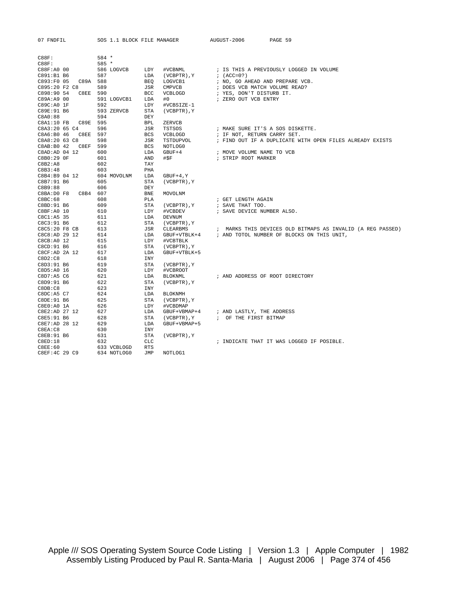| 07 FNDFIL               | SOS 1.1 BLOCK FILE MANAGER |            |                  | AUGUST-2006                      | PAGE 59                                                    |
|-------------------------|----------------------------|------------|------------------|----------------------------------|------------------------------------------------------------|
| C88F:                   | 584 *                      |            |                  |                                  |                                                            |
| C88F:                   | 585 *                      |            |                  |                                  |                                                            |
| C88F:A0 00              | 586 LOGVCB                 | LDY        | #VCBNML          |                                  | ; IS THIS A PREVIOUSLY LOGGED IN VOLUME                    |
| C891:B1 B6              | 587                        | LDA        | (VCBPTR), Y      | $; (ACC=0?)$                     |                                                            |
| C893:F0 05<br>C89A 588  |                            | <b>BEO</b> | LOGVCB1          | ; NO, GO AHEAD AND PREPARE VCB.  |                                                            |
| C895:20 F2 C8           | 589                        | JSR        | CMPVCB           | ; DOES VCB MATCH VOLUME READ?    |                                                            |
| C898:90 54<br>C8EE 590  |                            | <b>BCC</b> | VCBLOGD          | ; YES, DON'T DISTURB IT.         |                                                            |
| C89A:A9 00              | 591 LOGVCB1                | LDA        | #0               | ; ZERO OUT VCB ENTRY             |                                                            |
| C89C:A0 1F              | 592                        | LDY        | #VCBSIZE-1       |                                  |                                                            |
| C89E:91 B6              | 593 ZERVCB                 | STA        | (VCBPTR), Y      |                                  |                                                            |
| C8A0:88                 | 594                        | DEY        |                  |                                  |                                                            |
| C89E 595<br>C8A1:10 FB  |                            | <b>BPL</b> | ZERVCB           |                                  |                                                            |
| C8A3:20 65 C4           | 596                        | JSR        | <b>TSTSOS</b>    | ; MAKE SURE IT'S A SOS DISKETTE. |                                                            |
| C8A6:B0 46<br>C8EE 597  |                            | <b>BCS</b> | VCBLOGD          | ; IF NOT, RETURN CARRY SET.      |                                                            |
| C8A8:20 63 C8           | 598                        | JSR        | TSTDUPVOL        |                                  | ; FIND OUT IF A DUPLICATE WITH OPEN FILES ALREADY EXISTS   |
| C8AB: B0 42<br>C8EF 599 |                            | <b>BCS</b> | NOTLOG0          |                                  |                                                            |
| C8AD: AD 04 12          | 600                        | LDA        | $GBUF+4$         | ; MOVE VOLUME NAME TO VCB        |                                                            |
| C8B0:29 OF              | 601                        | AND        | #\$F             | ; STRIP ROOT MARKER              |                                                            |
| C8B2:A8                 | 602                        | TAY        |                  |                                  |                                                            |
| C8B3:48                 | 603                        | PHA        |                  |                                  |                                                            |
| C8B4:B9 04 12           | 604 MOVOLNM                | LDA        | $GBUF+4, Y$      |                                  |                                                            |
| C8B7:91 B6              | 605                        | <b>STA</b> | (VCBPTR), Y      |                                  |                                                            |
| C8B9:88                 | 606                        | DEY        |                  |                                  |                                                            |
| C8B4 607<br>C8BA:D0 F8  |                            | <b>BNE</b> | MOVOLNM          |                                  |                                                            |
| C8BC:68                 | 608                        | PLA        |                  | ; GET LENGTH AGAIN               |                                                            |
| C8BD:91 B6              | 609                        | STA        | (VCBPTR), Y      | ; SAVE THAT TOO.                 |                                                            |
| C8BF: A0 10             | 610                        | LDY        | #VCBDEV          | ; SAVE DEVICE NUMBER ALSO.       |                                                            |
| C8C1:A5 35              | 611                        | LDA        | DEVNUM           |                                  |                                                            |
| C8C3:91 B6              | 612                        | STA        | (VCBPTR), Y      |                                  |                                                            |
| C8C5:20 F8 CB           | 613                        | JSR        | CLEARBMS         |                                  | ; MARKS THIS DEVICES OLD BITMAPS AS INVALID (A REG PASSED) |
| C8C8:AD 29 12           | 614                        | LDA        | GBUF+VTBLK+4     |                                  | ; AND TOTOL NUMBER OF BLOCKS ON THIS UNIT,                 |
| C8CB:AO 12              | 615                        | LDY        | #VCBTBLK         |                                  |                                                            |
| C8CD: 91 B6             | 616                        | STA        | (VCBPTR), Y      |                                  |                                                            |
| C8CF:AD 2A 12           | 617                        | LDA        | GBUF+VTBLK+5     |                                  |                                                            |
| C8D2:C8                 | 618                        | INY        |                  |                                  |                                                            |
| C8D3:91 B6              | 619                        | STA        | (VCBPTR), Y      |                                  |                                                            |
| C8D5:A0 16              | 620                        | LDY        | #VCBROOT         |                                  |                                                            |
| C8D7: A5 C6             | 621                        | LDA        | BLOKNML          | ; AND ADDRESS OF ROOT DIRECTORY  |                                                            |
| C8D9:91 B6              | 622                        | STA        | (VCBPTR), Y      |                                  |                                                            |
| C8DB: C8                | 623                        | INY        |                  |                                  |                                                            |
| C8DC:A5 C7              | 624                        | LDA        | <b>BLOKNMH</b>   |                                  |                                                            |
| C8DE: 91 B6             | 625                        | <b>STA</b> | (VCBPTR), Y      |                                  |                                                            |
| C8E0:A0 1A              | 626                        | LDY        | #VCBDMAP         |                                  |                                                            |
| C8E2:AD 27 12           | 627                        | LDA        | GBUF+VBMAP+4     | ; AND LASTLY, THE ADDRESS        |                                                            |
| C8E5:91 B6              | 628                        | STA        | (VCBPTR), Y      | ; OF THE FIRST BITMAP            |                                                            |
| C8E7:AD 28 12           | 629                        | LDA        | GBUF+VBMAP+5     |                                  |                                                            |
| C8EA:CB                 | 630                        | INY        |                  |                                  |                                                            |
| C8EB: 91 B6             | 631                        | <b>STA</b> | $(VCBPTR)$ , $Y$ |                                  |                                                            |
| C8ED:18                 | 632                        | <b>CLC</b> |                  |                                  | ; INDICATE THAT IT WAS LOGGED IF POSIBLE.                  |
| <b>C8EE:60</b>          | 633 VCBLOGD                | <b>RTS</b> |                  |                                  |                                                            |
| C8EF:4C 29 C9           | 634 NOTLOGO                | <b>JMP</b> | NOTLOG1          |                                  |                                                            |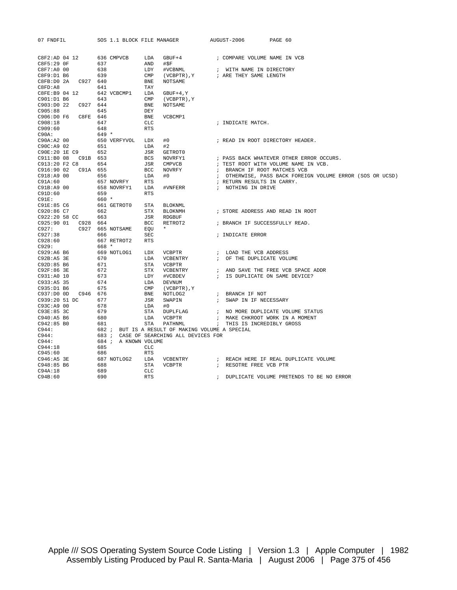| 07 FNDFIL                | SOS 1.1 BLOCK FILE MANAGER |                   |                                                                                                                                                        | AUGUST-2006                    | PAGE 60                                                                                      |
|--------------------------|----------------------------|-------------------|--------------------------------------------------------------------------------------------------------------------------------------------------------|--------------------------------|----------------------------------------------------------------------------------------------|
| C8F2:AD 04 12            | 636 CMPVCB                 | LDA               | GBUF+4 : COMPARE VOLUME NAME IN VCB                                                                                                                    |                                |                                                                                              |
| C8F5:29 OF               | 637                        | AND<br>#SF        |                                                                                                                                                        |                                |                                                                                              |
| $C8F7:A0$ 00             | 638                        | LDY               | #VCBNML                                                                                                                                                | ; WITH NAME IN DIRECTORY       |                                                                                              |
| C8F9:D1 B6               | 639                        | $\texttt{CMP}$    | (VCBPTR), Y ; ARE THEY SAME LENGTH                                                                                                                     |                                |                                                                                              |
|                          |                            | <b>BNE</b>        | NOTSAME                                                                                                                                                |                                |                                                                                              |
| C8FD: A8                 | 641                        | TAY               |                                                                                                                                                        |                                |                                                                                              |
| C8FE:B9 04 12            | 642 VCBCMP1                | LDA               | $GBUF+4, Y$                                                                                                                                            |                                |                                                                                              |
| C901:D1 B6               | 643                        | $\text{CMP}$      | (VCBPTR), Y                                                                                                                                            |                                |                                                                                              |
| C903:D0 22 C927 644      |                            | <b>BNE</b>        | NOTSAME                                                                                                                                                |                                |                                                                                              |
| C905:88                  | 645                        | DEY               |                                                                                                                                                        |                                |                                                                                              |
| C906:D0 F6 C8FE 646      |                            | ${\tt BNE}$       | VCBCMP1                                                                                                                                                |                                |                                                                                              |
| C908:18                  | 647                        | CLC<br><b>RTS</b> |                                                                                                                                                        | ; INDICATE MATCH.              |                                                                                              |
| C909:60<br>C90A:         | 648<br>$649 *$             |                   |                                                                                                                                                        |                                |                                                                                              |
| C90A:A2 00               | 650 VERFYVOL LDX           | #0                |                                                                                                                                                        |                                | ; READ IN ROOT DIRECTORY HEADER.                                                             |
| C90C:A9 02               | 651                        | LDA<br>#2         |                                                                                                                                                        |                                |                                                                                              |
| C90E:20 1E C9            | 652                        | JSR               | GETROT0                                                                                                                                                |                                |                                                                                              |
| C911:B0 08 C91B 653      |                            | <b>BCS</b>        | NOVRFY1                                                                                                                                                |                                |                                                                                              |
| C913:20 F2 C8            | 654                        | JSR               | CMPVCB                                                                                                                                                 |                                | ; PASS BACK WHATEVER OTHER ERROR OCCURS.<br>; TEST ROOT WITH VOLUME NAME IN VCB.             |
| C916:90 02 C91A 655      |                            | <b>BCC</b>        | NOVRFY                                                                                                                                                 | ; BRANCH IF ROOT MATCHES VCB   |                                                                                              |
| C918:A9 00<br>656        |                            | LDA<br>#0         |                                                                                                                                                        |                                | ; OTHERWISE, PASS BACK FOREIGN VOLUME ERROR (SOS OR UCSD)                                    |
| C91A:60                  | 657 NOVRFY                 | <b>RTS</b>        |                                                                                                                                                        | ; RETURN RESULTS IN CARRY.     |                                                                                              |
| C91B:A9 00               | 658 NOVRFY1                | LDA               | #VNFERR                                                                                                                                                | ; NOTHING IN DRIVE             |                                                                                              |
| C91D:60                  | 659                        | <b>RTS</b>        |                                                                                                                                                        |                                |                                                                                              |
| $C91E$ :                 | $660 *$                    |                   |                                                                                                                                                        |                                |                                                                                              |
| C91E:85 C6               | 661 GETROTO                | STA               | BLOKNML                                                                                                                                                |                                |                                                                                              |
| C920:86 C7               | 662                        | STX               | BLOKNMH                                                                                                                                                |                                | ; STORE ADDRESS AND READ IN ROOT                                                             |
| C922:20 58 CC 663        |                            | JSR               | RDGBUF                                                                                                                                                 |                                |                                                                                              |
| C925:90 01  C928  664    |                            | BCC               | RETROT2                                                                                                                                                | ; BRANCH IF SUCCESSFULLY READ. |                                                                                              |
| C927:                    | C927 665 NOTSAME           | EOU *             |                                                                                                                                                        |                                |                                                                                              |
|                          | 666                        | <b>SEC</b>        |                                                                                                                                                        | ; INDICATE ERROR               |                                                                                              |
| C927:38<br>C928:60       | 667 RETROT2                | <b>RTS</b>        |                                                                                                                                                        |                                |                                                                                              |
| C929:                    | 668 *                      |                   |                                                                                                                                                        |                                |                                                                                              |
| C929:A6 B6               | 669 NOTLOG1                | LDX               |                                                                                                                                                        |                                |                                                                                              |
| C92B:AB 3E               | 670                        | LDA               |                                                                                                                                                        |                                |                                                                                              |
| C92D:85 B6               | 671                        | STA               | VCBPTR                                                                                                                                                 |                                |                                                                                              |
| C92F:86 3E               | 672                        | STX               |                                                                                                                                                        |                                | ${\tt VCBENTRY} \qquad \qquad {\tt i} \quad \text{AND} \text{ SAVE THE FREE VCB SPACE ADDR}$ |
| C931:A0 10               | 673                        | LDY               | #VCBDEV                                                                                                                                                | ; IS DUPLICATE ON SAME DEVICE? |                                                                                              |
| C933:AB 35               | 674                        | LDA               | DEVNUM                                                                                                                                                 |                                |                                                                                              |
| C935:D1 B6               | 675                        | $\text{CMP}$      | (VCBPTR), Y                                                                                                                                            |                                |                                                                                              |
| C937:D0 0D C946 676      |                            | <b>BNE</b>        | $\begin{tabular}{lllllllll} NOTLOG2 & & & & & & & & & \texttt{FRANCH IF NOT} \\ \hline \texttt{SWAPIN} & & & & & \texttt{SWAP IN IF NE} \end{tabular}$ |                                |                                                                                              |
| C939:20 51 DC            | 677                        | JSR               |                                                                                                                                                        | ; SWAP IN IF NECESSARY         |                                                                                              |
| C93C:A9 00               | 678                        | LDA<br>#0         |                                                                                                                                                        |                                |                                                                                              |
| C93E:85 3C               | 679<br>680                 | STA<br>LDA        |                                                                                                                                                        |                                | DUPLFLAG : NO MORE DUPLICATE VOLUME STATUS<br>; MAKE CHKROOT WORK IN A MOMENT                |
| C940:A5 B6<br>C942:85 B0 | 681                        | STA               | VCBPTR<br>PATHNML                                                                                                                                      | ; THIS IS INCREDIBLY GROSS     |                                                                                              |
| C944:                    |                            |                   | 682 ; BUT IS A RESULT OF MAKING VOLUME A SPECIAL                                                                                                       |                                |                                                                                              |
|                          |                            |                   | 683 ; CASE OF SEARCHING ALL DEVICES FOR                                                                                                                |                                |                                                                                              |
| C944:<br>C944:           | 684 ; A KNOWN VOLUME       |                   |                                                                                                                                                        |                                |                                                                                              |
| C944:18                  | 685                        | <b>CLC</b>        |                                                                                                                                                        |                                |                                                                                              |
| C945:60                  | 686                        | <b>RTS</b>        |                                                                                                                                                        |                                |                                                                                              |
| C946:A5 3E               | 687 NOTLOG2                | LDA               |                                                                                                                                                        |                                | $\verb VCBENTRY + \qquad \qquad ; \quad \verb REACH HERE IF REAL DUPLICATE VOLUME $          |
| C948:85 B6               | 688                        | <b>STA</b>        | VCBPTR                                                                                                                                                 | ; RESOTRE FREE VCB PTR         |                                                                                              |
| C94A:18                  | 689                        | CLC               |                                                                                                                                                        |                                |                                                                                              |
| C94B:60                  | 690                        | <b>RTS</b>        |                                                                                                                                                        |                                | ; DUPLICATE VOLUME PRETENDS TO BE NO ERROR                                                   |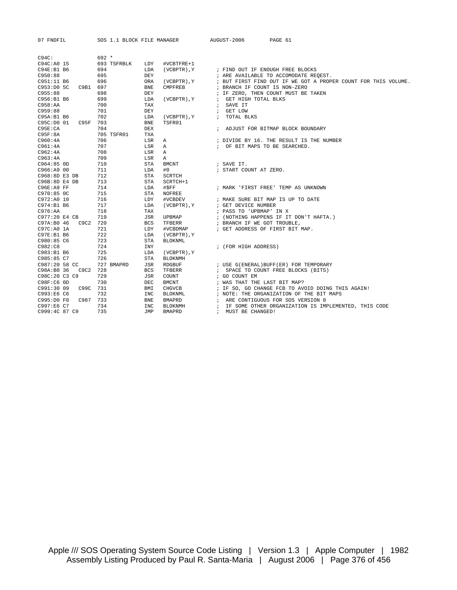| 07 FNDFIL              | SOS 1.1 BLOCK FILE MANAGER |                              | AUGUST-2006<br>PAGE 61                                                                                  |
|------------------------|----------------------------|------------------------------|---------------------------------------------------------------------------------------------------------|
|                        |                            |                              |                                                                                                         |
| C94C:                  | $692 *$                    |                              |                                                                                                         |
| $C94C:AO$ 15           | 693 TSFRBLK                | LDY<br>#VCBTFRE+1            |                                                                                                         |
| C94E:B1 B6             | 694                        | (VCBPTR), Y<br>LDA           | ; FIND OUT IF ENOUGH FREE BLOCKS                                                                        |
| C950:88                | 695                        | <b>DEY</b>                   |                                                                                                         |
| C951:11 B6             | 696                        | ORA<br>$(VCBPTR)$ , $Y$      | ; ARE AVAILABLE TO ACCOMODATE REOEST.<br>; BUT FIRST FIND OUT IF WE GOT A PROPER COUNT FOR THIS VOLUME. |
| C953:D0 5C<br>C9B1 697 |                            | <b>BNE</b><br><b>CMPFREB</b> | ; BRANCH IF COUNT IS NON-ZERO                                                                           |
| C955:88                | 698                        |                              | ; IF ZERO, THEN COUNT MUST BE TAKEN                                                                     |
| C956:B1 B6             |                            | DEY<br>LDA                   |                                                                                                         |
| C958:AA                | 699<br>700                 | $(VCBPTR)$ , $Y$<br>TAX      | ; GET HIGH TOTAL BLKS<br>; SAVE IT                                                                      |
|                        |                            | <b>DEY</b>                   |                                                                                                         |
| C959:88                | 701                        |                              | ; GET LOW                                                                                               |
| C95A:B1 B6             | 702                        | LDA<br>(VCBPTR), Y           | ; TOTAL BLKS                                                                                            |
| C95F<br>C95C:D0 01     | 703                        | <b>BNE</b><br>TSFR01         |                                                                                                         |
| C95E:CA                | 704                        | <b>DEX</b>                   | ; ADJUST FOR BITMAP BLOCK BOUNDARY                                                                      |
| C95F:8A                | 705 TSFR01                 | <b>TXA</b>                   |                                                                                                         |
| C960:4A                | 706                        | LSR<br>A                     | ; DIVIDE BY 16. THE RESULT IS THE NUMBER                                                                |
| C961:4A                | 707                        | LSR<br>Α                     | ; OF BIT MAPS TO BE SEARCHED.                                                                           |
| C962:4A                | 708                        | LSR<br>Α                     |                                                                                                         |
| C963:4A                | 709                        | LSR<br>Α                     |                                                                                                         |
| $C964:85$ OD           | 710                        | <b>STA</b><br><b>BMCNT</b>   | ; SAVE IT.                                                                                              |
| C966: A900             | 711                        | LDA<br>#0                    | ; START COUNT AT ZERO.                                                                                  |
| C968:8D E3 DB          | 712                        | <b>STA</b><br>SCRTCH         |                                                                                                         |
| C96B:8D E4 DB          | 713                        | STA<br>SCRTCH+1              |                                                                                                         |
| C96E:A9 FF             | 714                        | #\$FF<br>LDA                 | ; MARK 'FIRST FREE' TEMP AS UNKNOWN                                                                     |
| C970:850C              | 715                        | <b>STA</b><br><b>NOFREE</b>  |                                                                                                         |
| C972:AD 10             | 716                        | LDY<br>#VCBDEV               | ; MAKE SURE BIT MAP IS UP TO DATE                                                                       |
| C974:B1 B6             | 717                        | (VCBPTR), Y<br>LDA           | ; GET DEVICE NUMBER                                                                                     |
| C976:AA                | 718                        | TAX                          | ; PASS TO 'UPBMAP' IN X                                                                                 |
| C977:20 E4 CB          | 719                        | JSR<br>UPBMAP                | ; (NOTHING HAPPENS IF IT DON'T HAFTA.)                                                                  |
| C97A:B0 46<br>C9C2     | 720                        | <b>BCS</b><br>TFBERR         | ; BRANCH IF WE GOT TROUBLE,                                                                             |
| C97C:A0 1A             | 721                        | LDY<br>#VCBDMAP              | ; GET ADDRESS OF FIRST BIT MAP.                                                                         |
| C97E:B1 B6             | 722                        | LDA<br>(VCBPTR), Y           |                                                                                                         |
| C980:85 C6             | 723                        | <b>STA</b><br><b>BLOKNML</b> |                                                                                                         |
| C982:C8                | 724                        | <b>INY</b>                   | ; (FOR HIGH ADDRESS)                                                                                    |
| C983:B1 B6             | 725                        | LDA<br>(VCBPTR), Y           |                                                                                                         |
| C985:85 C7             | 726                        | <b>STA</b><br><b>BLOKNMH</b> |                                                                                                         |
| C987:20 58 CC          | 727 BMAPRD                 | JSR<br>RDGBUF                | ; USE G(ENERAL)BUFF(ER) FOR TEMPORARY                                                                   |
| C98A:B0 36<br>C9C2     | 728                        | <b>BCS</b><br>TFBERR         | ; SPACE TO COUNT FREE BLOCKS (BITS)                                                                     |
| C98C:20 C3 C9          | 729                        | JSR<br>COUNT                 | ; GO COUNT EM                                                                                           |
| C98F:C6 0D             | 730                        | <b>DEC</b><br><b>BMCNT</b>   | ; WAS THAT THE LAST BIT MAP?                                                                            |
| C991:30 09<br>C99C     | 731                        | BMI<br>CHGVCB                | ; IF SO, GO CHANGE FCB TO AVOID DOING THIS AGAIN!                                                       |
| C993:E6 C6             | 732                        | <b>INC</b><br>BLOKNML        | ; NOTE: THE ORGANIZATION OF THE BIT MAPS                                                                |
| C995:D0 F0<br>C987     | 733                        | <b>BNE</b><br>BMAPRD         | ; ARE CONTIGUOUS FOR SOS VERSION 0                                                                      |
| C997:E6 C7             | 734                        | <b>INC</b><br><b>BLOKNMH</b> | ; IF SOME OTHER ORGANIZATION IS IMPLEMENTED, THIS CODE                                                  |
| C999:4C 87 C9          | 735                        | <b>JMP</b><br><b>BMAPRD</b>  | ; MUST BE CHANGED!                                                                                      |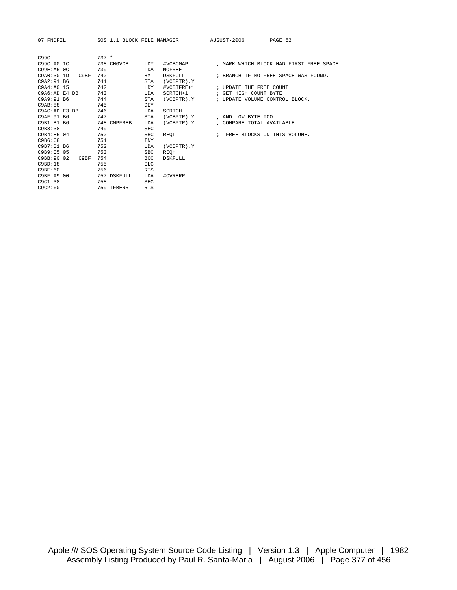| C99C:                           | $737 *$     |            |                  |                                         |
|---------------------------------|-------------|------------|------------------|-----------------------------------------|
| C99C:A0IC                       | 738 CHGVCB  | LDY        | #VCBCMAP         | ; MARK WHICH BLOCK HAD FIRST FREE SPACE |
| C99E:ABOC                       | 739         | LDA        | NOFREE           |                                         |
| C9A0:301D<br>C <sub>9</sub> BF  | 740         | BMI        | DSKFULL          | ; BRANCH IF NO FREE SPACE WAS FOUND.    |
| C9A2:91 B6                      | 741         | STA        | $(VCBPTR)$ , $Y$ |                                         |
| C9A4:A0 15                      | 742         | LDY        | #VCBTFRE+1       | ; UPDATE THE FREE COUNT.                |
| C9A6:AD E4 DB                   | 743         | LDA        | SCRTCH+1         | ; GET HIGH COUNT BYTE                   |
| C9A9:91 B6                      | 744         | STA        | (VCBPTR), Y      | ; UPDATE VOLUME CONTROL BLOCK.          |
| C9AB:88                         | 745         | DEY        |                  |                                         |
| C9AC: AD E3 DB                  | 746         | LDA        | SCRTCH           |                                         |
| C9AF: 91 B6                     | 747         | STA        | (VCBPTR), Y      | ; AND LOW BYTE TOO                      |
| C9B1:B1B6                       | 748 CMPFREB | LDA        | (VCBPTR), Y      | ; COMPARE TOTAL AVAILABLE               |
| C9B3:38                         | 749         | <b>SEC</b> |                  |                                         |
| C9B4:FB 04                      | 750         | SBC        | REOL             | ; FREE BLOCKS ON THIS VOLUME.           |
| C9B6:C8                         | 751         | <b>INY</b> |                  |                                         |
| C9B7:B1B6                       | 752         | LDA        | (VCBPTR), Y      |                                         |
| C9B9:E5 05                      | 753         | <b>SBC</b> | REQH             |                                         |
| C9BB:90 02<br>C <sub>9</sub> BF | 754         | <b>BCC</b> | DSKFULL.         |                                         |
| C9BD:18                         | 755         | CLC        |                  |                                         |
| C9BE:60                         | 756         | <b>RTS</b> |                  |                                         |
| C9BF: A9 00                     | 757 DSKFULL | LDA        | #OVRERR          |                                         |
| C9C1:38                         | 758         | <b>SEC</b> |                  |                                         |
| C9C2:60                         | 759 TFBERR  | <b>RTS</b> |                  |                                         |
|                                 |             |            |                  |                                         |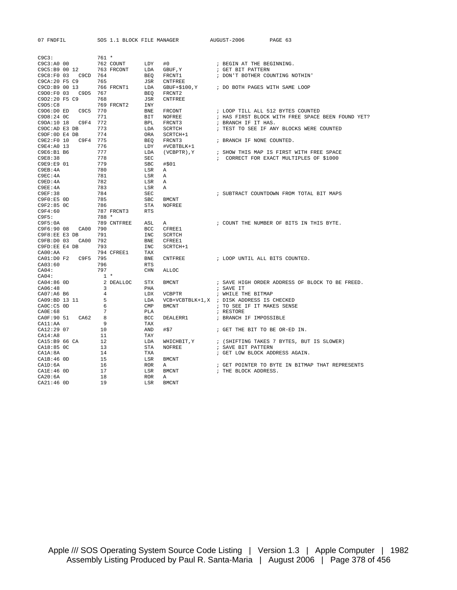| 07 FNDFIL                 | SOS 1.1 BLOCK FILE MANAGER |                   |                                            | AUGUST-2006<br>PAGE 63                            |
|---------------------------|----------------------------|-------------------|--------------------------------------------|---------------------------------------------------|
|                           |                            |                   |                                            |                                                   |
| C9C3:                     | $761 *$                    |                   |                                            |                                                   |
| C9C3:A0 00                | 762 COUNT                  | LDY               | #0                                         | ; BEGIN AT THE BEGINNING.                         |
| C9C5:B9 00 12             | 763 FRCONT                 | LDA               | $\operatorname{GBUF}$ , $\operatorname{Y}$ | ; GET BIT PATTERN                                 |
| C9C8:F0 03 C9CD 764       |                            | BEQ               | FRCNT1                                     | ; DON'T BOTHER COUNTING NOTHIN'                   |
| C9CA: 20 F5 C9            | 765                        | JSR               | CNTFREE                                    |                                                   |
| C9CD:B9 00 13             | 766 FRCNT1                 | LDA               |                                            | GBUF+\$100, Y ; DO BOTH PAGES WITH SAME LOOP      |
| C9D0:F0 03  C9D5  767     | 768                        | BEO               | FRCNT2<br>CNTFREE                          |                                                   |
| C9D2:20 F5 C9<br>C9D5: C8 | 769 FRCNT2                 | JSR<br>INY        |                                            |                                                   |
| C9D6:D0 ED                | C9C5 770                   | BNE               | FRCONT                                     | ; LOOP TILL ALL 512 BYTES COUNTED                 |
| C9D8:24 0C                | 771                        | BIT               | NOFREE                                     | ; HAS FIRST BLOCK WITH FREE SPACE BEEN FOUND YET? |
| C9DA:10 18 C9F4 772       |                            | BPL               | FRCNT3                                     | ; BRANCH IF IT HAS.                               |
| C9DC:AD E3 DB             | 773                        | LDA               | SCRTCH                                     | ; TEST TO SEE IF ANY BLOCKS WERE COUNTED          |
| C9DF:OD E4 DB             | 774                        | ORA               | SCRTCH+1                                   |                                                   |
| C9E2:F0 10 C9F4 775       |                            | <b>BEO</b>        | FRCNT3                                     | ; BRANCH IF NONE COUNTED.                         |
| C9E4:A0 13                | 776                        | LDY               | #VCBTBLK+1                                 |                                                   |
| C9E6:B1 B6                | 777                        | LDA               | (VCBPTR), Y                                | ; SHOW THIS MAP IS FIRST WITH FREE SPACE          |
| C9E8:38                   | 778                        | SEC               |                                            | : CORRECT FOR EXACT MULTIPLES OF \$1000           |
| C9E9:E9 01                | 779                        | SBC               | #\$01                                      |                                                   |
| C9EB: 4A                  | 780                        | LSR               | Α                                          |                                                   |
| C9EC:4A                   | 781                        | LSR               | $\mathbb{A}$                               |                                                   |
| C9ED: 4A                  | 782                        | LSR               | Α                                          |                                                   |
| C9EE:4A                   | 783                        | LSR               | Α                                          |                                                   |
| C9EF:38                   | 784                        | SEC               |                                            | ; SUBTRACT COUNTDOWN FROM TOTAL BIT MAPS          |
| $C9F0:E5$ OD              | 785                        | $_{\rm SBC}$      | <b>BMCNT</b>                               |                                                   |
| C9F2:85 OC                | 786                        | STA               | <b>NOFREE</b>                              |                                                   |
| C9F4:60                   | 787 FRCNT3                 | <b>RTS</b>        |                                            |                                                   |
| C9F5:                     | 788 *                      |                   |                                            |                                                   |
| C9F5:0A                   | 789 CNTFREE                | ASL               | A                                          | ; COUNT THE NUMBER OF BITS IN THIS BYTE.          |
| C9F6:90 08 CA00 790       |                            | <b>BCC</b>        | CFREE1                                     |                                                   |
| C9F8:EE E3 DB             | 791                        | INC               | SCRTCH                                     |                                                   |
| C9FB:D0 03 CA00 792       | 793                        | <b>BNE</b><br>INC | CFREE1<br>SCRTCH+1                         |                                                   |
| C9FD:EE E4 DB<br>CA00:AA  | 794 CFREE1                 | TAX               |                                            |                                                   |
| CA01:D0 F2 C9F5 795       |                            | BNE               | CNTFREE                                    | ; LOOP UNTIL ALL BITS COUNTED.                    |
| CA03:60                   | 796                        | <b>RTS</b>        |                                            |                                                   |
| CA04:                     | 797                        | CHN               | ALLOC                                      |                                                   |
| CAO4:                     | $1 *$                      |                   |                                            |                                                   |
| CA04:86 OD                | 2 DEALLOC                  | STX               | BMCNT                                      | ; SAVE HIGH ORDER ADDRESS OF BLOCK TO BE FREED.   |
| CA06:48                   | $\overline{\mathbf{3}}$    | PHA               |                                            | ; SAVE IT                                         |
| CA07:A6 B6                | $\overline{4}$             | LDX               | VCBPTR                                     | ; WHILE THE BITMAP                                |
| CA09:BD 13 11             | $-5$                       | LDA               |                                            | VCB+VCBTBLK+1, X ; DISK ADDRESS IS CHECKED        |
| C A 0 C : C 5 0 D         | 6                          | $\text{CMP}$      | BMCNT                                      | ; TO SEE IF IT MAKES SENSE                        |
| CAOE:68                   | 7                          | PLA               |                                            | ; RESTORE                                         |
| CA0F:90 51<br>CA62        | 8                          | BCC               | DEALERR1                                   | ; BRANCH IF IMPOSSIBLE                            |
| CA11:AA                   | 9                          | TAX               |                                            |                                                   |
| CA12:29 07                | 10                         | AND               | #\$7                                       | ; GET THE BIT TO BE OR-ED IN.                     |
| CA14:A8                   | 11                         | TAY               |                                            |                                                   |
| CA15:B9 66 CA             | 12                         | LDA               | WHICHBIT, Y                                | ; (SHIFTING TAKES 7 BYTES, BUT IS SLOWER)         |
| CA18:85 OC                | 13                         | STA               | NOFREE                                     | ; SAVE BIT PATTERN                                |
| CA1A:8A                   | 14                         | TXA               |                                            | ; GET LOW BLOCK ADDRESS AGAIN.                    |
| CA1B:46 OD                | 15                         | LSR               | BMCNT                                      |                                                   |
| CA1D:6A                   | 16                         | ROR               | Α                                          | ; GET POINTER TO BYTE IN BITMAP THAT REPRESENTS   |
| $CA1E:46$ OD              | 17                         | LSR               | BMCNT                                      | ; THE BLOCK ADDRESS.                              |
| C A 20:6A                 | 18                         | <b>ROR</b>        | Α                                          |                                                   |
| CA21:46 OD                | 19                         | LSR               | <b>BMCNT</b>                               |                                                   |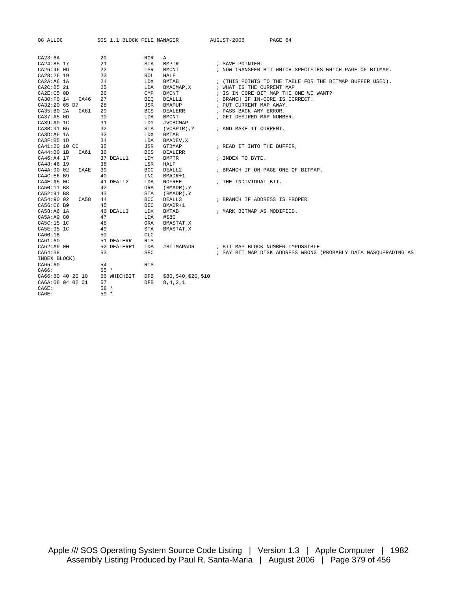| 08 ALLOC           | SOS 1.1 BLOCK FILE MANAGER |                            | AUGUST-2006<br>PAGE 64                                          |
|--------------------|----------------------------|----------------------------|-----------------------------------------------------------------|
|                    |                            |                            |                                                                 |
| CA23:6A            | 20                         | <b>ROR</b><br>A            |                                                                 |
| CA24:85 17         | 21                         | <b>STA</b><br><b>BMPTR</b> | ; SAVE POINTER.                                                 |
| CA26:46 OD         | 22                         | LSR<br><b>BMCNT</b>        | ; NOW TRANSFER BIT WHICH SPECIFIES WHICH PAGE OF BITMAP.        |
| CA28:26 19         | 23                         | <b>ROL</b><br>HALF         |                                                                 |
| CA2A:A6 1A         | 24                         | LDX<br><b>BMTAB</b>        | ; (THIS POINTS TO THE TABLE FOR THE BITMAP BUFFER USED).        |
| CA2C: B5 21        | 25                         | LDA<br>BMACMAP, X          | ; WHAT IS THE CURRENT MAP                                       |
| $CAZE: C5$ OD      | 26                         | CMP<br><b>BMCNT</b>        | ; IS IN CORE BIT MAP THE ONE WE WANT?                           |
| CA30:F0 14<br>CA46 | 27                         | DEALL1<br>BEO              | ; BRANCH IF IN-CORE IS CORRECT.                                 |
| CA32:20 65 D7      | 28                         | JSR<br>BMAPUP              | ; PUT CURRENT MAP AWAY.                                         |
| CA35:B0 2A<br>CA61 | 29                         | <b>BCS</b><br>DEALERR      | ; PASS BACK ANY ERROR.                                          |
| CA37:A5 0D         | 30                         | <b>BMCNT</b><br>LDA        | ; GET DESIRED MAP NUMBER.                                       |
| CA39:A0 1C         | 31                         | LDY<br>#VCBCMAP            |                                                                 |
| CA3B:91 B6         | 32                         | STA<br>(VCBPTR), Y         | ; AND MAKE IT CURRENT.                                          |
| CA3D:A6 1A         | 33                         | LDX<br><b>BMTAB</b>        |                                                                 |
| CA3F:B5 1D         | 34                         | LDA<br>BMADEV, X           |                                                                 |
| CA41:20 10 CC      | 35                         | <b>JSR</b><br>GTBMAP       | ; READ IT INTO THE BUFFER,                                      |
| CA44:B0 1B<br>CA61 | 36                         | <b>BCS</b><br>DEALERR      |                                                                 |
| CA46:A4 17         | 37 DEALL1                  | <b>BMPTR</b><br>LDY        | ; INDEX TO BYTE.                                                |
| CA48:46 19         | 38                         | HALF<br>LSR                |                                                                 |
| CA4A:90 02<br>CA4E | 39                         | BCC<br>DEALL2              | ; BRANCH IF ON PAGE ONE OF BITMAP.                              |
| CA4C:E6 B9         | 40                         | INC<br>BMADR+1             |                                                                 |
| CA4E:A5 OC         | 41 DEALL2                  | LDA<br>NOFREE              | ; THE INDIVIDUAL BIT.                                           |
| CA50:11 B8         | 42                         | ORA<br>(BMADR), Y          |                                                                 |
| CA52:91 B8         | 43                         | STA<br>(BMADR), Y          |                                                                 |
| CA54:90 02<br>CA58 | 44                         | <b>BCC</b><br>DEALL3       | ; BRANCH IF ADDRESS IS PROPER                                   |
| CA56:C6 B9         | 45                         | DEC<br>BMADR+1             |                                                                 |
| CA58:A6 1A         | 46 DEALL3                  | LDX<br><b>BMTAB</b>        | ; MARK BITMAP AS MODIFIED.                                      |
| CA5A:A9 80         | 47                         | #\$80<br>LDA               |                                                                 |
| CASC: 15 1C        | 48                         | ORA<br>BMASTAT, X          |                                                                 |
| CA5E:95 1C         | 49                         | <b>STA</b><br>BMASTAT, X   |                                                                 |
| CA60:18            | 50                         | CLC                        |                                                                 |
| CA61:60            | 51 DEALERR                 | <b>RTS</b>                 |                                                                 |
| CA62:A9 00         | 52 DEALERR1                | LDA<br>#BITMAPADR          | ; BIT MAP BLOCK NUMBER IMPOSSIBLE                               |
| CA64:38            | 53                         | SEC                        | ; SAY BIT MAP DISK ADDRESS WRONG (PROBABLY DATA MASOUERADING AS |
| INDEX BLOCK)       |                            |                            |                                                                 |
| CAG5:60            | 54                         | <b>RTS</b>                 |                                                                 |
| CA66:              | $55 *$                     |                            |                                                                 |
| CA66:80 40 20 10   | 56 WHICHBIT                | \$80,\$40,\$20,\$10<br>DFB |                                                                 |
| CA6A:08 04 02 01   | 57                         | 8, 4, 2, 1<br><b>DFB</b>   |                                                                 |
| CA6E:              | $58 *$                     |                            |                                                                 |
| CA6E:              | $59 *$                     |                            |                                                                 |
|                    |                            |                            |                                                                 |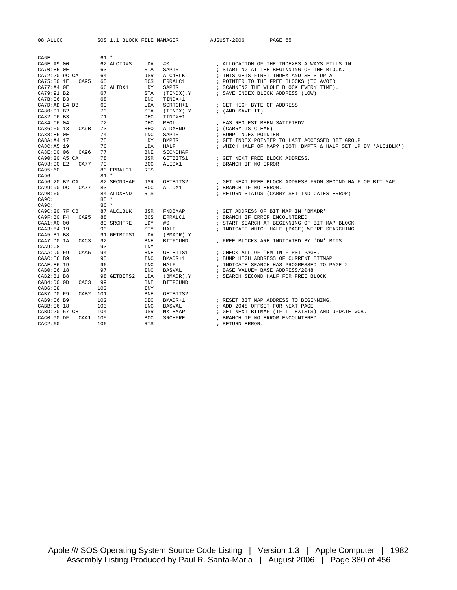CA6E: 61 \* CA6E:A9 00 62 ALCIDXS LDA #0 ; ALLOCATION OF THE INDEXES ALWAYS FILLS IN CA70:85 0E 63 STA SAPTR ; STARTING AT THE BEGINNING OF THE BLOCK. CA72:20 9C CA 64 JSR ALC1BLK ; THIS GETS FIRST INDEX AND SETS UP A CA75:B0 1E CA95 65 BCS ERRALC1 ; POINTER TO THE FREE BLOCKS (TO AVOID CA77:A4 OE 66 ALIDX1 LDY SAPTR 66 FOR SAPTR (CANNING THE WHOLE BLOCK EVERY TIME). CA79:91 B2 67 STA (TINDX),Y ; SAVE INDEX BLOCK ADDRESS (LOW) CA7B:E6 B3 68 INC TINDX+1 CA7D:AD E4 DB 69 LDA SCRTCH+1 ; GET HIGH BYTE OF ADDRESS  $\text{CAB0}:91\text{ B2}$  70 STA  $\text{(TINDX)}$ ,  $\text{Y}$  ; (AND SAVE IT) CA82:C6 B3 71 DEC TINDX+1 CA84:C6 04 72 DEC REQL ; HAS REQUEST BEEN SATIFIED? CA86:F0 13 CA9B 73 BEQ ALDXEND ; (CARRY IS CLEAR) CA88:E6 OE 74 INC SAPTR 7 FUMP INDEX POINTER

08 ALLOC SOS 1.1 BLOCK FILE MANAGER AUGUST-2006 PAGE 65

CA8A:A4 17 75 LDY BMPTR ; GET INDEX POINTER TO LAST ACCESSED BIT GROUP CA8C:A5 19 76 LDA HALF ; WHICH HALF OF MAP? (BOTH BMPTR & HALF SET UP BY 'ALC1BLK') CA8E:D0 06 CA96 77 BNE SECNDHAF CA90:20 A5 CA 78 JSR GETBITS1 ; GET NEXT FREE BLOCK ADDRESS. CA93:90 E2 CA77 79 BCC ALIDX1 ; BRANCH IF NO ERROR CA95:60 80 ERRALC1 RTS CA96: 81 \* CA96:20 B2 CA 82 SECNDHAF JSR GETBITS2 ; GET NEXT FREE BLOCK ADDRESS FROM SECOND HALF OF BIT MAP CA99:90 DC CA77 83 BCC ALIDX1 ; BRANCH IF NO ERROR. CA9B:60 84 ALDXEND RTS ; RETURN STATUS (CARRY SET INDICATES ERROR) CA9C: 85 \* CA9C: 86 \* CA9C:20 7F CB 87 ALC1BLK JSR FNDBMAP ; GET ADDRESS OF BIT MAP IN 'BMADR' CA9F:B0 F4 CA95 88 BCS ERRALC1<br>
CAA1:A0 00 89 SRCHFRE LDY #0<br>
CAA3:84 19 90 STY HALF<br>
CAA3:B1 B8 91 GETBITS1 LDA (RMADD) V<br>
CAA7:D0 13 : START SEARCH AT BEGINNING OF BIT MAP BLOCK ; INDICATE WHICH HALF (PAGE) WE'RE SEARCHING. CAA5:B1 B8 91 GETBITS1 LDA (BMADR),Y CAA7:D0 1A CAC3 92 BNE BITFOUND ; FREE BLOCKS ARE INDICATED BY 'ON' BITS CAA9:C8 93 INY CAAA:D0 F9 CAA5 94 BNE GETBITS1 ; CHECK ALL OF 'EM IN FIRST PAGE. CAAC:E6 B9 95 INC BMADR+1 ; BUMP HIGH ADDRESS OF CURRENT BITMAP CAAE:E6 19 96 INC HALF ; INDICATE SEARCH HAS PROGRESSED TO PAGE 2 CAB0:E6 18 97 INC BASVAL ; BASE VALUE= BASE ADDRESS/2048 CAB2:B1 B8 98 GETBITS2 LDA (BMADR), Y ; SEARCH SECOND HALF FOR FREE BLOCK CAB4:D0 OD CAC3 99 BNE BITFOUND CAB6:C8 100 INY CAB7:D0 F9 CAB2 101 BNE GETBITS2 CAB9:C6 B9 102 DEC BMADR+1 ; RESET BIT MAP ADDRESS TO BEGINNING. CABB:E6 18 103 INC BASVAL ; ADD 2048 OFFSET FOR NEXT PAGE CABD:20 57 CB 104 JSR NXTBMAP ; GET NEXT BITMAP (IF IT EXISTS) AND UPDATE VCB. CAC0:90 DF CAA1 105 BCC SRCHFRE ; BRANCH IF NO ERROR ENCOUNTERED.  $\text{CAC2:60}$   $\qquad \qquad 106$  RTS  $\qquad \qquad$  ; RETURN ERROR.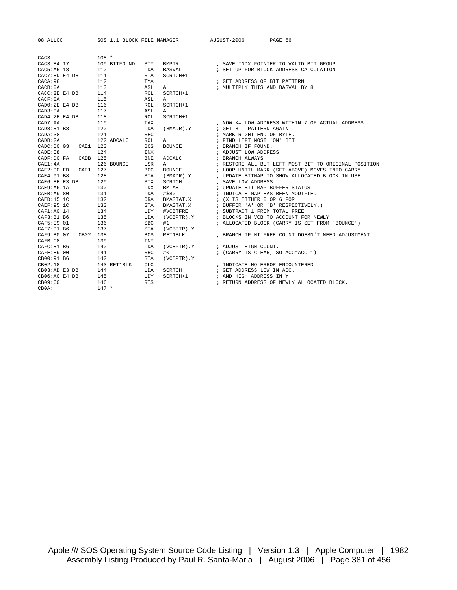| 08 ALLOC       |                  | SOS 1.1 BLOCK FILE MANAGER |            |                  | AUGUST-2006               | PAGE 66                                              |
|----------------|------------------|----------------------------|------------|------------------|---------------------------|------------------------------------------------------|
|                |                  |                            |            |                  |                           |                                                      |
| CAC3:          |                  | $108 *$                    |            |                  |                           |                                                      |
| CAC3:84 17     |                  | 109 BITFOUND               | STY        | BMPTR            |                           | ; SAVE INDX POINTER TO VALID BIT GROUP               |
| CAC5:A5 18     |                  | 110                        | LDA        | BASVAL           |                           | ; SET UP FOR BLOCK ADDRESS CALCULATION               |
| CAC7:8D E4 DB  |                  | 111                        | <b>STA</b> | SCRTCH+1         |                           |                                                      |
| CACA:98        |                  | 112                        | TYA        |                  |                           | ; GET ADDRESS OF BIT PATTERN                         |
| CACB: 0A       |                  | 113                        | ASL        | A                |                           | ; MULTIPLY THIS AND BASVAL BY 8                      |
| CACC: 2E E4 DB |                  | 114                        | <b>ROL</b> | SCRTCH+1         |                           |                                                      |
| CACF:0A        |                  | 115                        | ASL        | Α                |                           |                                                      |
| CAD0:2E E4 DB  |                  | 116                        | ROL        | SCRTCH+1         |                           |                                                      |
| CAD3:0A        |                  | 117                        | ASL        | Α                |                           |                                                      |
| CAD4:2E E4 DB  |                  | 118                        | <b>ROL</b> | SCRTCH+1         |                           |                                                      |
| CAD7:AA        |                  | 119                        | TAX        |                  |                           | ; NOW X= LOW ADDRESS WITHIN 7 OF ACTUAL ADDRESS.     |
| CAD8:B1B8      |                  | 120                        | LDA        | (BMADR), Y       | ; GET BIT PATTERN AGAIN   |                                                      |
| CADA:38        |                  | 121                        | <b>SEC</b> |                  | ; MARK RIGHT END OF BYTE. |                                                      |
| CADB:2A        |                  | 122 ADCALC                 | <b>ROL</b> | Α                | ; FIND LEFT MOST 'ON' BIT |                                                      |
| CADC: B0 03    | CAE1             | 123                        | <b>BCS</b> | <b>BOUNCE</b>    | ; BRANCH IF FOUND.        |                                                      |
| CADE: E8       |                  | 124                        | INX        |                  | ; ADJUST LOW ADDRESS      |                                                      |
| CADF:D0 FA     | CADB             | 125                        | <b>BNE</b> | ADCALC           | ; BRANCH ALWAYS           |                                                      |
| CAE1:4A        |                  | 126 BOUNCE                 | LSR        | Α                |                           | ; RESTORE ALL BUT LEFT MOST BIT TO ORIGINAL POSITION |
| CAE2:90 FD     | CAE1             | 127                        | <b>BCC</b> | <b>BOUNCE</b>    |                           | ; LOOP UNTIL MARK (SET ABOVE) MOVES INTO CARRY       |
| CAE4:91 B8     |                  | 128                        | <b>STA</b> | (BMADR), Y       |                           | ; UPDATE BITMAP TO SHOW ALLOCATED BLOCK IN USE.      |
| CAE6:8E E3 DB  |                  | 129                        | STX        | SCRTCH           | ; SAVE LOW ADDRESS.       |                                                      |
| $CAE9:AG$ 1A   |                  | 130                        | LDX        | BMTAB            |                           | ; UPDATE BIT MAP BUFFER STATUS                       |
| CAEB:A9 80     |                  | 131                        | LDA        | #\$80            |                           | ; INDICATE MAP HAS BEEN MODIFIED                     |
| $CRED:15$ 1C   |                  | 132                        | ORA        | BMASTAT, X       | ; (X IS EITHER 0 OR 6 FOR |                                                      |
| CAEF:95 1C     |                  | 133                        | STA        | BMASTAT, X       |                           | ; BUFFER 'A' OR 'B' RESPECTIVELY.)                   |
| CAF1:A0 14     |                  | 134                        | LDY        | #VCBTFRE         |                           | ; SUBTRACT 1 FROM TOTAL FREE                         |
| CAF3:B1B6      |                  | 135                        | LDA        | (VCBPTR), Y      |                           | ; BLOCKS IN VCB TO ACCOUNT FOR NEWLY                 |
| CAF5:E9 01     |                  | 136                        | <b>SBC</b> | #1               |                           | ; ALLOCATED BLOCK (CARRY IS SET FROM 'BOUNCE')       |
| CAF7:91 B6     |                  | 137                        | <b>STA</b> | $(VCBPTR)$ , $Y$ |                           |                                                      |
| CAF9:B0 07     | CB <sub>02</sub> | 138                        | <b>BCS</b> | RET1BLK          |                           | ; BRANCH IF HI FREE COUNT DOESN'T NEED ADJUSTMENT.   |
| CAFB:C8        |                  | 139                        | <b>INY</b> |                  |                           |                                                      |
| CAFC: B1 B6    |                  | 140                        | LDA        | $(VCBPTR)$ , $Y$ | ; ADJUST HIGH COUNT.      |                                                      |
| CAFE:E9 00     |                  | 141                        | <b>SBC</b> | #0               |                           | ; (CARRY IS CLEAR, SO ACC=ACC-1)                     |
| CB00:91 B6     |                  | 142                        | <b>STA</b> | (VCBPTR), Y      |                           |                                                      |
| CB02:18        |                  | 143 RET1BLK                | <b>CLC</b> |                  |                           | ; INDICATE NO ERROR ENCOUNTERED                      |
| CB03:AD E3 DB  |                  | 144                        | LDA        | SCRTCH           | ; GET ADDRESS LOW IN ACC. |                                                      |
| CB06:AC E4 DB  |                  | 145                        | LDY        | SCRTCH+1         | ; AND HIGH ADDRESS IN Y   |                                                      |
| CB09:60        |                  | 146                        | <b>RTS</b> |                  |                           | ; RETURN ADDRESS OF NEWLY ALLOCATED BLOCK.           |
| CBOA:          |                  | $147 *$                    |            |                  |                           |                                                      |
|                |                  |                            |            |                  |                           |                                                      |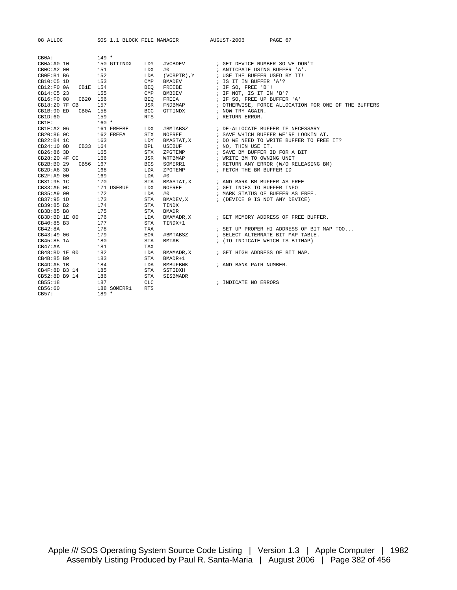| 08 ALLOC            |                           | SOS 1.1 BLOCK FILE MANAGER | AUGUST-2006<br>PAGE 67                               |
|---------------------|---------------------------|----------------------------|------------------------------------------------------|
|                     |                           |                            |                                                      |
| CBOA:               | $149 *$                   |                            |                                                      |
| CB0A:AO 10          | 150 GTTINDX<br>LDY        | #VCBDEV                    | ; GET DEVICE NUMBER SO WE DON'T                      |
| CBC: A2 00          | 151<br>LDX                | #0                         | ; ANTICPATE USING BUFFER 'A'.                        |
| CBOE:B1 B6          | 152<br>LDA                |                            | (VCBPTR), Y : USE THE BUFFER USED BY IT!             |
| $CB10:C5$ 1D        | 153<br>CMP                | BMADEV                     | ; IS IT IN BUFFER 'A'?                               |
| CB12:FO0A           | CB1E 154<br><b>BEO</b>    | FREEBE                     | ; IF SO, FREE 'B'!                                   |
| CB14:C5 23          | 155<br>$\mathsf{CMP}$     | BMBDEV                     | ; IF NOT, IS IT IN 'B'?                              |
| CB16:F0 08          | CB20 156<br>BEO           | FREEA                      | ; IF SO, FREE UP BUFFER 'A'                          |
| CB18:20 7F CB       | 157<br>JSR                | FNDBMAP                    | ; OTHERWISE, FORCE ALLOCATION FOR ONE OF THE BUFFERS |
| CB1B:90 ED          | CB0A 158<br><b>BCC</b>    | GTTINDX                    | ; NOW TRY AGAIN.                                     |
| CBID:60             | 159<br><b>RTS</b>         |                            | ; RETURN ERROR.                                      |
| $CBIE$ :            | $160 *$                   |                            |                                                      |
| $CBIE:A2$ 06        | 161 FREEBE<br>LDX         |                            |                                                      |
| CB20:86 OC          | 162 FREEA<br><b>STX</b>   | NOFREE                     | ; SAVE WHICH BUFFER WE'RE LOOKIN AT.                 |
| CB22:B4 1C          | 163<br>LDY                | BMASTAT, X                 | ; DO WE NEED TO WRITE BUFFER TO FREE IT?             |
| CB24:10 OD CB33 164 | BPL                       | USEBUF                     | ; NO, THEN USE IT.                                   |
| CB26:86 3D          | 165<br><b>STX</b>         | ZPGTEMP                    | ; SAVE BM BUFFER ID FOR A BIT                        |
| CB28:20 4F CC       | 166<br>JSR                | WRTBMAP                    | ; WRITE BM TO OWNING UNIT                            |
| CB2B:B0 29 CB56 167 | BCS                       | SOMERR1                    | ; RETURN ANY ERROR (W/O RELEASING BM)                |
| CB2D:AG3D           | 168<br>LDX                | ZPGTEMP                    | ; FETCH THE BM BUFFER ID                             |
| CB2F: A9 00         | 169<br>LDA                | #0                         |                                                      |
| CB31:95 1C          | 170<br>STA                |                            | BMASTAT, X : AND MARK BM BUFFER AS FREE              |
| CB33:A6OC           | 171 USEBUF<br>LDX         | NOFREE                     | ; GET INDEX TO BUFFER INFO                           |
| CB35:A9 00          | 172<br>LDA                | #0                         | ; MARK STATUS OF BUFFER AS FREE.                     |
| CB37:95 1D          | 173<br>STA                | BMADEV, X                  | ; (DEVICE 0 IS NOT ANY DEVICE)                       |
| CB39:85 B2          | 174<br>STA                | TINDX                      |                                                      |
| CB3B:85 B8          | 175<br>STA                | <b>BMADR</b>               |                                                      |
| CB3D:BD 1E 00       | 176<br>LDA                | BMAMADR, X                 | ; GET MEMORY ADDRESS OF FREE BUFFER.                 |
| CB40:85 B3          | 177<br>STA                | TINDX+1                    |                                                      |
| CB42:8A             | 178<br>TXA                |                            | ; SET UP PROPER HI ADDRESS OF BIT MAP TOO            |
| CB43:49 06          | 179<br>EOR                | #BMTABSZ                   | ; SELECT ALTERNATE BIT MAP TABLE.                    |
| CB45:85 1A          | 180<br><b>STA</b>         | <b>BMTAB</b>               | ; (TO INDICATE WHICH IS BITMAP)                      |
| CB47:AA             | 181<br>TAX                |                            |                                                      |
| CB48:BD 1E 00       | 182<br>LDA                | BMAMADR, X                 | ; GET HIGH ADDRESS OF BIT MAP.                       |
| CB4B:85 B9          | 183<br>STA                | BMADR+1                    |                                                      |
| CB4D: A5 1B         | 184<br>LDA                | BMBUFBNK                   | ; AND BANK PAIR NUMBER.                              |
| CB4F:8D B3 14       | 185<br>STA                | SSTIDXH                    |                                                      |
| CB52:8D B9 14       | 186<br>STA                | SISBMADR                   |                                                      |
| CB55:18             | CLC<br>187                |                            | ; INDICATE NO ERRORS                                 |
| CB56:60             | <b>RTS</b><br>188 SOMERR1 |                            |                                                      |
| CB57:               | $189 *$                   |                            |                                                      |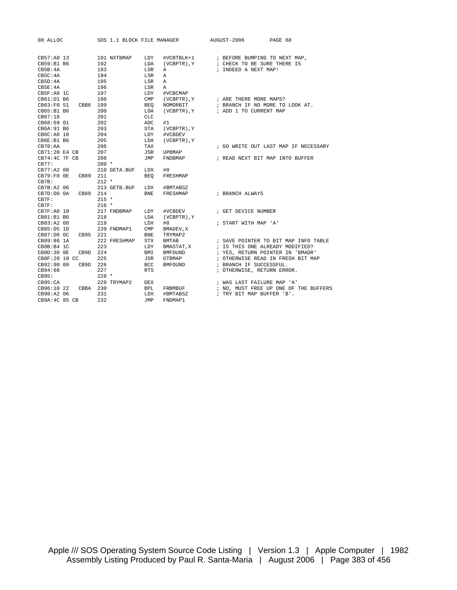| 08 ALLOC                  |          |            | SOS 1.1 BLOCK FILE MANAGER |              |              | AUGUST-2006                | PAGE 68                                 |
|---------------------------|----------|------------|----------------------------|--------------|--------------|----------------------------|-----------------------------------------|
| CB57:A0 13                |          |            | 191 NXTBMAP                |              |              |                            |                                         |
| CB59:B1 B6                |          | 192        |                            | LDY<br>LDA   |              |                            | (VCBPTR), Y : CHECK TO BE SURE THERE IS |
| CBB:4A                    |          | 193        |                            | LSR          | Α            | ; INDEED A NEXT MAP!       |                                         |
| CB5C:4A                   |          |            |                            |              |              |                            |                                         |
| CBD:4A                    |          | 194<br>195 |                            | LSR<br>LSR   | A<br>A       |                            |                                         |
| CB5E:4A                   |          | 196        |                            | LSR          | Α            |                            |                                         |
| $CB5F:AO$ 1C              |          | 197        |                            | LDY          | #VCBCMAP     |                            |                                         |
| CB61:D1 B6                |          | 198        |                            | $\text{CMP}$ | (VCBPTR), Y  | ; ARE THERE MORE MAPS?     |                                         |
| CB63:F0 51                | CBB6 199 |            |                            | BEO          | NOMORBIT     |                            | ; BRANCH IF NO MORE TO LOOK AT.         |
| CB65:B1 B6                |          | 200        |                            | LDA          | (VCBPTR), Y  | ; ADD 1 TO CURRENT MAP     |                                         |
| CB67:18                   |          | 201        |                            | <b>CLC</b>   |              |                            |                                         |
| CB68:69 01                |          | 202        |                            | ADC          | #1           |                            |                                         |
| CB6A: 91 B6               |          | 203        |                            | STA          | (VCBPTR), Y  |                            |                                         |
| CB6C:AO 10                |          | 204        |                            | LDY          | #VCBDEV      |                            |                                         |
| $C\text{B6E}:B1\text{B6}$ |          | 205        |                            | LDA          | (VCBPTR), Y  |                            |                                         |
| CB70:AA                   |          | 206        |                            | TAX          |              |                            | ; GO WRITE OUT LAST MAP IF NECESSARY    |
| CB71:20 E4 CB             |          | 207        |                            | JSR          | UPBMAP       |                            |                                         |
| $CB74:4C$ $7F$ $CB$       |          | 208        |                            | JMP          | FNDBMAP      |                            | ; READ NEXT BIT MAP INTO BUFFER         |
| CB77:                     |          | $209 *$    |                            |              |              |                            |                                         |
| CB77:A2 00                |          |            | 210 GETA.BUF               | LDX          | #0           |                            |                                         |
| $CB79:F0$ OE              | CB89 211 |            |                            | <b>BEO</b>   | FRESHMAP     |                            |                                         |
| CB7B:                     |          | $212 *$    |                            |              |              |                            |                                         |
| $CB7B:A2$ 06              |          |            | 213 GETB.BUF               | LDX          | #BMTABSZ     |                            |                                         |
| CB7D:D0 0A                | CB89 214 |            |                            | BNE          | FRESHMAP     | ; BRANCH ALWAYS            |                                         |
| CB7F:                     |          | $215 *$    |                            |              |              |                            |                                         |
| CB7F:                     |          | $216 *$    |                            |              |              |                            |                                         |
| CB7F:AO 10                |          |            | 217 FNDBMAP                | LDY          | #VCBDEV      | ; GET DEVICE NUMBER        |                                         |
| CB81:B1B6                 |          | 218        |                            | LDA          | (VCBPTR), Y  |                            |                                         |
| CB83:A2 00                |          | 219        |                            | LDX          | #0           | ; START WITH MAP 'A'       |                                         |
| CB85:D51D                 |          |            | 220 FNDMAP1                | CMP          | BMADEV, X    |                            |                                         |
| CB87:DDOC                 | CB95 221 |            |                            | <b>BNE</b>   | TRYMAP2      |                            |                                         |
| CB89:86 1A                |          |            | 222 FRESHMAP               | <b>STX</b>   | <b>BMTAB</b> |                            | ; SAVE POINTER TO BIT MAP INFO TABLE    |
| CB8B:B4 1C                |          | 223        |                            | LDY          | BMASTAT, X   |                            | ; IS THIS ONE ALREADY MODIFIED?         |
| CB8D:30 0E                | CB9D 224 |            |                            | BMI          | BMFOUND      |                            | ; YES, RETURN POINTER IN 'BMADR'        |
| CB8F:20 10 CC             |          | 225        |                            | JSR          | GTBMAP       |                            | ; OTHERWISE READ IN FRESH BIT MAP       |
| CB92:90 09                | CB9D 226 |            |                            | BCC          | BMFOUND      | ; BRANCH IF SUCCESSFUL.    |                                         |
| CB94:60                   |          | 227        |                            | <b>RTS</b>   |              | ; OTHERWISE, RETURN ERROR. |                                         |
| CB95:                     |          | $228 *$    |                            |              |              |                            |                                         |
| CB95:CA                   |          |            | 229 TRYMAP2                | <b>DEX</b>   |              | ; WAS LAST FAILURE MAP 'A' |                                         |
| CB96:10 22                | CBBA 230 |            |                            | BPL          | FRBMBUF      |                            | ; NO, MUST FREE UP ONE OF THE BUFFERS   |
| CB98:A2 06                |          | 231        |                            | LDX          | #BMTABSZ     | ; TRY BIT MAP BUFFER 'B'.  |                                         |
| CB9A:4C 85 CB             |          | 232        |                            | JMP          | FNDMAP1      |                            |                                         |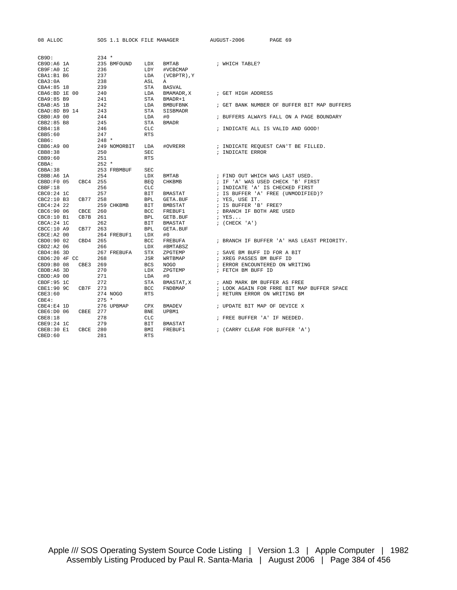| 08 ALLOC                 | SOS 1.1 BLOCK FILE MANAGER |                                        | PAGE 69<br>AUGUST-2006                      |
|--------------------------|----------------------------|----------------------------------------|---------------------------------------------|
|                          |                            |                                        |                                             |
| CB9D:                    | $234 *$                    |                                        |                                             |
| CB9D:A6 1A<br>CB9F:A0 1C | 235 BMFOUND<br>236         | LDX<br><b>BMTAB</b><br>LDY<br>#VCBCMAP | ; WHICH TABLE?                              |
|                          | 237                        |                                        |                                             |
| CBA1:B1 B6<br>CBA3:0A    | 238                        | LDA<br>(VCBPTR), Y<br>ASL<br>Α         |                                             |
| CBA4:85 18               | 239                        | <b>BASVAL</b><br>STA                   |                                             |
| CBA6:BD 1E 00            | 240                        | LDA<br>BMAMADR, X                      | ; GET HIGH ADDRESS                          |
| CBA9:85 B9               | 241                        | STA<br>BMADR+1                         |                                             |
| CBAB:A5 1B               | 242                        | LDA<br><b>BMBUFBNK</b>                 | ; GET BANK NUMBER OF BUFFER BIT MAP BUFFERS |
| CBAD: 8D B9 14           | 243                        | STA<br>SISBMADR                        |                                             |
| CBB0:A9 00               | 244                        | LDA<br>#0                              | ; BUFFERS ALWAYS FALL ON A PAGE BOUNDARY    |
| CBB2:85 B8               | 245                        | <b>STA</b><br><b>BMADR</b>             |                                             |
| CBB4:18                  | 246                        | <b>CLC</b>                             | ; INDICATE ALL IS VALID AND GOOD!           |
| CBB5:60                  | 247                        | <b>RTS</b>                             |                                             |
| CBB6:                    | $248 *$                    |                                        |                                             |
| CBB6:A9 00               | 249 NOMORBIT               | #OVRERR<br>LDA                         | ; INDICATE REQUEST CAN'T BE FILLED.         |
| CBB8:38                  | 250                        | <b>SEC</b>                             | ; INDICATE ERROR                            |
| CBB9:60                  | 251                        | <b>RTS</b>                             |                                             |
| CBBA:                    | $252 *$                    |                                        |                                             |
| CBBA:38                  | 253 FRBMBUF                | <b>SEC</b>                             |                                             |
| CBBB:A6 1A               | 254                        | LDX<br>BMTAB                           | ; FIND OUT WHICH WAS LAST USED.             |
| CBBD:FO 05<br>CBC4 255   |                            | CHKBMB<br><b>BEO</b>                   | ; IF 'A' WAS USED CHECK 'B' FIRST           |
| CBBF:18                  | 256                        | CLC                                    | ; INDICATE 'A' IS CHECKED FIRST             |
| $CBC0:24$ 1C             | 257                        | BIT<br>BMASTAT                         | ; IS BUFFER 'A' FREE (UNMODIFIED)?          |
| $CBC2:10$ B3<br>CB77     | 258                        | <b>BPL</b><br>GETA.BUF                 | ; YES, USE IT.                              |
| $CBC4:24$ 22             | 259 CHKBMB                 | BIT<br>BMBSTAT                         | ; IS BUFFER 'B' FREE?                       |
| CBC6:90 06<br>CBCE       | 260                        | <b>BCC</b><br>FREBUF1                  | ; BRANCH IF BOTH ARE USED                   |
| CBC8:10B1<br>CB7B        | 261                        | <b>BPL</b><br>GETB.BUF                 | ; YES                                       |
| $CBCA:24$ 1C             | 262                        | BIT<br>BMASTAT                         | $;$ (CHECK 'A')                             |
| CBC:10A9<br>CB77         | 263                        | <b>BPL</b><br><b>GETA.BUF</b>          |                                             |
| CBCE: A2 00              | 264 FREBUF1                | LDX<br>#0                              |                                             |
| CBD0:90 02<br>CBD4       | 265                        | <b>BCC</b><br>FREBUFA                  | ; BRANCH IF BUFFER 'A' HAS LEAST PRIORITY.  |
| $CBD2:A2$ 06             | 266                        | <b>LDX</b><br>#BMTABSZ                 |                                             |
| $CBD4:86$ 3D             | 267 FREBUFA                | <b>STX</b><br>ZPGTEMP                  | ; SAVE BM BUFF ID FOR A BIT                 |
| CBD6:20 4F CC            | 268                        | JSR<br>WRTBMAP                         | ; XREG PASSES BM BUFF ID                    |
| CBD9:B0 08<br>CBE3       | 269                        | <b>BCS</b><br><b>NOGO</b>              | ; ERROR ENCOUNTERED ON WRITING              |
| CBDB:A6 3D               | 270                        | LDX<br>ZPGTEMP                         | ; FETCH BM BUFF ID                          |
| CBDD: A9 00              | 271                        | #0<br>LDA                              |                                             |
| CBDF:95 1C               | 272                        | <b>STA</b><br>BMASTAT, X               | ; AND MARK BM BUFFER AS FREE                |
| CBE1:90 9C<br>CB7F       | 273                        | <b>BCC</b><br><b>FNDBMAP</b>           | ; LOOK AGAIN FOR FRRE BIT MAP BUFFER SPACE  |
| CBE3:60                  | 274 NOGO                   | <b>RTS</b>                             | ; RETURN ERROR ON WRITING BM                |
| CBE4:                    | $275 *$                    |                                        |                                             |
| CBE4:E4 1D               | 276 UPBMAP                 | CPX<br><b>BMADEV</b>                   | ; UPDATE BIT MAP OF DEVICE X                |
| CBE6:D0 06<br>CBEE       | 277                        | UPBM1<br><b>BNE</b>                    |                                             |
| CBE8:18                  | 278                        | <b>CLC</b>                             | ; FREE BUFFER 'A' IF NEEDED.                |
| $CBE9:24$ 1C             | 279                        | BIT<br><b>BMASTAT</b>                  |                                             |
| CBEB:30 E1<br>CBCE       | 280                        | BMI<br>FREBUF1                         | ; (CARRY CLEAR FOR BUFFER 'A')              |
| CBED:60                  | 281                        | <b>RTS</b>                             |                                             |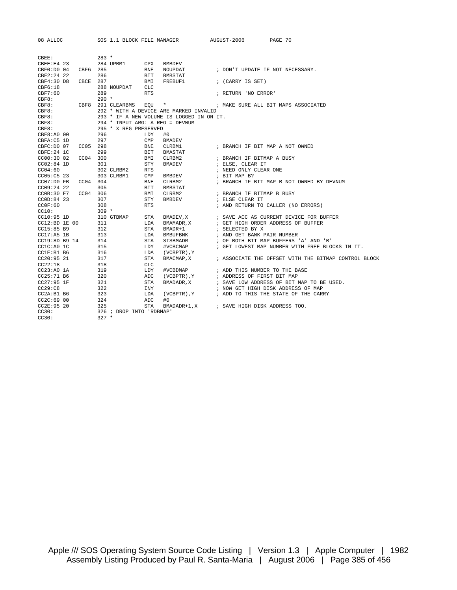| 08 ALLOC                | SOS 1.1 BLOCK FILE MANAGER                 |               | AUGUST-2006 PAGE 70                                                                      |
|-------------------------|--------------------------------------------|---------------|------------------------------------------------------------------------------------------|
|                         |                                            |               |                                                                                          |
| CBEE:                   | $283 *$                                    |               |                                                                                          |
| CBEE: E4 23             | 284 UPBM1 CPX                              | BMBDEV        |                                                                                          |
| CBF0:D0 04 CBF6 285     | BNE                                        | NOUPDAT       | ; DON'T UPDATE IF NOT NECESSARY.                                                         |
| CBF2:24 22              | 286<br>BIT                                 | BMBSTAT       |                                                                                          |
| CBCE 287<br>CBF4:30 D8  | BMI                                        | FREBUF1       | ; (CARRY IS SET)                                                                         |
| CBF6:18                 | 288 NOUPDAT<br>CLC                         |               |                                                                                          |
| CBF7:60                 | 289<br><b>RTS</b>                          |               | ; RETURN 'NO ERROR'                                                                      |
| CBF8:                   | $290 *$                                    |               |                                                                                          |
|                         | CBF8: CBF8 291 CLEARBMS EOU                |               |                                                                                          |
| CBF8:                   | 292 * WITH A DEVICE ARE MARKED INVALID     |               |                                                                                          |
| CBF8:                   | 293 * IF A NEW VOLUME IS LOGGED IN ON IT.  |               |                                                                                          |
| CBF8:                   | 294 * INPUT ARG: A REG = DEVNUM            |               |                                                                                          |
| CBF8:                   | 295 * X REG PRESERVED                      |               |                                                                                          |
| CBF8:A0 00              | 296<br>LDY                                 | #0            |                                                                                          |
| CBFA:C5 1D              | 297<br>$\texttt{CMP}$                      | BMADEV        |                                                                                          |
| CBFC: D0 07<br>CC05 298 | <b>BNE</b>                                 | CLRBM1        | ; BRANCH IF BIT MAP A NOT OWNED                                                          |
| CBFE:24 1C              | 299<br>BIT                                 | BMASTAT       |                                                                                          |
| CC00:30 02<br>CC04 300  | BMI                                        | CLRBM2        |                                                                                          |
| $CC02:84$ 1D            | 301<br>STY                                 | BMADEV        | ; BRANCH IF BITMAP A BUSY<br>; ELSE, CLEAR IT                                            |
| CC04:60                 | <b>RTS</b>                                 |               | ; NEED ONLY CLEAR ONE                                                                    |
| CC05: C523              | 302 CLRBM2<br>303 CLRBM1<br>$\texttt{CMP}$ | BMBDEV        | ; BIT MAP B?                                                                             |
| CC07:D0 FB<br>CC04 304  | BNE                                        | CLRBM2        | ; BRANCH IF BIT MAP B NOT OWNED BY DEVNUM                                                |
| $CC09:24$ 22            | 305<br>BIT                                 | BMBSTAT       |                                                                                          |
| CCOB:30 F7              | CC04 306<br>BMI                            | CLRBM2        | ; BRANCH IF BITMAP B BUSY                                                                |
| CCOD:84 23              | 307<br>STY                                 | <b>BMBDEV</b> |                                                                                          |
| CCOF:60                 | 308<br><b>RTS</b>                          |               | ; ELSE CLEAR IT<br>; AND RETURN TO CALLER (NO ERRORS)                                    |
| CC10:                   | $309 *$                                    |               |                                                                                          |
| $CC10:95$ 1D            | 310 GTBMAP<br>STA                          | BMADEV, X     | ; SAVE ACC AS CURRENT DEVICE FOR BUFFER                                                  |
| CC12:BD 1E 00           | 311<br>LDA                                 | BMAMADR, X    | ; GET HIGH ORDER ADDRESS OF BUFFER                                                       |
| CC15:85 B9              | 312<br>STA                                 | BMADR+1       | ; SELECTED BY X                                                                          |
| $CC17: A5$ 1B           | 313<br>LDA                                 | BMBUFBNK      | ; AND GET BANK PAIR NUMBER                                                               |
| CC19:8D B9 14           | 314<br>STA                                 | SISBMADR      |                                                                                          |
| CC1C:A0 1C              | 315<br>LDY                                 | #VCBCMAP      | ; OF BOTH BIT MAP BUFFERS 'A' AND 'B'<br>; GET LOWEST MAP NUMBER WITH FREE BLOCKS IN IT. |
| CC1E:B1 B6              | 316<br>LDA                                 | (VCBPTR), Y   |                                                                                          |
| CC20:9521               | 317<br>STA                                 |               | BMACMAP, X : ASSOCIATE THE OFFSET WITH THE BITMAP CONTROL BLOCK                          |
| CC22:18                 | 318<br>CLC                                 |               |                                                                                          |
| CC23:A0 1A              | 319<br>LDY                                 | #VCBDMAP      | ; ADD THIS NUMBER TO THE BASE                                                            |
| $CC25:71\  B6$          | 320<br>ADC                                 | (VCBPTR), Y   | ; ADDRESS OF FIRST BIT MAP                                                               |
| $CC27:95$ 1F            | 321<br><b>STA</b>                          | BMADADR, X    | ; SAVE LOW ADDRESS OF BIT MAP TO BE USED.                                                |
| CC29:CB                 | 322<br>INY                                 |               | ; NOW GET HIGH DISK ADDRESS OF MAP                                                       |
| CC2A:B1 B6              | 323<br>LDA                                 |               | (VCBPTR), Y : ADD TO THIS THE STATE OF THE CARRY                                         |
| CC2C:6900               | 324<br>ADC                                 | #0            |                                                                                          |
| CC2E:95 20              | 325<br>STA                                 |               | BMADADR+1, X ; SAVE HIGH DISK ADDRESS TOO.                                               |
| CC30:                   | 326 ; DROP INTO 'RDBMAP'                   |               |                                                                                          |
| CC30:                   | $327 *$                                    |               |                                                                                          |
|                         |                                            |               |                                                                                          |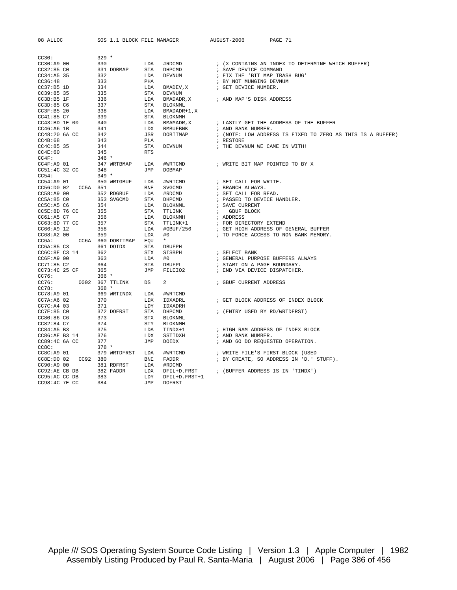| 08 ALLOC                | SOS 1.1 BLOCK FILE MANAGER |            |                 | AUGUST-2006                         | PAGE 71                                                                                                                                                                                                                                    |
|-------------------------|----------------------------|------------|-----------------|-------------------------------------|--------------------------------------------------------------------------------------------------------------------------------------------------------------------------------------------------------------------------------------------|
| CC30:                   | $329 *$                    |            |                 |                                     |                                                                                                                                                                                                                                            |
| CC30: A900              | 330                        | LDA        | #RDCMD          |                                     | ; (X CONTAINS AN INDEX TO DETERMINE WHICH BUFFER)                                                                                                                                                                                          |
| CC32:85 <sub>C0</sub>   | 331 DOBMAP                 | STA        | DHPCMD          | ; SAVE DEVICE COMMAND               |                                                                                                                                                                                                                                            |
| $CC34:A5$ 35            | 332                        | LDA        | DEVNUM          | ; FIX THE 'BIT MAP TRASH BUG'       |                                                                                                                                                                                                                                            |
| CC36:48                 | 333                        | PHA        |                 | ; BY NOT MUNGING DEVNUM             |                                                                                                                                                                                                                                            |
| CC37:B51D               | 334                        | LDA        | BMADEV, X       | ; GET DEVICE NUMBER.                |                                                                                                                                                                                                                                            |
| $CC39:85$ 35            | 335                        | STA        | DEVNUM          |                                     |                                                                                                                                                                                                                                            |
| CC3B:B5 1F              | 336                        | LDA        |                 | BMADADR, X : AND MAP'S DISK ADDRESS |                                                                                                                                                                                                                                            |
| CC3D:85 C6              | 337                        | STA        | <b>BLOKNML</b>  |                                     |                                                                                                                                                                                                                                            |
| CC3F:B5 20              | 338                        | LDA        | BMADADR+1,X     |                                     |                                                                                                                                                                                                                                            |
| CC41:85 C7              | 339                        | STA        | BLOKNMH         |                                     |                                                                                                                                                                                                                                            |
| CC43:BD 1E 00           | 340                        | LDA        | BMAMADR, X      |                                     | ; LASTLY GET THE ADDRESS OF THE BUFFER                                                                                                                                                                                                     |
| $CC46:A6$ 1B            | 341                        | LDX        | <b>BMBUFBNK</b> | ; AND BANK NUMBER.                  |                                                                                                                                                                                                                                            |
| CC48:20 6A CC           | 342                        | JSR        | DOBITMAP        |                                     | ; (NOTE: LOW ADDRESS IS FIXED TO ZERO AS THIS IS A BUFFER)                                                                                                                                                                                 |
| CC4B:68                 | 343                        | PLA        |                 | ; RESTORE                           |                                                                                                                                                                                                                                            |
| $CC4C:85$ 35            | 344                        | STA        | DEVNUM          | ; THE DEVNUM WE CAME IN WITH!       |                                                                                                                                                                                                                                            |
| CC4E:60                 | 345                        | <b>RTS</b> |                 |                                     |                                                                                                                                                                                                                                            |
| CC4F:                   | $346$ *                    |            |                 |                                     |                                                                                                                                                                                                                                            |
| $CC4F: A9$ 01           | 347 WRTBMAP                | LDA        | #WRTCMD         |                                     | ; WRITE BIT MAP POINTED TO BY X                                                                                                                                                                                                            |
| CC51:4C 32 CC           | 348                        | JMP        | DOBMAP          |                                     |                                                                                                                                                                                                                                            |
| CC54:                   | $349 *$                    |            |                 |                                     |                                                                                                                                                                                                                                            |
| $CC54:A9$ 01            | 350 WRTGBUF                | LDA        | #WRTCMD         | ; SET CALL FOR WRITE.               |                                                                                                                                                                                                                                            |
| CC56:D0 02 CC5A 351     |                            | BNE        | SVGCMD          | ; BRANCH ALWAYS.                    |                                                                                                                                                                                                                                            |
| $CC58:A9$ 00            | 352 RDGBUF                 | LDA        | #RDCMD          | ; SET CALL FOR READ.                |                                                                                                                                                                                                                                            |
| CC5A:85 <sub>C0</sub>   | 353 SVGCMD                 | STA        | DHPCMD          |                                     |                                                                                                                                                                                                                                            |
| CC5C: A5 C6             | 354                        | LDA        |                 |                                     |                                                                                                                                                                                                                                            |
| CC5E:8D 76 CC           | 355                        | STA        |                 |                                     |                                                                                                                                                                                                                                            |
| CC61:AB <sub>C7</sub>   | 356                        | LDA        | BLOKNMH         |                                     | DHPCMD : PASSED TO DEVICE HANDLER.<br>BLOKNML : SAVE CURRENT<br>TTLINK : GBUF BLOCK<br>BLOKNMH : ADDRESS<br>TTLINK+1 : FOR DIRECTORY EXTEND<br>#GBUF/256 : GET HIGH ADDRESS OF GENERAL BUFFER<br>#GBUF/256 : GET HIGH ADDRESS OF GENERAL B |
| CC63:8D 77 CC           | 357                        | STA        |                 |                                     |                                                                                                                                                                                                                                            |
| CC66: A9 12             | 358                        | LDA        |                 |                                     |                                                                                                                                                                                                                                            |
| $CC68:A2$ 00            | 359                        | LDX        | #0              |                                     | ; TO FORCE ACCESS TO NON BANK MEMORY.                                                                                                                                                                                                      |
| CC6A: CC6A 360 DOBITMAP |                            | EQU        | $\star$         |                                     |                                                                                                                                                                                                                                            |
| CC6A:85 C3 361 DOIDX    |                            | STA        | DBUFPH          |                                     |                                                                                                                                                                                                                                            |
| CC6C:8E C3 14           | 362                        | STX        | SISBPH          | ; SELECT BANK                       |                                                                                                                                                                                                                                            |
| CC6F: A9 00             | 363                        | LDA        | #0              |                                     | ; GENERAL PURPOSE BUFFERS ALWAYS                                                                                                                                                                                                           |
| CC71:85 C2              | 364                        | STA        | DBUFPL          | ; START ON A PAGE BOUNDARY.         |                                                                                                                                                                                                                                            |
| CC73:4C 25 CF           | 365                        | JMP        | FILEIO2         | ; END VIA DEVICE DISPATCHER.        |                                                                                                                                                                                                                                            |
| CC76:                   | $366*$                     |            |                 |                                     |                                                                                                                                                                                                                                            |
| CC76:                   | 0002 367 TTLINK            | DS         | $\overline{a}$  | ; GBUF CURRENT ADDRESS              |                                                                                                                                                                                                                                            |
| CC78:                   | $368 *$                    |            |                 |                                     |                                                                                                                                                                                                                                            |
| CC78: A9 01             | 369 WRTINDX                | LDA        | #WRTCMD         |                                     |                                                                                                                                                                                                                                            |
| $CC7A:AG$ 02            | 370                        | LDX        | IDXADRL         |                                     | ; GET BLOCK ADDRESS OF INDEX BLOCK                                                                                                                                                                                                         |
| CC7C: A4 03             | 371                        | LDY        | IDXADRH         |                                     |                                                                                                                                                                                                                                            |
| CC7E:85 CO              | 372 DOFRST                 | STA        | DHPCMD          | ; (ENTRY USED BY RD/WRTDFRST)       |                                                                                                                                                                                                                                            |
| CC80:86 C6              | 373                        | STX        | BLOKNML         |                                     |                                                                                                                                                                                                                                            |
| CC82:84 C7              | 374                        | STY        | BLOKNMH         |                                     |                                                                                                                                                                                                                                            |
| CC84:A5B3               | 375                        | LDA        | TINDX+1         |                                     | ; HIGH RAM ADDRESS OF INDEX BLOCK                                                                                                                                                                                                          |
| CC86:AE B3 14           | 376                        | LDX        | SSTIDXH         | ; AND BANK NUMBER.                  |                                                                                                                                                                                                                                            |
| CC89:4C 6A CC           | 377                        | JMP        | DOIDX           |                                     | ; AND GO DO REQUESTED OPERATION.                                                                                                                                                                                                           |
| CC8C:                   | $378 *$                    |            |                 |                                     |                                                                                                                                                                                                                                            |
| CC8C: A9 01             | 379 WRTDFRST LDA           |            | #WRTCMD         |                                     | ; WRITE FILE'S FIRST BLOCK (USED                                                                                                                                                                                                           |
| CC8E:D0 02 CC92 380     |                            | BNE        | FADDR           |                                     | ; BY CREATE, SO ADDRESS IN 'D.' STUFF).                                                                                                                                                                                                    |
| CC90:A9 00              | 381 RDFRST                 | LDA        | #RDCMD          |                                     |                                                                                                                                                                                                                                            |
| CC92:AE CB DB           | 382 FADDR                  | LDX        | DFIL+D.FRST     |                                     | ; (BUFFER ADDRESS IS IN 'TINDX')                                                                                                                                                                                                           |
| CC95:AC CC DB           | 383                        | LDY        | DFIL+D.FRST+1   |                                     |                                                                                                                                                                                                                                            |
| CC98:4C 7E CC           | 384                        | <b>JMP</b> | <b>DOFRST</b>   |                                     |                                                                                                                                                                                                                                            |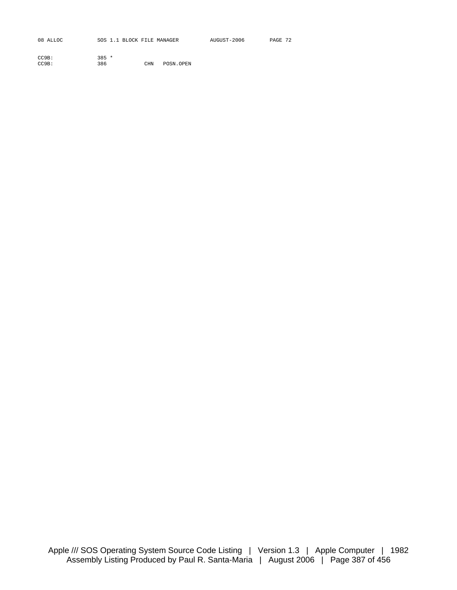| 08 ALLOC | SOS 1.1 BLOCK FILE MANAGER | AUGUST-2006 | PAGE 72 |
|----------|----------------------------|-------------|---------|
|          |                            |             |         |

| CC9B: | $385 *$ |            |           |
|-------|---------|------------|-----------|
| CC9B: | 386     | <b>CHN</b> | POSN.OPEN |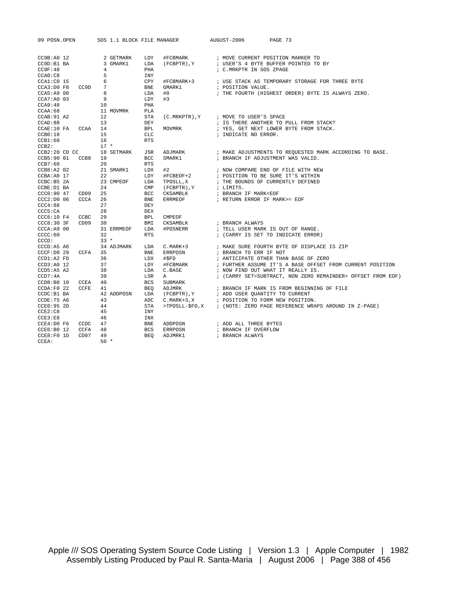| 09 POSN.OPEN                  |                  | SOS 1.1 BLOCK FILE MANAGER        |                          |                    | AUGUST-2006 PAGE 73                              |                                                                                                                                                                                         |
|-------------------------------|------------------|-----------------------------------|--------------------------|--------------------|--------------------------------------------------|-----------------------------------------------------------------------------------------------------------------------------------------------------------------------------------------|
| CC9B: A0 12<br>CC9D:B1 BA     |                  | 2 GETMARK<br>3 GMARK1             | LDY<br>LDA               |                    |                                                  | #FCBMARK : MOVE CURRENT POSITION MARKER TO<br>(FCBPTR), Y : USER'S 4 BYTE BUFFER POINTED TO BY                                                                                          |
| CC9F:48<br>CCAO: C8           |                  | $4\overline{ }$<br>5 <sub>5</sub> | PHA<br>INY               |                    | ; C.MRKPTR IN SOS ZPAGE                          |                                                                                                                                                                                         |
| CCAO:C8<br>CCA1:C0 15         |                  | $6\overline{6}$                   | CPY                      |                    |                                                  |                                                                                                                                                                                         |
| $CCA3:DO$ $F8$                | CC9D 7           |                                   | <b>BNE</b>               | GMARK1             | ; POSITION VALUE.                                |                                                                                                                                                                                         |
| CCA5:A9 00                    |                  | $_{\rm 8}$                        | LDA                      | #0                 |                                                  | ; THE FOURTH (HIGHEST ORDER) BYTE IS ALWAYS ZERO.                                                                                                                                       |
| $CCA7:A0$ 03                  |                  | - 9                               | LDY                      | #3                 |                                                  |                                                                                                                                                                                         |
| CCA9:48                       |                  | 10                                | PHA                      |                    |                                                  |                                                                                                                                                                                         |
| CCAA:68                       |                  | 11 MOVMRK                         | PLA                      |                    |                                                  |                                                                                                                                                                                         |
| CCAB:91A2                     |                  | 12                                | STA                      |                    | $(C.\texttt{MRKPTR})$ , Y ; MOVE TO USER'S SPACE |                                                                                                                                                                                         |
| CCAD:88                       |                  | 13                                | DEY                      |                    |                                                  | ; IS THERE ANOTHER TO PULL FROM STACK?                                                                                                                                                  |
| CCAE:10 FA CCAA 14            |                  |                                   | <b>BPL</b>               |                    |                                                  | $\texttt{MOVMRK} \qquad \qquad ; \; \; \texttt{YES} \, , \; \; \texttt{GET} \; \; \texttt{NEXT} \; \; \texttt{LOWER} \; \; \texttt{BYTE} \; \; \texttt{FROM} \; \; \texttt{STACK} \, .$ |
| CCB0:18                       |                  | 15<br>16                          | <b>CLC</b><br><b>RTS</b> |                    | ; INDICATE NO ERROR.                             |                                                                                                                                                                                         |
| CCB1:60<br>CCB2:              |                  | $17 *$                            |                          |                    |                                                  |                                                                                                                                                                                         |
| CCB2:20 CD CC 18 SETMARK      |                  |                                   | JSR                      | ADJMARK            |                                                  | ; MAKE ADJUSTMENTS TO REQUESTED MARK ACCORDING TO BASE.                                                                                                                                 |
| CCB5:90 01 CCB8 19            |                  |                                   | <b>BCC</b>               |                    |                                                  | SMARK1 : BRANCH IF ADJUSTMENT WAS VALID.                                                                                                                                                |
| CCB7:60                       |                  | 20                                | <b>RTS</b>               |                    |                                                  |                                                                                                                                                                                         |
| CCB8: A2 02                   |                  | 21 SMARK1                         | LDX                      | #2                 |                                                  |                                                                                                                                                                                         |
| CCBA: A0 17                   |                  | 22                                | LDY                      | #FCBEOF+2          |                                                  | ; NOW COMPARE END OF FILE WITH NEW<br>EOF+2             ; POSITION TO BE SURE IT'S WITHIN                                                                                               |
| CCBC: B5 2A                   |                  | 23 CMPEOF                         | LDA                      |                    |                                                  | ${\tt TPOSLL}\,,{\tt X} \qquad \qquad ;{\tt THE\,\,BOUNDS\,\,OF\,\,CURERTLY\,\,DEFINED}\atop ({\tt FCBPTR}\,), {\tt Y} \qquad \qquad ;{\tt\,\,LIMITS}\, .$                              |
| CCBE: D1 BA                   |                  | 24                                | CMP                      |                    |                                                  |                                                                                                                                                                                         |
| CCC0:90 47                    | CD09             | 25                                | <b>BCC</b>               | CKSAMBLK           | ; BRANCH IF MARK <eof< td=""><td></td></eof<>    |                                                                                                                                                                                         |
| CCC2: D0 06                   | CCCA             | 26                                | BNE                      |                    |                                                  |                                                                                                                                                                                         |
| CCC4:88                       |                  | 27                                | DEY                      |                    |                                                  |                                                                                                                                                                                         |
| CCC5:CA                       |                  | 28                                | <b>DEX</b>               |                    |                                                  |                                                                                                                                                                                         |
| CCC6:10 F4 CCBC               |                  | 29                                | <b>BPL</b>               | CMPEOF             |                                                  |                                                                                                                                                                                         |
| CCC8:303F                     | CD <sub>09</sub> | 30                                | BMI                      | CKSAMBLK           | ; BRANCH ALWAYS                                  |                                                                                                                                                                                         |
| CCCA: A9 00<br>CCC:60         |                  | 31 ERRMEOF<br>32                  | LDA<br><b>RTS</b>        | #POSNERR           |                                                  | ; TELL USER MARK IS OUT OF RANGE.<br>; (CARRY IS SET TO INDICATE ERROR)                                                                                                                 |
| CCCD:                         |                  | $33 *$                            |                          |                    |                                                  |                                                                                                                                                                                         |
| CCCD: A5 A6                   |                  | 34 ADJMARK                        | LDA                      | $C.MARK+3$         |                                                  | ; MAKE SURE FOURTH BYTE OF DISPLACE IS ZIP                                                                                                                                              |
| CCCF: D0 29                   | CCFA 35          |                                   | <b>BNE</b>               | ERRPOSN            | ; BRANCH TO ERR IF NOT                           |                                                                                                                                                                                         |
| CCD1:A2 FD                    |                  | 36                                | LDX                      | #\$FD              |                                                  | ; ANTICIPATE OTHER THAN BASE OF ZERO                                                                                                                                                    |
| CCD3:AO 12                    |                  | 37                                | LDY                      |                    |                                                  | #FCBMARK : FURTHER ASSUME IT'S A BASE OFFSET FROM CURRENT POSITION                                                                                                                      |
| CCD5: A5 A2                   |                  | 38                                | LDA                      | C.BASE             |                                                  | ; NOW FIND OUT WHAT IT REALLY IS.                                                                                                                                                       |
| CCD7:4A                       |                  | 39                                | LSR                      | A                  |                                                  | ; (CARRY SET=SUBTRACT, NON ZERO REMAINDER= OFFSET FROM EOF)                                                                                                                             |
| CCD8:B0 10                    | CCEA             | 40                                | <b>BCS</b>               | SUBMARK            |                                                  |                                                                                                                                                                                         |
| CCDA: F0 22                   | CCFE             | 41                                | BEO                      |                    |                                                  |                                                                                                                                                                                         |
| CCDC:B1 BA                    |                  | 42 ADDPOSN                        | LDA                      |                    |                                                  |                                                                                                                                                                                         |
| CCDE:75 A6                    |                  | 43                                | ADC                      |                    | C.MARK+3, X : POSITION TO FORM NEW POSITION.     |                                                                                                                                                                                         |
| CCE0:95 2D                    |                  | 44                                | STA                      |                    |                                                  | >TPOSLL-\$FD, X : (NOTE: ZERO PAGE REFERENCE WRAPS AROUND IN Z-PAGE)                                                                                                                    |
| CCE2:C8                       |                  | 45                                | INY                      |                    |                                                  |                                                                                                                                                                                         |
| CCE3:EB                       |                  | 46<br>47                          | INX<br><b>BNE</b>        |                    |                                                  |                                                                                                                                                                                         |
| CCE4:D0 F6 CCDC<br>CCE6:B0 12 | CCFA             | 48                                | <b>BCS</b>               | ADDPOSN<br>ERRPOSN | ; ADD ALL THREE BYTES<br>; BRANCH IF OVERFLOW    |                                                                                                                                                                                         |
| CCE8:FO 1D                    | CD <sub>07</sub> | 49                                | <b>BEO</b>               | ADJMRK1            | ; BRANCH ALWAYS                                  |                                                                                                                                                                                         |
| $CCEA$ :                      |                  | $50 *$                            |                          |                    |                                                  |                                                                                                                                                                                         |
|                               |                  |                                   |                          |                    |                                                  |                                                                                                                                                                                         |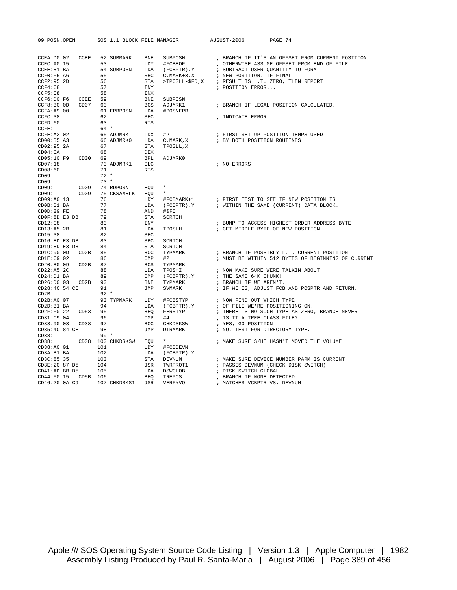| 09 POSN.OPEN                                                                       |     |                                                                                |                                  | SOS 1.1 BLOCK FILE MANAGER                              | AUGUST-2006 PAGE 74                                                                                                                                                                                                                                                                                                                                               |
|------------------------------------------------------------------------------------|-----|--------------------------------------------------------------------------------|----------------------------------|---------------------------------------------------------|-------------------------------------------------------------------------------------------------------------------------------------------------------------------------------------------------------------------------------------------------------------------------------------------------------------------------------------------------------------------|
| CCEC: A0 15<br>CCEE:B1 BA<br>CCF0: F5 A6<br>CCF2:95 2D<br>CCF4:C8 57<br>CCF5:E8 58 |     | CCEA:D0 02 CCEE 52 SUBMARK BNE<br>57                                           | STA<br>INY                       |                                                         | ; BRANCH IF IT'S AN OFFSET FROM CURRENT POSITION<br>52 SUBMARK BNE SUBPOSN : BRANCH IF IT'S AN OFFSET FROM CURRENT POS:<br>53 LDY #FCBEOF : OTHERWISE ASSUME OFFSET FROM END OF FILE.<br>54 SUBPOSN LDA (FCBPTR), Y : SUBTRACT USER QUANTITY TO FORM<br>55 SBC C.MARK+3, Y : NEW POSITI<br>>TPOSLL-\$FD, X ; RESULT IS L.T. ZERO, THEN REPORT<br>; POSITION ERROR |
| $CCF6: D0 F6$ $CCEE$ 59<br>CCF8:B0 0D CD07 60                                      |     | <b>BCS</b><br>$CCFA: A9 00$ 61 ERRPOSN LDA                                     | INX<br>BNE                       | SUBPOSN<br>ADJMRK1<br>#POSNERR                          | ; BRANCH IF LEGAL POSITION CALCULATED.                                                                                                                                                                                                                                                                                                                            |
| CCFC:38<br>CCFD:60<br>CCFE:                                                        |     | 62<br>63<br>$64 *$                                                             | SEC<br>RTS                       |                                                         | ; INDICATE ERROR                                                                                                                                                                                                                                                                                                                                                  |
| CD02:95 2A<br>CD04:CA                                                              |     | CCFE:A2 02 65 ADJMRK LDX #2<br>CD00:B5 A3 66 ADJMRK0 LDA C.MARK, X<br>67<br>68 | STA<br>DEX                       | TPOSLL, X                                               | ; FIRST SET UP POSITION TEMPS USED<br>; BY BOTH POSITION ROUTINES                                                                                                                                                                                                                                                                                                 |
| CD05:10 F9 CD00 69<br>CD07:18<br>CD08:60<br>CD09:                                  |     | 70 ADJMRK1 CLC<br>71<br>$72*$                                                  | <b>BPL</b><br>RTS                | ADJMRK0                                                 | ; NO ERRORS                                                                                                                                                                                                                                                                                                                                                       |
| CD09:<br>CD09:                                                                     |     | $73*$<br>CD09 74 RDPOSN EQU<br>CD09: CD09 75 CKSAMBLK EQU                      |                                  | $\star$<br>$\star$                                      |                                                                                                                                                                                                                                                                                                                                                                   |
| CD09:A0 13<br>CD0B:B1 BA<br>$CDOB:B1$ BA<br>$CDOD:29$ FE                           |     | 76<br><b>LDY</b><br>77<br>78                                                   |                                  | AND #\$FE                                               | LDY #FCBMARK+1 : FIRST TEST TO SEE IF NEW POSITION IS<br>LDA (FCBPTR),Y : WITHIN THE SAME (CURRENT) DATA BLOCK.                                                                                                                                                                                                                                                   |
| CDOF: 8D E3 DB<br>CD12: C8 80<br>CD13: A5 2B 81<br>CD15:38                         |     | 82                                                                             | STA<br>INY<br>LDA<br>SEC         | SCRTCH                                                  | ; BUMP TO ACCESS HIGHEST ORDER ADI<br>TPOSLH                 ; GET MIDDLE BYTE OF NEW POSITION<br>; BUMP TO ACCESS HIGHEST ORDER ADDRESS BYTE                                                                                                                                                                                                                     |
| $CD16:ED E3 DB$ 83<br>$CD19:8D E3 DB$ 84<br>$CDIC:90$ $OD$ $CD2B$ $85$             |     |                                                                                | SBC<br><b>STA</b><br><b>BCC</b>  | SCRTCH<br>SCRTCH<br>TYPMARK                             | ; BRANCH IF POSSIBLY L.T. CURRENT POSITION                                                                                                                                                                                                                                                                                                                        |
| $CD1E: C9$ 02<br>CD20:B0 09 CD2B 87<br>CD22:A5 2C                                  |     | 86<br>88                                                                       | $\text{CMP}$<br>$_{\rm BCS}$ LDA | #2<br>TYPMARK<br>TPOSHI                                 | ; MUST BE WITHIN 512 BYTES OF BEGINNING OF CURRENT<br>; NOW MAKE SURE WERE TALKIN ABOUT                                                                                                                                                                                                                                                                           |
| $CD24:D1$ BA<br>CD26:D0 03 CD2B 90<br>CD28:4C 54 CE 91                             |     | 89                                                                             | <b>BNE</b><br>JMP                | CMP (FCBPTR), Y<br>TYPMARK<br>SVMARK                    | ; THE SAME 64K CHUNK!<br>; BRANCH IF WE AREN'T.<br>; IF WE IS, ADJUST FCB AND POSPTR AND RETURN.                                                                                                                                                                                                                                                                  |
| CD2B:<br>$CD2B:A0$ 07<br>CD2D:B1 BA                                                |     | $92 *$<br>94<br>LDA                                                            |                                  |                                                         | 93 TYPMARK LDY #FCBSTYP : NOW FIND OUT WHICH TYPE<br>; OF FILE WE'RE POSITIONING ON.                                                                                                                                                                                                                                                                              |
| CD2F:F0 22 CD53 95<br>CD31:C9 04 96<br>CD33:90 03 CD38 97                          |     |                                                                                |                                  | LDA (FCBPTR),Y<br>BEQ FERRTYP<br>CMP #4<br>BCC CHKDSKSW | ; THERE IS NO SUCH TYPE AS ZERO, BRANCH NEVER!<br>; IS IT A TREE CLASS FILE?<br>; YES, GO POSITION                                                                                                                                                                                                                                                                |
| CD35:4C 84 CE 98<br>CD38: 99<br>CD38:                                              |     | $99*$<br>CD38: CD38 100 CHKDSKSW EQU                                           | JMP                              | DIRMARK<br>$\star$                                      | ; NO, TEST FOR DIRECTORY TYPE.<br>; MAKE SURE S/HE HASN'T MOVED THE VOLUME                                                                                                                                                                                                                                                                                        |
| CD38:A0 01<br>CD3A:B1 BA<br>CD3C:85 35                                             | 101 | 102<br>103                                                                     | STA                              | LDY #FCBDEVN<br>LDA (FCBPTR), Y<br>DEVNUM               | ; MAKE SURE DEVICE NUMBER PARM IS CURRENT                                                                                                                                                                                                                                                                                                                         |
| CD3E: 20 87 D5 104<br>CD41: AD BB D5 105<br>CD44:F0 15 CD5B 106                    |     |                                                                                | JSR<br>LDA<br><b>BEO</b>         | TWRPROT1<br>DSWGLOB<br>TREPOS                           | ; PASSES DEVNUM (CHECK DISK SWITCH)<br>; DISK SWITCH GLOBAL<br>; BRANCH IF NONE DETECTED                                                                                                                                                                                                                                                                          |
|                                                                                    |     | CD46:20 0A C9 107 CHKDSKS1 JSR                                                 |                                  | VERFYVOL                                                | ; MATCHES VCBPTR VS. DEVNUM                                                                                                                                                                                                                                                                                                                                       |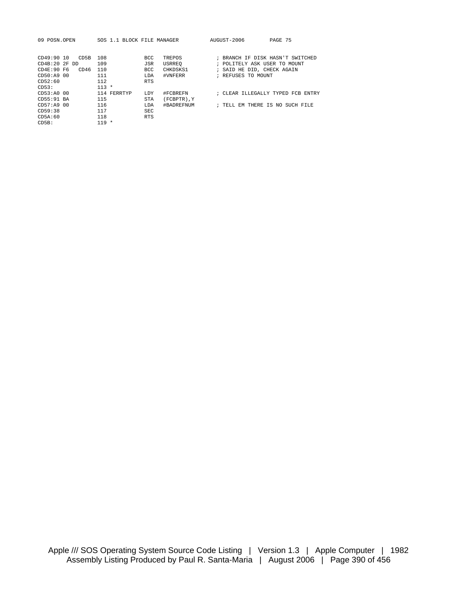| 09 POSN.OPEN       | SOS 1.1 BLOCK FILE MANAGER |            |               | AUGUST-2006                     | PAGE 75                           |
|--------------------|----------------------------|------------|---------------|---------------------------------|-----------------------------------|
|                    |                            |            |               |                                 |                                   |
| CD49:90 10<br>CD5B | 108                        | <b>BCC</b> | TREPOS        |                                 | ; BRANCH IF DISK HASN'T SWITCHED  |
| CD4B:20 2F DD      | 109                        | JSR        | <b>USRREO</b> | ; POLITELY ASK USER TO MOUNT    |                                   |
| CD4E:90F6<br>CD46  | 110                        | <b>BCC</b> | CHKDSKS1      | ; SAID HE DID, CHECK AGAIN      |                                   |
| CD50:49.00         | 111                        | LDA        | #VNFERR       | ; REFUSES TO MOUNT              |                                   |
| CD52:60            | 112                        | <b>RTS</b> |               |                                 |                                   |
| CD53:              | $113 *$                    |            |               |                                 |                                   |
| CD53:AA000         | 114 FERRTYP                | <b>LDY</b> | #FCBREFN      |                                 | ; CLEAR ILLEGALLY TYPED FCB ENTRY |
| $CD55:91$ BA       | 115                        | <b>STA</b> | (FCBPTR), Y   |                                 |                                   |
| CD57:49.00         | 116                        | LDA        | #BADREFNUM    | ; TELL EM THERE IS NO SUCH FILE |                                   |
| CD59:38            | 117                        | <b>SEC</b> |               |                                 |                                   |
| CD5A:60            | 118                        | <b>RTS</b> |               |                                 |                                   |
| CDSB:              | $119 *$                    |            |               |                                 |                                   |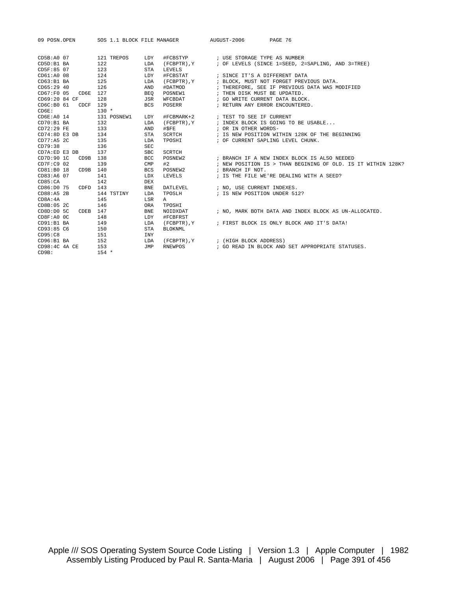| 09 POSN.OPEN                |                 |              |                | SOS 1.1 BLOCK FILE MANAGER AUGUST-2006<br>PAGE 76             |  |
|-----------------------------|-----------------|--------------|----------------|---------------------------------------------------------------|--|
|                             |                 |              |                |                                                               |  |
| CD5B:A0 07 121 TREPOS LDY   |                 |              |                | #FCBSTYP : USE STORAGE TYPE AS NUMBER                         |  |
| CDD:B1 BA                   | 122             | LDA          |                | (FCBPTR), Y : OF LEVELS (SINCE 1=SEED, 2=SAPLING, AND 3=TREE) |  |
| CD5F:85 07                  | 123             | STA          | LEVELS         |                                                               |  |
| $CD61:A0$ 08                | 124             | LDY          | #FCBSTAT       | ; SINCE IT'S A DIFFERENT DATA                                 |  |
| CD63:B1BA                   | 125             | LDA          | (FCBPTR), Y    | ; BLOCK, MUST NOT FORGET PREVIOUS DATA.                       |  |
| CD65:29:40                  | 126             | AND          | #DATMOD        | ; THEREFORE, SEE IF PREVIOUS DATA WAS MODIFIED                |  |
| CD67:F0 05 CD6E 127         |                 | BEO          | POSNEW1        | ; THEN DISK MUST BE UPDATED.                                  |  |
| CD69:20 84 CF               | 128             | JSR          | WFCBDAT        | ; GO WRITE CURRENT DATA BLOCK.                                |  |
| CD6C:B0 61 CDCF 129         |                 | <b>BCS</b>   |                | POSERR FOSERR FRETURN ANY ERROR ENCOUNTERED.                  |  |
| $C\text{D6E}$ :             | $130 *$         |              |                |                                                               |  |
| $C\text{D6E}: \text{A0}$ 14 | 131 POSNEW1 LDY |              |                |                                                               |  |
| $CD70:B1$ BA                | 132             | LDA          |                | (FCBPTR), Y : INDEX BLOCK IS GOING TO BE USABLE               |  |
| $CD72:29$ FE                | 133             | AND          | #SFE           | ; OR IN OTHER WORDS-                                          |  |
| CD74:8D E3 DB               | 134             | STA          | SCRTCH         | ; IS NEW POSITION WITHIN 128K OF THE BEGINNING                |  |
| $CD77:AB$ 2C                | 135             | LDA          |                | TPOSHI : OF CURRENT SAPLING LEVEL CHUNK.                      |  |
| CD79:38                     | 136             | SEC          |                |                                                               |  |
| CD7A:ED E3 DB               | 137             | $_{\rm SBC}$ | SCRTCH         |                                                               |  |
| CD7D:90 1C<br>CD9B 138      |                 | <b>BCC</b>   | POSNEW2        | ; BRANCH IF A NEW INDEX BLOCK IS ALSO NEEDED                  |  |
| $CD7F:C9$ 02                | 139             | CMP          | #2             | ; NEW POSITION IS > THAN BEGINING OF OLD. IS IT WITHIN 128K?  |  |
| CD81:B0 18<br>CD9B 140      |                 | <b>BCS</b>   |                | POSNEW2 : BRANCH IF NOT.                                      |  |
| CD83:A6 07                  | 141             | LDX          |                | LEVELS : IS THE FILE WE'RE DEALING WITH A SEED?               |  |
| CD85:CA                     | 142             | DEX          |                |                                                               |  |
| CD86:D0 75 CDFD 143         |                 | <b>BNE</b>   |                | DATLEVEL : NO, USE CURRENT INDEXES.                           |  |
| CD88:AB 2B                  | 144 TSTINY      | LDA          |                | TPOSLH : IS NEW POSITION UNDER 512?                           |  |
| CD8A:4A                     | 145             | LSR          | A              |                                                               |  |
| CDBB:05 <sub>2C</sub>       | 146             | ORA          | TPOSHI         |                                                               |  |
| CDEB 147<br>CDBD: D0 5C     |                 | <b>BNE</b>   | NOIDXDAT       | ; NO, MARK BOTH DATA AND INDEX BLOCK AS UN-ALLOCATED.         |  |
| CD8F: A0 0C                 | 148             | LDY          | #FCBFRST       |                                                               |  |
| CD91:B1BA                   | 149             | LDA          |                | (FCBPTR), Y : FIRST BLOCK IS ONLY BLOCK AND IT'S DATA!        |  |
| CD93:85 C6                  | 150             | STA          | <b>BLOKNML</b> |                                                               |  |
| CD95:CB                     | 151             | INY          |                |                                                               |  |
| $CD96:B1$ BA                | 152             | LDA          |                | (FCBPTR), Y ; (HIGH BLOCK ADDRESS)                            |  |
| CD98:4C <sub>4A</sub> CE    | 153             | JMP          |                | RNEWPOS : GO READ IN BLOCK AND SET APPROPRIATE STATUSES.      |  |
| CD9B:                       | $154 *$         |              |                |                                                               |  |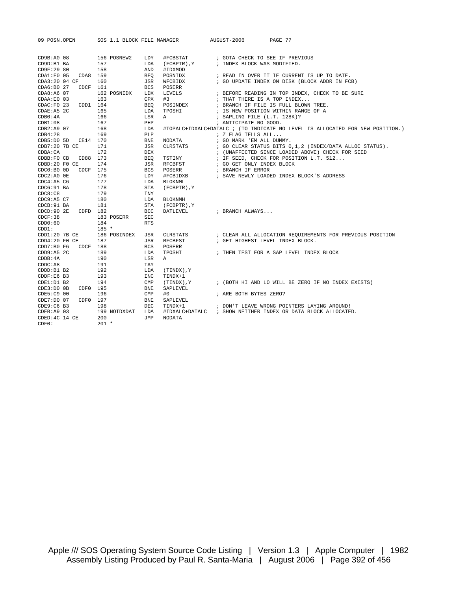| 09 POSN.OPEN            | SOS 1.1 BLOCK FILE MANAGER |              |                | AUGUST-2006                      | PAGE 77                                                                       |
|-------------------------|----------------------------|--------------|----------------|----------------------------------|-------------------------------------------------------------------------------|
| $CD9B:AO$ 08            | 156 POSNEW2                | LDY          | #FCBSTAT       | ; GOTA CHECK TO SEE IF PREVIOUS  |                                                                               |
| CD9D:B1 BA              | 157                        | LDA          | (FCBPTR), Y    | ; INDEX BLOCK WAS MODIFIED.      |                                                                               |
| CD9F:29 80              | 158                        | AND          | #IDXMOD        |                                  |                                                                               |
| CDA1:FO 05<br>CDA8 159  |                            | <b>BEO</b>   | POSNIDX        |                                  | ; READ IN OVER IT IF CURRENT IS UP TO DATE.                                   |
| CDA3:20 94 CF           | 160                        | JSR          | WFCBIDX        |                                  | ; GO UPDATE INDEX ON DISK (BLOCK ADDR IN FCB)                                 |
| CDA6:B027<br>$CDCF$ 161 |                            | <b>BCS</b>   | POSERR         |                                  |                                                                               |
| CDA8:A6 07              | 162 POSNIDX                | LDX          | LEVELS         |                                  | ; BEFORE READING IN TOP INDEX, CHECK TO BE SURE                               |
| CDAA:E0 03              | 163                        | <b>CPX</b>   | #3             | ; THAT THERE IS A TOP INDEX      |                                                                               |
| CDD1 164<br>CDAC:FO 23  |                            | <b>BEO</b>   | POSINDEX       |                                  | ; BRANCH IF FILE IS FULL BLOWN TREE.                                          |
| CDAE: A5 2C             | 165                        | LDA          | TPOSHI         |                                  | ; IS NEW POSITION WITHIN RANGE OF A                                           |
| CDB0:4A                 | 166                        | LSR          | $\mathbb{A}$   | ; SAPLING FILE (L.T. 128K)?      |                                                                               |
| CDB1:08                 | 167                        | PHP          |                | ; ANTICIPATE NO GOOD.            |                                                                               |
| CDB2: A9 07             | 168                        | LDA          |                |                                  | #TOPALC+IDXALC+DATALC ; (TO INDICATE NO LEVEL IS ALLOCATED FOR NEW POSITION.) |
| CDB4:28                 | 169                        | PLP          |                | ; Z FLAG TELLS ALL               |                                                                               |
| CDB5: D0 5D<br>CE14 170 |                            | <b>BNE</b>   | NODATA         | ; GO MARK 'EM ALL DUMMY.         |                                                                               |
| CDB7:20 7B CE           | 171                        | JSR          | CLRSTATS       |                                  | ; GO CLEAR STATUS BITS 0,1,2 (INDEX/DATA ALLOC STATUS).                       |
| CDBA:CA                 | 172                        | <b>DEX</b>   |                |                                  | ; (UNAFFECTED SINCE LOADED ABOVE) CHECK FOR SEED                              |
| CDBB: F0 CB<br>CD88     | 173                        | <b>BEO</b>   | TSTINY         |                                  | ; IF SEED, CHECK FOR POSITION L.T. 512                                        |
| CDBD:20 F0 CE           | 174                        | JSR          | RFCBFST        | ; GO GET ONLY INDEX BLOCK        |                                                                               |
| CDC0:B0 OD<br>CDCF      | 175                        | <b>BCS</b>   | POSERR         | ; BRANCH IF ERROR                |                                                                               |
| $CDC2:AO$ $0E$          | 176                        | LDY          | #FCBIDXB       |                                  | ; SAVE NEWLY LOADED INDEX BLOCK'S ADDRESS                                     |
| CDC4:AB <sub>C6</sub>   | 177                        | LDA          | <b>BLOKNML</b> |                                  |                                                                               |
| $CDC6:91$ BA            | 178                        | STA          | (FCBPTR), Y    |                                  |                                                                               |
| CDC8: C8                | 179                        | INY          |                |                                  |                                                                               |
| CDC9: A5 C7             | 180                        | LDA          | <b>BLOKNMH</b> |                                  |                                                                               |
| CDCB:91 BA              | 181                        | STA          | (FCBPTR), Y    |                                  |                                                                               |
| CDCD:90 2E<br>CDFD 182  |                            | <b>BCC</b>   | DATLEVEL       | ; BRANCH ALWAYS                  |                                                                               |
| CDCF:38                 | 183 POSERR                 | <b>SEC</b>   |                |                                  |                                                                               |
| CDD0:60                 | 184                        | <b>RTS</b>   |                |                                  |                                                                               |
| CDD1:                   | $185 *$                    |              |                |                                  |                                                                               |
| $CDD1:20$ 7B $CE$       | 186 POSINDEX               | <b>JSR</b>   | CLRSTATS       |                                  | ; CLEAR ALL ALLOCATION REQUIREMENTS FOR PREVIOUS POSITION                     |
| CDD4:20 F0 CE           | 187                        | JSR          | RFCBFST        | ; GET HIGHEST LEVEL INDEX BLOCK. |                                                                               |
| CDCF<br>CDD7:B0 F6      | 188                        | BCS          | POSERR         |                                  |                                                                               |
| CDD9: A5 2C             | 189                        | LDA          | TPOSHI         |                                  | ; THEN TEST FOR A SAP LEVEL INDEX BLOCK                                       |
| CDDB:4A                 | 190                        | LSR          | Α              |                                  |                                                                               |
| CDDC: A8                | 191                        | TAY          |                |                                  |                                                                               |
| CDDD: B1 B2             | 192                        | LDA          | (TINDX), Y     |                                  |                                                                               |
| CDDF: E6 B3             | 193                        | INC          | TINDX+1        |                                  |                                                                               |
| CDE1: D1 B2             | 194                        | CMP          | Y, (TINDX)     |                                  | ; (BOTH HI AND LO WILL BE ZERO IF NO INDEX EXISTS)                            |
| CDE3:DOOB<br>CDF0       | 195                        | <b>BNE</b>   | SAPLEVEL       |                                  |                                                                               |
| CDE5: C9 00             | 196                        | $\text{CMP}$ | #0             | ; ARE BOTH BYTES ZERO?           |                                                                               |
| CDF7: D0 07<br>CDF0     | 197                        | <b>BNE</b>   | SAPLEVEL       |                                  |                                                                               |
| CDE9:C6 B3              | 198                        | <b>DEC</b>   | TINDX+1        |                                  | ; DON'T LEAVE WRONG POINTERS LAYING AROUND!                                   |
| CDEB: A9 03             | 199 NOIDXDAT               | LDA          |                |                                  | #IDXALC+DATALC : SHOW NEITHER INDEX OR DATA BLOCK ALLOCATED.                  |
| CDED: 4C 14 CE          | 200                        | TMP.         | <b>NODATA</b>  |                                  |                                                                               |
| CDF0:                   | $201 *$                    |              |                |                                  |                                                                               |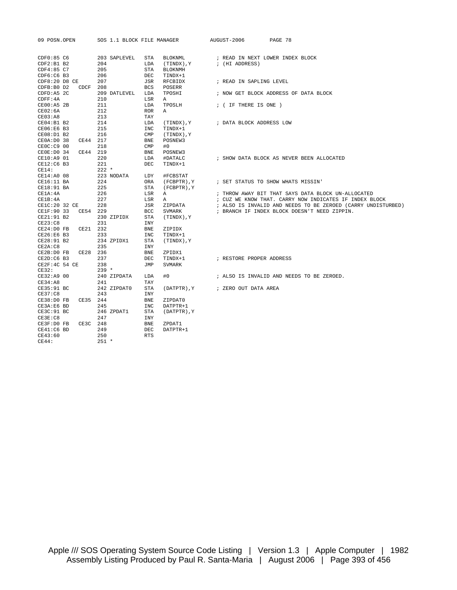| 09 POSN.OPEN               | SOS 1.1 BLOCK FILE MANAGER |                              | AUGUST-2006<br>PAGE 78                                       |
|----------------------------|----------------------------|------------------------------|--------------------------------------------------------------|
|                            |                            |                              |                                                              |
| CDF0:85 C6                 | 203 SAPLEVEL               | STA<br>BLOKNML               | ; READ IN NEXT LOWER INDEX BLOCK                             |
| CDF2: B1 B2                | 204                        | LDA<br>Y, (TINDX)            | ; (HI ADDRESS)                                               |
| CDF4:85 C7                 | 205                        | <b>STA</b><br><b>BLOKNMH</b> |                                                              |
| CDF6:CGB3                  | 206                        | <b>DEC</b><br>TINDX+1        |                                                              |
| CDF8:20 D8 CE              | 207                        | JSR<br>RFCBIDX               | ; READ IN SAPLING LEVEL                                      |
| CDFB:BO D2<br>CDCF         | 208                        | <b>BCS</b><br>POSERR         |                                                              |
| CDFD: A5 2C                | 209 DATLEVEL               | LDA<br>TPOSHI                | ; NOW GET BLOCK ADDRESS OF DATA BLOCK                        |
| CDFF:4A                    | 210                        | LSR<br>A                     |                                                              |
| $CE00:AB$ 2B               | 211                        | LDA<br>TPOSLH                | ; ( IF THERE IS ONE )                                        |
| CE02:6A                    | 212                        | <b>ROR</b><br>Α              |                                                              |
| CE03:A8                    | 213                        | TAY                          |                                                              |
| CE04:B1B2                  | 214                        | LDA<br>(TINDX), Y            | ; DATA BLOCK ADDRESS LOW                                     |
| CE06:E6 B3                 | 215                        | INC<br>TINDX+1               |                                                              |
| $CE08:DI$ B2               | 216                        | $\text{CMP}$<br>(TINDX), Y   |                                                              |
| CE44 217<br>CE0A: D0 38    |                            | BNE<br>POSNEW3               |                                                              |
| CE0C:C9 00                 | 218                        | CMP<br>#0                    |                                                              |
| CE44 219<br>CEOE: D0 34    |                            | BNE<br>POSNEW3               |                                                              |
| CE10:A9 01                 | 220                        | LDA<br>#DATALC               | ; SHOW DATA BLOCK AS NEVER BEEN ALLOCATED                    |
| CE12:C6 B3                 | 221                        | <b>DEC</b><br>TINDX+1        |                                                              |
| CE14:                      | $222 *$                    |                              |                                                              |
| CE14:A0 08                 | 223 NODATA                 | LDY<br>#FCBSTAT              |                                                              |
| CE16:11 BA                 | 224                        | ORA<br>(FCBPTR), Y           | ; SET STATUS TO SHOW WHATS MISSIN'                           |
| CE18:91 BA                 | 225                        | STA<br>(FCBPTR), Y           |                                                              |
| CE1A: 4A                   | 226                        | LSR<br>$\mathbb{A}$          | ; THROW AWAY BIT THAT SAYS DATA BLOCK UN-ALLOCATED           |
| CE1B: 4A                   | 227                        | LSR<br>$\mathbb A$           | ; CUZ WE KNOW THAT. CARRY NOW INDICATES IF INDEX BLOCK       |
| CE1C:20 32 CE              | 228                        | JSR<br>ZIPDATA               | ; ALSO IS INVALID AND NEEDS TO BE ZEROED (CARRY UNDISTURBED) |
| CE1F:90 33<br>CE54 229     |                            | BCC<br>SVMARK                | ; BRANCH IF INDEX BLOCK DOESN'T NEED ZIPPIN.                 |
| CE21:91 B2                 | 230 ZIPIDX                 | <b>STA</b><br>Y, (TINDX)     |                                                              |
| CE23:C8                    | 231                        | INY                          |                                                              |
| CE21 232<br>$CE24:D0$ FB   |                            | <b>BNE</b><br>ZIPIDX         |                                                              |
| CE26:E6 B3                 | 233                        | INC<br>TINDX+1               |                                                              |
| CE28:91 B2                 | 234 ZPIDX1                 | STA<br>(TINDX), Y            |                                                              |
| CE2A:CB                    | 235                        | INY                          |                                                              |
| $CE2B:D0$ $FB$<br>CE28 236 |                            | <b>BNE</b><br>ZPIDX1         |                                                              |
| CE2D:CGB3                  | 237                        | <b>DEC</b><br>TINDX+1        | ; RESTORE PROPER ADDRESS                                     |
| CE2F:4C 54 CE              | 238                        | JMP<br>SVMARK                |                                                              |
| CE32:                      | $239 *$                    |                              |                                                              |
| CE32:A9 00                 | 240 ZIPDATA                | LDA<br>#0                    | ; ALSO IS INVALID AND NEEDS TO BE ZEROED.                    |
| CE34:A8                    | 241                        | TAY                          |                                                              |
| CE35:91 BC                 | 242 ZIPDAT0                | STA                          | (DATPTR), Y / ZERO OUT DATA AREA                             |
| CE37:C8                    | 243                        | INY                          |                                                              |
| CE38:DOFB<br>CE35 244      |                            | <b>BNE</b><br>ZIPDAT0        |                                                              |
| CE3A:E6 BD                 | 245                        | INC<br>DATPTR+1              |                                                              |
| CE3C:91 BC                 | 246 ZPDAT1                 | STA<br>(DATPTR), Y           |                                                              |
| CE3E:CB                    | 247                        | INY                          |                                                              |
| CE3F:D0 FB<br>CE3C 248     |                            | BNE<br>ZPDAT1                |                                                              |
| $CE41:C6$ BD               | 249                        | DEC<br>DATPTR+1              |                                                              |
| CE43:60                    | 250                        | <b>RTS</b>                   |                                                              |
| CE44:                      | $251 *$                    |                              |                                                              |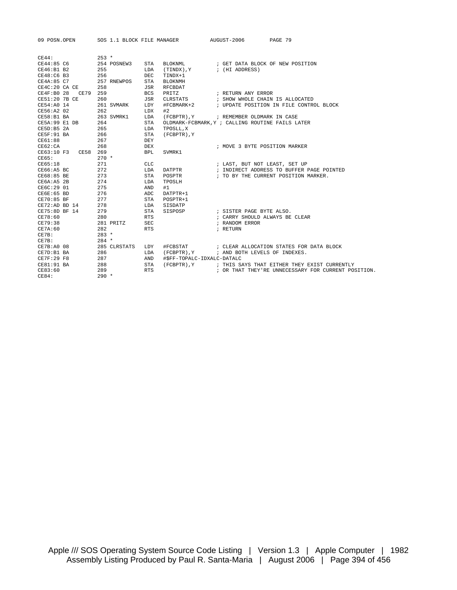| 09 POSN.OPEN             |              | SOS 1.1 BLOCK FILE MANAGER | AUGUST-2006                                      | PAGE 79                                                                                                         |
|--------------------------|--------------|----------------------------|--------------------------------------------------|-----------------------------------------------------------------------------------------------------------------|
|                          |              |                            |                                                  |                                                                                                                 |
| CE44:                    | $253 *$      |                            |                                                  |                                                                                                                 |
| CE44:85 C6               | 254 POSNEW3  | STA<br>BLOKNML             |                                                  | ; GET DATA BLOCK OF NEW POSITION                                                                                |
| CE46:B1 B2               | 255          | LDA<br>Y, (TINDX)          | ; (HI ADDRESS)                                   |                                                                                                                 |
| CE48:C6 B3               | 256          | DEC.<br>TINDX+1            |                                                  |                                                                                                                 |
| CE4A:85 <sub>C7</sub>    | 257 RNEWPOS  | STA<br><b>BLOKNMH</b>      |                                                  |                                                                                                                 |
| CE4C:20 CA CE            | 258          | JSR<br>RFCBDAT             |                                                  |                                                                                                                 |
| CE4F:B028<br>CE79 259    |              | <b>BCS</b><br>PRITZ        | ; RETURN ANY ERROR                               |                                                                                                                 |
| CE51:20 7B CE            | 260          | JSR<br>CLRSTATS            |                                                  | ; SHOW WHOLE CHAIN IS ALLOCATED                                                                                 |
| CE54:A0 14               | 261 SVMARK   | LDY<br>#FCBMARK+2          |                                                  | ; UPDATE POSITION IN FILE CONTROL BLOCK                                                                         |
| $CE56:A2$ 02             | 262          | #2<br>LDX                  |                                                  |                                                                                                                 |
| CE58:B1BA                | 263 SVMRK1   | LDA                        | (FCBPTR), Y ; REMEMBER OLDMARK IN CASE           |                                                                                                                 |
| CE5A:99 E1 DB            | 264          | STA                        | OLDMARK-FCBMARK, Y ; CALLING ROUTINE FAILS LATER |                                                                                                                 |
| CE5D:B5 2A               | 265          | LDA<br>TPOSLL, X           |                                                  |                                                                                                                 |
| CE5F:91 BA               | 266          | STA<br>(FCBPTR), Y         |                                                  |                                                                                                                 |
| CE61:88                  | 267          | DEY                        |                                                  |                                                                                                                 |
| CE62:CA                  | 268          | <b>DEX</b>                 |                                                  | ; MOVE 3 BYTE POSITION MARKER                                                                                   |
| CE63:10 F3 CE58 269      |              | <b>BPL</b><br>SVMRK1       |                                                  |                                                                                                                 |
| CE65:                    | $270 *$      |                            |                                                  |                                                                                                                 |
| CE65:18                  | 271          | <b>CLC</b>                 | ; LAST, BUT NOT LEAST, SET UP                    |                                                                                                                 |
| CE66:ABBC                | 272          | DATPTR<br>LDA              |                                                  | ; INDIRECT ADDRESS TO BUFFER PAGE POINTED                                                                       |
| CE68:85 BE               | 273          | POSPTR<br>STA              |                                                  | ; TO BY THE CURRENT POSITION MARKER.                                                                            |
| CE6A:AS <sub>2B</sub>    | 274          | TPOSLH<br>LDA              |                                                  |                                                                                                                 |
| CE6C:29 01               | 275          | #1<br>AND                  |                                                  |                                                                                                                 |
| CE6E:65 BD               | 276          | ADC<br>DATPTR+1            |                                                  |                                                                                                                 |
| $CE70:85$ BF             | 277          | STA<br>POSPTR+1            |                                                  |                                                                                                                 |
| $CE72:AD$ BD 14          | 278          | LDA<br>SISDATP             |                                                  |                                                                                                                 |
| CE75:8DBF14              | 279          | STA<br>SISPOSP             | ; SISTER PAGE BYTE ALSO.                         |                                                                                                                 |
| CE78:60                  | 280          | <b>RTS</b>                 |                                                  | ; CARRY SHOULD ALWAYS BE CLEAR                                                                                  |
| CE79:38                  | 281 PRITZ    | <b>SEC</b>                 | ; RANDOM ERROR                                   |                                                                                                                 |
| CE7A:60                  | 282          | <b>RTS</b>                 | ; RETURN                                         |                                                                                                                 |
| CE7B:                    | $283 *$      |                            |                                                  |                                                                                                                 |
| CE7B:                    | $284$ *      |                            |                                                  |                                                                                                                 |
| CE7B: A0 08              | 285 CLRSTATS | #FCBSTAT<br>LDY            |                                                  | ; CLEAR ALLOCATION STATES FOR DATA BLOCK                                                                        |
| CE7D:B1 BA               | 286          | (FCBPTR), Y<br>LDA         | ; AND BOTH LEVELS OF INDEXES.                    |                                                                                                                 |
| CE7F:29 F8<br>CE81:91 BA | 287          | AND                        | #\$FF-TOPALC-IDXALC-DATALC                       |                                                                                                                 |
| CE83:60                  | 288<br>289   | STA<br><b>RTS</b>          |                                                  | (FCBPTR), Y : THIS SAYS THAT EITHER THEY EXIST CURRENTLY<br>; OR THAT THEY'RE UNNECESSARY FOR CURRENT POSITION. |
| CE84:                    | $290 *$      |                            |                                                  |                                                                                                                 |
|                          |              |                            |                                                  |                                                                                                                 |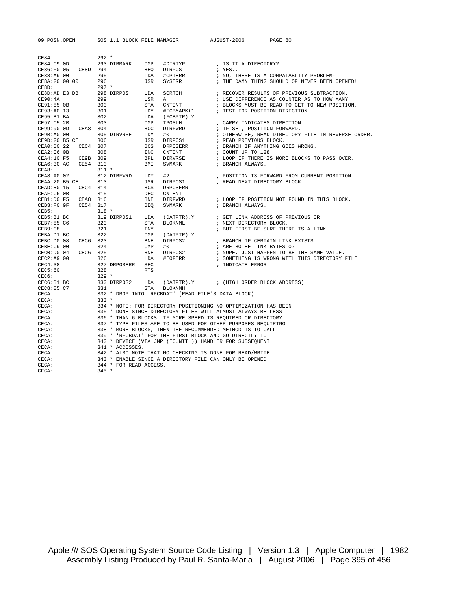| 09 POSN.OPEN                    | SOS 1.1 BLOCK FILE MANAGER                                                |                           | AUGUST-2006                                                | PAGE 80                                                                                                                                                                                                                                                                                                                                                                                                                                                                     |  |  |
|---------------------------------|---------------------------------------------------------------------------|---------------------------|------------------------------------------------------------|-----------------------------------------------------------------------------------------------------------------------------------------------------------------------------------------------------------------------------------------------------------------------------------------------------------------------------------------------------------------------------------------------------------------------------------------------------------------------------|--|--|
|                                 |                                                                           |                           |                                                            |                                                                                                                                                                                                                                                                                                                                                                                                                                                                             |  |  |
|                                 |                                                                           |                           |                                                            |                                                                                                                                                                                                                                                                                                                                                                                                                                                                             |  |  |
| CE84:                           | $292 *$                                                                   |                           |                                                            |                                                                                                                                                                                                                                                                                                                                                                                                                                                                             |  |  |
| $CE84:C9$ OD                    | 293 DIRMARK CMP                                                           | CMP #DIRTYP<br>BEQ DIRPOS | ; IS IT A DIRECTORY?                                       |                                                                                                                                                                                                                                                                                                                                                                                                                                                                             |  |  |
| CE86:F0 05 CE8D 294             |                                                                           |                           | ; YES                                                      |                                                                                                                                                                                                                                                                                                                                                                                                                                                                             |  |  |
| CE88:A9 00 295<br>CE8A:20 00 00 | 296                                                                       | LDA #CPTERR<br>JSR SYSERR |                                                            | ; NO, THERE IS A COMPATABLITY PROBLEM-<br>; THE DAMN THING SHOULD OF NEVER BEEN OPENED!                                                                                                                                                                                                                                                                                                                                                                                     |  |  |
| CE8D:                           | $297 *$                                                                   |                           |                                                            |                                                                                                                                                                                                                                                                                                                                                                                                                                                                             |  |  |
| CE8D:AD E3 DB                   | LDA                                                                       |                           |                                                            | SCRTCH : RECOVER RESULTS OF PREVIOUS SUBTRACTION.                                                                                                                                                                                                                                                                                                                                                                                                                           |  |  |
| CE90:4A                         | 298 DIRPOS<br>299<br>LSR                                                  | A                         |                                                            | ; USE DIFFERENCE AS COUNTER AS TO HOW MANY                                                                                                                                                                                                                                                                                                                                                                                                                                  |  |  |
| CE91:85 OB                      | STA<br>300                                                                |                           |                                                            |                                                                                                                                                                                                                                                                                                                                                                                                                                                                             |  |  |
| CE93:A0 13                      | 301<br>LDY                                                                |                           |                                                            | CNTENT FOR POSITION DIRECTION .<br>FLOCKS MUST BE READ TO GET TO NEW POSITION.<br>#FCBMARK+1 ; TEST FOR POSITION DIRECTION.                                                                                                                                                                                                                                                                                                                                                 |  |  |
| CE95:B1BA                       | 302<br>LDA                                                                | (FCBPTR), Y               |                                                            |                                                                                                                                                                                                                                                                                                                                                                                                                                                                             |  |  |
| CE97:C5 2B                      | 303<br>$\text{CMP}$                                                       | TPOSLH                    | ; CARRY INDICATES DIRECTION                                |                                                                                                                                                                                                                                                                                                                                                                                                                                                                             |  |  |
| CE99:90 OD CEA8 304             | BCC                                                                       | DIRFWRD                   | , CARRI INDICATES DIRECTION<br>; IF SET, POSITION FORWARD. |                                                                                                                                                                                                                                                                                                                                                                                                                                                                             |  |  |
| CE9B:A000                       | LDY<br>305 DIRVRSE                                                        |                           |                                                            | ; OTHERWISE, READ DIRECTORY FILE IN REVERSE ORDER.                                                                                                                                                                                                                                                                                                                                                                                                                          |  |  |
| CE9D:20 B5 CE                   | JSR<br>306                                                                | #0<br>DIRPOS1<br>DRPOSERR |                                                            |                                                                                                                                                                                                                                                                                                                                                                                                                                                                             |  |  |
| CEA0:B0 22<br>CEC4 307          | BCS                                                                       |                           | ; READ PREVIOUS BLOCK.<br>; BRANCH IF ANYTHING GOES WRONG. |                                                                                                                                                                                                                                                                                                                                                                                                                                                                             |  |  |
| CEA2:EGOB                       | 308<br>INC                                                                | CNTENT                    | ; COUNT UP TO 128                                          |                                                                                                                                                                                                                                                                                                                                                                                                                                                                             |  |  |
| CEA4:10 F5 CE9B 309             | <b>BPL</b>                                                                |                           |                                                            | ; LOOP IF THERE IS MORE BLOCKS TO PASS OVER.                                                                                                                                                                                                                                                                                                                                                                                                                                |  |  |
| CEA6:30 AC CE54 310             | BMI                                                                       | DIRVRSE<br>SVMARK         | ; BRANCH ALWAYS.                                           |                                                                                                                                                                                                                                                                                                                                                                                                                                                                             |  |  |
| CEA8:                           | $311 *$                                                                   |                           |                                                            |                                                                                                                                                                                                                                                                                                                                                                                                                                                                             |  |  |
| $CEA8:A0$ 02                    | 312 DIRFWRD LDY                                                           | #2                        |                                                            | ; POSITION IS FORWARD FROM CURRENT POSITION.                                                                                                                                                                                                                                                                                                                                                                                                                                |  |  |
| CEAA: 20 B5 CE 313              | JSR                                                                       | DIRPOS1                   | ; READ NEXT DIRECTORY BLOCK.                               |                                                                                                                                                                                                                                                                                                                                                                                                                                                                             |  |  |
| CEAD: B0 15 CEC4 314            | BCS                                                                       | DRPOSERR                  |                                                            |                                                                                                                                                                                                                                                                                                                                                                                                                                                                             |  |  |
| $CEAF: C6$ $0B$                 | 315<br>DEC                                                                | CNTENT                    |                                                            |                                                                                                                                                                                                                                                                                                                                                                                                                                                                             |  |  |
| CEB1: D0 F5<br>CEA8 316         | <b>BNE</b>                                                                |                           |                                                            |                                                                                                                                                                                                                                                                                                                                                                                                                                                                             |  |  |
| CEB3:F09F<br>CE54 317           | BEO                                                                       |                           |                                                            | $\begin{tabular}{lllllllllll} \hline {\tt DIRFWRD} & \multicolumn{3}{l} & \multicolumn{3}{l}{{\small \begin{tabular}{l} \multicolumn{3}{l}{\textbf{DIRFWRD}}\\ \multicolumn{3}{l}{\textbf{DIRFWRD}}\\ \multicolumn{3}{l}{\textbf{SVMARK}}\\ \multicolumn{3}{l}{\textbf{SVMARK}}\\ \multicolumn{3}{l}{\textbf{SRMMDR}}\\ \multicolumn{3}{l}{\textbf{SRMMDR}}\\ \multicolumn{3}{l}{\textbf{SRMMDR}}\\ \multicolumn{3}{l}{\textbf{SPMNCH}}\\ \multicolumn{3}{l}{\textbf{DSPAN$ |  |  |
| CEB5:                           | $318 *$                                                                   |                           |                                                            |                                                                                                                                                                                                                                                                                                                                                                                                                                                                             |  |  |
| CEB5:B1BC                       | 319 DIRPOS1 LDA                                                           |                           |                                                            |                                                                                                                                                                                                                                                                                                                                                                                                                                                                             |  |  |
| CEB7:85 C6                      | STA<br>320                                                                |                           |                                                            |                                                                                                                                                                                                                                                                                                                                                                                                                                                                             |  |  |
| CEB9:C8                         | 321<br>INY                                                                |                           |                                                            | ; BUT FIRST BE SURE THERE IS A LINK.                                                                                                                                                                                                                                                                                                                                                                                                                                        |  |  |
| CEBA:D1BC                       | $\text{CMP}$<br>322                                                       | (DATPTR), Y               |                                                            |                                                                                                                                                                                                                                                                                                                                                                                                                                                                             |  |  |
| CEBC:D0 08<br>CEC6 323          | BNE                                                                       |                           | DIRPOS2 : BRANCH IF CERTAIN LINK EXISTS                    |                                                                                                                                                                                                                                                                                                                                                                                                                                                                             |  |  |
| CEBE: C9 00                     | 324<br>$\text{CMP}$                                                       | #0                        | ; ARE BOTHE LINK BYTES 0?                                  |                                                                                                                                                                                                                                                                                                                                                                                                                                                                             |  |  |
| CECO: D0 04<br>CEC6 325         | <b>BNE</b>                                                                |                           |                                                            |                                                                                                                                                                                                                                                                                                                                                                                                                                                                             |  |  |
| $CEC2:A9$ 00                    | LDA<br>326                                                                |                           |                                                            |                                                                                                                                                                                                                                                                                                                                                                                                                                                                             |  |  |
| CEC4:38                         | 327 DRPOSERR SEC                                                          |                           | ; INDICATE ERROR                                           |                                                                                                                                                                                                                                                                                                                                                                                                                                                                             |  |  |
| CEC5:60                         | <b>RTS</b><br>328                                                         |                           |                                                            |                                                                                                                                                                                                                                                                                                                                                                                                                                                                             |  |  |
| CEC6:                           | $329 *$                                                                   |                           |                                                            |                                                                                                                                                                                                                                                                                                                                                                                                                                                                             |  |  |
| CEC6:B1BC                       | 330 DIRPOS2<br>LDA                                                        |                           | (DATPTR), Y : (HIGH ORDER BLOCK ADDRESS)                   |                                                                                                                                                                                                                                                                                                                                                                                                                                                                             |  |  |
| CEC8:85 C7                      | 331<br>STA                                                                | BLOKNMH                   |                                                            |                                                                                                                                                                                                                                                                                                                                                                                                                                                                             |  |  |
| CECA:                           | 332 * DROP INTO 'RFCBDAT' (READ FILE'S DATA BLOCK)                        |                           |                                                            |                                                                                                                                                                                                                                                                                                                                                                                                                                                                             |  |  |
| CECA:                           | $333 *$<br>334 * NOTE: FOR DIRECTORY POSITIONING NO OPTIMIZATION HAS BEEN |                           |                                                            |                                                                                                                                                                                                                                                                                                                                                                                                                                                                             |  |  |
| CECA:<br>CECA:                  | 335 * DONE SINCE DIRECTORY FILES WILL ALMOST ALWAYS BE LESS               |                           |                                                            |                                                                                                                                                                                                                                                                                                                                                                                                                                                                             |  |  |
| CECA:                           | 336 * THAN 6 BLOCKS. IF MORE SPEED IS REQUIRED OR DIRECTORY               |                           |                                                            |                                                                                                                                                                                                                                                                                                                                                                                                                                                                             |  |  |
| CECA:                           | 337 * TYPE FILES ARE TO BE USED FOR OTHER PURPOSES REQUIRING              |                           |                                                            |                                                                                                                                                                                                                                                                                                                                                                                                                                                                             |  |  |
| CECA:                           | 338 * MORE BLOCKS, THEN THE RECOMMENDED METHOD IS TO CALL                 |                           |                                                            |                                                                                                                                                                                                                                                                                                                                                                                                                                                                             |  |  |
| CECA:                           | 339 * 'RFCBDAT' FOR THE FIRST BLOCK AND GO DIRECTLY TO                    |                           |                                                            |                                                                                                                                                                                                                                                                                                                                                                                                                                                                             |  |  |
| CECA:                           | 340 * DEVICE (VIA JMP (IOUNITL)) HANDLER FOR SUBSEQUENT                   |                           |                                                            |                                                                                                                                                                                                                                                                                                                                                                                                                                                                             |  |  |
| CECA:                           | 341 * ACCESSES.                                                           |                           |                                                            |                                                                                                                                                                                                                                                                                                                                                                                                                                                                             |  |  |
| CECA:                           | 342 * ALSO NOTE THAT NO CHECKING IS DONE FOR READ/WRITE                   |                           |                                                            |                                                                                                                                                                                                                                                                                                                                                                                                                                                                             |  |  |
| CECA:                           | 343 * ENABLE SINCE A DIRECTORY FILE CAN ONLY BE OPENED                    |                           |                                                            |                                                                                                                                                                                                                                                                                                                                                                                                                                                                             |  |  |
| CECA:                           | 344 * FOR READ ACCESS.                                                    |                           |                                                            |                                                                                                                                                                                                                                                                                                                                                                                                                                                                             |  |  |
| CECA:                           | $345 *$                                                                   |                           |                                                            |                                                                                                                                                                                                                                                                                                                                                                                                                                                                             |  |  |
|                                 |                                                                           |                           |                                                            |                                                                                                                                                                                                                                                                                                                                                                                                                                                                             |  |  |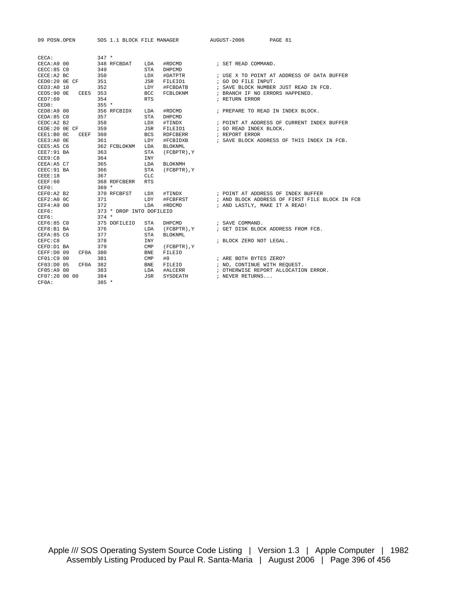| 09 POSN.OPEN          |                          | SOS 1.1 BLOCK FILE MANAGER | AUGUST-2006<br>PAGE 81                                  |
|-----------------------|--------------------------|----------------------------|---------------------------------------------------------|
| CECA:                 | $347 *$                  |                            |                                                         |
| CECA: A9 00           | 348 RFCBDAT              | LDA<br>#RDCMD              | ; SET READ COMMAND.                                     |
| CECC:85 <sub>C0</sub> | 349                      | STA<br>DHPCMD              |                                                         |
| CECE:A2 BC            | 350                      | #DATPTR<br>LDX             | ; USE X TO POINT AT ADDRESS OF DATA BUFFER              |
| $CED0:20$ OE $CF$     | 351                      | JSR<br>FILEIO1             | ; GO DO FILE INPUT.                                     |
| CED3:A0 10            | 352                      | #FCBDATB<br>LDY            | ; SAVE BLOCK NUMBER JUST READ IN FCB.                   |
| CED5:90 OE            | CEE5 353                 | <b>BCC</b><br>FCBLOKNM     | ; BRANCH IF NO ERRORS HAPPENED.                         |
| CED7:60               | 354                      | <b>RTS</b>                 | ; RETURN ERROR                                          |
| CED8:                 | $355 *$                  |                            |                                                         |
| CED8:A9 00            | 356 RFCBIDX              | LDA<br>#RDCMD              | ; PREPARE TO READ IN INDEX BLOCK.                       |
| CEDA:85 CO            | 357                      | STA<br>DHPCMD              |                                                         |
| CEDC: A2 B2           | 358                      | LDX<br>#TINDX              | ; POINT AT ADDRESS OF CURRENT INDEX BUFFER              |
| CEDE:20 OE CF         | 359                      | JSR<br>FILEIO1             | ; GO READ INDEX BLOCK.                                  |
| CEE1:B0 OC            | CEEF 360                 | <b>BCS</b><br>RDFCBERR     | ; REPORT ERROR                                          |
| $CEE3:A0$ OE          | 361                      | LDY<br>#FCBIDXB            | ; SAVE BLOCK ADDRESS OF THIS INDEX IN FCB.              |
| CEE5:AS <sub>C6</sub> | 362 FCBLOKNM             | BLOKNML<br>LDA             |                                                         |
| CEE7:91 BA            | 363                      | (FCBPTR), Y<br>STA         |                                                         |
| CEE9:C8               | 364                      | <b>INY</b>                 |                                                         |
| CEEA:A5 C7            | 365                      | LDA<br><b>BLOKNMH</b>      |                                                         |
| CEEC: 91 BA           | 366                      | <b>STA</b><br>(FCBPTR), Y  |                                                         |
| CEEE:18               | 367                      | <b>CLC</b>                 |                                                         |
| CEEF:60               | 368 RDFCBERR             | <b>RTS</b>                 |                                                         |
| CEFO:                 | $369 *$                  |                            |                                                         |
| CEF0:A2 B2            | 370 RFCBFST              | LDX                        | #TINDX : POINT AT ADDRESS OF INDEX BUFFER               |
| CEF2: A0 0C           | 371                      | LDY                        | #FCBFRST : AND BLOCK ADDRESS OF FIRST FILE BLOCK IN FCB |
| CEF4: A9 00           | 372                      | LDA<br>#RDCMD              | ; AND LASTLY, MAKE IT A READ!                           |
| CEF6:                 | 373 * DROP INTO DOFILEIO |                            |                                                         |
| CEF6:                 | $374 *$                  |                            |                                                         |
| CEF6:85 CO            | 375 DOFILEIO             | STA<br>DHPCMD              | ; SAVE COMMAND.                                         |
| CEF8:B1 BA            | 376                      | LDA (FCBPTR), Y            | ; GET DISK BLOCK ADDRESS FROM FCB.                      |
| CEFA: 85 C6           | 377                      | STA<br>BLOKNML             |                                                         |
| CEFC:C8               | 378                      | <b>INY</b>                 | ; BLOCK ZERO NOT LEGAL.                                 |
| CEFD: D1 BA           | 379                      | CMP<br>(FCBPTR), Y         |                                                         |
| CEFF:D0 09            | CF0A 380                 | <b>BNE</b><br>FILEIO       |                                                         |
| CF01:C9 00            | 381                      | #0<br>CMP                  | ; ARE BOTH BYTES ZERO?                                  |
| CF03:D0 05            | CF0A 382                 | FILEIO<br><b>BNE</b>       | ; NO, CONTINUE WITH REQUEST.                            |
| CF05:A9 00            | 383                      | #ALCERR<br>LDA             | ; OTHERWISE REPORT ALLOCATION ERROR.                    |
| CF07:20 00 00         | 384                      | JSR<br>SYSDEATH            | ; NEVER RETURNS                                         |
| CF0A:                 | $385 *$                  |                            |                                                         |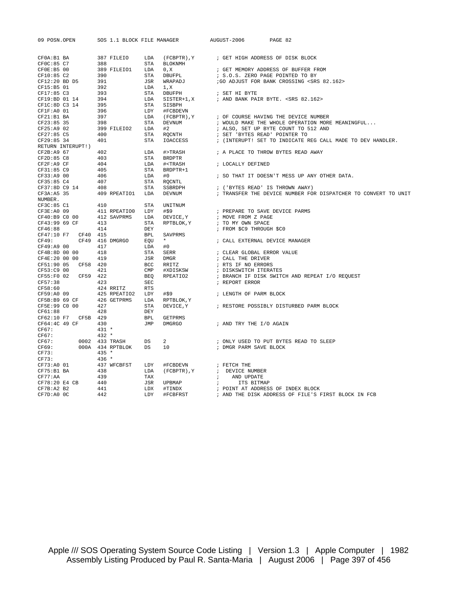| 09 POSN.OPEN       |  | SOS 1.1 BLOCK FILE MANAGER |  | PAGE 82<br>AUGUST-2006                                      |                                                                                                                                                                                                                                       |
|--------------------|--|----------------------------|--|-------------------------------------------------------------|---------------------------------------------------------------------------------------------------------------------------------------------------------------------------------------------------------------------------------------|
|                    |  |                            |  |                                                             |                                                                                                                                                                                                                                       |
| CF0A:B1 BA         |  |                            |  | 387 FILEIO LDA (FCBPTR), Y ; GET HIGH ADDRESS OF DISK BLOCK |                                                                                                                                                                                                                                       |
|                    |  |                            |  |                                                             |                                                                                                                                                                                                                                       |
|                    |  |                            |  |                                                             |                                                                                                                                                                                                                                       |
|                    |  |                            |  |                                                             |                                                                                                                                                                                                                                       |
|                    |  |                            |  |                                                             |                                                                                                                                                                                                                                       |
|                    |  |                            |  |                                                             |                                                                                                                                                                                                                                       |
|                    |  |                            |  |                                                             |                                                                                                                                                                                                                                       |
|                    |  |                            |  |                                                             |                                                                                                                                                                                                                                       |
|                    |  |                            |  |                                                             |                                                                                                                                                                                                                                       |
|                    |  |                            |  |                                                             |                                                                                                                                                                                                                                       |
|                    |  |                            |  |                                                             |                                                                                                                                                                                                                                       |
|                    |  |                            |  |                                                             |                                                                                                                                                                                                                                       |
|                    |  |                            |  |                                                             |                                                                                                                                                                                                                                       |
|                    |  |                            |  |                                                             |                                                                                                                                                                                                                                       |
|                    |  |                            |  |                                                             |                                                                                                                                                                                                                                       |
| RETURN INTERUPT!)  |  |                            |  |                                                             |                                                                                                                                                                                                                                       |
|                    |  |                            |  |                                                             |                                                                                                                                                                                                                                       |
|                    |  |                            |  |                                                             |                                                                                                                                                                                                                                       |
|                    |  |                            |  |                                                             |                                                                                                                                                                                                                                       |
|                    |  |                            |  |                                                             |                                                                                                                                                                                                                                       |
|                    |  |                            |  |                                                             |                                                                                                                                                                                                                                       |
|                    |  |                            |  |                                                             |                                                                                                                                                                                                                                       |
|                    |  |                            |  |                                                             |                                                                                                                                                                                                                                       |
| NUMBER.            |  |                            |  |                                                             |                                                                                                                                                                                                                                       |
|                    |  |                            |  |                                                             |                                                                                                                                                                                                                                       |
|                    |  |                            |  |                                                             |                                                                                                                                                                                                                                       |
|                    |  |                            |  |                                                             |                                                                                                                                                                                                                                       |
|                    |  |                            |  |                                                             |                                                                                                                                                                                                                                       |
|                    |  |                            |  |                                                             |                                                                                                                                                                                                                                       |
|                    |  |                            |  |                                                             |                                                                                                                                                                                                                                       |
|                    |  |                            |  |                                                             |                                                                                                                                                                                                                                       |
|                    |  |                            |  |                                                             |                                                                                                                                                                                                                                       |
|                    |  |                            |  |                                                             |                                                                                                                                                                                                                                       |
|                    |  |                            |  |                                                             |                                                                                                                                                                                                                                       |
|                    |  |                            |  |                                                             |                                                                                                                                                                                                                                       |
|                    |  |                            |  |                                                             |                                                                                                                                                                                                                                       |
|                    |  |                            |  |                                                             |                                                                                                                                                                                                                                       |
|                    |  |                            |  |                                                             |                                                                                                                                                                                                                                       |
|                    |  |                            |  |                                                             |                                                                                                                                                                                                                                       |
|                    |  |                            |  |                                                             | CF3A:AS 35<br>NUMBER. 409 KWEATIOU LOW MTNITUM (FOR DRIVER PREPARE TO SAVE DEVICE PARMS<br>CF48:8 CI 410 STA RPTBLOK, Y iN OWE STAN BACE<br>CF49:39 90 OF 412 SAVERMS LDA PETELOK, Y iN OWE STAN SPACE<br>CF49:10 P7 CF49 415 BFL SAV |
|                    |  |                            |  |                                                             |                                                                                                                                                                                                                                       |
|                    |  |                            |  |                                                             |                                                                                                                                                                                                                                       |
|                    |  |                            |  |                                                             |                                                                                                                                                                                                                                       |
|                    |  |                            |  |                                                             |                                                                                                                                                                                                                                       |
|                    |  |                            |  |                                                             |                                                                                                                                                                                                                                       |
| $CF67:$<br>$CF67:$ |  |                            |  |                                                             |                                                                                                                                                                                                                                       |
|                    |  |                            |  |                                                             |                                                                                                                                                                                                                                       |
|                    |  |                            |  |                                                             |                                                                                                                                                                                                                                       |
|                    |  |                            |  |                                                             |                                                                                                                                                                                                                                       |
|                    |  |                            |  |                                                             |                                                                                                                                                                                                                                       |
|                    |  |                            |  |                                                             |                                                                                                                                                                                                                                       |
|                    |  |                            |  |                                                             |                                                                                                                                                                                                                                       |
|                    |  |                            |  |                                                             |                                                                                                                                                                                                                                       |
|                    |  |                            |  |                                                             |                                                                                                                                                                                                                                       |
|                    |  |                            |  |                                                             |                                                                                                                                                                                                                                       |
|                    |  |                            |  |                                                             |                                                                                                                                                                                                                                       |
|                    |  |                            |  |                                                             |                                                                                                                                                                                                                                       |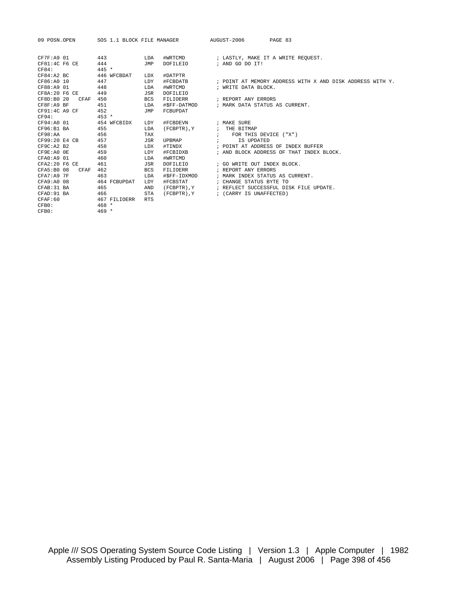| 09 POSN.OPEN        | SOS 1.1 BLOCK FILE MANAGER |            |                  |                 | AUGUST-2006<br>PAGE 83                                    |
|---------------------|----------------------------|------------|------------------|-----------------|-----------------------------------------------------------|
| CF7F: A9 01         | 443                        | LDA        | #WRTCMD          |                 | ; LASTLY, MAKE IT A WRITE REQUEST.                        |
| CF81:4C F6 CE       | 444                        | JMP        | DOFILEIO         |                 | ; AND GO DO IT!                                           |
| CF84:               | $445 *$                    |            |                  |                 |                                                           |
| CF84:A2BC           | 446 WFCBDAT                | LDX        | #DATPTR          |                 |                                                           |
| CF86:A0 10          | 447                        | LDY        | #FCBDATB         |                 | ; POINT AT MEMORY ADDRESS WITH X AND DISK ADDRESS WITH Y. |
| CF88:A9 01          | 448                        | LDA        | #WRTCMD          |                 | ; WRITE DATA BLOCK.                                       |
| CF8A: 20 F6 CE      | 449                        | JSR        | DOFILEIO         |                 |                                                           |
| CF8D: B0 20<br>CFAF | 450                        | <b>BCS</b> | FILIOERR         |                 | ; REPORT ANY ERRORS                                       |
| CF8F:A9 BF          | 451                        | LDA        | #\$FF-DATMOD     |                 | ; MARK DATA STATUS AS CURRENT.                            |
| $CF91:4C$ A9 $CF$   | 452                        | JMP        | FCBUPDAT         |                 |                                                           |
| CF94:               | $453 *$                    |            |                  |                 |                                                           |
| CF94:A0 01          | 454 WFCBIDX                | LDY        | #FCBDEVN         |                 | ; MAKE SURE                                               |
| CF96:B1 BA          | 455                        | LDA        | (FCBPTR), Y      |                 | ; THE BITMAP                                              |
| CF98:AA             | 456                        | TAX        |                  | $\cdot$ $\cdot$ | FOR THIS DEVICE ("X")                                     |
| CF99:20 E4 CB       | 457                        | JSR        | UPBMAP           |                 | IS UPDATED                                                |
| CF9C: A2 B2         | 458                        | LDX        | #TINDX           |                 | ; POINT AT ADDRESS OF INDEX BUFFER                        |
| CF9E:A0 OE          | 459                        | LDY        | #FCBIDXB         |                 | ; AND BLOCK ADDRESS OF THAT INDEX BLOCK.                  |
| CFA0:A9 01          | 460                        | LDA        | #WRTCMD          |                 |                                                           |
| $CFA2:20$ F6 CE     | 461                        | JSR        | DOFILEIO         |                 | ; GO WRITE OUT INDEX BLOCK.                               |
| CFA5:B0 08<br>CFAF  | 462                        | <b>BCS</b> | FILIOERR         |                 | ; REPORT ANY ERRORS                                       |
| CFA7:A97F           | 463                        | LDA        | #\$FF-IDXMOD     |                 | ; MARK INDEX STATUS AS CURRENT.                           |
| CFA9:A0 08          | 464 FCBUPDAT               | LDY        | #FCBSTAT         |                 | ; CHANGE STATUS BYTE TO                                   |
| CFAB: 31 BA         | 465                        | AND        | (FCBPTR), Y      |                 | ; REFLECT SUCCESSFUL DISK FILE UPDATE.                    |
| CFAD: 91 BA         | 466                        | <b>STA</b> | $(FCBPTR)$ , $Y$ |                 | ; (CARRY IS UNAFFECTED)                                   |
| CFAF:60             | 467 FILIOERR               | <b>RTS</b> |                  |                 |                                                           |
| CFB0:               | $468 *$                    |            |                  |                 |                                                           |
| CFB0:               | $469 *$                    |            |                  |                 |                                                           |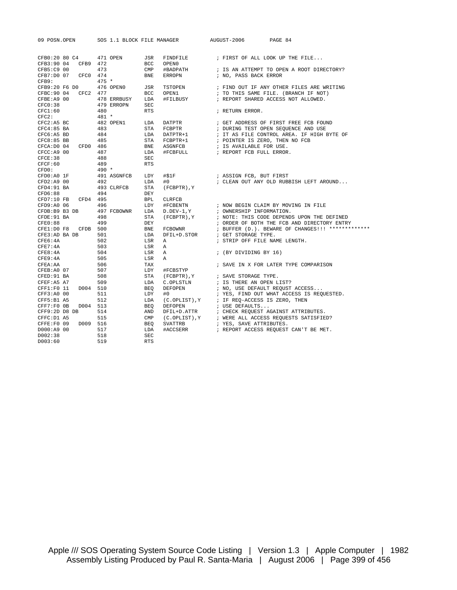| 09 POSN.OPEN         |          | SOS 1.1 BLOCK FILE MANAGER |                |                  | AUGUST-2006                                                                                     | PAGE 84                                             |  |
|----------------------|----------|----------------------------|----------------|------------------|-------------------------------------------------------------------------------------------------|-----------------------------------------------------|--|
| CFB0:20 80 C4        |          | 471 OPEN                   | JSR            | FINDFILE         |                                                                                                 | ; FIRST OF ALL LOOK UP THE FILE                     |  |
| CFB3:90 04           | CFB9 472 |                            | <b>BCC</b>     | OPEN0            |                                                                                                 |                                                     |  |
| CFB5:C9 00           |          | 473                        | $\text{CMP}$   | #BADPATH         |                                                                                                 | ; IS AN ATTEMPT TO OPEN A ROOT DIRECTORY?           |  |
| CFB7:D0 07           | CFC0 474 |                            | <b>BNE</b>     | <b>ERROPN</b>    | ; NO, PASS BACK ERROR                                                                           |                                                     |  |
| CFB9:                |          | $475 *$                    |                |                  |                                                                                                 |                                                     |  |
| CFB9:20 F6 D0        |          | 476 OPENO                  | JSR            | TSTOPEN          |                                                                                                 | ; FIND OUT IF ANY OTHER FILES ARE WRITING           |  |
| CFBC: 90 04 CFC2 477 |          |                            | <b>BCC</b>     | OPEN1            |                                                                                                 | ; TO THIS SAME FILE. (BRANCH IF NOT)                |  |
| CFBE: A9 00          |          | 478 ERRBUSY                | LDA            | #FILBUSY         |                                                                                                 | ; REPORT SHARED ACCESS NOT ALLOWED.                 |  |
| CFC0:38              |          | 479 ERROPN                 | <b>SEC</b>     |                  |                                                                                                 |                                                     |  |
| CFC1:60              |          | 480                        | <b>RTS</b>     |                  | ; RETURN ERROR.                                                                                 |                                                     |  |
| CFC2:                |          | $481 *$                    |                |                  |                                                                                                 |                                                     |  |
| $CFC2:A5$ BC         |          | 482 OPEN1                  | LDA            | DATPTR           |                                                                                                 | ; GET ADDRESS OF FIRST FREE FCB FOUND               |  |
| $CFC4:85$ BA         |          | 483                        | STA            | FCBPTR           |                                                                                                 | ; DURING TEST OPEN SEQUENCE AND USE                 |  |
| CFC6: A5 BD          |          | 484                        | LDA            | DATPTR+1         |                                                                                                 | ; IT AS FILE CONTROL AREA. IF HIGH BYTE OF          |  |
| $CFC8:85$ BB         |          | 485                        | STA            | FCBPTR+1         |                                                                                                 | ; POINTER IS ZERO, THEN NO FCB                      |  |
| CFCA: D0 04 CFD0 486 |          |                            | BNE            | ASGNFCB          | ; IS AVAILABLE FOR USE.                                                                         |                                                     |  |
| CFCC: A9 00          |          | 487                        | LDA            | #FCBFULL         | ; REPORT FCB FULL ERROR.                                                                        |                                                     |  |
| CFCE:38              |          | 488                        | <b>SEC</b>     |                  |                                                                                                 |                                                     |  |
| CFCF:60              |          | 489                        | <b>RTS</b>     |                  |                                                                                                 |                                                     |  |
| CFD0:                |          | $490 *$                    |                |                  |                                                                                                 |                                                     |  |
| CFD0:A0 1F           |          | 491 ASGNFCB                | LDY            | #\$1F            | ; ASSIGN FCB, BUT FIRST                                                                         |                                                     |  |
| CFD2: A9 00          |          | 492                        | LDA            | #0               |                                                                                                 | ; CLEAN OUT ANY OLD RUBBISH LEFT AROUND             |  |
| $CFD4:91$ BA         |          | 493 CLRFCB                 | <b>STA</b>     | (FCBPTR), Y      |                                                                                                 |                                                     |  |
| CFD6:88              |          | 494                        | DEY            |                  |                                                                                                 |                                                     |  |
| CFD7:10 FB           | CFD4 495 |                            | <b>BPL</b>     | <b>CLRFCB</b>    |                                                                                                 |                                                     |  |
| CFD9:A0 06           |          | 496                        | LDY            | #FCBENTN         |                                                                                                 | ; NOW BEGIN CLAIM BY MOVING IN FILE                 |  |
|                      |          | CFDB:B9 B3 DB 497 FCBOWNR  | LDA            | $D.DEV-1,Y$      | ; OWNERSHIP INFORMATION.                                                                        |                                                     |  |
| CFDE: 91 BA          |          | 498                        | <b>STA</b>     | (FCBPTR), Y      |                                                                                                 | ; NOTE: THIS CODE DEPENDS UPON THE DEFINED          |  |
| CFE0:88              |          | 499                        | DEY            |                  |                                                                                                 | ; ORDER OF BOTH THE FCB AND DIRECTORY ENTRY         |  |
| CFE1:D0 F8 CFDB 500  |          |                            | <b>BNE</b>     | FCBOWNR          |                                                                                                 | ; BUFFER (D.). BEWARE OF CHANGES!!! *************   |  |
| CFE3:AD BA DB        |          | 501                        | LDA            |                  | $\mathtt{DFIL+D.STOR} \qquad \quad \texttt{;\hspace{1em}GET} \texttt{ STORAGE}\ \texttt{TYPE}.$ |                                                     |  |
| CFE6:4A              |          | 502                        | LSR            | $\mathbb{A}$     |                                                                                                 | ; STRIP OFF FILE NAME LENGTH.                       |  |
| CFE7:4A              |          | 503                        | LSR            | $\mathbb{A}$     |                                                                                                 |                                                     |  |
| CFE8:4A              |          | 504                        | LSR            | $\mathbb A$      | ; (BY DIVIDING BY 16)                                                                           |                                                     |  |
| CFE9:4A              |          | 505                        | LSR            | $\triangleright$ |                                                                                                 |                                                     |  |
| CFEA: AA             |          | 506                        | TAX            |                  |                                                                                                 | ; SAVE IN X FOR LATER TYPE COMPARISON               |  |
| CFEB: A0 07          |          | 507                        | LDY            | #FCBSTYP         |                                                                                                 |                                                     |  |
| CFED: 91 BA          |          | 508                        | STA            | (FCBPTR), Y      | ; SAVE STORAGE TYPE.                                                                            |                                                     |  |
| CFEF: A5 A7          |          | 509                        | LDA            | C.OPLSTLN        | ; IS THERE AN OPEN LIST?                                                                        |                                                     |  |
| CFF1:F0 11           | D004 510 |                            | BEO            | DEFOPEN          |                                                                                                 | ; NO, USE DEFAULT REQUST ACCESS                     |  |
| CFF3: A0 00          |          | 511                        | LDY            | #0               |                                                                                                 | ; YES, FIND OUT WHAT ACCESS IS REQUESTED.           |  |
| CFF5:B1 A5           |          | 512                        | LDA            |                  | $(C.OPLIST)$ , $Y$ ; IF REQ-ACCESS IS ZERO, THEN                                                |                                                     |  |
| CFF7: F0 0B          | D004 513 |                            | BEO            | DEFOPEN          | ; USE DEFAULTS                                                                                  |                                                     |  |
| CFF9:2D D8 DB        |          | 514                        | AND            |                  |                                                                                                 | DFIL+D. ATTR : CHECK REQUEST AGAINST ATTRIBUTES.    |  |
| CFFC: D1 A5          |          | 515                        | $\texttt{CMP}$ |                  |                                                                                                 | (C.OPLIST), Y ; WERE ALL ACCESS REQUESTS SATISFIED? |  |
| CFFE:F0 09           | D009 516 |                            | <b>BEO</b>     | SVATTRB          | ; YES, SAVE ATTRIBUTES.                                                                         |                                                     |  |
| D000:A9 00           |          | 517                        | LDA            | #ACCSERR         |                                                                                                 | ; REPORT ACCESS REQUEST CAN'T BE MET.               |  |
| D002:38              |          | 518                        | SEC            |                  |                                                                                                 |                                                     |  |
| D003:60              |          | 519                        | <b>RTS</b>     |                  |                                                                                                 |                                                     |  |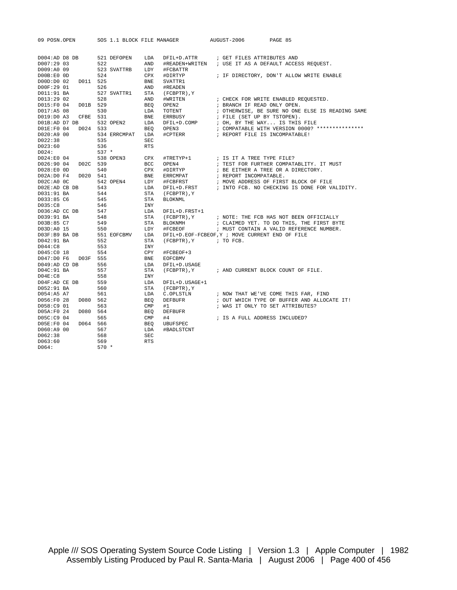| 09 POSN.OPEN          |          |            |              |                   | SOS 1.1 BLOCK FILE MANAGER                           | AUGUST-2006                                 | PAGE 85 |                                                  |
|-----------------------|----------|------------|--------------|-------------------|------------------------------------------------------|---------------------------------------------|---------|--------------------------------------------------|
|                       |          |            |              |                   |                                                      |                                             |         |                                                  |
| $D004$ : AD D8 DB     |          |            | 521 DEFOPEN  | LDA               | DFIL+D.ATTR                                          | ; GET FILES ATTRIBUTES AND                  |         |                                                  |
| D007:29 03            |          | 522        |              | AND               | #READEN+WRITEN : USE IT AS A DEFAULT ACCESS REQUEST. |                                             |         |                                                  |
| D009:A0 09            |          |            | 523 SVATTRB  | LDY               | #FCBATTR                                             |                                             |         |                                                  |
| DOOB:EO OD            |          | 524        |              | CPX               | #DIRTYP                                              | ; IF DIRECTORY, DON'T ALLOW WRITE ENABLE    |         |                                                  |
| D00D:D0 02            | D011 525 |            |              | <b>BNE</b>        | SVATTR1                                              |                                             |         |                                                  |
| D00F:29 01            |          | 526        |              | AND               | #READEN                                              |                                             |         |                                                  |
| D011:91 BA            |          |            | 527 SVATTR1  | STA               | (FCBPTR), Y                                          |                                             |         |                                                  |
| D013:29 02            |          | 528        |              | AND               | #WRITEN                                              | ; CHECK FOR WRITE ENABLED REQUESTED.        |         |                                                  |
| D015:F0 04            | D01B 529 |            |              | <b>BEO</b>        | OPEN2                                                | ; BRANCH IF READ ONLY OPEN.                 |         |                                                  |
| D017:A5 08            |          | 530        |              | LDA               | TOTENT                                               |                                             |         | ; OTHERWISE, BE SURE NO ONE ELSE IS READING SAME |
| D019:D0 A3            | CFBE     | 531        |              | BNE               | ERRBUSY                                              | ; FILE (SET UP BY TSTOPEN).                 |         |                                                  |
| DO1B:AD D7 DB         |          |            | 532 OPEN2    | LDA               | DFIL+D.COMP                                          | ; OH, BY THE WAY IS THIS FILE               |         |                                                  |
| D01E:F0 04            | D024 533 |            |              | <b>BEO</b>        | OPEN3                                                |                                             |         | ; COMPATABLE WITH VERSION 0000? ***************  |
| D020:A9 00            |          |            | 534 ERRCMPAT | LDA               | #CPTERR                                              | ; REPORT FILE IS INCOMPATABLE!              |         |                                                  |
| D022:38<br>D023:60    |          | 535<br>536 |              | SEC<br><b>RTS</b> |                                                      |                                             |         |                                                  |
| D024:                 |          | $537 *$    |              |                   |                                                      |                                             |         |                                                  |
| D024:E0 04            |          |            | 538 OPEN3    | CPX               | #TRETYP+1                                            | ; IS IT A TREE TYPE FILE?                   |         |                                                  |
| D026:90 04            | D02C 539 |            |              | BCC               | OPEN4                                                | ; TEST FOR FURTHER COMPATABLITY. IT MUST    |         |                                                  |
| D028:E0 0D            |          | 540        |              | CPX               | #DIRTYP                                              | ; BE EITHER A TREE OR A DIRECTORY.          |         |                                                  |
| D02A:D0 F4            | D020 541 |            |              | <b>BNE</b>        | ERRCMPAT                                             | ; REPORT INCOMPATABLE.                      |         |                                                  |
| D02C:ADOC             |          |            | 542 OPEN4    | LDY               | #FCBFRST                                             | ; MOVE ADDRESS OF FIRST BLOCK OF FILE       |         |                                                  |
| D02E:AD CB DB         |          | 543        |              | LDA               | DFIL+D.FRST                                          |                                             |         | ; INTO FCB. NO CHECKING IS DONE FOR VALIDITY.    |
| D031:91 BA            |          | 544        |              | STA               | (FCBPTR), Y                                          |                                             |         |                                                  |
| D033:85 C6            |          | 545        |              | STA               | <b>BLOKNML</b>                                       |                                             |         |                                                  |
| D035:C8               |          | 546        |              | <b>INY</b>        |                                                      |                                             |         |                                                  |
| D036:AD CC DB         |          | 547        |              | LDA               | DFIL+D.FRST+1                                        |                                             |         |                                                  |
| D039:91 BA            |          | 548        |              | <b>STA</b>        | (FCBPTR), Y                                          | ; NOTE: THE FCB HAS NOT BEEN OFFICIALLY     |         |                                                  |
| D03B:85 C7            |          | 549        |              | <b>STA</b>        | BLOKNMH                                              | ; CLAIMED YET. TO DO THIS, THE FIRST BYTE   |         |                                                  |
| D03D:A0 15            |          | 550        |              | LDY               | #FCBEOF                                              | ; MUST CONTAIN A VALID REFERENCE NUMBER.    |         |                                                  |
| D03F:B9 BA DB         |          |            | 551 EOFCBMV  | LDA               | DFIL+D.EOF-FCBEOF, Y ; MOVE CURRENT END OF FILE      |                                             |         |                                                  |
| D042:91 BA            |          | 552        |              | STA               | $(FCBPTR)$ , $Y$ ; TO FCB.                           |                                             |         |                                                  |
| D044:C8               |          | 553        |              | <b>INY</b>        |                                                      |                                             |         |                                                  |
| D045:C0 18            |          | 554        |              | CPY               | #FCBEOF+3                                            |                                             |         |                                                  |
| D047:D0 F6            | D03F 555 |            |              | <b>BNE</b>        | <b>EOFCBMV</b>                                       |                                             |         |                                                  |
| D049:AD CD DB         |          | 556        |              | LDA               | DFIL+D.USAGE                                         |                                             |         |                                                  |
| D04C:91 BA<br>DO4E:CB |          | 557<br>558 |              | STA<br><b>INY</b> | (FCBPTR), Y                                          | ; AND CURRENT BLOCK COUNT OF FILE.          |         |                                                  |
| D04F:AD CE DB         |          | 559        |              | LDA               | DFIL+D.USAGE+1                                       |                                             |         |                                                  |
| D052:91 BA            |          | 560        |              | STA               | (FCBPTR), Y                                          |                                             |         |                                                  |
| D054:A5 A7            |          | 561        |              | LDA               | C.OPLSTLN                                            | ; NOW THAT WE'VE COME THIS FAR, FIND        |         |                                                  |
| D056:F0 28            | D080     | 562        |              | <b>BEO</b>        | DEFBUFR                                              | ; OUT WHICH TYPE OF BUFFER AND ALLOCATE IT! |         |                                                  |
| D058:C9 01            |          | 563        |              | CMP               | #1                                                   | ; WAS IT ONLY TO SET ATTRIBUTES?            |         |                                                  |
| D05A:F0 24            | D080     | 564        |              | <b>BEQ</b>        | <b>DEFBUFR</b>                                       |                                             |         |                                                  |
| D05C:C9 04            |          | 565        |              | $\texttt{CMP}$    | #4                                                   | ; IS A FULL ADDRESS INCLUDED?               |         |                                                  |
| D05E:F0 04            | D064     | 566        |              | <b>BEO</b>        | UBUFSPEC                                             |                                             |         |                                                  |
| D060:A9 00            |          | 567        |              | LDA               | #BADLSTCNT                                           |                                             |         |                                                  |
| D062:38               |          | 568        |              | SEC               |                                                      |                                             |         |                                                  |
| D063:60               |          | 569        |              | <b>RTS</b>        |                                                      |                                             |         |                                                  |

D064: 570 \*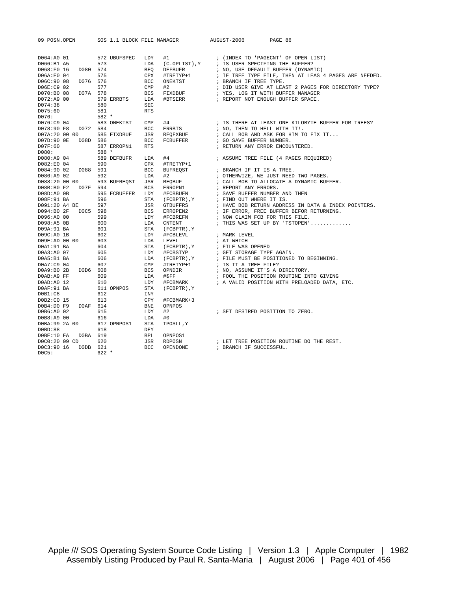| 09 POSN.OPEN             |          |         | SOS 1.1 BLOCK FILE MANAGER |                |                     | AUGUST-2006 |                      | PAGE 86                                                                |  |
|--------------------------|----------|---------|----------------------------|----------------|---------------------|-------------|----------------------|------------------------------------------------------------------------|--|
|                          |          |         |                            |                |                     |             |                      |                                                                        |  |
| D064:A0 01<br>D066:B1 A5 |          | 573     | 572 UBUFSPEC               | LDY<br>LDA     | #1<br>(C.OPLIST), Y |             |                      | ; (INDEX TO 'PAGECNT' OF OPEN LIST)<br>; IS USER SPECIFING THE BUFFER? |  |
| D068:F0 16               | D080 574 |         |                            | <b>BEO</b>     | <b>DEFBUFR</b>      |             |                      | ; NO, USE DEFAULT BUFFER (DYNAMIC)                                     |  |
| D06A:E0 04               |          | 575     |                            | CPX            | #TRETYP+1           |             |                      | ; IF TREE TYPE FILE, THEN AT LEAS 4 PAGES ARE NEEDED.                  |  |
| D06C:90 08               | D076 576 |         |                            | <b>BCC</b>     | ONEKTST             |             |                      | ; BRANCH IF TREE TYPE.                                                 |  |
| D06E:C9 02               |          | 577     |                            | $\text{CMP}$   | #2                  |             |                      | ; DID USER GIVE AT LEAST 2 PAGES FOR DIRECTORY TYPE?                   |  |
| D070:B0 08               | D07A 578 |         |                            | <b>BCS</b>     | FIXDBUF             |             |                      | ; YES, LOG IT WITH BUFFER MANAGER                                      |  |
| D072:A9 00               |          |         | 579 ERRBTS                 | LDA            | #BTSERR             |             |                      | ; REPORT NOT ENOUGH BUFFER SPACE.                                      |  |
| D074:38                  |          | 580     |                            | <b>SEC</b>     |                     |             |                      |                                                                        |  |
| D075:60                  |          | 581     |                            | <b>RTS</b>     |                     |             |                      |                                                                        |  |
| D076:                    |          | $582 *$ |                            |                |                     |             |                      |                                                                        |  |
| D076:C9 04               |          |         | 583 ONEKTST                | $\text{CMP}$   | #4                  |             |                      | ; IS THERE AT LEAST ONE KILOBYTE BUFFER FOR TREES?                     |  |
| D078:90 F8               | D072 584 |         |                            | <b>BCC</b>     | ERRBTS              |             |                      | ; NO, THEN TO HELL WITH IT!.                                           |  |
| D07A:20 00 00            |          |         | 585 FIXDBUF                | JSR            | REQFXBUF            |             |                      | ; CALL BOB AND ASK FOR HIM TO FIX IT                                   |  |
| D07D:90 0E               | D08D 586 |         |                            | <b>BCC</b>     | FCBUFFER            |             |                      | ; GO SAVE BUFFER NUMBER.                                               |  |
| D07F:60                  |          |         | 587 ERROPN1                | <b>RTS</b>     |                     |             |                      | ; RETURN ANY ERROR ENCOUNTERED.                                        |  |
| D080:                    |          | 588 *   |                            |                |                     |             |                      |                                                                        |  |
| D080:A9 04               |          |         | 589 DEFBUFR                | LDA            | #4                  |             |                      | ; ASSUME TREE FILE (4 PAGES REQUIRED)                                  |  |
| D082:E0 04               |          | 590     |                            | <b>CPX</b>     | #TRETYP+1           |             |                      |                                                                        |  |
| D084:90 02               | D088 591 |         |                            | BCC            | <b>BUFREOST</b>     |             |                      | ; BRANCH IF IT IS A TREE.                                              |  |
| D086:A9 02               |          | 592     |                            | LDA            | #2                  |             |                      | ; OTHERWIZE, WE JUST NEED TWO PAGES.                                   |  |
| D088:20 00 00            |          |         | 593 BUFREQST               | <b>JSR</b>     | REOBUF              |             |                      | ; CALL BOB TO ALLOCATE A DYNAMIC BUFFER.                               |  |
| D08B:B0 F2               | D07F 594 |         |                            | <b>BCS</b>     | ERROPN1             |             | ; REPORT ANY ERRORS. |                                                                        |  |
| D08D:A0 0B               |          |         | 595 FCBUFFER               | LDY            | #FCBBUFN            |             |                      | ; SAVE BUFFER NUMBER AND THEN                                          |  |
| D08F:91 BA               |          | 596     |                            | <b>STA</b>     | (FCBPTR), Y         |             |                      | ; FIND OUT WHERE IT IS.                                                |  |
| D091:20 A4 BE            |          | 597     |                            | JSR            | GTBUFFRS            |             |                      | ; HAVE BOB RETURN ADDRESS IN DATA & INDEX POINTERS.                    |  |
| D094:B0 2F               | DOC5 598 |         |                            | <b>BCS</b>     | ERROPEN2            |             |                      | ; IF ERROR, FREE BUFFER BEFOR RETURNING.                               |  |
| D096:A0 00               |          | 599     |                            | LDY            | #FCBREFN            |             |                      | ; NOW CLAIM FCB FOR THIS FILE.                                         |  |
| D098:A5 0B               |          | 600     |                            | LDA            | CNTENT              |             |                      | ; THIS WAS SET UP BY 'TSTOPEN'                                         |  |
| D09A:91 BA               |          | 601     |                            | STA            | $(FCBPTR)$ , $Y$    |             |                      |                                                                        |  |
| D09C:A0 1B               |          | 602     |                            | LDY            | #FCBLEVL            |             | ; MARK LEVEL         |                                                                        |  |
| D09E:AD 00 00            |          | 603     |                            | LDA            | LEVEL               |             | ; AT WHICH           |                                                                        |  |
| D0A1:91 BA               |          | 604     |                            | STA            | (FCBPTR), Y         |             | ; FILE WAS OPENED    |                                                                        |  |
| D0A3:A0 07               |          | 605     |                            | LDY            | #FCBSTYP            |             |                      | ; GET STORAGE TYPE AGAIN.                                              |  |
| DOA5:B1 BA               |          | 606     |                            | LDA            | (FCBPTR), Y         |             |                      | ; FILE MUST BE POSITIONED TO BEGINNING.                                |  |
| D0A7:C9 04               |          | 607     |                            | $\texttt{CMP}$ | #TRETYP+1           |             | ; IS IT A TREE FILE? |                                                                        |  |
| D0A9:B0 2B               | D0D6 608 |         |                            | <b>BCS</b>     | OPNDIR              |             |                      | ; NO, ASSUME IT'S A DIRECTORY.                                         |  |
| DOAB:A9 FF               |          | 609     |                            | LDA            | $\#SFF$             |             |                      | ; FOOL THE POSITION ROUTINE INTO GIVING                                |  |
| DOAD:A0 12               |          | 610     |                            | LDY            | #FCBMARK            |             |                      | ; A VALID POSITION WITH PRELOADED DATA, ETC.                           |  |
| DOAF: 91 BA              |          |         | 611 OPNPOS                 | <b>STA</b>     | (FCBPTR), Y         |             |                      |                                                                        |  |
| D0B1:C8                  |          | 612     |                            | <b>INY</b>     |                     |             |                      |                                                                        |  |
| D0B2:C0 15               |          | 613     |                            | <b>CPY</b>     | #FCBMARK+3          |             |                      |                                                                        |  |
| DOB4:DO F9               | D0AF 614 |         |                            | <b>BNE</b>     | OPNPOS              |             |                      |                                                                        |  |
| D0B6:A0 02               |          | 615     |                            | LDY            | #2                  |             |                      | ; SET DESIRED POSITION TO ZERO.                                        |  |
| D0B8:A9 00               |          | 616     |                            | LDA            | #0                  |             |                      |                                                                        |  |
| D0BA:99 2A 00            |          |         | 617 OPNPOS1                | <b>STA</b>     | TPOSLL, Y           |             |                      |                                                                        |  |
| D0BD:88                  |          | 618     |                            | DEY            |                     |             |                      |                                                                        |  |
| DOBE:10 FA               | D0BA 619 |         |                            | <b>BPL</b>     | OPNPOS1             |             |                      |                                                                        |  |
| D0C0:20 09 CD            |          | 620     |                            | JSR            | RDPOSN              |             |                      | ; LET TREE POSITION ROUTINE DO THE REST.                               |  |
| DOC3:90 16               | D0DB 621 |         |                            | BCC            | OPENDONE            |             |                      | ; BRANCH IF SUCCESSFUL.                                                |  |
| DOC5:                    |          | $622 *$ |                            |                |                     |             |                      |                                                                        |  |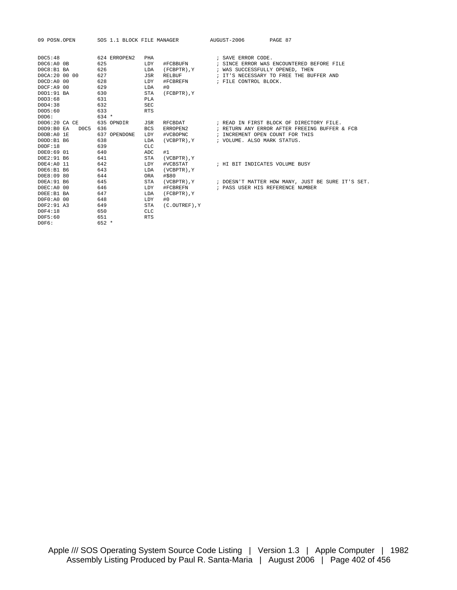| 09 POSN.OPEN   | SOS 1.1 BLOCK FILE MANAGER |                     | AUGUST-2006<br>PAGE 87                            |
|----------------|----------------------------|---------------------|---------------------------------------------------|
| DOC5:48        | 624 ERROPEN2<br>PHA        |                     | ; SAVE ERROR CODE.                                |
| D0C6:A0 0B     | 625<br>LDY                 | #FCBBUFN            | ; SINCE ERROR WAS ENCOUNTERED BEFORE FILE         |
| DOC8:B1 BA     | 626<br>LDA                 | (FCBPTR), Y         | ; WAS SUCCESSFULLY OPENED, THEN                   |
| DOCA: 20 00 00 | 627<br>JSR                 | <b>RELBUF</b>       | ; IT'S NECESSARY TO FREE THE BUFFER AND           |
| DOCD: A0 00    | 628<br>LDY                 | #FCBREFN            | ; FILE CONTROL BLOCK.                             |
| DOCF:A9 00     | 629<br>LDA                 | #0                  |                                                   |
| D0D1:91 BA     | <b>STA</b><br>630          | (FCBPTR), Y         |                                                   |
| DOD3:68        | 631<br>PLA                 |                     |                                                   |
| DOD4:38        | <b>SEC</b><br>632          |                     |                                                   |
| D0D5:60        | 633<br><b>RTS</b>          |                     |                                                   |
| D0D6:          | $634 *$                    |                     |                                                   |
| D0D6:20 CA CE  | 635 OPNDIR<br>JSR          | RFCBDAT             | ; READ IN FIRST BLOCK OF DIRECTORY FILE.          |
| DOD9:B0 EA     | DOC5 636<br>BCS            | ERROPEN2            | ; RETURN ANY ERROR AFTER FREEING BUFFER & FCB     |
| DODB:A0 1E     | 637 OPENDONE<br>LDY        | #VCBOPNC            | ; INCREMENT OPEN COUNT FOR THIS                   |
| DODD:B1 B6     | 638<br>LDA                 | (VCBPTR), Y         | ; VOLUME. ALSO MARK STATUS.                       |
| DODF:18        | 639<br>CLC                 |                     |                                                   |
| D0E0:69 01     | 640<br>ADC                 | #1                  |                                                   |
| D0E2:91 B6     | STA<br>641                 | (VCBPTR), Y         |                                                   |
| D0E4:A0 11     | 642<br>LDY                 | #VCBSTAT            | ; HI BIT INDICATES VOLUME BUSY                    |
| D0E6:B1 B6     | 643<br>LDA                 | (VCBPTR), Y         |                                                   |
| DOE8:09 80     | 644<br>ORA                 | #\$80               |                                                   |
| DOEA: 91 B6    | 645<br>STA                 | (VCBPTR), Y         | ; DOESN'T MATTER HOW MANY, JUST BE SURE IT'S SET. |
| D0EC:A0 00     | 646<br>LDY                 | #FCBREFN            | ; PASS USER HIS REFERENCE NUMBER                  |
| DOEE:B1 BA     | 647<br>LDA                 | (FCBPTR), Y         |                                                   |
| D0F0:A0 00     | 648<br>LDY                 | #0                  |                                                   |
| D0F2:91 A3     | STA<br>649                 | $(C. OUTREF)$ , $Y$ |                                                   |
| D0F4:18        | 650<br>CLC                 |                     |                                                   |
| D0F5:60        | 651<br><b>RTS</b>          |                     |                                                   |
| D0F6:          | $652 *$                    |                     |                                                   |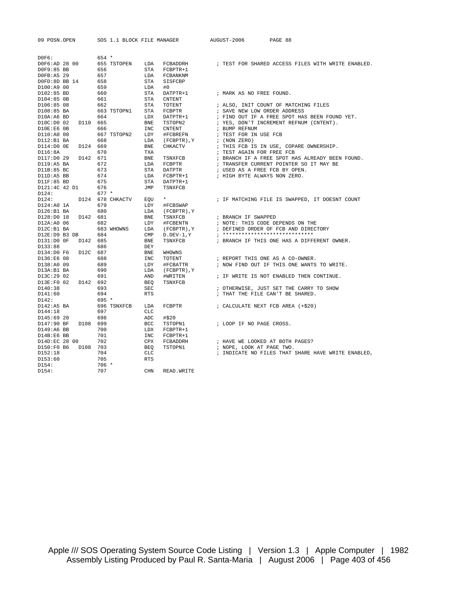| 09 POSN.OPEN                   |          | SOS 1.1 BLOCK FILE MANAGER |                   |                                                 | AUGUST-2006               | PAGE 88                                                                 |
|--------------------------------|----------|----------------------------|-------------------|-------------------------------------------------|---------------------------|-------------------------------------------------------------------------|
| DOFG:                          |          | $654 *$                    |                   |                                                 |                           |                                                                         |
| D0F6:AD 28 00                  |          | 655 TSTOPEN                | LDA               |                                                 |                           | FCBADDRH : TEST FOR SHARED ACCESS FILES WITH WRITE ENABLED.             |
| D0F9:85 BB                     |          | 656                        | STA               | FCBPTR+1                                        |                           |                                                                         |
| DOFB:A5 29                     |          | 657                        | LDA               | FCBANKNM                                        |                           |                                                                         |
| DOFD:8D BB 14                  |          | 658                        | STA               | SISFCBP                                         |                           |                                                                         |
| D100:A9 00                     |          | 659                        | LDA               | #0                                              |                           |                                                                         |
| D102:85 BD                     |          | 660                        | STA               | DATPTR+1                                        | ; MARK AS NO FREE FOUND.  |                                                                         |
| D104:85 OB                     |          | 661                        | STA               | <b>CNTENT</b>                                   |                           |                                                                         |
| D106:85 08                     |          | 662                        | STA               | TOTENT                                          |                           | ; ALSO, INIT COUNT OF MATCHING FILES                                    |
| D108:85 BA                     |          | 663 TSTOPN1                | STA               | FCBPTR                                          |                           | ; SAVE NEW LOW ORDER ADDRESS                                            |
| D10A:A6 BD                     |          | 664                        | LDX               | DATPTR+1                                        |                           | ; FIND OUT IF A FREE SPOT HAS BEEN FOUND YET.                           |
| D10C:D0 02                     | D110 665 |                            | BNE               | TSTOPN2                                         |                           | ; YES, DON'T INCREMENT REFNUM (CNTENT).                                 |
| D10E:E6 0B                     |          | 666                        | <b>INC</b>        | CNTENT                                          | ; BUMP REFNUM             |                                                                         |
| D110:A0 00                     |          | 667 TSTOPN2                | LDY               | #FCBREFN                                        | ; TEST FOR IN USE FCB     |                                                                         |
| $D112:B1$ BA                   |          | 668                        | LDA               | $\left(\texttt{FCBPTR}\,\right)$ , $\texttt{Y}$ | ; (NON ZERO)              |                                                                         |
| D114:D0 OE                     | D124 669 |                            | BNE               | CHKACTV                                         |                           | ; THIS FCB IS IN USE, COPARE OWNERSHIP.                                 |
| D116:8A                        |          | 670                        | TXA               |                                                 | ; TEST AGAIN FOR FREE FCB |                                                                         |
| D117:D0 29 D142 671            |          |                            | <b>BNE</b>        | TSNXFCB                                         |                           | ; BRANCH IF A FREE SPOT HAS ALREADY BEEN FOUND.                         |
| D119:A5 BA                     |          | 672                        | LDA               | FCBPTR                                          |                           | ; TRANSFER CURRENT POINTER SO IT MAY BE                                 |
| D11B:85 BC                     |          | 673                        | STA               | DATPTR                                          |                           | ; USED AS A FREE FCB BY OPEN.                                           |
| D11D:A5 BB                     |          | 674                        | LDA               | FCBPTR+1                                        |                           | ; HIGH BYTE ALWAYS NON ZERO.                                            |
| D11F:85 BD                     |          | 675                        | STA               | DATPTR+1                                        |                           |                                                                         |
| D121:4C 42 D1                  |          | 676                        | JMP               | TSNXFCB                                         |                           |                                                                         |
| D124:                          |          | $677 *$                    |                   |                                                 |                           |                                                                         |
| D124:                          |          | D124 678 CHKACTV EOU       |                   | $\star$                                         |                           | ; IF MATCHING FILE IS SWAPPED, IT DOESNT COUNT                          |
| D124:A0 1A                     |          | 679                        | LDY               | #FCBSWAP                                        |                           |                                                                         |
| D126:B1BA                      |          | 680                        | LDA               | (FCBPTR), Y                                     |                           |                                                                         |
| D128:D0 18 D142 681            |          |                            | BNE               | TSNXFCB                                         | ; BRANCH IF SWAPPED       |                                                                         |
| D12A:A0 06                     |          | 682                        | LDY               | #FCBENTN                                        |                           | ; NOTE: THIS CODE DEPENDS ON THE                                        |
| $D12C:B1$ BA                   |          | 683 WHOWNS                 | LDA               | (FCBPTR), Y                                     |                           | ; DEFINED ORDER OF FCB AND DIRECTORY<br>; ***************************** |
| D12E:D9 B3 DB                  |          | 684                        | $\texttt{CMP}$    | $D.DEV-1,Y$                                     |                           |                                                                         |
| D131:D0 OF D142 685<br>D133:88 |          | 686                        | <b>BNE</b><br>DEY | TSNXFCB                                         |                           | ; BRANCH IF THIS ONE HAS A DIFFERENT OWNER.                             |
| D134:D0 F6                     | D12C 687 |                            | <b>BNE</b>        | WHOWNS                                          |                           |                                                                         |
| D136:E6 08                     |          | 688                        | INC               | TOTENT                                          |                           | ; REPORT THIS ONE AS A CO-OWNER.                                        |
| D138:A0 09                     |          | 689                        | LDY               | #FCBATTR                                        |                           | ; NOW FIND OUT IF THIS ONE WANTS TO WRITE.                              |
| D13A:B1 BA                     |          | 690                        | LDA               | (FCBPTR), Y                                     |                           |                                                                         |
| D13C:29 02                     |          | 691                        | AND               | #WRITEN                                         |                           | ; IF WRITE IS NOT ENABLED THEN CONTINUE.                                |
| D13E:F0 02 D142 692            |          |                            | BEO               | TSNXFCB                                         |                           |                                                                         |
| D140:38                        |          | 693                        | SEC               |                                                 |                           | ; OTHERWISE, JUST SET THE CARRY TO SHOW                                 |
| D141:60                        |          | 694                        | <b>RTS</b>        |                                                 |                           | ; THAT THE FILE CAN'T BE SHARED.                                        |
| D142:                          |          | $695 *$                    |                   |                                                 |                           |                                                                         |
| D142:A5 BA                     |          | 696 TSNXFCB                | LDA               | FCBPTR                                          |                           | ; CALCULATE NEXT FCB AREA (+\$20)                                       |
| D144:18                        |          | 697                        | <b>CLC</b>        |                                                 |                           |                                                                         |
| D145:69 20                     |          | 698                        | ADC               | #\$20                                           |                           |                                                                         |
| D147:90 BF                     | D108 699 |                            | BCC               | TSTOPN1                                         | ; LOOP IF NO PAGE CROSS.  |                                                                         |
| D149:A6 BB                     |          | 700                        | LDX               | $FCBPTR+1$                                      |                           |                                                                         |
| D14B:E6 BB                     |          | 701                        | <b>INC</b>        | FCBPTR+1                                        |                           |                                                                         |
| D14D:EC 28 00                  |          | 702                        | CPX               | FCBADDRH                                        |                           | ; HAVE WE LOOKED AT BOTH PAGES?                                         |
| D150:F0 B6 D108 703            |          |                            | <b>BEO</b>        | TSTOPN1                                         | ; NOPE, LOOK AT PAGE TWO. |                                                                         |
| D152:18                        |          | 704                        | CLC               |                                                 |                           | ; INDICATE NO FILES THAT SHARE HAVE WRITE ENABLED,                      |
| D153:60                        |          | 705                        | <b>RTS</b>        |                                                 |                           |                                                                         |
| D154:                          |          | $706 *$                    |                   |                                                 |                           |                                                                         |
| D154:                          |          | 707                        | <b>CHN</b>        | READ. WRITE                                     |                           |                                                                         |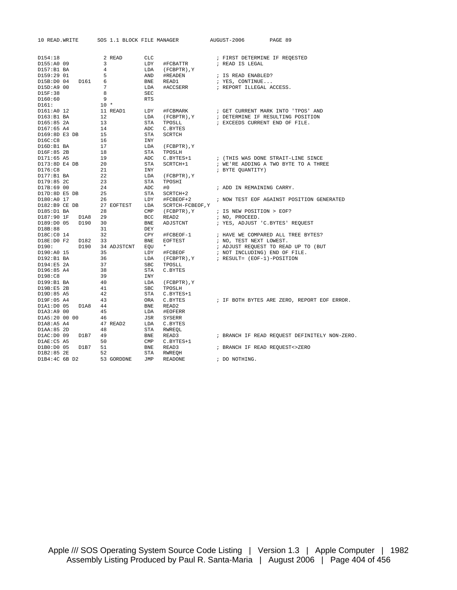| 10 READ. WRITE |         | SOS 1.1 BLOCK FILE MANAGER |                |                                        | AUGUST-2006 |                                | PAGE 89                                       |  |
|----------------|---------|----------------------------|----------------|----------------------------------------|-------------|--------------------------------|-----------------------------------------------|--|
|                |         |                            |                |                                        |             |                                |                                               |  |
| D154:18        |         | 2 READ                     | CLC            |                                        |             | ; FIRST DETERMINE IF REQESTED  |                                               |  |
| D155:A0 09     |         | 3                          | LDY            | #FCBATTR                               |             | ; READ IS LEGAL                |                                               |  |
| D157:B1BA      |         | $\overline{4}$             | LDA            | (FCBPTR), Y                            |             |                                |                                               |  |
| D159:29 01     |         | 5                          | AND            | #READEN                                |             | ; IS READ ENABLED?             |                                               |  |
| D15B:D0 04     | D161 6  |                            | BNE            | READ1                                  |             | ; YES, CONTINUE                |                                               |  |
| D15D:A9 00     |         | 7                          | LDA            | #ACCSERR                               |             | ; REPORT ILLEGAL ACCESS.       |                                               |  |
| D15F:38        |         | 8                          | <b>SEC</b>     |                                        |             |                                |                                               |  |
| D160:60        |         | 9                          | <b>RTS</b>     |                                        |             |                                |                                               |  |
| D161:          |         | $10 *$                     |                |                                        |             |                                |                                               |  |
| D161:A0 12     |         | 11 READ1                   | LDY            | #FCBMARK                               |             |                                | ; GET CURRENT MARK INTO 'TPOS' AND            |  |
| D163:B1BA      |         | 12                         | LDA            | (FCBPTR), Y                            |             |                                | ; DETERMINE IF RESULTING POSITION             |  |
| D165:85 2A     |         | 13                         | STA            | TPOSLL                                 |             | ; EXCEEDS CURRENT END OF FILE. |                                               |  |
| D167:65 A4     |         | 14                         | ADC            | C.BYTES                                |             |                                |                                               |  |
| D169:8D E3 DB  |         | 15                         | STA            | SCRTCH                                 |             |                                |                                               |  |
| DI6C:CB        |         | 16                         | INY            |                                        |             |                                |                                               |  |
| D16D:B1 BA     |         | 17                         | LDA            | $(FCBPTR)$ , $Y$                       |             |                                |                                               |  |
| D16F:85 2B     |         | 18                         | STA            | TPOSLH                                 |             |                                |                                               |  |
| D171:65 A5     |         | 19                         | ADC            | C.BYTES+1                              |             |                                | ; (THIS WAS DONE STRAIT-LINE SINCE            |  |
| D173:8D E4 DB  |         | 20                         | STA            | SCRTCH+1                               |             |                                | ; WE'RE ADDING A TWO BYTE TO A THREE          |  |
| D176:C8        |         | 21                         | INY            |                                        |             | ; BYTE QUANTITY)               |                                               |  |
| D177:B1BA      |         | 22                         | LDA            | (FCBPTR), Y                            |             |                                |                                               |  |
| D179:85 2C     |         | 23                         | STA            | TPOSHI                                 |             |                                |                                               |  |
| D17B:69 00     |         | 24                         | ADC            | #0                                     |             | ; ADD IN REMAINING CARRY.      |                                               |  |
| D17D:8D E5 DB  |         | 25                         | STA            | SCRTCH+2                               |             |                                |                                               |  |
| D180:A0 17     |         | 26                         | LDY            | #FCBEOF+2                              |             |                                | ; NOW TEST EOF AGAINST POSITION GENERATED     |  |
| D182:B9 CE DB  |         | 27 EOFTEST                 | LDA            | SCRTCH-FCBEOF, Y                       |             |                                |                                               |  |
| D185:D1 BA     |         | 28                         | $\text{CMP}$   | (FCBPTR), Y                            |             | ; IS NEW POSITION > EOF?       |                                               |  |
| D187:90 1F     | D1A8    | 29                         | BCC            | READ2                                  |             | ; NO, PROCEED.                 |                                               |  |
| D189:D0 05     | D190    | 30                         | <b>BNE</b>     | ADJSTCNT                               |             |                                | ; YES, ADJUST 'C.BYTES' REQUEST               |  |
| D18B:88        |         | 31                         | DEY            |                                        |             |                                |                                               |  |
| D18C:CO 14     |         | 32                         | CPY            | #FCBEOF-1                              |             |                                | ; HAVE WE COMPARED ALL TREE BYTES?            |  |
| D18E:DO F2     | D182    | 33                         | <b>BNE</b>     | EOFTEST                                |             | ; NO, TEST NEXT LOWEST.        |                                               |  |
| D190:          | D190    | 34 ADJSTCNT EQU *          |                |                                        |             |                                | ; ADJUST REQUEST TO READ UP TO (BUT           |  |
| D190:A0 15     |         | 35                         | LDY            | #FCBEOF                                |             | ; NOT INCLUDING) END OF FILE.  |                                               |  |
| D192:B1BA      |         | 36                         | LDA            | (FCBPTR), Y ; RESULT= (EOF-1)-POSITION |             |                                |                                               |  |
| D194:E5 2A     |         | 37                         | $_{\rm SBC}$   | TPOSLL                                 |             |                                |                                               |  |
| D196:85 A4     |         | 38                         | STA            | C.BYTES                                |             |                                |                                               |  |
| D198:C8        |         | 39                         | INY            |                                        |             |                                |                                               |  |
| D199:B1 BA     |         | 40                         | LDA            | (FCBPTR), Y                            |             |                                |                                               |  |
| D19B:E5 2B     |         | 41                         | $_{\rm SBC}$   | TPOSLH                                 |             |                                |                                               |  |
| D19D:85 A5     |         | 42                         | STA            | C.BYTES+1                              |             |                                |                                               |  |
| D19F:05 A4     |         | 43                         | ORA            | C.BYTES                                |             |                                | ; IF BOTH BYTES ARE ZERO, REPORT EOF ERROR.   |  |
| D1A1:D0 05     | D1A8 44 |                            | <b>BNE</b>     | READ2                                  |             |                                |                                               |  |
| D1A3:A9 00     |         | 45                         | LDA            | #EOFERR                                |             |                                |                                               |  |
| D1A5:20 00 00  |         | 46                         | JSR            | SYSERR                                 |             |                                |                                               |  |
| D1A8:A5 A4     |         | 47 READ2                   | LDA            | C.BYTES                                |             |                                |                                               |  |
| D1AA:85 2D     |         | 48                         | STA            | RWREQL                                 |             |                                |                                               |  |
| DIAC:DO 09     | D1B7 49 |                            | BNE            | READ3                                  |             |                                | ; BRANCH IF READ REQUEST DEFINITELY NON-ZERO. |  |
| D1AE: C5 A5    |         | 50                         | $\mathsf{CMP}$ | C.BYTES+1                              |             |                                |                                               |  |
| D1B0:D0 05     | D1B7    | 51                         | BNE            | READ3                                  |             | ; BRANCH IF READ REQUEST<>ZERO |                                               |  |
| D1B2:85 2E     |         | 52                         | STA            | RWREOH                                 |             |                                |                                               |  |
| D1B4:4C 6B D2  |         | 53 GORDDNE                 | JMP            | READONE                                |             | ; DO NOTHING.                  |                                               |  |
|                |         |                            |                |                                        |             |                                |                                               |  |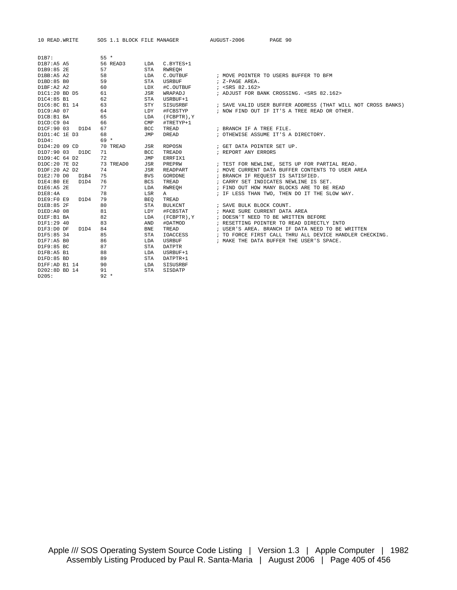10 READ.WRITE SOS 1.1 BLOCK FILE MANAGER AUGUST-2006 PAGE 90

| D1B7:              | $55*$     |            |                  |                                                              |  |
|--------------------|-----------|------------|------------------|--------------------------------------------------------------|--|
| D1B7:A5 A5         | 56 READ3  | LDA        | C.BYTES+1        |                                                              |  |
| D1B9:85 2E         | 57        | <b>STA</b> | <b>RWREOH</b>    |                                                              |  |
| D1BB:A5 A2         | 58        | LDA        | C.OUTBUF         | ; MOVE POINTER TO USERS BUFFER TO BFM                        |  |
| D1BD:85 B0         | 59        | <b>STA</b> | <b>USRBUF</b>    | ; Z-PAGE AREA.                                               |  |
| D1BF:A2 A2         | 60        | <b>LDX</b> | #C.OUTBUF        | : <srs 82.162=""></srs>                                      |  |
| D1C1:20 BD D5      | 61        | <b>JSR</b> | WRAPADJ          | ; ADJUST FOR BANK CROSSING. < SRS 82.162>                    |  |
| D1C4:85 B1         | 62        | <b>STA</b> | USRBUF+1         |                                                              |  |
| D1C6:8C B1 14      | 63        | <b>STY</b> | SISUSRBF         | ; SAVE VALID USER BUFFER ADDRESS (THAT WILL NOT CROSS BANKS) |  |
| D1C9:A0 07         | 64        | LDY        | #FCBSTYP         | ; NOW FIND OUT IF IT'S A TREE READ OR OTHER.                 |  |
| D1CB:B1 BA         | 65        | LDA        | (FCBPTR), Y      |                                                              |  |
| $D1CD:C9$ 04       | 66        | CMP        | #TRETYP+1        |                                                              |  |
| D1CF:90 03<br>D1D4 | 67        | <b>BCC</b> | TREAD            | ; BRANCH IF A TREE FILE.                                     |  |
| D1D1:4C 1E D3      | 68        | <b>JMP</b> | DREAD            | ; OTHEWISE ASSUME IT'S A DIRECTORY.                          |  |
| D1D4:              | $69 *$    |            |                  |                                                              |  |
| D1D4:20 09 CD      | 70 TREAD  | JSR        | RDPOSN           | ; GET DATA POINTER SET UP.                                   |  |
| D1D7:90 03 D1DC    | 71        | <b>BCC</b> | TREAD0           | ; REPORT ANY ERRORS                                          |  |
| D1D9:4C 64 D2      | 72        | JMP        | ERRFIX1          |                                                              |  |
| D1DC:20 7E D2      | 73 TREAD0 | JSR        | PREPRW           | ; TEST FOR NEWLINE, SETS UP FOR PARTIAL READ.                |  |
| D1DF:20 A2 D2      | 74        | JSR        | READPART         | ; MOVE CURRENT DATA BUFFER CONTENTS TO USER AREA             |  |
| D1E2:70 D0<br>D1B4 | 75        | <b>BVS</b> | GORDDNE          | ; BRANCH IF REQUEST IS SATISFIED.                            |  |
| D1E4:B0 EE<br>D1D4 | 76        | <b>BCS</b> | TREAD            | ; CARRY SET INDICATES NEWLINE IS SET.                        |  |
| D1E6:A5 2E         | 77        | LDA        | RWREOH           | ; FIND OUT HOW MANY BLOCKS ARE TO BE READ                    |  |
| D1E8:4A            | 78        | LSR        | Α                | ; IF LESS THAN TWO, THEN DO IT THE SLOW WAY.                 |  |
| D1E9:F0E9<br>D1D4  | 79        | <b>BEO</b> | TREAD            |                                                              |  |
| D1EB:85 2F         | 80        | <b>STA</b> | BULKCNT          | ; SAVE BULK BLOCK COUNT.                                     |  |
| D1ED:A0 08         | 81        | LDY        | #FCBSTAT         | ; MAKE SURE CURRENT DATA AREA                                |  |
| D1EF:B1 BA         | 82        | LDA        | $(FCBPTR)$ , $Y$ | ; DOESN'T NEED TO BE WRITTEN BEFORE                          |  |
| D1F1:29 40         | 83        | AND        | #DATMOD          | ; RESETTING POINTER TO READ DIRECTLY INTO                    |  |
| D1F3:D0 DF<br>D1D4 | 84        | <b>BNE</b> | TREAD            | ; USER'S AREA. BRANCH IF DATA NEED TO BE WRITTEN             |  |
| D1F5:85 34         | 85        | <b>STA</b> | IOACCESS         | ; TO FORCE FIRST CALL THRU ALL DEVICE HANDLER CHECKING.      |  |
| $D1F7:AB$ BO       | 86        | LDA        | USRBUF           | ; MAKE THE DATA BUFFER THE USER'S SPACE.                     |  |
| D1F9:85 BC         | 87        | STA        | DATPTR           |                                                              |  |
| D1FB:A5 B1         | 88        | LDA        | USRBUF+1         |                                                              |  |
| D1FD:85 BD         | 89        | <b>STA</b> | DATPTR+1         |                                                              |  |
| D1FF:AD B1 14      | 90        | LDA        | SISUSRBF         |                                                              |  |
| D202:8D BD 14      | 91        | <b>STA</b> | SISDATP          |                                                              |  |
| D205:              | $92 *$    |            |                  |                                                              |  |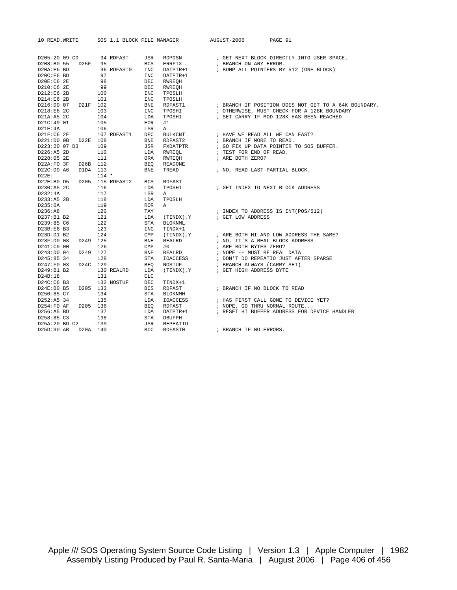| 10 READ. WRITE  | SOS 1.1 BLOCK FILE MANAGER     |                 | AUGUST-2006                             | PAGE 91                                                              |
|-----------------|--------------------------------|-----------------|-----------------------------------------|----------------------------------------------------------------------|
|                 |                                |                 |                                         |                                                                      |
|                 |                                |                 |                                         |                                                                      |
| D205:20 09 CD   | 94 RDFAST<br>JSR               | RDPOSN          |                                         | ; GET NEXT BLOCK DIRECTLY INTO USER SPACE.                           |
| D208:B0 55 D25F | 95<br><b>BCS</b>               | ERRFIX          | ; BRANCH ON ANY ERROR.                  |                                                                      |
| D20A:E6 BD      | 96 RDFAST0<br>INC              | DATPTR+1        |                                         | ; BUMP ALL POINTERS BY 512 (ONE BLOCK)                               |
| D20C:E6 BD      | 97<br><b>INC</b>               | DATPTR+1        |                                         |                                                                      |
| D20E:C6 2E      | 98<br>DEC                      | RWREQH          |                                         |                                                                      |
| D210:C6 2E      | 99<br>DEC                      | RWREQH          |                                         |                                                                      |
| D212:E6 2B      | 100<br>INC                     | TPOSLH          |                                         |                                                                      |
| D214:E6 2B      | 101<br>INC                     | TPOSLH          |                                         |                                                                      |
| D216:D0 07      | D21F 102<br>BNE                | RDFAST1         |                                         | ; BRANCH IF POSITION DOES NOT GET TO A 64K BOUNDARY.                 |
| D218:E6 2C      | 103<br><b>INC</b>              | TPOSHI          |                                         | ; OTHERWISE, MUST CHECK FOR A 128K BOUNDARY                          |
| D21A:A5 2C      | 104<br>LDA                     | TPOSHI          |                                         | ; SET CARRY IF MOD 128K HAS BEEN REACHED                             |
| D21C:49 01      | 105<br>EOR                     | #1              |                                         |                                                                      |
| D21E:4A         | 106<br>LSR                     | A               |                                         |                                                                      |
| D21F:C6 2F      | 107 RDFAST1<br><b>DEC</b>      | BULKCNT         | ; HAVE WE READ ALL WE CAN FAST?         |                                                                      |
| D221:D0 0B      | D22E 108<br><b>BNE</b>         | RDFAST2         | ; BRANCH IF MORE TO READ.               |                                                                      |
| D223:20 07 D3   | 109<br>JSR                     | FXDATPTR        |                                         | ; GO FIX UP DATA POINTER TO SOS BUFFER.                              |
| D226:A5 2D      | 110<br>LDA                     | RWREOL          | ; TEST FOR END OF READ.                 |                                                                      |
| D228:05 2E      | 111<br>ORA                     | RWREOH          | ; ARE BOTH ZERO?                        |                                                                      |
| D22A:FO 3F      | D26B 112<br>BEQ                | READONE         |                                         |                                                                      |
| D22C: D0 A6     | D1D4 113<br><b>BNE</b>         | TREAD           | ; NO, READ LAST PARTIAL BLOCK.          |                                                                      |
| $D22E$ :        | $114 *$                        |                 |                                         |                                                                      |
| D22E:B0 D5      | D205 115 RDFAST2<br><b>BCS</b> | RDFAST          |                                         |                                                                      |
| D230:A5 2C      | 116<br>LDA                     | TPOSHI          |                                         | ; GET INDEX TO NEXT BLOCK ADDRESS                                    |
| D232:4A         | 117<br>LSR                     | Α               |                                         |                                                                      |
|                 |                                |                 |                                         |                                                                      |
| D233:A5 2B      | 118<br>LDA                     | TPOSLH          |                                         |                                                                      |
| D235:6A         | 119<br><b>ROR</b>              | A               |                                         |                                                                      |
| D236:A8         | 120<br>TAY                     |                 |                                         | ; INDEX TO ADDRESS IS INT(POS/512)                                   |
| D237:B1 B2      | 121<br>LDA                     | (TINDX), Y      | ; GET LOW ADDRESS                       |                                                                      |
| D239:85 C6      | 122<br>STA                     | <b>BLOKNML</b>  |                                         |                                                                      |
| D23B:E6 B3      | 123<br>INC                     | TINDX+1         |                                         |                                                                      |
| D23D:D1 B2      | 124<br>CMP                     | Y , (TINDX)     |                                         | ; ARE BOTH HI AND LOW ADDRESS THE SAME?                              |
| D23F:D0 08      | D249 125<br>BNE                | REALRD          | ; NO, IT'S A REAL BLOCK ADDRESS.        |                                                                      |
| D241:C9 00      | 126<br>$\text{CMP}$            | #0              | ; ARE BOTH BYTES ZERO?                  |                                                                      |
| D243:D0 04      | D249 127<br>BNE                | REALRD          | ; NOPE -- MUST BE REAL DATA             |                                                                      |
| D245:85 34      | 128<br>STA                     | <b>IOACCESS</b> |                                         | ; DON'T DO REPEATIO JUST AFTER SPARSE<br>; BRANCH ALWAYS (CARRY SET) |
| D247:F0 03      | D24C 129<br>BEQ                | NOSTUF          |                                         |                                                                      |
| D249:B1 B2      | 130 REALRD<br>LDA              |                 | $(TINDX)$ , Y $:$ GET HIGH ADDRESS BYTE |                                                                      |
| D24B:18         | 131<br>CLC                     |                 |                                         |                                                                      |
| D24C:C6 B3      | 132 NOSTUF<br>DEC              | TINDX+1         |                                         |                                                                      |
| D24E:B0 B5      | D205 133<br><b>BCS</b>         | RDFAST          | ; BRANCH IF NO BLOCK TO READ            |                                                                      |
| D250:85 C7      | 134<br>STA                     | BLOKNMH         |                                         |                                                                      |
| D252:A5 34      | 135<br>LDA                     | IOACCESS        |                                         | ; HAS FIRST CALL GONE TO DEVICE YET?                                 |
| D254:F0 AF      | D205 136<br>BEQ                | RDFAST          | ; NOPE, GO THRU NORMAL ROUTE            |                                                                      |
| D256:A5 BD      | 137<br>LDA                     | DATPTR+1        |                                         | ; RESET HI BUFFER ADDRESS FOR DEVICE HANDLER                         |
| D258:85 C3      | 138<br>STA                     | DBUFPH          |                                         |                                                                      |
| D25A:20 BD C2   | 139<br><b>JSR</b>              | REPEATIO        |                                         |                                                                      |
| D25D:90 AB      | D20A 140<br><b>BCC</b>         | RDFAST0         | ; BRANCH IF NO ERRORS.                  |                                                                      |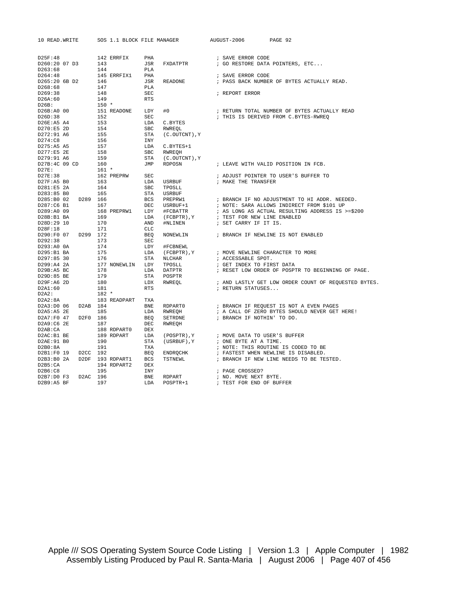| 10 READ. WRITE |  | SOS 1.1 BLOCK FILE MANAGER      |  | AUGUST-2006 PAGE 92      |                                                                                                                                                                                                                                                                   |
|----------------|--|---------------------------------|--|--------------------------|-------------------------------------------------------------------------------------------------------------------------------------------------------------------------------------------------------------------------------------------------------------------|
|                |  |                                 |  |                          |                                                                                                                                                                                                                                                                   |
|                |  |                                 |  |                          |                                                                                                                                                                                                                                                                   |
|                |  |                                 |  |                          |                                                                                                                                                                                                                                                                   |
|                |  |                                 |  |                          |                                                                                                                                                                                                                                                                   |
|                |  |                                 |  |                          |                                                                                                                                                                                                                                                                   |
|                |  |                                 |  |                          |                                                                                                                                                                                                                                                                   |
|                |  |                                 |  |                          |                                                                                                                                                                                                                                                                   |
|                |  |                                 |  |                          |                                                                                                                                                                                                                                                                   |
|                |  |                                 |  |                          |                                                                                                                                                                                                                                                                   |
|                |  |                                 |  |                          | ; RETURN TOTAL NUMBER OF BYTES ACTUALLY READ                                                                                                                                                                                                                      |
|                |  |                                 |  |                          |                                                                                                                                                                                                                                                                   |
|                |  |                                 |  |                          |                                                                                                                                                                                                                                                                   |
|                |  |                                 |  |                          |                                                                                                                                                                                                                                                                   |
|                |  |                                 |  |                          |                                                                                                                                                                                                                                                                   |
|                |  |                                 |  |                          |                                                                                                                                                                                                                                                                   |
|                |  |                                 |  |                          |                                                                                                                                                                                                                                                                   |
|                |  |                                 |  |                          |                                                                                                                                                                                                                                                                   |
|                |  |                                 |  |                          |                                                                                                                                                                                                                                                                   |
|                |  |                                 |  |                          |                                                                                                                                                                                                                                                                   |
|                |  |                                 |  |                          | D268:AS A<br>D270:95 20<br>D271:91 5 20<br>D271:91 5 20<br>D271:91 5 20<br>D271:95 25<br>D271:95 25<br>D271:95 25<br>D271:95 25<br>D271:95 25<br>D271:95 25<br>D271:95 25<br>D271:95 25<br>D281:95 24<br>D281:95 23<br>D281:95 23<br>D281:95 23<br>D281:95 23<br> |
|                |  |                                 |  |                          |                                                                                                                                                                                                                                                                   |
|                |  |                                 |  |                          |                                                                                                                                                                                                                                                                   |
|                |  |                                 |  |                          |                                                                                                                                                                                                                                                                   |
|                |  |                                 |  |                          |                                                                                                                                                                                                                                                                   |
|                |  |                                 |  |                          |                                                                                                                                                                                                                                                                   |
|                |  |                                 |  |                          |                                                                                                                                                                                                                                                                   |
|                |  |                                 |  |                          |                                                                                                                                                                                                                                                                   |
|                |  |                                 |  |                          |                                                                                                                                                                                                                                                                   |
|                |  |                                 |  |                          |                                                                                                                                                                                                                                                                   |
|                |  |                                 |  |                          |                                                                                                                                                                                                                                                                   |
|                |  |                                 |  |                          |                                                                                                                                                                                                                                                                   |
|                |  |                                 |  |                          |                                                                                                                                                                                                                                                                   |
|                |  |                                 |  |                          |                                                                                                                                                                                                                                                                   |
|                |  |                                 |  |                          |                                                                                                                                                                                                                                                                   |
|                |  |                                 |  |                          |                                                                                                                                                                                                                                                                   |
|                |  |                                 |  |                          |                                                                                                                                                                                                                                                                   |
|                |  |                                 |  |                          |                                                                                                                                                                                                                                                                   |
|                |  |                                 |  |                          |                                                                                                                                                                                                                                                                   |
|                |  |                                 |  |                          |                                                                                                                                                                                                                                                                   |
|                |  |                                 |  |                          |                                                                                                                                                                                                                                                                   |
|                |  |                                 |  |                          |                                                                                                                                                                                                                                                                   |
|                |  |                                 |  |                          |                                                                                                                                                                                                                                                                   |
|                |  |                                 |  |                          |                                                                                                                                                                                                                                                                   |
|                |  |                                 |  |                          |                                                                                                                                                                                                                                                                   |
|                |  |                                 |  |                          | ; A CALL OF ZERO BYTES SHOULD NEVER GET HERE!<br>; BRANCH IF NOTHIN' TO DO.                                                                                                                                                                                       |
|                |  |                                 |  |                          |                                                                                                                                                                                                                                                                   |
|                |  |                                 |  |                          |                                                                                                                                                                                                                                                                   |
|                |  |                                 |  |                          |                                                                                                                                                                                                                                                                   |
|                |  |                                 |  |                          |                                                                                                                                                                                                                                                                   |
|                |  |                                 |  |                          |                                                                                                                                                                                                                                                                   |
|                |  |                                 |  |                          |                                                                                                                                                                                                                                                                   |
|                |  |                                 |  |                          |                                                                                                                                                                                                                                                                   |
|                |  |                                 |  |                          |                                                                                                                                                                                                                                                                   |
|                |  |                                 |  |                          |                                                                                                                                                                                                                                                                   |
|                |  |                                 |  | ; NO. MOVE NEXT BYTE.    |                                                                                                                                                                                                                                                                   |
|                |  | $\frac{1}{2}$<br>D2B9:A5 BF 197 |  | ; TEST FOR END OF BUFFER |                                                                                                                                                                                                                                                                   |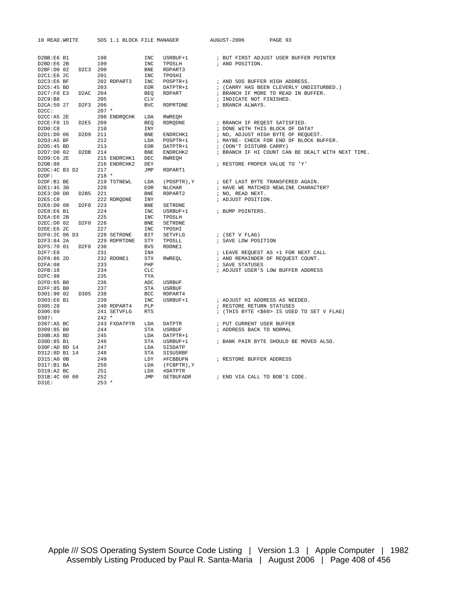| 10 READ. WRITE                                                                    | SOS 1.1 BLOCK FILE MANAGER |                             | AUGUST-2006<br>PAGE 93                                                                                                                                                                                      |
|-----------------------------------------------------------------------------------|----------------------------|-----------------------------|-------------------------------------------------------------------------------------------------------------------------------------------------------------------------------------------------------------|
| D2BB:E6 B1                                                                        | 198                        | INC                         | ${\tt USRBUF+1} \hspace{2.3cm} {\tt \hspace{2.3cm} \it i\hspace{2.3cm} \tt BUT\hspace{2.3cm} \tt FIRST\hspace{2.3cm} \tt ADJUST\hspace{2.3cm} \tt USER\hspace{2.3cm} \tt BUFFER\hspace{2.3cm} \tt POINTER}$ |
| D2BD:EG 2B                                                                        | 199                        | INC<br>TPOSLH               | ; AND POSITION.                                                                                                                                                                                             |
| D2C3 200<br>D2BF:D0 02                                                            |                            | BNE<br>RDPART3              |                                                                                                                                                                                                             |
| D2C1:E6 2C                                                                        | 201                        | INC<br>TPOSHI               |                                                                                                                                                                                                             |
| D2C3:E6BF                                                                         | 202 RDPART3                | INC<br>POSPTR+1             | ; AND SOS BUFFER HIGH ADDRESS.                                                                                                                                                                              |
|                                                                                   |                            |                             |                                                                                                                                                                                                             |
| D2C5:45 BD                                                                        | 203                        | EOR<br>DATPTR+1             | ; (CARRY HAS BEEN CLEVERLY UNDISTURBED.)                                                                                                                                                                    |
| D2C7:FO E3<br>D2AC 204                                                            |                            | BEO<br>RDPART               | ; BRANCH IF MORE TO READ IN BUFFER.                                                                                                                                                                         |
| D2C9:B8                                                                           | 205                        | CLV                         | ; INDICATE NOT FINISHED.                                                                                                                                                                                    |
| D2CA:50 27<br>D2F3 206                                                            |                            | <b>BVC</b><br>RDPRTDNE      | ; BRANCH ALWAYS.                                                                                                                                                                                            |
| D2CC:                                                                             | $207$ *                    |                             |                                                                                                                                                                                                             |
| D2CC:AB 2E                                                                        | 208 ENDRQCHK LDA           | RWREOH                      |                                                                                                                                                                                                             |
| D2CE: F0 15<br>D2E5 209                                                           |                            | BEQ<br>RDRQDNE              | ; BRANCH IF REQEST SATISFIED.                                                                                                                                                                               |
| D2D0:C8                                                                           | 210                        | INY                         | ; DONE WITH THIS BLOCK OF DATA?                                                                                                                                                                             |
| D2D9 211<br>D2D1:D0 06                                                            |                            | $\verb ENDRCHK1 $<br>BNE    | ; NO, ADJUST HIGH BYTE OF REOUEST.                                                                                                                                                                          |
| D2D3:A5 BF                                                                        | 212                        | LDA<br>POSPTR+1<br>DATPTR+1 | ; MAYBE- CHECK FOR END OF BLOCK BUFFER.                                                                                                                                                                     |
| D2D5:45 BD                                                                        | 213                        | EOR                         | ' MAIBE - כוביטו.<br>1 (DON'T DISTURB CARRY)<br>היירי ידי שו COUNT CA                                                                                                                                       |
| D2D7:D0 02 D2DB 214                                                               |                            | BNE<br>ENDRCHK2             | ; BRANCH IF HI COUNT CAN BE DEALT WITH NEXT TIME.                                                                                                                                                           |
| D2D9:CG 2E                                                                        | 215 ENDRCHK1               | <b>DEC</b><br>RWREOH        |                                                                                                                                                                                                             |
| D2DB:88                                                                           | 216 ENDRCHK2               | DEY                         | ; RESTORE PROPER VALUE TO 'Y'                                                                                                                                                                               |
| D2DC:4C B3 D2                                                                     | 217                        | JMP<br>RDPART1              |                                                                                                                                                                                                             |
| D2DF:                                                                             | $218 *$                    |                             |                                                                                                                                                                                                             |
| D2DF:B1 BE                                                                        | 219 TSTNEWL                | LDA<br>(POSPTR), Y          | ; GET LAST BYTE TRANSFERED AGAIN.                                                                                                                                                                           |
| D2E1:45 30                                                                        | 220                        | EOR<br>NLCHAR               | ; HAVE WE MATCHED NEWLINE CHARACTER?                                                                                                                                                                        |
| D2E3:D0 D0<br>D2B5 221                                                            |                            | RDPART2<br>BNE              | ; NO, READ NEXT.                                                                                                                                                                                            |
| D2E5:C8                                                                           | 222 RDRQDNE                | INY                         | ; ADJUST POSITION.                                                                                                                                                                                          |
| D2E6:D0 08<br>D2F0 223                                                            |                            | BNE<br>SETRDNE              |                                                                                                                                                                                                             |
| D2E8:E6 B1                                                                        | 224                        | INC<br>USRBUF+1             | ; BUMP POINTERS.                                                                                                                                                                                            |
| D2EA:E6 2B                                                                        | 225                        | INC<br>TPOSLH               |                                                                                                                                                                                                             |
| D2EC:D0 02<br>D2F0 226                                                            |                            | BNE<br>SETRDNE              |                                                                                                                                                                                                             |
| D2EE:E6 2C                                                                        | 227                        | INC<br>TPOSHI               |                                                                                                                                                                                                             |
| D2F0:2C 06 D3                                                                     | 228 SETRDNE                | BIT<br>SETVFLG              | ; (SET V FLAG)                                                                                                                                                                                              |
| D2F3:84 2A                                                                        | 229 RDPRTDNE               | STY<br>TPOSLL               | ; SAVE LOW POSITION                                                                                                                                                                                         |
| D2F5:70 01 D2F8 230                                                               |                            | <b>BVS</b><br>RDONE1        |                                                                                                                                                                                                             |
| D2F7:E8                                                                           | 231                        | INX                         | ; LEAVE REQUEST AS +1 FOR NEXT CALL                                                                                                                                                                         |
| D2F8:86 2D                                                                        | 232 RDONE1                 | STX<br>RWREOL               | ; AND REMAINDER OF REOUEST COUNT.                                                                                                                                                                           |
| D2FA:08                                                                           | 233                        | PHP                         | ; SAVE STATUSES                                                                                                                                                                                             |
| D2FB:18                                                                           | 234                        | CLC                         | ; ADJUST USER'S LOW BUFFER ADDRESS                                                                                                                                                                          |
| D2FC:98                                                                           | 235                        | TYA                         |                                                                                                                                                                                                             |
| D2FD:65 B0                                                                        | 236                        | ADC<br><b>USRBUF</b>        |                                                                                                                                                                                                             |
| D2FF:85 B0                                                                        | 237                        | STA<br>USRBUF               |                                                                                                                                                                                                             |
| D301:90 02 D305 238                                                               |                            | BCC<br>RDPART4              |                                                                                                                                                                                                             |
| D303:E6 B1                                                                        | 239                        | INC<br>USRBUF+1             | ; ADJUST HI ADDRESS AS NEEDED.                                                                                                                                                                              |
| D305:28                                                                           | 240 RDPART4                | PLP                         | ; RESTORE RETURN STATUSES                                                                                                                                                                                   |
| D306:60                                                                           | 241 SETVFLG                | <b>RTS</b>                  | ; (THIS BYTE <\$60> IS USED TO SET V FLAG)                                                                                                                                                                  |
| D307:                                                                             | $242 *$                    |                             |                                                                                                                                                                                                             |
| D307:ABBC                                                                         | 243 FXDATPTR               | DATPTR<br>LDA               | ; PUT CURRENT USER BUFFER                                                                                                                                                                                   |
| D309:85 BO                                                                        | 244                        | STA<br>USRBUF               | ; ADDRESS BACK TO NORMAL                                                                                                                                                                                    |
| D30B:A5 BD                                                                        | 245                        | LDA<br>DATPTR+1             |                                                                                                                                                                                                             |
| $\begin{array}{r} 243 \\ 246 \\ 4 \\ 4 \end{array}$<br>247<br>4 248<br>D30D:85 B1 |                            | STA<br>USRBUF+1             | ; BANK PAIR BYTE SHOULD BE MOVED ALSO.                                                                                                                                                                      |
| D30F:AD BD 14                                                                     |                            | LDA<br>SISDATP              |                                                                                                                                                                                                             |
| D312:8D B1 14                                                                     |                            | STA<br>SISUSRBF             |                                                                                                                                                                                                             |
| D315:A0 0B                                                                        | 249                        | LDY<br>#FCBBUFN             | ; RESTORE BUFFER ADDRESS                                                                                                                                                                                    |
| D317:B1 BA                                                                        | 250                        | LDA<br>(FCBPTR), Y          |                                                                                                                                                                                                             |
| D319:A2 BC                                                                        | 251                        | LDX<br>#DATPTR              |                                                                                                                                                                                                             |
| D31B:4C 00 00                                                                     | 252                        | JMP<br>GETBUFADR            | ; END VIA CALL TO BOB'S CODE.                                                                                                                                                                               |
| D31E:                                                                             | $253 *$                    |                             |                                                                                                                                                                                                             |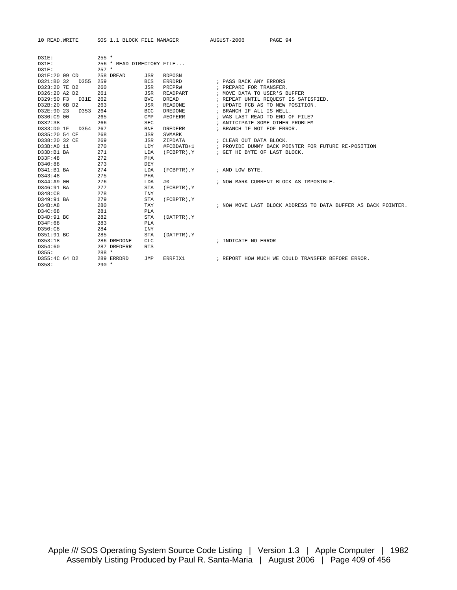| 10 READ. WRITE     | SOS 1.1 BLOCK FILE MANAGER |                              | AUGUST-2006                      | PAGE 94                                                       |
|--------------------|----------------------------|------------------------------|----------------------------------|---------------------------------------------------------------|
|                    |                            |                              |                                  |                                                               |
| $D31E$ :           | $255 *$                    |                              |                                  |                                                               |
| $D31E$ :           | 256 * READ DIRECTORY FILE  |                              |                                  |                                                               |
| $D31E$ :           | $257 *$                    |                              |                                  |                                                               |
| D31E:20 09 CD      | 258 DREAD                  | JSR<br><b>RDPOSN</b>         |                                  |                                                               |
| D321:B0 32 D355    | 259                        | <b>BCS</b><br>ERRDRD         | ; PASS BACK ANY ERRORS           |                                                               |
| D323:20 7E D2      | 260                        | JSR<br>PREPRW                | ; PREPARE FOR TRANSFER.          |                                                               |
| D326:20 A2 D2      | 261                        | READPART<br>JSR              | ; MOVE DATA TO USER'S BUFFER     |                                                               |
| D329:50 F3<br>D31E | 262                        | <b>BVC</b><br><b>DREAD</b>   |                                  | ; REPEAT UNTIL REQUEST IS SATISFIED.                          |
| D32B:20 6B D2      | 263                        | JSR<br>READONE               | ; UPDATE FCB AS TO NEW POSITION. |                                                               |
| D32E:90 23<br>D353 | 264                        | BCC<br>DREDONE               | ; BRANCH IF ALL IS WELL.         |                                                               |
| D330:C9 00         | 265                        | CMP<br>#EOFERR               | ; WAS LAST READ TO END OF FILE?  |                                                               |
| D332:38            | 266                        | <b>SEC</b>                   | ; ANTICIPATE SOME OTHER PROBLEM  |                                                               |
| D333:D0 1F<br>D354 | 267                        | <b>BNE</b><br><b>DREDERR</b> | ; BRANCH IF NOT EOF ERROR.       |                                                               |
| D335:20 54 CE      | 268                        | JSR<br>SVMARK                |                                  |                                                               |
| D338:20 32 CE      | 269                        | JSR<br>ZIPDATA               | ; CLEAR OUT DATA BLOCK.          |                                                               |
| D33B:A0 11         | 270                        | LDY<br>#FCBDATB+1            |                                  | ; PROVIDE DUMMY BACK POINTER FOR FUTURE RE-POSITION           |
| D33D:B1 BA         | 271                        | LDA<br>(FCBPTR), Y           | ; GET HI BYTE OF LAST BLOCK.     |                                                               |
| D33F:48            | 272                        | PHA                          |                                  |                                                               |
| D340:88            | 273                        | DEY                          |                                  |                                                               |
| D341:B1 BA         | 274                        | LDA<br>(FCBPTR), Y           | ; AND LOW BYTE.                  |                                                               |
| D343:48            | 275                        | PHA                          |                                  |                                                               |
| D344:A9 00         | 276                        | LDA<br>#0                    |                                  | ; NOW MARK CURRENT BLOCK AS IMPOSIBLE.                        |
| D346:91 BA         | 277                        | <b>STA</b><br>(FCBPTR), Y    |                                  |                                                               |
| D348:C8            | 278                        | <b>INY</b>                   |                                  |                                                               |
| D349:91 BA         | 279                        | <b>STA</b><br>(FCBPTR), Y    |                                  |                                                               |
| D34B:AB            | 280                        | TAY                          |                                  | ; NOW MOVE LAST BLOCK ADDRESS TO DATA BUFFER AS BACK POINTER. |
| D34C:68            | 281                        | PLA                          |                                  |                                                               |
| D34D:91 BC         | 282                        | STA<br>(DATPTR), Y           |                                  |                                                               |
| D34F:68            | 283                        | PLA                          |                                  |                                                               |
| D350:C8            | 284                        | <b>INY</b>                   |                                  |                                                               |
| D351:91 BC         | 285                        | <b>STA</b><br>(DATPTR), Y    |                                  |                                                               |
| D353:18<br>D354:60 | 286 DREDONE<br>287 DREDERR | <b>CLC</b><br><b>RTS</b>     | ; INDICATE NO ERROR              |                                                               |
| D355:              | $288 *$                    |                              |                                  |                                                               |
| D355:4C 64 D2      | 289 ERRDRD                 | <b>JMP</b><br>ERRFIX1        |                                  | ; REPORT HOW MUCH WE COULD TRANSFER BEFORE ERROR.             |
| D358:              | $290 *$                    |                              |                                  |                                                               |
|                    |                            |                              |                                  |                                                               |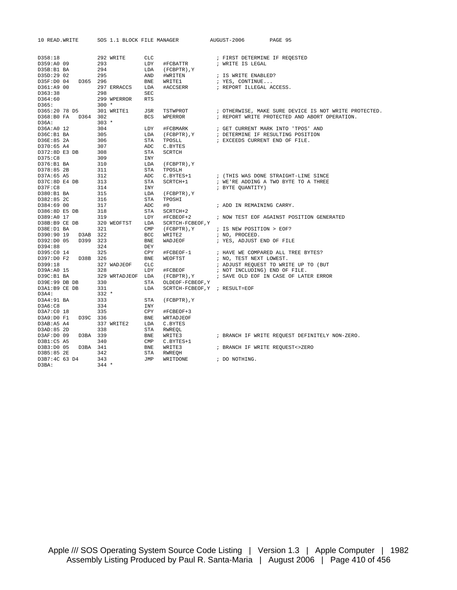| 10 READ. WRITE                       | SOS 1.1 BLOCK FILE MANAGER |                               | AUGUST-2006                                       | PAGE 95                                               |
|--------------------------------------|----------------------------|-------------------------------|---------------------------------------------------|-------------------------------------------------------|
|                                      |                            |                               |                                                   |                                                       |
| D358:18                              | 292 WRITE                  | CLC                           |                                                   |                                                       |
| D359:A0 09                           | 293                        | LDY<br>#FCBATTR               | ; FIRST DETERMINE IF REQESTED<br>; WRITE IS LEGAL |                                                       |
| D35B:B1 BA                           | 294                        | LDA<br>(FCBPTR), Y            |                                                   |                                                       |
| D35D:29 02                           | 295                        | AND<br>#WRITEN                | ; IS WRITE ENABLED?                               |                                                       |
| D365 296<br>D35F:D0 04               |                            | ${\tt BNE}$<br>WRITE1         | ; YES, CONTINUE                                   |                                                       |
| D361:A9 00                           | 297 ERRACCS                | LDA<br>#ACCSERR               | ; REPORT ILLEGAL ACCESS.                          |                                                       |
| D363:38                              | 298                        | SEC                           |                                                   |                                                       |
| D364:60                              | 299 WPERROR                | <b>RTS</b>                    |                                                   |                                                       |
| D365:                                | $300 *$                    |                               |                                                   |                                                       |
| D365:20 78 D5                        | 301 WRITE1                 | JSR<br>TSTWPROT               |                                                   | ; OTHERWISE, MAKE SURE DEVICE IS NOT WRITE PROTECTED. |
| D368:B0 FA D364 302                  |                            | <b>BCS</b><br>WPERROR         |                                                   | ; REPORT WRITE PROTECTED AND ABORT OPERATION.         |
| D36A:                                | $303 *$                    |                               |                                                   |                                                       |
| D36A:A0 12                           | 304                        | LDY<br>#FCBMARK               |                                                   | ; GET CURRENT MARK INTO 'TPOS' AND                    |
| D36C:B1 BA                           | 305                        | LDA<br>(FCBPTR), Y            |                                                   | ; DETERMINE IF RESULTING POSITION                     |
| D36E:85 2A                           | 306                        | STA<br>TPOSLL                 | ; EXCEEDS CURRENT END OF FILE.                    |                                                       |
| D370:65 A4                           | 307                        | ADC<br>C.BYTES                |                                                   |                                                       |
| D372:8D E3 DB                        | 308                        | STA<br>SCRTCH                 |                                                   |                                                       |
| D375:C8                              | 309                        | <b>INY</b>                    |                                                   |                                                       |
| D376:B1 BA                           | 310                        | LDA<br>(FCBPTR), Y            |                                                   |                                                       |
| D378:85 2B                           | 311                        | STA<br>TPOSLH                 |                                                   |                                                       |
| D37A:65 A5                           | 312                        | ADC.<br>C.BYTES+1             |                                                   | ; (THIS WAS DONE STRAIGHT-LINE SINCE                  |
| D37C:8D E4 DB                        | 313                        | STA<br>SCRTCH+1               |                                                   | ; WE'RE ADDING A TWO BYTE TO A THREE                  |
| D37F:CB                              | 314                        | INY                           | ; BYTE QUANTITY)                                  |                                                       |
| D380:B1 BA                           | 315                        | LDA<br>(FCBPTR), Y            |                                                   |                                                       |
| D382:85 2C                           | 316                        | STA<br>TPOSHI                 |                                                   |                                                       |
| D384:69 00                           | 317                        | ADC<br>#0                     | ; ADD IN REMAINING CARRY.                         |                                                       |
| D386:8D E5 DB                        | 318                        | <b>STA</b><br>SCRTCH+2        |                                                   |                                                       |
| D389:A0 17                           | 319                        | LDY<br>#FCBEOF+2              |                                                   | ; NOW TEST EOF AGAINST POSITION GENERATED             |
| D38B:B9 CE DB                        | 320 WEOFTST                | LDA<br>SCRTCH-FCBEOF, Y       |                                                   |                                                       |
| D38E:D1 BA                           | 321                        | $\mathsf{CMP}$<br>(FCBPTR), Y | ; IS NEW POSITION > EOF?                          |                                                       |
| D390:90 19<br>D3AB 322               |                            | BCC<br>WRITE2                 | ; NO, PROCEED.                                    |                                                       |
| D399 323<br>D392:D0 05               |                            | BNE<br>WADJEOF                | ; YES, ADJUST END OF FILE                         |                                                       |
| D394:88                              | 324                        | DEY                           |                                                   |                                                       |
| D395:C0 14                           | 325                        | CPY<br>#FCBEOF-1              |                                                   | ; HAVE WE COMPARED ALL TREE BYTES?                    |
| D397:D0 F2<br>D38B 326               |                            | <b>BNE</b><br>WEOFTST         | ; NO, TEST NEXT LOWEST.                           |                                                       |
| D399:18                              | 327 WADJEOF                | CLC                           |                                                   | ; ADJUST REQUEST TO WRITE UP TO (BUT                  |
| D39A:A0 15                           | 328                        | LDY<br>#FCBEOF                | ; NOT INCLUDING) END OF FILE.                     |                                                       |
| D39C:B1 BA                           | 329 WRTADJEOF LDA          |                               | (FCBPTR), Y : SAVE OLD EOF IN CASE OF LATER ERROR |                                                       |
| D39E:99 DB DB                        | 330                        | STA<br>OLDEOF-FCBEOF, Y       |                                                   |                                                       |
| D3A1:B9 CE DB                        | 331                        | LDA                           | SCRTCH-FCBEOF, Y ; RESULT=EOF                     |                                                       |
| D3A4:                                | $332 *$                    |                               |                                                   |                                                       |
| D3A4:91 BA                           | 333                        | STA<br>$(FCBPTR)$ , $Y$       |                                                   |                                                       |
| D3A6:C8                              | 334                        | <b>INY</b><br>CPY             |                                                   |                                                       |
| D3A7:C0 18<br>D3A9:D0 F1<br>D39C 336 | 335                        | #FCBEOF+3<br>BNE              |                                                   |                                                       |
| D3AB:A5 A4                           | 337 WRITE2                 | WRTADJEOF<br>LDA<br>C.BYTES   |                                                   |                                                       |
| D3AD:85 2D                           | 338                        | STA<br>RWREOL                 |                                                   |                                                       |
| D3BA 339<br>D3AF:D0 09               |                            | BNE<br>WRITE3                 |                                                   | ; BRANCH IF WRITE REQUEST DEFINITELY NON-ZERO.        |
| D3B1:C5 A5                           | 340                        | $\texttt{CMP}$<br>C.BYTES+1   |                                                   |                                                       |
| D3BA 341<br>D3B3:D0 05               |                            | BNE<br>WRITE3                 | ; BRANCH IF WRITE REQUEST<>ZERO                   |                                                       |
| D3B5:85 2E                           | 342                        | STA<br>RWREQH                 |                                                   |                                                       |
| D3B7:4C 63 D4                        | 343                        | JMP<br>WRITDONE               | ; DO NOTHING.                                     |                                                       |
| D3BA:                                | $344 *$                    |                               |                                                   |                                                       |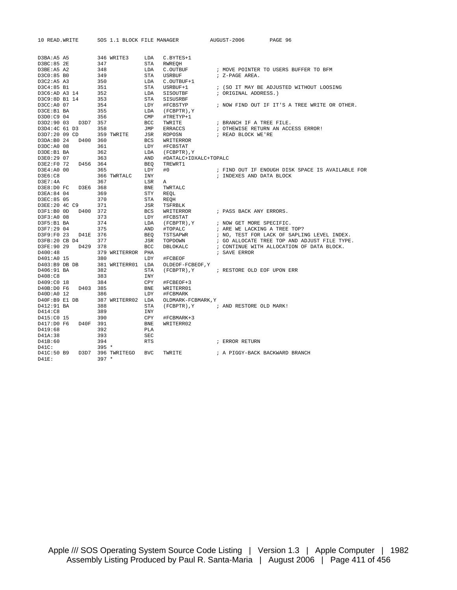| 10 READ. WRITE           | SOS 1.1 BLOCK FILE MANAGER |                |                       | AUGUST-2006                            | PAGE 96                                          |  |
|--------------------------|----------------------------|----------------|-----------------------|----------------------------------------|--------------------------------------------------|--|
|                          |                            |                |                       |                                        |                                                  |  |
| D3BA:A5 A5               | 346 WRITE3                 | LDA            | C.BYTES+1             |                                        |                                                  |  |
| D3BC:85 2E               | 347                        | STA            | RWREQH                |                                        |                                                  |  |
| D3BE:A5 A2               | 348                        | LDA            | C.OUTBUF              |                                        | ; MOVE POINTER TO USERS BUFFER TO BFM            |  |
| D3C0:85 B0               | 349                        | <b>STA</b>     | <b>USRBUF</b>         | ; Z-PAGE AREA.                         |                                                  |  |
| D3C2:A5 A3               | 350                        | LDA            | C.OUTBUF+1            |                                        |                                                  |  |
| D3C4:85 B1               | 351                        | STA            | USRBUF+1              |                                        | ; (SO IT MAY BE ADJUSTED WITHOUT LOOSING         |  |
| D3C6:AD A3 14            | 352                        | LDA            | SISOUTBF              | ; ORIGINAL ADDRESS.)                   |                                                  |  |
| D3C9:8D B1 14            | 353                        | <b>STA</b>     | SISUSRBF              |                                        |                                                  |  |
| D3CC:A0 07               | 354                        | LDY            | #FCBSTYP              |                                        | ; NOW FIND OUT IF IT'S A TREE WRITE OR OTHER.    |  |
| D3CE:B1 BA               | 355                        | LDA            | (FCBPTR), Y           |                                        |                                                  |  |
| D3D0:C9 04               | 356                        | $\texttt{CMP}$ | #TRETYP+1             |                                        |                                                  |  |
| D3D2:90 03<br>D3D7 357   |                            | BCC            | TWRITE                | ; BRANCH IF A TREE FILE.               |                                                  |  |
| D3D4:4C 61 D3            | 358                        | JMP            | ERRACCS               |                                        | ; OTHEWISE RETURN AN ACCESS ERROR!               |  |
| D3D7:20 09 CD            | 359 TWRITE                 | JSR            | RDPOSN                | ; READ BLOCK WE'RE                     |                                                  |  |
| D3DA:B0 24               | D400 360                   | <b>BCS</b>     | WRITERROR             |                                        |                                                  |  |
| D3DC: A0 08              | 361                        | LDY            | #FCBSTAT              |                                        |                                                  |  |
| D3DE:B1 BA               | 362                        | LDA            | (FCBPTR), Y           |                                        |                                                  |  |
| D3E0:29 07               | 363                        | AND            | #DATALC+IDXALC+TOPALC |                                        |                                                  |  |
| D3E2:F0 72               | D456 364                   | <b>BEO</b>     | TREWRT1               |                                        |                                                  |  |
| D3E4:A0 00               | 365                        | LDY            | #0                    |                                        | ; FIND OUT IF ENOUGH DISK SPACE IS AVAILABLE FOR |  |
| D3E6:C8                  | 366 TWRTALC                | INY            |                       | ; INDEXES AND DATA BLOCK               |                                                  |  |
| D3E7:4A                  | 367                        | LSR            | Α                     |                                        |                                                  |  |
| D3E8:D0 FC               | D3E6 368                   | <b>BNE</b>     | TWRTALC               |                                        |                                                  |  |
| D3EA:84 04               | 369                        | STY            | REQL                  |                                        |                                                  |  |
| D3EC:85 05               | 370                        | STA            | REOH                  |                                        |                                                  |  |
| D3EE:20 4C C9            | 371                        | JSR            | TSFRBLK               |                                        |                                                  |  |
| D3F1:B0 0D               | D400 372                   | <b>BCS</b>     | WRITERROR             | ; PASS BACK ANY ERRORS.                |                                                  |  |
| D3F3:A0 08               | 373                        | LDY            | #FCBSTAT              |                                        |                                                  |  |
| D3F5:B1 BA               | 374                        | LDA            | (FCBPTR), Y           | ; NOW GET MORE SPECIFIC.               |                                                  |  |
|                          | 375                        |                |                       | ; ARE WE LACKING A TREE TOP?           |                                                  |  |
| D3F7:29 04<br>D3F9:F0 23 | D41E 376                   | AND            | #TOPALC               |                                        |                                                  |  |
|                          |                            | <b>BEQ</b>     | TSTSAPWR              |                                        | ; NO, TEST FOR LACK OF SAPLING LEVEL INDEX.      |  |
| $D3FB:20$ CB D4<br>D429  | 377                        | JSR<br>BCC     | TOPDOWN               |                                        | ; GO ALLOCATE TREE TOP AND ADJUST FILE TYPE.     |  |
| D3FE:90 29               | 378                        |                | DBLOKALC              |                                        | ; CONTINUE WITH ALLOCATION OF DATA BLOCK.        |  |
| D400:48                  | 379 WRITERROR PHA          |                |                       | ; SAVE ERROR                           |                                                  |  |
| D401:A0 15               | 380                        | LDY            | #FCBEOF               |                                        |                                                  |  |
| $D403:B9$ DB DB          | 381 WRITERR01 LDA          |                | OLDEOF-FCBEOF, Y      |                                        |                                                  |  |
| D406:91 BA               | 382                        | STA            |                       | (FCBPTR), Y ; RESTORE OLD EOF UPON ERR |                                                  |  |
| D408:C8                  | 383                        | INY            |                       |                                        |                                                  |  |
| D409:C0 18               | 384                        | CPY            | #FCBEOF+3             |                                        |                                                  |  |
| D40B:D0 F6               | D403 385                   | ${\tt BNE}$    | WRITERR01             |                                        |                                                  |  |
| D40D:A0 12               | 386                        | LDY            | #FCBMARK              |                                        |                                                  |  |
| D40F:B9 E1 DB            | 387 WRITERR02 LDA          |                | OLDMARK-FCBMARK, Y    |                                        |                                                  |  |
| D412:91 BA               | 388                        | STA            |                       | (FCBPTR), Y ; AND RESTORE OLD MARK!    |                                                  |  |
| D414:C8                  | 389                        | <b>INY</b>     |                       |                                        |                                                  |  |
| D415:C0 15               | 390                        | CPY            | #FCBMARK+3            |                                        |                                                  |  |
| D417:D0 F6               | D40F 391                   | <b>BNE</b>     | WRITERR02             |                                        |                                                  |  |
| D419:68                  | 392                        | PLA            |                       |                                        |                                                  |  |
| D41A:38                  | 393                        | <b>SEC</b>     |                       |                                        |                                                  |  |
| D41B:60                  | 394                        | <b>RTS</b>     |                       | ; ERROR RETURN                         |                                                  |  |
| D41C:                    | $395 *$                    |                |                       |                                        |                                                  |  |
| D41C:50 B9               | D3D7 396 TWRITEGO          | <b>BVC</b>     | TWRITE                | ; A PIGGY-BACK BACKWARD BRANCH         |                                                  |  |
| $D41E$ :                 | $397 *$                    |                |                       |                                        |                                                  |  |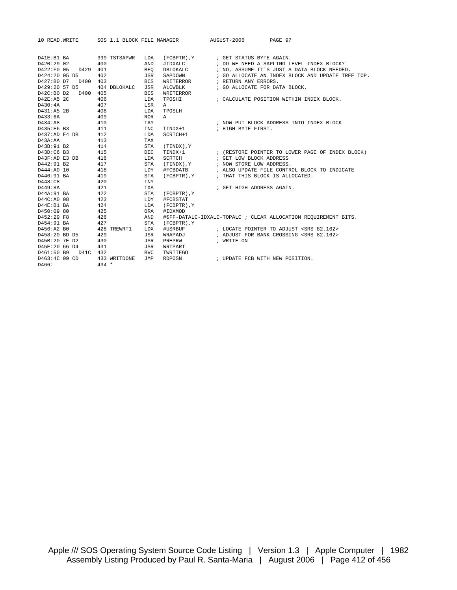| 10 READ. WRITE          | SOS 1.1 BLOCK FILE MANAGER |            |                                      | AUGUST-2006               | PAGE 97                                                         |  |
|-------------------------|----------------------------|------------|--------------------------------------|---------------------------|-----------------------------------------------------------------|--|
|                         |                            |            |                                      |                           |                                                                 |  |
| D41E:B1 BA              | 399 TSTSAPWR               | LDA        | (FCBPTR), Y / GET STATUS BYTE AGAIN. |                           |                                                                 |  |
| D420:29 02              | 400                        | AND        | #IDXALC                              |                           | ; DO WE NEED A SAPLING LEVEL INDEX BLOCK?                       |  |
| D422:F0 05<br>D429      | 401                        | <b>BEO</b> | DBLOKALC                             |                           | ; NO, ASSUME IT'S JUST A DATA BLOCK NEEDED.                     |  |
| D424:20 05 D5           | 402                        | JSR        | SAPDOWN                              |                           | ; GO ALLOCATE AN INDEX BLOCK AND UPDATE TREE TOP.               |  |
| D427:B0 D7 D400         | 403                        | <b>BCS</b> | WRITERROR                            | ; RETURN ANY ERRORS.      |                                                                 |  |
| D429:20 57 D5           | 404 DBLOKALC               | JSR        | ALCWBLK                              |                           | ; GO ALLOCATE FOR DATA BLOCK.                                   |  |
| D42C: B0 D2<br>D400 405 |                            | <b>BCS</b> | <b>WRITERROR</b>                     |                           |                                                                 |  |
| D42E: A5 2C             | 406                        | LDA        | TPOSHI                               |                           | ; CALCULATE POSITION WITHIN INDEX BLOCK.                        |  |
| D430:4A                 | 407                        | LSR        | $\mathbb{A}$                         |                           |                                                                 |  |
| D431:A5 2B              | 408                        | LDA        | TPOSLH                               |                           |                                                                 |  |
| D433:6A                 | 409                        | <b>ROR</b> | A                                    |                           |                                                                 |  |
| D434:A8                 | 410                        | TAY        |                                      |                           | ; NOW PUT BLOCK ADDRESS INTO INDEX BLOCK                        |  |
| D435:E6 B3              | 411                        | <b>INC</b> | TINDX+1                              | ; HIGH BYTE FIRST.        |                                                                 |  |
| D437:AD E4 DB           | 412                        | LDA        | SCRTCH+1                             |                           |                                                                 |  |
| D43A:AA                 | 413                        | TAX        |                                      |                           |                                                                 |  |
| D43B:91 B2              | 414                        | <b>STA</b> | (TINDX), Y                           |                           |                                                                 |  |
| D43D:C6 B3              | 415                        | <b>DEC</b> | TINDX+1                              |                           | ; (RESTORE POINTER TO LOWER PAGE OF INDEX BLOCK)                |  |
| D43F:AD E3 DB           | 416                        | LDA        | SCRTCH                               | ; GET LOW BLOCK ADDRESS   |                                                                 |  |
| D442:91 B2              | 417                        | <b>STA</b> | (TINDX), Y                           | ; NOW STORE LOW ADDRESS.  |                                                                 |  |
| D444:A0 10              | 418                        | LDY        | #FCBDATB                             |                           | ; ALSO UPDATE FILE CONTROL BLOCK TO INDICATE                    |  |
| D446:91 BA              | 419                        | <b>STA</b> | (FCBPTR), Y                          |                           | ; THAT THIS BLOCK IS ALLOCATED.                                 |  |
| D448:C8                 | 420                        | <b>INY</b> |                                      |                           |                                                                 |  |
| D449:8A                 | 421                        | <b>TXA</b> |                                      | ; GET HIGH ADDRESS AGAIN. |                                                                 |  |
| D44A:91 BA              | 422                        | <b>STA</b> | (FCBPTR), Y                          |                           |                                                                 |  |
| D44C:A0 08              | 423                        | LDY        | #FCBSTAT                             |                           |                                                                 |  |
| D44E: B1 BA             | 424                        | LDA        | (FCBPTR), Y                          |                           |                                                                 |  |
| D450:09 80              | 425                        | ORA        | #IDXMOD                              |                           |                                                                 |  |
| D452:29 F8              | 426                        | AND        |                                      |                           | #\$FF-DATALC-IDXALC-TOPALC ; CLEAR ALLOCATION REQUIREMENT BITS. |  |
| D454:91 BA              | 427                        | <b>STA</b> | (FCBPTR), Y                          |                           |                                                                 |  |
| D456:A2 B0              | 428 TREWRT1                | LDX        | #USRBUF                              |                           | ; LOCATE POINTER TO ADJUST <srs 82.162=""></srs>                |  |
| D458:20 BD D5           | 429                        | JSR        | WRAPADJ                              |                           | ; ADJUST FOR BANK CROSSING <srs 82.162=""></srs>                |  |
| D45B:20 7E D2           | 430                        | JSR        | PREPRW                               | ; WRITE ON                |                                                                 |  |
| D45E:20 66 D4           | 431                        | JSR        | WRTPART                              |                           |                                                                 |  |
| D461:50 B9 D41C 432     |                            | <b>BVC</b> | TWRITEGO                             |                           |                                                                 |  |
| D463:4C 09 CD           | 433 WRITDONE               | TMP.       | RDPOSN                               |                           | ; UPDATE FCB WITH NEW POSITION.                                 |  |
| D466:                   | $434 *$                    |            |                                      |                           |                                                                 |  |
|                         |                            |            |                                      |                           |                                                                 |  |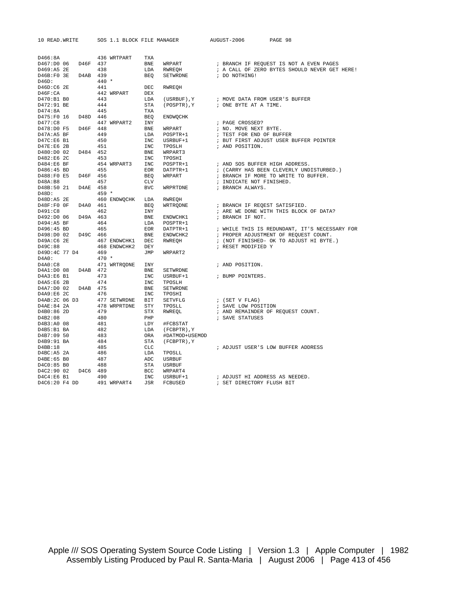| 10 READ.WRITE                  |          | SOS 1.1 BLOCK FILE MANAGER |            |                        | AUGUST-2006                                                                                      | PAGE 98                                       |
|--------------------------------|----------|----------------------------|------------|------------------------|--------------------------------------------------------------------------------------------------|-----------------------------------------------|
|                                |          |                            |            |                        |                                                                                                  |                                               |
|                                |          | 436 WRTPART                |            |                        |                                                                                                  |                                               |
| D466:8A<br>D467:D0 06 D46F 437 |          |                            | TXA<br>BNE |                        |                                                                                                  | ; BRANCH IF REQUEST IS NOT A EVEN PAGES       |
| D469:A5 2E                     | 438      |                            | LDA        | WRPART<br>RWREQH       |                                                                                                  | ; A CALL OF ZERO BYTES SHOULD NEVER GET HERE! |
| D46B:F0 3E D4AB 439            |          |                            | <b>BEQ</b> | SETWRDNE : DO NOTHING! |                                                                                                  |                                               |
| D46D:                          |          | $440 *$                    |            |                        |                                                                                                  |                                               |
| D46D:C6 2E                     |          | 441                        | DEC        | RWREOH                 |                                                                                                  |                                               |
| $D46F$ :CA                     |          | 442 WRPART DEX             |            |                        |                                                                                                  |                                               |
| D470:B1 B0                     |          | 443                        | LDA        |                        | $\left(\texttt{USRBUF}\right), \texttt{Y} \qquad \qquad ; \texttt{MOVE DATA FROM USER'S BUFFER}$ |                                               |
| D472:91 BE                     |          | 444                        | STA        | (POSPTR), Y            | ; ONE BYTE AT A TIME.                                                                            |                                               |
| D474:8A                        |          | 445                        | TXA        |                        |                                                                                                  |                                               |
| D475:F0 16                     | D48D 446 |                            | BEQ        | ENDWQCHK               |                                                                                                  |                                               |
| D477:C8                        |          | 447 WRPART2 INY            |            |                        | ; PAGE CROSSED?                                                                                  |                                               |
| D478:D0 F5 D46F 448            |          |                            | BNE        | WRPART                 | ; NO. MOVE NEXT BYTE.                                                                            |                                               |
| D47A:A5 BF                     |          | 449                        | LDA        | POSPTR+1               | ; TEST FOR END OF BUFFER                                                                         |                                               |
| $D47C:EG_ B1$                  |          | 450                        | INC        | USRBUF+1               |                                                                                                  | ; BUT FIRST ADJUST USER BUFFER POINTER        |
| $D47E:EG$ 2B                   |          | 451                        | INC        | TPOSLH                 | ; AND POSITION.                                                                                  |                                               |
| D480:D0 02                     | D484 452 |                            | BNE        | WRPART3                |                                                                                                  |                                               |
| D482:E6 2C                     |          | 453                        | INC        | TPOSHI                 |                                                                                                  |                                               |
| D484:E6 BF                     |          | 454 WRPART3 INC            |            | POSPTR+1               | ; AND SOS BUFFER HIGH ADDRESS.                                                                   |                                               |
| D486:45 BD                     |          | 455                        | EOR        | DATPTR+1               |                                                                                                  | ; (CARRY HAS BEEN CLEVERLY UNDISTURBED.)      |
| D488:F0 E5                     | D46F 456 |                            | <b>BEO</b> | WRPART                 |                                                                                                  | ; BRANCH IF MORE TO WRITE TO BUFFER.          |
| D48A:B8                        |          | 457                        | <b>CLV</b> |                        | ; INDICATE NOT FINISHED.                                                                         |                                               |
| D48B:50 21 D4AE 458            |          |                            | <b>BVC</b> | WRPRTDNE               | ; BRANCH ALWAYS.                                                                                 |                                               |
| D48D:                          |          | $459 *$                    |            |                        |                                                                                                  |                                               |
| D48D:A5 2E                     |          | 460 ENDWOCHK LDA           |            | RWREQH                 |                                                                                                  |                                               |
| D48F:F0 OF                     | D4A0 461 | <b>BEO</b>                 |            | WRTRODNE               | ; BRANCH IF REQEST SATISFIED.                                                                    |                                               |
| D491:C8                        |          | 462                        | INY        |                        |                                                                                                  | ; ARE WE DONE WITH THIS BLOCK OF DATA?        |
| D492:D0 06                     | D49A 463 |                            | BNE        | ENDWCHK1               | ; BRANCH IF NOT.                                                                                 |                                               |
| D494:A5 BF                     |          | 464                        | LDA        | POSPTR+1               |                                                                                                  |                                               |
| D496:45 BD                     |          | 465                        | EOR        | DATPTR+1               |                                                                                                  | ; WHILE THIS IS REDUNDANT, IT'S NECESSARY FOR |
| D498:D0 02                     | D49C 466 |                            | <b>BNE</b> | ENDWCHK2               |                                                                                                  | ; PROPER ADJUSTMENT OF REQUEST COUNT.         |
| D49A:C6 2E                     |          | 467 ENDWCHK1 DEC           |            | RWREOH                 |                                                                                                  | ; (NOT FINISHED- OK TO ADJUST HI BYTE.)       |
| D49C:88                        |          | 468 ENDWCHK2 DEY           |            |                        | ; RESET MODIFIED Y                                                                               |                                               |
| D49D:4C 77 D4                  |          | 469                        | JMP        | WRPART2                |                                                                                                  |                                               |
| D4A0:                          |          | $470 *$                    |            |                        |                                                                                                  |                                               |
| D4A0:C8                        |          | 471 WRTRODNE INY           |            |                        | ; AND POSITION.                                                                                  |                                               |
| D4A1:D0 08 D4AB 472            |          |                            | <b>BNE</b> | SETWRDNE               |                                                                                                  |                                               |
| D4A3:E6 B1                     |          | 473                        | INC        | USRBUF+1               | ; BUMP POINTERS.                                                                                 |                                               |
| D4A5:E6 2B                     |          | 474                        | INC        | TPOSLH                 |                                                                                                  |                                               |
| D4A7:D0 02                     | D4AB 475 |                            | <b>BNE</b> | SETWRDNE               |                                                                                                  |                                               |
| D4A9:E6 2C                     |          | 476                        | INC        | TPOSHI                 |                                                                                                  |                                               |
| D4AB:2C 06 D3                  |          | 477 SETWRDNE BIT           |            | SETVFLG                | ; (SET V FLAG)                                                                                   |                                               |
| D4AE:84 2A                     |          | 478 WRPRTDNE STY           |            | TPOSLL                 | ; SAVE LOW POSITION                                                                              |                                               |
| D4B0:86 2D                     |          | 479                        | STX        | RWREOL                 |                                                                                                  | ; AND REMAINDER OF REQUEST COUNT.             |
| D4B2:08                        |          | 480                        | PHP        |                        | ; SAVE STATUSES                                                                                  |                                               |
| D4B3:A0 08                     | 481      |                            | LDY        | #FCBSTAT               |                                                                                                  |                                               |
| D4B5:B1 BA                     |          | 482                        | LDA        | (FCBPTR), Y            |                                                                                                  |                                               |
| D4B7:09 50                     |          | 483                        | ORA        | #DATMOD+USEMOD         |                                                                                                  |                                               |
| D4B9:91 BA                     | 484      |                            | STA        | (FCBPTR), Y            |                                                                                                  |                                               |
| D4BB:18                        |          | 485                        | CLC        |                        |                                                                                                  | ; ADJUST USER'S LOW BUFFER ADDRESS            |
| D4BC: A5 2A                    |          | 486                        | LDA        | TPOSLL                 |                                                                                                  |                                               |
| D4BE:65 B0                     |          | 487                        | ADC        | <b>USRBUF</b>          |                                                                                                  |                                               |
| D4C0:85 B0                     |          | 488                        | STA        | <b>USRBUF</b>          |                                                                                                  |                                               |
| D4C2:90 02                     | D4C6 489 |                            | <b>BCC</b> | WRPART4                |                                                                                                  |                                               |
| D4C4:E6B1                      |          | 490                        | INC        | USRBUF+1               | ; ADJUST HI ADDRESS AS NEEDED.                                                                   |                                               |
| D4C6:20 F4 DD                  |          | 491 WRPART4                | JSR        | FCBUSED                | ; SET DIRECTORY FLUSH BIT                                                                        |                                               |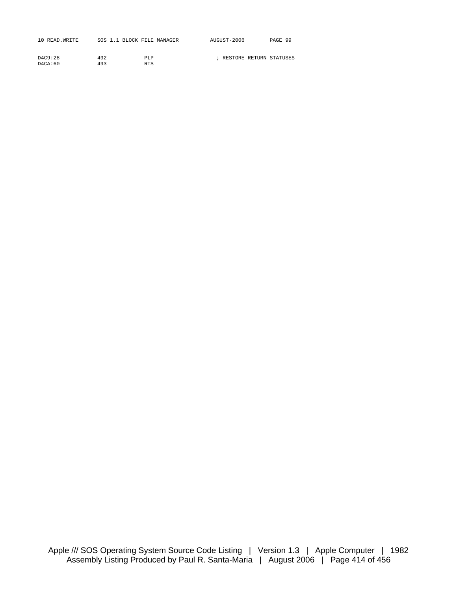| 10 READ. WRITE | SOS 1.1 BLOCK FILE MANAGER |            | AUGUST-2006               | PAGE 99 |
|----------------|----------------------------|------------|---------------------------|---------|
|                |                            |            |                           |         |
| D4C9:28        | 492                        | PLP        | ; RESTORE RETURN STATUSES |         |
| $D4C_A:60$     | 493                        | <b>RTS</b> |                           |         |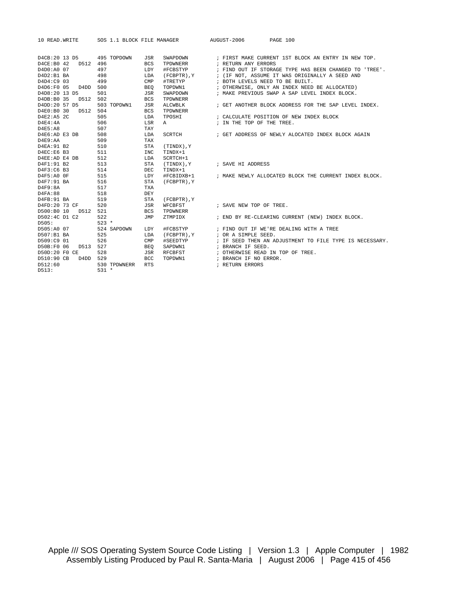| 10 READ.WRITE                                               |                                |                                 |                    | PAGE 100                                                                     |
|-------------------------------------------------------------|--------------------------------|---------------------------------|--------------------|------------------------------------------------------------------------------|
|                                                             |                                |                                 |                    |                                                                              |
| D4CB:20 13 D5 495 TOPDOWN                                   |                                | JSR                             | SWAPDOWN           | ; FIRST MAKE CURRENT 1ST BLOCK AN ENTRY IN NEW TOP.                          |
| D4CE:B0 42<br>D512 496                                      |                                | <b>BCS</b>                      | TPDWNERR           | ; RETURN ANY ERRORS                                                          |
| D4D0:A0 07                                                  | 497                            | LDY                             | #FCBSTYP           | ; FIND OUT IF STORAGE TYPE HAS BEEN CHANGED TO 'TREE'.                       |
| D4D2:B1 BA                                                  | 498                            | LDA                             | (FCBPTR), Y        | ; (IF NOT, ASSUME IT WAS ORIGINALLY A SEED AND                               |
| D4D4:C9 03                                                  | 499                            | CMP                             | #TRETYP            | ; BOTH LEVELS NEED TO BE BUILT.                                              |
| D4D6:F0 05<br>D4DD                                          | 500                            | <b>BEO</b>                      | TOPDWN1            | ; OTHERWISE, ONLY AN INDEX NEED BE ALLOCATED)                                |
| D4D8:20 13 D5                                               | 501                            | JSR                             | SWAPDOWN           | ; MAKE PREVIOUS SWAP A SAP LEVEL INDEX BLOCK.                                |
| D512 502<br>D4DB:B0 35                                      |                                | <b>BCS</b>                      | TPDWNERR           |                                                                              |
| D4DD:20 57 D5                                               | 503 TOPDWN1                    | JSR                             | ALCWBLK            | ; GET ANOTHER BLOCK ADDRESS FOR THE SAP LEVEL INDEX.                         |
| D4E0:B0 30<br>D512 504                                      |                                | <b>BCS</b>                      | TPDWNERR           |                                                                              |
| D4E2:A5 2C                                                  | 505                            | LDA                             | TPOSHI             | ; CALCULATE POSITION OF NEW INDEX BLOCK                                      |
| D4E4:4A                                                     | 506                            | LSR                             | A                  | ; IN THE TOP OF THE TREE.                                                    |
| D4E5:A8                                                     | 507                            | TAY                             |                    |                                                                              |
| D4E6:AD E3 DB                                               | 508                            | LDA                             | SCRTCH             | ; GET ADDRESS OF NEWLY ALOCATED INDEX BLOCK AGAIN                            |
| D4E9:AA                                                     | 509                            | TAX                             |                    |                                                                              |
| D4EA: 91 B2                                                 | 510                            | <b>STA</b>                      | Y, (TINDX)         |                                                                              |
| D4EC:E6 B3                                                  | 511                            | <b>INC</b>                      | TINDX+1            |                                                                              |
| D4EE:AD E4 DB                                               | 512                            | LDA                             | SCRTCH+1           |                                                                              |
| D4F1:91 B2                                                  | 513                            | <b>STA</b>                      | Y , ( TINDX )      | ; SAVE HI ADDRESS                                                            |
| D4F3:C6 B3                                                  | 514                            | <b>DEC</b>                      | TINDX+1            |                                                                              |
| D4F5:A0 OF                                                  | 515                            | LDY                             |                    | #FCBIDXB+1 : MAKE NEWLY ALLOCATED BLOCK THE CURRENT INDEX BLOCK.             |
| D4F7:91 BA                                                  | 516                            | <b>STA</b>                      | (FCBPTR), Y        |                                                                              |
| D4F9:8A                                                     | 517                            | TXA                             |                    |                                                                              |
| D4FA:88                                                     | 518                            | DEY                             |                    |                                                                              |
| D4FB: 91 BA                                                 | 519                            | STA                             | (FCBPTR), Y        |                                                                              |
| D4FD:20 73 CF                                               | 520                            | JSR                             | WFCBFST            | ; SAVE NEW TOP OF TREE.                                                      |
| D500:B0 10<br>D512 521                                      |                                | <b>BCS</b>                      | TPDWNERR           |                                                                              |
| D502:4C D1 C2                                               | 522                            | JMP                             | ZTMPIDX            | ; END BY RE-CLEARING CURRENT (NEW) INDEX BLOCK.                              |
| D505:                                                       | $523 *$                        |                                 |                    |                                                                              |
| D505:A0 07                                                  | 524 SAPDOWN                    | LDY                             | #FCBSTYP           | ; FIND OUT IF WE'RE DEALING WITH A TREE                                      |
| D507:B1 BA                                                  | 525                            | LDA                             | (FCBPTR), Y        | ; OR A SIMPLE SEED.                                                          |
| D509:C9 01                                                  | 526                            | CMP                             | #SEEDTYP           | ; IF SEED THEN AN ADJUSTMENT TO FILE TYPE IS NECESSARY.                      |
| D50B:F0 06<br>D513 527                                      |                                | BEO                             | SAPDWN1            | ; BRANCH IF SEED.                                                            |
|                                                             |                                |                                 |                    |                                                                              |
|                                                             |                                |                                 |                    |                                                                              |
|                                                             |                                |                                 |                    |                                                                              |
|                                                             |                                |                                 |                    |                                                                              |
| D50D:20 F0 CE<br>D510:90 CB<br>D4DD 529<br>D512:60<br>D513: | 528<br>530 TPDWNERR<br>$531 *$ | JSR<br><b>BCC</b><br><b>RTS</b> | RFCBFST<br>TOPDWN1 | ; OTHERWISE READ IN TOP OF TREE.<br>; BRANCH IF NO ERROR.<br>; RETURN ERRORS |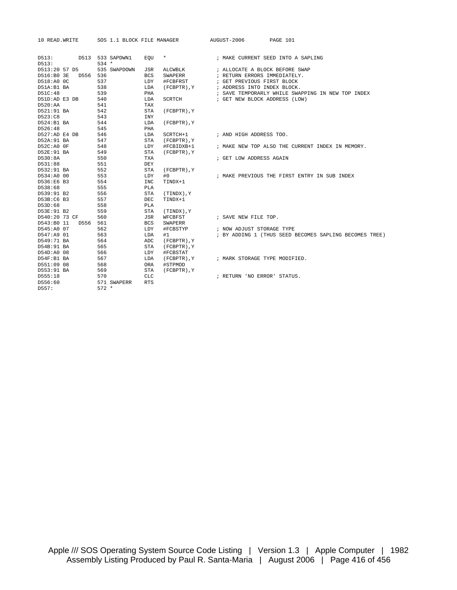| 10 READ. WRITE     | SOS 1.1 BLOCK FILE MANAGER |                           | AUGUST-2006<br>PAGE 101                                |
|--------------------|----------------------------|---------------------------|--------------------------------------------------------|
| D513:              | D513 533 SAPDWN1           | $\star$<br>EOU            | ; MAKE CURRENT SEED INTO A SAPLING                     |
| D513:              | $534 *$                    |                           |                                                        |
| D513:20 57 D5      | 535 SWAPDOWN               | <b>JSR</b><br>ALCWBLK     | ; ALLOCATE A BLOCK BEFORE SWAP                         |
| D516:B0 3E         | D556 536                   | <b>BCS</b><br>SWAPERR     | ; RETURN ERRORS IMMEDIATELY.                           |
| D518:A0 0C         | 537                        | LDY<br>#FCBFRST           | ; GET PREVIOUS FIRST BLOCK                             |
| D51A:B1 BA         | 538                        | LDA<br>(FCBPTR), Y        | ; ADDRESS INTO INDEX BLOCK.                            |
| D51C:48            | 539                        | PHA                       | ; SAVE TEMPORARLY WHILE SWAPPING IN NEW TOP INDEX      |
| D51D:AD E3 DB      | 540                        | LDA<br><b>SCRTCH</b>      | ; GET NEW BLOCK ADDRESS (LOW)                          |
| D520:AA            | 541                        | TAX                       |                                                        |
| D521:91 BA         | 542                        | <b>STA</b><br>(FCBPTR), Y |                                                        |
| D523:C8            | 543                        | <b>INY</b>                |                                                        |
| D524:B1 BA         | 544                        | LDA<br>(FCBPTR), Y        |                                                        |
| D526:48            | 545                        | PHA                       |                                                        |
| D527:AD E4 DB      | 546                        | LDA<br>SCRTCH+1           | ; AND HIGH ADDRESS TOO.                                |
| D52A: 91 BA        | 547                        | <b>STA</b><br>(FCBPTR), Y |                                                        |
| D52C:A0 OF         | 548                        | LDY<br>#FCBIDXB+1         | ; MAKE NEW TOP ALSO THE CURRENT INDEX IN MEMORY.       |
| D52E:91 BA         | 549                        | <b>STA</b><br>(FCBPTR), Y |                                                        |
| D530:8A            | 550                        | <b>TXA</b>                | ; GET LOW ADDRESS AGAIN                                |
| D531:88            | 551                        | DEY                       |                                                        |
| D532:91 BA         | 552                        | <b>STA</b><br>(FCBPTR), Y |                                                        |
| D534:A0 00         | 553                        | LDY<br>#0                 | ; MAKE PREVIOUS THE FIRST ENTRY IN SUB INDEX           |
| D536:E6 B3         | 554                        | <b>INC</b><br>TINDX+1     |                                                        |
| D538:68            | 555                        | <b>PLA</b>                |                                                        |
| D539:91 B2         | 556                        | <b>STA</b><br>Y, (TINDX)  |                                                        |
| D53B:C6 B3         | 557                        | <b>DEC</b><br>TINDX+1     |                                                        |
| D53D:68            | 558                        | PLA                       |                                                        |
| D53E:91 B2         | 559                        | <b>STA</b><br>(TINDX), Y  |                                                        |
| D540:20 73 CF      | 560                        | JSR<br>WFCBFST            | ; SAVE NEW FILE TOP.                                   |
| D543:B0 11<br>D556 | 561                        | <b>BCS</b><br>SWAPERR     |                                                        |
| D545:A0 07         | 562                        | LDY<br>#FCBSTYP           | ; NOW ADJUST STORAGE TYPE                              |
| D547:A9 01         | 563                        | LDA<br>#1                 | ; BY ADDING 1 (THUS SEED BECOMES SAPLING BECOMES TREE) |
| D549:71 BA         | 564                        | ADC<br>(FCBPTR), Y        |                                                        |
| D54B:91 BA         | 565                        | STA<br>(FCBPTR), Y        |                                                        |
| D54D:A0 08         | 566                        | LDY<br>#FCBSTAT           |                                                        |
| D54F:B1 BA         | 567                        | (FCBPTR), Y<br>LDA        | ; MARK STORAGE TYPE MODIFIED.                          |
| D551:09 08         | 568                        | <b>ORA</b><br>#STPMOD     |                                                        |
| D553:91 BA         | 569                        | <b>STA</b><br>(FCBPTR), Y |                                                        |
| D555:18            | 570                        | <b>CLC</b>                | ; RETURN 'NO ERROR' STATUS.                            |
| D556:60            | 571 SWAPERR                | <b>RTS</b>                |                                                        |
| D557:              | $572 *$                    |                           |                                                        |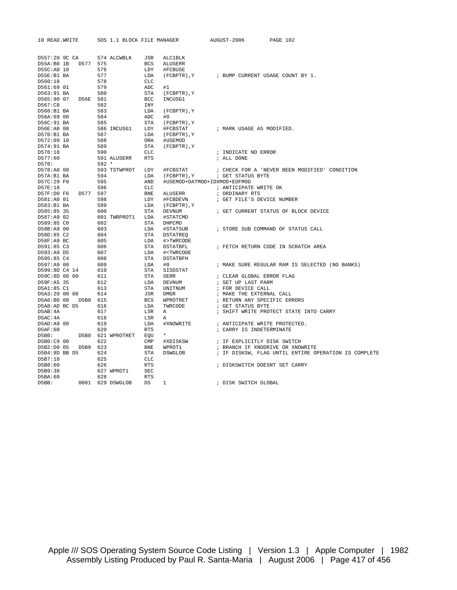| 10 READ. WRITE      |          | SOS 1.1 BLOCK FILE MANAGER |                |                                                 | AUGUST-2006               | PAGE 102                                             |
|---------------------|----------|----------------------------|----------------|-------------------------------------------------|---------------------------|------------------------------------------------------|
| D557:20 9C CA       |          | 574 ALCWBLK                | JSR            | <b>ALC1BLK</b>                                  |                           |                                                      |
| D55A:B0 1B          | D577 575 |                            | BCS            | ALUSERR                                         |                           |                                                      |
| D55C:A0 18          | 576      |                            | LDY            | #FCBUSE                                         |                           |                                                      |
| D55E:B1 BA          | 577      |                            | LDA            | (FCBPTR), Y                                     |                           | ; BUMP CURRENT USAGE COUNT BY 1.                     |
| D560:18             | 578      |                            | <b>CLC</b>     |                                                 |                           |                                                      |
| D561:69 01          | 579      |                            | ADC            | #1                                              |                           |                                                      |
| D563:91 BA          | 580      |                            | STA            | (FCBPTR), Y                                     |                           |                                                      |
| D565:90 07 D56E 581 |          |                            | BCC            | INCUSG1                                         |                           |                                                      |
| D567:C8             | 582      |                            | INY            |                                                 |                           |                                                      |
| D568:B1 BA          | 583      |                            | LDA            | $(FCBPTR)$ , $Y$                                |                           |                                                      |
| D56A:69 00          | 584      |                            | ADC            | #0                                              |                           |                                                      |
| D56C:91 BA          | 585      |                            | STA            | (FCBPTR), Y                                     |                           |                                                      |
| D56E:A0 08          |          | 586 INCUSG1                | LDY            | #FCBSTAT                                        | ; MARK USAGE AS MODIFIED. |                                                      |
| D570:B1 BA          | 587      |                            | LDA            | (FCBPTR), Y                                     |                           |                                                      |
| D572:09 10          | 588      |                            | ORA            | #USEMOD                                         |                           |                                                      |
| D574:91 BA          | 589      |                            | STA            | (FCBPTR), Y                                     |                           |                                                      |
| D576:18             | 590      |                            | CLC            |                                                 | ; INDICATE NO ERROR       |                                                      |
| D577:60             |          | 591 ALUSERR                | <b>RTS</b>     |                                                 | ; ALL DONE                |                                                      |
| D578:               | 592 *    |                            |                |                                                 |                           |                                                      |
| D578:A0 08          |          | 593 TSTWPROT LDY           |                | #FCBSTAT                                        |                           | ; CHECK FOR A 'NEVER BEEN MODIFIED' CONDITION        |
| D57A:B1 BA          | 594      |                            | LDA            | (FCBPTR), Y                                     | ; GET STATUS BYTE         |                                                      |
| D57C:29 F0          | 595      |                            | AND            | #USEMOD+DATMOD+IDXMOD+EOFMOD                    |                           |                                                      |
| D57E:18             | 596      |                            | CLC            |                                                 | ; ANTICIPATE WRITE OK     |                                                      |
| D57F:D0 F6          | D577 597 |                            | BNE            | ALUSERR                                         | ; ORDINARY RTS            |                                                      |
| D581:A0 01          | 598      |                            | LDY            | #FCBDEVN                                        |                           | ; GET FILE'S DEVICE NUMBER                           |
| D583:B1 BA          | 599      |                            | LDA            | (FCBPTR), Y                                     |                           |                                                      |
| D585:85 35          | 600      |                            | STA            | DEVNUM                                          |                           | ; GET CURRENT STATUS OF BLOCK DEVICE                 |
| D587:A9 02          |          | 601 TWRPROT1 LDA           |                | #STATCMD                                        |                           |                                                      |
| D589:85 CO          | 602      |                            | STA            | DHPCMD                                          |                           |                                                      |
| D58B:A9 00          | 603      |                            | LDA            | #STATSUB                                        |                           | ; STORE SUB COMMAND OF STATUS CALL                   |
| D58D:85 C2          | 604      |                            | STA            | <b>DSTATREQ</b>                                 |                           |                                                      |
| D58F:A9 BC          | 605      |                            | LDA            | #>TWRCODE                                       |                           |                                                      |
| D591:85 C3          | 606      |                            | STA            | DSTATBFL                                        |                           | ; FETCH RETURN CODE IN SCRATCH AREA                  |
| D593:A9 D5          | 607      |                            | LDA            | # <twrcode< td=""><td></td><td></td></twrcode<> |                           |                                                      |
| D595:85 C4          | 608      |                            | STA            | DSTATBFH                                        |                           |                                                      |
| D597:A9 00          | 609      |                            | LDA            | #0                                              |                           | ; MAKE SURE REGULAR RAM IS SELECTED (NO BANKS)       |
| D599:8D C4 14       | 610      |                            | STA            | SISDSTAT                                        |                           |                                                      |
| D59C:8D 00 00       | 611      |                            | STA            | SERR                                            | ; CLEAR GLOBAL ERROR FLAG |                                                      |
| D59F:A5 35          | 612      |                            | LDA            | DEVNUM                                          | ; SET UP LAST PARM        |                                                      |
| D5A1:85 C1          | 613      |                            | STA            | UNITNUM                                         | ; FOR DEVICE CALL         |                                                      |
| D5A3:20 00 00       | 614      |                            | JSR            | <b>DMGR</b>                                     | ; MAKE THE EXTERNAL CALL  |                                                      |
| D5A6:B0 08          | D5B0 615 |                            | BCS            | WPROTRET                                        |                           | ; RETURN ANY SPECIFIC ERRORS                         |
| D5A8:AD BC D5       | 616      |                            | LDA            | TWRCODE                                         | ; GET STATUS BYTE         |                                                      |
| D5AB:4A             | 617      |                            | LSR            | Α                                               |                           | ; SHIFT WRITE PROTECT STATE INTO CARRY               |
| D5AC:4A             | 618      |                            | LSR            | Α                                               |                           |                                                      |
| D5AD:A9 00          | 619      |                            | LDA            | #XNOWRITE                                       |                           | ; ANTICIPATE WRITE PROTECTED.                        |
| D5AF:60             | 620      |                            | RTS            |                                                 | ; CARRY IS INDETERMINATE  |                                                      |
| DBB0:               |          | D5B0 621 WPROTRET EQU      |                | $\star$                                         |                           |                                                      |
| D5B0:C9 00          | 622      |                            | $\texttt{CMP}$ | #XDISKSW                                        |                           | ; IF EXPLICITLY DISK SWITCH                          |
| D5B2:D0 05 D5B9 623 |          |                            | BNE            | WPROT1                                          |                           | ; BRANCH IF XNODRIVE OR XNOWRITE                     |
| D5B4:8D BB D5 624   |          |                            | STA            | DSWGLOB                                         |                           | ; IF DISKSW, FLAG UNTIL ENTIRE OPERATION IS COMPLETE |
| D5B7:18             | 625      |                            | CLC            |                                                 |                           |                                                      |
| D5B8:60             | 626      |                            | <b>RTS</b>     |                                                 |                           | ; DISKSWITCH DOESNT SET CARRY                        |
| D5B9:38             |          | 627 WPROT1                 | <b>SEC</b>     |                                                 |                           |                                                      |
| DBB:60              | 628      |                            | <b>RTS</b>     |                                                 |                           |                                                      |
| D5BB:               |          | 0001 629 DSWGLOB           | DS             | $\mathbf{1}$                                    | ; DISK SWITCH GLOBAL      |                                                      |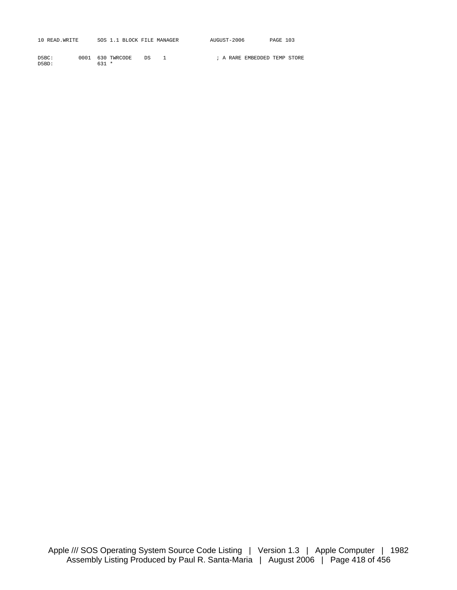| 10 READ. WRITE |  | ! BLOCK FILE MANAGER | AUGUST-2006 | 103<br>PAGE |
|----------------|--|----------------------|-------------|-------------|
|                |  |                      |             |             |

| D5BC: |         | 0001 630 TWRCODE DS |  |  |  | ; A RARE EMBEDDED TEMP STORE |  |
|-------|---------|---------------------|--|--|--|------------------------------|--|
| D5BD: | $631 *$ |                     |  |  |  |                              |  |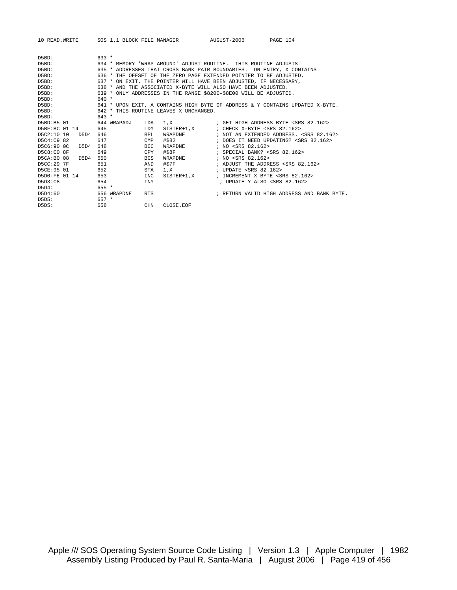|                                                        |                                  | 10 READ.WRITE SOS 1.1 BLOCK FILE MANAGER AUGUST-2006                                                                                                                                                           |                                                                                                                       | PAGE 104                                                                                            |  |  |  |  |  |
|--------------------------------------------------------|----------------------------------|----------------------------------------------------------------------------------------------------------------------------------------------------------------------------------------------------------------|-----------------------------------------------------------------------------------------------------------------------|-----------------------------------------------------------------------------------------------------|--|--|--|--|--|
| D5BD:<br>D5BD:<br>D5BD:<br>D5BD:                       | $633 *$                          | 634 * MEMORY 'WRAP-AROUND' ADJUST ROUTINE. THIS ROUTINE ADJUSTS<br>635 * ADDRESSES THAT CROSS BANK PAIR BOUNDARIES. ON ENTRY, X CONTAINS<br>636 * THE OFFSET OF THE ZERO PAGE EXTENDED POINTER TO BE ADJUSTED. |                                                                                                                       |                                                                                                     |  |  |  |  |  |
| D5BD:<br>D5BD:<br>D5BD:<br>D5BD:                       | $640 *$                          | 637 * ON EXIT, THE POINTER WILL HAVE BEEN ADJUSTED, IF NECESSARY,<br>638 * AND THE ASSOCIATED X-BYTE WILL ALSO HAVE BEEN ADJUSTED.<br>639 * ONLY ADDRESSES IN THE RANGE \$8200-\$8E00 WILL BE ADJUSTED.        |                                                                                                                       |                                                                                                     |  |  |  |  |  |
| D5BD:<br>D5BD:<br>D5BD:                                | $643 *$                          | 642 * THIS ROUTINE LEAVES X UNCHANGED.                                                                                                                                                                         |                                                                                                                       | 641 * UPON EXIT, A CONTAINS HIGH BYTE OF ADDRESS & Y CONTAINS UPDATED X-BYTE.                       |  |  |  |  |  |
| D5BD:B5 01<br>D5BF:BC 01 14                            | 644 WRAPADJ<br>645               | LDA<br>LDY                                                                                                                                                                                                     | SISTER+1.X ; CHECK X-BYTE <srs 82.162=""></srs>                                                                       |                                                                                                     |  |  |  |  |  |
| D5C2:10 10<br>D5D4<br>D5C4:C9 82<br>D5C6:90 0C<br>D5D4 | 646<br>647<br>648                | <b>BPL</b><br>WRAPDNE<br>#\$82<br>CMP<br><b>BCC</b><br>WRAPDNE                                                                                                                                                 | ; NO <srs 82.162=""></srs>                                                                                            | ; NOT AN EXTENDED ADDRESS. <srs 82.162=""><br/>; DOES IT NEED UPDATING? <srs 82.162=""></srs></srs> |  |  |  |  |  |
| D5C8:C0 8F<br>D5CA:B0 08<br>D5D4<br>D5CC:29 7F         | 649<br>650<br>651                | $\#S8F$<br>CPY<br><b>BCS</b><br>#STF<br>AND                                                                                                                                                                    | ; SPECIAL BANK? <srs 82.162=""><br/>WRAPDNE : NO <srs 82.162=""></srs></srs>                                          | ; ADJUST THE ADDRESS <srs 82.162=""></srs>                                                          |  |  |  |  |  |
| D5CE: 95 01<br>D5D0:FE 01 14<br>D5D3:C8                | 652<br>653<br>654                | STA<br>$1 \times$<br>INC<br>SISTER+1,X<br><b>TNY</b>                                                                                                                                                           | ; UPDATE <srs 82.162=""><br/>; INCREMENT X-BYTE <srs 82.162=""><br/>; UPDATE Y ALSO <srs 82.162=""></srs></srs></srs> |                                                                                                     |  |  |  |  |  |
| D5D4:<br>D5D4:60<br>D5D5:                              | $655*$<br>656 WRAPDNE<br>$657 *$ | <b>RTS</b>                                                                                                                                                                                                     |                                                                                                                       | ; RETURN VALID HIGH ADDRESS AND BANK BYTE.                                                          |  |  |  |  |  |
| D5D5:                                                  | 658                              | <b>CHN</b><br>CLOSE.EOF                                                                                                                                                                                        |                                                                                                                       |                                                                                                     |  |  |  |  |  |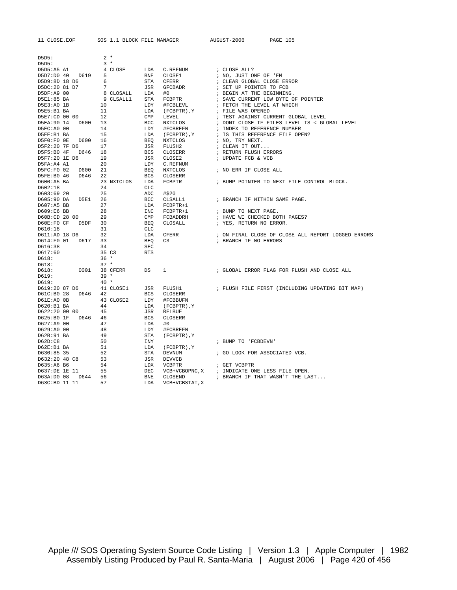| 11 CLOSE.EO |  |
|-------------|--|
|-------------|--|

PE SOS 1.1 BLOCK FILE MANAGER AUGUST-2006 PAGE 105

| D5D5:                       |      | $2 *$      |                   |                          |                                                    |
|-----------------------------|------|------------|-------------------|--------------------------|----------------------------------------------------|
| D5D5:                       |      | $3*$       |                   |                          |                                                    |
| D5D5:A5 A1                  |      | 4 CLOSE    | LDA               | C.REFNUM                 | ; CLOSE ALL?                                       |
| D5D7:D0 40 D619             |      | 5          | BNE               | CLOSE1                   | ; NO, JUST ONE OF 'EM                              |
| D5D9:8D 18 D6               |      | 6          | STA               | CFERR                    | ; CLEAR GLOBAL CLOSE ERROR                         |
| D5DC:20 81 D7               |      | 7          | JSR               | GFCBADR                  | ; SET UP POINTER TO FCB                            |
| D5DF:A9 00                  |      | 8 CLOSALL  | LDA               | #0                       | ; BEGIN AT THE BEGINNING.                          |
| D5E1:85 BA                  |      | 9 CLSALL1  | <b>STA</b>        | FCBPTR                   | ; SAVE CURRENT LOW BYTE OF POINTER                 |
| D5E3:A0 1B                  |      | 10         | LDY               | #FCBLEVL                 | ; FETCH THE LEVEL AT WHICH                         |
| D5E5:B1 BA                  |      | 11         | LDA               | (FCBPTR), Y              | ; FILE WAS OPENED                                  |
| D5E7:CD 00 00               |      | 12         | CMP               | LEVEL                    | ; TEST AGAINST CURRENT GLOBAL LEVEL                |
| D5EA:90 14 D600             |      | 13         | BCC               | NXTCLOS                  | ; DONT CLOSE IF FILES LEVEL IS < GLOBAL LEVEL      |
| D5EC:A0 00                  |      | 14         | LDY               | #FCBREFN                 | ; INDEX TO REFERENCE NUMBER                        |
| D5EE:B1 BA                  |      | 15         | LDA               | (FCBPTR), Y              | ; IS THIS REFERENCE FILE OPEN?                     |
| D5F0:F0 OE D600             |      | 16         | <b>BEQ</b>        | NXTCLOS                  | ; NO, TRY NEXT.                                    |
| D5F2:20 7F D6               |      | 17         | JSR               | FLUSH2                   | ; CLEAN IT OUT                                     |
| D5F5:B0 4F D646             |      | 18         | <b>BCS</b>        | CLOSERR                  | ; RETURN FLUSH ERRORS                              |
| D5F7:20 1E D6               |      | 19         | <b>JSR</b>        | CLOSE2                   | ; UPDATE FCB & VCB                                 |
| D5FA:A4 A1                  |      | 20         | LDY               | C.REFNUM                 |                                                    |
| D5FC:F0 02                  | D600 | 21         | <b>BEO</b>        | NXTCLOS                  | ; NO ERR IF CLOSE ALL                              |
| D5FE:B0 46 D646             |      | 22         | <b>BCS</b>        | CLOSERR                  |                                                    |
| D600:A5 BA                  |      | 23 NXTCLOS | LDA               | FCBPTR                   | ; BUMP POINTER TO NEXT FILE CONTROL BLOCK.         |
| D602:18                     |      | 24         | <b>CLC</b>        |                          |                                                    |
| D603:69 20                  |      | 25         | ADC               | #\$20                    |                                                    |
| D605:90 DA                  | D5E1 | 26         | <b>BCC</b>        | CLSALL1                  | ; BRANCH IF WITHIN SAME PAGE.                      |
| D607:A5 BB                  |      | 27         | LDA               | FCBPTR+1                 |                                                    |
| D609:E6 BB                  |      | 28         | <b>INC</b>        | FCBPTR+1                 | ; BUMP TO NEXT PAGE.                               |
| D60B:CD 28 00               |      | 29         | <b>CMP</b>        | FCBADDRH                 | ; HAVE WE CHECKED BOTH PAGES?                      |
| D60E:F0 CF                  | D5DF | 30         | <b>BEQ</b>        | CLOSALL                  | ; YES, RETURN NO ERROR.                            |
| D610:18                     |      | 31         | <b>CLC</b>        |                          |                                                    |
| D611:AD 18 D6               |      | 32         | LDA               | CFERR                    | ; ON FINAL CLOSE OF CLOSE ALL REPORT LOGGED ERRORS |
| D614:F0 01 D617             |      | 33         | <b>BEO</b>        | C3                       | ; BRANCH IF NO ERRORS                              |
| D616:38                     |      | 34         | <b>SEC</b>        |                          |                                                    |
| D617:60                     |      | 35 C3      | <b>RTS</b>        |                          |                                                    |
| D618:                       |      | $36 *$     |                   |                          |                                                    |
| D618:                       |      | $37 *$     |                   |                          |                                                    |
| D618:                       | 0001 | 38 CFERR   | DS                | 1                        | ; GLOBAL ERROR FLAG FOR FLUSH AND CLOSE ALL        |
| D619:                       |      | $39 *$     |                   |                          |                                                    |
| D619:                       |      | $40*$      |                   |                          |                                                    |
| D619:20 87 D6               |      | 41 CLOSE1  | JSR               | FLUSH1                   | ; FLUSH FILE FIRST (INCLUDING UPDATING BIT MAP)    |
| D61C:B0 28 D646 42          |      |            | <b>BCS</b>        | CLOSERR                  |                                                    |
| D61E:A0 0B                  |      | 43 CLOSE2  | LDY               | #FCBBUFN                 |                                                    |
| D620:B1 BA                  |      | 44<br>45   | LDA<br><b>JSR</b> | (FCBPTR), Y              |                                                    |
| D622:20 00 00<br>D625:B0 1F | D646 | 46         | <b>BCS</b>        | <b>RELBUF</b><br>CLOSERR |                                                    |
|                             |      |            |                   |                          |                                                    |
| D627:A9 00<br>D629:A0 00    |      | 47<br>48   | LDA<br>LDY        | #0                       |                                                    |
| D62B:91 BA                  |      | 49         | <b>STA</b>        | #FCBREFN                 |                                                    |
| D62D:CB                     |      | 50         | <b>INY</b>        | (FCBPTR), Y              | ; BUMP TO 'FCBDEVN'                                |
| $D62E: B1$ BA               |      | 51         | LDA               |                          |                                                    |
| D630:85 35                  |      | 52         | <b>STA</b>        | (FCBPTR), Y<br>DEVNUM    | ; GO LOOK FOR ASSOCIATED VCB.                      |
| D632:20 48 C8               |      | 53         | JSR               | DEVVCB                   |                                                    |
| D635:A6 B6                  |      | 54         | LDX               | VCBPTR                   | ; GET VCBPTR                                       |
| D637:DE 1E 11               |      | 55         | DEC               |                          | VCB+VCBOPNC, X ; INDICATE ONE LESS FILE OPEN.      |
| D63A:D0 08 D644             |      | 56         | <b>BNE</b>        | CLOSEND                  | ; BRANCH IF THAT WASN'T THE LAST                   |
| D63C:BD 11 11               |      | 57         | LDA               | VCB+VCBSTAT, X           |                                                    |
|                             |      |            |                   |                          |                                                    |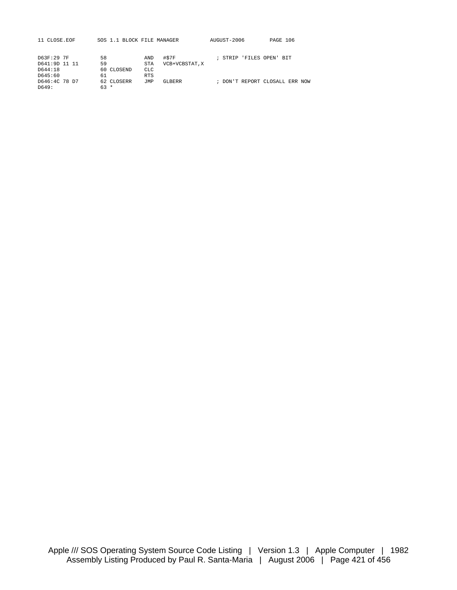| 11 CLOSE.EOF  |            | SOS 1.1 BLOCK FILE MANAGER | AUGUST-2006            | PAGE 106                       |
|---------------|------------|----------------------------|------------------------|--------------------------------|
| D63F:29 7F    | 58         | #STF<br>AND                | STRIP 'FILES OPEN' BIT |                                |
| D641:9D 11 11 | 59         | VCB+VCBSTAT.X<br>STA       |                        |                                |
| D644:18       | 60 CLOSEND | <b>CLC</b>                 |                        |                                |
| D645:60       | 61         | <b>RTS</b>                 |                        |                                |
| D646:4C 78 D7 | 62 CLOSERR | JMP<br>GLBERR              |                        | ; DON'T REPORT CLOSALL ERR NOW |
| D649:         | $63 *$     |                            |                        |                                |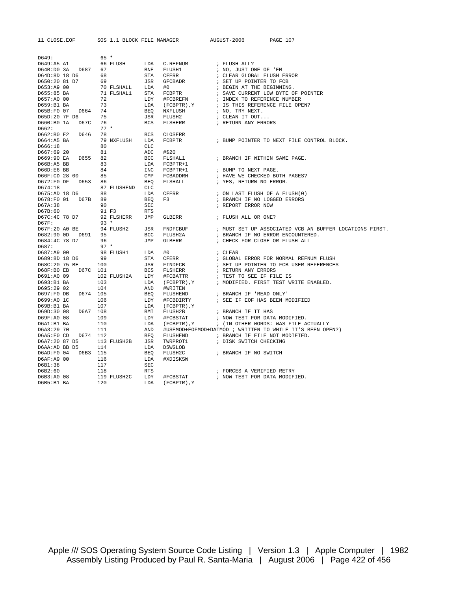D649: 65 \*<br>D649:A5 A1 66 FLUSH D649:A5 A1 66 FLUSH LDA C.REFNUM ; FLUSH ALL?  $\begin{tabular}{lllllllllll} \texttt{D64B:DD} & 3A & D687 & 67 &\texttt{BNE} & \texttt{FLUSH1} & & \texttt{; NO, JUST ONE OF 'EM} \\ \texttt{D64D:8D 18 D6} & 68 & \texttt{STA} & \texttt{CFERR} & & \texttt{; CLBAR GLOBAL FLUSH} \end{tabular}$ D64D:8D 18 D6 68 STA CFERR ; CLEAR GLOBAL FLUSH ERROR D650:20 81 D7 69 JSR GFCBADR ; SET UP POINTER TO FCB<br>D653:A9 00 70 FLSHALL LDA #0 ; BEGIN AT THE BEGINNING. 00 10 70 FLSHALL LDA #0<br>0653:A9 00 70 FLSHALL STA FCBPTR STA FCBPTR ; SAVE CURRENT LOW BYTE OF POINTER<br>LDY #FCBREFN ; INDEX TO REFERENCE NUMBER<br>LDA (FCBPTR), Y ; IS THIS REFERENCE FILE OPEN? D657:A0 00 72 LDY #FCBREFN ; INDEX TO REFERENCE NUMBER D659:B1 BA 73 LDA (FCBPTR),Y ; IS THIS REFERENCE FILE OPEN? D65B:F0 07 D664 74 BEQ NXFLUSH ; NO, TRY NEXT. JSR FLUSH2 : CLEAN IT OUT...<br>BCS FLSHERR : RETURN ANY ERRORS D660:B0 1A D67C 76<br>D662: 77 \* D662: 77<br>D662:B0 E2 D646 78 D662:B0 E2 D646 78 BCS CLOSERR D664:A5 BA 79 NXFLUSH LDA FCBPTR ; BUMP POINTER TO NEXT FILE CONTROL BLOCK.  $D664:AB$  BA D667:69 20 81 ADC #\$20 D669:90 EA D655 82 BCC FLSHAL1 ; BRANCH IF WITHIN SAME PAGE.<br>D66B:A5 BB 83 I.DA FCBPTR+1 D66B:A5 BB 83 LDA FCBPTR+1 D66D:E6 BB 84 INC FCBPTR+1 ; BUMP TO NEXT PAGE. 85 CMP FCBADDRH ; HAVE WE CHECKED BOTH PAGES? D672:F0 DF D653 86 BEQ FLSHALL ; YES, RETURN NO ERROR. CLC<br>D675:AD 18 D6 88 LDA CFERR<br>D678:F0 01 D67B 89 BEO F3 ON LAST FLUSH OF A FLUSH(0)<br>BRANCH IF NO LOGGED ERRORS  $D678:FO 01$   $D67B$  89 D67A:38 90 SEC ; REPORT ERROR NOW  $D67B:60$ <br> $D67C:4C$  78 D7 92 FLSHEI 92 FLSHERR JMP GLBERR : FLUSH ALL OR ONE? 07F: 93 \*<br>D67F:20 A0 BE 94 FLUSH2 JSR FNDFCBUF<br>RECORDED RESOLUTE PECTETING D67F:20 A0 BE 94 FLUSH2 JSR FNDFCBUF ; MUST SET UP ASSOCIATED VCB AN BUFFER LOCATIONS FIRST. D682:90 0D D691 95 BCC FLUSH2A ; BRANCH IF NO ERROR ENCOUNTERED.<br>D684:4C 78 D7 96 JMP GLBERR ; CHECK FOR CLOSE OR FLUSH ALL : CHECK FOR CLOSE OR FLUSH ALL D687: 97 \* D687:A9 00 98 FLUSH1 LDA #0 ; CLEAR D689:8D 18 D6 99 STA CFERR ; GLOBAL ERROR FOR NORMAL REFNUM FLUSH ; SET UP POINTER TO FCB USER REFERENCES<br>; RETURN ANY ERRORS  $D68F:B0$  EB  $D67C$  101 D691:A0 09 102 FLUSH2A LDY #FCBATTR ; TEST TO SEE IF FILE IS D693:B1 BA 103 LDA (FCBPTR), Y ; MODIFIED. FIRST TEST WRITE ENABLED. D695:29 02 104 AND #WRITEN D697:F0 DB D674 105 BEQ FLUSHEND ; BRANCH IF 'READ ONLY' D699:A0 1C 106 LDY #FCBDIRTY ; SEE IF EOF HAS BEEN MODIFIED<br>D69B:B1 BA 107 LDA (FCBPTR),Y DE (FCBPTR), Y<br>BMI FLUSH2B<br>LDY #FCBSTAT<br>LDA (FCBPTR), Y<br>AND #USEMOD+EOFN D69D:30 08 D6A7 108 BMI FLUSH2B ; BRANCH IF IT HAS<br>D69F:A0 08 109 LDY #FCBSTAT ; NOW TEST FOR DAT. D69F:A0 08 109 LDY #FCBSTAT ; NOW TEST FOR DATA MODIFIED.<br>D6A1:B1 BA 110 LDA (FCBPTR).Y ; (IN OTHER WORDS: WAS FILE A ; (IN OTHER WORDS: WAS FILE ACTUALLY D6A3:29 70 111 AND #USEMOD+EOFMOD+DATMOD ; WRITTEN TO WHILE IT'S BEEN OPEN?)<br>D6A5:F0 CD D674 112 BEO FLUSHEND ; BRANCH IF FILE NOT MODIFIED. D6A5:F0 CD D674 112 BEQ FLUSHEND ; BRANCH IF FILE NOT MODIFIED. D6A5:F0 CD D674 112 BEQ FLUSHEND ; BRANCH IF FILE NOT M<br>
D6A7:20 87 D5 113 FLUSH2B JSR TWRPROT1 ; DISK SWITCH CHECKING<br>
D6AA:AD BB D5 114 LDA DSWGLOB LDA DSWGLOB<br>BEQ FLUSH2C D6AD:F0 04 D6B3 115 BEQ FLUSH2C ; BRANCH IF NO SWITCH<br>D6AF:A9 00 116 LDA #XDISKSW<br>D6B1:38 117 SEC D6AF:A9 00 116<br>D6B1:38 117  $D6B1:38$ <br> $D6B2:60$ D6B2:60 118 RTS ; FORCES A VERIFIED RETRY D6B3:A0 08 119 FLUSH2C LDY #FCBSTAT ; NOW TEST FOR DATA MODIF : NOW TEST FOR DATA MODIFIED. D6B5:B1 BA 120 LDA (FCBPTR),Y

11 CLOSE.EOF SOS 1.1 BLOCK FILE MANAGER AUGUST-2006 PAGE 107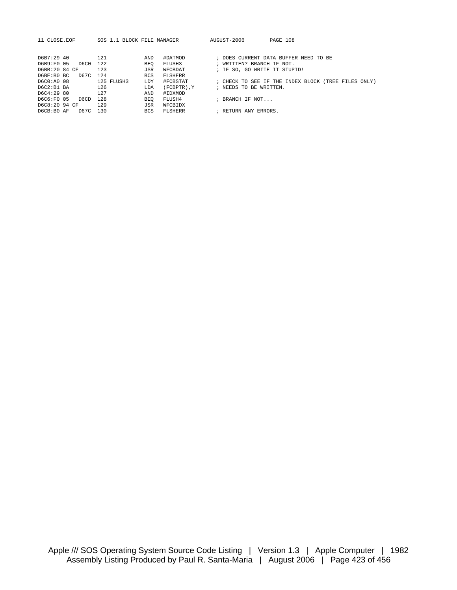| 11 CLOSE.EOF       | SOS 1.1 BLOCK FILE MANAGER |                | AUGUST-2006                  | PAGE 108                                            |
|--------------------|----------------------------|----------------|------------------------------|-----------------------------------------------------|
|                    |                            |                |                              |                                                     |
| D6B7:29 40         | 121<br>AND                 | #DATMOD        |                              | ; DOES CURRENT DATA BUFFER NEED TO BE               |
| D6B9:F0 05<br>D6C0 | 122<br><b>BEO</b>          | FLUSH3         | ; WRITTEN? BRANCH IF NOT.    |                                                     |
| D6BB:20 84 CF      | 123<br>JSR                 | WFCBDAT        | ; IF SO, GO WRITE IT STUPID! |                                                     |
| D67C<br>D6BE:B0 BC | 124<br><b>BCS</b>          | <b>FLSHERR</b> |                              |                                                     |
| D6C0:A0 08         | 125 FLUSH3<br>LDY          | #FCBSTAT       |                              | ; CHECK TO SEE IF THE INDEX BLOCK (TREE FILES ONLY) |
| D6C2:B1 BA         | 126<br>LDA                 | (FCBPTR).Y     | ; NEEDS TO BE WRITTEN.       |                                                     |
| D6C4:29 80         | 127<br>AND                 | #IDXMOD        |                              |                                                     |
| D6C6:F0 05<br>D6CD | 128<br>BEO                 | FLUSH4         | ; BRANCH IF NOT              |                                                     |
| D6C8:20 94 CF      | 129<br>JSR                 | WFCBIDX        |                              |                                                     |
| D67C<br>D6CB:BO AF | 130<br><b>BCS</b>          | <b>FLSHERR</b> | ; RETURN ANY ERRORS.         |                                                     |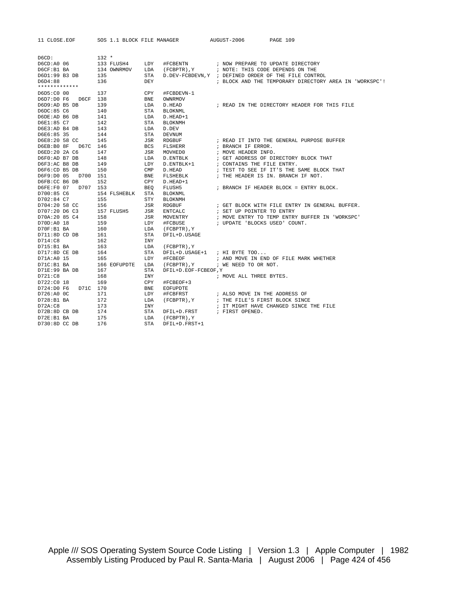| 11 CLOSE.EOF           |                |              | SOS 1.1 BLOCK FILE MANAGER AUGUST-2006 |                                    | PAGE 109                                                  |
|------------------------|----------------|--------------|----------------------------------------|------------------------------------|-----------------------------------------------------------|
|                        |                |              |                                        |                                    |                                                           |
| D6CD:                  | $132 *$        |              |                                        |                                    |                                                           |
| D6CD: A0 06            | 133 FLUSH4 LDY |              |                                        |                                    |                                                           |
| D6CF:B1 BA             | 134 OWNRMOV    |              |                                        |                                    |                                                           |
| D6D1:99 B3 DB          | 135            |              |                                        |                                    | STA D. DEV-FCBDEVN, Y ; DEFINED ORDER OF THE FILE CONTROL |
| D6D4:88                | 136            | DEY          |                                        |                                    | ; BLOCK AND THE TEMPORARY DIRECTORY AREA IN 'WORKSPC'!    |
|                        |                |              |                                        |                                    |                                                           |
| D6D5:C0 00             | 137            | CPY          | #FCBDEVN-1                             |                                    |                                                           |
| D6CF 138<br>D6D7:D0 F6 |                | BNE          | OWNRMOV                                |                                    |                                                           |
| D6D9:AD B5 DB          | 139            | LDA          | D.HEAD                                 |                                    | ; READ IN THE DIRECTORY HEADER FOR THIS FILE              |
| D6DC:85 C6             | 140            | <b>STA</b>   | BLOKNML                                |                                    |                                                           |
| D6DE:AD B6 DB          | 141            | LDA          | D.HEAD+1                               |                                    |                                                           |
| D6E1:85 C7             | 142            | STA          | BLOKNMH                                |                                    |                                                           |
| D6E3:AD B4 DB          | 143            | LDA          | D.DEV                                  |                                    |                                                           |
| D6E6:85 35             | 144            | <b>STA</b>   | DEVNUM                                 |                                    |                                                           |
| D6E8:20 58 CC          | 145            | JSR          | RDGBUF                                 |                                    | ; READ IT INTO THE GENERAL PURPOSE BUFFER                 |
| D6EB:B0 8F D67C 146    |                |              | BCS FLSHERR                            | ; BRANCH IF ERROR.                 |                                                           |
| D6ED:20 2A C6          | 147            | JSR          | MOVHED0                                | ; MOVE HEADER INFO.                |                                                           |
| D6F0:AD B7 DB          | 148            | LDA          | D.ENTBLK                               |                                    | ; GET ADDRESS OF DIRECTORY BLOCK THAT                     |
| D6F3:AC B8 DB          | 149            | LDY          | D.ENTBLK+1                             | ; CONTAINS THE FILE ENTRY.         |                                                           |
| D6F6:CD B5 DB          | 150            | $\text{CMP}$ | D.HEAD                                 |                                    | ; TEST TO SEE IF IT'S THE SAME BLOCK THAT                 |
| D6F9:D0 05 D700 151    |                | <b>BNE</b>   | FLSHEBLK                               | ; THE HEADER IS IN. BRANCH IF NOT. |                                                           |
| D6FB:CC B6 DB          | 152            | CPY          | D.HEAD+1                               |                                    |                                                           |
| D6FE:F0 07 D707 153    |                | <b>BEO</b>   | FLUSH5                                 |                                    | ; BRANCH IF HEADER BLOCK = ENTRY BLOCK.                   |
| D700:85 C6             | 154 FLSHEBLK   | STA          | BLOKNML                                |                                    |                                                           |
| D702:84 C7             | 155            | STY          | BLOKNMH                                |                                    |                                                           |
| D704:20 58 CC          | 156            | JSR          | RDGBUF                                 |                                    | ; GET BLOCK WITH FILE ENTRY IN GENERAL BUFFER.            |
| D707:20 D6 C3          | 157 FLUSH5     | JSR          | ${\tt ENTCALC}$                        | ; SET UP POINTER TO ENTRY          |                                                           |
| D70A:20 85 C4          | 158            |              | JSR MOVENTRY                           |                                    | ; MOVE ENTRY TO TEMP ENTRY BUFFER IN 'WORKSPC'            |
| D70D:A0 18             | 159            | LDY          | #FCBUSE                                | ; UPDATE 'BLOCKS USED' COUNT.      |                                                           |
| D70F:B1 BA             | 160            |              | LDA (FCBPTR), Y                        |                                    |                                                           |
| D711:8D CD DB          | 161            | STA          | DFIL+D.USAGE                           |                                    |                                                           |
| D714:C8                | 162            | <b>INY</b>   |                                        |                                    |                                                           |
| D715:B1 BA             | 163            |              | LDA (FCBPTR), Y                        |                                    |                                                           |
| D717:8D CE DB          | 164            | STA          |                                        | DFIL+D.USAGE+1 ; HI BYTE TOO       |                                                           |
| D71A:A0 15             | 165            | LDY          | #FCBEOF                                |                                    | ; AND MOVE IN END OF FILE MARK WHETHER                    |
| D71C:B1 BA             | 166 EOFUPDTE   | LDA          | (FCBPTR), Y                            | ; WE NEED TO OR NOT.               |                                                           |
| D71E:99 BA DB          | 167            | <b>STA</b>   | DFIL+D.EOF-FCBEOF, Y                   |                                    |                                                           |
| D721:C8                | 168            | INY          |                                        | ; MOVE ALL THREE BYTES.            |                                                           |
| D722:C0 18             | 169            | CPY          | #FCBEOF+3                              |                                    |                                                           |
| D724:D0 F6<br>D71C 170 |                | <b>BNE</b>   | EOFUPDTE                               |                                    |                                                           |
| D726:A0 0C             | 171            | LDY          | #FCBFRST                               | ; ALSO MOVE IN THE ADDRESS OF      |                                                           |
| D728:B1 BA             | 172            | LDA          | (FCBPTR), Y                            | ; THE FILE'S FIRST BLOCK SINCE     |                                                           |
| D72A:CB                | 173            | INY          |                                        |                                    | ; IT MIGHT HAVE CHANGED SINCE THE FILE                    |
| D72B:8D CB DB          | 174            | STA          | DFIL+D.FRST                            | ; FIRST OPENED.                    |                                                           |
| D72E:B1 BA             | 175            |              | LDA (FCBPTR), Y                        |                                    |                                                           |
| D730:8D CC DB          | 176            | <b>STA</b>   | DFIL+D.FRST+1                          |                                    |                                                           |
|                        |                |              |                                        |                                    |                                                           |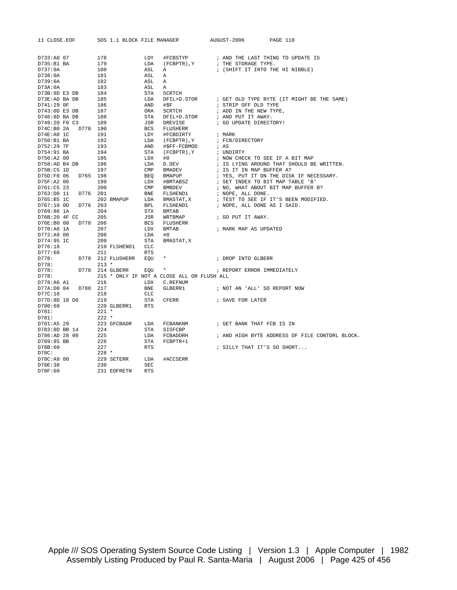| 11 CLOSE.EOF                      | SOS 1.1 BLOCK FILE MANAGER |                                            | AUGUST-2006                      | PAGE 110                                       |
|-----------------------------------|----------------------------|--------------------------------------------|----------------------------------|------------------------------------------------|
|                                   |                            |                                            |                                  |                                                |
|                                   |                            |                                            |                                  |                                                |
| D733:A0 07<br>D735:B1 BA          | 178<br>179                 | LDY<br>#FCBSTYP<br>LDA<br>(FCBPTR), Y      | ; THE STORAGE TYPE.              | ; AND THE LAST THING TO UPDATE IS              |
| D737:0A                           | 180                        | ASL<br>$\mathbb A$                         | ; (SHIFT IT INTO THE HI NIBBLE)  |                                                |
| D738:0A                           | 181                        | ASL<br>$\mathbb A$                         |                                  |                                                |
| D739:0A                           | 182                        | ASL<br>$\mathbb{A}$                        |                                  |                                                |
| D73A:0A                           | 183                        | ASL<br>Α                                   |                                  |                                                |
| D73B:8D E3 DB                     | 184                        | STA<br>SCRTCH                              |                                  |                                                |
| D73E:AD BA DB                     | 185                        | LDA<br>DFIL+D.STOR                         |                                  | ; GET OLD TYPE BYTE (IT MIGHT BE THE SAME)     |
| D741:29 OF                        | 186                        | AND<br>#SF                                 | ; STRIP OFF OLD TYPE             |                                                |
| D743:0D E3 DB                     | 187                        | SCRTCH<br>ORA                              | ; ADD IN THE NEW TYPE,           |                                                |
| D746:8D BA DB                     | 188                        | <b>STA</b><br>DFIL+D.STOR                  | ; AND PUT IT AWAY.               |                                                |
| D749:20 F0 C3                     | 189                        | JSR<br>DREVISE                             | ; GO UPDATE DIRECTORY!           |                                                |
| D74C:BO <sub>2A</sub><br>D778 190 |                            | <b>BCS</b><br>FLUSHERR                     |                                  |                                                |
| D74E:A0 1C                        | 191                        | LDY<br>#FCBDIRTY                           | ; MARK                           |                                                |
| D750:B1 BA                        | 192                        | LDA (FCBPTR), Y                            | ; FCB/DIRECTORY                  |                                                |
| D752:29 7F                        | 193                        | AND<br>#\$FF-FCBMOD                        | ; AS                             |                                                |
| D754:91 BA                        | 194                        | STA<br>(FCBPTR), Y                         | ; UNDIRTY                        |                                                |
|                                   |                            |                                            |                                  |                                                |
| D756:A2 00                        | 195                        | LDX<br>#0<br>LDA                           | ; NOW CHECK TO SEE IF A BIT MAP  |                                                |
| D758:AD B4 DB                     | 196                        | D.DEV                                      |                                  | ; IS LYING AROUND THAT SHOULD BE WRITTEN.      |
| D75B:C5 1D                        | 197                        | $\text{CMP}$<br><b>BMADEV</b>              | ; IS IT IN MAP BUFFER A?         |                                                |
| D75D:F0 06<br>D765 198            |                            | BEO BMAPUP                                 |                                  | ; YES, PUT IT ON THE DISK IF NECESSARY.        |
| D75F:A2 06                        | 199                        | LDX #BMTABSZ<br>CMP BMBDEV                 | ; SET INDEX TO BIT MAP TABLE 'B' |                                                |
| D761:C5 23                        | 200                        |                                            |                                  | ; NO, WHAT ABOUT BIT MAP BUFFER B?             |
| D763:D0 11<br>D776 201            |                            | BNE FLSHEND1                               | ; NOPE, ALL DONE.                |                                                |
| D765:B5 1C                        | 202 BMAPUP                 | LDA BMASTAT, X                             |                                  | ; TEST TO SEE IF IT'S BEEN MODIFIED.           |
| D767:10 OD<br>D776 203            |                            | BPL FLSHEND1                               | ; NOPE, ALL DONE AS I SAID.      |                                                |
| D769:86 1A                        | 204                        | STX<br><b>BMTAB</b>                        |                                  |                                                |
| D76B:20 4F CC                     | 205                        | JSR<br>WRTBMAP                             | ; GO PUT IT AWAY.                |                                                |
| D76E:B0 08<br>D778 206            |                            | <b>BCS</b><br>FLUSHERR                     |                                  |                                                |
| D770:A6 1A                        | 207                        | LDX<br><b>BMTAB</b>                        | ; MARK MAP AS UPDATED            |                                                |
| D772:A9 00                        | 208                        | LDA<br>#0                                  |                                  |                                                |
| D774:95 1C                        | 209                        | STA<br>BMASTAT, X                          |                                  |                                                |
| D776:18                           | 210 FLSHEND1               | <b>CLC</b>                                 |                                  |                                                |
| D777:60                           | 211                        | <b>RTS</b>                                 |                                  |                                                |
| D778:                             | D778 212 FLUSHERR          | $\star$<br>EOU                             | ; DROP INTO GLBERR               |                                                |
| D778:                             | $213 *$                    |                                            |                                  |                                                |
| D778:                             | D778 214 GLBERR            | EOU<br>$\star$                             | ; REPORT ERROR IMMEDIATELY       |                                                |
| D778:                             |                            | 215 * ONLY IF NOT A CLOSE ALL OR FLUSH ALL |                                  |                                                |
| D778:A6 A1                        | 216                        | LDX<br>C.REFNUM                            |                                  |                                                |
| D77A:D0 04<br>D780 217            |                            | BNE<br>GLBERR1                             | ; NOT AN 'ALL' SO REPORT NOW     |                                                |
| D77C:18                           | 218                        | CLC                                        |                                  |                                                |
| D77D:8D 18 D6                     | 219                        | STA<br>CFERR                               | ; SAVE FOR LATER                 |                                                |
| D780:60                           | 220 GLBERR1                | <b>RTS</b>                                 |                                  |                                                |
| D781:                             | $221$ *                    |                                            |                                  |                                                |
| D781:                             | $222 *$                    |                                            |                                  |                                                |
| D781:A5 29                        | 223 GFCBADR                | LDA<br>FCBANKNM                            | ; GET BANK THAT FCB IS IN        |                                                |
| D783:8D BB 14                     | 224                        | STA<br>SISFCBP                             |                                  |                                                |
| D786:AD 28 00                     | 225                        | LDA<br>FCBADDRH                            |                                  | ; AND HIGH BYTE ADDRESS OF FILE CONTORL BLOCK. |
| D789:85 BB                        | 226                        | STA<br>FCBPTR+1                            |                                  |                                                |
| D78B:60                           | 227                        | <b>RTS</b>                                 | ; SILLY THAT IT'S SO SHORT       |                                                |
| D78C:                             | $228 *$                    |                                            |                                  |                                                |
| D78C:A9 00                        | 229 SETERR                 | LDA<br>#ACCSERR                            |                                  |                                                |
| D78E:38                           | 230                        | <b>SEC</b>                                 |                                  |                                                |
| D78F:60                           | 231 EOFRETN                | <b>RTS</b>                                 |                                  |                                                |
|                                   |                            |                                            |                                  |                                                |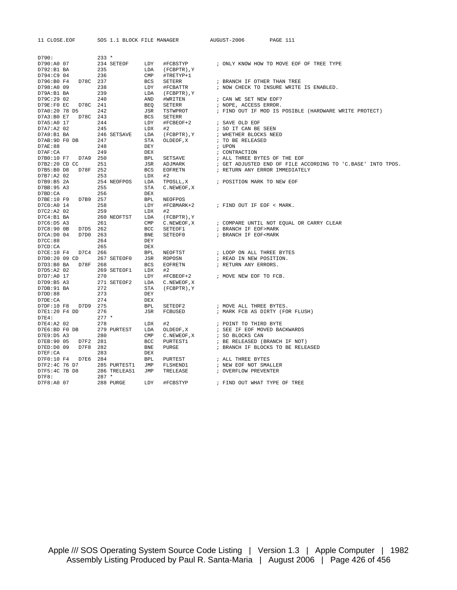| 11 CLOSE.EOF                        | SOS 1.1 BLOCK FILE MANAGER                                                                                  |                   |                | AUGUST-2006                                                                                                                                                                                                                               | PAGE 111                                                    |
|-------------------------------------|-------------------------------------------------------------------------------------------------------------|-------------------|----------------|-------------------------------------------------------------------------------------------------------------------------------------------------------------------------------------------------------------------------------------------|-------------------------------------------------------------|
|                                     |                                                                                                             |                   |                |                                                                                                                                                                                                                                           |                                                             |
| D790:                               | $233 *$                                                                                                     |                   |                |                                                                                                                                                                                                                                           |                                                             |
| D790:A0 07                          | 234 SETEOF                                                                                                  | LDY               | #FCBSTYP       |                                                                                                                                                                                                                                           | ; ONLY KNOW HOW TO MOVE EOF OF TREE TYPE                    |
| D792:B1 BA                          | 235                                                                                                         | LDA               | (FCBPTR), Y    |                                                                                                                                                                                                                                           |                                                             |
| D794:C9 04                          | 236                                                                                                         |                   | #TRETYP+1      |                                                                                                                                                                                                                                           |                                                             |
| D796:B0 F4 D78C 237                 |                                                                                                             | CMP<br>BCS<br>BCS | SETERR         | ; BRANCH IF OTHER THAN TREE                                                                                                                                                                                                               |                                                             |
| D798:A0 09                          | 238                                                                                                         | LDY               | #FCBATTR       |                                                                                                                                                                                                                                           | ; NOW CHECK TO INSURE WRITE IS ENABLED.                     |
| D79A:B1 BA                          | 239                                                                                                         |                   | (FCBPTR), Y    |                                                                                                                                                                                                                                           |                                                             |
| D79C:29 02                          | $\begin{array}{c} \text{LL} \text{.} \\ \text{AND} \\ \text{BEQ} \\ \text{.} \text{TSF} \end{array}$<br>240 |                   | #WRITEN        | ; CAN WE SET NEW EOF?                                                                                                                                                                                                                     |                                                             |
| D79E:F0 EC D78C 241                 |                                                                                                             |                   | SETERR         | ; NOPE, ACCESS ERROR.                                                                                                                                                                                                                     |                                                             |
| D7A0:20 78 D5 242                   |                                                                                                             |                   | TSTWPROT       |                                                                                                                                                                                                                                           | ; FIND OUT IF MOD IS POSIBLE (HARDWARE WRITE PROTECT)       |
| D7A3:B0 E7 D78C 243                 |                                                                                                             | <b>BCS</b>        | SETERR         |                                                                                                                                                                                                                                           |                                                             |
| D7A5:A0 17 244                      |                                                                                                             | LDY               | #FCBEOF+2      | ; SAVE OLD EOF                                                                                                                                                                                                                            |                                                             |
| D7A7:A2 02                          | LDX<br>245                                                                                                  |                   | #2             | ; SO IT CAN BE SEEN                                                                                                                                                                                                                       |                                                             |
| D7A9:B1 BA                          | 246 SETSAVE LDA                                                                                             |                   | (FCBPTR), Y    | ; WHETHER BLOCKS NEED                                                                                                                                                                                                                     |                                                             |
| D7AB:9D F0 DB                       | 247                                                                                                         |                   | OLDEOF, X      | ; TO BE RELEASED                                                                                                                                                                                                                          |                                                             |
| D7AE:88                             | STA<br>DEY<br>248                                                                                           |                   |                | ; UPON                                                                                                                                                                                                                                    |                                                             |
| D7AF:CA                             | 249                                                                                                         | DEX               |                | ; CONTRACTION                                                                                                                                                                                                                             |                                                             |
| D7B0:10 F7 D7A9 250                 |                                                                                                             | <b>BPL</b>        | SETSAVE        | ; ALL THREE BYTES OF THE EOF                                                                                                                                                                                                              |                                                             |
| D7B2:20 CD CC                       | 251                                                                                                         | JSR               | ADJMARK        |                                                                                                                                                                                                                                           | ; GET ADJUSTED END OF FILE ACCORDING TO 'C.BASE' INTO TPOS. |
| D7B5:B0 D8 D78F 252                 |                                                                                                             | <b>BCS</b>        | EOFRETN        | ; RETURN ANY ERROR IMMEDIATELY                                                                                                                                                                                                            |                                                             |
| D7B7:A2 02                          | 253                                                                                                         | LDX               | #2             |                                                                                                                                                                                                                                           |                                                             |
| D7B9:B5 2A                          | 254 NEOFPOS LDA                                                                                             |                   |                | TPOSLL, X : POSITION MARK TO NEW EOF                                                                                                                                                                                                      |                                                             |
| D7BB:95 A3                          | 255                                                                                                         | STA               | C.NEWEOF, X    |                                                                                                                                                                                                                                           |                                                             |
| D7BD: CA                            | 256                                                                                                         | DEX               |                |                                                                                                                                                                                                                                           |                                                             |
| D7BE:10 F9 D7B9 257                 |                                                                                                             | BPL               | <b>NEOFPOS</b> |                                                                                                                                                                                                                                           |                                                             |
| D7C0:A0 14                          | 258                                                                                                         | LDY               |                |                                                                                                                                                                                                                                           |                                                             |
| D7C2:A2 02                          | 259                                                                                                         | LDX               | #2             |                                                                                                                                                                                                                                           |                                                             |
| D7C4:B1 BA                          | 260 NEOFTST LDA                                                                                             |                   | (FCBPTR), Y    |                                                                                                                                                                                                                                           |                                                             |
| D7C6:D5 A3                          | 261                                                                                                         |                   | C.NEWEOF, X    |                                                                                                                                                                                                                                           | ; COMPARE UNTIL NOT EQUAL OR CARRY CLEAR                    |
| D7C8:90 0B D7D5 262                 | CMP<br>BCC                                                                                                  |                   | SETEOF1        | ; BRANCH IF EOF>MARK                                                                                                                                                                                                                      |                                                             |
| D7CA:D0 04 D7D0 263                 |                                                                                                             | BNE               | SETEOF0        | ; BRANCH IF EOF <mark< td=""><td></td></mark<>                                                                                                                                                                                            |                                                             |
| D7CC:88                             | 264                                                                                                         | DEY               |                |                                                                                                                                                                                                                                           |                                                             |
| D7CD:CA                             | 265                                                                                                         | DEX               |                |                                                                                                                                                                                                                                           |                                                             |
| D7CE:10 F4 D7C4 266                 | <b>BPL</b>                                                                                                  |                   | NEOFTST        | ; LOOP ON ALL THREE BYTES                                                                                                                                                                                                                 |                                                             |
| D7D0:20 09 CD                       | 267 SETEOF0 JSR                                                                                             |                   | RDPOSN         | ; READ IN NEW POSITION.                                                                                                                                                                                                                   |                                                             |
| D7D3:B0 BA D78F 268                 |                                                                                                             | BCS               | EOFRETN        | ; RETURN ANY ERRORS.                                                                                                                                                                                                                      |                                                             |
| D7D5:A2 02<br>D7D7:A0 17            | 269 SETEOF1                                                                                                 | LDX               | #2             |                                                                                                                                                                                                                                           |                                                             |
| D7D7:A0 17                          | 270                                                                                                         | LDY               | #FCBEOF+2      | ; MOVE NEW EOF TO FCB.                                                                                                                                                                                                                    |                                                             |
| D7D9:B5 A3                          | 271 SETEOF2                                                                                                 | LDA               | C.NEWEOF, X    |                                                                                                                                                                                                                                           |                                                             |
| D7DB:91 BA                          | 272                                                                                                         | STA               | (FCBPTR), Y    |                                                                                                                                                                                                                                           |                                                             |
| D7DD:88                             | 273                                                                                                         | DEY               |                |                                                                                                                                                                                                                                           |                                                             |
| D7DE : CA                           | 274                                                                                                         | DEX               |                |                                                                                                                                                                                                                                           |                                                             |
| D7DF:10 F8 D7D9 275                 |                                                                                                             | BPL               | SETEOF2        | ; MOVE ALL THREE BYTES.                                                                                                                                                                                                                   |                                                             |
| D7E1:20 F4 DD 276                   |                                                                                                             | JSR               | FCBUSED        | ; MARK FCB AS DIRTY (FOR FLUSH)                                                                                                                                                                                                           |                                                             |
| $DTE4$ :                            | $277 *$                                                                                                     |                   |                |                                                                                                                                                                                                                                           |                                                             |
| D7E4:A2 02                          | 278                                                                                                         | LDX               | #2             | ; POINT TO THIRD BYTE                                                                                                                                                                                                                     |                                                             |
|                                     | 279 PURTEST LDA                                                                                             |                   |                | $\begin{tabular}{lllllllllll} \texttt{OLDEOF} \texttt{,X} & & & \texttt{;} \texttt{SEE IF EOF} & \texttt{MOVED} & \texttt{BACKWARDS} \\ \texttt{C.NEWEOF, X} & & & \texttt{;} \texttt{SO} & \texttt{BLOCKS} & \texttt{CAN} \end{tabular}$ |                                                             |
| D7E6:BD F0 DB 279<br>D7E9:D5 A3 280 | CMP<br>BCC                                                                                                  |                   |                | ; SO BLOCKS CAN                                                                                                                                                                                                                           |                                                             |
| D7EB:90 05 D7F2 281                 |                                                                                                             |                   | PURTEST1       | ; BE RELEASED (BRANCH IF NOT)                                                                                                                                                                                                             |                                                             |
| D7ED:D0 09 D7F8 282                 |                                                                                                             | BNE               | PURGE          |                                                                                                                                                                                                                                           | ; BRANCH IF BLOCKS TO BE RELEASED                           |
| D7EF:CA                             | 283                                                                                                         | DEX               |                |                                                                                                                                                                                                                                           |                                                             |
| D7F0:10 F4 D7E6 284                 |                                                                                                             | BPL               | PURTEST        | ; ALL THREE BYTES                                                                                                                                                                                                                         |                                                             |
| D7F2:4C 76 D7                       | 285 PURTEST1 JMP                                                                                            |                   | FLSHEND1       | ; NEW EOF NOT SMALLER                                                                                                                                                                                                                     |                                                             |
| D7F5:4C 7B D8                       | 286 TRELEAS1 JMP                                                                                            |                   | TRELEASE       | ; OVERFLOW PREVENTER                                                                                                                                                                                                                      |                                                             |
| D7F8:                               | $287$ *                                                                                                     |                   |                |                                                                                                                                                                                                                                           |                                                             |
| D7F8:A0 07                          | 288 PURGE                                                                                                   | LDY               | #FCBSTYP       | ; FIND OUT WHAT TYPE OF TREE                                                                                                                                                                                                              |                                                             |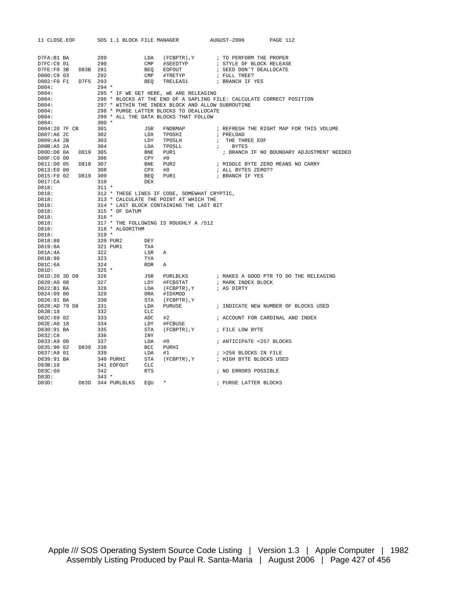| 11 CLOSE.EOF                                                                                                                                                                                                                                        |     |                         |                                 |                          |                                                                                                                                                                                                                                                 | SOS 1.1 BLOCK FILE MANAGER AUGUST-2006 PAGE 112                                                                                                                                                                                            |                                                                                                                                                                                                                         |
|-----------------------------------------------------------------------------------------------------------------------------------------------------------------------------------------------------------------------------------------------------|-----|-------------------------|---------------------------------|--------------------------|-------------------------------------------------------------------------------------------------------------------------------------------------------------------------------------------------------------------------------------------------|--------------------------------------------------------------------------------------------------------------------------------------------------------------------------------------------------------------------------------------------|-------------------------------------------------------------------------------------------------------------------------------------------------------------------------------------------------------------------------|
| D7FA:B1 BA                                                                                                                                                                                                                                          |     |                         |                                 |                          |                                                                                                                                                                                                                                                 |                                                                                                                                                                                                                                            |                                                                                                                                                                                                                         |
|                                                                                                                                                                                                                                                     |     |                         |                                 |                          |                                                                                                                                                                                                                                                 | ; STYLE OF BLOCK RELEASE                                                                                                                                                                                                                   |                                                                                                                                                                                                                         |
| D7FE:F0 3B D83B 291                                                                                                                                                                                                                                 |     |                         |                                 |                          |                                                                                                                                                                                                                                                 |                                                                                                                                                                                                                                            |                                                                                                                                                                                                                         |
| D800:C9 03 292                                                                                                                                                                                                                                      |     |                         |                                 |                          |                                                                                                                                                                                                                                                 | $\begin{tabular}{lllllllllll} \texttt{EOFOUT} & & & & & & \texttt{SEED DON'T DEALLOCALOCATE} \\ \texttt{\#TREITYP} & & & & & \texttt{FULL TREE?} \\ \texttt{TRELEASI} & & & & & \texttt{BRANCH IF YES} \end{tabular}$                      |                                                                                                                                                                                                                         |
| D802:F0 F1 D7F5 293                                                                                                                                                                                                                                 |     |                         |                                 |                          |                                                                                                                                                                                                                                                 |                                                                                                                                                                                                                                            |                                                                                                                                                                                                                         |
| D804:                                                                                                                                                                                                                                               |     |                         |                                 |                          |                                                                                                                                                                                                                                                 |                                                                                                                                                                                                                                            |                                                                                                                                                                                                                         |
| D804:                                                                                                                                                                                                                                               |     |                         |                                 |                          |                                                                                                                                                                                                                                                 |                                                                                                                                                                                                                                            |                                                                                                                                                                                                                         |
| D804:                                                                                                                                                                                                                                               |     |                         |                                 |                          |                                                                                                                                                                                                                                                 |                                                                                                                                                                                                                                            |                                                                                                                                                                                                                         |
| D804:                                                                                                                                                                                                                                               |     |                         |                                 |                          |                                                                                                                                                                                                                                                 |                                                                                                                                                                                                                                            |                                                                                                                                                                                                                         |
| D804:                                                                                                                                                                                                                                               |     |                         |                                 |                          |                                                                                                                                                                                                                                                 |                                                                                                                                                                                                                                            |                                                                                                                                                                                                                         |
| D804:                                                                                                                                                                                                                                               |     |                         |                                 |                          |                                                                                                                                                                                                                                                 |                                                                                                                                                                                                                                            |                                                                                                                                                                                                                         |
| D804:                                                                                                                                                                                                                                               |     |                         |                                 |                          |                                                                                                                                                                                                                                                 | 294 *<br>294 *<br>295 * IF WE GET HERE, WE ARE RELEASING<br>296 * BLOCKS AT THE END OF A SAPLING FILE: CALCULATE CORRECT POSITION<br>297 * WITHIN THE INDEX BLOCK AND ALLOW SUBROUTINE<br>298 * PURGE LATTER BLOCKS TO DEALLOCATE<br>299 * |                                                                                                                                                                                                                         |
| D804:20 7F CB 301<br>D807:A6 2C 302                                                                                                                                                                                                                 |     |                         |                                 |                          |                                                                                                                                                                                                                                                 |                                                                                                                                                                                                                                            | JSR FNDBMAP : REFRESH THE RIGHT MAP FOR THIS VOLUME                                                                                                                                                                     |
|                                                                                                                                                                                                                                                     |     |                         |                                 |                          | LDX TPOSHI                                                                                                                                                                                                                                      | ; PRELOAD                                                                                                                                                                                                                                  |                                                                                                                                                                                                                         |
| D809:A4 2B                                                                                                                                                                                                                                          |     | 303                     |                                 |                          |                                                                                                                                                                                                                                                 |                                                                                                                                                                                                                                            |                                                                                                                                                                                                                         |
| D80B:A5 2A 304                                                                                                                                                                                                                                      |     |                         |                                 |                          |                                                                                                                                                                                                                                                 | ; THE THREE EOF<br>; BYTES                                                                                                                                                                                                                 |                                                                                                                                                                                                                         |
|                                                                                                                                                                                                                                                     |     |                         |                                 |                          |                                                                                                                                                                                                                                                 |                                                                                                                                                                                                                                            | ; BRANCH IF NO BOUNDARY ADJUSTMENT NEEDED                                                                                                                                                                               |
| D80F:C0 00                                                                                                                                                                                                                                          |     | 306                     |                                 |                          |                                                                                                                                                                                                                                                 |                                                                                                                                                                                                                                            |                                                                                                                                                                                                                         |
| D811:D0 05 D818 307                                                                                                                                                                                                                                 |     |                         |                                 |                          |                                                                                                                                                                                                                                                 |                                                                                                                                                                                                                                            | ; MIDDLE BYTE ZERO MEANS NO CARRY                                                                                                                                                                                       |
| D813:E0 00                                                                                                                                                                                                                                          |     | 308                     |                                 |                          | LDY TPOSLH<br>LDY TPOSLH<br>LDA TPOSLL<br>CPY #0<br>CPX #0<br>BEQ PUR1<br>PORC PUR1                                                                                                                                                             | ; ALL BYTES ZERO??                                                                                                                                                                                                                         |                                                                                                                                                                                                                         |
| D815:F0 02 D819 309                                                                                                                                                                                                                                 |     |                         |                                 |                          |                                                                                                                                                                                                                                                 | ; BRANCH IF YES                                                                                                                                                                                                                            |                                                                                                                                                                                                                         |
| D817:CA                                                                                                                                                                                                                                             | 310 |                         |                                 | DEX                      |                                                                                                                                                                                                                                                 |                                                                                                                                                                                                                                            |                                                                                                                                                                                                                         |
| D818:                                                                                                                                                                                                                                               |     | $311 *$                 |                                 |                          |                                                                                                                                                                                                                                                 |                                                                                                                                                                                                                                            |                                                                                                                                                                                                                         |
| D818:                                                                                                                                                                                                                                               |     |                         |                                 |                          | 311 *<br>312 * THESE LINES IF CODE, SOMEWHAT CRYPTIC,<br>313 * CALCULATE THE POINT AT WHICH THE<br>314 * LAST BLOCK CONTAINING THE LAST BIT<br>315 * OF DATUM<br>316 *<br>317 * THE FOLLOWING IS ROUGHLY A /512<br>318 * ALGORITHM<br>319 *<br> |                                                                                                                                                                                                                                            |                                                                                                                                                                                                                         |
| D818:                                                                                                                                                                                                                                               |     |                         |                                 |                          |                                                                                                                                                                                                                                                 |                                                                                                                                                                                                                                            |                                                                                                                                                                                                                         |
| D818:                                                                                                                                                                                                                                               |     |                         |                                 |                          |                                                                                                                                                                                                                                                 |                                                                                                                                                                                                                                            |                                                                                                                                                                                                                         |
| D818:                                                                                                                                                                                                                                               |     |                         |                                 |                          |                                                                                                                                                                                                                                                 |                                                                                                                                                                                                                                            |                                                                                                                                                                                                                         |
| D818:                                                                                                                                                                                                                                               |     |                         |                                 |                          |                                                                                                                                                                                                                                                 |                                                                                                                                                                                                                                            |                                                                                                                                                                                                                         |
| D818:                                                                                                                                                                                                                                               |     |                         |                                 |                          |                                                                                                                                                                                                                                                 |                                                                                                                                                                                                                                            |                                                                                                                                                                                                                         |
| D818:                                                                                                                                                                                                                                               |     |                         |                                 |                          |                                                                                                                                                                                                                                                 |                                                                                                                                                                                                                                            |                                                                                                                                                                                                                         |
| D818:                                                                                                                                                                                                                                               |     |                         |                                 |                          |                                                                                                                                                                                                                                                 |                                                                                                                                                                                                                                            |                                                                                                                                                                                                                         |
| D818:88                                                                                                                                                                                                                                             |     |                         |                                 |                          |                                                                                                                                                                                                                                                 |                                                                                                                                                                                                                                            |                                                                                                                                                                                                                         |
| D819:8A                                                                                                                                                                                                                                             |     |                         |                                 |                          |                                                                                                                                                                                                                                                 |                                                                                                                                                                                                                                            |                                                                                                                                                                                                                         |
| D81A:4A                                                                                                                                                                                                                                             |     |                         |                                 |                          |                                                                                                                                                                                                                                                 |                                                                                                                                                                                                                                            |                                                                                                                                                                                                                         |
| D81B:98                                                                                                                                                                                                                                             |     |                         |                                 |                          |                                                                                                                                                                                                                                                 |                                                                                                                                                                                                                                            |                                                                                                                                                                                                                         |
| D81C:6A                                                                                                                                                                                                                                             |     |                         |                                 |                          |                                                                                                                                                                                                                                                 |                                                                                                                                                                                                                                            |                                                                                                                                                                                                                         |
| 1981<br>1981<br>19820:A0 08<br>19820:A0 08<br>19820:A0 08<br>19822:B1 BA<br>19824:09 80<br>19826:91 BA<br>19826:91 BA<br>19828:AD 79 D8<br>19828:18<br>1982B:18<br>19828:18<br>19828:18<br>19828:18<br>19828:18<br>19828:18<br>19828:18<br>19828:18 |     |                         |                                 |                          |                                                                                                                                                                                                                                                 |                                                                                                                                                                                                                                            |                                                                                                                                                                                                                         |
|                                                                                                                                                                                                                                                     |     |                         |                                 |                          |                                                                                                                                                                                                                                                 |                                                                                                                                                                                                                                            | JSR PURLBLKS : MAKES A GOOD PTR TO DO THE RELEASING<br>LDY #FCBSTAT : MARK INDEX BLOCK<br>LDA (FCBPTR), Y : AS DIRTY<br>ORA #IDXMOD<br>STA (FCBPTR), Y<br>LDA PURUSE : INDICATE NEW NUMBER OF BLOCKS USED<br>CLC<br>CLC |
|                                                                                                                                                                                                                                                     |     |                         |                                 |                          |                                                                                                                                                                                                                                                 |                                                                                                                                                                                                                                            |                                                                                                                                                                                                                         |
|                                                                                                                                                                                                                                                     |     |                         |                                 |                          |                                                                                                                                                                                                                                                 |                                                                                                                                                                                                                                            |                                                                                                                                                                                                                         |
|                                                                                                                                                                                                                                                     |     |                         |                                 |                          |                                                                                                                                                                                                                                                 |                                                                                                                                                                                                                                            |                                                                                                                                                                                                                         |
|                                                                                                                                                                                                                                                     |     |                         |                                 |                          |                                                                                                                                                                                                                                                 |                                                                                                                                                                                                                                            |                                                                                                                                                                                                                         |
|                                                                                                                                                                                                                                                     |     |                         |                                 |                          |                                                                                                                                                                                                                                                 |                                                                                                                                                                                                                                            |                                                                                                                                                                                                                         |
| D82C:69 02                                                                                                                                                                                                                                          |     |                         |                                 |                          | #2                                                                                                                                                                                                                                              |                                                                                                                                                                                                                                            | ; ACCOUNT FOR CARDINAL AND INDEX                                                                                                                                                                                        |
| D82E:A0 18                                                                                                                                                                                                                                          |     | $333$<br>$334$<br>$335$ |                                 | ADC<br>ADC<br>LDY<br>STA | #FCBUSE                                                                                                                                                                                                                                         |                                                                                                                                                                                                                                            |                                                                                                                                                                                                                         |
| D830:91 BA                                                                                                                                                                                                                                          |     |                         |                                 |                          | (FCBPTR), Y ; FILE LOW BYTE                                                                                                                                                                                                                     |                                                                                                                                                                                                                                            |                                                                                                                                                                                                                         |
| D832:C8                                                                                                                                                                                                                                             |     | 336                     |                                 | INY                      |                                                                                                                                                                                                                                                 |                                                                                                                                                                                                                                            |                                                                                                                                                                                                                         |
| D833:A9 00 337                                                                                                                                                                                                                                      |     |                         |                                 | LDA                      | #0                                                                                                                                                                                                                                              | ; ANTICIPATE <257 BLOCKS                                                                                                                                                                                                                   |                                                                                                                                                                                                                         |
| D835:90 02 D839 338                                                                                                                                                                                                                                 |     |                         |                                 | <b>BCC</b>               | PURHI                                                                                                                                                                                                                                           |                                                                                                                                                                                                                                            |                                                                                                                                                                                                                         |
| D837:A9 01                                                                                                                                                                                                                                          | 339 |                         |                                 | LDA                      | #1                                                                                                                                                                                                                                              | ; >256 BLOCKS IN FILE                                                                                                                                                                                                                      |                                                                                                                                                                                                                         |
|                                                                                                                                                                                                                                                     |     |                         |                                 |                          |                                                                                                                                                                                                                                                 | STA (FCBPTR), Y : HIGH BYTE BLOCKS USED                                                                                                                                                                                                    |                                                                                                                                                                                                                         |
| D839:91 BA<br>D83B:18                                                                                                                                                                                                                               |     |                         | 340 PURHI STA<br>341 EOFOUT CLC |                          |                                                                                                                                                                                                                                                 |                                                                                                                                                                                                                                            |                                                                                                                                                                                                                         |
| D83C:60                                                                                                                                                                                                                                             |     | 342                     |                                 | RTS                      |                                                                                                                                                                                                                                                 | ; NO ERRORS POSSIBLE                                                                                                                                                                                                                       |                                                                                                                                                                                                                         |
| D83D:                                                                                                                                                                                                                                               |     | $343 *$                 |                                 |                          |                                                                                                                                                                                                                                                 |                                                                                                                                                                                                                                            |                                                                                                                                                                                                                         |
| D83D:                                                                                                                                                                                                                                               |     |                         | D83D 344 PURLBLKS EOU           |                          | $\star$                                                                                                                                                                                                                                         | ; PURGE LATTER BLOCKS                                                                                                                                                                                                                      |                                                                                                                                                                                                                         |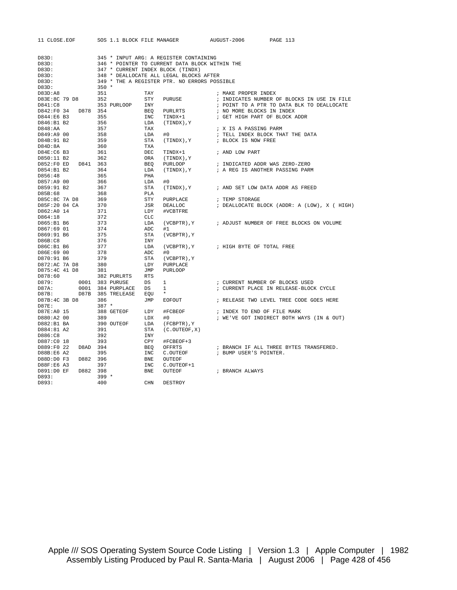| 11 CLOSE.EOF          |                 | SOS 1.1 BLOCK FILE MANAGER |                                                | AUGUST-2006                     | PAGE 113                                     |  |
|-----------------------|-----------------|----------------------------|------------------------------------------------|---------------------------------|----------------------------------------------|--|
|                       |                 |                            |                                                |                                 |                                              |  |
| D83D:                 |                 |                            | 345 * INPUT ARG: A REGISTER CONTAINING         |                                 |                                              |  |
| D83D:                 |                 |                            | 346 * POINTER TO CURRENT DATA BLOCK WITHIN THE |                                 |                                              |  |
| D83D:                 |                 |                            | 347 * CURRENT INDEX BLOCK (TINDX)              |                                 |                                              |  |
| D83D:                 |                 |                            | 348 * DEALLOCATE ALL LEGAL BLOCKS AFTER        |                                 |                                              |  |
| D83D:                 |                 |                            | 349 * THE A REGISTER PTR. NO ERRORS POSSIBLE   |                                 |                                              |  |
| D83D:                 | $350 *$         |                            |                                                |                                 |                                              |  |
| D83D:AB               | 351             | TAY                        |                                                | ; MAKE PROPER INDEX             |                                              |  |
| D83E:8C 79 D8         | 352             | STY                        | PURUSE                                         |                                 | ; INDICATES NUMBER OF BLOCKS IN USE IN FILE  |  |
| D841:C8               |                 | 353 PURLOOP<br>INY         |                                                |                                 | ; POINT TO A PTR TO DATA BLK TO DEALLOCATE   |  |
| D842:F0 34            | D878 354        | BEQ                        | PURLRTS                                        | ; NO MORE BLOCKS IN INDEX       |                                              |  |
| D844:E6 B3            | 355             | INC                        | TINDX+1                                        | ; GET HIGH PART OF BLOCK ADDR   |                                              |  |
| D846:B1 B2            | 356             | LDA                        | Y , ( TINDX )                                  |                                 |                                              |  |
| D848:AA               | 357             | TAX                        |                                                | ; X IS A PASSING PARM           |                                              |  |
| D849:A9 00            | 358             | LDA                        | #0                                             |                                 | ; TELL INDEX BLOCK THAT THE DATA             |  |
| D84B:91 B2<br>D84D:8A | 359<br>360      | STA<br>TXA                 | (TINDX), Y                                     | ; BLOCK IS NOW FREE             |                                              |  |
| D84E:C6 B3            | 361             | DEC                        | TINDX+1                                        | ; AND LOW PART                  |                                              |  |
| D850:11 B2            | 362             | ORA                        | Y, (TINDX)                                     |                                 |                                              |  |
| D852:FOED             | D841<br>363     | BEQ                        | PURLOOP                                        | ; INDICATED ADDR WAS ZERO-ZERO  |                                              |  |
| D854:B1 B2            | 364             | LDA                        | Y, (TINDX) )                                   | ; A REG IS ANOTHER PASSING PARM |                                              |  |
| D856:48               | 365             | PHA                        |                                                |                                 |                                              |  |
| D857:A9 00            | 366             | LDA                        | #0                                             |                                 |                                              |  |
| D859:91 B2            | 367             | STA                        | Y, (TINDX)                                     |                                 | ; AND SET LOW DATA ADDR AS FREED             |  |
| D85B:68               | 368             | PLA                        |                                                |                                 |                                              |  |
| D85C:8C 7A D8         | 369             | STY                        | PURPLACE                                       | ; TEMP STORAGE                  |                                              |  |
| D85F:20 04 CA         | 370             | JSR                        | DEALLOC                                        |                                 | ; DEALLOCATE BLOCK (ADDR: A (LOW), X ( HIGH) |  |
| D862:A0 14            | 371             | LDY                        | #VCBTFRE                                       |                                 |                                              |  |
| D864:18               | 372             | <b>CLC</b>                 |                                                |                                 |                                              |  |
| D865:B1 B6            | 373             | LDA                        | $(VCBPTR)$ , $Y$                               |                                 | ; ADJUST NUMBER OF FREE BLOCKS ON VOLUME     |  |
| D867:69 01            | 374             | ADC                        | #1                                             |                                 |                                              |  |
| D869:91 B6            | 375             | STA                        | (VCBPTR), Y                                    |                                 |                                              |  |
| D86B:CB<br>D86C:B1 B6 | 376<br>377      | INY<br>LDA                 | $(VCBPTR)$ , $Y$                               | ; HIGH BYTE OF TOTAL FREE       |                                              |  |
| D86E:69 00            | 378             | ADC                        | #0                                             |                                 |                                              |  |
| D870:91 B6            | 379             | STA                        | $(VCBPTR)$ , $Y$                               |                                 |                                              |  |
| D872:AC 7A D8         | 380             | LDY                        | PURPLACE                                       |                                 |                                              |  |
| D875:4C 41 D8         | 381             | JMP                        | <b>PURLOOP</b>                                 |                                 |                                              |  |
| D878:60               |                 | 382 PURLRTS<br>RTS         |                                                |                                 |                                              |  |
| D879:                 | 0001 383 PURUSE | DS                         | 1                                              | ; CURRENT NUMBER OF BLOCKS USED |                                              |  |
| D87A:                 |                 | 0001 384 PURPLACE<br>DS    | 1                                              |                                 | ; CURRENT PLACE IN RELEASE-BLOCK CYCLE       |  |
| D87B:                 |                 | D87B 385 TRELEASE<br>EOU   | $\star$                                        |                                 |                                              |  |
| D87B:4C 3B D8         | 386             | JMP                        | EOFOUT                                         |                                 | ; RELEASE TWO LEVEL TREE CODE GOES HERE      |  |
| D87E:                 | $387 *$         |                            |                                                |                                 |                                              |  |
| D87E:A0 15            |                 | 388 GETEOF<br>LDY          | #FCBEOF                                        | ; INDEX TO END OF FILE MARK     |                                              |  |
| D880:A2 00            | 389             | LDX                        | #0                                             |                                 | ; WE'VE GOT INDIRECT BOTH WAYS (IN & OUT)    |  |
| D882:B1 BA            |                 | 390 OUTEOF<br>LDA          | (FCBPTR), Y                                    |                                 |                                              |  |
| D884:81 A2<br>D886:C8 | 391<br>392      | STA<br>INY                 | (C. OUTEOF, X)                                 |                                 |                                              |  |
| D887:C0 18            | 393             | CPY                        | #FCBEOF+3                                      |                                 |                                              |  |
| D889:F0 22            | D8AD 394        | BEQ                        | OFFRTS                                         |                                 | ; BRANCH IF ALL THREE BYTES TRANSFERED.      |  |
| D88B:E6 A2            | 395             | INC                        | C.OUTEOF                                       | ; BUMP USER'S POINTER.          |                                              |  |
| D88D:D0 F3            | D882 396        | BNE                        | OUTEOF                                         |                                 |                                              |  |
| D88F:E6 A3            | 397             | INC                        | C.OUTEOF+1                                     |                                 |                                              |  |
| D891:D0 EF            | D882 398        | <b>BNE</b>                 | OUTEOF                                         | ; BRANCH ALWAYS                 |                                              |  |
| D893:                 | $399 *$         |                            |                                                |                                 |                                              |  |
| D893:                 | 400             | <b>CHN</b>                 | DESTROY                                        |                                 |                                              |  |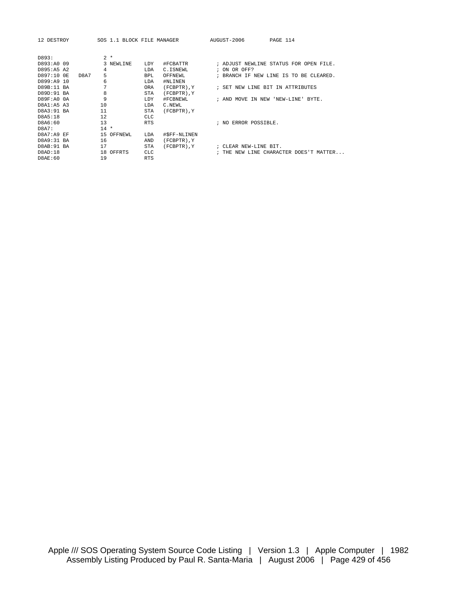D8AE:60 19 RTS

12 DESTROY SOS 1.1 BLOCK FILE MANAGER AUGUST-2006 PAGE 114

| D893:       | $2 *$         |                       |                  |                                          |
|-------------|---------------|-----------------------|------------------|------------------------------------------|
| D893:A0 09  | 3 NEWLINE     | #FCBATTR<br>LDY       |                  | ; ADJUST NEWLINE STATUS FOR OPEN FILE.   |
| D895:A5 A2  | 4             | LDA<br>C.ISNEWL       |                  | ; ON OR OFF?                             |
| D897:10 OE  | 5<br>D8A7     | OFFNEWL<br><b>BPL</b> |                  | ; BRANCH IF NEW LINE IS TO BE CLEARED.   |
| D899:A9 10  | 6             | #NLINEN<br>LDA        |                  |                                          |
| D89B:11 BA  | 7             | <b>ORA</b>            | (FCBPTR), Y      | ; SET NEW LINE BIT IN ATTRIBUTES         |
| D89D:91 BA  | 8             | <b>STA</b>            | (FCBPTR), Y      |                                          |
| D89F:A0 0A  | 9             | LDY                   | #FCBNEWL         | ; AND MOVE IN NEW<br>'NEW-LINE'<br>BYTE. |
| D8A1:A5 A3  | 10            | C.NEWL<br>LDA         |                  |                                          |
| D8A3:91 BA  | 11            | STA                   | (FCBPTR), Y      |                                          |
| D8A5:18     | 12            | <b>CLC</b>            |                  |                                          |
| D8A6:60     | 13            | <b>RTS</b>            |                  | ERROR POSSIBLE.<br>; NO                  |
| D8A7:       | $14$ *        |                       |                  |                                          |
| D8A7:A9 EF  | OFFNEWL<br>15 | LDA                   | #\$FF-NLINEN     |                                          |
| D8A9:31 BA  | 16            | AND                   | $(FCBPTR)$ , $Y$ |                                          |
| D8AB: 91 BA | 17            | <b>STA</b>            | (FCBPTR).Y       | : CLEAR NEW-LINE BIT.                    |
| D8AD:18     | OFFRTS<br>18  | <b>CLC</b>            |                  | ; THE NEW LINE CHARACTER DOES'T MATTER   |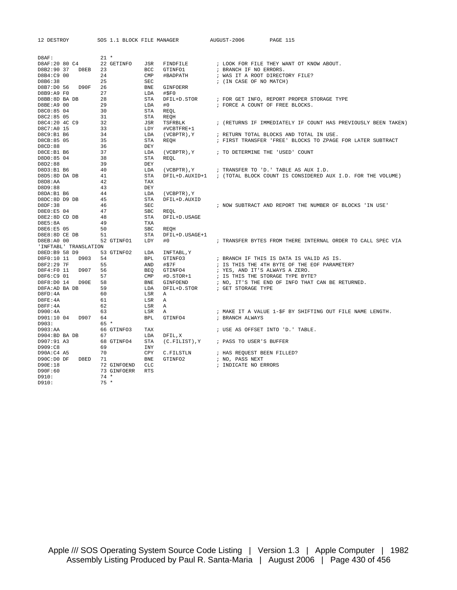| 12 DESTROY               |      |          | SOS 1.1 BLOCK FILE MANAGER |                          |                          | AUGUST-2006                      | PAGE 115                                                      |
|--------------------------|------|----------|----------------------------|--------------------------|--------------------------|----------------------------------|---------------------------------------------------------------|
|                          |      |          |                            |                          |                          |                                  |                                                               |
| D8AF:                    |      | $21 *$   |                            |                          |                          |                                  |                                                               |
| D8AF:20 80 C4            |      |          | 22 GETINFO                 | JSR                      | FINDFILE                 |                                  | ; LOOK FOR FILE THEY WANT OT KNOW ABOUT.                      |
| D8B2:90 37               | D8EB | 23       |                            | <b>BCC</b>               | GTINFO1                  | ; BRANCH IF NO ERRORS.           |                                                               |
| D8B4:C9 00               |      | 24       |                            | $\texttt{CMP}$           | #BADPATH                 | ; WAS IT A ROOT DIRECTORY FILE?  |                                                               |
| D8B6:38                  |      | 25       |                            | <b>SEC</b>               |                          | ; (IN CASE OF NO MATCH)          |                                                               |
| D8B7:D0 56<br>D8B9:A9 F0 | D90F | 26<br>27 |                            | <b>BNE</b><br>LDA        | <b>GINFOERR</b><br>#\$F0 |                                  |                                                               |
| D8BB:8D BA DB            |      | 28       |                            | <b>STA</b>               | DFIL+D. STOR             |                                  | ; FOR GET INFO, REPORT PROPER STORAGE TYPE                    |
| D8BE:A9 00               |      | 29       |                            | LDA                      | #0                       | ; FORCE A COUNT OF FREE BLOCKS.  |                                                               |
| D8C0:85 04               |      | 30       |                            | <b>STA</b>               | REQL                     |                                  |                                                               |
| D8C2:85 05               |      | 31       |                            | <b>STA</b>               | <b>REOH</b>              |                                  |                                                               |
| D8C4:20 4C C9            |      | 32       |                            | JSR                      | TSFRBLK                  |                                  | ; (RETURNS IF IMMEDIATELY IF COUNT HAS PREVIOUSLY BEEN TAKEN) |
| D8C7:A0 15               |      | 33       |                            | LDY                      | #VCBTFRE+1               |                                  |                                                               |
| D8C9:B1 B6               |      | 34       |                            | LDA                      | (VCBPTR), Y              |                                  | ; RETURN TOTAL BLOCKS AND TOTAL IN USE.                       |
| D8CB:85 05               |      | 35       |                            | <b>STA</b>               | <b>REOH</b>              |                                  | ; FIRST TRANSFER 'FREE' BLOCKS TO ZPAGE FOR LATER SUBTRACT    |
| D8CD:88                  |      | 36       |                            | DEY                      |                          |                                  |                                                               |
| D8CE:B1 B6               |      | 37       |                            | LDA                      | $(VCBPTR)$ , $Y$         | ; TO DETERMINE THE 'USED' COUNT  |                                                               |
| D8D0:85 04               |      | 38       |                            | <b>STA</b>               | <b>REOL</b>              |                                  |                                                               |
| D8D2:88                  |      | 39       |                            | DEY                      |                          |                                  |                                                               |
| D8D3:B1 B6               |      | 40       |                            | LDA                      | $(VCBPTR)$ , $Y$         |                                  | ; TRANSFER TO 'D.' TABLE AS AUX I.D.                          |
| D8D5:8D DA DB            |      | 41       |                            | STA                      | DFIL+D.AUXID+1           |                                  | ; (TOTAL BLOCK COUNT IS CONSIDERED AUX I.D. FOR THE VOLUME)   |
| D8D8:AA                  |      | 42       |                            | TAX                      |                          |                                  |                                                               |
| D8D9:88                  |      | 43       |                            | <b>DEY</b>               |                          |                                  |                                                               |
| D8DA:B1 B6               |      | 44       |                            | LDA                      | (VCBPTR), Y              |                                  |                                                               |
| D8DC:8D D9 DB<br>DBDF:38 |      | 45<br>46 |                            | <b>STA</b><br><b>SEC</b> | DFIL+D.AUXID             |                                  | ; NOW SUBTRACT AND REPORT THE NUMBER OF BLOCKS 'IN USE'       |
| D8E0:E5 04               |      | 47       |                            | SBC                      | REQL                     |                                  |                                                               |
| D8E2:8D CD DB            |      | 48       |                            | <b>STA</b>               | DFIL+D.USAGE             |                                  |                                                               |
| D8E5:8A                  |      | 49       |                            | <b>TXA</b>               |                          |                                  |                                                               |
| D8E6:E5 05               |      | 50       |                            | SBC                      | REQH                     |                                  |                                                               |
| D8E8:8D CE DB            |      | 51       |                            | STA                      | DFIL+D.USAGE+1           |                                  |                                                               |
| D8EB: A0 00              |      |          | 52 GTINFO1                 | LDY                      | #0                       |                                  | ; TRANSFER BYTES FROM THERE INTERNAL ORDER TO CALL SPEC VIA   |
| 'INFTABL' TRANSLATION    |      |          |                            |                          |                          |                                  |                                                               |
| D8ED:B9 58 D9            |      |          | 53 GTINFO2                 | LDA                      | INFTABL, Y               |                                  |                                                               |
| D8F0:10 11               | D903 | 54       |                            | <b>BPL</b>               | GTINFO3                  |                                  | ; BRANCH IF THIS IS DATA IS VALID AS IS.                      |
| D8F2:29 7F               |      | 55       |                            | AND                      | #\$7F                    |                                  | ; IS THIS THE 4TH BYTE OF THE EOF PARAMETER?                  |
| D8F4:F0 11               | D907 | 56       |                            | <b>BEQ</b>               | GTINFO4                  | ; YES, AND IT'S ALWAYS A ZERO.   |                                                               |
| D8F6:C9 01               |      | 57       |                            | CMP                      | #D.STOR+1                | ; IS THIS THE STORAGE TYPE BYTE? |                                                               |
| D8F8:D0 14               | D90E | 58       |                            | <b>BNE</b>               | GINFOEND                 |                                  | ; NO, IT'S THE END OF INFO THAT CAN BE RETURNED.              |
| D8FA:AD BA DB            |      | 59       |                            | LDA                      | DFIL+D.STOR              | ; GET STORAGE TYPE               |                                                               |
| DBFD:4A                  |      | 60       |                            | LSR                      | Α                        |                                  |                                                               |
| DBFE:4A<br>DBFF:4A       |      | 61<br>62 |                            | LSR<br>LSR               | Α<br>Α                   |                                  |                                                               |
| D900:4A                  |      | 63       |                            | LSR                      | Α                        |                                  | ; MAKE IT A VALUE 1-\$F BY SHIFTING OUT FILE NAME LENGTH.     |
| D901:10 04               | D907 | 64       |                            | <b>BPL</b>               | GTINFO4                  | ; BRANCH ALWAYS                  |                                                               |
| D903:                    |      | $65 *$   |                            |                          |                          |                                  |                                                               |
| D903:AA                  |      |          | 66 GTINFO3                 | TAX                      |                          | ; USE AS OFFSET INTO 'D.' TABLE. |                                                               |
| D904:BD BA DB            |      | 67       |                            | LDA                      | DFIL, X                  |                                  |                                                               |
| D907:91 A3               |      |          | 68 GTINFO4                 | <b>STA</b>               | (C.FILIST), Y            | ; PASS TO USER'S BUFFER          |                                                               |
| D909:C8                  |      | 69       |                            | INY                      |                          |                                  |                                                               |
| D90A:C4 A5               |      | 70       |                            | CPY                      | C.FILSTLN                | ; HAS REQUEST BEEN FILLED?       |                                                               |
| D90C:D0 DF               | D8ED | 71       |                            | <b>BNE</b>               | GTINFO2                  | ; NO, PASS NEXT                  |                                                               |
| D90E:18                  |      |          | 72 GINFOEND                | CLC                      |                          | ; INDICATE NO ERRORS             |                                                               |
| D90F:60                  |      |          | 73 GINFOERR                | <b>RTS</b>               |                          |                                  |                                                               |
| D910:                    |      | $74 *$   |                            |                          |                          |                                  |                                                               |
| D910:                    |      | $75 *$   |                            |                          |                          |                                  |                                                               |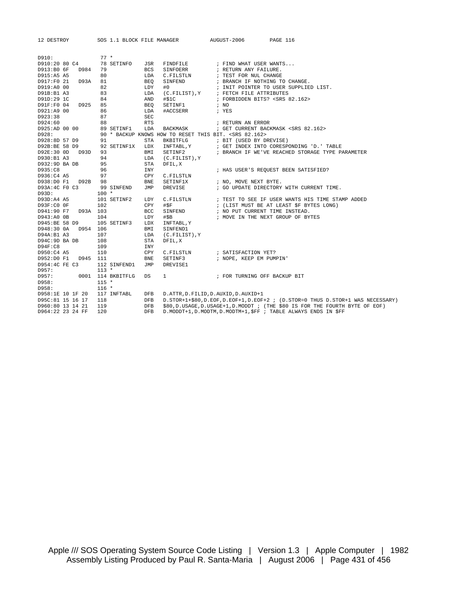| 12 DESTROY                  |          |         | SOS 1.1 BLOCK FILE MANAGER |            |                                                                | AUGUST-2006 |                                         | PAGE 116                                                                             |
|-----------------------------|----------|---------|----------------------------|------------|----------------------------------------------------------------|-------------|-----------------------------------------|--------------------------------------------------------------------------------------|
| D910:                       |          | $77 *$  |                            |            |                                                                |             |                                         |                                                                                      |
| D910:20 80 C4               |          |         | 78 SETINFO                 | JSR        | FINDFILE                                                       |             | ; FIND WHAT USER WANTS                  |                                                                                      |
| D913:B0 6F                  | D984     | 79      |                            | <b>BCS</b> | SINFOERR                                                       |             | ; RETURN ANY FAILURE.                   |                                                                                      |
| D915:A5 A5                  |          | 80      |                            | LDA        | C.FILSTLN                                                      |             | ; TEST FOR NUL CHANGE                   |                                                                                      |
| D917:F0 21                  | D93A     | 81      |                            | <b>BEQ</b> | <b>SINFEND</b>                                                 |             | ; BRANCH IF NOTHING TO CHANGE.          |                                                                                      |
| D919:A0 00                  |          | 82      |                            | LDY        | #0                                                             |             |                                         | ; INIT POINTER TO USER SUPPLIED LIST.                                                |
| D91B:B1 A3                  |          | 83      |                            | LDA        | $(C.FILIST)$ , $Y$                                             |             | ; FETCH FILE ATTRIBUTES                 |                                                                                      |
| D91D:29 1C                  |          | 84      |                            | AND        | #\$1C                                                          |             | ; FORBIDDEN BITS? <srs 82.162=""></srs> |                                                                                      |
| D91F:F0 04                  | D925     | 85      |                            | <b>BEO</b> | SETINF1                                                        | : MO        |                                         |                                                                                      |
| D921:A9 00                  |          | 86      |                            | LDA        | #ACCSERR                                                       | ; YES       |                                         |                                                                                      |
| D923:38                     |          | 87      |                            | <b>SEC</b> |                                                                |             |                                         |                                                                                      |
| D924:60                     |          | 88      |                            | <b>RTS</b> |                                                                |             | ; RETURN AN ERROR                       |                                                                                      |
| D925:AD 00 00               |          |         | 89 SETINF1                 | LDA        | <b>BACKMASK</b>                                                |             |                                         | ; GET CURRENT BACKMASK <srs 82.162=""></srs>                                         |
| D928:                       |          |         |                            |            | 90 * BACKUP KNOWS HOW TO RESET THIS BIT. <srs 82.162=""></srs> |             |                                         |                                                                                      |
| D928:8D 57 D9               |          | 91      |                            | <b>STA</b> | BKBITFLG                                                       |             | ; BIT (USED BY DREVISE)                 |                                                                                      |
| D92B:BE 58 D9               |          |         | 92 SETINF1X                | LDX        | INFTABL, Y                                                     |             |                                         | ; GET INDEX INTO CORESPONDING 'D. ' TABLE                                            |
| D92E:30 OD                  | D93D     | 93      |                            | BMI        | SETINF2                                                        |             |                                         | ; BRANCH IF WE'VE REACHED STORAGE TYPE PARAMETER                                     |
| D930:B1 A3                  |          | 94      |                            | LDA        | $(C.FILIST)$ , $Y$                                             |             |                                         |                                                                                      |
| D932:9D BA DB               |          | 95      |                            | <b>STA</b> | DFIL, X                                                        |             |                                         |                                                                                      |
| D935:C8                     |          | 96      |                            | <b>INY</b> |                                                                |             |                                         | ; HAS USER'S REQUEST BEEN SATISFIED?                                                 |
| D936:C4 A5                  |          | 97      |                            | CPY        | C.FILSTLN                                                      |             |                                         |                                                                                      |
| D938:D0 F1                  | D92B     | 98      |                            | <b>BNE</b> | SETINF1X                                                       |             | ; NO, MOVE NEXT BYTE.                   |                                                                                      |
| D93A: 4C F0 C3              |          |         | 99 SINFEND                 | JMP        | DREVISE                                                        |             |                                         | ; GO UPDATE DIRECTORY WITH CURRENT TIME.                                             |
| D93D:                       |          | $100 *$ |                            |            |                                                                |             |                                         |                                                                                      |
| D93D:A4 A5                  |          |         | 101 SETINF2                | LDY        | C.FILSTLN                                                      |             |                                         | ; TEST TO SEE IF USER WANTS HIS TIME STAMP ADDED                                     |
| D93F:C0 OF                  |          | 102     |                            | CPY        | #SF                                                            |             |                                         | ; (LIST MUST BE AT LEAST \$F BYTES LONG)                                             |
| D941:90 F7                  | D93A 103 |         |                            | BCC        | SINFEND                                                        |             | ; NO PUT CURRENT TIME INSTEAD.          |                                                                                      |
| D943:A0 0B                  |          | 104     |                            | LDY        | #SB                                                            |             |                                         | ; MOVE IN THE NEXT GROUP OF BYTES                                                    |
| D945:BE 58 D9<br>D948:30 0A | D954 106 |         | 105 SETINF3                | LDX<br>BMI | INFTABL, Y<br>SINFEND1                                         |             |                                         |                                                                                      |
| D94A: B1 A3                 |          | 107     |                            | LDA        | $(C.FILIST)$ , $Y$                                             |             |                                         |                                                                                      |
| D94C:9D BA DB               |          | 108     |                            | <b>STA</b> | DFIL, X                                                        |             |                                         |                                                                                      |
| D94F:C8                     |          | 109     |                            | INY        |                                                                |             |                                         |                                                                                      |
| D950:C4 A5                  |          | 110     |                            | CPY        | C.FILSTLN                                                      |             | ; SATISFACTION YET?                     |                                                                                      |
| D952:D0 F1                  | D945 111 |         |                            | <b>BNE</b> | SETINF3                                                        |             | ; NOPE, KEEP EM PUMPIN'                 |                                                                                      |
| D954:4C FE C3               |          |         | 112 SINFEND1               | JMP        | DREVISE1                                                       |             |                                         |                                                                                      |
| D957:                       |          | $113 *$ |                            |            |                                                                |             |                                         |                                                                                      |
| D957:                       |          |         | 0001 114 BKBITFLG          | DS         | $\mathbf{1}$                                                   |             | ; FOR TURNING OFF BACKUP BIT            |                                                                                      |
| D958:                       |          | $115 *$ |                            |            |                                                                |             |                                         |                                                                                      |
| D958:                       |          | $116 *$ |                            |            |                                                                |             |                                         |                                                                                      |
| D958:1E 10 1F 20            |          |         | 117 INFTABL                | DFB        | D. ATTR, D. FILID, D. AUXID, D. AUXID+1                        |             |                                         |                                                                                      |
| D95C:81 15 16 17            |          | 118     |                            | DFB        |                                                                |             |                                         | D. STOR+1+\$80, D. EOF, D. EOF+1, D. EOF+2; (D. STOR=0 THUS D. STOR+1 WAS NECESSARY) |
| D960:80 13 14 21            |          | 119     |                            | <b>DFB</b> |                                                                |             |                                         | \$80, D. USAGE, D. USAGE+1, D. MODDT; (THE \$80 IS FOR THE FOURTH BYTE OF EOF)       |
| D964:22 23 24 FF            |          | 120     |                            | <b>DFB</b> |                                                                |             |                                         | D. MODDT+1, D. MODTM, D. MODTM+1, \$FF; TABLE ALWAYS ENDS IN \$FF                    |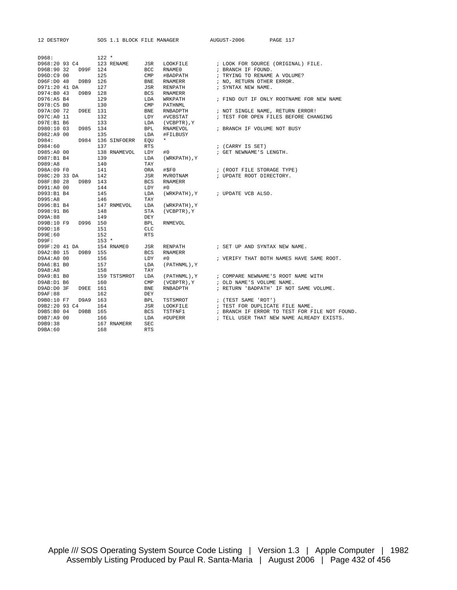|  | DESTROY |
|--|---------|
|--|---------|

SOS 1.1 BLOCK FILE MANAGER AUGUST-2006 PAGE 117

| D968:         |                                     | $122 *$ |                                      |            |                                     |                                                                  |
|---------------|-------------------------------------|---------|--------------------------------------|------------|-------------------------------------|------------------------------------------------------------------|
|               |                                     |         | D968:20 93 C4 123 RENAME             |            |                                     | JSR LOOKFILE : LOOK FOR SOURCE (ORIGINAL) FILE.                  |
|               | D96B:90 32 D99F 124                 |         |                                      |            | BCC RNAME0                          | ; BRANCH IF FOUND.                                               |
| D96D:C9 00    |                                     | 125     |                                      |            | CMP #BADPATH                        | ; TRYING TO RENAME A VOLUME?                                     |
|               | D96F:D0 48 D9B9 126                 |         |                                      |            | BNE RNAMERR                         | ; NO, RETURN OTHER ERROR.                                        |
| D971:20 41 DA |                                     | 127     |                                      | JSR        | RENPATH                             | ; SYNTAX NEW NAME.                                               |
|               | D974:B0 43 D9B9 128                 |         |                                      |            | BCS RNAMERR                         |                                                                  |
| D976:A5 B4    |                                     | 129     |                                      |            | LDA WRKPATH                         | ; FIND OUT IF ONLY ROOTNAME FOR NEW NAME                         |
| D978:C5 B0    |                                     | 130     |                                      |            | CMP PATHNML                         |                                                                  |
|               | D97A:D0 72 D9EE 131                 |         |                                      | <b>BNE</b> | RNBADPTH                            | ; NOT SINGLE NAME, RETURN ERROR!                                 |
| D97C:A0 11    |                                     | 132     |                                      |            | LDY #VCBSTAT                        | ; TEST FOR OPEN FILES BEFORE CHANGING                            |
| D97E:B1 B6    |                                     | 133     |                                      |            | LDA (VCBPTR), Y                     |                                                                  |
|               | D980:10 03 D985 134                 |         |                                      |            | BPL RNAMEVOL                        | ; BRANCH IF VOLUME NOT BUSY                                      |
| D982:A9 00    |                                     | 135     |                                      | LDA        | #FILBUSY                            |                                                                  |
|               |                                     |         | D984: D984 136 SINFOERR EQU          |            | $\star$                             |                                                                  |
| D984:60       |                                     | 137     |                                      | RTS        |                                     | ; (CARRY IS SET)                                                 |
|               | D985:A0 00                          |         | 138 RNAMEVOL LDY                     |            | #0                                  | ; GET NEWNAME'S LENGTH.                                          |
| D987:B1 B4    |                                     | 139     |                                      |            | LDA (WRKPATH), Y                    |                                                                  |
| D989:A8       |                                     | 140     |                                      | TAY        |                                     |                                                                  |
|               | D98A:09 F0 141<br>D98C:20 33 DA 142 |         |                                      | ORA        |                                     | $\verb #SP0  : (ROOT FILE STORAGE TYPE) \\$                      |
|               |                                     |         |                                      |            | JSR MVROTNAM                        | ; UPDATE ROOT DIRECTORY.                                         |
|               | D98F:B0 28 D9B9 143                 |         |                                      | BCS        | RNAMERR                             |                                                                  |
| D991:A0 00    |                                     | 144     |                                      | LDY        | #0                                  |                                                                  |
| D993:B1 B4    |                                     | 145     |                                      |            | LDA (WRKPATH), Y ; UPDATE VCB ALSO. |                                                                  |
| D995:A8       |                                     | 146     |                                      | TAY        |                                     |                                                                  |
| D996:B1 B4    |                                     |         |                                      |            | 147 RNMEVOL LDA (WRKPATH), Y        |                                                                  |
| D998:91 B6    |                                     | 148     |                                      | STA        | (VCBPTR), Y                         |                                                                  |
| D99A:88       |                                     | 149     |                                      | DEY        |                                     |                                                                  |
|               | D99B:10 F9 D996 150                 |         |                                      | <b>BPL</b> | RNMEVOL                             |                                                                  |
| D99D:18       |                                     | 151     |                                      | CLC        |                                     |                                                                  |
| D99E:60       |                                     | 152     |                                      | <b>RTS</b> |                                     |                                                                  |
| D99F:         |                                     | $153 *$ |                                      |            |                                     |                                                                  |
|               |                                     |         | D99F:20 41 DA 154 RNAME0 JSR RENPATH |            |                                     | ; SET UP AND SYNTAX NEW NAME.                                    |
|               | D9A2:B0 15 D9B9 155                 |         |                                      | BCS        | RNAMERR                             |                                                                  |
| D9A4:A0 00    |                                     | 156     |                                      | LDY        | #0                                  | ; VERIFY THAT BOTH NAMES HAVE SAME ROOT.                         |
| D9A6:B1 B0    |                                     | 157     |                                      |            | LDA (PATHNML), Y                    |                                                                  |
| D9A8:A8       |                                     | 158     |                                      | TAY        |                                     |                                                                  |
| D9A9:B1 B0    |                                     |         |                                      |            |                                     | 159 TSTSMROT LDA (PATHNML), Y : COMPARE NEWNAME'S ROOT NAME WITH |
| D9AB:D1 B6    |                                     | 160     |                                      |            |                                     | CMP (VCBPTR), Y ; OLD NAME'S VOLUME NAME.                        |
|               | D9AD:D0 3F D9EE 161                 |         |                                      | BNE        | RNBADPTH                            | ; RETURN 'BADPATH' IF NOT SAME VOLUME.                           |
| D9AF:88       |                                     | 162     |                                      | DEY        |                                     |                                                                  |
|               | D9B0:10 F7 D9A9 163                 |         |                                      |            | BPL TSTSMROT<br>JSR LOOKFILE        | ; $(TEST SAME 'ROT')$                                            |
|               | D9B2:20 93 C4                       | 164     |                                      |            |                                     | ; TEST FOR DUPLICATE FILE NAME.                                  |
|               | D9B5:B0 04 D9BB 165                 |         |                                      |            | BCS TSTFNF1                         | ; BRANCH IF ERROR TO TEST FOR FILE NOT FOUND.                    |
| D9B7:A9 00    |                                     | 166     |                                      | LDA        | #DUPERR                             | ; TELL USER THAT NEW NAME ALREADY EXISTS.                        |
| D9B9:38       |                                     |         | 167 RNAMERR                          | <b>SEC</b> |                                     |                                                                  |
| D9BA:60       |                                     | 168     |                                      | <b>RTS</b> |                                     |                                                                  |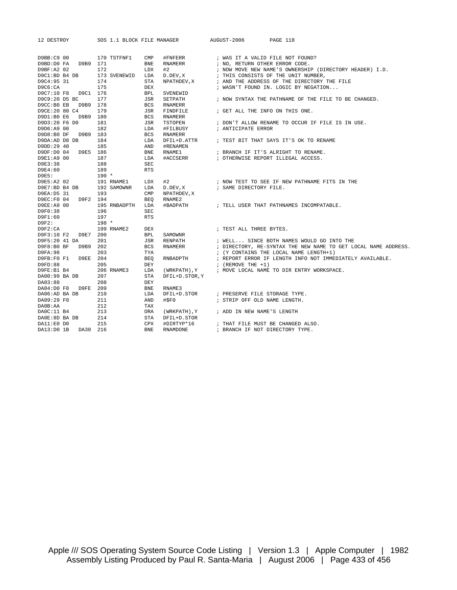12 DESTROY SOS 1.1 BLOCK FILE MANAGER AUGUST-2006 PAGE 118 D9BB:C9 00 170 TSTFNF1 CMP #FNFERR ; WAS IT A VALID FILE NOT FOUND?<br>D9BD:D0 FA D9B9 171 BNE RNAMERR ; NO. RETURN OTHER ERROR CODE. D9BD:D0 FA D9B9 171 BNE RNAMERR : NO, RETURN OTHER ERROR CODE. D9BF:A2 02 172 LDX #2 ; NOW MOVE NEW NAME'S OWNERSHIP (DIRECTORY HEADER) I.D. D9C1:BD B4 DB 173 SVENEWID LDA D.DEV,X ; THIS CONSISTS OF THE UNIT NUMBER, D9C4:95 31 174 STA NPATHDEV,X ; AND THE ADDRESS OF THE DIRECTORY THE FILE D9C6:CA 175 DEX  $\qquad \qquad$   $\qquad$   $\qquad$   $\qquad$   $\qquad$   $\qquad$   $\qquad$   $\qquad$   $\qquad$   $\qquad$   $\qquad$   $\qquad$   $\qquad$   $\qquad$   $\qquad$   $\qquad$   $\qquad$   $\qquad$   $\qquad$   $\qquad$   $\qquad$   $\qquad$   $\qquad$   $\qquad$   $\qquad$   $\qquad$   $\qquad$   $\qquad$   $\qquad$   $\qquad$   $\qquad$   $\qquad$   $\qquad$   $\qquad$ D9C7:10 F8 D9C1 176 BPL SVENEWID D9C9:20 D5 BC 177 JSR SETPATH ; NOW SYNTAX THE PATHNAME OF THE FILE TO BE CHANGED.<br>D9CC:B0 EB D9B9 178 BCS RNAMERR D9CC:B0 EB D9B9 178 BCS RNAMERR<br>D9CE:20 80 C4 179 JSR FINDFILE<br>D9D1:B0 E6 D9B9 180 BCS RNAMERR 179 JSR FINDFILE ; GET ALL THE INFO ON THIS ONE. D9D1:B0 E6 D9B9 180<br>D9D3:20 F6 D0 181<br>D9D6:A9 00 182 D9D3:20 F6 D0 181 JSR TSTOPEN ; DON'T ALLOW RENAME TO OCCUR IF FILE IS IN USE.<br>D9D6:A9 00 182 LDA #FILBUSY ; ANTICIPATE ERROR JSR TSTOPEN<br>DDA #FILBUSY<br>BCS RNAMERR<br>LDA DFIL+D.ATTR<br>AND #RENAMEN<br>BNE RNAME1<br>NAME1 D9D8:B0 DF D9B9 183 BCS RNAMERR D9DA:AD D8 DB 184 184 LDA DFIL+D.ATTR ; TEST BIT THAT SAYS IT'S OK TO RENAME -<br>
D9DD:29 40 185<br>
D9DF:D0 04 D9E5 186 D9DF:D0 04 D9E5 186 BNE RNAME1 ; BRANCH IF IT'S ALRIGHT TO RENAME.<br>D9E1:A9 00 187 LDA #ACCSERR ; OTHERWISE REPORT ILLEGAL ACCESS. : OTHERWISE REPORT ILLEGAL ACCESS. D9E3:38 188 SEC D9E4:60 189<br>
D9E5: 190 \* D9E5: 190 \* D9E5:A2 02 191 RNAME1 LDX #2 ; NOW TEST TO SEE IF NEW PATHNAME FITS IN THE D9E7:BD B4 DB 192 SAMOWNR LDA D.DEV,X ; SAME DIRECTORY FILE. D9EA:D5 31 193 CMP NPATHDEV,X D9EC:F0 04 D9F2 194 BEQ RNAME2 D9EE:A9 00 1999 195 RNBADPTH LDA #BADPATH ; TELL USER THAT PATHNAMES INCOMPATABLE.<br>D9F0:38 196 SEC D9F0:38 D9F1:60 197 RTS D9F2: 198 \*<br>
D9F2:CA 199 R 199 RNAME2 DEX  $\qquad$  ; TEST ALL THREE BYTES. D9F3:10 F2 D9E7 200 BPL SAMOWNR JSR RENPATH ; WELL... SINCE BOTH NAMES WOULD GO INTO THE BCS RNAMERR ; DIRECTORY, RE-SYNTAX THE NEW NAME TO GET LO D9F8:B0 BF D9B9 202 BCS RNAMERR ; DIRECTORY, RE-SYNTAX THE NEW NAME TO GET LOCAL NAME ADDRESS.<br>  $\frac{1}{10}$  1982:98 203 TYLE TO THE LOCAL NAME LENGTH+1) D9FA:98 203 TYA ; (Y CONTAINS THE LOCAL NAME LENGTH+1)<br>D9FB:F0 F1 D9EE 204 BEQ RNBADPTH ; REPORT ERROR IF LENGTH INFO NOT IMME D9FB:F0 F1 D9EE 204 BEQ RNBADPTH ; REPORT ERROR IF LENGTH INFO NOT IMMEDIATELY AVAILABLE.<br>D9FD:88 205 DRY DRY ; (REMOVE THE +1) D9FD:88 205 DEY<br>
D9FE:B1 B4 206 RNAME3 LDA (WRKPATH), Y<br>
DA00:99 PA DR 205  $\begin{array}{lllllll} \texttt{D9FE:B1} & \texttt{B4} & \texttt{206 RNAME3} & \texttt{LDA} & \texttt{(WRKPACH)}, \texttt{Y} & \texttt{?} & \texttt{MOVE} \texttt{LOCAL} \texttt{NAME TO DIR ENTRY WORKSPACE}. \\ \texttt{DAO0:99} & \texttt{BA DB} & \texttt{207} & \texttt{STA} \texttt{DFIL+D} . \texttt{STOR}, \texttt{Y} & \texttt{?} & \texttt{?} & \texttt{?} \\ \end{array}$ DA00:99 BA DB 207 STA DFIL+D.STOR,Y
<br>
DA03:88 208 DEY DA03:88 208 DEY DA04:D0 F8 D9FE 209 BNE RNAME3 DA06:AD BA DB 210 LDA DFIL+D.STOR ; PRESERVE FILE STORAGE TYPE.  $\begin{array}{lllll} \texttt{DAO9:29 F0} & \texttt{211} & \texttt{AND} & \texttt{\#SP0} & \texttt{5} & \texttt{STRIP OFF OLD NAME LENGTH.} \\ \texttt{DAOB:AA} & \texttt{212} & \texttt{TAX} & \texttt{5} & \texttt{3} & \texttt{5} & \texttt{6} \\ \end{array}$ DA0B:AA 212 TAX DA0C:11 B4 213 ORA (WRKPATH),Y ; ADD IN NEW NAME'S LENGTH DA0E:8D BA DB 214 STA DFIL+D.STOR DA11:E0 D0 215 CPX #DIRTYP\*16 ; THAT FILE MUST BE CHANGED ALSO. DA13:D0 1B DA30 216 BNE RNAMDONE : BRANCH IF NOT DIRECTORY TYPE.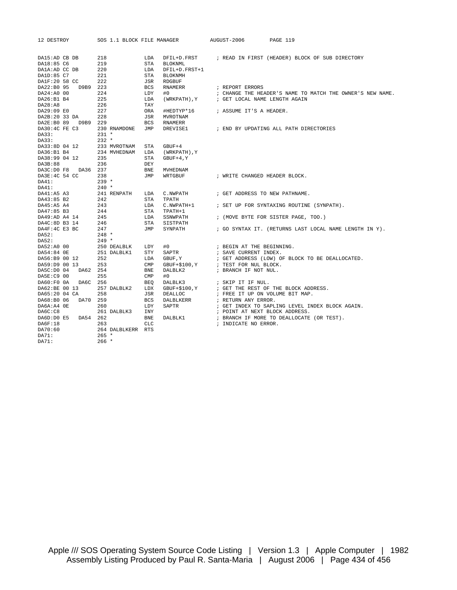| 12 DESTROY                                                                         |          | SOS 1.1 BLOCK FILE MANAGER |                |                | AUGUST-2006                                                                                        | <b>PAGE 119</b>                                             |
|------------------------------------------------------------------------------------|----------|----------------------------|----------------|----------------|----------------------------------------------------------------------------------------------------|-------------------------------------------------------------|
| DA15:AD CB DB                                                                      |          | 218                        | LDA            |                |                                                                                                    | DFIL+D.FRST : READ IN FIRST (HEADER) BLOCK OF SUB DIRECTORY |
| DA18:85 C6                                                                         | 219      |                            | STA            | <b>BLOKNML</b> |                                                                                                    |                                                             |
| DA1A:AD CC DB                                                                      | 220      |                            | LDA            | DFIL+D.FRST+1  |                                                                                                    |                                                             |
| DA1D:85 C7                                                                         | 221      |                            | STA            | <b>BLOKNMH</b> |                                                                                                    |                                                             |
| DA1F:20 58 CC                                                                      | 222      |                            | JSR            | RDGBUF         |                                                                                                    |                                                             |
| DA22:B0 95 D9B9 223                                                                |          |                            | BCS            | RNAMERR        | ; REPORT ERRORS                                                                                    |                                                             |
| DA24:A0 00                                                                         | 224      |                            | LDY            | #0             |                                                                                                    | ; CHANGE THE HEADER'S NAME TO MATCH THE OWNER'S NEW NAME.   |
| DA26:B1B4                                                                          | 225      |                            | LDA            |                | $\left(\,\texttt{WRKPATH}\,\right)\,,\texttt{Y}\qquad\qquad\texttt{; GET LOCAL NAME LENGTH AGAIN}$ |                                                             |
| DA28:AB                                                                            | 226      |                            | TAY            |                |                                                                                                    |                                                             |
| DA29:09 E0                                                                         | 227      |                            | ORA            |                | #HEDTYP*16 ; ASSUME IT'S A HEADER.                                                                 |                                                             |
| DA2B:20 33 DA                                                                      | 228      |                            | JSR            | MVROTNAM       |                                                                                                    |                                                             |
| DA2E:B0 89 D9B9 229                                                                |          |                            | BCS            | RNAMERR        |                                                                                                    |                                                             |
| DA30:4C FE C3 230 RNAMDONE                                                         |          |                            | JMP            |                |                                                                                                    | DREVISE1 $\qquad$ ; END BY UPDATING ALL PATH DIRECTORIES    |
| DA33:                                                                              | $231 *$  |                            |                |                |                                                                                                    |                                                             |
| DA33:                                                                              | $232 *$  |                            |                |                |                                                                                                    |                                                             |
| DA33:8D 04 12 233 MVROTNAM                                                         |          |                            | STA            | $GBUF+4$       |                                                                                                    |                                                             |
| DA36:B1 B4                                                                         |          | 234 MVHEDNAM               | LDA            | (WRKPATH), Y   |                                                                                                    |                                                             |
| DA38:99 04 12                                                                      | 235      |                            | STA            | $GBUF+4, Y$    |                                                                                                    |                                                             |
| DA3B:88                                                                            | 236      |                            | DEY            |                |                                                                                                    |                                                             |
| DA3C:D0 F8 DA36 237                                                                |          |                            | BNE            | MVHEDNAM       |                                                                                                    |                                                             |
| DA3E:4C 54 CC 238                                                                  |          |                            | JMP            | WRTGBUF        | ; WRITE CHANGED HEADER BLOCK.                                                                      |                                                             |
| DA41:                                                                              |          | $239 *$                    |                |                |                                                                                                    |                                                             |
| DA41:                                                                              | $240 *$  |                            |                |                |                                                                                                    |                                                             |
| DA41:A5 A3<br>DA43:85 B2                                                           |          | 241 RENPATH LDA            |                |                | C. NWPATH $\qquad$ ; GET ADDRESS TO NEW PATHNAME.                                                  |                                                             |
|                                                                                    | 242      |                            | STA            | TPATH          |                                                                                                    |                                                             |
| DA45:A5 A4                                                                         | 243      |                            | LDA            |                |                                                                                                    | C. NWPATH+1 : SET UP FOR SYNTAXING ROUTINE (SYNPATH).       |
| DA47:85 B3<br>DA47:85 B3<br>DA49:AD A4 14<br>DA4C:8D B3 14<br>DA4F:4C E3 BC<br>247 |          |                            | STA            | TPATH+1        |                                                                                                    |                                                             |
|                                                                                    |          |                            | LDA            | SSNWPATH       |                                                                                                    | ; (MOVE BYTE FOR SISTER PAGE, TOO.)                         |
|                                                                                    |          |                            | STA            | SISTPATH       |                                                                                                    |                                                             |
|                                                                                    |          |                            | JMP            | SYNPATH        |                                                                                                    | ; GO SYNTAX IT. (RETURNS LAST LOCAL NAME LENGTH IN Y).      |
| DA52:                                                                              | $248$ *  |                            |                |                |                                                                                                    |                                                             |
| DA52:                                                                              | $2.49*$  |                            |                |                |                                                                                                    |                                                             |
| DA52:A0 00                                                                         |          | 250 DEALBLK LDY            |                | #0             | ; BEGIN AT THE BEGINNING.                                                                          |                                                             |
| DA54:84 OE                                                                         |          | 251 DALBLK1                | STY            | SAPTR          | ; SAVE CURRENT INDEX.                                                                              |                                                             |
| DA56:B9 00 12                                                                      | 252      |                            | LDA            | GBUF, Y        |                                                                                                    | ; GET ADDRESS (LOW) OF BLOCK TO BE DEALLOCATED.             |
| DA59:D9 00 13                                                                      | 253      |                            | $\text{CMP}$   |                | $\texttt{GBUF}+\$100\;\texttt{,Y}\qquad\qquad\texttt{; TEST FOR NULL BLOCK}\;.\label{eq:GBUF}$     |                                                             |
| DA5C:D0 04 DA62 254                                                                |          |                            | <b>BNE</b>     | DALBLK2        | ; BRANCH IF NOT NUL.                                                                               |                                                             |
| DA5E:C9 00                                                                         | 255      |                            | $\texttt{CMP}$ | #0             |                                                                                                    |                                                             |
| DA60:F0 0A DA6C 256                                                                |          |                            | BEO            | DALBLK3        | ; SKIP IT IF NUL.                                                                                  |                                                             |
| DA62:BE 00 13                                                                      |          | 257 DALBLK2                | LDX            |                |                                                                                                    |                                                             |
| DA65:20 04 CA                                                                      | 258      |                            | JSR            |                |                                                                                                    |                                                             |
| DA68:B0 06                                                                         | DA70 259 |                            | BCS            | DALBLKERR      | ; RETURN ANY ERROR.                                                                                |                                                             |
| DA6A:A4 OE                                                                         | 260      |                            | LDY            | SAPTR          |                                                                                                    | ; GET INDEX TO SAPLING LEVEL INDEX BLOCK AGAIN.             |
| DA6C:C8                                                                            |          | 261 DALBLK3                | INY            |                | ; POINT AT NEXT BLOCK ADDRESS.                                                                     |                                                             |
| DA6D:D0 E5 DA54 262                                                                |          |                            | <b>BNE</b>     | DALBLK1        |                                                                                                    | ; BRANCH IF MORE TO DEALLOCATE (OR TEST).                   |
| DA6F:18                                                                            | 263      |                            | <b>CLC</b>     |                | ; INDICATE NO ERROR.                                                                               |                                                             |
| DA70:60                                                                            |          | 264 DALBLKERR RTS          |                |                |                                                                                                    |                                                             |
| DA71:                                                                              |          | $265 *$                    |                |                |                                                                                                    |                                                             |
| DA71:                                                                              |          | $266 *$                    |                |                |                                                                                                    |                                                             |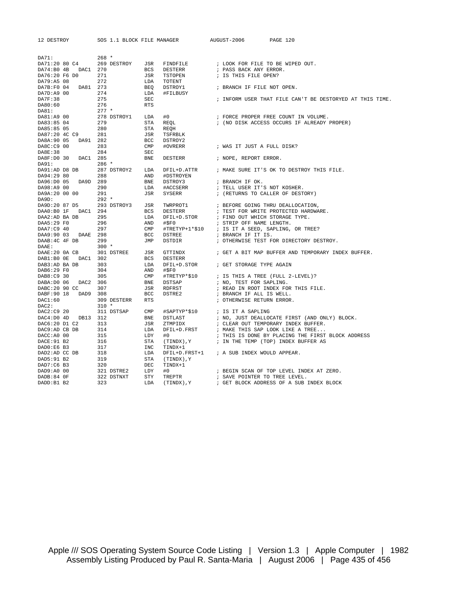| 12 DESTROY                                                                                                                                  | SOS 1.1 BLOCK FILE MANAGER                                                                              |                          |                                                                                                        | AUGUST-2006<br>PAGE 120                                                                                                 |
|---------------------------------------------------------------------------------------------------------------------------------------------|---------------------------------------------------------------------------------------------------------|--------------------------|--------------------------------------------------------------------------------------------------------|-------------------------------------------------------------------------------------------------------------------------|
|                                                                                                                                             |                                                                                                         |                          |                                                                                                        |                                                                                                                         |
| DA71:                                                                                                                                       | $268 *$                                                                                                 |                          |                                                                                                        |                                                                                                                         |
| DA71:20 80 C4                                                                                                                               | 269 DESTROY JSR                                                                                         |                          |                                                                                                        | FINDFILE : LOOK FOR FILE TO BE WIPED OUT.<br>DESTERR : PASS BACK ANY ERROR.                                             |
| DA74:B0 4B DAC1 270<br>DA76:20 F6 D0                                                                                                        | BCS<br>BCS<br>JSR<br>LDA<br>BEQ<br>LDA<br>271                                                           |                          | TSTOPEN                                                                                                |                                                                                                                         |
| DA79:A5 08                                                                                                                                  | $\frac{271}{272}$                                                                                       |                          | TOTENT                                                                                                 | ; IS THIS FILE OPEN?                                                                                                    |
|                                                                                                                                             |                                                                                                         |                          | DSTROY1                                                                                                | ; BRANCH IF FILE NOT OPEN.                                                                                              |
| DA7B:F0 04 DA81 273<br>DA7D:A9 00 274                                                                                                       |                                                                                                         |                          | #FILBUSY                                                                                               |                                                                                                                         |
| DA7F:38                                                                                                                                     | 275                                                                                                     | SEC                      |                                                                                                        | ; INFORM USER THAT FILE CAN'T BE DESTORYED AT THIS TIME.                                                                |
| DA80:60                                                                                                                                     | 276                                                                                                     | <b>RTS</b>               |                                                                                                        |                                                                                                                         |
| DA81:                                                                                                                                       | $277 *$                                                                                                 |                          |                                                                                                        |                                                                                                                         |
| DA81:A9 00                                                                                                                                  | 278 DSTROY1                                                                                             | LDA                      | #0                                                                                                     | ; FORCE PROPER FREE COUNT IN VOLUME.                                                                                    |
| DA83:85 04                                                                                                                                  | 279                                                                                                     | STA                      | REQL                                                                                                   | ; (NO DISK ACCESS OCCURS IF ALREADY PROPER)                                                                             |
| DA85:85 05                                                                                                                                  | 280                                                                                                     | STA<br>JSR<br>BCC<br>CMP | REOH                                                                                                   |                                                                                                                         |
| DA87:20 4C C9 281                                                                                                                           |                                                                                                         |                          | TSFRBLK                                                                                                |                                                                                                                         |
| DA8A:90 05 DA91 282                                                                                                                         |                                                                                                         |                          | DSTROY2                                                                                                |                                                                                                                         |
| DA8C:C9 00                                                                                                                                  | 283                                                                                                     |                          | #OVRERR                                                                                                | ; WAS IT JUST A FULL DISK?                                                                                              |
| DA8E:38                                                                                                                                     | 284                                                                                                     | SEC                      |                                                                                                        |                                                                                                                         |
| DA8F:D0 30 DAC1 285                                                                                                                         |                                                                                                         | <b>BNE</b>               |                                                                                                        | DESTERR FROPE, REPORT ERROR.                                                                                            |
| DA91:                                                                                                                                       | $286$ *                                                                                                 |                          |                                                                                                        |                                                                                                                         |
| DA91:AD D8 DB                                                                                                                               | 287 DSTROY2 LDA                                                                                         |                          |                                                                                                        | DFIL+D.ATTR : MAKE SURE IT'S OK TO DESTROY THIS FILE.                                                                   |
| DA94:29 80                                                                                                                                  | 288                                                                                                     |                          |                                                                                                        |                                                                                                                         |
| DA96:D0 05 DA9D 289                                                                                                                         |                                                                                                         |                          | DSTROY3                                                                                                | ; BRANCH IF OK.                                                                                                         |
| DA98:A9 00<br>DA9A:20 00 00                                                                                                                 | 288 --- 2006 PHOTROYEN<br>289 BND #DSTROY3<br>290 LDA #ACCSERR<br>291 JSR SYSERR<br>292 *<br>290<br>291 |                          | SYSERR                                                                                                 | ; TELL USER IT'S NOT KOSHER.                                                                                            |
| DA9D:                                                                                                                                       |                                                                                                         |                          |                                                                                                        | ; (RETURNS TO CALLER OF DESTORY)                                                                                        |
| DA9D:20 87 D5 293 DSTROY3 JSR                                                                                                               |                                                                                                         |                          |                                                                                                        |                                                                                                                         |
| DAA0:B0 1F DAC1 294                                                                                                                         |                                                                                                         |                          |                                                                                                        |                                                                                                                         |
| DAA2:AD BA DB 295                                                                                                                           |                                                                                                         |                          |                                                                                                        |                                                                                                                         |
| DAA5:29 F0                                                                                                                                  |                                                                                                         |                          |                                                                                                        |                                                                                                                         |
| DAA7:C9 40                                                                                                                                  | 296<br>297                                                                                              |                          |                                                                                                        | #TRETYP+1*\$10 ; IS IT A SEED, SAPLING, OR TREE?                                                                        |
| DAA9:90 03 DAAE 298                                                                                                                         |                                                                                                         |                          |                                                                                                        |                                                                                                                         |
| DAAB: 4C 4F DB 299                                                                                                                          |                                                                                                         |                          | ESTRER<br>BCS DESTERR<br>LDA DFIL+D.STOR<br>AND #\$F0<br>CMP #TRETYP+1*\$1<br>BCC DSTREE<br>JMP DSTDIR | ; OTHERWISE TEST FOR DIRECTORY DESTROY.                                                                                 |
| DAAE:                                                                                                                                       | $300 *$                                                                                                 |                          |                                                                                                        |                                                                                                                         |
|                                                                                                                                             |                                                                                                         |                          | GTTINDX                                                                                                | ; GET A BIT MAP BUFFER AND TEMPORARY INDEX BUFFER.                                                                      |
|                                                                                                                                             |                                                                                                         |                          | DESTERR                                                                                                |                                                                                                                         |
| DAAE: 20 0A CB 301 DSTREE JSR<br>DAAE: 20 0A CB 301 DSTREE JSR<br>DAB1: B0 0E DAC1 302 BCS<br>DAB3: AD BA DB 303 LDA<br>DAB6: 29 F0 304 AND |                                                                                                         |                          |                                                                                                        | DFIL+D. STOR FOR FORAGE TYPE AGAIN                                                                                      |
|                                                                                                                                             |                                                                                                         |                          | #\$F0                                                                                                  |                                                                                                                         |
| DAB8:C9 30                                                                                                                                  | 305                                                                                                     |                          |                                                                                                        |                                                                                                                         |
| DABA: D0 06 DAC2 306                                                                                                                        |                                                                                                         |                          | <b>DSTSAP</b>                                                                                          | ; NO, TEST FOR SAPLING.                                                                                                 |
| DABC:20 90 CC                                                                                                                               | CMP<br>BNE<br>JSR<br>BCC<br>307                                                                         |                          | RDFRST                                                                                                 | ; READ IN ROOT INDEX FOR THIS FILE.                                                                                     |
| DABF: 90 18 DAD9 308                                                                                                                        |                                                                                                         |                          | DSTRE2                                                                                                 | ; BRANCH IF ALL IS WELL.                                                                                                |
| DAC1:60<br>DAC2:                                                                                                                            | 309 DESTERR RTS<br>$310 *$                                                                              |                          |                                                                                                        | ; OTHERWISE RETURN ERROR.                                                                                               |
| DAC2:C9 20                                                                                                                                  |                                                                                                         |                          |                                                                                                        |                                                                                                                         |
| DAC4:D0 4D DB13 312                                                                                                                         |                                                                                                         |                          |                                                                                                        | #SAPTYP*\$10<br>DSTLAST : NO, JUST DEALLO<br>PRIMAGE : NO, JUST DEALLO<br>; NO, JUST DEALLOCATE FIRST (AND ONLY) BLOCK. |
| DAC6:20 D1 C2 313                                                                                                                           |                                                                                                         |                          |                                                                                                        |                                                                                                                         |
| DAC9:AD CB DB                                                                                                                               |                                                                                                         |                          |                                                                                                        |                                                                                                                         |
| DACC: A0 00                                                                                                                                 | 315                                                                                                     |                          | #0                                                                                                     | ; THIS IS DONE BY PLACING THE FIRST BLOCK ADDRESS                                                                       |
| DACE: 91 B2                                                                                                                                 | 316                                                                                                     |                          |                                                                                                        | $(TIME)$ , $Y$ ; IN THE TEMP (TOP) INDEX BUFFER AS                                                                      |
|                                                                                                                                             |                                                                                                         |                          | TINDX+1                                                                                                |                                                                                                                         |
|                                                                                                                                             |                                                                                                         |                          |                                                                                                        | DFIL+D. FRST+1 ; A SUB INDEX WOULD APPEAR.                                                                              |
| DADO:E6 B3 317<br>DAD2:AD CC DB 318<br>DAD5:91 B2 319                                                                                       |                                                                                                         |                          | Y, (TINDX) )                                                                                           |                                                                                                                         |
| DAD7:C6 B3                                                                                                                                  | 320                                                                                                     |                          | TINDX+1                                                                                                |                                                                                                                         |
| DAD9:A0 00                                                                                                                                  | 321 DSTRE2                                                                                              | LDY                      | #0                                                                                                     | ; BEGIN SCAN OF TOP LEVEL INDEX AT ZERO.                                                                                |
| DADB:84 OF                                                                                                                                  | 322 DSTNXT                                                                                              | STY                      | TREPTR                                                                                                 | ; SAVE POINTER TO TREE LEVEL.                                                                                           |
| DADD:B1 B2                                                                                                                                  | 323                                                                                                     | LDA                      |                                                                                                        | (TINDX), Y : GET BLOCK ADDRESS OF A SUB INDEX BLOCK                                                                     |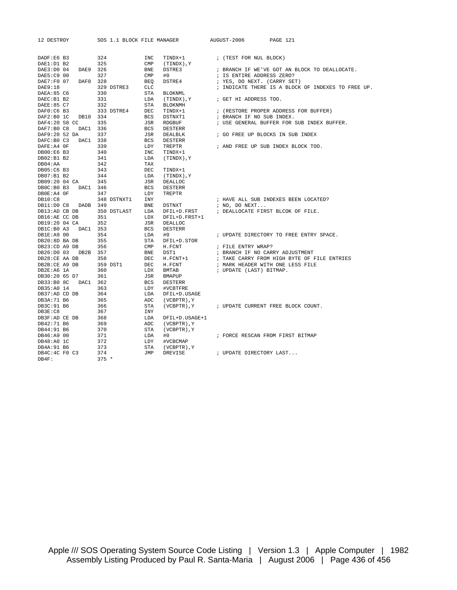| 12 DESTROY                     | SOS 1.1 BLOCK FILE MANAGER |                                                 | AUGUST-2006<br>PAGE 121                            |  |  |  |  |  |
|--------------------------------|----------------------------|-------------------------------------------------|----------------------------------------------------|--|--|--|--|--|
|                                |                            |                                                 |                                                    |  |  |  |  |  |
|                                |                            |                                                 |                                                    |  |  |  |  |  |
| DADF:E6 B3<br>DAE1:D1 B2       | 324<br>325                 | INC<br>TINDX+1<br>$\text{CMP}$<br>Y , Y (TINDX) | ; (TEST FOR NUL BLOCK)                             |  |  |  |  |  |
| DAE3:D0 04<br>DAE9 326         |                            | <b>BNE</b><br>DSTRE3                            | ; BRANCH IF WE'VE GOT AN BLOCK TO DEALLOCATE.      |  |  |  |  |  |
| DAE5:C9 00                     | 327                        | CMP<br>#0                                       | ; IS ENTIRE ADDRESS ZERO?                          |  |  |  |  |  |
| DAE7:F0 07<br>DAF0 328         |                            | <b>BEQ</b><br>DSTRE4                            | ; YES, DO NEXT. (CARRY SET)                        |  |  |  |  |  |
| DAE9:18                        | 329 DSTRE3                 | CLC                                             | ; INDICATE THERE IS A BLOCK OF INDEXES TO FREE UP. |  |  |  |  |  |
| DAEA:85 C6                     | 330                        | STA<br>BLOKNML                                  |                                                    |  |  |  |  |  |
| DAEC: B1 B2                    | 331                        | LDA<br>(TINDX), Y                               | ; GET HI ADDRESS TOO.                              |  |  |  |  |  |
| DAEE:85 C7                     | 332                        | <b>STA</b><br>BLOKNMH                           |                                                    |  |  |  |  |  |
| DAF0:C6 B3                     | 333 DSTRE4                 | <b>DEC</b><br>TINDX+1                           | ; (RESTORE PROPER ADDRESS FOR BUFFER)              |  |  |  |  |  |
| DAF2:B0 1C<br>DB10 334         |                            | <b>BCS</b>                                      | ; BRANCH IF NO SUB INDEX.                          |  |  |  |  |  |
| DAF4:20 58 CC                  | 335                        | DSTNXT1<br>RDGBUF<br>JSR                        | ; USE GENERAL BUFFER FOR SUB INDEX BUFFER.         |  |  |  |  |  |
| DAF7:B0 C8<br>DAC1 336         |                            | <b>BCS</b><br>DESTERR                           |                                                    |  |  |  |  |  |
| DAF9:20 52 DA                  | 337                        | JSR<br>DEALBLK                                  | ; GO FREE UP BLOCKS IN SUB INDEX                   |  |  |  |  |  |
| DAFC:B0 C3<br>DAC1 338         |                            | <b>BCS</b><br>DESTERR                           |                                                    |  |  |  |  |  |
| DAFE:A4 OF                     | 339                        | LDY<br>TREPTR                                   | ; AND FREE UP SUB INDEX BLOCK TOO.                 |  |  |  |  |  |
| DB00:E6 B3                     | 340                        | <b>INC</b><br>TINDX+1                           |                                                    |  |  |  |  |  |
| DB02:B1B2                      | 341                        | LDA<br>(TINDX), Y                               |                                                    |  |  |  |  |  |
| DB04:AA                        | 342                        | TAX                                             |                                                    |  |  |  |  |  |
| DB05:C6 B3                     | 343                        | <b>DEC</b><br>TINDX+1                           |                                                    |  |  |  |  |  |
| DB07:B1B2                      | 344                        | LDA<br>Y, (TINDX)                               |                                                    |  |  |  |  |  |
| DB09:20 04 CA                  | 345                        | JSR<br>DEALLOC                                  |                                                    |  |  |  |  |  |
| DBOC:BO B3<br>DAC1 346         |                            | <b>BCS</b><br>DESTERR                           |                                                    |  |  |  |  |  |
| DBOE:A4 OF                     | 347                        | LDY<br>TREPTR                                   |                                                    |  |  |  |  |  |
| DB10: C8                       | 348 DSTNXT1                | INY<br><b>DSTNXT</b>                            | ; HAVE ALL SUB INDEXES BEEN LOCATED?               |  |  |  |  |  |
| DB11:D0 C8 DADB 349            |                            | BNE                                             | ; NO, DO NEXT                                      |  |  |  |  |  |
| DB13:AD CB DB<br>DB16:AE CC DB | 350 DSTLAST<br>351         | LDA<br>LDX                                      | DFIL+D. FRST : DEALLOCATE FIRST BLCOK OF FILE.     |  |  |  |  |  |
| DB19:20 04 CA                  | 352                        | DFIL+D.FRST+1<br>JSR<br><b>DEALLOC</b>          |                                                    |  |  |  |  |  |
| DB1C:B0 A3 DAC1 353            |                            | <b>BCS</b><br>DESTERR                           |                                                    |  |  |  |  |  |
| DB1E:A9 00                     | 354                        | LDA<br>#0                                       | ; UPDATE DIRECTORY TO FREE ENTRY SPACE.            |  |  |  |  |  |
| DB20:8D BA DB                  | 355                        | <b>STA</b><br>DFIL+D.STOR                       |                                                    |  |  |  |  |  |
| DB23:CD A9 DB                  | 356                        | $\texttt{CMP}$<br>H.FCNT                        | ; FILE ENTRY WRAP?                                 |  |  |  |  |  |
| DB26:D0 03 DB2B 357            |                            | DST1<br><b>BNE</b>                              | ; BRANCH IF NO CARRY ADJUSTMENT                    |  |  |  |  |  |
| DB28:CE AA DB                  | 358                        | DEC<br>$H.FCNT+1$                               | ; TAKE CARRY FROM HIGH BYTE OF FILE ENTRIES        |  |  |  |  |  |
| DB2B:CE A9 DB                  | 359 DST1                   | DEC<br>H.FCNT                                   | ; MARK HEADER WITH ONE LESS FILE                   |  |  |  |  |  |
| DB2E:A6 1A                     | 360                        | LDX<br>BMTAB                                    | ; UPDATE (LAST) BITMAP.                            |  |  |  |  |  |
| DB30:20 65 D7                  | 361                        | JSR<br>BMAPUP                                   |                                                    |  |  |  |  |  |
| DAC1 362<br>DB33:B0 8C         |                            | <b>BCS</b><br><b>DESTERR</b>                    |                                                    |  |  |  |  |  |
| DB35:A0 14                     | 363                        | LDY<br>#VCBTFRE                                 |                                                    |  |  |  |  |  |
| DB37:AD CD DB                  | 364                        | LDA<br>DFIL+D.USAGE                             |                                                    |  |  |  |  |  |
| DB3A: 71 B6                    | 365                        | ADC<br>(VCBPTR), Y                              |                                                    |  |  |  |  |  |
| DB3C:91 B6                     | 366                        | STA                                             | (VCBPTR), Y : UPDATE CURRENT FREE BLOCK COUNT.     |  |  |  |  |  |
| DB3E:C8                        | 367                        | <b>INY</b>                                      |                                                    |  |  |  |  |  |
| DB3F:AD CE DB                  | 368                        | LDA<br>DFIL+D.USAGE+1                           |                                                    |  |  |  |  |  |
| DB42:71 B6                     | 369                        | ADC<br>(VCBPTR), Y                              |                                                    |  |  |  |  |  |
| DB44:91 B6                     | 370                        | <b>STA</b><br>(VCBPTR), Y                       |                                                    |  |  |  |  |  |
| DB46:A9 00                     | 371                        | #0<br>LDA                                       | ; FORCE RESCAN FROM FIRST BITMAP                   |  |  |  |  |  |
| DB48:A0 1C                     | 372                        | LDY<br>#VCBCMAP                                 |                                                    |  |  |  |  |  |
| DB4A:91 B6                     | 373                        | <b>STA</b><br>(VCBPTR), Y                       |                                                    |  |  |  |  |  |
| DB4C:4C F0 C3                  | 374                        | JMP<br><b>DREVISE</b>                           | ; UPDATE DIRECTORY LAST                            |  |  |  |  |  |
| DB4F:                          | $375 *$                    |                                                 |                                                    |  |  |  |  |  |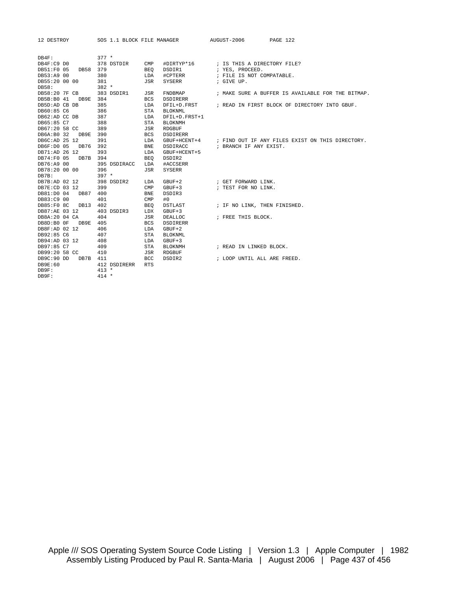|                        |          |         |              |              |                | 12 DESTROY SOS 1.1 BLOCK FILE MANAGER AUGUST-2006 PAGE 122 |                                                               |
|------------------------|----------|---------|--------------|--------------|----------------|------------------------------------------------------------|---------------------------------------------------------------|
| DB4F:                  |          | $377 *$ |              |              |                |                                                            |                                                               |
| DB4F:C9 DO             |          |         | 378 DSTDIR   | $\text{CMP}$ |                |                                                            |                                                               |
| DB51:F0 05 DB58 379    |          |         |              | BEO          | DSDIR1         | ; YES, PROCEED.                                            |                                                               |
| DB53:A9 00             |          | 380     |              | LDA          | #CPTERR        | ; FILE IS NOT COMPATABLE.                                  |                                                               |
| DB55:20 00 00          |          | 381     |              | JSR          | SYSERR         | ; GIVE UP.                                                 |                                                               |
|                        |          | $382 *$ |              |              |                |                                                            |                                                               |
| DB58:<br>DB58:20 7F CB |          |         |              |              |                |                                                            |                                                               |
|                        |          |         | 383 DSDIR1   | JSR          | FNDBMAP        |                                                            | ; MAKE SURE A BUFFER IS AVAILABLE FOR THE BITMAP.             |
| DB5B:B0 41 DB9E 384    |          |         |              | <b>BCS</b>   | DSDIRERR       |                                                            |                                                               |
| DB5D:AD CB DB          |          | 385     |              | LDA          |                |                                                            | DFIL+D. FRST : READ IN FIRST BLOCK OF DIRECTORY INTO GBUF.    |
| DB60:85 C6             |          | 386     |              | STA          | <b>BLOKNML</b> |                                                            |                                                               |
| DB62:AD CC DB          |          | 387     |              | LDA          | DFIL+D.FRST+1  |                                                            |                                                               |
| DB65:85 C7             |          | 388     |              | STA          | <b>BLOKNMH</b> |                                                            |                                                               |
| DB67:20 58 CC          |          | 389     |              | JSR          | RDGBUF         |                                                            |                                                               |
| DB6A:B0 32 DB9E 390    |          |         |              | <b>BCS</b>   | DSDIRERR       |                                                            |                                                               |
| DB6C:AD 25 12          |          | 391     |              | LDA          |                |                                                            | GBUF+HCENT+4 ; FIND OUT IF ANY FILES EXIST ON THIS DIRECTORY. |
| DB6F:D0 05             | DB76 392 |         |              | <b>BNE</b>   | DSDIRACC       | ; BRANCH IF ANY EXIST.                                     |                                                               |
| DB71:AD 26 12          |          | 393     |              | LDA          | GBUF+HCENT+5   |                                                            |                                                               |
| DB74:F0 05             | DB7B 394 |         |              | BEO          | DSDIR2         |                                                            |                                                               |
| DB76:A9 00             |          |         | 395 DSDIRACC | LDA          | #ACCSERR       |                                                            |                                                               |
| DB78:20 00 00          |          | 396     |              | JSR          | <b>SYSERR</b>  |                                                            |                                                               |
| $DB7B$ :               |          | $397 *$ |              |              |                |                                                            |                                                               |
| DB7B:AD 02 12          |          |         | 398 DSDIR2   | LDA          | $GBUF+2$       | ; GET FORWARD LINK.                                        |                                                               |
| DB7E:CD 03 12          |          | 399     |              | $\text{CMP}$ | GBUF+3         | ; TEST FOR NO LINK.                                        |                                                               |
| DB81:D0 04             | DB87 400 |         |              | <b>BNE</b>   | DSDIR3         |                                                            |                                                               |
| DB83:C9 00             |          | 401     |              | CMP          | #0             |                                                            |                                                               |
| DB85:F0 8C DB13 402    |          |         |              | <b>BEQ</b>   | DSTLAST        | ; IF NO LINK, THEN FINISHED.                               |                                                               |
| DB87:AE 03 12          |          |         | 403 DSDIR3   | LDX          | $GBUF+3$       |                                                            |                                                               |
| DB8A:20 04 CA          |          | 404     |              | JSR          | DEALLOC        | ; FREE THIS BLOCK.                                         |                                                               |
| DB8D:B0 OF DB9E 405    |          |         |              | <b>BCS</b>   | DSDIRERR       |                                                            |                                                               |
| DB8F:AD 02 12          |          | 406     |              | LDA          | $GBUF+2$       |                                                            |                                                               |
| DB92:85 C6             |          | 407     |              | STA          | <b>BLOKNML</b> |                                                            |                                                               |
| DB94:AD 03 12          |          | 408     |              | LDA          | $GBUF+3$       |                                                            |                                                               |
| DB97:85 C7             |          | 409     |              | STA          | BLOKNMH        | ; READ IN LINKED BLOCK.                                    |                                                               |
| DB99:20 58 CC          |          | 410     |              | JSR          | RDGBUF         |                                                            |                                                               |
| DB9C:90 DD             | DB7B 411 |         |              | BCC          | DSDIR2         | ; LOOP UNTIL ALL ARE FREED.                                |                                                               |
| DB9E:60                |          |         | 412 DSDIRERR | <b>RTS</b>   |                |                                                            |                                                               |
| DB9F:                  |          | $413 *$ |              |              |                |                                                            |                                                               |
| DB9F:                  |          | $414 *$ |              |              |                |                                                            |                                                               |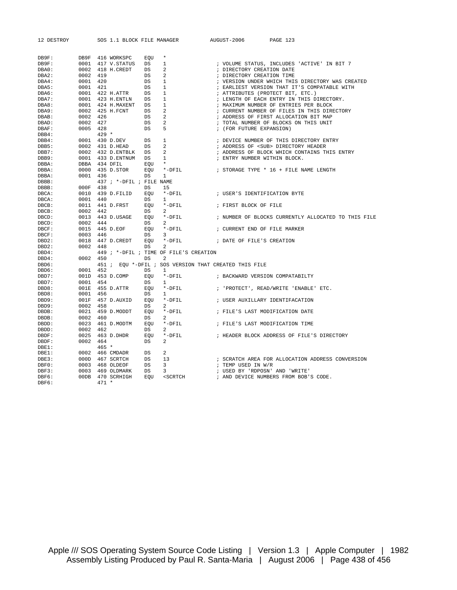| 12 DESTROY     |              | SOS 1.1 BLOCK FILE MANAGER  |                  |                                                                                           |            | AUGUST-2006                    | PAGE 123                                            |
|----------------|--------------|-----------------------------|------------------|-------------------------------------------------------------------------------------------|------------|--------------------------------|-----------------------------------------------------|
|                |              |                             |                  |                                                                                           |            |                                |                                                     |
| DB9F:<br>DB9F: | DB9F<br>0001 | 416 WORKSPC<br>417 V.STATUS | EOU<br><b>DS</b> | $\star$<br>1                                                                              |            |                                | ; VOLUME STATUS, INCLUDES 'ACTIVE' IN BIT 7         |
| DBA0:          | 0002         | 418 H.CREDT                 | DS               | 2                                                                                         |            | ; DIRECTORY CREATION DATE      |                                                     |
| DBA2:          | 0002         | 419                         | $_{\rm DS}$      | 2                                                                                         |            | ; DIRECTORY CREATION TIME      |                                                     |
| DBA4:          | 0001         | 420                         | DS               | 1                                                                                         |            |                                | ; VERSION UNDER WHICH THIS DIRECTORY WAS CREATED    |
| DBA5:          | 0001         | 421                         | DS               | $\mathbf{1}$                                                                              |            |                                | ; EARLIEST VERSION THAT IT'S COMPATABLE WITH        |
| DBA6:          | 0001         | 422 H.ATTR                  | DS               | 1                                                                                         |            |                                | ; ATTRIBUTES (PROTECT BIT, ETC.)                    |
| DBA7:          | 0001         | 423 H.ENTLN                 | DS               | 1                                                                                         |            |                                | ; LENGTH OF EACH ENTRY IN THIS DIRECTORY.           |
| DBA8:          | 0001         | 424 H.MAXENT                | DS               | 1                                                                                         |            |                                | ; MAXIMUM NUMBER OF ENTRIES PER BLOCK               |
| DBA9:          | 0002         | 425 H.FCNT                  | DS               | 2                                                                                         |            |                                | ; CURRENT NUMBER OF FILES IN THIS DIRECTORY         |
| DBAB:          | 0002         | 426                         | DS               | 2                                                                                         |            |                                | ; ADDRESS OF FIRST ALLOCATION BIT MAP               |
| DBAD:          | 0002         | 427                         | DS               | 2                                                                                         |            |                                | ; TOTAL NUMBER OF BLOCKS ON THIS UNIT               |
| DBAF:          | 0005         | 428                         | DS               | 5                                                                                         | $\ddot{i}$ | (FOR FUTURE EXPANSION)         |                                                     |
| $DBB4$ :       |              | $429 *$                     |                  |                                                                                           |            |                                |                                                     |
| $DBB4$ :       | 0001         | 430 D.DEV                   | DS               | 1                                                                                         |            |                                | ; DEVICE NUMBER OF THIS DIRECTORY ENTRY             |
| DBB5:          | 0002         | 431 D.HEAD                  | DS               | 2                                                                                         |            |                                | ; ADDRESS OF <sub> DIRECTORY HEADER</sub>           |
| DBB7:          | 0002         | 432 D.ENTBLK                | DS               | 2                                                                                         |            |                                | ; ADDRESS OF BLOCK WHICH CONTAINS THIS ENTRY        |
| DBB9:          | 0001         | 433 D.ENTNUM                | $_{\rm DS}$      | 1                                                                                         |            | ; ENTRY NUMBER WITHIN BLOCK.   |                                                     |
| DBBA:          | DBBA         | 434 DFIL                    | EQU              | $^\star$                                                                                  |            |                                |                                                     |
| DBBA:          | 0000         | 435 D.STOR                  | EQU              | $*$ -D $FIL$                                                                              |            |                                | ; STORAGE TYPE * 16 + FILE NAME LENGTH              |
| DBBA:          | 0001         | 436                         | DS               | $\mathbf{1}$                                                                              |            |                                |                                                     |
| DBBB:          |              | 437 ; *-DFIL ; FILE NAME    |                  |                                                                                           |            |                                |                                                     |
| DBBB:          | 000F         | 438                         | DS               | 15                                                                                        |            |                                |                                                     |
| DBCA:          | 0010         | 439 D.FILID                 | <b>EOU</b>       | $*$ -DFIL                                                                                 |            | ; USER'S IDENTIFICATION BYTE   |                                                     |
| DBCA:          | 0001         | 440                         | DS               | 1.                                                                                        |            |                                |                                                     |
| DBCB:          | 0011         | 441 D.FRST                  | EOU              | *-DFIL                                                                                    |            | ; FIRST BLOCK OF FILE          |                                                     |
| DBCB:          | 0002         | 442                         | DS               | 2                                                                                         |            |                                |                                                     |
| DBCD:          | 0013         | 443 D.USAGE                 | EOU              | $*$ -DFIL                                                                                 |            |                                | ; NUMBER OF BLOCKS CURRENTLY ALLOCATED TO THIS FILE |
| DBCD:          | 0002         | 444                         | DS               | 2                                                                                         |            |                                |                                                     |
| DBCF:          | 0015         | 445 D.EOF                   | EOU              | $*$ -DFIL                                                                                 |            | ; CURRENT END OF FILE MARKER   |                                                     |
| DBCF:          | 0003         | 446                         | DS               | 3                                                                                         |            |                                |                                                     |
| DBD2:          | 0018         | 447 D.CREDT                 | EOU              | $*$ -DFIL                                                                                 |            | ; DATE OF FILE'S CREATION      |                                                     |
| DBD2:          | 0002         | 448                         | DS               | 2                                                                                         |            |                                |                                                     |
| DBD4:          |              |                             |                  | 449 ; *-DFIL ; TIME OF FILE'S CREATION                                                    |            |                                |                                                     |
| DBD4:          | 0002         | 450                         | DS               | 2                                                                                         |            |                                |                                                     |
| DBD6:          |              |                             |                  | 451 ; EQU *-DFIL ; SOS VERSION THAT CREATED THIS FILE                                     |            |                                |                                                     |
| DBD6:          | 0001         | 452                         | DS               | 1                                                                                         |            |                                |                                                     |
| DBD7:          | 001D         | 453 D.COMP                  | EQU              | $*$ -DFIL                                                                                 |            |                                | ; BACKWARD VERSION COMPATABILTY                     |
| DBD7:          | 0001         | 454                         | DS               | 1                                                                                         |            |                                |                                                     |
| DBD8:          | 001E         | 455 D.ATTR                  | EOU              | $*$ -D $FIL$                                                                              |            |                                | ; 'PROTECT', READ/WRITE 'ENABLE' ETC.               |
| DBD8:          | 0001         | 456                         | DS               | 1                                                                                         |            |                                |                                                     |
| DBD9:          | 001F         | 457 D.AUXID                 | EOU              | *-DFIL                                                                                    |            |                                | ; USER AUXILLARY IDENTIFACATION                     |
| DBD9:          | 0002         | 458                         | DS               | 2                                                                                         |            |                                |                                                     |
| DBDB:          | 0021         | 459 D.MODDT                 | EOU              | $*$ -DFIL                                                                                 |            |                                | ; FILE'S LAST MODIFICATION DATE                     |
| DBDB:          | 0002         | 460                         | DS               | 2                                                                                         |            |                                |                                                     |
| DBDD:          | 0023         | 461 D.MODTM                 | EQU              | $*$ -DFIL                                                                                 |            |                                | ; FILE'S LAST MODIFICATION TIME                     |
| DBDD:          | 0002         | 462                         | DS               | $\mathcal{L}$                                                                             |            |                                |                                                     |
| DBDF:          | 0025         | 463 D.DHDR                  | EOU              | *-DFIL                                                                                    |            |                                | ; HEADER BLOCK ADDRESS OF FILE'S DIRECTORY          |
| DBDF:          | 0002         | 464                         | DS               | 2                                                                                         |            |                                |                                                     |
| DBE1:          |              | $465 *$                     |                  |                                                                                           |            |                                |                                                     |
| DBE1:          | 0002         | 466 CMDADR                  | $_{\rm DS}$      | 2                                                                                         |            |                                |                                                     |
| DBE3:          | 000D         | 467 SCRTCH                  | DS               | 13                                                                                        |            |                                | ; SCRATCH AREA FOR ALLOCATION ADDRESS CONVERSION    |
| DBF0:          | 0003         | 468 OLDEOF                  | DS               | 3                                                                                         |            | ; TEMP USED IN W/R             |                                                     |
| DBF3:          | 0003         | 469 OLDMARK                 | DS               | 3                                                                                         |            | ; USED BY 'RDPOSN' AND 'WRITE' |                                                     |
| DBF6:          | 00DB         | 470 SCRHIGH                 | EQU              | <scrtch< td=""><td></td><td></td><td>; AND DEVICE NUMBERS FROM BOB'S CODE.</td></scrtch<> |            |                                | ; AND DEVICE NUMBERS FROM BOB'S CODE.               |
| DBF6:          |              | $471 *$                     |                  |                                                                                           |            |                                |                                                     |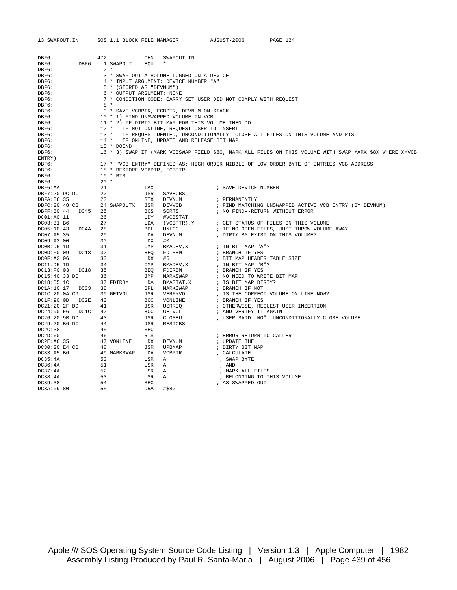| 13 SWAPOUT.IN                       | SOS 1.1 BLOCK FILE MANAGER  |                   |                                                                                           | AUGUST-2006                                   | PAGE 124                                                                                                |  |  |
|-------------------------------------|-----------------------------|-------------------|-------------------------------------------------------------------------------------------|-----------------------------------------------|---------------------------------------------------------------------------------------------------------|--|--|
|                                     |                             |                   |                                                                                           |                                               |                                                                                                         |  |  |
| DBF6:                               | 472                         | CHN               | SWAPOUT.IN                                                                                |                                               |                                                                                                         |  |  |
| DBF6:<br>DBF6                       | 1 SWAPOUT                   | EQU               | $\star$                                                                                   |                                               |                                                                                                         |  |  |
| DBF6:                               | $2 *$                       |                   |                                                                                           |                                               |                                                                                                         |  |  |
| DBF6:                               |                             |                   | 3 * SWAP OUT A VOLUME LOGGED ON A DEVICE                                                  |                                               |                                                                                                         |  |  |
| DBF6:                               |                             |                   | 4 * INPUT ARGUMENT: DEVICE NUMBER "A"                                                     |                                               |                                                                                                         |  |  |
| DBF6:                               | 5 * (STORED AS "DEVNUM")    |                   |                                                                                           |                                               |                                                                                                         |  |  |
| DBF6:                               | 6 * OUTPUT ARGUMENT: NONE   |                   |                                                                                           |                                               |                                                                                                         |  |  |
| DBF6:                               |                             |                   | 7 * CONDITION CODE: CARRY SET USER DID NOT COMPLY WITH REQUEST                            |                                               |                                                                                                         |  |  |
| DBF6:                               | $8 *$                       |                   |                                                                                           |                                               |                                                                                                         |  |  |
| DBF6:                               |                             |                   | 9 * SAVE VCBPTR, FCBPTR, DEVNUM ON STACK                                                  |                                               |                                                                                                         |  |  |
| DBF6:                               |                             |                   | 10 * 1) FIND UNSWAPPED VOLUME IN VCB                                                      |                                               |                                                                                                         |  |  |
| DBF6:                               | $12$ *                      |                   | 11 * 2) IF DIRTY BIT MAP FOR THIS VOLUME THEN DO<br>IF NOT ONLINE, REQUEST USER TO INSERT |                                               |                                                                                                         |  |  |
| DBF6:<br>DBF6:                      | $13 *$                      |                   |                                                                                           |                                               | IF REQUEST DENIED, UNCONDITIONALLY CLOSE ALL FILES ON THIS VOLUME AND RTS                               |  |  |
| DBF6:                               | $14$ *                      |                   | IF ONLINE, UPDATE AND RELEASE BIT MAP                                                     |                                               |                                                                                                         |  |  |
| DBF6:                               | 15 * DOEND                  |                   |                                                                                           |                                               |                                                                                                         |  |  |
| DBF6:                               |                             |                   |                                                                                           |                                               | 16 * 3) SWAP IT (MARK VCBSWAP FIELD \$80, MARK ALL FILES ON THIS VOLUME WITH SWAP MARK \$8X WHERE X=VCB |  |  |
| ENTRY)                              |                             |                   |                                                                                           |                                               |                                                                                                         |  |  |
| DBF6:                               |                             |                   |                                                                                           |                                               | 17 * "VCB ENTRY" DEFINED AS: HIGH ORDER NIBBLE OF LOW ORDER BYTE OF ENTRIES VCB ADDRESS                 |  |  |
| DBF6:                               | 18 * RESTORE VCBPTR, FCBPTR |                   |                                                                                           |                                               |                                                                                                         |  |  |
| DBF6:                               | 19 * RTS                    |                   |                                                                                           |                                               |                                                                                                         |  |  |
| DBF6:                               | $20 *$                      |                   |                                                                                           |                                               |                                                                                                         |  |  |
| DBF6:AA                             | 21                          | TAX               |                                                                                           | ; SAVE DEVICE NUMBER                          |                                                                                                         |  |  |
| DBF7:20 9C DC                       | 22<br>23                    | JSR               | SAVECBS                                                                                   |                                               |                                                                                                         |  |  |
| DBFA:86 35<br>DBFC: 20 48 C8        | 24 SWAPOUTX                 | <b>STX</b><br>JSR | DEVNUM<br><b>DEVVCB</b>                                                                   | ; PERMANENTLY                                 | ; FIND MATCHING UNSWAPPED ACTIVE VCB ENTRY (BY DEVNUM)                                                  |  |  |
| DBFF:B0 44<br>DC45                  | 25                          | <b>BCS</b>        | SORTS                                                                                     | ; NO FIND--RETURN WITHOUT ERROR               |                                                                                                         |  |  |
| DC01:A0 11                          | 26                          | LDY               | #VCBSTAT                                                                                  |                                               |                                                                                                         |  |  |
| DC03:B1 B6                          | 27                          | LDA               | (VCBPTR), Y                                                                               |                                               | ; GET STATUS OF FILES ON THIS VOLUME                                                                    |  |  |
| DC05:10 43<br>DC4A                  | 28                          | <b>BPL</b>        | UNLOG                                                                                     |                                               | ; IF NO OPEN FILES, JUST THROW VOLUME AWAY                                                              |  |  |
| DC07:A5 35                          | 29                          | LDA               | <b>DEVNUM</b>                                                                             |                                               | ; DIRTY BM EXIST ON THIS VOLUME?                                                                        |  |  |
| DC09:A2 00                          | 30                          | LDX               | #0                                                                                        |                                               |                                                                                                         |  |  |
| DC0B:D5 1D                          | 31                          | CMP               | BMADEV, X                                                                                 | ; IN BIT MAP "A"?                             |                                                                                                         |  |  |
| DCOD:F0 09<br>DC18                  | 32                          | <b>BEO</b>        | FDIRBM                                                                                    | ; BRANCH IF YES                               |                                                                                                         |  |  |
| DC0F: A2 06                         | 33                          | LDX               | #6                                                                                        | ; BIT MAP HEADER TABLE SIZE                   |                                                                                                         |  |  |
| DC11: D5 1D                         | 34                          | CMP               | BMADEV, X                                                                                 | ; IN BIT MAP "B"?                             |                                                                                                         |  |  |
| DC13:F0 03<br>DC18<br>DC15:4C 33 DC | 35<br>36                    | <b>BEO</b><br>JMP | FDIRBM<br>MARKSWAP                                                                        | ; BRANCH IF YES<br>; NO NEED TO WRITE BIT MAP |                                                                                                         |  |  |
| DC18:B5 1C                          | 37 FDIRBM                   | LDA               | BMASTAT, X                                                                                | ; IS BIT MAP DIRTY?                           |                                                                                                         |  |  |
| DC1A:10 17<br>DC33                  | 38                          | <b>BPL</b>        | MARKSWAP                                                                                  | ; BRANCH IF NOT                               |                                                                                                         |  |  |
| DC1C:20 0A C9                       | 39 GETVOL                   | JSR               | VERFYVOL                                                                                  |                                               | ; IS THE CORRECT VOLUME ON LINE NOW?                                                                    |  |  |
| DC1F:90 0D<br>DC2E                  | 40                          | BCC               | VONLINE                                                                                   | ; BRANCH IF YES                               |                                                                                                         |  |  |
| DC21:20 2F DD                       | 41                          | JSR               | USRREO                                                                                    |                                               | ; OTHERWISE, REQUEST USER INSERTION                                                                     |  |  |
| DC24:90 F6<br>DC1C                  | 42                          | BCC               | GETVOL                                                                                    | ; AND VERIFY IT AGAIN                         |                                                                                                         |  |  |
| DC26:20 9B DD                       | 43                          | JSR               | CLOSEU                                                                                    |                                               | ; USER SAID "NO": UNCONDITIONALLY CLOSE VOLUME                                                          |  |  |
| DC29:20 B6 DC                       | 44                          | JSR               | <b>RESTCBS</b>                                                                            |                                               |                                                                                                         |  |  |
| DC2C:38                             | 45                          | SEC               |                                                                                           |                                               |                                                                                                         |  |  |
| DC2D:60                             | 46                          | RTS               |                                                                                           | ; ERROR RETURN TO CALLER                      |                                                                                                         |  |  |
| DC2E: A6 35                         | 47 VONLINE<br>48            | LDX               | DEVNUM<br>UPBMAP                                                                          | ; UPDATE THE                                  |                                                                                                         |  |  |
| DC30:20 E4 CB<br>DC33:A5 B6         | 49 MARKSWAP                 | JSR<br>LDA        | <b>VCBPTR</b>                                                                             | ; DIRTY BIT MAP<br>; CALCULATE                |                                                                                                         |  |  |
| DC35:4A                             | 50                          | LSR               | Α                                                                                         | ; SWAP BYTE                                   |                                                                                                         |  |  |
| DC36:4A                             | 51                          | LSR               | Α                                                                                         | ; AND                                         |                                                                                                         |  |  |
| DC37:4A                             | 52                          | LSR               | Α                                                                                         | ; MARK ALL FILES                              |                                                                                                         |  |  |
| DC38:4A                             | 53                          | LSR               | Α                                                                                         | ; BELONGING TO THIS VOLUME                    |                                                                                                         |  |  |
| DC39:38                             | 54                          | SEC               |                                                                                           | ; AS SWAPPED OUT                              |                                                                                                         |  |  |
| DC3A:09 80                          | 55                          | <b>ORA</b>        | #\$80                                                                                     |                                               |                                                                                                         |  |  |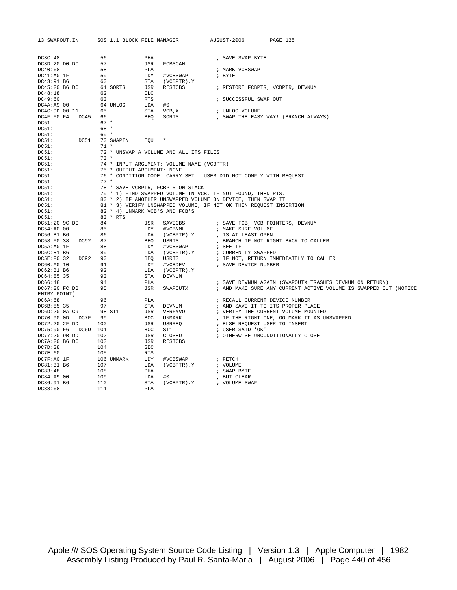| 13 SWAPOUT.IN                       | SOS 1.1 BLOCK FILE MANAGER     |            |                                                                   | AUGUST-2006                    | PAGE 125                                                         |
|-------------------------------------|--------------------------------|------------|-------------------------------------------------------------------|--------------------------------|------------------------------------------------------------------|
|                                     |                                |            |                                                                   |                                |                                                                  |
| DC3C:48                             | 56                             | PHA        |                                                                   | ; SAVE SWAP BYTE               |                                                                  |
| DC3D:20 DO DC                       | 57                             | JSR        | FCBSCAN                                                           |                                |                                                                  |
| DC40:68                             | 58                             | PLA        |                                                                   | ; MARK VCBSWAP                 |                                                                  |
| DC41:A0IF                           | 59                             | LDY        | #VCBSWAP                                                          | ; BYTE                         |                                                                  |
| DC43:91 B6                          | 60                             | STA        | (VCBPTR), Y                                                       |                                |                                                                  |
| DC45:20 B6 DC                       | 61 SORTS                       | JSR        | RESTCBS                                                           |                                | ; RESTORE FCBPTR, VCBPTR, DEVNUM                                 |
| DC48:18                             | 62                             | CLC        |                                                                   |                                |                                                                  |
| DC49:60                             | 63                             | <b>RTS</b> |                                                                   | ; SUCCESSFUL SWAP OUT          |                                                                  |
| $DC4A: A9$ 00                       | 64 UNLOG                       | LDA        | #0                                                                |                                |                                                                  |
| DC4C:9D 00 11                       | 65                             | STA        | VCB, X                                                            | ; UNLOG VOLUME                 |                                                                  |
| DC4F:F0 F4 DC45 66                  |                                | BEO        | SORTS                                                             |                                | ; SWAP THE EASY WAY! (BRANCH ALWAYS)                             |
| DC51:                               | $67 *$                         |            |                                                                   |                                |                                                                  |
| DC51:                               | 68 *                           |            |                                                                   |                                |                                                                  |
| DC51:                               | $69 *$                         |            |                                                                   |                                |                                                                  |
| DC51:<br>DC51                       | 70 SWAPIN                      | EOU        |                                                                   |                                |                                                                  |
| DC51:                               | $71 *$                         |            |                                                                   |                                |                                                                  |
| DC51:<br>DC51:                      | $73 *$                         |            | 72 * UNSWAP A VOLUME AND ALL ITS FILES                            |                                |                                                                  |
| DC51:                               |                                |            | 74 * INPUT ARGUMENT: VOLUME NAME (VCBPTR)                         |                                |                                                                  |
| DC51:                               | 75 * OUTPUT ARGUMENT: NONE     |            |                                                                   |                                |                                                                  |
| DC51:                               |                                |            | 76 * CONDITION CODE: CARRY SET : USER DID NOT COMPLY WITH REQUEST |                                |                                                                  |
| DC51:                               | $77 *$                         |            |                                                                   |                                |                                                                  |
| DC51:                               |                                |            | 78 * SAVE VCBPTR, FCBPTR ON STACK                                 |                                |                                                                  |
| DC51:                               |                                |            | 79 * 1) FIND SWAPPED VOLUME IN VCB, IF NOT FOUND, THEN RTS.       |                                |                                                                  |
| DC51:                               |                                |            | 80 * 2) IF ANOTHER UNSWAPPED VOLUME ON DEVICE, THEN SWAP IT       |                                |                                                                  |
| DC51:                               |                                |            | 81 * 3) VERIFY UNSWAPPED VOLUME, IF NOT OK THEN REQUEST INSERTION |                                |                                                                  |
| DC51:                               | 82 * 4) UNMARK VCB'S AND FCB'S |            |                                                                   |                                |                                                                  |
| DC51:                               | 83 * RTS                       |            |                                                                   |                                |                                                                  |
| DC51:20 9C DC                       | 84                             | JSR        | SAVECBS                                                           |                                | ; SAVE FCB, VCB POINTERS, DEVNUM                                 |
| DC54:A0 00                          | 85                             | LDY        | #VCBNML                                                           | ; MAKE SURE VOLUME             |                                                                  |
| DC56:B1 B6                          | 86                             | LDA        | (VCBPTR), Y                                                       | ; IS AT LEAST OPEN             |                                                                  |
| DC58:F0 38<br>DC92 87<br>DC5A:A0 1F | 88                             | BEO<br>LDY | USRTS<br>#VCBSWAP                                                 | ; SEE IF                       | ; BRANCH IF NOT RIGHT BACK TO CALLER                             |
| DC5C:B1 B6                          | 89                             | LDA        | (VCBPTR), Y                                                       | ; CURRENTLY SWAPPED            |                                                                  |
| DC5E:F0 32 DC92 90                  |                                | BEO        | USRTS                                                             |                                | ; IF NOT, RETURN IMMEDIATELY TO CALLER                           |
| DC60:A0 10                          | 91                             | LDY        | #VCBDEV                                                           | ; SAVE DEVICE NUMBER           |                                                                  |
| DC62:B1B6                           | 92                             | LDA        | (VCBPTR), Y                                                       |                                |                                                                  |
| DC64:85 35                          | 93                             | STA        | DEVNUM                                                            |                                |                                                                  |
| DC66:48                             | 94                             | PHA        |                                                                   |                                | ; SAVE DEVNUM AGAIN (SWAPOUTX TRASHES DEVNUM ON RETURN)          |
| DC67:20 FC DB                       | 95                             | JSR        | SWAPOUTX                                                          |                                | ; AND MAKE SURE ANY CURRENT ACTIVE VOLUME IS SWAPPED OUT (NOTICE |
| ENTRY POINT)                        |                                |            |                                                                   |                                |                                                                  |
| DC6A:68                             | 96                             | PLA        |                                                                   | ; RECALL CURRENT DEVICE NUMBER |                                                                  |
| DC6B:85 35                          | 97                             | STA        | DEVNUM                                                            |                                | ; AND SAVE IT TO ITS PROPER PLACE                                |
| DC6D:20 0A C9                       | 98 SI1                         | JSR        | VERFYVOL                                                          |                                | ; VERIFY THE CURRENT VOLUME MOUNTED                              |
| DC70:90 0D DC7F 99                  |                                | <b>BCC</b> | UNMARK                                                            |                                | ; IF THE RIGHT ONE, GO MARK IT AS UNSWAPPED                      |
| DC72:20 2F DD                       | 100                            | JSR        | USRREO                                                            | ; ELSE REQUEST USER TO INSERT  |                                                                  |
| DC75:90 F6 DC6D 101                 |                                | <b>BCC</b> | SI1                                                               | ; USER SAID 'OK'               |                                                                  |
| DC77:20 9B DD                       | 102                            | JSR        | CLOSEU                                                            |                                | ; OTHERWISE UNCONDITIONALLY CLOSE                                |
| DC7A:20 B6 DC                       | 103                            | JSR        | RESTCBS                                                           |                                |                                                                  |
| DC7D:38                             | 104                            | SEC        |                                                                   |                                |                                                                  |
| DC7E:60                             | 105                            | <b>RTS</b> |                                                                   |                                |                                                                  |
| DC7F:A0 1F                          | 106 UNMARK                     | LDY        | #VCBSWAP                                                          | ; FETCH                        |                                                                  |
| DC81:B1B6                           | 107                            | LDA        | (VCBPTR), Y                                                       | ; VOLUME                       |                                                                  |
| DC83:48<br>DC84:A9 00               | 108<br>109                     | PHA<br>LDA | #0                                                                | ; SWAP BYTE<br>; BUT CLEAR     |                                                                  |
| DC86:91 B6                          | 110                            | STA        | (VCBPTR), Y                                                       | ; VOLUME SWAP                  |                                                                  |
| DC88:68                             | 111                            | PLA        |                                                                   |                                |                                                                  |
|                                     |                                |            |                                                                   |                                |                                                                  |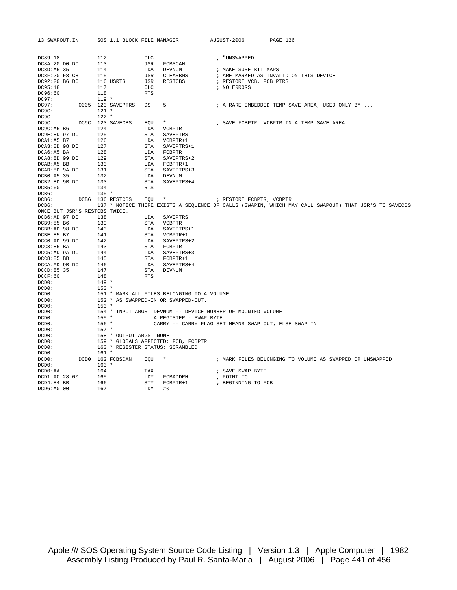| 13 SWAPOUT.IN                 |  |                | SOS 1.1 BLOCK FILE MANAGER |            |                                                             | AUGUST-2006              | PAGE 126                                                                                             |
|-------------------------------|--|----------------|----------------------------|------------|-------------------------------------------------------------|--------------------------|------------------------------------------------------------------------------------------------------|
| DC89:18                       |  | 112            |                            | CLC        |                                                             | ; "UNSWAPPED"            |                                                                                                      |
| DC8A:20 DO DC                 |  | 113            |                            | JSR        | FCBSCAN                                                     |                          |                                                                                                      |
| DC8D:A5 35                    |  | 114            |                            | LDA        | DEVNUM                                                      | ; MAKE SURE BIT MAPS     |                                                                                                      |
| DC8F:20 F8 CB                 |  | 115            |                            | JSR        | CLEARBMS                                                    |                          | ; ARE MARKED AS INVALID ON THIS DEVICE                                                               |
| DC92:20 B6 DC                 |  |                | 116 USRTS                  | JSR        | RESTCBS                                                     | ; RESTORE VCB, FCB PTRS  |                                                                                                      |
| DC95:18                       |  | 117            |                            | <b>CLC</b> |                                                             | ; NO ERRORS              |                                                                                                      |
| DC96:60                       |  | 118            |                            | <b>RTS</b> |                                                             |                          |                                                                                                      |
| DC97:                         |  | $119 *$        |                            |            |                                                             |                          |                                                                                                      |
| DC97:                         |  |                | 0005 120 SAVEPTRS          | DS         | 5                                                           |                          | ; A RARE EMBEDDED TEMP SAVE AREA, USED ONLY BY                                                       |
| DC9C:                         |  | $121 *$        |                            |            |                                                             |                          |                                                                                                      |
| DC9C:                         |  | $122 *$        |                            |            |                                                             |                          |                                                                                                      |
| DC9C:                         |  |                | DC9C 123 SAVECBS           | EOU        | $\star$                                                     |                          | ; SAVE FCBPTR, VCBPTR IN A TEMP SAVE AREA                                                            |
| DC9C:A5 B6                    |  | 124            |                            | LDA        | VCBPTR                                                      |                          |                                                                                                      |
| DC9E:8D 97 DC                 |  | 125            |                            | STA        | SAVEPTRS                                                    |                          |                                                                                                      |
| DCA1:A5 B7                    |  | 126            |                            | LDA        | VCBPTR+1                                                    |                          |                                                                                                      |
| DCA3:8D 98 DC                 |  | 127            |                            | STA        | SAVEPTRS+1                                                  |                          |                                                                                                      |
| DCA6:A5 BA                    |  | 128            |                            |            | LDA FCBPTR                                                  |                          |                                                                                                      |
| DCA8:8D 99 DC                 |  | 129            |                            | STA        | SAVEPTRS+2                                                  |                          |                                                                                                      |
| DCAB:A5 BB                    |  | 130            |                            |            | LDA FCBPTR+1                                                |                          |                                                                                                      |
| DCAD: 8D 9A DC                |  | 131            |                            | STA        | SAVEPTRS+3                                                  |                          |                                                                                                      |
| DCB0:A5 35                    |  | 132            |                            |            | LDA DEVNUM                                                  |                          |                                                                                                      |
| DCB2:8D 9B DC                 |  | 133            |                            | STA        | SAVEPTRS+4                                                  |                          |                                                                                                      |
| DCB5:60                       |  | 134            |                            | <b>RTS</b> |                                                             |                          |                                                                                                      |
| DCB6:                         |  | $135 *$        |                            |            |                                                             |                          |                                                                                                      |
| DCB6:                         |  |                | DCB6 136 RESTCBS           | EOU        | $\star$                                                     | ; RESTORE FCBPTR, VCBPTR |                                                                                                      |
| DCB6:                         |  |                |                            |            |                                                             |                          | 137 * NOTICE THERE EXISTS A SEQUENCE OF CALLS (SWAPIN, WHICH MAY CALL SWAPOUT) THAT JSR'S TO SAVECBS |
| ONCE BUT JSR'S RESTCBS TWICE. |  |                |                            |            |                                                             |                          |                                                                                                      |
| DCB6:AD 97 DC                 |  | 138            |                            | LDA        | <b>SAVEPTRS</b>                                             |                          |                                                                                                      |
| DCB9:85 B6                    |  | 139            |                            | STA        | VCBPTR                                                      |                          |                                                                                                      |
| DCBB:AD 98 DC                 |  | 140            |                            | LDA        | SAVEPTRS+1                                                  |                          |                                                                                                      |
| $DCBE:85\ B7$                 |  | 141            |                            | STA        | VCBPTR+1                                                    |                          |                                                                                                      |
| DCCO:AD 99 DC                 |  | 142            |                            | LDA        | SAVEPTRS+2                                                  |                          |                                                                                                      |
| $DCC3:85$ BA                  |  | 143            |                            | STA        | FCBPTR                                                      |                          |                                                                                                      |
| DCC5:AD 9A DC                 |  | 144            |                            |            | LDA SAVEPTRS+3                                              |                          |                                                                                                      |
| DCC8:85 BB                    |  | 145            |                            |            | STA FCBPTR+1                                                |                          |                                                                                                      |
| DCCA: AD 9B DC                |  | 146            |                            | LDA        | SAVEPTRS+4                                                  |                          |                                                                                                      |
| DCCD: 85 35                   |  | 147            |                            | STA        | DEVNUM                                                      |                          |                                                                                                      |
| DCCF:60<br>DCD <sub>0</sub> : |  | 148<br>$149 *$ |                            | <b>RTS</b> |                                                             |                          |                                                                                                      |
| DCD0:                         |  | $150 *$        |                            |            |                                                             |                          |                                                                                                      |
| DCD <sub>0</sub> :            |  |                |                            |            | 151 * MARK ALL FILES BELONGING TO A VOLUME                  |                          |                                                                                                      |
| DCD <sub>0</sub> :            |  |                |                            |            | 152 * AS SWAPPED-IN OR SWAPPED-OUT.                         |                          |                                                                                                      |
| DCD0:                         |  | $153 *$        |                            |            |                                                             |                          |                                                                                                      |
| DCD <sub>0</sub> :            |  |                |                            |            | 154 * INPUT ARGS: DEVNUM -- DEVICE NUMBER OF MOUNTED VOLUME |                          |                                                                                                      |
| DCD0:                         |  | $155 *$        |                            |            | A REGISTER - SWAP BYTE                                      |                          |                                                                                                      |
| DCD0:                         |  | $156 *$        |                            |            | CARRY -- CARRY FLAG SET MEANS SWAP OUT; ELSE SWAP IN        |                          |                                                                                                      |
| DCD0:                         |  | $157 *$        |                            |            |                                                             |                          |                                                                                                      |
| DCD0:                         |  |                | 158 * OUTPUT ARGS: NONE    |            |                                                             |                          |                                                                                                      |
| DCD <sub>0</sub> :            |  |                |                            |            | 159 * GLOBALS AFFECTED: FCB, FCBPTR                         |                          |                                                                                                      |
| DCD0:                         |  |                |                            |            | 160 * REGISTER STATUS: SCRAMBLED                            |                          |                                                                                                      |
| DCD <sub>0</sub> :            |  | $161 *$        |                            |            |                                                             |                          |                                                                                                      |
| DCD <sub>0</sub> :            |  |                | DCD0 162 FCBSCAN           | EQU        |                                                             |                          | ; MARK FILES BELONGING TO VOLUME AS SWAPPED OR UNSWAPPED                                             |
| DCD <sub>0</sub> :            |  | $163 *$        |                            |            |                                                             |                          |                                                                                                      |
| DCD0 : AA                     |  | 164            |                            | TAX        |                                                             | ; SAVE SWAP BYTE         |                                                                                                      |
| DCD1:AC 28 00                 |  | 165            |                            | LDY        | FCBADDRH                                                    | ; POINT TO               |                                                                                                      |
| DCD4:84 BB                    |  | 166            |                            | STY        | FCBPTR+1                                                    | ; BEGINNING TO FCB       |                                                                                                      |
| DCD6:A0 00                    |  | 167            |                            | LDY        | #0                                                          |                          |                                                                                                      |
|                               |  |                |                            |            |                                                             |                          |                                                                                                      |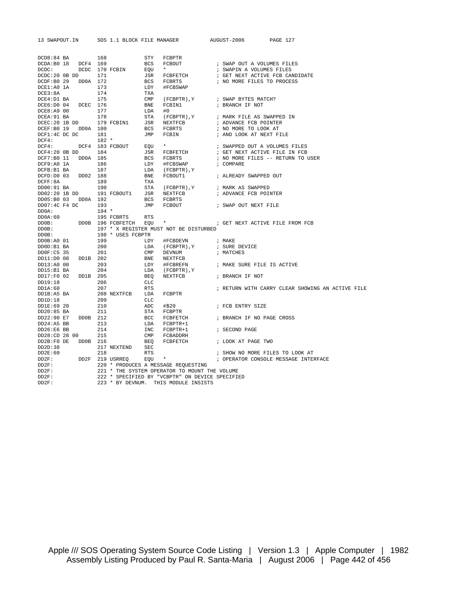| DCD8:84 BA 168                        |                        |              | STY FCBPTR                                                                                            |                                                                                                                                                                                                                               |
|---------------------------------------|------------------------|--------------|-------------------------------------------------------------------------------------------------------|-------------------------------------------------------------------------------------------------------------------------------------------------------------------------------------------------------------------------------|
| DCDA:B0 18 DCF4 169                   |                        |              | BCS FCBOUT                                                                                            | ; SWAP OUT A VOLUMES FILES                                                                                                                                                                                                    |
| DCDC:                                 | DCDC 170 FCBIN EQU     |              | $\star$ and $\star$                                                                                   | ; SWAPIN A VOLUMES FILES                                                                                                                                                                                                      |
| DCDC:20 0B DD 171                     |                        |              | JSR FCBFETCH                                                                                          | ; GET NEXT ACTIVE FCB CANDIDATE                                                                                                                                                                                               |
| DCDF:B0 29 DD0A 172                   |                        |              | BCS FCBRTS                                                                                            | ; NO MORE FILES TO PROCESS                                                                                                                                                                                                    |
| DCE1:A0 1A                            | 173                    | LDY          | #FCBSWAP                                                                                              |                                                                                                                                                                                                                               |
| DCE3:8A                               | 174                    | TXA          |                                                                                                       |                                                                                                                                                                                                                               |
| DCE4:D1 BA                            | 175                    | $\text{CMP}$ |                                                                                                       | (FCBPTR), Y / SWAP BYTES MATCH?                                                                                                                                                                                               |
| DCE6:D0 04 DCEC 176                   |                        |              | BNE FCBIN1                                                                                            | ; BRANCH IF NOT                                                                                                                                                                                                               |
| DCE8:A9 00                            | 177                    | LDA          | #0                                                                                                    |                                                                                                                                                                                                                               |
| DCEA: 91 BA                           | 178                    |              | STA (FCBPTR), Y                                                                                       | ; MARK FILE AS SWAPPED IN                                                                                                                                                                                                     |
| $DCEC: 20$ 1B DD 179 $FCBINI$         |                        |              | JSR NEXTFCB                                                                                           | ; ADVANCE FCB POINTER                                                                                                                                                                                                         |
| DCEF:B0 19 DD0A 180                   |                        |              | BCS FCBRTS                                                                                            | ; NO MORE TO LOOK AT                                                                                                                                                                                                          |
| $DCF1:4C$ DC DC $181$                 |                        |              | JMP FCBIN                                                                                             | ; AND LOOK AT NEXT FILE                                                                                                                                                                                                       |
| DCF4:                                 | $182 *$                |              |                                                                                                       |                                                                                                                                                                                                                               |
| $DCF4:$ $DCF4$ 183 FCBOUT             |                        |              | $EOU$ *                                                                                               | ; SWAPPED OUT A VOLUMES FILES                                                                                                                                                                                                 |
| DCF4:20 0B DD 184                     |                        |              | JSR FCBFETCH                                                                                          | ; GET NEXT ACTIVE FILE IN FCB                                                                                                                                                                                                 |
| DCF7:B0 11 DD0A 185                   |                        |              | BCS FCBRTS                                                                                            | ; NO MORE FILES -- RETURN TO USER                                                                                                                                                                                             |
| DCF9:A0 1A                            | 186                    |              | LDY #FCBSWAP                                                                                          | ; COMPARE                                                                                                                                                                                                                     |
| DCFB:B1 BA                            | 187                    |              |                                                                                                       |                                                                                                                                                                                                                               |
|                                       |                        |              | LDA (FCBPTR), Y                                                                                       | BNE FCBOUT1 : ALREADY SWAPPED OUT                                                                                                                                                                                             |
| DCFD:D0 03<br>DD02 188                |                        |              |                                                                                                       |                                                                                                                                                                                                                               |
| DCFF: 8A                              | 189                    | TXA          |                                                                                                       |                                                                                                                                                                                                                               |
| DD00:91 BA                            | 190                    |              | STA (FCBPTR), Y ; MARK AS SWAPPED                                                                     |                                                                                                                                                                                                                               |
| DD02:20 1B DD 191 FCBOUT1 JSR NEXTFCB |                        |              |                                                                                                       | ; ADVANCE FCB POINTER                                                                                                                                                                                                         |
| DD05:B0 03 DD0A 192                   |                        |              | BCS FCBRTS<br>JMP FCBOUT                                                                              |                                                                                                                                                                                                                               |
| DD07:4C F4 DC 193                     |                        |              |                                                                                                       | ; SWAP OUT NEXT FILE                                                                                                                                                                                                          |
| DD0A:                                 | $194 *$                |              |                                                                                                       |                                                                                                                                                                                                                               |
| DD0A:60                               | 195 FCBRTS RTS         |              |                                                                                                       | DD0B 196 FCBFETCH EQU * FOR STREAM STREAM STREAM FOR STREAM FOR STREAM STREAM STREAM FOR STREAM STREAM STREAM STREAM STREAM STREAM STREAM STREAM STREAM STREAM STREAM STREAM STREAM STREAM STREAM STREAM STREAM STREAM STREAM |
| DD0B:                                 |                        |              |                                                                                                       |                                                                                                                                                                                                                               |
| DD0B:                                 |                        |              | 197 * X REGISTER MUST NOT BE DISTURBED                                                                |                                                                                                                                                                                                                               |
| DD0B:                                 | 198 * USES FCBPTR      |              |                                                                                                       |                                                                                                                                                                                                                               |
| DD0B:A0 01                            | 199                    |              | $\begin{tabular}{llll} \bf{LDY} & \tt \#FCBDEVN & \tt \end{tabular} \vspace{0.05in} i { \tt {MAKE} }$ |                                                                                                                                                                                                                               |
| DD0D:B1 BA                            | 200                    |              | LDA (FCBPTR), Y                                                                                       | ; SURE DEVICE                                                                                                                                                                                                                 |
| DD0F:C5 35                            | 201                    |              | CMP DEVNUM                                                                                            | ; MATCHES                                                                                                                                                                                                                     |
| DD1B 202<br>DD11:D0 08                |                        |              | BNE NEXTFCB                                                                                           |                                                                                                                                                                                                                               |
| DD13:A0 00                            | 203                    |              | LDY #FCBREFN                                                                                          | ; MAKE SURE FILE IS ACTIVE                                                                                                                                                                                                    |
| DD15:B1 BA                            | 204                    |              | $\verb LDA  (FCBPTR) , Y$                                                                             |                                                                                                                                                                                                                               |
| DD17:F0 02<br>DD1B 205                |                        |              | BEO NEXTFCB : BRANCH IF NOT                                                                           |                                                                                                                                                                                                                               |
| DD19:18                               | 206                    | CLC          |                                                                                                       |                                                                                                                                                                                                                               |
| DD1A:60                               | 207                    | RTS          |                                                                                                       | ; RETURN WITH CARRY CLEAR SHOWING AN ACTIVE FILE                                                                                                                                                                              |
| DD1B:A5 BA                            | 208 NEXTFCB LDA FCBPTR |              |                                                                                                       |                                                                                                                                                                                                                               |
| DD1D:18                               | 209                    | CLC          |                                                                                                       |                                                                                                                                                                                                                               |
| DD1E:69 20                            | 210                    |              | ADC #\$20                                                                                             | ; FCB ENTRY SIZE                                                                                                                                                                                                              |
| DD20:85 BA                            | 211                    |              | STA FCBPTR                                                                                            |                                                                                                                                                                                                                               |
| DD22:90 E7 DD0B 212                   |                        |              |                                                                                                       | BCC FCBFETCH : BRANCH IF NO PAGE CROSS                                                                                                                                                                                        |
| $DD24:A5$ BB                          | 213                    |              | LDA FCBPTR+1                                                                                          |                                                                                                                                                                                                                               |
| DD26:E6 BB                            | 214                    |              | INC FCBPTR+1                                                                                          | ; SECOND PAGE                                                                                                                                                                                                                 |
| DD28:CD 28 00                         | 215                    |              | CMP FCBADDRH                                                                                          |                                                                                                                                                                                                                               |
| DD2B:F0 DE DD0B 216                   |                        |              |                                                                                                       | BEQ FCBFETCH : LOOK AT PAGE TWO                                                                                                                                                                                               |
| DD2D:38                               | 217 NEXTEND SEC        |              |                                                                                                       |                                                                                                                                                                                                                               |
| DD2E:60                               | 218                    | RTS          |                                                                                                       | ; SHOW NO MORE FILES TO LOOK AT                                                                                                                                                                                               |
| DD2F: DD2F 219 USRREQ                 |                        |              | $EQU$ *                                                                                               | ; OPERATOR CONSOLE MESSAGE INTERFACE                                                                                                                                                                                          |
| DD2F:                                 |                        |              | 220 * PRODUCES A MESSAGE REQUESTING                                                                   |                                                                                                                                                                                                                               |
| DD2F:                                 |                        |              | 221 * THE SYSTEM OPERATOR TO MOUNT THE VOLUME                                                         |                                                                                                                                                                                                                               |
| DD2F:                                 |                        |              | 222 * SPECIFIED BY "VCBPTR" ON DEVICE SPECIFIED                                                       |                                                                                                                                                                                                                               |
| DD2F:                                 |                        |              | 223 * BY DEVNUM. THIS MODULE INSISTS                                                                  |                                                                                                                                                                                                                               |
|                                       |                        |              |                                                                                                       |                                                                                                                                                                                                                               |

13 SWAPOUT.IN SOS 1.1 BLOCK FILE MANAGER AUGUST-2006 PAGE 127

Apple /// SOS Operating System Source Code Listing | Version 1.3 | Apple Computer | 1982 Assembly Listing Produced by Paul R. Santa-Maria | August 2006 | Page 442 of 456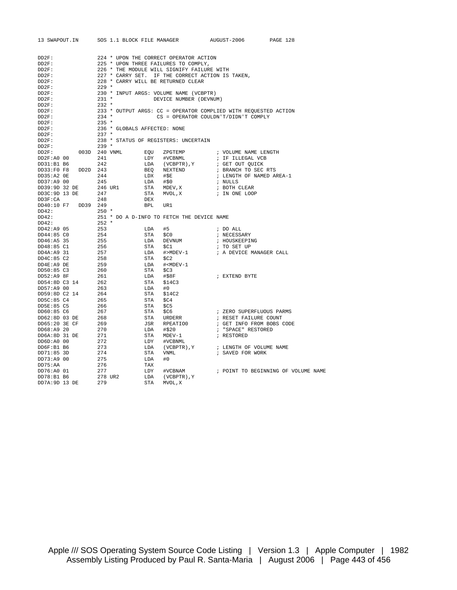| 13 SWAPOUT.IN SOS 1.1 BLOCK FILE MANAGER                   |                                    |          |                                                                      | AUGUST-2006 PAGE 128                                                        |                                     |
|------------------------------------------------------------|------------------------------------|----------|----------------------------------------------------------------------|-----------------------------------------------------------------------------|-------------------------------------|
|                                                            |                                    |          |                                                                      |                                                                             |                                     |
| DD2F:                                                      |                                    |          | 224 * UPON THE CORRECT OPERATOR ACTION                               |                                                                             |                                     |
| DD2F:                                                      |                                    |          | 225 * UPON THREE FAILURES TO COMPLY,                                 |                                                                             |                                     |
| DD2F:                                                      |                                    |          | 226 * THE MODULE WILL SIGNIFY FAILURE WITH                           |                                                                             |                                     |
| DD2F:                                                      |                                    |          | 227 * CARRY SET. IF THE CORRECT ACTION IS TAKEN,                     |                                                                             |                                     |
| DD2F:                                                      | 228 * CARRY WILL BE RETURNED CLEAR |          |                                                                      |                                                                             |                                     |
| $DD2F$ :                                                   | $229$ *                            |          |                                                                      |                                                                             |                                     |
| $DD2F$ :                                                   |                                    |          | 230 * INPUT ARGS: VOLUME NAME (VCBPTR)                               |                                                                             |                                     |
| DD2F:                                                      | $231$ *                            |          | DEVICE NUMBER (DEVNUM)                                               |                                                                             |                                     |
| DD2F:                                                      | $232$ *                            |          |                                                                      |                                                                             |                                     |
| DD2F:                                                      |                                    |          |                                                                      | 233 * OUTPUT ARGS: CC = OPERATOR COMPLIED WITH REQUESTED ACTION             |                                     |
| DD2F:                                                      | $234$ *                            |          |                                                                      | CS = OPERATOR COULDN'T/DIDN'T COMPLY                                        |                                     |
| DD2F:                                                      | $235$ *                            |          |                                                                      |                                                                             |                                     |
| DD2F:                                                      | 236 * GLOBALS AFFECTED: NONE       |          |                                                                      |                                                                             |                                     |
| DD2F:                                                      | $237$ *                            |          |                                                                      |                                                                             |                                     |
| $DD2F$ :                                                   |                                    |          | 238 * STATUS OF REGISTERS: UNCERTAIN                                 |                                                                             |                                     |
| DD2F:                                                      | $239 *$                            |          |                                                                      |                                                                             |                                     |
| $DD2F: 003D 240 VNML  EQU 2PGTEMP$                         |                                    |          |                                                                      | ; VOLUME NAME LENGTH                                                        |                                     |
| DD2F:AO 00                                                 | 241                                |          | LDY #VCBNML<br>LDA (VCBPTR), Y                                       | ; IF ILLEGAL VCB<br>; GET OUT QUICK                                         |                                     |
| DD31:B1 B6                                                 | 242                                |          |                                                                      |                                                                             |                                     |
| DD33:F0 F8 DD2D 243                                        |                                    |          | BEQ NEXTEND                                                          | ; BRANCH TO SEC RTS                                                         |                                     |
| DD35:A2 0E                                                 | 244                                |          | LDX #\$E                                                             | ; LENGTH OF NAMED AREA-1                                                    |                                     |
|                                                            | 245                                |          | LDA #\$0                                                             | ; NULLS                                                                     |                                     |
| DD37:A9 00 245<br>DD39:9D 32 DE 246 UR1                    |                                    |          |                                                                      |                                                                             |                                     |
| DD3C:9D 13 DE                                              | 247                                |          | STA MDEV, X<br>STA MDEV, X : BOTH CLEAR<br>STA MVOL, X : IN ONE LOOP |                                                                             |                                     |
| DD3F:CA                                                    | 248                                | DEX      |                                                                      |                                                                             |                                     |
| DD40:10 F7 DD39 249                                        |                                    | BPL      | UR1                                                                  |                                                                             |                                     |
| DD42:                                                      | $250$ *                            |          |                                                                      |                                                                             |                                     |
| DD42:                                                      |                                    |          | 251 * DO A D-INFO TO FETCH THE DEVICE NAME                           |                                                                             |                                     |
| DD42:                                                      | 252 *                              |          |                                                                      |                                                                             |                                     |
| DD42:A9 05                                                 | 253                                | LDA      |                                                                      | $\;$ $\;$ DO $\;$ ALL                                                       |                                     |
| DD44:85 CO                                                 | 254                                | STA      | #5<br>\$C0                                                           | ; NECESSARY                                                                 |                                     |
| DD46:A5 35                                                 |                                    |          | STA<br>LDA DEVNUM<br>COL                                             | ; HOUSKEEPING                                                               |                                     |
| DD48:85 C1                                                 |                                    |          |                                                                      | ; TO SET UP                                                                 |                                     |
| DD4A:A9 31                                                 | $255$<br>255<br>256<br>257         |          |                                                                      | $\verb LDA  + > \verb MDEV-1  +  $<br>$\verb + $<br>, A DEVICE MANAGER CALL |                                     |
| DD4C:85 C2                                                 | 258                                | STA \$C2 |                                                                      |                                                                             |                                     |
| DD4E:A9 DE                                                 | 259                                |          | LDA # <mdev-1< td=""><td></td><td></td></mdev-1<>                    |                                                                             |                                     |
| DD50:85 C3                                                 | 260                                |          | STA \$C3                                                             |                                                                             |                                     |
| DD52:A9 8F                                                 | $\frac{261}{16}$                   |          | LDA #\$8F                                                            | ; EXTEND BYTE                                                               |                                     |
|                                                            |                                    |          | STA \$14C3                                                           |                                                                             |                                     |
| DD54:8D C3 14<br>DD57:49 00<br>DD57:A9 00                  | $\frac{262}{252}$<br>263           | LDA #0   |                                                                      |                                                                             |                                     |
| DD59:8D C2 14 264                                          |                                    |          | STA \$14C2                                                           |                                                                             |                                     |
| DD5C:85 C4                                                 | 265                                | STA \$C4 |                                                                      |                                                                             |                                     |
| DD5E:85 C5                                                 | 266                                | STA      | \$C5                                                                 |                                                                             |                                     |
| DD60:85 C6                                                 | 267                                |          |                                                                      | ; ZERO SUPERFLUOUS PARMS                                                    |                                     |
|                                                            |                                    | STA \$C6 | STA URDERR                                                           |                                                                             |                                     |
| $DDb0:85 \text{ } \cup$<br>$DD62:8D \quad 03 \quad DE$ 268 |                                    |          |                                                                      | ; RESET FAILURE COUNT                                                       |                                     |
| DD65:20 3E CF                                              | 269                                |          | JSR RPEATIO0                                                         | ; GET INFO FROM BOBS CODE                                                   |                                     |
| DD68:A9 20                                                 | 270                                |          | LDA #\$20                                                            | ; "SPACE" RESTORED                                                          |                                     |
| DD6A:8D 31 DE 271                                          |                                    |          | STA MDEV-1                                                           | ; RESTORED                                                                  |                                     |
| DD6D:A0 00                                                 | 272                                |          | LDY #VCBNML                                                          |                                                                             |                                     |
| DD6F:B1 B6                                                 | 273                                |          |                                                                      |                                                                             |                                     |
| DD71:85 3D                                                 | 274                                |          |                                                                      |                                                                             |                                     |
| DD73:A9 00                                                 | 275                                | LDA      | #0                                                                   |                                                                             |                                     |
| DD75:AA                                                    | 276                                | TAX      |                                                                      |                                                                             |                                     |
| DD76:A0 01                                                 | 277                                | LDY      | #VCBNAM                                                              |                                                                             | ; POINT TO BEGINNING OF VOLUME NAME |
| DD78:B1 B6 278 UR2<br>DD7A:9D 13 DE 279                    |                                    | LDA      | (VCBPTR), Y                                                          |                                                                             |                                     |
|                                                            |                                    | STA      | MVOL, X                                                              |                                                                             |                                     |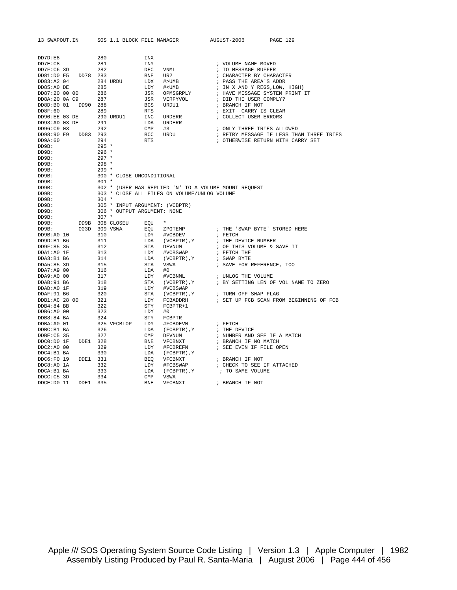| DD7D:E8        |                     | 280     |                                | INX          |                                                       |                                          |
|----------------|---------------------|---------|--------------------------------|--------------|-------------------------------------------------------|------------------------------------------|
| DD7E:CB        |                     | 281     |                                | INY          |                                                       | ; VOLUME NAME MOVED                      |
| DD7F:C6 3D     |                     | 282     |                                | DEC          | VNML                                                  | ; TO MESSAGE BUFFER                      |
|                | DD81:D0 F5 DD78 283 |         |                                | BNE          | UR 2                                                  | ; CHARACTER BY CHARACTER                 |
| DD83:A2 04     |                     |         | 284 URDU                       | LDX          | #>UMB                                                 | ; PASS THE AREA'S ADDR                   |
| DD85:A0 DE     |                     | 285     |                                | LDY          | $#<$ UMB                                              | ; IN X AND Y REGS, LOW, HIGH)            |
| DD87:20 00 00  |                     | 286     |                                | JSR          | OPMSGRPLY                                             | ; HAVE MESSAGE SYSTEM PRINT IT           |
| DD8A:20 0A C9  |                     | 287     |                                | JSR          | VERFYVOL                                              | ; DID THE USER COMPLY?                   |
| DD8D:B0 01     | DD90 288            |         |                                | <b>BCS</b>   | URDU1                                                 | ; BRANCH IF NOT                          |
| DD8F:60        |                     | 289     |                                | <b>RTS</b>   |                                                       | ; EXIT--CARRY IS CLEAR                   |
| DD90:EE 03 DE  |                     |         | 290 URDU1                      | INC          | <b>URDERR</b>                                         | ; COLLECT USER ERRORS                    |
| DD93:AD 03 DE  |                     | 291     |                                | LDA          | URDERR                                                |                                          |
| DD96:C9 03     |                     | 292     |                                | CMP          | #3                                                    | ; ONLY THREE TRIES ALLOWED               |
| DD98:90 E9     | DD83 293            |         |                                | <b>BCC</b>   | URDU                                                  | ; RETRY MESSAGE IF LESS THAN THREE TRIES |
| DD9A:60        |                     | 294     |                                | <b>RTS</b>   |                                                       | ; OTHERWISE RETURN WITH CARRY SET        |
| DD9B:          |                     | $295 *$ |                                |              |                                                       |                                          |
| DD9B:          |                     | $296 *$ |                                |              |                                                       |                                          |
| DD9B:          |                     | $297 *$ |                                |              |                                                       |                                          |
| DD9B:          |                     | $298 *$ |                                |              |                                                       |                                          |
| DD9B:          |                     | $299*$  |                                |              |                                                       |                                          |
| DD9B:          |                     |         | 300 * CLOSE UNCONDITIONAL      |              |                                                       |                                          |
| DD9B:          |                     | $301 *$ |                                |              |                                                       |                                          |
| DD9B:          |                     |         |                                |              | 302 * (USER HAS REPLIED 'N' TO A VOLUME MOUNT REQUEST |                                          |
| DD9B:          |                     |         |                                |              | 303 * CLOSE ALL FILES ON VOLUME/UNLOG VOLUME          |                                          |
| DD9B:          |                     | $304 *$ |                                |              |                                                       |                                          |
| DD9B:          |                     |         | 305 * INPUT ARGUMENT: (VCBPTR) |              |                                                       |                                          |
| DD9B:          |                     |         | 306 * OUTPUT ARGUMENT: NONE    |              |                                                       |                                          |
| DD9B:          |                     | $307 *$ |                                |              |                                                       |                                          |
| DD9B:          |                     |         | DD9B 308 CLOSEU                | EOU          | $\star$                                               |                                          |
| DD9B:          | 003D 309 VSWA       |         |                                | EQU          | ZPGTEMP                                               | ; THE 'SWAP BYTE' STORED HERE            |
| DD9B:A0 10     |                     | 310     |                                | LDY          | #VCBDEV                                               | ; FETCH                                  |
| DD9D:B1 B6     |                     | 311     |                                |              | LDA (VCBPTR), Y                                       | ; THE DEVICE NUMBER                      |
| DD9F:85 35     |                     | 312     |                                | STA          | DEVNUM                                                | ; OF THIS VOLUME & SAVE IT               |
| DDA1:A0 1F     |                     | 313     |                                | LDY          | #VCBSWAP                                              | ; FETCH THE                              |
| DDA3:B1 B6     |                     | 314     |                                | LDA          | (VCBPTR), Y                                           | ; SWAP BYTE                              |
| DDA5:85 3D     |                     | 315     |                                | STA          | VSWA                                                  | ; SAVE FOR REFERENCE, TOO                |
| DDA7:A9 00     |                     | 316     |                                | LDA          | #0                                                    |                                          |
| DDA9:A0 00     |                     | 317     |                                | LDY          | #VCBNML                                               | ; UNLOG THE VOLUME                       |
| DDAB: 91 B6    |                     | 318     |                                | STA          | (VCBPTR), Y                                           | ; BY SETTING LEN OF VOL NAME TO ZERO     |
| DDAD: A0 1F    |                     | 319     |                                | LDY          | #VCBSWAP                                              |                                          |
| DDAF: 91 B6    |                     | 320     |                                | STA          | (VCBPTR), Y                                           | ; TURN OFF SWAP FLAG                     |
| DDB1:AC 28 00  |                     | 321     |                                | LDY          | FCBADDRH                                              | ; SET UP FCB SCAN FROM BEGINNING OF FCB  |
| $DDB4:84$ BB   |                     | 322     |                                | STY          | $FCBPTR+1$                                            |                                          |
| DDB6:A0 00     |                     | 323     |                                | LDY          | #0                                                    |                                          |
| DDB8:84 BA     |                     | 324     |                                | STY          | FCBPTR                                                |                                          |
| DDBA:A0 01     |                     |         | 325 VFCBLOP                    | LDY          | #FCBDEVN                                              | ; FETCH                                  |
| DDBC:B1 BA     |                     | 326     |                                | LDA          | (FCBPTR), Y                                           | ; THE DEVICE                             |
| DDBE: C5 35    |                     | 327     |                                | $\text{CMP}$ | DEVNUM                                                | ; NUMBER AND SEE IF A MATCH              |
| $DDCO:DO$ $1F$ | DDE1 328            |         |                                | <b>BNE</b>   | VFCBNXT                                               | ; BRANCH IF NO MATCH                     |
| $DDC2:AO$ 00   |                     | 329     |                                | LDY          | #FCBREFN                                              | ; SEE EVEN IF FILE OPEN                  |
| DDC4:B1 BA     |                     | 330     |                                | LDA          | (FCBPTR), Y                                           |                                          |
| DDC6:F0 19     | DDE1 331            |         |                                | BEQ          | VFCBNXT                                               | ; BRANCH IF NOT                          |
| DDC8:A0 1A     |                     | 332     |                                | LDY          | #FCBSWAP                                              | ; CHECK TO SEE IF ATTACHED               |
| DDCA: B1 BA    |                     | 333     |                                | LDA          | (FCBPTR), Y                                           | ; TO SAME VOLUME                         |
| DDCC:C5 3D     |                     | 334     |                                | CMP          | VSWA                                                  |                                          |
| DDCE: D0 11    | DDE1 335            |         |                                | <b>BNE</b>   | VFCBNXT                                               | ; BRANCH IF NOT                          |
|                |                     |         |                                |              |                                                       |                                          |

13 SWAPOUT.IN SOS 1.1 BLOCK FILE MANAGER AUGUST-2006 PAGE 129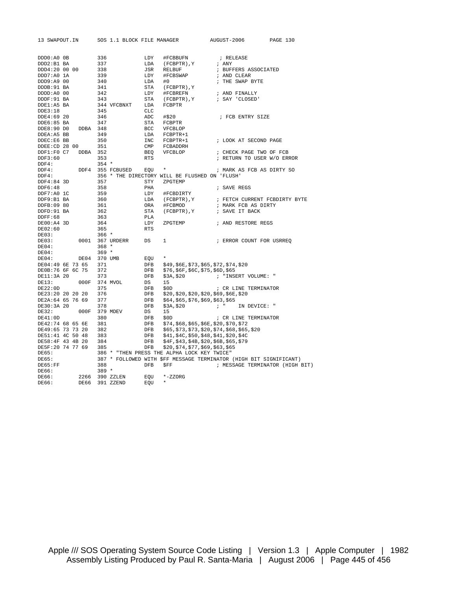| 13 SWAPOUT.IN    |          |         | SOS 1.1 BLOCK FILE MANAGER |            |                                                | AUGUST-2006                                                        | PAGE 130                        |
|------------------|----------|---------|----------------------------|------------|------------------------------------------------|--------------------------------------------------------------------|---------------------------------|
|                  |          |         |                            |            |                                                |                                                                    |                                 |
| DDD0:A0 OB       |          | 336     |                            | LDY        |                                                |                                                                    |                                 |
| DDD2:B1 BA       |          | 337     |                            | LDA        | #FCBBUFN<br>(FCBPTR), Y                        | ; RELEASE<br>; ANY                                                 |                                 |
| DDD4:20 00 00    |          | 338     |                            | JSR        | RELBUF                                         | ; BUFFERS ASSOCIATED                                               |                                 |
|                  |          |         |                            |            |                                                |                                                                    |                                 |
| DDD7:A0 1A       |          | 339     |                            | LDY        | #FCBSWAP                                       | ; AND CLEAR                                                        |                                 |
| DDD9:A9 00       |          | 340     |                            | LDA        | #0                                             | ; THE SWAP BYTE                                                    |                                 |
| DDDB: 91 BA      |          | 341     |                            | STA        | (FCBPTR), Y                                    |                                                                    |                                 |
| DDDD:A0 00       |          | 342     |                            | LDY        | #FCBREFN                                       | ; AND FINALLY                                                      |                                 |
| DDDF: 91 BA      |          | 343     |                            | STA        | (FCBPTR), Y                                    | ; SAY 'CLOSED'                                                     |                                 |
| DDE1:A5 BA       |          |         | 344 VFCBNXT                | LDA        | FCBPTR                                         |                                                                    |                                 |
| DDE3:18          |          | 345     |                            | CLC        |                                                |                                                                    |                                 |
| DDE4:69 20       |          | 346     |                            | ADC        | #\$20                                          | ; FCB ENTRY SIZE                                                   |                                 |
| DDE6:85 BA       |          | 347     |                            | STA        | FCBPTR                                         |                                                                    |                                 |
| DDE8:90 DO       | DDBA 348 |         |                            | BCC        | VFCBLOP                                        |                                                                    |                                 |
| DDEA: A5 BB      |          | 349     |                            | LDA        | FCBPTR+1                                       |                                                                    |                                 |
| DDEC:E6 BB       |          | 350     |                            | INC        | FCBPTR+1                                       | ; LOOK AT SECOND PAGE                                              |                                 |
| DDEE:CD 28 00    |          | 351     |                            | CMP        | FCBADDRH                                       |                                                                    |                                 |
| DDF1:F0 C7       | DDBA     | 352     |                            | BEQ        | VFCBLOP                                        | ; CHECK PAGE TWO OF FCB                                            |                                 |
| DDF3:60          |          | 353     |                            | <b>RTS</b> |                                                | ; RETURN TO USER W/O ERROR                                         |                                 |
| DDF4:            |          | $354 *$ |                            |            |                                                |                                                                    |                                 |
| DDF4:            | DDF4     |         | 355 FCBUSED                | EOU        | $\star$                                        | ; MARK AS FCB AS DIRTY SO                                          |                                 |
| DDF4:            |          |         |                            |            | 356 * THE DIRECTORY WILL BE FLUSHED ON 'FLUSH' |                                                                    |                                 |
| DDF4:84 3D       |          | 357     |                            | STY        | ZPGTEMP                                        |                                                                    |                                 |
| DDF6:48          |          | 358     |                            | PHA        |                                                | ; SAVE REGS                                                        |                                 |
| DDF7:A0 1C       |          | 359     |                            | LDY        | #FCBDIRTY                                      |                                                                    |                                 |
| DDF9:B1 BA       |          | 360     |                            | LDA        | (FCBPTR), Y                                    | ; FETCH CURRENT FCBDIRTY BYTE                                      |                                 |
| DDFB:09 80       |          | 361     |                            | ORA        | #FCBMOD                                        | ; MARK FCB AS DIRTY                                                |                                 |
| DDFD: 91 BA      |          | 362     |                            | STA        | (FCBPTR), Y                                    | ; SAVE IT BACK                                                     |                                 |
| DDFF:68          |          | 363     |                            | PLA        |                                                |                                                                    |                                 |
| $DE00:A4$ 3D     |          | 364     |                            | LDY        | ZPGTEMP                                        | ; AND RESTORE REGS                                                 |                                 |
| DE02:60          |          | 365     |                            | <b>RTS</b> |                                                |                                                                    |                                 |
| DE03:            |          | $366 *$ |                            |            |                                                |                                                                    |                                 |
| DE03:            | 0001     |         | 367 URDERR                 | DS         | 1                                              | ; ERROR COUNT FOR USRREO                                           |                                 |
| DE04:            |          | $368 *$ |                            |            |                                                |                                                                    |                                 |
| DE04:            |          | $369 *$ |                            |            |                                                |                                                                    |                                 |
| DE04:            | DE04     |         | 370 UMB                    | EOU        | $\star$                                        |                                                                    |                                 |
| DE04:49 6E 73 65 |          | 371     |                            | DFB        | \$49, \$6E, \$73, \$65, \$72, \$74, \$20       |                                                                    |                                 |
| DE0B:76 6F 6C 75 |          | 372     |                            | <b>DFB</b> | \$76,\$6F,\$6C,\$75,\$6D,\$65                  |                                                                    |                                 |
| DE11:3A 20       |          | 373     |                            | DFB        | \$3A, \$20                                     | ; "INSERT VOLUME: "                                                |                                 |
| DE13:            | 000F     |         | 374 MVOL                   | DS         | 15                                             |                                                                    |                                 |
| DE22:0D          |          | 375     |                            | DFB        | \$0D                                           | ; CR LINE TERMINATOR                                               |                                 |
| DE23:20 20 20 20 |          | 376     |                            | DFB        | \$20, \$20, \$20, \$20, \$69, \$6E, \$20       |                                                                    |                                 |
| DE2A:64 65 76 69 |          | 377     |                            | DFB        | \$64, \$65, \$76, \$69, \$63, \$65             |                                                                    |                                 |
| DE30:3A 20       |          | 378     |                            | <b>DFB</b> | \$3A, \$20                                     | $\mathcal{F}$ and $\mathcal{F}$<br>IN DEVICE: "                    |                                 |
| DE32:            | 000F     |         | 379 MDEV                   | DS         | 15                                             |                                                                    |                                 |
| DE41:0D          |          | 380     |                            | DFB        | \$0D                                           | ; CR LINE TERMINATOR                                               |                                 |
| DE42:74 68 65 6E |          | 381     |                            | DFB        | \$74,\$68,\$65,\$6E,\$20,\$70,\$72             |                                                                    |                                 |
| DE49:65 73 73 20 |          | 382     |                            | DFB        |                                                | \$65, \$73, \$73, \$20, \$74, \$68, \$65, \$20                     |                                 |
| DE51:41 4C 50 48 |          | 383     |                            | DFB        | \$41,\$4C,\$50,\$48,\$41,\$20,\$4C             |                                                                    |                                 |
| DE58:4F 43 4B 20 |          | 384     |                            | DFB        | \$4F, \$43, \$4B, \$20, \$6B, \$65, \$79       |                                                                    |                                 |
| DE5F:20 74 77 69 |          | 385     |                            | <b>DFB</b> | \$20, \$74, \$77, \$69, \$63, \$65             |                                                                    |                                 |
| DE65:            |          |         |                            |            | 386 * "THEN PRESS THE ALPHA LOCK KEY TWICE"    |                                                                    |                                 |
| DE65:            |          |         |                            |            |                                                | 387 * FOLLOWED WITH \$FF MESSAGE TERMINATOR (HIGH BIT SIGNIFICANT) |                                 |
| DE65:FF          |          | 388     |                            | <b>DFB</b> | \$FF                                           |                                                                    | ; MESSAGE TERMINATOR (HIGH BIT) |
| DE66:            |          | $389 *$ |                            |            |                                                |                                                                    |                                 |
| DE66:            | 2266     |         | 390 ZZLEN                  | EOU        | $*-$ zzorg                                     |                                                                    |                                 |
| DE66:            | DE66     |         | 391 ZZEND                  | EOU        | $\star$                                        |                                                                    |                                 |
|                  |          |         |                            |            |                                                |                                                                    |                                 |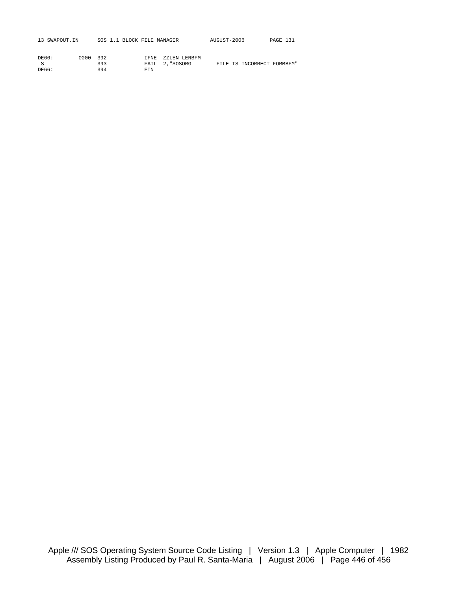| 13 SWAPOUT.IN |          | SOS 1.1 BLOCK FILE MANAGER |  |                   | AUGUST-2006 | PAGE 131 |  |
|---------------|----------|----------------------------|--|-------------------|-------------|----------|--|
|               |          |                            |  |                   |             |          |  |
| DE66:         | 0000 392 |                            |  | IFNE ZZLEN-LENBEM |             |          |  |

|       | 393 |     | FAIL 2, "SOSORG |  | FILE IS INCORRECT FORMBFM" |  |
|-------|-----|-----|-----------------|--|----------------------------|--|
| DE66: | 394 | FIN |                 |  |                            |  |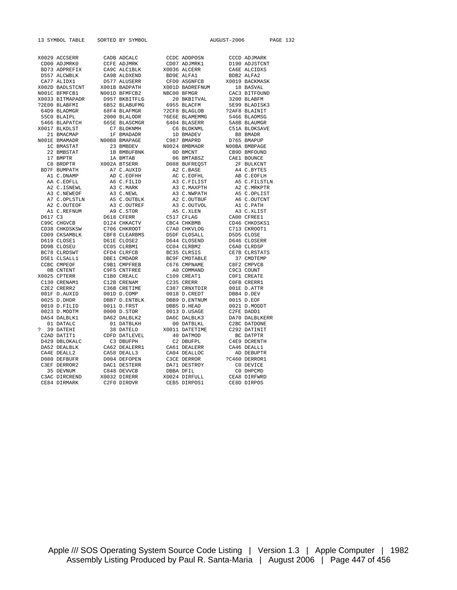CE84 DIRMARK C2F0 DIROVR CEB5 DIRPOS1 CE8D DIRPOS

X0032 DIRERR

13 SYMBOL TABLE SORTED BY SYMBOL AUGUST-2006 PAGE 132 X0029 ACCSERR CADB ADCALC CCDC ADDPOSN CCCD ADJMARK CD00 ADJMARK CD00 ADJSTCNT CD00 ADJMRK0 CCFE ADJMRK CD07 ADJMRK1 D190 ADJSTCNT BD73 ADPREFIX CA9C ALCIBLK X0036 ALCERR CA6E ALCIDXS BD73 ADPREFIX CA9C ALC1BLK X0036 ALCERR CA6E ALCIDXS<br>
BB57 ALCWBLK CA9B ALDXEND BDPE ALCHERI BDB2 ALCHER<br>
CARE ALCOHOLOGIC CARE ALCOHOLOGIC CARE ALCHERING D557 ALCWBLK CA9B ALDXEND BD9E ALFA1 BDB2 ALFA2 CA77 ALIDX1 D577 ALUSERR CFD0 ASGNFCB X0019 BACKMASK X002D BADLSTCNT X001B BADPATH X001D BADREFNUM 18 BASVAL N001C BFMFCB1 N001D BFMFCB2 NBC00 BFMGR CAC3 BITFOUND X0033 BITMAPADR D957 BKBITFLG 20 BKBITVAL 3200 BLABFM % AND A MULLEUP AND MULLEUP AND MULLEUP AND MANAGEMENT CACS BITFOUND<br>
2003 BITMAPADR 19957 BKBITFLG 6955 BLACFM 5269 BLADISK3<br>
22E00 BLABFMI 6B52 BLABUFMG 6955 BLACEON 5E99 BLADISK3<br>
68F4 BLAFMGR 22CF8 BLAGLOB 22AF8 BLAINI 64D9 BLADMGR 68F4 BLAFMGR ?2CF8 BLAGLOB ?2AF8 BLAINIT 55C0 BLAIPL 2000 BLALODR ?6E6E BLAMEMMG 5466 BLAOMSG 5466 BLAPATCH 665E BLASCMGR 6404 BLASERR 5A8B BLAUMGR X0017 BLKDLST C7 BLOKNMH C6 BLOKNML C51A BLOKSAVE 21 BMACMAP 1F BMADADR 1D BMADEV B8 BMADR N001E BMAMADR N00B8 BMAPAGE C987 BMAPRD D765 BMAPUP 1C BMASTAT 23 BMBDEV N0024 BMBMADR N00BA BMBPAGE 22 BMBSTAT 1B BMBUFBNK 0D BMCNT CB9D BMFOUND 17 BMPTR 1A BMTAB 06 BMTABSZ CAE1 BOUNCE C8 BRDPTR X002A BTSERR D088 BUFREQST 2F BULKCNT BD7F BUMPATH A7 C.AUXID A2 C.BASE A4 C.BYTES A1 C.DNAMP AD C.EOFHH AC C.EOFHL AB C.EOFLH AA C.EOFLL A6 C.FILID A3 C.FILIST A5 C.FILSTLN A2 C.ISNEWL A3 C.MARK A3 C.MAXPTH A2 C.MRKPTR A3 C.NEWEOF A3 C.NEWL A3 C.NWPATH A5 C.OPLIST A7 C.OPLSTLN A5 C.OUTBLK A2 C.OUTBUF A6 C.OUTCNT A2 C.OUTEOF A3 C.OUTREF A3 C.OUTVOL A1 C.PATH A1 C.REFNUM A9 C.STOR A5 C.XLEN A3 C.XLIST D617 C3 D618 CFERR C517 CFLAG CA00 CFREE1 C99C CHGVCB D124 CHKACTV CBC4 CHKBMB CD46 CHKDSKS1 CD38 CHKDSKSW C706 CHKROOT C7A0 CHKVLOG C713 CKROOT1 CD09 CKSAMBLK CBF8 CLEARBMS D5DF CLOSALL D5D5 CLOSE D619 CLOSE1 D61E CLOSE2 D644 CLOSEND D646 CLOSERR DD9B CLOSEU CC05 CLRBM1 CC04 CLRBM2 C6A0 CLRDSP BC78 CLRDSWT CFD4 CLRFCB BC35 CLRSIS CE7B CLRSTATS D5E1 CLSALL1 DBE1 CMDADR BC9F CMDTABLE 37 CMDTEMP n Company of the contract of the company of the company of the company contract company company company company can be cape company company company company company company company company company company company company co 0B CNTENT C9F5 CNTFREE A0 COMMAND C9C3 COUNT X0025 CPTERR C1B0 CREALC C109 CREAT1 C0F1 CREATE C130 CRENAM1 C12B CRENAM C235 CRERR C0FB CRERR1 C2E2 CRERR2 C36B CRETIME C387 CRNXTDIR 001E D.ATTR 001F D.AUXID 001D D.COMP 0018 D.CREDT DBB4 D.DEV 0025 D.DHDR DBB7 D.ENTBLK DBB9 D.ENTNUM 0015 D.EOF 0010 D.FILID 0011 D.FRST DBB5 D.HEAD 0021 D.MODDT 0023 D.MODTM 0000 D.STOR 0013 D.USAGE C2FE DADD1 DA54 DALBLK1 DA62 DALBLK2 DA6C DALBLK3 DA70 DALBLKERR DA54 DALBLK1 DA62 DALBLK2 DA6C DALBLK3 DA70 DALBLKERR 01 DATALC 01 DATBLKH 00 DATBLKL C2BC DATDONE ? 39 DATEHI 38 DATELO X0011 DATETIME C292 DATINIT C2AD DATIT1 CDFD DATLEVEL 40 DATMOD BC DATPTR D429 DBLOKALC C3 DBUFPH C2 DBUFPL C4E9 DCRENTH DA52 DEALBLK CA62 DEALERR1 CA61 DEALERR CA46 DEALL1<br>CA4E DEALL2 CA58 DEALL3 CA04 DEALLOC AD DEBUPTR CA4E DEALL2 CA58 DEALL3 CA04 DEALLOC AD DEBUPTR D080 DEFBUFR D004 DEFOPEN C3CE DERROR ?C460 DERROR1 DA71 DESTROY<br>DBBA DFIL 35 DEVNUM C848 DEVVCB DBBA DFIL CO DHPCMD<br>C3AC DIRCREND X0032 DIRERR X0024 DIREULT, CEAR DIREWED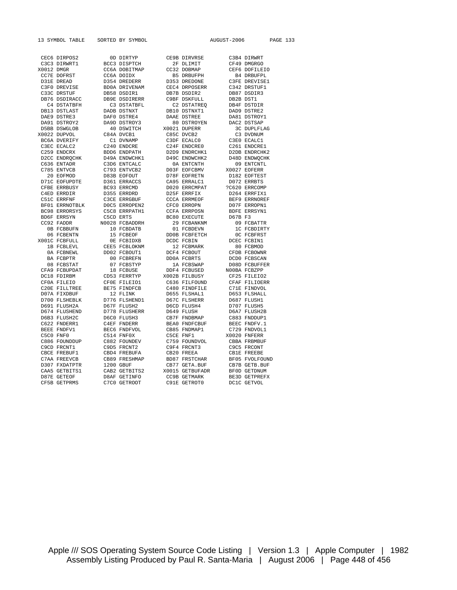13 SYMBOL TABLE SORTED BY SYMBOL AUGUST-2006 PAGE 133

|            |                              | OD DIRTYP<br>BCC3 DISPTCH | CE9B DIRVRSE                  |             | C3B4 DIRWRT                             |
|------------|------------------------------|---------------------------|-------------------------------|-------------|-----------------------------------------|
|            | CEC6 DIRPOS2<br>C3C3 DIRWRT1 |                           | 2F DLIMIT                     |             | CF49 DMGRGO                             |
| X0012 DMGR |                              | CC6A DOBITMAP             | CC32 DOBMAP                   |             | CEF6 DOFILEIO                           |
|            | CC7E DOFRST                  | CC6A DOIDX                | B5 DRBUFPH                    |             | <b>B4 DRBUFPL</b>                       |
|            | D31E DREAD                   | D354 DREDERR              |                               |             |                                         |
|            | C3F0 DREVISE                 | BD0A DRIVENAM             | D353 DREDONE<br>CEC4 DRPOSERR |             | C3FE DREVISE1<br>C342 DRSTUF1           |
|            | C33C DRSTUF                  | DB58 DSDIR1               | DB7B DSDIR2                   |             | DB87 DSDIR3                             |
|            | DB76 DSDIRACC                | DB9E DSDIRERR             | C9BF DSKFULL                  |             | DB2B DST1                               |
|            | C4 DSTATBFH                  | C3 DSTATBFL               | C2 DSTATREO                   |             | באשר<br>DB4F DSTDIR<br>רפיים פריים      |
|            | DB13 DSTLAST                 | DADB DSTNXT               | DB10 DSTNXT1                  |             | DAD9 DSTRE2                             |
|            | DAE9 DSTRE3                  | DAF0 DSTRE4               | DAAE DSTREE                   |             | DA81 DSTROY1                            |
|            | DA91 DSTROY2                 | DA9D DSTROY3              | 80 DSTROYEN                   | DAC2 DSTSAP |                                         |
|            | D5BB DSWGLOB                 | 40 DSWITCH                | X0021 DUPERR                  |             |                                         |
|            | X0022 DUPVOL                 | C84A DVCB1                | C85C DVCB2                    |             | 3C DUPLFLAG<br>C3 DVDNUM                |
|            | BC6A DVERIFY                 | C1 DVNAMP                 | C3DF ECALCO                   |             | C3E0 ECALC1                             |
|            | C3EC ECALC2                  | C240 ENDCRE               | C24F ENDCRE0                  |             | C261 ENDCRE1                            |
|            | C259 ENDCRX                  | BDD6 ENDPATH              | D2D9 ENDRCHK1                 |             | D2DB ENDRCHK2                           |
|            | D2CC ENDROCHK                | D49A ENDWCHK1             | D49C ENDWCHK2                 |             | D48D ENDWOCHK                           |
|            | C636 ENTADR                  | C3D6 ENTCALC              | 0A ENTCNTH                    |             | 09 ENTCNTL                              |
|            | C785 ENTVCB                  | C793 ENTVCB2              | D03F EOFCBMV                  |             | X0027 EOFERR                            |
|            | 20 EOFMOD                    | D83B EOFOUT               | D78F EOFRETN                  |             | D182 EOFTEST                            |
|            | D71C EOFUPDTE                | D361 ERRACCS              | CA95 ERRALC1                  |             | D072 ERRBTS                             |
|            | CFBE ERRBUSY                 | BC93 ERRCMD               | D020 ERRCMPAT                 |             | ?C620 ERRCOMP                           |
|            |                              | D355 ERRDRD               | D25F ERRFIX                   |             | D264 ERRFIX1                            |
|            | C4ED ERRDIR<br>C51C ERRFNF   | C3CE ERRGBUF              |                               |             | BEF9 ERRNOREF                           |
|            | BF01 ERRNOTBLK               | DOC5 ERROPEN2             | CCCA ERRMEOF<br>CFC0 ERROPN   |             | D07F ERROPN1                            |
|            | BC98 ERRORSYS                | C5C8 ERRPATH1             | CCFA ERRPOSN                  |             | BDFE ERRSYN1                            |
|            | BD6F ERRSYN                  | C5CD ERTS                 | BC80 EXECUTE                  |             | D67B F3                                 |
|            | CC92 FADDR                   | N0028 FCBADDRH            |                               |             |                                         |
|            | 0B FCBBUFN                   | 10 FCBDATB                | 29 FCBANKNM<br>01 FCBDEVN     |             | 09 FCBATTR<br>1C FCBDIRTY<br>0C FCBFRST |
|            | 06 FCBENTN                   |                           | DD0B FCBFETCH                 |             |                                         |
|            | X001C FCBFULL                | 15 FCBEOF<br>OE FCBIDXB   | DCDC FCBIN                    |             | DCEC FCBIN1                             |
|            | 1B FCBLEVL                   | CEE5 FCBLOKNM             | 12 FCBMARK                    |             | 80 FCBMOD                               |
|            | 0A FCBNEWL                   | DD02 FCBOUT1              | DCF4 FCBOUT                   |             | CFDB FCBOWNR                            |
|            |                              | 00 FCBREFN                | DD0A FCBRTS                   |             | DCD0 FCBSCAN                            |
|            | BA FCBPTR<br>08 FCBSTAT      | 07 FCBSTYP                | 1A FCBSWAP                    |             | D08D FCBUFFER                           |
|            | CFA9 FCBUPDAT                | 18 FCBUSE                 | DDF4 FCBUSED                  |             | NOOBA FCBZPP                            |
|            | DC18 FDIRBM                  | CD53 FERRTYP              | X002B FILBUSY                 |             | CF25 FILEIO2                            |
|            | CF0A FILEIO                  | CFOE FILEIO1              | C636 FILFOUND                 |             | CFAF FILIOERR                           |
|            | C20E FILLTREE                | BE75 FINDFCB              | C480 FINDFILE                 |             | C71E FINDVOL                            |
|            | D07A FIXDBUF                 | 12 FLINK                  | D655 FLSHAL1                  |             | D653 FLSHALL                            |
|            | D700 FLSHEBLK                | D776 FLSHEND1             | D67C FLSHERR                  |             | D687 FLUSH1                             |
|            | D691 FLUSH2A                 | D67F FLUSH2               | D6CD FLUSH4                   |             | D707 FLUSH5                             |
|            | D674 FLUSHEND                | D778 FLUSHERR             | D649 FLUSH                    |             | D6A7 FLUSH2B                            |
|            | D6B3 FLUSH2C                 | D6C0 FLUSH3               | CB7F FNDBMAP                  |             | C883 FNDDUP1                            |
|            | C622 FNDERR1                 | C4EF FNDERR               | BEA0 FNDFCBUF                 |             | BEEC FNDFV.1                            |
|            | BEEE FNDFV1                  | BEC6 FNDFVOL              | CB85 FNDMAP1                  |             | C729 FNDVOL1                            |
|            | C5C0 FNF0                    | C514 FNF0X                | C5CE FNF1                     |             | X0020 FNFERR                            |
|            | C886 FOUNDDUP                | C882 FOUNDEV              | C759 FOUNDVOL                 |             | CBBA FRBMBUF                            |
|            | C9CD FRCNT1                  | C9D5 FRCNT2               | C9F4 FRCNT3                   |             | C9C5 FRCONT                             |
|            | CBCE FREBUF1                 | CBD4 FREBUFA              | CB20 FREEA                    |             | CB1E FREEBE                             |
|            | C7AA FREEVCB                 | CB89 FRESHMAP             | BD87 FRSTCHAR                 |             | BF05 FVOLFOUND                          |
|            | D307 FXDATPTR                | 1200 GBUF                 | CB77 GETA.BUF                 |             | CB7B GETB.BUF                           |
|            | CAA5 GETBITS1                | CAB2 GETBITS2             | X0015 GETBUFADR               |             | BF0D GETDNUM                            |
|            | D87E GETEOF                  | D8AF GETINFO              | CC9B GETMARK                  |             | BE3D GETPREFX                           |
|            | CF5B GETPRMS                 | M7MA GETROOT              | C91E GETROTO                  |             | DC1C GETVOL                             |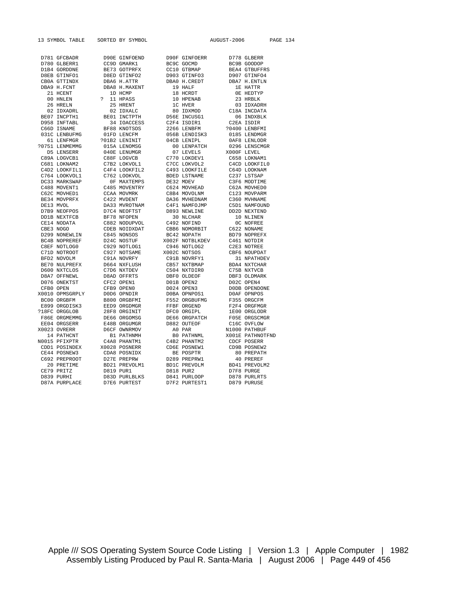13 SYMBOL TABLE SORTED BY SYMBOL AUGUST-2006 PAGE 134

|               |              | $\begin{tabular}{l c c c c} \hline \textbf{D781 GPCDDAR} & \textbf{D980 G/LR70830} & \textbf{D980 G-LR70830} & \textbf{D980 G-LR70830} & \textbf{D980 G-LR70830} & \textbf{D980 G-LR70830} & \textbf{D980 G-LR70830} & \textbf{D981 G-LR70830} \\ \hline \textbf{D1810 GCDR0831} & \textbf{D1810 GCDR1832} & \textbf{D1810 GCDR1832} & \textbf{$ |               |             |
|---------------|--------------|--------------------------------------------------------------------------------------------------------------------------------------------------------------------------------------------------------------------------------------------------------------------------------------------------------------------------------------------------|---------------|-------------|
|               |              |                                                                                                                                                                                                                                                                                                                                                  |               |             |
|               |              |                                                                                                                                                                                                                                                                                                                                                  |               |             |
|               |              |                                                                                                                                                                                                                                                                                                                                                  |               |             |
|               |              |                                                                                                                                                                                                                                                                                                                                                  |               |             |
|               |              |                                                                                                                                                                                                                                                                                                                                                  |               |             |
|               |              |                                                                                                                                                                                                                                                                                                                                                  |               |             |
|               |              |                                                                                                                                                                                                                                                                                                                                                  |               |             |
|               |              |                                                                                                                                                                                                                                                                                                                                                  |               |             |
|               |              |                                                                                                                                                                                                                                                                                                                                                  |               |             |
|               |              |                                                                                                                                                                                                                                                                                                                                                  |               |             |
|               |              |                                                                                                                                                                                                                                                                                                                                                  |               |             |
|               |              |                                                                                                                                                                                                                                                                                                                                                  |               |             |
|               |              |                                                                                                                                                                                                                                                                                                                                                  |               |             |
|               |              |                                                                                                                                                                                                                                                                                                                                                  |               |             |
|               |              |                                                                                                                                                                                                                                                                                                                                                  |               |             |
|               |              |                                                                                                                                                                                                                                                                                                                                                  |               |             |
|               |              |                                                                                                                                                                                                                                                                                                                                                  |               |             |
|               |              |                                                                                                                                                                                                                                                                                                                                                  |               |             |
|               |              |                                                                                                                                                                                                                                                                                                                                                  |               |             |
|               |              |                                                                                                                                                                                                                                                                                                                                                  |               |             |
|               |              |                                                                                                                                                                                                                                                                                                                                                  |               |             |
|               |              |                                                                                                                                                                                                                                                                                                                                                  |               |             |
|               |              |                                                                                                                                                                                                                                                                                                                                                  |               |             |
|               |              |                                                                                                                                                                                                                                                                                                                                                  |               |             |
|               |              |                                                                                                                                                                                                                                                                                                                                                  |               |             |
|               |              |                                                                                                                                                                                                                                                                                                                                                  |               |             |
|               |              |                                                                                                                                                                                                                                                                                                                                                  |               |             |
|               |              |                                                                                                                                                                                                                                                                                                                                                  |               |             |
|               |              |                                                                                                                                                                                                                                                                                                                                                  |               |             |
|               |              |                                                                                                                                                                                                                                                                                                                                                  |               |             |
|               |              |                                                                                                                                                                                                                                                                                                                                                  |               |             |
|               |              |                                                                                                                                                                                                                                                                                                                                                  |               |             |
|               |              |                                                                                                                                                                                                                                                                                                                                                  |               |             |
|               |              |                                                                                                                                                                                                                                                                                                                                                  |               |             |
|               |              |                                                                                                                                                                                                                                                                                                                                                  |               |             |
|               |              |                                                                                                                                                                                                                                                                                                                                                  |               |             |
|               |              |                                                                                                                                                                                                                                                                                                                                                  |               |             |
|               |              |                                                                                                                                                                                                                                                                                                                                                  |               |             |
|               |              |                                                                                                                                                                                                                                                                                                                                                  |               |             |
|               |              |                                                                                                                                                                                                                                                                                                                                                  |               |             |
|               |              |                                                                                                                                                                                                                                                                                                                                                  |               |             |
|               |              |                                                                                                                                                                                                                                                                                                                                                  |               |             |
|               |              |                                                                                                                                                                                                                                                                                                                                                  |               |             |
|               |              |                                                                                                                                                                                                                                                                                                                                                  |               |             |
|               |              |                                                                                                                                                                                                                                                                                                                                                  |               |             |
|               |              |                                                                                                                                                                                                                                                                                                                                                  |               |             |
|               |              |                                                                                                                                                                                                                                                                                                                                                  |               |             |
|               |              |                                                                                                                                                                                                                                                                                                                                                  |               |             |
|               |              |                                                                                                                                                                                                                                                                                                                                                  |               |             |
|               |              |                                                                                                                                                                                                                                                                                                                                                  |               |             |
|               |              |                                                                                                                                                                                                                                                                                                                                                  |               |             |
|               |              |                                                                                                                                                                                                                                                                                                                                                  |               |             |
|               |              |                                                                                                                                                                                                                                                                                                                                                  |               |             |
| D87A PHRPLACE | DZE6 PURTEST |                                                                                                                                                                                                                                                                                                                                                  | D7F2 PURTEST1 | D879 PHRHSE |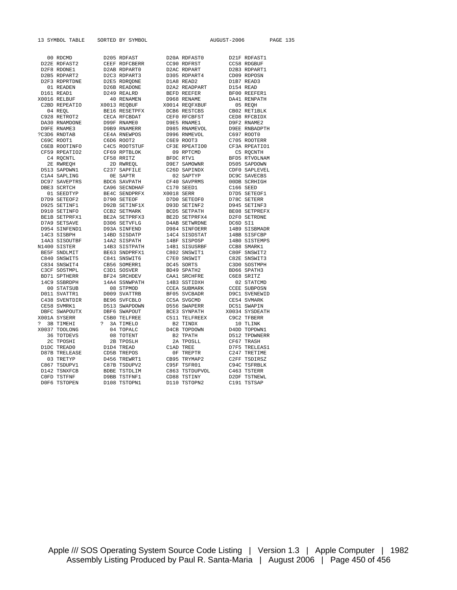13 SYMBOL TABLE SORTED BY SYMBOL AUGUST-2006 PAGE 135

|    | 00 RDCMD             |   | D205 RDFAST         |            | D20A RDFAST0         |          | D21F RDFAST1         |
|----|----------------------|---|---------------------|------------|----------------------|----------|----------------------|
|    | D22E RDFAST2         |   | CEEF RDFCBERR       |            | CC90 RDFRST          |          | CC58 RDGBUF          |
|    | D2F8 RDONE1          |   | D2AB RDPART0        |            | D2AC RDPART          |          | D2B3 RDPART1         |
|    | D2B5 RDPART2         |   | D2C3 RDPART3        |            | D305 RDPART4         |          | CD09 RDPOSN          |
|    | D2F3 RDPRTDNE        |   | D2E5 RDRODNE        |            | D1A8 READ2           |          | D1B7 READ3           |
|    | 01 READEN            |   | D26B READONE        |            | D2A2 READPART        |          | D154 READ            |
|    | D161 READ1           |   | D249 REALRD         |            | BEFD REEFER          |          | BF00 REEFER1         |
|    | X0016 RELBUF         |   | 40 RENAMEN          |            | D968 RENAME          |          | DA41 RENPATH         |
|    | C2BD REPEATIO        |   | X0013 REOBUF        |            | X0014 REOFXBUF       |          | 05 REOH              |
|    | 04 REQL              |   | BE16 RESETPFX       |            | DCB6 RESTCBS         |          | CB02 RET1BLK         |
|    | C928 RETROT2         |   | CECA RFCBDAT        |            | CEF0 RFCBFST         |          | CED8 RFCBIDX         |
|    | DA30 RNAMDONE        |   | D99F RNAME0         |            | D9E5 RNAME1          |          | D9F2 RNAME2          |
|    | D9FE RNAME3          |   | D9B9 RNAMERR        |            | D985 RNAMEVOL        |          | <b>D9EE RNBADPTH</b> |
|    | ?C3D6 RNDTAB         |   | CE4A RNEWPOS        |            | D996 RNMEVOL         |          | C697 ROOT0           |
|    | C69C ROOT1           |   | C6D6 ROOT2          |            | C6E9 ROOT3           |          | C705 ROOTERR         |
|    | C6EB ROOTINFO        |   | C4C5 ROOTSTUF       |            | CF3E RPEATIO0        |          | CF3A RPEATIO1        |
|    | CF59 RPEATIO2        |   | CF69 RPTBLOK        |            | 09 RPTCMD            |          | C5 RQCNTH            |
|    | C4 ROCNTL            |   | CF58 RRITZ          | BFDC RTV1  |                      |          | BFD5 RTVOLNAM        |
|    | 2E RWREQH            |   | 2D RWREQL           |            | D9E7 SAMOWNR         |          | D505 SAPDOWN         |
|    | D513 SAPDWN1         |   | C237 SAPFILE        |            | C26D SAPINDX         |          | CDF0 SAPLEVEL        |
|    | C1A4 SAPLING         |   | OE SAPTR            |            | 02 SAPTYP            |          | DC9C SAVECBS         |
|    | DC97 SAVEPTRS        |   | BDC6 SAVPATH        |            | CF40 SAVPRMS         |          | 00DB SCRHIGH         |
|    | DBE3 SCRTCH          |   | CA96 SECNDHAF       |            | C170 SEED1           |          | C166 SEED            |
|    | 01 SEEDTYP           |   | BE4C SENDPRFX       | X0018 SERR |                      |          | D7D5 SETEOF1         |
|    | D7D9 SETEOF2         |   | D790 SETEOF         |            | D7D0 SETEOF0         |          | D78C SETERR          |
|    | D925 SETINF1         |   | D92B SETINF1X       |            | D93D SETINF2         |          | D945 SETINF3         |
|    | D910 SETINFO         |   | CCB2 SETMARK        |            | BCD5 SETPATH         |          | BE08 SETPREFX        |
|    | BE1B SETPRFX1        |   | BE2A SETPRFX3       |            | BE2D SETPRFX4        |          | D2F0 SETRDNE         |
|    | D7A9 SETSAVE         |   | D306 SETVFLG        |            | <b>D4AB SETWRDNE</b> | DC6D SI1 |                      |
|    | D954 SINFEND1        |   | D93A SINFEND        |            | D984 SINFOERR        |          | 14B9 SISBMADR        |
|    | 14C3 SISBPH          |   | 14BD SISDATP        |            | 14C4 SISDSTAT        |          | 14BB SISFCBP         |
|    | 14A3 SISOUTBF        |   | 14A2 SISPATH        |            | 14BF SISPOSP         |          | 14B0 SISTEMPS        |
|    | N1400 SISTER         |   | 14B3 SISTPATH       |            | 14B1 SISUSRBF        |          | CCB8 SMARK1          |
|    | BE5F SNDLMIT         |   | BE63 SNDPRFX1       |            | C802 SNSWIT1         |          | C80F SNSWIT2         |
|    | C840 SNSWIT5         |   | C841 SNSWIT6        |            | C7E0 SNSWIT          |          | C82E SNSWIT3         |
|    | C834 SNSWIT4         |   | CB56 SOMERR1        |            | DC45 SORTS           |          | C3D0 SOSTMPH         |
|    | C3CF SOSTMPL         |   | C3D1 SOSVER         |            | BD49 SPATH2          |          | BD66 SPATH3          |
|    | BD71 SPTHERR         |   | BF24 SRCHDEV        |            | CAA1 SRCHFRE         |          | C6E8 SRITZ           |
|    | 14C9 SSBRDPH         |   | 14A4 SSNWPATH       |            | 14B3 SSTIDXH         |          | 02 STATCMD           |
|    | 00 STATSUB           |   | 08 STPMOD           |            | <b>CCEA SUBMARK</b>  |          | <b>CCEE SUBPOSN</b>  |
|    | D011 SVATTR1         |   | D009 SVATTRB        |            | BF05 SVCBADR         |          | D9C1 SVENEWID        |
|    | C438 SVENTDIR        |   | BE96 SVFCBLO        |            | CC5A SVGCMD          |          | CE54 SVMARK          |
|    | CE58 SVMRK1          |   | D513 SWAPDOWN       |            | D556 SWAPERR         |          | DC51 SWAPIN          |
|    | DBFC SWAPOUTX        |   | DBF6 SWAPOUT        |            | <b>BCE3 SYNPATH</b>  |          | X0034 SYSDEATH       |
|    | X001A SYSERR         |   | C5B0 TELFREE        |            | C511 TELFREEX        |          | C9C2 TFBERR          |
| S. | 3B TIMEHI            | 2 | <b>3A TIMELO</b>    |            | B2 TINDX             |          | 10 TLINK             |
|    | X0037 TOOLONG        |   | 04 TOPALC           |            | D4CB TOPDOWN         |          | D4DD TOPDWN1         |
|    | 36 TOTDEVS           |   | 08 TOTENT           |            | <b>B2 TPATH</b>      |          | D512 TPDWNERR        |
|    | 2C TPOSHI            |   | 2B TPOSLH           |            | 2A TPOSLL            |          | CF67 TRASH           |
|    | D1DC TREAD0          |   | D1D4 TREAD          |            | C1AD TREE            |          | D7F5 TRELEAS1        |
|    | <b>D87B TRELEASE</b> |   | CD5B TREPOS         |            | OF TREPTR            |          | C247 TRETIME         |
|    | 03 TRETYP            |   | D456 TREWRT1        |            | CB95 TRYMAP2         |          | C2FF TSDIRSZ         |
|    | C867 TSDUPV1         |   | C87B TSDUPV2        |            | C95F TSFR01          |          | C94C TSFRBLK         |
|    | D142 TSNXFCB         |   | <b>BDBE TSTDLIM</b> |            | C863 TSTDUPVOL       |          | C463 TSTERR          |
|    | COFD TSTFNF          |   | D9BB TSTFNF1        |            | CD88 TSTINY          |          | D2DF TSTNEWL         |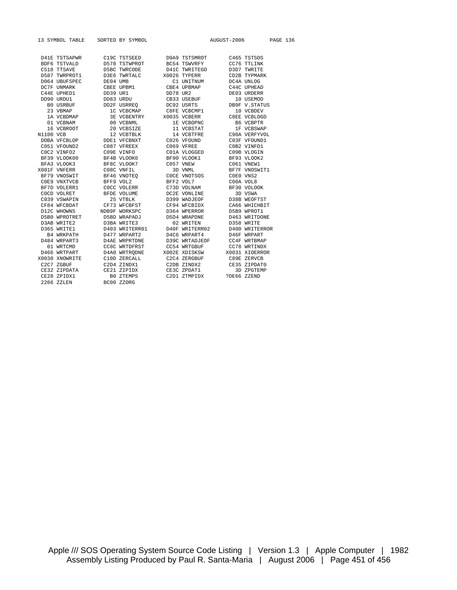|                  | 13 SYMBOL TABLE  |          | SORTED BY SYMBOL     |          |                | AUGUST-2006 |                | <b>PAGE 136</b> |  |
|------------------|------------------|----------|----------------------|----------|----------------|-------------|----------------|-----------------|--|
|                  | D41E TSTSAPWR    |          | C19C TSTSEED         |          | D9A9 TSTSMROT  |             | C465 TSTSOS    |                 |  |
|                  | BDF6 TSTVALD     |          | D578 TSTWPROT        |          | BC54 TSWVRFY   |             | CC76 TTLINK    |                 |  |
|                  | C518 TTSAVE      |          | D5BC TWRCODE         |          | D41C TWRITEGO  |             | D3D7 TWRITE    |                 |  |
|                  | D587 TWRPROT1    |          | D3E6 TWRTALC         |          | X0026 TYPERR   |             | CD2B TYPMARK   |                 |  |
|                  | D064 UBUFSPEC    | DE04 UMB |                      |          | C1 UNITNUM     |             | DC4A UNLOG     |                 |  |
|                  | DC7F UNMARK      |          | CBEE UPBM1           |          | CBE4 UPBMAP    |             | C44C UPHEAD    |                 |  |
|                  | C44E UPHED1      | DD39 UR1 |                      | DD78 UR2 |                |             | DE03 URDERR    |                 |  |
|                  | DD90 URDU1       |          | DD83 URDU            |          | CB33 USEBUF    |             | 10 USEMOD      |                 |  |
|                  | <b>BO USRBUF</b> |          | DD2F USRREQ          |          | DC92 USRTS     |             | DB9F V.STATUS  |                 |  |
|                  | 23 VBMAP         |          | 1C VCBCMAP           |          | C8FE VCBCMP1   |             | 10 VCBDEV      |                 |  |
|                  | 1A VCBDMAP       |          | <b>3E VCBENTRY</b>   |          | X0035 VCBERR   |             | C8EE VCBLOGD   |                 |  |
|                  | 01 VCBNAM        |          | 00 VCBNML            |          | 1E VCBOPNC     |             | B6 VCBPTR      |                 |  |
|                  | 16 VCBROOT       |          | 20 VCBSIZE           |          | 11 VCBSTAT     |             | 1F VCBSWAP     |                 |  |
| <b>N1100 VCB</b> |                  |          | 12 VCBTBLK           |          | 14 VCBTFRE     |             | C90A VERFYVOL  |                 |  |
|                  | DDBA VFCBLOP     |          | DDE1 VFCBNXT         |          | C026 VFOUND    |             | C03F VFOUND1   |                 |  |
|                  | C051 VFOUND2     |          | C087 VFREEX          |          | C069 VFREE     |             | C0B2 VINFO1    |                 |  |
|                  | COC2 VINFO2      |          | C09E VINFO           |          | C01A VLOGGED   |             | C09B VLOGIN    |                 |  |
|                  | BF39 VLOOK00     |          | BF4B VLOOK0          |          | BF90 VLOOK1    |             | BF93 VLOOK2    |                 |  |
|                  | BFA3 VLOOK3      |          | BF8C VLOOK7          |          | C057 VNEW      |             | C061 VNEW1     |                 |  |
|                  | X001F VNFERR     |          | C08C VNFIL           |          | 3D VNML        |             | BF7F VNOSWIT1  |                 |  |
|                  | BF79 VNOSWIT     |          | BF46 VNOTEO          |          | COCE VNOTSOS   |             | COEO VNS2      |                 |  |
|                  | COE9 VNXTVCB     |          | BFF9 VOL2            |          | BFF2 VOL7      |             | COOA VOL8      |                 |  |
|                  | BF7D VOLERR1     |          | COCC VOLERR          |          | C73D VOLNAM    |             | BF30 VOLOOK    |                 |  |
|                  | COCD VOLRET      |          | BFDE VOLUME          |          | DC2E VONLINE   |             | 3D VSWA        |                 |  |
|                  | C039 VSWAPIN     |          | 25 VTBLK             |          | D399 WADJEOF   |             | D38B WEOFTST   |                 |  |
|                  | CF84 WFCBDAT     |          | CF73 WFCBFST         |          | CF94 WFCBIDX   |             | CA66 WHICHBIT  |                 |  |
|                  | D12C WHOWNS      |          | NDB9F WORKSPC        |          | D364 WPERROR   |             | D5B9 WPROT1    |                 |  |
|                  | D5B0 WPROTRET    |          | D5BD WRAPADJ         |          | D5D4 WRAPDNE   |             | D463 WRITDONE  |                 |  |
|                  | D3AB WRITE2      |          | D3BA WRITE3          |          | 02 WRITEN      |             | D358 WRITE     |                 |  |
|                  | D365 WRITE1      |          | D403 WRITERR01       |          | D40F WRITERR02 |             | D400 WRITERROR |                 |  |
|                  | B4 WRKPATH       |          | D477 WRPART2         |          | D4C6 WRPART4   |             | D46F WRPART    |                 |  |
|                  | D484 WRPART3     |          | <b>D4AE WRPRTDNE</b> |          | D39C WRTADJEOF |             | CC4F WRTBMAP   |                 |  |
|                  | 01 WRTCMD        |          | CC8C WRTDFRST        |          | CC54 WRTGBUF   |             | CC78 WRTINDX   |                 |  |
|                  | D466 WRTPART     |          | D4A0 WRTRODNE        |          | X002E XDISKSW  |             | X0031 XIOERROR |                 |  |
|                  | X0030 XNOWRITE   |          | C10D ZERCALL         |          | C2C4 ZERGBUF   |             | C89E ZERVCB    |                 |  |
|                  | C2C7 ZGBUF       |          | C2D4 ZINDX1          |          | C2DB ZINDX2    |             | CE35 ZIPDAT0   |                 |  |
|                  | CE32 ZIPDATA     |          | CE21 ZIPIDX          |          | CE3C ZPDAT1    |             | 3D ZPGTEMP     |                 |  |
|                  | CE28 ZPIDX1      |          | <b>BO ZTEMPS</b>     |          | C2D1 ZTMPIDX   |             | ?DE66 ZZEND    |                 |  |
|                  | 2266 ZZLEN       |          | BC00 ZZORG           |          |                |             |                |                 |  |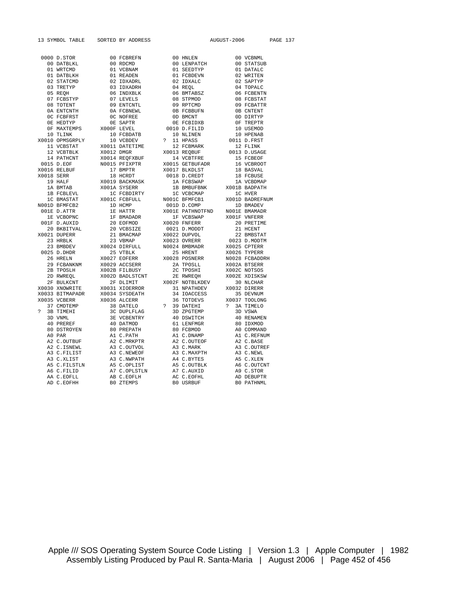13 SYMBOL TABLE SORTED BY ADDRESS AUGUST-2006 PAGE 137

|  | 0000 D. STORE 1000 DECEMBER 1000 DECEMBER 2000 DECEMBER 2000 DECEMBER 2000 DECEMBER 2000 DECEMBER 2000 DECEMBER 2000 DECEMBER 2000 DECEMBER 2000 DECEMBER 2000 DECEMBER 2000 DECEMBER 2000 DECEMBER 2000 DECEMBER 2000 DECEMB |            |  |            |            |
|--|-------------------------------------------------------------------------------------------------------------------------------------------------------------------------------------------------------------------------------|------------|--|------------|------------|
|  |                                                                                                                                                                                                                               |            |  |            |            |
|  |                                                                                                                                                                                                                               |            |  |            |            |
|  |                                                                                                                                                                                                                               |            |  |            |            |
|  |                                                                                                                                                                                                                               |            |  |            |            |
|  |                                                                                                                                                                                                                               |            |  |            |            |
|  |                                                                                                                                                                                                                               |            |  |            |            |
|  |                                                                                                                                                                                                                               |            |  |            |            |
|  |                                                                                                                                                                                                                               |            |  |            |            |
|  |                                                                                                                                                                                                                               |            |  |            |            |
|  |                                                                                                                                                                                                                               |            |  |            |            |
|  |                                                                                                                                                                                                                               |            |  |            |            |
|  |                                                                                                                                                                                                                               |            |  |            |            |
|  |                                                                                                                                                                                                                               |            |  |            |            |
|  |                                                                                                                                                                                                                               |            |  |            |            |
|  |                                                                                                                                                                                                                               |            |  |            |            |
|  |                                                                                                                                                                                                                               |            |  |            |            |
|  |                                                                                                                                                                                                                               |            |  |            |            |
|  |                                                                                                                                                                                                                               |            |  |            |            |
|  |                                                                                                                                                                                                                               |            |  |            |            |
|  |                                                                                                                                                                                                                               |            |  |            |            |
|  |                                                                                                                                                                                                                               |            |  |            |            |
|  |                                                                                                                                                                                                                               |            |  |            |            |
|  |                                                                                                                                                                                                                               |            |  |            |            |
|  |                                                                                                                                                                                                                               |            |  |            |            |
|  |                                                                                                                                                                                                                               |            |  |            |            |
|  |                                                                                                                                                                                                                               |            |  |            |            |
|  |                                                                                                                                                                                                                               |            |  |            |            |
|  |                                                                                                                                                                                                                               |            |  |            |            |
|  |                                                                                                                                                                                                                               |            |  |            |            |
|  |                                                                                                                                                                                                                               |            |  |            |            |
|  |                                                                                                                                                                                                                               |            |  |            |            |
|  |                                                                                                                                                                                                                               |            |  |            |            |
|  |                                                                                                                                                                                                                               |            |  |            |            |
|  |                                                                                                                                                                                                                               |            |  |            |            |
|  |                                                                                                                                                                                                                               |            |  |            |            |
|  |                                                                                                                                                                                                                               |            |  |            |            |
|  |                                                                                                                                                                                                                               |            |  |            |            |
|  |                                                                                                                                                                                                                               |            |  |            |            |
|  |                                                                                                                                                                                                                               |            |  |            |            |
|  |                                                                                                                                                                                                                               |            |  |            |            |
|  |                                                                                                                                                                                                                               |            |  |            |            |
|  |                                                                                                                                                                                                                               |            |  |            |            |
|  |                                                                                                                                                                                                                               |            |  |            |            |
|  |                                                                                                                                                                                                                               |            |  |            |            |
|  |                                                                                                                                                                                                                               |            |  |            |            |
|  |                                                                                                                                                                                                                               |            |  |            |            |
|  |                                                                                                                                                                                                                               |            |  |            |            |
|  |                                                                                                                                                                                                                               |            |  |            |            |
|  |                                                                                                                                                                                                                               |            |  |            |            |
|  |                                                                                                                                                                                                                               |            |  |            |            |
|  |                                                                                                                                                                                                                               |            |  |            |            |
|  |                                                                                                                                                                                                                               |            |  |            |            |
|  | AA C.EOFLL                                                                                                                                                                                                                    | AB C.EOFLH |  | AC C.EOFHL | AD DEBUPTR |
|  |                                                                                                                                                                                                                               |            |  |            |            |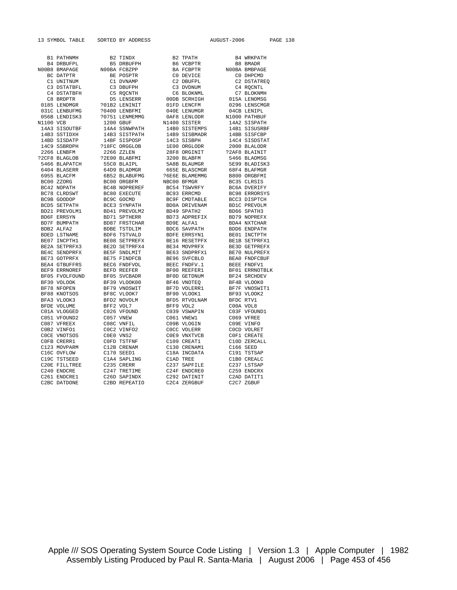13 SYMBOL TABLE SORTED BY ADDRESS AUGUST-2006 PAGE 138

| B1 PATHNMH       | B2 TINDX                                                                                                                                                                                                                                                        | B2 TPATH<br>B6 VCBPTR<br>BA FCBPTR<br>C0 DEVICE<br>C2 DEVEPL<br>C3 DVDNUM<br>C6 BLOKNML                                                                                                                      | B4 WRKPATH                                                                                                                                                                                                                                                                        |
|------------------|-----------------------------------------------------------------------------------------------------------------------------------------------------------------------------------------------------------------------------------------------------------------|--------------------------------------------------------------------------------------------------------------------------------------------------------------------------------------------------------------|-----------------------------------------------------------------------------------------------------------------------------------------------------------------------------------------------------------------------------------------------------------------------------------|
| B4 DRBUFPL       | <b>B5 DRBUFPH</b>                                                                                                                                                                                                                                               |                                                                                                                                                                                                              | B8 BMADR                                                                                                                                                                                                                                                                          |
| N00B8 BMAPAGE    | NOOBA FCBZPP                                                                                                                                                                                                                                                    |                                                                                                                                                                                                              | NOOBA BMBPAGE                                                                                                                                                                                                                                                                     |
| BC DATPTR        | BE POSPTR                                                                                                                                                                                                                                                       |                                                                                                                                                                                                              |                                                                                                                                                                                                                                                                                   |
| C1 UNITNUM       | C1 DVNAMP                                                                                                                                                                                                                                                       |                                                                                                                                                                                                              | CO DHPCMD<br>C2 DSTATREQ<br>C4 RQCNTL<br>C7 BLOKNMH                                                                                                                                                                                                                               |
| C3 DSTATBFL      | C3 DBUFPH                                                                                                                                                                                                                                                       |                                                                                                                                                                                                              |                                                                                                                                                                                                                                                                                   |
| C4 DSTATBFH      | C5 RQCNTH                                                                                                                                                                                                                                                       |                                                                                                                                                                                                              |                                                                                                                                                                                                                                                                                   |
| C8 BRDPTR        | D5 LENSERR                                                                                                                                                                                                                                                      | 00DB SCRHIGH                                                                                                                                                                                                 | 015A LENOMSG                                                                                                                                                                                                                                                                      |
| 0185 LENDMGR     | ?01B2 LENINIT                                                                                                                                                                                                                                                   | 01FD LENCFM                                                                                                                                                                                                  | 0296 LENSCMGR                                                                                                                                                                                                                                                                     |
| 031C LENBUFMG    | ?0400 LENBFMI                                                                                                                                                                                                                                                   | 040E LENUMGR                                                                                                                                                                                                 | 04CB LENIPL                                                                                                                                                                                                                                                                       |
| 056B LENDISK3    | ?0751 LENMEMMG                                                                                                                                                                                                                                                  | 0AF8 LENLODR                                                                                                                                                                                                 | N1000 PATHBUF                                                                                                                                                                                                                                                                     |
| N1100 VCB        | 1200 GBUF                                                                                                                                                                                                                                                       | N1400 SISTER                                                                                                                                                                                                 | 14A2 SISPATH                                                                                                                                                                                                                                                                      |
| 14A3 SISOUTBF    | 14A4 SSNWPATH                                                                                                                                                                                                                                                   | 1480 SISTEMPS<br>1489 SISBMADR<br>14C3 SISBPH<br>1E00 ORGLODR<br>28F8 OBGLODR                                                                                                                                | 14B1 SISUSRBF<br>14BB SISFCBP<br>14C4 SISDSTAT                                                                                                                                                                                                                                    |
| 14B3 SSTIDXH     | 14B3 SISTPATH                                                                                                                                                                                                                                                   |                                                                                                                                                                                                              |                                                                                                                                                                                                                                                                                   |
| 14BD SISDATP     | 14BF SISPOSP                                                                                                                                                                                                                                                    |                                                                                                                                                                                                              |                                                                                                                                                                                                                                                                                   |
| 14C9 SSBRDPH     | ?18FC ORGGLOB                                                                                                                                                                                                                                                   |                                                                                                                                                                                                              | 2000 BLALODR                                                                                                                                                                                                                                                                      |
| 2266 LENBFM      | 2266 ZZLEN                                                                                                                                                                                                                                                      | 28F8 ORGINIT<br>3200 BLABFM<br>5A8B BLAUMGR                                                                                                                                                                  | ?2AF8 BLAINIT                                                                                                                                                                                                                                                                     |
| ?2CF8 BLAGLOB    | ?2E00 BLABFMI                                                                                                                                                                                                                                                   |                                                                                                                                                                                                              | 5466 BLAOMSG                                                                                                                                                                                                                                                                      |
| 5466 BLAPATCH    |                                                                                                                                                                                                                                                                 |                                                                                                                                                                                                              | 5E99 BLADISK3                                                                                                                                                                                                                                                                     |
| 6404 BLASERR     |                                                                                                                                                                                                                                                                 | 665E BLASCMGR                                                                                                                                                                                                | 68F4 BLAFMGR                                                                                                                                                                                                                                                                      |
| 6955 BLACFM      |                                                                                                                                                                                                                                                                 | ?6E6E BLAMEMMG                                                                                                                                                                                               |                                                                                                                                                                                                                                                                                   |
| BC00 ZZORG       |                                                                                                                                                                                                                                                                 | NBC00 BFMGR                                                                                                                                                                                                  |                                                                                                                                                                                                                                                                                   |
| BC42 NOPATH      |                                                                                                                                                                                                                                                                 | BC54 TSWVRFY                                                                                                                                                                                                 | B800 ORGBFMI<br>BC35 CLRSIS<br>BC6A DVERIFY<br>BC98 ERRORSYS                                                                                                                                                                                                                      |
| BC78 CLRDSWT     |                                                                                                                                                                                                                                                                 | BC93 ERRCMD                                                                                                                                                                                                  |                                                                                                                                                                                                                                                                                   |
| BC9B GOODOP      |                                                                                                                                                                                                                                                                 |                                                                                                                                                                                                              |                                                                                                                                                                                                                                                                                   |
| BCD5 SETPATH     |                                                                                                                                                                                                                                                                 |                                                                                                                                                                                                              |                                                                                                                                                                                                                                                                                   |
| BD21 PREVOLM1    |                                                                                                                                                                                                                                                                 |                                                                                                                                                                                                              |                                                                                                                                                                                                                                                                                   |
| BD6F ERRSYN      |                                                                                                                                                                                                                                                                 |                                                                                                                                                                                                              |                                                                                                                                                                                                                                                                                   |
| BD7F BUMPATH     | 72E00 BLABFMI<br>55C0 BLADMGR<br>64D BLADMGR<br>682 BLABUFM<br>682 BLABUFM<br>BC00 ORGBFM<br>BC00 ORGBFM<br>BC4B NOPREREF<br>BC60 EXECUTE<br>BC61 SYNPATH<br>BD51 FRSTCHAR<br>BD56 TSTVALD<br>BD66 SETPREFX<br>BE65 TSTVALD<br>BE65 TSTVALD<br>BE65 FNDFVOL<br> | BC93 ERRCMD<br>BC95 CMDTABLE<br>BD0A DRIVENAM<br>BD49 SPATH2<br>BD52 ALPAH2<br>BD66 SAVPATH<br>BDFE ERRSYN1<br>BE16 RESETPFX<br>BE34 MOVPRFX<br>BE34 MOVPRFX<br>BE34 MOVPRFX<br>BE34 MOVPRFX<br>BE34 SNDPRFX | BC98 ERRORSYS<br>BCC3 DISPTCH<br>BDC PREVOLM<br>BD6 SPATH3<br>BD6 SPATH3<br>BD6 ENDPATH<br>BD6 ENDPATH<br>BD6 ENDPATH<br>BD6 ENDPATH<br>BE1 SETPREYX<br>BE2 OFNDFCBUF<br>BE2 FONDFCBUF<br>BE2 SRCHDEV<br>BF24 SRCHDEV<br>BF24 SRCHDEV<br>BF24 SRCHDEV<br>BF24 SRCHDEV<br>BF24 SRC |
| BDB2 ALFA2       |                                                                                                                                                                                                                                                                 |                                                                                                                                                                                                              |                                                                                                                                                                                                                                                                                   |
| BDED LSTNAME     |                                                                                                                                                                                                                                                                 |                                                                                                                                                                                                              |                                                                                                                                                                                                                                                                                   |
| BE07 INCPTH1     |                                                                                                                                                                                                                                                                 |                                                                                                                                                                                                              |                                                                                                                                                                                                                                                                                   |
| BE2A SETPRFX3    |                                                                                                                                                                                                                                                                 |                                                                                                                                                                                                              |                                                                                                                                                                                                                                                                                   |
| BE4C SENDPRFX    |                                                                                                                                                                                                                                                                 |                                                                                                                                                                                                              |                                                                                                                                                                                                                                                                                   |
| BE73 GOTPRFX     |                                                                                                                                                                                                                                                                 |                                                                                                                                                                                                              |                                                                                                                                                                                                                                                                                   |
| BEA4 GTBUFFRS    |                                                                                                                                                                                                                                                                 | BE96 SVFCBLO<br>BEEC FNDFV.1<br>BF00 REEFER1                                                                                                                                                                 |                                                                                                                                                                                                                                                                                   |
| BEF9 ERRNOREF    |                                                                                                                                                                                                                                                                 |                                                                                                                                                                                                              |                                                                                                                                                                                                                                                                                   |
| BF05 FVOLFOUND   | ---<br>BF05 SVCBADR<br>BF39 VLOOK00<br>BF79 VNOSWIT                                                                                                                                                                                                             | BF0D GETDNUM<br>BF46 VNOTEQ                                                                                                                                                                                  |                                                                                                                                                                                                                                                                                   |
| BF30 VOLOOK      |                                                                                                                                                                                                                                                                 |                                                                                                                                                                                                              |                                                                                                                                                                                                                                                                                   |
| BF78 NFOPEN      |                                                                                                                                                                                                                                                                 | BF7D VOLERR1                                                                                                                                                                                                 |                                                                                                                                                                                                                                                                                   |
| BF88 KNOTSOS     | BF8C VLOOK7                                                                                                                                                                                                                                                     |                                                                                                                                                                                                              |                                                                                                                                                                                                                                                                                   |
| BFA3 VLOOK3      | BFD2 NOVOLM                                                                                                                                                                                                                                                     | BF90 VLOOK1<br>BFD5 RTVOLNAM                                                                                                                                                                                 |                                                                                                                                                                                                                                                                                   |
| BFDE VOLUME      | BFF2 VOL7                                                                                                                                                                                                                                                       |                                                                                                                                                                                                              | COOA VOL8                                                                                                                                                                                                                                                                         |
| C01A VLOGGED     | C026 VFOUND                                                                                                                                                                                                                                                     | BFF9 VOL2<br>C039 VSWAPIN                                                                                                                                                                                    | C03F VFOUND1                                                                                                                                                                                                                                                                      |
| C051 VFOUND2     | C057 VNEW                                                                                                                                                                                                                                                       | C061 VNEW1                                                                                                                                                                                                   | C069 VFREE                                                                                                                                                                                                                                                                        |
| C087 VFREEX      | C08C VNFIL                                                                                                                                                                                                                                                      | C09B VLOGIN                                                                                                                                                                                                  | C09E VINFO                                                                                                                                                                                                                                                                        |
| COB2 VINFO1      | COC2 VINFO2                                                                                                                                                                                                                                                     | COCC VOLERR                                                                                                                                                                                                  | COCD VOLRET                                                                                                                                                                                                                                                                       |
| COCE VNOTSOS     | COEO VNS2                                                                                                                                                                                                                                                       | C0E9 VNXTVCB                                                                                                                                                                                                 | COF1 CREATE                                                                                                                                                                                                                                                                       |
| COFB CRERR1      | COFD TSTFNF                                                                                                                                                                                                                                                     | C109 CREAT1                                                                                                                                                                                                  | C10D ZERCALL                                                                                                                                                                                                                                                                      |
| C123 MOVPARM     | C12B CRENAM                                                                                                                                                                                                                                                     | C130 CRENAM1                                                                                                                                                                                                 | C166 SEED                                                                                                                                                                                                                                                                         |
| C16C OVFLOW      | C170 SEED1                                                                                                                                                                                                                                                      | C18A INCDATA                                                                                                                                                                                                 | C191 TSTSAP                                                                                                                                                                                                                                                                       |
| C19C TSTSEED     | C1A4 SAPLING                                                                                                                                                                                                                                                    | CI8A INCDAIA<br>ClAD TREE<br>C237 SAPFILE                                                                                                                                                                    |                                                                                                                                                                                                                                                                                   |
| C20E FILLTREE    | C235 CRERR                                                                                                                                                                                                                                                      |                                                                                                                                                                                                              | C1B0 CREALC<br>C237 LSTSAP                                                                                                                                                                                                                                                        |
| C240 ENDCRE      | U233 ULL<br>C247 TRETIME<br>C25D SAPINDX                                                                                                                                                                                                                        | C237 SAFF---<br>C24F ENDCRE0<br>C20 DATINIT                                                                                                                                                                  | C259 ENDCRX                                                                                                                                                                                                                                                                       |
| C261 ENDCRE1     |                                                                                                                                                                                                                                                                 |                                                                                                                                                                                                              | C2AD DATIT1                                                                                                                                                                                                                                                                       |
| $CDDQ$ $DAPDQMP$ | CDDDEDP2TTO                                                                                                                                                                                                                                                     | COOL FROODIE                                                                                                                                                                                                 | $0.207$ $7.0011$                                                                                                                                                                                                                                                                  |

Apple /// SOS Operating System Source Code Listing | Version 1.3 | Apple Computer | 1982 Assembly Listing Produced by Paul R. Santa-Maria | August 2006 | Page 453 of 456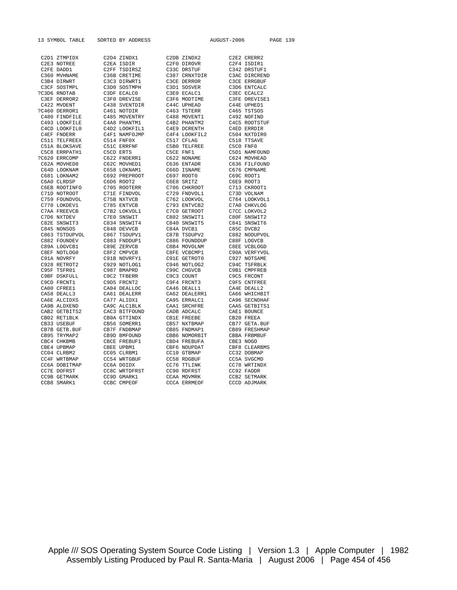|  | 13 SYMBOL TABLE SORTED BY ADDRESS                                                                                                                                                                                                     |  | AUGUST-2006 PAGE 139 |  |  |
|--|---------------------------------------------------------------------------------------------------------------------------------------------------------------------------------------------------------------------------------------|--|----------------------|--|--|
|  |                                                                                                                                                                                                                                       |  |                      |  |  |
|  |                                                                                                                                                                                                                                       |  |                      |  |  |
|  |                                                                                                                                                                                                                                       |  |                      |  |  |
|  |                                                                                                                                                                                                                                       |  |                      |  |  |
|  |                                                                                                                                                                                                                                       |  |                      |  |  |
|  |                                                                                                                                                                                                                                       |  |                      |  |  |
|  |                                                                                                                                                                                                                                       |  |                      |  |  |
|  |                                                                                                                                                                                                                                       |  |                      |  |  |
|  |                                                                                                                                                                                                                                       |  |                      |  |  |
|  |                                                                                                                                                                                                                                       |  |                      |  |  |
|  |                                                                                                                                                                                                                                       |  |                      |  |  |
|  |                                                                                                                                                                                                                                       |  |                      |  |  |
|  |                                                                                                                                                                                                                                       |  |                      |  |  |
|  |                                                                                                                                                                                                                                       |  |                      |  |  |
|  |                                                                                                                                                                                                                                       |  |                      |  |  |
|  |                                                                                                                                                                                                                                       |  |                      |  |  |
|  |                                                                                                                                                                                                                                       |  |                      |  |  |
|  |                                                                                                                                                                                                                                       |  |                      |  |  |
|  |                                                                                                                                                                                                                                       |  |                      |  |  |
|  |                                                                                                                                                                                                                                       |  |                      |  |  |
|  |                                                                                                                                                                                                                                       |  |                      |  |  |
|  |                                                                                                                                                                                                                                       |  |                      |  |  |
|  |                                                                                                                                                                                                                                       |  |                      |  |  |
|  |                                                                                                                                                                                                                                       |  |                      |  |  |
|  |                                                                                                                                                                                                                                       |  |                      |  |  |
|  |                                                                                                                                                                                                                                       |  |                      |  |  |
|  |                                                                                                                                                                                                                                       |  |                      |  |  |
|  |                                                                                                                                                                                                                                       |  |                      |  |  |
|  |                                                                                                                                                                                                                                       |  |                      |  |  |
|  |                                                                                                                                                                                                                                       |  |                      |  |  |
|  |                                                                                                                                                                                                                                       |  |                      |  |  |
|  |                                                                                                                                                                                                                                       |  |                      |  |  |
|  |                                                                                                                                                                                                                                       |  |                      |  |  |
|  |                                                                                                                                                                                                                                       |  |                      |  |  |
|  |                                                                                                                                                                                                                                       |  |                      |  |  |
|  |                                                                                                                                                                                                                                       |  |                      |  |  |
|  |                                                                                                                                                                                                                                       |  |                      |  |  |
|  |                                                                                                                                                                                                                                       |  |                      |  |  |
|  |                                                                                                                                                                                                                                       |  |                      |  |  |
|  |                                                                                                                                                                                                                                       |  |                      |  |  |
|  |                                                                                                                                                                                                                                       |  |                      |  |  |
|  |                                                                                                                                                                                                                                       |  |                      |  |  |
|  |                                                                                                                                                                                                                                       |  |                      |  |  |
|  |                                                                                                                                                                                                                                       |  |                      |  |  |
|  |                                                                                                                                                                                                                                       |  |                      |  |  |
|  |                                                                                                                                                                                                                                       |  |                      |  |  |
|  |                                                                                                                                                                                                                                       |  |                      |  |  |
|  |                                                                                                                                                                                                                                       |  |                      |  |  |
|  |                                                                                                                                                                                                                                       |  |                      |  |  |
|  |                                                                                                                                                                                                                                       |  |                      |  |  |
|  |                                                                                                                                                                                                                                       |  |                      |  |  |
|  |                                                                                                                                                                                                                                       |  |                      |  |  |
|  |                                                                                                                                                                                                                                       |  |                      |  |  |
|  |                                                                                                                                                                                                                                       |  |                      |  |  |
|  |                                                                                                                                                                                                                                       |  |                      |  |  |
|  |                                                                                                                                                                                                                                       |  |                      |  |  |
|  |                                                                                                                                                                                                                                       |  |                      |  |  |
|  |                                                                                                                                                                                                                                       |  |                      |  |  |
|  | 13 SYMRO, TARLE SOMETHE CAR RESULTS (2014 2110) 2013<br>CAR REVIEW CAR RESULTS (2014 212002) 2023 212002<br>CAR REVIEW CAR RESULTS (2014 212002) 2023 222002<br>CAR REVIEW CAR RESULTS (2014 212002) 2023 222002<br>CAR REVIEW CAR RE |  |                      |  |  |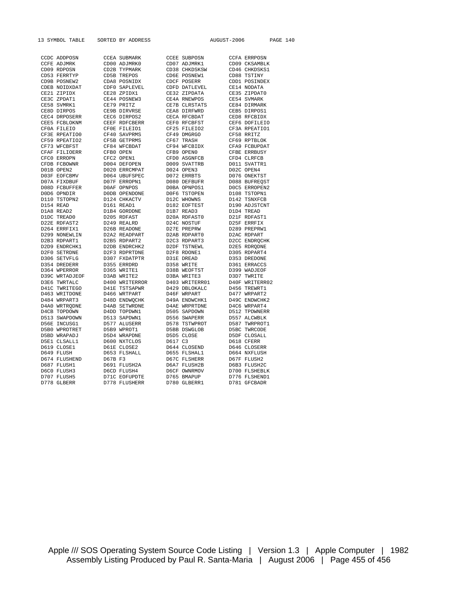13 SYMBOL TABLE SORTED BY ADDRESS AUGUST-2006 PAGE 140

| CCDC ADDPOSN       |         | <b>CCEA SUBMARK</b>  |         | <b>CCEE SUBPOSN</b>  | <b>CCFA ERRPOSN</b> |
|--------------------|---------|----------------------|---------|----------------------|---------------------|
| <b>CCFE ADJMRK</b> |         | CD00 ADJMRK0         |         | CD07 ADJMRK1         | CD09 CKSAMBLK       |
| CD09 RDPOSN        |         | CD2B TYPMARK         |         | CD38 CHKDSKSW        | CD46 CHKDSKS1       |
| CD53 FERRTYP       |         | CD5B TREPOS          |         | CD6E POSNEW1         | CD88 TSTINY         |
| CD9B POSNEW2       |         | CDA8 POSNIDX         |         | CDCF POSERR          | CDD1 POSINDEX       |
|                    |         |                      |         |                      | CE14 NODATA         |
| CDEB NOIDXDAT      |         | CDF0 SAPLEVEL        |         | CDFD DATLEVEL        |                     |
| CE21 ZIPIDX        |         | CE28 ZPIDX1          |         | CE32 ZIPDATA         | CE35 ZIPDAT0        |
| CE3C ZPDAT1        |         | CE44 POSNEW3         |         | CE4A RNEWPOS         | CE54 SVMARK         |
| CE58 SVMRK1        |         | CE79 PRITZ           |         | CE7B CLRSTATS        | CE84 DIRMARK        |
| CE8D DIRPOS        |         | CE9B DIRVRSE         |         | CEA8 DIRFWRD         | CEB5 DIRPOS1        |
| CEC4 DRPOSERR      |         | CEC6 DIRPOS2         |         | CECA RFCBDAT         | CED8 RFCBIDX        |
| CEE5 FCBLOKNM      |         | CEEF RDFCBERR        |         | CEF0 RFCBFST         | CEF6 DOFILEIO       |
| CF0A FILEIO        |         | CFOE FILEIO1         |         | CF25 FILEIO2         | CF3A RPEATIO1       |
| CF3E RPEATIO0      |         | CF40 SAVPRMS         |         | CF49 DMGRGO          | CF58 RRITZ          |
| CF59 RPEATIO2      |         | CF5B GETPRMS         |         | CF67 TRASH           | CF69 RPTBLOK        |
| CF73 WFCBFST       |         | CF84 WFCBDAT         |         | CF94 WFCBIDX         | CFA9 FCBUPDAT       |
| CFAF FILIOERR      |         | CFB0 OPEN            |         | CFB9 OPEN0           | CFBE ERRBUSY        |
| CFC0 ERROPN        |         | CFC2 OPEN1           |         | CFD0 ASGNFCB         | CFD4 CLRFCB         |
| CFDB FCBOWNR       |         | D004 DEFOPEN         |         | D009 SVATTRB         | D011 SVATTR1        |
| D01B OPEN2         |         | D020 ERRCMPAT        |         | D024 OPEN3           | D02C OPEN4          |
| D03F EOFCBMV       |         | D064 UBUFSPEC        |         | D072 ERRBTS          | D076 ONEKTST        |
| D07A FIXDBUF       |         | D07F ERROPN1         |         | D080 DEFBUFR         | D088 BUFREQST       |
| D08D FCBUFFER      |         | DOAF OPNPOS          |         | DOBA OPNPOS1         | DOC5 ERROPEN2       |
| D0D6 OPNDIR        |         | DODB OPENDONE        |         | DOF6 TSTOPEN         | D108 TSTOPN1        |
| D110 TSTOPN2       |         | D124 CHKACTV         |         | D12C WHOWNS          | D142 TSNXFCB        |
| D154 READ          |         | D161 READ1           |         | D182 EOFTEST         | D190 ADJSTCNT       |
| D1A8 READ2         |         | D1B4 GORDDNE         |         | D1B7 READ3           | D1D4 TREAD          |
| D1DC TREAD0        |         | D205 RDFAST          |         | D20A RDFAST0         | D21F RDFAST1        |
| D22E RDFAST2       |         | D249 REALRD          |         | D24C NOSTUF          | D25F ERRFIX         |
| D264 ERRFIX1       |         | D26B READONE         |         | D27E PREPRW          | D289 PREPRW1        |
| D299 NONEWLIN      |         | D2A2 READPART        |         | D2AB RDPART0         | D2AC RDPART         |
|                    |         |                      |         |                      |                     |
| D2B3 RDPART1       |         | D2B5 RDPART2         |         | D2C3 RDPART3         | D2CC ENDROCHK       |
| D2D9 ENDRCHK1      |         | D2DB ENDRCHK2        |         | D2DF TSTNEWL         | D2E5 RDRODNE        |
| D2F0 SETRDNE       |         | D2F3 RDPRTDNE        |         | D2F8 RDONE1          | D305 RDPART4        |
| D306 SETVFLG       |         | D307 FXDATPTR        |         | D31E DREAD           | D353 DREDONE        |
| D354 DREDERR       |         | D355 ERRDRD          |         | D358 WRITE           | D361 ERRACCS        |
| D364 WPERROR       |         | D365 WRITE1          |         | D38B WEOFTST         | D399 WADJEOF        |
| D39C WRTADJEOF     |         | D3AB WRITE2          |         | D3BA WRITE3          | D3D7 TWRITE         |
| D3E6 TWRTALC       |         | D400 WRITERROR       |         | D403 WRITERR01       | D40F WRITERR02      |
| D41C TWRITEGO      |         | D41E TSTSAPWR        |         | D429 DBLOKALC        | D456 TREWRT1        |
| D463 WRITDONE      |         | D466 WRTPART         |         | D46F WRPART          | D477 WRPART2        |
| D484 WRPART3       |         | D48D ENDWQCHK        |         | D49A ENDWCHK1        | D49C ENDWCHK2       |
| D4A0 WRTRODNE      |         | <b>D4AB SETWRDNE</b> |         | <b>D4AE WRPRTDNE</b> | D4C6 WRPART4        |
| D4CB TOPDOWN       |         | D4DD TOPDWN1         |         | D505 SAPDOWN         | D512 TPDWNERR       |
| D513 SWAPDOWN      |         | D513 SAPDWN1         |         | D556 SWAPERR         | D557 ALCWBLK        |
| D56E INCUSG1       |         | D577 ALUSERR         |         | D578 TSTWPROT        | D587 TWRPROT1       |
| D5B0 WPROTRET      |         | D5B9 WPROT1          |         | D5BB DSWGLOB         | D5BC TWRCODE        |
| D5BD WRAPADJ       |         | D5D4 WRAPDNE         |         | D5D5 CLOSE           | D5DF CLOSALL        |
| D5E1 CLSALL1       |         | D600 NXTCLOS         | D617 C3 |                      | D618 CFERR          |
| D619 CLOSE1        |         | D61E CLOSE2          |         | D644 CLOSEND         | D646 CLOSERR        |
| D649 FLUSH         |         | D653 FLSHALL         |         | D655 FLSHAL1         | D664 NXFLUSH        |
| D674 FLUSHEND      | D67B F3 |                      |         | D67C FLSHERR         | D67F FLUSH2         |
| D687 FLUSH1        |         | D691 FLUSH2A         |         | D6A7 FLUSH2B         | D6B3 FLUSH2C        |
| D6C0 FLUSH3        |         | D6CD FLUSH4          |         | D6CF OWNRMOV         | D700 FLSHEBLK       |
| D707 FLUSH5        |         | D71C EOFUPDTE        |         | D765 BMAPUP          | D776 FLSHEND1       |
|                    |         |                      |         |                      |                     |
| D778 GLBERR        |         | D778 FLUSHERR        |         | D780 GLBERR1         | D781 GFCBADR        |